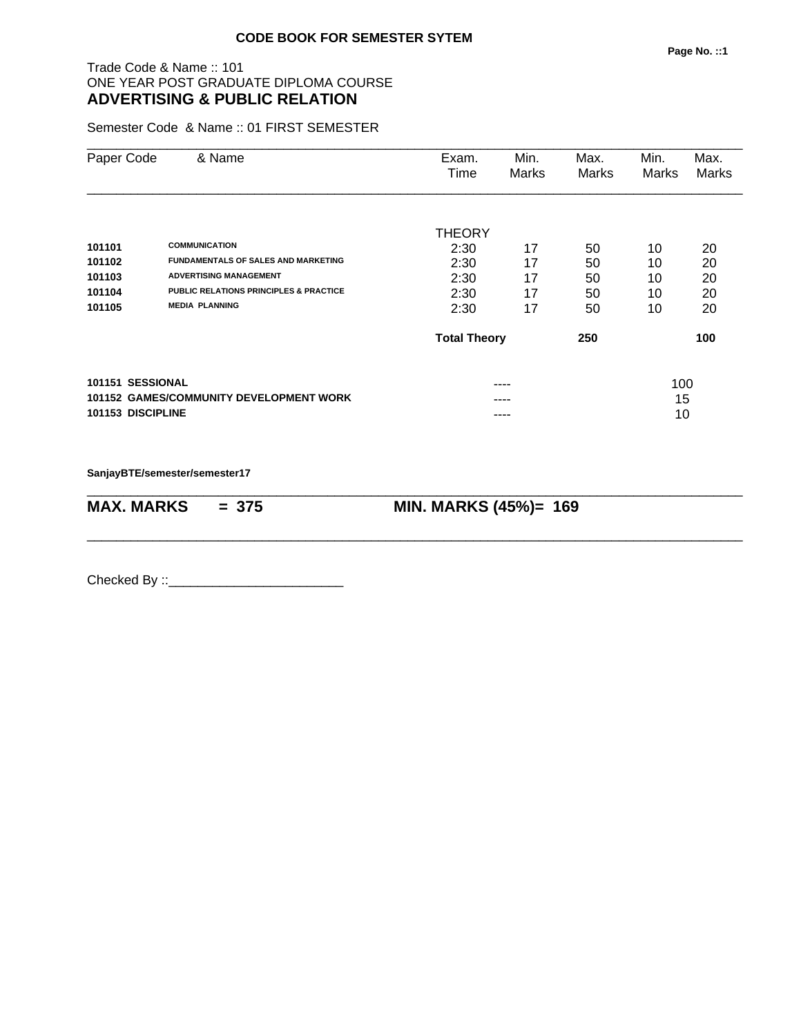## Trade Code & Name :: 101 ONE YEAR POST GRADUATE DIPLOMA COURSE **ADVERTISING & PUBLIC RELATION**

Semester Code & Name :: 01 FIRST SEMESTER

| Paper Code                                     | & Name                                                                                                                                                                            | Exam.<br>Time                                  | Min.<br>Marks              | Max.<br>Marks              | Min.<br>Marks              | Max.<br>Marks              |
|------------------------------------------------|-----------------------------------------------------------------------------------------------------------------------------------------------------------------------------------|------------------------------------------------|----------------------------|----------------------------|----------------------------|----------------------------|
| 101101<br>101102<br>101103<br>101104<br>101105 | <b>COMMUNICATION</b><br><b>FUNDAMENTALS OF SALES AND MARKETING</b><br><b>ADVERTISING MANAGEMENT</b><br><b>PUBLIC RELATIONS PRINCIPLES &amp; PRACTICE</b><br><b>MEDIA PLANNING</b> | THEORY<br>2:30<br>2:30<br>2:30<br>2:30<br>2:30 | 17<br>17<br>17<br>17<br>17 | 50<br>50<br>50<br>50<br>50 | 10<br>10<br>10<br>10<br>10 | 20<br>20<br>20<br>20<br>20 |
|                                                |                                                                                                                                                                                   | <b>Total Theory</b>                            |                            | 250                        |                            | 100                        |
| 101151 SESSIONAL<br>101153 DISCIPLINE          | <b>101152 GAMES/COMMUNITY DEVELOPMENT WORK</b>                                                                                                                                    |                                                | ----<br>----               |                            | 100<br>15<br>10            |                            |

**SanjayBTE/semester/semester17**

| $MAX. \, MARKS = 375$ | <b>MIN. MARKS (45%)= 169</b> |
|-----------------------|------------------------------|

\_\_\_\_\_\_\_\_\_\_\_\_\_\_\_\_\_\_\_\_\_\_\_\_\_\_\_\_\_\_\_\_\_\_\_\_\_\_\_\_\_\_\_\_\_\_\_\_\_\_\_\_\_\_\_\_\_\_\_\_\_\_\_\_\_\_\_\_\_\_\_\_\_\_\_\_\_\_\_\_\_\_\_\_\_\_\_\_\_\_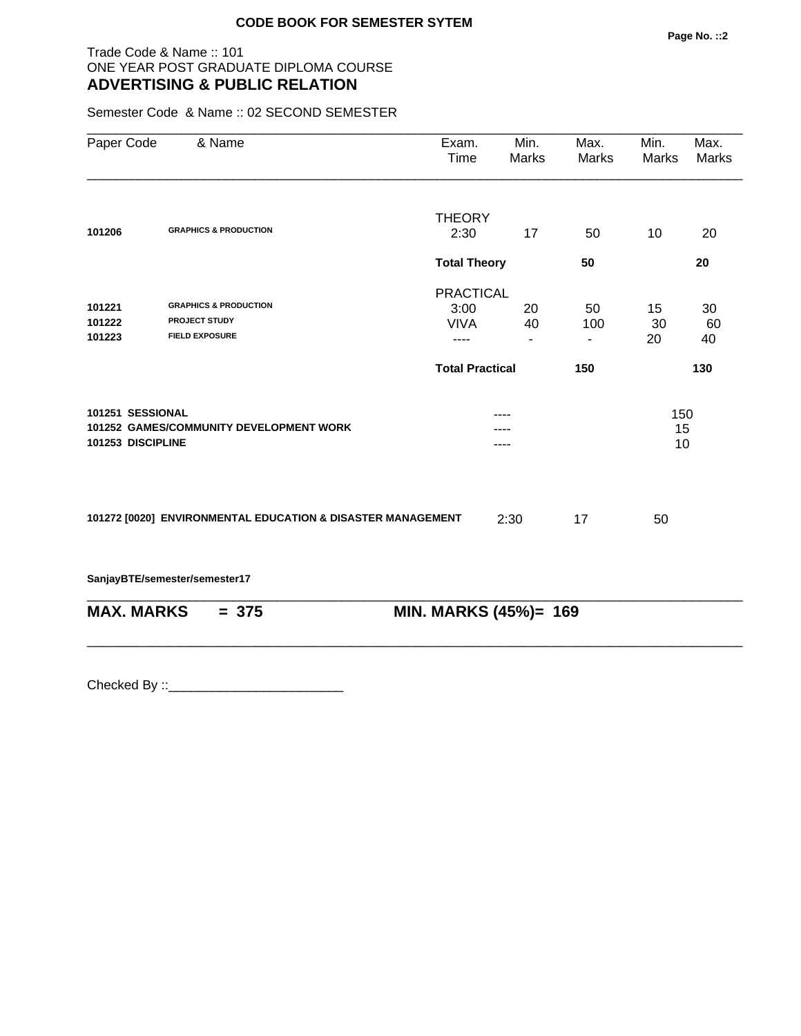#### Trade Code & Name :: 101 ONE YEAR POST GRADUATE DIPLOMA COURSE **ADVERTISING & PUBLIC RELATION**

Semester Code & Name :: 02 SECOND SEMESTER

| Paper Code        | & Name                                                      | Exam.<br>Time          | Min.<br>Marks            | Max.<br><b>Marks</b> | Min.<br>Marks | Max.<br><b>Marks</b> |
|-------------------|-------------------------------------------------------------|------------------------|--------------------------|----------------------|---------------|----------------------|
|                   |                                                             | <b>THEORY</b>          |                          |                      |               |                      |
| 101206            | <b>GRAPHICS &amp; PRODUCTION</b>                            | 2:30                   | 17                       | 50                   | 10            | 20                   |
|                   |                                                             | <b>Total Theory</b>    |                          | 50                   |               | 20                   |
|                   |                                                             | <b>PRACTICAL</b>       |                          |                      |               |                      |
| 101221            | <b>GRAPHICS &amp; PRODUCTION</b>                            | 3:00                   | 20                       | 50                   | 15            | 30                   |
| 101222            | <b>PROJECT STUDY</b>                                        | <b>VIVA</b>            | 40                       | 100                  | 30            | 60                   |
| 101223            | <b>FIELD EXPOSURE</b>                                       | $---$                  | $\overline{\phantom{0}}$ | $\blacksquare$       | 20            | 40                   |
|                   |                                                             | <b>Total Practical</b> |                          | 150                  |               | 130                  |
| 101251 SESSIONAL  |                                                             |                        |                          |                      | 150           |                      |
|                   | 101252 GAMES/COMMUNITY DEVELOPMENT WORK                     |                        |                          |                      | 15            |                      |
| 101253 DISCIPLINE |                                                             |                        | ----                     |                      | 10            |                      |
|                   | 101272 [0020] ENVIRONMENTAL EDUCATION & DISASTER MANAGEMENT |                        | 2:30                     | 17                   | 50            |                      |
|                   |                                                             |                        |                          |                      |               |                      |
|                   | SanjayBTE/semester/semester17                               |                        |                          |                      |               |                      |
| <b>MAX. MARKS</b> | $= 375$                                                     | MIN. MARKS (45%)= 169  |                          |                      |               |                      |
|                   |                                                             |                        |                          |                      |               |                      |
|                   |                                                             |                        |                          |                      |               |                      |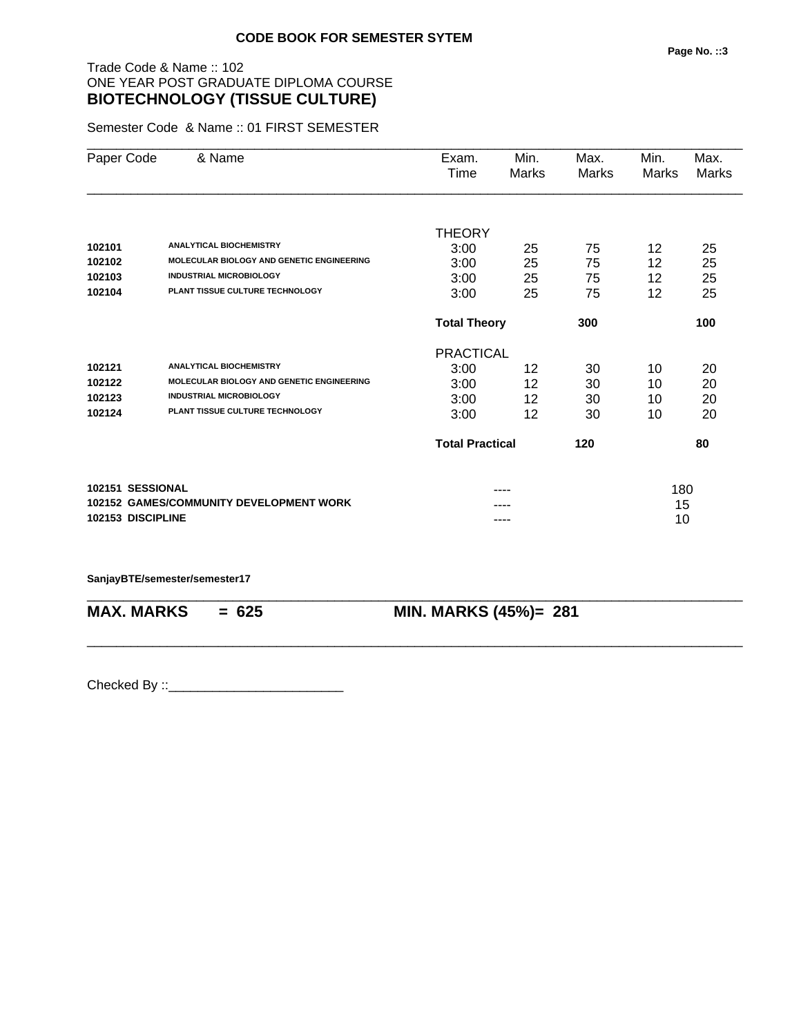# Trade Code & Name :: 102 ONE YEAR POST GRADUATE DIPLOMA COURSE **BIOTECHNOLOGY (TISSUE CULTURE)**

Semester Code & Name :: 01 FIRST SEMESTER

| Paper Code        | & Name                                           | Exam.<br>Time          | Min.<br>Marks | Max.<br>Marks | Min.<br>Marks | Max.<br><b>Marks</b> |
|-------------------|--------------------------------------------------|------------------------|---------------|---------------|---------------|----------------------|
|                   |                                                  |                        |               |               |               |                      |
|                   |                                                  | <b>THEORY</b>          |               |               |               |                      |
| 102101            | <b>ANALYTICAL BIOCHEMISTRY</b>                   | 3:00                   | 25            | 75            | 12            | 25                   |
| 102102            | <b>MOLECULAR BIOLOGY AND GENETIC ENGINEERING</b> | 3:00                   | 25            | 75            | 12            | 25                   |
| 102103            | <b>INDUSTRIAL MICROBIOLOGY</b>                   | 3:00                   | 25            | 75            | 12            | 25                   |
| 102104            | PLANT TISSUE CULTURE TECHNOLOGY                  | 3:00                   | 25            | 75            | 12            | 25                   |
|                   |                                                  | <b>Total Theory</b>    |               | 300           |               | 100                  |
|                   |                                                  | <b>PRACTICAL</b>       |               |               |               |                      |
| 102121            | <b>ANALYTICAL BIOCHEMISTRY</b>                   | 3:00                   | 12            | 30            | 10            | 20                   |
| 102122            | <b>MOLECULAR BIOLOGY AND GENETIC ENGINEERING</b> | 3:00                   | 12            | 30            | 10            | 20                   |
| 102123            | <b>INDUSTRIAL MICROBIOLOGY</b>                   | 3:00                   | 12            | 30            | 10            | 20                   |
| 102124            | PLANT TISSUE CULTURE TECHNOLOGY                  | 3:00                   | 12            | 30            | 10            | 20                   |
|                   |                                                  | <b>Total Practical</b> |               | 120           |               | 80                   |
| 102151 SESSIONAL  |                                                  |                        |               |               | 180           |                      |
|                   | <b>102152 GAMES/COMMUNITY DEVELOPMENT WORK</b>   |                        |               |               | 15            |                      |
| 102153 DISCIPLINE |                                                  |                        | ----          |               | 10            |                      |

\_\_\_\_\_\_\_\_\_\_\_\_\_\_\_\_\_\_\_\_\_\_\_\_\_\_\_\_\_\_\_\_\_\_\_\_\_\_\_\_\_\_\_\_\_\_\_\_\_\_\_\_\_\_\_\_\_\_\_\_\_\_\_\_\_\_\_\_\_\_\_\_\_\_\_\_\_\_\_\_\_\_\_\_\_\_\_\_\_\_

\_\_\_\_\_\_\_\_\_\_\_\_\_\_\_\_\_\_\_\_\_\_\_\_\_\_\_\_\_\_\_\_\_\_\_\_\_\_\_\_\_\_\_\_\_\_\_\_\_\_\_\_\_\_\_\_\_\_\_\_\_\_\_\_\_\_\_\_\_\_\_\_\_\_\_\_\_\_\_\_\_\_\_\_\_\_\_\_\_\_

**SanjayBTE/semester/semester17**

**MAX. MARKS = 625 MIN. MARKS (45%)= 281**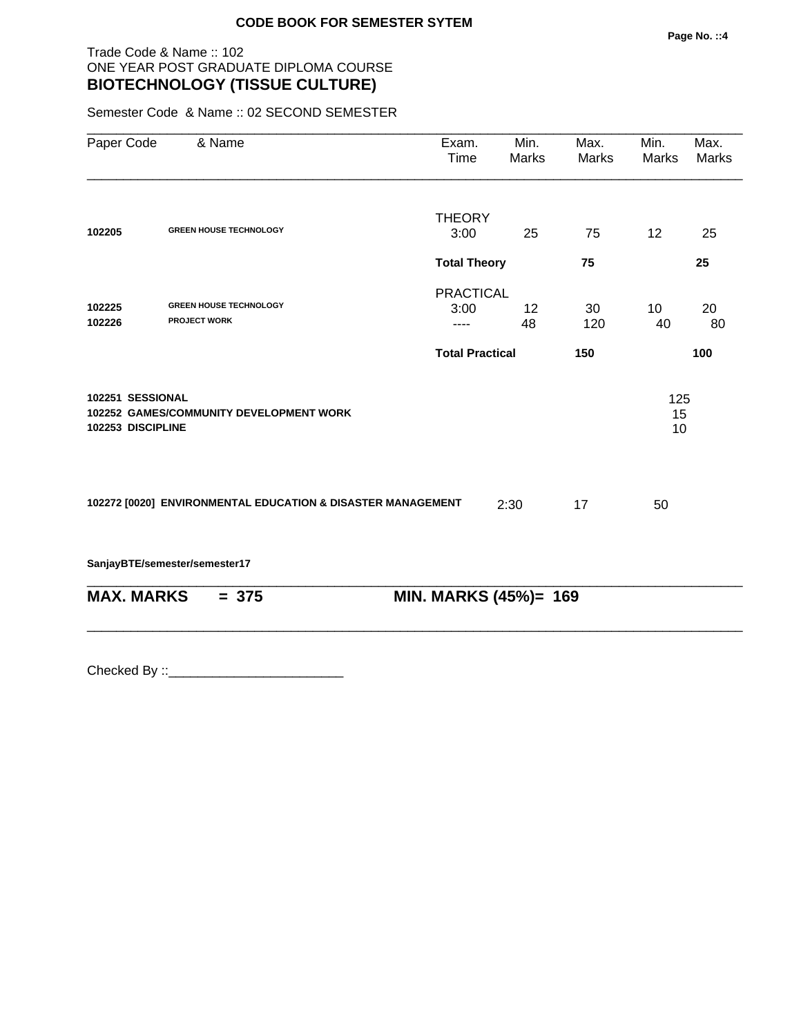# Trade Code & Name :: 102 ONE YEAR POST GRADUATE DIPLOMA COURSE **BIOTECHNOLOGY (TISSUE CULTURE)**

Semester Code & Name :: 02 SECOND SEMESTER

| Paper Code        | & Name                                                      | Exam.<br>Time          | Min.<br>Marks | Max.<br>Marks | Min.<br><b>Marks</b> | Max.<br><b>Marks</b> |
|-------------------|-------------------------------------------------------------|------------------------|---------------|---------------|----------------------|----------------------|
|                   |                                                             | <b>THEORY</b>          |               |               |                      |                      |
| 102205            | <b>GREEN HOUSE TECHNOLOGY</b>                               | 3:00                   | 25            | 75            | 12                   | 25                   |
|                   |                                                             | <b>Total Theory</b>    |               | 75            |                      | 25                   |
|                   |                                                             | <b>PRACTICAL</b>       |               |               |                      |                      |
| 102225<br>102226  | <b>GREEN HOUSE TECHNOLOGY</b><br><b>PROJECT WORK</b>        | 3:00                   | 12            | 30            | 10 <sup>°</sup>      | 20                   |
|                   |                                                             |                        | 48            | 120           | 40                   | 80                   |
|                   |                                                             | <b>Total Practical</b> |               | 150           |                      | 100                  |
| 102253 DISCIPLINE | <b>102252 GAMES/COMMUNITY DEVELOPMENT WORK</b>              |                        |               |               | 15<br>10             |                      |
|                   | 102272 [0020] ENVIRONMENTAL EDUCATION & DISASTER MANAGEMENT |                        | 2:30          | 17            | 50                   |                      |
|                   | SanjayBTE/semester/semester17                               |                        |               |               |                      |                      |
| <b>MAX. MARKS</b> | $= 375$                                                     | MIN. MARKS (45%)= 169  |               |               |                      |                      |
|                   |                                                             |                        |               |               |                      |                      |
|                   |                                                             |                        |               |               |                      |                      |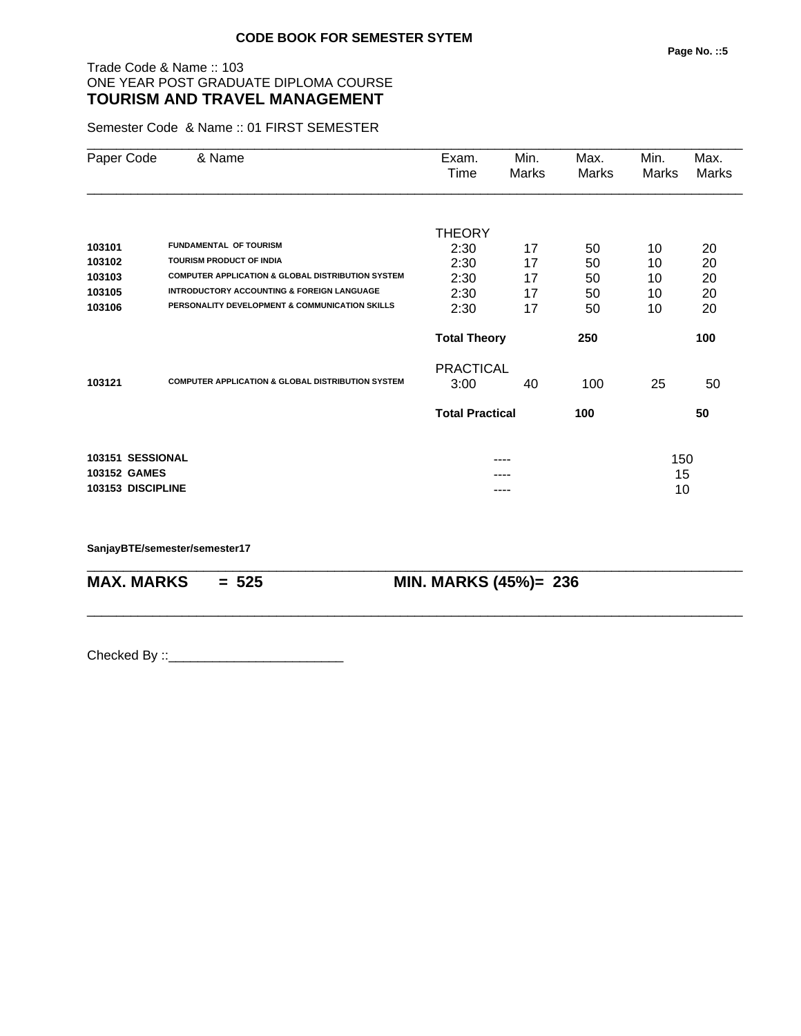## Trade Code & Name :: 103 ONE YEAR POST GRADUATE DIPLOMA COURSE **TOURISM AND TRAVEL MANAGEMENT**

Semester Code & Name :: 01 FIRST SEMESTER

| Paper Code          | & Name                                                       | Exam.                  | Min.  | Max.  | Min.  | Max.  |
|---------------------|--------------------------------------------------------------|------------------------|-------|-------|-------|-------|
|                     |                                                              | Time                   | Marks | Marks | Marks | Marks |
|                     |                                                              |                        |       |       |       |       |
|                     |                                                              | THEORY                 |       |       |       |       |
| 103101              | <b>FUNDAMENTAL OF TOURISM</b>                                | 2:30                   | 17    | 50    | 10    | 20    |
| 103102              | <b>TOURISM PRODUCT OF INDIA</b>                              | 2:30                   | 17    | 50    | 10    | 20    |
| 103103              | <b>COMPUTER APPLICATION &amp; GLOBAL DISTRIBUTION SYSTEM</b> | 2:30                   | 17    | 50    | 10    | 20    |
| 103105              | <b>INTRODUCTORY ACCOUNTING &amp; FOREIGN LANGUAGE</b>        | 2:30                   | 17    | 50    | 10    | 20    |
| 103106              | PERSONALITY DEVELOPMENT & COMMUNICATION SKILLS               | 2:30                   | 17    | 50    | 10    | 20    |
|                     |                                                              | <b>Total Theory</b>    |       | 250   |       | 100   |
|                     |                                                              | <b>PRACTICAL</b>       |       |       |       |       |
| 103121              | <b>COMPUTER APPLICATION &amp; GLOBAL DISTRIBUTION SYSTEM</b> | 3:00                   | 40    | 100   | 25    | 50    |
|                     |                                                              | <b>Total Practical</b> |       | 100   |       | 50    |
| 103151 SESSIONAL    |                                                              |                        | ----  |       | 150   |       |
| <b>103152 GAMES</b> |                                                              |                        |       |       | 15    |       |
| 103153 DISCIPLINE   |                                                              |                        |       |       | 10    |       |
|                     |                                                              |                        |       |       |       |       |

\_\_\_\_\_\_\_\_\_\_\_\_\_\_\_\_\_\_\_\_\_\_\_\_\_\_\_\_\_\_\_\_\_\_\_\_\_\_\_\_\_\_\_\_\_\_\_\_\_\_\_\_\_\_\_\_\_\_\_\_\_\_\_\_\_\_\_\_\_\_\_\_\_\_\_\_\_\_\_\_\_\_\_\_\_\_\_\_\_\_

\_\_\_\_\_\_\_\_\_\_\_\_\_\_\_\_\_\_\_\_\_\_\_\_\_\_\_\_\_\_\_\_\_\_\_\_\_\_\_\_\_\_\_\_\_\_\_\_\_\_\_\_\_\_\_\_\_\_\_\_\_\_\_\_\_\_\_\_\_\_\_\_\_\_\_\_\_\_\_\_\_\_\_\_\_\_\_\_\_\_

**SanjayBTE/semester/semester17**

**MAX. MARKS = 525 MIN. MARKS (45%)= 236**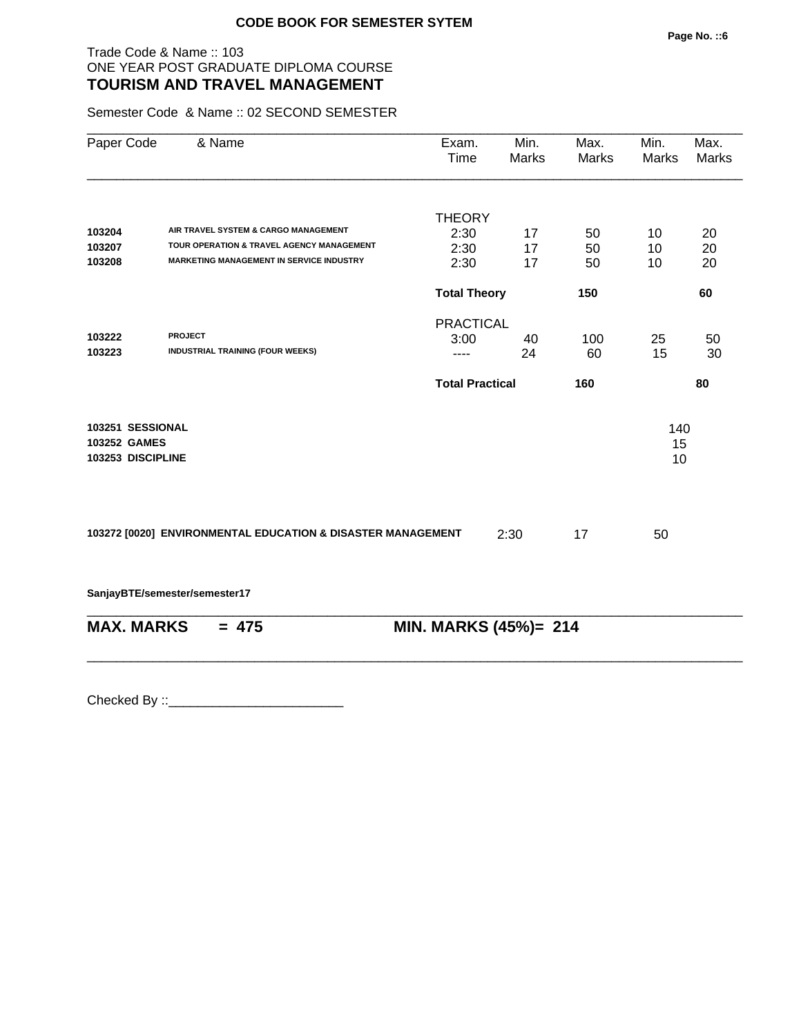### Trade Code & Name :: 103 ONE YEAR POST GRADUATE DIPLOMA COURSE **TOURISM AND TRAVEL MANAGEMENT**

Semester Code & Name :: 02 SECOND SEMESTER

| Paper Code                                            | & Name                                                      | Exam.<br>Time          | Min.<br><b>Marks</b> | Max.<br>Marks | Min.<br><b>Marks</b> | Max.<br>Marks |
|-------------------------------------------------------|-------------------------------------------------------------|------------------------|----------------------|---------------|----------------------|---------------|
|                                                       |                                                             | <b>THEORY</b>          |                      |               |                      |               |
| 103204                                                | AIR TRAVEL SYSTEM & CARGO MANAGEMENT                        | 2:30                   | 17                   | 50            | 10                   | 20            |
| 103207                                                | TOUR OPERATION & TRAVEL AGENCY MANAGEMENT                   | 2:30                   | 17                   | 50            | 10                   | 20            |
| 103208                                                | <b>MARKETING MANAGEMENT IN SERVICE INDUSTRY</b>             | 2:30                   | 17                   | 50            | 10                   | 20            |
|                                                       |                                                             | <b>Total Theory</b>    |                      | 150           |                      | 60            |
|                                                       |                                                             | <b>PRACTICAL</b>       |                      |               |                      |               |
| 103222                                                | <b>PROJECT</b>                                              | 3:00                   | 40                   | 100           | 25                   | 50            |
| 103223                                                | <b>INDUSTRIAL TRAINING (FOUR WEEKS)</b>                     | ----                   | 24                   | 60            | 15                   | 30            |
|                                                       |                                                             | <b>Total Practical</b> |                      | 160           |                      | 80            |
| 103251 SESSIONAL<br>103252 GAMES<br>103253 DISCIPLINE |                                                             |                        |                      |               | 140<br>15<br>10      |               |
|                                                       | 103272 [0020] ENVIRONMENTAL EDUCATION & DISASTER MANAGEMENT |                        | 2:30                 | 17            | 50                   |               |
|                                                       | SanjayBTE/semester/semester17                               |                        |                      |               |                      |               |
| <b>MAX. MARKS</b>                                     | $= 475$                                                     | MIN. MARKS (45%)= 214  |                      |               |                      |               |
|                                                       |                                                             |                        |                      |               |                      |               |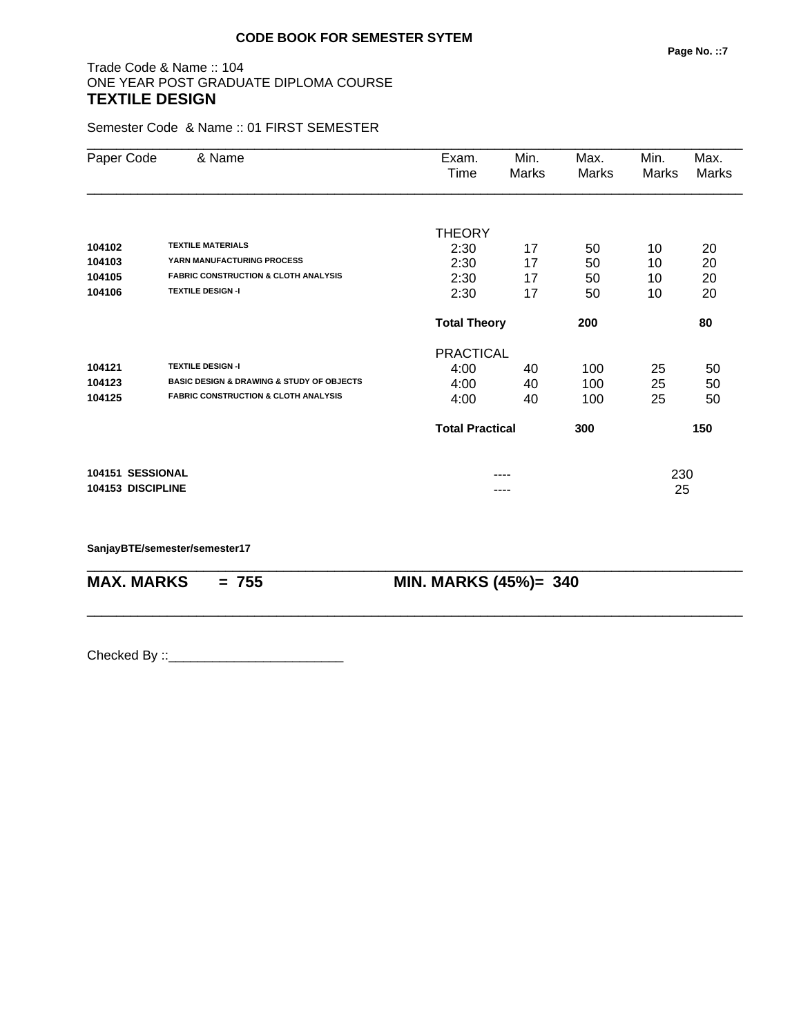### Trade Code & Name :: 104 ONE YEAR POST GRADUATE DIPLOMA COURSE **TEXTILE DESIGN**

Semester Code & Name :: 01 FIRST SEMESTER

| Paper Code        | & Name                                                   | Exam.<br>Time          | Min.<br>Marks | Max.<br>Marks | Min.<br>Marks | Max.<br><b>Marks</b> |
|-------------------|----------------------------------------------------------|------------------------|---------------|---------------|---------------|----------------------|
|                   |                                                          | <b>THEORY</b>          |               |               |               |                      |
| 104102            | <b>TEXTILE MATERIALS</b>                                 | 2:30                   | 17            | 50            | 10            | 20                   |
| 104103            | YARN MANUFACTURING PROCESS                               | 2:30                   | 17            | 50            | 10            | 20                   |
| 104105            | <b>FABRIC CONSTRUCTION &amp; CLOTH ANALYSIS</b>          | 2:30                   | 17            | 50            | 10            | 20                   |
| 104106            | <b>TEXTILE DESIGN-I</b>                                  | 2:30                   | 17            | 50            | 10            | 20                   |
|                   |                                                          | <b>Total Theory</b>    |               | 200           |               | 80                   |
|                   |                                                          | <b>PRACTICAL</b>       |               |               |               |                      |
| 104121            | <b>TEXTILE DESIGN -I</b>                                 | 4:00                   | 40            | 100           | 25            | 50                   |
| 104123            | <b>BASIC DESIGN &amp; DRAWING &amp; STUDY OF OBJECTS</b> | 4:00                   | 40            | 100           | 25            | 50                   |
| 104125            | <b>FABRIC CONSTRUCTION &amp; CLOTH ANALYSIS</b>          | 4:00                   | 40            | 100           | 25            | 50                   |
|                   |                                                          | <b>Total Practical</b> |               | 300           |               | 150                  |
| 104151 SESSIONAL  |                                                          |                        |               |               | 230           |                      |
| 104153 DISCIPLINE |                                                          |                        |               |               | 25            |                      |

\_\_\_\_\_\_\_\_\_\_\_\_\_\_\_\_\_\_\_\_\_\_\_\_\_\_\_\_\_\_\_\_\_\_\_\_\_\_\_\_\_\_\_\_\_\_\_\_\_\_\_\_\_\_\_\_\_\_\_\_\_\_\_\_\_\_\_\_\_\_\_\_\_\_\_\_\_\_\_\_\_\_\_\_\_\_\_\_\_\_

\_\_\_\_\_\_\_\_\_\_\_\_\_\_\_\_\_\_\_\_\_\_\_\_\_\_\_\_\_\_\_\_\_\_\_\_\_\_\_\_\_\_\_\_\_\_\_\_\_\_\_\_\_\_\_\_\_\_\_\_\_\_\_\_\_\_\_\_\_\_\_\_\_\_\_\_\_\_\_\_\_\_\_\_\_\_\_\_\_\_

**SanjayBTE/semester/semester17**

**MAX. MARKS = 755 MIN. MARKS (45%)= 340**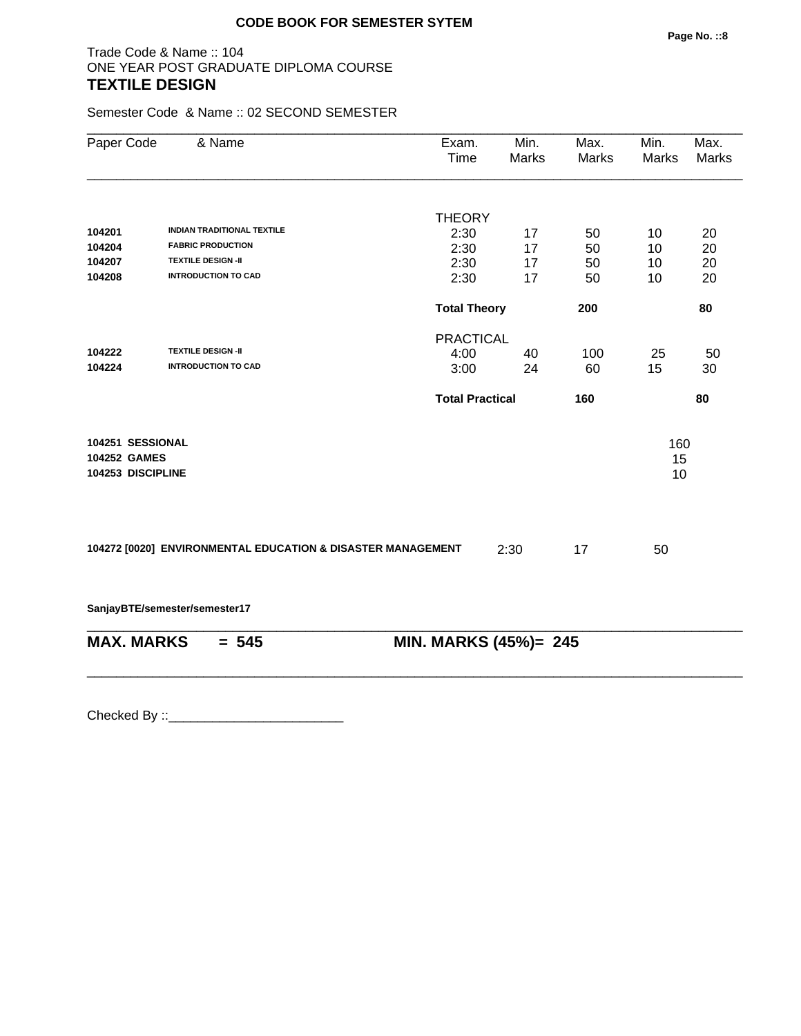# Trade Code & Name :: 104 ONE YEAR POST GRADUATE DIPLOMA COURSE **TEXTILE DESIGN**

Semester Code & Name :: 02 SECOND SEMESTER

| Paper Code                                            | & Name                                                      | Exam.<br>Time          | Min.<br>Marks | Max.<br>Marks | Min.<br><b>Marks</b> | Max.<br><b>Marks</b> |
|-------------------------------------------------------|-------------------------------------------------------------|------------------------|---------------|---------------|----------------------|----------------------|
|                                                       |                                                             | <b>THEORY</b>          |               |               |                      |                      |
| 104201                                                | <b>INDIAN TRADITIONAL TEXTILE</b>                           | 2:30                   | 17            | 50            | 10                   | 20                   |
| 104204                                                | <b>FABRIC PRODUCTION</b>                                    | 2:30                   | 17            | 50            | 10                   | 20                   |
| 104207                                                | <b>TEXTILE DESIGN -II</b>                                   | 2:30                   | 17            | 50            | 10                   | 20                   |
| 104208                                                | <b>INTRODUCTION TO CAD</b>                                  | 2:30                   | 17            | 50            | 10                   | 20                   |
|                                                       |                                                             | <b>Total Theory</b>    |               | 200           |                      | 80                   |
|                                                       |                                                             | <b>PRACTICAL</b>       |               |               |                      |                      |
| 104222                                                | <b>TEXTILE DESIGN -II</b>                                   | 4:00                   | 40            | 100           | 25                   | 50                   |
| 104224                                                | <b>INTRODUCTION TO CAD</b>                                  | 3:00                   | 24            | 60            | 15                   | 30                   |
|                                                       |                                                             | <b>Total Practical</b> |               | 160           |                      | 80                   |
| 104251 SESSIONAL<br>104252 GAMES<br>104253 DISCIPLINE |                                                             |                        |               |               | 160<br>15<br>10      |                      |
|                                                       | 104272 [0020] ENVIRONMENTAL EDUCATION & DISASTER MANAGEMENT |                        | 2:30          | 17            | 50                   |                      |
|                                                       | SanjayBTE/semester/semester17                               |                        |               |               |                      |                      |
|                                                       | <b>MAX. MARKS</b><br>$= 545$                                | MIN. MARKS (45%)= 245  |               |               |                      |                      |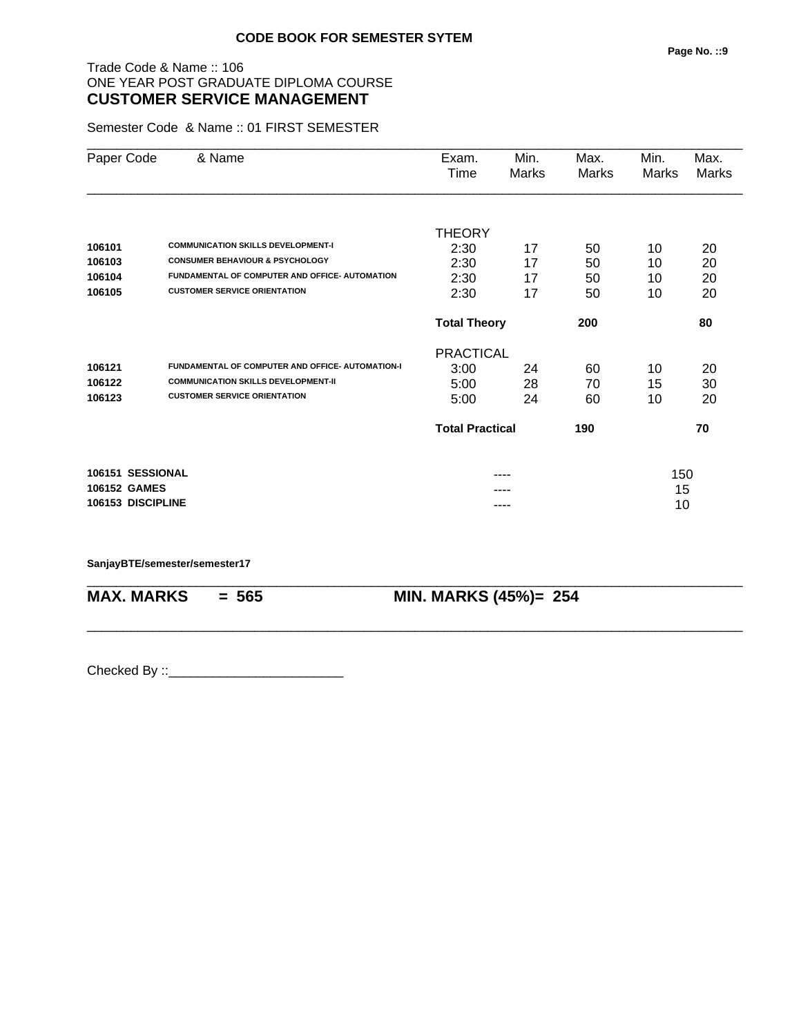### Trade Code & Name :: 106 ONE YEAR POST GRADUATE DIPLOMA COURSE **CUSTOMER SERVICE MANAGEMENT**

Semester Code & Name :: 01 FIRST SEMESTER

| Paper Code          | & Name                                                  | Exam.<br>Time          | Min.<br><b>Marks</b> | Max.<br>Marks | Min.<br>Marks | Max.<br>Marks |
|---------------------|---------------------------------------------------------|------------------------|----------------------|---------------|---------------|---------------|
|                     |                                                         |                        |                      |               |               |               |
|                     |                                                         | THEORY                 |                      |               |               |               |
| 106101              | <b>COMMUNICATION SKILLS DEVELOPMENT-I</b>               | 2:30                   | 17                   | 50            | 10            | 20            |
| 106103              | <b>CONSUMER BEHAVIOUR &amp; PSYCHOLOGY</b>              | 2:30                   | 17                   | 50            | 10            | 20            |
| 106104              | FUNDAMENTAL OF COMPUTER AND OFFICE- AUTOMATION          | 2:30                   | 17                   | 50            | 10            | 20            |
| 106105              | <b>CUSTOMER SERVICE ORIENTATION</b>                     | 2:30                   | 17                   | 50            | 10            | 20            |
|                     |                                                         | <b>Total Theory</b>    |                      | 200           |               | 80            |
|                     |                                                         | <b>PRACTICAL</b>       |                      |               |               |               |
| 106121              | <b>FUNDAMENTAL OF COMPUTER AND OFFICE- AUTOMATION-I</b> | 3:00                   | 24                   | 60            | 10            | 20            |
| 106122              | <b>COMMUNICATION SKILLS DEVELOPMENT-II</b>              | 5:00                   | 28                   | 70            | 15            | 30            |
| 106123              | <b>CUSTOMER SERVICE ORIENTATION</b>                     | 5:00                   | 24                   | 60            | 10            | 20            |
|                     |                                                         | <b>Total Practical</b> |                      | 190           |               | 70            |
| 106151 SESSIONAL    |                                                         |                        |                      |               | 150           |               |
| <b>106152 GAMES</b> |                                                         |                        |                      |               | 15            |               |
| 106153 DISCIPLINE   |                                                         |                        |                      |               | 10            |               |

\_\_\_\_\_\_\_\_\_\_\_\_\_\_\_\_\_\_\_\_\_\_\_\_\_\_\_\_\_\_\_\_\_\_\_\_\_\_\_\_\_\_\_\_\_\_\_\_\_\_\_\_\_\_\_\_\_\_\_\_\_\_\_\_\_\_\_\_\_\_\_\_\_\_\_\_\_\_\_\_\_\_\_\_\_\_\_\_\_\_

\_\_\_\_\_\_\_\_\_\_\_\_\_\_\_\_\_\_\_\_\_\_\_\_\_\_\_\_\_\_\_\_\_\_\_\_\_\_\_\_\_\_\_\_\_\_\_\_\_\_\_\_\_\_\_\_\_\_\_\_\_\_\_\_\_\_\_\_\_\_\_\_\_\_\_\_\_\_\_\_\_\_\_\_\_\_\_\_\_\_

#### **SanjayBTE/semester/semester17**

**MAX. MARKS = 565 MIN. MARKS (45%)= 254**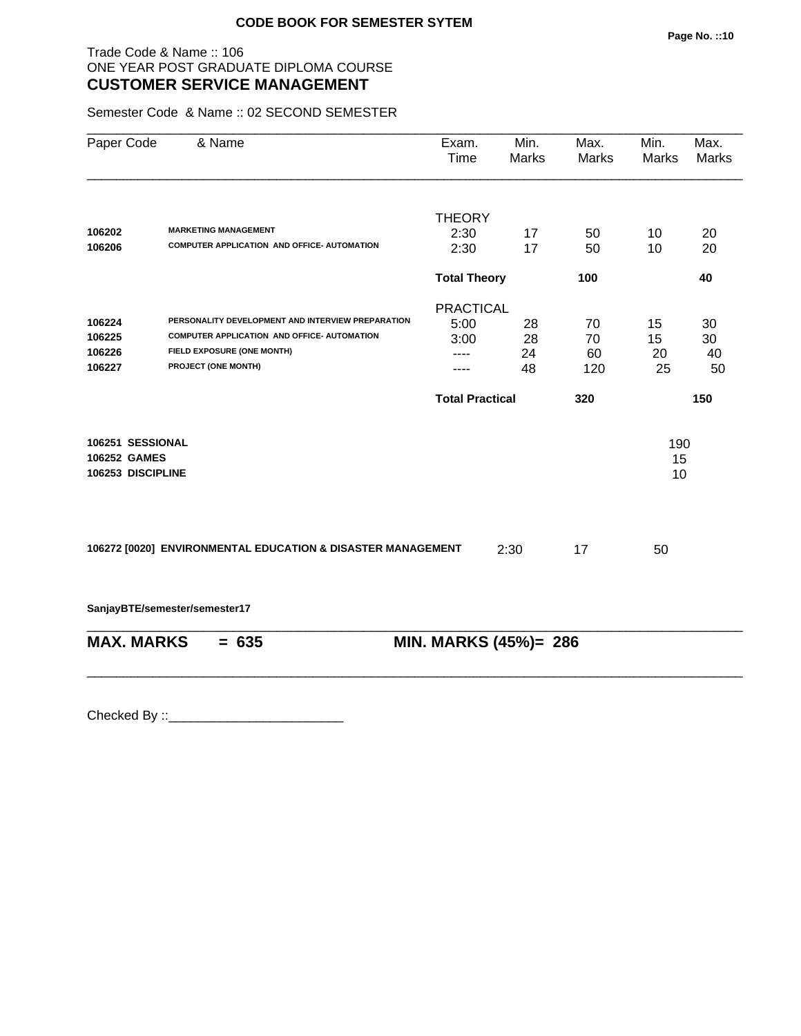### Trade Code & Name :: 106 ONE YEAR POST GRADUATE DIPLOMA COURSE **CUSTOMER SERVICE MANAGEMENT**

Semester Code & Name :: 02 SECOND SEMESTER

| Max.<br>Marks | Min.<br><b>Marks</b>   | Min.<br><b>Marks</b> | Max.<br>Marks |
|---------------|------------------------|----------------------|---------------|
|               | <b>THEORY</b>          |                      |               |
| 50            | 17                     | 10                   | 20            |
| 50            | 17                     | 10                   | 20            |
| 100           | <b>Total Theory</b>    |                      | 40            |
|               | <b>PRACTICAL</b>       |                      |               |
| 70            | 28                     | 15                   | 30            |
| 70            | 28                     | 15                   | 30            |
| 60            | 24                     | 20                   | 40            |
| 120           | 48                     | 25                   | 50            |
| 320           | <b>Total Practical</b> |                      | 150           |
|               |                        | 190<br>15<br>10      |               |
| 17            | 2:30                   | 50                   |               |
|               |                        |                      |               |
|               | MIN. MARKS (45%)= 286  |                      |               |
|               |                        |                      |               |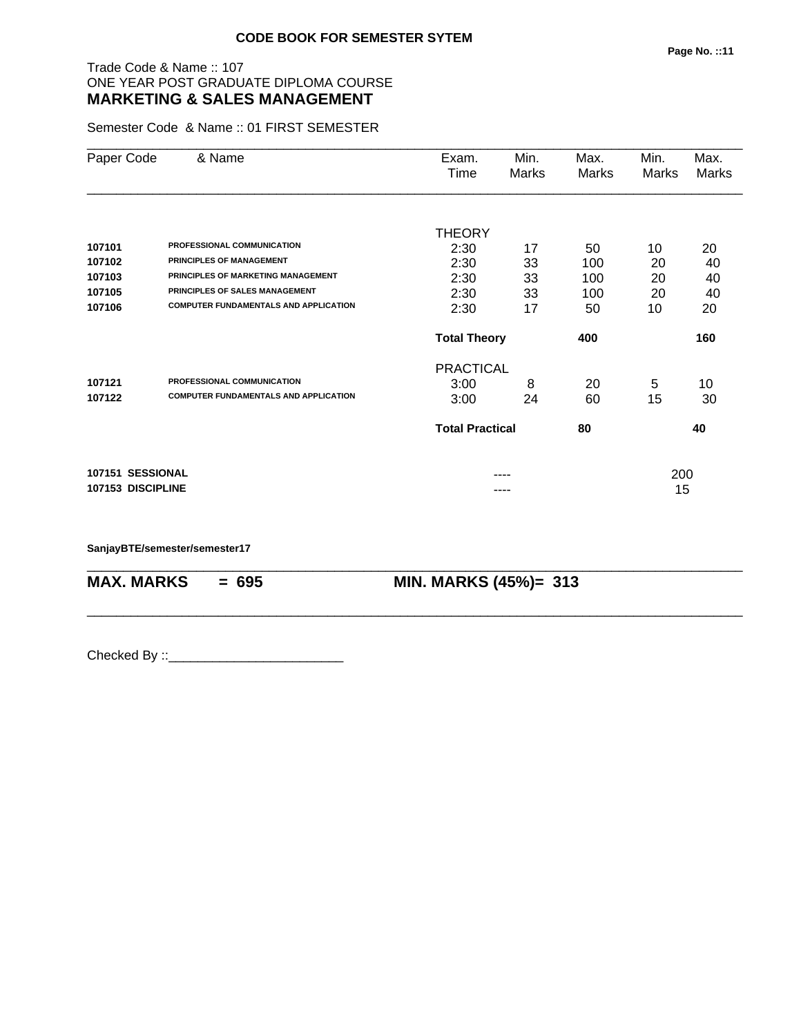# Trade Code & Name :: 107 ONE YEAR POST GRADUATE DIPLOMA COURSE **MARKETING & SALES MANAGEMENT**

Semester Code & Name :: 01 FIRST SEMESTER

| Paper Code        | & Name                                       | Exam.<br>Time          | Min.<br>Marks | Max.<br>Marks | Min.<br>Marks | Max.<br>Marks |
|-------------------|----------------------------------------------|------------------------|---------------|---------------|---------------|---------------|
|                   |                                              |                        |               |               |               |               |
| 107101            | PROFESSIONAL COMMUNICATION                   | THEORY                 |               |               |               |               |
| 107102            | PRINCIPLES OF MANAGEMENT                     | 2:30<br>2:30           | 17            | 50<br>100     | 10            | 20            |
| 107103            | PRINCIPLES OF MARKETING MANAGEMENT           | 2:30                   | 33<br>33      | 100           | 20<br>20      | 40            |
| 107105            | PRINCIPLES OF SALES MANAGEMENT               |                        |               |               |               | 40            |
| 107106            | <b>COMPUTER FUNDAMENTALS AND APPLICATION</b> | 2:30<br>2:30           | 33<br>17      | 100<br>50     | 20<br>10      | 40<br>20      |
|                   |                                              | <b>Total Theory</b>    |               | 400           |               | 160           |
|                   |                                              | <b>PRACTICAL</b>       |               |               |               |               |
| 107121            | PROFESSIONAL COMMUNICATION                   | 3:00                   | 8             | 20            | 5             | 10            |
| 107122            | <b>COMPUTER FUNDAMENTALS AND APPLICATION</b> | 3:00                   | 24            | 60            | 15            | 30            |
|                   |                                              | <b>Total Practical</b> |               | 80            |               | 40            |
| 107151 SESSIONAL  |                                              |                        |               |               | 200           |               |
| 107153 DISCIPLINE |                                              |                        |               |               | 15            |               |

\_\_\_\_\_\_\_\_\_\_\_\_\_\_\_\_\_\_\_\_\_\_\_\_\_\_\_\_\_\_\_\_\_\_\_\_\_\_\_\_\_\_\_\_\_\_\_\_\_\_\_\_\_\_\_\_\_\_\_\_\_\_\_\_\_\_\_\_\_\_\_\_\_\_\_\_\_\_\_\_\_\_\_\_\_\_\_\_\_\_

\_\_\_\_\_\_\_\_\_\_\_\_\_\_\_\_\_\_\_\_\_\_\_\_\_\_\_\_\_\_\_\_\_\_\_\_\_\_\_\_\_\_\_\_\_\_\_\_\_\_\_\_\_\_\_\_\_\_\_\_\_\_\_\_\_\_\_\_\_\_\_\_\_\_\_\_\_\_\_\_\_\_\_\_\_\_\_\_\_\_

**SanjayBTE/semester/semester17**

**MAX. MARKS = 695 MIN. MARKS (45%)= 313**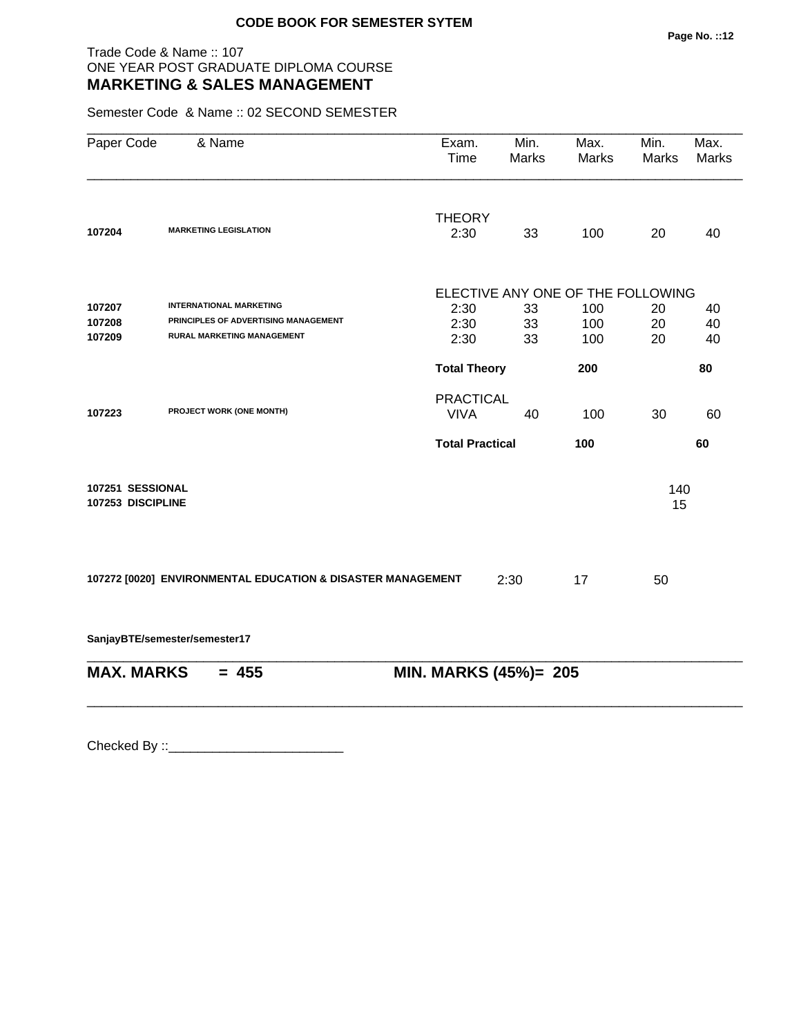### Trade Code & Name :: 107 ONE YEAR POST GRADUATE DIPLOMA COURSE **MARKETING & SALES MANAGEMENT**

Semester Code & Name :: 02 SECOND SEMESTER

| Paper Code        | & Name                                                      | Exam.<br>Time                     | Min.<br><b>Marks</b> | Max.<br>Marks | Min.<br>Marks | Max.<br><b>Marks</b> |  |
|-------------------|-------------------------------------------------------------|-----------------------------------|----------------------|---------------|---------------|----------------------|--|
| 107204            | <b>MARKETING LEGISLATION</b>                                | <b>THEORY</b><br>2:30             | 33                   | 100           | 20            | 40                   |  |
|                   |                                                             |                                   |                      |               |               |                      |  |
|                   |                                                             | ELECTIVE ANY ONE OF THE FOLLOWING |                      |               |               |                      |  |
| 107207            | <b>INTERNATIONAL MARKETING</b>                              | 2:30                              | 33                   | 100           | 20            | 40                   |  |
| 107208            | PRINCIPLES OF ADVERTISING MANAGEMENT                        | 2:30                              | 33                   | 100           | 20            | 40                   |  |
| 107209            | RURAL MARKETING MANAGEMENT                                  | 2:30                              | 33                   | 100           | 20            | 40                   |  |
|                   |                                                             | <b>Total Theory</b>               |                      | 200           |               | 80                   |  |
|                   |                                                             | <b>PRACTICAL</b>                  |                      |               |               |                      |  |
| 107223            | PROJECT WORK (ONE MONTH)                                    | <b>VIVA</b>                       | 40                   | 100           | 30            | 60                   |  |
|                   |                                                             | <b>Total Practical</b>            |                      | 100           |               | 60                   |  |
| 107251 SESSIONAL  |                                                             |                                   |                      |               | 140           |                      |  |
| 107253 DISCIPLINE |                                                             |                                   |                      |               | 15            |                      |  |
|                   |                                                             |                                   |                      |               |               |                      |  |
|                   | 107272 [0020] ENVIRONMENTAL EDUCATION & DISASTER MANAGEMENT |                                   | 2:30                 | 17            | 50            |                      |  |
|                   | SanjayBTE/semester/semester17                               |                                   |                      |               |               |                      |  |
| <b>MAX. MARKS</b> | $= 455$                                                     | MIN. MARKS (45%)= 205             |                      |               |               |                      |  |
|                   |                                                             |                                   |                      |               |               |                      |  |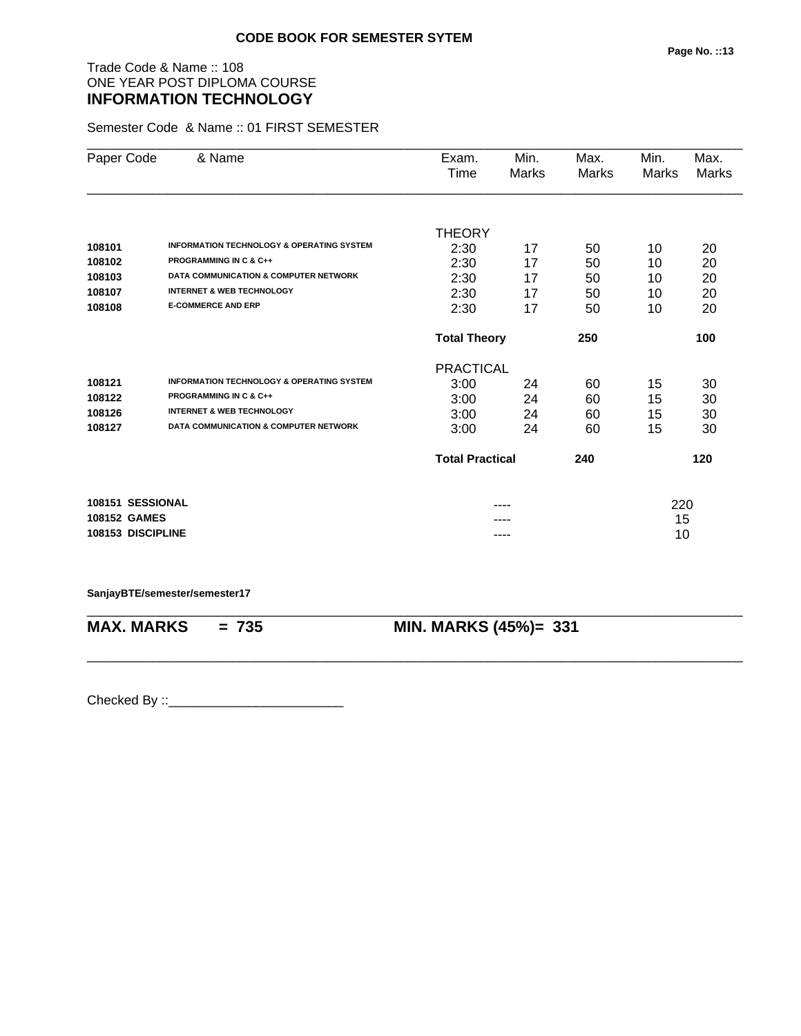# Trade Code & Name :: 108 ONE YEAR POST DIPLOMA COURSE **INFORMATION TECHNOLOGY**

Semester Code & Name :: 01 FIRST SEMESTER

| Paper Code        | & Name                                               | Exam.<br>Time                 | Min.<br>Marks | Max.<br>Marks | Min.<br>Marks | Max.<br>Marks |
|-------------------|------------------------------------------------------|-------------------------------|---------------|---------------|---------------|---------------|
|                   |                                                      |                               |               |               |               |               |
|                   |                                                      | <b>THEORY</b>                 |               |               |               |               |
| 108101            | <b>INFORMATION TECHNOLOGY &amp; OPERATING SYSTEM</b> | 2:30                          | 17            | 50            | 10            | 20            |
| 108102            | <b>PROGRAMMING IN C &amp; C++</b>                    | 2:30                          | 17            | 50            | 10            | 20            |
| 108103            | <b>DATA COMMUNICATION &amp; COMPUTER NETWORK</b>     | 2:30                          | 17            | 50            | 10            | 20            |
| 108107            | <b>INTERNET &amp; WEB TECHNOLOGY</b>                 | 2:30                          | 17            | 50            | 10            | 20            |
| 108108            | <b>E-COMMERCE AND ERP</b>                            | 2:30                          | 17            | 50            | 10            | 20            |
|                   |                                                      | <b>Total Theory</b><br>250    |               |               |               | 100           |
|                   |                                                      | <b>PRACTICAL</b>              |               |               |               |               |
| 108121            | <b>INFORMATION TECHNOLOGY &amp; OPERATING SYSTEM</b> | 3:00                          | 24            | 60            | 15            | 30            |
| 108122            | <b>PROGRAMMING IN C &amp; C++</b>                    | 3:00                          | 24            | 60            | 15            | 30            |
| 108126            | <b>INTERNET &amp; WEB TECHNOLOGY</b>                 | 3:00                          | 24            | 60            | 15            | 30            |
| 108127            | <b>DATA COMMUNICATION &amp; COMPUTER NETWORK</b>     | 3:00                          | 24            | 60            | 15            | 30            |
|                   |                                                      | <b>Total Practical</b><br>240 |               |               |               | 120           |
| 108151 SESSIONAL  |                                                      |                               |               |               | 220           |               |
| 108152 GAMES      |                                                      |                               |               |               | 15            |               |
| 108153 DISCIPLINE |                                                      |                               | ----          |               | 10            |               |

**SanjayBTE/semester/semester17**

\_\_\_\_\_\_\_\_\_\_\_\_\_\_\_\_\_\_\_\_\_\_\_\_\_\_\_\_\_\_\_\_\_\_\_\_\_\_\_\_\_\_\_\_\_\_\_\_\_\_\_\_\_\_\_\_\_\_\_\_\_\_\_\_\_\_\_\_\_\_\_\_\_\_\_\_\_\_\_\_\_\_\_\_\_\_\_\_\_\_ **MAX. MARKS = 735 MIN. MARKS (45%)= 331**

\_\_\_\_\_\_\_\_\_\_\_\_\_\_\_\_\_\_\_\_\_\_\_\_\_\_\_\_\_\_\_\_\_\_\_\_\_\_\_\_\_\_\_\_\_\_\_\_\_\_\_\_\_\_\_\_\_\_\_\_\_\_\_\_\_\_\_\_\_\_\_\_\_\_\_\_\_\_\_\_\_\_\_\_\_\_\_\_\_\_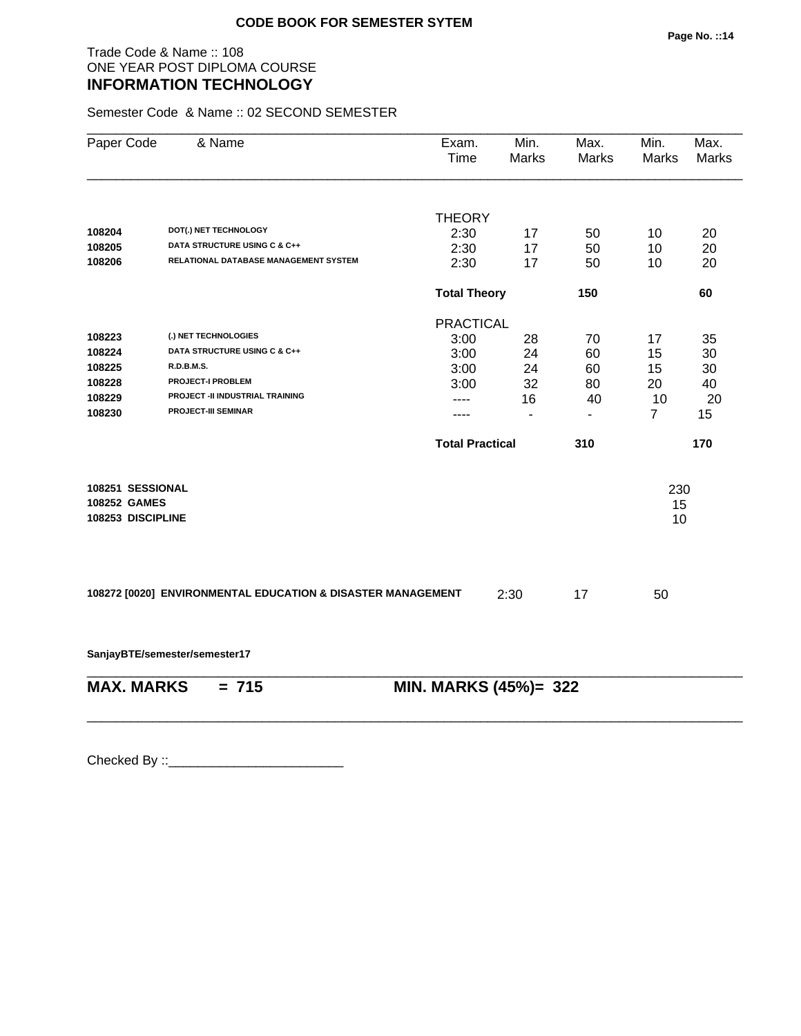#### Trade Code & Name :: 108 ONE YEAR POST DIPLOMA COURSE **INFORMATION TECHNOLOGY**

Semester Code & Name :: 02 SECOND SEMESTER

| Paper Code        | & Name                                                      | Exam.<br>Time          | Min.<br><b>Marks</b> | Max.<br>Marks  | Min.<br><b>Marks</b> | Max.<br><b>Marks</b> |
|-------------------|-------------------------------------------------------------|------------------------|----------------------|----------------|----------------------|----------------------|
|                   |                                                             | <b>THEORY</b>          |                      |                |                      |                      |
| 108204            | DOT(.) NET TECHNOLOGY                                       | 2:30                   | 17                   | 50             | 10                   | 20                   |
| 108205            | DATA STRUCTURE USING C & C++                                | 2:30                   | 17                   | 50             | 10                   | 20                   |
| 108206            | RELATIONAL DATABASE MANAGEMENT SYSTEM                       | 2:30                   | 17                   | 50             | 10                   | 20                   |
|                   |                                                             |                        | <b>Total Theory</b>  |                |                      | 60                   |
|                   |                                                             | <b>PRACTICAL</b>       |                      |                |                      |                      |
| 108223            | (.) NET TECHNOLOGIES                                        | 3:00                   | 28                   | 70             | 17                   | 35                   |
| 108224            | DATA STRUCTURE USING C & C++                                | 3:00                   | 24                   | 60             | 15                   | 30                   |
| 108225            | <b>R.D.B.M.S.</b>                                           | 3:00                   | 24                   | 60             | 15                   | 30                   |
| 108228            | <b>PROJECT-I PROBLEM</b>                                    | 3:00                   | 32                   | 80             | 20                   | 40                   |
| 108229            | PROJECT -II INDUSTRIAL TRAINING                             |                        | 16                   | 40             | 10                   | 20                   |
| 108230            | <b>PROJECT-III SEMINAR</b>                                  |                        | $\blacksquare$       | $\blacksquare$ | $\overline{7}$       | 15                   |
|                   |                                                             | <b>Total Practical</b> |                      | 310            |                      | 170                  |
| 108251 SESSIONAL  |                                                             |                        |                      |                | 230                  |                      |
| 108252 GAMES      |                                                             |                        |                      |                | 15                   |                      |
| 108253 DISCIPLINE |                                                             |                        |                      |                | 10                   |                      |
|                   |                                                             |                        |                      |                |                      |                      |
|                   |                                                             |                        |                      |                |                      |                      |
|                   | 108272 [0020] ENVIRONMENTAL EDUCATION & DISASTER MANAGEMENT |                        | 2:30                 | 17             | 50                   |                      |
|                   | SanjayBTE/semester/semester17                               |                        |                      |                |                      |                      |
| <b>MAX. MARKS</b> | $= 715$                                                     | MIN. MARKS (45%)= 322  |                      |                |                      |                      |
|                   |                                                             |                        |                      |                |                      |                      |
|                   |                                                             |                        |                      |                |                      |                      |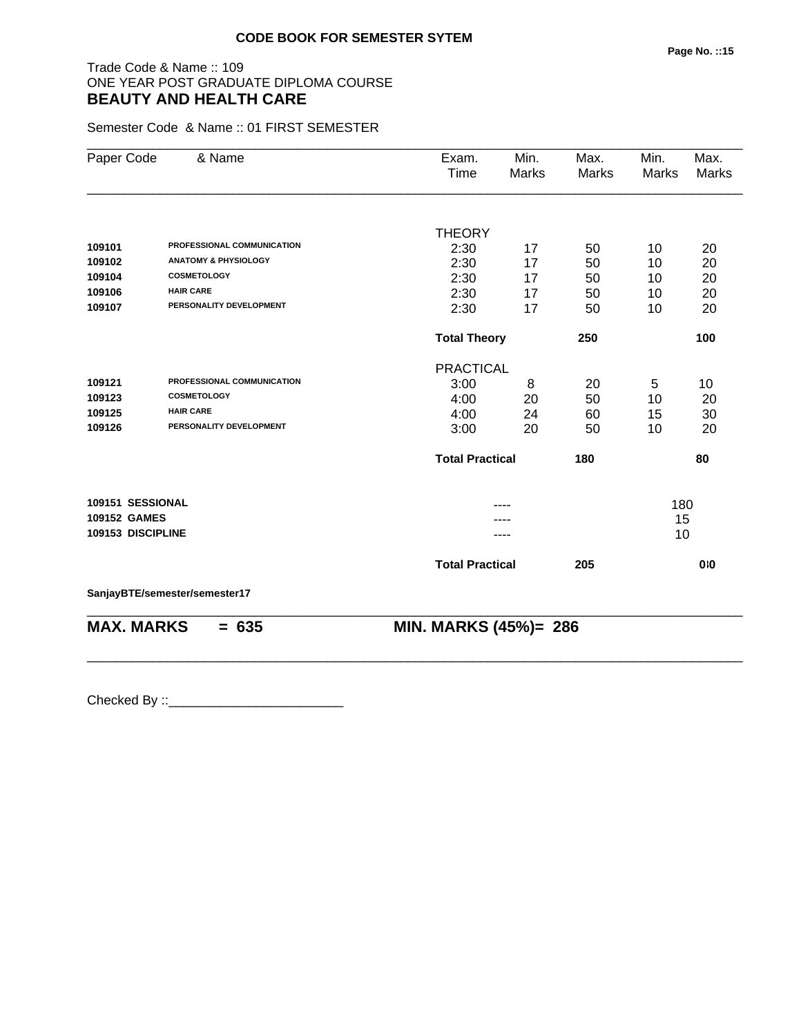### Trade Code & Name :: 109 ONE YEAR POST GRADUATE DIPLOMA COURSE **BEAUTY AND HEALTH CARE**

Semester Code & Name :: 01 FIRST SEMESTER

| Paper Code          | & Name                            | Exam.<br>Time              | Min.<br>Marks | Max.<br><b>Marks</b> | Min.<br><b>Marks</b> | Max.<br><b>Marks</b> |
|---------------------|-----------------------------------|----------------------------|---------------|----------------------|----------------------|----------------------|
|                     |                                   |                            |               |                      |                      |                      |
|                     |                                   | <b>THEORY</b>              |               |                      |                      |                      |
| 109101              | <b>PROFESSIONAL COMMUNICATION</b> | 2:30                       | 17            | 50                   | 10                   | 20                   |
| 109102              | <b>ANATOMY &amp; PHYSIOLOGY</b>   | 2:30                       | 17            | 50                   | 10                   | 20                   |
| 109104              | <b>COSMETOLOGY</b>                | 2:30                       | 17            | 50                   | 10                   | 20                   |
| 109106              | <b>HAIR CARE</b>                  | 2:30                       | 17            | 50                   | 10                   | 20                   |
| 109107              | PERSONALITY DEVELOPMENT           | 2:30                       | 17            | 50                   | 10                   | 20                   |
|                     |                                   | <b>Total Theory</b><br>250 |               |                      | 100                  |                      |
|                     |                                   | <b>PRACTICAL</b>           |               |                      |                      |                      |
| 109121              | PROFESSIONAL COMMUNICATION        | 3:00                       | 8             | 20                   | 5                    | 10                   |
| 109123              | <b>COSMETOLOGY</b>                | 4:00                       | 20            | 50                   | 10                   | 20                   |
| 109125              | <b>HAIR CARE</b>                  | 4:00                       | 24            | 60                   | 15                   | 30                   |
| 109126              | PERSONALITY DEVELOPMENT           | 3:00                       | 20            | 50                   | 10                   | 20                   |
|                     |                                   | <b>Total Practical</b>     |               | 180                  |                      | 80                   |
| 109151 SESSIONAL    |                                   |                            | ----          |                      | 180                  |                      |
| <b>109152 GAMES</b> |                                   |                            |               |                      | 15                   |                      |
| 109153 DISCIPLINE   |                                   |                            |               |                      | 10                   |                      |
|                     |                                   | <b>Total Practical</b>     |               | 205                  |                      | 0:0                  |
|                     | SanjayBTE/semester/semester17     |                            |               |                      |                      |                      |
| <b>MAX. MARKS</b>   | $= 635$                           | MIN. MARKS (45%)= 286      |               |                      |                      |                      |
|                     |                                   |                            |               |                      |                      |                      |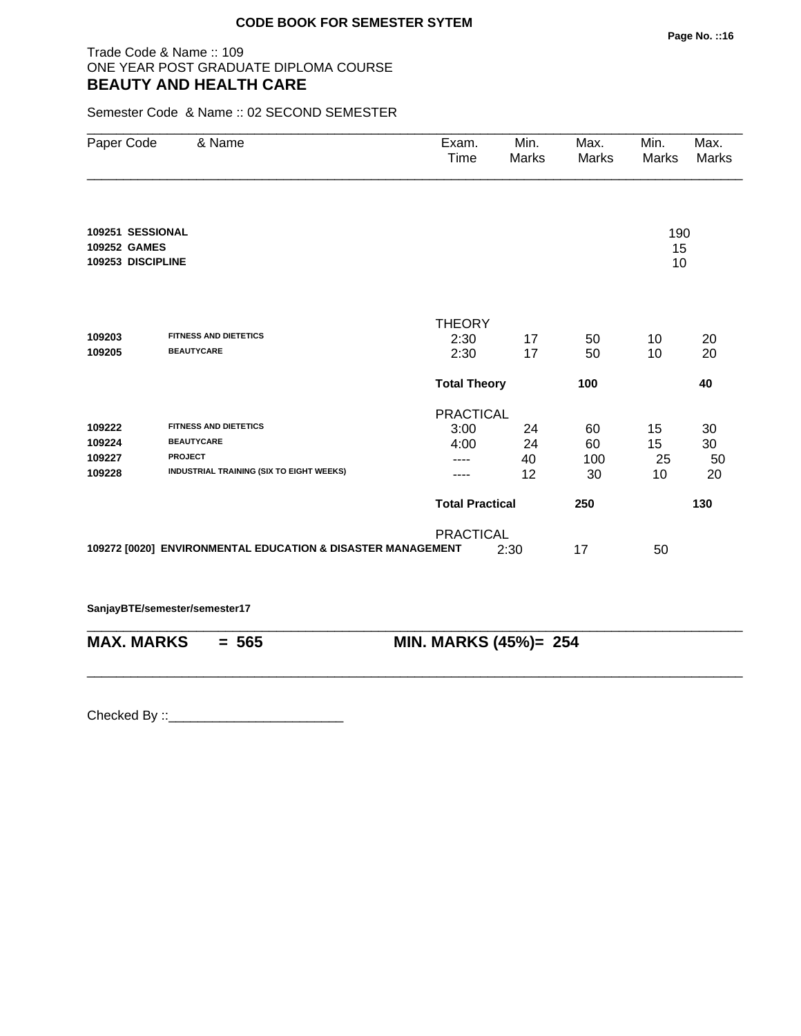### Trade Code & Name :: 109 ONE YEAR POST GRADUATE DIPLOMA COURSE **BEAUTY AND HEALTH CARE**

Semester Code & Name :: 02 SECOND SEMESTER

| Paper Code        | & Name                                                      | Exam.<br>Time          | Min.<br>Marks | Max.<br>Marks | Min.<br>Marks | Max.<br>Marks |
|-------------------|-------------------------------------------------------------|------------------------|---------------|---------------|---------------|---------------|
|                   |                                                             |                        |               |               |               |               |
| 109251 SESSIONAL  |                                                             |                        |               |               | 190           |               |
| 109252 GAMES      |                                                             |                        |               |               | 15            |               |
| 109253 DISCIPLINE |                                                             |                        |               |               | 10            |               |
|                   |                                                             |                        |               |               |               |               |
|                   |                                                             | <b>THEORY</b>          |               |               |               |               |
| 109203            | FITNESS AND DIETETICS                                       | 2:30                   | 17            | 50            | 10            | 20            |
| 109205            | <b>BEAUTYCARE</b>                                           | 2:30                   | 17            | 50            | 10            | 20            |
|                   |                                                             | <b>Total Theory</b>    |               | 100           |               | 40            |
|                   |                                                             | <b>PRACTICAL</b>       |               |               |               |               |
| 109222            | FITNESS AND DIETETICS                                       | 3:00                   | 24            | 60            | 15            | 30            |
| 109224            | <b>BEAUTYCARE</b>                                           | 4:00                   | 24            | 60            | 15            | 30            |
| 109227            | <b>PROJECT</b>                                              | ----                   | 40            | 100           | 25            | 50            |
| 109228            | INDUSTRIAL TRAINING (SIX TO EIGHT WEEKS)                    | ----                   | 12            | 30            | 10            | 20            |
|                   |                                                             | <b>Total Practical</b> |               | 250           |               | 130           |
|                   |                                                             | <b>PRACTICAL</b>       |               |               |               |               |
|                   | 109272 [0020] ENVIRONMENTAL EDUCATION & DISASTER MANAGEMENT |                        | 2:30          | 17            | 50            |               |
|                   |                                                             |                        |               |               |               |               |
|                   | SanjayBTE/semester/semester17                               |                        |               |               |               |               |

\_\_\_\_\_\_\_\_\_\_\_\_\_\_\_\_\_\_\_\_\_\_\_\_\_\_\_\_\_\_\_\_\_\_\_\_\_\_\_\_\_\_\_\_\_\_\_\_\_\_\_\_\_\_\_\_\_\_\_\_\_\_\_\_\_\_\_\_\_\_\_\_\_\_\_\_\_\_\_\_\_\_\_\_\_\_\_\_\_\_

**MAX. MARKS = 565 MIN. MARKS (45%)= 254**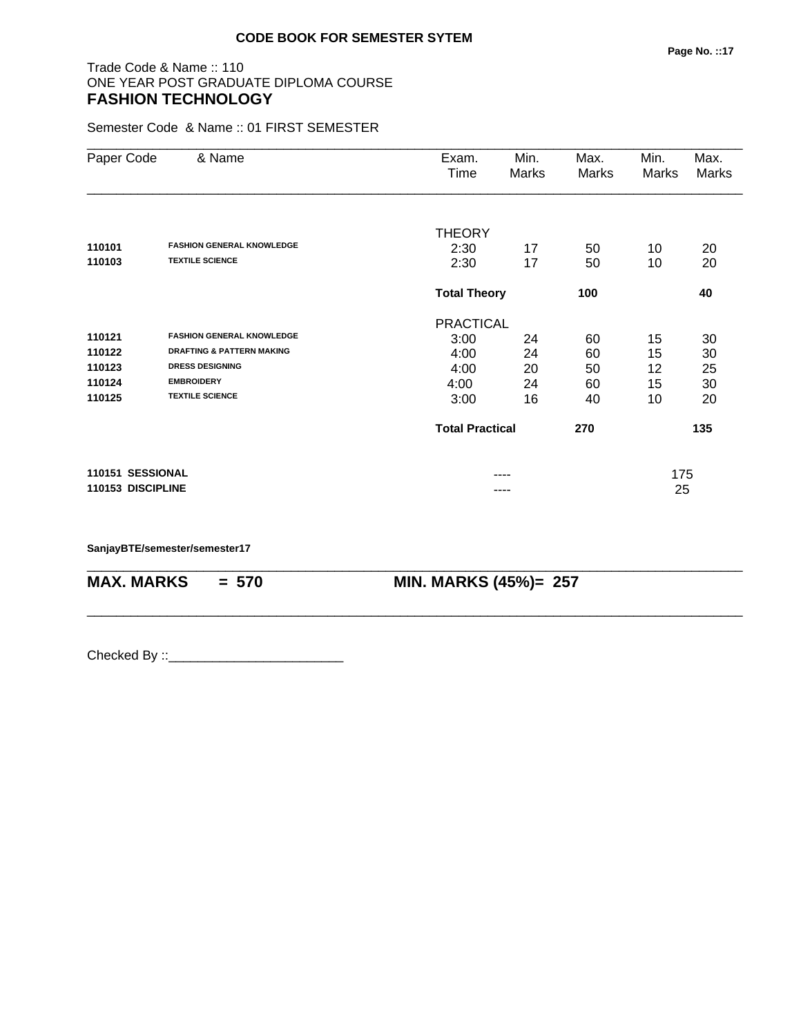#### Trade Code & Name :: 110 ONE YEAR POST GRADUATE DIPLOMA COURSE **FASHION TECHNOLOGY**

Semester Code & Name :: 01 FIRST SEMESTER

| Paper Code        | & Name                               | Exam.<br>Time          | Min.<br>Marks              | Max.<br>Marks | Min.<br>Marks | Max.<br><b>Marks</b> |
|-------------------|--------------------------------------|------------------------|----------------------------|---------------|---------------|----------------------|
|                   |                                      | <b>THEORY</b>          |                            |               |               |                      |
| 110101            | <b>FASHION GENERAL KNOWLEDGE</b>     | 2:30                   | 17                         | 50            | 10            | 20                   |
| 110103            | <b>TEXTILE SCIENCE</b>               | 2:30                   | 17                         | 50            | 10            | 20                   |
|                   |                                      |                        | <b>Total Theory</b><br>100 |               |               | 40                   |
|                   |                                      | <b>PRACTICAL</b>       |                            |               |               |                      |
| 110121            | <b>FASHION GENERAL KNOWLEDGE</b>     | 3:00                   | 24                         | 60            | 15            | 30                   |
| 110122            | <b>DRAFTING &amp; PATTERN MAKING</b> | 4:00                   | 24                         | 60            | 15            | 30                   |
| 110123            | <b>DRESS DESIGNING</b>               | 4:00                   | 20                         | 50            | 12            | 25                   |
| 110124            | <b>EMBROIDERY</b>                    | 4:00                   | 24                         | 60            | 15            | 30                   |
| 110125            | <b>TEXTILE SCIENCE</b>               | 3:00                   | 16                         | 40            | 10            | 20                   |
|                   |                                      | <b>Total Practical</b> |                            | 270           |               | 135                  |
| 110151 SESSIONAL  |                                      |                        |                            |               | 175           |                      |
| 110153 DISCIPLINE |                                      |                        |                            |               | 25            |                      |

\_\_\_\_\_\_\_\_\_\_\_\_\_\_\_\_\_\_\_\_\_\_\_\_\_\_\_\_\_\_\_\_\_\_\_\_\_\_\_\_\_\_\_\_\_\_\_\_\_\_\_\_\_\_\_\_\_\_\_\_\_\_\_\_\_\_\_\_\_\_\_\_\_\_\_\_\_\_\_\_\_\_\_\_\_\_\_\_\_\_

\_\_\_\_\_\_\_\_\_\_\_\_\_\_\_\_\_\_\_\_\_\_\_\_\_\_\_\_\_\_\_\_\_\_\_\_\_\_\_\_\_\_\_\_\_\_\_\_\_\_\_\_\_\_\_\_\_\_\_\_\_\_\_\_\_\_\_\_\_\_\_\_\_\_\_\_\_\_\_\_\_\_\_\_\_\_\_\_\_\_

**SanjayBTE/semester/semester17**

**MAX. MARKS = 570 MIN. MARKS (45%)= 257**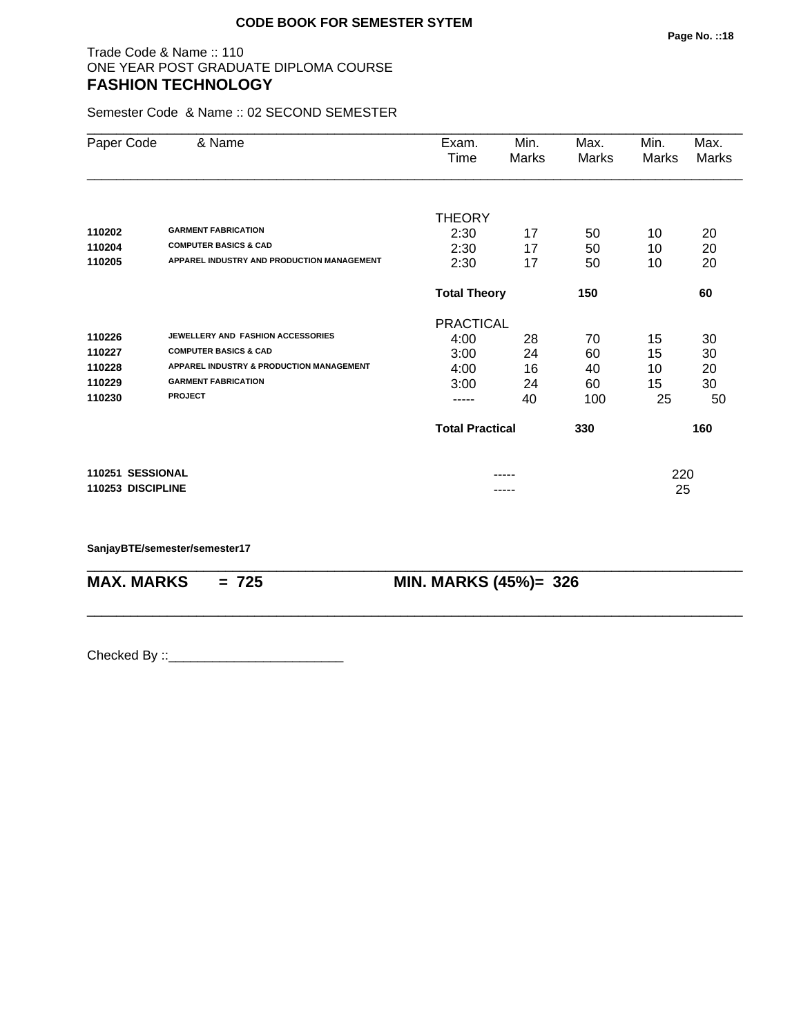#### Trade Code & Name :: 110 ONE YEAR POST GRADUATE DIPLOMA COURSE **FASHION TECHNOLOGY**

Semester Code & Name :: 02 SECOND SEMESTER

| Paper Code        | & Name                                     | Exam.                      | Min.  | Max.         | Min.  | Max.  |
|-------------------|--------------------------------------------|----------------------------|-------|--------------|-------|-------|
|                   |                                            | Time                       | Marks | <b>Marks</b> | Marks | Marks |
|                   |                                            |                            |       |              |       |       |
|                   |                                            | <b>THEORY</b>              |       |              |       |       |
| 110202            | <b>GARMENT FABRICATION</b>                 | 2:30                       | 17    | 50           | 10    | 20    |
| 110204            | <b>COMPUTER BASICS &amp; CAD</b>           | 2:30                       | 17    | 50           | 10    | 20    |
| 110205            | APPAREL INDUSTRY AND PRODUCTION MANAGEMENT | 2:30                       | 17    | 50           | 10    | 20    |
|                   |                                            | <b>Total Theory</b><br>150 |       |              |       | 60    |
|                   |                                            | <b>PRACTICAL</b>           |       |              |       |       |
| 110226            | JEWELLERY AND FASHION ACCESSORIES          | 4:00                       | 28    | 70           | 15    | 30    |
| 110227            | <b>COMPUTER BASICS &amp; CAD</b>           | 3:00                       | 24    | 60           | 15    | 30    |
| 110228            | APPAREL INDUSTRY & PRODUCTION MANAGEMENT   | 4:00                       | 16    | 40           | 10    | 20    |
| 110229            | <b>GARMENT FABRICATION</b>                 | 3:00                       | 24    | 60           | 15    | 30    |
| 110230            | <b>PROJECT</b>                             |                            | 40    | 100          | 25    | 50    |
|                   |                                            | <b>Total Practical</b>     |       | 330          |       | 160   |
| 110251 SESSIONAL  |                                            |                            |       |              | 220   |       |
| 110253 DISCIPLINE |                                            |                            |       |              | 25    |       |

\_\_\_\_\_\_\_\_\_\_\_\_\_\_\_\_\_\_\_\_\_\_\_\_\_\_\_\_\_\_\_\_\_\_\_\_\_\_\_\_\_\_\_\_\_\_\_\_\_\_\_\_\_\_\_\_\_\_\_\_\_\_\_\_\_\_\_\_\_\_\_\_\_\_\_\_\_\_\_\_\_\_\_\_\_\_\_\_\_\_

\_\_\_\_\_\_\_\_\_\_\_\_\_\_\_\_\_\_\_\_\_\_\_\_\_\_\_\_\_\_\_\_\_\_\_\_\_\_\_\_\_\_\_\_\_\_\_\_\_\_\_\_\_\_\_\_\_\_\_\_\_\_\_\_\_\_\_\_\_\_\_\_\_\_\_\_\_\_\_\_\_\_\_\_\_\_\_\_\_\_

**SanjayBTE/semester/semester17**

**MAX. MARKS = 725 MIN. MARKS (45%)= 326**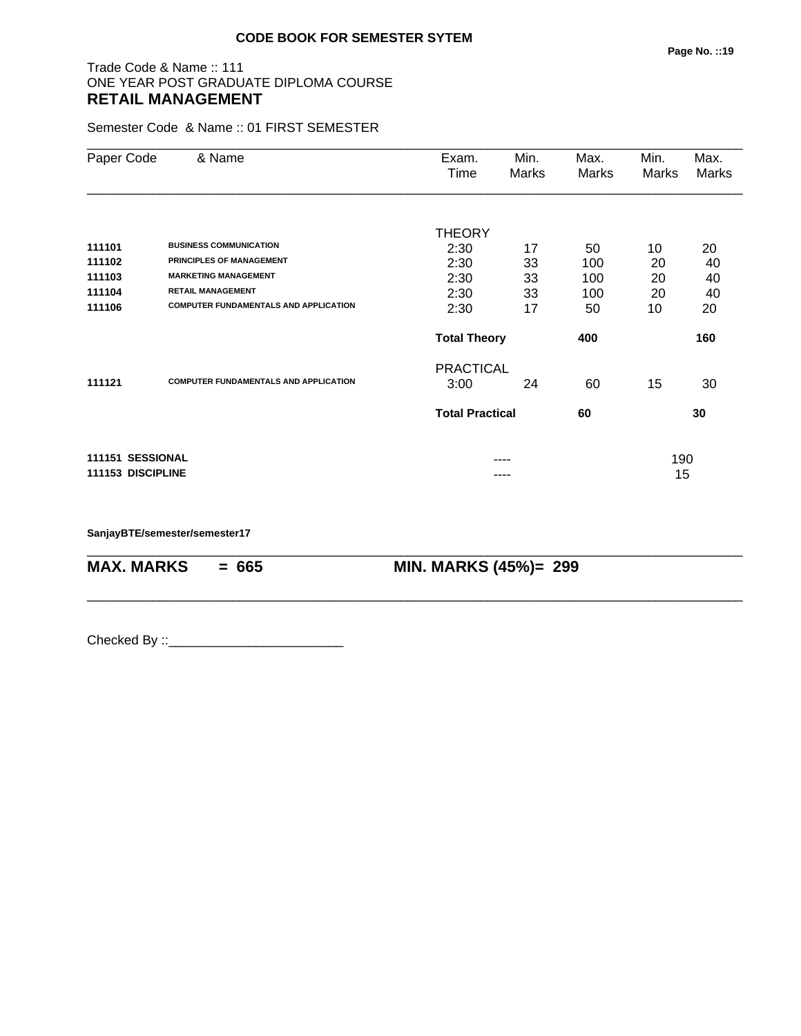#### Trade Code & Name :: 111 ONE YEAR POST GRADUATE DIPLOMA COURSE **RETAIL MANAGEMENT**

Semester Code & Name :: 01 FIRST SEMESTER

| Paper Code        | & Name                                       | Exam.<br>Time          | Min.<br>Marks | Max.<br>Marks | Min.<br>Marks | Max.<br><b>Marks</b> |
|-------------------|----------------------------------------------|------------------------|---------------|---------------|---------------|----------------------|
|                   |                                              |                        |               |               |               |                      |
|                   |                                              | <b>THEORY</b>          |               |               |               |                      |
| 111101            | <b>BUSINESS COMMUNICATION</b>                | 2:30                   | 17            | 50            | 10            | 20                   |
| 111102            | <b>PRINCIPLES OF MANAGEMENT</b>              | 2:30                   | 33            | 100           | 20            | 40                   |
| 111103            | <b>MARKETING MANAGEMENT</b>                  | 2:30                   | 33            | 100           | 20            | 40                   |
| 111104            | <b>RETAIL MANAGEMENT</b>                     | 2:30                   | 33            | 100           | 20            | 40                   |
| 111106            | <b>COMPUTER FUNDAMENTALS AND APPLICATION</b> | 2:30                   | 17            | 50            | 10            | 20                   |
|                   |                                              | <b>Total Theory</b>    |               | 400           |               | 160                  |
|                   |                                              | <b>PRACTICAL</b>       |               |               |               |                      |
| 111121            | <b>COMPUTER FUNDAMENTALS AND APPLICATION</b> | 3:00                   | 24            | 60            | 15            | 30                   |
|                   |                                              | <b>Total Practical</b> |               | 60            |               | 30                   |
| 111151 SESSIONAL  |                                              |                        | ----          |               | 190           |                      |
| 111153 DISCIPLINE |                                              |                        | ----          |               | 15            |                      |

\_\_\_\_\_\_\_\_\_\_\_\_\_\_\_\_\_\_\_\_\_\_\_\_\_\_\_\_\_\_\_\_\_\_\_\_\_\_\_\_\_\_\_\_\_\_\_\_\_\_\_\_\_\_\_\_\_\_\_\_\_\_\_\_\_\_\_\_\_\_\_\_\_\_\_\_\_\_\_\_\_\_\_\_\_\_\_\_\_\_

\_\_\_\_\_\_\_\_\_\_\_\_\_\_\_\_\_\_\_\_\_\_\_\_\_\_\_\_\_\_\_\_\_\_\_\_\_\_\_\_\_\_\_\_\_\_\_\_\_\_\_\_\_\_\_\_\_\_\_\_\_\_\_\_\_\_\_\_\_\_\_\_\_\_\_\_\_\_\_\_\_\_\_\_\_\_\_\_\_\_

**SanjayBTE/semester/semester17**

**MAX. MARKS** = 665 **MIN. MARKS (45%)**= 299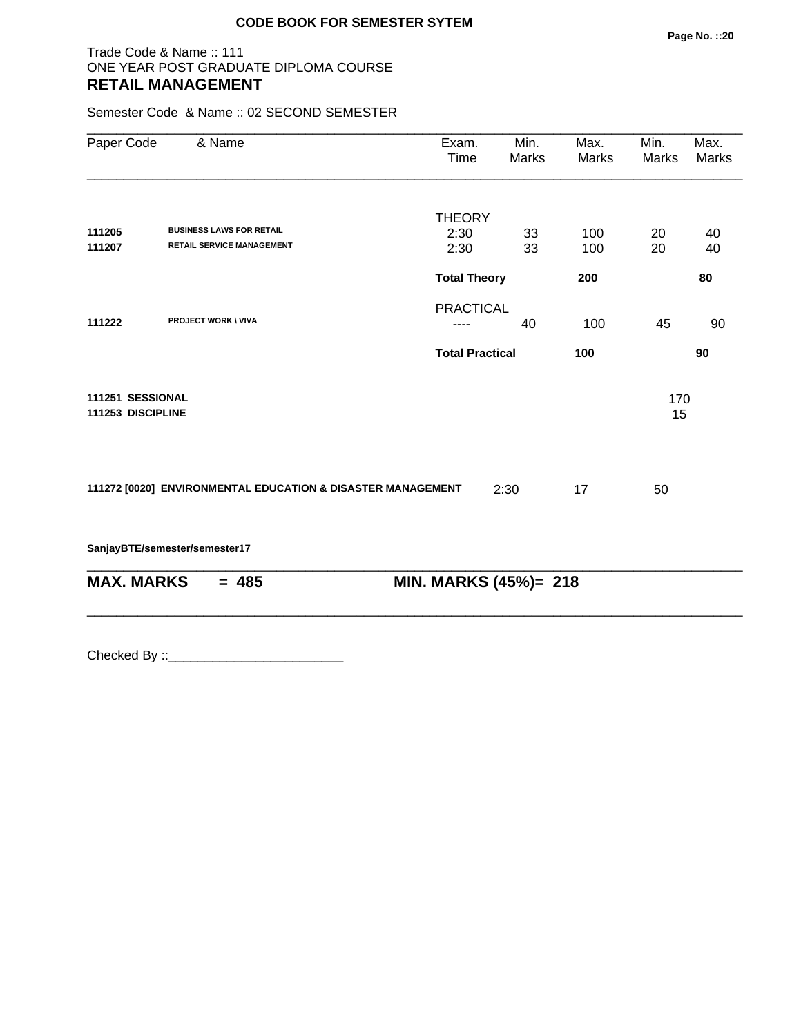#### Trade Code & Name :: 111 ONE YEAR POST GRADUATE DIPLOMA COURSE **RETAIL MANAGEMENT**

Semester Code & Name :: 02 SECOND SEMESTER

| Paper Code                            | & Name                                                      | Exam.<br>Time          | Min.<br>Marks | Max.<br>Marks | Min.<br>Marks | Max.<br><b>Marks</b> |
|---------------------------------------|-------------------------------------------------------------|------------------------|---------------|---------------|---------------|----------------------|
|                                       |                                                             |                        |               |               |               |                      |
|                                       | <b>BUSINESS LAWS FOR RETAIL</b>                             | <b>THEORY</b>          |               |               |               |                      |
| 111205<br>111207                      | <b>RETAIL SERVICE MANAGEMENT</b>                            | 2:30                   | 33            | 100           | 20            | 40                   |
|                                       |                                                             | 2:30                   | 33            | 100           | 20            | 40                   |
|                                       |                                                             | <b>Total Theory</b>    |               | 200           |               | 80                   |
|                                       |                                                             | <b>PRACTICAL</b>       |               |               |               |                      |
| 111222                                | <b>PROJECT WORK \ VIVA</b>                                  | ----                   | 40            | 100           | 45            | 90                   |
|                                       |                                                             | <b>Total Practical</b> |               | 100           |               | 90                   |
| 111251 SESSIONAL<br>111253 DISCIPLINE |                                                             |                        |               |               | 170<br>15     |                      |
|                                       | 111272 [0020] ENVIRONMENTAL EDUCATION & DISASTER MANAGEMENT |                        | 2:30          | 17            | 50            |                      |
|                                       | SanjayBTE/semester/semester17                               |                        |               |               |               |                      |
| <b>MAX. MARKS</b>                     | $= 485$                                                     | MIN. MARKS (45%)= 218  |               |               |               |                      |
|                                       |                                                             |                        |               |               |               |                      |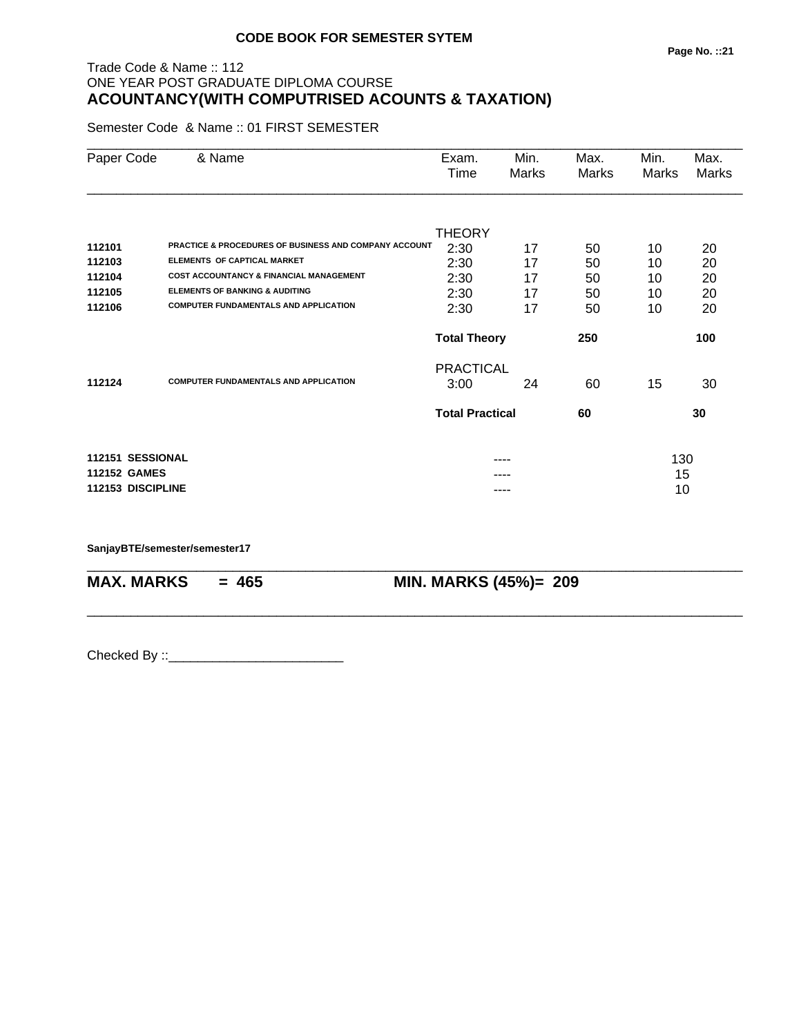# Trade Code & Name :: 112 ONE YEAR POST GRADUATE DIPLOMA COURSE **ACOUNTANCY(WITH COMPUTRISED ACOUNTS & TAXATION)**

Semester Code & Name :: 01 FIRST SEMESTER

| Paper Code          | & Name                                                | Exam.<br>Time          | Min.<br>Marks | Max.<br>Marks | Min.<br>Marks | Max.<br><b>Marks</b> |
|---------------------|-------------------------------------------------------|------------------------|---------------|---------------|---------------|----------------------|
|                     |                                                       |                        |               |               |               |                      |
|                     |                                                       | <b>THEORY</b>          |               |               |               |                      |
| 112101              | PRACTICE & PROCEDURES OF BUSINESS AND COMPANY ACCOUNT | 2:30                   | 17            | 50            | 10            | 20                   |
| 112103              | <b>ELEMENTS OF CAPTICAL MARKET</b>                    | 2:30                   | 17            | 50            | 10            | 20                   |
| 112104              | <b>COST ACCOUNTANCY &amp; FINANCIAL MANAGEMENT</b>    | 2:30                   | 17            | 50            | 10            | 20                   |
| 112105              | <b>ELEMENTS OF BANKING &amp; AUDITING</b>             | 2:30                   | 17            | 50            | 10            | 20                   |
| 112106              | <b>COMPUTER FUNDAMENTALS AND APPLICATION</b>          | 2:30                   | 17            | 50            | 10            | 20                   |
|                     |                                                       | <b>Total Theory</b>    |               | 250           |               | 100                  |
|                     |                                                       | <b>PRACTICAL</b>       |               |               |               |                      |
| 112124              | <b>COMPUTER FUNDAMENTALS AND APPLICATION</b>          | 3:00                   | 24            | 60            | 15            | 30                   |
|                     |                                                       | <b>Total Practical</b> |               | 60            |               | 30                   |
| 112151 SESSIONAL    |                                                       |                        | ----          |               | 130           |                      |
| <b>112152 GAMES</b> |                                                       |                        |               |               | 15            |                      |
| 112153 DISCIPLINE   |                                                       |                        |               |               | 10            |                      |
|                     |                                                       |                        |               |               |               |                      |

\_\_\_\_\_\_\_\_\_\_\_\_\_\_\_\_\_\_\_\_\_\_\_\_\_\_\_\_\_\_\_\_\_\_\_\_\_\_\_\_\_\_\_\_\_\_\_\_\_\_\_\_\_\_\_\_\_\_\_\_\_\_\_\_\_\_\_\_\_\_\_\_\_\_\_\_\_\_\_\_\_\_\_\_\_\_\_\_\_\_

\_\_\_\_\_\_\_\_\_\_\_\_\_\_\_\_\_\_\_\_\_\_\_\_\_\_\_\_\_\_\_\_\_\_\_\_\_\_\_\_\_\_\_\_\_\_\_\_\_\_\_\_\_\_\_\_\_\_\_\_\_\_\_\_\_\_\_\_\_\_\_\_\_\_\_\_\_\_\_\_\_\_\_\_\_\_\_\_\_\_

**SanjayBTE/semester/semester17**

**MAX. MARKS = 465 MIN. MARKS (45%)= 209**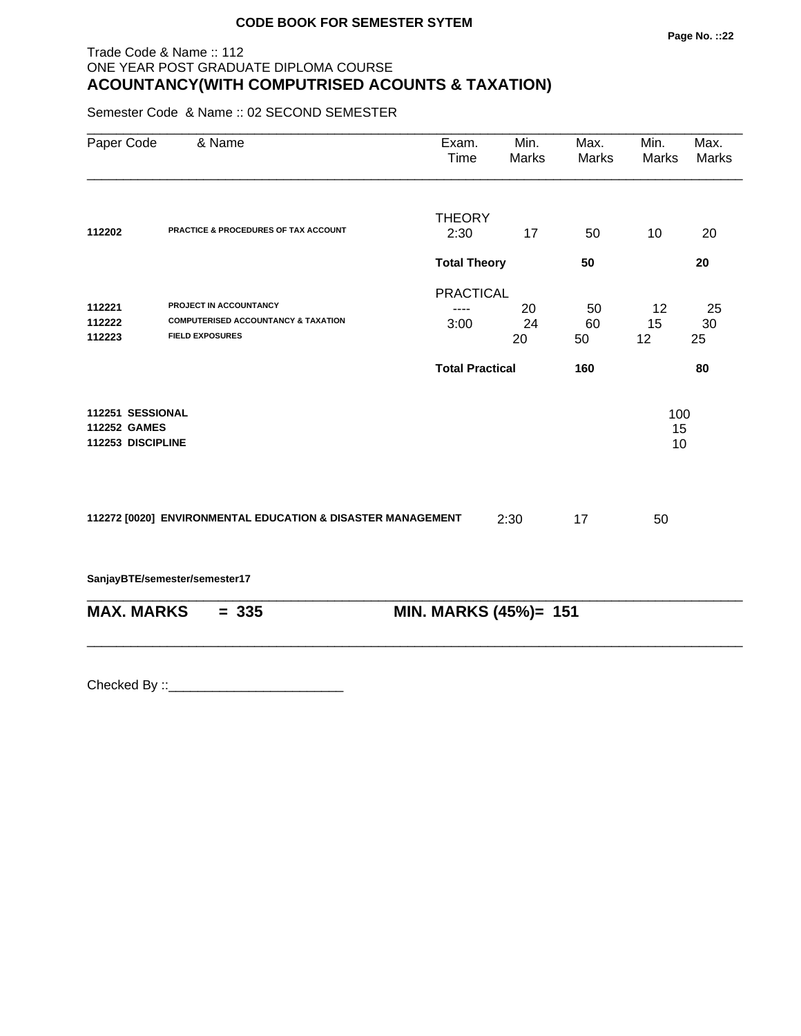# Trade Code & Name :: 112 ONE YEAR POST GRADUATE DIPLOMA COURSE **ACOUNTANCY(WITH COMPUTRISED ACOUNTS & TAXATION)**

Semester Code & Name :: 02 SECOND SEMESTER

| Paper Code          | & Name                                                                   | Exam.<br>Time          | Min.<br>Marks | Max.<br>Marks | Min.<br><b>Marks</b> | Max.<br>Marks |
|---------------------|--------------------------------------------------------------------------|------------------------|---------------|---------------|----------------------|---------------|
|                     |                                                                          | <b>THEORY</b>          |               |               |                      |               |
| 112202              | PRACTICE & PROCEDURES OF TAX ACCOUNT                                     | 2:30                   | 17            | 50            | 10                   | 20            |
|                     |                                                                          | <b>Total Theory</b>    |               | 50            |                      | 20            |
|                     |                                                                          | <b>PRACTICAL</b>       |               |               |                      |               |
| 112221              | PROJECT IN ACCOUNTANCY                                                   |                        | 20            | 50            | 12                   | 25            |
| 112222<br>112223    | <b>COMPUTERISED ACCOUNTANCY &amp; TAXATION</b><br><b>FIELD EXPOSURES</b> | 3:00                   | 24<br>20      | 60<br>50      | 15<br>12             | 30<br>25      |
|                     |                                                                          |                        |               |               |                      |               |
|                     |                                                                          | <b>Total Practical</b> |               | 160           |                      | 80            |
| 112251 SESSIONAL    |                                                                          |                        |               |               | 100                  |               |
| <b>112252 GAMES</b> |                                                                          |                        |               |               | 15                   |               |
| 112253 DISCIPLINE   |                                                                          |                        |               |               | 10                   |               |
|                     | 112272 [0020] ENVIRONMENTAL EDUCATION & DISASTER MANAGEMENT              |                        | 2:30          | 17            | 50                   |               |
|                     | SanjayBTE/semester/semester17                                            |                        |               |               |                      |               |
| <b>MAX. MARKS</b>   | $= 335$                                                                  | MIN. MARKS (45%)= 151  |               |               |                      |               |
|                     |                                                                          |                        |               |               |                      |               |
|                     |                                                                          |                        |               |               |                      |               |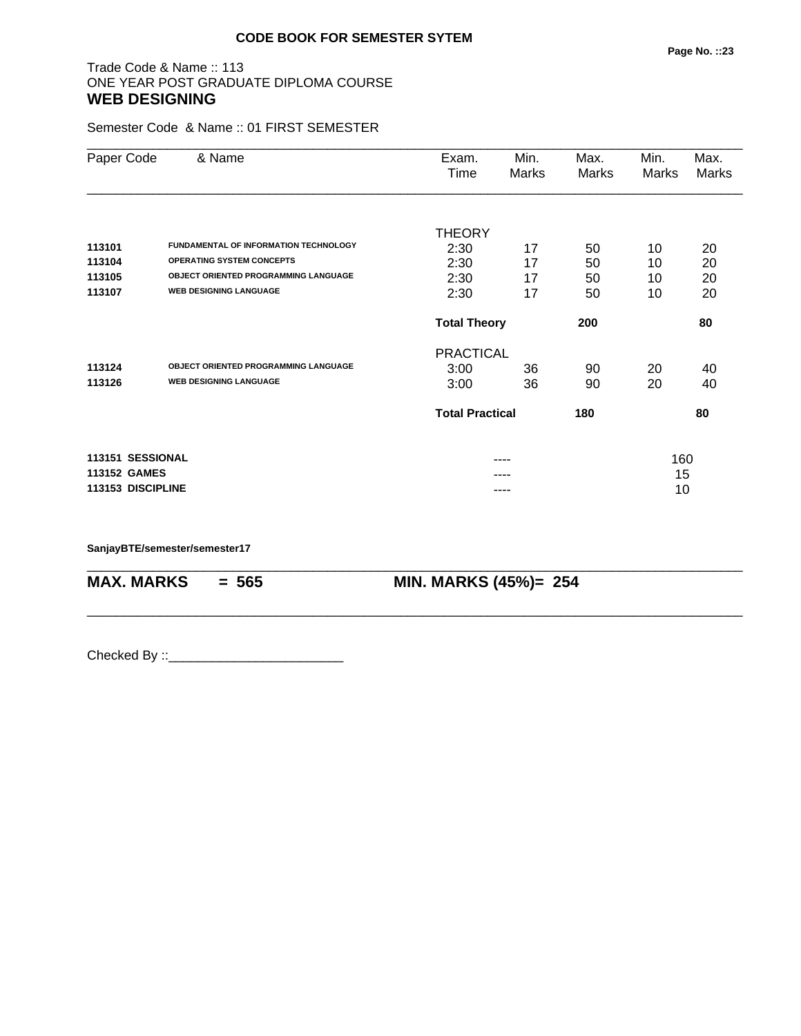#### Trade Code & Name :: 113 ONE YEAR POST GRADUATE DIPLOMA COURSE **WEB DESIGNING**

Semester Code & Name :: 01 FIRST SEMESTER

| Paper Code        | & Name                                       | Exam.                  | Min.  | Max.  | Min.  | Max.  |
|-------------------|----------------------------------------------|------------------------|-------|-------|-------|-------|
|                   |                                              | Time                   | Marks | Marks | Marks | Marks |
|                   |                                              |                        |       |       |       |       |
|                   |                                              | <b>THEORY</b>          |       |       |       |       |
| 113101            | <b>FUNDAMENTAL OF INFORMATION TECHNOLOGY</b> | 2:30                   | 17    | 50    | 10    | 20    |
| 113104            | <b>OPERATING SYSTEM CONCEPTS</b>             | 2:30                   | 17    | 50    | 10    | 20    |
| 113105            | <b>OBJECT ORIENTED PROGRAMMING LANGUAGE</b>  | 2:30                   | 17    | 50    | 10    | 20    |
| 113107            | <b>WEB DESIGNING LANGUAGE</b>                | 2:30                   | 17    | 50    | 10    | 20    |
|                   |                                              | <b>Total Theory</b>    |       | 200   |       | 80    |
|                   |                                              | <b>PRACTICAL</b>       |       |       |       |       |
| 113124            | <b>OBJECT ORIENTED PROGRAMMING LANGUAGE</b>  | 3:00                   | 36    | 90    | 20    | 40    |
| 113126            | <b>WEB DESIGNING LANGUAGE</b>                | 3:00                   | 36    | 90    | 20    | 40    |
|                   |                                              | <b>Total Practical</b> |       | 180   |       | 80    |
| 113151 SESSIONAL  |                                              |                        |       |       | 160   |       |
| 113152 GAMES      |                                              |                        | ----  |       | 15    |       |
| 113153 DISCIPLINE |                                              |                        | ----  |       | 10    |       |
|                   |                                              |                        |       |       |       |       |

\_\_\_\_\_\_\_\_\_\_\_\_\_\_\_\_\_\_\_\_\_\_\_\_\_\_\_\_\_\_\_\_\_\_\_\_\_\_\_\_\_\_\_\_\_\_\_\_\_\_\_\_\_\_\_\_\_\_\_\_\_\_\_\_\_\_\_\_\_\_\_\_\_\_\_\_\_\_\_\_\_\_\_\_\_\_\_\_\_\_

\_\_\_\_\_\_\_\_\_\_\_\_\_\_\_\_\_\_\_\_\_\_\_\_\_\_\_\_\_\_\_\_\_\_\_\_\_\_\_\_\_\_\_\_\_\_\_\_\_\_\_\_\_\_\_\_\_\_\_\_\_\_\_\_\_\_\_\_\_\_\_\_\_\_\_\_\_\_\_\_\_\_\_\_\_\_\_\_\_\_

**SanjayBTE/semester/semester17**

**MAX. MARKS = 565 MIN. MARKS (45%)= 254**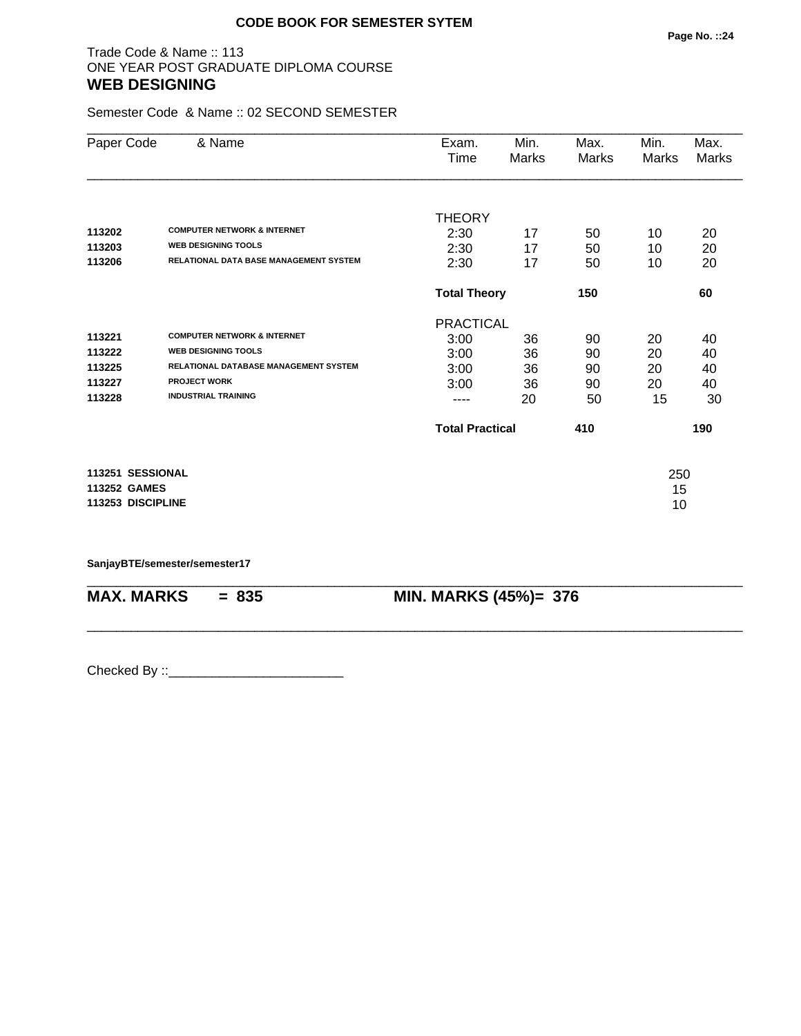### Trade Code & Name :: 113 ONE YEAR POST GRADUATE DIPLOMA COURSE **WEB DESIGNING**

Semester Code & Name :: 02 SECOND SEMESTER

| Paper Code          | & Name                                       | Exam.                  | Min.  | Max.  | Min.  | Max.  |
|---------------------|----------------------------------------------|------------------------|-------|-------|-------|-------|
|                     |                                              | Time                   | Marks | Marks | Marks | Marks |
|                     |                                              |                        |       |       |       |       |
|                     |                                              | <b>THEORY</b>          |       |       |       |       |
| 113202              | <b>COMPUTER NETWORK &amp; INTERNET</b>       | 2:30                   | 17    | 50    | 10    | 20    |
| 113203              | <b>WEB DESIGNING TOOLS</b>                   | 2:30                   | 17    | 50    | 10    | 20    |
| 113206              | RELATIONAL DATA BASE MANAGEMENT SYSTEM       | 2:30                   | 17    | 50    | 10    | 20    |
|                     |                                              | <b>Total Theory</b>    |       | 150   |       | 60    |
|                     |                                              | <b>PRACTICAL</b>       |       |       |       |       |
| 113221              | <b>COMPUTER NETWORK &amp; INTERNET</b>       | 3:00                   | 36    | 90    | 20    | 40    |
| 113222              | <b>WEB DESIGNING TOOLS</b>                   | 3:00                   | 36    | 90    | 20    | 40    |
| 113225              | <b>RELATIONAL DATABASE MANAGEMENT SYSTEM</b> | 3:00                   | 36    | 90    | 20    | 40    |
| 113227              | <b>PROJECT WORK</b>                          | 3:00                   | 36    | 90    | 20    | 40    |
| 113228              | <b>INDUSTRIAL TRAINING</b>                   |                        | 20    | 50    | 15    | 30    |
|                     |                                              | <b>Total Practical</b> |       | 410   |       | 190   |
| 113251 SESSIONAL    |                                              |                        |       |       | 250   |       |
| <b>113252 GAMES</b> |                                              |                        |       |       | 15    |       |
| 113253 DISCIPLINE   |                                              |                        |       |       | 10    |       |
|                     |                                              |                        |       |       |       |       |

\_\_\_\_\_\_\_\_\_\_\_\_\_\_\_\_\_\_\_\_\_\_\_\_\_\_\_\_\_\_\_\_\_\_\_\_\_\_\_\_\_\_\_\_\_\_\_\_\_\_\_\_\_\_\_\_\_\_\_\_\_\_\_\_\_\_\_\_\_\_\_\_\_\_\_\_\_\_\_\_\_\_\_\_\_\_\_\_\_\_

\_\_\_\_\_\_\_\_\_\_\_\_\_\_\_\_\_\_\_\_\_\_\_\_\_\_\_\_\_\_\_\_\_\_\_\_\_\_\_\_\_\_\_\_\_\_\_\_\_\_\_\_\_\_\_\_\_\_\_\_\_\_\_\_\_\_\_\_\_\_\_\_\_\_\_\_\_\_\_\_\_\_\_\_\_\_\_\_\_\_

**SanjayBTE/semester/semester17**

**MAX. MARKS = 835 MIN. MARKS (45%)= 376**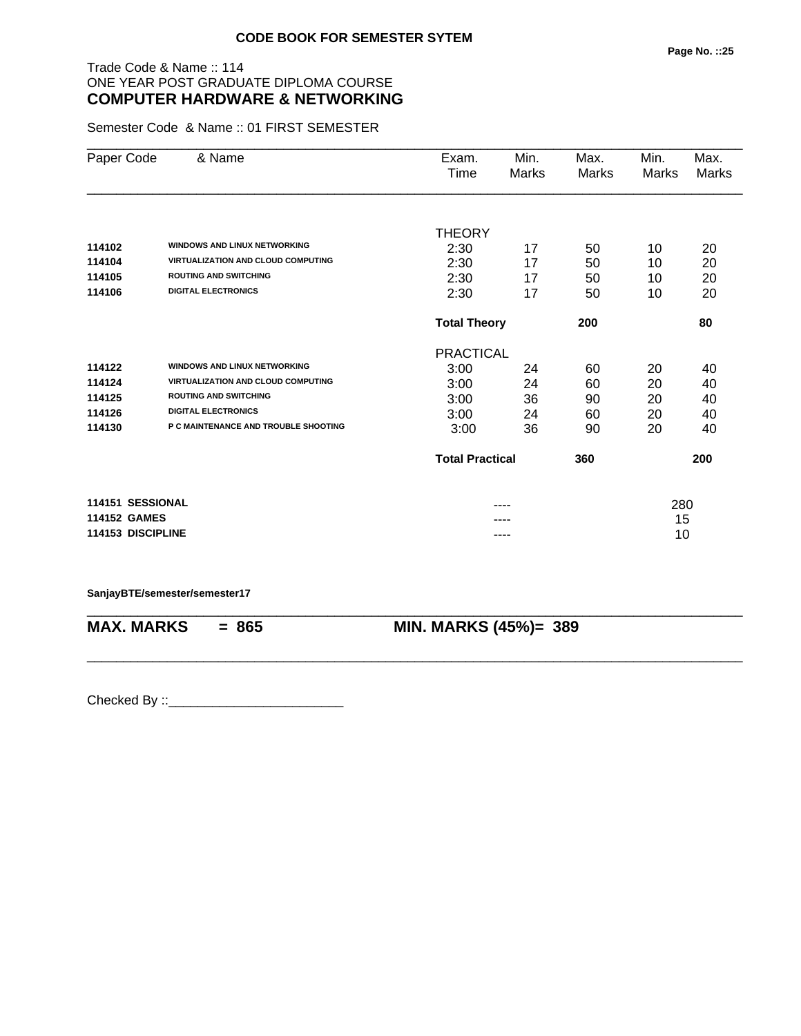### Trade Code & Name :: 114 ONE YEAR POST GRADUATE DIPLOMA COURSE **COMPUTER HARDWARE & NETWORKING**

Semester Code & Name :: 01 FIRST SEMESTER

| Paper Code          | & Name                                    | Exam.                  | Min.  | Max.  | Min.  | Max.  |
|---------------------|-------------------------------------------|------------------------|-------|-------|-------|-------|
|                     |                                           | Time                   | Marks | Marks | Marks | Marks |
|                     |                                           |                        |       |       |       |       |
|                     |                                           | <b>THEORY</b>          |       |       |       |       |
| 114102              | <b>WINDOWS AND LINUX NETWORKING</b>       | 2:30                   | 17    | 50    | 10    | 20    |
| 114104              | <b>VIRTUALIZATION AND CLOUD COMPUTING</b> | 2:30                   | 17    | 50    | 10    | 20    |
| 114105              | <b>ROUTING AND SWITCHING</b>              | 2:30                   | 17    | 50    | 10    | 20    |
| 114106              | <b>DIGITAL ELECTRONICS</b>                | 2:30                   | 17    | 50    | 10    | 20    |
|                     |                                           | <b>Total Theory</b>    |       | 200   |       | 80    |
|                     |                                           | <b>PRACTICAL</b>       |       |       |       |       |
| 114122              | <b>WINDOWS AND LINUX NETWORKING</b>       | 3:00                   | 24    | 60    | 20    | 40    |
| 114124              | <b>VIRTUALIZATION AND CLOUD COMPUTING</b> | 3:00                   | 24    | 60    | 20    | 40    |
| 114125              | <b>ROUTING AND SWITCHING</b>              | 3:00                   | 36    | 90    | 20    | 40    |
| 114126              | <b>DIGITAL ELECTRONICS</b>                | 3:00                   | 24    | 60    | 20    | 40    |
| 114130              | P C MAINTENANCE AND TROUBLE SHOOTING      | 3:00                   | 36    | 90    | 20    | 40    |
|                     |                                           | <b>Total Practical</b> |       | 360   |       | 200   |
| 114151 SESSIONAL    |                                           |                        |       |       | 280   |       |
| <b>114152 GAMES</b> |                                           |                        |       |       | 15    |       |
| 114153 DISCIPLINE   |                                           |                        | ----  |       | 10    |       |

**SanjayBTE/semester/semester17**

\_\_\_\_\_\_\_\_\_\_\_\_\_\_\_\_\_\_\_\_\_\_\_\_\_\_\_\_\_\_\_\_\_\_\_\_\_\_\_\_\_\_\_\_\_\_\_\_\_\_\_\_\_\_\_\_\_\_\_\_\_\_\_\_\_\_\_\_\_\_\_\_\_\_\_\_\_\_\_\_\_\_\_\_\_\_\_\_\_\_ **MAX. MARKS = 865 MIN. MARKS (45%)= 389**

\_\_\_\_\_\_\_\_\_\_\_\_\_\_\_\_\_\_\_\_\_\_\_\_\_\_\_\_\_\_\_\_\_\_\_\_\_\_\_\_\_\_\_\_\_\_\_\_\_\_\_\_\_\_\_\_\_\_\_\_\_\_\_\_\_\_\_\_\_\_\_\_\_\_\_\_\_\_\_\_\_\_\_\_\_\_\_\_\_\_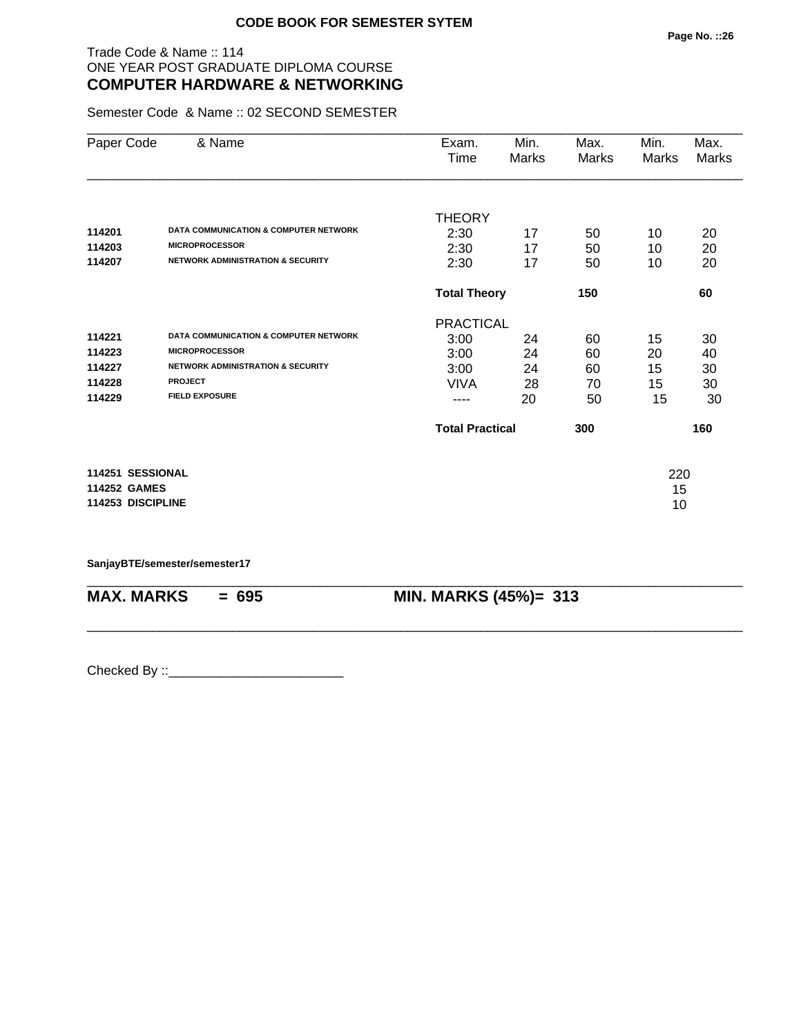### Trade Code & Name :: 114 ONE YEAR POST GRADUATE DIPLOMA COURSE **COMPUTER HARDWARE & NETWORKING**

Semester Code & Name :: 02 SECOND SEMESTER

| Paper Code          | & Name                                           | Exam.<br>Time          | Min.<br>Marks | Max.<br>Marks | Min.<br>Marks | Max.<br>Marks |
|---------------------|--------------------------------------------------|------------------------|---------------|---------------|---------------|---------------|
|                     |                                                  |                        |               |               |               |               |
|                     |                                                  | <b>THEORY</b>          |               |               |               |               |
| 114201              | <b>DATA COMMUNICATION &amp; COMPUTER NETWORK</b> | 2:30                   | 17            | 50            | 10            | 20            |
| 114203              | <b>MICROPROCESSOR</b>                            | 2:30                   | 17            | 50            | 10            | 20            |
| 114207              | <b>NETWORK ADMINISTRATION &amp; SECURITY</b>     | 2:30                   | 17            | 50            | 10            | 20            |
|                     |                                                  | <b>Total Theory</b>    |               | 150           |               | 60            |
|                     |                                                  | <b>PRACTICAL</b>       |               |               |               |               |
| 114221              | <b>DATA COMMUNICATION &amp; COMPUTER NETWORK</b> | 3:00                   | 24            | 60            | 15            | 30            |
| 114223              | <b>MICROPROCESSOR</b>                            | 3:00                   | 24            | 60            | 20            | 40            |
| 114227              | <b>NETWORK ADMINISTRATION &amp; SECURITY</b>     | 3:00                   | 24            | 60            | 15            | 30            |
| 114228              | <b>PROJECT</b>                                   | <b>VIVA</b>            | 28            | 70            | 15            | 30            |
| 114229              | <b>FIELD EXPOSURE</b>                            | ----                   | 20            | 50            | 15            | 30            |
|                     |                                                  | <b>Total Practical</b> |               | 300           |               | 160           |
| 114251 SESSIONAL    |                                                  |                        |               |               | 220           |               |
| <b>114252 GAMES</b> |                                                  |                        |               |               | 15            |               |
| 114253 DISCIPLINE   |                                                  |                        |               |               | 10            |               |

\_\_\_\_\_\_\_\_\_\_\_\_\_\_\_\_\_\_\_\_\_\_\_\_\_\_\_\_\_\_\_\_\_\_\_\_\_\_\_\_\_\_\_\_\_\_\_\_\_\_\_\_\_\_\_\_\_\_\_\_\_\_\_\_\_\_\_\_\_\_\_\_\_\_\_\_\_\_\_\_\_\_\_\_\_\_\_\_\_\_

\_\_\_\_\_\_\_\_\_\_\_\_\_\_\_\_\_\_\_\_\_\_\_\_\_\_\_\_\_\_\_\_\_\_\_\_\_\_\_\_\_\_\_\_\_\_\_\_\_\_\_\_\_\_\_\_\_\_\_\_\_\_\_\_\_\_\_\_\_\_\_\_\_\_\_\_\_\_\_\_\_\_\_\_\_\_\_\_\_\_

**SanjayBTE/semester/semester17**

**MAX. MARKS = 695 MIN. MARKS (45%)= 313**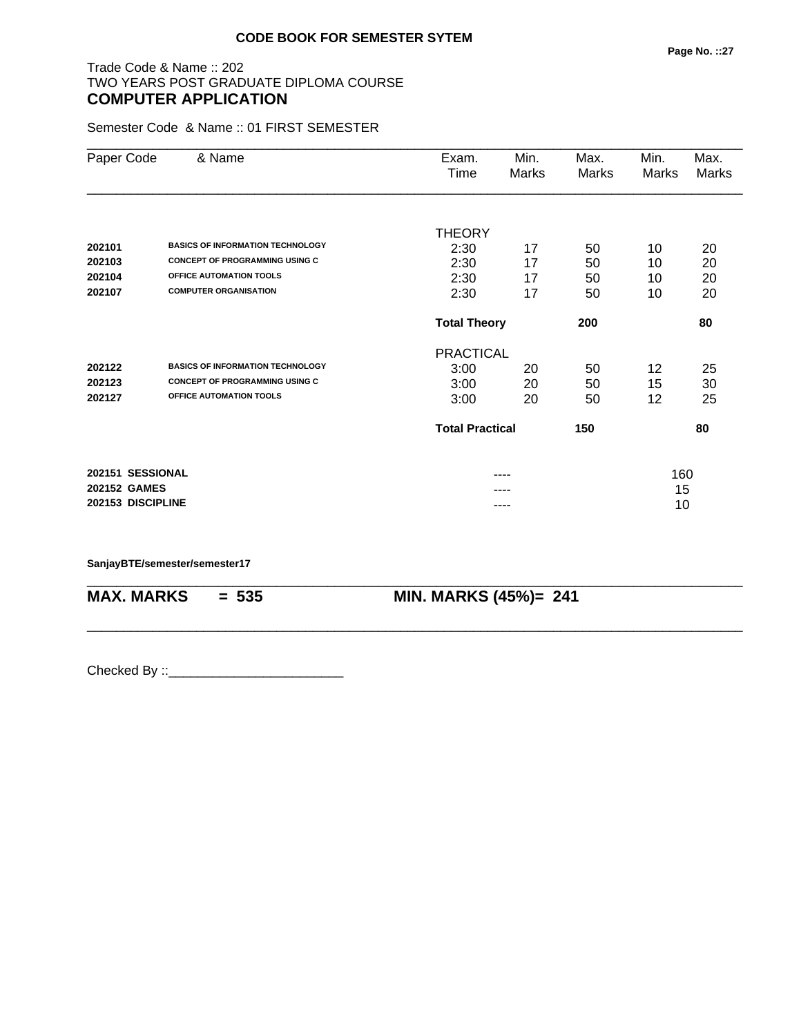Semester Code & Name :: 01 FIRST SEMESTER

| Paper Code          | & Name                                  | Exam.                  | Min.  | Max.  | Min.  | Max.         |
|---------------------|-----------------------------------------|------------------------|-------|-------|-------|--------------|
|                     |                                         | Time                   | Marks | Marks | Marks | <b>Marks</b> |
|                     |                                         |                        |       |       |       |              |
|                     |                                         | <b>THEORY</b>          |       |       |       |              |
| 202101              | <b>BASICS OF INFORMATION TECHNOLOGY</b> | 2:30                   | 17    | 50    | 10    | 20           |
| 202103              | <b>CONCEPT OF PROGRAMMING USING C</b>   | 2:30                   | 17    | 50    | 10    | 20           |
| 202104              | OFFICE AUTOMATION TOOLS                 | 2:30                   | 17    | 50    | 10    | 20           |
| 202107              | <b>COMPUTER ORGANISATION</b>            | 2:30                   | 17    | 50    | 10    | 20           |
|                     |                                         | <b>Total Theory</b>    |       | 200   |       | 80           |
|                     |                                         | <b>PRACTICAL</b>       |       |       |       |              |
| 202122              | <b>BASICS OF INFORMATION TECHNOLOGY</b> | 3:00                   | 20    | 50    | 12    | 25           |
| 202123              | <b>CONCEPT OF PROGRAMMING USING C</b>   | 3:00                   | 20    | 50    | 15    | 30           |
| 202127              | OFFICE AUTOMATION TOOLS                 | 3:00                   | 20    | 50    | 12    | 25           |
|                     |                                         | <b>Total Practical</b> |       | 150   |       | 80           |
| 202151 SESSIONAL    |                                         |                        | ----  |       | 160   |              |
| <b>202152 GAMES</b> |                                         |                        |       |       | 15    |              |
| 202153 DISCIPLINE   |                                         |                        | ----  |       | 10    |              |

\_\_\_\_\_\_\_\_\_\_\_\_\_\_\_\_\_\_\_\_\_\_\_\_\_\_\_\_\_\_\_\_\_\_\_\_\_\_\_\_\_\_\_\_\_\_\_\_\_\_\_\_\_\_\_\_\_\_\_\_\_\_\_\_\_\_\_\_\_\_\_\_\_\_\_\_\_\_\_\_\_\_\_\_\_\_\_\_\_\_

\_\_\_\_\_\_\_\_\_\_\_\_\_\_\_\_\_\_\_\_\_\_\_\_\_\_\_\_\_\_\_\_\_\_\_\_\_\_\_\_\_\_\_\_\_\_\_\_\_\_\_\_\_\_\_\_\_\_\_\_\_\_\_\_\_\_\_\_\_\_\_\_\_\_\_\_\_\_\_\_\_\_\_\_\_\_\_\_\_\_

#### **SanjayBTE/semester/semester17**

**MAX. MARKS = 535 MIN. MARKS (45%)= 241**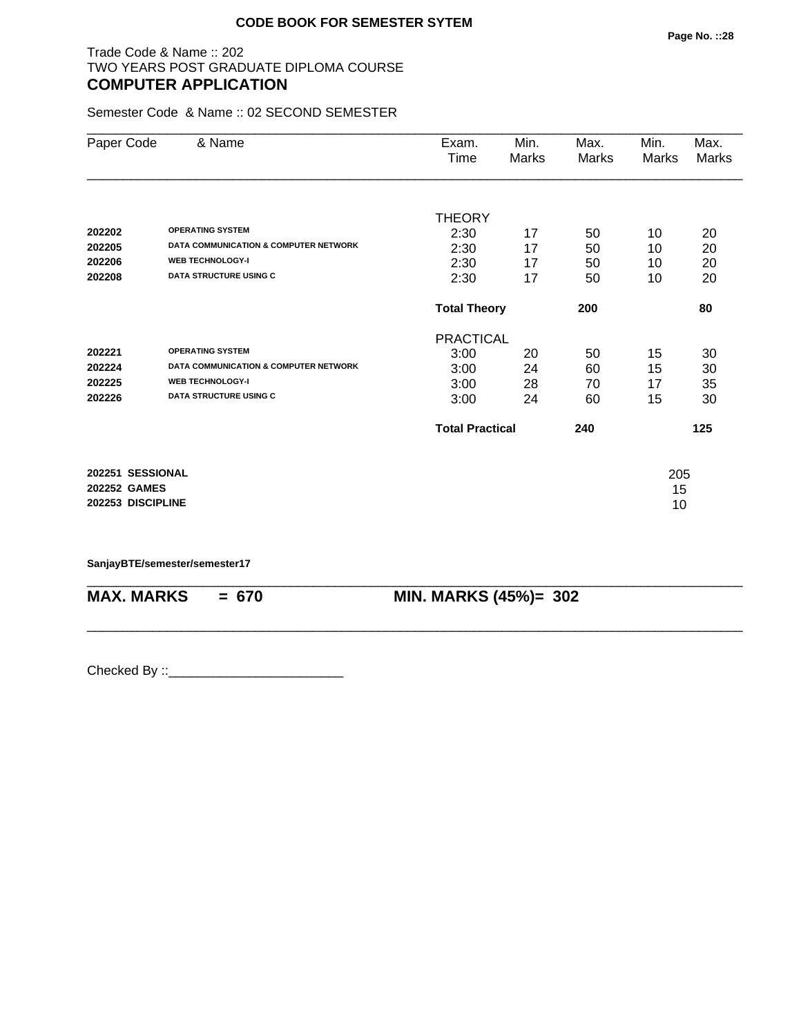### Trade Code & Name :: 202 TWO YEARS POST GRADUATE DIPLOMA COURSE **COMPUTER APPLICATION**

Semester Code & Name :: 02 SECOND SEMESTER

| Paper Code          | & Name                                           | Exam.                  | Min.  | Max.  | Min.  | Max.  |
|---------------------|--------------------------------------------------|------------------------|-------|-------|-------|-------|
|                     |                                                  | Time                   | Marks | Marks | Marks | Marks |
|                     |                                                  |                        |       |       |       |       |
|                     |                                                  | <b>THEORY</b>          |       |       |       |       |
| 202202              | <b>OPERATING SYSTEM</b>                          | 2:30                   | 17    | 50    | 10    | 20    |
| 202205              | <b>DATA COMMUNICATION &amp; COMPUTER NETWORK</b> | 2:30                   | 17    | 50    | 10    | 20    |
| 202206              | <b>WEB TECHNOLOGY-I</b>                          | 2:30                   | 17    | 50    | 10    | 20    |
| 202208              | <b>DATA STRUCTURE USING C</b>                    | 2:30                   | 17    | 50    | 10    | 20    |
|                     |                                                  | <b>Total Theory</b>    |       | 200   |       | 80    |
|                     |                                                  | <b>PRACTICAL</b>       |       |       |       |       |
| 202221              | <b>OPERATING SYSTEM</b>                          | 3:00                   | 20    | 50    | 15    | 30    |
| 202224              | <b>DATA COMMUNICATION &amp; COMPUTER NETWORK</b> | 3:00                   | 24    | 60    | 15    | 30    |
| 202225              | <b>WEB TECHNOLOGY-I</b>                          | 3:00                   | 28    | 70    | 17    | 35    |
| 202226              | <b>DATA STRUCTURE USING C</b>                    | 3:00                   | 24    | 60    | 15    | 30    |
|                     |                                                  | <b>Total Practical</b> |       | 240   |       | 125   |
| 202251 SESSIONAL    |                                                  |                        |       |       | 205   |       |
| <b>202252 GAMES</b> |                                                  |                        |       |       | 15    |       |
| 202253 DISCIPLINE   |                                                  |                        |       |       | 10    |       |
|                     |                                                  |                        |       |       |       |       |

\_\_\_\_\_\_\_\_\_\_\_\_\_\_\_\_\_\_\_\_\_\_\_\_\_\_\_\_\_\_\_\_\_\_\_\_\_\_\_\_\_\_\_\_\_\_\_\_\_\_\_\_\_\_\_\_\_\_\_\_\_\_\_\_\_\_\_\_\_\_\_\_\_\_\_\_\_\_\_\_\_\_\_\_\_\_\_\_\_\_

\_\_\_\_\_\_\_\_\_\_\_\_\_\_\_\_\_\_\_\_\_\_\_\_\_\_\_\_\_\_\_\_\_\_\_\_\_\_\_\_\_\_\_\_\_\_\_\_\_\_\_\_\_\_\_\_\_\_\_\_\_\_\_\_\_\_\_\_\_\_\_\_\_\_\_\_\_\_\_\_\_\_\_\_\_\_\_\_\_\_

**SanjayBTE/semester/semester17**

**MAX. MARKS = 670 MIN. MARKS (45%)= 302**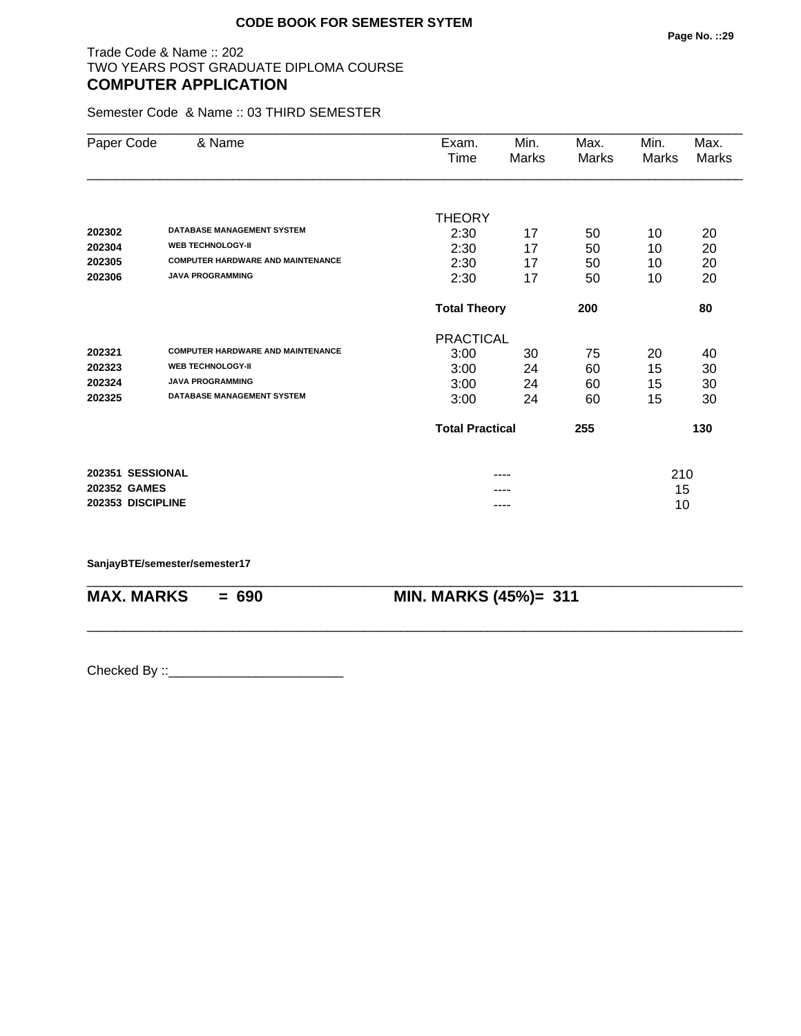### Trade Code & Name :: 202 TWO YEARS POST GRADUATE DIPLOMA COURSE **COMPUTER APPLICATION**

Semester Code & Name :: 03 THIRD SEMESTER

|                   | & Name                                   |                            |               |               |               |               |
|-------------------|------------------------------------------|----------------------------|---------------|---------------|---------------|---------------|
| Paper Code        |                                          | Exam.<br>Time              | Min.<br>Marks | Max.<br>Marks | Min.<br>Marks | Max.<br>Marks |
|                   |                                          |                            |               |               |               |               |
|                   |                                          | <b>THEORY</b>              |               |               |               |               |
| 202302            | <b>DATABASE MANAGEMENT SYSTEM</b>        | 2:30                       | 17            | 50            | 10            | 20            |
| 202304            | <b>WEB TECHNOLOGY-II</b>                 | 2:30                       | 17            | 50            | 10            | 20            |
| 202305            | <b>COMPUTER HARDWARE AND MAINTENANCE</b> | 2:30                       | 17            | 50            | 10            | 20            |
| 202306            | <b>JAVA PROGRAMMING</b>                  | 2:30                       | 17            | 50            | 10            | 20            |
|                   |                                          | <b>Total Theory</b><br>200 |               |               |               | 80            |
|                   |                                          | <b>PRACTICAL</b>           |               |               |               |               |
| 202321            | <b>COMPUTER HARDWARE AND MAINTENANCE</b> | 3:00                       | 30            | 75            | 20            | 40            |
| 202323            | <b>WEB TECHNOLOGY-II</b>                 | 3:00                       | 24            | 60            | 15            | 30            |
| 202324            | <b>JAVA PROGRAMMING</b>                  | 3:00                       | 24            | 60            | 15            | 30            |
| 202325            | <b>DATABASE MANAGEMENT SYSTEM</b>        | 3:00                       | 24            | 60            | 15            | 30            |
|                   |                                          | <b>Total Practical</b>     |               | 255           |               | 130           |
| 202351 SESSIONAL  |                                          |                            |               |               | 210           |               |
| 202352 GAMES      |                                          |                            | ----          |               | 15            |               |
| 202353 DISCIPLINE |                                          |                            | ----          |               | 10            |               |

\_\_\_\_\_\_\_\_\_\_\_\_\_\_\_\_\_\_\_\_\_\_\_\_\_\_\_\_\_\_\_\_\_\_\_\_\_\_\_\_\_\_\_\_\_\_\_\_\_\_\_\_\_\_\_\_\_\_\_\_\_\_\_\_\_\_\_\_\_\_\_\_\_\_\_\_\_\_\_\_\_\_\_\_\_\_\_\_\_\_

\_\_\_\_\_\_\_\_\_\_\_\_\_\_\_\_\_\_\_\_\_\_\_\_\_\_\_\_\_\_\_\_\_\_\_\_\_\_\_\_\_\_\_\_\_\_\_\_\_\_\_\_\_\_\_\_\_\_\_\_\_\_\_\_\_\_\_\_\_\_\_\_\_\_\_\_\_\_\_\_\_\_\_\_\_\_\_\_\_\_

#### **SanjayBTE/semester/semester17**

**MAX. MARKS = 690 MIN. MARKS (45%)= 311**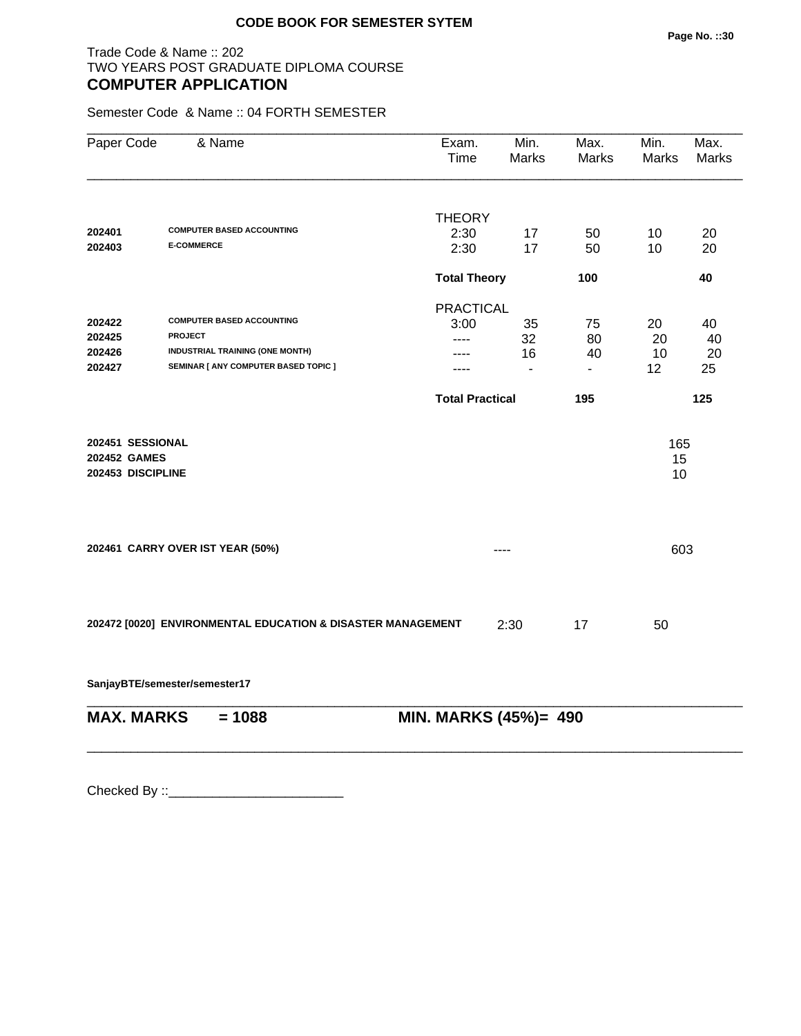#### Trade Code & Name :: 202 TWO YEARS POST GRADUATE DIPLOMA COURSE **COMPUTER APPLICATION**

Semester Code & Name :: 04 FORTH SEMESTER

| Paper Code                                            | & Name                                                      | Exam.<br>Time          | Min.<br>Marks  | Max.<br>Marks  | Min.<br>Marks   | Max.<br><b>Marks</b> |
|-------------------------------------------------------|-------------------------------------------------------------|------------------------|----------------|----------------|-----------------|----------------------|
|                                                       |                                                             | <b>THEORY</b>          |                |                |                 |                      |
| 202401                                                | <b>COMPUTER BASED ACCOUNTING</b>                            | 2:30                   | 17             | 50             | 10              | 20                   |
| 202403                                                | <b>E-COMMERCE</b>                                           | 2:30                   | 17             | 50             | 10              | 20                   |
|                                                       |                                                             | <b>Total Theory</b>    |                | 100            |                 | 40                   |
|                                                       |                                                             | <b>PRACTICAL</b>       |                |                |                 |                      |
| 202422                                                | <b>COMPUTER BASED ACCOUNTING</b>                            | 3:00                   | 35             | 75             | 20              | 40                   |
| 202425                                                | <b>PROJECT</b>                                              | ----                   | 32             | 80             | 20              | 40                   |
| 202426                                                | INDUSTRIAL TRAINING (ONE MONTH)                             |                        | 16             | 40             | 10              | 20                   |
| 202427                                                | SEMINAR [ ANY COMPUTER BASED TOPIC ]                        |                        | $\blacksquare$ | $\blacksquare$ | 12 <sup>2</sup> | 25                   |
|                                                       |                                                             | <b>Total Practical</b> |                | 195            |                 | 125                  |
| 202451 SESSIONAL<br>202452 GAMES<br>202453 DISCIPLINE |                                                             |                        |                |                | 165<br>15<br>10 |                      |
|                                                       | 202461 CARRY OVER IST YEAR (50%)                            |                        |                |                | 603             |                      |
|                                                       | 202472 [0020] ENVIRONMENTAL EDUCATION & DISASTER MANAGEMENT |                        | 2:30           | 17             | 50              |                      |
|                                                       | SanjayBTE/semester/semester17                               |                        |                |                |                 |                      |
| <b>MAX. MARKS</b>                                     | $= 1088$                                                    | MIN. MARKS (45%)= 490  |                |                |                 |                      |

\_\_\_\_\_\_\_\_\_\_\_\_\_\_\_\_\_\_\_\_\_\_\_\_\_\_\_\_\_\_\_\_\_\_\_\_\_\_\_\_\_\_\_\_\_\_\_\_\_\_\_\_\_\_\_\_\_\_\_\_\_\_\_\_\_\_\_\_\_\_\_\_\_\_\_\_\_\_\_\_\_\_\_\_\_\_\_\_\_\_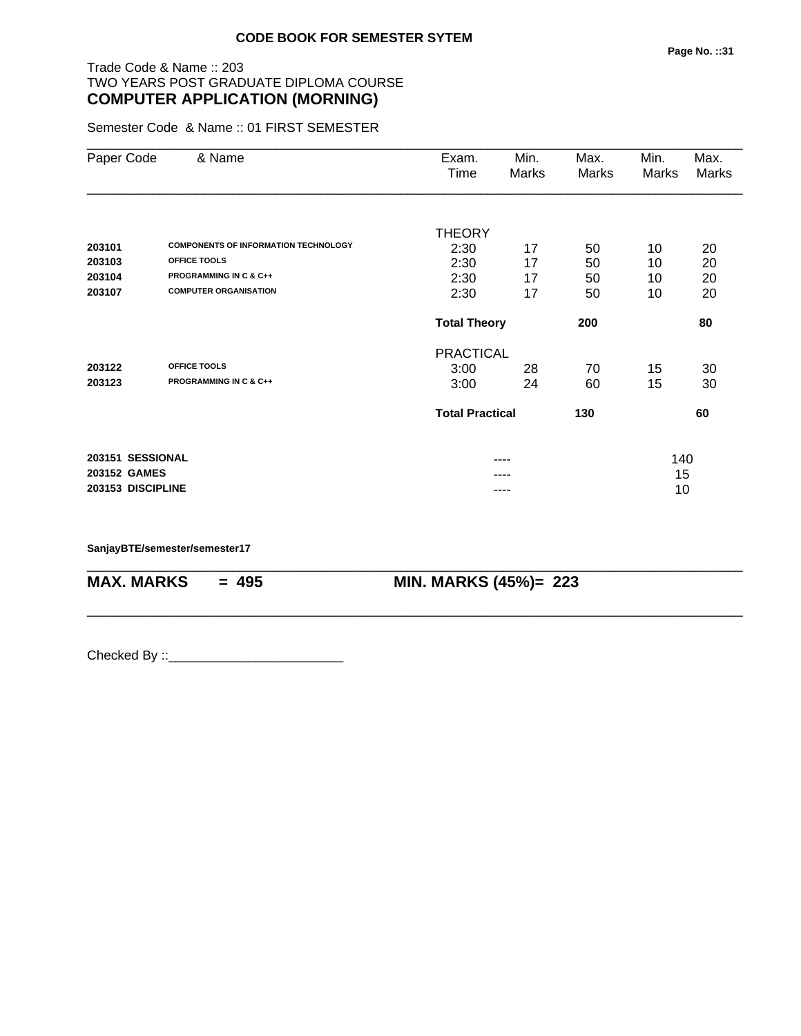Semester Code & Name :: 01 FIRST SEMESTER

| Paper Code   | & Name                                      | Exam.<br>Time          | Min.<br>Marks | Max.<br>Marks | Min.<br>Marks | Max.<br>Marks |
|--------------|---------------------------------------------|------------------------|---------------|---------------|---------------|---------------|
|              |                                             |                        |               |               |               |               |
|              |                                             | THEORY                 |               |               |               |               |
| 203101       | <b>COMPONENTS OF INFORMATION TECHNOLOGY</b> | 2:30                   | 17            | 50            | 10            | 20            |
| 203103       | OFFICE TOOLS                                | 2:30                   | 17            | 50            | 10            | 20            |
| 203104       | <b>PROGRAMMING IN C &amp; C++</b>           | 2:30                   | 17            | 50            | 10            | 20            |
| 203107       | <b>COMPUTER ORGANISATION</b>                | 2:30                   | 17            | 50            | 10            | 20            |
|              |                                             | <b>Total Theory</b>    |               | 200           |               | 80            |
|              |                                             | <b>PRACTICAL</b>       |               |               |               |               |
| 203122       | OFFICE TOOLS                                | 3:00                   | 28            | 70            | 15            | 30            |
| 203123       | <b>PROGRAMMING IN C &amp; C++</b>           | 3:00                   | 24            | 60            | 15            | 30            |
|              |                                             | <b>Total Practical</b> |               | 130           |               | 60            |
|              | 203151 SESSIONAL                            |                        | ----          |               | 140           |               |
| 203152 GAMES |                                             |                        |               |               | 15            |               |
|              | 203153 DISCIPLINE                           |                        |               |               | 10            |               |

\_\_\_\_\_\_\_\_\_\_\_\_\_\_\_\_\_\_\_\_\_\_\_\_\_\_\_\_\_\_\_\_\_\_\_\_\_\_\_\_\_\_\_\_\_\_\_\_\_\_\_\_\_\_\_\_\_\_\_\_\_\_\_\_\_\_\_\_\_\_\_\_\_\_\_\_\_\_\_\_\_\_\_\_\_\_\_\_\_\_

\_\_\_\_\_\_\_\_\_\_\_\_\_\_\_\_\_\_\_\_\_\_\_\_\_\_\_\_\_\_\_\_\_\_\_\_\_\_\_\_\_\_\_\_\_\_\_\_\_\_\_\_\_\_\_\_\_\_\_\_\_\_\_\_\_\_\_\_\_\_\_\_\_\_\_\_\_\_\_\_\_\_\_\_\_\_\_\_\_\_

**SanjayBTE/semester/semester17**

**MAX. MARKS = 495 MIN. MARKS (45%)= 223**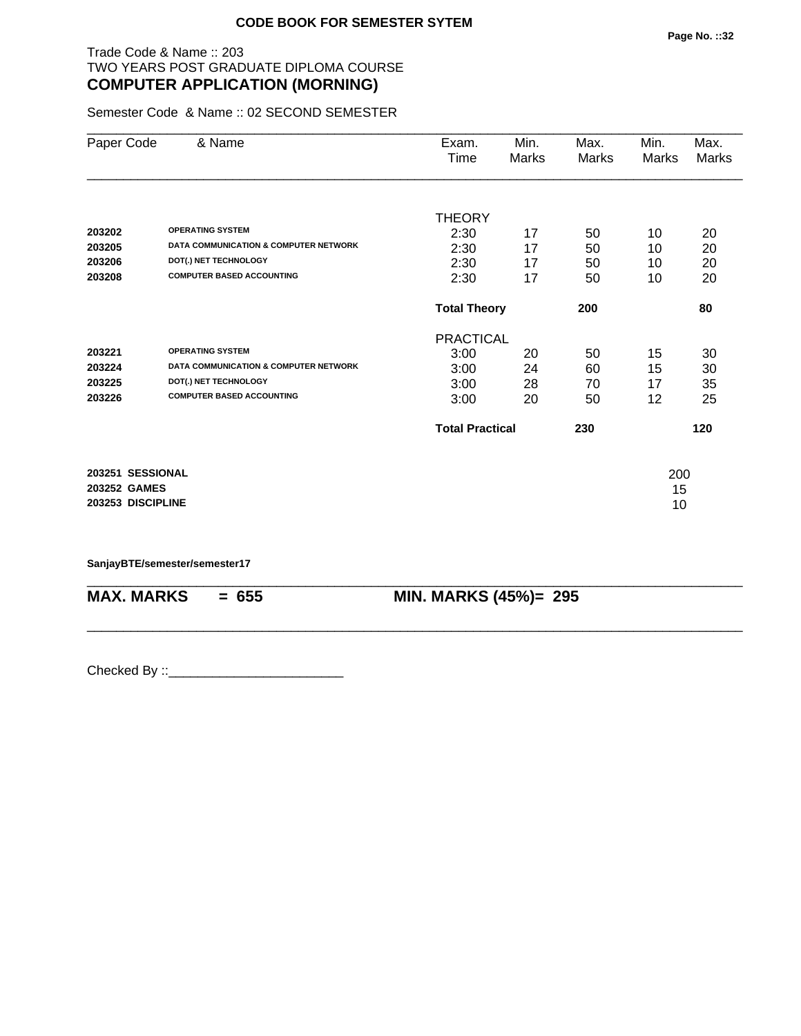Semester Code & Name :: 02 SECOND SEMESTER

| Paper Code        | & Name                                           | Exam.                  | Min.  | Max.         | Min.  | Max.  |
|-------------------|--------------------------------------------------|------------------------|-------|--------------|-------|-------|
|                   |                                                  | Time                   | Marks | <b>Marks</b> | Marks | Marks |
|                   |                                                  |                        |       |              |       |       |
|                   |                                                  | <b>THEORY</b>          |       |              |       |       |
| 203202            | <b>OPERATING SYSTEM</b>                          | 2:30                   | 17    | 50           | 10    | 20    |
| 203205            | <b>DATA COMMUNICATION &amp; COMPUTER NETWORK</b> | 2:30                   | 17    | 50           | 10    | 20    |
| 203206            | DOT(.) NET TECHNOLOGY                            | 2:30                   | 17    | 50           | 10    | 20    |
| 203208            | <b>COMPUTER BASED ACCOUNTING</b>                 | 2:30                   | 17    | 50           | 10    | 20    |
|                   |                                                  | <b>Total Theory</b>    |       | 200          |       | 80    |
|                   |                                                  | <b>PRACTICAL</b>       |       |              |       |       |
| 203221            | <b>OPERATING SYSTEM</b>                          | 3:00                   | 20    | 50           | 15    | 30    |
| 203224            | DATA COMMUNICATION & COMPUTER NETWORK            | 3:00                   | 24    | 60           | 15    | 30    |
| 203225            | DOT(.) NET TECHNOLOGY                            | 3:00                   | 28    | 70           | 17    | 35    |
| 203226            | <b>COMPUTER BASED ACCOUNTING</b>                 | 3:00                   | 20    | 50           | 12    | 25    |
|                   |                                                  | <b>Total Practical</b> |       | 230          |       | 120   |
| 203251 SESSIONAL  |                                                  |                        |       |              | 200   |       |
| 203252 GAMES      |                                                  |                        |       |              | 15    |       |
| 203253 DISCIPLINE |                                                  |                        |       |              | 10    |       |
|                   |                                                  |                        |       |              |       |       |

\_\_\_\_\_\_\_\_\_\_\_\_\_\_\_\_\_\_\_\_\_\_\_\_\_\_\_\_\_\_\_\_\_\_\_\_\_\_\_\_\_\_\_\_\_\_\_\_\_\_\_\_\_\_\_\_\_\_\_\_\_\_\_\_\_\_\_\_\_\_\_\_\_\_\_\_\_\_\_\_\_\_\_\_\_\_\_\_\_\_

\_\_\_\_\_\_\_\_\_\_\_\_\_\_\_\_\_\_\_\_\_\_\_\_\_\_\_\_\_\_\_\_\_\_\_\_\_\_\_\_\_\_\_\_\_\_\_\_\_\_\_\_\_\_\_\_\_\_\_\_\_\_\_\_\_\_\_\_\_\_\_\_\_\_\_\_\_\_\_\_\_\_\_\_\_\_\_\_\_\_

**SanjayBTE/semester/semester17**

**MAX. MARKS = 655 MIN. MARKS (45%)= 295**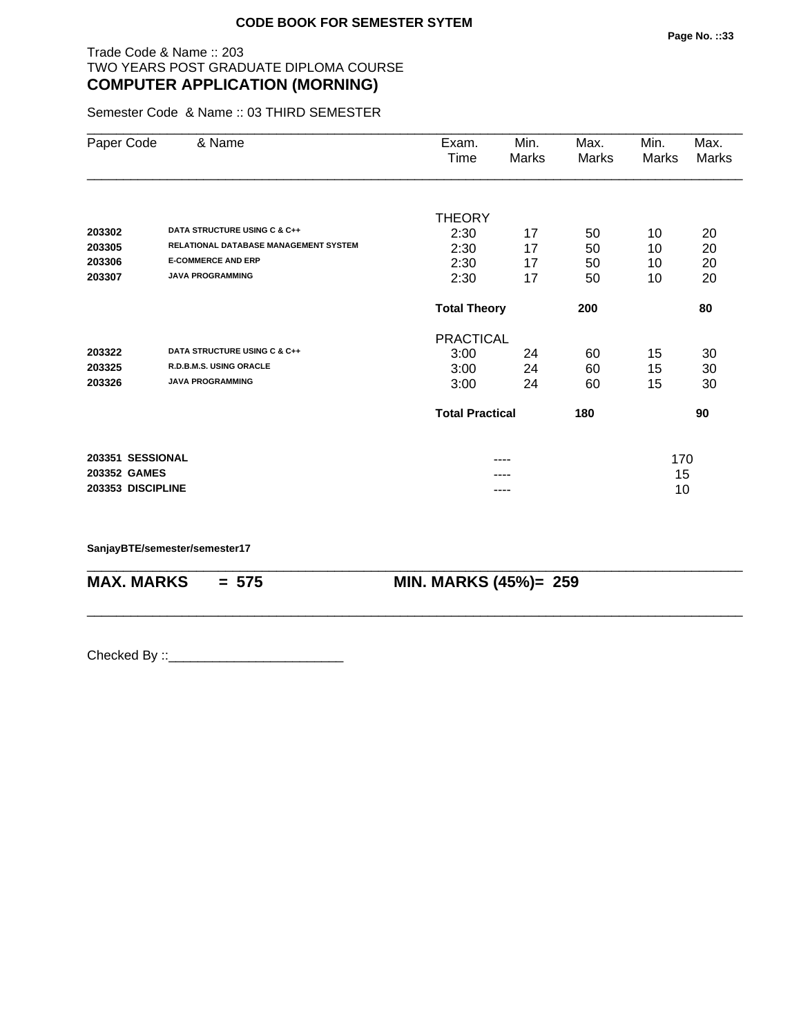Semester Code & Name :: 03 THIRD SEMESTER

| Paper Code        | & Name                                | Exam.                  | Min.                       | Max.  | Min.  | Max.  |
|-------------------|---------------------------------------|------------------------|----------------------------|-------|-------|-------|
|                   |                                       | Time                   | Marks                      | Marks | Marks | Marks |
|                   |                                       |                        |                            |       |       |       |
|                   |                                       | <b>THEORY</b>          |                            |       |       |       |
| 203302            | DATA STRUCTURE USING C & C++          | 2:30                   | 17                         | 50    | 10    | 20    |
| 203305            | RELATIONAL DATABASE MANAGEMENT SYSTEM | 2:30                   | 17                         | 50    | 10    | 20    |
| 203306            | <b>E-COMMERCE AND ERP</b>             | 2:30                   | 17                         | 50    | 10    | 20    |
| 203307            | <b>JAVA PROGRAMMING</b>               | 2:30                   | 17                         | 50    | 10    | 20    |
|                   |                                       |                        | <b>Total Theory</b><br>200 |       |       | 80    |
|                   |                                       | <b>PRACTICAL</b>       |                            |       |       |       |
| 203322            | DATA STRUCTURE USING C & C++          | 3:00                   | 24                         | 60    | 15    | 30    |
| 203325            | R.D.B.M.S. USING ORACLE               | 3:00                   | 24                         | 60    | 15    | 30    |
| 203326            | <b>JAVA PROGRAMMING</b>               | 3:00                   | 24                         | 60    | 15    | 30    |
|                   |                                       | <b>Total Practical</b> |                            | 180   |       | 90    |
| 203351 SESSIONAL  |                                       |                        | ----                       |       | 170   |       |
| 203352 GAMES      |                                       |                        |                            |       | 15    |       |
| 203353 DISCIPLINE |                                       |                        | ----                       |       | 10    |       |

\_\_\_\_\_\_\_\_\_\_\_\_\_\_\_\_\_\_\_\_\_\_\_\_\_\_\_\_\_\_\_\_\_\_\_\_\_\_\_\_\_\_\_\_\_\_\_\_\_\_\_\_\_\_\_\_\_\_\_\_\_\_\_\_\_\_\_\_\_\_\_\_\_\_\_\_\_\_\_\_\_\_\_\_\_\_\_\_\_\_

\_\_\_\_\_\_\_\_\_\_\_\_\_\_\_\_\_\_\_\_\_\_\_\_\_\_\_\_\_\_\_\_\_\_\_\_\_\_\_\_\_\_\_\_\_\_\_\_\_\_\_\_\_\_\_\_\_\_\_\_\_\_\_\_\_\_\_\_\_\_\_\_\_\_\_\_\_\_\_\_\_\_\_\_\_\_\_\_\_\_

**SanjayBTE/semester/semester17**

**MAX. MARKS = 575 MIN. MARKS (45%)= 259**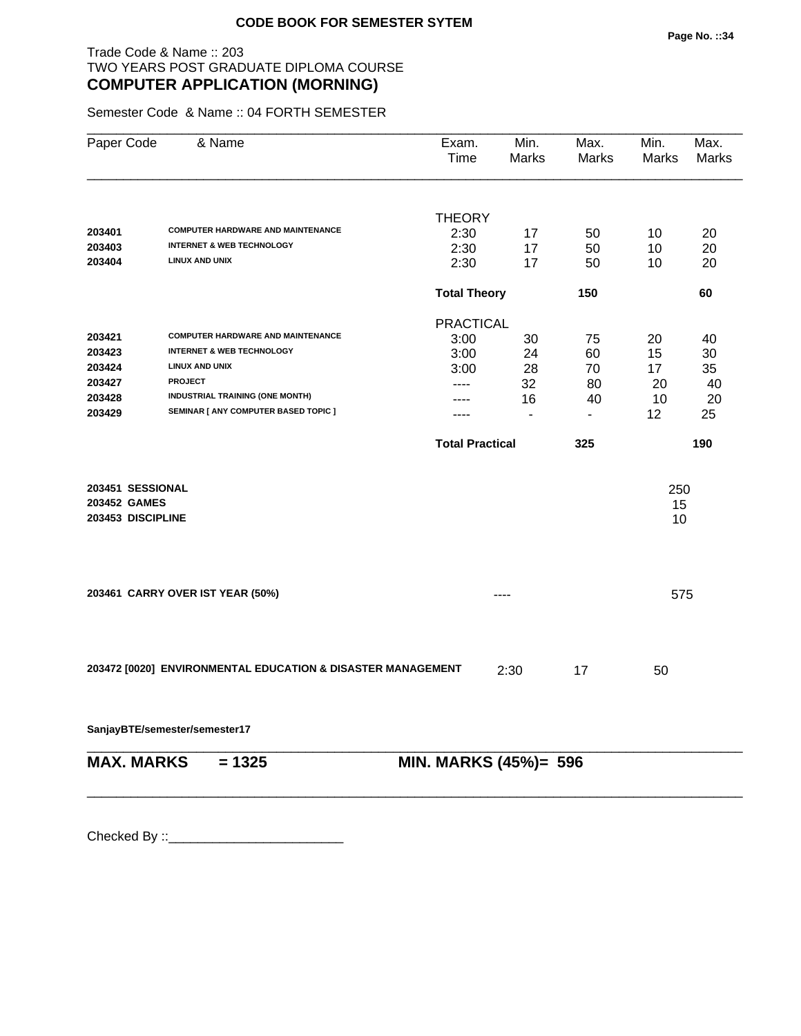Semester Code & Name :: 04 FORTH SEMESTER

| Paper Code        | & Name                                                      | Exam.<br>Time          | Min.<br>Marks  | Max.<br>Marks            | Min.<br>Marks | Max.<br>Marks |
|-------------------|-------------------------------------------------------------|------------------------|----------------|--------------------------|---------------|---------------|
|                   |                                                             |                        |                |                          |               |               |
| 203401            | <b>COMPUTER HARDWARE AND MAINTENANCE</b>                    | <b>THEORY</b>          |                |                          |               |               |
| 203403            | <b>INTERNET &amp; WEB TECHNOLOGY</b>                        | 2:30<br>2:30           | 17             | 50                       | 10            | 20<br>20      |
| 203404            | <b>LINUX AND UNIX</b>                                       | 2:30                   | 17<br>17       | 50<br>50                 | 10<br>10      | 20            |
|                   |                                                             | <b>Total Theory</b>    |                | 150                      |               | 60            |
|                   |                                                             | <b>PRACTICAL</b>       |                |                          |               |               |
| 203421            | <b>COMPUTER HARDWARE AND MAINTENANCE</b>                    | 3:00                   | 30             | 75                       | 20            | 40            |
| 203423            | <b>INTERNET &amp; WEB TECHNOLOGY</b>                        | 3:00                   | 24             | 60                       | 15            | 30            |
| 203424            | <b>LINUX AND UNIX</b>                                       | 3:00                   | 28             | 70                       | 17            | 35            |
| 203427            | <b>PROJECT</b>                                              | $---$                  | 32             | 80                       | 20            | 40            |
| 203428            | <b>INDUSTRIAL TRAINING (ONE MONTH)</b>                      |                        | 16             | 40                       | 10            | 20            |
| 203429            | SEMINAR [ ANY COMPUTER BASED TOPIC ]                        |                        | $\blacksquare$ | $\overline{\phantom{0}}$ | 12            | 25            |
|                   |                                                             | <b>Total Practical</b> |                | 325                      |               | 190           |
| 203451 SESSIONAL  |                                                             |                        |                |                          | 250           |               |
| 203452 GAMES      |                                                             |                        |                |                          | 15            |               |
| 203453 DISCIPLINE |                                                             |                        |                |                          | 10            |               |
|                   |                                                             |                        |                |                          |               |               |
|                   | 203461 CARRY OVER IST YEAR (50%)                            |                        |                |                          | 575           |               |
|                   |                                                             |                        |                |                          |               |               |
|                   | 203472 [0020] ENVIRONMENTAL EDUCATION & DISASTER MANAGEMENT |                        | 2:30           | 17                       | 50            |               |
|                   | SanjayBTE/semester/semester17                               |                        |                |                          |               |               |
| <b>MAX. MARKS</b> | $= 1325$                                                    | MIN. MARKS (45%)= 596  |                |                          |               |               |
|                   |                                                             |                        |                |                          |               |               |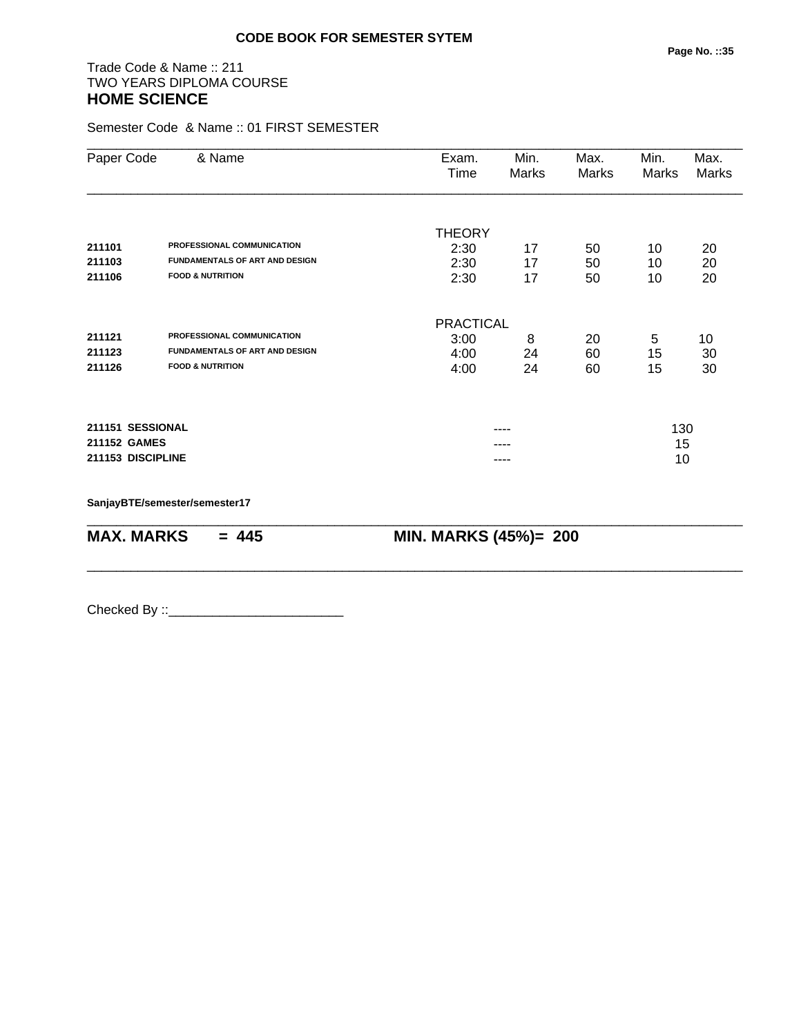# Trade Code & Name :: 211 TWO YEARS DIPLOMA COURSE **HOME SCIENCE**

Semester Code & Name :: 01 FIRST SEMESTER

| Paper Code        | & Name                                | Exam.<br>Time         | Min.<br>Marks | Max.<br>Marks | Min.<br>Marks | Max.<br>Marks |
|-------------------|---------------------------------------|-----------------------|---------------|---------------|---------------|---------------|
|                   |                                       |                       |               |               |               |               |
| 211101            | PROFESSIONAL COMMUNICATION            | <b>THEORY</b><br>2:30 | 17            |               |               | 20            |
| 211103            | <b>FUNDAMENTALS OF ART AND DESIGN</b> | 2:30                  | 17            | 50<br>50      | 10<br>10      | 20            |
| 211106            | <b>FOOD &amp; NUTRITION</b>           | 2:30                  | 17            | 50            | 10            | 20            |
|                   |                                       |                       |               |               |               |               |
|                   |                                       | <b>PRACTICAL</b>      |               |               |               |               |
| 211121            | PROFESSIONAL COMMUNICATION            | 3:00                  | 8             | 20            | 5             | 10            |
| 211123            | <b>FUNDAMENTALS OF ART AND DESIGN</b> | 4:00                  | 24            | 60            | 15            | 30            |
| 211126            | <b>FOOD &amp; NUTRITION</b>           | 4:00                  | 24            | 60            | 15            | 30            |
| 211151 SESSIONAL  |                                       |                       |               |               | 130           |               |
| 211152 GAMES      |                                       |                       |               |               |               |               |
| 211153 DISCIPLINE |                                       |                       |               |               | 15<br>10      |               |
|                   | SanjayBTE/semester/semester17         |                       |               |               |               |               |
| <b>MAX. MARKS</b> | $= 445$                               | MIN. MARKS (45%)= 200 |               |               |               |               |

\_\_\_\_\_\_\_\_\_\_\_\_\_\_\_\_\_\_\_\_\_\_\_\_\_\_\_\_\_\_\_\_\_\_\_\_\_\_\_\_\_\_\_\_\_\_\_\_\_\_\_\_\_\_\_\_\_\_\_\_\_\_\_\_\_\_\_\_\_\_\_\_\_\_\_\_\_\_\_\_\_\_\_\_\_\_\_\_\_\_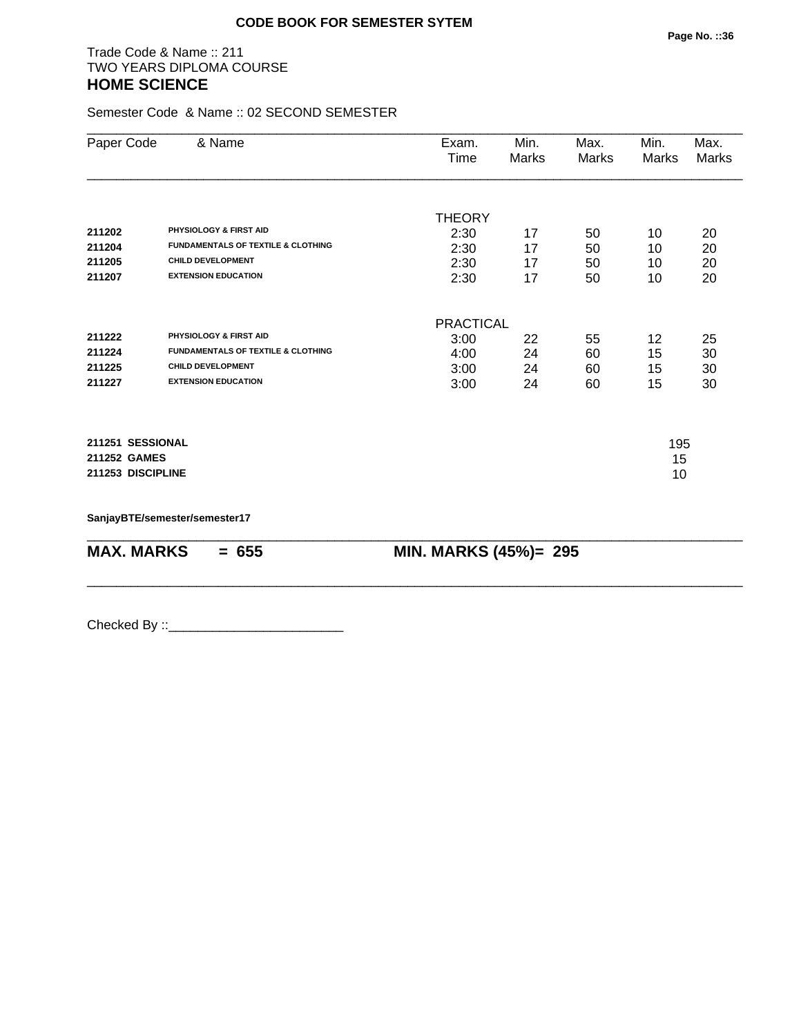#### Trade Code & Name :: 211 TWO YEARS DIPLOMA COURSE **HOME SCIENCE**

Semester Code & Name :: 02 SECOND SEMESTER

| Paper Code        | & Name                                        | Exam.<br>Time    | Min.<br>Marks         | Max.<br>Marks | Min.<br>Marks | Max.<br><b>Marks</b> |  |
|-------------------|-----------------------------------------------|------------------|-----------------------|---------------|---------------|----------------------|--|
|                   |                                               |                  |                       |               |               |                      |  |
|                   |                                               | <b>THEORY</b>    |                       |               |               |                      |  |
| 211202            | <b>PHYSIOLOGY &amp; FIRST AID</b>             | 2:30             | 17                    | 50            | 10            | 20                   |  |
| 211204            | <b>FUNDAMENTALS OF TEXTILE &amp; CLOTHING</b> | 2:30             | 17                    | 50            | 10            | 20                   |  |
| 211205            | <b>CHILD DEVELOPMENT</b>                      | 2:30             | 17                    | 50            | 10            | 20                   |  |
| 211207            | <b>EXTENSION EDUCATION</b>                    | 2:30             | 17                    | 50            | 10            | 20                   |  |
|                   |                                               | <b>PRACTICAL</b> |                       |               |               |                      |  |
| 211222            | PHYSIOLOGY & FIRST AID                        | 3:00             | 22                    | 55            | 12            | 25                   |  |
| 211224            | <b>FUNDAMENTALS OF TEXTILE &amp; CLOTHING</b> | 4:00             | 24                    | 60            | 15            | 30                   |  |
| 211225            | <b>CHILD DEVELOPMENT</b>                      | 3:00             | 24                    | 60            | 15            | 30                   |  |
| 211227            | <b>EXTENSION EDUCATION</b>                    | 3:00             | 24                    | 60            | 15            | 30                   |  |
| 211251 SESSIONAL  |                                               |                  | 195                   |               |               |                      |  |
| 211252 GAMES      |                                               |                  |                       |               | 15            |                      |  |
| 211253 DISCIPLINE |                                               |                  |                       | 10            |               |                      |  |
|                   | SanjayBTE/semester/semester17                 |                  |                       |               |               |                      |  |
| <b>MAX. MARKS</b> | $= 655$                                       |                  | MIN. MARKS (45%)= 295 |               |               |                      |  |

\_\_\_\_\_\_\_\_\_\_\_\_\_\_\_\_\_\_\_\_\_\_\_\_\_\_\_\_\_\_\_\_\_\_\_\_\_\_\_\_\_\_\_\_\_\_\_\_\_\_\_\_\_\_\_\_\_\_\_\_\_\_\_\_\_\_\_\_\_\_\_\_\_\_\_\_\_\_\_\_\_\_\_\_\_\_\_\_\_\_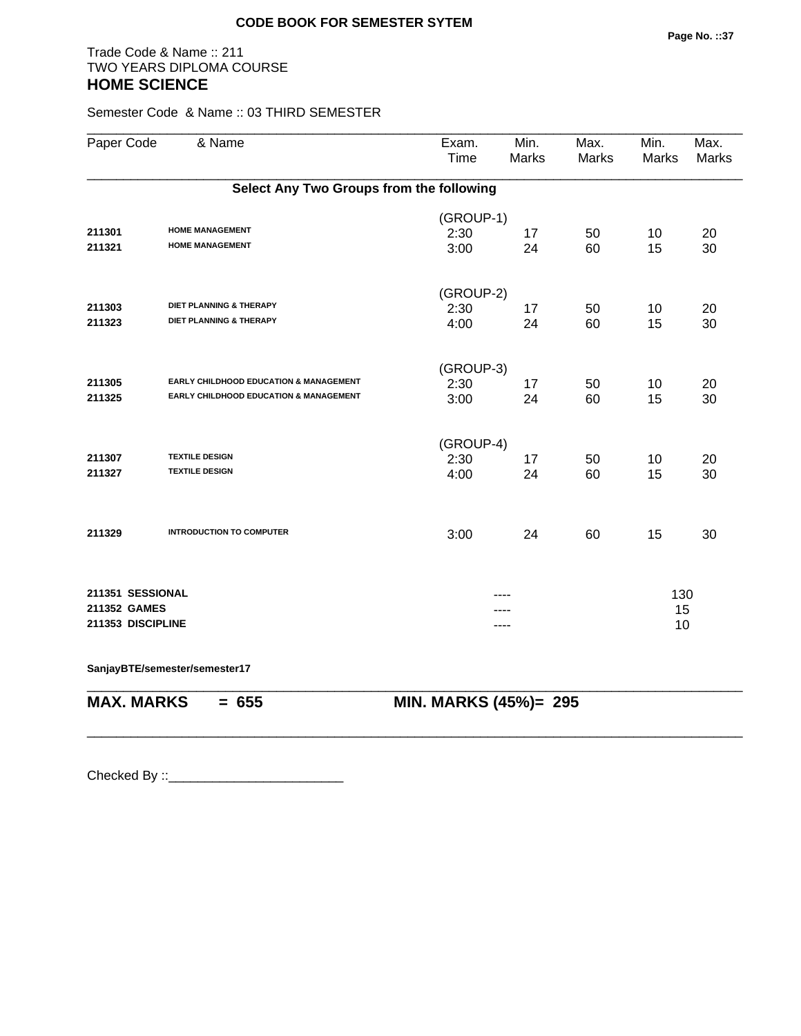## Trade Code & Name :: 211 TWO YEARS DIPLOMA COURSE **HOME SCIENCE**

Semester Code & Name :: 03 THIRD SEMESTER

| Paper Code        | & Name                                           | Exam.<br>Time         | Min.<br><b>Marks</b> | Max.<br><b>Marks</b> | Min.<br>Marks | Max.<br><b>Marks</b> |
|-------------------|--------------------------------------------------|-----------------------|----------------------|----------------------|---------------|----------------------|
|                   | Select Any Two Groups from the following         |                       |                      |                      |               |                      |
|                   |                                                  | (GROUP-1)             |                      |                      |               |                      |
| 211301<br>211321  | <b>HOME MANAGEMENT</b><br><b>HOME MANAGEMENT</b> | 2:30<br>3:00          | 17<br>24             | 50<br>60             | 10<br>15      | 20<br>30             |
|                   |                                                  |                       |                      |                      |               |                      |
|                   |                                                  | (GROUP-2)             |                      |                      |               |                      |
| 211303            | DIET PLANNING & THERAPY                          | 2:30                  | 17                   | 50                   | 10            | 20                   |
| 211323            | DIET PLANNING & THERAPY                          | 4:00                  | 24                   | 60                   | 15            | 30                   |
|                   |                                                  | (GROUP-3)             |                      |                      |               |                      |
| 211305            | EARLY CHILDHOOD EDUCATION & MANAGEMENT           | 2:30                  | 17                   | 50                   | 10            | 20                   |
| 211325            | EARLY CHILDHOOD EDUCATION & MANAGEMENT           | 3:00                  | 24                   | 60                   | 15            | 30                   |
|                   |                                                  |                       |                      |                      |               |                      |
|                   |                                                  | (GROUP-4)             |                      |                      |               |                      |
| 211307            | <b>TEXTILE DESIGN</b>                            | 2:30                  | 17                   | 50                   | 10            | 20                   |
| 211327            | <b>TEXTILE DESIGN</b>                            | 4:00                  | 24                   | 60                   | 15            | 30                   |
| 211329            | <b>INTRODUCTION TO COMPUTER</b>                  | 3:00                  | 24                   | 60                   | 15            | 30                   |
|                   |                                                  |                       |                      |                      |               |                      |
| 211351 SESSIONAL  |                                                  |                       |                      |                      | 130           |                      |
| 211352 GAMES      |                                                  |                       |                      |                      | 15            |                      |
| 211353 DISCIPLINE |                                                  |                       | ----                 |                      | 10            |                      |
|                   | SanjayBTE/semester/semester17                    |                       |                      |                      |               |                      |
| <b>MAX. MARKS</b> | $= 655$                                          | MIN. MARKS (45%)= 295 |                      |                      |               |                      |
|                   |                                                  |                       |                      |                      |               |                      |
|                   |                                                  |                       |                      |                      |               |                      |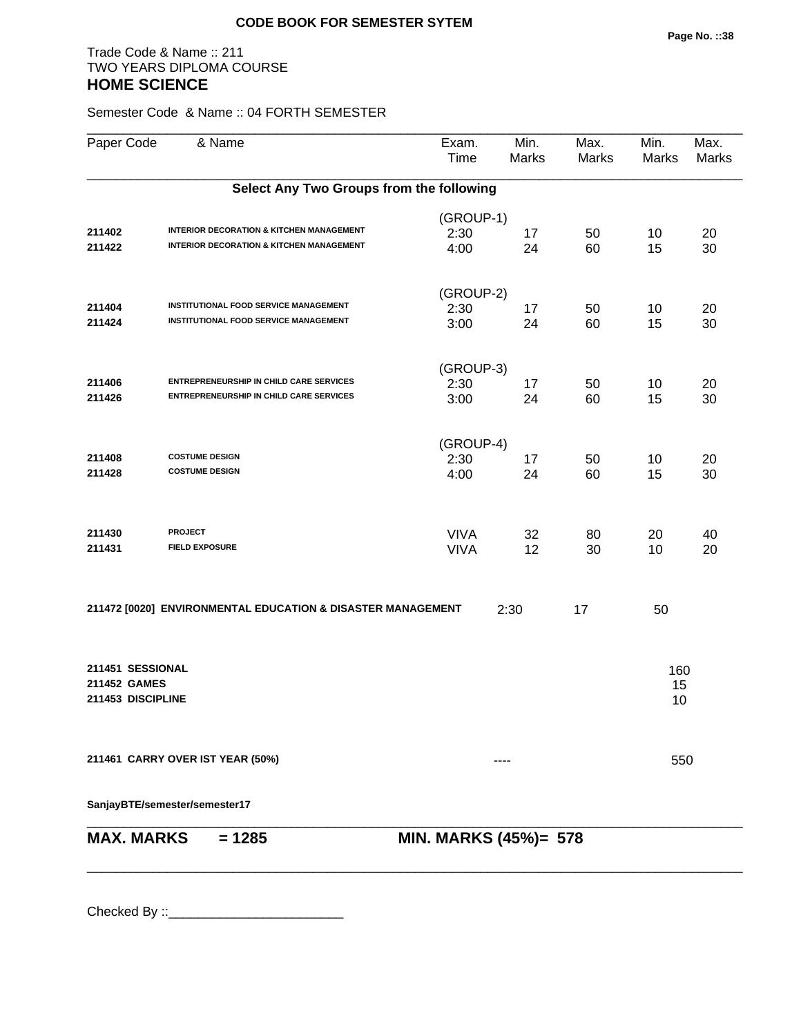## Trade Code & Name :: 211 TWO YEARS DIPLOMA COURSE **HOME SCIENCE**

Semester Code & Name :: 04 FORTH SEMESTER

| Paper Code                       | & Name                                                      | Exam.<br>Time         | Min.<br>Marks | Max.<br>Marks | Min.<br>Marks | Max.<br><b>Marks</b> |
|----------------------------------|-------------------------------------------------------------|-----------------------|---------------|---------------|---------------|----------------------|
|                                  | Select Any Two Groups from the following                    |                       |               |               |               |                      |
|                                  |                                                             | (GROUP-1)             |               |               |               |                      |
| 211402                           | <b>INTERIOR DECORATION &amp; KITCHEN MANAGEMENT</b>         | 2:30                  | 17            | 50            | 10            | 20                   |
| 211422                           | <b>INTERIOR DECORATION &amp; KITCHEN MANAGEMENT</b>         | 4:00                  | 24            | 60            | 15            | 30                   |
|                                  |                                                             | (GROUP-2)             |               |               |               |                      |
| 211404                           | INSTITUTIONAL FOOD SERVICE MANAGEMENT                       | 2:30                  | 17            | 50            | 10            | 20                   |
| 211424                           | INSTITUTIONAL FOOD SERVICE MANAGEMENT                       | 3:00                  | 24            | 60            | 15            | 30                   |
|                                  |                                                             | (GROUP-3)             |               |               |               |                      |
| 211406                           | ENTREPRENEURSHIP IN CHILD CARE SERVICES                     | 2:30                  | 17            | 50            | 10            | 20                   |
| 211426                           | <b>ENTREPRENEURSHIP IN CHILD CARE SERVICES</b>              | 3:00                  | 24            | 60            | 15            | 30                   |
|                                  |                                                             | (GROUP-4)             |               |               |               |                      |
| 211408                           | <b>COSTUME DESIGN</b>                                       | 2:30                  | 17            | 50            | 10            | 20                   |
| 211428                           | <b>COSTUME DESIGN</b>                                       | 4:00                  | 24            | 60            | 15            | 30                   |
| 211430                           | <b>PROJECT</b>                                              | <b>VIVA</b>           | 32            | 80            | 20            | 40                   |
| 211431                           | <b>FIELD EXPOSURE</b>                                       | <b>VIVA</b>           | 12            | 30            | 10            | 20                   |
|                                  | 211472 [0020] ENVIRONMENTAL EDUCATION & DISASTER MANAGEMENT |                       | 2:30          | 17            | 50            |                      |
| 211451 SESSIONAL<br>211452 GAMES |                                                             |                       |               |               | 160<br>15     |                      |
| 211453 DISCIPLINE                |                                                             |                       |               |               | 10            |                      |
|                                  | 211461 CARRY OVER IST YEAR (50%)                            |                       |               |               | 550           |                      |
|                                  | SanjayBTE/semester/semester17                               |                       |               |               |               |                      |
| <b>MAX. MARKS</b>                | $= 1285$                                                    | MIN. MARKS (45%)= 578 |               |               |               |                      |
|                                  |                                                             |                       |               |               |               |                      |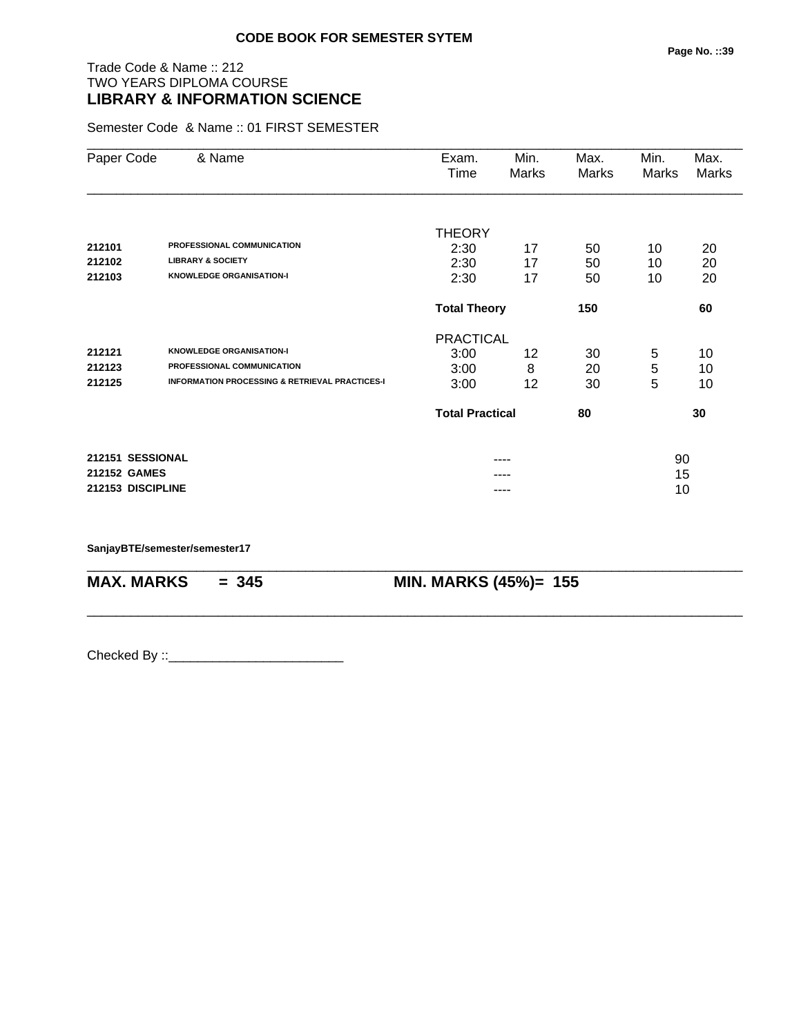# Trade Code & Name :: 212 TWO YEARS DIPLOMA COURSE **LIBRARY & INFORMATION SCIENCE**

Semester Code & Name :: 01 FIRST SEMESTER

| Paper Code        | & Name                                                    | Exam.                  | Min.  | Max.  | Min.  | Max.         |
|-------------------|-----------------------------------------------------------|------------------------|-------|-------|-------|--------------|
|                   |                                                           | Time                   | Marks | Marks | Marks | <b>Marks</b> |
|                   |                                                           |                        |       |       |       |              |
|                   |                                                           | <b>THEORY</b>          |       |       |       |              |
| 212101            | PROFESSIONAL COMMUNICATION                                | 2:30                   | 17    | 50    | 10    | 20           |
| 212102            | <b>LIBRARY &amp; SOCIETY</b>                              | 2:30                   | 17    | 50    | 10    | 20           |
| 212103            | <b>KNOWLEDGE ORGANISATION-I</b>                           | 2:30                   | 17    | 50    | 10    | 20           |
|                   |                                                           | <b>Total Theory</b>    |       | 150   |       | 60           |
|                   |                                                           | <b>PRACTICAL</b>       |       |       |       |              |
| 212121            | <b>KNOWLEDGE ORGANISATION-I</b>                           | 3:00                   | 12    | 30    | 5     | 10           |
| 212123            | PROFESSIONAL COMMUNICATION                                | 3:00                   | 8     | 20    | 5     | 10           |
| 212125            | <b>INFORMATION PROCESSING &amp; RETRIEVAL PRACTICES-I</b> | 3:00                   | 12    | 30    | 5     | 10           |
|                   |                                                           | <b>Total Practical</b> |       | 80    |       | 30           |
| 212151 SESSIONAL  |                                                           |                        |       |       | 90    |              |
| 212152 GAMES      |                                                           |                        |       |       | 15    |              |
| 212153 DISCIPLINE |                                                           |                        | ----  |       | 10    |              |

\_\_\_\_\_\_\_\_\_\_\_\_\_\_\_\_\_\_\_\_\_\_\_\_\_\_\_\_\_\_\_\_\_\_\_\_\_\_\_\_\_\_\_\_\_\_\_\_\_\_\_\_\_\_\_\_\_\_\_\_\_\_\_\_\_\_\_\_\_\_\_\_\_\_\_\_\_\_\_\_\_\_\_\_\_\_\_\_\_\_

\_\_\_\_\_\_\_\_\_\_\_\_\_\_\_\_\_\_\_\_\_\_\_\_\_\_\_\_\_\_\_\_\_\_\_\_\_\_\_\_\_\_\_\_\_\_\_\_\_\_\_\_\_\_\_\_\_\_\_\_\_\_\_\_\_\_\_\_\_\_\_\_\_\_\_\_\_\_\_\_\_\_\_\_\_\_\_\_\_\_

**SanjayBTE/semester/semester17**

**MAX. MARKS = 345 MIN. MARKS (45%)= 155**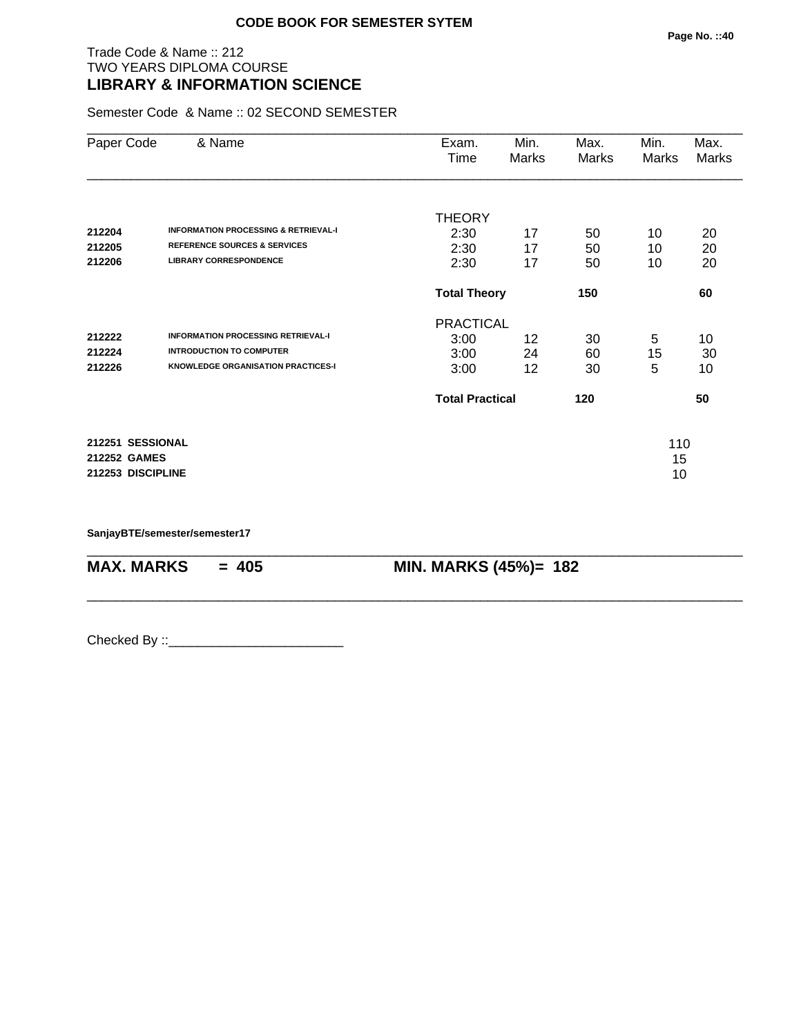## Trade Code & Name :: 212 TWO YEARS DIPLOMA COURSE **LIBRARY & INFORMATION SCIENCE**

Semester Code & Name :: 02 SECOND SEMESTER

| Paper Code        | & Name                                          | Exam.<br>Time          | Min.<br>Marks | Max.<br>Marks | Min.<br>Marks | Max.<br>Marks |
|-------------------|-------------------------------------------------|------------------------|---------------|---------------|---------------|---------------|
|                   |                                                 | <b>THEORY</b>          |               |               |               |               |
| 212204            | <b>INFORMATION PROCESSING &amp; RETRIEVAL-I</b> | 2:30                   | 17            | 50            | 10            | 20            |
| 212205            | <b>REFERENCE SOURCES &amp; SERVICES</b>         | 2:30                   | 17            | 50            | 10            | 20            |
| 212206            | <b>LIBRARY CORRESPONDENCE</b>                   | 2:30                   | 17            | 50            | 10            | 20            |
|                   |                                                 | <b>Total Theory</b>    |               | 150           |               | 60            |
|                   |                                                 | <b>PRACTICAL</b>       |               |               |               |               |
| 212222            | <b>INFORMATION PROCESSING RETRIEVAL-I</b>       | 3:00                   | 12            | 30            | 5             | 10            |
| 212224            | <b>INTRODUCTION TO COMPUTER</b>                 | 3:00                   | 24            | 60            | 15            | 30            |
| 212226            | <b>KNOWLEDGE ORGANISATION PRACTICES-I</b>       | 3:00                   | 12            | 30            | 5             | 10            |
|                   |                                                 | <b>Total Practical</b> |               | 120           |               | 50            |
| 212251 SESSIONAL  |                                                 |                        |               |               | 110           |               |
| 212252 GAMES      |                                                 |                        |               |               | 15            |               |
| 212253 DISCIPLINE |                                                 |                        |               |               | 10            |               |

\_\_\_\_\_\_\_\_\_\_\_\_\_\_\_\_\_\_\_\_\_\_\_\_\_\_\_\_\_\_\_\_\_\_\_\_\_\_\_\_\_\_\_\_\_\_\_\_\_\_\_\_\_\_\_\_\_\_\_\_\_\_\_\_\_\_\_\_\_\_\_\_\_\_\_\_\_\_\_\_\_\_\_\_\_\_\_\_\_\_

\_\_\_\_\_\_\_\_\_\_\_\_\_\_\_\_\_\_\_\_\_\_\_\_\_\_\_\_\_\_\_\_\_\_\_\_\_\_\_\_\_\_\_\_\_\_\_\_\_\_\_\_\_\_\_\_\_\_\_\_\_\_\_\_\_\_\_\_\_\_\_\_\_\_\_\_\_\_\_\_\_\_\_\_\_\_\_\_\_\_

**SanjayBTE/semester/semester17**

**MAX. MARKS = 405 MIN. MARKS (45%)= 182**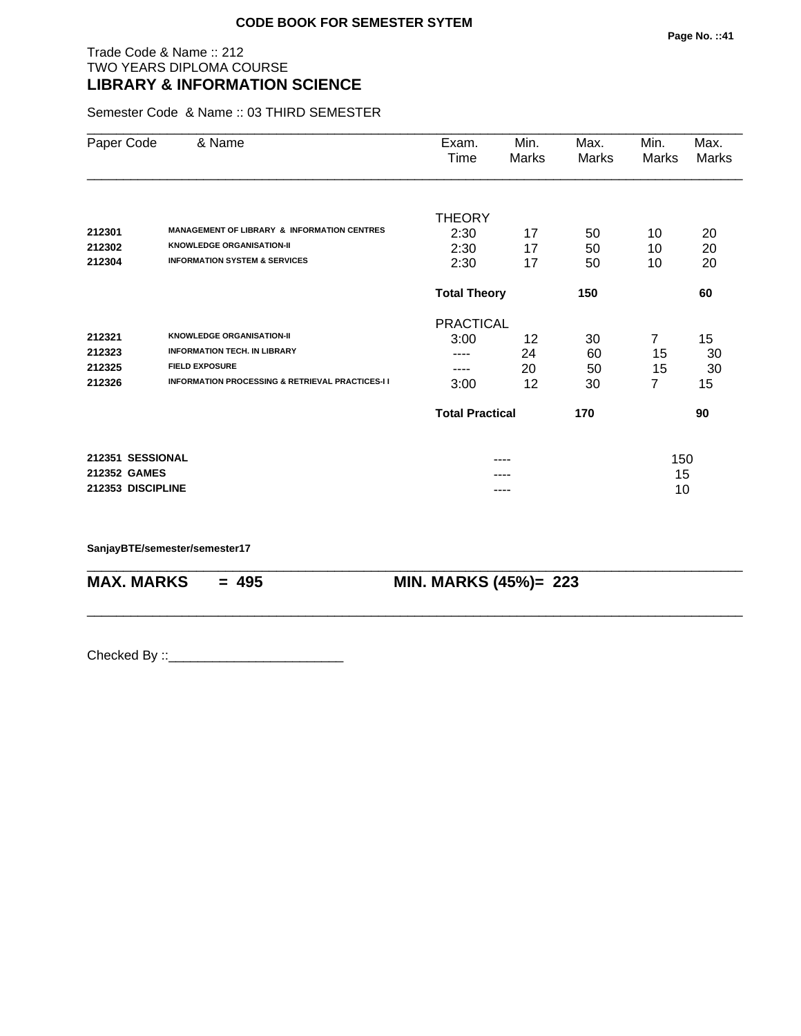## Trade Code & Name :: 212 TWO YEARS DIPLOMA COURSE **LIBRARY & INFORMATION SCIENCE**

Semester Code & Name :: 03 THIRD SEMESTER

| Paper Code        | & Name                                                      | Exam.                      | Min.  | Max.  | Min.           | Max.  |
|-------------------|-------------------------------------------------------------|----------------------------|-------|-------|----------------|-------|
|                   |                                                             | Time                       | Marks | Marks | Marks          | Marks |
|                   |                                                             | <b>THEORY</b>              |       |       |                |       |
| 212301            | <b>MANAGEMENT OF LIBRARY &amp; INFORMATION CENTRES</b>      | 2:30                       | 17    | 50    | 10             | 20    |
| 212302            | <b>KNOWLEDGE ORGANISATION-II</b>                            | 2:30                       | 17    | 50    | 10             | 20    |
| 212304            | <b>INFORMATION SYSTEM &amp; SERVICES</b>                    | 2:30                       | 17    | 50    | 10             | 20    |
|                   |                                                             | <b>Total Theory</b><br>150 |       |       |                | 60    |
|                   |                                                             | <b>PRACTICAL</b>           |       |       |                |       |
| 212321            | <b>KNOWLEDGE ORGANISATION-II</b>                            | 3:00                       | 12    | 30    | $\overline{7}$ | 15    |
| 212323            | <b>INFORMATION TECH. IN LIBRARY</b>                         | ----                       | 24    | 60    | 15             | 30    |
| 212325            | <b>FIELD EXPOSURE</b>                                       | ----                       | 20    | 50    | 15             | 30    |
| 212326            | <b>INFORMATION PROCESSING &amp; RETRIEVAL PRACTICES-I I</b> | 3:00                       | 12    | 30    | 7              | 15    |
|                   |                                                             | <b>Total Practical</b>     |       | 170   |                | 90    |
| 212351 SESSIONAL  |                                                             |                            |       |       | 150            |       |
| 212352 GAMES      |                                                             |                            |       |       | 15             |       |
| 212353 DISCIPLINE |                                                             |                            |       |       | 10             |       |

\_\_\_\_\_\_\_\_\_\_\_\_\_\_\_\_\_\_\_\_\_\_\_\_\_\_\_\_\_\_\_\_\_\_\_\_\_\_\_\_\_\_\_\_\_\_\_\_\_\_\_\_\_\_\_\_\_\_\_\_\_\_\_\_\_\_\_\_\_\_\_\_\_\_\_\_\_\_\_\_\_\_\_\_\_\_\_\_\_\_

\_\_\_\_\_\_\_\_\_\_\_\_\_\_\_\_\_\_\_\_\_\_\_\_\_\_\_\_\_\_\_\_\_\_\_\_\_\_\_\_\_\_\_\_\_\_\_\_\_\_\_\_\_\_\_\_\_\_\_\_\_\_\_\_\_\_\_\_\_\_\_\_\_\_\_\_\_\_\_\_\_\_\_\_\_\_\_\_\_\_

**SanjayBTE/semester/semester17**

**MAX. MARKS = 495 MIN. MARKS (45%)= 223**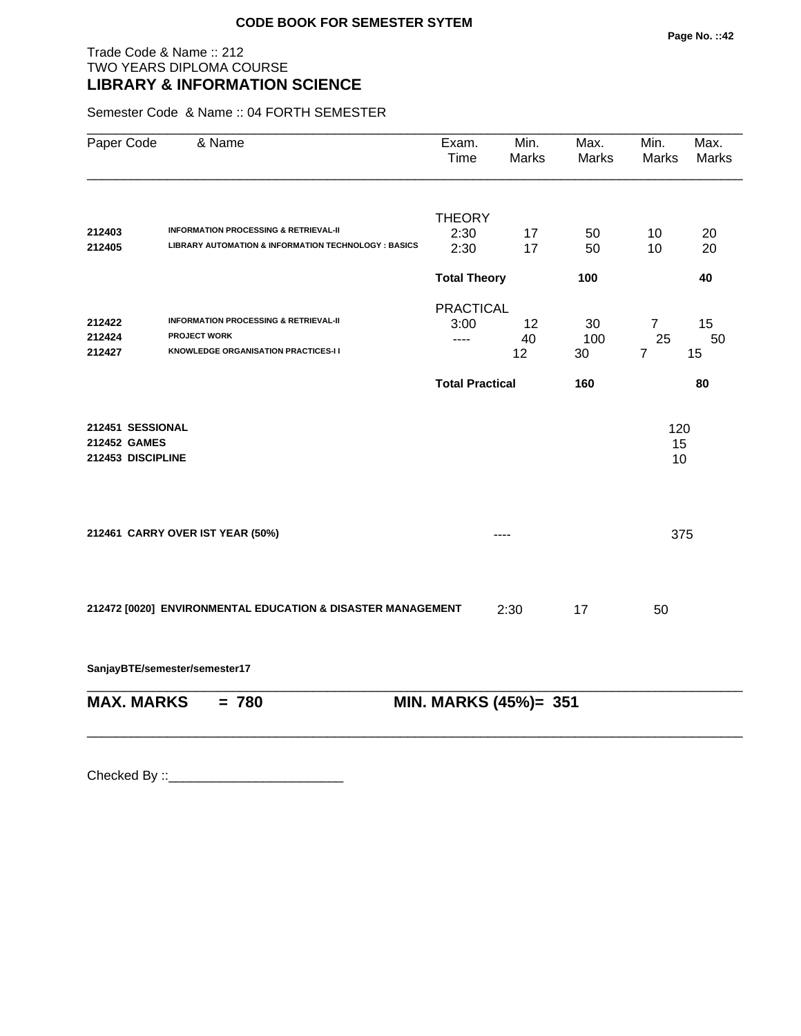## Trade Code & Name :: 212 TWO YEARS DIPLOMA COURSE **LIBRARY & INFORMATION SCIENCE**

Semester Code & Name :: 04 FORTH SEMESTER

| Paper Code        | & Name                                                      | Exam.<br><b>Time</b>   | Min.<br><b>Marks</b> | Max.<br>Marks | Min.<br>Marks  | Max.<br><b>Marks</b> |
|-------------------|-------------------------------------------------------------|------------------------|----------------------|---------------|----------------|----------------------|
|                   |                                                             | <b>THEORY</b>          |                      |               |                |                      |
| 212403            | <b>INFORMATION PROCESSING &amp; RETRIEVAL-II</b>            | 2:30                   | 17                   | 50            | 10             | 20                   |
| 212405            | LIBRARY AUTOMATION & INFORMATION TECHNOLOGY : BASICS        | 2:30                   | 17                   | 50            | 10             | 20                   |
|                   |                                                             | <b>Total Theory</b>    |                      | 100           |                | 40                   |
|                   |                                                             | <b>PRACTICAL</b>       |                      |               |                |                      |
| 212422            | <b>INFORMATION PROCESSING &amp; RETRIEVAL-II</b>            | 3:00                   | 12                   | 30            | $\overline{7}$ | 15                   |
| 212424            | <b>PROJECT WORK</b>                                         | $---$                  | 40                   | 100           | 25             | 50                   |
| 212427            | KNOWLEDGE ORGANISATION PRACTICES-I I                        |                        | 12                   | 30            | $\overline{7}$ | 15                   |
|                   |                                                             | <b>Total Practical</b> |                      | 160           |                | 80                   |
| 212451 SESSIONAL  |                                                             |                        |                      |               | 120            |                      |
| 212452 GAMES      |                                                             |                        |                      |               | 15             |                      |
| 212453 DISCIPLINE |                                                             |                        |                      |               | 10             |                      |
|                   | 212461 CARRY OVER IST YEAR (50%)                            |                        |                      |               | 375            |                      |
|                   | 212472 [0020] ENVIRONMENTAL EDUCATION & DISASTER MANAGEMENT |                        | 2:30                 | 17            | 50             |                      |
|                   | SanjayBTE/semester/semester17                               |                        |                      |               |                |                      |
| <b>MAX. MARKS</b> | $= 780$                                                     | MIN. MARKS (45%)= 351  |                      |               |                |                      |
|                   |                                                             |                        |                      |               |                |                      |
|                   |                                                             |                        |                      |               |                |                      |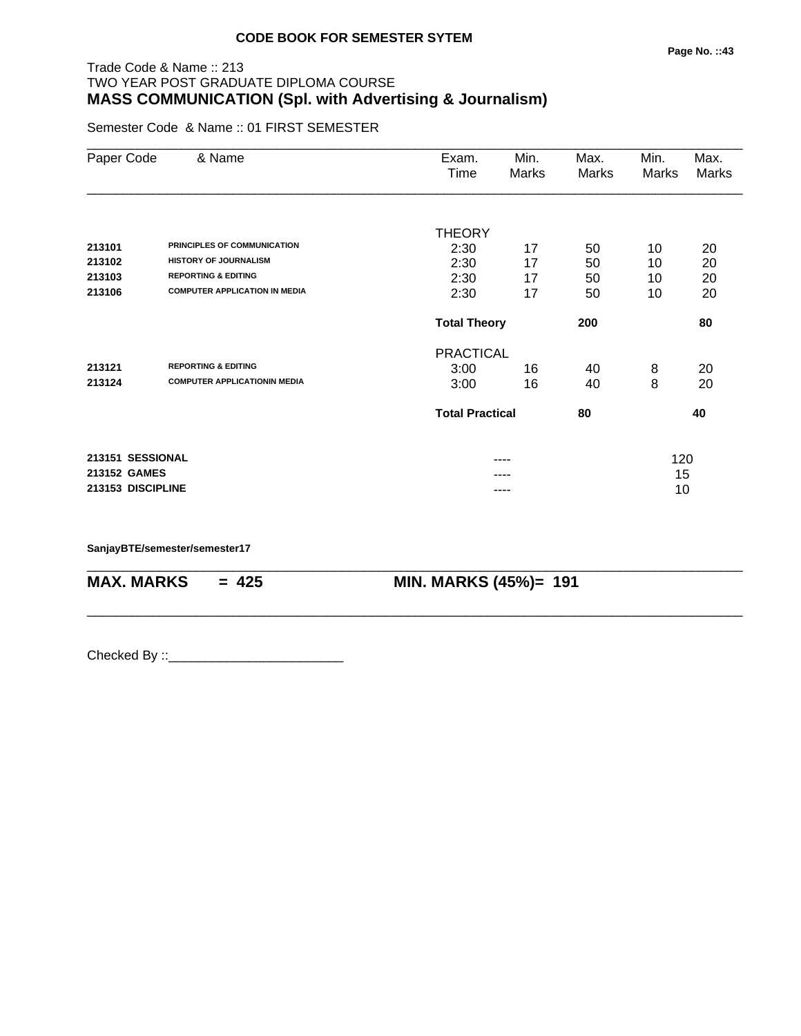# Trade Code & Name :: 213 TWO YEAR POST GRADUATE DIPLOMA COURSE **MASS COMMUNICATION (Spl. with Advertising & Journalism)**

Semester Code & Name :: 01 FIRST SEMESTER

| Paper Code        | & Name                               | Exam.                  | Min.  | Max.  | Min.  | Max.  |
|-------------------|--------------------------------------|------------------------|-------|-------|-------|-------|
|                   |                                      | Time                   | Marks | Marks | Marks | Marks |
|                   |                                      | <b>THEORY</b>          |       |       |       |       |
| 213101            | PRINCIPLES OF COMMUNICATION          | 2:30                   | 17    | 50    | 10    | 20    |
| 213102            | <b>HISTORY OF JOURNALISM</b>         | 2:30                   | 17    | 50    | 10    | 20    |
| 213103            | <b>REPORTING &amp; EDITING</b>       | 2:30                   | 17    | 50    | 10    | 20    |
| 213106            | <b>COMPUTER APPLICATION IN MEDIA</b> | 2:30                   | 17    | 50    | 10    | 20    |
|                   |                                      | <b>Total Theory</b>    |       | 200   |       | 80    |
|                   |                                      | <b>PRACTICAL</b>       |       |       |       |       |
| 213121            | <b>REPORTING &amp; EDITING</b>       | 3:00                   | 16    | 40    | 8     | 20    |
| 213124            | <b>COMPUTER APPLICATIONIN MEDIA</b>  | 3:00                   | 16    | 40    | 8     | 20    |
|                   |                                      | <b>Total Practical</b> |       | 80    |       | 40    |
| 213151 SESSIONAL  |                                      |                        | ----  |       | 120   |       |
| 213152 GAMES      |                                      |                        |       |       | 15    |       |
| 213153 DISCIPLINE |                                      |                        | ----  |       | 10    |       |

\_\_\_\_\_\_\_\_\_\_\_\_\_\_\_\_\_\_\_\_\_\_\_\_\_\_\_\_\_\_\_\_\_\_\_\_\_\_\_\_\_\_\_\_\_\_\_\_\_\_\_\_\_\_\_\_\_\_\_\_\_\_\_\_\_\_\_\_\_\_\_\_\_\_\_\_\_\_\_\_\_\_\_\_\_\_\_\_\_\_

\_\_\_\_\_\_\_\_\_\_\_\_\_\_\_\_\_\_\_\_\_\_\_\_\_\_\_\_\_\_\_\_\_\_\_\_\_\_\_\_\_\_\_\_\_\_\_\_\_\_\_\_\_\_\_\_\_\_\_\_\_\_\_\_\_\_\_\_\_\_\_\_\_\_\_\_\_\_\_\_\_\_\_\_\_\_\_\_\_\_

**SanjayBTE/semester/semester17**

**MAX. MARKS = 425 MIN. MARKS (45%)= 191**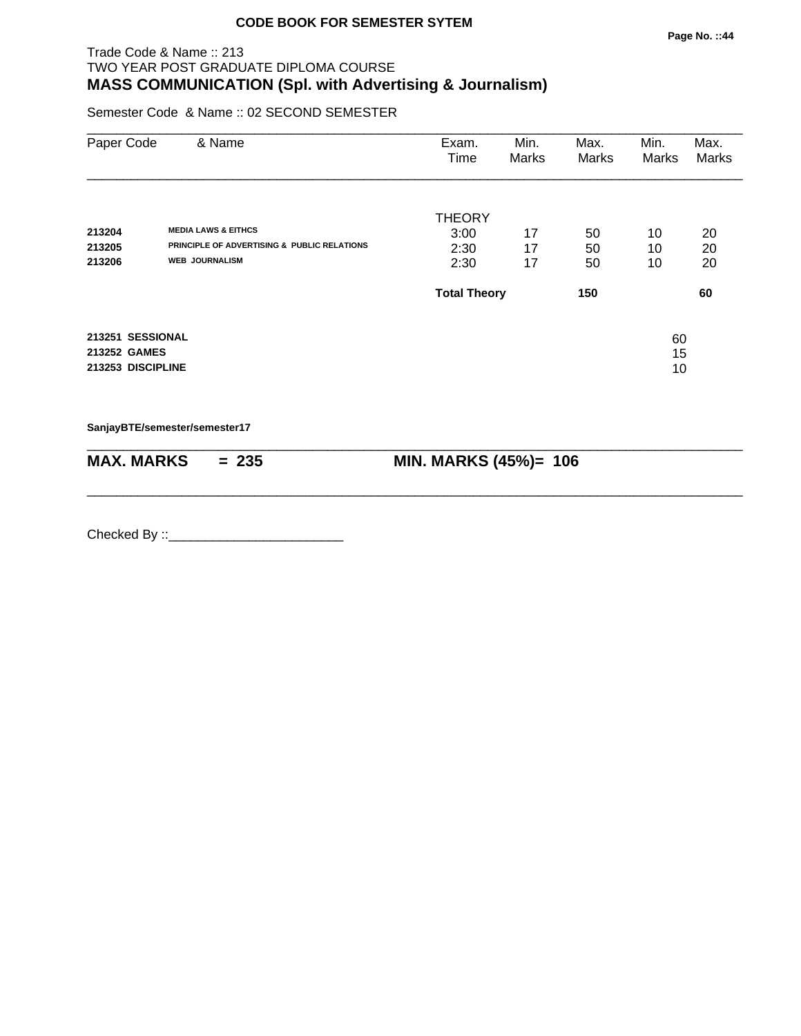Semester Code & Name :: 02 SECOND SEMESTER

| Paper Code        | & Name                                                 | Exam.<br>Time       | Min.<br>Marks | Max.<br><b>Marks</b> | Min.<br>Marks | Max.<br>Marks |
|-------------------|--------------------------------------------------------|---------------------|---------------|----------------------|---------------|---------------|
|                   |                                                        | <b>THEORY</b>       |               |                      |               |               |
| 213204            | <b>MEDIA LAWS &amp; EITHCS</b>                         | 3:00                | 17            | 50                   | 10            | 20            |
| 213205            | <b>PRINCIPLE OF ADVERTISING &amp; PUBLIC RELATIONS</b> | 2:30                | 17            | 50                   | 10            | 20            |
| 213206            | <b>WEB JOURNALISM</b>                                  | 2:30                | 17            | 50                   | 10            | 20            |
|                   |                                                        | <b>Total Theory</b> |               | 150                  |               | 60            |
| 213251 SESSIONAL  |                                                        |                     |               |                      | 60            |               |
| 213252 GAMES      |                                                        |                     |               |                      | 15            |               |
| 213253 DISCIPLINE |                                                        |                     |               |                      | 10            |               |

**SanjayBTE/semester/semester17**

| <b>MAX. MARKS</b> | <br>- | MIN. MARKS $(45%)$ =<br>106<br><b>WILL'S MILLION</b> |
|-------------------|-------|------------------------------------------------------|

\_\_\_\_\_\_\_\_\_\_\_\_\_\_\_\_\_\_\_\_\_\_\_\_\_\_\_\_\_\_\_\_\_\_\_\_\_\_\_\_\_\_\_\_\_\_\_\_\_\_\_\_\_\_\_\_\_\_\_\_\_\_\_\_\_\_\_\_\_\_\_\_\_\_\_\_\_\_\_\_\_\_\_\_\_\_\_\_\_\_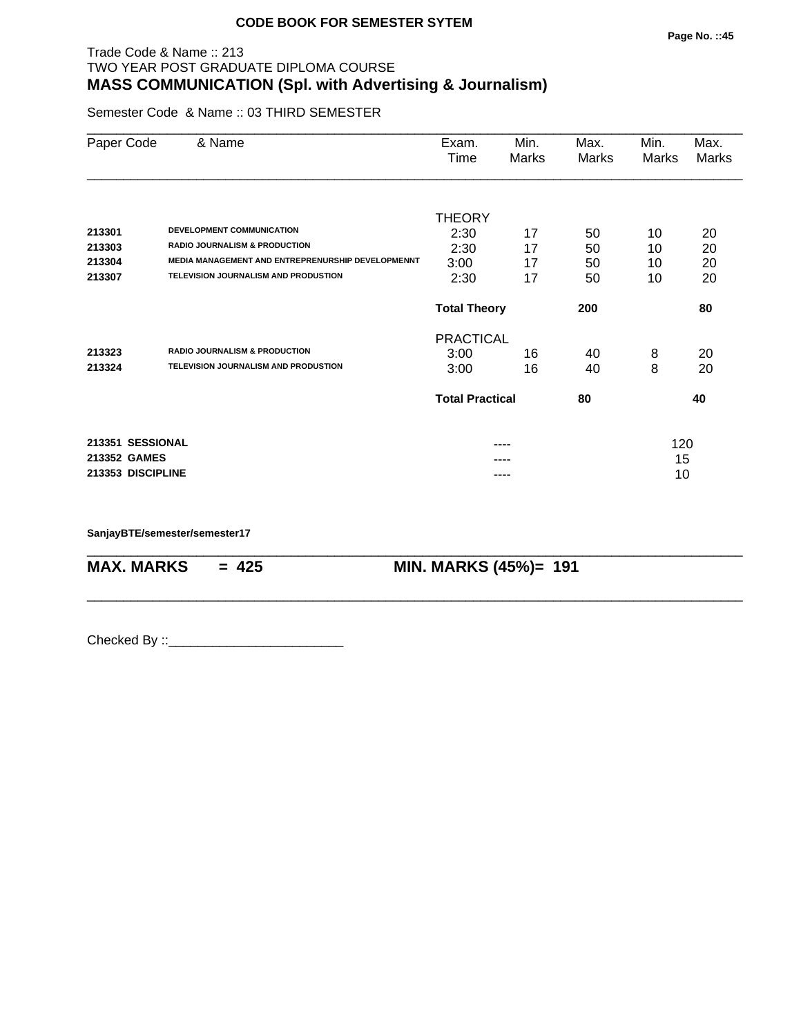# Trade Code & Name :: 213 TWO YEAR POST GRADUATE DIPLOMA COURSE **MASS COMMUNICATION (Spl. with Advertising & Journalism)**

Semester Code & Name :: 03 THIRD SEMESTER

| Paper Code        | & Name                                                   | Exam.<br>Time          | Min.<br>Marks | Max.<br>Marks | Min.<br>Marks | Max.<br>Marks |
|-------------------|----------------------------------------------------------|------------------------|---------------|---------------|---------------|---------------|
|                   |                                                          |                        |               |               |               |               |
| 213301            | DEVELOPMENT COMMUNICATION                                | <b>THEORY</b>          |               |               |               |               |
| 213303            | <b>RADIO JOURNALISM &amp; PRODUCTION</b>                 | 2:30<br>2:30           | 17<br>17      | 50            | 10            | 20<br>20      |
| 213304            | <b>MEDIA MANAGEMENT AND ENTREPRENURSHIP DEVELOPMENNT</b> | 3:00                   | 17            | 50<br>50      | 10<br>10      | 20            |
| 213307            | TELEVISION JOURNALISM AND PRODUSTION                     | 2:30                   | 17            | 50            | 10            | 20            |
|                   |                                                          | <b>Total Theory</b>    |               | 200           |               | 80            |
|                   |                                                          | <b>PRACTICAL</b>       |               |               |               |               |
| 213323            | <b>RADIO JOURNALISM &amp; PRODUCTION</b>                 | 3:00                   | 16            | 40            | 8             | 20            |
| 213324            | TELEVISION JOURNALISM AND PRODUSTION                     | 3:00                   | 16            | 40            | 8             | 20            |
|                   |                                                          | <b>Total Practical</b> |               | 80            |               | 40            |
| 213351 SESSIONAL  |                                                          |                        |               |               | 120           |               |
| 213352 GAMES      |                                                          |                        |               |               | 15            |               |
| 213353 DISCIPLINE |                                                          |                        | ----          |               | 10            |               |

\_\_\_\_\_\_\_\_\_\_\_\_\_\_\_\_\_\_\_\_\_\_\_\_\_\_\_\_\_\_\_\_\_\_\_\_\_\_\_\_\_\_\_\_\_\_\_\_\_\_\_\_\_\_\_\_\_\_\_\_\_\_\_\_\_\_\_\_\_\_\_\_\_\_\_\_\_\_\_\_\_\_\_\_\_\_\_\_\_\_

\_\_\_\_\_\_\_\_\_\_\_\_\_\_\_\_\_\_\_\_\_\_\_\_\_\_\_\_\_\_\_\_\_\_\_\_\_\_\_\_\_\_\_\_\_\_\_\_\_\_\_\_\_\_\_\_\_\_\_\_\_\_\_\_\_\_\_\_\_\_\_\_\_\_\_\_\_\_\_\_\_\_\_\_\_\_\_\_\_\_

**SanjayBTE/semester/semester17**

**MAX. MARKS = 425 MIN. MARKS (45%)= 191**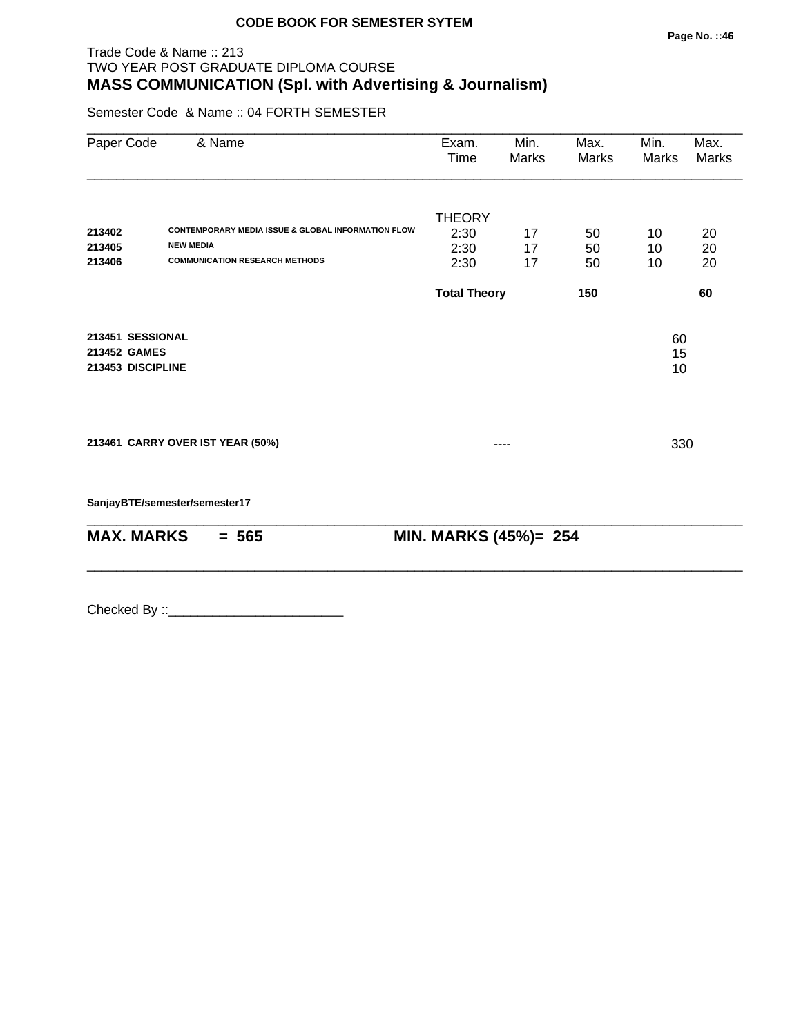Semester Code & Name :: 04 FORTH SEMESTER

| Paper Code                                            | & Name                                                                                                                     | Exam.<br>Time                         | Min.<br>Marks  | Max.<br>Marks  | Min.<br>Marks  | Max.<br>Marks  |
|-------------------------------------------------------|----------------------------------------------------------------------------------------------------------------------------|---------------------------------------|----------------|----------------|----------------|----------------|
| 213402<br>213405<br>213406                            | <b>CONTEMPORARY MEDIA ISSUE &amp; GLOBAL INFORMATION FLOW</b><br><b>NEW MEDIA</b><br><b>COMMUNICATION RESEARCH METHODS</b> | <b>THEORY</b><br>2:30<br>2:30<br>2:30 | 17<br>17<br>17 | 50<br>50<br>50 | 10<br>10<br>10 | 20<br>20<br>20 |
|                                                       |                                                                                                                            | <b>Total Theory</b>                   |                | 150            |                | 60             |
| 213451 SESSIONAL<br>213452 GAMES<br>213453 DISCIPLINE |                                                                                                                            |                                       |                |                | 60<br>15<br>10 |                |
|                                                       | 213461 CARRY OVER IST YEAR (50%)                                                                                           |                                       |                |                | 330            |                |
|                                                       | SanjayBTE/semester/semester17                                                                                              |                                       |                |                |                |                |
| <b>MAX. MARKS</b>                                     | $= 565$                                                                                                                    | MIN. MARKS (45%)= 254                 |                |                |                |                |

\_\_\_\_\_\_\_\_\_\_\_\_\_\_\_\_\_\_\_\_\_\_\_\_\_\_\_\_\_\_\_\_\_\_\_\_\_\_\_\_\_\_\_\_\_\_\_\_\_\_\_\_\_\_\_\_\_\_\_\_\_\_\_\_\_\_\_\_\_\_\_\_\_\_\_\_\_\_\_\_\_\_\_\_\_\_\_\_\_\_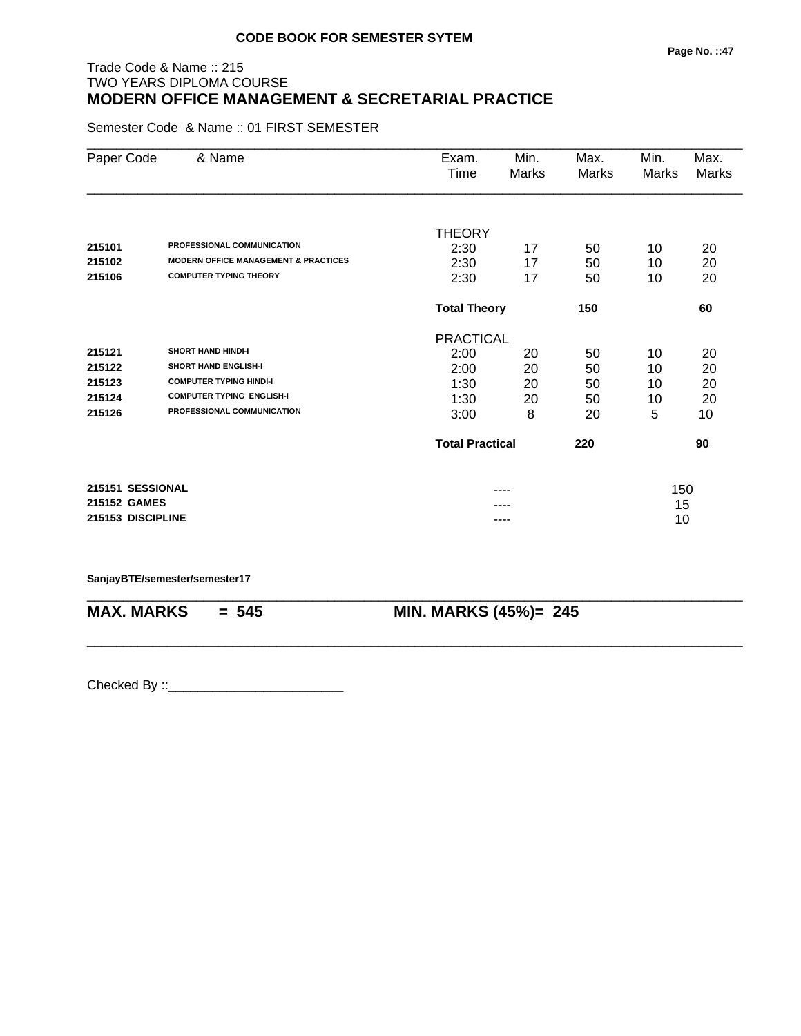# Trade Code & Name :: 215 TWO YEARS DIPLOMA COURSE **MODERN OFFICE MANAGEMENT & SECRETARIAL PRACTICE**

Semester Code & Name :: 01 FIRST SEMESTER

| Paper Code        | & Name                                          | Exam.<br>Time          | Min.<br>Marks              | Max.<br>Marks | Min.<br>Marks | Max.<br><b>Marks</b> |
|-------------------|-------------------------------------------------|------------------------|----------------------------|---------------|---------------|----------------------|
|                   |                                                 |                        |                            |               |               |                      |
|                   |                                                 | <b>THEORY</b>          |                            |               |               |                      |
| 215101            | PROFESSIONAL COMMUNICATION                      | 2:30                   | 17                         | 50            | 10            | 20                   |
| 215102            | <b>MODERN OFFICE MANAGEMENT &amp; PRACTICES</b> | 2:30                   | 17                         | 50            | 10            | 20                   |
| 215106            | <b>COMPUTER TYPING THEORY</b>                   | 2:30                   | 17                         | 50            | 10            | 20                   |
|                   |                                                 |                        | <b>Total Theory</b><br>150 |               |               | 60                   |
|                   |                                                 | <b>PRACTICAL</b>       |                            |               |               |                      |
| 215121            | <b>SHORT HAND HINDI-I</b>                       | 2:00                   | 20                         | 50            | 10            | 20                   |
| 215122            | <b>SHORT HAND ENGLISH-I</b>                     | 2:00                   | 20                         | 50            | 10            | 20                   |
| 215123            | <b>COMPUTER TYPING HINDI-I</b>                  | 1:30                   | 20                         | 50            | 10            | 20                   |
| 215124            | <b>COMPUTER TYPING ENGLISH-I</b>                | 1:30                   | 20                         | 50            | 10            | 20                   |
| 215126            | PROFESSIONAL COMMUNICATION                      | 3:00                   | 8                          | 20            | 5             | 10                   |
|                   |                                                 | <b>Total Practical</b> |                            | 220           |               | 90                   |
| 215151 SESSIONAL  |                                                 |                        |                            |               | 150           |                      |
| 215152 GAMES      |                                                 |                        |                            |               | 15            |                      |
| 215153 DISCIPLINE |                                                 |                        | ----                       |               | 10            |                      |

\_\_\_\_\_\_\_\_\_\_\_\_\_\_\_\_\_\_\_\_\_\_\_\_\_\_\_\_\_\_\_\_\_\_\_\_\_\_\_\_\_\_\_\_\_\_\_\_\_\_\_\_\_\_\_\_\_\_\_\_\_\_\_\_\_\_\_\_\_\_\_\_\_\_\_\_\_\_\_\_\_\_\_\_\_\_\_\_\_\_

\_\_\_\_\_\_\_\_\_\_\_\_\_\_\_\_\_\_\_\_\_\_\_\_\_\_\_\_\_\_\_\_\_\_\_\_\_\_\_\_\_\_\_\_\_\_\_\_\_\_\_\_\_\_\_\_\_\_\_\_\_\_\_\_\_\_\_\_\_\_\_\_\_\_\_\_\_\_\_\_\_\_\_\_\_\_\_\_\_\_

**SanjayBTE/semester/semester17**

**MAX. MARKS = 545 MIN. MARKS (45%)= 245**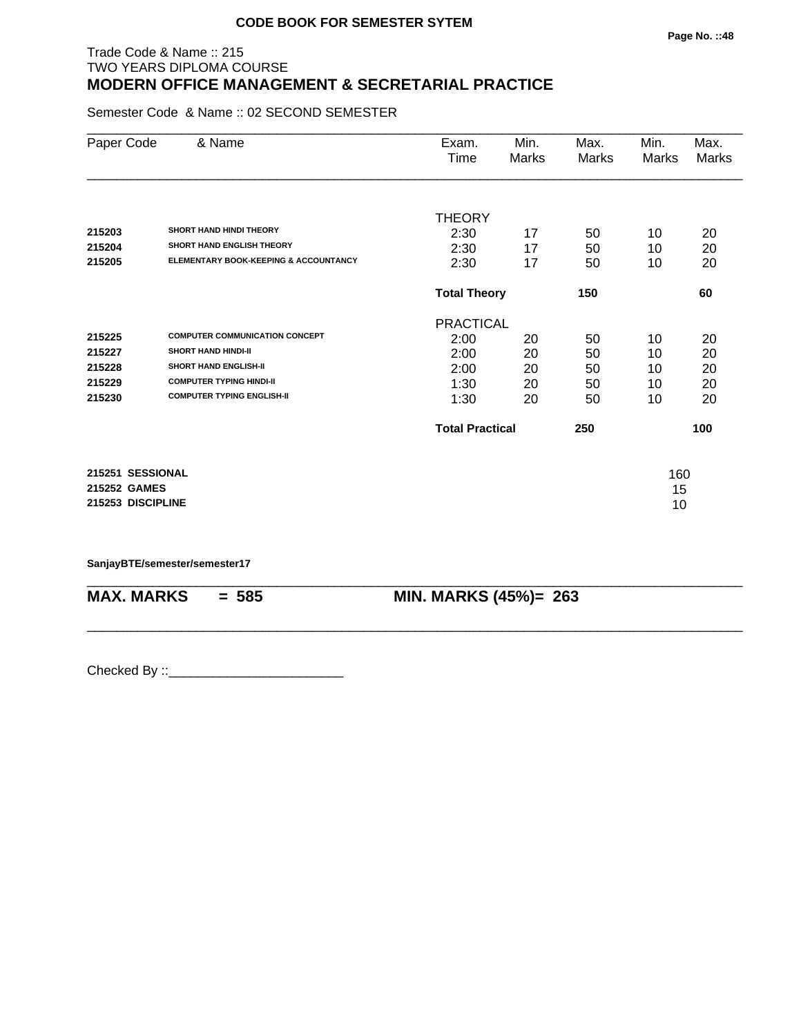## Trade Code & Name :: 215 TWO YEARS DIPLOMA COURSE **MODERN OFFICE MANAGEMENT & SECRETARIAL PRACTICE**

Semester Code & Name :: 02 SECOND SEMESTER

| Paper Code        | & Name                                | Exam.<br>Time          | Min.<br>Marks | Max.<br>Marks | Min.<br>Marks | Max.<br>Marks |
|-------------------|---------------------------------------|------------------------|---------------|---------------|---------------|---------------|
|                   |                                       |                        |               |               |               |               |
|                   |                                       | <b>THEORY</b>          |               |               |               |               |
| 215203            | <b>SHORT HAND HINDI THEORY</b>        | 2:30                   | 17            | 50            | 10            | 20            |
| 215204            | <b>SHORT HAND ENGLISH THEORY</b>      | 2:30                   | 17            | 50            | 10            | 20            |
| 215205            | ELEMENTARY BOOK-KEEPING & ACCOUNTANCY | 2:30                   | 17            | 50            | 10            | 20            |
|                   |                                       | <b>Total Theory</b>    | 150           |               | 60            |               |
|                   |                                       | <b>PRACTICAL</b>       |               |               |               |               |
| 215225            | <b>COMPUTER COMMUNICATION CONCEPT</b> | 2:00                   | 20            | 50            | 10            | 20            |
| 215227            | <b>SHORT HAND HINDI-II</b>            | 2:00                   | 20            | 50            | 10            | 20            |
| 215228            | <b>SHORT HAND ENGLISH-II</b>          | 2:00                   | 20            | 50            | 10            | 20            |
| 215229            | <b>COMPUTER TYPING HINDI-II</b>       | 1:30                   | 20            | 50            | 10            | 20            |
| 215230            | <b>COMPUTER TYPING ENGLISH-II</b>     | 1:30                   | 20            | 50            | 10            | 20            |
|                   |                                       | <b>Total Practical</b> |               | 250           |               | 100           |
| 215251 SESSIONAL  |                                       |                        |               |               | 160           |               |
| 215252 GAMES      |                                       |                        |               |               | 15            |               |
| 215253 DISCIPLINE |                                       |                        |               |               | 10            |               |
|                   |                                       |                        |               |               |               |               |

\_\_\_\_\_\_\_\_\_\_\_\_\_\_\_\_\_\_\_\_\_\_\_\_\_\_\_\_\_\_\_\_\_\_\_\_\_\_\_\_\_\_\_\_\_\_\_\_\_\_\_\_\_\_\_\_\_\_\_\_\_\_\_\_\_\_\_\_\_\_\_\_\_\_\_\_\_\_\_\_\_\_\_\_\_\_\_\_\_\_

\_\_\_\_\_\_\_\_\_\_\_\_\_\_\_\_\_\_\_\_\_\_\_\_\_\_\_\_\_\_\_\_\_\_\_\_\_\_\_\_\_\_\_\_\_\_\_\_\_\_\_\_\_\_\_\_\_\_\_\_\_\_\_\_\_\_\_\_\_\_\_\_\_\_\_\_\_\_\_\_\_\_\_\_\_\_\_\_\_\_

**SanjayBTE/semester/semester17**

**MAX. MARKS = 585 MIN. MARKS (45%)= 263**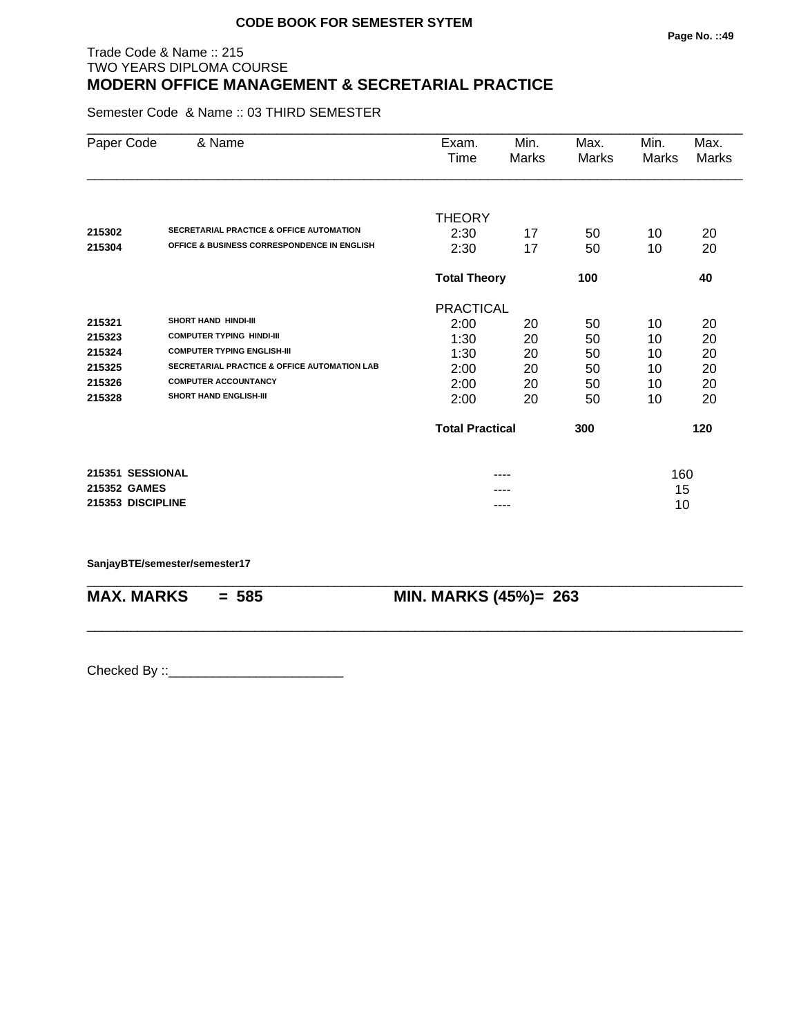## Trade Code & Name :: 215 TWO YEARS DIPLOMA COURSE **MODERN OFFICE MANAGEMENT & SECRETARIAL PRACTICE**

Semester Code & Name :: 03 THIRD SEMESTER

| Paper Code        | & Name                                                  | Exam.                  | Min.         | Max.  | Min.         | Max.         |
|-------------------|---------------------------------------------------------|------------------------|--------------|-------|--------------|--------------|
|                   |                                                         | Time                   | <b>Marks</b> | Marks | <b>Marks</b> | <b>Marks</b> |
|                   |                                                         | <b>THEORY</b>          |              |       |              |              |
| 215302            | <b>SECRETARIAL PRACTICE &amp; OFFICE AUTOMATION</b>     | 2:30                   | 17           | 50    | 10           | 20           |
| 215304            | <b>OFFICE &amp; BUSINESS CORRESPONDENCE IN ENGLISH</b>  | 2:30                   | 17           | 50    | 10           | 20           |
|                   |                                                         | <b>Total Theory</b>    |              | 100   |              | 40           |
|                   |                                                         | <b>PRACTICAL</b>       |              |       |              |              |
| 215321            | <b>SHORT HAND HINDI-III</b>                             | 2:00                   | 20           | 50    | 10           | 20           |
| 215323            | <b>COMPUTER TYPING HINDI-III</b>                        | 1:30                   | 20           | 50    | 10           | 20           |
| 215324            | <b>COMPUTER TYPING ENGLISH-III</b>                      | 1:30                   | 20           | 50    | 10           | 20           |
| 215325            | <b>SECRETARIAL PRACTICE &amp; OFFICE AUTOMATION LAB</b> | 2:00                   | 20           | 50    | 10           | 20           |
| 215326            | <b>COMPUTER ACCOUNTANCY</b>                             | 2:00                   | 20           | 50    | 10           | 20           |
| 215328            | <b>SHORT HAND ENGLISH-III</b>                           | 2:00                   | 20           | 50    | 10           | 20           |
|                   |                                                         | <b>Total Practical</b> |              | 300   |              | 120          |
| 215351 SESSIONAL  |                                                         |                        | ----         |       | 160          |              |
| 215352 GAMES      |                                                         |                        |              |       | 15           |              |
| 215353 DISCIPLINE |                                                         |                        | ----         |       | 10           |              |

\_\_\_\_\_\_\_\_\_\_\_\_\_\_\_\_\_\_\_\_\_\_\_\_\_\_\_\_\_\_\_\_\_\_\_\_\_\_\_\_\_\_\_\_\_\_\_\_\_\_\_\_\_\_\_\_\_\_\_\_\_\_\_\_\_\_\_\_\_\_\_\_\_\_\_\_\_\_\_\_\_\_\_\_\_\_\_\_\_\_

\_\_\_\_\_\_\_\_\_\_\_\_\_\_\_\_\_\_\_\_\_\_\_\_\_\_\_\_\_\_\_\_\_\_\_\_\_\_\_\_\_\_\_\_\_\_\_\_\_\_\_\_\_\_\_\_\_\_\_\_\_\_\_\_\_\_\_\_\_\_\_\_\_\_\_\_\_\_\_\_\_\_\_\_\_\_\_\_\_\_

**SanjayBTE/semester/semester17**

**MAX. MARKS = 585 MIN. MARKS (45%)= 263**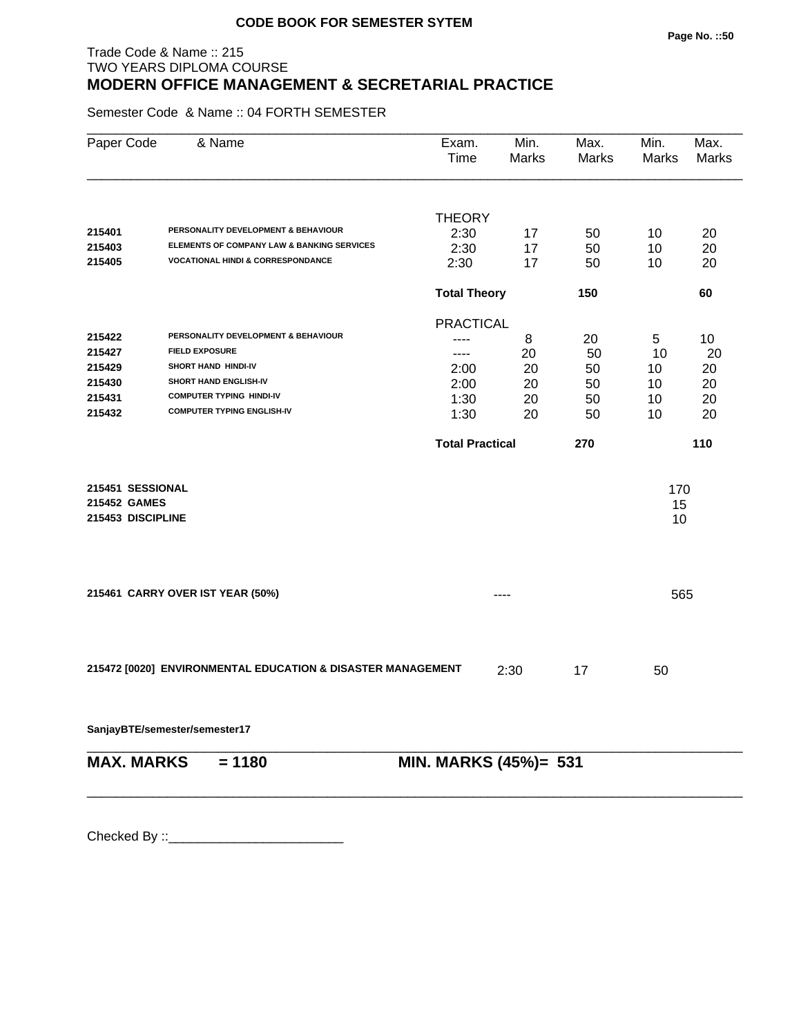## Trade Code & Name :: 215 TWO YEARS DIPLOMA COURSE **MODERN OFFICE MANAGEMENT & SECRETARIAL PRACTICE**

Semester Code & Name :: 04 FORTH SEMESTER

| Paper Code        | & Name                                                      | Exam.<br>Time          | Min.<br>Marks | Max.<br>Marks | Min.<br>Marks | Max.<br>Marks |
|-------------------|-------------------------------------------------------------|------------------------|---------------|---------------|---------------|---------------|
|                   |                                                             | <b>THEORY</b>          |               |               |               |               |
| 215401            | PERSONALITY DEVELOPMENT & BEHAVIOUR                         | 2:30                   | 17            | 50            | 10            | 20            |
| 215403            | ELEMENTS OF COMPANY LAW & BANKING SERVICES                  | 2:30                   | 17            | 50            | 10            | 20            |
| 215405            | <b>VOCATIONAL HINDI &amp; CORRESPONDANCE</b>                | 2:30                   | 17            | 50            | 10            | 20            |
|                   |                                                             | <b>Total Theory</b>    |               | 150           |               | 60            |
|                   |                                                             | <b>PRACTICAL</b>       |               |               |               |               |
| 215422            | PERSONALITY DEVELOPMENT & BEHAVIOUR                         | ----                   | 8             | 20            | 5             | 10            |
| 215427            | <b>FIELD EXPOSURE</b>                                       | ----                   | 20            | 50            | 10            | 20            |
| 215429            | SHORT HAND HINDI-IV                                         | 2:00                   | 20            | 50            | 10            | 20            |
| 215430            | SHORT HAND ENGLISH-IV                                       | 2:00                   | 20            | 50            | 10            | 20            |
| 215431            | <b>COMPUTER TYPING HINDI-IV</b>                             | 1:30                   | 20            | 50            | 10            | 20            |
| 215432            | <b>COMPUTER TYPING ENGLISH-IV</b>                           | 1:30                   | 20            | 50            | 10            | 20            |
|                   |                                                             | <b>Total Practical</b> |               | 270           |               | 110           |
| 215451 SESSIONAL  |                                                             |                        |               |               | 170           |               |
| 215452 GAMES      |                                                             |                        |               |               | 15            |               |
| 215453 DISCIPLINE |                                                             |                        |               |               | 10            |               |
|                   |                                                             |                        |               |               |               |               |
|                   | 215461 CARRY OVER IST YEAR (50%)                            |                        | ----          |               | 565           |               |
|                   |                                                             |                        |               |               |               |               |
|                   | 215472 [0020] ENVIRONMENTAL EDUCATION & DISASTER MANAGEMENT |                        | 2:30          | 17            | 50            |               |
|                   | SanjayBTE/semester/semester17                               |                        |               |               |               |               |
| <b>MAX. MARKS</b> | $= 1180$                                                    | MIN. MARKS (45%)= 531  |               |               |               |               |
|                   |                                                             |                        |               |               |               |               |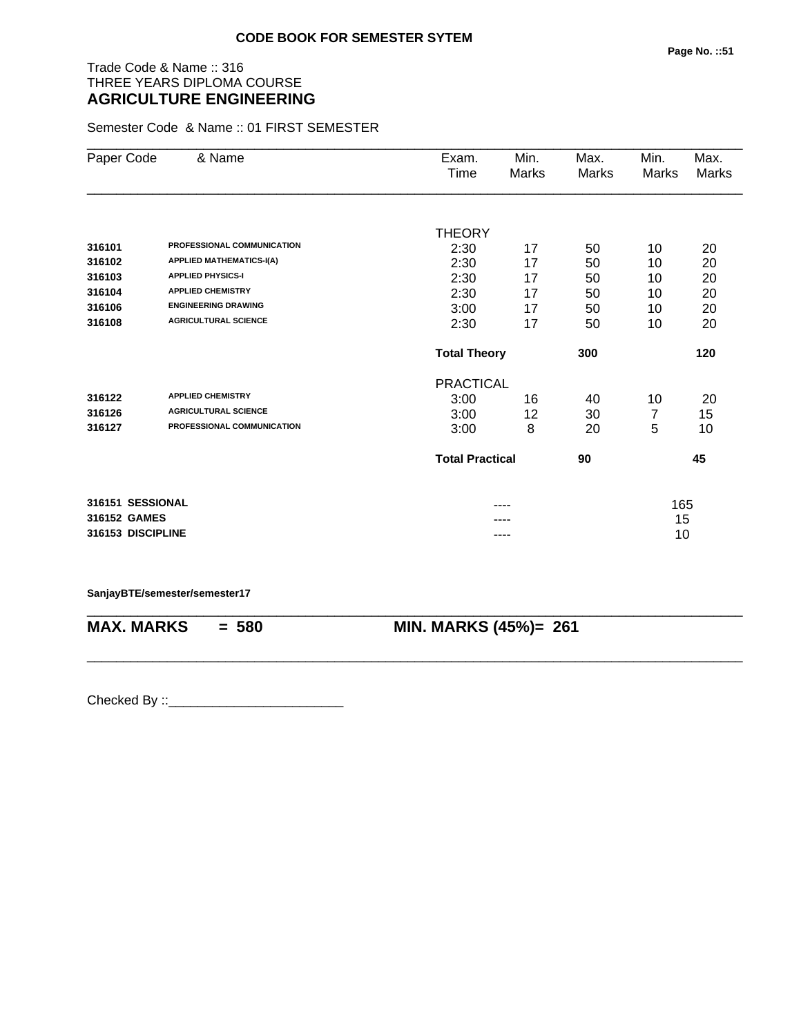# Trade Code & Name :: 316 THREE YEARS DIPLOMA COURSE **AGRICULTURE ENGINEERING**

Semester Code & Name :: 01 FIRST SEMESTER

| Paper Code        | & Name                          | Exam.                  | Min.  | Max.  | Min.         | Max.  |
|-------------------|---------------------------------|------------------------|-------|-------|--------------|-------|
|                   |                                 | Time                   | Marks | Marks | <b>Marks</b> | Marks |
|                   |                                 |                        |       |       |              |       |
|                   |                                 | <b>THEORY</b>          |       |       |              |       |
| 316101            | PROFESSIONAL COMMUNICATION      | 2:30                   | 17    | 50    | 10           | 20    |
| 316102            | <b>APPLIED MATHEMATICS-I(A)</b> | 2:30                   | 17    | 50    | 10           | 20    |
| 316103            | <b>APPLIED PHYSICS-I</b>        | 2:30                   | 17    | 50    | 10           | 20    |
| 316104            | <b>APPLIED CHEMISTRY</b>        | 2:30                   | 17    | 50    | 10           | 20    |
| 316106            | <b>ENGINEERING DRAWING</b>      | 3:00                   | 17    | 50    | 10           | 20    |
| 316108            | <b>AGRICULTURAL SCIENCE</b>     | 2:30                   | 17    | 50    | 10           | 20    |
|                   |                                 | <b>Total Theory</b>    |       | 300   |              | 120   |
|                   |                                 | <b>PRACTICAL</b>       |       |       |              |       |
| 316122            | <b>APPLIED CHEMISTRY</b>        | 3:00                   | 16    | 40    | 10           | 20    |
| 316126            | <b>AGRICULTURAL SCIENCE</b>     | 3:00                   | 12    | 30    | 7            | 15    |
| 316127            | PROFESSIONAL COMMUNICATION      | 3:00                   | 8     | 20    | 5            | 10    |
|                   |                                 | <b>Total Practical</b> |       | 90    |              | 45    |
| 316151 SESSIONAL  |                                 |                        |       |       | 165          |       |
| 316152 GAMES      |                                 |                        |       |       | 15           |       |
| 316153 DISCIPLINE |                                 |                        | ----  |       | 10           |       |

**SanjayBTE/semester/semester17**

\_\_\_\_\_\_\_\_\_\_\_\_\_\_\_\_\_\_\_\_\_\_\_\_\_\_\_\_\_\_\_\_\_\_\_\_\_\_\_\_\_\_\_\_\_\_\_\_\_\_\_\_\_\_\_\_\_\_\_\_\_\_\_\_\_\_\_\_\_\_\_\_\_\_\_\_\_\_\_\_\_\_\_\_\_\_\_\_\_\_ **MAX. MARKS = 580 MIN. MARKS (45%)= 261** \_\_\_\_\_\_\_\_\_\_\_\_\_\_\_\_\_\_\_\_\_\_\_\_\_\_\_\_\_\_\_\_\_\_\_\_\_\_\_\_\_\_\_\_\_\_\_\_\_\_\_\_\_\_\_\_\_\_\_\_\_\_\_\_\_\_\_\_\_\_\_\_\_\_\_\_\_\_\_\_\_\_\_\_\_\_\_\_\_\_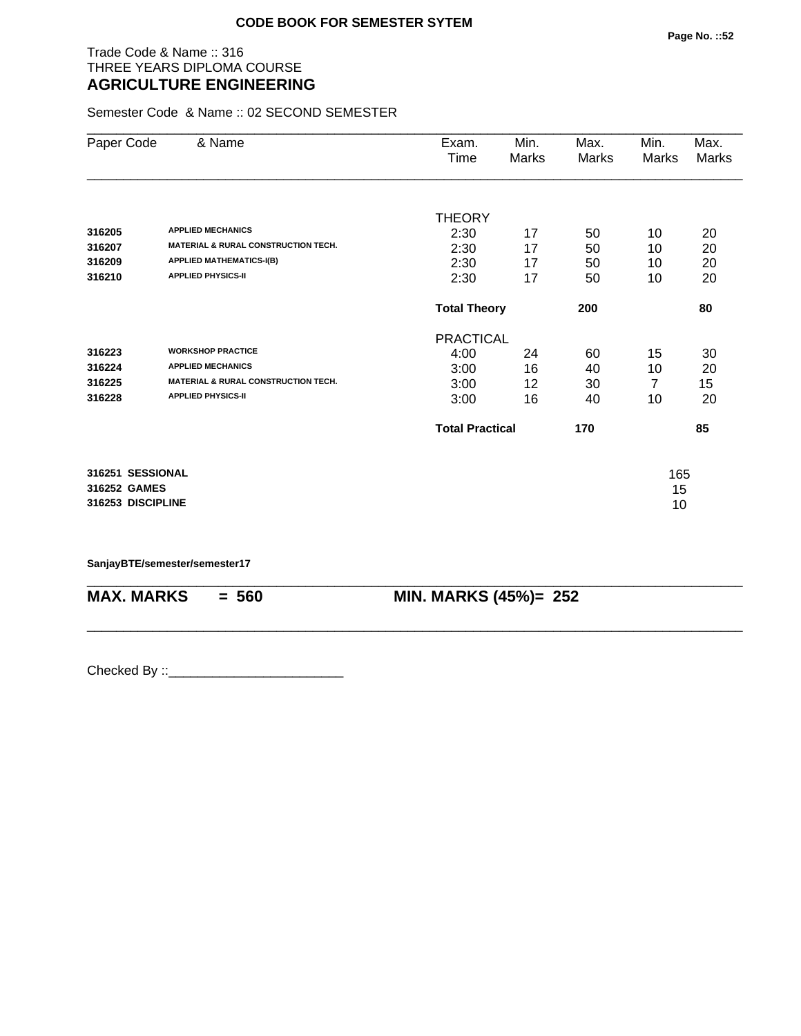## Trade Code & Name :: 316 THREE YEARS DIPLOMA COURSE **AGRICULTURE ENGINEERING**

Semester Code & Name :: 02 SECOND SEMESTER

| Paper Code        | & Name                                         | Exam.                  | Min.  | Max.  | Min.  | Max.  |
|-------------------|------------------------------------------------|------------------------|-------|-------|-------|-------|
|                   |                                                | Time                   | Marks | Marks | Marks | Marks |
|                   |                                                |                        |       |       |       |       |
|                   |                                                | <b>THEORY</b>          |       |       |       |       |
| 316205            | <b>APPLIED MECHANICS</b>                       | 2:30                   | 17    | 50    | 10    | 20    |
| 316207            | <b>MATERIAL &amp; RURAL CONSTRUCTION TECH.</b> | 2:30                   | 17    | 50    | 10    | 20    |
| 316209            | <b>APPLIED MATHEMATICS-I(B)</b>                | 2:30                   | 17    | 50    | 10    | 20    |
| 316210            | <b>APPLIED PHYSICS-II</b>                      | 2:30                   | 17    | 50    | 10    | 20    |
|                   |                                                | <b>Total Theory</b>    |       | 200   |       | 80    |
|                   |                                                | <b>PRACTICAL</b>       |       |       |       |       |
| 316223            | <b>WORKSHOP PRACTICE</b>                       | 4:00                   | 24    | 60    | 15    | 30    |
| 316224            | <b>APPLIED MECHANICS</b>                       | 3:00                   | 16    | 40    | 10    | 20    |
| 316225            | <b>MATERIAL &amp; RURAL CONSTRUCTION TECH.</b> | 3:00                   | 12    | 30    | 7     | 15    |
| 316228            | <b>APPLIED PHYSICS-II</b>                      | 3:00                   | 16    | 40    | 10    | 20    |
|                   |                                                | <b>Total Practical</b> |       | 170   |       | 85    |
| 316251 SESSIONAL  |                                                |                        |       |       | 165   |       |
| 316252 GAMES      |                                                |                        |       |       | 15    |       |
| 316253 DISCIPLINE |                                                |                        |       |       | 10    |       |
|                   |                                                |                        |       |       |       |       |

\_\_\_\_\_\_\_\_\_\_\_\_\_\_\_\_\_\_\_\_\_\_\_\_\_\_\_\_\_\_\_\_\_\_\_\_\_\_\_\_\_\_\_\_\_\_\_\_\_\_\_\_\_\_\_\_\_\_\_\_\_\_\_\_\_\_\_\_\_\_\_\_\_\_\_\_\_\_\_\_\_\_\_\_\_\_\_\_\_\_

\_\_\_\_\_\_\_\_\_\_\_\_\_\_\_\_\_\_\_\_\_\_\_\_\_\_\_\_\_\_\_\_\_\_\_\_\_\_\_\_\_\_\_\_\_\_\_\_\_\_\_\_\_\_\_\_\_\_\_\_\_\_\_\_\_\_\_\_\_\_\_\_\_\_\_\_\_\_\_\_\_\_\_\_\_\_\_\_\_\_

**SanjayBTE/semester/semester17**

**MAX. MARKS = 560 MIN. MARKS (45%)= 252**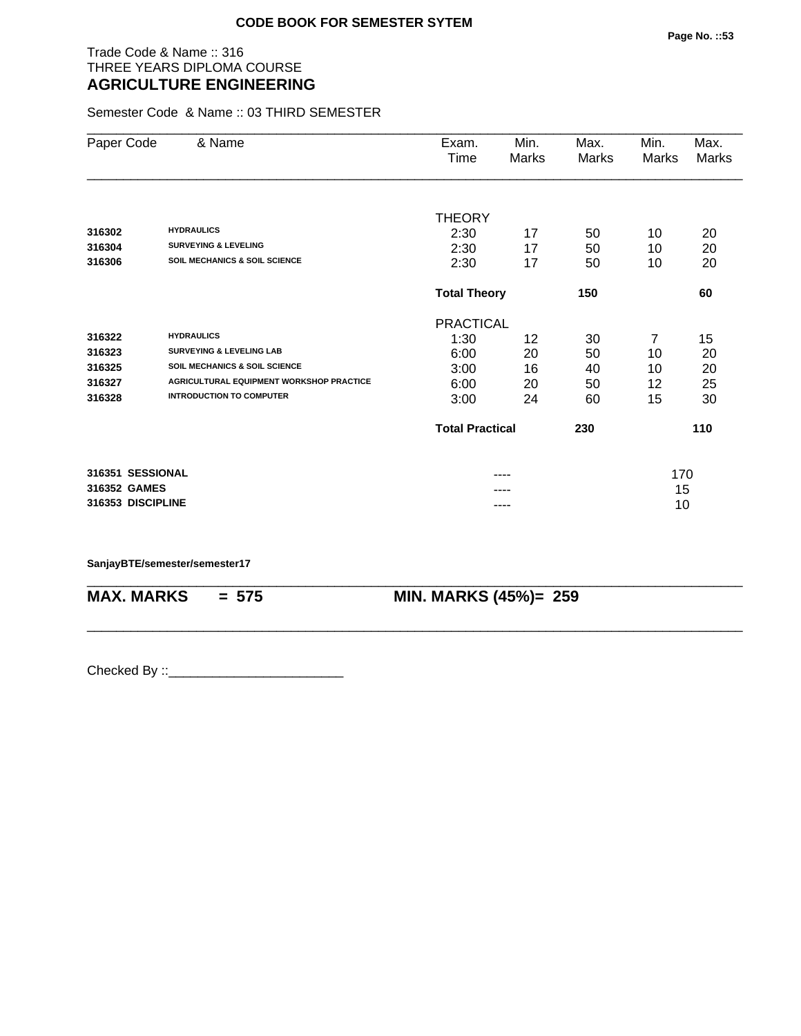## Trade Code & Name :: 316 THREE YEARS DIPLOMA COURSE **AGRICULTURE ENGINEERING**

Semester Code & Name :: 03 THIRD SEMESTER

| Paper Code        | & Name                                          | Exam.                  | Min.  | Max.  | Min.  | Max.  |  |
|-------------------|-------------------------------------------------|------------------------|-------|-------|-------|-------|--|
|                   |                                                 | Time                   | Marks | Marks | Marks | Marks |  |
|                   |                                                 |                        |       |       |       |       |  |
|                   |                                                 | <b>THEORY</b>          |       |       |       |       |  |
| 316302            | <b>HYDRAULICS</b>                               | 2:30                   | 17    | 50    | 10    | 20    |  |
| 316304            | <b>SURVEYING &amp; LEVELING</b>                 | 2:30                   | 17    | 50    | 10    | 20    |  |
| 316306            | <b>SOIL MECHANICS &amp; SOIL SCIENCE</b>        | 2:30                   | 17    | 50    | 10    | 20    |  |
|                   |                                                 | <b>Total Theory</b>    |       | 150   |       | 60    |  |
|                   |                                                 | <b>PRACTICAL</b>       |       |       |       |       |  |
| 316322            | <b>HYDRAULICS</b>                               | 1:30                   | 12    | 30    | 7     | 15    |  |
| 316323            | <b>SURVEYING &amp; LEVELING LAB</b>             | 6:00                   | 20    | 50    | 10    | 20    |  |
| 316325            | <b>SOIL MECHANICS &amp; SOIL SCIENCE</b>        | 3:00                   | 16    | 40    | 10    | 20    |  |
| 316327            | <b>AGRICULTURAL EQUIPMENT WORKSHOP PRACTICE</b> | 6:00                   | 20    | 50    | 12    | 25    |  |
| 316328            | <b>INTRODUCTION TO COMPUTER</b>                 | 3:00                   | 24    | 60    | 15    | 30    |  |
|                   |                                                 | <b>Total Practical</b> |       | 230   |       | 110   |  |
|                   |                                                 |                        |       |       |       |       |  |
| 316351 SESSIONAL  |                                                 |                        | ----  |       | 170   |       |  |
| 316352 GAMES      |                                                 |                        | ----  |       | 15    |       |  |
| 316353 DISCIPLINE |                                                 |                        | ----  |       |       | 10    |  |

\_\_\_\_\_\_\_\_\_\_\_\_\_\_\_\_\_\_\_\_\_\_\_\_\_\_\_\_\_\_\_\_\_\_\_\_\_\_\_\_\_\_\_\_\_\_\_\_\_\_\_\_\_\_\_\_\_\_\_\_\_\_\_\_\_\_\_\_\_\_\_\_\_\_\_\_\_\_\_\_\_\_\_\_\_\_\_\_\_\_

\_\_\_\_\_\_\_\_\_\_\_\_\_\_\_\_\_\_\_\_\_\_\_\_\_\_\_\_\_\_\_\_\_\_\_\_\_\_\_\_\_\_\_\_\_\_\_\_\_\_\_\_\_\_\_\_\_\_\_\_\_\_\_\_\_\_\_\_\_\_\_\_\_\_\_\_\_\_\_\_\_\_\_\_\_\_\_\_\_\_

#### **SanjayBTE/semester/semester17**

**MAX. MARKS = 575 MIN. MARKS (45%)= 259**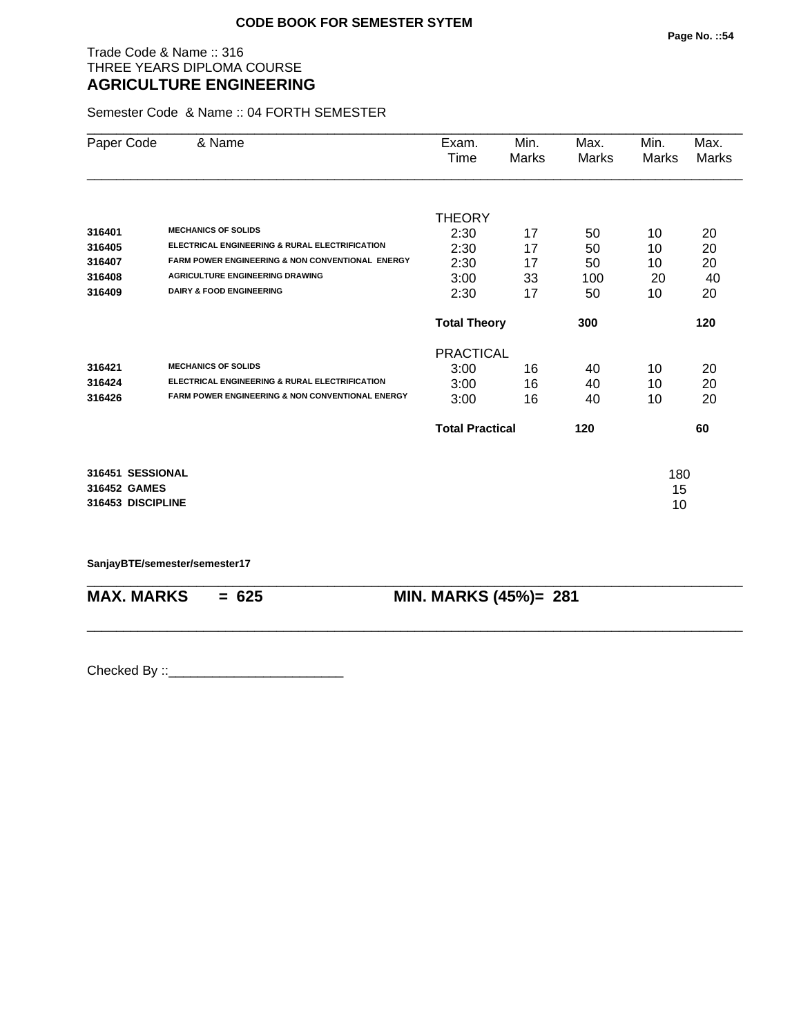## Trade Code & Name :: 316 THREE YEARS DIPLOMA COURSE **AGRICULTURE ENGINEERING**

Semester Code & Name :: 04 FORTH SEMESTER

|                                               |                                                             | Time                   | Marks | Marks | Marks | Marks |
|-----------------------------------------------|-------------------------------------------------------------|------------------------|-------|-------|-------|-------|
|                                               |                                                             |                        |       |       |       |       |
|                                               |                                                             | <b>THEORY</b>          |       |       |       |       |
| <b>MECHANICS OF SOLIDS</b><br>316401          |                                                             | 2:30                   | 17    | 50    | 10    | 20    |
| 316405                                        | ELECTRICAL ENGINEERING & RURAL ELECTRIFICATION              | 2:30                   | 17    | 50    | 10    | 20    |
| 316407                                        | <b>FARM POWER ENGINEERING &amp; NON CONVENTIONAL ENERGY</b> | 2:30                   | 17    | 50    | 10    | 20    |
| 316408                                        | <b>AGRICULTURE ENGINEERING DRAWING</b>                      | 3:00                   | 33    | 100   | 20    | 40    |
| <b>DAIRY &amp; FOOD ENGINEERING</b><br>316409 |                                                             | 2:30                   | 17    | 50    | 10    | 20    |
|                                               |                                                             |                        |       |       |       |       |
|                                               |                                                             | <b>Total Theory</b>    |       | 300   |       | 120   |
|                                               |                                                             | <b>PRACTICAL</b>       |       |       |       |       |
| <b>MECHANICS OF SOLIDS</b><br>316421          |                                                             | 3:00                   | 16    | 40    | 10    | 20    |
| 316424                                        | ELECTRICAL ENGINEERING & RURAL ELECTRIFICATION              | 3:00                   | 16    | 40    | 10    | 20    |
| 316426                                        | <b>FARM POWER ENGINEERING &amp; NON CONVENTIONAL ENERGY</b> | 3:00                   | 16    | 40    | 10    | 20    |
|                                               |                                                             | <b>Total Practical</b> |       | 120   |       | 60    |
| 316451 SESSIONAL                              |                                                             |                        |       |       | 180   |       |
| 316452 GAMES                                  |                                                             |                        |       |       | 15    |       |
| 316453 DISCIPLINE                             |                                                             |                        |       |       | 10    |       |

\_\_\_\_\_\_\_\_\_\_\_\_\_\_\_\_\_\_\_\_\_\_\_\_\_\_\_\_\_\_\_\_\_\_\_\_\_\_\_\_\_\_\_\_\_\_\_\_\_\_\_\_\_\_\_\_\_\_\_\_\_\_\_\_\_\_\_\_\_\_\_\_\_\_\_\_\_\_\_\_\_\_\_\_\_\_\_\_\_\_

\_\_\_\_\_\_\_\_\_\_\_\_\_\_\_\_\_\_\_\_\_\_\_\_\_\_\_\_\_\_\_\_\_\_\_\_\_\_\_\_\_\_\_\_\_\_\_\_\_\_\_\_\_\_\_\_\_\_\_\_\_\_\_\_\_\_\_\_\_\_\_\_\_\_\_\_\_\_\_\_\_\_\_\_\_\_\_\_\_\_

**SanjayBTE/semester/semester17**

**MAX. MARKS = 625 MIN. MARKS (45%)= 281**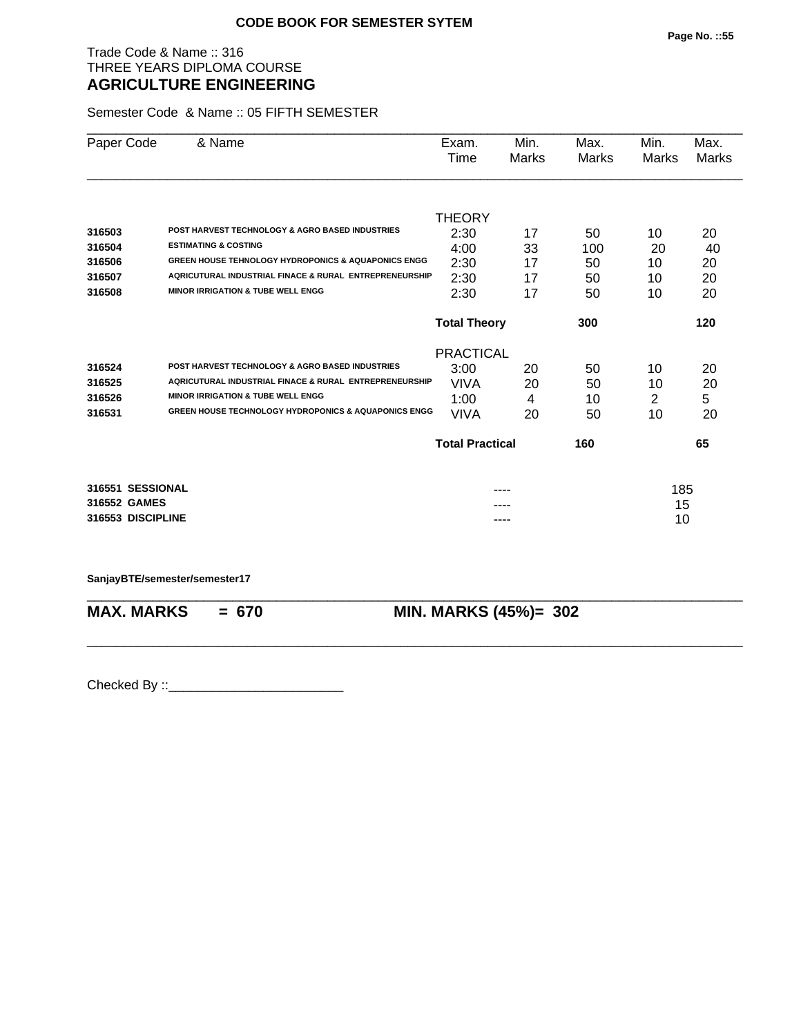## Trade Code & Name :: 316 THREE YEARS DIPLOMA COURSE **AGRICULTURE ENGINEERING**

Semester Code & Name :: 05 FIFTH SEMESTER

| Paper Code        | & Name                                                          | Exam.                  | Min.  | Max.  | Min.  | Max.  |
|-------------------|-----------------------------------------------------------------|------------------------|-------|-------|-------|-------|
|                   |                                                                 | Time                   | Marks | Marks | Marks | Marks |
|                   |                                                                 |                        |       |       |       |       |
|                   |                                                                 | <b>THEORY</b>          |       |       |       |       |
| 316503            | <b>POST HARVEST TECHNOLOGY &amp; AGRO BASED INDUSTRIES</b>      | 2:30                   | 17    | 50    | 10    | 20    |
| 316504            | <b>ESTIMATING &amp; COSTING</b>                                 | 4:00                   | 33    | 100   | 20    | 40    |
| 316506            | <b>GREEN HOUSE TEHNOLOGY HYDROPONICS &amp; AQUAPONICS ENGG</b>  | 2:30                   | 17    | 50    | 10    | 20    |
| 316507            | AQRICUTURAL INDUSTRIAL FINACE & RURAL ENTREPRENEURSHIP          | 2:30                   | 17    | 50    | 10    | 20    |
| 316508            | <b>MINOR IRRIGATION &amp; TUBE WELL ENGG</b>                    | 2:30                   | 17    | 50    | 10    | 20    |
|                   |                                                                 | <b>Total Theory</b>    |       | 300   |       | 120   |
|                   |                                                                 | <b>PRACTICAL</b>       |       |       |       |       |
| 316524            | <b>POST HARVEST TECHNOLOGY &amp; AGRO BASED INDUSTRIES</b>      | 3:00                   | 20    | 50    | 10    | 20    |
| 316525            | AQRICUTURAL INDUSTRIAL FINACE & RURAL ENTREPRENEURSHIP          | VIVA                   | 20    | 50    | 10    | 20    |
| 316526            | <b>MINOR IRRIGATION &amp; TUBE WELL ENGG</b>                    | 1:00                   | 4     | 10    | 2     | 5     |
| 316531            | <b>GREEN HOUSE TECHNOLOGY HYDROPONICS &amp; AQUAPONICS ENGG</b> | VIVA                   | 20    | 50    | 10    | 20    |
|                   |                                                                 | <b>Total Practical</b> |       | 160   |       | 65    |
| 316551 SESSIONAL  |                                                                 |                        |       |       | 185   |       |
| 316552 GAMES      |                                                                 |                        |       |       | 15    |       |
| 316553 DISCIPLINE |                                                                 |                        |       |       | 10    |       |
|                   |                                                                 |                        |       |       |       |       |

\_\_\_\_\_\_\_\_\_\_\_\_\_\_\_\_\_\_\_\_\_\_\_\_\_\_\_\_\_\_\_\_\_\_\_\_\_\_\_\_\_\_\_\_\_\_\_\_\_\_\_\_\_\_\_\_\_\_\_\_\_\_\_\_\_\_\_\_\_\_\_\_\_\_\_\_\_\_\_\_\_\_\_\_\_\_\_\_\_\_

\_\_\_\_\_\_\_\_\_\_\_\_\_\_\_\_\_\_\_\_\_\_\_\_\_\_\_\_\_\_\_\_\_\_\_\_\_\_\_\_\_\_\_\_\_\_\_\_\_\_\_\_\_\_\_\_\_\_\_\_\_\_\_\_\_\_\_\_\_\_\_\_\_\_\_\_\_\_\_\_\_\_\_\_\_\_\_\_\_\_

**SanjayBTE/semester/semester17**

**MAX. MARKS = 670 MIN. MARKS (45%)= 302**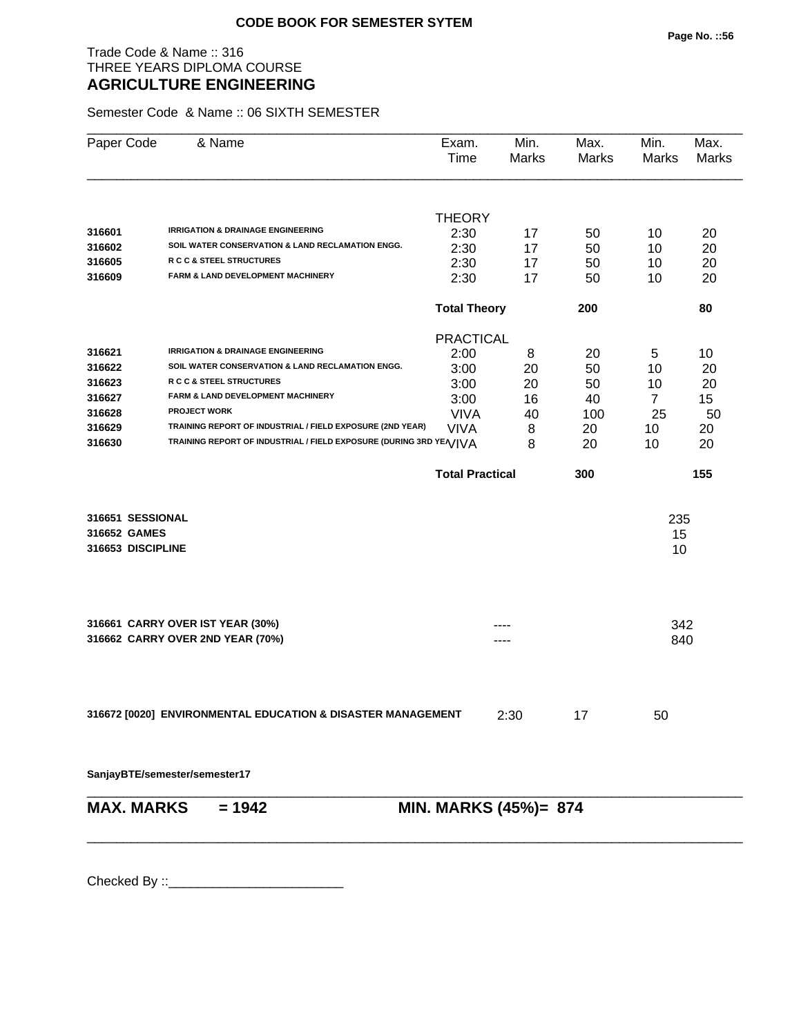## Trade Code & Name :: 316 THREE YEARS DIPLOMA COURSE **AGRICULTURE ENGINEERING**

Semester Code & Name :: 06 SIXTH SEMESTER

| Paper Code        | & Name                                                             | Exam.<br>Time          | Min.<br>Marks | Max.<br>Marks | Min.<br>Marks  | Max.<br>Marks |
|-------------------|--------------------------------------------------------------------|------------------------|---------------|---------------|----------------|---------------|
|                   |                                                                    | <b>THEORY</b>          |               |               |                |               |
| 316601            | <b>IRRIGATION &amp; DRAINAGE ENGINEERING</b>                       | 2:30                   | 17            | 50            | 10             | 20            |
| 316602            | SOIL WATER CONSERVATION & LAND RECLAMATION ENGG.                   | 2:30                   | 17            | 50            | 10             | 20            |
| 316605            | <b>R C C &amp; STEEL STRUCTURES</b>                                | 2:30                   | 17            | 50            | 10             | 20            |
| 316609            | FARM & LAND DEVELOPMENT MACHINERY                                  | 2:30                   | 17            | 50            | 10             | 20            |
|                   |                                                                    | <b>Total Theory</b>    |               | 200           |                | 80            |
|                   |                                                                    | <b>PRACTICAL</b>       |               |               |                |               |
| 316621            | <b>IRRIGATION &amp; DRAINAGE ENGINEERING</b>                       | 2:00                   | 8             | 20            | 5              | 10            |
| 316622            | SOIL WATER CONSERVATION & LAND RECLAMATION ENGG.                   | 3:00                   | 20            | 50            | 10             | 20            |
| 316623            | R C C & STEEL STRUCTURES                                           | 3:00                   | 20            | 50            | 10             | 20            |
| 316627            | FARM & LAND DEVELOPMENT MACHINERY                                  | 3:00                   | 16            | 40            | $\overline{7}$ | 15            |
| 316628            | <b>PROJECT WORK</b>                                                | <b>VIVA</b>            | 40            | 100           | 25             | 50            |
| 316629            | TRAINING REPORT OF INDUSTRIAL / FIELD EXPOSURE (2ND YEAR)          | <b>VIVA</b>            | 8             | 20            | 10             | 20            |
| 316630            | TRAINING REPORT OF INDUSTRIAL / FIELD EXPOSURE (DURING 3RD YE/VIVA |                        | 8             | 20            | 10             | 20            |
|                   |                                                                    | <b>Total Practical</b> |               | 300           |                | 155           |
| 316651 SESSIONAL  |                                                                    |                        |               |               | 235            |               |
| 316652 GAMES      |                                                                    |                        |               |               | 15             |               |
| 316653 DISCIPLINE |                                                                    |                        |               |               | 10             |               |
|                   | 316661 CARRY OVER IST YEAR (30%)                                   |                        |               |               | 342            |               |
|                   | 316662 CARRY OVER 2ND YEAR (70%)                                   |                        |               |               | 840            |               |
|                   |                                                                    |                        |               |               |                |               |
|                   | 316672 [0020] ENVIRONMENTAL EDUCATION & DISASTER MANAGEMENT        |                        | 2:30          | 17            | 50             |               |
|                   | SanjayBTE/semester/semester17                                      |                        |               |               |                |               |
| <b>MAX. MARKS</b> | $= 1942$                                                           | MIN. MARKS (45%)= 874  |               |               |                |               |
|                   |                                                                    |                        |               |               |                |               |
|                   |                                                                    |                        |               |               |                |               |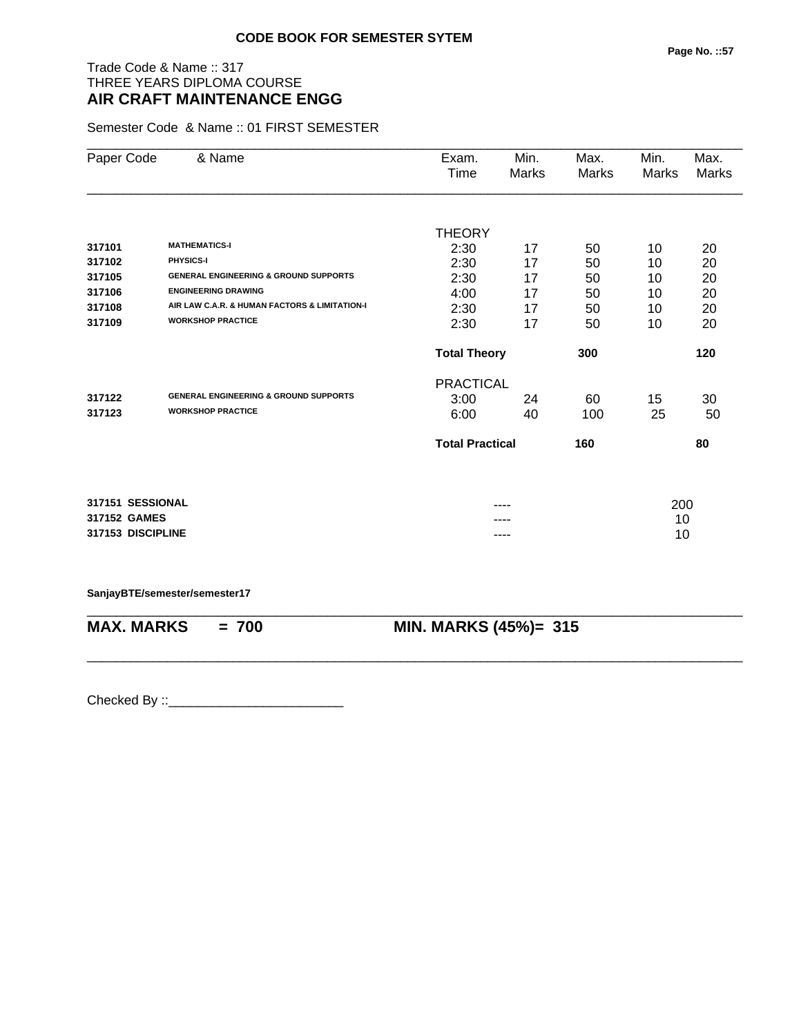# Trade Code & Name :: 317 THREE YEARS DIPLOMA COURSE **AIR CRAFT MAINTENANCE ENGG**

Semester Code & Name :: 01 FIRST SEMESTER

| Paper Code        | & Name                                           | Exam.<br>Time          | Min.<br><b>Marks</b> | Max.<br>Marks | Min.<br>Marks | Max.<br>Marks |
|-------------------|--------------------------------------------------|------------------------|----------------------|---------------|---------------|---------------|
|                   |                                                  |                        |                      |               |               |               |
|                   |                                                  | <b>THEORY</b>          |                      |               |               |               |
| 317101            | <b>MATHEMATICS-I</b>                             | 2:30                   | 17                   | 50            | 10            | 20            |
| 317102            | PHYSICS-I                                        | 2:30                   | 17                   | 50            | 10            | 20            |
| 317105            | <b>GENERAL ENGINEERING &amp; GROUND SUPPORTS</b> | 2:30                   | 17                   | 50            | 10            | 20            |
| 317106            | <b>ENGINEERING DRAWING</b>                       | 4:00                   | 17                   | 50            | 10            | 20            |
| 317108            | AIR LAW C.A.R. & HUMAN FACTORS & LIMITATION-I    | 2:30                   | 17                   | 50            | 10            | 20            |
| 317109            | <b>WORKSHOP PRACTICE</b>                         | 2:30                   | 17                   | 50            | 10            | 20            |
|                   |                                                  | <b>Total Theory</b>    |                      | 300           |               | 120           |
|                   |                                                  | <b>PRACTICAL</b>       |                      |               |               |               |
| 317122            | <b>GENERAL ENGINEERING &amp; GROUND SUPPORTS</b> | 3:00                   | 24                   | 60            | 15            | 30            |
| 317123            | <b>WORKSHOP PRACTICE</b>                         | 6:00                   | 40                   | 100           | 25            | 50            |
|                   |                                                  | <b>Total Practical</b> |                      | 160           |               | 80            |
|                   |                                                  |                        |                      |               |               |               |
| 317151 SESSIONAL  |                                                  |                        | ----                 |               | 200           |               |
| 317152 GAMES      |                                                  |                        |                      |               | 10            |               |
| 317153 DISCIPLINE |                                                  |                        | ----                 |               | 10            |               |

**SanjayBTE/semester/semester17**

| <b>MAX. MARKS</b> | $= 700$ | <b>MIN. MARKS (45%)= 315</b> |
|-------------------|---------|------------------------------|
|                   |         |                              |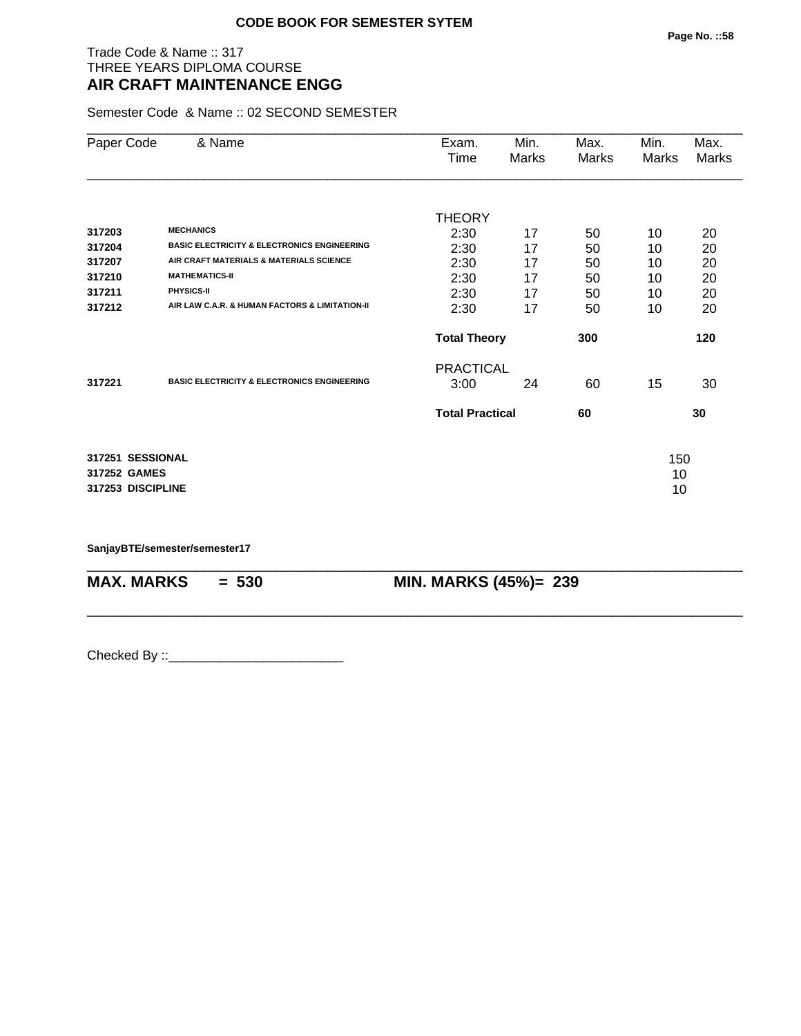## Trade Code & Name :: 317 THREE YEARS DIPLOMA COURSE **AIR CRAFT MAINTENANCE ENGG**

Semester Code & Name :: 02 SECOND SEMESTER

| Paper Code        | & Name                                                 | Exam.                  | Min.  | Max.  | Min.         | Max.  |
|-------------------|--------------------------------------------------------|------------------------|-------|-------|--------------|-------|
|                   |                                                        | Time                   | Marks | Marks | <b>Marks</b> | Marks |
|                   |                                                        |                        |       |       |              |       |
|                   |                                                        | <b>THEORY</b>          |       |       |              |       |
| 317203            | <b>MECHANICS</b>                                       | 2:30                   | 17    | 50    | 10           | 20    |
| 317204            | <b>BASIC ELECTRICITY &amp; ELECTRONICS ENGINEERING</b> | 2:30                   | 17    | 50    | 10           | 20    |
| 317207            | AIR CRAFT MATERIALS & MATERIALS SCIENCE                | 2:30                   | 17    | 50    | 10           | 20    |
| 317210            | <b>MATHEMATICS-II</b>                                  | 2:30                   | 17    | 50    | 10           | 20    |
| 317211            | PHYSICS-II                                             | 2:30                   | 17    | 50    | 10           | 20    |
| 317212            | AIR LAW C.A.R. & HUMAN FACTORS & LIMITATION-II         | 2:30                   | 17    | 50    | 10           | 20    |
|                   |                                                        | <b>Total Theory</b>    |       | 300   |              | 120   |
|                   |                                                        | <b>PRACTICAL</b>       |       |       |              |       |
| 317221            | <b>BASIC ELECTRICITY &amp; ELECTRONICS ENGINEERING</b> | 3:00                   | 24    | 60    | 15           | 30    |
|                   |                                                        | <b>Total Practical</b> |       | 60    |              | 30    |
| 317251 SESSIONAL  |                                                        |                        |       |       | 150          |       |
| 317252 GAMES      |                                                        |                        |       |       | 10           |       |
| 317253 DISCIPLINE |                                                        |                        |       |       | 10           |       |
|                   |                                                        |                        |       |       |              |       |

\_\_\_\_\_\_\_\_\_\_\_\_\_\_\_\_\_\_\_\_\_\_\_\_\_\_\_\_\_\_\_\_\_\_\_\_\_\_\_\_\_\_\_\_\_\_\_\_\_\_\_\_\_\_\_\_\_\_\_\_\_\_\_\_\_\_\_\_\_\_\_\_\_\_\_\_\_\_\_\_\_\_\_\_\_\_\_\_\_\_

\_\_\_\_\_\_\_\_\_\_\_\_\_\_\_\_\_\_\_\_\_\_\_\_\_\_\_\_\_\_\_\_\_\_\_\_\_\_\_\_\_\_\_\_\_\_\_\_\_\_\_\_\_\_\_\_\_\_\_\_\_\_\_\_\_\_\_\_\_\_\_\_\_\_\_\_\_\_\_\_\_\_\_\_\_\_\_\_\_\_

**SanjayBTE/semester/semester17**

**MAX. MARKS = 530 MIN. MARKS (45%)= 239**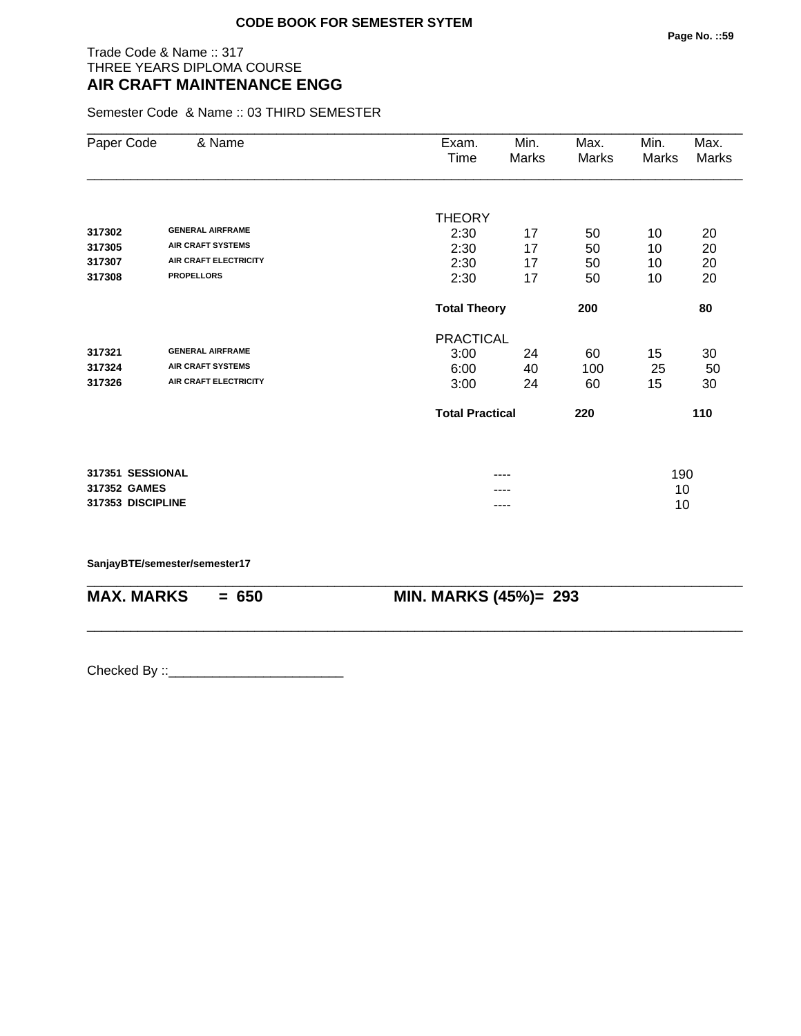## Trade Code & Name :: 317 THREE YEARS DIPLOMA COURSE **AIR CRAFT MAINTENANCE ENGG**

Semester Code & Name :: 03 THIRD SEMESTER

| Paper Code        | & Name                       | Exam.<br>Time          | Min.<br>Marks | Max.<br>Marks | Min.<br>Marks | Max.<br>Marks |
|-------------------|------------------------------|------------------------|---------------|---------------|---------------|---------------|
|                   |                              |                        |               |               |               |               |
| 317302            | <b>GENERAL AIRFRAME</b>      | <b>THEORY</b>          |               |               |               |               |
| 317305            | <b>AIR CRAFT SYSTEMS</b>     | 2:30                   | 17            | 50            | 10            | 20            |
| 317307            | <b>AIR CRAFT ELECTRICITY</b> | 2:30<br>2:30           | 17<br>17      | 50            | 10            | 20            |
| 317308            | <b>PROPELLORS</b>            | 2:30                   | 17            | 50<br>50      | 10<br>10      | 20<br>20      |
|                   |                              | <b>Total Theory</b>    |               | 200           |               | 80            |
|                   |                              | <b>PRACTICAL</b>       |               |               |               |               |
| 317321            | <b>GENERAL AIRFRAME</b>      | 3:00                   | 24            | 60            | 15            | 30            |
| 317324            | <b>AIR CRAFT SYSTEMS</b>     | 6:00                   | 40            | 100           | 25            | 50            |
| 317326            | <b>AIR CRAFT ELECTRICITY</b> | 3:00                   | 24            | 60            | 15            | 30            |
|                   |                              | <b>Total Practical</b> |               | 220           |               | 110           |
|                   |                              |                        |               |               |               |               |
| 317351 SESSIONAL  |                              |                        | ----          |               | 190           |               |
| 317352 GAMES      |                              |                        |               |               | 10            |               |
| 317353 DISCIPLINE |                              |                        | ----          |               | 10            |               |

\_\_\_\_\_\_\_\_\_\_\_\_\_\_\_\_\_\_\_\_\_\_\_\_\_\_\_\_\_\_\_\_\_\_\_\_\_\_\_\_\_\_\_\_\_\_\_\_\_\_\_\_\_\_\_\_\_\_\_\_\_\_\_\_\_\_\_\_\_\_\_\_\_\_\_\_\_\_\_\_\_\_\_\_\_\_\_\_\_\_

\_\_\_\_\_\_\_\_\_\_\_\_\_\_\_\_\_\_\_\_\_\_\_\_\_\_\_\_\_\_\_\_\_\_\_\_\_\_\_\_\_\_\_\_\_\_\_\_\_\_\_\_\_\_\_\_\_\_\_\_\_\_\_\_\_\_\_\_\_\_\_\_\_\_\_\_\_\_\_\_\_\_\_\_\_\_\_\_\_\_

**SanjayBTE/semester/semester17**

**MAX. MARKS = 650 MIN. MARKS (45%)= 293**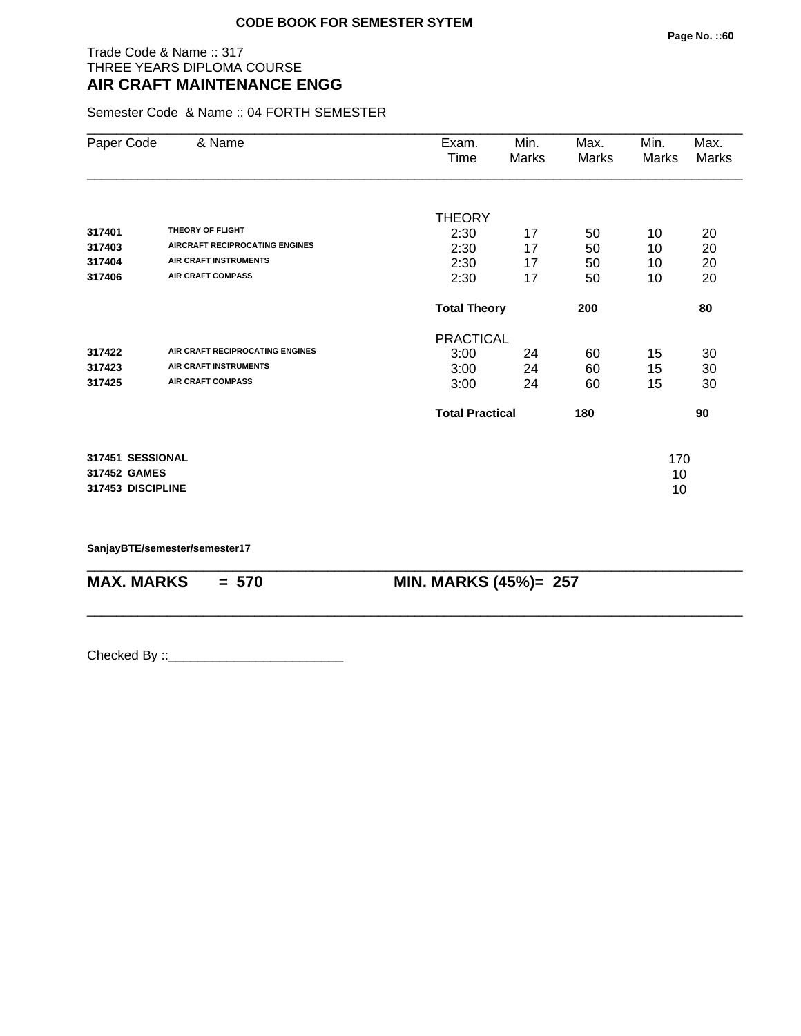## Trade Code & Name :: 317 THREE YEARS DIPLOMA COURSE **AIR CRAFT MAINTENANCE ENGG**

Semester Code & Name :: 04 FORTH SEMESTER

| Paper Code                                            | & Name                                                                                      | Exam.<br>Time                            | Min.<br>Marks  | Max.<br>Marks  | Min.<br>Marks   | Max.<br>Marks  |
|-------------------------------------------------------|---------------------------------------------------------------------------------------------|------------------------------------------|----------------|----------------|-----------------|----------------|
| 317401<br>317403<br>317404                            | THEORY OF FLIGHT<br><b>AIRCRAFT RECIPROCATING ENGINES</b><br><b>AIR CRAFT INSTRUMENTS</b>   | <b>THEORY</b><br>2:30<br>2:30<br>2:30    | 17<br>17<br>17 | 50<br>50<br>50 | 10<br>10<br>10  | 20<br>20<br>20 |
| 317406                                                | <b>AIR CRAFT COMPASS</b>                                                                    | 2:30                                     | 17             | 50             | 10              | 20             |
|                                                       |                                                                                             | <b>Total Theory</b>                      |                | 200            |                 | 80             |
| 317422<br>317423<br>317425                            | AIR CRAFT RECIPROCATING ENGINES<br><b>AIR CRAFT INSTRUMENTS</b><br><b>AIR CRAFT COMPASS</b> | <b>PRACTICAL</b><br>3:00<br>3:00<br>3:00 | 24<br>24<br>24 | 60<br>60<br>60 | 15<br>15<br>15  | 30<br>30<br>30 |
|                                                       |                                                                                             | <b>Total Practical</b>                   |                | 180            |                 | 90             |
| 317451 SESSIONAL<br>317452 GAMES<br>317453 DISCIPLINE |                                                                                             |                                          |                |                | 170<br>10<br>10 |                |

\_\_\_\_\_\_\_\_\_\_\_\_\_\_\_\_\_\_\_\_\_\_\_\_\_\_\_\_\_\_\_\_\_\_\_\_\_\_\_\_\_\_\_\_\_\_\_\_\_\_\_\_\_\_\_\_\_\_\_\_\_\_\_\_\_\_\_\_\_\_\_\_\_\_\_\_\_\_\_\_\_\_\_\_\_\_\_\_\_\_

\_\_\_\_\_\_\_\_\_\_\_\_\_\_\_\_\_\_\_\_\_\_\_\_\_\_\_\_\_\_\_\_\_\_\_\_\_\_\_\_\_\_\_\_\_\_\_\_\_\_\_\_\_\_\_\_\_\_\_\_\_\_\_\_\_\_\_\_\_\_\_\_\_\_\_\_\_\_\_\_\_\_\_\_\_\_\_\_\_\_

**SanjayBTE/semester/semester17**

**MAX. MARKS = 570 MIN. MARKS (45%)= 257**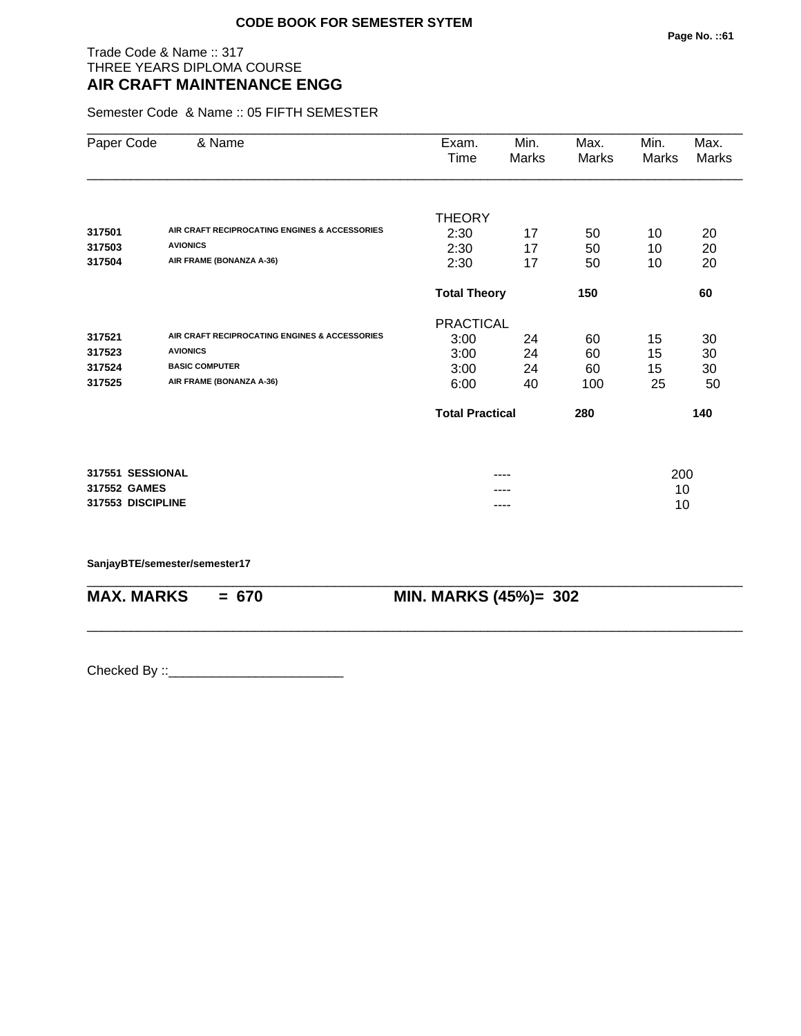## Trade Code & Name :: 317 THREE YEARS DIPLOMA COURSE **AIR CRAFT MAINTENANCE ENGG**

Semester Code & Name :: 05 FIFTH SEMESTER

| Paper Code        | & Name                                        | Exam.                  | Min.  | Max.  | Min.  | Max.  |
|-------------------|-----------------------------------------------|------------------------|-------|-------|-------|-------|
|                   |                                               | Time                   | Marks | Marks | Marks | Marks |
|                   |                                               |                        |       |       |       |       |
|                   |                                               | <b>THEORY</b>          |       |       |       |       |
| 317501            | AIR CRAFT RECIPROCATING ENGINES & ACCESSORIES | 2:30                   | 17    | 50    | 10    | 20    |
| 317503            | <b>AVIONICS</b>                               | 2:30                   | 17    | 50    | 10    | 20    |
| 317504            | AIR FRAME (BONANZA A-36)                      | 2:30                   | 17    | 50    | 10    | 20    |
|                   |                                               | <b>Total Theory</b>    |       | 150   |       | 60    |
|                   |                                               | <b>PRACTICAL</b>       |       |       |       |       |
| 317521            | AIR CRAFT RECIPROCATING ENGINES & ACCESSORIES | 3:00                   | 24    | 60    | 15    | 30    |
| 317523            | <b>AVIONICS</b>                               | 3:00                   | 24    | 60    | 15    | 30    |
| 317524            | <b>BASIC COMPUTER</b>                         | 3:00                   | 24    | 60    | 15    | 30    |
| 317525            | AIR FRAME (BONANZA A-36)                      | 6:00                   | 40    | 100   | 25    | 50    |
|                   |                                               | <b>Total Practical</b> |       | 280   |       | 140   |
|                   |                                               |                        |       |       |       |       |
| 317551 SESSIONAL  |                                               |                        | ----  |       | 200   |       |
| 317552 GAMES      |                                               |                        |       |       | 10    |       |
| 317553 DISCIPLINE |                                               |                        |       |       | 10    |       |

\_\_\_\_\_\_\_\_\_\_\_\_\_\_\_\_\_\_\_\_\_\_\_\_\_\_\_\_\_\_\_\_\_\_\_\_\_\_\_\_\_\_\_\_\_\_\_\_\_\_\_\_\_\_\_\_\_\_\_\_\_\_\_\_\_\_\_\_\_\_\_\_\_\_\_\_\_\_\_\_\_\_\_\_\_\_\_\_\_\_

\_\_\_\_\_\_\_\_\_\_\_\_\_\_\_\_\_\_\_\_\_\_\_\_\_\_\_\_\_\_\_\_\_\_\_\_\_\_\_\_\_\_\_\_\_\_\_\_\_\_\_\_\_\_\_\_\_\_\_\_\_\_\_\_\_\_\_\_\_\_\_\_\_\_\_\_\_\_\_\_\_\_\_\_\_\_\_\_\_\_

#### **SanjayBTE/semester/semester17**

**MAX. MARKS = 670 MIN. MARKS (45%)= 302**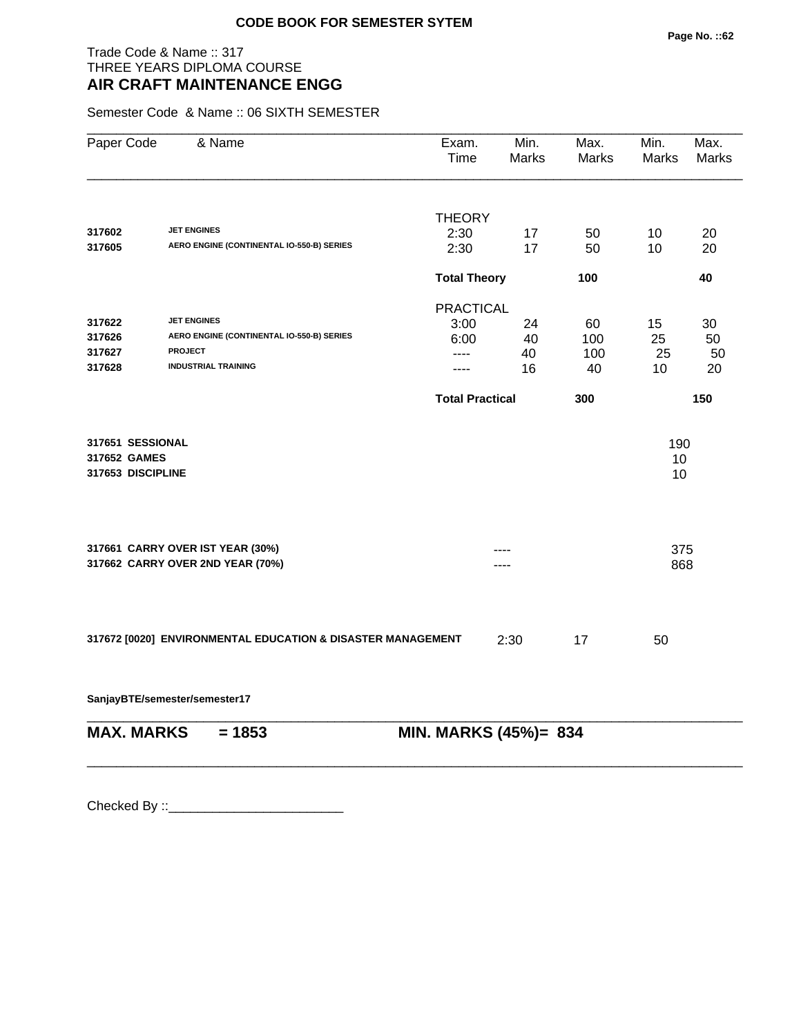## Trade Code & Name :: 317 THREE YEARS DIPLOMA COURSE **AIR CRAFT MAINTENANCE ENGG**

Semester Code & Name :: 06 SIXTH SEMESTER

| Paper Code                                            | & Name                                                                                                          | Exam.<br>Time          | Min.<br><b>Marks</b> | Max.<br>Marks          | Min.<br><b>Marks</b> | Max.<br><b>Marks</b> |
|-------------------------------------------------------|-----------------------------------------------------------------------------------------------------------------|------------------------|----------------------|------------------------|----------------------|----------------------|
|                                                       | <b>JET ENGINES</b>                                                                                              | <b>THEORY</b>          |                      |                        |                      |                      |
| 317602<br>317605                                      | AERO ENGINE (CONTINENTAL IO-550-B) SERIES                                                                       | 2:30<br>2:30           | 17<br>17             | 50<br>50               | 10<br>10             | 20<br>20             |
|                                                       |                                                                                                                 | <b>Total Theory</b>    |                      | 100                    |                      | 40                   |
|                                                       |                                                                                                                 | <b>PRACTICAL</b>       |                      |                        |                      |                      |
| 317622<br>317626<br>317627<br>317628                  | <b>JET ENGINES</b><br>AERO ENGINE (CONTINENTAL IO-550-B) SERIES<br><b>PROJECT</b><br><b>INDUSTRIAL TRAINING</b> | 3:00<br>6:00<br>----   | 24<br>40<br>40<br>16 | 60<br>100<br>100<br>40 | 15<br>25<br>25<br>10 | 30<br>50<br>50<br>20 |
|                                                       |                                                                                                                 | <b>Total Practical</b> |                      | 300                    |                      | 150                  |
| 317651 SESSIONAL<br>317652 GAMES<br>317653 DISCIPLINE |                                                                                                                 |                        |                      |                        | 190<br>10<br>10      |                      |
|                                                       | 317661 CARRY OVER IST YEAR (30%)<br>317662 CARRY OVER 2ND YEAR (70%)                                            |                        |                      |                        | 375<br>868           |                      |
|                                                       | 317672 [0020] ENVIRONMENTAL EDUCATION & DISASTER MANAGEMENT                                                     |                        | 2:30                 | 17                     | 50                   |                      |

**SanjayBTE/semester/semester17**

\_\_\_\_\_\_\_\_\_\_\_\_\_\_\_\_\_\_\_\_\_\_\_\_\_\_\_\_\_\_\_\_\_\_\_\_\_\_\_\_\_\_\_\_\_\_\_\_\_\_\_\_\_\_\_\_\_\_\_\_\_\_\_\_\_\_\_\_\_\_\_\_\_\_\_\_\_\_\_\_\_\_\_\_\_\_\_\_\_\_ **MAX. MARKS = 1853 MIN. MARKS (45%)= 834**

\_\_\_\_\_\_\_\_\_\_\_\_\_\_\_\_\_\_\_\_\_\_\_\_\_\_\_\_\_\_\_\_\_\_\_\_\_\_\_\_\_\_\_\_\_\_\_\_\_\_\_\_\_\_\_\_\_\_\_\_\_\_\_\_\_\_\_\_\_\_\_\_\_\_\_\_\_\_\_\_\_\_\_\_\_\_\_\_\_\_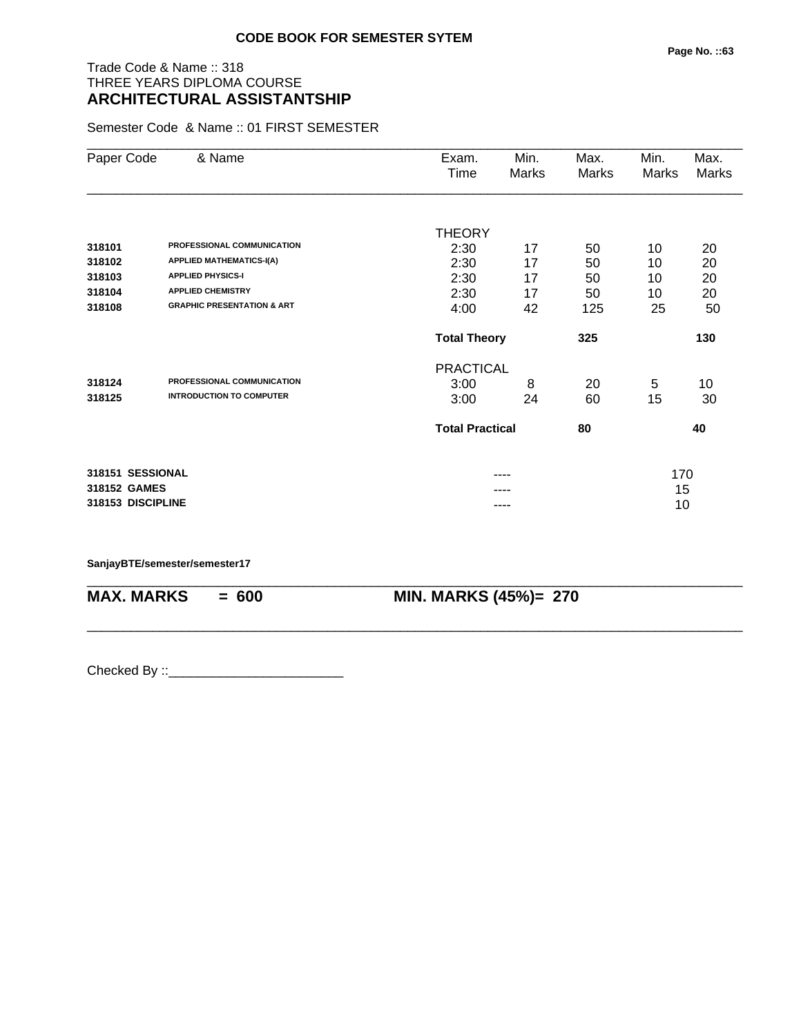# Trade Code & Name :: 318 THREE YEARS DIPLOMA COURSE **ARCHITECTURAL ASSISTANTSHIP**

Semester Code & Name :: 01 FIRST SEMESTER

| Paper Code   | & Name                                | Exam.<br>Time          | Min.<br>Marks | Max.<br>Marks | Min.<br>Marks | Max.<br>Marks |
|--------------|---------------------------------------|------------------------|---------------|---------------|---------------|---------------|
|              |                                       |                        |               |               |               |               |
|              |                                       | THEORY                 |               |               |               |               |
| 318101       | PROFESSIONAL COMMUNICATION            | 2:30                   | 17            | 50            | 10            | 20            |
| 318102       | <b>APPLIED MATHEMATICS-I(A)</b>       | 2:30                   | 17            | 50            | 10            | 20            |
| 318103       | <b>APPLIED PHYSICS-I</b>              | 2:30                   | 17            | 50            | 10            | 20            |
| 318104       | <b>APPLIED CHEMISTRY</b>              | 2:30                   | 17            | 50            | 10            | 20            |
| 318108       | <b>GRAPHIC PRESENTATION &amp; ART</b> | 4:00                   | 42            | 125           | 25            | 50            |
|              |                                       | <b>Total Theory</b>    |               | 325           |               | 130           |
|              |                                       | <b>PRACTICAL</b>       |               |               |               |               |
| 318124       | PROFESSIONAL COMMUNICATION            | 3:00                   | 8             | 20            | 5             | 10            |
| 318125       | <b>INTRODUCTION TO COMPUTER</b>       | 3:00                   | 24            | 60            | 15            | 30            |
|              |                                       | <b>Total Practical</b> |               | 80            |               | 40            |
|              | 318151 SESSIONAL                      |                        |               |               | 170           |               |
| 318152 GAMES |                                       |                        |               |               | 15            |               |
|              | 318153 DISCIPLINE                     |                        | ----          |               | 10            |               |

\_\_\_\_\_\_\_\_\_\_\_\_\_\_\_\_\_\_\_\_\_\_\_\_\_\_\_\_\_\_\_\_\_\_\_\_\_\_\_\_\_\_\_\_\_\_\_\_\_\_\_\_\_\_\_\_\_\_\_\_\_\_\_\_\_\_\_\_\_\_\_\_\_\_\_\_\_\_\_\_\_\_\_\_\_\_\_\_\_\_

\_\_\_\_\_\_\_\_\_\_\_\_\_\_\_\_\_\_\_\_\_\_\_\_\_\_\_\_\_\_\_\_\_\_\_\_\_\_\_\_\_\_\_\_\_\_\_\_\_\_\_\_\_\_\_\_\_\_\_\_\_\_\_\_\_\_\_\_\_\_\_\_\_\_\_\_\_\_\_\_\_\_\_\_\_\_\_\_\_\_

**SanjayBTE/semester/semester17**

**MAX. MARKS = 600 MIN. MARKS (45%)= 270**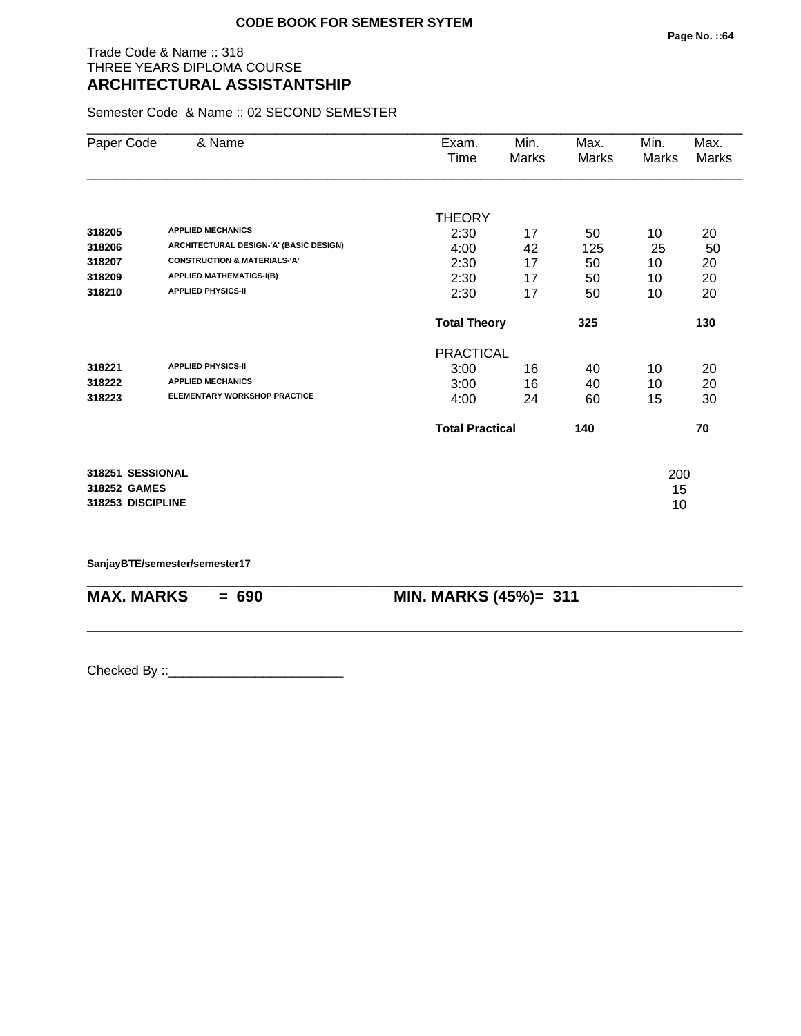## Trade Code & Name :: 318 THREE YEARS DIPLOMA COURSE **ARCHITECTURAL ASSISTANTSHIP**

Semester Code & Name :: 02 SECOND SEMESTER

| Paper Code        | & Name                                  | Exam.                  | Min.  | Max.  | Min.  | Max.         |
|-------------------|-----------------------------------------|------------------------|-------|-------|-------|--------------|
|                   |                                         | Time                   | Marks | Marks | Marks | <b>Marks</b> |
|                   |                                         |                        |       |       |       |              |
|                   |                                         | <b>THEORY</b>          |       |       |       |              |
| 318205            | <b>APPLIED MECHANICS</b>                | 2:30                   | 17    | 50    | 10    | 20           |
| 318206            | ARCHITECTURAL DESIGN-'A' (BASIC DESIGN) | 4:00                   | 42    | 125   | 25    | 50           |
| 318207            | <b>CONSTRUCTION &amp; MATERIALS-'A'</b> | 2:30                   | 17    | 50    | 10    | 20           |
| 318209            | <b>APPLIED MATHEMATICS-I(B)</b>         | 2:30                   | 17    | 50    | 10    | 20           |
| 318210            | <b>APPLIED PHYSICS-II</b>               | 2:30                   | 17    | 50    | 10    | 20           |
|                   |                                         | <b>Total Theory</b>    |       | 325   |       | 130          |
|                   |                                         | <b>PRACTICAL</b>       |       |       |       |              |
| 318221            | <b>APPLIED PHYSICS-II</b>               | 3:00                   | 16    | 40    | 10    | 20           |
| 318222            | <b>APPLIED MECHANICS</b>                | 3:00                   | 16    | 40    | 10    | 20           |
| 318223            | <b>ELEMENTARY WORKSHOP PRACTICE</b>     | 4:00                   | 24    | 60    | 15    | 30           |
|                   |                                         | <b>Total Practical</b> |       | 140   |       | 70           |
| 318251 SESSIONAL  |                                         |                        |       |       | 200   |              |
| 318252 GAMES      |                                         |                        |       |       | 15    |              |
| 318253 DISCIPLINE |                                         |                        |       |       | 10    |              |

\_\_\_\_\_\_\_\_\_\_\_\_\_\_\_\_\_\_\_\_\_\_\_\_\_\_\_\_\_\_\_\_\_\_\_\_\_\_\_\_\_\_\_\_\_\_\_\_\_\_\_\_\_\_\_\_\_\_\_\_\_\_\_\_\_\_\_\_\_\_\_\_\_\_\_\_\_\_\_\_\_\_\_\_\_\_\_\_\_\_

\_\_\_\_\_\_\_\_\_\_\_\_\_\_\_\_\_\_\_\_\_\_\_\_\_\_\_\_\_\_\_\_\_\_\_\_\_\_\_\_\_\_\_\_\_\_\_\_\_\_\_\_\_\_\_\_\_\_\_\_\_\_\_\_\_\_\_\_\_\_\_\_\_\_\_\_\_\_\_\_\_\_\_\_\_\_\_\_\_\_

**SanjayBTE/semester/semester17**

**MAX. MARKS = 690 MIN. MARKS (45%)= 311**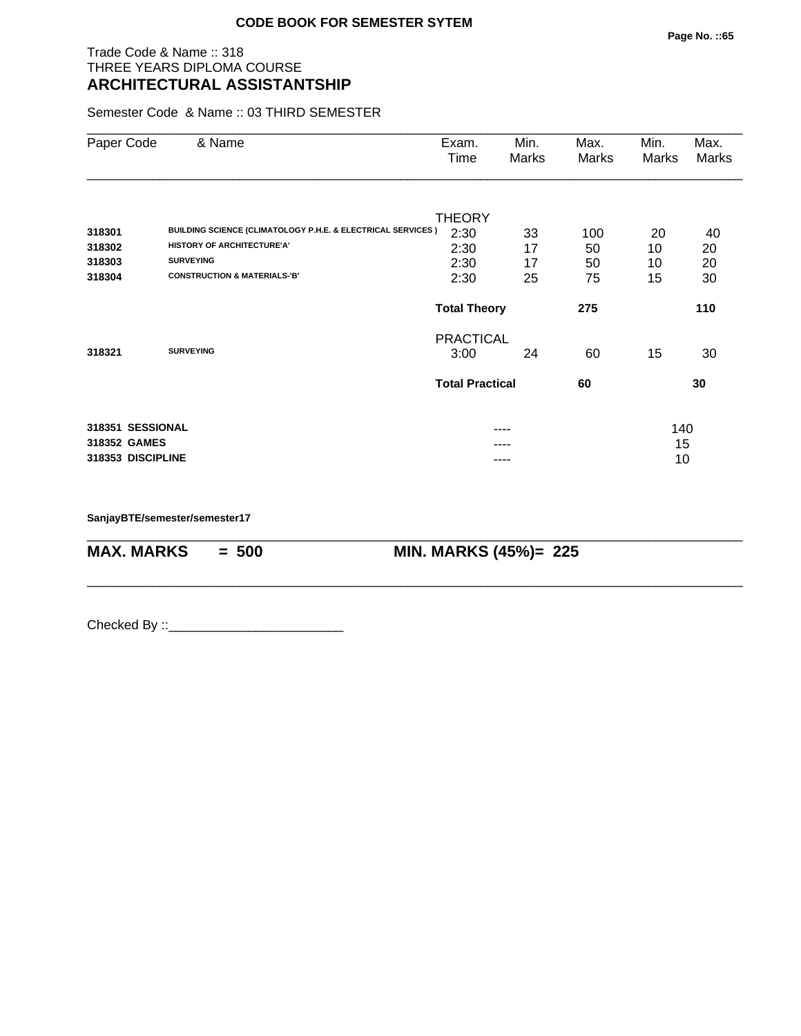## Trade Code & Name :: 318 THREE YEARS DIPLOMA COURSE **ARCHITECTURAL ASSISTANTSHIP**

Semester Code & Name :: 03 THIRD SEMESTER

| Paper Code        | & Name                                                                 | Exam.<br>Time          | Min.<br>Marks | Max.<br>Marks | Min.<br>Marks | Max.<br>Marks |
|-------------------|------------------------------------------------------------------------|------------------------|---------------|---------------|---------------|---------------|
|                   |                                                                        | <b>THEORY</b>          |               |               |               |               |
| 318301            | <b>BUILDING SCIENCE (CLIMATOLOGY P.H.E. &amp; ELECTRICAL SERVICES)</b> | 2:30                   | 33            | 100           | 20            | 40            |
| 318302            | <b>HISTORY OF ARCHITECTURE'A'</b>                                      | 2:30                   | 17            | 50            | 10            | 20            |
| 318303            | <b>SURVEYING</b>                                                       | 2:30                   | 17            | 50            | 10            | 20            |
| 318304            | <b>CONSTRUCTION &amp; MATERIALS-'B'</b>                                | 2:30                   | 25            | 75            | 15            | 30            |
|                   |                                                                        | <b>Total Theory</b>    |               | 275           |               | 110           |
|                   |                                                                        | <b>PRACTICAL</b>       |               |               |               |               |
| 318321            | <b>SURVEYING</b>                                                       | 3:00                   | 24            | 60            | 15            | 30            |
|                   |                                                                        | <b>Total Practical</b> |               | 60            |               | 30            |
| 318351 SESSIONAL  |                                                                        |                        | ----          |               | 140           |               |
| 318352 GAMES      |                                                                        |                        |               |               | 15            |               |
| 318353 DISCIPLINE |                                                                        |                        |               |               | 10            |               |

\_\_\_\_\_\_\_\_\_\_\_\_\_\_\_\_\_\_\_\_\_\_\_\_\_\_\_\_\_\_\_\_\_\_\_\_\_\_\_\_\_\_\_\_\_\_\_\_\_\_\_\_\_\_\_\_\_\_\_\_\_\_\_\_\_\_\_\_\_\_\_\_\_\_\_\_\_\_\_\_\_\_\_\_\_\_\_\_\_\_

\_\_\_\_\_\_\_\_\_\_\_\_\_\_\_\_\_\_\_\_\_\_\_\_\_\_\_\_\_\_\_\_\_\_\_\_\_\_\_\_\_\_\_\_\_\_\_\_\_\_\_\_\_\_\_\_\_\_\_\_\_\_\_\_\_\_\_\_\_\_\_\_\_\_\_\_\_\_\_\_\_\_\_\_\_\_\_\_\_\_

**SanjayBTE/semester/semester17**

**MAX. MARKS = 500 MIN. MARKS (45%)= 225**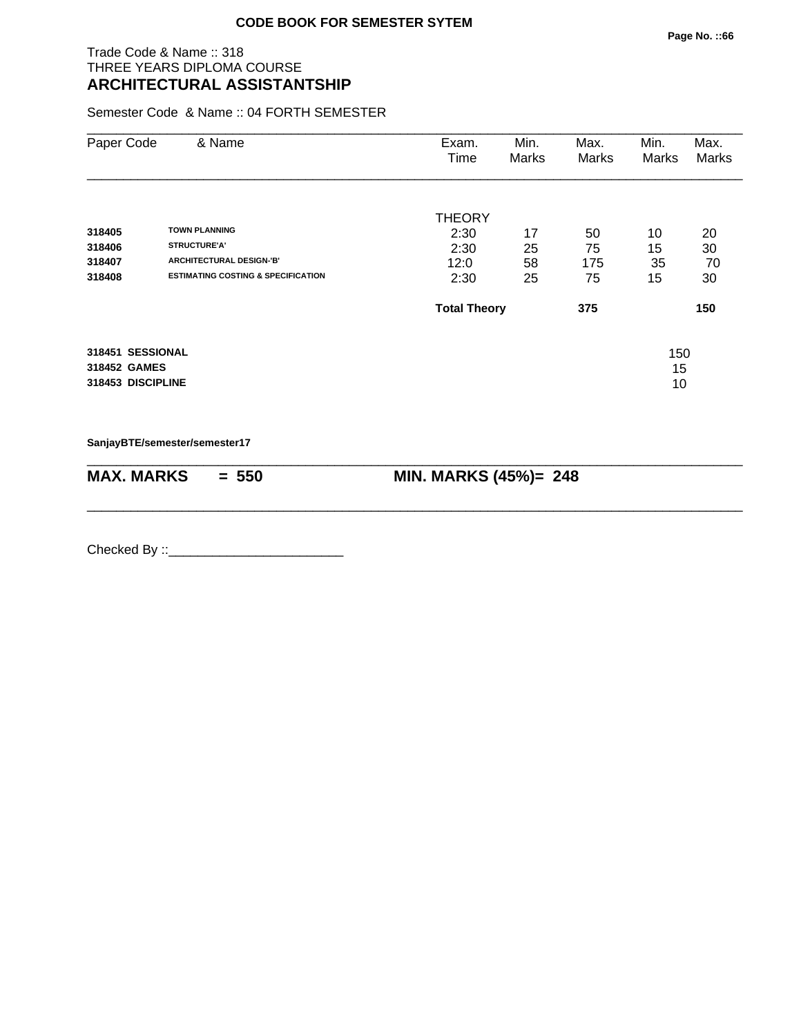## Trade Code & Name :: 318 THREE YEARS DIPLOMA COURSE **ARCHITECTURAL ASSISTANTSHIP**

Semester Code & Name :: 04 FORTH SEMESTER

| Paper Code                       | & Name                                        | Exam.<br>Time       | Min.<br>Marks | Max.<br>Marks | Min.<br>Marks | Max.<br>Marks |
|----------------------------------|-----------------------------------------------|---------------------|---------------|---------------|---------------|---------------|
|                                  |                                               | <b>THEORY</b>       |               |               |               |               |
| 318405                           | <b>TOWN PLANNING</b>                          | 2:30                | 17            | 50            | 10            | 20            |
| 318406                           | <b>STRUCTURE'A'</b>                           | 2:30                | 25            | 75            | 15            | 30            |
| 318407                           | ARCHITECTURAL DESIGN-'B'                      | 12:0                | 58            | 175           | 35            | 70            |
| 318408                           | <b>ESTIMATING COSTING &amp; SPECIFICATION</b> | 2:30                | 25            | 75            | 15            | 30            |
|                                  |                                               | <b>Total Theory</b> |               | 375           |               | 150           |
| 318451 SESSIONAL<br>318452 GAMES |                                               |                     |               |               | 150<br>15     |               |
| 318453 DISCIPLINE                |                                               |                     |               |               | 10            |               |

\_\_\_\_\_\_\_\_\_\_\_\_\_\_\_\_\_\_\_\_\_\_\_\_\_\_\_\_\_\_\_\_\_\_\_\_\_\_\_\_\_\_\_\_\_\_\_\_\_\_\_\_\_\_\_\_\_\_\_\_\_\_\_\_\_\_\_\_\_\_\_\_\_\_\_\_\_\_\_\_\_\_\_\_\_\_\_\_\_\_

\_\_\_\_\_\_\_\_\_\_\_\_\_\_\_\_\_\_\_\_\_\_\_\_\_\_\_\_\_\_\_\_\_\_\_\_\_\_\_\_\_\_\_\_\_\_\_\_\_\_\_\_\_\_\_\_\_\_\_\_\_\_\_\_\_\_\_\_\_\_\_\_\_\_\_\_\_\_\_\_\_\_\_\_\_\_\_\_\_\_

**SanjayBTE/semester/semester17**

| MAX. MARKS | $= 550$ | <b>MIN. MARKS (45%)= 248</b> |
|------------|---------|------------------------------|
|------------|---------|------------------------------|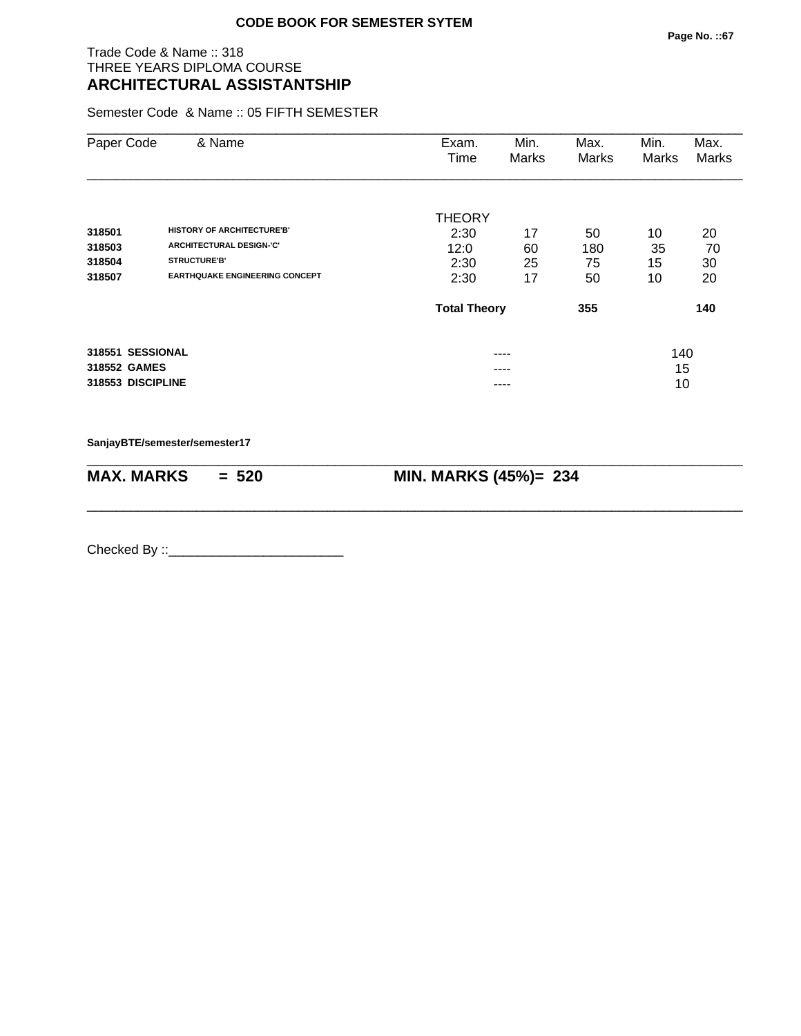## Trade Code & Name :: 318 THREE YEARS DIPLOMA COURSE **ARCHITECTURAL ASSISTANTSHIP**

Semester Code & Name :: 05 FIFTH SEMESTER

| Paper Code                                            | & Name                                                               | Exam.<br>Time                 | Min.<br><b>Marks</b> | Max.<br>Marks | Min.<br>Marks   | Max.<br>Marks |
|-------------------------------------------------------|----------------------------------------------------------------------|-------------------------------|----------------------|---------------|-----------------|---------------|
| 318501<br>318503                                      | <b>HISTORY OF ARCHITECTURE'B'</b><br><b>ARCHITECTURAL DESIGN-'C'</b> | <b>THEORY</b><br>2:30<br>12:0 | 17<br>60             | 50<br>180     | 10<br>35        | 20<br>70      |
| 318504<br>318507                                      | <b>STRUCTURE'B'</b><br><b>EARTHQUAKE ENGINEERING CONCEPT</b>         | 2:30<br>2:30                  | 25<br>17             | 75<br>50      | 15<br>10        | 30<br>20      |
|                                                       |                                                                      | <b>Total Theory</b>           |                      | 355           |                 | 140           |
| 318551 SESSIONAL<br>318552 GAMES<br>318553 DISCIPLINE |                                                                      |                               | ----<br>----<br>---- |               | 140<br>15<br>10 |               |

**SanjayBTE/semester/semester17**

| <b>MAX. MARKS</b> | $= 520$ | MIN. MARKS (45%)= 234 |
|-------------------|---------|-----------------------|

\_\_\_\_\_\_\_\_\_\_\_\_\_\_\_\_\_\_\_\_\_\_\_\_\_\_\_\_\_\_\_\_\_\_\_\_\_\_\_\_\_\_\_\_\_\_\_\_\_\_\_\_\_\_\_\_\_\_\_\_\_\_\_\_\_\_\_\_\_\_\_\_\_\_\_\_\_\_\_\_\_\_\_\_\_\_\_\_\_\_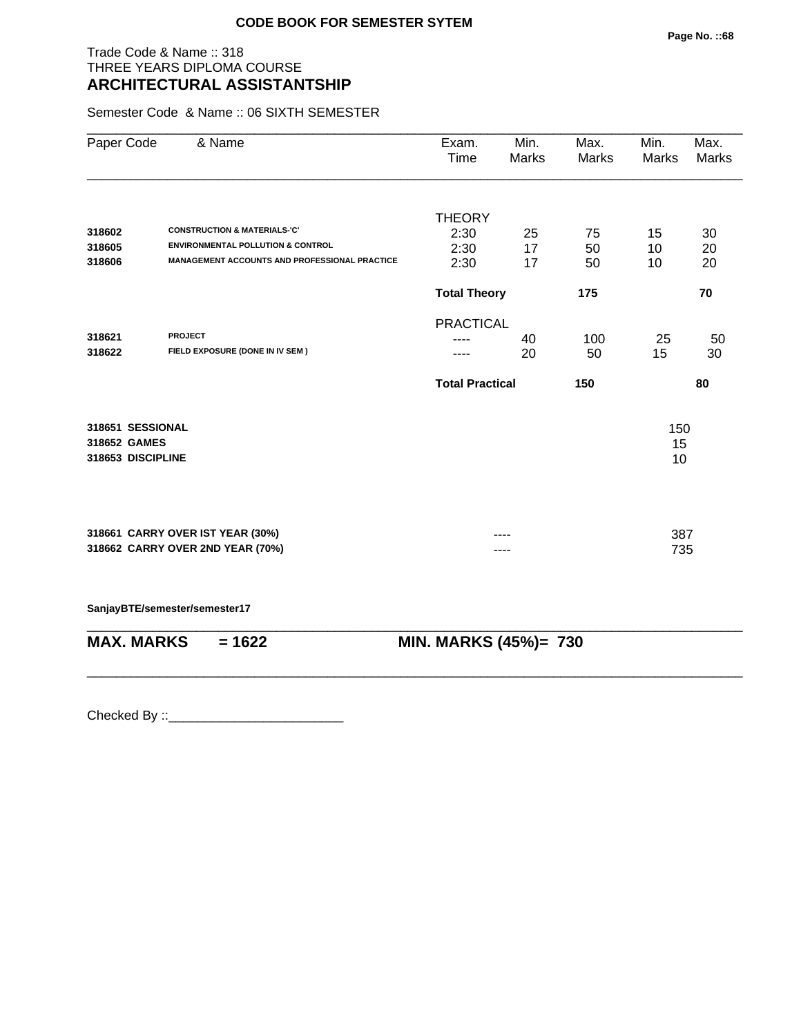## Trade Code & Name :: 318 THREE YEARS DIPLOMA COURSE **ARCHITECTURAL ASSISTANTSHIP**

Semester Code & Name :: 06 SIXTH SEMESTER

| Paper Code        | & Name                                        | Exam.<br>Time          | Min.<br>Marks | Max.<br>Marks | Min.<br>Marks | Max.<br>Marks |
|-------------------|-----------------------------------------------|------------------------|---------------|---------------|---------------|---------------|
|                   |                                               |                        |               |               |               |               |
|                   |                                               | <b>THEORY</b>          |               |               |               |               |
| 318602            | <b>CONSTRUCTION &amp; MATERIALS-'C'</b>       | 2:30                   | 25            | 75            | 15            | 30            |
| 318605            | <b>ENVIRONMENTAL POLLUTION &amp; CONTROL</b>  | 2:30                   | 17            | 50            | 10            | 20            |
| 318606            | MANAGEMENT ACCOUNTS AND PROFESSIONAL PRACTICE | 2:30                   | 17            | 50            | 10            | 20            |
|                   |                                               | <b>Total Theory</b>    |               | 175           |               | 70            |
|                   |                                               | <b>PRACTICAL</b>       |               |               |               |               |
| 318621            | <b>PROJECT</b>                                |                        | 40            | 100           | 25            | 50            |
| 318622            | FIELD EXPOSURE (DONE IN IV SEM)               |                        | 20            | 50            | 15            | 30            |
|                   |                                               | <b>Total Practical</b> |               | 150           |               | 80            |
| 318651 SESSIONAL  |                                               |                        |               |               | 150           |               |
| 318652 GAMES      |                                               |                        |               |               | 15            |               |
| 318653 DISCIPLINE |                                               |                        |               |               | 10            |               |
|                   |                                               |                        |               |               |               |               |
|                   | 318661 CARRY OVER IST YEAR (30%)              |                        |               |               | 387           |               |
|                   | 318662 CARRY OVER 2ND YEAR (70%)              |                        |               |               | 735           |               |
|                   |                                               |                        |               |               |               |               |
|                   | SanjayBTE/semester/semester17                 |                        |               |               |               |               |

| $MAX. \, MARKS = 1622$ | <b>MIN. MARKS (45%)= 730</b> |
|------------------------|------------------------------|

\_\_\_\_\_\_\_\_\_\_\_\_\_\_\_\_\_\_\_\_\_\_\_\_\_\_\_\_\_\_\_\_\_\_\_\_\_\_\_\_\_\_\_\_\_\_\_\_\_\_\_\_\_\_\_\_\_\_\_\_\_\_\_\_\_\_\_\_\_\_\_\_\_\_\_\_\_\_\_\_\_\_\_\_\_\_\_\_\_\_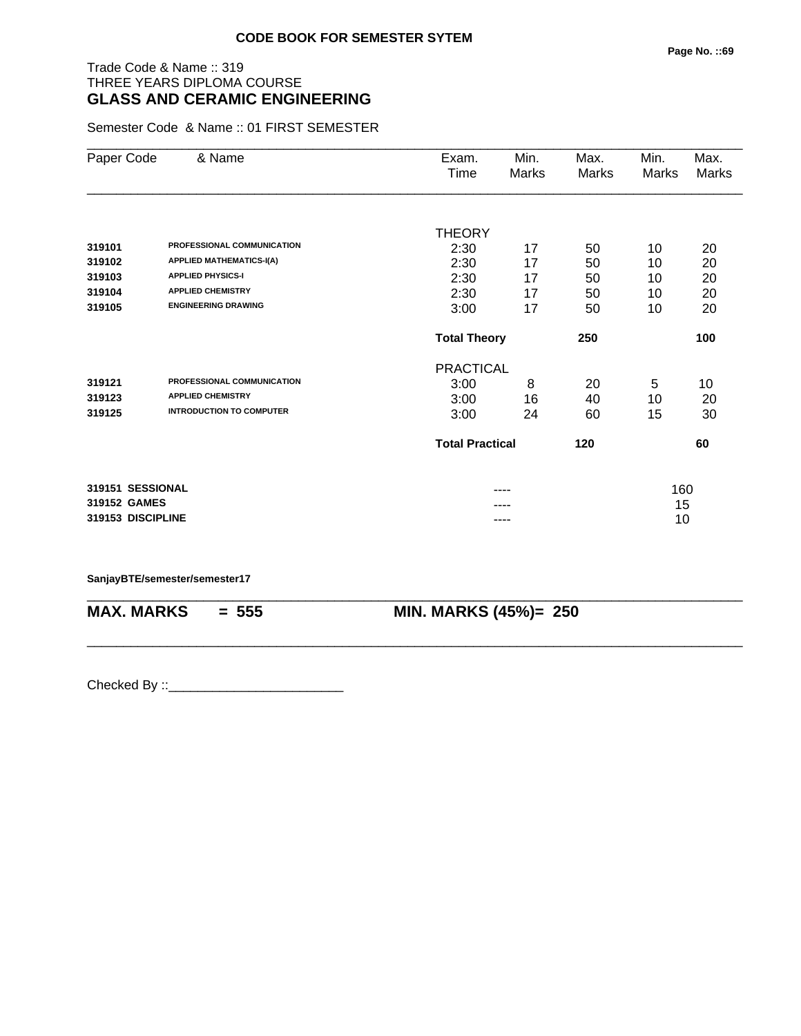# Trade Code & Name :: 319 THREE YEARS DIPLOMA COURSE **GLASS AND CERAMIC ENGINEERING**

Semester Code & Name :: 01 FIRST SEMESTER

| Paper Code        | & Name                          | Exam.<br>Time | Min.<br>Marks              | Max.<br>Marks | Min.<br><b>Marks</b> | Max.<br>Marks |  |  |
|-------------------|---------------------------------|---------------|----------------------------|---------------|----------------------|---------------|--|--|
|                   |                                 |               |                            |               |                      |               |  |  |
|                   |                                 | <b>THEORY</b> |                            |               |                      |               |  |  |
| 319101            | PROFESSIONAL COMMUNICATION      | 2:30          | 17                         | 50            | 10                   | 20            |  |  |
| 319102            | <b>APPLIED MATHEMATICS-I(A)</b> | 2:30          | 17                         | 50            | 10                   | 20            |  |  |
| 319103            | <b>APPLIED PHYSICS-I</b>        | 2:30          | 17                         | 50            | 10                   | 20            |  |  |
| 319104            | <b>APPLIED CHEMISTRY</b>        | 2:30          | 17                         | 50            | 10                   | 20            |  |  |
| 319105            | <b>ENGINEERING DRAWING</b>      | 3:00          | 17                         | 50            | 10                   | 20            |  |  |
|                   |                                 |               | <b>Total Theory</b><br>250 |               |                      | 100           |  |  |
|                   |                                 |               | <b>PRACTICAL</b>           |               |                      |               |  |  |
| 319121            | PROFESSIONAL COMMUNICATION      | 3:00          | 8                          | 20            | 5                    | 10            |  |  |
| 319123            | <b>APPLIED CHEMISTRY</b>        | 3:00          | 16                         | 40            | 10                   | 20            |  |  |
| 319125            | <b>INTRODUCTION TO COMPUTER</b> | 3:00          | 24                         | 60            | 15                   | 30            |  |  |
|                   |                                 |               | <b>Total Practical</b>     |               |                      | 60            |  |  |
| 319151 SESSIONAL  |                                 |               |                            |               | 160                  |               |  |  |
| 319152 GAMES      |                                 |               |                            |               |                      | 15            |  |  |
| 319153 DISCIPLINE |                                 | ----          |                            |               | 10                   |               |  |  |

#### **SanjayBTE/semester/semester17**

**MAX. MARKS = 555 MIN. MARKS (45%)= 250**

\_\_\_\_\_\_\_\_\_\_\_\_\_\_\_\_\_\_\_\_\_\_\_\_\_\_\_\_\_\_\_\_\_\_\_\_\_\_\_\_\_\_\_\_\_\_\_\_\_\_\_\_\_\_\_\_\_\_\_\_\_\_\_\_\_\_\_\_\_\_\_\_\_\_\_\_\_\_\_\_\_\_\_\_\_\_\_\_\_\_

\_\_\_\_\_\_\_\_\_\_\_\_\_\_\_\_\_\_\_\_\_\_\_\_\_\_\_\_\_\_\_\_\_\_\_\_\_\_\_\_\_\_\_\_\_\_\_\_\_\_\_\_\_\_\_\_\_\_\_\_\_\_\_\_\_\_\_\_\_\_\_\_\_\_\_\_\_\_\_\_\_\_\_\_\_\_\_\_\_\_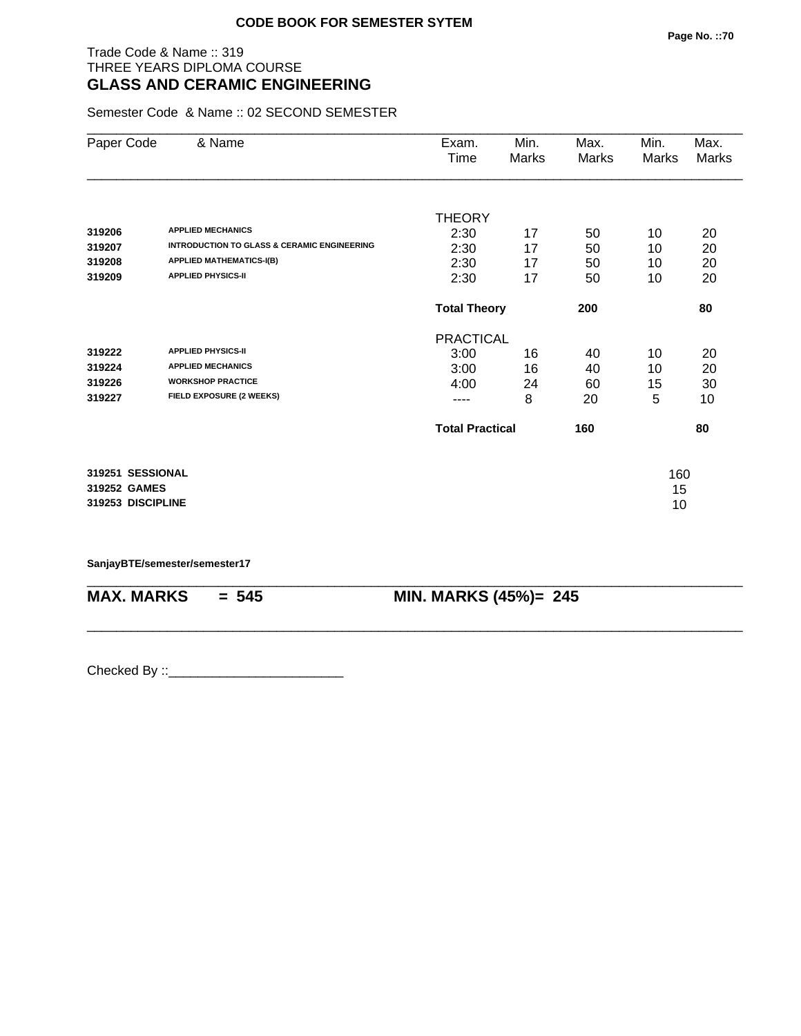## Trade Code & Name :: 319 THREE YEARS DIPLOMA COURSE **GLASS AND CERAMIC ENGINEERING**

Semester Code & Name :: 02 SECOND SEMESTER

| Paper Code        | & Name                                                 | Exam.               | Min.                   | Max.  | Min.  | Max.  |
|-------------------|--------------------------------------------------------|---------------------|------------------------|-------|-------|-------|
|                   |                                                        | Time                | Marks                  | Marks | Marks | Marks |
|                   |                                                        |                     |                        |       |       |       |
|                   |                                                        | <b>THEORY</b>       |                        |       |       |       |
| 319206            | <b>APPLIED MECHANICS</b>                               | 2:30                | 17                     | 50    | 10    | 20    |
| 319207            | <b>INTRODUCTION TO GLASS &amp; CERAMIC ENGINEERING</b> | 2:30                | 17                     | 50    | 10    | 20    |
| 319208            | <b>APPLIED MATHEMATICS-I(B)</b>                        | 2:30                | 17                     | 50    | 10    | 20    |
| 319209            | <b>APPLIED PHYSICS-II</b>                              | 2:30                | 17                     | 50    | 10    | 20    |
|                   |                                                        | <b>Total Theory</b> |                        | 200   |       | 80    |
|                   |                                                        | <b>PRACTICAL</b>    |                        |       |       |       |
| 319222            | <b>APPLIED PHYSICS-II</b>                              | 3:00                | 16                     | 40    | 10    | 20    |
| 319224            | <b>APPLIED MECHANICS</b>                               | 3:00                | 16                     | 40    | 10    | 20    |
| 319226            | <b>WORKSHOP PRACTICE</b>                               | 4:00                | 24                     | 60    | 15    | 30    |
| 319227            | FIELD EXPOSURE (2 WEEKS)                               | ----                | 8                      | 20    | 5     | 10    |
|                   |                                                        |                     | <b>Total Practical</b> |       |       | 80    |
| 319251 SESSIONAL  |                                                        |                     |                        |       | 160   |       |
| 319252 GAMES      |                                                        |                     |                        |       | 15    |       |
| 319253 DISCIPLINE |                                                        |                     |                        |       | 10    |       |
|                   |                                                        |                     |                        |       |       |       |

\_\_\_\_\_\_\_\_\_\_\_\_\_\_\_\_\_\_\_\_\_\_\_\_\_\_\_\_\_\_\_\_\_\_\_\_\_\_\_\_\_\_\_\_\_\_\_\_\_\_\_\_\_\_\_\_\_\_\_\_\_\_\_\_\_\_\_\_\_\_\_\_\_\_\_\_\_\_\_\_\_\_\_\_\_\_\_\_\_\_

\_\_\_\_\_\_\_\_\_\_\_\_\_\_\_\_\_\_\_\_\_\_\_\_\_\_\_\_\_\_\_\_\_\_\_\_\_\_\_\_\_\_\_\_\_\_\_\_\_\_\_\_\_\_\_\_\_\_\_\_\_\_\_\_\_\_\_\_\_\_\_\_\_\_\_\_\_\_\_\_\_\_\_\_\_\_\_\_\_\_

**SanjayBTE/semester/semester17**

**MAX. MARKS = 545 MIN. MARKS (45%)= 245**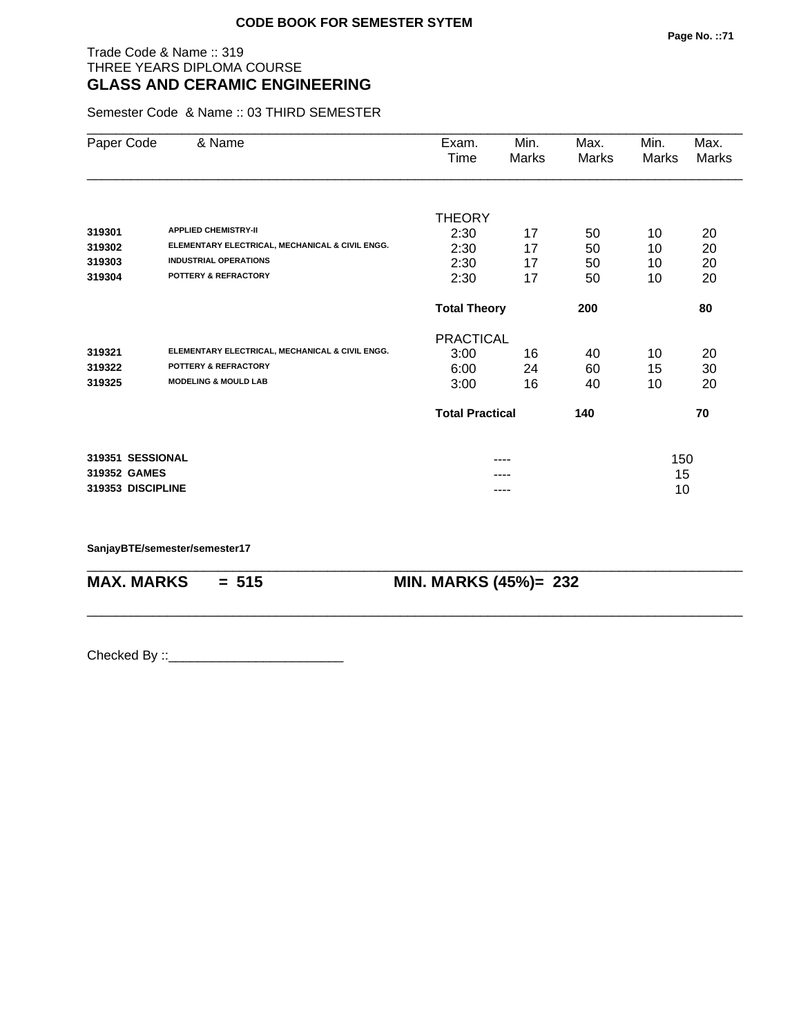## Trade Code & Name :: 319 THREE YEARS DIPLOMA COURSE **GLASS AND CERAMIC ENGINEERING**

Semester Code & Name :: 03 THIRD SEMESTER

| Paper Code        | & Name                                          | Exam.<br>Time          | Min.<br>Marks | Max.<br>Marks | Min.<br>Marks | Max.<br>Marks |  |
|-------------------|-------------------------------------------------|------------------------|---------------|---------------|---------------|---------------|--|
|                   |                                                 |                        |               |               |               |               |  |
|                   |                                                 | <b>THEORY</b>          |               |               |               |               |  |
| 319301            | <b>APPLIED CHEMISTRY-II</b>                     | 2:30                   | 17            | 50            | 10            | 20            |  |
| 319302            | ELEMENTARY ELECTRICAL, MECHANICAL & CIVIL ENGG. | 2:30                   | 17            | 50            | 10            | 20            |  |
| 319303            | <b>INDUSTRIAL OPERATIONS</b>                    | 2:30                   | 17            | 50            | 10            | 20            |  |
| 319304            | POTTERY & REFRACTORY                            | 2:30                   | 17            | 50            | 10            | 20            |  |
|                   |                                                 | <b>Total Theory</b>    |               | 200           |               | 80            |  |
|                   |                                                 | <b>PRACTICAL</b>       |               |               |               |               |  |
| 319321            | ELEMENTARY ELECTRICAL, MECHANICAL & CIVIL ENGG. | 3:00                   | 16            | 40            | 10            | 20            |  |
| 319322            | <b>POTTERY &amp; REFRACTORY</b>                 | 6:00                   | 24            | 60            | 15            | 30            |  |
| 319325            | <b>MODELING &amp; MOULD LAB</b>                 | 3:00                   | 16            | 40            | 10            | 20            |  |
|                   |                                                 | <b>Total Practical</b> |               | 140           |               | 70            |  |
| 319351 SESSIONAL  |                                                 |                        | ----          |               |               | 150           |  |
| 319352 GAMES      |                                                 |                        |               |               | 15            |               |  |
| 319353 DISCIPLINE |                                                 | ----                   |               |               | 10            |               |  |

\_\_\_\_\_\_\_\_\_\_\_\_\_\_\_\_\_\_\_\_\_\_\_\_\_\_\_\_\_\_\_\_\_\_\_\_\_\_\_\_\_\_\_\_\_\_\_\_\_\_\_\_\_\_\_\_\_\_\_\_\_\_\_\_\_\_\_\_\_\_\_\_\_\_\_\_\_\_\_\_\_\_\_\_\_\_\_\_\_\_

\_\_\_\_\_\_\_\_\_\_\_\_\_\_\_\_\_\_\_\_\_\_\_\_\_\_\_\_\_\_\_\_\_\_\_\_\_\_\_\_\_\_\_\_\_\_\_\_\_\_\_\_\_\_\_\_\_\_\_\_\_\_\_\_\_\_\_\_\_\_\_\_\_\_\_\_\_\_\_\_\_\_\_\_\_\_\_\_\_\_

**SanjayBTE/semester/semester17**

**MAX. MARKS = 515 MIN. MARKS (45%)= 232**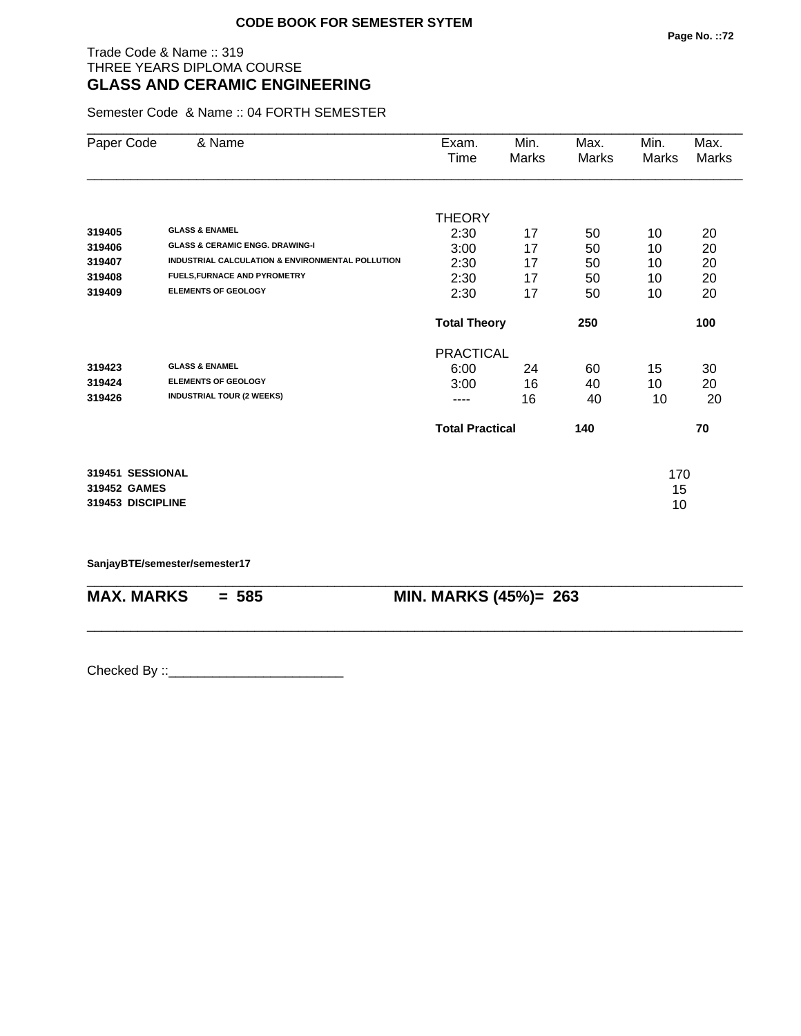## Trade Code & Name :: 319 THREE YEARS DIPLOMA COURSE **GLASS AND CERAMIC ENGINEERING**

Semester Code & Name :: 04 FORTH SEMESTER

| Paper Code        | & Name                                           | Exam.                  | Min.  | Max.  | Min.  | Max.  |
|-------------------|--------------------------------------------------|------------------------|-------|-------|-------|-------|
|                   |                                                  | Time                   | Marks | Marks | Marks | Marks |
|                   |                                                  |                        |       |       |       |       |
|                   |                                                  | <b>THEORY</b>          |       |       |       |       |
| 319405            | <b>GLASS &amp; ENAMEL</b>                        | 2:30                   | 17    | 50    | 10    | 20    |
| 319406            | <b>GLASS &amp; CERAMIC ENGG, DRAWING-I</b>       | 3:00                   | 17    | 50    | 10    | 20    |
| 319407            | INDUSTRIAL CALCULATION & ENVIRONMENTAL POLLUTION | 2:30                   | 17    | 50    | 10    | 20    |
| 319408            | <b>FUELS, FURNACE AND PYROMETRY</b>              | 2:30                   | 17    | 50    | 10    | 20    |
| 319409            | <b>ELEMENTS OF GEOLOGY</b>                       | 2:30                   | 17    | 50    | 10    | 20    |
|                   |                                                  | <b>Total Theory</b>    |       | 250   |       | 100   |
|                   |                                                  | <b>PRACTICAL</b>       |       |       |       |       |
| 319423            | <b>GLASS &amp; ENAMEL</b>                        | 6:00                   | 24    | 60    | 15    | 30    |
| 319424            | <b>ELEMENTS OF GEOLOGY</b>                       | 3:00                   | 16    | 40    | 10    | 20    |
| 319426            | <b>INDUSTRIAL TOUR (2 WEEKS)</b>                 | ----                   | 16    | 40    | 10    | 20    |
|                   |                                                  | <b>Total Practical</b> |       | 140   |       | 70    |
| 319451 SESSIONAL  |                                                  |                        |       |       | 170   |       |
| 319452 GAMES      |                                                  |                        |       |       | 15    |       |
| 319453 DISCIPLINE |                                                  |                        |       |       | 10    |       |
|                   |                                                  |                        |       |       |       |       |

\_\_\_\_\_\_\_\_\_\_\_\_\_\_\_\_\_\_\_\_\_\_\_\_\_\_\_\_\_\_\_\_\_\_\_\_\_\_\_\_\_\_\_\_\_\_\_\_\_\_\_\_\_\_\_\_\_\_\_\_\_\_\_\_\_\_\_\_\_\_\_\_\_\_\_\_\_\_\_\_\_\_\_\_\_\_\_\_\_\_

\_\_\_\_\_\_\_\_\_\_\_\_\_\_\_\_\_\_\_\_\_\_\_\_\_\_\_\_\_\_\_\_\_\_\_\_\_\_\_\_\_\_\_\_\_\_\_\_\_\_\_\_\_\_\_\_\_\_\_\_\_\_\_\_\_\_\_\_\_\_\_\_\_\_\_\_\_\_\_\_\_\_\_\_\_\_\_\_\_\_

**SanjayBTE/semester/semester17**

**MAX. MARKS = 585 MIN. MARKS (45%)= 263**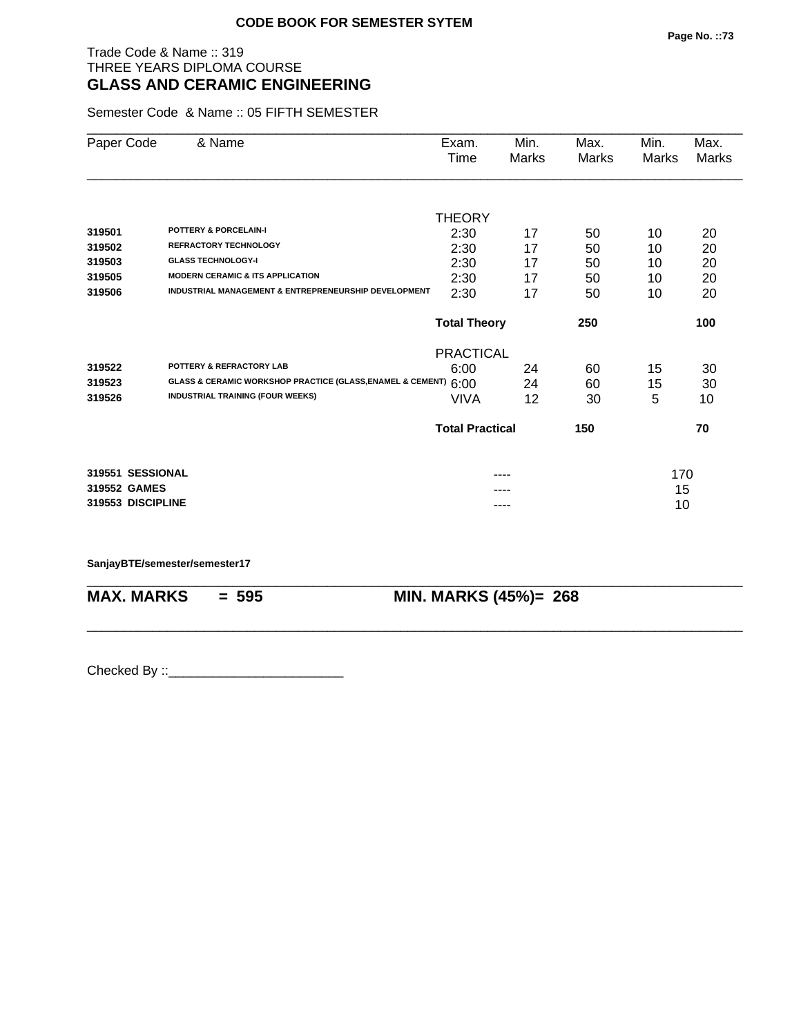## Trade Code & Name :: 319 THREE YEARS DIPLOMA COURSE **GLASS AND CERAMIC ENGINEERING**

Semester Code & Name :: 05 FIFTH SEMESTER

| Paper Code        | & Name                                                     | Exam.                      | Min.  | Max.         | Min.  | Max.         |
|-------------------|------------------------------------------------------------|----------------------------|-------|--------------|-------|--------------|
|                   |                                                            | Time                       | Marks | <b>Marks</b> | Marks | <b>Marks</b> |
|                   |                                                            |                            |       |              |       |              |
|                   |                                                            | <b>THEORY</b>              |       |              |       |              |
| 319501            | <b>POTTERY &amp; PORCELAIN-I</b>                           | 2:30                       | 17    | 50           | 10    | 20           |
| 319502            | <b>REFRACTORY TECHNOLOGY</b>                               | 2:30                       | 17    | 50           | 10    | 20           |
| 319503            | <b>GLASS TECHNOLOGY-I</b>                                  | 2:30                       | 17    | 50           | 10    | 20           |
| 319505            | <b>MODERN CERAMIC &amp; ITS APPLICATION</b>                | 2:30                       | 17    | 50           | 10    | 20           |
| 319506            | INDUSTRIAL MANAGEMENT & ENTREPRENEURSHIP DEVELOPMENT       | 2:30                       | 17    | 50           | 10    | 20           |
|                   |                                                            | <b>Total Theory</b><br>250 |       |              |       | 100          |
|                   |                                                            | <b>PRACTICAL</b>           |       |              |       |              |
| 319522            | POTTERY & REFRACTORY LAB                                   | 6:00                       | 24    | 60           | 15    | 30           |
| 319523            | GLASS & CERAMIC WORKSHOP PRACTICE (GLASS, ENAMEL & CEMENT) | 6:00                       | 24    | 60           | 15    | 30           |
| 319526            | <b>INDUSTRIAL TRAINING (FOUR WEEKS)</b>                    | <b>VIVA</b>                | 12    | 30           | 5     | 10           |
|                   |                                                            | <b>Total Practical</b>     |       | 150          |       | 70           |
| 319551 SESSIONAL  |                                                            |                            | ----  |              | 170   |              |
| 319552 GAMES      |                                                            |                            |       |              | 15    |              |
| 319553 DISCIPLINE |                                                            |                            | ----  |              | 10    |              |
|                   |                                                            |                            |       |              |       |              |

\_\_\_\_\_\_\_\_\_\_\_\_\_\_\_\_\_\_\_\_\_\_\_\_\_\_\_\_\_\_\_\_\_\_\_\_\_\_\_\_\_\_\_\_\_\_\_\_\_\_\_\_\_\_\_\_\_\_\_\_\_\_\_\_\_\_\_\_\_\_\_\_\_\_\_\_\_\_\_\_\_\_\_\_\_\_\_\_\_\_

\_\_\_\_\_\_\_\_\_\_\_\_\_\_\_\_\_\_\_\_\_\_\_\_\_\_\_\_\_\_\_\_\_\_\_\_\_\_\_\_\_\_\_\_\_\_\_\_\_\_\_\_\_\_\_\_\_\_\_\_\_\_\_\_\_\_\_\_\_\_\_\_\_\_\_\_\_\_\_\_\_\_\_\_\_\_\_\_\_\_

#### **SanjayBTE/semester/semester17**

|  | <b>MAX. MARKS</b> |   |
|--|-------------------|---|
|  |                   | N |

**MIN. MARKS (45%)= 268**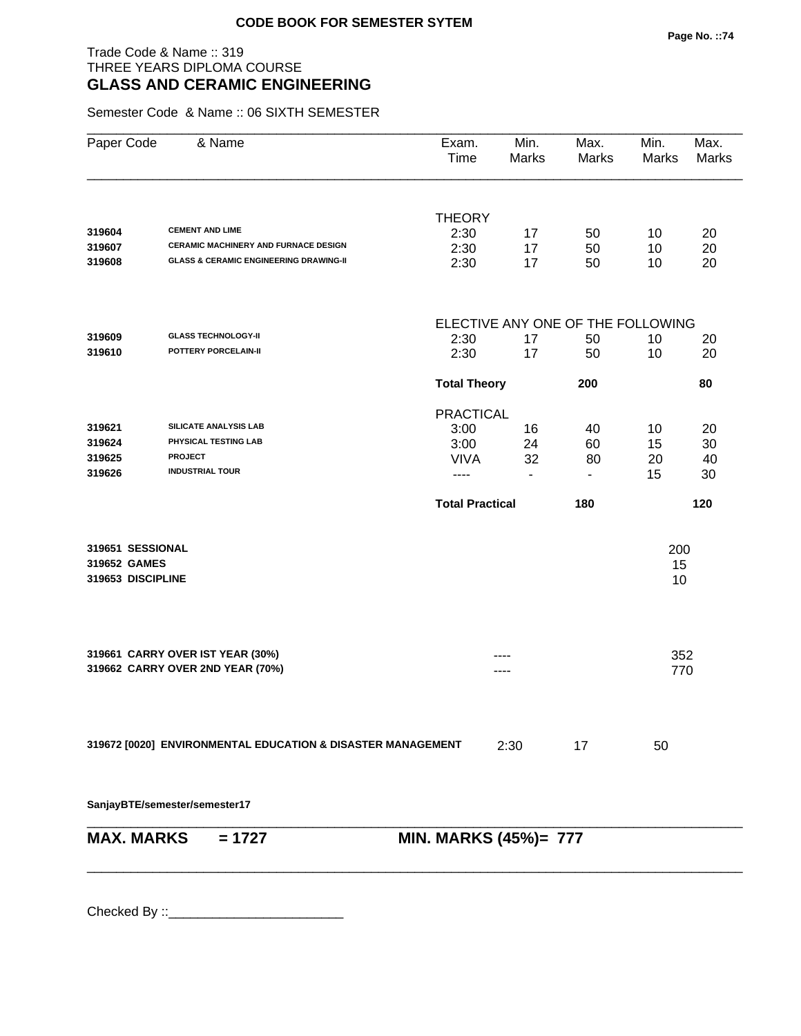## Trade Code & Name :: 319 THREE YEARS DIPLOMA COURSE **GLASS AND CERAMIC ENGINEERING**

Semester Code & Name :: 06 SIXTH SEMESTER

| Paper Code        | & Name                                                      | Exam.<br>Time          | Min.<br>Marks                | Max.<br>Marks                     | Min.<br>Marks | Max.<br><b>Marks</b> |
|-------------------|-------------------------------------------------------------|------------------------|------------------------------|-----------------------------------|---------------|----------------------|
|                   |                                                             | <b>THEORY</b>          |                              |                                   |               |                      |
| 319604            | <b>CEMENT AND LIME</b>                                      | 2:30                   | 17                           | 50                                | 10            | 20                   |
| 319607            | CERAMIC MACHINERY AND FURNACE DESIGN                        | 2:30                   | 17                           | 50                                | 10            | 20                   |
| 319608            | <b>GLASS &amp; CERAMIC ENGINEERING DRAWING-II</b>           | 2:30                   | 17                           | 50                                | 10            | 20                   |
|                   |                                                             |                        |                              | ELECTIVE ANY ONE OF THE FOLLOWING |               |                      |
| 319609            | <b>GLASS TECHNOLOGY-II</b>                                  | 2:30                   | 17                           | 50                                | 10            | 20                   |
| 319610            | POTTERY PORCELAIN-II                                        | 2:30                   | 17                           | 50                                | 10            | 20                   |
|                   |                                                             | <b>Total Theory</b>    |                              | 200                               |               | 80                   |
|                   |                                                             | <b>PRACTICAL</b>       |                              |                                   |               |                      |
| 319621            | SILICATE ANALYSIS LAB                                       | 3:00                   | 16                           | 40                                | 10            | 20                   |
| 319624            | PHYSICAL TESTING LAB                                        | 3:00                   | 24                           | 60                                | 15            | 30                   |
| 319625            | <b>PROJECT</b>                                              | <b>VIVA</b>            | 32                           | 80                                | 20            | 40                   |
| 319626            | <b>INDUSTRIAL TOUR</b>                                      | ----                   | ٠                            | ۰                                 | 15            | 30                   |
|                   |                                                             | <b>Total Practical</b> |                              | 180                               |               | 120                  |
| 319651 SESSIONAL  |                                                             |                        |                              |                                   | 200           |                      |
| 319652 GAMES      |                                                             |                        |                              |                                   | 15            |                      |
| 319653 DISCIPLINE |                                                             |                        |                              |                                   | 10            |                      |
|                   | 319661 CARRY OVER IST YEAR (30%)                            |                        |                              |                                   | 352           |                      |
|                   | 319662 CARRY OVER 2ND YEAR (70%)                            |                        |                              |                                   | 770           |                      |
|                   | 319672 [0020] ENVIRONMENTAL EDUCATION & DISASTER MANAGEMENT |                        | 2:30                         | 17                                | 50            |                      |
|                   |                                                             |                        |                              |                                   |               |                      |
|                   | SanjayBTE/semester/semester17                               |                        |                              |                                   |               |                      |
| <b>MAX. MARKS</b> | $= 1727$                                                    |                        | <b>MIN. MARKS (45%)= 777</b> |                                   |               |                      |
|                   |                                                             |                        |                              |                                   |               |                      |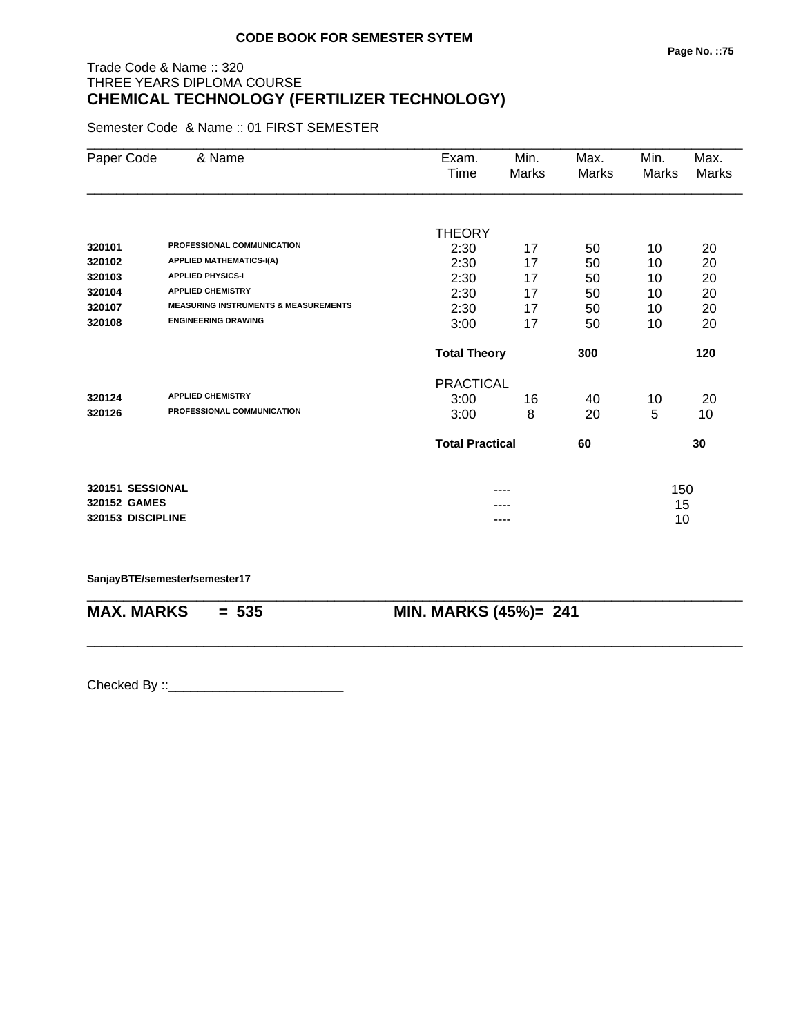# Trade Code & Name :: 320 THREE YEARS DIPLOMA COURSE **CHEMICAL TECHNOLOGY (FERTILIZER TECHNOLOGY)**

Semester Code & Name :: 01 FIRST SEMESTER

| Paper Code        | & Name                                          | Exam.<br>Time          | Min.<br>Marks | Max.<br>Marks | Min.<br><b>Marks</b> | Max.<br><b>Marks</b> |
|-------------------|-------------------------------------------------|------------------------|---------------|---------------|----------------------|----------------------|
|                   |                                                 |                        |               |               |                      |                      |
|                   |                                                 | <b>THEORY</b>          |               |               |                      |                      |
| 320101            | PROFESSIONAL COMMUNICATION                      | 2:30                   | 17            | 50            | 10                   | 20                   |
| 320102            | <b>APPLIED MATHEMATICS-I(A)</b>                 | 2:30                   | 17            | 50            | 10                   | 20                   |
| 320103            | <b>APPLIED PHYSICS-I</b>                        | 2:30                   | 17            | 50            | 10                   | 20                   |
| 320104            | <b>APPLIED CHEMISTRY</b>                        | 2:30                   | 17            | 50            | 10                   | 20                   |
| 320107            | <b>MEASURING INSTRUMENTS &amp; MEASUREMENTS</b> | 2:30                   | 17            | 50            | 10                   | 20                   |
| 320108            | <b>ENGINEERING DRAWING</b>                      | 3:00                   | 17            | 50            | 10                   | 20                   |
|                   |                                                 | <b>Total Theory</b>    |               | 300           |                      | 120                  |
|                   |                                                 | <b>PRACTICAL</b>       |               |               |                      |                      |
| 320124            | <b>APPLIED CHEMISTRY</b>                        | 3:00                   | 16            | 40            | 10                   | 20                   |
| 320126            | PROFESSIONAL COMMUNICATION                      | 3:00                   | 8             | 20            | 5                    | 10                   |
|                   |                                                 | <b>Total Practical</b> |               | 60            |                      | 30                   |
| 320151 SESSIONAL  |                                                 |                        |               |               | 150                  |                      |
| 320152 GAMES      |                                                 |                        |               |               | 15                   |                      |
| 320153 DISCIPLINE |                                                 |                        | ----          |               | 10                   |                      |

\_\_\_\_\_\_\_\_\_\_\_\_\_\_\_\_\_\_\_\_\_\_\_\_\_\_\_\_\_\_\_\_\_\_\_\_\_\_\_\_\_\_\_\_\_\_\_\_\_\_\_\_\_\_\_\_\_\_\_\_\_\_\_\_\_\_\_\_\_\_\_\_\_\_\_\_\_\_\_\_\_\_\_\_\_\_\_\_\_\_

\_\_\_\_\_\_\_\_\_\_\_\_\_\_\_\_\_\_\_\_\_\_\_\_\_\_\_\_\_\_\_\_\_\_\_\_\_\_\_\_\_\_\_\_\_\_\_\_\_\_\_\_\_\_\_\_\_\_\_\_\_\_\_\_\_\_\_\_\_\_\_\_\_\_\_\_\_\_\_\_\_\_\_\_\_\_\_\_\_\_

#### **SanjayBTE/semester/semester17**

**MAX. MARKS = 535 MIN. MARKS (45%)= 241**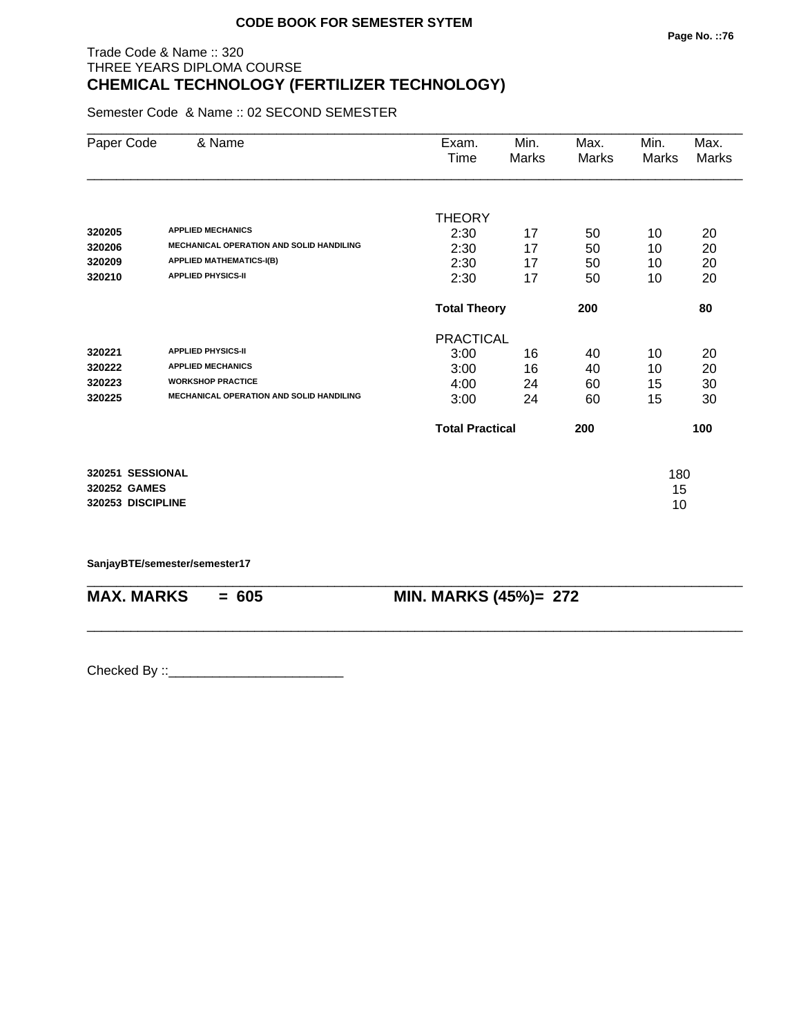# Trade Code & Name :: 320 THREE YEARS DIPLOMA COURSE **CHEMICAL TECHNOLOGY (FERTILIZER TECHNOLOGY)**

Semester Code & Name :: 02 SECOND SEMESTER

| Paper Code        | & Name                                          | Exam.                  | Min.  | Max.  | Min.  | Max.         |
|-------------------|-------------------------------------------------|------------------------|-------|-------|-------|--------------|
|                   |                                                 | Time                   | Marks | Marks | Marks | <b>Marks</b> |
|                   |                                                 |                        |       |       |       |              |
|                   |                                                 | <b>THEORY</b>          |       |       |       |              |
| 320205            | <b>APPLIED MECHANICS</b>                        | 2:30                   | 17    | 50    | 10    | 20           |
| 320206            | <b>MECHANICAL OPERATION AND SOLID HANDILING</b> | 2:30                   | 17    | 50    | 10    | 20           |
| 320209            | <b>APPLIED MATHEMATICS-I(B)</b>                 | 2:30                   | 17    | 50    | 10    | 20           |
| 320210            | <b>APPLIED PHYSICS-II</b>                       | 2:30                   | 17    | 50    | 10    | 20           |
|                   |                                                 | <b>Total Theory</b>    |       | 200   |       | 80           |
|                   |                                                 | <b>PRACTICAL</b>       |       |       |       |              |
| 320221            | <b>APPLIED PHYSICS-II</b>                       | 3:00                   | 16    | 40    | 10    | 20           |
| 320222            | <b>APPLIED MECHANICS</b>                        | 3:00                   | 16    | 40    | 10    | 20           |
| 320223            | <b>WORKSHOP PRACTICE</b>                        | 4:00                   | 24    | 60    | 15    | 30           |
| 320225            | <b>MECHANICAL OPERATION AND SOLID HANDILING</b> | 3:00                   | 24    | 60    | 15    | 30           |
|                   |                                                 | <b>Total Practical</b> |       | 200   |       | 100          |
| 320251 SESSIONAL  |                                                 |                        |       |       | 180   |              |
| 320252 GAMES      |                                                 |                        |       |       | 15    |              |
| 320253 DISCIPLINE |                                                 |                        |       |       | 10    |              |
|                   |                                                 |                        |       |       |       |              |

\_\_\_\_\_\_\_\_\_\_\_\_\_\_\_\_\_\_\_\_\_\_\_\_\_\_\_\_\_\_\_\_\_\_\_\_\_\_\_\_\_\_\_\_\_\_\_\_\_\_\_\_\_\_\_\_\_\_\_\_\_\_\_\_\_\_\_\_\_\_\_\_\_\_\_\_\_\_\_\_\_\_\_\_\_\_\_\_\_\_

\_\_\_\_\_\_\_\_\_\_\_\_\_\_\_\_\_\_\_\_\_\_\_\_\_\_\_\_\_\_\_\_\_\_\_\_\_\_\_\_\_\_\_\_\_\_\_\_\_\_\_\_\_\_\_\_\_\_\_\_\_\_\_\_\_\_\_\_\_\_\_\_\_\_\_\_\_\_\_\_\_\_\_\_\_\_\_\_\_\_

**SanjayBTE/semester/semester17**

**MAX. MARKS = 605 MIN. MARKS (45%)= 272**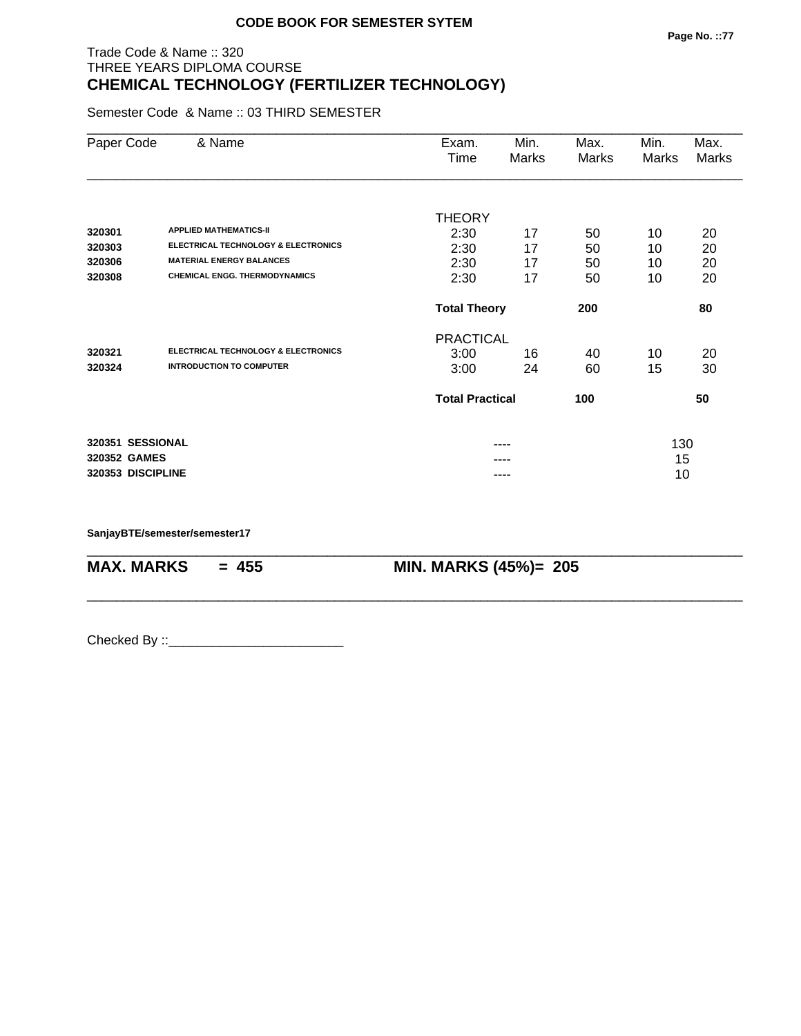# Trade Code & Name :: 320 THREE YEARS DIPLOMA COURSE **CHEMICAL TECHNOLOGY (FERTILIZER TECHNOLOGY)**

Semester Code & Name :: 03 THIRD SEMESTER

| Paper Code        | & Name                                         | Exam.<br>Time          | Min.<br>Marks | Max.<br>Marks | Min.<br>Marks | Max.<br>Marks |
|-------------------|------------------------------------------------|------------------------|---------------|---------------|---------------|---------------|
|                   |                                                |                        |               |               |               |               |
| 320301            | <b>APPLIED MATHEMATICS-II</b>                  | <b>THEORY</b>          |               |               |               |               |
| 320303            | <b>ELECTRICAL TECHNOLOGY &amp; ELECTRONICS</b> | 2:30<br>2:30           | 17<br>17      | 50            | 10            | 20<br>20      |
| 320306            | <b>MATERIAL ENERGY BALANCES</b>                | 2:30                   | 17            | 50<br>50      | 10<br>10      | 20            |
| 320308            | <b>CHEMICAL ENGG. THERMODYNAMICS</b>           | 2:30                   | 17            | 50            | 10            | 20            |
|                   |                                                | <b>Total Theory</b>    |               | 200           |               | 80            |
|                   |                                                | <b>PRACTICAL</b>       |               |               |               |               |
| 320321            | <b>ELECTRICAL TECHNOLOGY &amp; ELECTRONICS</b> | 3:00                   | 16            | 40            | 10            | 20            |
| 320324            | <b>INTRODUCTION TO COMPUTER</b>                | 3:00                   | 24            | 60            | 15            | 30            |
|                   |                                                | <b>Total Practical</b> |               | 100           |               | 50            |
| 320351 SESSIONAL  |                                                |                        |               |               | 130           |               |
| 320352 GAMES      |                                                |                        |               |               | 15            |               |
| 320353 DISCIPLINE |                                                |                        | ----          |               | 10            |               |

\_\_\_\_\_\_\_\_\_\_\_\_\_\_\_\_\_\_\_\_\_\_\_\_\_\_\_\_\_\_\_\_\_\_\_\_\_\_\_\_\_\_\_\_\_\_\_\_\_\_\_\_\_\_\_\_\_\_\_\_\_\_\_\_\_\_\_\_\_\_\_\_\_\_\_\_\_\_\_\_\_\_\_\_\_\_\_\_\_\_

\_\_\_\_\_\_\_\_\_\_\_\_\_\_\_\_\_\_\_\_\_\_\_\_\_\_\_\_\_\_\_\_\_\_\_\_\_\_\_\_\_\_\_\_\_\_\_\_\_\_\_\_\_\_\_\_\_\_\_\_\_\_\_\_\_\_\_\_\_\_\_\_\_\_\_\_\_\_\_\_\_\_\_\_\_\_\_\_\_\_

**SanjayBTE/semester/semester17**

**MAX. MARKS = 455 MIN. MARKS (45%)= 205**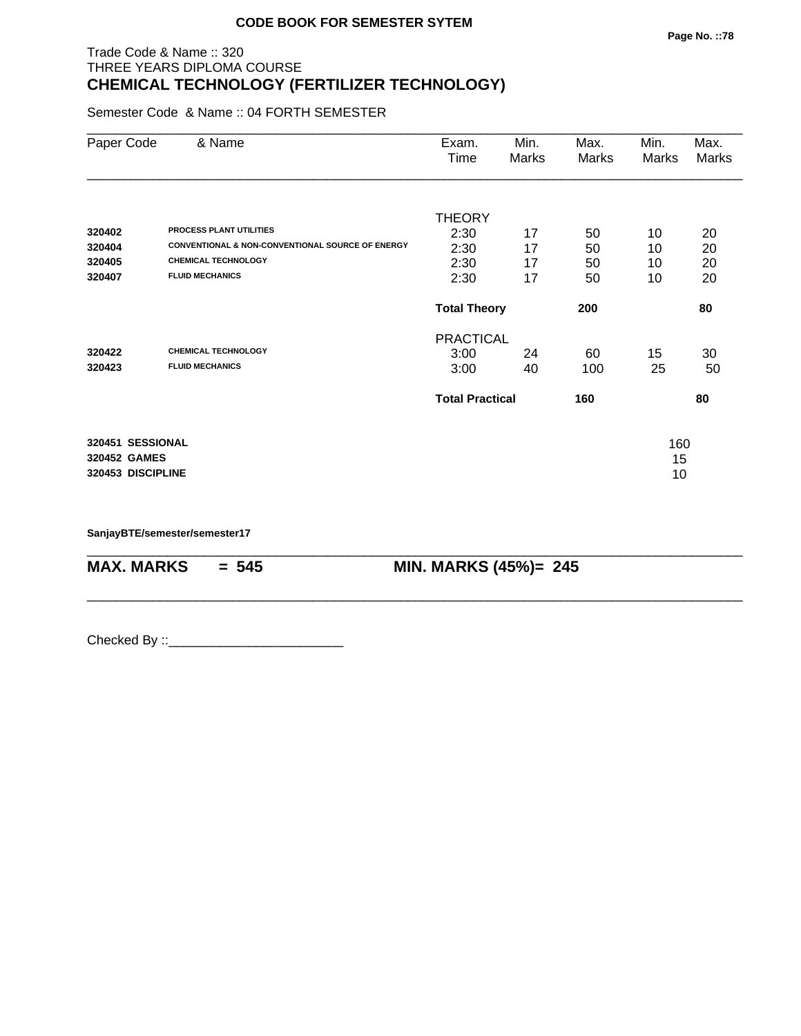# Trade Code & Name :: 320 THREE YEARS DIPLOMA COURSE **CHEMICAL TECHNOLOGY (FERTILIZER TECHNOLOGY)**

Semester Code & Name :: 04 FORTH SEMESTER

| Paper Code        | & Name                                                      | Exam.<br>Time          | Min.<br>Marks | Max.<br>Marks | Min.<br>Marks | Max.<br>Marks |
|-------------------|-------------------------------------------------------------|------------------------|---------------|---------------|---------------|---------------|
|                   |                                                             | <b>THEORY</b>          |               |               |               |               |
| 320402            | <b>PROCESS PLANT UTILITIES</b>                              | 2:30                   | 17            | 50            | 10            | 20            |
| 320404            | <b>CONVENTIONAL &amp; NON-CONVENTIONAL SOURCE OF ENERGY</b> | 2:30                   | 17            | 50            | 10            | 20            |
| 320405            | <b>CHEMICAL TECHNOLOGY</b>                                  | 2:30                   | 17            | 50            | 10            | 20            |
| 320407            | <b>FLUID MECHANICS</b>                                      | 2:30                   | 17            | 50            | 10            | 20            |
|                   |                                                             | <b>Total Theory</b>    |               | 200           |               | 80            |
|                   |                                                             | <b>PRACTICAL</b>       |               |               |               |               |
| 320422            | <b>CHEMICAL TECHNOLOGY</b>                                  | 3:00                   | 24            | 60            | 15            | 30            |
| 320423            | <b>FLUID MECHANICS</b>                                      | 3:00                   | 40            | 100           | 25            | 50            |
|                   |                                                             | <b>Total Practical</b> |               | 160           |               | 80            |
| 320451 SESSIONAL  |                                                             |                        |               |               | 160           |               |
| 320452 GAMES      |                                                             |                        |               |               | 15            |               |
| 320453 DISCIPLINE |                                                             |                        |               |               | 10            |               |

\_\_\_\_\_\_\_\_\_\_\_\_\_\_\_\_\_\_\_\_\_\_\_\_\_\_\_\_\_\_\_\_\_\_\_\_\_\_\_\_\_\_\_\_\_\_\_\_\_\_\_\_\_\_\_\_\_\_\_\_\_\_\_\_\_\_\_\_\_\_\_\_\_\_\_\_\_\_\_\_\_\_\_\_\_\_\_\_\_\_

\_\_\_\_\_\_\_\_\_\_\_\_\_\_\_\_\_\_\_\_\_\_\_\_\_\_\_\_\_\_\_\_\_\_\_\_\_\_\_\_\_\_\_\_\_\_\_\_\_\_\_\_\_\_\_\_\_\_\_\_\_\_\_\_\_\_\_\_\_\_\_\_\_\_\_\_\_\_\_\_\_\_\_\_\_\_\_\_\_\_

**SanjayBTE/semester/semester17**

**MAX. MARKS = 545 MIN. MARKS (45%)= 245**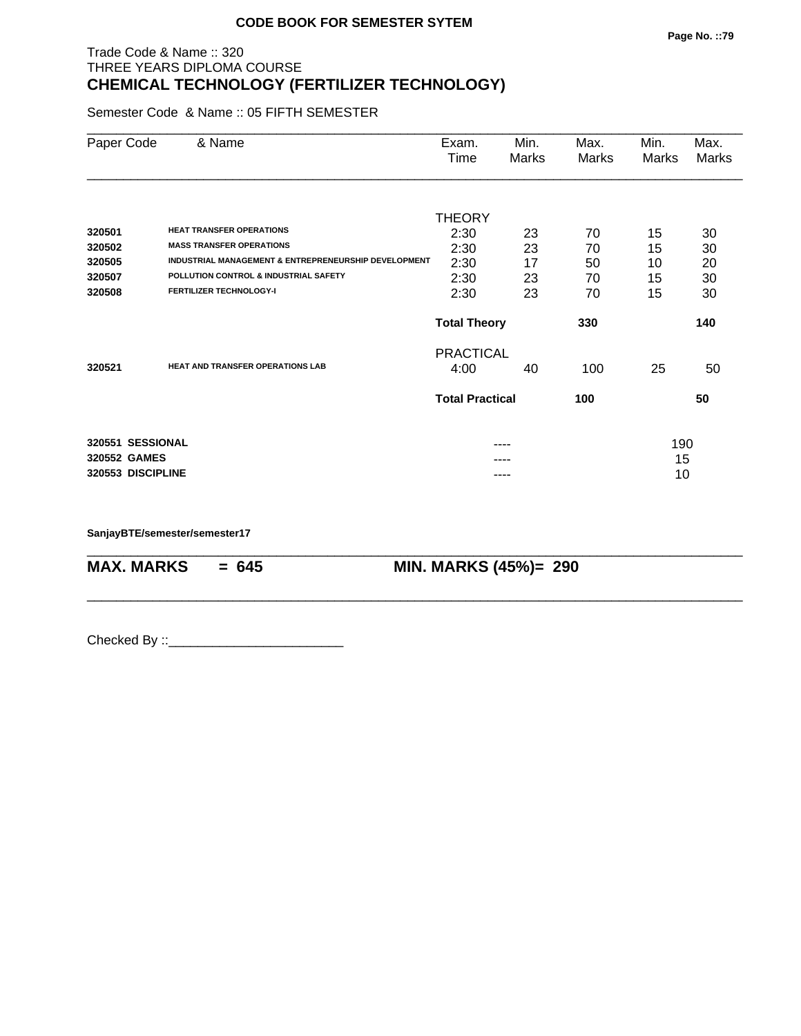# Trade Code & Name :: 320 THREE YEARS DIPLOMA COURSE **CHEMICAL TECHNOLOGY (FERTILIZER TECHNOLOGY)**

Semester Code & Name :: 05 FIFTH SEMESTER

| Paper Code        | & Name                                                          | Exam.<br>Time          | Min.<br>Marks | Max.<br>Marks | Min.<br>Marks | Max.<br>Marks |
|-------------------|-----------------------------------------------------------------|------------------------|---------------|---------------|---------------|---------------|
|                   |                                                                 |                        |               |               |               |               |
| 320501            | <b>HEAT TRANSFER OPERATIONS</b>                                 | THEORY                 |               |               |               |               |
| 320502            | <b>MASS TRANSFER OPERATIONS</b>                                 | 2:30                   | 23            | 70            | 15            | 30            |
| 320505            | <b>INDUSTRIAL MANAGEMENT &amp; ENTREPRENEURSHIP DEVELOPMENT</b> | 2:30                   | 23<br>17      | 70            | 15            | 30            |
| 320507            | POLLUTION CONTROL & INDUSTRIAL SAFETY                           | 2:30                   | 23            | 50<br>70      | 10<br>15      | 20            |
| 320508            | <b>FERTILIZER TECHNOLOGY-I</b>                                  | 2:30<br>2:30           | 23            | 70            | 15            | 30<br>30      |
|                   |                                                                 | <b>Total Theory</b>    |               | 330           |               | 140           |
| 320521            | <b>HEAT AND TRANSFER OPERATIONS LAB</b>                         | <b>PRACTICAL</b>       |               |               |               |               |
|                   |                                                                 | 4:00                   | 40            | 100           | 25            | 50            |
|                   |                                                                 | <b>Total Practical</b> |               | 100           |               | 50            |
| 320551 SESSIONAL  |                                                                 |                        |               |               |               |               |
| 320552 GAMES      |                                                                 |                        |               |               | 190<br>15     |               |
| 320553 DISCIPLINE |                                                                 |                        | ----          |               | 10            |               |

\_\_\_\_\_\_\_\_\_\_\_\_\_\_\_\_\_\_\_\_\_\_\_\_\_\_\_\_\_\_\_\_\_\_\_\_\_\_\_\_\_\_\_\_\_\_\_\_\_\_\_\_\_\_\_\_\_\_\_\_\_\_\_\_\_\_\_\_\_\_\_\_\_\_\_\_\_\_\_\_\_\_\_\_\_\_\_\_\_\_

\_\_\_\_\_\_\_\_\_\_\_\_\_\_\_\_\_\_\_\_\_\_\_\_\_\_\_\_\_\_\_\_\_\_\_\_\_\_\_\_\_\_\_\_\_\_\_\_\_\_\_\_\_\_\_\_\_\_\_\_\_\_\_\_\_\_\_\_\_\_\_\_\_\_\_\_\_\_\_\_\_\_\_\_\_\_\_\_\_\_

**SanjayBTE/semester/semester17**

**MAX. MARKS = 645 MIN. MARKS (45%)= 290**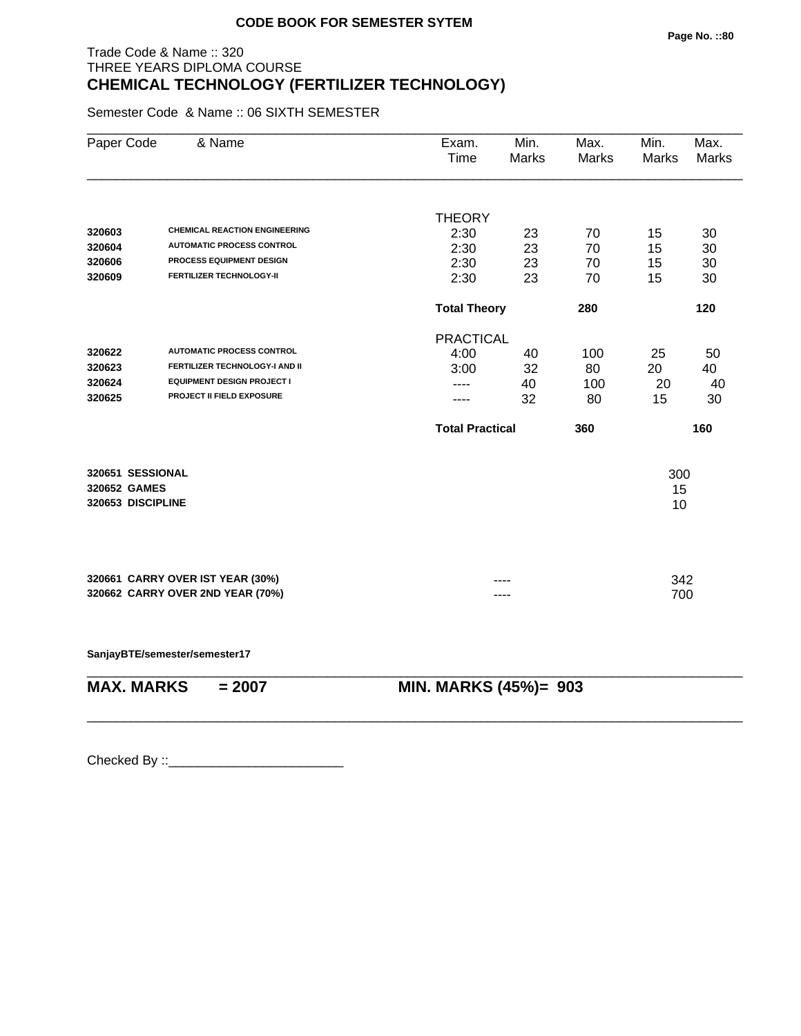# Trade Code & Name :: 320 THREE YEARS DIPLOMA COURSE **CHEMICAL TECHNOLOGY (FERTILIZER TECHNOLOGY)**

Semester Code & Name :: 06 SIXTH SEMESTER

| Paper Code<br>& Name                 | Exam.<br>Time | Min.<br><b>Marks</b>                  | Max.<br><b>Marks</b>                                                                | Min.<br>Marks  | Max.<br><b>Marks</b>                            |
|--------------------------------------|---------------|---------------------------------------|-------------------------------------------------------------------------------------|----------------|-------------------------------------------------|
|                                      |               |                                       |                                                                                     |                |                                                 |
| <b>CHEMICAL REACTION ENGINEERING</b> |               |                                       |                                                                                     |                | 30                                              |
| <b>AUTOMATIC PROCESS CONTROL</b>     |               |                                       |                                                                                     |                | 30                                              |
| PROCESS EQUIPMENT DESIGN             |               |                                       |                                                                                     |                | 30                                              |
| <b>FERTILIZER TECHNOLOGY-II</b>      | 2:30          | 23                                    | 70                                                                                  | 15             | 30                                              |
|                                      |               |                                       | 280                                                                                 |                | 120                                             |
|                                      |               |                                       |                                                                                     |                |                                                 |
| <b>AUTOMATIC PROCESS CONTROL</b>     | 4:00          | 40                                    | 100                                                                                 | 25             | 50                                              |
| FERTILIZER TECHNOLOGY-I AND II       | 3:00          | 32                                    | 80                                                                                  | 20             | 40                                              |
| <b>EQUIPMENT DESIGN PROJECT I</b>    | ----          | 40                                    | 100                                                                                 | 20             | 40                                              |
| PROJECT II FIELD EXPOSURE            |               | 32                                    | 80                                                                                  | 15             | 30                                              |
|                                      |               |                                       | 360                                                                                 |                | 160                                             |
| 320651 SESSIONAL                     |               |                                       |                                                                                     |                |                                                 |
| 320652 GAMES                         |               |                                       |                                                                                     |                |                                                 |
| 320653 DISCIPLINE                    |               |                                       |                                                                                     |                |                                                 |
|                                      |               |                                       |                                                                                     |                |                                                 |
| 320661 CARRY OVER IST YEAR (30%)     |               |                                       |                                                                                     |                |                                                 |
| 320662 CARRY OVER 2ND YEAR (70%)     |               | ----                                  |                                                                                     |                |                                                 |
|                                      |               | <b>THEORY</b><br>2:30<br>2:30<br>2:30 | 23<br>23<br>23<br><b>Total Theory</b><br><b>PRACTICAL</b><br><b>Total Practical</b> | 70<br>70<br>70 | 15<br>15<br>15<br>300<br>15<br>10<br>342<br>700 |

**SanjayBTE/semester/semester17**

\_\_\_\_\_\_\_\_\_\_\_\_\_\_\_\_\_\_\_\_\_\_\_\_\_\_\_\_\_\_\_\_\_\_\_\_\_\_\_\_\_\_\_\_\_\_\_\_\_\_\_\_\_\_\_\_\_\_\_\_\_\_\_\_\_\_\_\_\_\_\_\_\_\_\_\_\_\_\_\_\_\_\_\_\_\_\_\_\_\_ **MAX. MARKS = 2007 MIN. MARKS (45%)= 903**

\_\_\_\_\_\_\_\_\_\_\_\_\_\_\_\_\_\_\_\_\_\_\_\_\_\_\_\_\_\_\_\_\_\_\_\_\_\_\_\_\_\_\_\_\_\_\_\_\_\_\_\_\_\_\_\_\_\_\_\_\_\_\_\_\_\_\_\_\_\_\_\_\_\_\_\_\_\_\_\_\_\_\_\_\_\_\_\_\_\_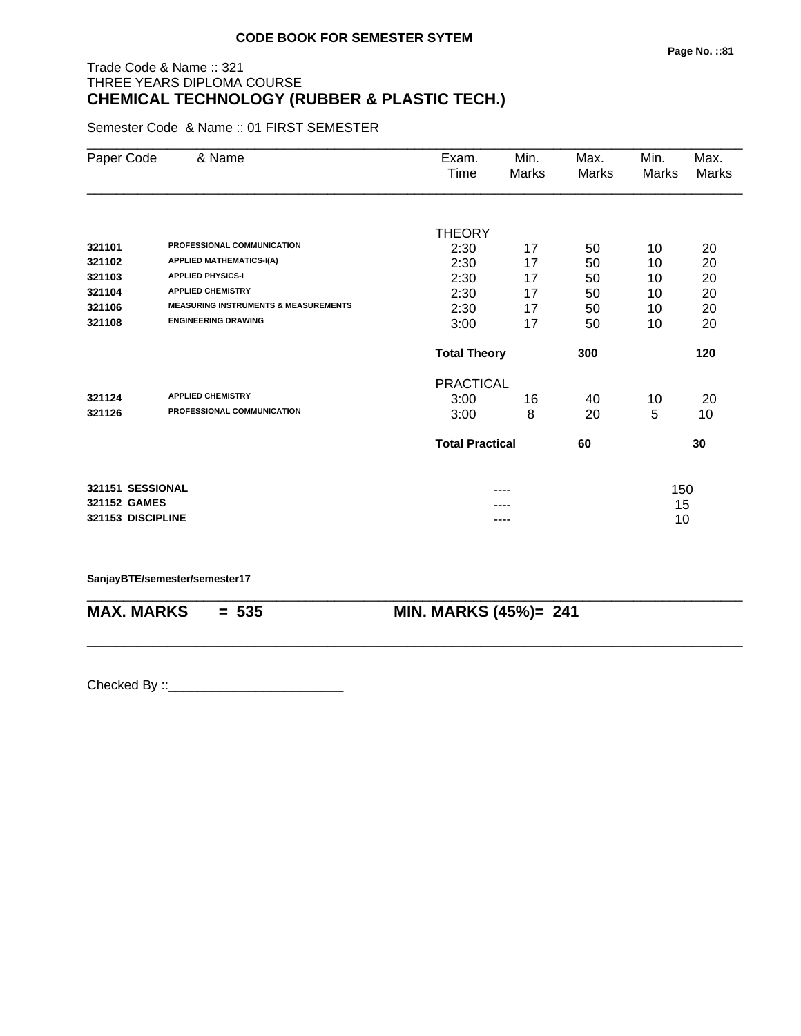# Trade Code & Name :: 321 THREE YEARS DIPLOMA COURSE **CHEMICAL TECHNOLOGY (RUBBER & PLASTIC TECH.)**

Semester Code & Name :: 01 FIRST SEMESTER

| Paper Code        | & Name                                          | Exam.<br>Time          | Min.<br>Marks | Max.<br>Marks | Min.<br>Marks | Max.<br>Marks |
|-------------------|-------------------------------------------------|------------------------|---------------|---------------|---------------|---------------|
|                   |                                                 |                        |               |               |               |               |
|                   |                                                 | <b>THEORY</b>          |               |               |               |               |
| 321101            | PROFESSIONAL COMMUNICATION                      | 2:30                   | 17            | 50            | 10            | 20            |
| 321102            | <b>APPLIED MATHEMATICS-I(A)</b>                 | 2:30                   | 17            | 50            | 10            | 20            |
| 321103            | <b>APPLIED PHYSICS-I</b>                        | 2:30                   | 17            | 50            | 10            | 20            |
| 321104            | <b>APPLIED CHEMISTRY</b>                        | 2:30                   | 17            | 50            | 10            | 20            |
| 321106            | <b>MEASURING INSTRUMENTS &amp; MEASUREMENTS</b> | 2:30                   | 17            | 50            | 10            | 20            |
| 321108            | <b>ENGINEERING DRAWING</b>                      | 3:00                   | 17            | 50            | 10            | 20            |
|                   |                                                 | <b>Total Theory</b>    |               | 300           | 120           |               |
|                   |                                                 | <b>PRACTICAL</b>       |               |               |               |               |
| 321124            | <b>APPLIED CHEMISTRY</b>                        | 3:00                   | 16            | 40            | 10            | 20            |
| 321126            | PROFESSIONAL COMMUNICATION                      | 3:00                   | 8             | 20            | 5             | 10            |
|                   |                                                 | <b>Total Practical</b> |               | 60            |               | 30            |
| 321151 SESSIONAL  |                                                 |                        |               |               | 150           |               |
| 321152 GAMES      |                                                 |                        |               |               | 15            |               |
| 321153 DISCIPLINE |                                                 |                        | ----          |               | 10            |               |

\_\_\_\_\_\_\_\_\_\_\_\_\_\_\_\_\_\_\_\_\_\_\_\_\_\_\_\_\_\_\_\_\_\_\_\_\_\_\_\_\_\_\_\_\_\_\_\_\_\_\_\_\_\_\_\_\_\_\_\_\_\_\_\_\_\_\_\_\_\_\_\_\_\_\_\_\_\_\_\_\_\_\_\_\_\_\_\_\_\_

\_\_\_\_\_\_\_\_\_\_\_\_\_\_\_\_\_\_\_\_\_\_\_\_\_\_\_\_\_\_\_\_\_\_\_\_\_\_\_\_\_\_\_\_\_\_\_\_\_\_\_\_\_\_\_\_\_\_\_\_\_\_\_\_\_\_\_\_\_\_\_\_\_\_\_\_\_\_\_\_\_\_\_\_\_\_\_\_\_\_

#### **SanjayBTE/semester/semester17**

**MAX. MARKS = 535 MIN. MARKS (45%)= 241**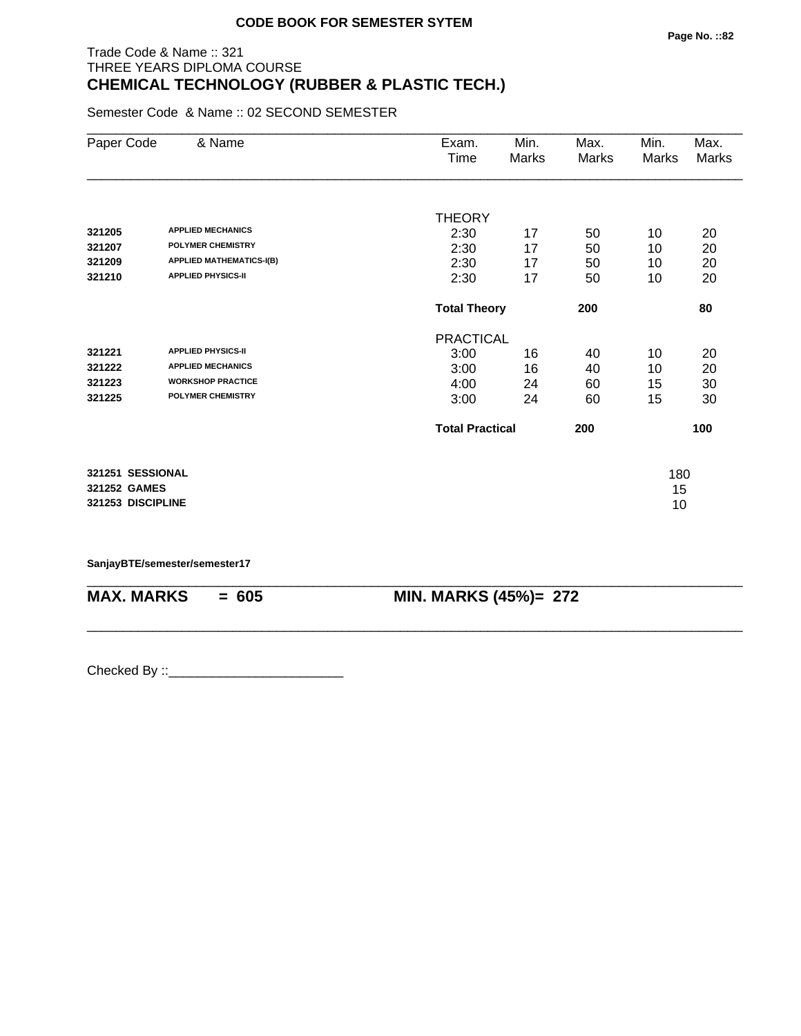# Trade Code & Name :: 321 THREE YEARS DIPLOMA COURSE **CHEMICAL TECHNOLOGY (RUBBER & PLASTIC TECH.)**

Semester Code & Name :: 02 SECOND SEMESTER

| Paper Code        | & Name                          | Exam.                  | Min.                | Max.  | Min.  | Max.  |
|-------------------|---------------------------------|------------------------|---------------------|-------|-------|-------|
|                   |                                 | Time                   | Marks               | Marks | Marks | Marks |
|                   |                                 |                        |                     |       |       |       |
|                   |                                 | <b>THEORY</b>          |                     |       |       |       |
| 321205            | <b>APPLIED MECHANICS</b>        | 2:30                   | 17                  | 50    | 10    | 20    |
| 321207            | <b>POLYMER CHEMISTRY</b>        | 2:30                   | 17                  | 50    | 10    | 20    |
| 321209            | <b>APPLIED MATHEMATICS-I(B)</b> | 2:30                   | 17                  | 50    | 10    | 20    |
| 321210            | <b>APPLIED PHYSICS-II</b>       | 2:30                   | 17                  | 50    | 10    | 20    |
|                   |                                 |                        | <b>Total Theory</b> |       |       | 80    |
|                   |                                 | <b>PRACTICAL</b>       |                     |       |       |       |
| 321221            | <b>APPLIED PHYSICS-II</b>       | 3:00                   | 16                  | 40    | 10    | 20    |
| 321222            | <b>APPLIED MECHANICS</b>        | 3:00                   | 16                  | 40    | 10    | 20    |
| 321223            | <b>WORKSHOP PRACTICE</b>        | 4:00                   | 24                  | 60    | 15    | 30    |
| 321225            | <b>POLYMER CHEMISTRY</b>        | 3:00                   | 24                  | 60    | 15    | 30    |
|                   |                                 | <b>Total Practical</b> |                     | 200   |       | 100   |
| 321251 SESSIONAL  |                                 |                        |                     |       | 180   |       |
| 321252 GAMES      |                                 |                        |                     |       | 15    |       |
| 321253 DISCIPLINE |                                 |                        |                     |       | 10    |       |
|                   |                                 |                        |                     |       |       |       |

\_\_\_\_\_\_\_\_\_\_\_\_\_\_\_\_\_\_\_\_\_\_\_\_\_\_\_\_\_\_\_\_\_\_\_\_\_\_\_\_\_\_\_\_\_\_\_\_\_\_\_\_\_\_\_\_\_\_\_\_\_\_\_\_\_\_\_\_\_\_\_\_\_\_\_\_\_\_\_\_\_\_\_\_\_\_\_\_\_\_

\_\_\_\_\_\_\_\_\_\_\_\_\_\_\_\_\_\_\_\_\_\_\_\_\_\_\_\_\_\_\_\_\_\_\_\_\_\_\_\_\_\_\_\_\_\_\_\_\_\_\_\_\_\_\_\_\_\_\_\_\_\_\_\_\_\_\_\_\_\_\_\_\_\_\_\_\_\_\_\_\_\_\_\_\_\_\_\_\_\_

**SanjayBTE/semester/semester17**

**MAX. MARKS = 605 MIN. MARKS (45%)= 272**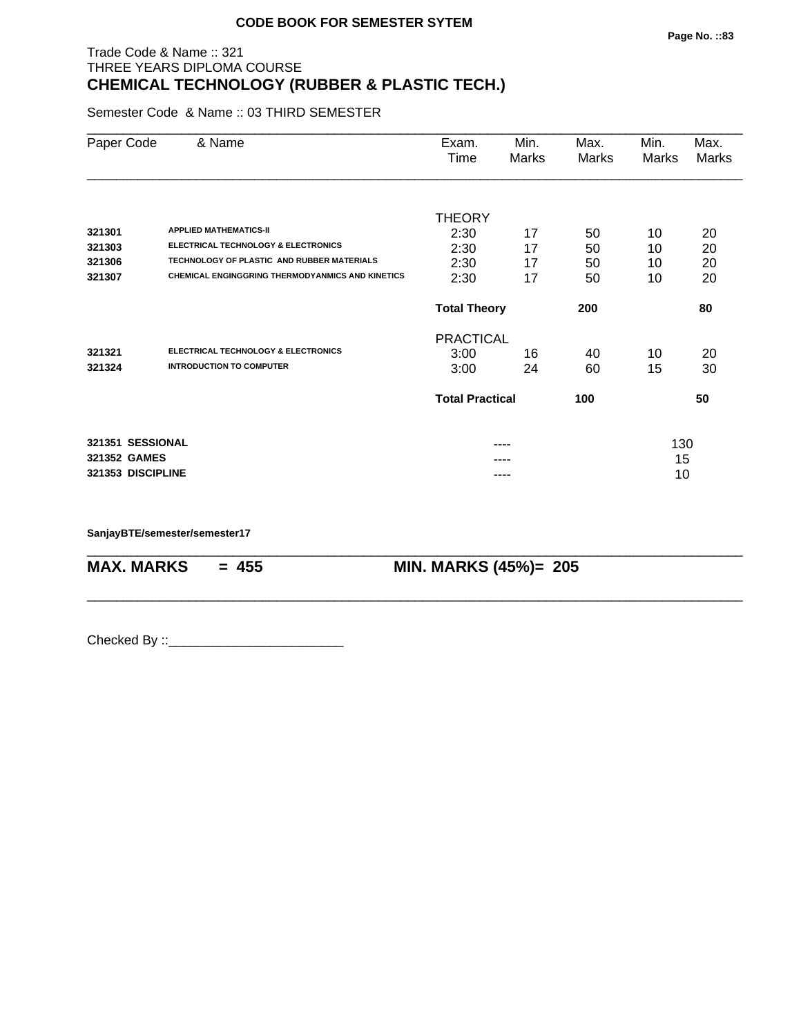# Trade Code & Name :: 321 THREE YEARS DIPLOMA COURSE **CHEMICAL TECHNOLOGY (RUBBER & PLASTIC TECH.)**

Semester Code & Name :: 03 THIRD SEMESTER

| Paper Code        | & Name                                                  | Exam.<br>Time              | Min.<br>Marks | Max.<br>Marks | Min.<br>Marks | Max.<br>Marks |
|-------------------|---------------------------------------------------------|----------------------------|---------------|---------------|---------------|---------------|
|                   |                                                         |                            |               |               |               |               |
| 321301            | <b>APPLIED MATHEMATICS-II</b>                           | <b>THEORY</b>              |               |               |               |               |
| 321303            | <b>ELECTRICAL TECHNOLOGY &amp; ELECTRONICS</b>          | 2:30                       | 17            | 50            | 10            | 20            |
| 321306            | TECHNOLOGY OF PLASTIC AND RUBBER MATERIALS              | 2:30                       | 17<br>17      | 50            | 10            | 20            |
| 321307            | <b>CHEMICAL ENGINGGRING THERMODYANMICS AND KINETICS</b> | 2:30<br>2:30               | 17            | 50<br>50      | 10<br>10      | 20<br>20      |
|                   |                                                         |                            |               |               |               |               |
|                   |                                                         | <b>Total Theory</b><br>200 |               |               |               | 80            |
|                   |                                                         | <b>PRACTICAL</b>           |               |               |               |               |
| 321321            | ELECTRICAL TECHNOLOGY & ELECTRONICS                     | 3:00                       | 16            | 40            | 10            | 20            |
| 321324            | <b>INTRODUCTION TO COMPUTER</b>                         | 3:00                       | 24            | 60            | 15            | 30            |
|                   |                                                         | <b>Total Practical</b>     |               | 100           |               | 50            |
| 321351 SESSIONAL  |                                                         |                            |               |               |               |               |
| 321352 GAMES      |                                                         |                            | ----          |               | 130<br>15     |               |
| 321353 DISCIPLINE |                                                         |                            | ----          |               | 10            |               |

\_\_\_\_\_\_\_\_\_\_\_\_\_\_\_\_\_\_\_\_\_\_\_\_\_\_\_\_\_\_\_\_\_\_\_\_\_\_\_\_\_\_\_\_\_\_\_\_\_\_\_\_\_\_\_\_\_\_\_\_\_\_\_\_\_\_\_\_\_\_\_\_\_\_\_\_\_\_\_\_\_\_\_\_\_\_\_\_\_\_

\_\_\_\_\_\_\_\_\_\_\_\_\_\_\_\_\_\_\_\_\_\_\_\_\_\_\_\_\_\_\_\_\_\_\_\_\_\_\_\_\_\_\_\_\_\_\_\_\_\_\_\_\_\_\_\_\_\_\_\_\_\_\_\_\_\_\_\_\_\_\_\_\_\_\_\_\_\_\_\_\_\_\_\_\_\_\_\_\_\_

**SanjayBTE/semester/semester17**

**MAX. MARKS = 455 MIN. MARKS (45%)= 205**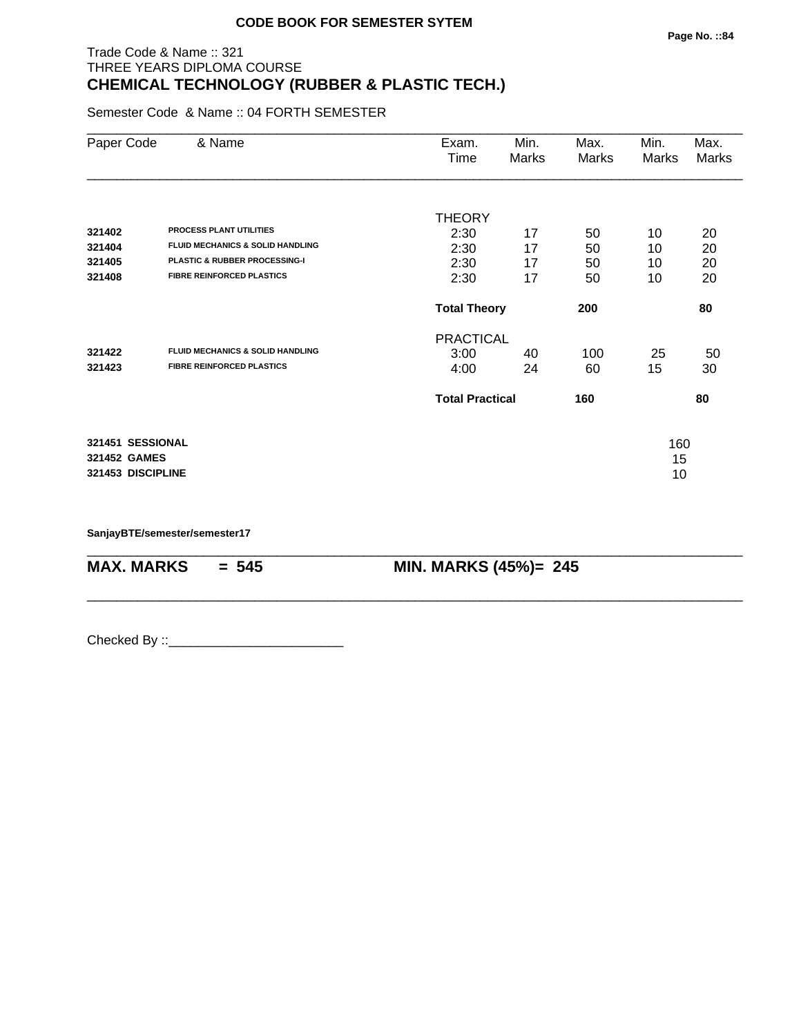# Trade Code & Name :: 321 THREE YEARS DIPLOMA COURSE **CHEMICAL TECHNOLOGY (RUBBER & PLASTIC TECH.)**

Semester Code & Name :: 04 FORTH SEMESTER

| Paper Code        | & Name                                      | Exam.<br>Time          | Min.<br>Marks | Max.<br>Marks | Min.<br>Marks | Max.<br>Marks |
|-------------------|---------------------------------------------|------------------------|---------------|---------------|---------------|---------------|
|                   |                                             | <b>THEORY</b>          |               |               |               |               |
| 321402            | <b>PROCESS PLANT UTILITIES</b>              | 2:30                   | 17            | 50            | 10            | 20            |
| 321404            | <b>FLUID MECHANICS &amp; SOLID HANDLING</b> | 2:30                   | 17            | 50            | 10            | 20            |
| 321405            | PLASTIC & RUBBER PROCESSING-I               | 2:30                   | 17            | 50            | 10            | 20            |
| 321408            | <b>FIBRE REINFORCED PLASTICS</b>            | 2:30                   | 17            | 50            | 10            | 20            |
|                   |                                             | <b>Total Theory</b>    |               | 200           |               | 80            |
|                   |                                             | <b>PRACTICAL</b>       |               |               |               |               |
| 321422            | <b>FLUID MECHANICS &amp; SOLID HANDLING</b> | 3:00                   | 40            | 100           | 25            | 50            |
| 321423            | <b>FIBRE REINFORCED PLASTICS</b>            | 4:00                   | 24            | 60            | 15            | 30            |
|                   |                                             | <b>Total Practical</b> |               | 160           |               | 80            |
| 321451 SESSIONAL  |                                             |                        |               |               | 160           |               |
| 321452 GAMES      |                                             |                        |               |               | 15            |               |
| 321453 DISCIPLINE |                                             |                        |               |               | 10            |               |

\_\_\_\_\_\_\_\_\_\_\_\_\_\_\_\_\_\_\_\_\_\_\_\_\_\_\_\_\_\_\_\_\_\_\_\_\_\_\_\_\_\_\_\_\_\_\_\_\_\_\_\_\_\_\_\_\_\_\_\_\_\_\_\_\_\_\_\_\_\_\_\_\_\_\_\_\_\_\_\_\_\_\_\_\_\_\_\_\_\_

\_\_\_\_\_\_\_\_\_\_\_\_\_\_\_\_\_\_\_\_\_\_\_\_\_\_\_\_\_\_\_\_\_\_\_\_\_\_\_\_\_\_\_\_\_\_\_\_\_\_\_\_\_\_\_\_\_\_\_\_\_\_\_\_\_\_\_\_\_\_\_\_\_\_\_\_\_\_\_\_\_\_\_\_\_\_\_\_\_\_

**SanjayBTE/semester/semester17**

**MAX. MARKS = 545 MIN. MARKS (45%)= 245**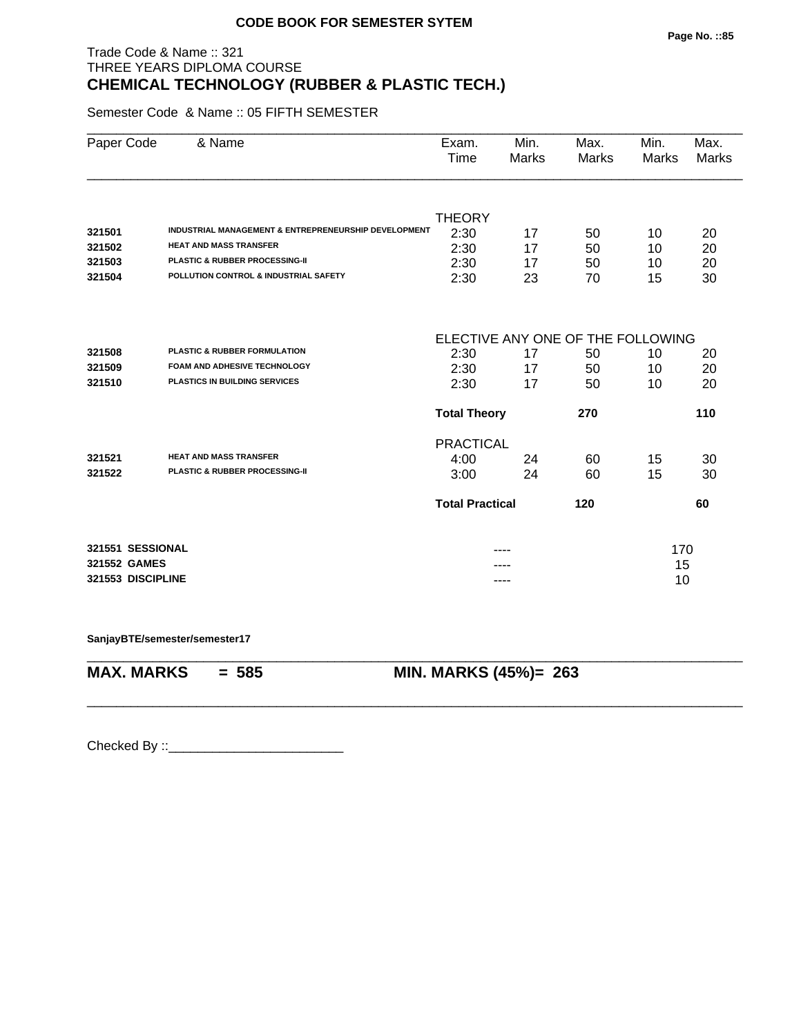# Trade Code & Name :: 321 THREE YEARS DIPLOMA COURSE **CHEMICAL TECHNOLOGY (RUBBER & PLASTIC TECH.)**

Semester Code & Name :: 05 FIFTH SEMESTER

| Paper Code        | & Name                                               | Exam.<br>Time          | Min.<br>Marks | Max.<br><b>Marks</b>              | Min.<br><b>Marks</b> | Max.<br><b>Marks</b> |
|-------------------|------------------------------------------------------|------------------------|---------------|-----------------------------------|----------------------|----------------------|
|                   |                                                      |                        |               |                                   |                      |                      |
|                   |                                                      | <b>THEORY</b>          |               |                                   |                      |                      |
| 321501            | INDUSTRIAL MANAGEMENT & ENTREPRENEURSHIP DEVELOPMENT | 2:30                   | 17            | 50                                | 10                   | 20                   |
| 321502            | <b>HEAT AND MASS TRANSFER</b>                        | 2:30                   | 17            | 50                                | 10                   | 20                   |
| 321503            | PLASTIC & RUBBER PROCESSING-II                       | 2:30                   | 17            | 50                                | 10                   | 20                   |
| 321504            | POLLUTION CONTROL & INDUSTRIAL SAFETY                | 2:30                   | 23            | 70                                | 15                   | 30                   |
|                   |                                                      |                        |               | ELECTIVE ANY ONE OF THE FOLLOWING |                      |                      |
| 321508            | <b>PLASTIC &amp; RUBBER FORMULATION</b>              | 2:30                   | 17            | 50                                | 10                   | 20                   |
| 321509            | <b>FOAM AND ADHESIVE TECHNOLOGY</b>                  | 2:30                   | 17            | 50                                | 10                   | 20                   |
| 321510            | <b>PLASTICS IN BUILDING SERVICES</b>                 | 2:30                   | 17            | 50                                | 10                   | 20                   |
|                   |                                                      | <b>Total Theory</b>    |               | 270                               |                      | 110                  |
|                   |                                                      | <b>PRACTICAL</b>       |               |                                   |                      |                      |
| 321521            | <b>HEAT AND MASS TRANSFER</b>                        | 4:00                   | 24            | 60                                | 15                   | 30                   |
| 321522            | PLASTIC & RUBBER PROCESSING-II                       | 3:00                   | 24            | 60                                | 15                   | 30                   |
|                   |                                                      | <b>Total Practical</b> |               | 120                               |                      | 60                   |
| 321551 SESSIONAL  |                                                      |                        |               |                                   | 170                  |                      |
| 321552 GAMES      |                                                      |                        |               |                                   | 15                   |                      |
| 321553 DISCIPLINE |                                                      |                        | ----          |                                   | 10                   |                      |

\_\_\_\_\_\_\_\_\_\_\_\_\_\_\_\_\_\_\_\_\_\_\_\_\_\_\_\_\_\_\_\_\_\_\_\_\_\_\_\_\_\_\_\_\_\_\_\_\_\_\_\_\_\_\_\_\_\_\_\_\_\_\_\_\_\_\_\_\_\_\_\_\_\_\_\_\_\_\_\_\_\_\_\_\_\_\_\_\_\_

\_\_\_\_\_\_\_\_\_\_\_\_\_\_\_\_\_\_\_\_\_\_\_\_\_\_\_\_\_\_\_\_\_\_\_\_\_\_\_\_\_\_\_\_\_\_\_\_\_\_\_\_\_\_\_\_\_\_\_\_\_\_\_\_\_\_\_\_\_\_\_\_\_\_\_\_\_\_\_\_\_\_\_\_\_\_\_\_\_\_

**SanjayBTE/semester/semester17**

**MAX. MARKS = 585 MIN. MARKS (45%)= 263**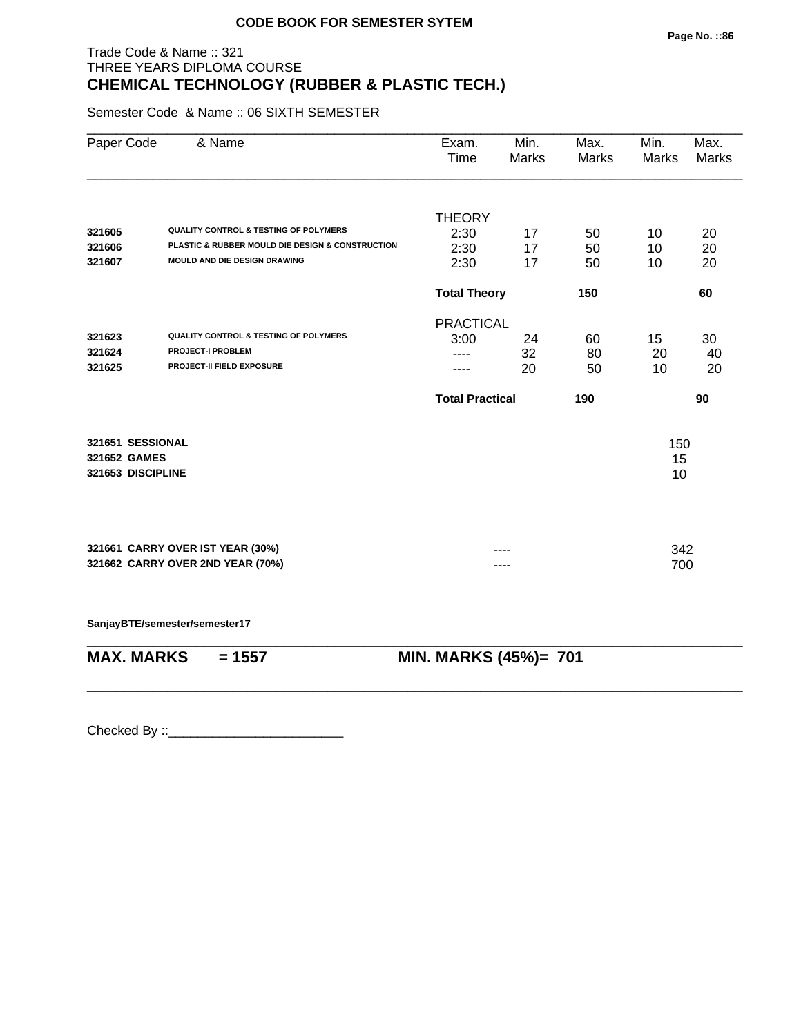# Trade Code & Name :: 321 THREE YEARS DIPLOMA COURSE **CHEMICAL TECHNOLOGY (RUBBER & PLASTIC TECH.)**

Semester Code & Name :: 06 SIXTH SEMESTER

| Paper Code        | & Name                                           | Exam.<br>Time          | Min.<br>Marks | Max.<br>Marks | Min.<br><b>Marks</b> | Max.<br>Marks |
|-------------------|--------------------------------------------------|------------------------|---------------|---------------|----------------------|---------------|
|                   |                                                  |                        |               |               |                      |               |
| 321605            | <b>QUALITY CONTROL &amp; TESTING OF POLYMERS</b> | <b>THEORY</b>          |               |               |                      |               |
| 321606            | PLASTIC & RUBBER MOULD DIE DESIGN & CONSTRUCTION | 2:30<br>2:30           | 17<br>17      | 50<br>50      | 10<br>10             | 20            |
| 321607            | MOULD AND DIE DESIGN DRAWING                     | 2:30                   | 17            | 50            | 10                   | 20<br>20      |
|                   |                                                  | <b>Total Theory</b>    |               | 150           |                      | 60            |
|                   |                                                  | <b>PRACTICAL</b>       |               |               |                      |               |
| 321623            | <b>QUALITY CONTROL &amp; TESTING OF POLYMERS</b> | 3:00                   | 24            | 60            | 15                   | 30            |
| 321624            | <b>PROJECT-I PROBLEM</b>                         |                        | 32            | 80            | 20                   | 40            |
| 321625            | PROJECT-II FIELD EXPOSURE                        |                        | 20            | 50            | 10                   | 20            |
|                   |                                                  | <b>Total Practical</b> |               | 190           |                      | 90            |
| 321651 SESSIONAL  |                                                  |                        |               |               | 150                  |               |
| 321652 GAMES      |                                                  |                        |               |               | 15                   |               |
| 321653 DISCIPLINE |                                                  |                        |               |               | 10                   |               |
|                   |                                                  |                        |               |               |                      |               |
|                   | 321661 CARRY OVER IST YEAR (30%)                 |                        |               |               | 342                  |               |
|                   | 321662 CARRY OVER 2ND YEAR (70%)                 |                        |               |               | 700                  |               |
|                   | SanjayBTE/semester/semester17                    |                        |               |               |                      |               |
|                   |                                                  |                        |               |               |                      |               |

**MAX. MARKS = 1557 MIN. MARKS (45%)= 701**

\_\_\_\_\_\_\_\_\_\_\_\_\_\_\_\_\_\_\_\_\_\_\_\_\_\_\_\_\_\_\_\_\_\_\_\_\_\_\_\_\_\_\_\_\_\_\_\_\_\_\_\_\_\_\_\_\_\_\_\_\_\_\_\_\_\_\_\_\_\_\_\_\_\_\_\_\_\_\_\_\_\_\_\_\_\_\_\_\_\_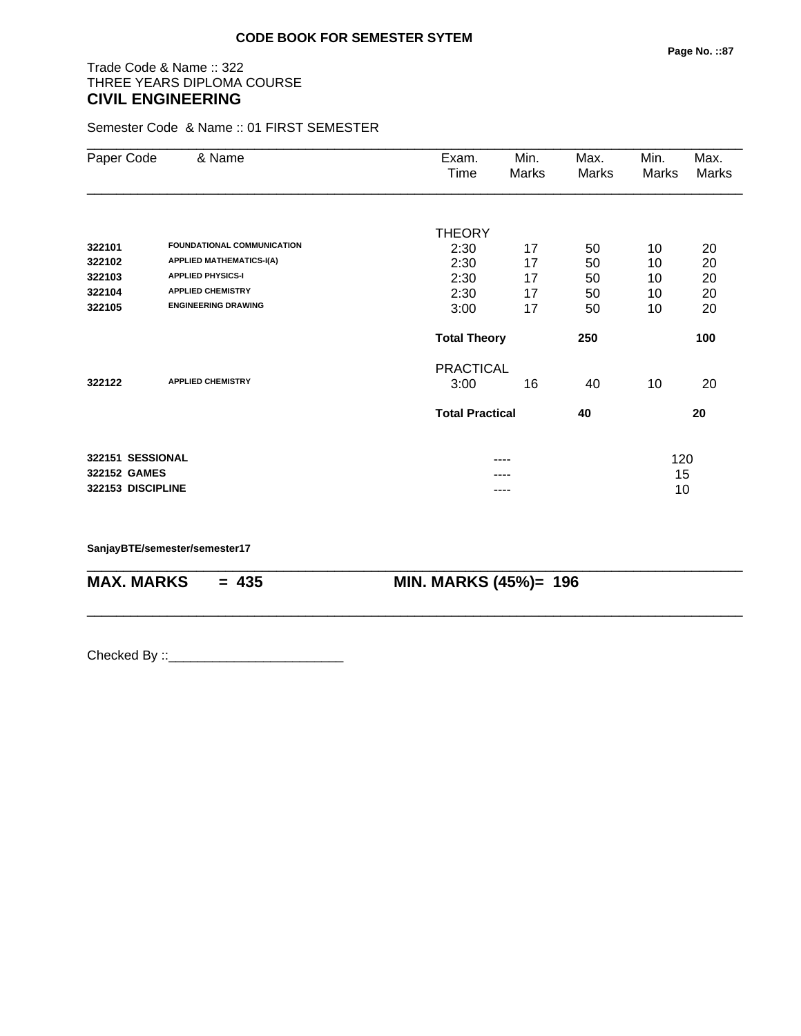# Trade Code & Name :: 322 THREE YEARS DIPLOMA COURSE **CIVIL ENGINEERING**

Semester Code & Name :: 01 FIRST SEMESTER

| Paper Code        | & Name                            | Exam.                  | Min.  | Max.  | Min.  | Max.  |
|-------------------|-----------------------------------|------------------------|-------|-------|-------|-------|
|                   |                                   | Time                   | Marks | Marks | Marks | Marks |
|                   |                                   |                        |       |       |       |       |
|                   |                                   | <b>THEORY</b>          |       |       |       |       |
| 322101            | <b>FOUNDATIONAL COMMUNICATION</b> | 2:30                   | 17    | 50    | 10    | 20    |
| 322102            | <b>APPLIED MATHEMATICS-I(A)</b>   | 2:30                   | 17    | 50    | 10    | 20    |
| 322103            | <b>APPLIED PHYSICS-I</b>          | 2:30                   | 17    | 50    | 10    | 20    |
| 322104            | <b>APPLIED CHEMISTRY</b>          | 2:30                   | 17    | 50    | 10    | 20    |
| 322105            | <b>ENGINEERING DRAWING</b>        | 3:00                   | 17    | 50    | 10    | 20    |
|                   |                                   | <b>Total Theory</b>    |       | 250   |       | 100   |
|                   |                                   | <b>PRACTICAL</b>       |       |       |       |       |
| 322122            | <b>APPLIED CHEMISTRY</b>          | 3:00                   | 16    | 40    | 10    | 20    |
|                   |                                   | <b>Total Practical</b> |       | 40    |       | 20    |
| 322151 SESSIONAL  |                                   |                        | ----  |       | 120   |       |
| 322152 GAMES      |                                   |                        |       |       | 15    |       |
| 322153 DISCIPLINE |                                   |                        | ----  |       | 10    |       |
|                   |                                   |                        |       |       |       |       |

\_\_\_\_\_\_\_\_\_\_\_\_\_\_\_\_\_\_\_\_\_\_\_\_\_\_\_\_\_\_\_\_\_\_\_\_\_\_\_\_\_\_\_\_\_\_\_\_\_\_\_\_\_\_\_\_\_\_\_\_\_\_\_\_\_\_\_\_\_\_\_\_\_\_\_\_\_\_\_\_\_\_\_\_\_\_\_\_\_\_

\_\_\_\_\_\_\_\_\_\_\_\_\_\_\_\_\_\_\_\_\_\_\_\_\_\_\_\_\_\_\_\_\_\_\_\_\_\_\_\_\_\_\_\_\_\_\_\_\_\_\_\_\_\_\_\_\_\_\_\_\_\_\_\_\_\_\_\_\_\_\_\_\_\_\_\_\_\_\_\_\_\_\_\_\_\_\_\_\_\_

**SanjayBTE/semester/semester17**

**MAX. MARKS = 435 MIN. MARKS (45%)= 196**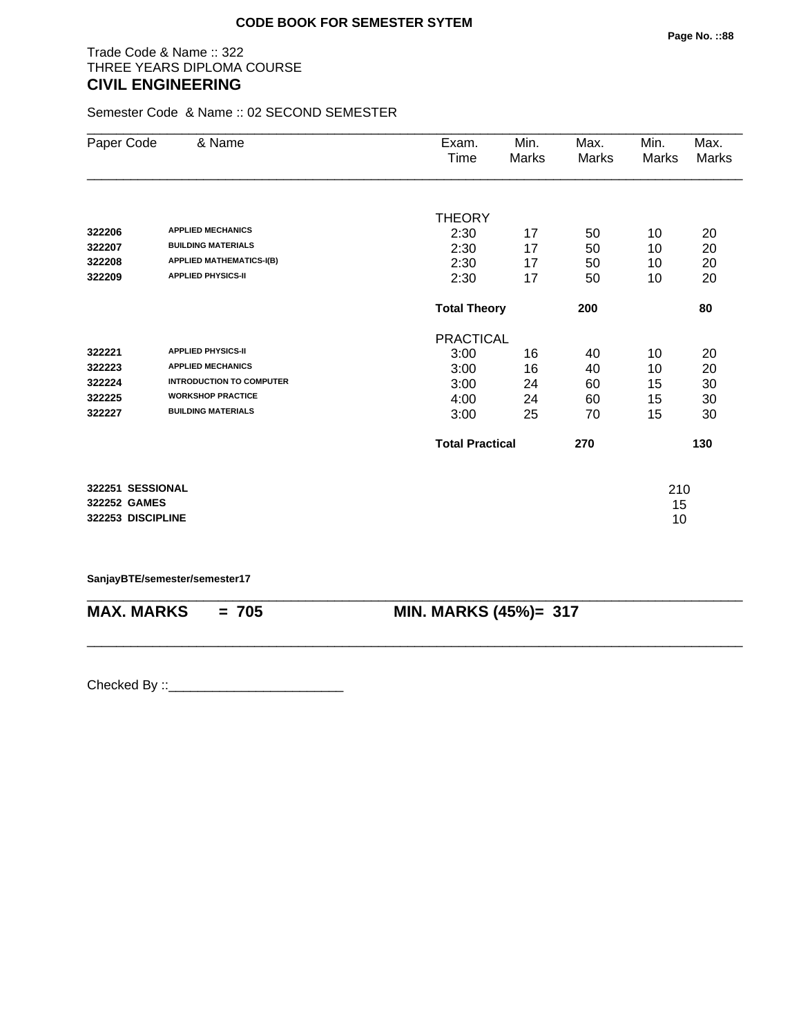## Trade Code & Name :: 322 THREE YEARS DIPLOMA COURSE **CIVIL ENGINEERING**

Semester Code & Name :: 02 SECOND SEMESTER

| Paper Code        | & Name                          | Exam.                  | Min.  | Max.  | Min.  | Max.  |
|-------------------|---------------------------------|------------------------|-------|-------|-------|-------|
|                   |                                 | Time                   | Marks | Marks | Marks | Marks |
|                   |                                 |                        |       |       |       |       |
|                   |                                 | <b>THEORY</b>          |       |       |       |       |
| 322206            | <b>APPLIED MECHANICS</b>        | 2:30                   | 17    | 50    | 10    | 20    |
| 322207            | <b>BUILDING MATERIALS</b>       | 2:30                   | 17    | 50    | 10    | 20    |
| 322208            | <b>APPLIED MATHEMATICS-I(B)</b> | 2:30                   | 17    | 50    | 10    | 20    |
| 322209            | <b>APPLIED PHYSICS-II</b>       | 2:30                   | 17    | 50    | 10    | 20    |
|                   |                                 | <b>Total Theory</b>    |       | 200   |       | 80    |
|                   |                                 | <b>PRACTICAL</b>       |       |       |       |       |
| 322221            | <b>APPLIED PHYSICS-II</b>       | 3:00                   | 16    | 40    | 10    | 20    |
| 322223            | <b>APPLIED MECHANICS</b>        | 3:00                   | 16    | 40    | 10    | 20    |
| 322224            | <b>INTRODUCTION TO COMPUTER</b> | 3:00                   | 24    | 60    | 15    | 30    |
| 322225            | <b>WORKSHOP PRACTICE</b>        | 4:00                   | 24    | 60    | 15    | 30    |
| 322227            | <b>BUILDING MATERIALS</b>       | 3:00                   | 25    | 70    | 15    | 30    |
|                   |                                 | <b>Total Practical</b> |       | 270   |       | 130   |
| 322251 SESSIONAL  |                                 |                        |       |       | 210   |       |
| 322252 GAMES      |                                 |                        |       |       | 15    |       |
| 322253 DISCIPLINE |                                 |                        |       |       | 10    |       |

**SanjayBTE/semester/semester17**

| $MAX. \, MARKS = 705$ | <b>MIN. MARKS (45%)= 317</b> |
|-----------------------|------------------------------|

\_\_\_\_\_\_\_\_\_\_\_\_\_\_\_\_\_\_\_\_\_\_\_\_\_\_\_\_\_\_\_\_\_\_\_\_\_\_\_\_\_\_\_\_\_\_\_\_\_\_\_\_\_\_\_\_\_\_\_\_\_\_\_\_\_\_\_\_\_\_\_\_\_\_\_\_\_\_\_\_\_\_\_\_\_\_\_\_\_\_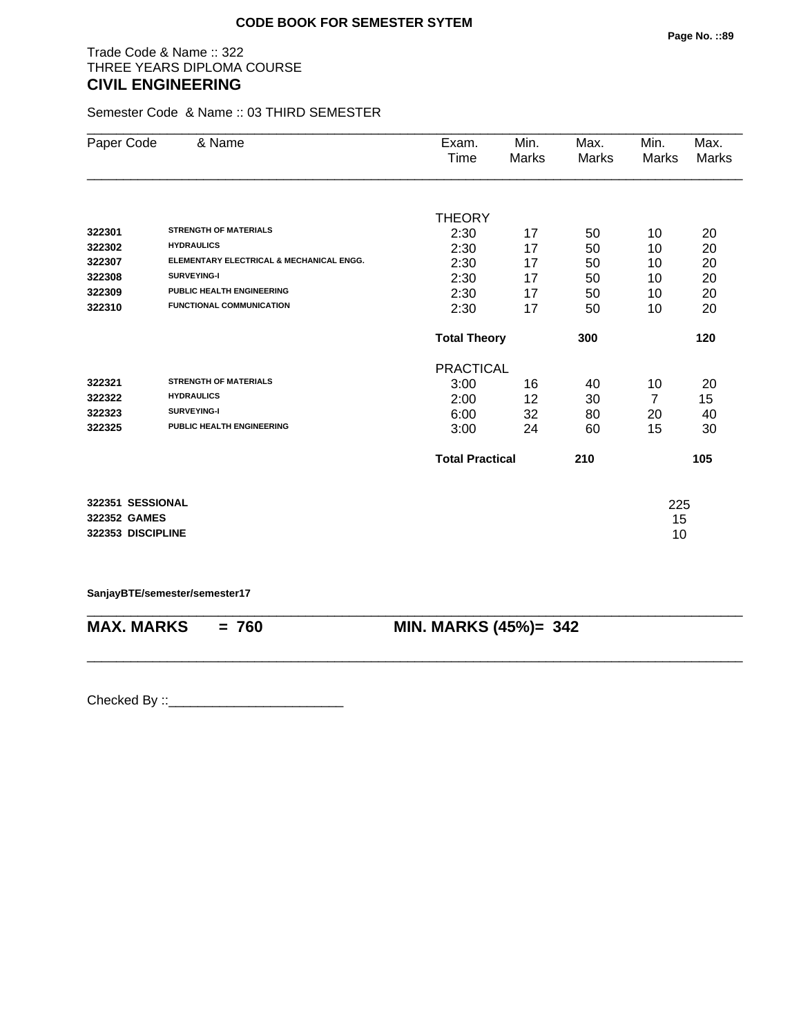## Trade Code & Name :: 322 THREE YEARS DIPLOMA COURSE **CIVIL ENGINEERING**

Semester Code & Name :: 03 THIRD SEMESTER

| Paper Code        | & Name                                   | Exam.                  | Min.  | Max.  | Min.           | Max.  |
|-------------------|------------------------------------------|------------------------|-------|-------|----------------|-------|
|                   |                                          | Time                   | Marks | Marks | <b>Marks</b>   | Marks |
|                   |                                          |                        |       |       |                |       |
|                   |                                          | <b>THEORY</b>          |       |       |                |       |
| 322301            | <b>STRENGTH OF MATERIALS</b>             | 2:30                   | 17    | 50    | 10             | 20    |
| 322302            | <b>HYDRAULICS</b>                        | 2:30                   | 17    | 50    | 10             | 20    |
| 322307            | ELEMENTARY ELECTRICAL & MECHANICAL ENGG. | 2:30                   | 17    | 50    | 10             | 20    |
| 322308            | SURVEYING-I                              | 2:30                   | 17    | 50    | 10             | 20    |
| 322309            | PUBLIC HEALTH ENGINEERING                | 2:30                   | 17    | 50    | 10             | 20    |
| 322310            | <b>FUNCTIONAL COMMUNICATION</b>          | 2:30                   | 17    | 50    | 10             | 20    |
|                   |                                          | <b>Total Theory</b>    |       | 300   |                | 120   |
|                   |                                          | <b>PRACTICAL</b>       |       |       |                |       |
| 322321            | <b>STRENGTH OF MATERIALS</b>             | 3:00                   | 16    | 40    | 10             | 20    |
| 322322            | <b>HYDRAULICS</b>                        | 2:00                   | 12    | 30    | $\overline{7}$ | 15    |
| 322323            | <b>SURVEYING-I</b>                       | 6:00                   | 32    | 80    | 20             | 40    |
| 322325            | PUBLIC HEALTH ENGINEERING                | 3:00                   | 24    | 60    | 15             | 30    |
|                   |                                          | <b>Total Practical</b> |       | 210   |                | 105   |
| 322351 SESSIONAL  |                                          |                        |       |       |                |       |
| 322352 GAMES      |                                          |                        |       |       | 225            |       |
| 322353 DISCIPLINE |                                          |                        |       |       | 15             |       |
|                   |                                          |                        |       |       | 10             |       |

**SanjayBTE/semester/semester17**

\_\_\_\_\_\_\_\_\_\_\_\_\_\_\_\_\_\_\_\_\_\_\_\_\_\_\_\_\_\_\_\_\_\_\_\_\_\_\_\_\_\_\_\_\_\_\_\_\_\_\_\_\_\_\_\_\_\_\_\_\_\_\_\_\_\_\_\_\_\_\_\_\_\_\_\_\_\_\_\_\_\_\_\_\_\_\_\_\_\_ **MAX. MARKS = 760 MIN. MARKS (45%)= 342**

\_\_\_\_\_\_\_\_\_\_\_\_\_\_\_\_\_\_\_\_\_\_\_\_\_\_\_\_\_\_\_\_\_\_\_\_\_\_\_\_\_\_\_\_\_\_\_\_\_\_\_\_\_\_\_\_\_\_\_\_\_\_\_\_\_\_\_\_\_\_\_\_\_\_\_\_\_\_\_\_\_\_\_\_\_\_\_\_\_\_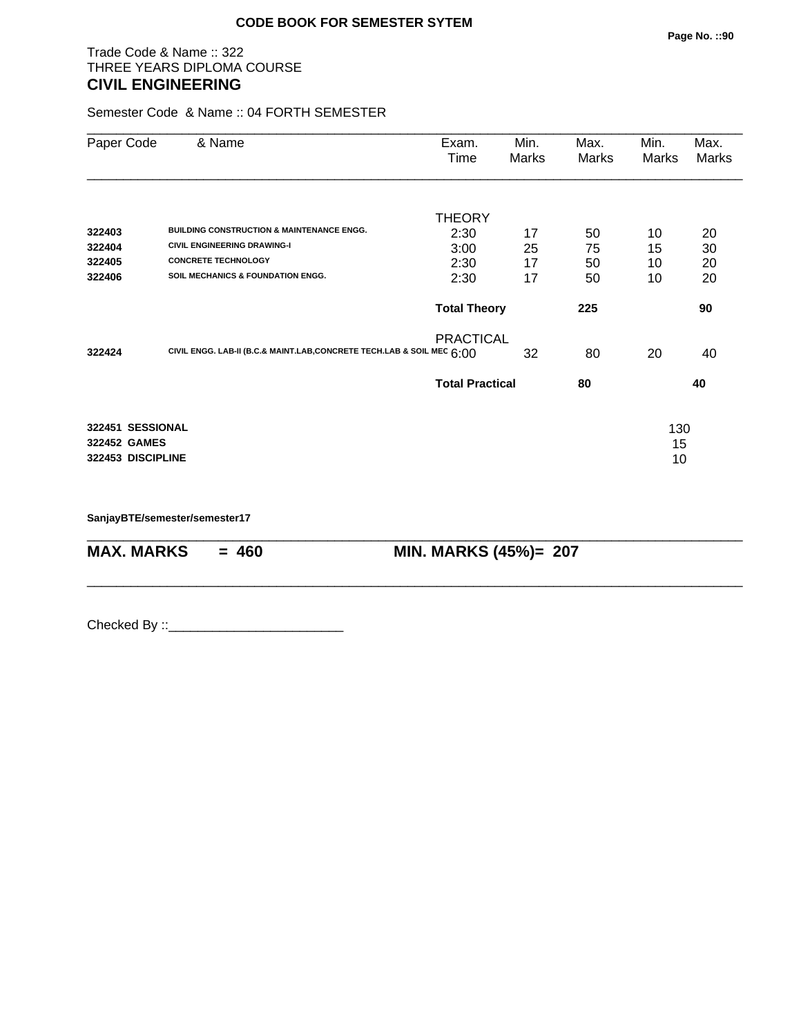## Trade Code & Name :: 322 THREE YEARS DIPLOMA COURSE **CIVIL ENGINEERING**

Semester Code & Name :: 04 FORTH SEMESTER

| Paper Code                                            | & Name                                                                 | Exam.<br>Time          | Min.<br>Marks | Max.<br>Marks | Min.<br>Marks   | Max.<br>Marks |
|-------------------------------------------------------|------------------------------------------------------------------------|------------------------|---------------|---------------|-----------------|---------------|
|                                                       |                                                                        | <b>THEORY</b>          |               |               |                 |               |
| 322403                                                | <b>BUILDING CONSTRUCTION &amp; MAINTENANCE ENGG.</b>                   | 2:30                   | 17            | 50            | 10              | 20            |
| 322404                                                | <b>CIVIL ENGINEERING DRAWING-I</b>                                     | 3:00                   | 25            | 75            | 15              | 30            |
| 322405                                                | <b>CONCRETE TECHNOLOGY</b>                                             | 2:30                   | 17            | 50            | 10              | 20            |
| 322406                                                | <b>SOIL MECHANICS &amp; FOUNDATION ENGG.</b>                           | 2:30                   | 17            | 50            | 10              | 20            |
|                                                       |                                                                        | <b>Total Theory</b>    |               | 225           |                 | 90            |
| 322424                                                | CIVIL ENGG. LAB-II (B.C.& MAINT.LAB, CONCRETE TECH.LAB & SOIL MEC 6:00 | <b>PRACTICAL</b>       | 32            | 80            | 20              | 40            |
|                                                       |                                                                        | <b>Total Practical</b> |               | 80            |                 | 40            |
| 322451 SESSIONAL<br>322452 GAMES<br>322453 DISCIPLINE |                                                                        |                        |               |               | 130<br>15<br>10 |               |

\_\_\_\_\_\_\_\_\_\_\_\_\_\_\_\_\_\_\_\_\_\_\_\_\_\_\_\_\_\_\_\_\_\_\_\_\_\_\_\_\_\_\_\_\_\_\_\_\_\_\_\_\_\_\_\_\_\_\_\_\_\_\_\_\_\_\_\_\_\_\_\_\_\_\_\_\_\_\_\_\_\_\_\_\_\_\_\_\_\_

\_\_\_\_\_\_\_\_\_\_\_\_\_\_\_\_\_\_\_\_\_\_\_\_\_\_\_\_\_\_\_\_\_\_\_\_\_\_\_\_\_\_\_\_\_\_\_\_\_\_\_\_\_\_\_\_\_\_\_\_\_\_\_\_\_\_\_\_\_\_\_\_\_\_\_\_\_\_\_\_\_\_\_\_\_\_\_\_\_\_

**SanjayBTE/semester/semester17**

**MAX. MARKS = 460 MIN. MARKS (45%)= 207**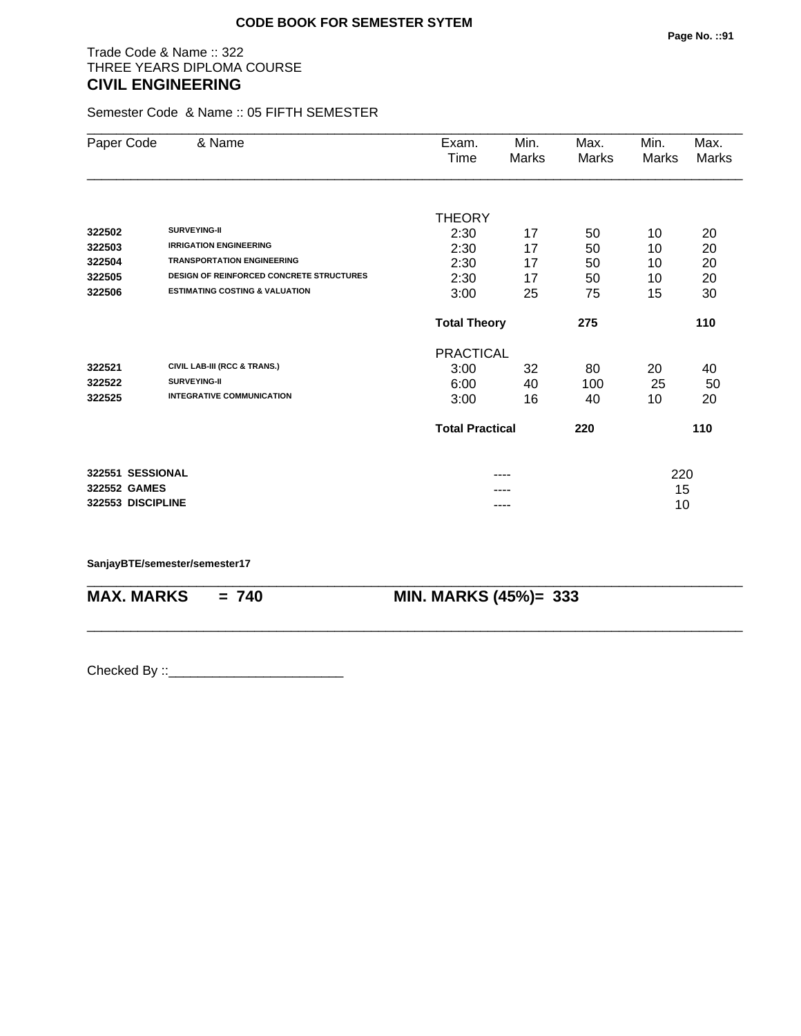## Trade Code & Name :: 322 THREE YEARS DIPLOMA COURSE **CIVIL ENGINEERING**

Semester Code & Name :: 05 FIFTH SEMESTER

| Paper Code        | & Name                                          | Exam.<br>Time          | Min.<br>Marks | Max.<br>Marks | Min.<br>Marks | Max.<br>Marks |
|-------------------|-------------------------------------------------|------------------------|---------------|---------------|---------------|---------------|
|                   |                                                 |                        |               |               |               |               |
|                   |                                                 | <b>THEORY</b>          |               |               |               |               |
| 322502            | <b>SURVEYING-II</b>                             | 2:30                   | 17            | 50            | 10            | 20            |
| 322503            | <b>IRRIGATION ENGINEERING</b>                   | 2:30                   | 17            | 50            | 10            | 20            |
| 322504            | <b>TRANSPORTATION ENGINEERING</b>               | 2:30                   | 17            | 50            | 10            | 20            |
| 322505            | <b>DESIGN OF REINFORCED CONCRETE STRUCTURES</b> | 2:30                   | 17            | 50            | 10            | 20            |
| 322506            | <b>ESTIMATING COSTING &amp; VALUATION</b>       | 3:00                   | 25            | 75            | 15            | 30            |
|                   |                                                 | <b>Total Theory</b>    |               | 275           |               | 110           |
|                   |                                                 | <b>PRACTICAL</b>       |               |               |               |               |
| 322521            | CIVIL LAB-III (RCC & TRANS.)                    | 3:00                   | 32            | 80            | 20            | 40            |
| 322522            | <b>SURVEYING-II</b>                             | 6:00                   | 40            | 100           | 25            | 50            |
| 322525            | <b>INTEGRATIVE COMMUNICATION</b>                | 3:00                   | 16            | 40            | 10            | 20            |
|                   |                                                 | <b>Total Practical</b> |               | 220           |               | 110           |
| 322551 SESSIONAL  |                                                 |                        |               |               | 220           |               |
| 322552 GAMES      |                                                 |                        |               |               | 15            |               |
| 322553 DISCIPLINE |                                                 |                        | ----          |               | 10            |               |

\_\_\_\_\_\_\_\_\_\_\_\_\_\_\_\_\_\_\_\_\_\_\_\_\_\_\_\_\_\_\_\_\_\_\_\_\_\_\_\_\_\_\_\_\_\_\_\_\_\_\_\_\_\_\_\_\_\_\_\_\_\_\_\_\_\_\_\_\_\_\_\_\_\_\_\_\_\_\_\_\_\_\_\_\_\_\_\_\_\_

\_\_\_\_\_\_\_\_\_\_\_\_\_\_\_\_\_\_\_\_\_\_\_\_\_\_\_\_\_\_\_\_\_\_\_\_\_\_\_\_\_\_\_\_\_\_\_\_\_\_\_\_\_\_\_\_\_\_\_\_\_\_\_\_\_\_\_\_\_\_\_\_\_\_\_\_\_\_\_\_\_\_\_\_\_\_\_\_\_\_

#### **SanjayBTE/semester/semester17**

**MAX. MARKS = 740 MIN. MARKS (45%)= 333**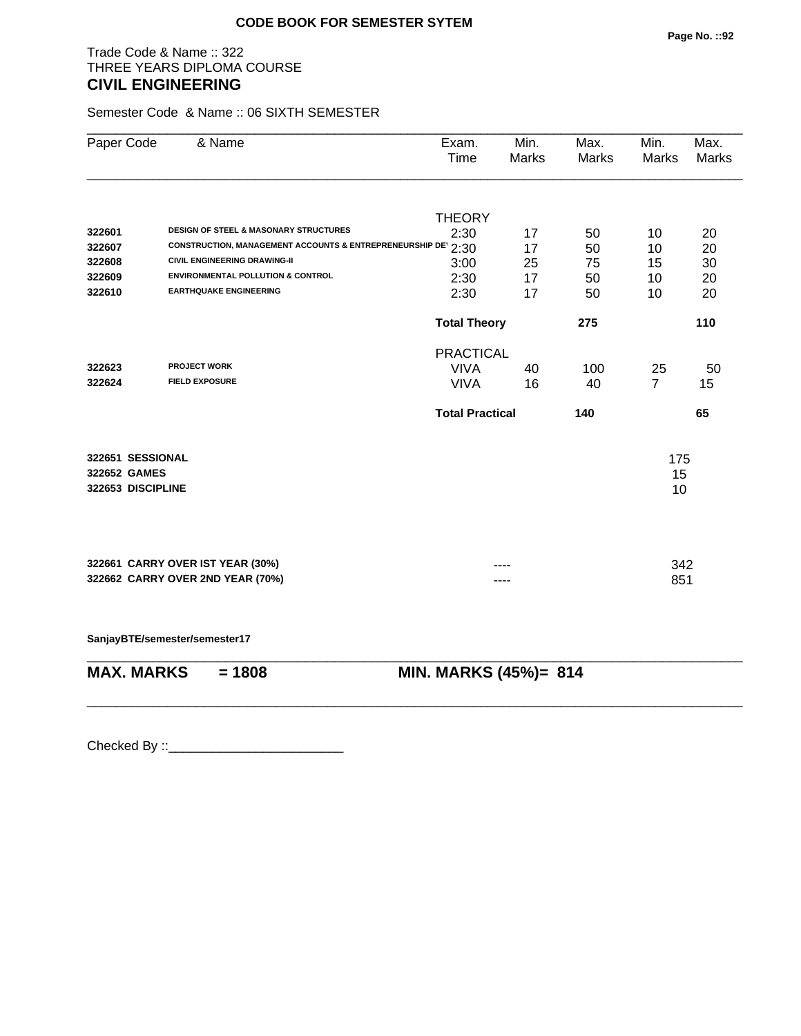## Trade Code & Name :: 322 THREE YEARS DIPLOMA COURSE **CIVIL ENGINEERING**

Semester Code & Name :: 06 SIXTH SEMESTER

| Paper Code        | & Name                              |                                                              | Exam.<br>Time          | Min.<br>Marks | Max.<br><b>Marks</b> | Min.<br>Marks  | Max.<br><b>Marks</b> |  |
|-------------------|-------------------------------------|--------------------------------------------------------------|------------------------|---------------|----------------------|----------------|----------------------|--|
|                   |                                     |                                                              | <b>THEORY</b>          |               |                      |                |                      |  |
| 322601            |                                     | DESIGN OF STEEL & MASONARY STRUCTURES                        | 2:30                   | 17            | 50                   | 10             | 20                   |  |
| 322607            |                                     | CONSTRUCTION, MANAGEMENT ACCOUNTS & ENTREPRENEURSHIP DE 2:30 |                        | 17            | 50                   | 10             | 20                   |  |
| 322608            | <b>CIVIL ENGINEERING DRAWING-II</b> |                                                              | 3:00                   | 25            | 75                   | 15             | 30                   |  |
| 322609            |                                     | <b>ENVIRONMENTAL POLLUTION &amp; CONTROL</b>                 | 2:30                   | 17            | 50                   | 10             | 20                   |  |
| 322610            | <b>EARTHQUAKE ENGINEERING</b>       |                                                              | 2:30                   | 17            | 50                   | 10             | 20                   |  |
|                   |                                     |                                                              | <b>Total Theory</b>    |               | 275                  |                | 110                  |  |
|                   |                                     |                                                              | <b>PRACTICAL</b>       |               |                      |                |                      |  |
| 322623            | <b>PROJECT WORK</b>                 |                                                              | <b>VIVA</b>            | 40            | 100                  | 25             | 50                   |  |
| 322624            | <b>FIELD EXPOSURE</b>               |                                                              | <b>VIVA</b>            | 16            | 40                   | $\overline{7}$ | 15                   |  |
|                   |                                     |                                                              | <b>Total Practical</b> |               | 140                  |                | 65                   |  |
| 322651 SESSIONAL  |                                     |                                                              |                        |               |                      | 175            |                      |  |
| 322652 GAMES      |                                     |                                                              |                        |               |                      | 15             |                      |  |
| 322653 DISCIPLINE |                                     |                                                              |                        |               |                      | 10             |                      |  |
|                   |                                     |                                                              |                        |               |                      |                |                      |  |
|                   | 322661 CARRY OVER IST YEAR (30%)    |                                                              |                        |               |                      | 342            |                      |  |
|                   | 322662 CARRY OVER 2ND YEAR (70%)    |                                                              |                        |               |                      | 851            |                      |  |
|                   | SanjayBTE/semester/semester17       |                                                              |                        |               |                      |                |                      |  |
| <b>MAX. MARKS</b> | $= 1808$                            |                                                              | MIN. MARKS (45%)= 814  |               |                      |                |                      |  |
|                   |                                     |                                                              |                        |               |                      |                |                      |  |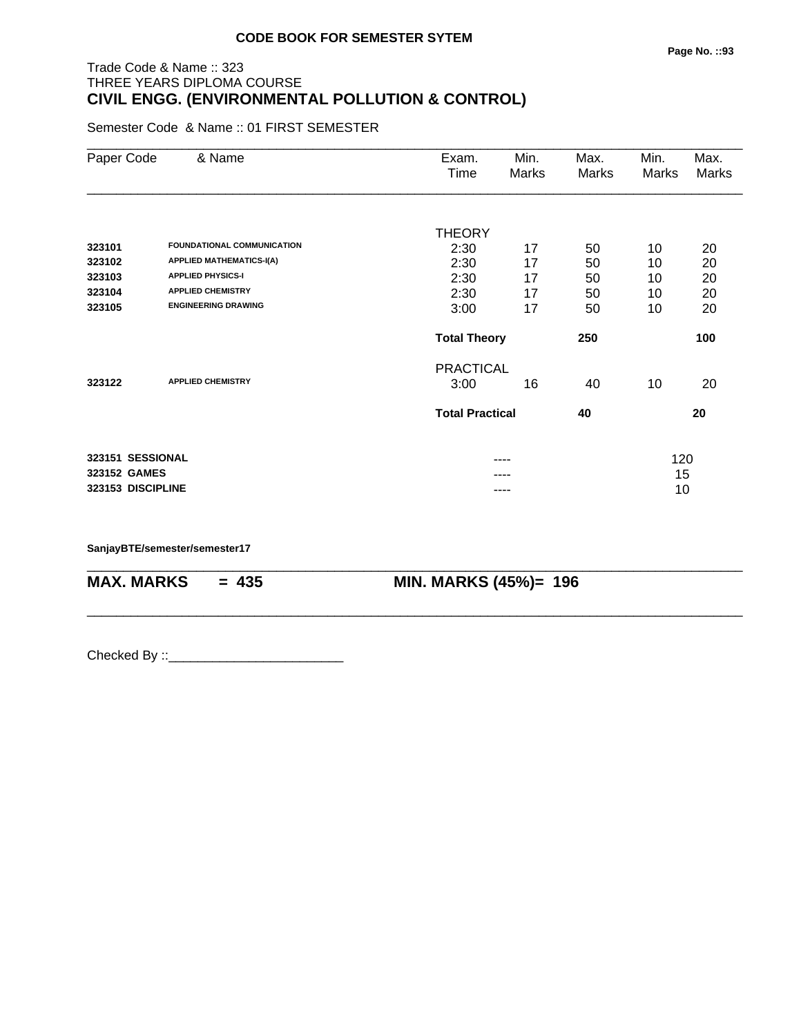## Trade Code & Name :: 323 THREE YEARS DIPLOMA COURSE **CIVIL ENGG. (ENVIRONMENTAL POLLUTION & CONTROL)**

Semester Code & Name :: 01 FIRST SEMESTER

| Paper Code        | & Name                            | Exam.                  | Min.  | Max.  | Min.  | Max.  |
|-------------------|-----------------------------------|------------------------|-------|-------|-------|-------|
|                   |                                   | Time                   | Marks | Marks | Marks | Marks |
|                   |                                   |                        |       |       |       |       |
|                   |                                   | <b>THEORY</b>          |       |       |       |       |
| 323101            | <b>FOUNDATIONAL COMMUNICATION</b> | 2:30                   | 17    | 50    | 10    | 20    |
| 323102            | <b>APPLIED MATHEMATICS-I(A)</b>   | 2:30                   | 17    | 50    | 10    | 20    |
| 323103            | <b>APPLIED PHYSICS-I</b>          | 2:30                   | 17    | 50    | 10    | 20    |
| 323104            | <b>APPLIED CHEMISTRY</b>          | 2:30                   | 17    | 50    | 10    | 20    |
| 323105            | <b>ENGINEERING DRAWING</b>        | 3:00                   | 17    | 50    | 10    | 20    |
|                   |                                   | <b>Total Theory</b>    |       | 250   |       | 100   |
|                   |                                   | <b>PRACTICAL</b>       |       |       |       |       |
| 323122            | <b>APPLIED CHEMISTRY</b>          | 3:00                   | 16    | 40    | 10    | 20    |
|                   |                                   | <b>Total Practical</b> |       | 40    |       | 20    |
| 323151 SESSIONAL  |                                   |                        | ----  |       | 120   |       |
| 323152 GAMES      |                                   |                        |       |       | 15    |       |
| 323153 DISCIPLINE |                                   |                        |       |       | 10    |       |
|                   |                                   |                        |       |       |       |       |

\_\_\_\_\_\_\_\_\_\_\_\_\_\_\_\_\_\_\_\_\_\_\_\_\_\_\_\_\_\_\_\_\_\_\_\_\_\_\_\_\_\_\_\_\_\_\_\_\_\_\_\_\_\_\_\_\_\_\_\_\_\_\_\_\_\_\_\_\_\_\_\_\_\_\_\_\_\_\_\_\_\_\_\_\_\_\_\_\_\_

\_\_\_\_\_\_\_\_\_\_\_\_\_\_\_\_\_\_\_\_\_\_\_\_\_\_\_\_\_\_\_\_\_\_\_\_\_\_\_\_\_\_\_\_\_\_\_\_\_\_\_\_\_\_\_\_\_\_\_\_\_\_\_\_\_\_\_\_\_\_\_\_\_\_\_\_\_\_\_\_\_\_\_\_\_\_\_\_\_\_

**SanjayBTE/semester/semester17**

**MAX. MARKS = 435 MIN. MARKS (45%)= 196**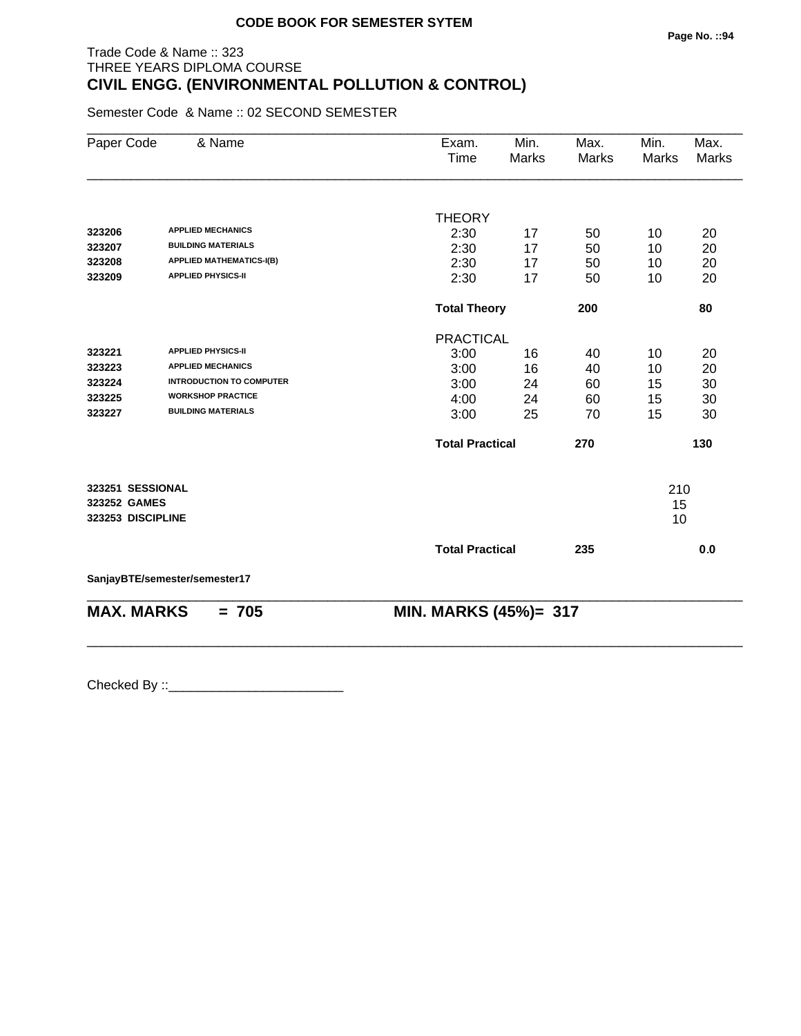# Trade Code & Name :: 323 THREE YEARS DIPLOMA COURSE **CIVIL ENGG. (ENVIRONMENTAL POLLUTION & CONTROL)**

Semester Code & Name :: 02 SECOND SEMESTER

| Paper Code        | & Name                          | Exam.<br>Time          | Min.<br>Marks | Max.<br><b>Marks</b> | Min.<br><b>Marks</b> | Max.<br>Marks  |
|-------------------|---------------------------------|------------------------|---------------|----------------------|----------------------|----------------|
|                   |                                 |                        |               |                      |                      |                |
|                   |                                 | <b>THEORY</b>          |               |                      |                      |                |
| 323206            | <b>APPLIED MECHANICS</b>        | 2:30                   | 17            | 50                   | 10                   | 20             |
| 323207            | <b>BUILDING MATERIALS</b>       | 2:30                   | 17            | 50                   | 10                   | 20             |
| 323208            | <b>APPLIED MATHEMATICS-I(B)</b> | 2:30                   | 17            | 50                   | 10                   | 20             |
| 323209            | <b>APPLIED PHYSICS-II</b>       | 2:30                   | 17            | 50                   | 10                   | 20             |
|                   |                                 | <b>Total Theory</b>    |               | 200                  |                      | 80             |
|                   |                                 | <b>PRACTICAL</b>       |               |                      |                      |                |
| 323221            | <b>APPLIED PHYSICS-II</b>       | 3:00                   | 16            | 40                   | 10                   | 20             |
| 323223            | <b>APPLIED MECHANICS</b>        | 3:00                   | 16            | 40                   | 10                   | 20             |
| 323224            | <b>INTRODUCTION TO COMPUTER</b> | 3:00                   | 24            | 60                   | 15                   | 30             |
| 323225            | <b>WORKSHOP PRACTICE</b>        | 4:00                   | 24            | 60                   | 15                   | 30             |
| 323227            | <b>BUILDING MATERIALS</b>       | 3:00                   | 25            | 70                   | 15                   | 30             |
|                   |                                 | <b>Total Practical</b> |               | 270                  |                      | 130            |
| 323251 SESSIONAL  |                                 |                        |               |                      | 210                  |                |
| 323252 GAMES      |                                 |                        |               |                      | 15                   |                |
| 323253 DISCIPLINE |                                 |                        |               |                      | 10                   |                |
|                   |                                 | <b>Total Practical</b> |               | 235                  |                      | 0 <sub>0</sub> |
|                   | SanjayBTE/semester/semester17   |                        |               |                      |                      |                |
| <b>MAX. MARKS</b> | $= 705$                         | MIN. MARKS (45%)= 317  |               |                      |                      |                |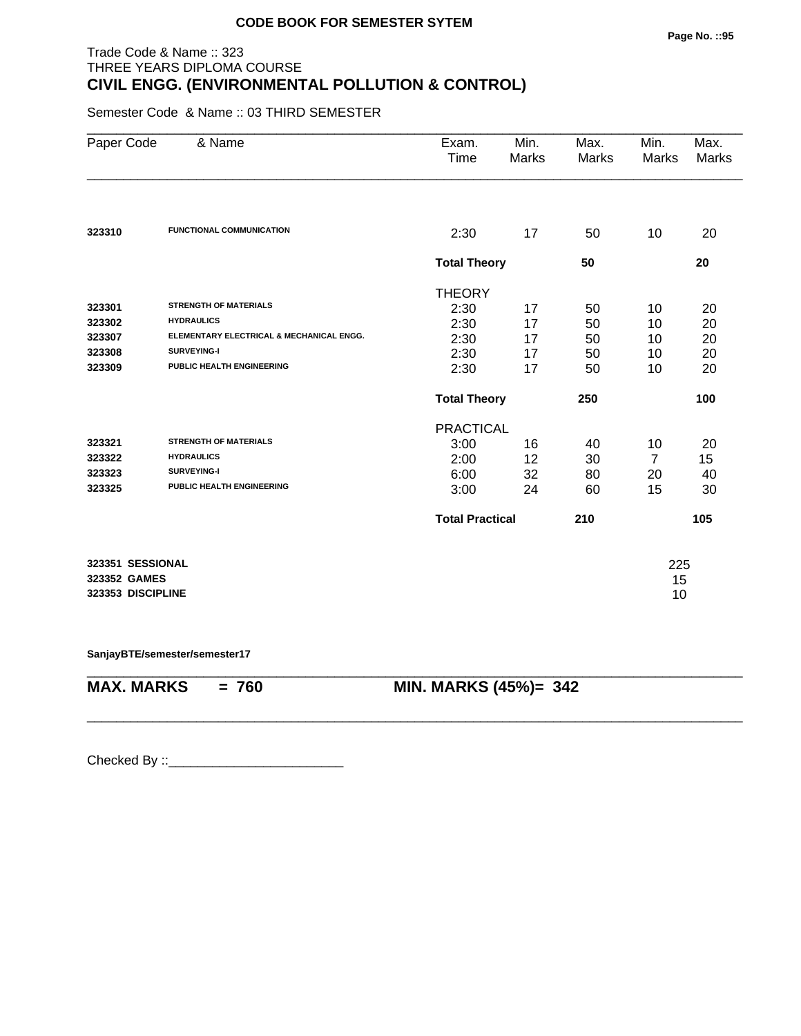## Trade Code & Name :: 323 THREE YEARS DIPLOMA COURSE **CIVIL ENGG. (ENVIRONMENTAL POLLUTION & CONTROL)**

Semester Code & Name :: 03 THIRD SEMESTER

| Paper Code                       | & Name                                   | Exam.<br>Time          | Min.<br>Marks | Max.<br>Marks | Min.<br>Marks  | Max.<br>Marks |
|----------------------------------|------------------------------------------|------------------------|---------------|---------------|----------------|---------------|
|                                  |                                          |                        |               |               |                |               |
| 323310                           | <b>FUNCTIONAL COMMUNICATION</b>          | 2:30                   | 17            | 50            | 10             | 20            |
|                                  |                                          | <b>Total Theory</b>    |               | 50            |                | 20            |
|                                  |                                          | <b>THEORY</b>          |               |               |                |               |
| 323301                           | <b>STRENGTH OF MATERIALS</b>             | 2:30                   | 17            | 50            | 10             | 20            |
| 323302                           | <b>HYDRAULICS</b>                        | 2:30                   | 17            | 50            | 10             | 20            |
| 323307                           | ELEMENTARY ELECTRICAL & MECHANICAL ENGG. | 2:30                   | 17            | 50            | 10             | 20            |
| 323308                           | <b>SURVEYING-I</b>                       | 2:30                   | 17            | 50            | 10             | 20            |
| 323309                           | PUBLIC HEALTH ENGINEERING                | 2:30                   | 17            | 50            | 10             | 20            |
|                                  |                                          | <b>Total Theory</b>    |               | 250           |                | 100           |
|                                  |                                          | <b>PRACTICAL</b>       |               |               |                |               |
| 323321                           | <b>STRENGTH OF MATERIALS</b>             | 3:00                   | 16            | 40            | 10             | 20            |
| 323322                           | <b>HYDRAULICS</b>                        | 2:00                   | 12            | 30            | $\overline{7}$ | 15            |
| 323323                           | <b>SURVEYING-I</b>                       | 6:00                   | 32            | 80            | 20             | 40            |
| 323325                           | PUBLIC HEALTH ENGINEERING                | 3:00                   | 24            | 60            | 15             | 30            |
|                                  |                                          | <b>Total Practical</b> |               | 210           |                | 105           |
| 323351 SESSIONAL<br>323352 GAMES |                                          |                        |               |               | 225<br>15      |               |
| 323353 DISCIPLINE                |                                          |                        |               |               | 10             |               |

\_\_\_\_\_\_\_\_\_\_\_\_\_\_\_\_\_\_\_\_\_\_\_\_\_\_\_\_\_\_\_\_\_\_\_\_\_\_\_\_\_\_\_\_\_\_\_\_\_\_\_\_\_\_\_\_\_\_\_\_\_\_\_\_\_\_\_\_\_\_\_\_\_\_\_\_\_\_\_\_\_\_\_\_\_\_\_\_\_\_

\_\_\_\_\_\_\_\_\_\_\_\_\_\_\_\_\_\_\_\_\_\_\_\_\_\_\_\_\_\_\_\_\_\_\_\_\_\_\_\_\_\_\_\_\_\_\_\_\_\_\_\_\_\_\_\_\_\_\_\_\_\_\_\_\_\_\_\_\_\_\_\_\_\_\_\_\_\_\_\_\_\_\_\_\_\_\_\_\_\_

**SanjayBTE/semester/semester17**

**MAX. MARKS = 760 MIN. MARKS (45%)= 342**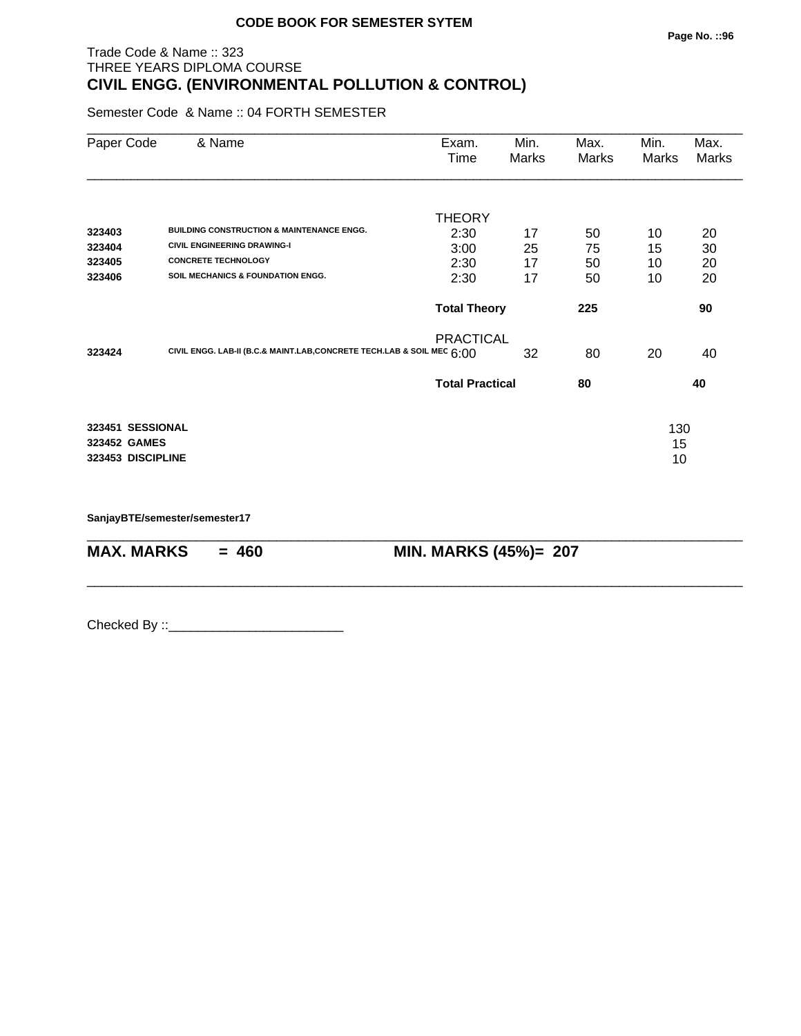## Trade Code & Name :: 323 THREE YEARS DIPLOMA COURSE **CIVIL ENGG. (ENVIRONMENTAL POLLUTION & CONTROL)**

Semester Code & Name :: 04 FORTH SEMESTER

| Paper Code        | & Name                                                                   | Exam.<br>Time          | Min.<br>Marks | Max.<br>Marks | Min.<br>Marks | Max.<br>Marks |
|-------------------|--------------------------------------------------------------------------|------------------------|---------------|---------------|---------------|---------------|
|                   |                                                                          |                        |               |               |               |               |
| 323403            | <b>BUILDING CONSTRUCTION &amp; MAINTENANCE ENGG.</b>                     | <b>THEORY</b>          |               |               |               |               |
| 323404            | <b>CIVIL ENGINEERING DRAWING-I</b>                                       | 2:30                   | 17            | 50<br>75      | 10<br>15      | 20<br>30      |
| 323405            | <b>CONCRETE TECHNOLOGY</b>                                               | 3:00<br>2:30           | 25<br>17      | 50            | 10            | 20            |
| 323406            | <b>SOIL MECHANICS &amp; FOUNDATION ENGG.</b>                             | 2:30                   | 17            | 50            | 10            | 20            |
|                   |                                                                          | <b>Total Theory</b>    |               | 225           |               | 90            |
|                   |                                                                          | <b>PRACTICAL</b>       |               |               |               |               |
| 323424            | CIVIL ENGG. LAB-II (B.C.& MAINT.LAB, CONCRETE TECH.LAB & SOIL MEC $6:00$ |                        | 32            | 80            | 20            | 40            |
|                   |                                                                          | <b>Total Practical</b> |               | 80            |               | 40            |
| 323451 SESSIONAL  |                                                                          |                        |               |               | 130           |               |
| 323452 GAMES      |                                                                          |                        |               |               | 15            |               |
| 323453 DISCIPLINE |                                                                          |                        |               |               | 10            |               |
|                   |                                                                          |                        |               |               |               |               |
|                   |                                                                          |                        |               |               |               |               |

\_\_\_\_\_\_\_\_\_\_\_\_\_\_\_\_\_\_\_\_\_\_\_\_\_\_\_\_\_\_\_\_\_\_\_\_\_\_\_\_\_\_\_\_\_\_\_\_\_\_\_\_\_\_\_\_\_\_\_\_\_\_\_\_\_\_\_\_\_\_\_\_\_\_\_\_\_\_\_\_\_\_\_\_\_\_\_\_\_\_

\_\_\_\_\_\_\_\_\_\_\_\_\_\_\_\_\_\_\_\_\_\_\_\_\_\_\_\_\_\_\_\_\_\_\_\_\_\_\_\_\_\_\_\_\_\_\_\_\_\_\_\_\_\_\_\_\_\_\_\_\_\_\_\_\_\_\_\_\_\_\_\_\_\_\_\_\_\_\_\_\_\_\_\_\_\_\_\_\_\_

**SanjayBTE/semester/semester17**

**MAX. MARKS = 460 MIN. MARKS (45%)= 207**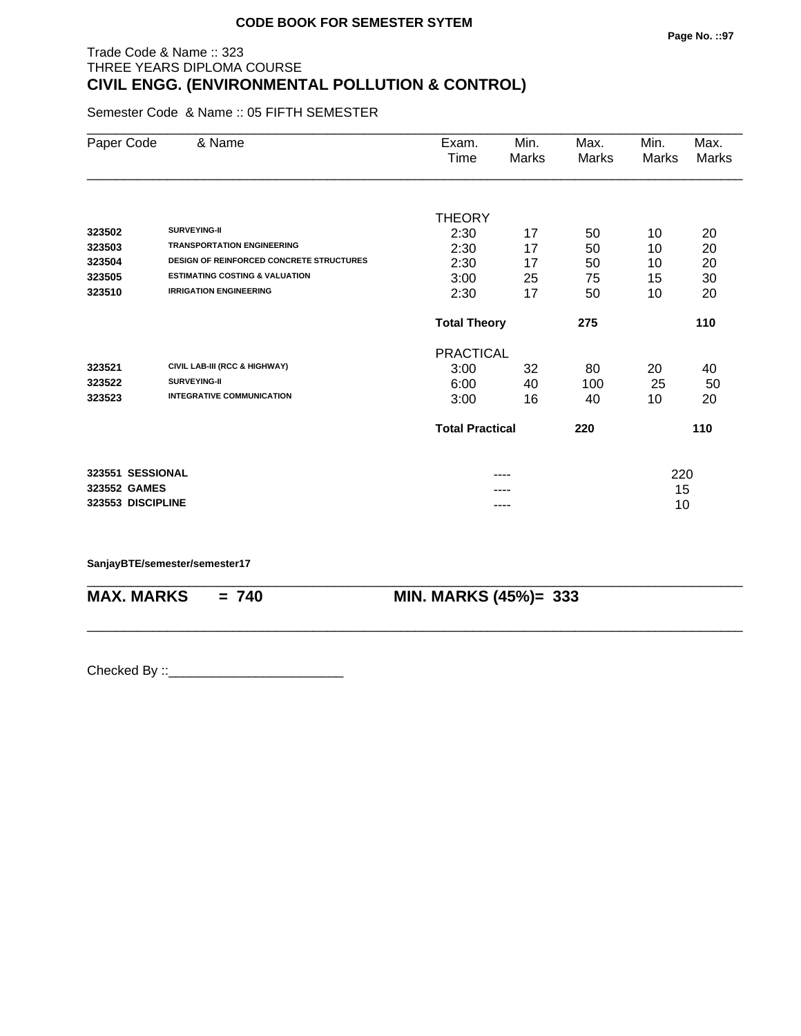## Trade Code & Name :: 323 THREE YEARS DIPLOMA COURSE **CIVIL ENGG. (ENVIRONMENTAL POLLUTION & CONTROL)**

Semester Code & Name :: 05 FIFTH SEMESTER

| Paper Code        | & Name                                          | Exam.<br>Time          | Min.<br>Marks | Max.<br>Marks | Min.<br>Marks | Max.<br>Marks |
|-------------------|-------------------------------------------------|------------------------|---------------|---------------|---------------|---------------|
|                   |                                                 |                        |               |               |               |               |
|                   |                                                 | <b>THEORY</b>          |               |               |               |               |
| 323502            | <b>SURVEYING-II</b>                             | 2:30                   | 17            | 50            | 10            | 20            |
| 323503            | <b>TRANSPORTATION ENGINEERING</b>               | 2:30                   | 17            | 50            | 10            | 20            |
| 323504            | <b>DESIGN OF REINFORCED CONCRETE STRUCTURES</b> | 2:30                   | 17            | 50            | 10            | 20            |
| 323505            | <b>ESTIMATING COSTING &amp; VALUATION</b>       | 3:00                   | 25            | 75            | 15            | 30            |
| 323510            | <b>IRRIGATION ENGINEERING</b>                   | 2:30                   | 17            | 50            | 10            | 20            |
|                   |                                                 | <b>Total Theory</b>    |               | 275           |               | 110           |
|                   |                                                 | <b>PRACTICAL</b>       |               |               |               |               |
| 323521            | CIVIL LAB-III (RCC & HIGHWAY)                   | 3:00                   | 32            | 80            | 20            | 40            |
| 323522            | <b>SURVEYING-II</b>                             | 6:00                   | 40            | 100           | 25            | 50            |
| 323523            | <b>INTEGRATIVE COMMUNICATION</b>                | 3:00                   | 16            | 40            | 10            | 20            |
|                   |                                                 | <b>Total Practical</b> |               | 220           |               | 110           |
|                   | 323551 SESSIONAL                                |                        | ----          |               | 220           |               |
| 323552 GAMES      |                                                 |                        | ----          |               | 15            |               |
| 323553 DISCIPLINE |                                                 |                        | ----          |               | 10            |               |

\_\_\_\_\_\_\_\_\_\_\_\_\_\_\_\_\_\_\_\_\_\_\_\_\_\_\_\_\_\_\_\_\_\_\_\_\_\_\_\_\_\_\_\_\_\_\_\_\_\_\_\_\_\_\_\_\_\_\_\_\_\_\_\_\_\_\_\_\_\_\_\_\_\_\_\_\_\_\_\_\_\_\_\_\_\_\_\_\_\_

\_\_\_\_\_\_\_\_\_\_\_\_\_\_\_\_\_\_\_\_\_\_\_\_\_\_\_\_\_\_\_\_\_\_\_\_\_\_\_\_\_\_\_\_\_\_\_\_\_\_\_\_\_\_\_\_\_\_\_\_\_\_\_\_\_\_\_\_\_\_\_\_\_\_\_\_\_\_\_\_\_\_\_\_\_\_\_\_\_\_

#### **SanjayBTE/semester/semester17**

**MAX. MARKS = 740 MIN. MARKS (45%)= 333**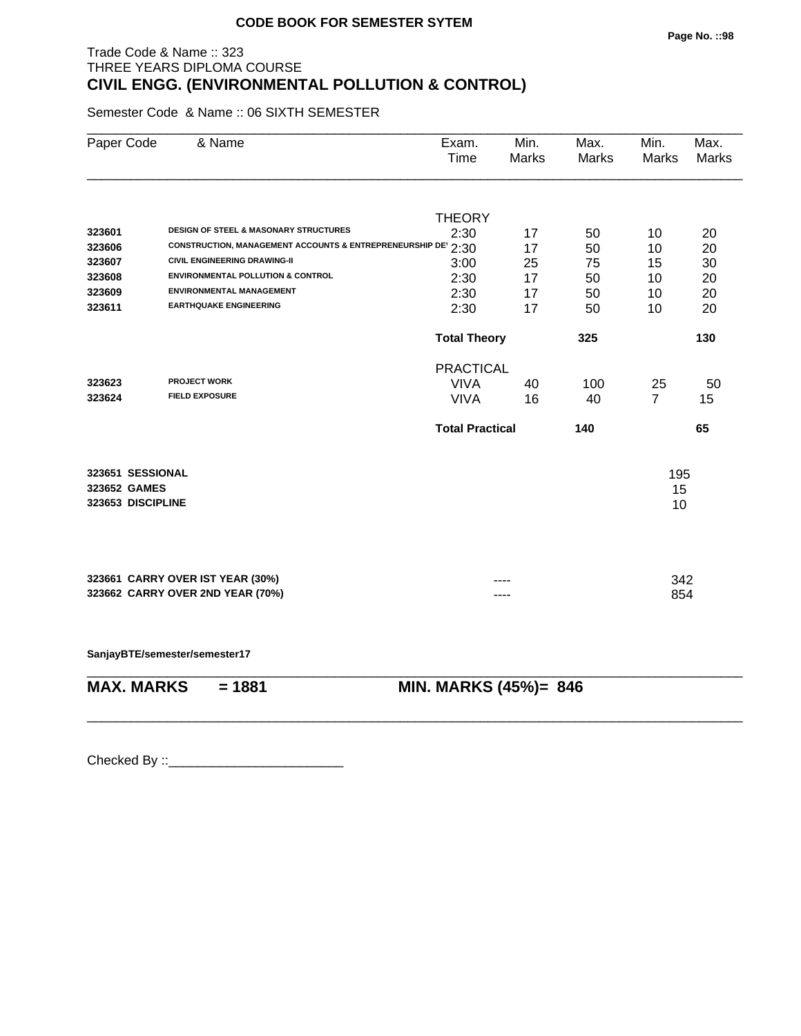# Trade Code & Name :: 323 THREE YEARS DIPLOMA COURSE **CIVIL ENGG. (ENVIRONMENTAL POLLUTION & CONTROL)**

Semester Code & Name :: 06 SIXTH SEMESTER

| Paper Code        | & Name                                                              | Exam.<br>Time          | Min.<br>Marks | Max.<br><b>Marks</b> | Min.<br><b>Marks</b> | Max.<br>Marks |
|-------------------|---------------------------------------------------------------------|------------------------|---------------|----------------------|----------------------|---------------|
|                   |                                                                     | <b>THEORY</b>          |               |                      |                      |               |
| 323601            | <b>DESIGN OF STEEL &amp; MASONARY STRUCTURES</b>                    | 2:30                   | 17            | 50                   | 10                   | 20            |
| 323606            | <b>CONSTRUCTION, MANAGEMENT ACCOUNTS &amp; ENTREPRENEURSHIP DET</b> | 2:30                   | 17            | 50                   | 10                   | 20            |
| 323607            | <b>CIVIL ENGINEERING DRAWING-II</b>                                 | 3:00                   | 25            | 75                   | 15                   | 30            |
| 323608            | <b>ENVIRONMENTAL POLLUTION &amp; CONTROL</b>                        | 2:30                   | 17            | 50                   | 10                   | 20            |
| 323609            | <b>ENVIRONMENTAL MANAGEMENT</b>                                     | 2:30                   | 17            | 50                   | 10                   | 20            |
| 323611            | <b>EARTHQUAKE ENGINEERING</b>                                       | 2:30                   | 17            | 50                   | 10                   | 20            |
|                   |                                                                     | <b>Total Theory</b>    |               | 325                  |                      | 130           |
|                   |                                                                     | <b>PRACTICAL</b>       |               |                      |                      |               |
| 323623            | <b>PROJECT WORK</b>                                                 | <b>VIVA</b>            | 40            | 100                  | 25                   | 50            |
| 323624            | <b>FIELD EXPOSURE</b>                                               | <b>VIVA</b>            | 16            | 40                   | $\overline{7}$       | 15            |
|                   |                                                                     | <b>Total Practical</b> |               | 140                  |                      | 65            |
| 323651 SESSIONAL  |                                                                     |                        |               |                      | 195                  |               |
| 323652 GAMES      |                                                                     |                        |               |                      | 15                   |               |
| 323653 DISCIPLINE |                                                                     |                        |               |                      | 10                   |               |
|                   |                                                                     |                        |               |                      |                      |               |
|                   | 323661 CARRY OVER IST YEAR (30%)                                    |                        |               |                      | 342                  |               |
|                   | 323662 CARRY OVER 2ND YEAR (70%)                                    |                        |               |                      | 854                  |               |
|                   |                                                                     |                        |               |                      |                      |               |

**SanjayBTE/semester/semester17**

| MAX. MARKS | = 1881 | MIN. MARKS (45%)= 846 |
|------------|--------|-----------------------|

\_\_\_\_\_\_\_\_\_\_\_\_\_\_\_\_\_\_\_\_\_\_\_\_\_\_\_\_\_\_\_\_\_\_\_\_\_\_\_\_\_\_\_\_\_\_\_\_\_\_\_\_\_\_\_\_\_\_\_\_\_\_\_\_\_\_\_\_\_\_\_\_\_\_\_\_\_\_\_\_\_\_\_\_\_\_\_\_\_\_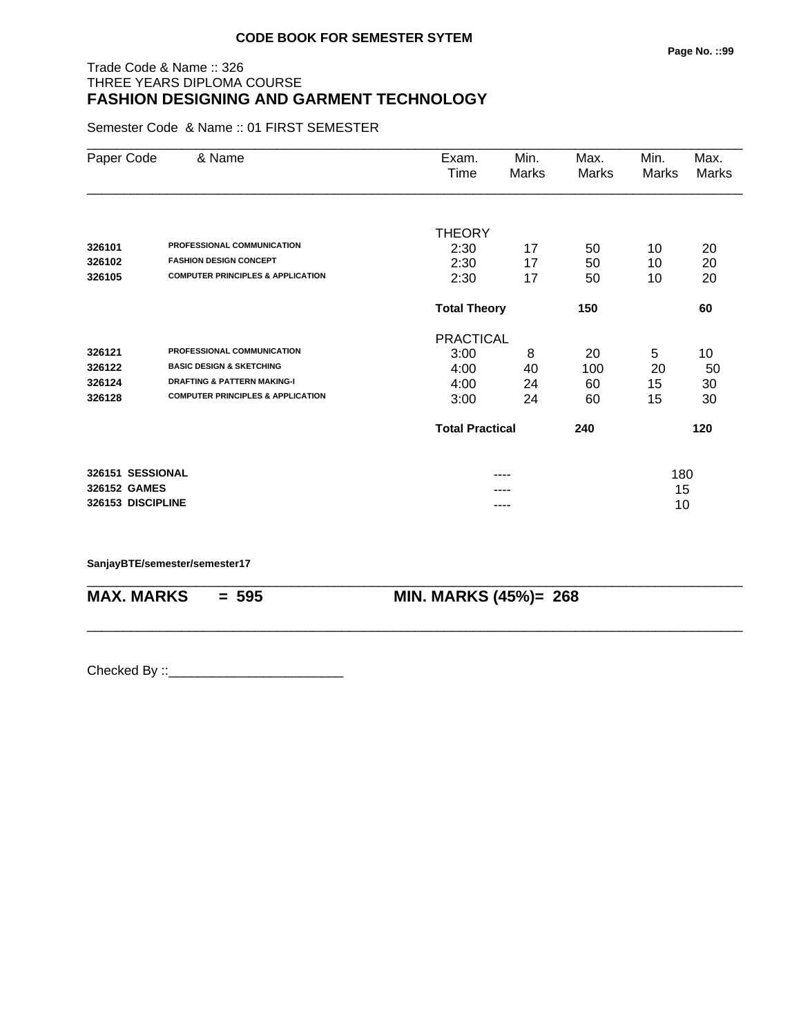## Trade Code & Name :: 326 THREE YEARS DIPLOMA COURSE **FASHION DESIGNING AND GARMENT TECHNOLOGY**

Semester Code & Name :: 01 FIRST SEMESTER

| Paper Code        | & Name                                       | Exam.                  | Min.  | Max.  | Min.  | Max.  |
|-------------------|----------------------------------------------|------------------------|-------|-------|-------|-------|
|                   |                                              | Time                   | Marks | Marks | Marks | Marks |
|                   |                                              |                        |       |       |       |       |
|                   |                                              | <b>THEORY</b>          |       |       |       |       |
| 326101            | PROFESSIONAL COMMUNICATION                   | 2:30                   | 17    | 50    | 10    | 20    |
| 326102            | <b>FASHION DESIGN CONCEPT</b>                | 2:30                   | 17    | 50    | 10    | 20    |
| 326105            | <b>COMPUTER PRINCIPLES &amp; APPLICATION</b> | 2:30                   | 17    | 50    | 10    | 20    |
|                   |                                              | <b>Total Theory</b>    |       | 150   |       | 60    |
|                   |                                              | <b>PRACTICAL</b>       |       |       |       |       |
| 326121            | PROFESSIONAL COMMUNICATION                   | 3:00                   | 8     | 20    | 5     | 10    |
| 326122            | <b>BASIC DESIGN &amp; SKETCHING</b>          | 4:00                   | 40    | 100   | 20    | 50    |
| 326124            | <b>DRAFTING &amp; PATTERN MAKING-I</b>       | 4:00                   | 24    | 60    | 15    | 30    |
| 326128            | <b>COMPUTER PRINCIPLES &amp; APPLICATION</b> | 3:00                   | 24    | 60    | 15    | 30    |
|                   |                                              | <b>Total Practical</b> |       | 240   |       | 120   |
| 326151 SESSIONAL  |                                              |                        | ----  |       | 180   |       |
| 326152 GAMES      |                                              |                        |       |       | 15    |       |
| 326153 DISCIPLINE |                                              |                        | ----  |       | 10    |       |

\_\_\_\_\_\_\_\_\_\_\_\_\_\_\_\_\_\_\_\_\_\_\_\_\_\_\_\_\_\_\_\_\_\_\_\_\_\_\_\_\_\_\_\_\_\_\_\_\_\_\_\_\_\_\_\_\_\_\_\_\_\_\_\_\_\_\_\_\_\_\_\_\_\_\_\_\_\_\_\_\_\_\_\_\_\_\_\_\_\_

\_\_\_\_\_\_\_\_\_\_\_\_\_\_\_\_\_\_\_\_\_\_\_\_\_\_\_\_\_\_\_\_\_\_\_\_\_\_\_\_\_\_\_\_\_\_\_\_\_\_\_\_\_\_\_\_\_\_\_\_\_\_\_\_\_\_\_\_\_\_\_\_\_\_\_\_\_\_\_\_\_\_\_\_\_\_\_\_\_\_

**SanjayBTE/semester/semester17**

**MAX. MARKS = 595 MIN. MARKS (45%)= 268**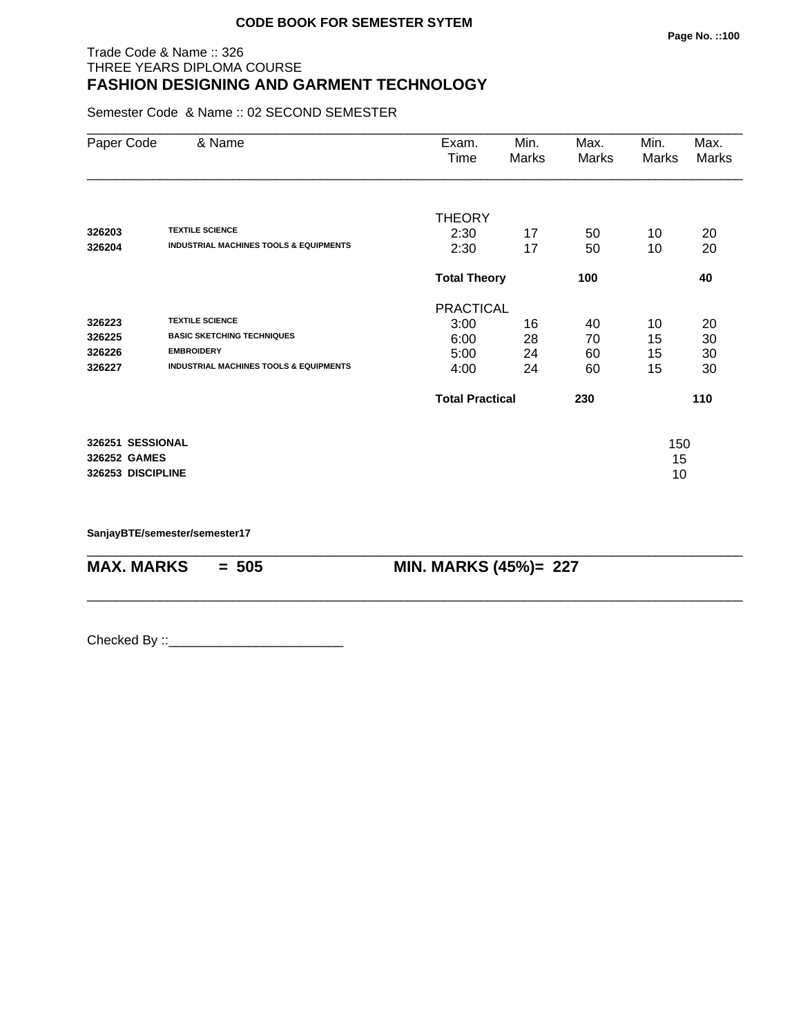## Trade Code & Name :: 326 THREE YEARS DIPLOMA COURSE **FASHION DESIGNING AND GARMENT TECHNOLOGY**

Semester Code & Name :: 02 SECOND SEMESTER

| Paper Code        | & Name                                            | Exam.<br>Time          | Min.<br>Marks | Max.<br>Marks | Min.<br>Marks | Max.<br>Marks |
|-------------------|---------------------------------------------------|------------------------|---------------|---------------|---------------|---------------|
|                   |                                                   | <b>THEORY</b>          |               |               |               |               |
| 326203            | <b>TEXTILE SCIENCE</b>                            | 2:30                   | 17            | 50            | 10            | 20            |
| 326204            | <b>INDUSTRIAL MACHINES TOOLS &amp; EQUIPMENTS</b> | 2:30                   | 17            | 50            | 10            | 20            |
|                   |                                                   | <b>Total Theory</b>    |               | 100           |               | 40            |
|                   |                                                   | <b>PRACTICAL</b>       |               |               |               |               |
| 326223            | <b>TEXTILE SCIENCE</b>                            | 3:00                   | 16            | 40            | 10            | 20            |
| 326225            | <b>BASIC SKETCHING TECHNIQUES</b>                 | 6:00                   | 28            | 70            | 15            | 30            |
| 326226            | <b>EMBROIDERY</b>                                 | 5:00                   | 24            | 60            | 15            | 30            |
| 326227            | <b>INDUSTRIAL MACHINES TOOLS &amp; EQUIPMENTS</b> | 4:00                   | 24            | 60            | 15            | 30            |
|                   |                                                   | <b>Total Practical</b> |               | 230           |               | 110           |
| 326251 SESSIONAL  |                                                   |                        |               |               | 150           |               |
| 326252 GAMES      |                                                   |                        |               |               | 15            |               |
| 326253 DISCIPLINE |                                                   |                        |               |               | 10            |               |

\_\_\_\_\_\_\_\_\_\_\_\_\_\_\_\_\_\_\_\_\_\_\_\_\_\_\_\_\_\_\_\_\_\_\_\_\_\_\_\_\_\_\_\_\_\_\_\_\_\_\_\_\_\_\_\_\_\_\_\_\_\_\_\_\_\_\_\_\_\_\_\_\_\_\_\_\_\_\_\_\_\_\_\_\_\_\_\_\_\_

\_\_\_\_\_\_\_\_\_\_\_\_\_\_\_\_\_\_\_\_\_\_\_\_\_\_\_\_\_\_\_\_\_\_\_\_\_\_\_\_\_\_\_\_\_\_\_\_\_\_\_\_\_\_\_\_\_\_\_\_\_\_\_\_\_\_\_\_\_\_\_\_\_\_\_\_\_\_\_\_\_\_\_\_\_\_\_\_\_\_

**SanjayBTE/semester/semester17**

**MAX. MARKS = 505 MIN. MARKS (45%)= 227**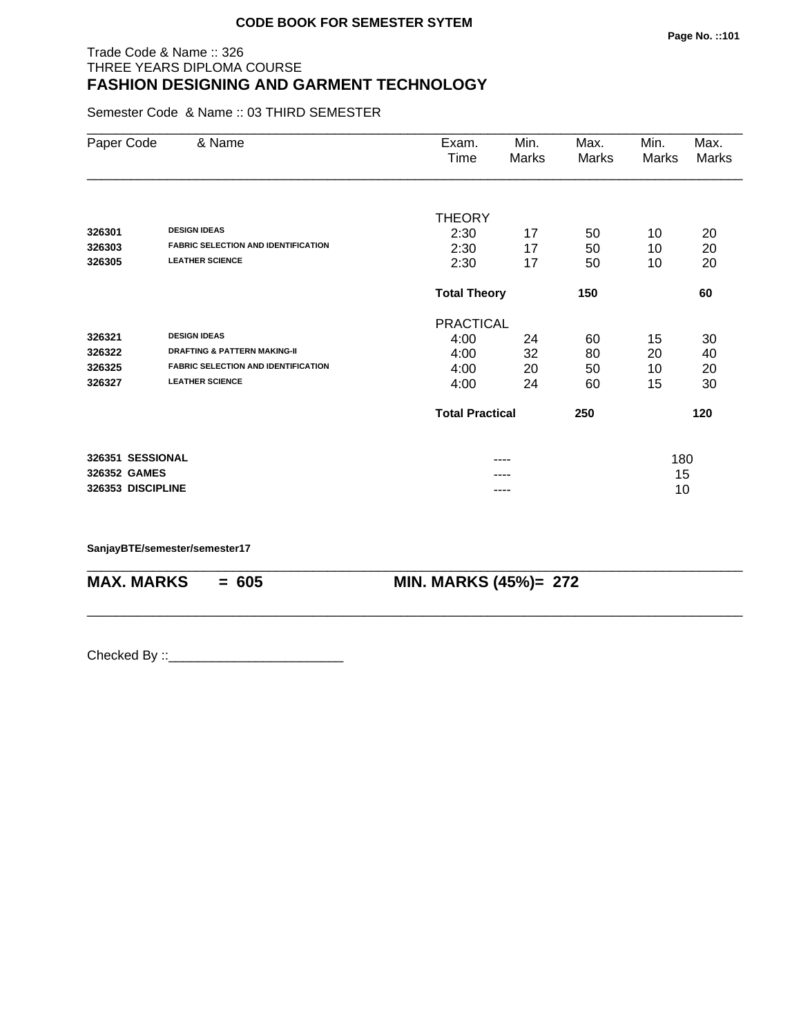## Trade Code & Name :: 326 THREE YEARS DIPLOMA COURSE **FASHION DESIGNING AND GARMENT TECHNOLOGY**

Semester Code & Name :: 03 THIRD SEMESTER

| Paper Code        | & Name                                     | Exam.                  | Min.  | Max.  | Min.         | Max.  |
|-------------------|--------------------------------------------|------------------------|-------|-------|--------------|-------|
|                   |                                            | Time                   | Marks | Marks | <b>Marks</b> | Marks |
|                   |                                            |                        |       |       |              |       |
|                   |                                            | <b>THEORY</b>          |       |       |              |       |
| 326301            | <b>DESIGN IDEAS</b>                        | 2:30                   | 17    | 50    | 10           | 20    |
| 326303            | <b>FABRIC SELECTION AND IDENTIFICATION</b> | 2:30                   | 17    | 50    | 10           | 20    |
| 326305            | <b>LEATHER SCIENCE</b>                     | 2:30                   | 17    | 50    | 10           | 20    |
|                   |                                            | <b>Total Theory</b>    |       | 150   |              | 60    |
|                   |                                            | <b>PRACTICAL</b>       |       |       |              |       |
| 326321            | <b>DESIGN IDEAS</b>                        | 4:00                   | 24    | 60    | 15           | 30    |
| 326322            | <b>DRAFTING &amp; PATTERN MAKING-II</b>    | 4:00                   | 32    | 80    | 20           | 40    |
| 326325            | <b>FABRIC SELECTION AND IDENTIFICATION</b> | 4:00                   | 20    | 50    | 10           | 20    |
| 326327            | <b>LEATHER SCIENCE</b>                     | 4:00                   | 24    | 60    | 15           | 30    |
|                   |                                            | <b>Total Practical</b> |       | 250   |              | 120   |
| 326351 SESSIONAL  |                                            |                        | ----  |       | 180          |       |
| 326352 GAMES      |                                            |                        |       |       | 15           |       |
| 326353 DISCIPLINE |                                            |                        | ----  |       | 10           |       |

\_\_\_\_\_\_\_\_\_\_\_\_\_\_\_\_\_\_\_\_\_\_\_\_\_\_\_\_\_\_\_\_\_\_\_\_\_\_\_\_\_\_\_\_\_\_\_\_\_\_\_\_\_\_\_\_\_\_\_\_\_\_\_\_\_\_\_\_\_\_\_\_\_\_\_\_\_\_\_\_\_\_\_\_\_\_\_\_\_\_

\_\_\_\_\_\_\_\_\_\_\_\_\_\_\_\_\_\_\_\_\_\_\_\_\_\_\_\_\_\_\_\_\_\_\_\_\_\_\_\_\_\_\_\_\_\_\_\_\_\_\_\_\_\_\_\_\_\_\_\_\_\_\_\_\_\_\_\_\_\_\_\_\_\_\_\_\_\_\_\_\_\_\_\_\_\_\_\_\_\_

**SanjayBTE/semester/semester17**

**MAX. MARKS = 605 MIN. MARKS (45%)= 272**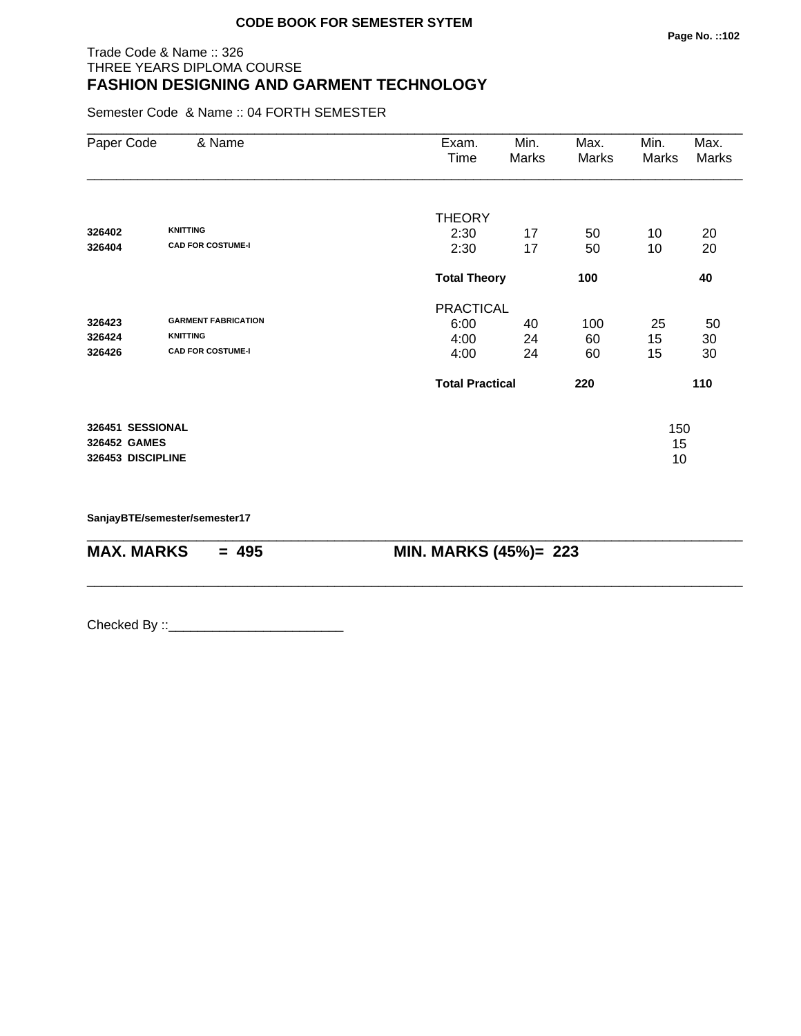## Trade Code & Name :: 326 THREE YEARS DIPLOMA COURSE **FASHION DESIGNING AND GARMENT TECHNOLOGY**

Semester Code & Name :: 04 FORTH SEMESTER

| Paper Code                       | & Name                                      | Exam.<br>Time          | Min.<br>Marks | Max.<br>Marks | Min.<br>Marks | Max.<br><b>Marks</b> |
|----------------------------------|---------------------------------------------|------------------------|---------------|---------------|---------------|----------------------|
|                                  |                                             | <b>THEORY</b>          |               |               |               |                      |
| 326402<br>326404                 | <b>KNITTING</b><br><b>CAD FOR COSTUME-I</b> | 2:30<br>2:30           | 17<br>17      | 50<br>50      | 10<br>10      | 20<br>20             |
|                                  |                                             | <b>Total Theory</b>    |               | 100           |               | 40                   |
|                                  |                                             | <b>PRACTICAL</b>       |               |               |               |                      |
| 326423                           | <b>GARMENT FABRICATION</b>                  | 6:00                   | 40            | 100           | 25            | 50                   |
| 326424                           | <b>KNITTING</b>                             | 4:00                   | 24            | 60            | 15            | 30                   |
| 326426                           | <b>CAD FOR COSTUME-I</b>                    | 4:00                   | 24            | 60            | 15            | 30                   |
|                                  |                                             | <b>Total Practical</b> |               | 220           |               | 110                  |
| 326451 SESSIONAL<br>326452 GAMES |                                             |                        |               |               | 150<br>15     |                      |
| 326453 DISCIPLINE                |                                             |                        |               |               | 10            |                      |

\_\_\_\_\_\_\_\_\_\_\_\_\_\_\_\_\_\_\_\_\_\_\_\_\_\_\_\_\_\_\_\_\_\_\_\_\_\_\_\_\_\_\_\_\_\_\_\_\_\_\_\_\_\_\_\_\_\_\_\_\_\_\_\_\_\_\_\_\_\_\_\_\_\_\_\_\_\_\_\_\_\_\_\_\_\_\_\_\_\_

\_\_\_\_\_\_\_\_\_\_\_\_\_\_\_\_\_\_\_\_\_\_\_\_\_\_\_\_\_\_\_\_\_\_\_\_\_\_\_\_\_\_\_\_\_\_\_\_\_\_\_\_\_\_\_\_\_\_\_\_\_\_\_\_\_\_\_\_\_\_\_\_\_\_\_\_\_\_\_\_\_\_\_\_\_\_\_\_\_\_

**SanjayBTE/semester/semester17**

**MAX. MARKS = 495 MIN. MARKS (45%)= 223**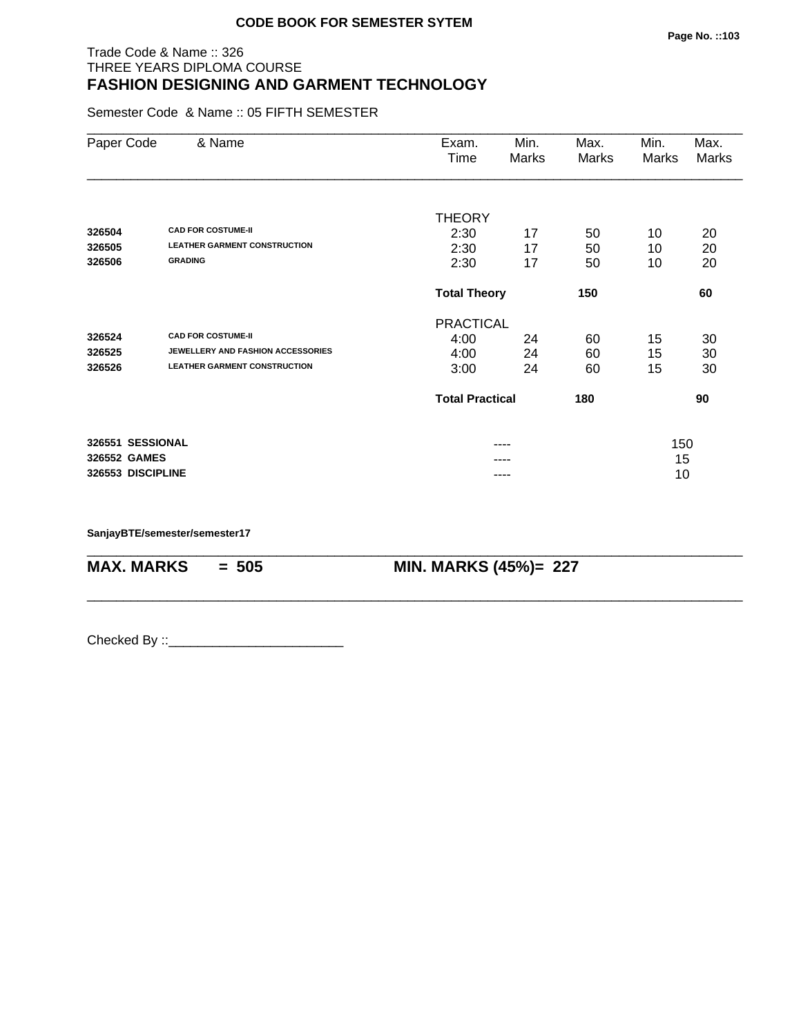## Trade Code & Name :: 326 THREE YEARS DIPLOMA COURSE **FASHION DESIGNING AND GARMENT TECHNOLOGY**

Semester Code & Name :: 05 FIFTH SEMESTER

| Paper Code        | & Name                              | Exam.<br>Time          | Min.<br>Marks | Max.<br>Marks | Min.<br>Marks | Max.<br>Marks |
|-------------------|-------------------------------------|------------------------|---------------|---------------|---------------|---------------|
|                   |                                     |                        |               |               |               |               |
| 326504            | <b>CAD FOR COSTUME-II</b>           | <b>THEORY</b><br>2:30  | 17            | 50            | 10            | 20            |
| 326505            | <b>LEATHER GARMENT CONSTRUCTION</b> | 2:30                   | 17            | 50            | 10            | 20            |
| 326506            | <b>GRADING</b>                      | 2:30                   | 17            | 50            | 10            | 20            |
|                   |                                     | <b>Total Theory</b>    |               | 150           |               | 60            |
|                   |                                     | <b>PRACTICAL</b>       |               |               |               |               |
| 326524            | <b>CAD FOR COSTUME-II</b>           | 4:00                   | 24            | 60            | 15            | 30            |
| 326525            | JEWELLERY AND FASHION ACCESSORIES   | 4:00                   | 24            | 60            | 15            | 30            |
| 326526            | <b>LEATHER GARMENT CONSTRUCTION</b> | 3:00                   | 24            | 60            | 15            | 30            |
|                   |                                     | <b>Total Practical</b> |               | 180           |               | 90            |
| 326551 SESSIONAL  |                                     |                        |               |               | 150           |               |
| 326552 GAMES      |                                     |                        |               |               | 15            |               |
| 326553 DISCIPLINE |                                     |                        | ----          |               | 10            |               |

\_\_\_\_\_\_\_\_\_\_\_\_\_\_\_\_\_\_\_\_\_\_\_\_\_\_\_\_\_\_\_\_\_\_\_\_\_\_\_\_\_\_\_\_\_\_\_\_\_\_\_\_\_\_\_\_\_\_\_\_\_\_\_\_\_\_\_\_\_\_\_\_\_\_\_\_\_\_\_\_\_\_\_\_\_\_\_\_\_\_

\_\_\_\_\_\_\_\_\_\_\_\_\_\_\_\_\_\_\_\_\_\_\_\_\_\_\_\_\_\_\_\_\_\_\_\_\_\_\_\_\_\_\_\_\_\_\_\_\_\_\_\_\_\_\_\_\_\_\_\_\_\_\_\_\_\_\_\_\_\_\_\_\_\_\_\_\_\_\_\_\_\_\_\_\_\_\_\_\_\_

**SanjayBTE/semester/semester17**

**MAX. MARKS = 505 MIN. MARKS (45%)= 227**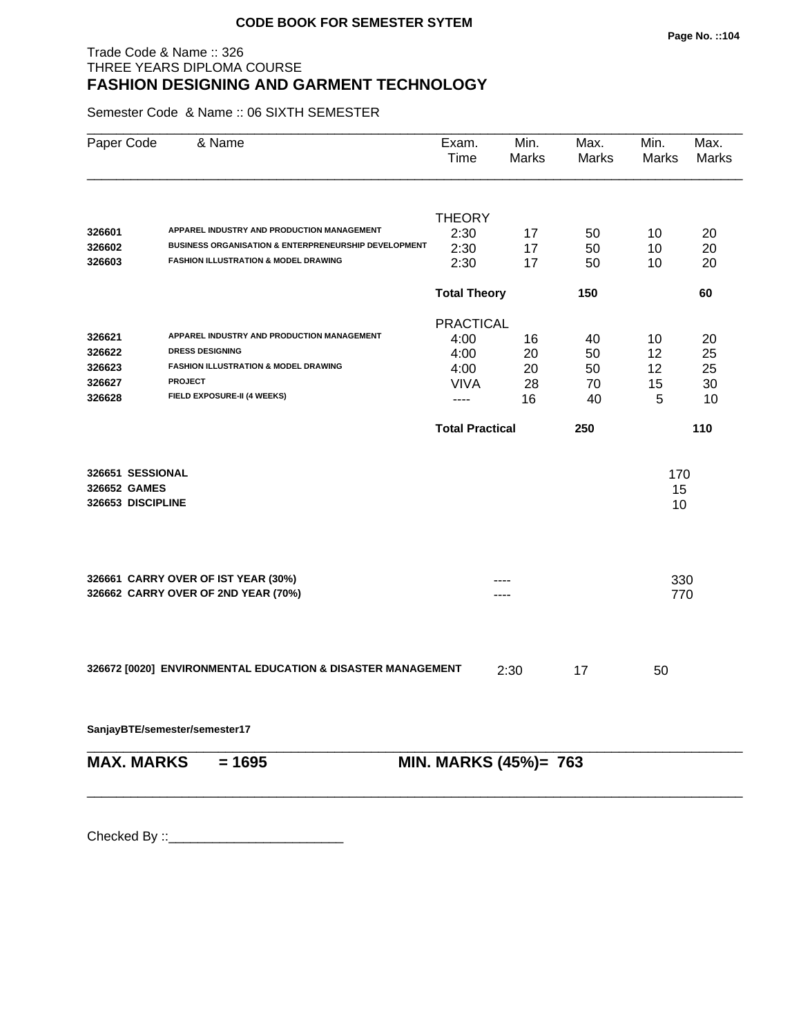## Trade Code & Name :: 326 THREE YEARS DIPLOMA COURSE **FASHION DESIGNING AND GARMENT TECHNOLOGY**

Semester Code & Name :: 06 SIXTH SEMESTER

| Paper Code        | & Name                                                          | Exam.<br>Time          | Min.<br>Marks         | Max.<br>Marks | Min.<br>Marks | Max.<br>Marks |
|-------------------|-----------------------------------------------------------------|------------------------|-----------------------|---------------|---------------|---------------|
|                   |                                                                 | <b>THEORY</b>          |                       |               |               |               |
| 326601            | APPAREL INDUSTRY AND PRODUCTION MANAGEMENT                      | 2:30                   | 17                    | 50            | 10            | 20            |
| 326602            | <b>BUSINESS ORGANISATION &amp; ENTERPRENEURSHIP DEVELOPMENT</b> | 2:30                   | 17                    | 50            | 10            | 20            |
| 326603            | <b>FASHION ILLUSTRATION &amp; MODEL DRAWING</b>                 | 2:30                   | 17                    | 50            | 10            | 20            |
|                   |                                                                 | <b>Total Theory</b>    |                       | 150           |               | 60            |
|                   |                                                                 | <b>PRACTICAL</b>       |                       |               |               |               |
| 326621            | APPAREL INDUSTRY AND PRODUCTION MANAGEMENT                      | 4:00                   | 16                    | 40            | 10            | 20            |
| 326622            | <b>DRESS DESIGNING</b>                                          | 4:00                   | 20                    | 50            | 12            | 25            |
| 326623            | <b>FASHION ILLUSTRATION &amp; MODEL DRAWING</b>                 | 4:00                   | 20                    | 50            | 12            | 25            |
| 326627            | <b>PROJECT</b>                                                  | <b>VIVA</b>            | 28                    | 70            | 15            | 30            |
| 326628            | FIELD EXPOSURE-II (4 WEEKS)                                     | ----                   | 16                    | 40            | 5             | 10            |
|                   |                                                                 | <b>Total Practical</b> |                       | 250           |               | 110           |
|                   |                                                                 |                        |                       |               |               |               |
| 326651 SESSIONAL  |                                                                 |                        |                       |               | 170           |               |
| 326652 GAMES      |                                                                 |                        |                       |               | 15            |               |
| 326653 DISCIPLINE |                                                                 |                        |                       |               | 10            |               |
|                   | 326661 CARRY OVER OF IST YEAR (30%)                             |                        |                       |               | 330           |               |
|                   | 326662 CARRY OVER OF 2ND YEAR (70%)                             |                        |                       |               | 770           |               |
|                   |                                                                 |                        |                       |               |               |               |
|                   | 326672 [0020] ENVIRONMENTAL EDUCATION & DISASTER MANAGEMENT     |                        | 2:30                  | 17            | 50            |               |
|                   | SanjayBTE/semester/semester17                                   |                        |                       |               |               |               |
| <b>MAX. MARKS</b> | $= 1695$                                                        |                        | MIN. MARKS (45%)= 763 |               |               |               |
|                   |                                                                 |                        |                       |               |               |               |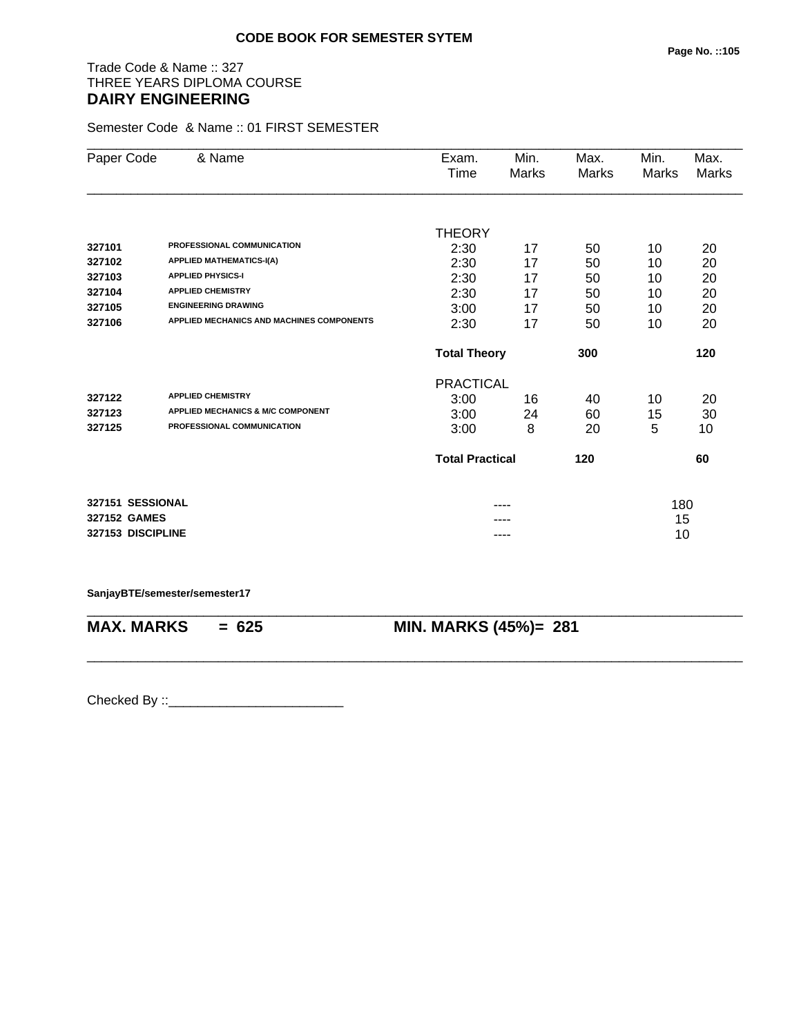# Trade Code & Name :: 327 THREE YEARS DIPLOMA COURSE **DAIRY ENGINEERING**

Semester Code & Name :: 01 FIRST SEMESTER

| Paper Code        | & Name                                       | Exam.                      | Min.         | Max.         | Min.  | Max.  |
|-------------------|----------------------------------------------|----------------------------|--------------|--------------|-------|-------|
|                   |                                              | Time                       | <b>Marks</b> | <b>Marks</b> | Marks | Marks |
|                   |                                              |                            |              |              |       |       |
|                   |                                              | <b>THEORY</b>              |              |              |       |       |
| 327101            | PROFESSIONAL COMMUNICATION                   | 2:30                       | 17           | 50           | 10    | 20    |
| 327102            | <b>APPLIED MATHEMATICS-I(A)</b>              | 2:30                       | 17           | 50           | 10    | 20    |
| 327103            | <b>APPLIED PHYSICS-I</b>                     | 2:30                       | 17           | 50           | 10    | 20    |
| 327104            | <b>APPLIED CHEMISTRY</b>                     | 2:30                       | 17           | 50           | 10    | 20    |
| 327105            | <b>ENGINEERING DRAWING</b>                   | 3:00                       | 17           | 50           | 10    | 20    |
| 327106            | APPLIED MECHANICS AND MACHINES COMPONENTS    | 2:30                       | 17           | 50           | 10    | 20    |
|                   |                                              | <b>Total Theory</b><br>300 |              |              |       | 120   |
|                   |                                              | <b>PRACTICAL</b>           |              |              |       |       |
| 327122            | <b>APPLIED CHEMISTRY</b>                     | 3:00                       | 16           | 40           | 10    | 20    |
| 327123            | <b>APPLIED MECHANICS &amp; M/C COMPONENT</b> | 3:00                       | 24           | 60           | 15    | 30    |
| 327125            | PROFESSIONAL COMMUNICATION                   | 3:00                       | 8            | 20           | 5     | 10    |
|                   |                                              | <b>Total Practical</b>     |              | 120          |       | 60    |
| 327151 SESSIONAL  |                                              |                            |              |              | 180   |       |
| 327152 GAMES      |                                              |                            |              |              | 15    |       |
| 327153 DISCIPLINE |                                              |                            | ----         |              | 10    |       |
|                   |                                              |                            |              |              |       |       |

**SanjayBTE/semester/semester17**

\_\_\_\_\_\_\_\_\_\_\_\_\_\_\_\_\_\_\_\_\_\_\_\_\_\_\_\_\_\_\_\_\_\_\_\_\_\_\_\_\_\_\_\_\_\_\_\_\_\_\_\_\_\_\_\_\_\_\_\_\_\_\_\_\_\_\_\_\_\_\_\_\_\_\_\_\_\_\_\_\_\_\_\_\_\_\_\_\_\_ **MAX. MARKS = 625 MIN. MARKS (45%)= 281**

\_\_\_\_\_\_\_\_\_\_\_\_\_\_\_\_\_\_\_\_\_\_\_\_\_\_\_\_\_\_\_\_\_\_\_\_\_\_\_\_\_\_\_\_\_\_\_\_\_\_\_\_\_\_\_\_\_\_\_\_\_\_\_\_\_\_\_\_\_\_\_\_\_\_\_\_\_\_\_\_\_\_\_\_\_\_\_\_\_\_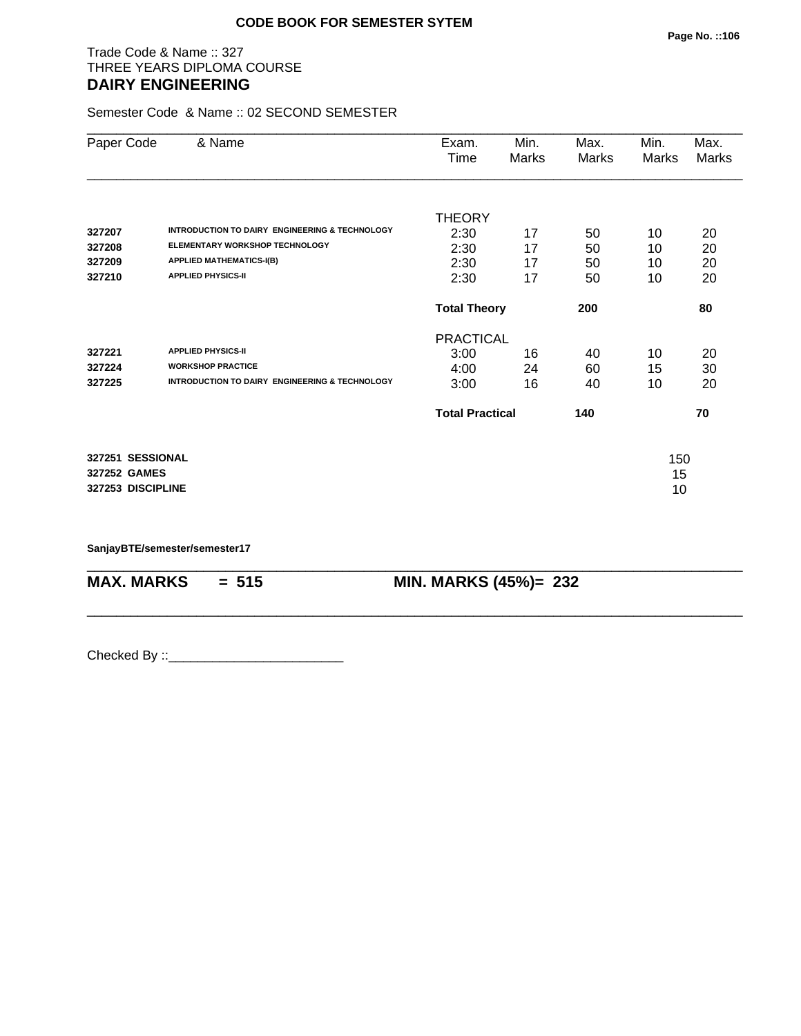## Trade Code & Name :: 327 THREE YEARS DIPLOMA COURSE **DAIRY ENGINEERING**

Semester Code & Name :: 02 SECOND SEMESTER

|                   | & Name                                                    | Exam.                  | Min.  | Max.  | Min.  | Max.  |
|-------------------|-----------------------------------------------------------|------------------------|-------|-------|-------|-------|
| Paper Code        |                                                           | Time                   | Marks | Marks | Marks | Marks |
|                   |                                                           |                        |       |       |       |       |
|                   |                                                           | <b>THEORY</b>          |       |       |       |       |
| 327207            | INTRODUCTION TO DAIRY ENGINEERING & TECHNOLOGY            | 2:30                   | 17    | 50    | 10    | 20    |
| 327208            | <b>ELEMENTARY WORKSHOP TECHNOLOGY</b>                     | 2:30                   | 17    | 50    | 10    | 20    |
| 327209            | <b>APPLIED MATHEMATICS-I(B)</b>                           | 2:30                   | 17    | 50    | 10    | 20    |
| 327210            | <b>APPLIED PHYSICS-II</b>                                 | 2:30                   | 17    | 50    | 10    | 20    |
|                   |                                                           | <b>Total Theory</b>    |       | 200   |       | 80    |
|                   |                                                           | <b>PRACTICAL</b>       |       |       |       |       |
| 327221            | <b>APPLIED PHYSICS-II</b>                                 | 3:00                   | 16    | 40    | 10    | 20    |
| 327224            | <b>WORKSHOP PRACTICE</b>                                  | 4:00                   | 24    | 60    | 15    | 30    |
| 327225            | <b>INTRODUCTION TO DAIRY ENGINEERING &amp; TECHNOLOGY</b> | 3:00                   | 16    | 40    | 10    | 20    |
|                   |                                                           | <b>Total Practical</b> |       | 140   | 70    |       |
| 327251 SESSIONAL  |                                                           |                        |       |       | 150   |       |
| 327252 GAMES      |                                                           |                        |       |       | 15    |       |
| 327253 DISCIPLINE |                                                           |                        |       |       | 10    |       |
|                   |                                                           |                        |       |       |       |       |

\_\_\_\_\_\_\_\_\_\_\_\_\_\_\_\_\_\_\_\_\_\_\_\_\_\_\_\_\_\_\_\_\_\_\_\_\_\_\_\_\_\_\_\_\_\_\_\_\_\_\_\_\_\_\_\_\_\_\_\_\_\_\_\_\_\_\_\_\_\_\_\_\_\_\_\_\_\_\_\_\_\_\_\_\_\_\_\_\_\_

\_\_\_\_\_\_\_\_\_\_\_\_\_\_\_\_\_\_\_\_\_\_\_\_\_\_\_\_\_\_\_\_\_\_\_\_\_\_\_\_\_\_\_\_\_\_\_\_\_\_\_\_\_\_\_\_\_\_\_\_\_\_\_\_\_\_\_\_\_\_\_\_\_\_\_\_\_\_\_\_\_\_\_\_\_\_\_\_\_\_

**SanjayBTE/semester/semester17**

**MAX. MARKS = 515 MIN. MARKS (45%)= 232**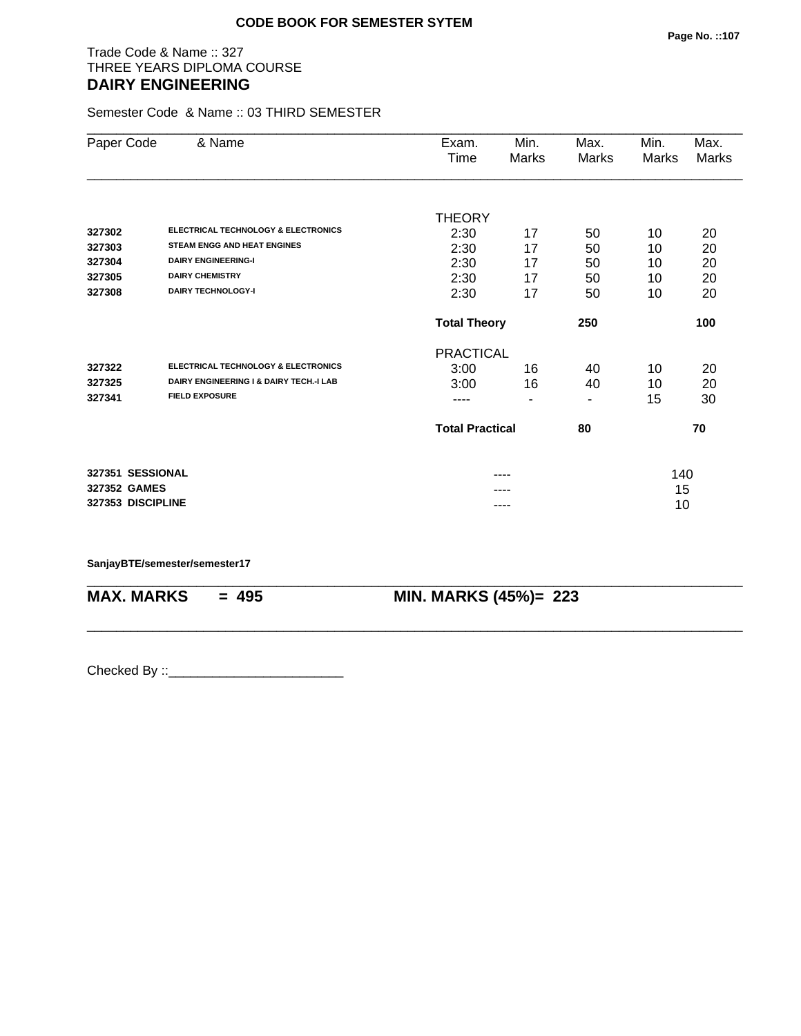## Trade Code & Name :: 327 THREE YEARS DIPLOMA COURSE **DAIRY ENGINEERING**

Semester Code & Name :: 03 THIRD SEMESTER

| Paper Code        | & Name                                         | Exam.<br>Time    | Min.<br>Marks                | Max.<br>Marks | Min.<br>Marks | Max.<br>Marks |
|-------------------|------------------------------------------------|------------------|------------------------------|---------------|---------------|---------------|
|                   |                                                |                  |                              |               |               |               |
|                   | <b>ELECTRICAL TECHNOLOGY &amp; ELECTRONICS</b> | <b>THEORY</b>    |                              |               |               |               |
| 327302            | <b>STEAM ENGG AND HEAT ENGINES</b>             | 2:30             | 17                           | 50            | 10            | 20            |
| 327303            | <b>DAIRY ENGINEERING-I</b>                     | 2:30             | 17                           | 50            | 10            | 20            |
| 327304            |                                                | 2:30             | 17                           | 50            | 10            | 20            |
| 327305            | <b>DAIRY CHEMISTRY</b>                         | 2:30             | 17                           | 50            | 10            | 20            |
| 327308            | <b>DAIRY TECHNOLOGY-I</b>                      | 2:30             | 17                           | 50            | 10            | 20            |
|                   |                                                |                  | <b>Total Theory</b><br>250   |               |               | 100           |
|                   |                                                | <b>PRACTICAL</b> |                              |               |               |               |
| 327322            | <b>ELECTRICAL TECHNOLOGY &amp; ELECTRONICS</b> | 3:00             | 16                           | 40            | 10            | 20            |
| 327325            | DAIRY ENGINEERING I & DAIRY TECH.-I LAB        | 3:00             | 16                           | 40            | 10            | 20            |
| 327341            | <b>FIELD EXPOSURE</b>                          | ----             |                              |               | 15            | 30            |
|                   |                                                |                  | <b>Total Practical</b><br>80 |               | 70            |               |
| 327351 SESSIONAL  |                                                |                  |                              |               |               |               |
| 327352 GAMES      |                                                |                  |                              |               | 140<br>15     |               |
| 327353 DISCIPLINE |                                                |                  |                              |               | 10            |               |
|                   |                                                |                  | ----                         |               |               |               |

\_\_\_\_\_\_\_\_\_\_\_\_\_\_\_\_\_\_\_\_\_\_\_\_\_\_\_\_\_\_\_\_\_\_\_\_\_\_\_\_\_\_\_\_\_\_\_\_\_\_\_\_\_\_\_\_\_\_\_\_\_\_\_\_\_\_\_\_\_\_\_\_\_\_\_\_\_\_\_\_\_\_\_\_\_\_\_\_\_\_

\_\_\_\_\_\_\_\_\_\_\_\_\_\_\_\_\_\_\_\_\_\_\_\_\_\_\_\_\_\_\_\_\_\_\_\_\_\_\_\_\_\_\_\_\_\_\_\_\_\_\_\_\_\_\_\_\_\_\_\_\_\_\_\_\_\_\_\_\_\_\_\_\_\_\_\_\_\_\_\_\_\_\_\_\_\_\_\_\_\_

#### **SanjayBTE/semester/semester17**

**MAX. MARKS = 495 MIN. MARKS (45%)= 223**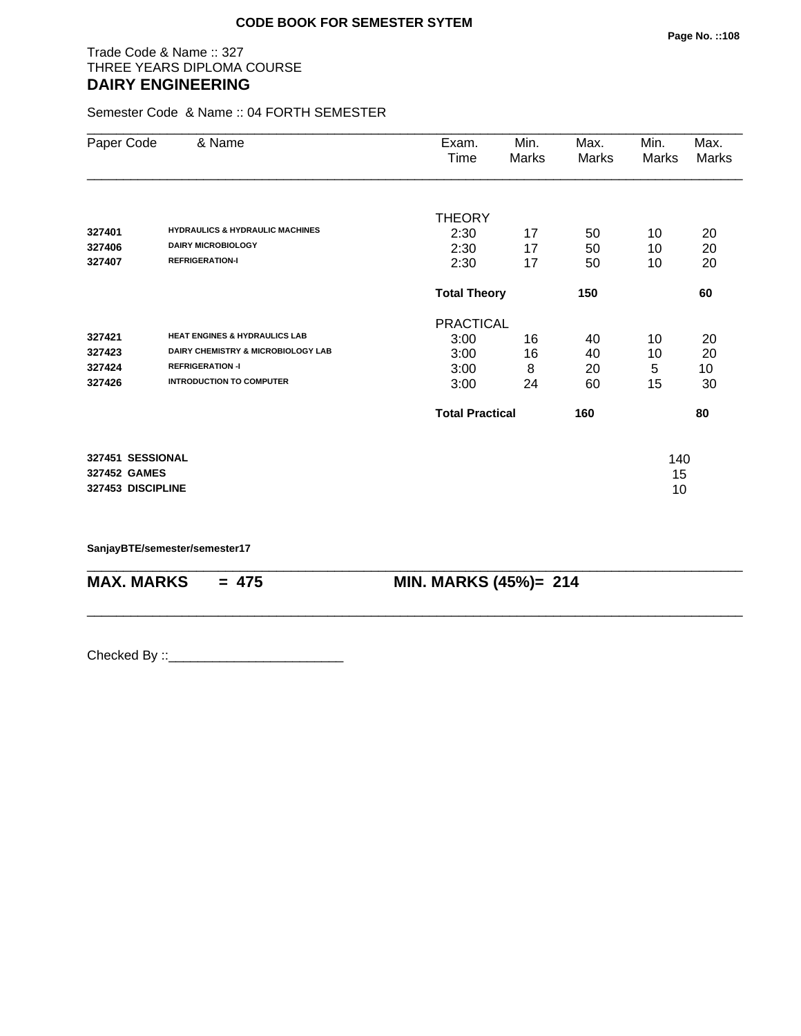## Trade Code & Name :: 327 THREE YEARS DIPLOMA COURSE **DAIRY ENGINEERING**

Semester Code & Name :: 04 FORTH SEMESTER

| Paper Code                                            | & Name                                                                                                                                       | Exam.<br>Time                                    | Min.<br>Marks          | Max.<br>Marks        | Min.<br>Marks       | Max.<br>Marks        |
|-------------------------------------------------------|----------------------------------------------------------------------------------------------------------------------------------------------|--------------------------------------------------|------------------------|----------------------|---------------------|----------------------|
| 327401<br>327406<br>327407                            | <b>HYDRAULICS &amp; HYDRAULIC MACHINES</b><br><b>DAIRY MICROBIOLOGY</b><br><b>REFRIGERATION-I</b>                                            | <b>THEORY</b><br>2:30<br>2:30<br>2:30            | 17<br>17<br>17         | 50<br>50<br>50       | 10<br>10<br>10      | 20<br>20<br>20       |
|                                                       |                                                                                                                                              |                                                  | <b>Total Theory</b>    |                      |                     | 60                   |
| 327421<br>327423<br>327424<br>327426                  | <b>HEAT ENGINES &amp; HYDRAULICS LAB</b><br>DAIRY CHEMISTRY & MICROBIOLOGY LAB<br><b>REFRIGERATION -I</b><br><b>INTRODUCTION TO COMPUTER</b> | <b>PRACTICAL</b><br>3:00<br>3:00<br>3:00<br>3:00 | 16<br>16<br>8<br>24    | 40<br>40<br>20<br>60 | 10<br>10<br>5<br>15 | 20<br>20<br>10<br>30 |
|                                                       |                                                                                                                                              |                                                  | <b>Total Practical</b> |                      | 80                  |                      |
| 327451 SESSIONAL<br>327452 GAMES<br>327453 DISCIPLINE |                                                                                                                                              |                                                  |                        |                      | 140<br>15<br>10     |                      |

\_\_\_\_\_\_\_\_\_\_\_\_\_\_\_\_\_\_\_\_\_\_\_\_\_\_\_\_\_\_\_\_\_\_\_\_\_\_\_\_\_\_\_\_\_\_\_\_\_\_\_\_\_\_\_\_\_\_\_\_\_\_\_\_\_\_\_\_\_\_\_\_\_\_\_\_\_\_\_\_\_\_\_\_\_\_\_\_\_\_

\_\_\_\_\_\_\_\_\_\_\_\_\_\_\_\_\_\_\_\_\_\_\_\_\_\_\_\_\_\_\_\_\_\_\_\_\_\_\_\_\_\_\_\_\_\_\_\_\_\_\_\_\_\_\_\_\_\_\_\_\_\_\_\_\_\_\_\_\_\_\_\_\_\_\_\_\_\_\_\_\_\_\_\_\_\_\_\_\_\_

**SanjayBTE/semester/semester17**

**MAX. MARKS = 475 MIN. MARKS (45%)= 214**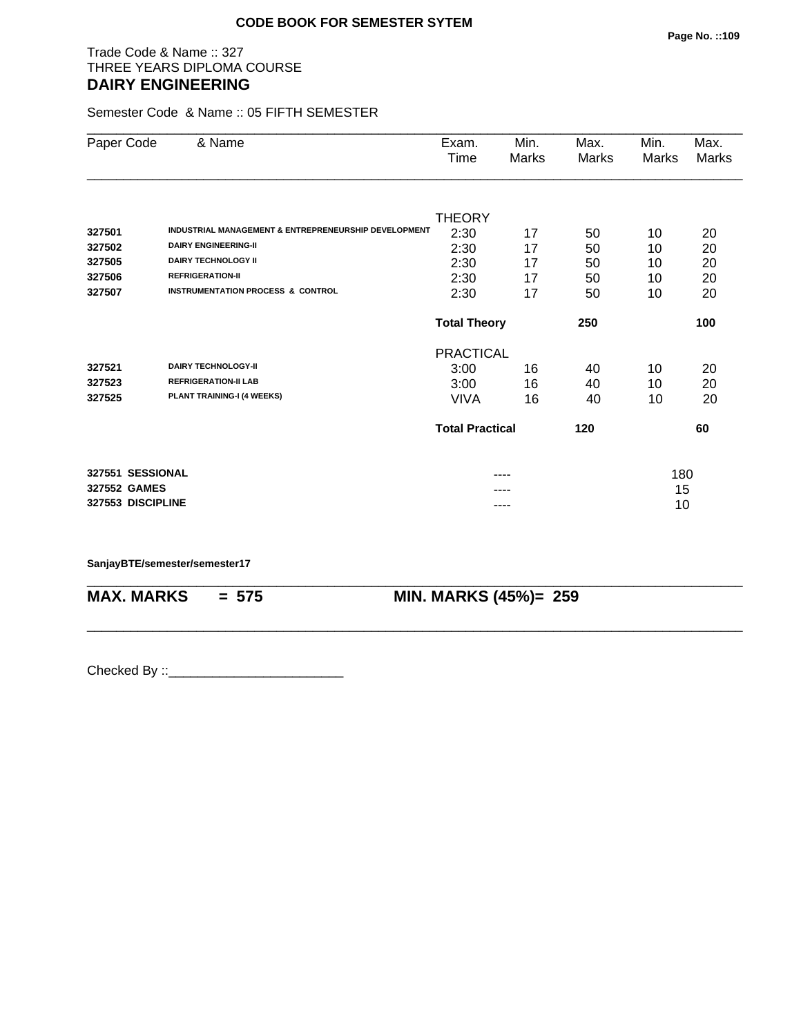# Trade Code & Name :: 327 THREE YEARS DIPLOMA COURSE **DAIRY ENGINEERING**

Semester Code & Name :: 05 FIFTH SEMESTER

| Paper Code        | & Name                                               | Exam.<br>Time          | Min.<br>Marks | Max.<br>Marks | Min.<br>Marks | Max.<br>Marks |
|-------------------|------------------------------------------------------|------------------------|---------------|---------------|---------------|---------------|
|                   |                                                      |                        |               |               |               |               |
|                   |                                                      | <b>THEORY</b>          |               |               |               |               |
| 327501            | INDUSTRIAL MANAGEMENT & ENTREPRENEURSHIP DEVELOPMENT | 2:30                   | 17            | 50            | 10            | 20            |
| 327502            | <b>DAIRY ENGINEERING-II</b>                          | 2:30                   | 17            | 50            | 10            | 20            |
| 327505            | <b>DAIRY TECHNOLOGY II</b>                           | 2:30                   | 17            | 50            | 10            | 20            |
| 327506            | <b>REFRIGERATION-II</b>                              | 2:30                   | 17            | 50            | 10            | 20            |
| 327507            | <b>INSTRUMENTATION PROCESS &amp; CONTROL</b>         | 2:30                   | 17            | 50            | 10            | 20            |
|                   |                                                      | <b>Total Theory</b>    |               | 250           |               | 100           |
|                   |                                                      | <b>PRACTICAL</b>       |               |               |               |               |
| 327521            | <b>DAIRY TECHNOLOGY-II</b>                           | 3:00                   | 16            | 40            | 10            | 20            |
| 327523            | <b>REFRIGERATION-II LAB</b>                          | 3:00                   | 16            | 40            | 10            | 20            |
| 327525            | PLANT TRAINING-I (4 WEEKS)                           | <b>VIVA</b>            | 16            | 40            | 10            | 20            |
|                   |                                                      | <b>Total Practical</b> |               | 120           |               | 60            |
| 327551 SESSIONAL  |                                                      |                        |               |               | 180           |               |
| 327552 GAMES      |                                                      |                        |               |               | 15            |               |
| 327553 DISCIPLINE |                                                      |                        | ----          |               | 10            |               |

\_\_\_\_\_\_\_\_\_\_\_\_\_\_\_\_\_\_\_\_\_\_\_\_\_\_\_\_\_\_\_\_\_\_\_\_\_\_\_\_\_\_\_\_\_\_\_\_\_\_\_\_\_\_\_\_\_\_\_\_\_\_\_\_\_\_\_\_\_\_\_\_\_\_\_\_\_\_\_\_\_\_\_\_\_\_\_\_\_\_

\_\_\_\_\_\_\_\_\_\_\_\_\_\_\_\_\_\_\_\_\_\_\_\_\_\_\_\_\_\_\_\_\_\_\_\_\_\_\_\_\_\_\_\_\_\_\_\_\_\_\_\_\_\_\_\_\_\_\_\_\_\_\_\_\_\_\_\_\_\_\_\_\_\_\_\_\_\_\_\_\_\_\_\_\_\_\_\_\_\_

#### **SanjayBTE/semester/semester17**

**MAX. MARKS = 575 MIN. MARKS (45%)= 259**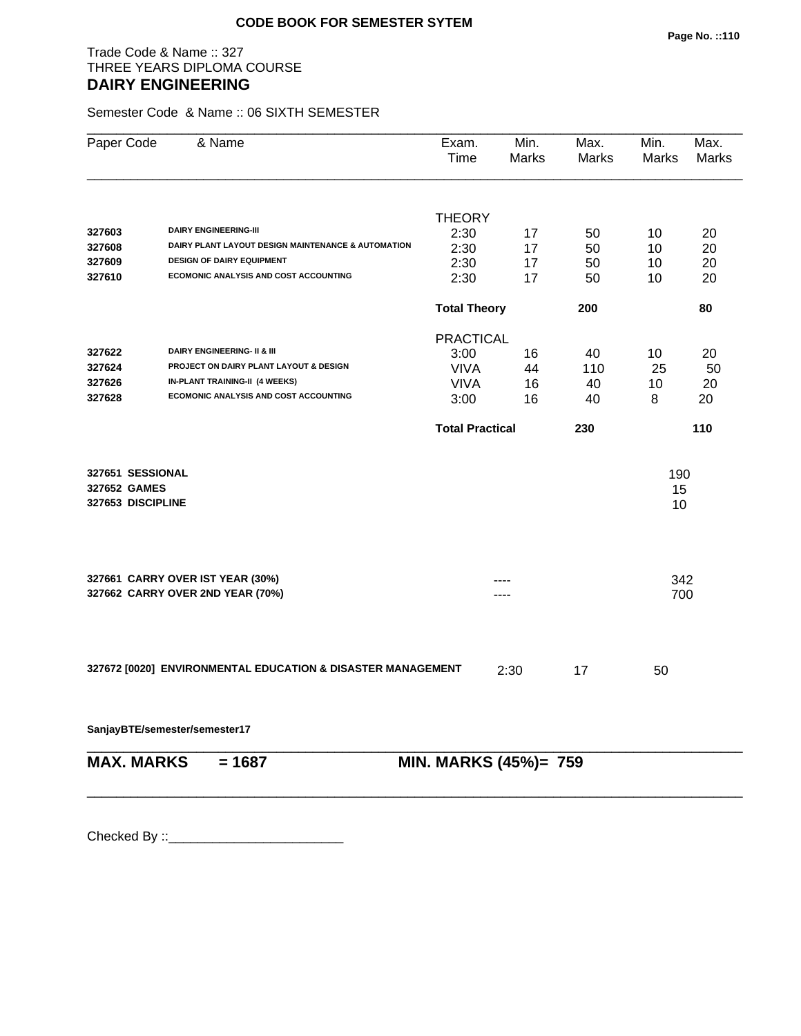# Trade Code & Name :: 327 THREE YEARS DIPLOMA COURSE **DAIRY ENGINEERING**

Semester Code & Name :: 06 SIXTH SEMESTER

| Paper Code        | & Name                                                      | Exam.<br>Time          | Min.<br>Marks | Max.<br><b>Marks</b> | Min.<br><b>Marks</b> | Max.<br>Marks |
|-------------------|-------------------------------------------------------------|------------------------|---------------|----------------------|----------------------|---------------|
|                   |                                                             | <b>THEORY</b>          |               |                      |                      |               |
| 327603            | <b>DAIRY ENGINEERING-III</b>                                | 2:30                   | 17            | 50                   | 10                   | 20            |
| 327608            | DAIRY PLANT LAYOUT DESIGN MAINTENANCE & AUTOMATION          | 2:30                   | 17            | 50                   | 10                   | 20            |
| 327609            | <b>DESIGN OF DAIRY EQUIPMENT</b>                            | 2:30                   | 17            | 50                   | 10                   | 20            |
| 327610            | ECOMONIC ANALYSIS AND COST ACCOUNTING                       | 2:30                   | 17            | 50                   | 10                   | 20            |
|                   |                                                             | <b>Total Theory</b>    |               | 200                  |                      | 80            |
|                   |                                                             | <b>PRACTICAL</b>       |               |                      |                      |               |
| 327622            | <b>DAIRY ENGINEERING- II &amp; III</b>                      | 3:00                   | 16            | 40                   | 10                   | 20            |
| 327624            | PROJECT ON DAIRY PLANT LAYOUT & DESIGN                      | <b>VIVA</b>            | 44            | 110                  | 25                   | 50            |
| 327626            | <b>IN-PLANT TRAINING-II (4 WEEKS)</b>                       | <b>VIVA</b>            | 16            | 40                   | 10                   | 20            |
| 327628            | ECOMONIC ANALYSIS AND COST ACCOUNTING                       | 3:00                   | 16            | 40                   | 8                    | 20            |
|                   |                                                             | <b>Total Practical</b> |               | 230                  |                      | 110           |
| 327651 SESSIONAL  |                                                             |                        |               |                      | 190                  |               |
| 327652 GAMES      |                                                             |                        |               |                      | 15                   |               |
| 327653 DISCIPLINE |                                                             |                        |               |                      | 10                   |               |
|                   | 327661 CARRY OVER IST YEAR (30%)                            |                        |               |                      | 342                  |               |
|                   | 327662 CARRY OVER 2ND YEAR (70%)                            |                        |               |                      | 700                  |               |
|                   |                                                             |                        |               |                      |                      |               |
|                   | 327672 [0020] ENVIRONMENTAL EDUCATION & DISASTER MANAGEMENT |                        | 2:30          | 17                   | 50                   |               |
|                   | SanjayBTE/semester/semester17                               |                        |               |                      |                      |               |
| <b>MAX. MARKS</b> | $= 1687$                                                    | MIN. MARKS (45%)= 759  |               |                      |                      |               |
|                   |                                                             |                        |               |                      |                      |               |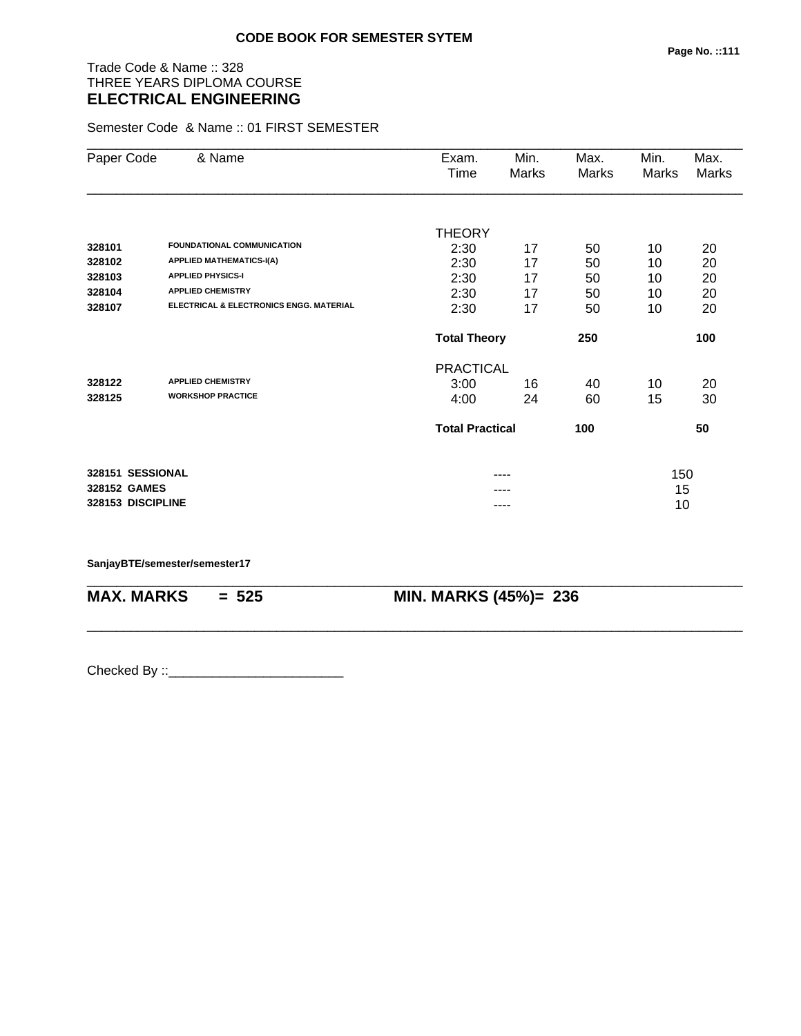# Trade Code & Name :: 328 THREE YEARS DIPLOMA COURSE **ELECTRICAL ENGINEERING**

Semester Code & Name :: 01 FIRST SEMESTER

| Paper Code        | & Name                                             | Exam.<br>Time          | Min.<br>Marks | Max.<br>Marks | Min.<br>Marks | Max.<br>Marks |
|-------------------|----------------------------------------------------|------------------------|---------------|---------------|---------------|---------------|
|                   |                                                    |                        |               |               |               |               |
|                   |                                                    | <b>THEORY</b>          |               |               |               |               |
| 328101            | <b>FOUNDATIONAL COMMUNICATION</b>                  | 2:30                   | 17            | 50            | 10            | 20            |
| 328102            | <b>APPLIED MATHEMATICS-I(A)</b>                    | 2:30                   | 17            | 50            | 10            | 20            |
| 328103            | <b>APPLIED PHYSICS-I</b>                           | 2:30                   | 17            | 50            | 10            | 20            |
| 328104            | <b>APPLIED CHEMISTRY</b>                           | 2:30                   | 17            | 50            | 10            | 20            |
| 328107            | <b>ELECTRICAL &amp; ELECTRONICS ENGG. MATERIAL</b> | 2:30                   | 17            | 50            | 10            | 20            |
|                   |                                                    | <b>Total Theory</b>    |               | 250           |               | 100           |
|                   |                                                    | <b>PRACTICAL</b>       |               |               |               |               |
| 328122            | <b>APPLIED CHEMISTRY</b>                           | 3:00                   | 16            | 40            | 10            | 20            |
| 328125            | <b>WORKSHOP PRACTICE</b>                           | 4:00                   | 24            | 60            | 15            | 30            |
|                   |                                                    | <b>Total Practical</b> |               | 100           |               | 50            |
| 328151 SESSIONAL  |                                                    |                        |               |               | 150           |               |
| 328152 GAMES      |                                                    |                        |               |               | 15            |               |
| 328153 DISCIPLINE |                                                    |                        | ----          |               | 10            |               |

\_\_\_\_\_\_\_\_\_\_\_\_\_\_\_\_\_\_\_\_\_\_\_\_\_\_\_\_\_\_\_\_\_\_\_\_\_\_\_\_\_\_\_\_\_\_\_\_\_\_\_\_\_\_\_\_\_\_\_\_\_\_\_\_\_\_\_\_\_\_\_\_\_\_\_\_\_\_\_\_\_\_\_\_\_\_\_\_\_\_

\_\_\_\_\_\_\_\_\_\_\_\_\_\_\_\_\_\_\_\_\_\_\_\_\_\_\_\_\_\_\_\_\_\_\_\_\_\_\_\_\_\_\_\_\_\_\_\_\_\_\_\_\_\_\_\_\_\_\_\_\_\_\_\_\_\_\_\_\_\_\_\_\_\_\_\_\_\_\_\_\_\_\_\_\_\_\_\_\_\_

**SanjayBTE/semester/semester17**

**MAX. MARKS = 525 MIN. MARKS (45%)= 236**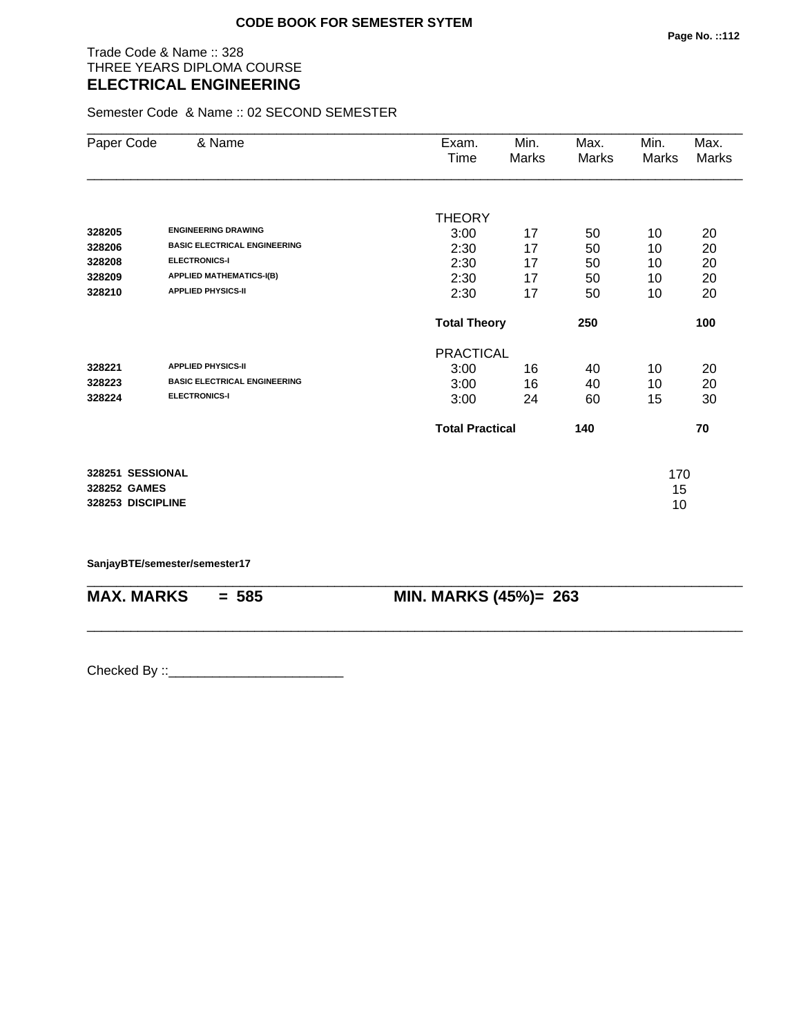Trade Code & Name :: 328 THREE YEARS DIPLOMA COURSE **ELECTRICAL ENGINEERING** 

Semester Code & Name :: 02 SECOND SEMESTER

| Paper Code        | & Name                              | Exam.                  | Min.  | Max.  | Min.  | Max.         |
|-------------------|-------------------------------------|------------------------|-------|-------|-------|--------------|
|                   |                                     | Time                   | Marks | Marks | Marks | <b>Marks</b> |
|                   |                                     |                        |       |       |       |              |
|                   |                                     | <b>THEORY</b>          |       |       |       |              |
| 328205            | <b>ENGINEERING DRAWING</b>          | 3:00                   | 17    | 50    | 10    | 20           |
| 328206            | <b>BASIC ELECTRICAL ENGINEERING</b> | 2:30                   | 17    | 50    | 10    | 20           |
| 328208            | <b>ELECTRONICS-I</b>                | 2:30                   | 17    | 50    | 10    | 20           |
| 328209            | <b>APPLIED MATHEMATICS-I(B)</b>     | 2:30                   | 17    | 50    | 10    | 20           |
| 328210            | <b>APPLIED PHYSICS-II</b>           | 2:30                   | 17    | 50    | 10    | 20           |
|                   |                                     | <b>Total Theory</b>    |       | 250   |       | 100          |
|                   |                                     | <b>PRACTICAL</b>       |       |       |       |              |
| 328221            | <b>APPLIED PHYSICS-II</b>           | 3:00                   | 16    | 40    | 10    | 20           |
| 328223            | <b>BASIC ELECTRICAL ENGINEERING</b> | 3:00                   | 16    | 40    | 10    | 20           |
| 328224            | <b>ELECTRONICS-I</b>                | 3:00                   | 24    | 60    | 15    | 30           |
|                   |                                     | <b>Total Practical</b> |       | 140   |       | 70           |
| 328251 SESSIONAL  |                                     |                        |       |       | 170   |              |
| 328252 GAMES      |                                     |                        |       |       | 15    |              |
| 328253 DISCIPLINE |                                     |                        |       |       | 10    |              |

\_\_\_\_\_\_\_\_\_\_\_\_\_\_\_\_\_\_\_\_\_\_\_\_\_\_\_\_\_\_\_\_\_\_\_\_\_\_\_\_\_\_\_\_\_\_\_\_\_\_\_\_\_\_\_\_\_\_\_\_\_\_\_\_\_\_\_\_\_\_\_\_\_\_\_\_\_\_\_\_\_\_\_\_\_\_\_\_\_\_

\_\_\_\_\_\_\_\_\_\_\_\_\_\_\_\_\_\_\_\_\_\_\_\_\_\_\_\_\_\_\_\_\_\_\_\_\_\_\_\_\_\_\_\_\_\_\_\_\_\_\_\_\_\_\_\_\_\_\_\_\_\_\_\_\_\_\_\_\_\_\_\_\_\_\_\_\_\_\_\_\_\_\_\_\_\_\_\_\_\_

**SanjayBTE/semester/semester17**

**MAX. MARKS = 585 MIN. MARKS (45%)= 263**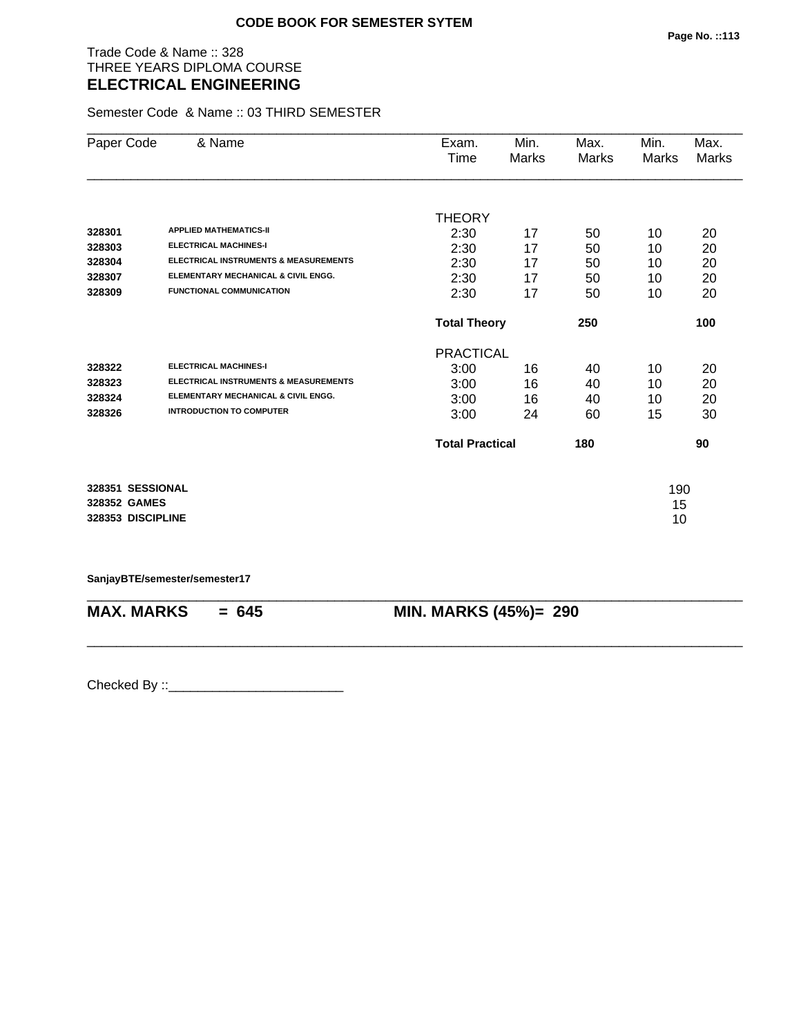Trade Code & Name :: 328 THREE YEARS DIPLOMA COURSE **ELECTRICAL ENGINEERING** 

Semester Code & Name :: 03 THIRD SEMESTER

| Paper Code        | & Name                                           | Exam.                  | Min.  | Max.  | Min.  | Max.  |
|-------------------|--------------------------------------------------|------------------------|-------|-------|-------|-------|
|                   |                                                  | Time                   | Marks | Marks | Marks | Marks |
|                   |                                                  |                        |       |       |       |       |
|                   |                                                  | <b>THEORY</b>          |       |       |       |       |
| 328301            | <b>APPLIED MATHEMATICS-II</b>                    | 2:30                   | 17    | 50    | 10    | 20    |
| 328303            | <b>ELECTRICAL MACHINES-I</b>                     | 2:30                   | 17    | 50    | 10    | 20    |
| 328304            | <b>ELECTRICAL INSTRUMENTS &amp; MEASUREMENTS</b> | 2:30                   | 17    | 50    | 10    | 20    |
| 328307            | ELEMENTARY MECHANICAL & CIVIL ENGG.              | 2:30                   | 17    | 50    | 10    | 20    |
| 328309            | <b>FUNCTIONAL COMMUNICATION</b>                  | 2:30                   | 17    | 50    | 10    | 20    |
|                   |                                                  | <b>Total Theory</b>    |       | 250   |       | 100   |
|                   |                                                  | <b>PRACTICAL</b>       |       |       |       |       |
| 328322            | <b>ELECTRICAL MACHINES-I</b>                     | 3:00                   | 16    | 40    | 10    | 20    |
| 328323            | <b>ELECTRICAL INSTRUMENTS &amp; MEASUREMENTS</b> | 3:00                   | 16    | 40    | 10    | 20    |
| 328324            | ELEMENTARY MECHANICAL & CIVIL ENGG.              | 3:00                   | 16    | 40    | 10    | 20    |
| 328326            | <b>INTRODUCTION TO COMPUTER</b>                  | 3:00                   | 24    | 60    | 15    | 30    |
|                   |                                                  | <b>Total Practical</b> |       | 180   |       | 90    |
| 328351 SESSIONAL  |                                                  |                        |       |       | 190   |       |
| 328352 GAMES      |                                                  |                        |       |       | 15    |       |
| 328353 DISCIPLINE |                                                  |                        |       |       | 10    |       |

**SanjayBTE/semester/semester17**

| $MAX. \, MARKS = 645$ | <b>MIN. MARKS (45%)= 290</b> |
|-----------------------|------------------------------|
|                       |                              |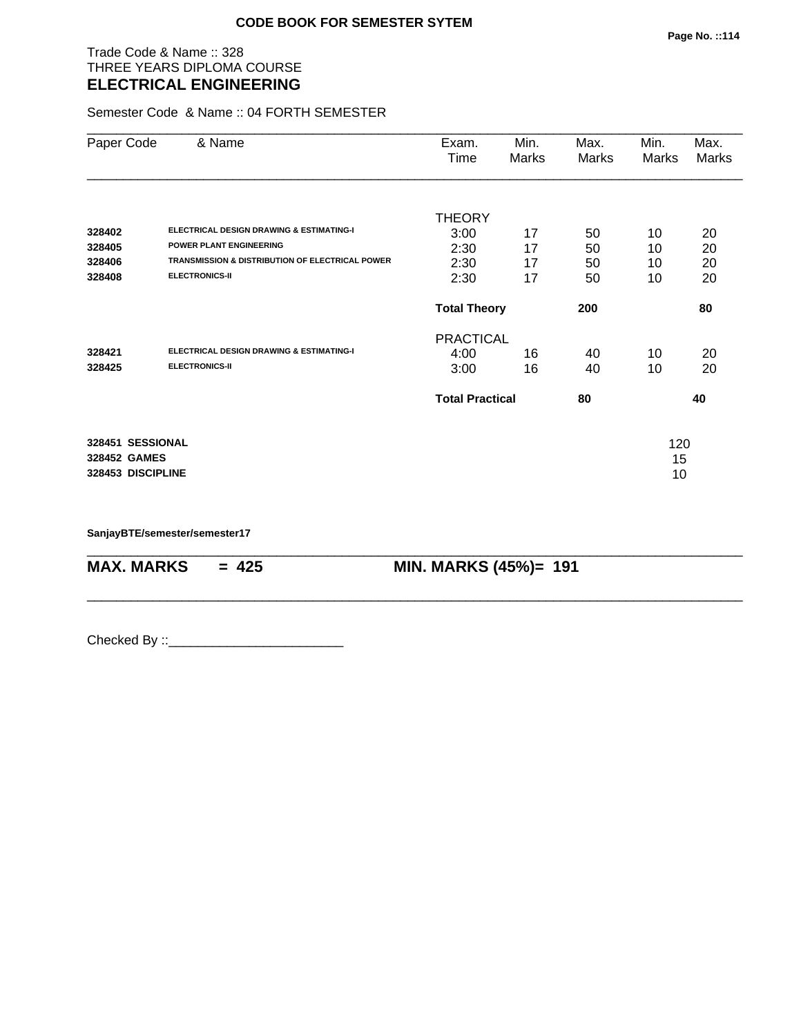### Trade Code & Name :: 328 THREE YEARS DIPLOMA COURSE **ELECTRICAL ENGINEERING**

Semester Code & Name :: 04 FORTH SEMESTER

| Paper Code        | & Name                                                     | Exam.<br>Time          | Min.<br>Marks | Max.<br>Marks | Min.<br>Marks | Max.<br>Marks |
|-------------------|------------------------------------------------------------|------------------------|---------------|---------------|---------------|---------------|
|                   |                                                            | <b>THEORY</b>          |               |               |               |               |
| 328402            | <b>ELECTRICAL DESIGN DRAWING &amp; ESTIMATING-I</b>        | 3:00                   | 17            | 50            | 10            | 20            |
| 328405            | <b>POWER PLANT ENGINEERING</b>                             | 2:30                   | 17            | 50            | 10            | 20            |
| 328406            | <b>TRANSMISSION &amp; DISTRIBUTION OF ELECTRICAL POWER</b> | 2:30                   | 17            | 50            | 10            | 20            |
| 328408            | <b>ELECTRONICS-II</b>                                      | 2:30                   | 17            | 50            | 10            | 20            |
|                   |                                                            | <b>Total Theory</b>    |               | 200           |               | 80            |
|                   |                                                            | <b>PRACTICAL</b>       |               |               |               |               |
| 328421            | <b>ELECTRICAL DESIGN DRAWING &amp; ESTIMATING-I</b>        | 4:00                   | 16            | 40            | 10            | 20            |
| 328425            | <b>ELECTRONICS-II</b>                                      | 3:00                   | 16            | 40            | 10            | 20            |
|                   |                                                            | <b>Total Practical</b> |               | 80            |               | 40            |
| 328451 SESSIONAL  |                                                            |                        |               |               | 120           |               |
| 328452 GAMES      |                                                            |                        |               |               | 15            |               |
| 328453 DISCIPLINE |                                                            |                        |               |               | 10            |               |

\_\_\_\_\_\_\_\_\_\_\_\_\_\_\_\_\_\_\_\_\_\_\_\_\_\_\_\_\_\_\_\_\_\_\_\_\_\_\_\_\_\_\_\_\_\_\_\_\_\_\_\_\_\_\_\_\_\_\_\_\_\_\_\_\_\_\_\_\_\_\_\_\_\_\_\_\_\_\_\_\_\_\_\_\_\_\_\_\_\_

\_\_\_\_\_\_\_\_\_\_\_\_\_\_\_\_\_\_\_\_\_\_\_\_\_\_\_\_\_\_\_\_\_\_\_\_\_\_\_\_\_\_\_\_\_\_\_\_\_\_\_\_\_\_\_\_\_\_\_\_\_\_\_\_\_\_\_\_\_\_\_\_\_\_\_\_\_\_\_\_\_\_\_\_\_\_\_\_\_\_

**SanjayBTE/semester/semester17**

**MAX. MARKS = 425 MIN. MARKS (45%)= 191**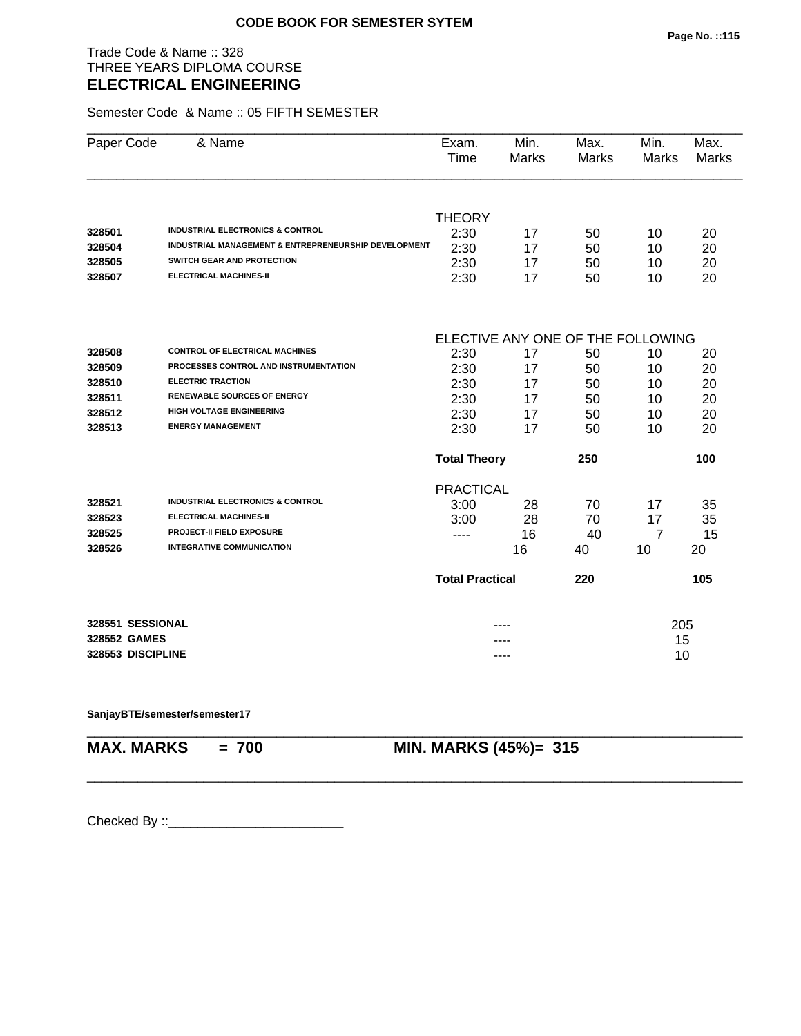Trade Code & Name :: 328 THREE YEARS DIPLOMA COURSE **ELECTRICAL ENGINEERING** 

Semester Code & Name :: 05 FIFTH SEMESTER

| Paper Code        | & Name                                                          | Exam.<br>Time          | Min.<br>Marks | Max.<br><b>Marks</b>              | Min.<br>Marks  | Max.<br><b>Marks</b> |
|-------------------|-----------------------------------------------------------------|------------------------|---------------|-----------------------------------|----------------|----------------------|
|                   |                                                                 |                        |               |                                   |                |                      |
|                   |                                                                 | <b>THEORY</b>          |               |                                   |                |                      |
| 328501            | <b>INDUSTRIAL ELECTRONICS &amp; CONTROL</b>                     | 2:30                   | 17            | 50                                | 10             | 20                   |
| 328504            | <b>INDUSTRIAL MANAGEMENT &amp; ENTREPRENEURSHIP DEVELOPMENT</b> | 2:30                   | 17            | 50                                | 10             | 20                   |
| 328505            | <b>SWITCH GEAR AND PROTECTION</b>                               | 2:30                   | 17            | 50                                | 10             | 20                   |
| 328507            | <b>ELECTRICAL MACHINES-II</b>                                   | 2:30                   | 17            | 50                                | 10             | 20                   |
|                   |                                                                 |                        |               |                                   |                |                      |
|                   | <b>CONTROL OF ELECTRICAL MACHINES</b>                           |                        |               | ELECTIVE ANY ONE OF THE FOLLOWING |                |                      |
| 328508<br>328509  | PROCESSES CONTROL AND INSTRUMENTATION                           | 2:30                   | 17            | 50                                | 10             | 20                   |
| 328510            | <b>ELECTRIC TRACTION</b>                                        | 2:30                   | 17            | 50                                | 10             | 20                   |
| 328511            | <b>RENEWABLE SOURCES OF ENERGY</b>                              | 2:30                   | 17            | 50                                | 10             | 20                   |
| 328512            | <b>HIGH VOLTAGE ENGINEERING</b>                                 | 2:30                   | 17            | 50                                | 10             | 20                   |
| 328513            | <b>ENERGY MANAGEMENT</b>                                        | 2:30                   | 17            | 50                                | 10             | 20                   |
|                   |                                                                 | 2:30                   | 17            | 50                                | 10             | 20                   |
|                   |                                                                 | <b>Total Theory</b>    |               | 250                               |                | 100                  |
|                   |                                                                 | <b>PRACTICAL</b>       |               |                                   |                |                      |
| 328521            | <b>INDUSTRIAL ELECTRONICS &amp; CONTROL</b>                     | 3:00                   | 28            | 70                                | 17             | 35                   |
| 328523            | <b>ELECTRICAL MACHINES-II</b>                                   | 3:00                   | 28            | 70                                | 17             | 35                   |
| 328525            | <b>PROJECT-II FIELD EXPOSURE</b>                                | $---$                  | 16            | 40                                | $\overline{7}$ | 15                   |
| 328526            | <b>INTEGRATIVE COMMUNICATION</b>                                |                        | 16            | 40                                | 10             | 20                   |
|                   |                                                                 | <b>Total Practical</b> |               | 220                               |                | 105                  |
| 328551 SESSIONAL  |                                                                 |                        |               |                                   | 205            |                      |
| 328552 GAMES      |                                                                 |                        |               |                                   | 15             |                      |
| 328553 DISCIPLINE |                                                                 |                        | ----          |                                   | 10             |                      |
|                   |                                                                 |                        |               |                                   |                |                      |

\_\_\_\_\_\_\_\_\_\_\_\_\_\_\_\_\_\_\_\_\_\_\_\_\_\_\_\_\_\_\_\_\_\_\_\_\_\_\_\_\_\_\_\_\_\_\_\_\_\_\_\_\_\_\_\_\_\_\_\_\_\_\_\_\_\_\_\_\_\_\_\_\_\_\_\_\_\_\_\_\_\_\_\_\_\_\_\_\_\_

#### **SanjayBTE/semester/semester17**

\_\_\_\_\_\_\_\_\_\_\_\_\_\_\_\_\_\_\_\_\_\_\_\_\_\_\_\_\_\_\_\_\_\_\_\_\_\_\_\_\_\_\_\_\_\_\_\_\_\_\_\_\_\_\_\_\_\_\_\_\_\_\_\_\_\_\_\_\_\_\_\_\_\_\_\_\_\_\_\_\_\_\_\_\_\_\_\_\_\_

**MAX. MARKS = 700 MIN. MARKS (45%)= 315**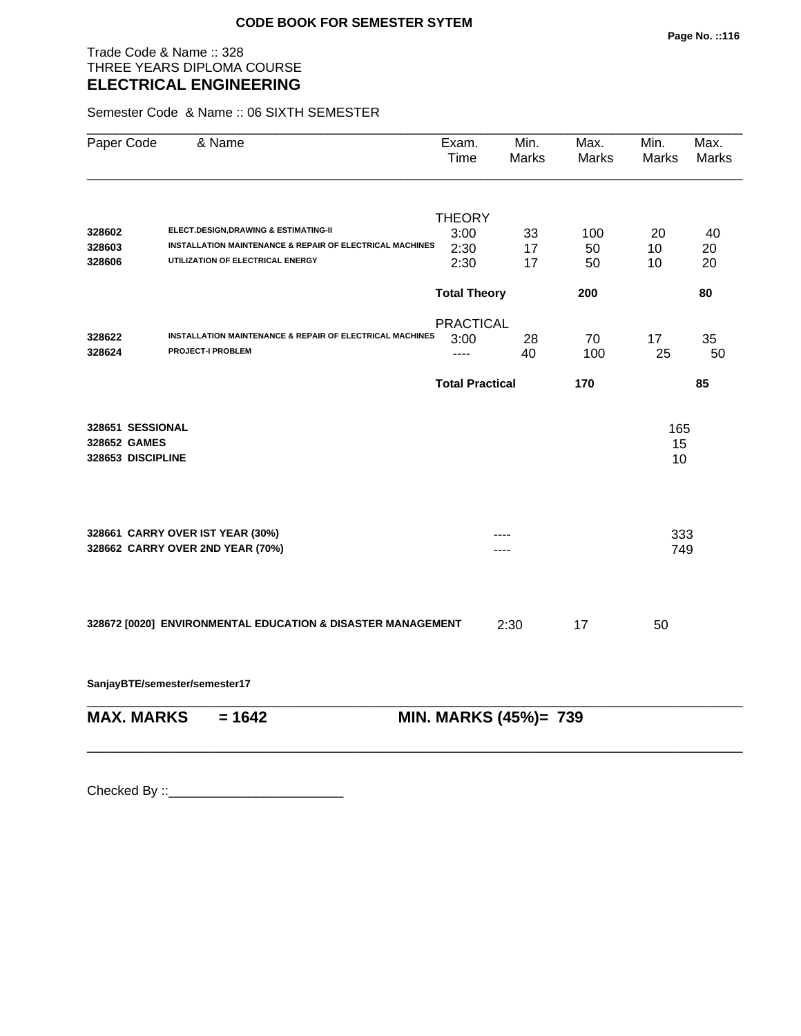Trade Code & Name :: 328 THREE YEARS DIPLOMA COURSE **ELECTRICAL ENGINEERING** 

Semester Code & Name :: 06 SIXTH SEMESTER

| Paper Code                                            | & Name                                                      | Exam.<br><b>Time</b>   | Min.<br>Marks         | Max.<br>Marks | Min.<br><b>Marks</b> | Max.<br>Marks |
|-------------------------------------------------------|-------------------------------------------------------------|------------------------|-----------------------|---------------|----------------------|---------------|
|                                                       |                                                             | <b>THEORY</b>          |                       |               |                      |               |
| 328602                                                | ELECT.DESIGN, DRAWING & ESTIMATING-II                       | 3:00                   | 33                    | 100           | 20                   | 40            |
| 328603                                                | INSTALLATION MAINTENANCE & REPAIR OF ELECTRICAL MACHINES    | 2:30                   | 17                    | 50            | 10                   | 20            |
| 328606                                                | UTILIZATION OF ELECTRICAL ENERGY                            | 2:30                   | 17                    | 50            | 10                   | 20            |
|                                                       |                                                             | <b>Total Theory</b>    |                       | 200           |                      | 80            |
|                                                       |                                                             | <b>PRACTICAL</b>       |                       |               |                      |               |
| 328622                                                | INSTALLATION MAINTENANCE & REPAIR OF ELECTRICAL MACHINES    | 3:00                   | 28                    | 70            | 17                   | 35            |
| 328624                                                | <b>PROJECT-I PROBLEM</b>                                    | ----                   | 40                    | 100           | 25                   | 50            |
|                                                       |                                                             | <b>Total Practical</b> |                       | 170           |                      | 85            |
| 328651 SESSIONAL<br>328652 GAMES<br>328653 DISCIPLINE |                                                             |                        |                       |               | 165<br>15<br>10      |               |
|                                                       | 328661 CARRY OVER IST YEAR (30%)                            |                        |                       |               | 333                  |               |
|                                                       | 328662 CARRY OVER 2ND YEAR (70%)                            |                        |                       |               | 749                  |               |
|                                                       | 328672 [0020] ENVIRONMENTAL EDUCATION & DISASTER MANAGEMENT |                        | 2:30                  | 17            | 50                   |               |
|                                                       | SanjayBTE/semester/semester17                               |                        |                       |               |                      |               |
| <b>MAX. MARKS</b>                                     | $= 1642$                                                    |                        | MIN. MARKS (45%)= 739 |               |                      |               |

\_\_\_\_\_\_\_\_\_\_\_\_\_\_\_\_\_\_\_\_\_\_\_\_\_\_\_\_\_\_\_\_\_\_\_\_\_\_\_\_\_\_\_\_\_\_\_\_\_\_\_\_\_\_\_\_\_\_\_\_\_\_\_\_\_\_\_\_\_\_\_\_\_\_\_\_\_\_\_\_\_\_\_\_\_\_\_\_\_\_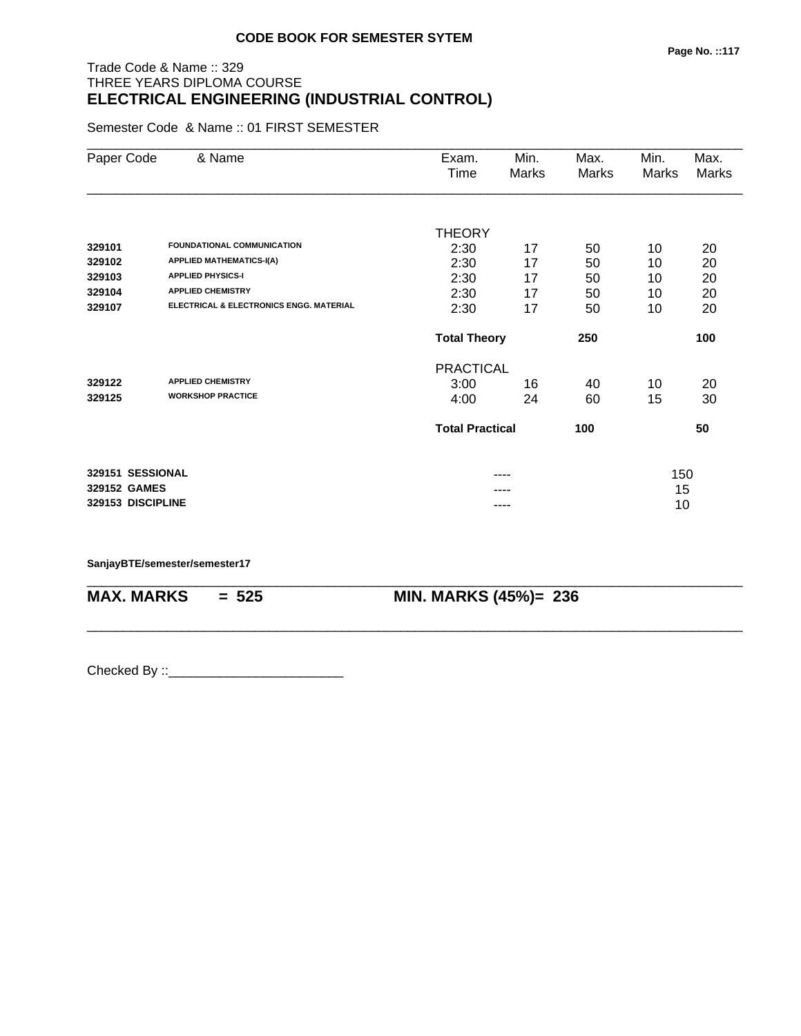# Trade Code & Name :: 329 THREE YEARS DIPLOMA COURSE **ELECTRICAL ENGINEERING (INDUSTRIAL CONTROL)**

Semester Code & Name :: 01 FIRST SEMESTER

| Paper Code        | & Name                                             | Exam.                  | Min.  | Max.  | Min.  | Max.         |
|-------------------|----------------------------------------------------|------------------------|-------|-------|-------|--------------|
|                   |                                                    | Time                   | Marks | Marks | Marks | <b>Marks</b> |
|                   |                                                    |                        |       |       |       |              |
|                   |                                                    | <b>THEORY</b>          |       |       |       |              |
| 329101            | <b>FOUNDATIONAL COMMUNICATION</b>                  | 2:30                   | 17    | 50    | 10    | 20           |
| 329102            | <b>APPLIED MATHEMATICS-I(A)</b>                    | 2:30                   | 17    | 50    | 10    | 20           |
| 329103            | <b>APPLIED PHYSICS-I</b>                           | 2:30                   | 17    | 50    | 10    | 20           |
| 329104            | <b>APPLIED CHEMISTRY</b>                           | 2:30                   | 17    | 50    | 10    | 20           |
| 329107            | <b>ELECTRICAL &amp; ELECTRONICS ENGG. MATERIAL</b> | 2:30                   | 17    | 50    | 10    | 20           |
|                   |                                                    | <b>Total Theory</b>    |       | 250   |       | 100          |
|                   |                                                    | <b>PRACTICAL</b>       |       |       |       |              |
| 329122            | <b>APPLIED CHEMISTRY</b>                           | 3:00                   | 16    | 40    | 10    | 20           |
| 329125            | <b>WORKSHOP PRACTICE</b>                           | 4:00                   | 24    | 60    | 15    | 30           |
|                   |                                                    | <b>Total Practical</b> |       | 100   |       | 50           |
| 329151 SESSIONAL  |                                                    |                        | ----  |       | 150   |              |
| 329152 GAMES      |                                                    |                        |       |       | 15    |              |
| 329153 DISCIPLINE |                                                    |                        | ----  |       | 10    |              |
|                   |                                                    |                        |       |       |       |              |

\_\_\_\_\_\_\_\_\_\_\_\_\_\_\_\_\_\_\_\_\_\_\_\_\_\_\_\_\_\_\_\_\_\_\_\_\_\_\_\_\_\_\_\_\_\_\_\_\_\_\_\_\_\_\_\_\_\_\_\_\_\_\_\_\_\_\_\_\_\_\_\_\_\_\_\_\_\_\_\_\_\_\_\_\_\_\_\_\_\_

\_\_\_\_\_\_\_\_\_\_\_\_\_\_\_\_\_\_\_\_\_\_\_\_\_\_\_\_\_\_\_\_\_\_\_\_\_\_\_\_\_\_\_\_\_\_\_\_\_\_\_\_\_\_\_\_\_\_\_\_\_\_\_\_\_\_\_\_\_\_\_\_\_\_\_\_\_\_\_\_\_\_\_\_\_\_\_\_\_\_

**SanjayBTE/semester/semester17**

**MAX. MARKS = 525 MIN. MARKS (45%)= 236**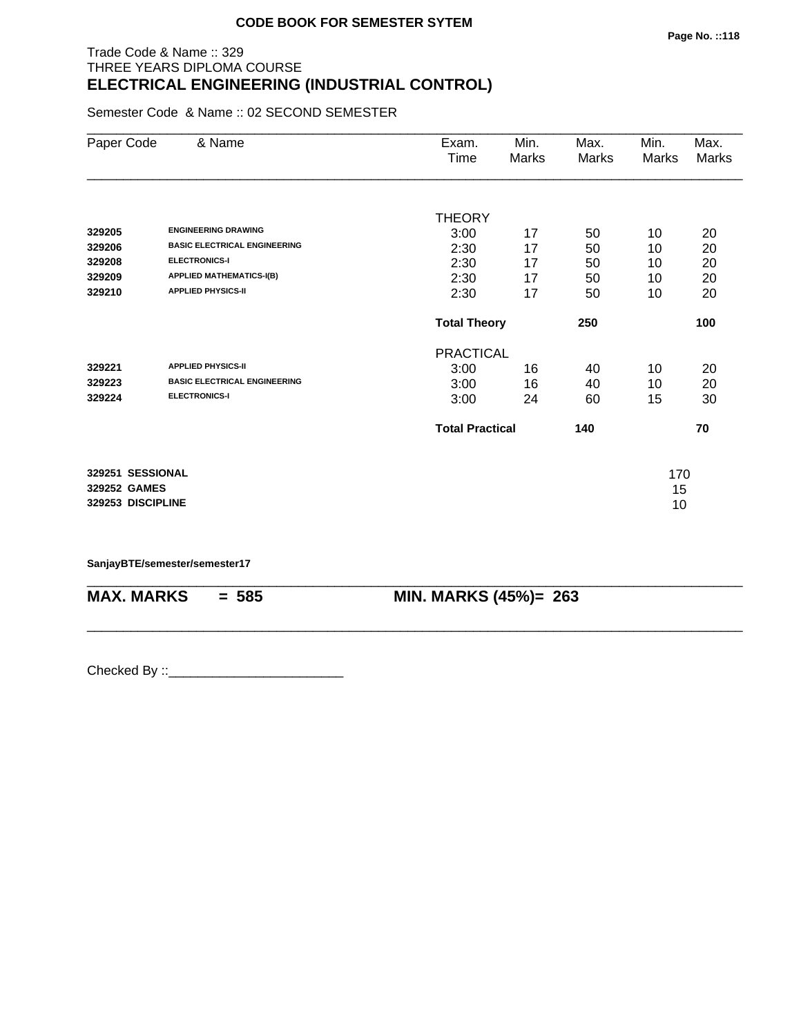# Trade Code & Name :: 329 THREE YEARS DIPLOMA COURSE **ELECTRICAL ENGINEERING (INDUSTRIAL CONTROL)**

Semester Code & Name :: 02 SECOND SEMESTER

| Paper Code        | & Name                              | Exam.                  | Min.  | Max.  | Min.  | Max.         |
|-------------------|-------------------------------------|------------------------|-------|-------|-------|--------------|
|                   |                                     | Time                   | Marks | Marks | Marks | <b>Marks</b> |
|                   |                                     |                        |       |       |       |              |
|                   |                                     | <b>THEORY</b>          |       |       |       |              |
| 329205            | <b>ENGINEERING DRAWING</b>          | 3:00                   | 17    | 50    | 10    | 20           |
| 329206            | <b>BASIC ELECTRICAL ENGINEERING</b> | 2:30                   | 17    | 50    | 10    | 20           |
| 329208            | <b>ELECTRONICS-I</b>                | 2:30                   | 17    | 50    | 10    | 20           |
| 329209            | <b>APPLIED MATHEMATICS-I(B)</b>     | 2:30                   | 17    | 50    | 10    | 20           |
| 329210            | <b>APPLIED PHYSICS-II</b>           | 2:30                   | 17    | 50    | 10    | 20           |
|                   |                                     | <b>Total Theory</b>    |       | 250   |       | 100          |
|                   |                                     | <b>PRACTICAL</b>       |       |       |       |              |
| 329221            | <b>APPLIED PHYSICS-II</b>           | 3:00                   | 16    | 40    | 10    | 20           |
| 329223            | <b>BASIC ELECTRICAL ENGINEERING</b> | 3:00                   | 16    | 40    | 10    | 20           |
| 329224            | <b>ELECTRONICS-I</b>                | 3:00                   | 24    | 60    | 15    | 30           |
|                   |                                     | <b>Total Practical</b> |       | 140   |       | 70           |
| 329251 SESSIONAL  |                                     |                        |       |       | 170   |              |
| 329252 GAMES      |                                     |                        |       |       | 15    |              |
| 329253 DISCIPLINE |                                     |                        |       |       | 10    |              |

\_\_\_\_\_\_\_\_\_\_\_\_\_\_\_\_\_\_\_\_\_\_\_\_\_\_\_\_\_\_\_\_\_\_\_\_\_\_\_\_\_\_\_\_\_\_\_\_\_\_\_\_\_\_\_\_\_\_\_\_\_\_\_\_\_\_\_\_\_\_\_\_\_\_\_\_\_\_\_\_\_\_\_\_\_\_\_\_\_\_

\_\_\_\_\_\_\_\_\_\_\_\_\_\_\_\_\_\_\_\_\_\_\_\_\_\_\_\_\_\_\_\_\_\_\_\_\_\_\_\_\_\_\_\_\_\_\_\_\_\_\_\_\_\_\_\_\_\_\_\_\_\_\_\_\_\_\_\_\_\_\_\_\_\_\_\_\_\_\_\_\_\_\_\_\_\_\_\_\_\_

**SanjayBTE/semester/semester17**

**MAX. MARKS = 585 MIN. MARKS (45%)= 263**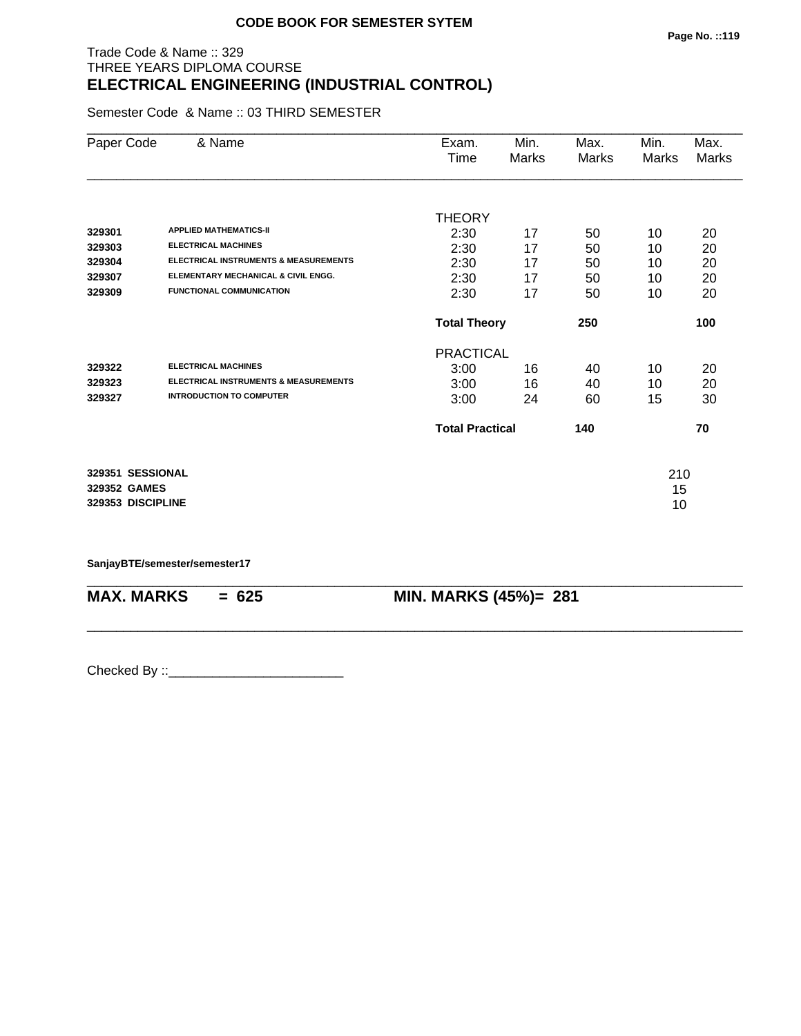# Trade Code & Name :: 329 THREE YEARS DIPLOMA COURSE **ELECTRICAL ENGINEERING (INDUSTRIAL CONTROL)**

Semester Code & Name :: 03 THIRD SEMESTER

| Paper Code        | & Name                                           | Exam.                  | Min.  | Max.  | Min.  | Max.         |
|-------------------|--------------------------------------------------|------------------------|-------|-------|-------|--------------|
|                   |                                                  | Time                   | Marks | Marks | Marks | <b>Marks</b> |
|                   |                                                  |                        |       |       |       |              |
|                   |                                                  | <b>THEORY</b>          |       |       |       |              |
| 329301            | <b>APPLIED MATHEMATICS-II</b>                    | 2:30                   | 17    | 50    | 10    | 20           |
| 329303            | <b>ELECTRICAL MACHINES</b>                       | 2:30                   | 17    | 50    | 10    | 20           |
| 329304            | <b>ELECTRICAL INSTRUMENTS &amp; MEASUREMENTS</b> | 2:30                   | 17    | 50    | 10    | 20           |
| 329307            | ELEMENTARY MECHANICAL & CIVIL ENGG.              | 2:30                   | 17    | 50    | 10    | 20           |
| 329309            | <b>FUNCTIONAL COMMUNICATION</b>                  | 2:30                   | 17    | 50    | 10    | 20           |
|                   |                                                  | <b>Total Theory</b>    |       | 250   |       | 100          |
|                   |                                                  | <b>PRACTICAL</b>       |       |       |       |              |
| 329322            | <b>ELECTRICAL MACHINES</b>                       | 3:00                   | 16    | 40    | 10    | 20           |
| 329323            | <b>ELECTRICAL INSTRUMENTS &amp; MEASUREMENTS</b> | 3:00                   | 16    | 40    | 10    | 20           |
| 329327            | <b>INTRODUCTION TO COMPUTER</b>                  | 3:00                   | 24    | 60    | 15    | 30           |
|                   |                                                  | <b>Total Practical</b> |       | 140   |       | 70           |
| 329351 SESSIONAL  |                                                  |                        |       |       | 210   |              |
| 329352 GAMES      |                                                  |                        |       |       | 15    |              |
| 329353 DISCIPLINE |                                                  |                        |       |       | 10    |              |
|                   |                                                  |                        |       |       |       |              |

\_\_\_\_\_\_\_\_\_\_\_\_\_\_\_\_\_\_\_\_\_\_\_\_\_\_\_\_\_\_\_\_\_\_\_\_\_\_\_\_\_\_\_\_\_\_\_\_\_\_\_\_\_\_\_\_\_\_\_\_\_\_\_\_\_\_\_\_\_\_\_\_\_\_\_\_\_\_\_\_\_\_\_\_\_\_\_\_\_\_

\_\_\_\_\_\_\_\_\_\_\_\_\_\_\_\_\_\_\_\_\_\_\_\_\_\_\_\_\_\_\_\_\_\_\_\_\_\_\_\_\_\_\_\_\_\_\_\_\_\_\_\_\_\_\_\_\_\_\_\_\_\_\_\_\_\_\_\_\_\_\_\_\_\_\_\_\_\_\_\_\_\_\_\_\_\_\_\_\_\_

**SanjayBTE/semester/semester17**

**MAX. MARKS = 625 MIN. MARKS (45%)= 281**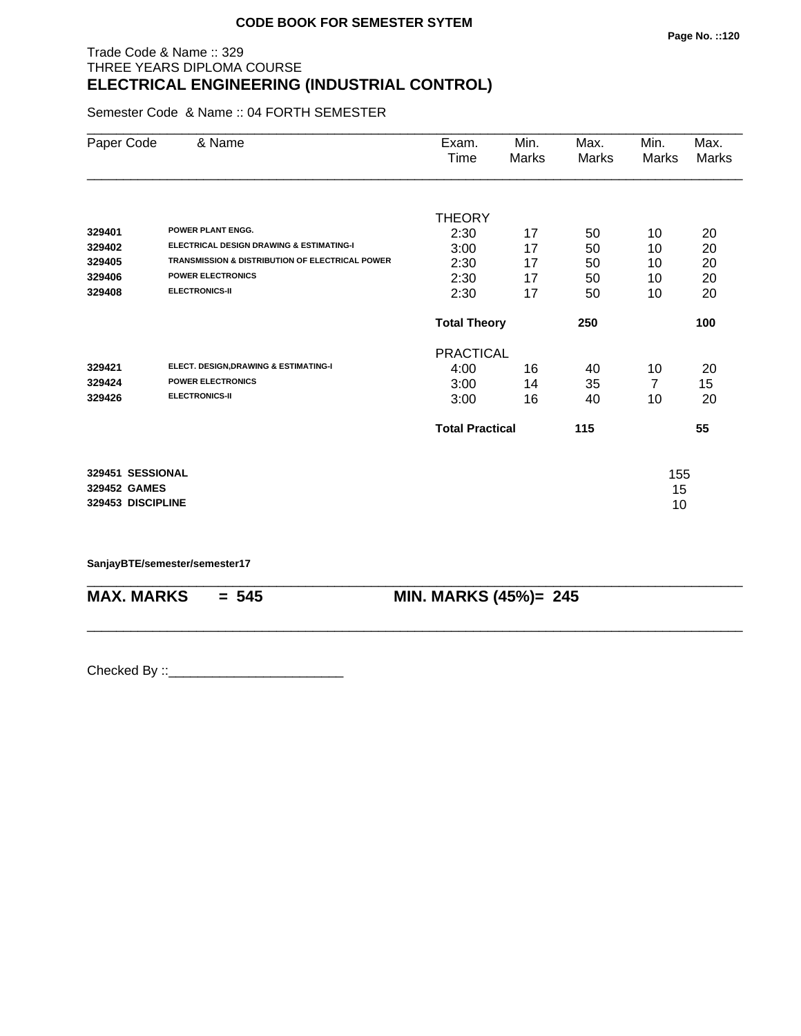# Trade Code & Name :: 329 THREE YEARS DIPLOMA COURSE **ELECTRICAL ENGINEERING (INDUSTRIAL CONTROL)**

Semester Code & Name :: 04 FORTH SEMESTER

| Paper Code        | & Name                                                     | Exam.                  | Min.  | Max.  | Min.  | Max.  |
|-------------------|------------------------------------------------------------|------------------------|-------|-------|-------|-------|
|                   |                                                            | Time                   | Marks | Marks | Marks | Marks |
|                   |                                                            |                        |       |       |       |       |
|                   |                                                            | <b>THEORY</b>          |       |       |       |       |
| 329401            | <b>POWER PLANT ENGG.</b>                                   | 2:30                   | 17    | 50    | 10    | 20    |
| 329402            | <b>ELECTRICAL DESIGN DRAWING &amp; ESTIMATING-I</b>        | 3:00                   | 17    | 50    | 10    | 20    |
| 329405            | <b>TRANSMISSION &amp; DISTRIBUTION OF ELECTRICAL POWER</b> | 2:30                   | 17    | 50    | 10    | 20    |
| 329406            | <b>POWER ELECTRONICS</b>                                   | 2:30                   | 17    | 50    | 10    | 20    |
| 329408            | <b>ELECTRONICS-II</b>                                      | 2:30                   | 17    | 50    | 10    | 20    |
|                   |                                                            | <b>Total Theory</b>    |       | 250   |       | 100   |
|                   |                                                            | <b>PRACTICAL</b>       |       |       |       |       |
| 329421            | ELECT. DESIGN, DRAWING & ESTIMATING-I                      | 4:00                   | 16    | 40    | 10    | 20    |
| 329424            | <b>POWER ELECTRONICS</b>                                   | 3:00                   | 14    | 35    | 7     | 15    |
| 329426            | <b>ELECTRONICS-II</b>                                      | 3:00                   | 16    | 40    | 10    | 20    |
|                   |                                                            | <b>Total Practical</b> |       | 115   |       | 55    |
| 329451 SESSIONAL  |                                                            |                        |       |       | 155   |       |
| 329452 GAMES      |                                                            |                        |       |       | 15    |       |
| 329453 DISCIPLINE |                                                            |                        |       |       | 10    |       |
|                   |                                                            |                        |       |       |       |       |

\_\_\_\_\_\_\_\_\_\_\_\_\_\_\_\_\_\_\_\_\_\_\_\_\_\_\_\_\_\_\_\_\_\_\_\_\_\_\_\_\_\_\_\_\_\_\_\_\_\_\_\_\_\_\_\_\_\_\_\_\_\_\_\_\_\_\_\_\_\_\_\_\_\_\_\_\_\_\_\_\_\_\_\_\_\_\_\_\_\_

\_\_\_\_\_\_\_\_\_\_\_\_\_\_\_\_\_\_\_\_\_\_\_\_\_\_\_\_\_\_\_\_\_\_\_\_\_\_\_\_\_\_\_\_\_\_\_\_\_\_\_\_\_\_\_\_\_\_\_\_\_\_\_\_\_\_\_\_\_\_\_\_\_\_\_\_\_\_\_\_\_\_\_\_\_\_\_\_\_\_

**SanjayBTE/semester/semester17**

**MAX. MARKS = 545 MIN. MARKS (45%)= 245**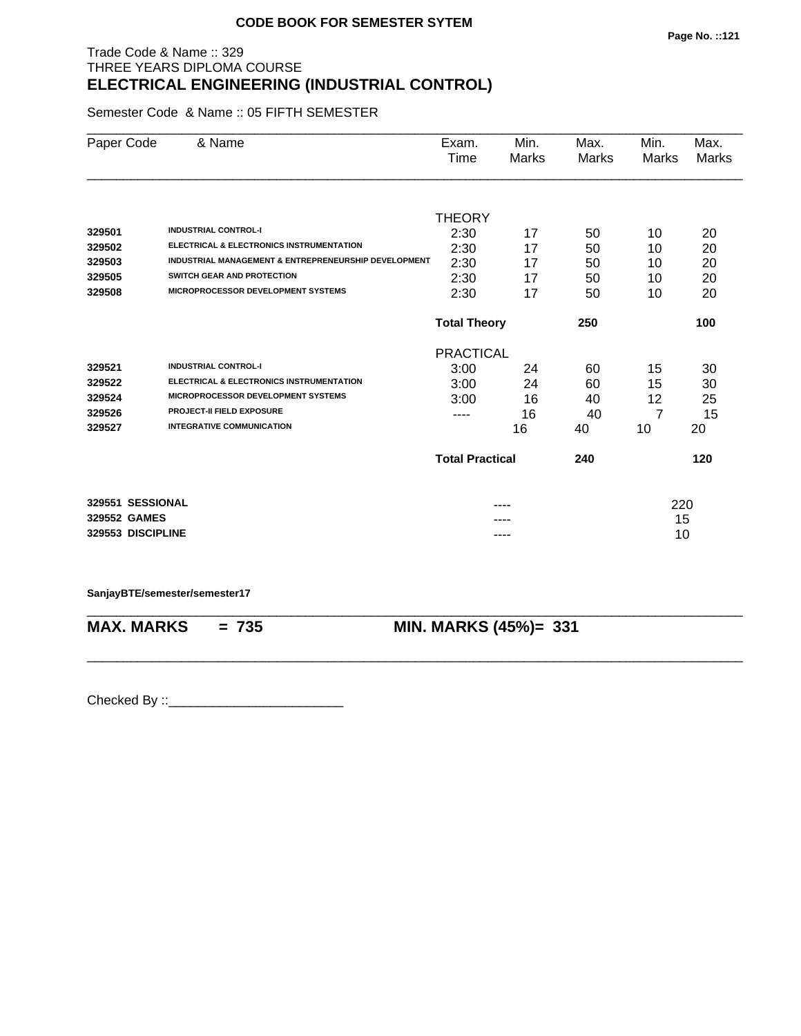# Trade Code & Name :: 329 THREE YEARS DIPLOMA COURSE **ELECTRICAL ENGINEERING (INDUSTRIAL CONTROL)**

Semester Code & Name :: 05 FIFTH SEMESTER

| Paper Code        | & Name                                                          | Exam.                      | Min.  | Max.         | Min.           | Max.         |
|-------------------|-----------------------------------------------------------------|----------------------------|-------|--------------|----------------|--------------|
|                   |                                                                 | Time                       | Marks | <b>Marks</b> | <b>Marks</b>   | <b>Marks</b> |
|                   |                                                                 |                            |       |              |                |              |
|                   |                                                                 | <b>THEORY</b>              |       |              |                |              |
| 329501            | <b>INDUSTRIAL CONTROL-I</b>                                     | 2:30                       | 17    | 50           | 10             | 20           |
| 329502            | ELECTRICAL & ELECTRONICS INSTRUMENTATION                        | 2:30                       | 17    | 50           | 10             | 20           |
| 329503            | <b>INDUSTRIAL MANAGEMENT &amp; ENTREPRENEURSHIP DEVELOPMENT</b> | 2:30                       | 17    | 50           | 10             | 20           |
| 329505            | SWITCH GEAR AND PROTECTION                                      | 2:30                       | 17    | 50           | 10             | 20           |
| 329508            | <b>MICROPROCESSOR DEVELOPMENT SYSTEMS</b>                       | 2:30                       | 17    | 50           | 10             | 20           |
|                   |                                                                 | <b>Total Theory</b><br>250 |       |              |                | 100          |
|                   |                                                                 | <b>PRACTICAL</b>           |       |              |                |              |
| 329521            | <b>INDUSTRIAL CONTROL-I</b>                                     | 3:00                       | 24    | 60           | 15             | 30           |
| 329522            | <b>ELECTRICAL &amp; ELECTRONICS INSTRUMENTATION</b>             | 3:00                       | 24    | 60           | 15             | 30           |
| 329524            | <b>MICROPROCESSOR DEVELOPMENT SYSTEMS</b>                       | 3:00                       | 16    | 40           | 12             | 25           |
| 329526            | <b>PROJECT-II FIELD EXPOSURE</b>                                | ----                       | 16    | 40           | $\overline{7}$ | 15           |
| 329527            | <b>INTEGRATIVE COMMUNICATION</b>                                |                            | 16    | 40           | 10             | 20           |
|                   |                                                                 | <b>Total Practical</b>     |       | 240          |                | 120          |
| 329551 SESSIONAL  |                                                                 |                            |       |              |                |              |
| 329552 GAMES      |                                                                 |                            |       |              | 220<br>15      |              |
| 329553 DISCIPLINE |                                                                 |                            |       |              | 10             |              |
|                   |                                                                 |                            | ----  |              |                |              |

**SanjayBTE/semester/semester17**

\_\_\_\_\_\_\_\_\_\_\_\_\_\_\_\_\_\_\_\_\_\_\_\_\_\_\_\_\_\_\_\_\_\_\_\_\_\_\_\_\_\_\_\_\_\_\_\_\_\_\_\_\_\_\_\_\_\_\_\_\_\_\_\_\_\_\_\_\_\_\_\_\_\_\_\_\_\_\_\_\_\_\_\_\_\_\_\_\_\_ **MAX. MARKS = 735 MIN. MARKS (45%)= 331**

\_\_\_\_\_\_\_\_\_\_\_\_\_\_\_\_\_\_\_\_\_\_\_\_\_\_\_\_\_\_\_\_\_\_\_\_\_\_\_\_\_\_\_\_\_\_\_\_\_\_\_\_\_\_\_\_\_\_\_\_\_\_\_\_\_\_\_\_\_\_\_\_\_\_\_\_\_\_\_\_\_\_\_\_\_\_\_\_\_\_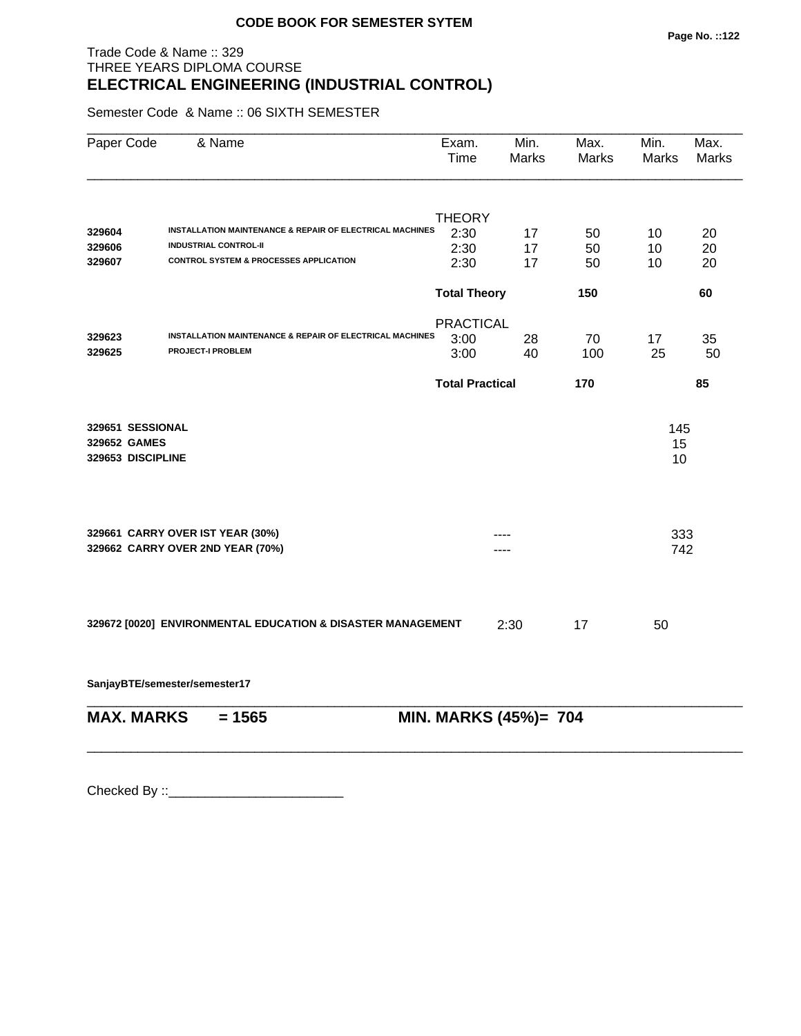# Trade Code & Name :: 329 THREE YEARS DIPLOMA COURSE **ELECTRICAL ENGINEERING (INDUSTRIAL CONTROL)**

Semester Code & Name :: 06 SIXTH SEMESTER

| Paper Code        | & Name                                                              | Exam.<br><b>Time</b>   | Min.<br>Marks         | Max.<br>Marks | Min.<br><b>Marks</b> | Max.<br><b>Marks</b> |
|-------------------|---------------------------------------------------------------------|------------------------|-----------------------|---------------|----------------------|----------------------|
|                   |                                                                     |                        |                       |               |                      |                      |
| 329604            | INSTALLATION MAINTENANCE & REPAIR OF ELECTRICAL MACHINES            | <b>THEORY</b>          |                       |               |                      | 20                   |
| 329606            | <b>INDUSTRIAL CONTROL-II</b>                                        | 2:30<br>2:30           | 17<br>17              | 50<br>50      | 10<br>10             | 20                   |
| 329607            | <b>CONTROL SYSTEM &amp; PROCESSES APPLICATION</b>                   | 2:30                   | 17                    | 50            | 10                   | 20                   |
|                   |                                                                     | <b>Total Theory</b>    |                       | 150           |                      | 60                   |
|                   |                                                                     | <b>PRACTICAL</b>       |                       |               |                      |                      |
| 329623            | <b>INSTALLATION MAINTENANCE &amp; REPAIR OF ELECTRICAL MACHINES</b> | 3:00                   | 28                    | 70            | 17                   | 35                   |
| 329625            | <b>PROJECT-I PROBLEM</b>                                            | 3:00                   | 40                    | 100           | 25                   | 50                   |
|                   |                                                                     | <b>Total Practical</b> |                       | 170           |                      | 85                   |
| 329651 SESSIONAL  |                                                                     |                        |                       |               | 145                  |                      |
| 329652 GAMES      |                                                                     |                        |                       |               | 15                   |                      |
| 329653 DISCIPLINE |                                                                     |                        |                       |               | 10                   |                      |
|                   |                                                                     |                        |                       |               |                      |                      |
|                   | 329661 CARRY OVER IST YEAR (30%)                                    |                        |                       |               | 333                  |                      |
|                   | 329662 CARRY OVER 2ND YEAR (70%)                                    | 742                    |                       |               |                      |                      |
|                   |                                                                     |                        |                       |               |                      |                      |
|                   |                                                                     |                        |                       |               |                      |                      |
|                   | 329672 [0020] ENVIRONMENTAL EDUCATION & DISASTER MANAGEMENT         |                        | 2:30                  | 17            | 50                   |                      |
|                   | SanjayBTE/semester/semester17                                       |                        |                       |               |                      |                      |
|                   |                                                                     |                        |                       |               |                      |                      |
| <b>MAX. MARKS</b> | $= 1565$                                                            |                        | MIN. MARKS (45%)= 704 |               |                      |                      |
|                   |                                                                     |                        |                       |               |                      |                      |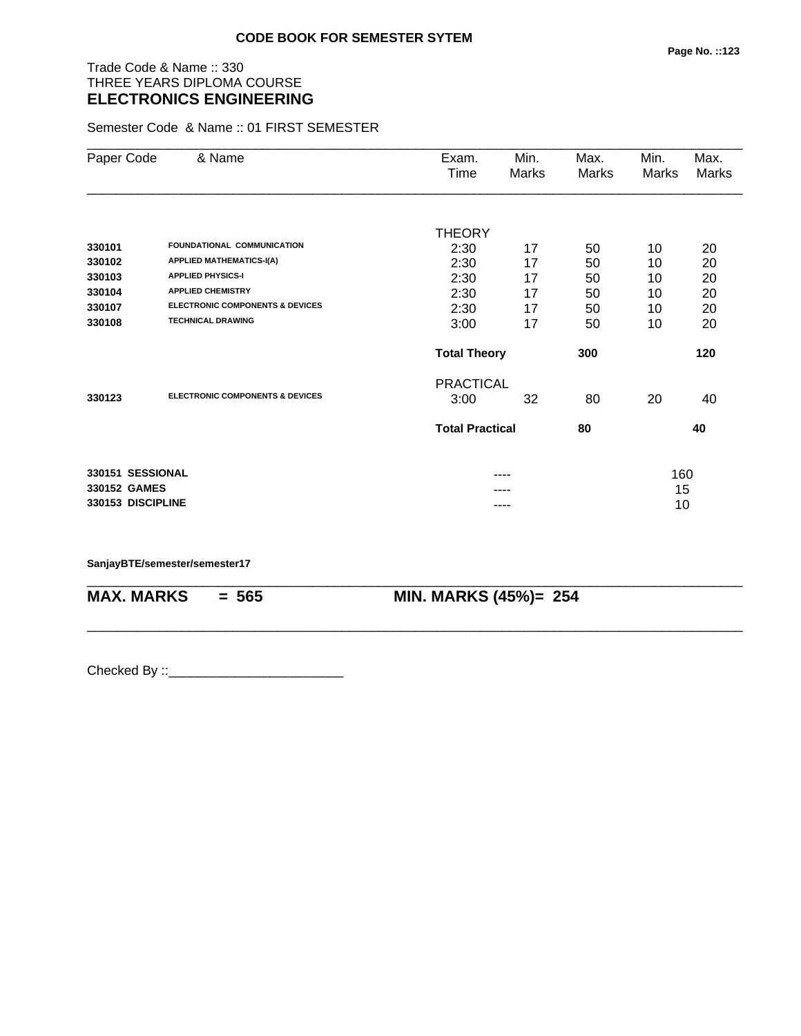# Trade Code & Name :: 330 THREE YEARS DIPLOMA COURSE **ELECTRONICS ENGINEERING**

Semester Code & Name :: 01 FIRST SEMESTER

| Paper Code        | & Name                                     | Exam.<br>Time          | Min.<br>Marks | Max.<br><b>Marks</b> | Min.<br>Marks | Max.<br><b>Marks</b> |
|-------------------|--------------------------------------------|------------------------|---------------|----------------------|---------------|----------------------|
|                   |                                            |                        |               |                      |               |                      |
|                   |                                            | <b>THEORY</b>          |               |                      |               |                      |
| 330101            | FOUNDATIONAL COMMUNICATION                 | 2:30                   | 17            | 50                   | 10            | 20                   |
| 330102            | <b>APPLIED MATHEMATICS-I(A)</b>            | 2:30                   | 17            | 50                   | 10            | 20                   |
| 330103            | <b>APPLIED PHYSICS-I</b>                   | 2:30                   | 17            | 50                   | 10            | 20                   |
| 330104            | <b>APPLIED CHEMISTRY</b>                   | 2:30                   | 17            | 50                   | 10            | 20                   |
| 330107            | <b>ELECTRONIC COMPONENTS &amp; DEVICES</b> | 2:30                   | 17            | 50                   | 10            | 20                   |
| 330108            | <b>TECHNICAL DRAWING</b>                   | 3:00                   | 17            | 50                   | 10            | 20                   |
|                   |                                            | <b>Total Theory</b>    |               | 300                  |               | 120                  |
|                   |                                            | <b>PRACTICAL</b>       |               |                      |               |                      |
| 330123            | <b>ELECTRONIC COMPONENTS &amp; DEVICES</b> | 3:00                   | 32            | 80                   | 20            | 40                   |
|                   |                                            | <b>Total Practical</b> |               | 80                   |               | 40                   |
| 330151 SESSIONAL  |                                            |                        |               |                      | 160           |                      |
| 330152 GAMES      |                                            |                        |               |                      | 15            |                      |
| 330153 DISCIPLINE |                                            |                        | ----          |                      | 10            |                      |

\_\_\_\_\_\_\_\_\_\_\_\_\_\_\_\_\_\_\_\_\_\_\_\_\_\_\_\_\_\_\_\_\_\_\_\_\_\_\_\_\_\_\_\_\_\_\_\_\_\_\_\_\_\_\_\_\_\_\_\_\_\_\_\_\_\_\_\_\_\_\_\_\_\_\_\_\_\_\_\_\_\_\_\_\_\_\_\_\_\_

\_\_\_\_\_\_\_\_\_\_\_\_\_\_\_\_\_\_\_\_\_\_\_\_\_\_\_\_\_\_\_\_\_\_\_\_\_\_\_\_\_\_\_\_\_\_\_\_\_\_\_\_\_\_\_\_\_\_\_\_\_\_\_\_\_\_\_\_\_\_\_\_\_\_\_\_\_\_\_\_\_\_\_\_\_\_\_\_\_\_

**SanjayBTE/semester/semester17**

**MAX. MARKS = 565 MIN. MARKS (45%)= 254**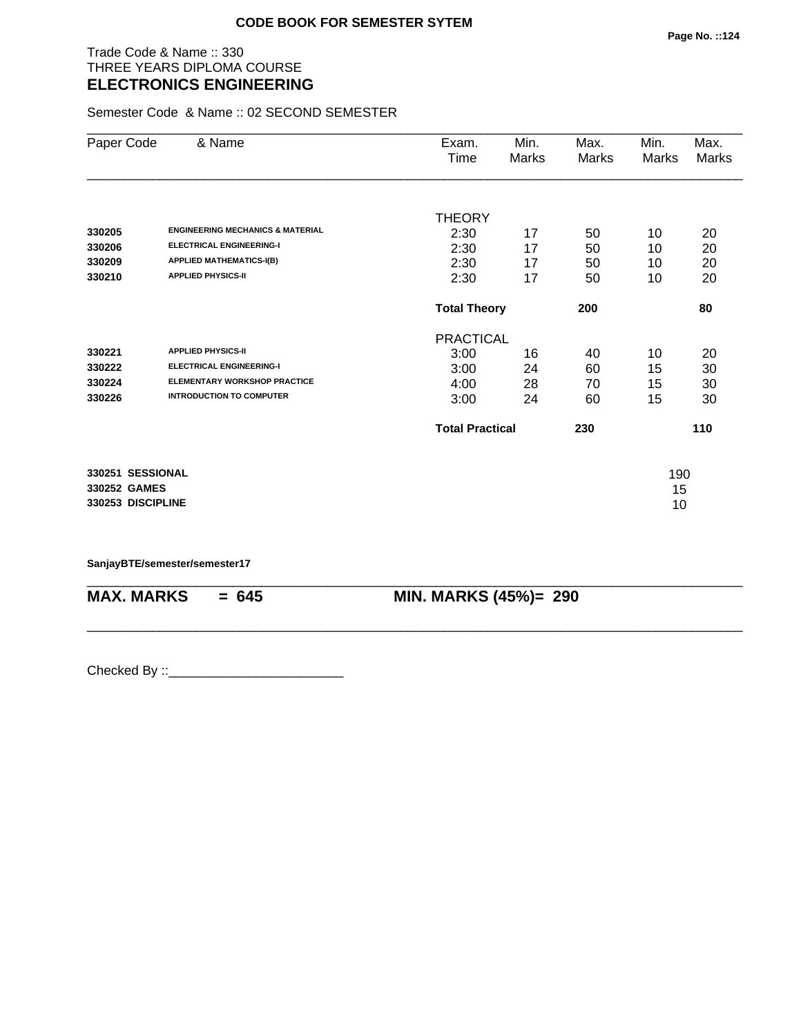### Trade Code & Name :: 330 THREE YEARS DIPLOMA COURSE **ELECTRONICS ENGINEERING**

Semester Code & Name :: 02 SECOND SEMESTER

| Paper Code        | & Name                                      | Exam.                  | Min.  | Max.  | Min.  | Max.  |  |
|-------------------|---------------------------------------------|------------------------|-------|-------|-------|-------|--|
|                   |                                             | Time                   | Marks | Marks | Marks | Marks |  |
|                   |                                             |                        |       |       |       |       |  |
|                   |                                             | <b>THEORY</b>          |       |       |       |       |  |
| 330205            | <b>ENGINEERING MECHANICS &amp; MATERIAL</b> | 2:30                   | 17    | 50    | 10    | 20    |  |
| 330206            | <b>ELECTRICAL ENGINEERING-I</b>             | 2:30                   | 17    | 50    | 10    | 20    |  |
| 330209            | <b>APPLIED MATHEMATICS-I(B)</b>             | 2:30                   | 17    | 50    | 10    | 20    |  |
| 330210            | <b>APPLIED PHYSICS-II</b>                   | 2:30                   | 17    | 50    | 10    | 20    |  |
|                   |                                             | <b>Total Theory</b>    |       | 200   |       | 80    |  |
|                   |                                             | <b>PRACTICAL</b>       |       |       |       |       |  |
| 330221            | <b>APPLIED PHYSICS-II</b>                   | 3:00                   | 16    | 40    | 10    | 20    |  |
| 330222            | <b>ELECTRICAL ENGINEERING-I</b>             | 3:00                   | 24    | 60    | 15    | 30    |  |
| 330224            | <b>ELEMENTARY WORKSHOP PRACTICE</b>         | 4:00                   | 28    | 70    | 15    | 30    |  |
| 330226            | <b>INTRODUCTION TO COMPUTER</b>             | 3:00                   | 24    | 60    | 15    | 30    |  |
|                   |                                             | <b>Total Practical</b> |       | 230   |       | 110   |  |
| 330251 SESSIONAL  |                                             |                        |       |       | 190   |       |  |
| 330252 GAMES      |                                             |                        |       |       | 15    |       |  |
| 330253 DISCIPLINE |                                             |                        |       |       | 10    |       |  |

\_\_\_\_\_\_\_\_\_\_\_\_\_\_\_\_\_\_\_\_\_\_\_\_\_\_\_\_\_\_\_\_\_\_\_\_\_\_\_\_\_\_\_\_\_\_\_\_\_\_\_\_\_\_\_\_\_\_\_\_\_\_\_\_\_\_\_\_\_\_\_\_\_\_\_\_\_\_\_\_\_\_\_\_\_\_\_\_\_\_

\_\_\_\_\_\_\_\_\_\_\_\_\_\_\_\_\_\_\_\_\_\_\_\_\_\_\_\_\_\_\_\_\_\_\_\_\_\_\_\_\_\_\_\_\_\_\_\_\_\_\_\_\_\_\_\_\_\_\_\_\_\_\_\_\_\_\_\_\_\_\_\_\_\_\_\_\_\_\_\_\_\_\_\_\_\_\_\_\_\_

**SanjayBTE/semester/semester17**

**MAX. MARKS = 645 MIN. MARKS (45%)= 290**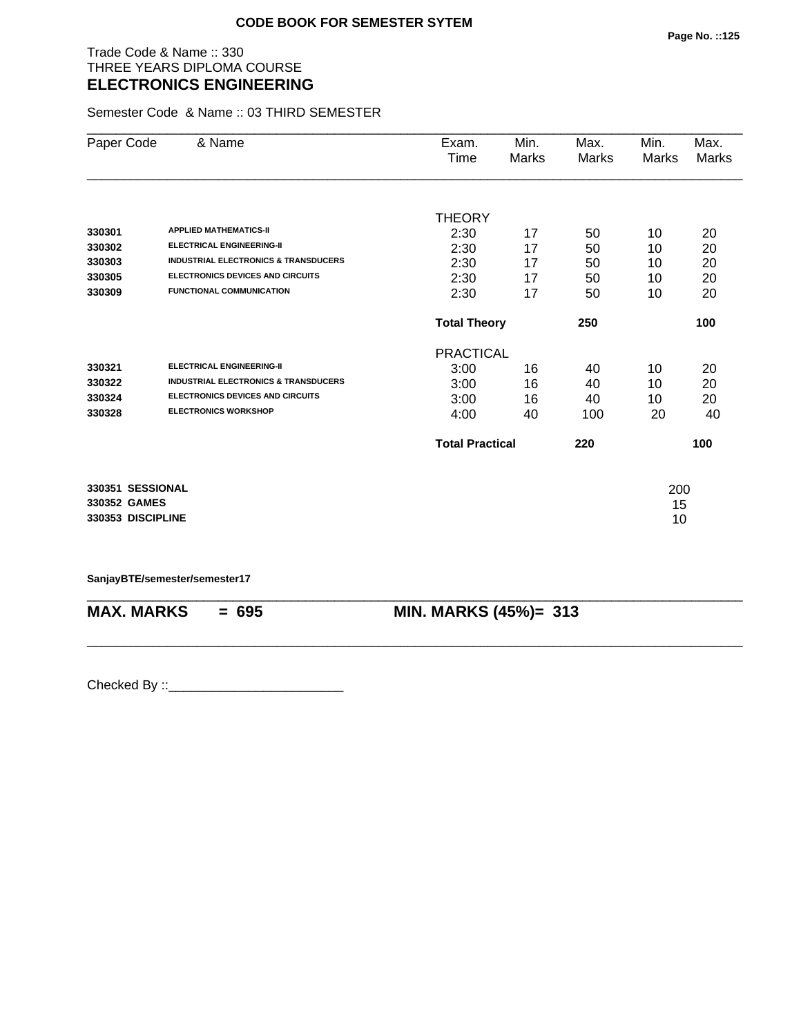### Trade Code & Name :: 330 THREE YEARS DIPLOMA COURSE **ELECTRONICS ENGINEERING**

Semester Code & Name :: 03 THIRD SEMESTER

| Paper Code        | & Name                                          | Exam.                  | Min.  | Max.  | Min.  | Max.  |
|-------------------|-------------------------------------------------|------------------------|-------|-------|-------|-------|
|                   |                                                 | Time                   | Marks | Marks | Marks | Marks |
|                   |                                                 |                        |       |       |       |       |
|                   |                                                 | <b>THEORY</b>          |       |       |       |       |
| 330301            | <b>APPLIED MATHEMATICS-II</b>                   | 2:30                   | 17    | 50    | 10    | 20    |
| 330302            | <b>ELECTRICAL ENGINEERING-II</b>                | 2:30                   | 17    | 50    | 10    | 20    |
| 330303            | <b>INDUSTRIAL ELECTRONICS &amp; TRANSDUCERS</b> | 2:30                   | 17    | 50    | 10    | 20    |
| 330305            | <b>ELECTRONICS DEVICES AND CIRCUITS</b>         | 2:30                   | 17    | 50    | 10    | 20    |
| 330309            | FUNCTIONAL COMMUNICATION                        | 2:30                   | 17    | 50    | 10    | 20    |
|                   |                                                 | <b>Total Theory</b>    |       | 250   |       | 100   |
|                   |                                                 | <b>PRACTICAL</b>       |       |       |       |       |
| 330321            | <b>ELECTRICAL ENGINEERING-II</b>                | 3:00                   | 16    | 40    | 10    | 20    |
| 330322            | <b>INDUSTRIAL ELECTRONICS &amp; TRANSDUCERS</b> | 3:00                   | 16    | 40    | 10    | 20    |
| 330324            | <b>ELECTRONICS DEVICES AND CIRCUITS</b>         | 3:00                   | 16    | 40    | 10    | 20    |
| 330328            | <b>ELECTRONICS WORKSHOP</b>                     | 4:00                   | 40    | 100   | 20    | 40    |
|                   |                                                 | <b>Total Practical</b> |       | 220   |       | 100   |
| 330351 SESSIONAL  |                                                 |                        |       |       | 200   |       |
| 330352 GAMES      |                                                 |                        |       |       | 15    |       |
| 330353 DISCIPLINE |                                                 |                        |       |       | 10    |       |

**SanjayBTE/semester/semester17**

| $MAX. \, MARKS = 695$ | <b>MIN. MARKS (45%)= 313</b> |
|-----------------------|------------------------------|
|                       |                              |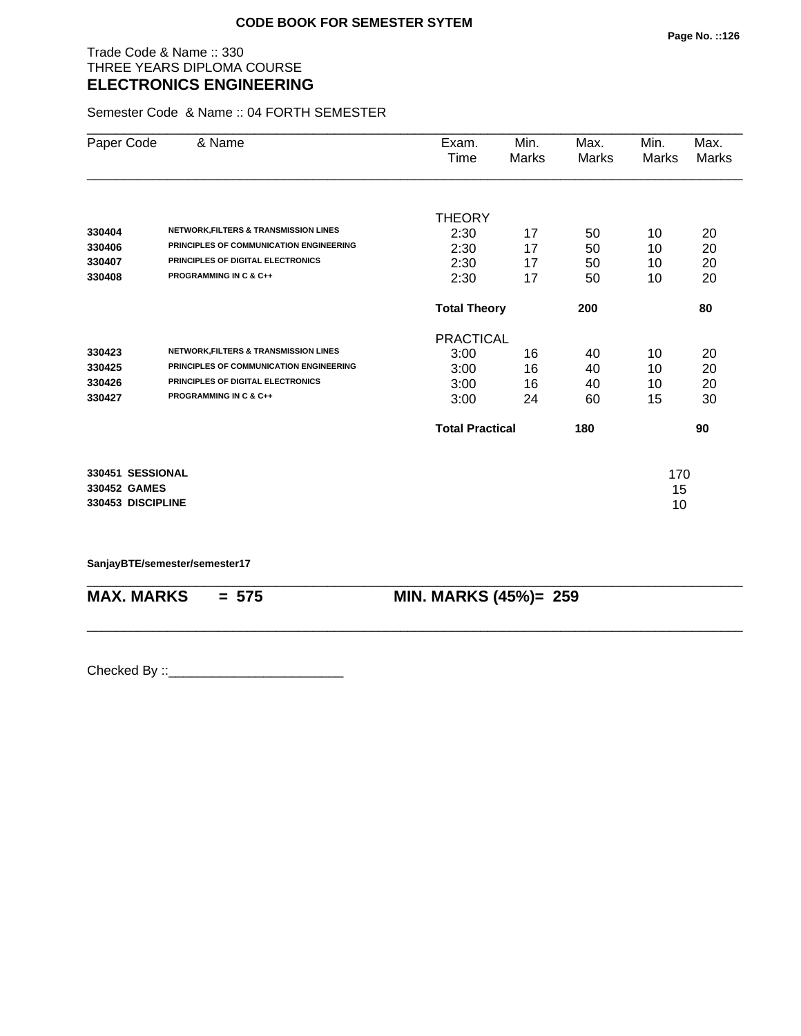### Trade Code & Name :: 330 THREE YEARS DIPLOMA COURSE **ELECTRONICS ENGINEERING**

Semester Code & Name :: 04 FORTH SEMESTER

| Paper Code        | & Name                                           | Exam.                  | Min.  | Max.         | Min.  | Max.  |
|-------------------|--------------------------------------------------|------------------------|-------|--------------|-------|-------|
|                   |                                                  | Time                   | Marks | <b>Marks</b> | Marks | Marks |
|                   |                                                  |                        |       |              |       |       |
|                   |                                                  | <b>THEORY</b>          |       |              |       |       |
| 330404            | <b>NETWORK, FILTERS &amp; TRANSMISSION LINES</b> | 2:30                   | 17    | 50           | 10    | 20    |
| 330406            | PRINCIPLES OF COMMUNICATION ENGINEERING          | 2:30                   | 17    | 50           | 10    | 20    |
| 330407            | PRINCIPLES OF DIGITAL ELECTRONICS                | 2:30                   | 17    | 50           | 10    | 20    |
| 330408            | <b>PROGRAMMING IN C &amp; C++</b>                | 2:30                   | 17    | 50           | 10    | 20    |
|                   |                                                  | <b>Total Theory</b>    |       | 200          |       | 80    |
|                   |                                                  | <b>PRACTICAL</b>       |       |              |       |       |
| 330423            | <b>NETWORK, FILTERS &amp; TRANSMISSION LINES</b> | 3:00                   | 16    | 40           | 10    | 20    |
| 330425            | PRINCIPLES OF COMMUNICATION ENGINEERING          | 3:00                   | 16    | 40           | 10    | 20    |
| 330426            | PRINCIPLES OF DIGITAL ELECTRONICS                | 3:00                   | 16    | 40           | 10    | 20    |
| 330427            | <b>PROGRAMMING IN C &amp; C++</b>                | 3:00                   | 24    | 60           | 15    | 30    |
|                   |                                                  | <b>Total Practical</b> |       | 180          |       | 90    |
| 330451 SESSIONAL  |                                                  |                        |       |              | 170   |       |
| 330452 GAMES      |                                                  |                        |       |              | 15    |       |
| 330453 DISCIPLINE |                                                  |                        |       |              | 10    |       |
|                   |                                                  |                        |       |              |       |       |

\_\_\_\_\_\_\_\_\_\_\_\_\_\_\_\_\_\_\_\_\_\_\_\_\_\_\_\_\_\_\_\_\_\_\_\_\_\_\_\_\_\_\_\_\_\_\_\_\_\_\_\_\_\_\_\_\_\_\_\_\_\_\_\_\_\_\_\_\_\_\_\_\_\_\_\_\_\_\_\_\_\_\_\_\_\_\_\_\_\_

\_\_\_\_\_\_\_\_\_\_\_\_\_\_\_\_\_\_\_\_\_\_\_\_\_\_\_\_\_\_\_\_\_\_\_\_\_\_\_\_\_\_\_\_\_\_\_\_\_\_\_\_\_\_\_\_\_\_\_\_\_\_\_\_\_\_\_\_\_\_\_\_\_\_\_\_\_\_\_\_\_\_\_\_\_\_\_\_\_\_

**SanjayBTE/semester/semester17**

**MAX. MARKS = 575 MIN. MARKS (45%)= 259**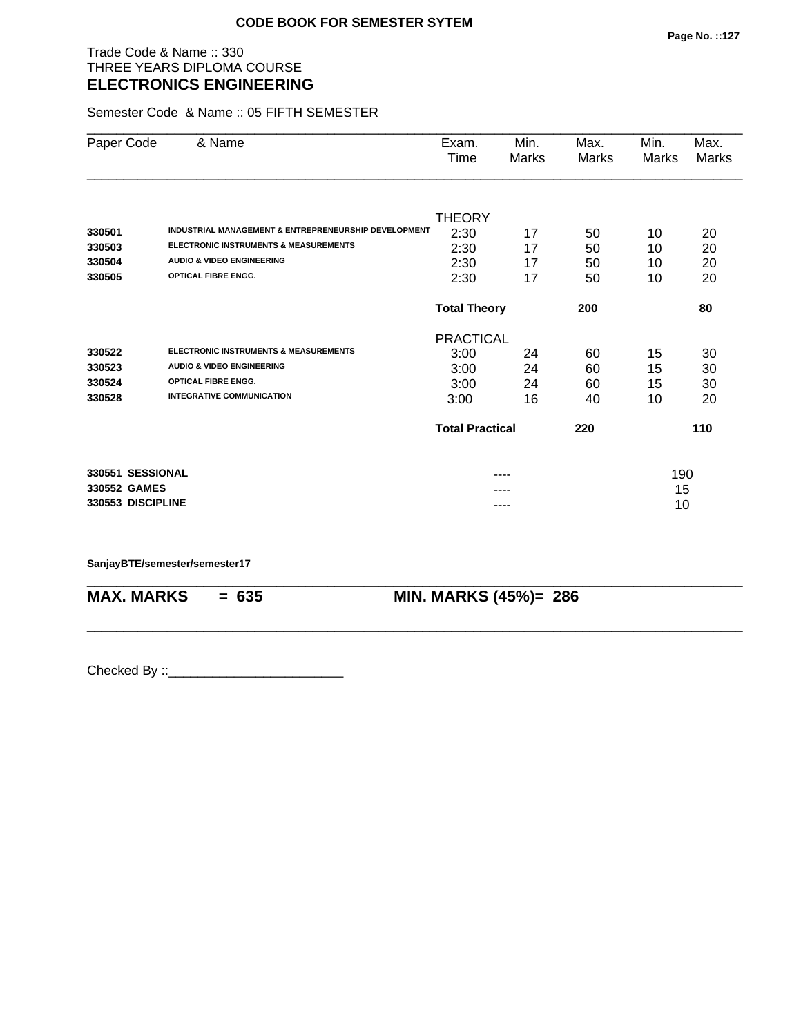### Trade Code & Name :: 330 THREE YEARS DIPLOMA COURSE **ELECTRONICS ENGINEERING**

Semester Code & Name :: 05 FIFTH SEMESTER

| Paper Code        | & Name                                               | Exam.                  | Min.  | Max.  | Min.  | Max.         |
|-------------------|------------------------------------------------------|------------------------|-------|-------|-------|--------------|
|                   |                                                      | Time                   | Marks | Marks | Marks | <b>Marks</b> |
|                   |                                                      |                        |       |       |       |              |
|                   |                                                      | <b>THEORY</b>          |       |       |       |              |
| 330501            | INDUSTRIAL MANAGEMENT & ENTREPRENEURSHIP DEVELOPMENT | 2:30                   | 17    | 50    | 10    | 20           |
| 330503            | ELECTRONIC INSTRUMENTS & MEASUREMENTS                | 2:30                   | 17    | 50    | 10    | 20           |
| 330504            | <b>AUDIO &amp; VIDEO ENGINEERING</b>                 | 2:30                   | 17    | 50    | 10    | 20           |
| 330505            | <b>OPTICAL FIBRE ENGG.</b>                           | 2:30                   | 17    | 50    | 10    | 20           |
|                   |                                                      | <b>Total Theory</b>    |       | 200   |       | 80           |
|                   |                                                      | <b>PRACTICAL</b>       |       |       |       |              |
| 330522            | ELECTRONIC INSTRUMENTS & MEASUREMENTS                | 3:00                   | 24    | 60    | 15    | 30           |
| 330523            | <b>AUDIO &amp; VIDEO ENGINEERING</b>                 | 3:00                   | 24    | 60    | 15    | 30           |
| 330524            | <b>OPTICAL FIBRE ENGG.</b>                           | 3:00                   | 24    | 60    | 15    | 30           |
| 330528            | <b>INTEGRATIVE COMMUNICATION</b>                     | 3:00                   | 16    | 40    | 10    | 20           |
|                   |                                                      | <b>Total Practical</b> |       | 220   |       | 110          |
| 330551 SESSIONAL  |                                                      |                        |       |       | 190   |              |
| 330552 GAMES      |                                                      |                        |       |       | 15    |              |
| 330553 DISCIPLINE |                                                      |                        | ----  |       | 10    |              |

\_\_\_\_\_\_\_\_\_\_\_\_\_\_\_\_\_\_\_\_\_\_\_\_\_\_\_\_\_\_\_\_\_\_\_\_\_\_\_\_\_\_\_\_\_\_\_\_\_\_\_\_\_\_\_\_\_\_\_\_\_\_\_\_\_\_\_\_\_\_\_\_\_\_\_\_\_\_\_\_\_\_\_\_\_\_\_\_\_\_

\_\_\_\_\_\_\_\_\_\_\_\_\_\_\_\_\_\_\_\_\_\_\_\_\_\_\_\_\_\_\_\_\_\_\_\_\_\_\_\_\_\_\_\_\_\_\_\_\_\_\_\_\_\_\_\_\_\_\_\_\_\_\_\_\_\_\_\_\_\_\_\_\_\_\_\_\_\_\_\_\_\_\_\_\_\_\_\_\_\_

#### **SanjayBTE/semester/semester17**

**MAX. MARKS = 635 MIN. MARKS (45%)= 286**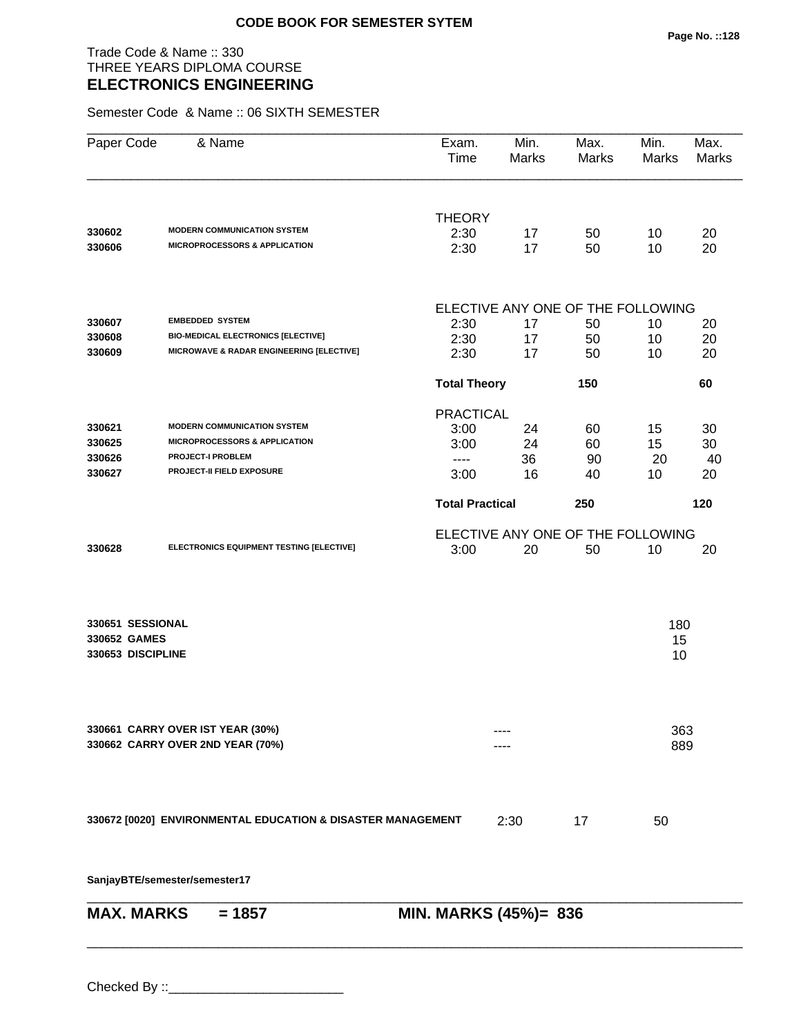### Trade Code & Name :: 330 THREE YEARS DIPLOMA COURSE **ELECTRONICS ENGINEERING**

Semester Code & Name :: 06 SIXTH SEMESTER

| Paper Code                                            | & Name                                                                                       | Exam.<br>Time          | Min.<br><b>Marks</b>                    | Max.<br>Marks | Min.<br>Marks   | Max.<br><b>Marks</b> |
|-------------------------------------------------------|----------------------------------------------------------------------------------------------|------------------------|-----------------------------------------|---------------|-----------------|----------------------|
| 330602                                                | <b>MODERN COMMUNICATION SYSTEM</b>                                                           | <b>THEORY</b>          |                                         |               |                 |                      |
| 330606                                                | <b>MICROPROCESSORS &amp; APPLICATION</b>                                                     | 2:30<br>2:30           | 17<br>17                                | 50<br>50      | 10<br>10        | 20<br>20             |
|                                                       |                                                                                              |                        | ELECTIVE ANY ONE OF THE FOLLOWING       |               |                 |                      |
| 330607                                                | <b>EMBEDDED SYSTEM</b>                                                                       | 2:30                   | 17                                      | 50            | 10              | 20                   |
| 330608                                                | <b>BIO-MEDICAL ELECTRONICS [ELECTIVE]</b>                                                    | 2:30                   | 17                                      | 50            | 10              | 20                   |
| 330609                                                | MICROWAVE & RADAR ENGINEERING [ELECTIVE]                                                     | 2:30                   | 17                                      | 50            | 10              | 20                   |
|                                                       |                                                                                              | <b>Total Theory</b>    |                                         | 150           |                 | 60                   |
|                                                       |                                                                                              | <b>PRACTICAL</b>       |                                         |               |                 |                      |
| 330621                                                | <b>MODERN COMMUNICATION SYSTEM</b>                                                           | 3:00                   | 24                                      | 60            | 15              | 30                   |
| 330625                                                | <b>MICROPROCESSORS &amp; APPLICATION</b>                                                     | 3:00                   | 24                                      | 60            | 15              | 30                   |
| 330626<br>330627                                      | <b>PROJECT-I PROBLEM</b><br>PROJECT-II FIELD EXPOSURE                                        | $---$<br>3:00          | 36<br>16                                | 90<br>40      | 20<br>10        | 40<br>20             |
|                                                       |                                                                                              | <b>Total Practical</b> |                                         | 250           |                 | 120                  |
|                                                       |                                                                                              |                        |                                         |               |                 |                      |
| 330628                                                | ELECTRONICS EQUIPMENT TESTING [ELECTIVE]                                                     | 3:00                   | ELECTIVE ANY ONE OF THE FOLLOWING<br>20 | 50            | 10              | 20                   |
| 330651 SESSIONAL<br>330652 GAMES<br>330653 DISCIPLINE |                                                                                              |                        |                                         |               | 180<br>15<br>10 |                      |
|                                                       | 330661 CARRY OVER IST YEAR (30%)<br>330662 CARRY OVER 2ND YEAR (70%)                         |                        |                                         |               | 363<br>889      |                      |
|                                                       | 330672 [0020] ENVIRONMENTAL EDUCATION & DISASTER MANAGEMENT<br>SanjayBTE/semester/semester17 |                        | 2:30                                    | 17            | 50              |                      |
| <b>MAX. MARKS</b>                                     | $= 1857$                                                                                     | MIN. MARKS (45%)= 836  |                                         |               |                 |                      |
|                                                       |                                                                                              |                        |                                         |               |                 |                      |

\_\_\_\_\_\_\_\_\_\_\_\_\_\_\_\_\_\_\_\_\_\_\_\_\_\_\_\_\_\_\_\_\_\_\_\_\_\_\_\_\_\_\_\_\_\_\_\_\_\_\_\_\_\_\_\_\_\_\_\_\_\_\_\_\_\_\_\_\_\_\_\_\_\_\_\_\_\_\_\_\_\_\_\_\_\_\_\_\_\_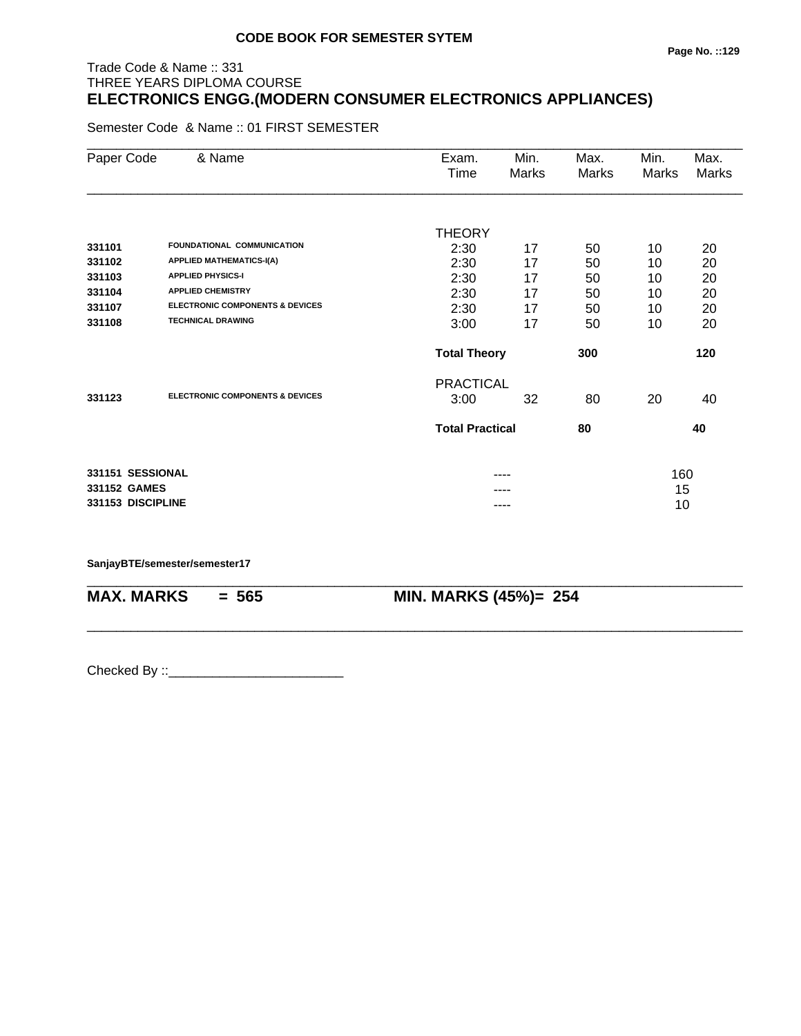# Trade Code & Name :: 331 THREE YEARS DIPLOMA COURSE **ELECTRONICS ENGG.(MODERN CONSUMER ELECTRONICS APPLIANCES)**

Semester Code & Name :: 01 FIRST SEMESTER

| Paper Code        | & Name                                     | Exam.<br>Time          | Min.<br>Marks | Max.<br><b>Marks</b> | Min.<br>Marks | Max.<br>Marks |
|-------------------|--------------------------------------------|------------------------|---------------|----------------------|---------------|---------------|
|                   |                                            |                        |               |                      |               |               |
|                   |                                            | <b>THEORY</b>          |               |                      |               |               |
| 331101            | FOUNDATIONAL COMMUNICATION                 | 2:30                   | 17            | 50                   | 10            | 20            |
| 331102            | <b>APPLIED MATHEMATICS-I(A)</b>            | 2:30                   | 17            | 50                   | 10            | 20            |
| 331103            | <b>APPLIED PHYSICS-I</b>                   | 2:30                   | 17            | 50                   | 10            | 20            |
| 331104            | <b>APPLIED CHEMISTRY</b>                   | 2:30                   | 17            | 50                   | 10            | 20            |
| 331107            | <b>ELECTRONIC COMPONENTS &amp; DEVICES</b> | 2:30                   | 17            | 50                   | 10            | 20            |
| 331108            | <b>TECHNICAL DRAWING</b>                   | 3:00                   | 17            | 50                   | 10            | 20            |
|                   |                                            | <b>Total Theory</b>    |               | 300                  |               | 120           |
|                   |                                            | <b>PRACTICAL</b>       |               |                      |               |               |
| 331123            | <b>ELECTRONIC COMPONENTS &amp; DEVICES</b> | 3:00                   | 32            | 80                   | 20            | 40            |
|                   |                                            | <b>Total Practical</b> |               | 80                   |               | 40            |
| 331151 SESSIONAL  |                                            |                        | ----          |                      | 160           |               |
| 331152 GAMES      |                                            |                        |               |                      | 15            |               |
| 331153 DISCIPLINE |                                            |                        | ----          |                      | 10            |               |

\_\_\_\_\_\_\_\_\_\_\_\_\_\_\_\_\_\_\_\_\_\_\_\_\_\_\_\_\_\_\_\_\_\_\_\_\_\_\_\_\_\_\_\_\_\_\_\_\_\_\_\_\_\_\_\_\_\_\_\_\_\_\_\_\_\_\_\_\_\_\_\_\_\_\_\_\_\_\_\_\_\_\_\_\_\_\_\_\_\_

\_\_\_\_\_\_\_\_\_\_\_\_\_\_\_\_\_\_\_\_\_\_\_\_\_\_\_\_\_\_\_\_\_\_\_\_\_\_\_\_\_\_\_\_\_\_\_\_\_\_\_\_\_\_\_\_\_\_\_\_\_\_\_\_\_\_\_\_\_\_\_\_\_\_\_\_\_\_\_\_\_\_\_\_\_\_\_\_\_\_

**SanjayBTE/semester/semester17**

**MAX. MARKS = 565 MIN. MARKS (45%)= 254**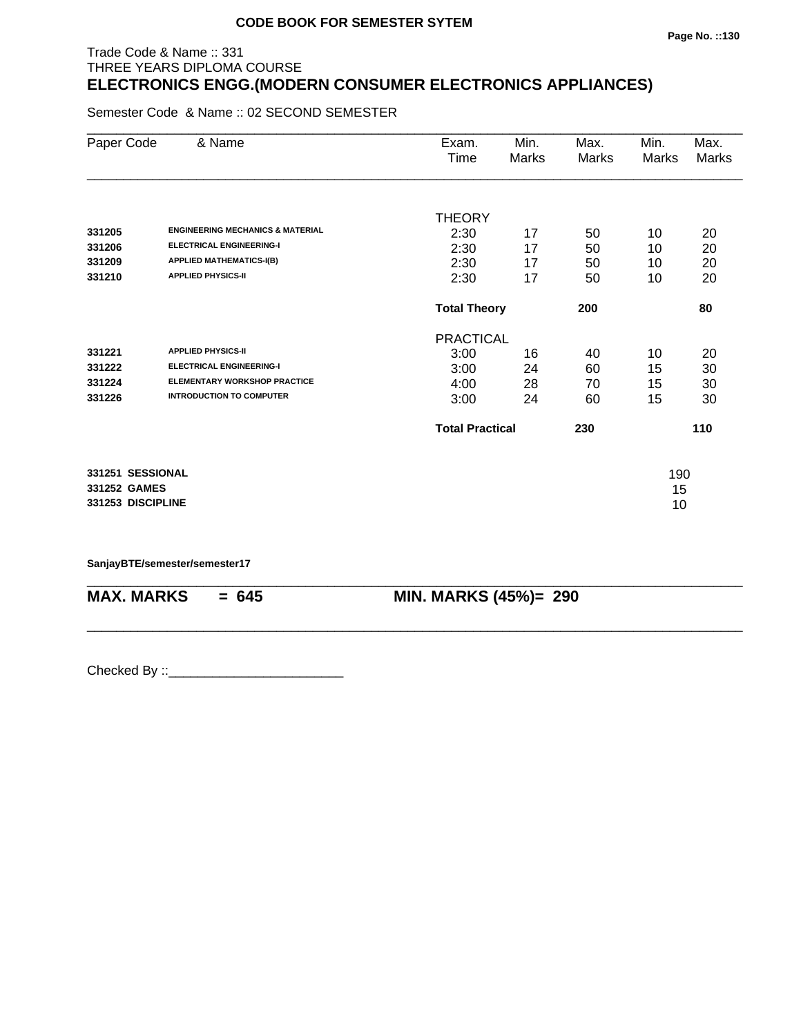# Trade Code & Name :: 331 THREE YEARS DIPLOMA COURSE **ELECTRONICS ENGG.(MODERN CONSUMER ELECTRONICS APPLIANCES)**

Semester Code & Name :: 02 SECOND SEMESTER

| Paper Code        | & Name                                      | Exam.                  | Min.  | Max.  | Min.  | Max.         |
|-------------------|---------------------------------------------|------------------------|-------|-------|-------|--------------|
|                   |                                             | Time                   | Marks | Marks | Marks | <b>Marks</b> |
|                   |                                             |                        |       |       |       |              |
|                   |                                             | <b>THEORY</b>          |       |       |       |              |
| 331205            | <b>ENGINEERING MECHANICS &amp; MATERIAL</b> | 2:30                   | 17    | 50    | 10    | 20           |
| 331206            | <b>ELECTRICAL ENGINEERING-I</b>             | 2:30                   | 17    | 50    | 10    | 20           |
| 331209            | <b>APPLIED MATHEMATICS-I(B)</b>             | 2:30                   | 17    | 50    | 10    | 20           |
| 331210            | <b>APPLIED PHYSICS-II</b>                   | 2:30                   | 17    | 50    | 10    | 20           |
|                   |                                             | <b>Total Theory</b>    |       | 200   |       | 80           |
|                   |                                             | <b>PRACTICAL</b>       |       |       |       |              |
| 331221            | <b>APPLIED PHYSICS-II</b>                   | 3:00                   | 16    | 40    | 10    | 20           |
| 331222            | <b>ELECTRICAL ENGINEERING-I</b>             | 3:00                   | 24    | 60    | 15    | 30           |
| 331224            | <b>ELEMENTARY WORKSHOP PRACTICE</b>         | 4:00                   | 28    | 70    | 15    | 30           |
| 331226            | <b>INTRODUCTION TO COMPUTER</b>             | 3:00                   | 24    | 60    | 15    | 30           |
|                   |                                             | <b>Total Practical</b> |       | 230   |       | 110          |
| 331251 SESSIONAL  |                                             |                        |       |       | 190   |              |
| 331252 GAMES      |                                             |                        |       |       | 15    |              |
| 331253 DISCIPLINE |                                             |                        |       |       | 10    |              |

\_\_\_\_\_\_\_\_\_\_\_\_\_\_\_\_\_\_\_\_\_\_\_\_\_\_\_\_\_\_\_\_\_\_\_\_\_\_\_\_\_\_\_\_\_\_\_\_\_\_\_\_\_\_\_\_\_\_\_\_\_\_\_\_\_\_\_\_\_\_\_\_\_\_\_\_\_\_\_\_\_\_\_\_\_\_\_\_\_\_

\_\_\_\_\_\_\_\_\_\_\_\_\_\_\_\_\_\_\_\_\_\_\_\_\_\_\_\_\_\_\_\_\_\_\_\_\_\_\_\_\_\_\_\_\_\_\_\_\_\_\_\_\_\_\_\_\_\_\_\_\_\_\_\_\_\_\_\_\_\_\_\_\_\_\_\_\_\_\_\_\_\_\_\_\_\_\_\_\_\_

**SanjayBTE/semester/semester17**

**MAX. MARKS = 645 MIN. MARKS (45%)= 290**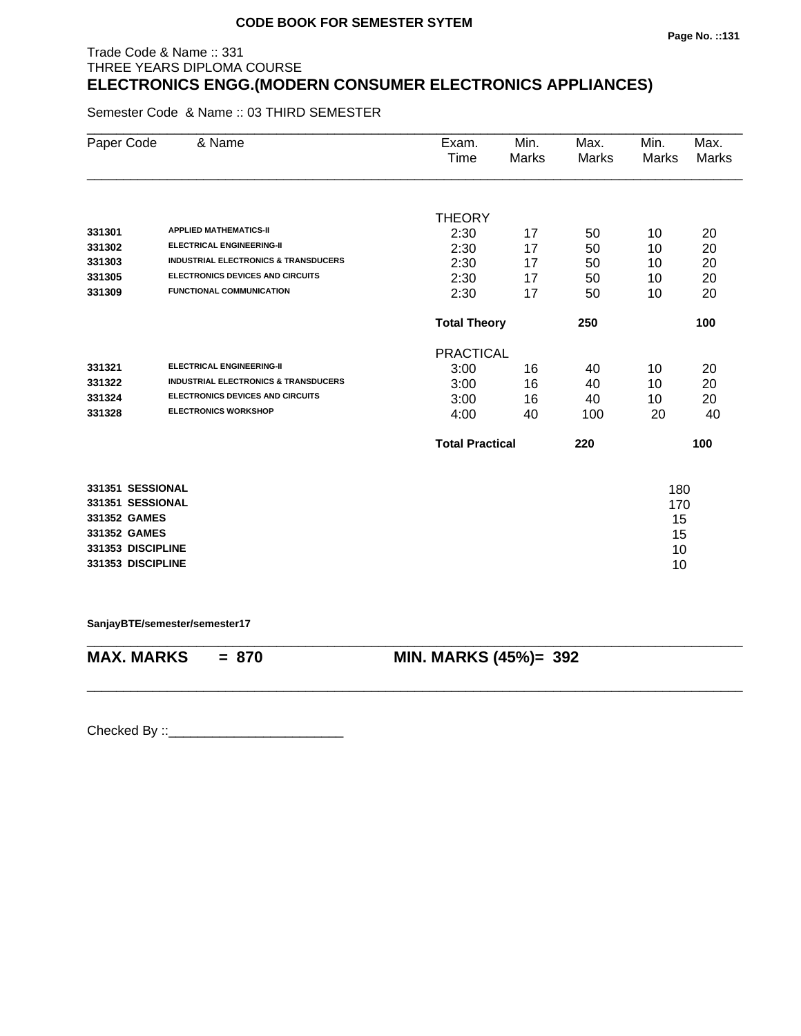# Trade Code & Name :: 331 THREE YEARS DIPLOMA COURSE **ELECTRONICS ENGG.(MODERN CONSUMER ELECTRONICS APPLIANCES)**

Semester Code & Name :: 03 THIRD SEMESTER

| Paper Code        | & Name                                          | Exam.<br>Time          | Min.<br><b>Marks</b> | Max.<br><b>Marks</b> | Min.<br>Marks | Max.<br><b>Marks</b> |
|-------------------|-------------------------------------------------|------------------------|----------------------|----------------------|---------------|----------------------|
|                   |                                                 |                        |                      |                      |               |                      |
|                   |                                                 | <b>THEORY</b>          |                      |                      |               |                      |
| 331301            | <b>APPLIED MATHEMATICS-II</b>                   | 2:30                   | 17                   | 50                   | 10            | 20                   |
| 331302            | <b>ELECTRICAL ENGINEERING-II</b>                | 2:30                   | 17                   | 50                   | 10            | 20                   |
| 331303            | <b>INDUSTRIAL ELECTRONICS &amp; TRANSDUCERS</b> | 2:30                   | 17                   | 50                   | 10            | 20                   |
| 331305            | <b>ELECTRONICS DEVICES AND CIRCUITS</b>         | 2:30                   | 17                   | 50                   | 10            | 20                   |
| 331309            | <b>FUNCTIONAL COMMUNICATION</b>                 | 2:30                   | 17                   | 50                   | 10            | 20                   |
|                   |                                                 | <b>Total Theory</b>    |                      | 250                  |               | 100                  |
|                   |                                                 | <b>PRACTICAL</b>       |                      |                      |               |                      |
| 331321            | <b>ELECTRICAL ENGINEERING-II</b>                | 3:00                   | 16                   | 40                   | 10            | 20                   |
| 331322            | <b>INDUSTRIAL ELECTRONICS &amp; TRANSDUCERS</b> | 3:00                   | 16                   | 40                   | 10            | 20                   |
| 331324            | <b>ELECTRONICS DEVICES AND CIRCUITS</b>         | 3:00                   | 16                   | 40                   | 10            | 20                   |
| 331328            | <b>ELECTRONICS WORKSHOP</b>                     | 4:00                   | 40                   | 100                  | 20            | 40                   |
|                   |                                                 | <b>Total Practical</b> |                      | 220                  |               | 100                  |
| 331351 SESSIONAL  |                                                 |                        |                      |                      | 180           |                      |
| 331351 SESSIONAL  |                                                 |                        |                      |                      | 170           |                      |
| 331352 GAMES      |                                                 |                        |                      |                      | 15            |                      |
| 331352 GAMES      |                                                 |                        |                      |                      | 15            |                      |
| 331353 DISCIPLINE |                                                 |                        |                      |                      | 10            |                      |
| 331353 DISCIPLINE |                                                 |                        |                      |                      | 10            |                      |
|                   |                                                 |                        |                      |                      |               |                      |

**SanjayBTE/semester/semester17**

\_\_\_\_\_\_\_\_\_\_\_\_\_\_\_\_\_\_\_\_\_\_\_\_\_\_\_\_\_\_\_\_\_\_\_\_\_\_\_\_\_\_\_\_\_\_\_\_\_\_\_\_\_\_\_\_\_\_\_\_\_\_\_\_\_\_\_\_\_\_\_\_\_\_\_\_\_\_\_\_\_\_\_\_\_\_\_\_\_\_ **MAX. MARKS = 870 MIN. MARKS (45%)= 392**

\_\_\_\_\_\_\_\_\_\_\_\_\_\_\_\_\_\_\_\_\_\_\_\_\_\_\_\_\_\_\_\_\_\_\_\_\_\_\_\_\_\_\_\_\_\_\_\_\_\_\_\_\_\_\_\_\_\_\_\_\_\_\_\_\_\_\_\_\_\_\_\_\_\_\_\_\_\_\_\_\_\_\_\_\_\_\_\_\_\_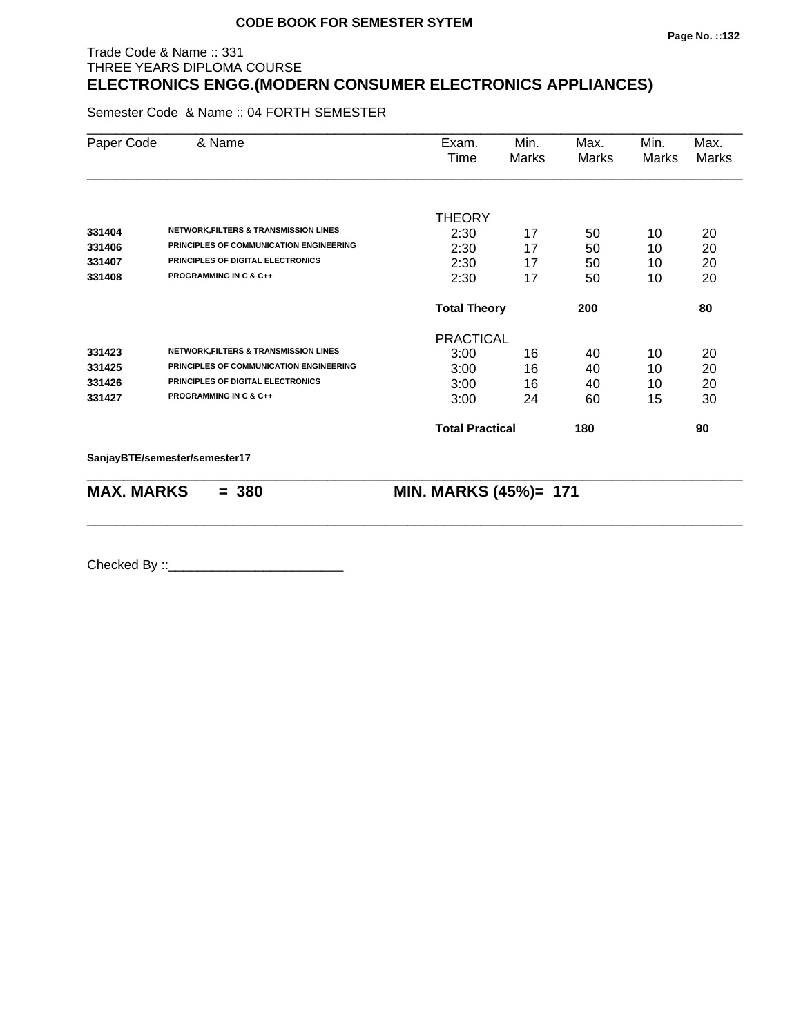# Trade Code & Name :: 331 THREE YEARS DIPLOMA COURSE **ELECTRONICS ENGG.(MODERN CONSUMER ELECTRONICS APPLIANCES)**

Semester Code & Name :: 04 FORTH SEMESTER

| Paper Code        | & Name                                           | Exam.<br>Time          | Min.<br>Marks | Max.<br>Marks | Min.<br>Marks | Max.<br>Marks |
|-------------------|--------------------------------------------------|------------------------|---------------|---------------|---------------|---------------|
|                   |                                                  |                        |               |               |               |               |
|                   |                                                  | <b>THEORY</b>          |               |               |               |               |
| 331404            | <b>NETWORK, FILTERS &amp; TRANSMISSION LINES</b> | 2:30                   | 17            | 50            | 10            | 20            |
| 331406            | PRINCIPLES OF COMMUNICATION ENGINEERING          | 2:30                   | 17            | 50            | 10            | 20            |
| 331407            | PRINCIPLES OF DIGITAL ELECTRONICS                | 2:30                   | 17            | 50            | 10            | 20            |
| 331408            | PROGRAMMING IN C & C++                           | 2:30                   | 17            | 50            | 10            | 20            |
|                   |                                                  | <b>Total Theory</b>    |               | 200           |               | 80            |
|                   |                                                  | <b>PRACTICAL</b>       |               |               |               |               |
| 331423            | <b>NETWORK, FILTERS &amp; TRANSMISSION LINES</b> | 3:00                   | 16            | 40            | 10            | 20            |
| 331425            | PRINCIPLES OF COMMUNICATION ENGINEERING          | 3:00                   | 16            | 40            | 10            | 20            |
| 331426            | PRINCIPLES OF DIGITAL ELECTRONICS                | 3:00                   | 16            | 40            | 10            | 20            |
| 331427            | <b>PROGRAMMING IN C &amp; C++</b>                | 3:00                   | 24            | 60            | 15            | 30            |
|                   |                                                  | <b>Total Practical</b> |               | 180           |               | 90            |
|                   | SanjayBTE/semester/semester17                    |                        |               |               |               |               |
| <b>MAX. MARKS</b> | $= 380$                                          | MIN. MARKS (45%)= 171  |               |               |               |               |

\_\_\_\_\_\_\_\_\_\_\_\_\_\_\_\_\_\_\_\_\_\_\_\_\_\_\_\_\_\_\_\_\_\_\_\_\_\_\_\_\_\_\_\_\_\_\_\_\_\_\_\_\_\_\_\_\_\_\_\_\_\_\_\_\_\_\_\_\_\_\_\_\_\_\_\_\_\_\_\_\_\_\_\_\_\_\_\_\_\_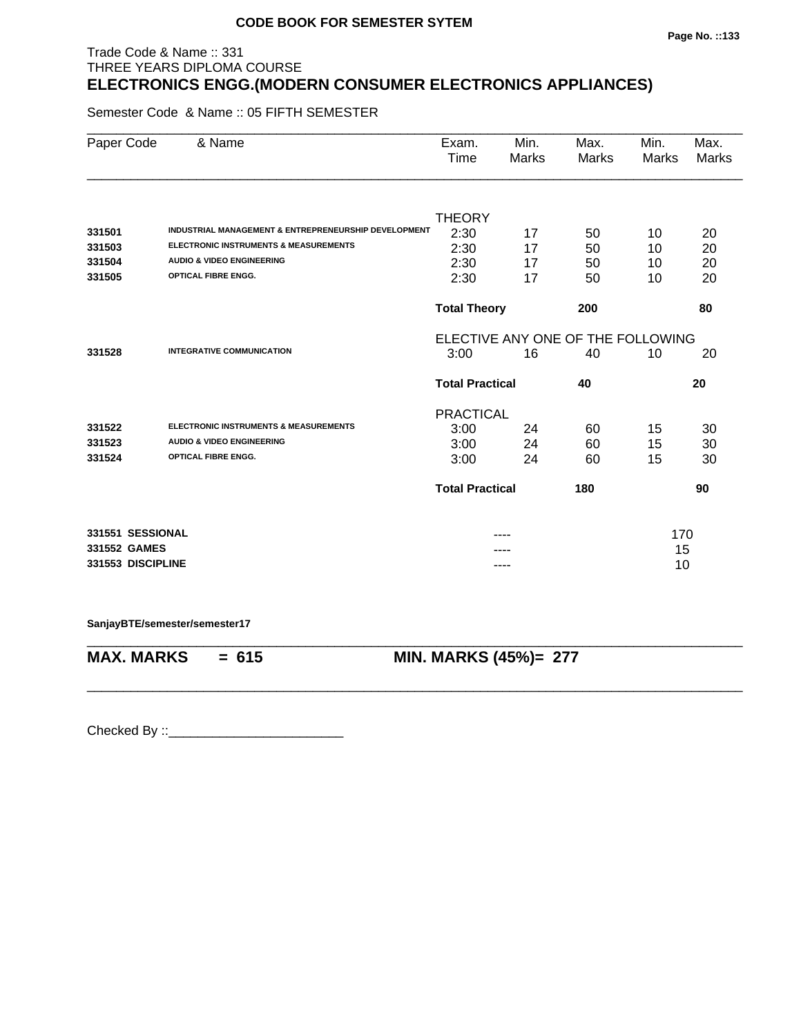# Trade Code & Name :: 331 THREE YEARS DIPLOMA COURSE **ELECTRONICS ENGG.(MODERN CONSUMER ELECTRONICS APPLIANCES)**

Semester Code & Name :: 05 FIFTH SEMESTER

| Paper Code        | & Name                                                          | Exam.<br>Time                     | Min.<br>Marks | Max.<br><b>Marks</b> | Min.<br><b>Marks</b> | Max.<br><b>Marks</b> |
|-------------------|-----------------------------------------------------------------|-----------------------------------|---------------|----------------------|----------------------|----------------------|
|                   |                                                                 |                                   |               |                      |                      |                      |
|                   |                                                                 | <b>THEORY</b>                     |               |                      |                      |                      |
| 331501            | <b>INDUSTRIAL MANAGEMENT &amp; ENTREPRENEURSHIP DEVELOPMENT</b> | 2:30                              | 17            | 50                   | 10                   | 20                   |
| 331503            | <b>ELECTRONIC INSTRUMENTS &amp; MEASUREMENTS</b>                | 2:30                              | 17            | 50                   | 10                   | 20                   |
| 331504            | <b>AUDIO &amp; VIDEO ENGINEERING</b>                            | 2:30                              | 17            | 50                   | 10                   | 20                   |
| 331505            | <b>OPTICAL FIBRE ENGG.</b>                                      | 2:30                              | 17            | 50                   | 10                   | 20                   |
|                   |                                                                 | <b>Total Theory</b>               |               | 200                  |                      | 80                   |
|                   |                                                                 | ELECTIVE ANY ONE OF THE FOLLOWING |               |                      |                      |                      |
| 331528            | <b>INTEGRATIVE COMMUNICATION</b>                                | 3:00                              | 16            | 40                   | 10                   | 20                   |
|                   |                                                                 | <b>Total Practical</b><br>40      |               |                      |                      | 20                   |
|                   |                                                                 | <b>PRACTICAL</b>                  |               |                      |                      |                      |
| 331522            | <b>ELECTRONIC INSTRUMENTS &amp; MEASUREMENTS</b>                | 3:00                              | 24            | 60                   | 15                   | 30                   |
| 331523            | <b>AUDIO &amp; VIDEO ENGINEERING</b>                            | 3:00                              | 24            | 60                   | 15                   | 30                   |
| 331524            | <b>OPTICAL FIBRE ENGG.</b>                                      | 3:00                              | 24            | 60                   | 15                   | 30                   |
|                   |                                                                 | <b>Total Practical</b>            |               | 180                  |                      | 90                   |
| 331551 SESSIONAL  |                                                                 |                                   |               |                      | 170                  |                      |
| 331552 GAMES      |                                                                 |                                   |               |                      | 15                   |                      |
| 331553 DISCIPLINE |                                                                 |                                   |               | 10                   |                      |                      |

\_\_\_\_\_\_\_\_\_\_\_\_\_\_\_\_\_\_\_\_\_\_\_\_\_\_\_\_\_\_\_\_\_\_\_\_\_\_\_\_\_\_\_\_\_\_\_\_\_\_\_\_\_\_\_\_\_\_\_\_\_\_\_\_\_\_\_\_\_\_\_\_\_\_\_\_\_\_\_\_\_\_\_\_\_\_\_\_\_\_

\_\_\_\_\_\_\_\_\_\_\_\_\_\_\_\_\_\_\_\_\_\_\_\_\_\_\_\_\_\_\_\_\_\_\_\_\_\_\_\_\_\_\_\_\_\_\_\_\_\_\_\_\_\_\_\_\_\_\_\_\_\_\_\_\_\_\_\_\_\_\_\_\_\_\_\_\_\_\_\_\_\_\_\_\_\_\_\_\_\_

**SanjayBTE/semester/semester17**

**MAX. MARKS = 615 MIN. MARKS (45%)= 277**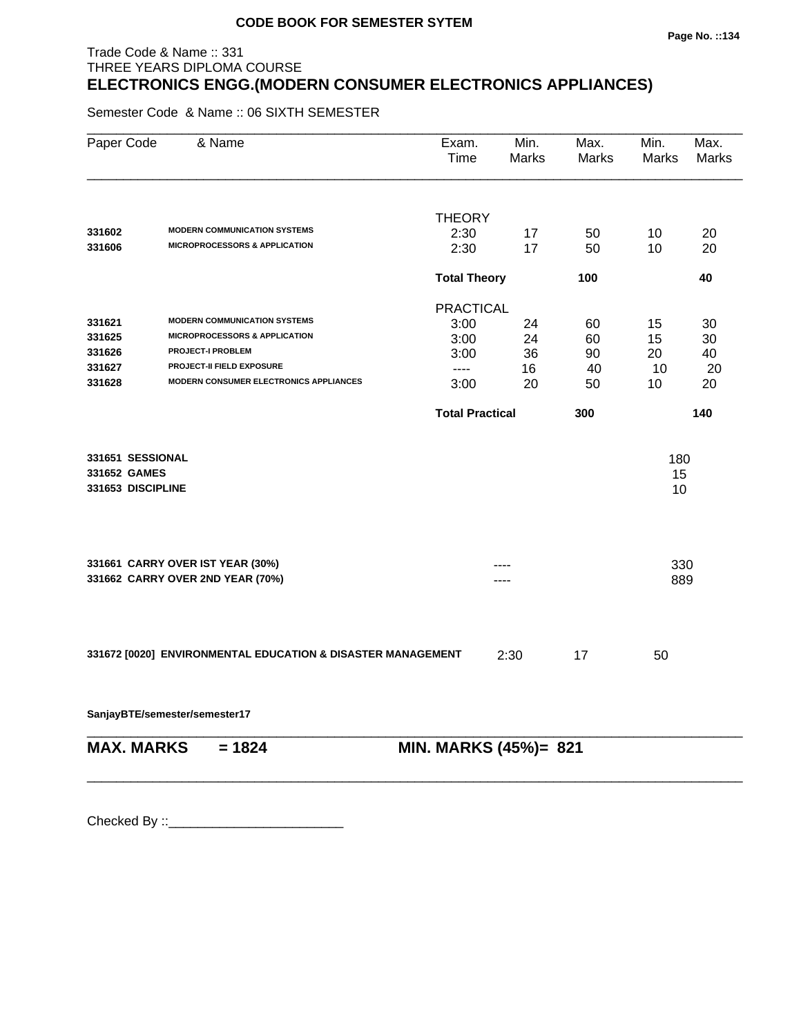# Trade Code & Name :: 331 THREE YEARS DIPLOMA COURSE **ELECTRONICS ENGG.(MODERN CONSUMER ELECTRONICS APPLIANCES)**

Semester Code & Name :: 06 SIXTH SEMESTER

| Paper Code        | & Name                                                      | Exam.<br>Time          | Min.<br>Marks              | Max.<br>Marks | Min.<br><b>Marks</b> | Max.<br><b>Marks</b> |
|-------------------|-------------------------------------------------------------|------------------------|----------------------------|---------------|----------------------|----------------------|
|                   |                                                             |                        |                            |               |                      |                      |
| 331602            | <b>MODERN COMMUNICATION SYSTEMS</b>                         | <b>THEORY</b>          |                            |               |                      |                      |
| 331606            | <b>MICROPROCESSORS &amp; APPLICATION</b>                    | 2:30<br>2:30           | 17<br>17                   | 50<br>50      | 10<br>10             | 20<br>20             |
|                   |                                                             |                        |                            |               |                      |                      |
|                   |                                                             |                        | <b>Total Theory</b><br>100 |               |                      | 40                   |
|                   |                                                             | <b>PRACTICAL</b>       |                            |               |                      |                      |
| 331621            | <b>MODERN COMMUNICATION SYSTEMS</b>                         | 3:00                   | 24                         | 60            | 15                   | 30                   |
| 331625            | <b>MICROPROCESSORS &amp; APPLICATION</b>                    | 3:00                   | 24                         | 60            | 15                   | 30                   |
| 331626            | <b>PROJECT-I PROBLEM</b>                                    | 3:00                   | 36                         | 90            | 20                   | 40                   |
| 331627            | <b>PROJECT-II FIELD EXPOSURE</b>                            | $---$                  | 16                         | 40            | 10                   | 20                   |
| 331628            | <b>MODERN CONSUMER ELECTRONICS APPLIANCES</b>               | 3:00                   | 20                         | 50            | 10                   | 20                   |
|                   |                                                             | <b>Total Practical</b> |                            | 300           |                      | 140                  |
|                   |                                                             |                        |                            |               |                      |                      |
| 331651 SESSIONAL  |                                                             |                        |                            |               | 180                  |                      |
| 331652 GAMES      |                                                             |                        |                            |               | 15                   |                      |
| 331653 DISCIPLINE |                                                             |                        |                            |               | 10                   |                      |
|                   | 331661 CARRY OVER IST YEAR (30%)                            |                        |                            |               | 330                  |                      |
|                   | 331662 CARRY OVER 2ND YEAR (70%)                            |                        |                            |               | 889                  |                      |
|                   |                                                             |                        |                            |               |                      |                      |
|                   | 331672 [0020] ENVIRONMENTAL EDUCATION & DISASTER MANAGEMENT |                        | 2:30                       | 17            | 50                   |                      |
|                   |                                                             |                        |                            |               |                      |                      |
|                   | SanjayBTE/semester/semester17                               |                        |                            |               |                      |                      |
| <b>MAX. MARKS</b> | $= 1824$                                                    | MIN. MARKS (45%)= 821  |                            |               |                      |                      |
|                   |                                                             |                        |                            |               |                      |                      |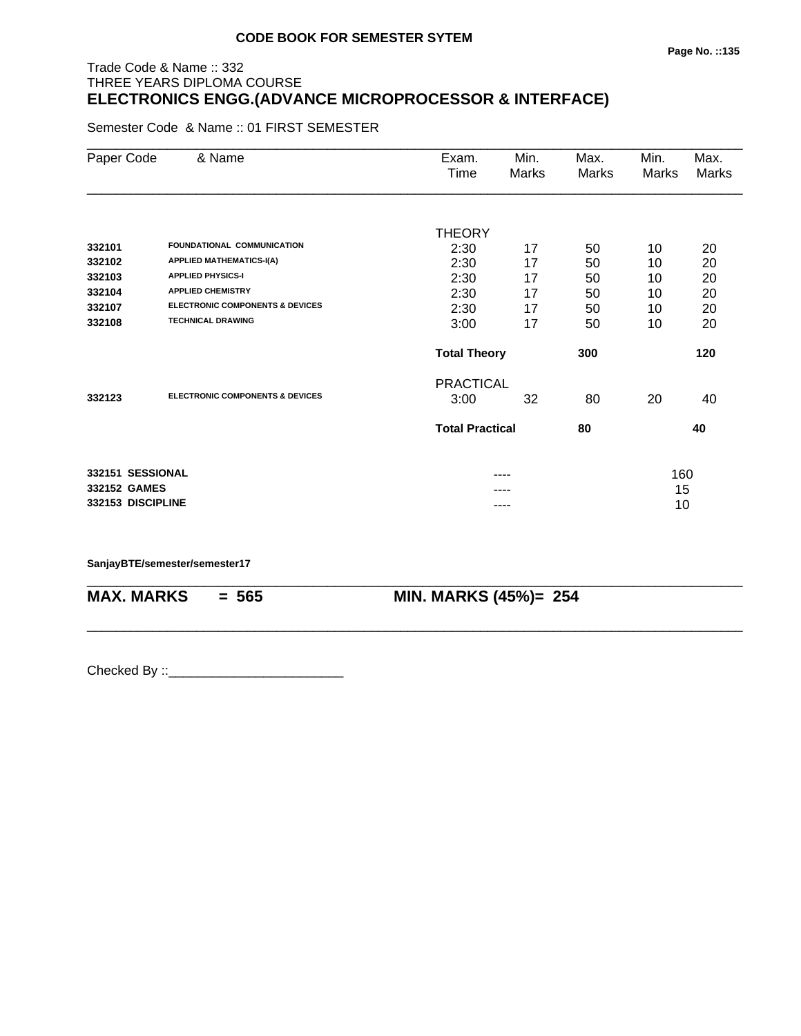# Trade Code & Name :: 332 THREE YEARS DIPLOMA COURSE **ELECTRONICS ENGG.(ADVANCE MICROPROCESSOR & INTERFACE)**

Semester Code & Name :: 01 FIRST SEMESTER

| Paper Code        | & Name                                     | Exam.<br>Time          | Min.<br>Marks | Max.<br><b>Marks</b> | Min.<br>Marks | Max.<br><b>Marks</b> |
|-------------------|--------------------------------------------|------------------------|---------------|----------------------|---------------|----------------------|
|                   |                                            |                        |               |                      |               |                      |
|                   |                                            | <b>THEORY</b>          |               |                      |               |                      |
| 332101            | FOUNDATIONAL COMMUNICATION                 | 2:30                   | 17            | 50                   | 10            | 20                   |
| 332102            | <b>APPLIED MATHEMATICS-I(A)</b>            | 2:30                   | 17            | 50                   | 10            | 20                   |
| 332103            | <b>APPLIED PHYSICS-I</b>                   | 2:30                   | 17            | 50                   | 10            | 20                   |
| 332104            | <b>APPLIED CHEMISTRY</b>                   | 2:30                   | 17            | 50                   | 10            | 20                   |
| 332107            | <b>ELECTRONIC COMPONENTS &amp; DEVICES</b> | 2:30                   | 17            | 50                   | 10            | 20                   |
| 332108            | <b>TECHNICAL DRAWING</b>                   | 3:00                   | 17            | 50                   | 10            | 20                   |
|                   |                                            | <b>Total Theory</b>    |               | 300                  | 120           |                      |
|                   |                                            | <b>PRACTICAL</b>       |               |                      |               |                      |
| 332123            | <b>ELECTRONIC COMPONENTS &amp; DEVICES</b> | 3:00                   | 32            | 80                   | 20            | 40                   |
|                   |                                            | <b>Total Practical</b> |               | 80                   |               | 40                   |
| 332151 SESSIONAL  |                                            |                        |               |                      | 160           |                      |
| 332152 GAMES      |                                            |                        |               |                      | 15            |                      |
| 332153 DISCIPLINE |                                            |                        | ----          |                      | 10            |                      |

\_\_\_\_\_\_\_\_\_\_\_\_\_\_\_\_\_\_\_\_\_\_\_\_\_\_\_\_\_\_\_\_\_\_\_\_\_\_\_\_\_\_\_\_\_\_\_\_\_\_\_\_\_\_\_\_\_\_\_\_\_\_\_\_\_\_\_\_\_\_\_\_\_\_\_\_\_\_\_\_\_\_\_\_\_\_\_\_\_\_

\_\_\_\_\_\_\_\_\_\_\_\_\_\_\_\_\_\_\_\_\_\_\_\_\_\_\_\_\_\_\_\_\_\_\_\_\_\_\_\_\_\_\_\_\_\_\_\_\_\_\_\_\_\_\_\_\_\_\_\_\_\_\_\_\_\_\_\_\_\_\_\_\_\_\_\_\_\_\_\_\_\_\_\_\_\_\_\_\_\_

#### **SanjayBTE/semester/semester17**

**MAX. MARKS = 565 MIN. MARKS (45%)= 254**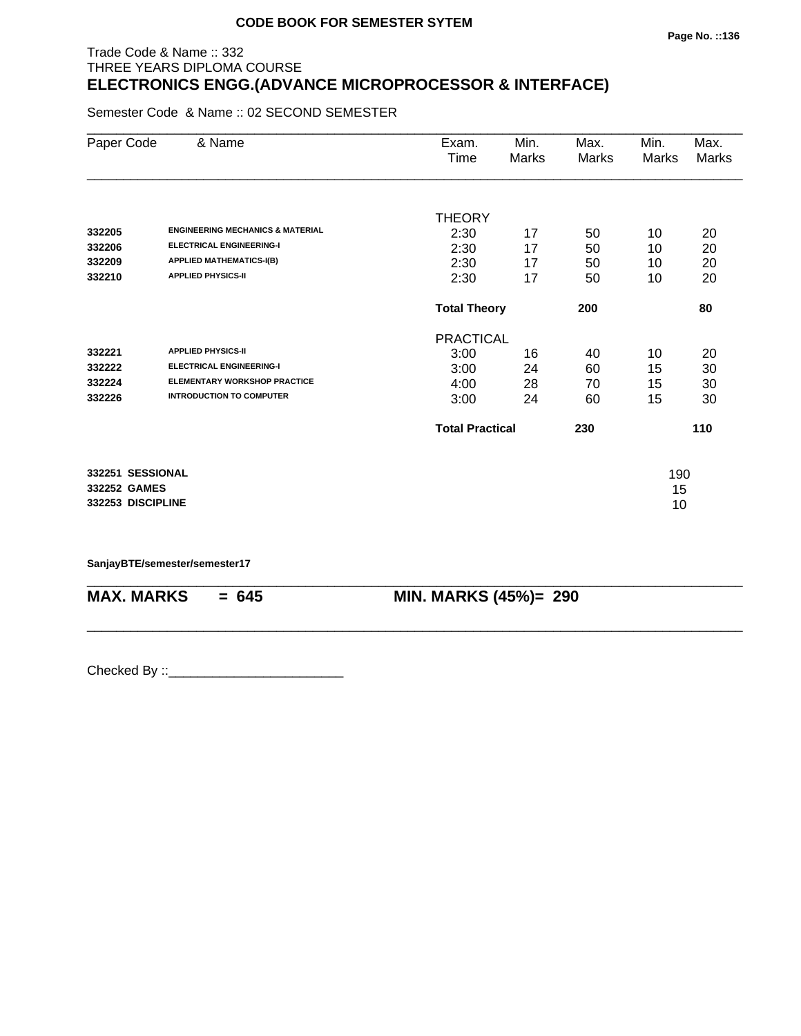# Trade Code & Name :: 332 THREE YEARS DIPLOMA COURSE **ELECTRONICS ENGG.(ADVANCE MICROPROCESSOR & INTERFACE)**

Semester Code & Name :: 02 SECOND SEMESTER

| Paper Code        | & Name                                      | Exam.            | Min.                          | Max.  | Min.         | Max.         |
|-------------------|---------------------------------------------|------------------|-------------------------------|-------|--------------|--------------|
|                   |                                             | Time             | <b>Marks</b>                  | Marks | <b>Marks</b> | <b>Marks</b> |
|                   |                                             |                  |                               |       |              |              |
|                   |                                             | <b>THEORY</b>    |                               |       |              |              |
| 332205            | <b>ENGINEERING MECHANICS &amp; MATERIAL</b> | 2:30             | 17                            | 50    | 10           | 20           |
| 332206            | <b>ELECTRICAL ENGINEERING-I</b>             | 2:30             | 17                            | 50    | 10           | 20           |
| 332209            | <b>APPLIED MATHEMATICS-I(B)</b>             | 2:30             | 17                            | 50    | 10           | 20           |
| 332210            | <b>APPLIED PHYSICS-II</b>                   | 2:30             | 17                            | 50    | 10           | 20           |
|                   |                                             |                  | <b>Total Theory</b>           |       |              | 80           |
|                   |                                             | <b>PRACTICAL</b> |                               |       |              |              |
| 332221            | <b>APPLIED PHYSICS-II</b>                   | 3:00             | 16                            | 40    | 10           | 20           |
| 332222            | <b>ELECTRICAL ENGINEERING-I</b>             | 3:00             | 24                            | 60    | 15           | 30           |
| 332224            | <b>ELEMENTARY WORKSHOP PRACTICE</b>         | 4:00             | 28                            | 70    | 15           | 30           |
| 332226            | <b>INTRODUCTION TO COMPUTER</b>             | 3:00             | 24                            | 60    | 15           | 30           |
|                   |                                             |                  | <b>Total Practical</b><br>230 |       | 110          |              |
| 332251 SESSIONAL  |                                             |                  |                               |       | 190          |              |
| 332252 GAMES      |                                             |                  |                               |       | 15           |              |
| 332253 DISCIPLINE |                                             |                  |                               |       | 10           |              |

\_\_\_\_\_\_\_\_\_\_\_\_\_\_\_\_\_\_\_\_\_\_\_\_\_\_\_\_\_\_\_\_\_\_\_\_\_\_\_\_\_\_\_\_\_\_\_\_\_\_\_\_\_\_\_\_\_\_\_\_\_\_\_\_\_\_\_\_\_\_\_\_\_\_\_\_\_\_\_\_\_\_\_\_\_\_\_\_\_\_

\_\_\_\_\_\_\_\_\_\_\_\_\_\_\_\_\_\_\_\_\_\_\_\_\_\_\_\_\_\_\_\_\_\_\_\_\_\_\_\_\_\_\_\_\_\_\_\_\_\_\_\_\_\_\_\_\_\_\_\_\_\_\_\_\_\_\_\_\_\_\_\_\_\_\_\_\_\_\_\_\_\_\_\_\_\_\_\_\_\_

**SanjayBTE/semester/semester17**

**MAX. MARKS = 645 MIN. MARKS (45%)= 290**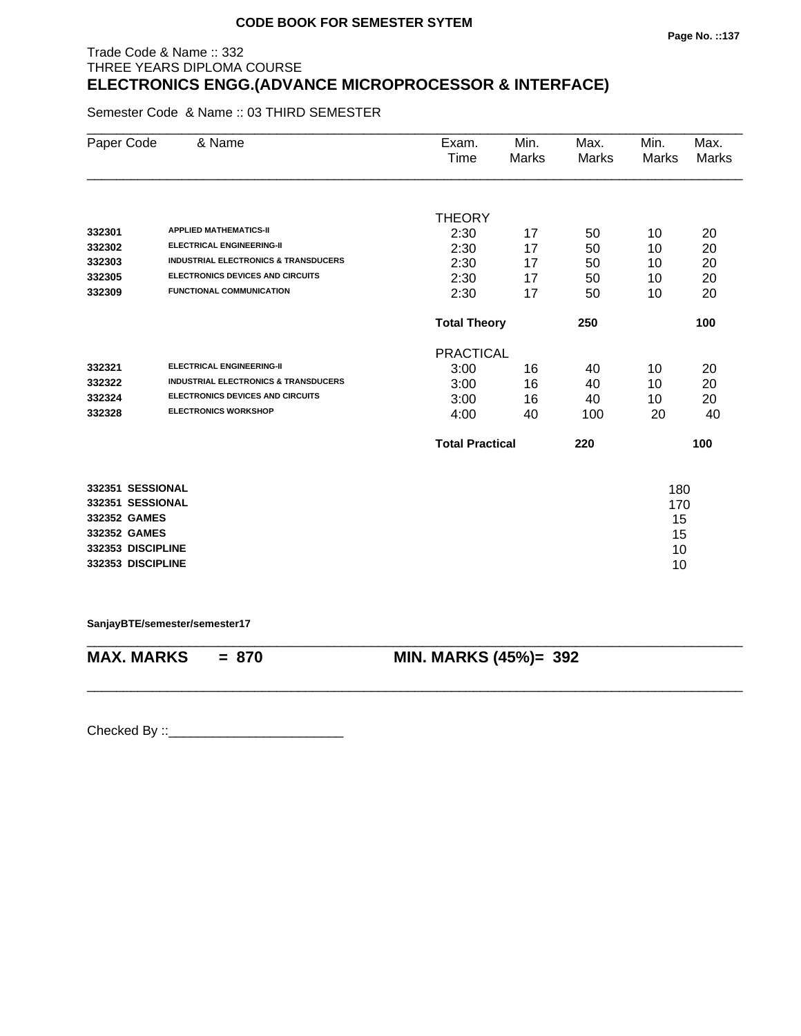# Trade Code & Name :: 332 THREE YEARS DIPLOMA COURSE **ELECTRONICS ENGG.(ADVANCE MICROPROCESSOR & INTERFACE)**

Semester Code & Name :: 03 THIRD SEMESTER

| Paper Code        | & Name                                          | Exam.<br>Time          | Min.<br><b>Marks</b> | Max.<br><b>Marks</b> | Min.<br><b>Marks</b> | Max.<br>Marks |
|-------------------|-------------------------------------------------|------------------------|----------------------|----------------------|----------------------|---------------|
|                   |                                                 |                        |                      |                      |                      |               |
|                   |                                                 | <b>THEORY</b>          |                      |                      |                      |               |
| 332301            | <b>APPLIED MATHEMATICS-II</b>                   | 2:30                   | 17                   | 50                   | 10                   | 20            |
| 332302            | <b>ELECTRICAL ENGINEERING-II</b>                | 2:30                   | 17                   | 50                   | 10                   | 20            |
| 332303            | <b>INDUSTRIAL ELECTRONICS &amp; TRANSDUCERS</b> | 2:30                   | 17                   | 50                   | 10                   | 20            |
| 332305            | <b>ELECTRONICS DEVICES AND CIRCUITS</b>         | 2:30                   | 17                   | 50                   | 10                   | 20            |
| 332309            | <b>FUNCTIONAL COMMUNICATION</b>                 | 2:30                   | 17                   | 50                   | 10                   | 20            |
|                   |                                                 | <b>Total Theory</b>    |                      | 250                  |                      | 100           |
|                   |                                                 | <b>PRACTICAL</b>       |                      |                      |                      |               |
| 332321            | <b>ELECTRICAL ENGINEERING-II</b>                | 3:00                   | 16                   | 40                   | 10                   | 20            |
| 332322            | <b>INDUSTRIAL ELECTRONICS &amp; TRANSDUCERS</b> | 3:00                   | 16                   | 40                   | 10                   | 20            |
| 332324            | <b>ELECTRONICS DEVICES AND CIRCUITS</b>         | 3:00                   | 16                   | 40                   | 10                   | 20            |
| 332328            | <b>ELECTRONICS WORKSHOP</b>                     | 4:00                   | 40                   | 100                  | 20                   | 40            |
|                   |                                                 | <b>Total Practical</b> |                      | 220                  |                      | 100           |
| 332351 SESSIONAL  |                                                 |                        |                      |                      | 180                  |               |
| 332351 SESSIONAL  |                                                 |                        |                      |                      | 170                  |               |
| 332352 GAMES      |                                                 |                        |                      |                      | 15                   |               |
| 332352 GAMES      |                                                 |                        |                      |                      | 15                   |               |
| 332353 DISCIPLINE |                                                 |                        |                      |                      | 10                   |               |
| 332353 DISCIPLINE |                                                 |                        |                      |                      | 10                   |               |
|                   |                                                 |                        |                      |                      |                      |               |

**SanjayBTE/semester/semester17**

\_\_\_\_\_\_\_\_\_\_\_\_\_\_\_\_\_\_\_\_\_\_\_\_\_\_\_\_\_\_\_\_\_\_\_\_\_\_\_\_\_\_\_\_\_\_\_\_\_\_\_\_\_\_\_\_\_\_\_\_\_\_\_\_\_\_\_\_\_\_\_\_\_\_\_\_\_\_\_\_\_\_\_\_\_\_\_\_\_\_ **MAX. MARKS = 870 MIN. MARKS (45%)= 392**

\_\_\_\_\_\_\_\_\_\_\_\_\_\_\_\_\_\_\_\_\_\_\_\_\_\_\_\_\_\_\_\_\_\_\_\_\_\_\_\_\_\_\_\_\_\_\_\_\_\_\_\_\_\_\_\_\_\_\_\_\_\_\_\_\_\_\_\_\_\_\_\_\_\_\_\_\_\_\_\_\_\_\_\_\_\_\_\_\_\_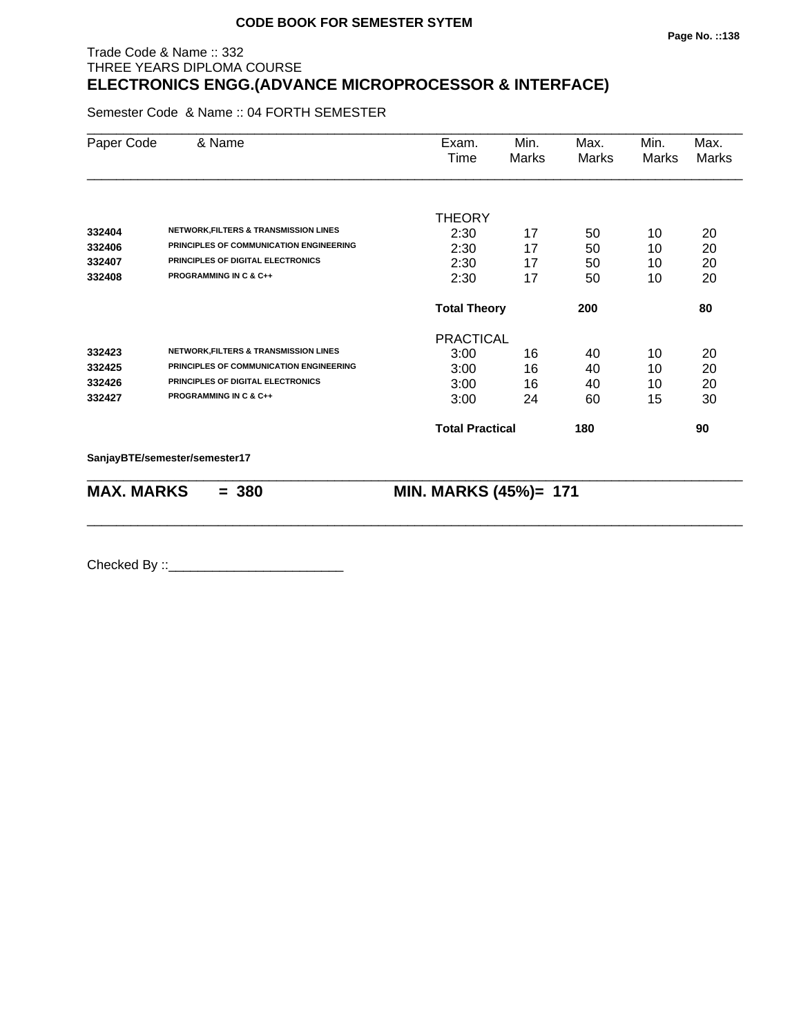# Trade Code & Name :: 332 THREE YEARS DIPLOMA COURSE **ELECTRONICS ENGG.(ADVANCE MICROPROCESSOR & INTERFACE)**

Semester Code & Name :: 04 FORTH SEMESTER

| Paper Code        | & Name                                           | Exam.<br>Time          | Min.<br>Marks | Max.<br><b>Marks</b> | Min.<br><b>Marks</b> | Max.<br><b>Marks</b> |
|-------------------|--------------------------------------------------|------------------------|---------------|----------------------|----------------------|----------------------|
|                   |                                                  | <b>THEORY</b>          |               |                      |                      |                      |
| 332404            | <b>NETWORK, FILTERS &amp; TRANSMISSION LINES</b> | 2:30                   | 17            | 50                   | 10                   | 20                   |
| 332406            | PRINCIPLES OF COMMUNICATION ENGINEERING          | 2:30                   | 17            | 50                   | 10                   | 20                   |
| 332407            | PRINCIPLES OF DIGITAL ELECTRONICS                | 2:30                   | 17            | 50                   | 10                   | 20                   |
| 332408            | <b>PROGRAMMING IN C &amp; C++</b>                | 2:30                   | 17            | 50                   | 10                   | 20                   |
|                   |                                                  | <b>Total Theory</b>    |               | 200                  |                      | 80                   |
|                   |                                                  | <b>PRACTICAL</b>       |               |                      |                      |                      |
| 332423            | <b>NETWORK, FILTERS &amp; TRANSMISSION LINES</b> | 3:00                   | 16            | 40                   | 10                   | 20                   |
| 332425            | PRINCIPLES OF COMMUNICATION ENGINEERING          | 3:00                   | 16            | 40                   | 10                   | 20                   |
| 332426            | PRINCIPLES OF DIGITAL ELECTRONICS                | 3:00                   | 16            | 40                   | 10                   | 20                   |
| 332427            | <b>PROGRAMMING IN C &amp; C++</b>                | 3:00                   | 24            | 60                   | 15                   | 30                   |
|                   |                                                  | <b>Total Practical</b> |               | 180                  |                      | 90                   |
|                   | SanjayBTE/semester/semester17                    |                        |               |                      |                      |                      |
| <b>MAX. MARKS</b> | $= 380$                                          | MIN. MARKS (45%)= 171  |               |                      |                      |                      |

\_\_\_\_\_\_\_\_\_\_\_\_\_\_\_\_\_\_\_\_\_\_\_\_\_\_\_\_\_\_\_\_\_\_\_\_\_\_\_\_\_\_\_\_\_\_\_\_\_\_\_\_\_\_\_\_\_\_\_\_\_\_\_\_\_\_\_\_\_\_\_\_\_\_\_\_\_\_\_\_\_\_\_\_\_\_\_\_\_\_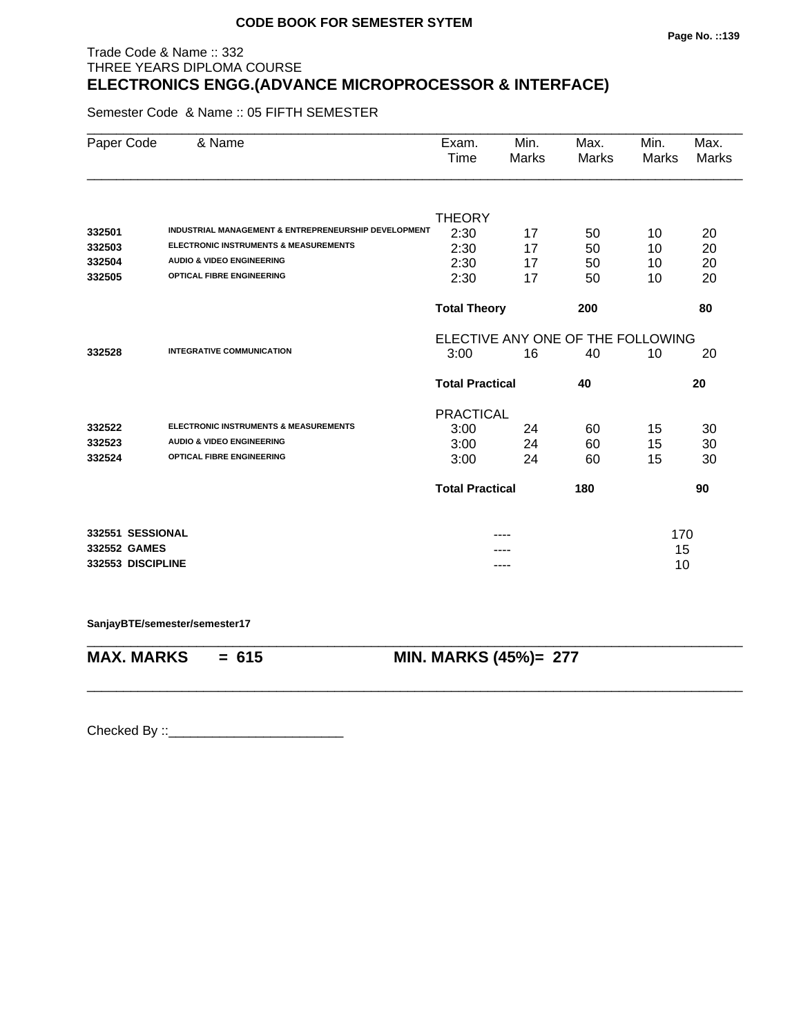# Trade Code & Name :: 332 THREE YEARS DIPLOMA COURSE **ELECTRONICS ENGG.(ADVANCE MICROPROCESSOR & INTERFACE)**

Semester Code & Name :: 05 FIFTH SEMESTER

| Paper Code        | & Name                                                          | Exam.<br>Time                     | Min.<br>Marks | Max.<br><b>Marks</b> | Min.<br><b>Marks</b> | Max.<br><b>Marks</b> |  |
|-------------------|-----------------------------------------------------------------|-----------------------------------|---------------|----------------------|----------------------|----------------------|--|
|                   |                                                                 |                                   |               |                      |                      |                      |  |
|                   |                                                                 | <b>THEORY</b>                     |               |                      |                      |                      |  |
| 332501            | <b>INDUSTRIAL MANAGEMENT &amp; ENTREPRENEURSHIP DEVELOPMENT</b> | 2:30                              | 17            | 50                   | 10                   | 20                   |  |
| 332503            | <b>ELECTRONIC INSTRUMENTS &amp; MEASUREMENTS</b>                | 2:30                              | 17            | 50                   | 10                   | 20                   |  |
| 332504            | <b>AUDIO &amp; VIDEO ENGINEERING</b>                            | 2:30                              | 17            | 50                   | 10                   | 20                   |  |
| 332505            | <b>OPTICAL FIBRE ENGINEERING</b>                                | 2:30                              | 17            | 50                   | 10                   | 20                   |  |
|                   |                                                                 | <b>Total Theory</b>               |               | 200                  |                      | 80                   |  |
|                   |                                                                 | ELECTIVE ANY ONE OF THE FOLLOWING |               |                      |                      |                      |  |
| 332528            | <b>INTEGRATIVE COMMUNICATION</b>                                | 3:00                              | 16            | 40                   | 10                   | 20                   |  |
|                   |                                                                 | <b>Total Practical</b><br>40      |               |                      |                      | 20                   |  |
|                   |                                                                 | <b>PRACTICAL</b>                  |               |                      |                      |                      |  |
| 332522            | <b>ELECTRONIC INSTRUMENTS &amp; MEASUREMENTS</b>                | 3:00                              | 24            | 60                   | 15                   | 30                   |  |
| 332523            | <b>AUDIO &amp; VIDEO ENGINEERING</b>                            | 3:00                              | 24            | 60                   | 15                   | 30                   |  |
| 332524            | <b>OPTICAL FIBRE ENGINEERING</b>                                | 3:00                              | 24            | 60                   | 15                   | 30                   |  |
|                   |                                                                 | <b>Total Practical</b><br>180     |               |                      |                      | 90                   |  |
| 332551 SESSIONAL  |                                                                 |                                   |               |                      | 170                  |                      |  |
| 332552 GAMES      |                                                                 |                                   |               |                      | 15                   |                      |  |
| 332553 DISCIPLINE |                                                                 |                                   |               |                      | 10                   |                      |  |

\_\_\_\_\_\_\_\_\_\_\_\_\_\_\_\_\_\_\_\_\_\_\_\_\_\_\_\_\_\_\_\_\_\_\_\_\_\_\_\_\_\_\_\_\_\_\_\_\_\_\_\_\_\_\_\_\_\_\_\_\_\_\_\_\_\_\_\_\_\_\_\_\_\_\_\_\_\_\_\_\_\_\_\_\_\_\_\_\_\_

\_\_\_\_\_\_\_\_\_\_\_\_\_\_\_\_\_\_\_\_\_\_\_\_\_\_\_\_\_\_\_\_\_\_\_\_\_\_\_\_\_\_\_\_\_\_\_\_\_\_\_\_\_\_\_\_\_\_\_\_\_\_\_\_\_\_\_\_\_\_\_\_\_\_\_\_\_\_\_\_\_\_\_\_\_\_\_\_\_\_

**SanjayBTE/semester/semester17**

**MAX. MARKS = 615 MIN. MARKS (45%)= 277**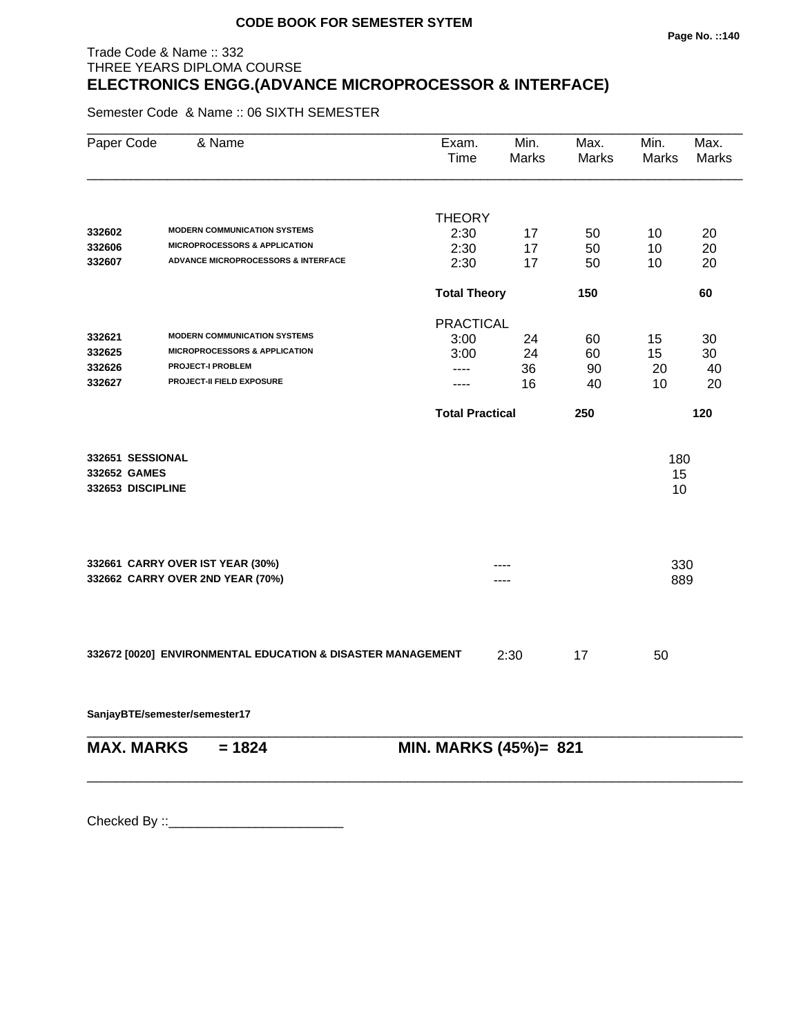#### **Page No. ::140**

# Trade Code & Name :: 332 THREE YEARS DIPLOMA COURSE **ELECTRONICS ENGG.(ADVANCE MICROPROCESSOR & INTERFACE)**

Semester Code & Name :: 06 SIXTH SEMESTER

| Paper Code        | & Name                                                      | Exam.<br>Time          | Min.<br>Marks | Max.<br><b>Marks</b> | Min.<br><b>Marks</b> | Max.<br>Marks |
|-------------------|-------------------------------------------------------------|------------------------|---------------|----------------------|----------------------|---------------|
|                   |                                                             | <b>THEORY</b>          |               |                      |                      |               |
| 332602            | <b>MODERN COMMUNICATION SYSTEMS</b>                         | 2:30                   | 17            | 50                   | 10                   | 20            |
| 332606            | <b>MICROPROCESSORS &amp; APPLICATION</b>                    | 2:30                   | 17            | 50                   | 10                   | 20            |
| 332607            | <b>ADVANCE MICROPROCESSORS &amp; INTERFACE</b>              | 2:30                   | 17            | 50                   | 10                   | 20            |
|                   |                                                             | <b>Total Theory</b>    |               | 150                  |                      | 60            |
|                   |                                                             | <b>PRACTICAL</b>       |               |                      |                      |               |
| 332621            | <b>MODERN COMMUNICATION SYSTEMS</b>                         | 3:00                   | 24            | 60                   | 15                   | 30            |
| 332625            | <b>MICROPROCESSORS &amp; APPLICATION</b>                    | 3:00                   | 24            | 60                   | 15                   | 30            |
| 332626            | <b>PROJECT-I PROBLEM</b>                                    | ----                   | 36            | 90                   | 20                   | 40            |
| 332627            | PROJECT-II FIELD EXPOSURE                                   | ----                   | 16            | 40                   | 10                   | 20            |
|                   |                                                             | <b>Total Practical</b> |               | 250                  |                      | 120           |
| 332651 SESSIONAL  |                                                             |                        |               |                      | 180                  |               |
| 332652 GAMES      |                                                             |                        |               |                      | 15                   |               |
| 332653 DISCIPLINE |                                                             |                        |               |                      | 10                   |               |
|                   |                                                             |                        |               |                      |                      |               |
|                   | 332661 CARRY OVER IST YEAR (30%)                            |                        |               |                      | 330                  |               |
|                   | 332662 CARRY OVER 2ND YEAR (70%)                            |                        |               |                      | 889                  |               |
|                   |                                                             |                        |               |                      |                      |               |
|                   | 332672 [0020] ENVIRONMENTAL EDUCATION & DISASTER MANAGEMENT |                        | 2:30          | 17                   | 50                   |               |
|                   | SanjayBTE/semester/semester17                               |                        |               |                      |                      |               |
| <b>MAX. MARKS</b> | $= 1824$                                                    | MIN. MARKS (45%)= 821  |               |                      |                      |               |
|                   |                                                             |                        |               |                      |                      |               |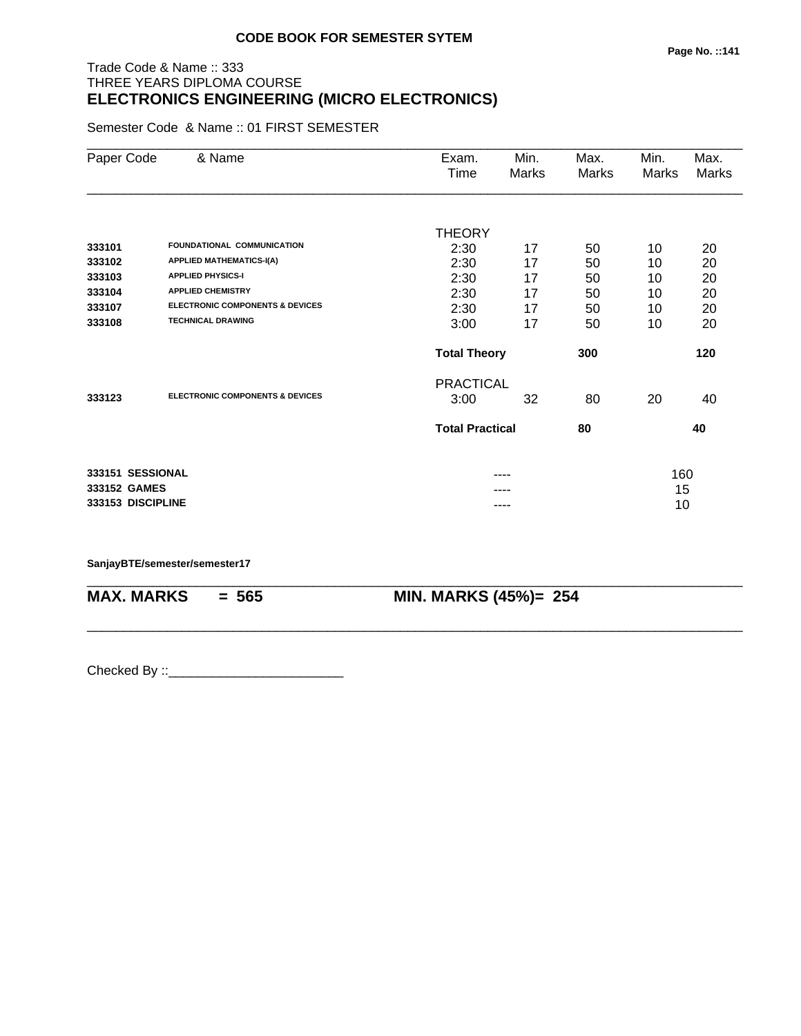# Trade Code & Name :: 333 THREE YEARS DIPLOMA COURSE **ELECTRONICS ENGINEERING (MICRO ELECTRONICS)**

Semester Code & Name :: 01 FIRST SEMESTER

| Paper Code   | & Name                                     | Exam.                  | Min.  | Max.  | Min.  | Max.         |
|--------------|--------------------------------------------|------------------------|-------|-------|-------|--------------|
|              |                                            | Time                   | Marks | Marks | Marks | <b>Marks</b> |
|              |                                            |                        |       |       |       |              |
|              |                                            | <b>THEORY</b>          |       |       |       |              |
| 333101       | <b>FOUNDATIONAL COMMUNICATION</b>          | 2:30                   | 17    | 50    | 10    | 20           |
| 333102       | <b>APPLIED MATHEMATICS-I(A)</b>            | 2:30                   | 17    | 50    | 10    | 20           |
| 333103       | <b>APPLIED PHYSICS-I</b>                   | 2:30                   | 17    | 50    | 10    | 20           |
| 333104       | <b>APPLIED CHEMISTRY</b>                   | 2:30                   | 17    | 50    | 10    | 20           |
| 333107       | <b>ELECTRONIC COMPONENTS &amp; DEVICES</b> | 2:30                   | 17    | 50    | 10    | 20           |
| 333108       | <b>TECHNICAL DRAWING</b>                   | 3:00                   | 17    | 50    | 10    | 20           |
|              |                                            | <b>Total Theory</b>    |       | 300   |       | 120          |
|              |                                            | <b>PRACTICAL</b>       |       |       |       |              |
| 333123       | <b>ELECTRONIC COMPONENTS &amp; DEVICES</b> | 3:00                   | 32    | 80    | 20    | 40           |
|              |                                            | <b>Total Practical</b> |       | 80    |       | 40           |
|              | 333151 SESSIONAL                           |                        | ----  |       | 160   |              |
| 333152 GAMES |                                            |                        |       |       | 15    |              |
|              | 333153 DISCIPLINE                          |                        | ----  |       | 10    |              |

\_\_\_\_\_\_\_\_\_\_\_\_\_\_\_\_\_\_\_\_\_\_\_\_\_\_\_\_\_\_\_\_\_\_\_\_\_\_\_\_\_\_\_\_\_\_\_\_\_\_\_\_\_\_\_\_\_\_\_\_\_\_\_\_\_\_\_\_\_\_\_\_\_\_\_\_\_\_\_\_\_\_\_\_\_\_\_\_\_\_

\_\_\_\_\_\_\_\_\_\_\_\_\_\_\_\_\_\_\_\_\_\_\_\_\_\_\_\_\_\_\_\_\_\_\_\_\_\_\_\_\_\_\_\_\_\_\_\_\_\_\_\_\_\_\_\_\_\_\_\_\_\_\_\_\_\_\_\_\_\_\_\_\_\_\_\_\_\_\_\_\_\_\_\_\_\_\_\_\_\_

#### **SanjayBTE/semester/semester17**

**MAX. MARKS = 565 MIN. MARKS (45%)= 254**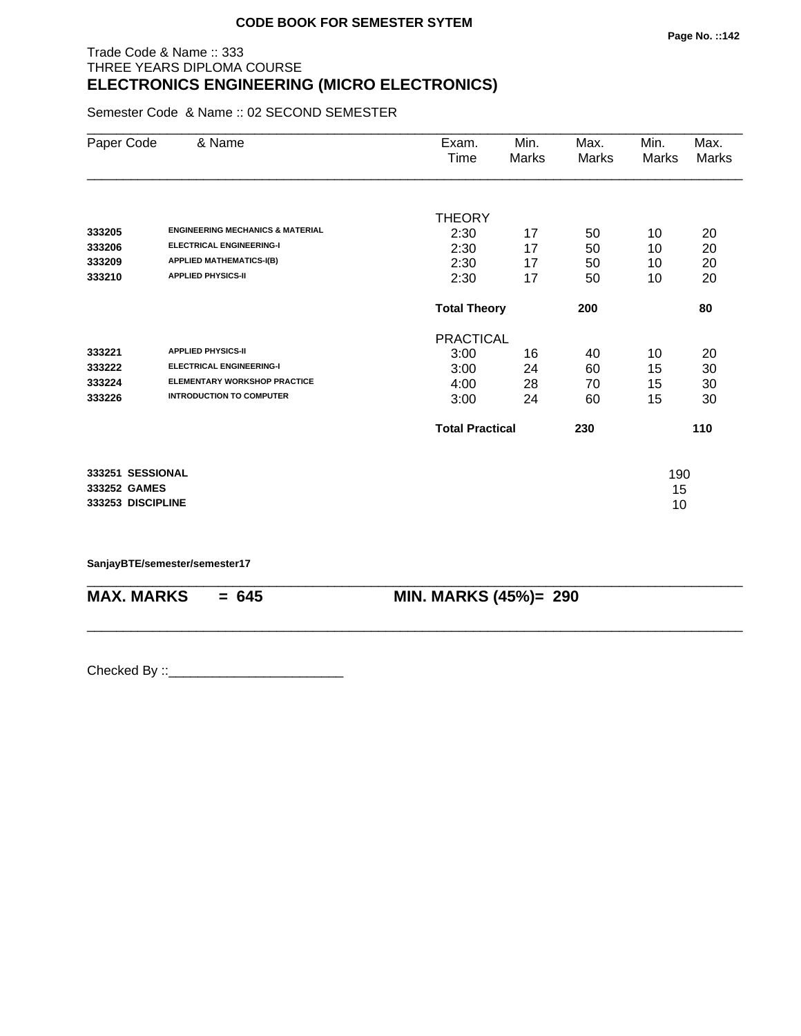# Trade Code & Name :: 333 THREE YEARS DIPLOMA COURSE **ELECTRONICS ENGINEERING (MICRO ELECTRONICS)**

Semester Code & Name :: 02 SECOND SEMESTER

| Paper Code        | & Name                                      | Exam.               | Min.                          | Max.  | Min.  | Max.         |
|-------------------|---------------------------------------------|---------------------|-------------------------------|-------|-------|--------------|
|                   |                                             | Time                | Marks                         | Marks | Marks | <b>Marks</b> |
|                   |                                             |                     |                               |       |       |              |
|                   |                                             | <b>THEORY</b>       |                               |       |       |              |
| 333205            | <b>ENGINEERING MECHANICS &amp; MATERIAL</b> | 2:30                | 17                            | 50    | 10    | 20           |
| 333206            | <b>ELECTRICAL ENGINEERING-I</b>             | 2:30                | 17                            | 50    | 10    | 20           |
| 333209            | <b>APPLIED MATHEMATICS-I(B)</b>             | 2:30                | 17                            | 50    | 10    | 20           |
| 333210            | <b>APPLIED PHYSICS-II</b>                   | 2:30                | 17                            | 50    | 10    | 20           |
|                   |                                             | <b>Total Theory</b> |                               | 200   |       | 80           |
|                   |                                             | <b>PRACTICAL</b>    |                               |       |       |              |
| 333221            | <b>APPLIED PHYSICS-II</b>                   | 3:00                | 16                            | 40    | 10    | 20           |
| 333222            | <b>ELECTRICAL ENGINEERING-I</b>             | 3:00                | 24                            | 60    | 15    | 30           |
| 333224            | <b>ELEMENTARY WORKSHOP PRACTICE</b>         | 4:00                | 28                            | 70    | 15    | 30           |
| 333226            | <b>INTRODUCTION TO COMPUTER</b>             | 3:00                | 24                            | 60    | 15    | 30           |
|                   |                                             |                     | <b>Total Practical</b><br>230 |       | 110   |              |
| 333251 SESSIONAL  |                                             |                     |                               |       | 190   |              |
| 333252 GAMES      |                                             |                     |                               |       | 15    |              |
| 333253 DISCIPLINE |                                             |                     |                               |       | 10    |              |
|                   |                                             |                     |                               |       |       |              |

\_\_\_\_\_\_\_\_\_\_\_\_\_\_\_\_\_\_\_\_\_\_\_\_\_\_\_\_\_\_\_\_\_\_\_\_\_\_\_\_\_\_\_\_\_\_\_\_\_\_\_\_\_\_\_\_\_\_\_\_\_\_\_\_\_\_\_\_\_\_\_\_\_\_\_\_\_\_\_\_\_\_\_\_\_\_\_\_\_\_

\_\_\_\_\_\_\_\_\_\_\_\_\_\_\_\_\_\_\_\_\_\_\_\_\_\_\_\_\_\_\_\_\_\_\_\_\_\_\_\_\_\_\_\_\_\_\_\_\_\_\_\_\_\_\_\_\_\_\_\_\_\_\_\_\_\_\_\_\_\_\_\_\_\_\_\_\_\_\_\_\_\_\_\_\_\_\_\_\_\_

**SanjayBTE/semester/semester17**

**MAX. MARKS = 645 MIN. MARKS (45%)= 290**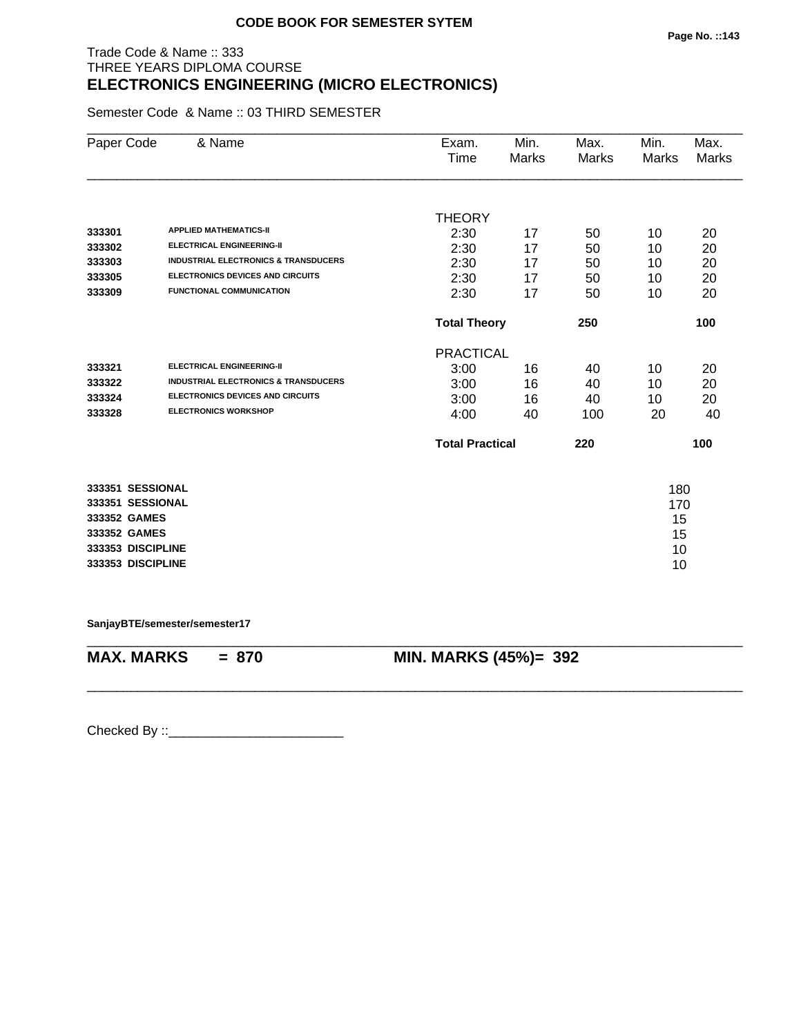# Trade Code & Name :: 333 THREE YEARS DIPLOMA COURSE **ELECTRONICS ENGINEERING (MICRO ELECTRONICS)**

Semester Code & Name :: 03 THIRD SEMESTER

| Paper Code        | & Name                                          | Exam.<br>Time       | Min.<br><b>Marks</b>          | Max.<br>Marks | Min.<br>Marks | Max.<br>Marks |
|-------------------|-------------------------------------------------|---------------------|-------------------------------|---------------|---------------|---------------|
|                   |                                                 |                     |                               |               |               |               |
|                   |                                                 | <b>THEORY</b>       |                               |               |               |               |
| 333301            | <b>APPLIED MATHEMATICS-II</b>                   | 2:30                | 17                            | 50            | 10            | 20            |
| 333302            | <b>ELECTRICAL ENGINEERING-II</b>                | 2:30                | 17                            | 50            | 10            | 20            |
| 333303            | <b>INDUSTRIAL ELECTRONICS &amp; TRANSDUCERS</b> | 2:30                | 17                            | 50            | 10            | 20            |
| 333305            | ELECTRONICS DEVICES AND CIRCUITS                | 2:30                | 17                            | 50            | 10            | 20            |
| 333309            | <b>FUNCTIONAL COMMUNICATION</b>                 | 2:30                | 17                            | 50            | 10            | 20            |
|                   |                                                 | <b>Total Theory</b> |                               | 250           |               | 100           |
|                   |                                                 | <b>PRACTICAL</b>    |                               |               |               |               |
| 333321            | <b>ELECTRICAL ENGINEERING-II</b>                | 3:00                | 16                            | 40            | 10            | 20            |
| 333322            | <b>INDUSTRIAL ELECTRONICS &amp; TRANSDUCERS</b> | 3:00                | 16                            | 40            | 10            | 20            |
| 333324            | ELECTRONICS DEVICES AND CIRCUITS                | 3:00                | 16                            | 40            | 10            | 20            |
| 333328            | <b>ELECTRONICS WORKSHOP</b>                     | 4:00                | 40                            | 100           | 20            | 40            |
|                   |                                                 |                     | <b>Total Practical</b><br>220 |               | 100           |               |
| 333351 SESSIONAL  |                                                 |                     |                               |               | 180           |               |
| 333351 SESSIONAL  |                                                 |                     |                               |               | 170           |               |
| 333352 GAMES      |                                                 |                     |                               |               | 15            |               |
| 333352 GAMES      |                                                 |                     |                               |               | 15            |               |
| 333353 DISCIPLINE |                                                 |                     |                               |               | 10            |               |
| 333353 DISCIPLINE |                                                 |                     |                               |               | 10            |               |
|                   |                                                 |                     |                               |               |               |               |

**SanjayBTE/semester/semester17**

\_\_\_\_\_\_\_\_\_\_\_\_\_\_\_\_\_\_\_\_\_\_\_\_\_\_\_\_\_\_\_\_\_\_\_\_\_\_\_\_\_\_\_\_\_\_\_\_\_\_\_\_\_\_\_\_\_\_\_\_\_\_\_\_\_\_\_\_\_\_\_\_\_\_\_\_\_\_\_\_\_\_\_\_\_\_\_\_\_\_ **MAX. MARKS = 870 MIN. MARKS (45%)= 392**

\_\_\_\_\_\_\_\_\_\_\_\_\_\_\_\_\_\_\_\_\_\_\_\_\_\_\_\_\_\_\_\_\_\_\_\_\_\_\_\_\_\_\_\_\_\_\_\_\_\_\_\_\_\_\_\_\_\_\_\_\_\_\_\_\_\_\_\_\_\_\_\_\_\_\_\_\_\_\_\_\_\_\_\_\_\_\_\_\_\_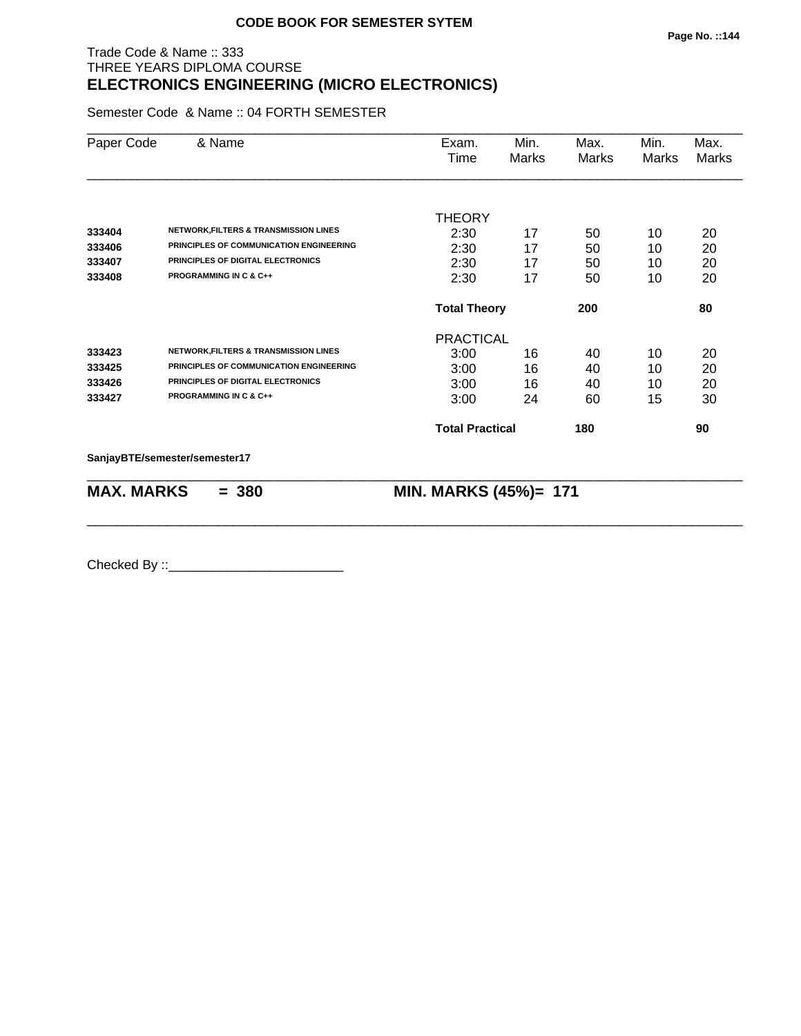# Trade Code & Name :: 333 THREE YEARS DIPLOMA COURSE **ELECTRONICS ENGINEERING (MICRO ELECTRONICS)**

Semester Code & Name :: 04 FORTH SEMESTER

| Paper Code        | & Name                                           | Exam.<br>Time          | Min.<br>Marks | Max.<br><b>Marks</b> | Min.<br><b>Marks</b> | Max.<br><b>Marks</b> |
|-------------------|--------------------------------------------------|------------------------|---------------|----------------------|----------------------|----------------------|
|                   |                                                  | <b>THEORY</b>          |               |                      |                      |                      |
| 333404            | <b>NETWORK, FILTERS &amp; TRANSMISSION LINES</b> | 2:30                   | 17            | 50                   | 10                   | 20                   |
| 333406            | PRINCIPLES OF COMMUNICATION ENGINEERING          | 2:30                   | 17            | 50                   | 10                   | 20                   |
| 333407            | PRINCIPLES OF DIGITAL ELECTRONICS                | 2:30                   | 17            | 50                   | 10                   | 20                   |
| 333408            | <b>PROGRAMMING IN C &amp; C++</b>                | 2:30                   | 17            | 50                   | 10                   | 20                   |
|                   |                                                  | <b>Total Theory</b>    |               | 200                  |                      | 80                   |
|                   |                                                  | <b>PRACTICAL</b>       |               |                      |                      |                      |
| 333423            | <b>NETWORK, FILTERS &amp; TRANSMISSION LINES</b> | 3:00                   | 16            | 40                   | 10                   | 20                   |
| 333425            | PRINCIPLES OF COMMUNICATION ENGINEERING          | 3:00                   | 16            | 40                   | 10                   | 20                   |
| 333426            | PRINCIPLES OF DIGITAL ELECTRONICS                | 3:00                   | 16            | 40                   | 10                   | 20                   |
| 333427            | <b>PROGRAMMING IN C &amp; C++</b>                | 3:00                   | 24            | 60                   | 15                   | 30                   |
|                   |                                                  | <b>Total Practical</b> |               | 180                  |                      | 90                   |
|                   | SanjayBTE/semester/semester17                    |                        |               |                      |                      |                      |
| <b>MAX. MARKS</b> | $= 380$                                          | MIN. MARKS (45%)= 171  |               |                      |                      |                      |

\_\_\_\_\_\_\_\_\_\_\_\_\_\_\_\_\_\_\_\_\_\_\_\_\_\_\_\_\_\_\_\_\_\_\_\_\_\_\_\_\_\_\_\_\_\_\_\_\_\_\_\_\_\_\_\_\_\_\_\_\_\_\_\_\_\_\_\_\_\_\_\_\_\_\_\_\_\_\_\_\_\_\_\_\_\_\_\_\_\_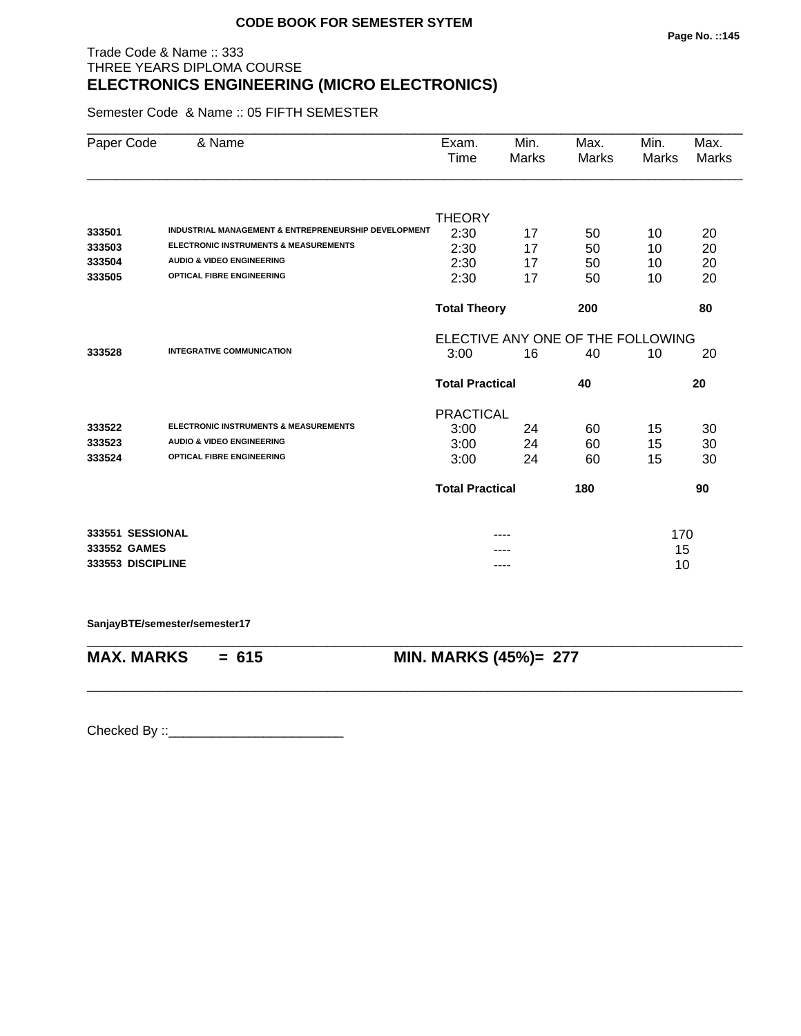## Trade Code & Name :: 333 THREE YEARS DIPLOMA COURSE **ELECTRONICS ENGINEERING (MICRO ELECTRONICS)**

Semester Code & Name :: 05 FIFTH SEMESTER

| Paper Code        | & Name                                                          | Exam.<br>Time          | Min.<br>Marks | Max.<br><b>Marks</b>              | Min.<br><b>Marks</b> | Max.<br><b>Marks</b> |
|-------------------|-----------------------------------------------------------------|------------------------|---------------|-----------------------------------|----------------------|----------------------|
|                   |                                                                 |                        |               |                                   |                      |                      |
|                   |                                                                 | <b>THEORY</b>          |               |                                   |                      |                      |
| 333501            | <b>INDUSTRIAL MANAGEMENT &amp; ENTREPRENEURSHIP DEVELOPMENT</b> | 2:30                   | 17            | 50                                | 10                   | 20                   |
| 333503            | ELECTRONIC INSTRUMENTS & MEASUREMENTS                           | 2:30                   | 17            | 50                                | 10                   | 20                   |
| 333504            | <b>AUDIO &amp; VIDEO ENGINEERING</b>                            | 2:30                   | 17            | 50                                | 10                   | 20                   |
| 333505            | <b>OPTICAL FIBRE ENGINEERING</b>                                | 2:30                   | 17            | 50                                | 10                   | 20                   |
|                   |                                                                 | <b>Total Theory</b>    |               | 200                               |                      | 80                   |
|                   |                                                                 |                        |               | ELECTIVE ANY ONE OF THE FOLLOWING |                      |                      |
| 333528            | <b>INTEGRATIVE COMMUNICATION</b>                                | 16<br>40<br>3:00       |               |                                   | 10                   | 20                   |
|                   |                                                                 | <b>Total Practical</b> |               | 40                                |                      | 20                   |
|                   |                                                                 | <b>PRACTICAL</b>       |               |                                   |                      |                      |
| 333522            | <b>ELECTRONIC INSTRUMENTS &amp; MEASUREMENTS</b>                | 3:00                   | 24            | 60                                | 15                   | 30                   |
| 333523            | <b>AUDIO &amp; VIDEO ENGINEERING</b>                            | 3:00                   | 24            | 60                                | 15                   | 30                   |
| 333524            | <b>OPTICAL FIBRE ENGINEERING</b>                                | 3:00                   | 24            | 60                                | 15                   | 30                   |
|                   |                                                                 | <b>Total Practical</b> |               | 180                               |                      | 90                   |
| 333551 SESSIONAL  |                                                                 |                        |               |                                   | 170                  |                      |
| 333552 GAMES      |                                                                 |                        |               |                                   | 15                   |                      |
| 333553 DISCIPLINE |                                                                 |                        |               |                                   | 10                   |                      |

\_\_\_\_\_\_\_\_\_\_\_\_\_\_\_\_\_\_\_\_\_\_\_\_\_\_\_\_\_\_\_\_\_\_\_\_\_\_\_\_\_\_\_\_\_\_\_\_\_\_\_\_\_\_\_\_\_\_\_\_\_\_\_\_\_\_\_\_\_\_\_\_\_\_\_\_\_\_\_\_\_\_\_\_\_\_\_\_\_\_

\_\_\_\_\_\_\_\_\_\_\_\_\_\_\_\_\_\_\_\_\_\_\_\_\_\_\_\_\_\_\_\_\_\_\_\_\_\_\_\_\_\_\_\_\_\_\_\_\_\_\_\_\_\_\_\_\_\_\_\_\_\_\_\_\_\_\_\_\_\_\_\_\_\_\_\_\_\_\_\_\_\_\_\_\_\_\_\_\_\_

**SanjayBTE/semester/semester17**

**MAX. MARKS = 615 MIN. MARKS (45%)= 277**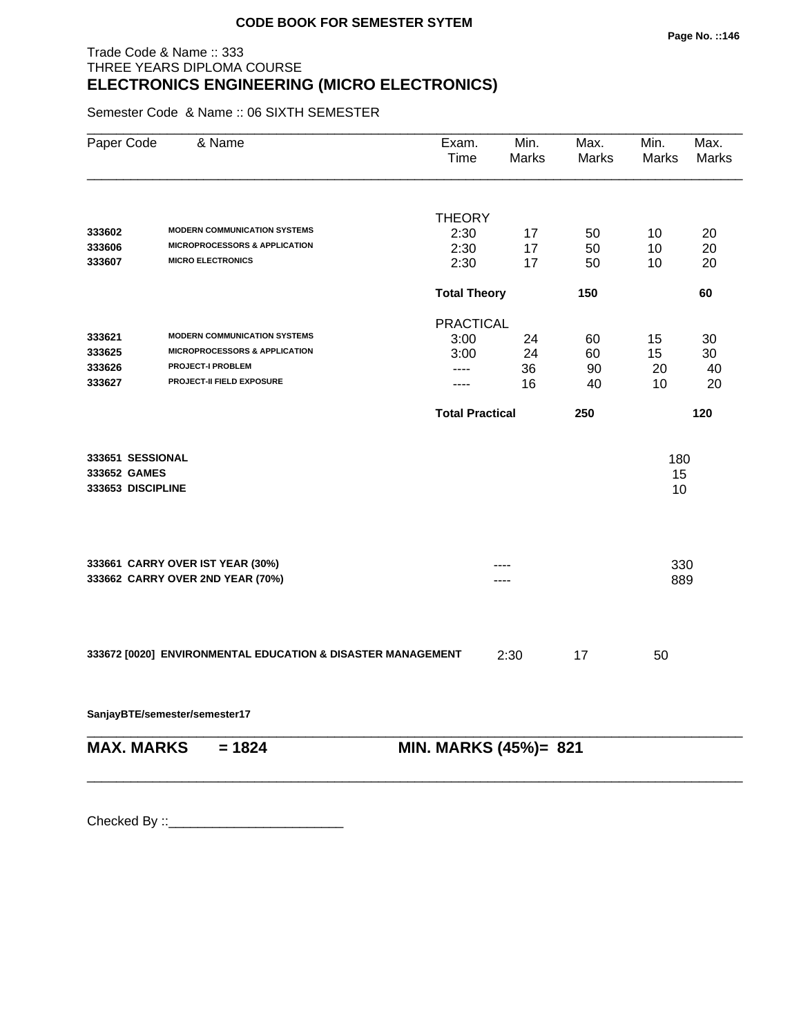## Trade Code & Name :: 333 THREE YEARS DIPLOMA COURSE **ELECTRONICS ENGINEERING (MICRO ELECTRONICS)**

Semester Code & Name :: 06 SIXTH SEMESTER

| Paper Code        | & Name                                                      | Exam.<br>Time          | Min.<br><b>Marks</b> | Max.<br>Marks | Min.<br>Marks | Max.<br><b>Marks</b> |
|-------------------|-------------------------------------------------------------|------------------------|----------------------|---------------|---------------|----------------------|
|                   |                                                             |                        |                      |               |               |                      |
| 333602            | <b>MODERN COMMUNICATION SYSTEMS</b>                         | <b>THEORY</b><br>2:30  |                      |               |               |                      |
| 333606            | <b>MICROPROCESSORS &amp; APPLICATION</b>                    | 2:30                   | 17<br>17             | 50<br>50      | 10<br>10      | 20<br>20             |
| 333607            | <b>MICRO ELECTRONICS</b>                                    | 2:30                   | 17                   | 50            | 10            | 20                   |
|                   |                                                             | <b>Total Theory</b>    |                      | 150           |               | 60                   |
|                   |                                                             | <b>PRACTICAL</b>       |                      |               |               |                      |
| 333621            | <b>MODERN COMMUNICATION SYSTEMS</b>                         | 3:00                   | 24                   | 60            | 15            | 30                   |
| 333625            | <b>MICROPROCESSORS &amp; APPLICATION</b>                    | 3:00                   | 24                   | 60            | 15            | 30                   |
| 333626            | <b>PROJECT-I PROBLEM</b>                                    | ----                   | 36                   | 90            | 20            | 40                   |
| 333627            | PROJECT-II FIELD EXPOSURE                                   | ----                   | 16                   | 40            | 10            | 20                   |
|                   |                                                             | <b>Total Practical</b> |                      | 250           |               | 120                  |
| 333651 SESSIONAL  |                                                             |                        |                      |               | 180           |                      |
| 333652 GAMES      |                                                             |                        |                      |               | 15            |                      |
| 333653 DISCIPLINE |                                                             |                        |                      |               | 10            |                      |
|                   | 333661 CARRY OVER IST YEAR (30%)                            |                        |                      |               | 330           |                      |
|                   | 333662 CARRY OVER 2ND YEAR (70%)                            |                        |                      |               | 889           |                      |
|                   |                                                             |                        |                      |               |               |                      |
|                   | 333672 [0020] ENVIRONMENTAL EDUCATION & DISASTER MANAGEMENT |                        | 2:30                 | 17            | 50            |                      |
|                   | SanjayBTE/semester/semester17                               |                        |                      |               |               |                      |
| <b>MAX. MARKS</b> | $= 1824$                                                    | MIN. MARKS (45%)= 821  |                      |               |               |                      |
|                   |                                                             |                        |                      |               |               |                      |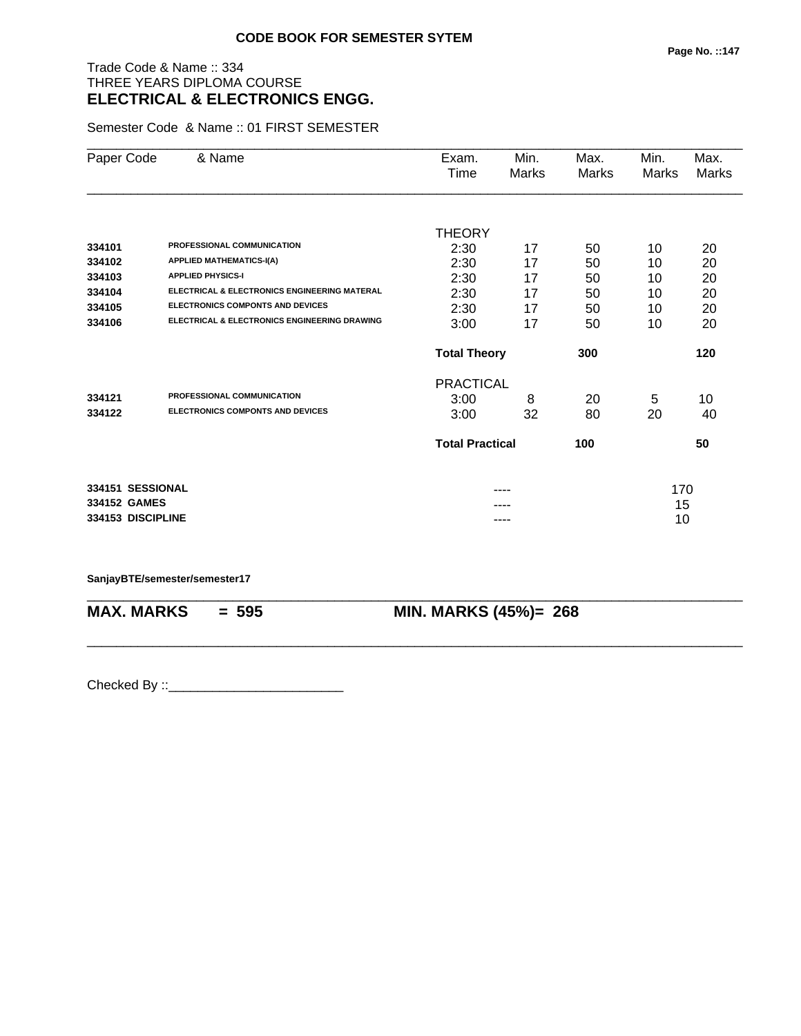# Trade Code & Name :: 334 THREE YEARS DIPLOMA COURSE **ELECTRICAL & ELECTRONICS ENGG.**

Semester Code & Name :: 01 FIRST SEMESTER

| Paper Code        | & Name                                       | Exam.                  | Min.         | Max.         | Min.  | Max.         |
|-------------------|----------------------------------------------|------------------------|--------------|--------------|-------|--------------|
|                   |                                              | Time                   | <b>Marks</b> | <b>Marks</b> | Marks | <b>Marks</b> |
|                   |                                              | <b>THEORY</b>          |              |              |       |              |
| 334101            | PROFESSIONAL COMMUNICATION                   | 2:30                   | 17           | 50           | 10    | 20           |
| 334102            | <b>APPLIED MATHEMATICS-I(A)</b>              | 2:30                   | 17           | 50           | 10    | 20           |
| 334103            | <b>APPLIED PHYSICS-I</b>                     | 2:30                   | 17           | 50           | 10    | 20           |
| 334104            | ELECTRICAL & ELECTRONICS ENGINEERING MATERAL | 2:30                   | 17           | 50           | 10    | 20           |
| 334105            | <b>ELECTRONICS COMPONTS AND DEVICES</b>      | 2:30                   | 17           | 50           | 10    | 20           |
| 334106            | ELECTRICAL & ELECTRONICS ENGINEERING DRAWING | 3:00                   | 17           | 50           | 10    | 20           |
|                   |                                              | <b>Total Theory</b>    |              | 300          |       | 120          |
|                   |                                              | <b>PRACTICAL</b>       |              |              |       |              |
| 334121            | PROFESSIONAL COMMUNICATION                   | 3:00                   | 8            | 20           | 5     | 10           |
| 334122            | <b>ELECTRONICS COMPONTS AND DEVICES</b>      | 3:00                   | 32           | 80           | 20    | 40           |
|                   |                                              | <b>Total Practical</b> |              | 100          |       | 50           |
| 334151 SESSIONAL  |                                              |                        |              |              | 170   |              |
| 334152 GAMES      |                                              |                        |              |              | 15    |              |
| 334153 DISCIPLINE |                                              |                        | ----         |              | 10    |              |

\_\_\_\_\_\_\_\_\_\_\_\_\_\_\_\_\_\_\_\_\_\_\_\_\_\_\_\_\_\_\_\_\_\_\_\_\_\_\_\_\_\_\_\_\_\_\_\_\_\_\_\_\_\_\_\_\_\_\_\_\_\_\_\_\_\_\_\_\_\_\_\_\_\_\_\_\_\_\_\_\_\_\_\_\_\_\_\_\_\_

\_\_\_\_\_\_\_\_\_\_\_\_\_\_\_\_\_\_\_\_\_\_\_\_\_\_\_\_\_\_\_\_\_\_\_\_\_\_\_\_\_\_\_\_\_\_\_\_\_\_\_\_\_\_\_\_\_\_\_\_\_\_\_\_\_\_\_\_\_\_\_\_\_\_\_\_\_\_\_\_\_\_\_\_\_\_\_\_\_\_

**SanjayBTE/semester/semester17**

**MAX. MARKS = 595 MIN. MARKS (45%)= 268**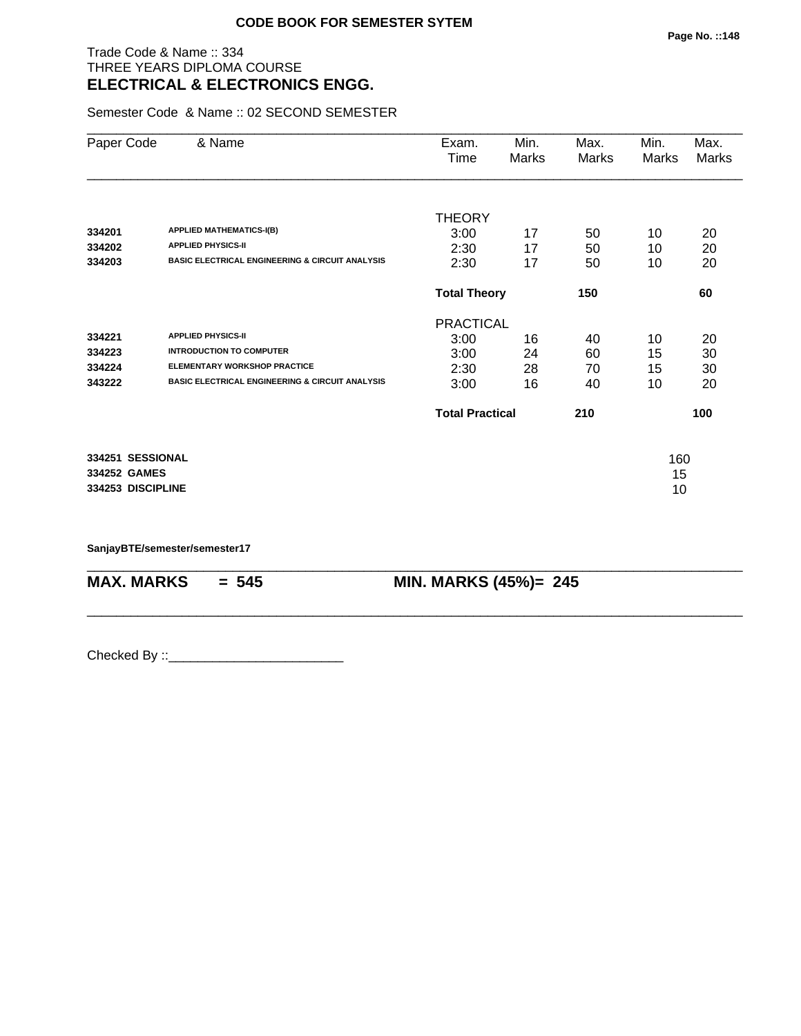### Trade Code & Name :: 334 THREE YEARS DIPLOMA COURSE **ELECTRICAL & ELECTRONICS ENGG.**

Semester Code & Name :: 02 SECOND SEMESTER

| Paper Code                                            | & Name                                                                                                                                                            | Exam.<br>Time                                    | Min.<br>Marks        | Max.<br>Marks        | Min.<br>Marks        | Max.<br>Marks        |
|-------------------------------------------------------|-------------------------------------------------------------------------------------------------------------------------------------------------------------------|--------------------------------------------------|----------------------|----------------------|----------------------|----------------------|
| 334201<br>334202<br>334203                            | <b>APPLIED MATHEMATICS-I(B)</b><br><b>APPLIED PHYSICS-II</b><br><b>BASIC ELECTRICAL ENGINEERING &amp; CIRCUIT ANALYSIS</b>                                        | <b>THEORY</b><br>3:00<br>2:30<br>2:30            | 17<br>17<br>17       | 50<br>50<br>50       | 10<br>10<br>10       | 20<br>20<br>20       |
|                                                       |                                                                                                                                                                   | <b>Total Theory</b>                              |                      | 150                  |                      | 60                   |
| 334221<br>334223<br>334224<br>343222                  | <b>APPLIED PHYSICS-II</b><br><b>INTRODUCTION TO COMPUTER</b><br><b>ELEMENTARY WORKSHOP PRACTICE</b><br><b>BASIC ELECTRICAL ENGINEERING &amp; CIRCUIT ANALYSIS</b> | <b>PRACTICAL</b><br>3:00<br>3:00<br>2:30<br>3:00 | 16<br>24<br>28<br>16 | 40<br>60<br>70<br>40 | 10<br>15<br>15<br>10 | 20<br>30<br>30<br>20 |
|                                                       |                                                                                                                                                                   | <b>Total Practical</b>                           |                      | 210                  |                      | 100                  |
| 334251 SESSIONAL<br>334252 GAMES<br>334253 DISCIPLINE |                                                                                                                                                                   |                                                  |                      |                      | 160<br>15<br>10      |                      |

\_\_\_\_\_\_\_\_\_\_\_\_\_\_\_\_\_\_\_\_\_\_\_\_\_\_\_\_\_\_\_\_\_\_\_\_\_\_\_\_\_\_\_\_\_\_\_\_\_\_\_\_\_\_\_\_\_\_\_\_\_\_\_\_\_\_\_\_\_\_\_\_\_\_\_\_\_\_\_\_\_\_\_\_\_\_\_\_\_\_

\_\_\_\_\_\_\_\_\_\_\_\_\_\_\_\_\_\_\_\_\_\_\_\_\_\_\_\_\_\_\_\_\_\_\_\_\_\_\_\_\_\_\_\_\_\_\_\_\_\_\_\_\_\_\_\_\_\_\_\_\_\_\_\_\_\_\_\_\_\_\_\_\_\_\_\_\_\_\_\_\_\_\_\_\_\_\_\_\_\_

**SanjayBTE/semester/semester17**

**MAX. MARKS = 545 MIN. MARKS (45%)= 245**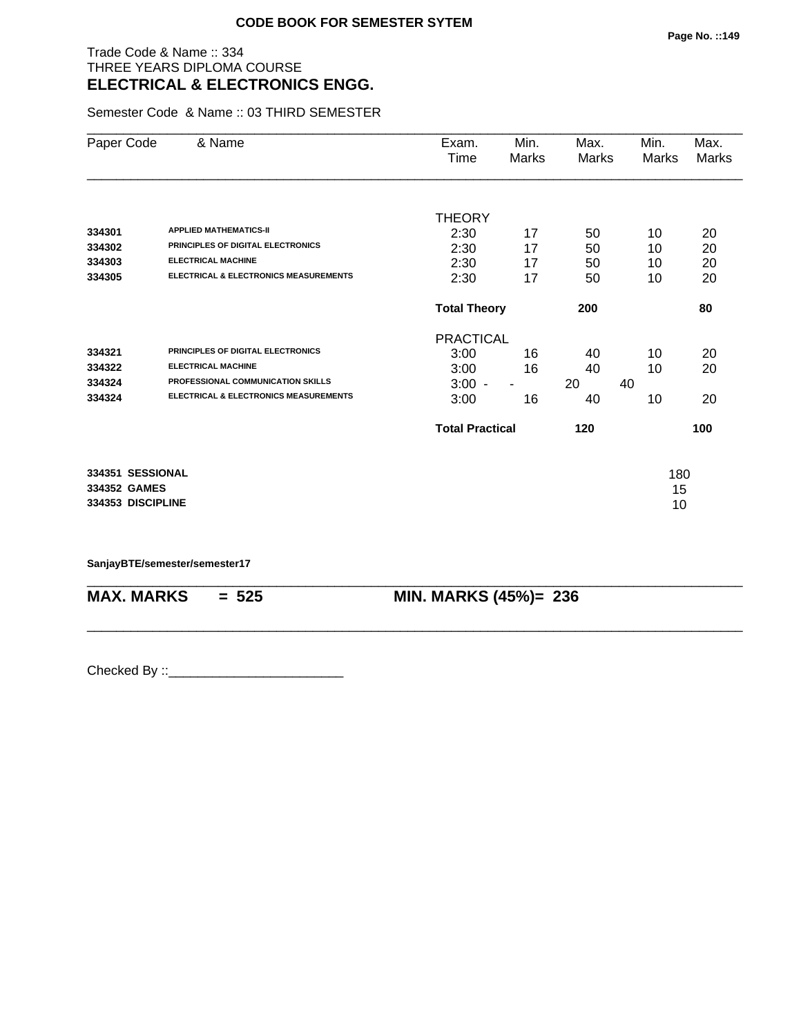# Trade Code & Name :: 334 THREE YEARS DIPLOMA COURSE **ELECTRICAL & ELECTRONICS ENGG.**

Semester Code & Name :: 03 THIRD SEMESTER

| Paper Code        | & Name                                           | Exam.<br>Time          | Min.<br>Marks  | Max.<br>Marks | Min.<br>Marks | Max.<br>Marks |
|-------------------|--------------------------------------------------|------------------------|----------------|---------------|---------------|---------------|
|                   |                                                  |                        |                |               |               |               |
|                   |                                                  | <b>THEORY</b>          |                |               |               |               |
| 334301            | <b>APPLIED MATHEMATICS-II</b>                    | 2:30                   | 17             | 50            | 10            | 20            |
| 334302            | PRINCIPLES OF DIGITAL ELECTRONICS                | 2:30                   | 17             | 50            | 10            | 20            |
| 334303            | <b>ELECTRICAL MACHINE</b>                        | 2:30                   | 17             | 50            | 10            | 20            |
| 334305            | <b>ELECTRICAL &amp; ELECTRONICS MEASUREMENTS</b> | 2:30                   | 17             | 50            | 10            | 20            |
|                   |                                                  | <b>Total Theory</b>    |                | 200           |               | 80            |
|                   |                                                  | <b>PRACTICAL</b>       |                |               |               |               |
| 334321            | PRINCIPLES OF DIGITAL ELECTRONICS                | 3:00                   | 16             | 40            | 10            | 20            |
| 334322            | <b>ELECTRICAL MACHINE</b>                        | 3:00                   | 16             | 40            | 10            | 20            |
| 334324            | PROFESSIONAL COMMUNICATION SKILLS                | $3:00 -$               | $\blacksquare$ | 20            | 40            |               |
| 334324            | <b>ELECTRICAL &amp; ELECTRONICS MEASUREMENTS</b> | 3:00                   | 16             | 40            | 10            | 20            |
|                   |                                                  | <b>Total Practical</b> |                | 120           |               | 100           |
| 334351 SESSIONAL  |                                                  |                        |                |               | 180           |               |
| 334352 GAMES      |                                                  |                        |                |               | 15            |               |
| 334353 DISCIPLINE |                                                  |                        |                |               | 10            |               |
|                   |                                                  |                        |                |               |               |               |

\_\_\_\_\_\_\_\_\_\_\_\_\_\_\_\_\_\_\_\_\_\_\_\_\_\_\_\_\_\_\_\_\_\_\_\_\_\_\_\_\_\_\_\_\_\_\_\_\_\_\_\_\_\_\_\_\_\_\_\_\_\_\_\_\_\_\_\_\_\_\_\_\_\_\_\_\_\_\_\_\_\_\_\_\_\_\_\_\_\_

\_\_\_\_\_\_\_\_\_\_\_\_\_\_\_\_\_\_\_\_\_\_\_\_\_\_\_\_\_\_\_\_\_\_\_\_\_\_\_\_\_\_\_\_\_\_\_\_\_\_\_\_\_\_\_\_\_\_\_\_\_\_\_\_\_\_\_\_\_\_\_\_\_\_\_\_\_\_\_\_\_\_\_\_\_\_\_\_\_\_

**SanjayBTE/semester/semester17**

**MAX. MARKS = 525 MIN. MARKS (45%)= 236**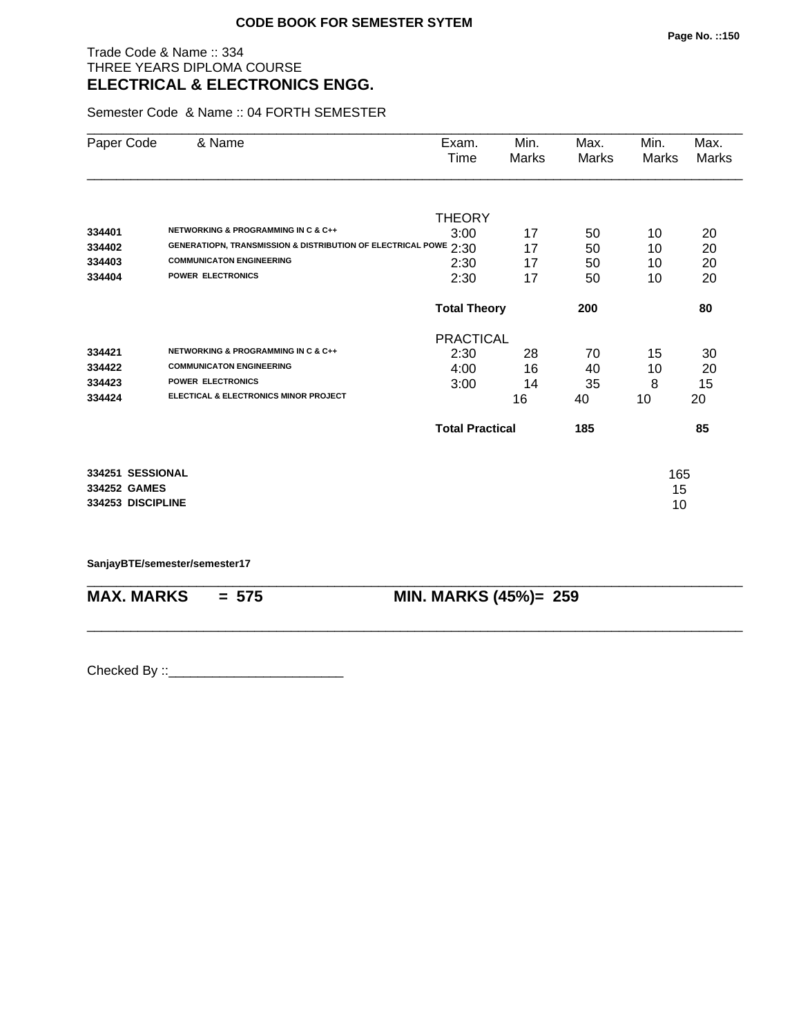#### Trade Code & Name :: 334 THREE YEARS DIPLOMA COURSE **ELECTRICAL & ELECTRONICS ENGG.**

Semester Code & Name :: 04 FORTH SEMESTER

| Paper Code        | & Name                                                           | Exam.                  | Min.  | Max.  | Min.         | Max.         |
|-------------------|------------------------------------------------------------------|------------------------|-------|-------|--------------|--------------|
|                   |                                                                  | Time                   | Marks | Marks | <b>Marks</b> | <b>Marks</b> |
|                   |                                                                  |                        |       |       |              |              |
|                   |                                                                  | <b>THEORY</b>          |       |       |              |              |
| 334401            | <b>NETWORKING &amp; PROGRAMMING IN C &amp; C++</b>               | 3:00                   | 17    | 50    | 10           | 20           |
| 334402            | GENERATIOPN, TRANSMISSION & DISTRIBUTION OF ELECTRICAL POWE 2:30 |                        | 17    | 50    | 10           | 20           |
| 334403            | <b>COMMUNICATON ENGINEERING</b>                                  | 2:30                   | 17    | 50    | 10           | 20           |
| 334404            | <b>POWER ELECTRONICS</b>                                         | 2:30                   | 17    | 50    | 10           | 20           |
|                   |                                                                  | <b>Total Theory</b>    |       | 200   |              | 80           |
|                   |                                                                  | <b>PRACTICAL</b>       |       |       |              |              |
| 334421            | <b>NETWORKING &amp; PROGRAMMING IN C &amp; C++</b>               | 2:30                   | 28    | 70    | 15           | 30           |
| 334422            | <b>COMMUNICATON ENGINEERING</b>                                  | 4:00                   | 16    | 40    | 10           | 20           |
| 334423            | <b>POWER ELECTRONICS</b>                                         | 3:00                   | 14    | 35    | 8            | 15           |
| 334424            | ELECTICAL & ELECTRONICS MINOR PROJECT                            |                        | 16    | 40    | 10           | 20           |
|                   |                                                                  | <b>Total Practical</b> |       | 185   |              | 85           |
| 334251 SESSIONAL  |                                                                  |                        |       |       | 165          |              |
| 334252 GAMES      |                                                                  |                        |       |       | 15           |              |
| 334253 DISCIPLINE |                                                                  |                        |       |       | 10           |              |
|                   |                                                                  |                        |       |       |              |              |

\_\_\_\_\_\_\_\_\_\_\_\_\_\_\_\_\_\_\_\_\_\_\_\_\_\_\_\_\_\_\_\_\_\_\_\_\_\_\_\_\_\_\_\_\_\_\_\_\_\_\_\_\_\_\_\_\_\_\_\_\_\_\_\_\_\_\_\_\_\_\_\_\_\_\_\_\_\_\_\_\_\_\_\_\_\_\_\_\_\_

\_\_\_\_\_\_\_\_\_\_\_\_\_\_\_\_\_\_\_\_\_\_\_\_\_\_\_\_\_\_\_\_\_\_\_\_\_\_\_\_\_\_\_\_\_\_\_\_\_\_\_\_\_\_\_\_\_\_\_\_\_\_\_\_\_\_\_\_\_\_\_\_\_\_\_\_\_\_\_\_\_\_\_\_\_\_\_\_\_\_

**SanjayBTE/semester/semester17**

**MAX. MARKS = 575 MIN. MARKS (45%)= 259**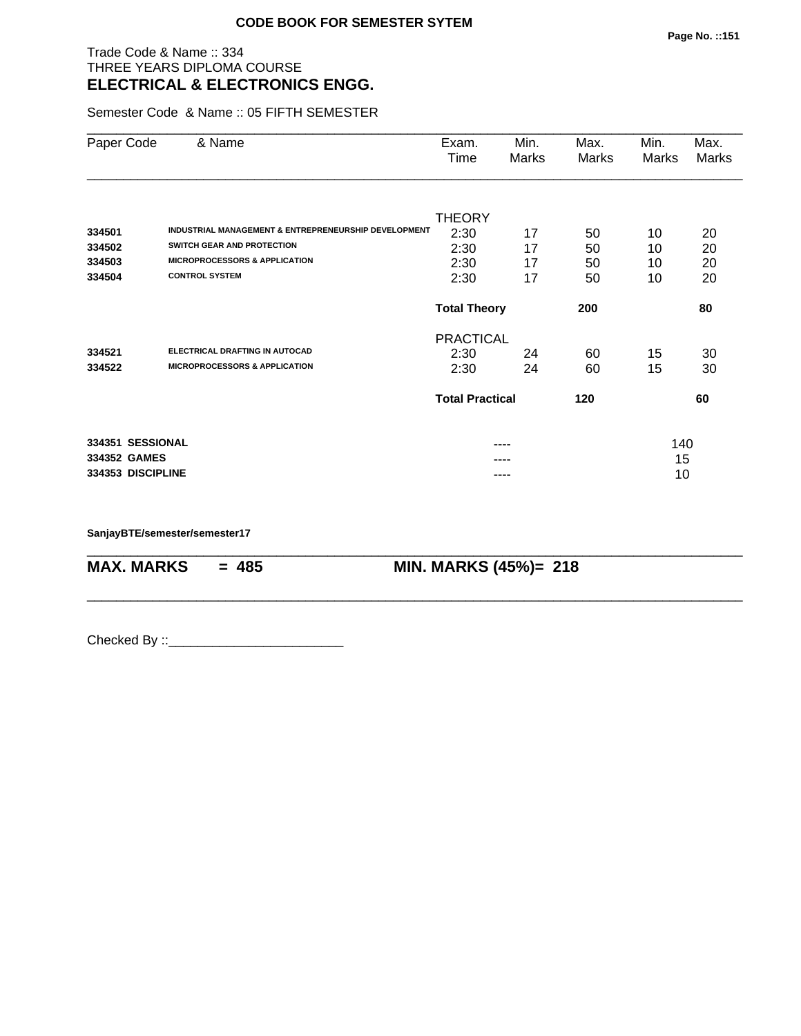## Trade Code & Name :: 334 THREE YEARS DIPLOMA COURSE **ELECTRICAL & ELECTRONICS ENGG.**

Semester Code & Name :: 05 FIFTH SEMESTER

| Paper Code        | & Name                                               | Exam.<br>Time              | Min.<br>Marks | Max.<br>Marks | Min.<br>Marks | Max.<br>Marks |
|-------------------|------------------------------------------------------|----------------------------|---------------|---------------|---------------|---------------|
|                   |                                                      |                            |               |               |               |               |
| 334501            | INDUSTRIAL MANAGEMENT & ENTREPRENEURSHIP DEVELOPMENT | <b>THEORY</b>              |               |               |               |               |
| 334502            | SWITCH GEAR AND PROTECTION                           | 2:30                       | 17            | 50            | 10            | 20            |
| 334503            | <b>MICROPROCESSORS &amp; APPLICATION</b>             | 2:30                       | 17            | 50            | 10            | 20            |
| 334504            | <b>CONTROL SYSTEM</b>                                | 2:30                       | 17            | 50            | 10            | 20            |
|                   |                                                      | 2:30                       | 17            | 50            | 10            | 20            |
|                   |                                                      | <b>Total Theory</b><br>200 |               |               |               | 80            |
|                   |                                                      | <b>PRACTICAL</b>           |               |               |               |               |
| 334521            | ELECTRICAL DRAFTING IN AUTOCAD                       | 2:30                       | 24            | 60            | 15            | 30            |
| 334522            | <b>MICROPROCESSORS &amp; APPLICATION</b>             | 2:30                       | 24            | 60            | 15            | 30            |
|                   |                                                      | <b>Total Practical</b>     |               | 120           |               | 60            |
| 334351 SESSIONAL  |                                                      |                            | ----          |               | 140           |               |
| 334352 GAMES      |                                                      |                            |               |               | 15            |               |
| 334353 DISCIPLINE |                                                      |                            | ----          |               | 10            |               |

\_\_\_\_\_\_\_\_\_\_\_\_\_\_\_\_\_\_\_\_\_\_\_\_\_\_\_\_\_\_\_\_\_\_\_\_\_\_\_\_\_\_\_\_\_\_\_\_\_\_\_\_\_\_\_\_\_\_\_\_\_\_\_\_\_\_\_\_\_\_\_\_\_\_\_\_\_\_\_\_\_\_\_\_\_\_\_\_\_\_

\_\_\_\_\_\_\_\_\_\_\_\_\_\_\_\_\_\_\_\_\_\_\_\_\_\_\_\_\_\_\_\_\_\_\_\_\_\_\_\_\_\_\_\_\_\_\_\_\_\_\_\_\_\_\_\_\_\_\_\_\_\_\_\_\_\_\_\_\_\_\_\_\_\_\_\_\_\_\_\_\_\_\_\_\_\_\_\_\_\_

**SanjayBTE/semester/semester17**

**MAX. MARKS = 485 MIN. MARKS (45%)= 218**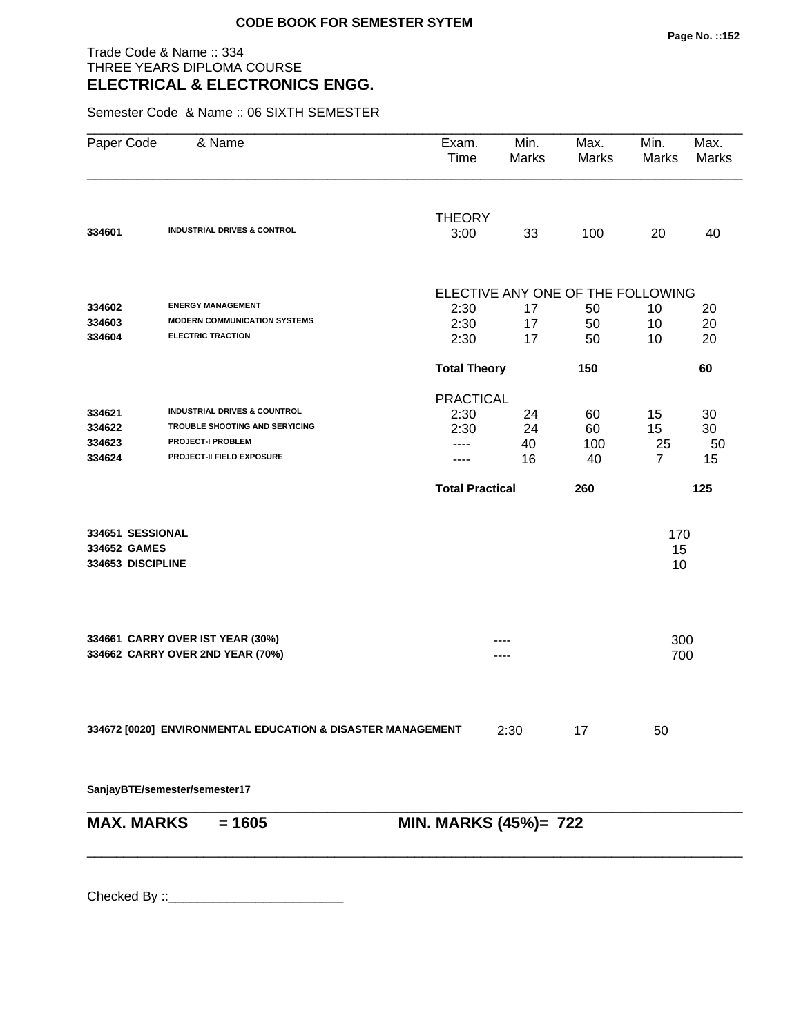#### Trade Code & Name :: 334 THREE YEARS DIPLOMA COURSE **ELECTRICAL & ELECTRONICS ENGG.**

Semester Code & Name :: 06 SIXTH SEMESTER

| Paper Code        | & Name                                                      | Exam.<br>Time                | Min.<br>Marks                     | Max.<br>Marks | Min.<br>Marks  | Max.<br><b>Marks</b> |
|-------------------|-------------------------------------------------------------|------------------------------|-----------------------------------|---------------|----------------|----------------------|
| 334601            | <b>INDUSTRIAL DRIVES &amp; CONTROL</b>                      | <b>THEORY</b><br>3:00        | 33                                | 100           | 20             | 40                   |
|                   |                                                             |                              |                                   |               |                |                      |
|                   |                                                             |                              | ELECTIVE ANY ONE OF THE FOLLOWING |               |                |                      |
| 334602            | <b>ENERGY MANAGEMENT</b>                                    | 2:30                         | 17                                | 50            | 10             | 20                   |
| 334603            | <b>MODERN COMMUNICATION SYSTEMS</b>                         | 2:30                         | 17                                | 50            | 10             | 20                   |
| 334604            | <b>ELECTRIC TRACTION</b>                                    | 2:30                         | 17                                | 50            | 10             | 20                   |
|                   |                                                             | <b>Total Theory</b>          |                                   | 150           |                | 60                   |
|                   |                                                             | <b>PRACTICAL</b>             |                                   |               |                |                      |
| 334621            | <b>INDUSTRIAL DRIVES &amp; COUNTROL</b>                     | 2:30                         | 24                                | 60            | 15             | 30                   |
| 334622            | TROUBLE SHOOTING AND SERYICING                              | 2:30                         | 24                                | 60            | 15             | 30                   |
| 334623            | <b>PROJECT-I PROBLEM</b>                                    | ----                         | 40                                | 100           | 25             | 50                   |
| 334624            | PROJECT-II FIELD EXPOSURE                                   |                              | 16                                | 40            | $\overline{7}$ | 15                   |
|                   |                                                             | <b>Total Practical</b>       |                                   | 260           |                | 125                  |
| 334651 SESSIONAL  |                                                             |                              |                                   |               | 170            |                      |
| 334652 GAMES      |                                                             |                              |                                   |               | 15             |                      |
| 334653 DISCIPLINE |                                                             |                              |                                   |               | 10             |                      |
|                   | 334661 CARRY OVER IST YEAR (30%)                            |                              |                                   |               | 300            |                      |
|                   | 334662 CARRY OVER 2ND YEAR (70%)                            |                              |                                   |               | 700            |                      |
|                   | 334672 [0020] ENVIRONMENTAL EDUCATION & DISASTER MANAGEMENT |                              | 2:30                              | 17            | 50             |                      |
|                   | SanjayBTE/semester/semester17                               |                              |                                   |               |                |                      |
| <b>MAX. MARKS</b> | $= 1605$                                                    | <b>MIN. MARKS (45%)= 722</b> |                                   |               |                |                      |
|                   |                                                             |                              |                                   |               |                |                      |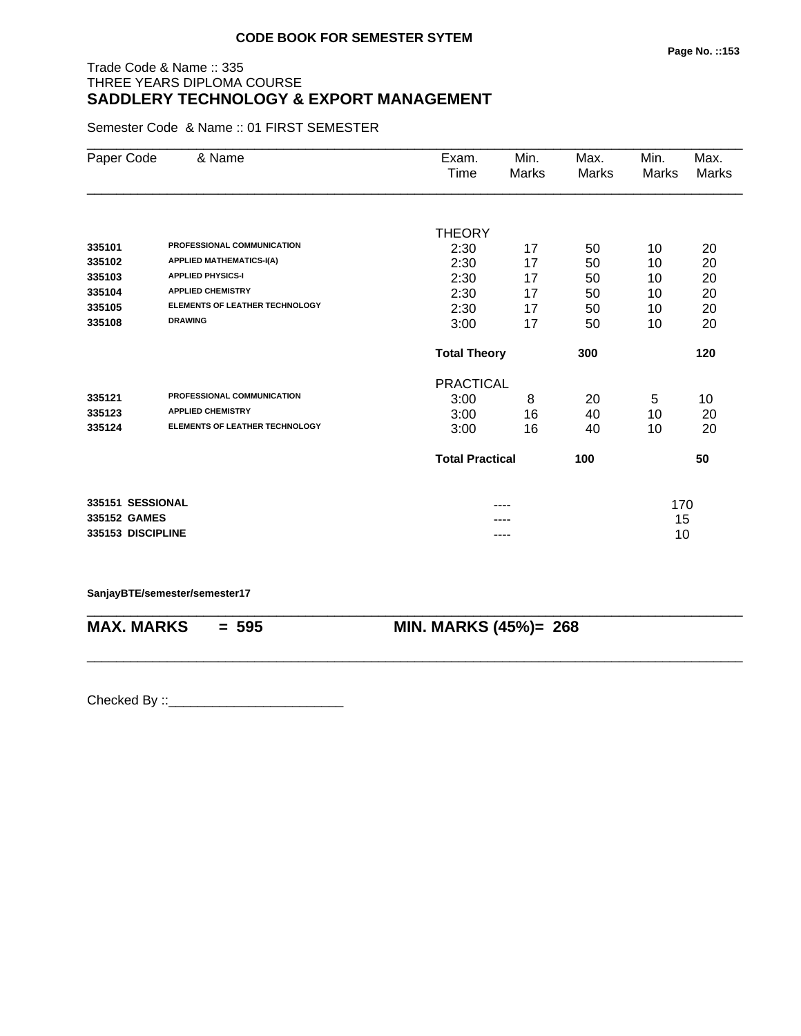# Trade Code & Name :: 335 THREE YEARS DIPLOMA COURSE **SADDLERY TECHNOLOGY & EXPORT MANAGEMENT**

Semester Code & Name :: 01 FIRST SEMESTER

| Paper Code        | & Name                                | Exam.                  | Min.                       | Max.  | Min.  | Max.  |
|-------------------|---------------------------------------|------------------------|----------------------------|-------|-------|-------|
|                   |                                       | Time                   | <b>Marks</b>               | Marks | Marks | Marks |
|                   |                                       |                        |                            |       |       |       |
|                   |                                       | <b>THEORY</b>          |                            |       |       |       |
| 335101            | PROFESSIONAL COMMUNICATION            | 2:30                   | 17                         | 50    | 10    | 20    |
| 335102            | <b>APPLIED MATHEMATICS-I(A)</b>       | 2:30                   | 17                         | 50    | 10    | 20    |
| 335103            | <b>APPLIED PHYSICS-I</b>              | 2:30                   | 17                         | 50    | 10    | 20    |
| 335104            | <b>APPLIED CHEMISTRY</b>              | 2:30                   | 17                         | 50    | 10    | 20    |
| 335105            | <b>ELEMENTS OF LEATHER TECHNOLOGY</b> | 2:30                   | 17                         | 50    | 10    | 20    |
| 335108            | <b>DRAWING</b>                        | 3:00                   | 17                         | 50    | 10    | 20    |
|                   |                                       |                        | <b>Total Theory</b><br>300 |       |       | 120   |
|                   |                                       | <b>PRACTICAL</b>       |                            |       |       |       |
| 335121            | PROFESSIONAL COMMUNICATION            | 3:00                   | 8                          | 20    | 5     | 10    |
| 335123            | <b>APPLIED CHEMISTRY</b>              | 3:00                   | 16                         | 40    | 10    | 20    |
| 335124            | <b>ELEMENTS OF LEATHER TECHNOLOGY</b> | 3:00                   | 16                         | 40    | 10    | 20    |
|                   |                                       | <b>Total Practical</b> |                            | 100   |       | 50    |
| 335151 SESSIONAL  |                                       |                        |                            |       | 170   |       |
| 335152 GAMES      |                                       |                        |                            |       | 15    |       |
| 335153 DISCIPLINE |                                       |                        | ----                       |       | 10    |       |
|                   |                                       |                        |                            |       |       |       |

**SanjayBTE/semester/semester17**

\_\_\_\_\_\_\_\_\_\_\_\_\_\_\_\_\_\_\_\_\_\_\_\_\_\_\_\_\_\_\_\_\_\_\_\_\_\_\_\_\_\_\_\_\_\_\_\_\_\_\_\_\_\_\_\_\_\_\_\_\_\_\_\_\_\_\_\_\_\_\_\_\_\_\_\_\_\_\_\_\_\_\_\_\_\_\_\_\_\_ **MAX. MARKS = 595 MIN. MARKS (45%)= 268**

\_\_\_\_\_\_\_\_\_\_\_\_\_\_\_\_\_\_\_\_\_\_\_\_\_\_\_\_\_\_\_\_\_\_\_\_\_\_\_\_\_\_\_\_\_\_\_\_\_\_\_\_\_\_\_\_\_\_\_\_\_\_\_\_\_\_\_\_\_\_\_\_\_\_\_\_\_\_\_\_\_\_\_\_\_\_\_\_\_\_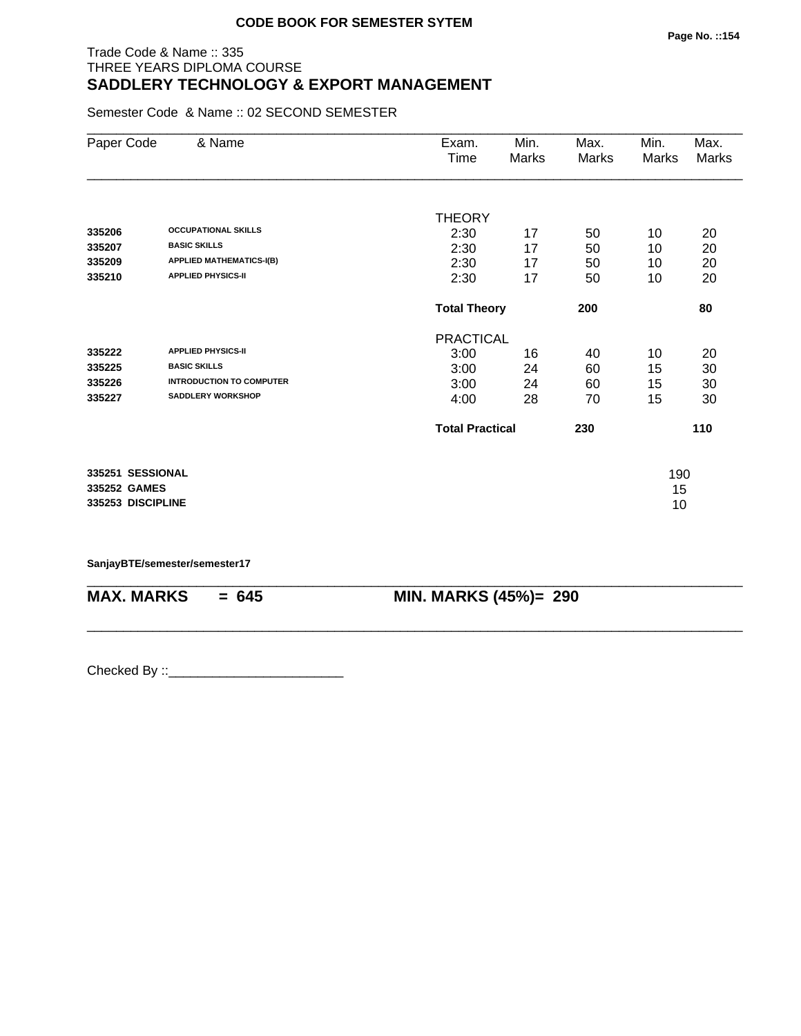### Trade Code & Name :: 335 THREE YEARS DIPLOMA COURSE **SADDLERY TECHNOLOGY & EXPORT MANAGEMENT**

Semester Code & Name :: 02 SECOND SEMESTER

| & Name                          | Exam.         | Min.                       | Max.                                       | Min.  | Max.     |
|---------------------------------|---------------|----------------------------|--------------------------------------------|-------|----------|
|                                 | Time          | Marks                      | Marks                                      | Marks | Marks    |
|                                 |               |                            |                                            |       |          |
|                                 | <b>THEORY</b> |                            |                                            |       |          |
| <b>OCCUPATIONAL SKILLS</b>      | 2:30          | 17                         | 50                                         | 10    | 20       |
| <b>BASIC SKILLS</b>             |               | 17                         |                                            |       | 20       |
| <b>APPLIED MATHEMATICS-I(B)</b> | 2:30          | 17                         | 50                                         | 10    | 20       |
| <b>APPLIED PHYSICS-II</b>       | 2:30          | 17                         | 50                                         | 10    | 20       |
|                                 |               | <b>Total Theory</b><br>200 |                                            |       |          |
|                                 |               |                            |                                            |       |          |
| <b>APPLIED PHYSICS-II</b>       | 3:00          | 16                         | 40                                         | 10    | 20       |
| <b>BASIC SKILLS</b>             | 3:00          | 24                         | 60                                         | 15    | 30       |
| <b>INTRODUCTION TO COMPUTER</b> | 3:00          | 24                         | 60                                         |       | 30       |
| <b>SADDLERY WORKSHOP</b>        | 4:00          | 28                         | 70                                         | 15    | 30       |
|                                 |               |                            | 230                                        |       | 110      |
| 335251 SESSIONAL                |               |                            |                                            | 190   |          |
| 335252 GAMES                    |               |                            |                                            | 15    |          |
| 335253 DISCIPLINE               |               |                            |                                            | 10    |          |
|                                 |               | 2:30                       | <b>PRACTICAL</b><br><b>Total Practical</b> | 50    | 10<br>15 |

\_\_\_\_\_\_\_\_\_\_\_\_\_\_\_\_\_\_\_\_\_\_\_\_\_\_\_\_\_\_\_\_\_\_\_\_\_\_\_\_\_\_\_\_\_\_\_\_\_\_\_\_\_\_\_\_\_\_\_\_\_\_\_\_\_\_\_\_\_\_\_\_\_\_\_\_\_\_\_\_\_\_\_\_\_\_\_\_\_\_

\_\_\_\_\_\_\_\_\_\_\_\_\_\_\_\_\_\_\_\_\_\_\_\_\_\_\_\_\_\_\_\_\_\_\_\_\_\_\_\_\_\_\_\_\_\_\_\_\_\_\_\_\_\_\_\_\_\_\_\_\_\_\_\_\_\_\_\_\_\_\_\_\_\_\_\_\_\_\_\_\_\_\_\_\_\_\_\_\_\_

**SanjayBTE/semester/semester17**

**MAX. MARKS = 645 MIN. MARKS (45%)= 290**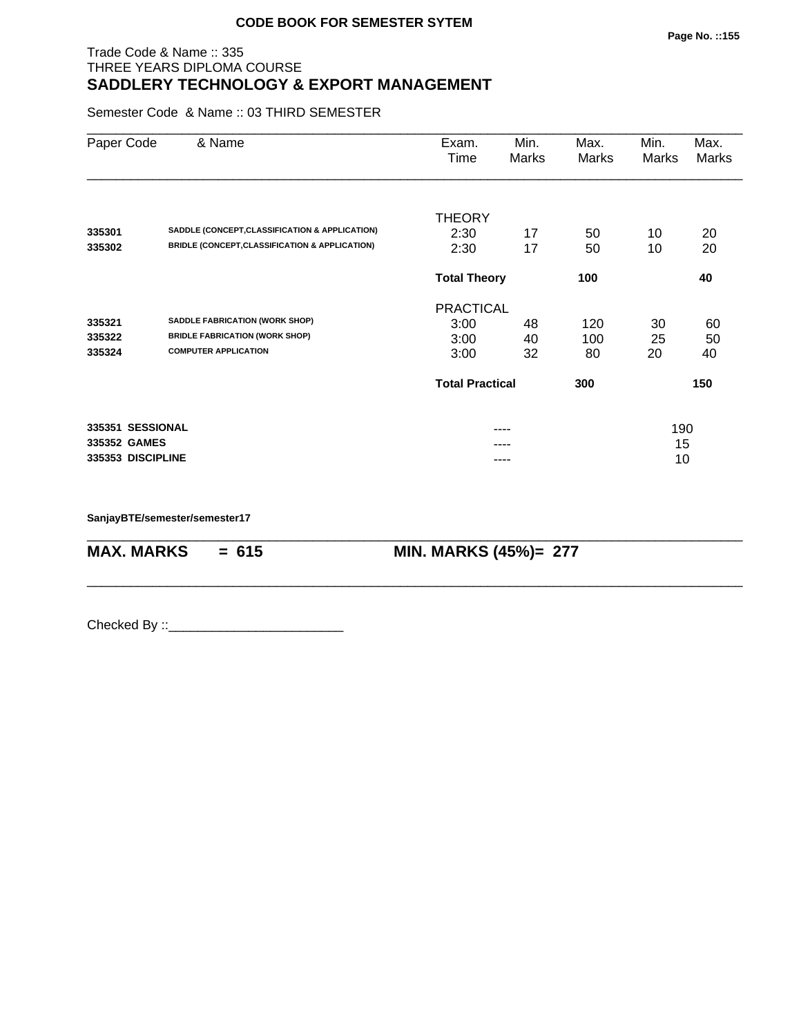#### Trade Code & Name :: 335 THREE YEARS DIPLOMA COURSE **SADDLERY TECHNOLOGY & EXPORT MANAGEMENT**

Semester Code & Name :: 03 THIRD SEMESTER

| Paper Code        | & Name                                         | Exam.<br>Time          | Min.<br>Marks | Max.<br>Marks | Min.<br>Marks | Max.<br>Marks |  |
|-------------------|------------------------------------------------|------------------------|---------------|---------------|---------------|---------------|--|
|                   |                                                | <b>THEORY</b>          |               |               |               |               |  |
| 335301            | SADDLE (CONCEPT, CLASSIFICATION & APPLICATION) | 2:30                   | 17            | 50            | 10            | 20            |  |
| 335302            | BRIDLE (CONCEPT, CLASSIFICATION & APPLICATION) | 2:30                   | 17            | 50            | 10            | 20            |  |
|                   |                                                | <b>Total Theory</b>    |               | 100           |               | 40            |  |
|                   |                                                | <b>PRACTICAL</b>       |               |               |               |               |  |
| 335321            | <b>SADDLE FABRICATION (WORK SHOP)</b>          | 3:00                   | 48            | 120           | 30            | 60            |  |
| 335322            | <b>BRIDLE FABRICATION (WORK SHOP)</b>          | 3:00                   | 40            | 100           | 25            | 50            |  |
| 335324            | <b>COMPUTER APPLICATION</b>                    | 3:00                   | 32            | 80            | 20            | 40            |  |
|                   |                                                | <b>Total Practical</b> |               | 300           |               | 150           |  |
| 335351 SESSIONAL  |                                                |                        |               |               | 190           |               |  |
| 335352 GAMES      |                                                |                        |               |               | 15            |               |  |
| 335353 DISCIPLINE |                                                |                        |               |               | 10            |               |  |

\_\_\_\_\_\_\_\_\_\_\_\_\_\_\_\_\_\_\_\_\_\_\_\_\_\_\_\_\_\_\_\_\_\_\_\_\_\_\_\_\_\_\_\_\_\_\_\_\_\_\_\_\_\_\_\_\_\_\_\_\_\_\_\_\_\_\_\_\_\_\_\_\_\_\_\_\_\_\_\_\_\_\_\_\_\_\_\_\_\_

\_\_\_\_\_\_\_\_\_\_\_\_\_\_\_\_\_\_\_\_\_\_\_\_\_\_\_\_\_\_\_\_\_\_\_\_\_\_\_\_\_\_\_\_\_\_\_\_\_\_\_\_\_\_\_\_\_\_\_\_\_\_\_\_\_\_\_\_\_\_\_\_\_\_\_\_\_\_\_\_\_\_\_\_\_\_\_\_\_\_

**SanjayBTE/semester/semester17**

**MAX. MARKS = 615 MIN. MARKS (45%)= 277**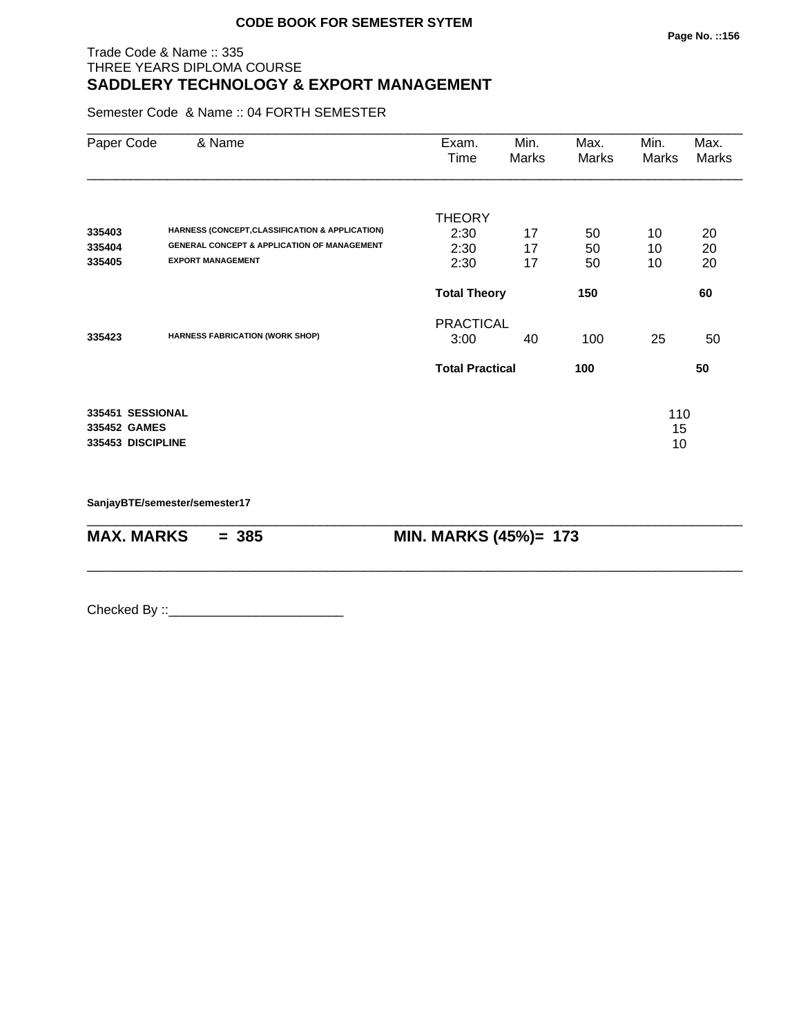#### Trade Code & Name :: 335 THREE YEARS DIPLOMA COURSE **SADDLERY TECHNOLOGY & EXPORT MANAGEMENT**

Semester Code & Name :: 04 FORTH SEMESTER

| Paper Code                                            | & Name                                                                                                    | Exam.<br>Time          | Min.<br><b>Marks</b> | Max.<br>Marks | Min.<br>Marks   | Max.<br>Marks |
|-------------------------------------------------------|-----------------------------------------------------------------------------------------------------------|------------------------|----------------------|---------------|-----------------|---------------|
|                                                       |                                                                                                           | <b>THEORY</b>          |                      |               |                 |               |
| 335403<br>335404                                      | HARNESS (CONCEPT, CLASSIFICATION & APPLICATION)<br><b>GENERAL CONCEPT &amp; APPLICATION OF MANAGEMENT</b> | 2:30                   | 17                   | 50            | 10              | 20            |
| 335405                                                | <b>EXPORT MANAGEMENT</b>                                                                                  | 2:30<br>2:30           | 17<br>17             | 50<br>50      | 10<br>10        | 20<br>20      |
|                                                       |                                                                                                           | <b>Total Theory</b>    |                      | 150           |                 | 60            |
|                                                       |                                                                                                           | <b>PRACTICAL</b>       |                      |               |                 |               |
| 335423                                                | <b>HARNESS FABRICATION (WORK SHOP)</b>                                                                    | 3:00                   | 40                   | 100           | 25              | 50            |
|                                                       |                                                                                                           | <b>Total Practical</b> |                      | 100           |                 | 50            |
| 335451 SESSIONAL<br>335452 GAMES<br>335453 DISCIPLINE |                                                                                                           |                        |                      |               | 110<br>15<br>10 |               |

\_\_\_\_\_\_\_\_\_\_\_\_\_\_\_\_\_\_\_\_\_\_\_\_\_\_\_\_\_\_\_\_\_\_\_\_\_\_\_\_\_\_\_\_\_\_\_\_\_\_\_\_\_\_\_\_\_\_\_\_\_\_\_\_\_\_\_\_\_\_\_\_\_\_\_\_\_\_\_\_\_\_\_\_\_\_\_\_\_\_

\_\_\_\_\_\_\_\_\_\_\_\_\_\_\_\_\_\_\_\_\_\_\_\_\_\_\_\_\_\_\_\_\_\_\_\_\_\_\_\_\_\_\_\_\_\_\_\_\_\_\_\_\_\_\_\_\_\_\_\_\_\_\_\_\_\_\_\_\_\_\_\_\_\_\_\_\_\_\_\_\_\_\_\_\_\_\_\_\_\_

**SanjayBTE/semester/semester17**

**MAX. MARKS = 385 MIN. MARKS (45%)= 173**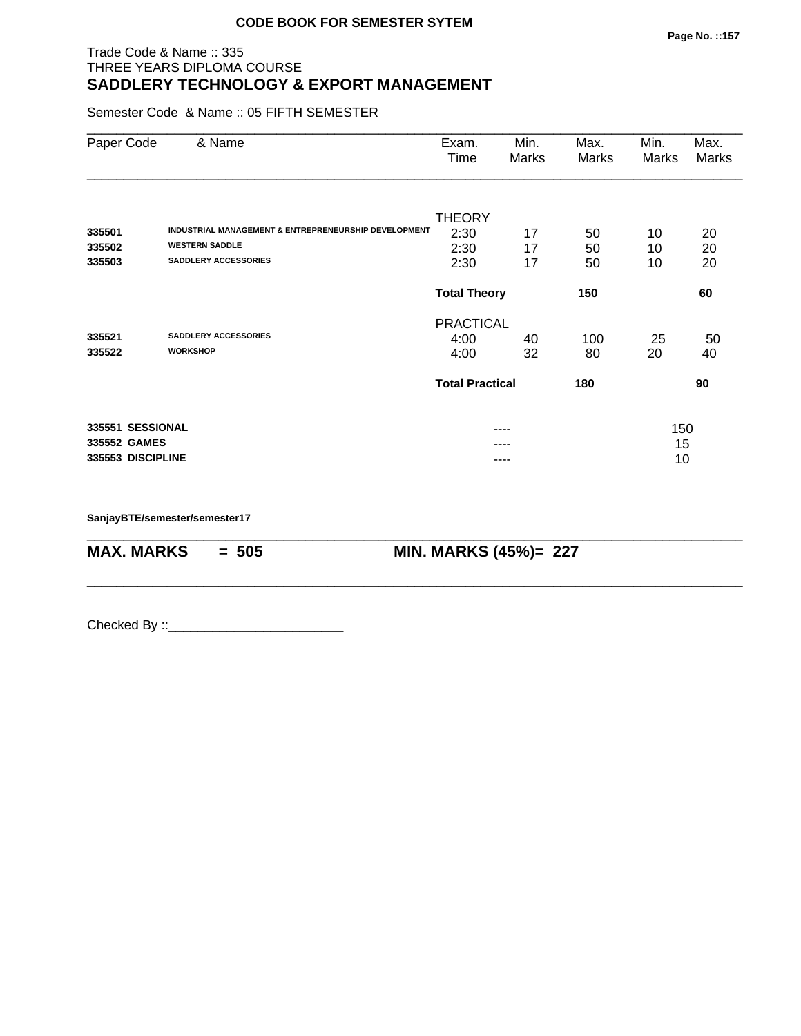#### Trade Code & Name :: 335 THREE YEARS DIPLOMA COURSE **SADDLERY TECHNOLOGY & EXPORT MANAGEMENT**

Semester Code & Name :: 05 FIFTH SEMESTER

| Paper Code        | & Name                                               | Exam.<br>Time          | Min.<br>Marks | Max.<br>Marks | Min.<br>Marks | Max.<br>Marks |
|-------------------|------------------------------------------------------|------------------------|---------------|---------------|---------------|---------------|
|                   |                                                      | <b>THEORY</b>          |               |               |               |               |
| 335501            | INDUSTRIAL MANAGEMENT & ENTREPRENEURSHIP DEVELOPMENT | 2:30                   | 17            | 50            | 10            | 20            |
| 335502            | <b>WESTERN SADDLE</b>                                | 2:30                   | 17            | 50            | 10            | 20            |
| 335503            | SADDLERY ACCESSORIES                                 | 2:30                   | 17            | 50            | 10            | 20            |
|                   |                                                      | <b>Total Theory</b>    |               | 150           |               | 60            |
|                   |                                                      | <b>PRACTICAL</b>       |               |               |               |               |
| 335521            | <b>SADDLERY ACCESSORIES</b>                          | 4:00                   | 40            | 100           | 25            | 50            |
| 335522            | <b>WORKSHOP</b>                                      | 4:00                   | 32            | 80            | 20            | 40            |
|                   |                                                      | <b>Total Practical</b> |               | 180           |               | 90            |
| 335551 SESSIONAL  |                                                      |                        |               |               | 150           |               |
| 335552 GAMES      |                                                      |                        |               |               | 15            |               |
| 335553 DISCIPLINE |                                                      |                        |               |               | 10            |               |

\_\_\_\_\_\_\_\_\_\_\_\_\_\_\_\_\_\_\_\_\_\_\_\_\_\_\_\_\_\_\_\_\_\_\_\_\_\_\_\_\_\_\_\_\_\_\_\_\_\_\_\_\_\_\_\_\_\_\_\_\_\_\_\_\_\_\_\_\_\_\_\_\_\_\_\_\_\_\_\_\_\_\_\_\_\_\_\_\_\_

\_\_\_\_\_\_\_\_\_\_\_\_\_\_\_\_\_\_\_\_\_\_\_\_\_\_\_\_\_\_\_\_\_\_\_\_\_\_\_\_\_\_\_\_\_\_\_\_\_\_\_\_\_\_\_\_\_\_\_\_\_\_\_\_\_\_\_\_\_\_\_\_\_\_\_\_\_\_\_\_\_\_\_\_\_\_\_\_\_\_

**SanjayBTE/semester/semester17**

**MAX. MARKS = 505 MIN. MARKS (45%)= 227**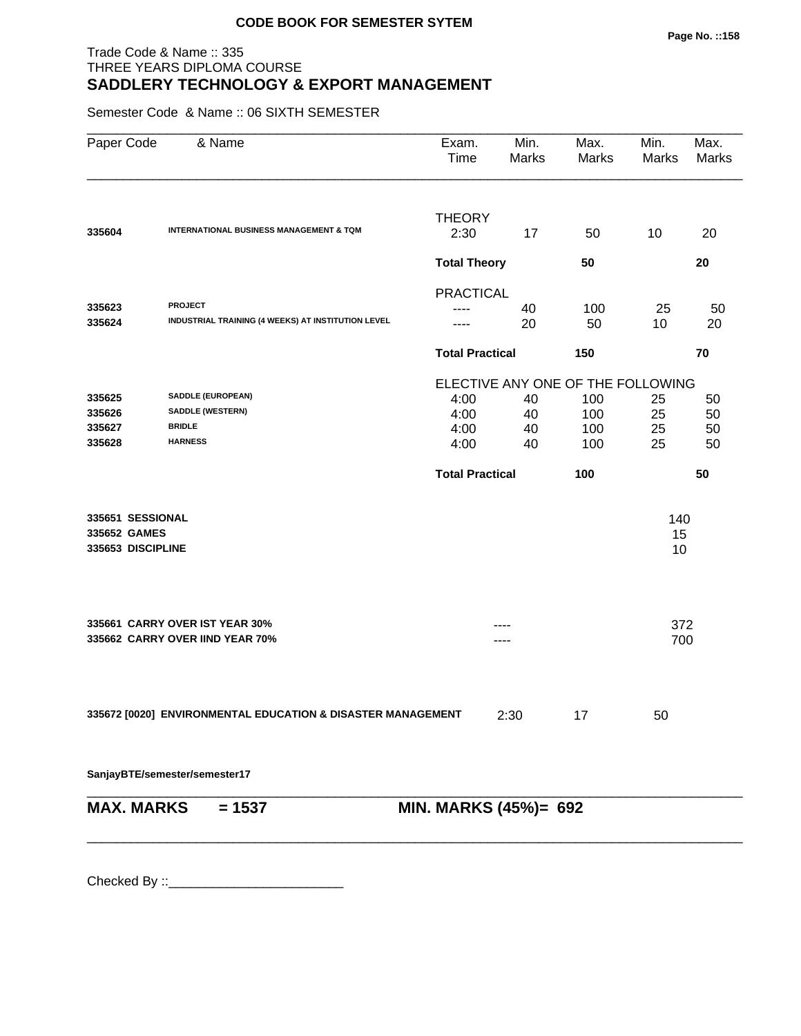#### Trade Code & Name :: 335 THREE YEARS DIPLOMA COURSE **SADDLERY TECHNOLOGY & EXPORT MANAGEMENT**

Semester Code & Name :: 06 SIXTH SEMESTER

| Paper Code        | & Name                                                      | Exam.<br>Time          | Min.<br>Marks | Max.<br>Marks | Min.<br>Marks                     | Max.<br>Marks |  |
|-------------------|-------------------------------------------------------------|------------------------|---------------|---------------|-----------------------------------|---------------|--|
| 335604            | <b>INTERNATIONAL BUSINESS MANAGEMENT &amp; TQM</b>          | <b>THEORY</b><br>2:30  | 17            | 50            | 10                                | 20            |  |
|                   |                                                             | <b>Total Theory</b>    |               | 50            |                                   | 20            |  |
|                   |                                                             | <b>PRACTICAL</b>       |               |               |                                   |               |  |
| 335623            | <b>PROJECT</b>                                              |                        | 40            | 100           | 25                                | 50            |  |
| 335624            | INDUSTRIAL TRAINING (4 WEEKS) AT INSTITUTION LEVEL          | ----                   | 20            | 50            | 10                                | 20            |  |
|                   |                                                             | <b>Total Practical</b> |               | 150           |                                   | 70            |  |
|                   |                                                             |                        |               |               | ELECTIVE ANY ONE OF THE FOLLOWING |               |  |
| 335625            | SADDLE (EUROPEAN)                                           | 4:00                   | 40            | 100           | 25                                | 50            |  |
| 335626            | SADDLE (WESTERN)                                            | 4:00                   | 40            | 100           | 25                                | 50            |  |
| 335627            | <b>BRIDLE</b><br><b>HARNESS</b>                             | 4:00                   | 40            | 100           | 25                                | 50            |  |
| 335628            |                                                             | 4:00                   | 40            | 100           | 25                                | 50            |  |
|                   |                                                             | <b>Total Practical</b> |               | 100           |                                   | 50            |  |
| 335651 SESSIONAL  |                                                             |                        |               |               | 140                               |               |  |
| 335652 GAMES      |                                                             |                        |               |               | 15                                |               |  |
| 335653 DISCIPLINE |                                                             |                        |               |               | 10                                |               |  |
|                   | 335661 CARRY OVER IST YEAR 30%                              |                        |               |               | 372                               |               |  |
|                   | 335662 CARRY OVER IIND YEAR 70%                             |                        |               |               | 700                               |               |  |
|                   |                                                             |                        |               |               |                                   |               |  |
|                   | 335672 [0020] ENVIRONMENTAL EDUCATION & DISASTER MANAGEMENT |                        | 2:30          | 17            | 50                                |               |  |
|                   | SanjayBTE/semester/semester17                               |                        |               |               |                                   |               |  |
| <b>MAX. MARKS</b> | $= 1537$                                                    | MIN. MARKS (45%)= 692  |               |               |                                   |               |  |
|                   |                                                             |                        |               |               |                                   |               |  |
|                   |                                                             |                        |               |               |                                   |               |  |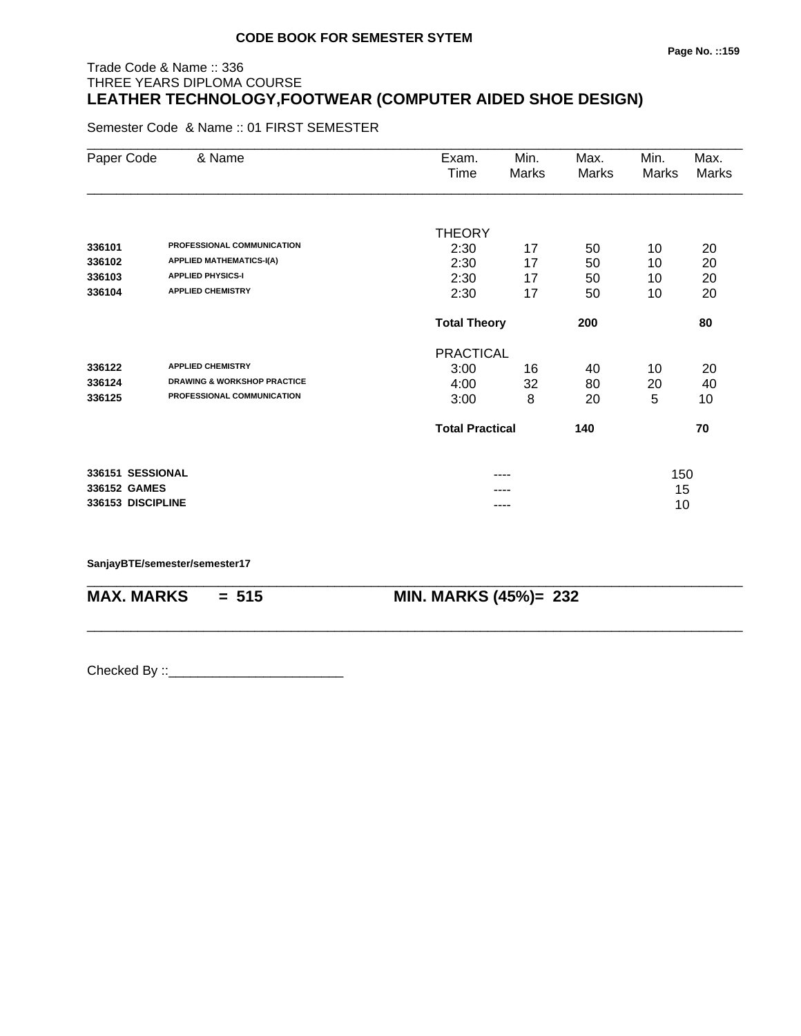# Trade Code & Name :: 336 THREE YEARS DIPLOMA COURSE **LEATHER TECHNOLOGY,FOOTWEAR (COMPUTER AIDED SHOE DESIGN)**

Semester Code & Name :: 01 FIRST SEMESTER

| Paper Code        | & Name                                 | Exam.                  | Min.                       | Max.         | Min.  | Max.  |
|-------------------|----------------------------------------|------------------------|----------------------------|--------------|-------|-------|
|                   |                                        | Time                   | Marks                      | <b>Marks</b> | Marks | Marks |
|                   |                                        |                        |                            |              |       |       |
|                   |                                        | <b>THEORY</b>          |                            |              |       |       |
| 336101            | PROFESSIONAL COMMUNICATION             | 2:30                   | 17                         | 50           | 10    | 20    |
| 336102            | <b>APPLIED MATHEMATICS-I(A)</b>        | 2:30                   | 17                         | 50           | 10    | 20    |
| 336103            | <b>APPLIED PHYSICS-I</b>               | 2:30                   | 17                         | 50           | 10    | 20    |
| 336104            | <b>APPLIED CHEMISTRY</b>               | 2:30                   | 17                         | 50           | 10    | 20    |
|                   |                                        |                        | <b>Total Theory</b><br>200 |              |       | 80    |
|                   |                                        | <b>PRACTICAL</b>       |                            |              |       |       |
| 336122            | <b>APPLIED CHEMISTRY</b>               | 3:00                   | 16                         | 40           | 10    | 20    |
| 336124            | <b>DRAWING &amp; WORKSHOP PRACTICE</b> | 4:00                   | 32                         | 80           | 20    | 40    |
| 336125            | PROFESSIONAL COMMUNICATION             | 3:00                   | 8                          | 20           | 5     | 10    |
|                   |                                        | <b>Total Practical</b> |                            | 140          |       | 70    |
| 336151 SESSIONAL  |                                        |                        | ----                       |              | 150   |       |
| 336152 GAMES      |                                        |                        |                            |              | 15    |       |
| 336153 DISCIPLINE |                                        |                        | ----                       |              | 10    |       |

\_\_\_\_\_\_\_\_\_\_\_\_\_\_\_\_\_\_\_\_\_\_\_\_\_\_\_\_\_\_\_\_\_\_\_\_\_\_\_\_\_\_\_\_\_\_\_\_\_\_\_\_\_\_\_\_\_\_\_\_\_\_\_\_\_\_\_\_\_\_\_\_\_\_\_\_\_\_\_\_\_\_\_\_\_\_\_\_\_\_

\_\_\_\_\_\_\_\_\_\_\_\_\_\_\_\_\_\_\_\_\_\_\_\_\_\_\_\_\_\_\_\_\_\_\_\_\_\_\_\_\_\_\_\_\_\_\_\_\_\_\_\_\_\_\_\_\_\_\_\_\_\_\_\_\_\_\_\_\_\_\_\_\_\_\_\_\_\_\_\_\_\_\_\_\_\_\_\_\_\_

**SanjayBTE/semester/semester17**

**MAX. MARKS = 515 MIN. MARKS (45%)= 232**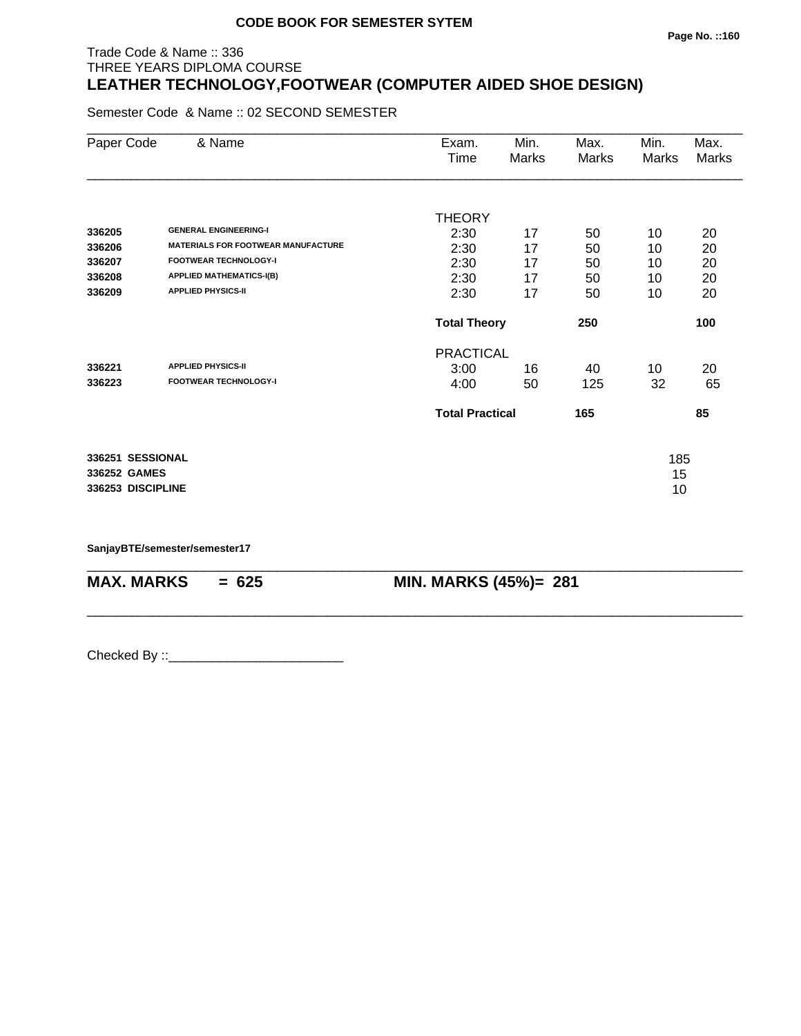#### **Page No. ::160**

# Trade Code & Name :: 336 THREE YEARS DIPLOMA COURSE **LEATHER TECHNOLOGY,FOOTWEAR (COMPUTER AIDED SHOE DESIGN)**

Semester Code & Name :: 02 SECOND SEMESTER

| Paper Code                       | & Name                                    | Exam.<br>Time          | Min.<br>Marks | Max.<br>Marks | Min.<br>Marks | Max.<br>Marks |
|----------------------------------|-------------------------------------------|------------------------|---------------|---------------|---------------|---------------|
|                                  |                                           | <b>THEORY</b>          |               |               |               |               |
| 336205                           | <b>GENERAL ENGINEERING-I</b>              | 2:30                   | 17            | 50            | 10            | 20            |
| 336206                           | <b>MATERIALS FOR FOOTWEAR MANUFACTURE</b> | 2:30                   | 17            | 50            | 10            | 20            |
| 336207                           | <b>FOOTWEAR TECHNOLOGY-I</b>              | 2:30                   | 17            | 50            | 10            | 20            |
| 336208                           | <b>APPLIED MATHEMATICS-I(B)</b>           | 2:30                   | 17            | 50            | 10            | 20            |
| 336209                           | <b>APPLIED PHYSICS-II</b>                 | 2:30                   | 17            | 50            | 10            | 20            |
|                                  |                                           | <b>Total Theory</b>    |               | 250           |               | 100           |
|                                  |                                           | <b>PRACTICAL</b>       |               |               |               |               |
| 336221                           | <b>APPLIED PHYSICS-II</b>                 | 3:00                   | 16            | 40            | 10            | 20            |
| 336223                           | <b>FOOTWEAR TECHNOLOGY-I</b>              | 4:00                   | 50            | 125           | 32            | 65            |
|                                  |                                           | <b>Total Practical</b> |               | 165           |               | 85            |
| 336251 SESSIONAL<br>336252 GAMES |                                           |                        |               |               | 185<br>15     |               |
| 336253 DISCIPLINE                |                                           |                        |               |               | 10            |               |

\_\_\_\_\_\_\_\_\_\_\_\_\_\_\_\_\_\_\_\_\_\_\_\_\_\_\_\_\_\_\_\_\_\_\_\_\_\_\_\_\_\_\_\_\_\_\_\_\_\_\_\_\_\_\_\_\_\_\_\_\_\_\_\_\_\_\_\_\_\_\_\_\_\_\_\_\_\_\_\_\_\_\_\_\_\_\_\_\_\_

\_\_\_\_\_\_\_\_\_\_\_\_\_\_\_\_\_\_\_\_\_\_\_\_\_\_\_\_\_\_\_\_\_\_\_\_\_\_\_\_\_\_\_\_\_\_\_\_\_\_\_\_\_\_\_\_\_\_\_\_\_\_\_\_\_\_\_\_\_\_\_\_\_\_\_\_\_\_\_\_\_\_\_\_\_\_\_\_\_\_

**SanjayBTE/semester/semester17**

**MAX. MARKS = 625 MIN. MARKS (45%)= 281**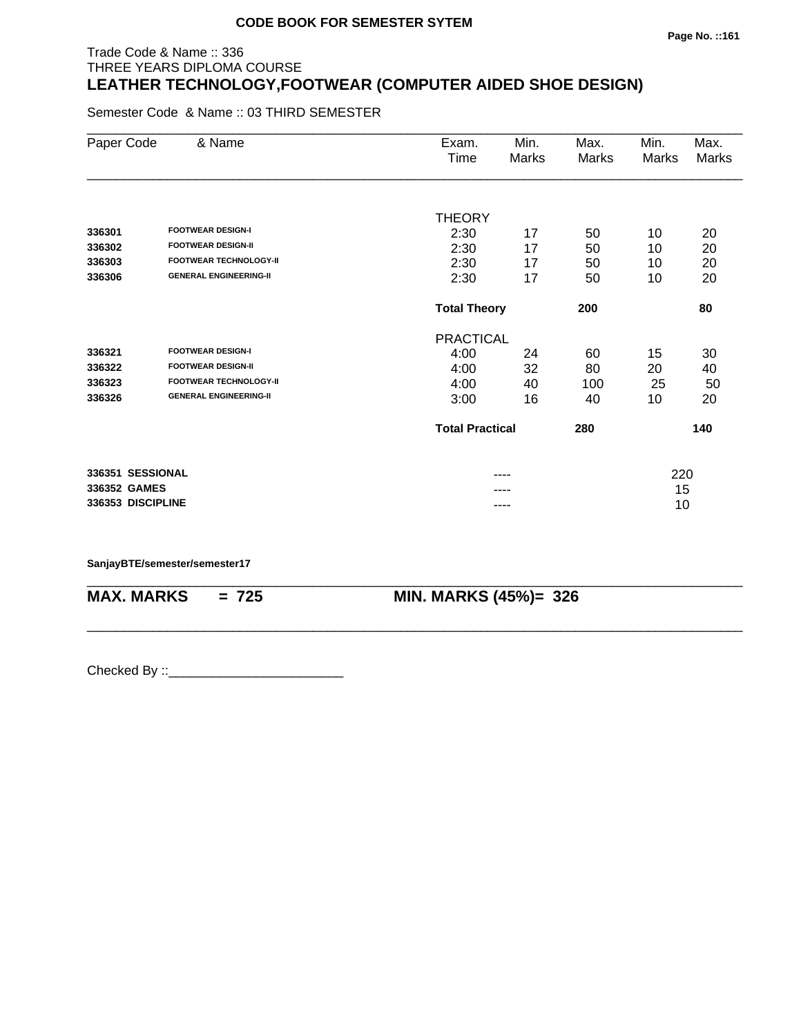#### **Page No. ::161**

# Trade Code & Name :: 336 THREE YEARS DIPLOMA COURSE **LEATHER TECHNOLOGY,FOOTWEAR (COMPUTER AIDED SHOE DESIGN)**

Semester Code & Name :: 03 THIRD SEMESTER

| Paper Code        | & Name                        | Exam.<br>Time          | Min.<br>Marks              | Max.<br>Marks | Min.<br>Marks | Max.<br>Marks |
|-------------------|-------------------------------|------------------------|----------------------------|---------------|---------------|---------------|
|                   |                               |                        |                            |               |               |               |
|                   |                               | <b>THEORY</b>          |                            |               |               |               |
| 336301            | <b>FOOTWEAR DESIGN-I</b>      | 2:30                   | 17                         | 50            | 10            | 20            |
| 336302            | <b>FOOTWEAR DESIGN-II</b>     | 2:30                   | 17                         | 50            | 10            | 20            |
| 336303            | <b>FOOTWEAR TECHNOLOGY-II</b> | 2:30                   | 17                         | 50            | 10            | 20            |
| 336306            | <b>GENERAL ENGINEERING-II</b> | 2:30                   | 17                         | 50            | 10            | 20            |
|                   |                               |                        | <b>Total Theory</b><br>200 |               |               | 80            |
|                   |                               | <b>PRACTICAL</b>       |                            |               |               |               |
| 336321            | <b>FOOTWEAR DESIGN-I</b>      | 4:00                   | 24                         | 60            | 15            | 30            |
| 336322            | <b>FOOTWEAR DESIGN-II</b>     | 4:00                   | 32                         | 80            | 20            | 40            |
| 336323            | <b>FOOTWEAR TECHNOLOGY-II</b> | 4:00                   | 40                         | 100           | 25            | 50            |
| 336326            | <b>GENERAL ENGINEERING-II</b> | 3:00                   | 16                         | 40            | 10            | 20            |
|                   |                               | <b>Total Practical</b> |                            | 280           |               | 140           |
| 336351 SESSIONAL  |                               |                        |                            |               | 220           |               |
| 336352 GAMES      |                               |                        |                            |               | 15            |               |
| 336353 DISCIPLINE |                               |                        |                            |               | 10            |               |

\_\_\_\_\_\_\_\_\_\_\_\_\_\_\_\_\_\_\_\_\_\_\_\_\_\_\_\_\_\_\_\_\_\_\_\_\_\_\_\_\_\_\_\_\_\_\_\_\_\_\_\_\_\_\_\_\_\_\_\_\_\_\_\_\_\_\_\_\_\_\_\_\_\_\_\_\_\_\_\_\_\_\_\_\_\_\_\_\_\_

\_\_\_\_\_\_\_\_\_\_\_\_\_\_\_\_\_\_\_\_\_\_\_\_\_\_\_\_\_\_\_\_\_\_\_\_\_\_\_\_\_\_\_\_\_\_\_\_\_\_\_\_\_\_\_\_\_\_\_\_\_\_\_\_\_\_\_\_\_\_\_\_\_\_\_\_\_\_\_\_\_\_\_\_\_\_\_\_\_\_

#### **SanjayBTE/semester/semester17**

**MAX. MARKS = 725 MIN. MARKS (45%)= 326**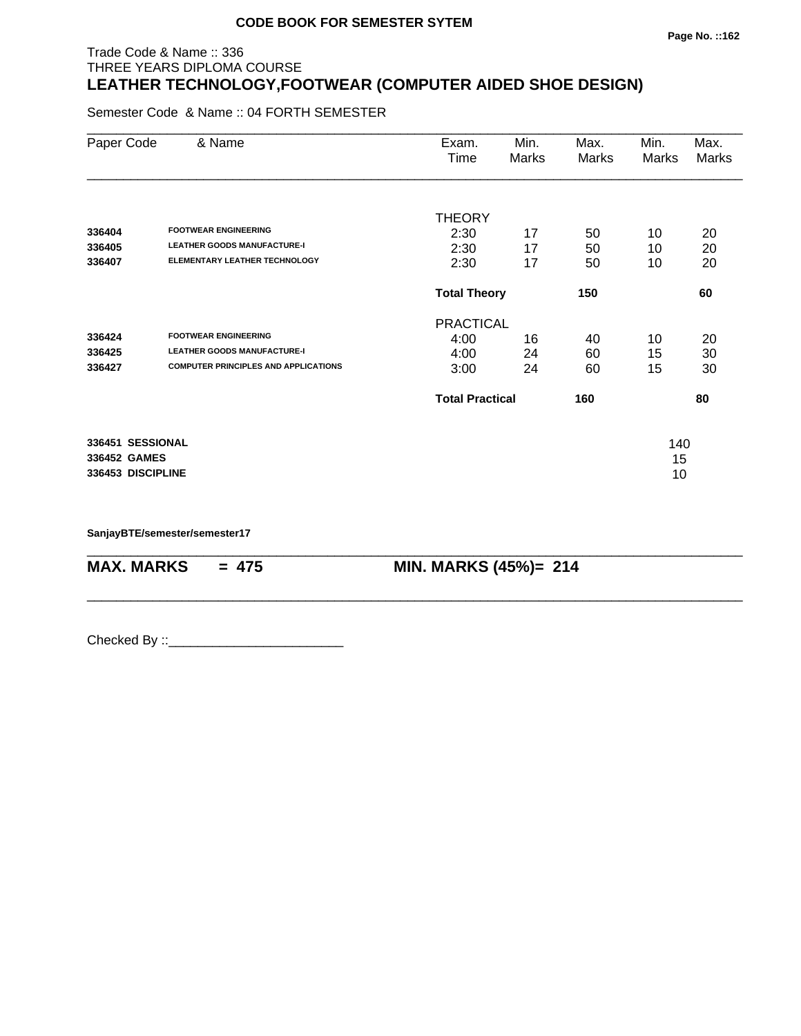#### **Page No. ::162**

# Trade Code & Name :: 336 THREE YEARS DIPLOMA COURSE **LEATHER TECHNOLOGY,FOOTWEAR (COMPUTER AIDED SHOE DESIGN)**

Semester Code & Name :: 04 FORTH SEMESTER

| Paper Code        | & Name                                      | Exam.<br>Time          | Min.<br>Marks              | Max.<br>Marks | Min.<br>Marks | Max.<br>Marks |
|-------------------|---------------------------------------------|------------------------|----------------------------|---------------|---------------|---------------|
|                   |                                             | <b>THEORY</b>          |                            |               |               |               |
| 336404            | <b>FOOTWEAR ENGINEERING</b>                 | 2:30                   | 17                         | 50            | 10            | 20            |
| 336405            | <b>LEATHER GOODS MANUFACTURE-I</b>          | 2:30                   | 17                         | 50            | 10            | 20            |
| 336407            | <b>ELEMENTARY LEATHER TECHNOLOGY</b>        | 2:30                   | 17                         | 50            | 10            | 20            |
|                   |                                             |                        | 150<br><b>Total Theory</b> |               |               | 60            |
|                   |                                             | <b>PRACTICAL</b>       |                            |               |               |               |
| 336424            | <b>FOOTWEAR ENGINEERING</b>                 | 4:00                   | 16                         | 40            | 10            | 20            |
| 336425            | <b>LEATHER GOODS MANUFACTURE-I</b>          | 4:00                   | 24                         | 60            | 15            | 30            |
| 336427            | <b>COMPUTER PRINCIPLES AND APPLICATIONS</b> | 3:00                   | 24                         | 60            | 15            | 30            |
|                   |                                             | <b>Total Practical</b> |                            | 160           |               | 80            |
| 336451 SESSIONAL  |                                             |                        |                            |               | 140           |               |
| 336452 GAMES      |                                             |                        |                            |               | 15            |               |
| 336453 DISCIPLINE |                                             |                        |                            |               | 10            |               |

\_\_\_\_\_\_\_\_\_\_\_\_\_\_\_\_\_\_\_\_\_\_\_\_\_\_\_\_\_\_\_\_\_\_\_\_\_\_\_\_\_\_\_\_\_\_\_\_\_\_\_\_\_\_\_\_\_\_\_\_\_\_\_\_\_\_\_\_\_\_\_\_\_\_\_\_\_\_\_\_\_\_\_\_\_\_\_\_\_\_

\_\_\_\_\_\_\_\_\_\_\_\_\_\_\_\_\_\_\_\_\_\_\_\_\_\_\_\_\_\_\_\_\_\_\_\_\_\_\_\_\_\_\_\_\_\_\_\_\_\_\_\_\_\_\_\_\_\_\_\_\_\_\_\_\_\_\_\_\_\_\_\_\_\_\_\_\_\_\_\_\_\_\_\_\_\_\_\_\_\_

**SanjayBTE/semester/semester17**

**MAX. MARKS = 475 MIN. MARKS (45%)= 214**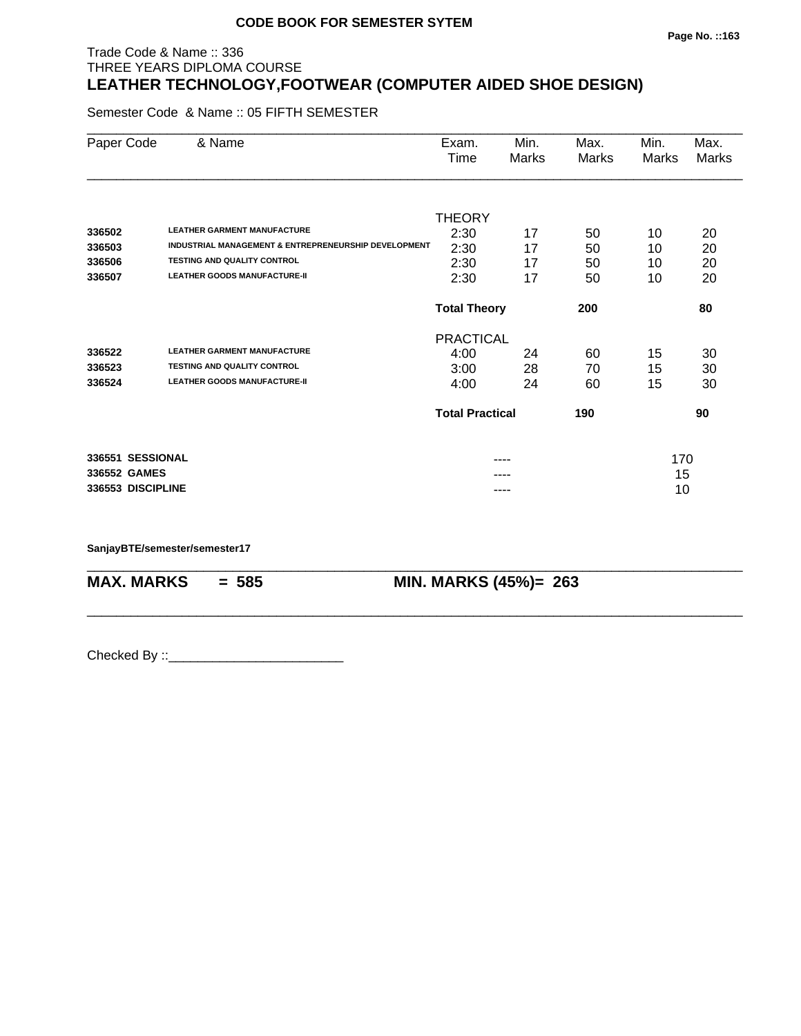# Trade Code & Name :: 336 THREE YEARS DIPLOMA COURSE **LEATHER TECHNOLOGY,FOOTWEAR (COMPUTER AIDED SHOE DESIGN)**

Semester Code & Name :: 05 FIFTH SEMESTER

| Paper Code        | & Name                                               | Exam.<br>Time              | Min.<br>Marks | Max.<br><b>Marks</b> | Min.<br>Marks | Max.<br><b>Marks</b> |
|-------------------|------------------------------------------------------|----------------------------|---------------|----------------------|---------------|----------------------|
|                   |                                                      |                            |               |                      |               |                      |
|                   |                                                      | <b>THEORY</b>              |               |                      |               |                      |
| 336502            | <b>LEATHER GARMENT MANUFACTURE</b>                   | 2:30                       | 17            | 50                   | 10            | 20                   |
| 336503            | INDUSTRIAL MANAGEMENT & ENTREPRENEURSHIP DEVELOPMENT | 2:30                       | 17            | 50                   | 10            | 20                   |
| 336506            | <b>TESTING AND QUALITY CONTROL</b>                   | 2:30                       | 17            | 50                   | 10            | 20                   |
| 336507            | <b>LEATHER GOODS MANUFACTURE-II</b>                  | 2:30                       | 17            | 50                   | 10            | 20                   |
|                   |                                                      | <b>Total Theory</b><br>200 |               |                      |               | 80                   |
|                   |                                                      | <b>PRACTICAL</b>           |               |                      |               |                      |
| 336522            | <b>LEATHER GARMENT MANUFACTURE</b>                   | 4:00                       | 24            | 60                   | 15            | 30                   |
| 336523            | <b>TESTING AND QUALITY CONTROL</b>                   | 3:00                       | 28            | 70                   | 15            | 30                   |
| 336524            | <b>LEATHER GOODS MANUFACTURE-II</b>                  | 4:00                       | 24            | 60                   | 15            | 30                   |
|                   |                                                      | <b>Total Practical</b>     |               | 190                  |               | 90                   |
| 336551 SESSIONAL  |                                                      |                            | ----          |                      | 170           |                      |
| 336552 GAMES      |                                                      |                            |               |                      | 15            |                      |
| 336553 DISCIPLINE |                                                      |                            |               |                      | 10            |                      |

\_\_\_\_\_\_\_\_\_\_\_\_\_\_\_\_\_\_\_\_\_\_\_\_\_\_\_\_\_\_\_\_\_\_\_\_\_\_\_\_\_\_\_\_\_\_\_\_\_\_\_\_\_\_\_\_\_\_\_\_\_\_\_\_\_\_\_\_\_\_\_\_\_\_\_\_\_\_\_\_\_\_\_\_\_\_\_\_\_\_

\_\_\_\_\_\_\_\_\_\_\_\_\_\_\_\_\_\_\_\_\_\_\_\_\_\_\_\_\_\_\_\_\_\_\_\_\_\_\_\_\_\_\_\_\_\_\_\_\_\_\_\_\_\_\_\_\_\_\_\_\_\_\_\_\_\_\_\_\_\_\_\_\_\_\_\_\_\_\_\_\_\_\_\_\_\_\_\_\_\_

**SanjayBTE/semester/semester17**

**MAX. MARKS = 585 MIN. MARKS (45%)= 263**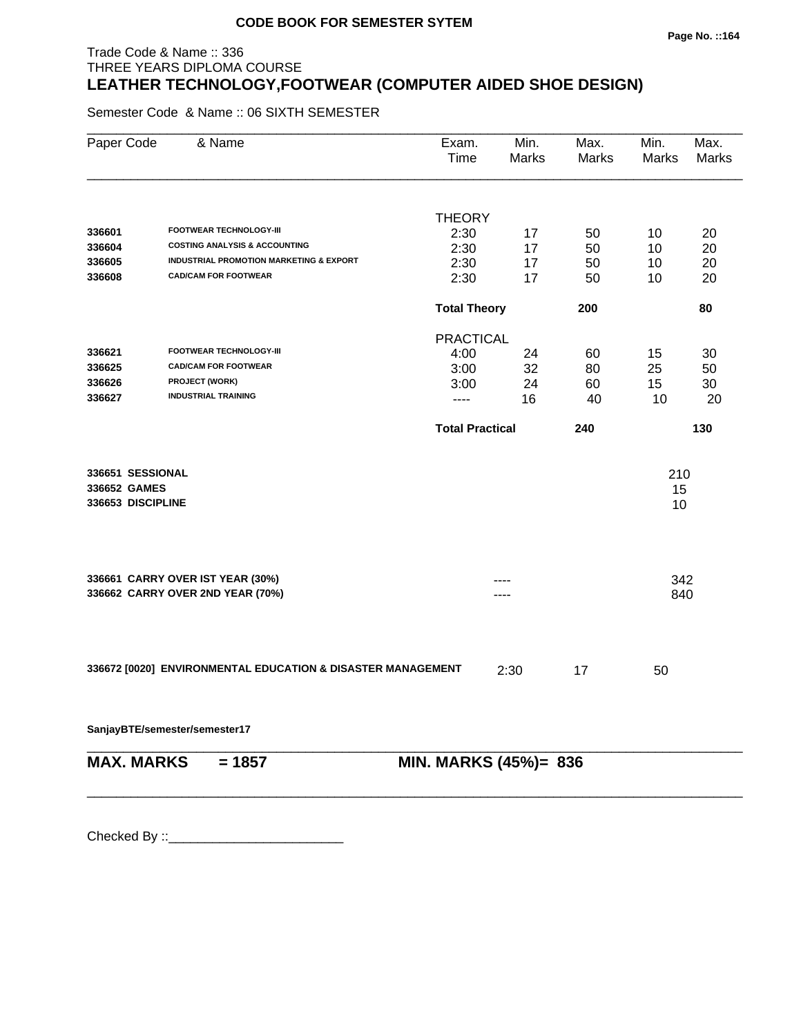#### **Page No. ::164**

# Trade Code & Name :: 336 THREE YEARS DIPLOMA COURSE **LEATHER TECHNOLOGY,FOOTWEAR (COMPUTER AIDED SHOE DESIGN)**

Semester Code & Name :: 06 SIXTH SEMESTER

| Paper Code                       | & Name                                                      | Exam.<br>Time          | Min.<br>Marks | Max.<br>Marks | Min.<br>Marks | Max.<br>Marks |
|----------------------------------|-------------------------------------------------------------|------------------------|---------------|---------------|---------------|---------------|
|                                  |                                                             | <b>THEORY</b>          |               |               |               |               |
| 336601                           | FOOTWEAR TECHNOLOGY-III                                     | 2:30                   | 17            | 50            | 10            | 20            |
| 336604                           | <b>COSTING ANALYSIS &amp; ACCOUNTING</b>                    | 2:30                   | 17            | 50            | 10            | 20            |
| 336605                           | <b>INDUSTRIAL PROMOTION MARKETING &amp; EXPORT</b>          | 2:30                   | 17            | 50            | 10            | 20            |
| 336608                           | <b>CAD/CAM FOR FOOTWEAR</b>                                 | 2:30                   | 17            | 50            | 10            | 20            |
|                                  |                                                             | <b>Total Theory</b>    |               | 200           |               | 80            |
|                                  |                                                             | <b>PRACTICAL</b>       |               |               |               |               |
| 336621                           | <b>FOOTWEAR TECHNOLOGY-III</b>                              | 4:00                   | 24            | 60            | 15            | 30            |
| 336625                           | <b>CAD/CAM FOR FOOTWEAR</b>                                 | 3:00                   | 32            | 80            | 25            | 50            |
| 336626                           | PROJECT (WORK)                                              | 3:00                   | 24            | 60            | 15            | 30            |
| 336627                           | <b>INDUSTRIAL TRAINING</b>                                  | $\frac{1}{2}$          | 16            | 40            | 10            | 20            |
|                                  |                                                             | <b>Total Practical</b> |               | 240           |               | 130           |
|                                  |                                                             |                        |               |               |               |               |
| 336651 SESSIONAL<br>336652 GAMES |                                                             |                        |               |               | 210           |               |
| 336653 DISCIPLINE                |                                                             |                        |               |               | 15<br>10      |               |
|                                  |                                                             |                        |               |               |               |               |
|                                  | 336661 CARRY OVER IST YEAR (30%)                            |                        |               |               | 342           |               |
|                                  | 336662 CARRY OVER 2ND YEAR (70%)                            |                        |               |               | 840           |               |
|                                  |                                                             |                        |               |               |               |               |
|                                  | 336672 [0020] ENVIRONMENTAL EDUCATION & DISASTER MANAGEMENT |                        | 2:30          | 17            | 50            |               |
|                                  | SanjayBTE/semester/semester17                               |                        |               |               |               |               |
| <b>MAX. MARKS</b>                | $= 1857$                                                    | MIN. MARKS (45%)= 836  |               |               |               |               |
|                                  |                                                             |                        |               |               |               |               |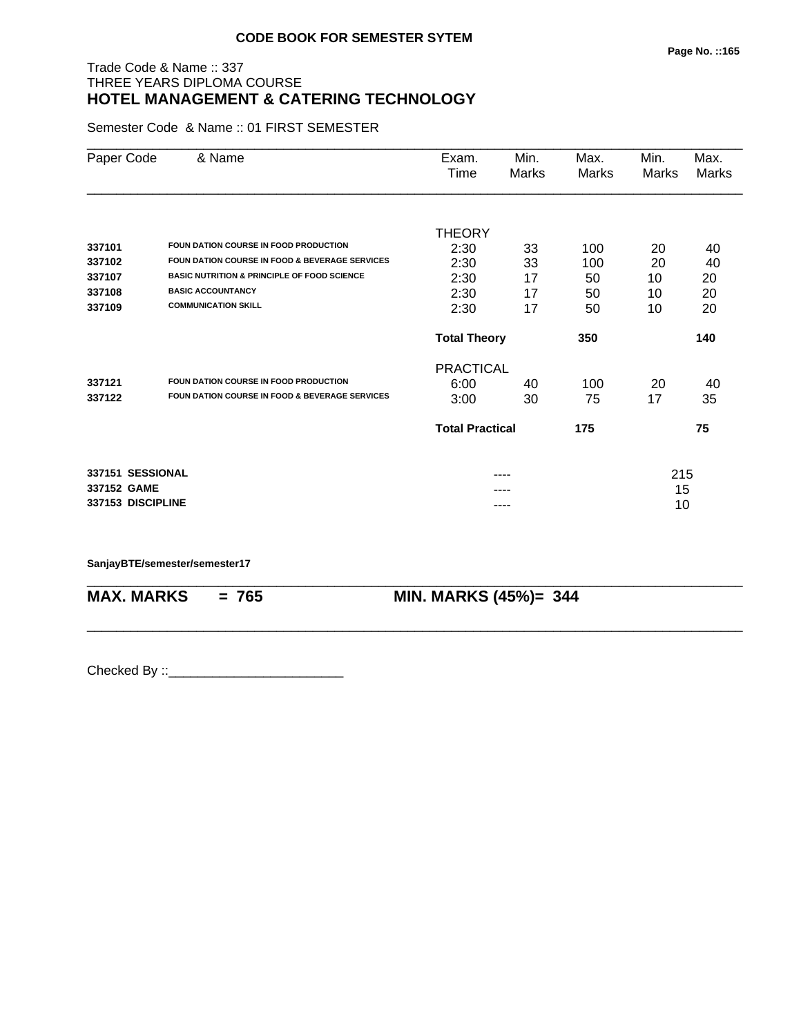#### **Page No. ::165**

#### Trade Code & Name :: 337 THREE YEARS DIPLOMA COURSE **HOTEL MANAGEMENT & CATERING TECHNOLOGY**

Semester Code & Name :: 01 FIRST SEMESTER

| Paper Code        | & Name                                                    | Exam.                  | Min.  | Max.  | Min.  | Max.         |
|-------------------|-----------------------------------------------------------|------------------------|-------|-------|-------|--------------|
|                   |                                                           | Time                   | Marks | Marks | Marks | <b>Marks</b> |
|                   |                                                           |                        |       |       |       |              |
|                   |                                                           | <b>THEORY</b>          |       |       |       |              |
| 337101            | FOUN DATION COURSE IN FOOD PRODUCTION                     | 2:30                   | 33    | 100   | 20    | 40           |
| 337102            | <b>FOUN DATION COURSE IN FOOD &amp; BEVERAGE SERVICES</b> | 2:30                   | 33    | 100   | 20    | 40           |
| 337107            | <b>BASIC NUTRITION &amp; PRINCIPLE OF FOOD SCIENCE</b>    | 2:30                   | 17    | 50    | 10    | 20           |
| 337108            | <b>BASIC ACCOUNTANCY</b>                                  | 2:30                   | 17    | 50    | 10    | 20           |
| 337109            | <b>COMMUNICATION SKILL</b>                                | 2:30                   | 17    | 50    | 10    | 20           |
|                   |                                                           | <b>Total Theory</b>    |       | 350   |       | 140          |
|                   |                                                           | <b>PRACTICAL</b>       |       |       |       |              |
| 337121            | FOUN DATION COURSE IN FOOD PRODUCTION                     | 6:00                   | 40    | 100   | 20    | 40           |
| 337122            | <b>FOUN DATION COURSE IN FOOD &amp; BEVERAGE SERVICES</b> | 3:00                   | 30    | 75    | 17    | 35           |
|                   |                                                           | <b>Total Practical</b> |       | 175   |       | 75           |
| 337151 SESSIONAL  |                                                           |                        | ----  |       | 215   |              |
| 337152 GAME       |                                                           |                        |       |       | 15    |              |
| 337153 DISCIPLINE |                                                           |                        | ----  |       | 10    |              |

\_\_\_\_\_\_\_\_\_\_\_\_\_\_\_\_\_\_\_\_\_\_\_\_\_\_\_\_\_\_\_\_\_\_\_\_\_\_\_\_\_\_\_\_\_\_\_\_\_\_\_\_\_\_\_\_\_\_\_\_\_\_\_\_\_\_\_\_\_\_\_\_\_\_\_\_\_\_\_\_\_\_\_\_\_\_\_\_\_\_

\_\_\_\_\_\_\_\_\_\_\_\_\_\_\_\_\_\_\_\_\_\_\_\_\_\_\_\_\_\_\_\_\_\_\_\_\_\_\_\_\_\_\_\_\_\_\_\_\_\_\_\_\_\_\_\_\_\_\_\_\_\_\_\_\_\_\_\_\_\_\_\_\_\_\_\_\_\_\_\_\_\_\_\_\_\_\_\_\_\_

**SanjayBTE/semester/semester17**

**MAX. MARKS = 765 MIN. MARKS (45%)= 344**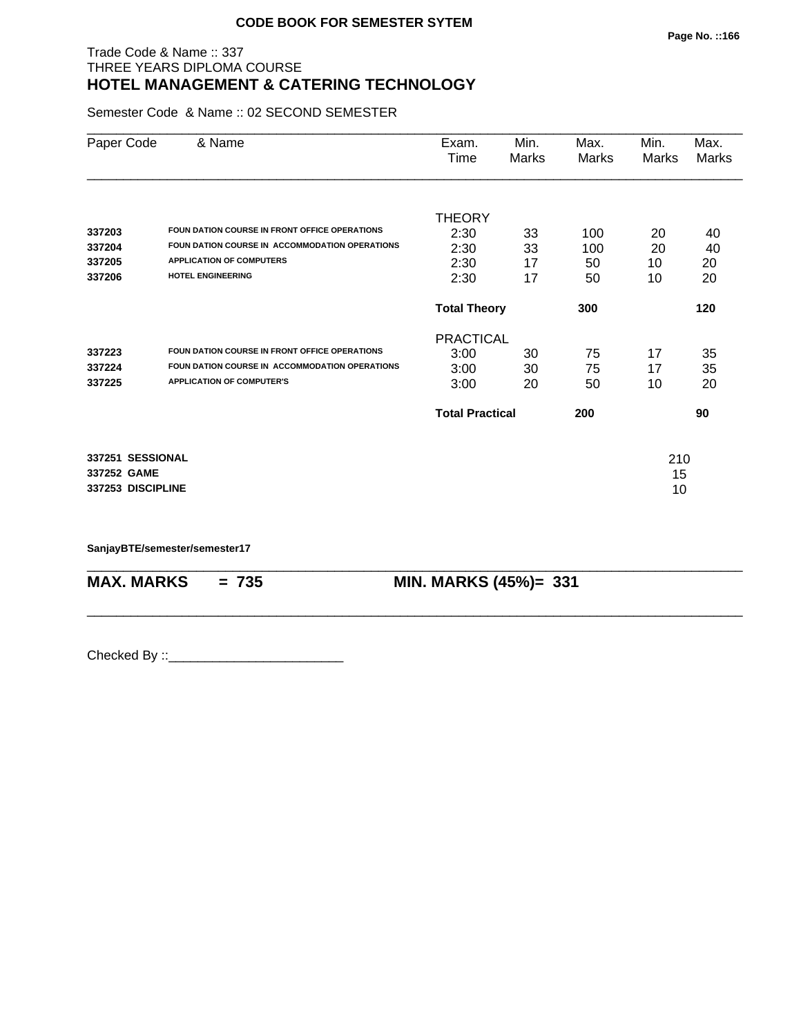#### Trade Code & Name :: 337 THREE YEARS DIPLOMA COURSE **HOTEL MANAGEMENT & CATERING TECHNOLOGY**

Semester Code & Name :: 02 SECOND SEMESTER

| Paper Code        | & Name                                         | Exam.<br>Time          | Min.<br>Marks | Max.<br>Marks | Min.<br>Marks | Max.<br><b>Marks</b> |
|-------------------|------------------------------------------------|------------------------|---------------|---------------|---------------|----------------------|
|                   |                                                |                        |               |               |               |                      |
|                   |                                                | <b>THEORY</b>          |               |               |               |                      |
| 337203            | FOUN DATION COURSE IN FRONT OFFICE OPERATIONS  | 2:30                   | 33            | 100           | 20            | 40                   |
| 337204            | FOUN DATION COURSE IN ACCOMMODATION OPERATIONS | 2:30                   | 33            | 100           | 20            | 40                   |
| 337205            | <b>APPLICATION OF COMPUTERS</b>                | 2:30                   | 17            | 50            | 10            | 20                   |
| 337206            | HOTEL ENGINEERING                              | 2:30                   | 17            | 50            | 10            | 20                   |
|                   |                                                | <b>Total Theory</b>    |               | 300           |               | 120                  |
|                   |                                                | <b>PRACTICAL</b>       |               |               |               |                      |
| 337223            | FOUN DATION COURSE IN FRONT OFFICE OPERATIONS  | 3:00                   | 30            | 75            | 17            | 35                   |
| 337224            | FOUN DATION COURSE IN ACCOMMODATION OPERATIONS | 3:00                   | 30            | 75            | 17            | 35                   |
| 337225            | <b>APPLICATION OF COMPUTER'S</b>               | 3:00                   | 20            | 50            | 10            | 20                   |
|                   |                                                | <b>Total Practical</b> |               | 200           |               | 90                   |
| 337251 SESSIONAL  |                                                |                        |               |               | 210           |                      |
| 337252 GAME       |                                                |                        |               |               | 15            |                      |
| 337253 DISCIPLINE |                                                |                        |               |               | 10            |                      |
|                   |                                                |                        |               |               |               |                      |

\_\_\_\_\_\_\_\_\_\_\_\_\_\_\_\_\_\_\_\_\_\_\_\_\_\_\_\_\_\_\_\_\_\_\_\_\_\_\_\_\_\_\_\_\_\_\_\_\_\_\_\_\_\_\_\_\_\_\_\_\_\_\_\_\_\_\_\_\_\_\_\_\_\_\_\_\_\_\_\_\_\_\_\_\_\_\_\_\_\_

\_\_\_\_\_\_\_\_\_\_\_\_\_\_\_\_\_\_\_\_\_\_\_\_\_\_\_\_\_\_\_\_\_\_\_\_\_\_\_\_\_\_\_\_\_\_\_\_\_\_\_\_\_\_\_\_\_\_\_\_\_\_\_\_\_\_\_\_\_\_\_\_\_\_\_\_\_\_\_\_\_\_\_\_\_\_\_\_\_\_

**SanjayBTE/semester/semester17**

**MAX. MARKS = 735 MIN. MARKS (45%)= 331**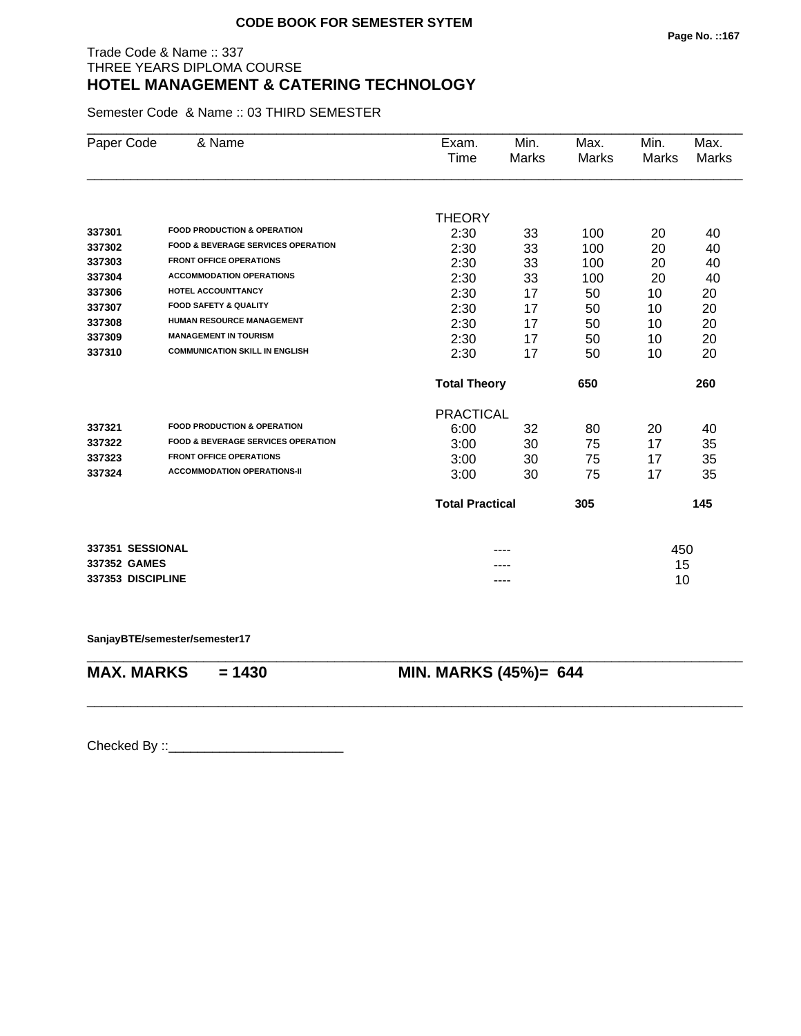#### Trade Code & Name :: 337 THREE YEARS DIPLOMA COURSE **HOTEL MANAGEMENT & CATERING TECHNOLOGY**

Semester Code & Name :: 03 THIRD SEMESTER

| Paper Code        | & Name                                        | Exam.                  | Min.         | Max.         | Min.  | Max.         |
|-------------------|-----------------------------------------------|------------------------|--------------|--------------|-------|--------------|
|                   |                                               | Time                   | <b>Marks</b> | <b>Marks</b> | Marks | <b>Marks</b> |
|                   |                                               |                        |              |              |       |              |
|                   |                                               | <b>THEORY</b>          |              |              |       |              |
| 337301            | <b>FOOD PRODUCTION &amp; OPERATION</b>        | 2:30                   | 33           | 100          | 20    | 40           |
| 337302            | <b>FOOD &amp; BEVERAGE SERVICES OPERATION</b> | 2:30                   | 33           | 100          | 20    | 40           |
| 337303            | <b>FRONT OFFICE OPERATIONS</b>                | 2:30                   | 33           | 100          | 20    | 40           |
| 337304            | <b>ACCOMMODATION OPERATIONS</b>               | 2:30                   | 33           | 100          | 20    | 40           |
| 337306            | HOTEL ACCOUNTTANCY                            | 2:30                   | 17           | 50           | 10    | 20           |
| 337307            | <b>FOOD SAFETY &amp; QUALITY</b>              | 2:30                   | 17           | 50           | 10    | 20           |
| 337308            | <b>HUMAN RESOURCE MANAGEMENT</b>              | 2:30                   | 17           | 50           | 10    | 20           |
| 337309            | <b>MANAGEMENT IN TOURISM</b>                  | 2:30                   | 17           | 50           | 10    | 20           |
| 337310            | <b>COMMUNICATION SKILL IN ENGLISH</b>         | 2:30                   | 17           | 50           | 10    | 20           |
|                   |                                               | <b>Total Theory</b>    |              | 650          |       | 260          |
|                   |                                               | <b>PRACTICAL</b>       |              |              |       |              |
| 337321            | <b>FOOD PRODUCTION &amp; OPERATION</b>        | 6:00                   | 32           | 80           | 20    | 40           |
| 337322            | <b>FOOD &amp; BEVERAGE SERVICES OPERATION</b> | 3:00                   | 30           | 75           | 17    | 35           |
| 337323            | <b>FRONT OFFICE OPERATIONS</b>                | 3:00                   | 30           | 75           | 17    | 35           |
| 337324            | <b>ACCOMMODATION OPERATIONS-II</b>            | 3:00                   | 30           | 75           | 17    | 35           |
|                   |                                               | <b>Total Practical</b> |              | 305          |       | 145          |
| 337351 SESSIONAL  |                                               |                        |              |              | 450   |              |
| 337352 GAMES      |                                               |                        |              |              | 15    |              |
| 337353 DISCIPLINE |                                               |                        |              |              | 10    |              |
|                   |                                               |                        |              |              |       |              |

\_\_\_\_\_\_\_\_\_\_\_\_\_\_\_\_\_\_\_\_\_\_\_\_\_\_\_\_\_\_\_\_\_\_\_\_\_\_\_\_\_\_\_\_\_\_\_\_\_\_\_\_\_\_\_\_\_\_\_\_\_\_\_\_\_\_\_\_\_\_\_\_\_\_\_\_\_\_\_\_\_\_\_\_\_\_\_\_\_\_

\_\_\_\_\_\_\_\_\_\_\_\_\_\_\_\_\_\_\_\_\_\_\_\_\_\_\_\_\_\_\_\_\_\_\_\_\_\_\_\_\_\_\_\_\_\_\_\_\_\_\_\_\_\_\_\_\_\_\_\_\_\_\_\_\_\_\_\_\_\_\_\_\_\_\_\_\_\_\_\_\_\_\_\_\_\_\_\_\_\_

**SanjayBTE/semester/semester17**

**MAX. MARKS = 1430 MIN. MARKS (45%)= 644**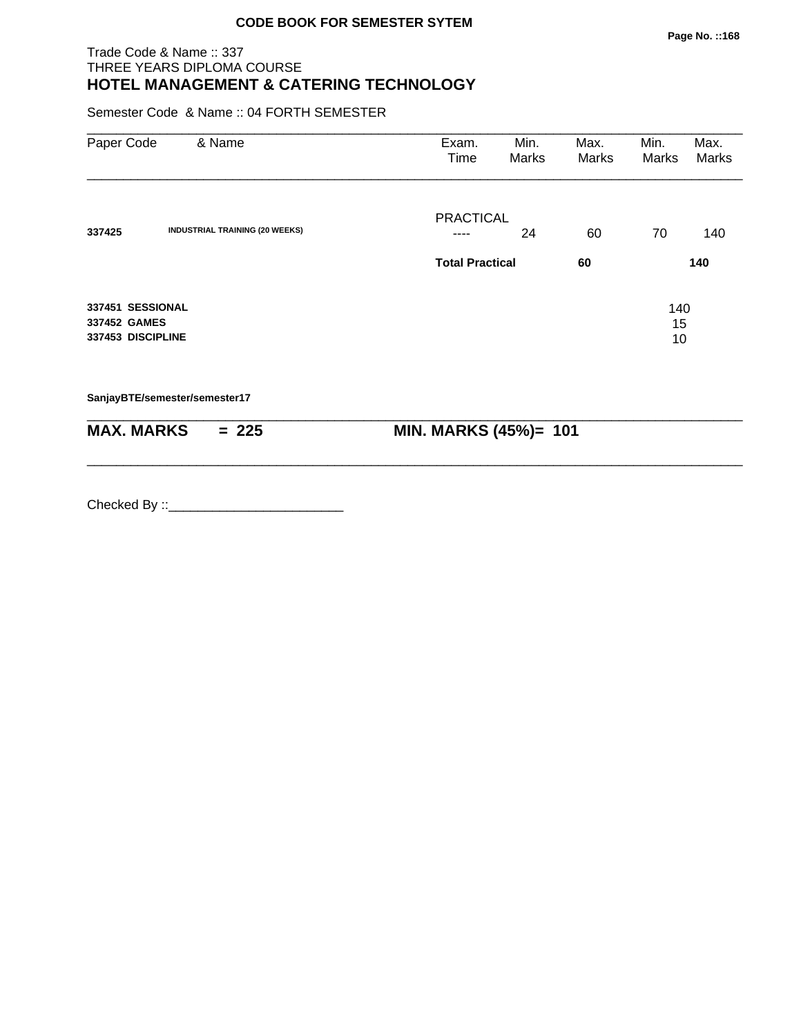#### Trade Code & Name :: 337 THREE YEARS DIPLOMA COURSE **HOTEL MANAGEMENT & CATERING TECHNOLOGY**

Semester Code & Name :: 04 FORTH SEMESTER

| Paper Code        | & Name                                | Exam.<br>Time          | Min.<br>Marks | Max.<br>Marks | Min.<br>Marks | Max.<br>Marks |
|-------------------|---------------------------------------|------------------------|---------------|---------------|---------------|---------------|
|                   |                                       | <b>PRACTICAL</b>       |               |               |               |               |
| 337425            | <b>INDUSTRIAL TRAINING (20 WEEKS)</b> |                        | 24            | 60            | 70            | 140           |
|                   |                                       | <b>Total Practical</b> |               | 60            |               | 140           |
| 337451 SESSIONAL  |                                       |                        |               |               | 140           |               |
| 337452 GAMES      |                                       |                        |               |               | 15            |               |
| 337453 DISCIPLINE |                                       |                        |               |               | 10            |               |
|                   | SanjayBTE/semester/semester17         |                        |               |               |               |               |

| <b>MAX. MARKS</b> | $= 225$ | <b>MIN. MARKS (45%)= 101</b> |
|-------------------|---------|------------------------------|

\_\_\_\_\_\_\_\_\_\_\_\_\_\_\_\_\_\_\_\_\_\_\_\_\_\_\_\_\_\_\_\_\_\_\_\_\_\_\_\_\_\_\_\_\_\_\_\_\_\_\_\_\_\_\_\_\_\_\_\_\_\_\_\_\_\_\_\_\_\_\_\_\_\_\_\_\_\_\_\_\_\_\_\_\_\_\_\_\_\_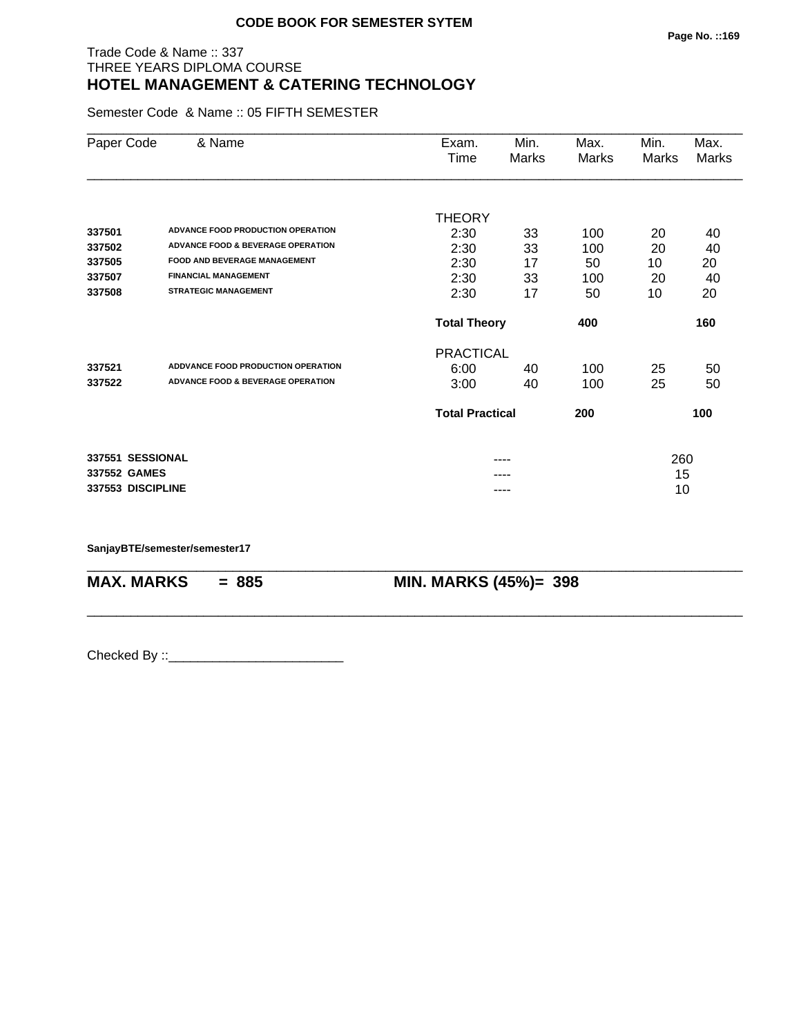#### Trade Code & Name :: 337 THREE YEARS DIPLOMA COURSE **HOTEL MANAGEMENT & CATERING TECHNOLOGY**

Semester Code & Name :: 05 FIFTH SEMESTER

| Paper Code        | & Name                                       | Exam.                  | Min.  | Max.  | Min.  | Max.  |
|-------------------|----------------------------------------------|------------------------|-------|-------|-------|-------|
|                   |                                              | Time                   | Marks | Marks | Marks | Marks |
|                   |                                              |                        |       |       |       |       |
|                   |                                              | <b>THEORY</b>          |       |       |       |       |
| 337501            | ADVANCE FOOD PRODUCTION OPERATION            | 2:30                   | 33    | 100   | 20    | 40    |
| 337502            | <b>ADVANCE FOOD &amp; BEVERAGE OPERATION</b> | 2:30                   | 33    | 100   | 20    | 40    |
| 337505            | <b>FOOD AND BEVERAGE MANAGEMENT</b>          | 2:30                   | 17    | 50    | 10    | 20    |
| 337507            | <b>FINANCIAL MANAGEMENT</b>                  | 2:30                   | 33    | 100   | 20    | 40    |
| 337508            | <b>STRATEGIC MANAGEMENT</b>                  | 2:30                   | 17    | 50    | 10    | 20    |
|                   |                                              | <b>Total Theory</b>    |       | 400   |       | 160   |
|                   |                                              | <b>PRACTICAL</b>       |       |       |       |       |
| 337521            | ADDVANCE FOOD PRODUCTION OPERATION           | 6:00                   | 40    | 100   | 25    | 50    |
| 337522            | <b>ADVANCE FOOD &amp; BEVERAGE OPERATION</b> | 3:00                   | 40    | 100   | 25    | 50    |
|                   |                                              | <b>Total Practical</b> |       | 200   |       | 100   |
| 337551 SESSIONAL  |                                              |                        |       |       | 260   |       |
| 337552 GAMES      |                                              |                        |       |       | 15    |       |
| 337553 DISCIPLINE |                                              |                        | ----  |       | 10    |       |

\_\_\_\_\_\_\_\_\_\_\_\_\_\_\_\_\_\_\_\_\_\_\_\_\_\_\_\_\_\_\_\_\_\_\_\_\_\_\_\_\_\_\_\_\_\_\_\_\_\_\_\_\_\_\_\_\_\_\_\_\_\_\_\_\_\_\_\_\_\_\_\_\_\_\_\_\_\_\_\_\_\_\_\_\_\_\_\_\_\_

\_\_\_\_\_\_\_\_\_\_\_\_\_\_\_\_\_\_\_\_\_\_\_\_\_\_\_\_\_\_\_\_\_\_\_\_\_\_\_\_\_\_\_\_\_\_\_\_\_\_\_\_\_\_\_\_\_\_\_\_\_\_\_\_\_\_\_\_\_\_\_\_\_\_\_\_\_\_\_\_\_\_\_\_\_\_\_\_\_\_

**SanjayBTE/semester/semester17**

**MAX. MARKS = 885 MIN. MARKS (45%)= 398**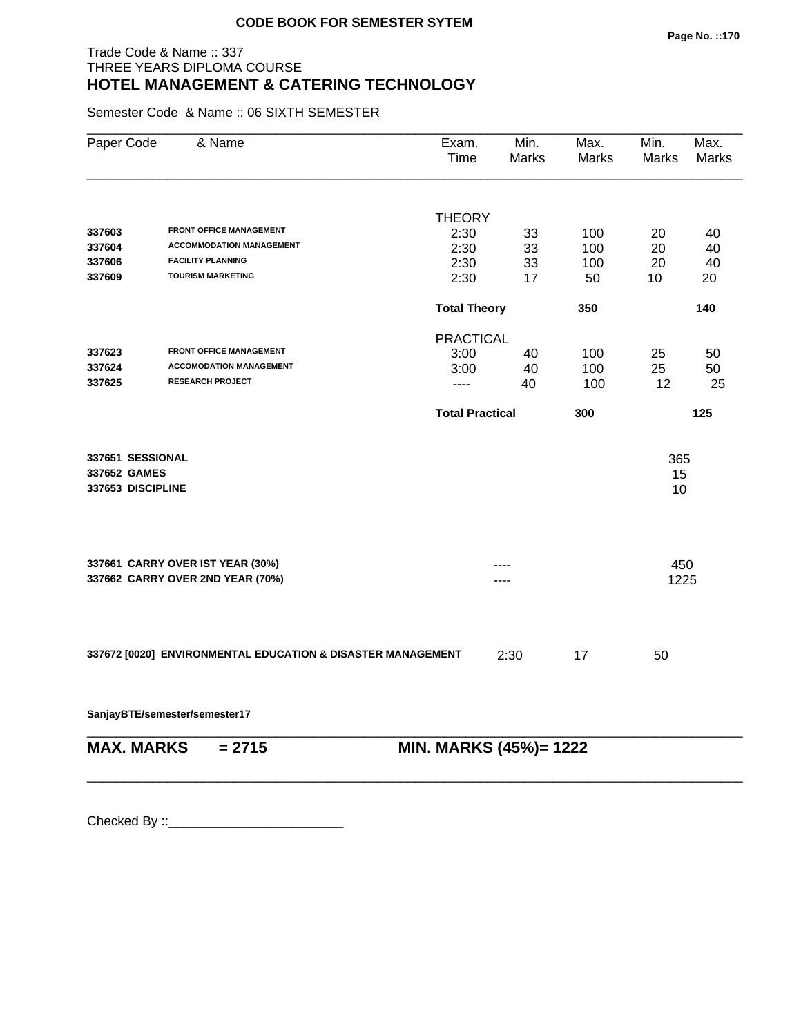#### Trade Code & Name :: 337 THREE YEARS DIPLOMA COURSE **HOTEL MANAGEMENT & CATERING TECHNOLOGY**

Semester Code & Name :: 06 SIXTH SEMESTER

| Paper Code        | & Name                                                      | Exam.<br>Time          | Min.<br><b>Marks</b>   | Max.<br><b>Marks</b> | Min.<br><b>Marks</b> | Max.<br>Marks |
|-------------------|-------------------------------------------------------------|------------------------|------------------------|----------------------|----------------------|---------------|
|                   |                                                             |                        |                        |                      |                      |               |
| 337603            | <b>FRONT OFFICE MANAGEMENT</b>                              | <b>THEORY</b>          |                        |                      |                      |               |
| 337604            | <b>ACCOMMODATION MANAGEMENT</b>                             | 2:30                   | 33                     | 100                  | 20                   | 40            |
| 337606            | <b>FACILITY PLANNING</b>                                    | 2:30<br>2:30           | 33<br>33               | 100<br>100           | 20<br>20             | 40<br>40      |
| 337609            | <b>TOURISM MARKETING</b>                                    | 2:30                   | 17                     | 50                   | 10                   | 20            |
|                   |                                                             | <b>Total Theory</b>    |                        | 350                  |                      | 140           |
|                   |                                                             | <b>PRACTICAL</b>       |                        |                      |                      |               |
| 337623            | <b>FRONT OFFICE MANAGEMENT</b>                              | 3:00                   | 40                     | 100                  | 25                   | 50            |
| 337624            | <b>ACCOMODATION MANAGEMENT</b>                              | 3:00                   | 40                     | 100                  | 25                   | 50            |
| 337625            | <b>RESEARCH PROJECT</b>                                     | ----                   | 40                     | 100                  | 12                   | 25            |
|                   |                                                             | <b>Total Practical</b> |                        | 300                  |                      | 125           |
| 337651 SESSIONAL  |                                                             |                        |                        |                      | 365                  |               |
| 337652 GAMES      |                                                             |                        |                        |                      | 15                   |               |
| 337653 DISCIPLINE |                                                             |                        |                        |                      | 10                   |               |
|                   | 337661 CARRY OVER IST YEAR (30%)                            |                        |                        |                      |                      |               |
|                   | 337662 CARRY OVER 2ND YEAR (70%)                            |                        | ----                   |                      | 450<br>1225          |               |
|                   |                                                             |                        |                        |                      |                      |               |
|                   | 337672 [0020] ENVIRONMENTAL EDUCATION & DISASTER MANAGEMENT |                        | 2:30                   | 17                   | 50                   |               |
|                   | SanjayBTE/semester/semester17                               |                        |                        |                      |                      |               |
| <b>MAX. MARKS</b> | $= 2715$                                                    |                        | MIN. MARKS (45%)= 1222 |                      |                      |               |

\_\_\_\_\_\_\_\_\_\_\_\_\_\_\_\_\_\_\_\_\_\_\_\_\_\_\_\_\_\_\_\_\_\_\_\_\_\_\_\_\_\_\_\_\_\_\_\_\_\_\_\_\_\_\_\_\_\_\_\_\_\_\_\_\_\_\_\_\_\_\_\_\_\_\_\_\_\_\_\_\_\_\_\_\_\_\_\_\_\_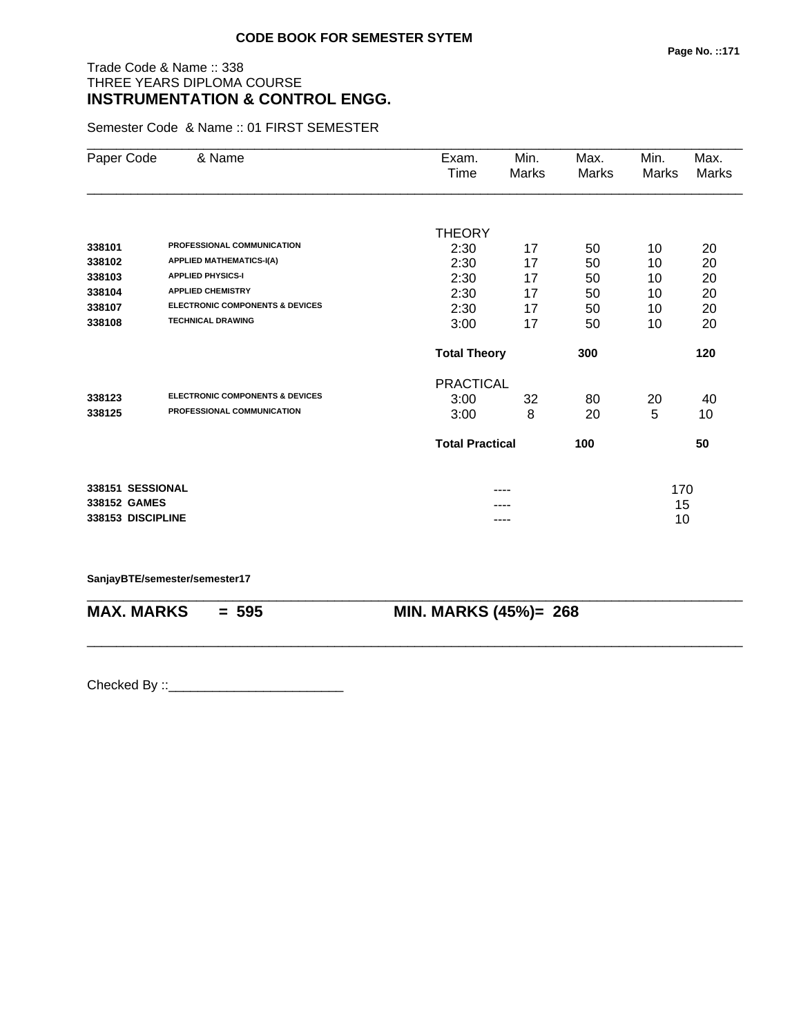# Trade Code & Name :: 338 THREE YEARS DIPLOMA COURSE **INSTRUMENTATION & CONTROL ENGG.**

Semester Code & Name :: 01 FIRST SEMESTER

| Paper Code        | & Name                                     | Exam.<br>Time          | Min.<br>Marks | Max.<br>Marks | Min.<br><b>Marks</b> | Max.<br><b>Marks</b> |
|-------------------|--------------------------------------------|------------------------|---------------|---------------|----------------------|----------------------|
|                   |                                            |                        |               |               |                      |                      |
|                   |                                            | <b>THEORY</b>          |               |               |                      |                      |
| 338101            | PROFESSIONAL COMMUNICATION                 | 2:30                   | 17            | 50            | 10                   | 20                   |
| 338102            | <b>APPLIED MATHEMATICS-I(A)</b>            | 2:30                   | 17            | 50            | 10                   | 20                   |
| 338103            | <b>APPLIED PHYSICS-I</b>                   | 2:30                   | 17            | 50            | 10                   | 20                   |
| 338104            | <b>APPLIED CHEMISTRY</b>                   | 2:30                   | 17            | 50            | 10                   | 20                   |
| 338107            | <b>ELECTRONIC COMPONENTS &amp; DEVICES</b> | 2:30                   | 17            | 50            | 10                   | 20                   |
| 338108            | <b>TECHNICAL DRAWING</b>                   | 3:00                   | 17            | 50            | 10                   | 20                   |
|                   |                                            | <b>Total Theory</b>    |               | 300           |                      | 120                  |
|                   |                                            | <b>PRACTICAL</b>       |               |               |                      |                      |
| 338123            | <b>ELECTRONIC COMPONENTS &amp; DEVICES</b> | 3:00                   | 32            | 80            | 20                   | 40                   |
| 338125            | PROFESSIONAL COMMUNICATION                 | 3:00                   | 8             | 20            | 5                    | 10                   |
|                   |                                            | <b>Total Practical</b> |               | 100           |                      | 50                   |
| 338151 SESSIONAL  |                                            |                        |               |               | 170                  |                      |
| 338152 GAMES      |                                            |                        |               |               | 15                   |                      |
| 338153 DISCIPLINE |                                            |                        | ----          |               | 10                   |                      |

\_\_\_\_\_\_\_\_\_\_\_\_\_\_\_\_\_\_\_\_\_\_\_\_\_\_\_\_\_\_\_\_\_\_\_\_\_\_\_\_\_\_\_\_\_\_\_\_\_\_\_\_\_\_\_\_\_\_\_\_\_\_\_\_\_\_\_\_\_\_\_\_\_\_\_\_\_\_\_\_\_\_\_\_\_\_\_\_\_\_

\_\_\_\_\_\_\_\_\_\_\_\_\_\_\_\_\_\_\_\_\_\_\_\_\_\_\_\_\_\_\_\_\_\_\_\_\_\_\_\_\_\_\_\_\_\_\_\_\_\_\_\_\_\_\_\_\_\_\_\_\_\_\_\_\_\_\_\_\_\_\_\_\_\_\_\_\_\_\_\_\_\_\_\_\_\_\_\_\_\_

#### **SanjayBTE/semester/semester17**

**MAX. MARKS = 595 MIN. MARKS (45%)= 268**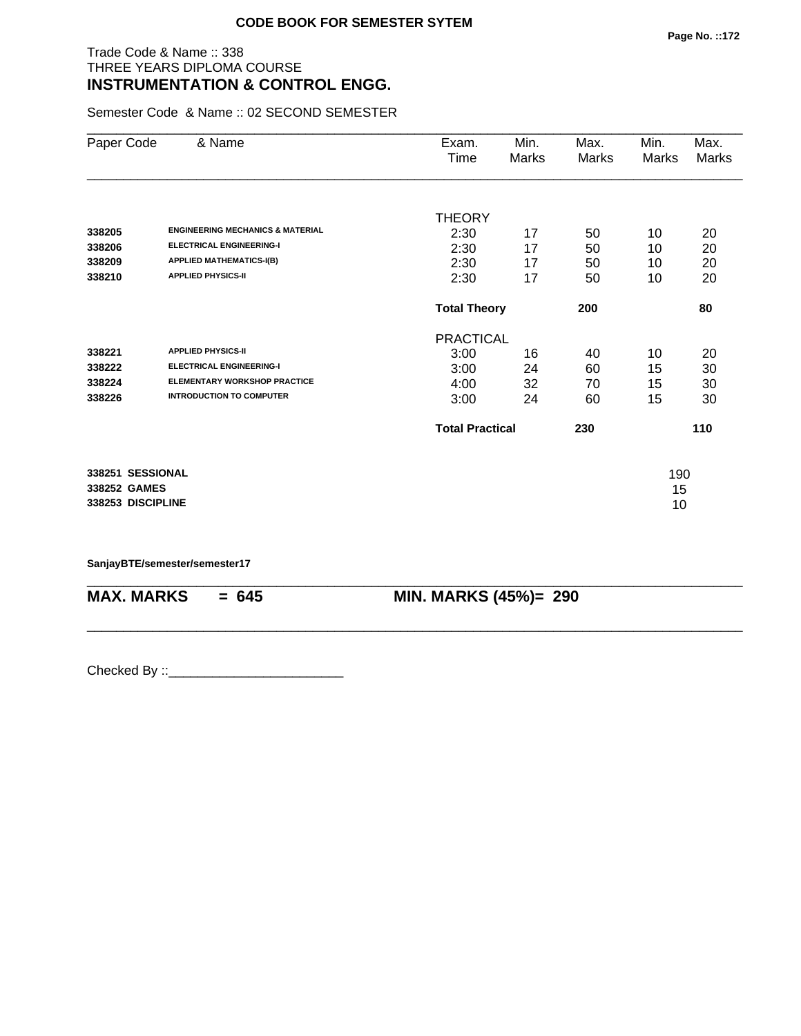#### Trade Code & Name :: 338 THREE YEARS DIPLOMA COURSE **INSTRUMENTATION & CONTROL ENGG.**

Semester Code & Name :: 02 SECOND SEMESTER

| Paper Code        | & Name                                      | Exam.                  | Min.  | Max.  | Min.  | Max.         |
|-------------------|---------------------------------------------|------------------------|-------|-------|-------|--------------|
|                   |                                             | Time                   | Marks | Marks | Marks | <b>Marks</b> |
|                   |                                             |                        |       |       |       |              |
|                   |                                             | <b>THEORY</b>          |       |       |       |              |
| 338205            | <b>ENGINEERING MECHANICS &amp; MATERIAL</b> | 2:30                   | 17    | 50    | 10    | 20           |
| 338206            | <b>ELECTRICAL ENGINEERING-I</b>             | 2:30                   | 17    | 50    | 10    | 20           |
| 338209            | <b>APPLIED MATHEMATICS-I(B)</b>             | 2:30                   | 17    | 50    | 10    | 20           |
| 338210            | <b>APPLIED PHYSICS-II</b>                   | 2:30                   | 17    | 50    | 10    | 20           |
|                   |                                             | <b>Total Theory</b>    |       | 200   |       | 80           |
|                   |                                             | <b>PRACTICAL</b>       |       |       |       |              |
| 338221            | <b>APPLIED PHYSICS-II</b>                   | 3:00                   | 16    | 40    | 10    | 20           |
| 338222            | <b>ELECTRICAL ENGINEERING-I</b>             | 3:00                   | 24    | 60    | 15    | 30           |
| 338224            | <b>ELEMENTARY WORKSHOP PRACTICE</b>         | 4:00                   | 32    | 70    | 15    | 30           |
| 338226            | <b>INTRODUCTION TO COMPUTER</b>             | 3:00                   | 24    | 60    | 15    | 30           |
|                   |                                             | <b>Total Practical</b> |       | 230   |       | 110          |
| 338251 SESSIONAL  |                                             |                        |       |       | 190   |              |
| 338252 GAMES      |                                             |                        |       |       | 15    |              |
| 338253 DISCIPLINE |                                             |                        |       |       | 10    |              |

\_\_\_\_\_\_\_\_\_\_\_\_\_\_\_\_\_\_\_\_\_\_\_\_\_\_\_\_\_\_\_\_\_\_\_\_\_\_\_\_\_\_\_\_\_\_\_\_\_\_\_\_\_\_\_\_\_\_\_\_\_\_\_\_\_\_\_\_\_\_\_\_\_\_\_\_\_\_\_\_\_\_\_\_\_\_\_\_\_\_

\_\_\_\_\_\_\_\_\_\_\_\_\_\_\_\_\_\_\_\_\_\_\_\_\_\_\_\_\_\_\_\_\_\_\_\_\_\_\_\_\_\_\_\_\_\_\_\_\_\_\_\_\_\_\_\_\_\_\_\_\_\_\_\_\_\_\_\_\_\_\_\_\_\_\_\_\_\_\_\_\_\_\_\_\_\_\_\_\_\_

**SanjayBTE/semester/semester17**

**MAX. MARKS = 645 MIN. MARKS (45%)= 290**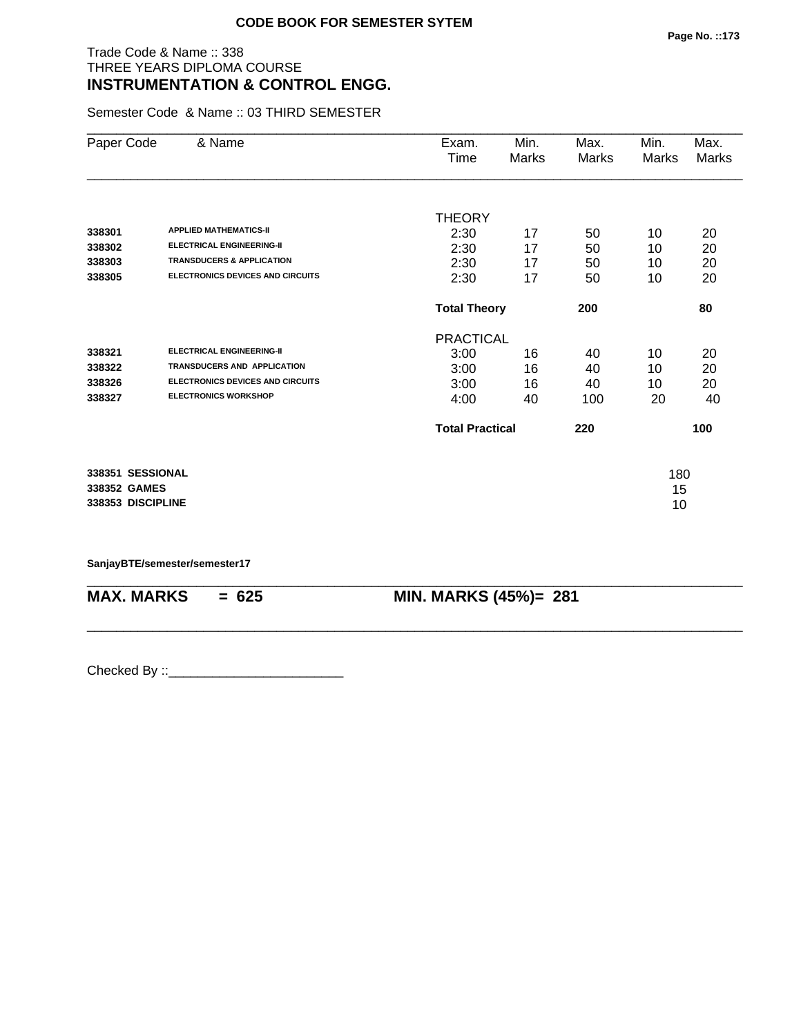# Trade Code & Name :: 338 THREE YEARS DIPLOMA COURSE **INSTRUMENTATION & CONTROL ENGG.**

Semester Code & Name :: 03 THIRD SEMESTER

| Paper Code        | & Name                                  | Exam.                  | Min.  | Max.  | Min.  | Max.         |
|-------------------|-----------------------------------------|------------------------|-------|-------|-------|--------------|
|                   |                                         | Time                   | Marks | Marks | Marks | <b>Marks</b> |
|                   |                                         |                        |       |       |       |              |
|                   |                                         | <b>THEORY</b>          |       |       |       |              |
| 338301            | <b>APPLIED MATHEMATICS-II</b>           | 2:30                   | 17    | 50    | 10    | 20           |
| 338302            | <b>ELECTRICAL ENGINEERING-II</b>        | 2:30                   | 17    | 50    | 10    | 20           |
| 338303            | <b>TRANSDUCERS &amp; APPLICATION</b>    | 2:30                   | 17    | 50    | 10    | 20           |
| 338305            | <b>ELECTRONICS DEVICES AND CIRCUITS</b> | 2:30                   | 17    | 50    | 10    | 20           |
|                   |                                         | <b>Total Theory</b>    |       | 200   |       | 80           |
|                   |                                         | <b>PRACTICAL</b>       |       |       |       |              |
| 338321            | <b>ELECTRICAL ENGINEERING-II</b>        | 3:00                   | 16    | 40    | 10    | 20           |
| 338322            | <b>TRANSDUCERS AND APPLICATION</b>      | 3:00                   | 16    | 40    | 10    | 20           |
| 338326            | <b>ELECTRONICS DEVICES AND CIRCUITS</b> | 3:00                   | 16    | 40    | 10    | 20           |
| 338327            | <b>ELECTRONICS WORKSHOP</b>             | 4:00                   | 40    | 100   | 20    | 40           |
|                   |                                         | <b>Total Practical</b> |       | 220   |       | 100          |
| 338351 SESSIONAL  |                                         |                        |       |       | 180   |              |
| 338352 GAMES      |                                         |                        |       |       | 15    |              |
| 338353 DISCIPLINE |                                         |                        |       |       | 10    |              |
|                   |                                         |                        |       |       |       |              |

\_\_\_\_\_\_\_\_\_\_\_\_\_\_\_\_\_\_\_\_\_\_\_\_\_\_\_\_\_\_\_\_\_\_\_\_\_\_\_\_\_\_\_\_\_\_\_\_\_\_\_\_\_\_\_\_\_\_\_\_\_\_\_\_\_\_\_\_\_\_\_\_\_\_\_\_\_\_\_\_\_\_\_\_\_\_\_\_\_\_

\_\_\_\_\_\_\_\_\_\_\_\_\_\_\_\_\_\_\_\_\_\_\_\_\_\_\_\_\_\_\_\_\_\_\_\_\_\_\_\_\_\_\_\_\_\_\_\_\_\_\_\_\_\_\_\_\_\_\_\_\_\_\_\_\_\_\_\_\_\_\_\_\_\_\_\_\_\_\_\_\_\_\_\_\_\_\_\_\_\_

**SanjayBTE/semester/semester17**

**MAX. MARKS = 625 MIN. MARKS (45%)= 281**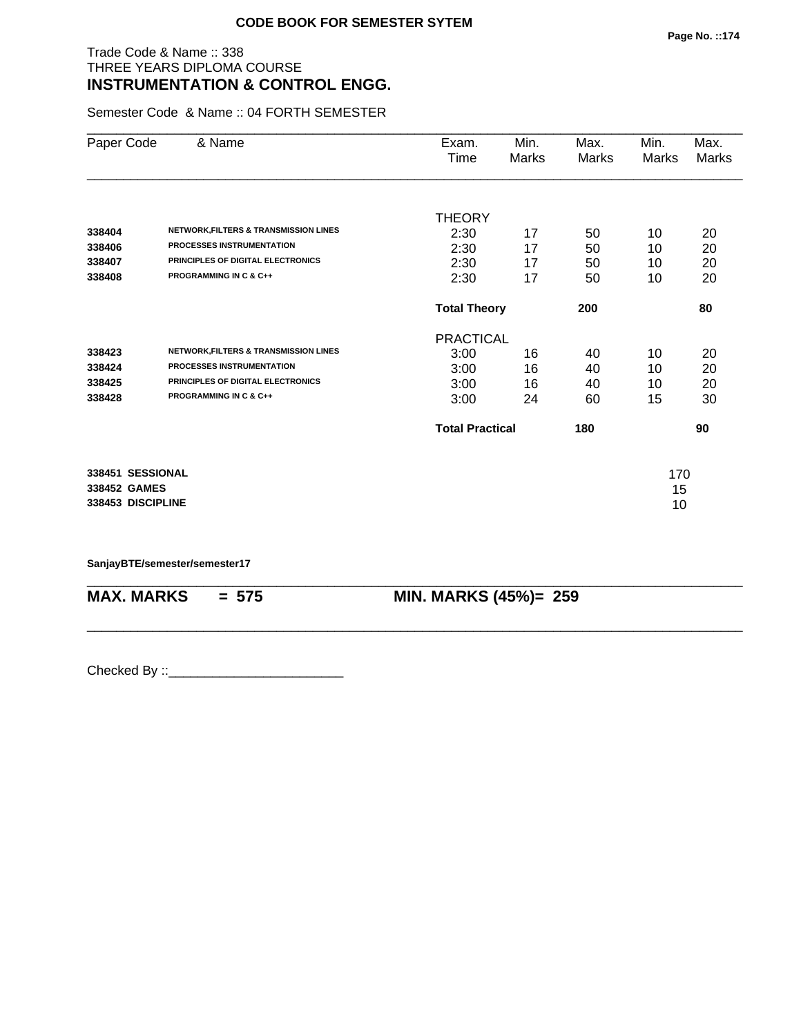## Trade Code & Name :: 338 THREE YEARS DIPLOMA COURSE **INSTRUMENTATION & CONTROL ENGG.**

Semester Code & Name :: 04 FORTH SEMESTER

| Paper Code        | & Name                                           | Exam.                  | Min.         | Max.  | Min.  | Max.         |
|-------------------|--------------------------------------------------|------------------------|--------------|-------|-------|--------------|
|                   |                                                  | Time                   | <b>Marks</b> | Marks | Marks | <b>Marks</b> |
|                   |                                                  |                        |              |       |       |              |
|                   |                                                  | <b>THEORY</b>          |              |       |       |              |
| 338404            | NETWORK, FILTERS & TRANSMISSION LINES            | 2:30                   | 17           | 50    | 10    | 20           |
| 338406            | <b>PROCESSES INSTRUMENTATION</b>                 | 2:30                   | 17           | 50    | 10    | 20           |
| 338407            | PRINCIPLES OF DIGITAL ELECTRONICS                | 2:30                   | 17           | 50    | 10    | 20           |
| 338408            | <b>PROGRAMMING IN C &amp; C++</b>                | 2:30                   | 17           | 50    | 10    | 20           |
|                   |                                                  | <b>Total Theory</b>    |              | 200   |       | 80           |
|                   |                                                  | <b>PRACTICAL</b>       |              |       |       |              |
| 338423            | <b>NETWORK, FILTERS &amp; TRANSMISSION LINES</b> | 3:00                   | 16           | 40    | 10    | 20           |
| 338424            | <b>PROCESSES INSTRUMENTATION</b>                 | 3:00                   | 16           | 40    | 10    | 20           |
| 338425            | PRINCIPLES OF DIGITAL ELECTRONICS                | 3:00                   | 16           | 40    | 10    | 20           |
| 338428            | <b>PROGRAMMING IN C &amp; C++</b>                | 3:00                   | 24           | 60    | 15    | 30           |
|                   |                                                  | <b>Total Practical</b> |              | 180   |       | 90           |
| 338451 SESSIONAL  |                                                  |                        |              |       | 170   |              |
| 338452 GAMES      |                                                  |                        |              |       | 15    |              |
| 338453 DISCIPLINE |                                                  |                        |              |       | 10    |              |
|                   |                                                  |                        |              |       |       |              |

\_\_\_\_\_\_\_\_\_\_\_\_\_\_\_\_\_\_\_\_\_\_\_\_\_\_\_\_\_\_\_\_\_\_\_\_\_\_\_\_\_\_\_\_\_\_\_\_\_\_\_\_\_\_\_\_\_\_\_\_\_\_\_\_\_\_\_\_\_\_\_\_\_\_\_\_\_\_\_\_\_\_\_\_\_\_\_\_\_\_

\_\_\_\_\_\_\_\_\_\_\_\_\_\_\_\_\_\_\_\_\_\_\_\_\_\_\_\_\_\_\_\_\_\_\_\_\_\_\_\_\_\_\_\_\_\_\_\_\_\_\_\_\_\_\_\_\_\_\_\_\_\_\_\_\_\_\_\_\_\_\_\_\_\_\_\_\_\_\_\_\_\_\_\_\_\_\_\_\_\_

**SanjayBTE/semester/semester17**

**MAX. MARKS = 575 MIN. MARKS (45%)= 259**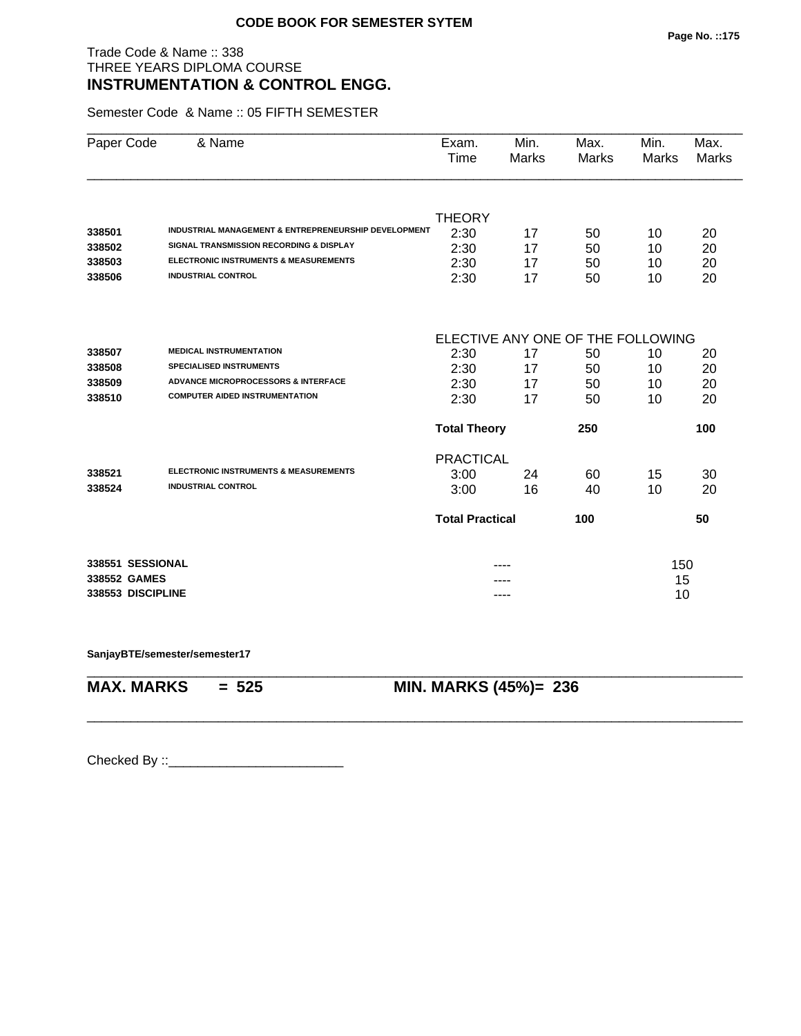# Trade Code & Name :: 338 THREE YEARS DIPLOMA COURSE **INSTRUMENTATION & CONTROL ENGG.**

Semester Code & Name :: 05 FIFTH SEMESTER

| Paper Code        | & Name                                                          | Exam.<br>Time          | Min.<br>Marks | Max.<br><b>Marks</b>              | Min.<br><b>Marks</b> | Max.<br><b>Marks</b> |
|-------------------|-----------------------------------------------------------------|------------------------|---------------|-----------------------------------|----------------------|----------------------|
|                   |                                                                 |                        |               |                                   |                      |                      |
|                   |                                                                 | <b>THEORY</b>          |               |                                   |                      |                      |
| 338501            | <b>INDUSTRIAL MANAGEMENT &amp; ENTREPRENEURSHIP DEVELOPMENT</b> | 2:30                   | 17            | 50                                | 10                   | 20                   |
| 338502            | <b>SIGNAL TRANSMISSION RECORDING &amp; DISPLAY</b>              | 2:30                   | 17            | 50                                | 10                   | 20                   |
| 338503            | <b>ELECTRONIC INSTRUMENTS &amp; MEASUREMENTS</b>                | 2:30                   | 17            | 50                                | 10                   | 20                   |
| 338506            | <b>INDUSTRIAL CONTROL</b>                                       | 2:30                   | 17            | 50                                | 10                   | 20                   |
|                   |                                                                 |                        |               | ELECTIVE ANY ONE OF THE FOLLOWING |                      |                      |
| 338507            | <b>MEDICAL INSTRUMENTATION</b>                                  | 2:30                   | 17            | 50                                | 10                   | 20                   |
| 338508            | <b>SPECIALISED INSTRUMENTS</b>                                  | 2:30                   | 17            | 50                                | 10                   | 20                   |
| 338509            | <b>ADVANCE MICROPROCESSORS &amp; INTERFACE</b>                  | 2:30                   | 17            | 50                                | 10                   | 20                   |
| 338510            | <b>COMPUTER AIDED INSTRUMENTATION</b>                           | 2:30                   | 17            | 50                                | 10                   | 20                   |
|                   |                                                                 | <b>Total Theory</b>    |               | 250                               |                      | 100                  |
|                   |                                                                 | <b>PRACTICAL</b>       |               |                                   |                      |                      |
| 338521            | <b>ELECTRONIC INSTRUMENTS &amp; MEASUREMENTS</b>                | 3:00                   | 24            | 60                                | 15                   | 30                   |
| 338524            | <b>INDUSTRIAL CONTROL</b>                                       | 3:00                   | 16            | 40                                | 10                   | 20                   |
|                   |                                                                 | <b>Total Practical</b> |               | 100                               |                      | 50                   |
| 338551 SESSIONAL  |                                                                 |                        |               |                                   | 150                  |                      |
| 338552 GAMES      |                                                                 |                        |               |                                   | 15                   |                      |
| 338553 DISCIPLINE |                                                                 |                        | ----          |                                   | 10                   |                      |

\_\_\_\_\_\_\_\_\_\_\_\_\_\_\_\_\_\_\_\_\_\_\_\_\_\_\_\_\_\_\_\_\_\_\_\_\_\_\_\_\_\_\_\_\_\_\_\_\_\_\_\_\_\_\_\_\_\_\_\_\_\_\_\_\_\_\_\_\_\_\_\_\_\_\_\_\_\_\_\_\_\_\_\_\_\_\_\_\_\_

\_\_\_\_\_\_\_\_\_\_\_\_\_\_\_\_\_\_\_\_\_\_\_\_\_\_\_\_\_\_\_\_\_\_\_\_\_\_\_\_\_\_\_\_\_\_\_\_\_\_\_\_\_\_\_\_\_\_\_\_\_\_\_\_\_\_\_\_\_\_\_\_\_\_\_\_\_\_\_\_\_\_\_\_\_\_\_\_\_\_

**SanjayBTE/semester/semester17**

**MAX. MARKS = 525 MIN. MARKS (45%)= 236**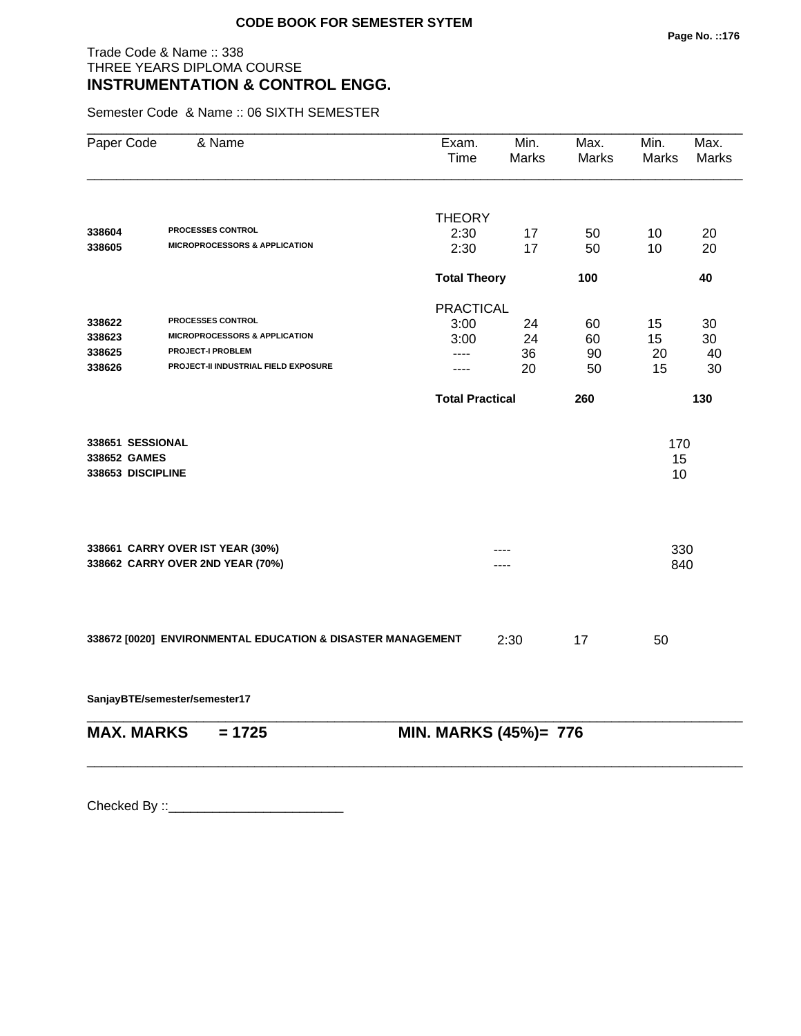## Trade Code & Name :: 338 THREE YEARS DIPLOMA COURSE **INSTRUMENTATION & CONTROL ENGG.**

Semester Code & Name :: 06 SIXTH SEMESTER

| Paper Code                                            | & Name                                                               | Exam.<br>Time          | Min.<br>Marks | Max.<br><b>Marks</b> | Min.<br><b>Marks</b> | Max.<br><b>Marks</b> |
|-------------------------------------------------------|----------------------------------------------------------------------|------------------------|---------------|----------------------|----------------------|----------------------|
|                                                       |                                                                      | <b>THEORY</b>          |               |                      |                      |                      |
| 338604                                                | <b>PROCESSES CONTROL</b>                                             | 2:30                   | 17            | 50                   | 10                   | 20                   |
| 338605                                                | <b>MICROPROCESSORS &amp; APPLICATION</b>                             | 2:30                   | 17            | 50                   | 10                   | 20                   |
|                                                       |                                                                      | <b>Total Theory</b>    |               | 100                  |                      | 40                   |
|                                                       |                                                                      | <b>PRACTICAL</b>       |               |                      |                      |                      |
| 338622                                                | PROCESSES CONTROL                                                    | 3:00                   | 24            | 60                   | 15                   | 30                   |
| 338623                                                | <b>MICROPROCESSORS &amp; APPLICATION</b>                             | 3:00                   | 24            | 60                   | 15                   | 30                   |
| 338625                                                | <b>PROJECT-I PROBLEM</b>                                             | ----                   | 36            | 90                   | 20                   | 40                   |
| 338626                                                | PROJECT-II INDUSTRIAL FIELD EXPOSURE                                 | ----                   | 20            | 50                   | 15                   | 30                   |
|                                                       |                                                                      | <b>Total Practical</b> |               | 260                  |                      | 130                  |
| 338651 SESSIONAL<br>338652 GAMES<br>338653 DISCIPLINE |                                                                      |                        |               |                      | 170<br>15<br>10      |                      |
|                                                       | 338661 CARRY OVER IST YEAR (30%)<br>338662 CARRY OVER 2ND YEAR (70%) |                        | .             |                      | 330<br>840           |                      |
|                                                       | 338672 [0020] ENVIRONMENTAL EDUCATION & DISASTER MANAGEMENT          |                        | 2:30          | 17                   | 50                   |                      |

\_\_\_\_\_\_\_\_\_\_\_\_\_\_\_\_\_\_\_\_\_\_\_\_\_\_\_\_\_\_\_\_\_\_\_\_\_\_\_\_\_\_\_\_\_\_\_\_\_\_\_\_\_\_\_\_\_\_\_\_\_\_\_\_\_\_\_\_\_\_\_\_\_\_\_\_\_\_\_\_\_\_\_\_\_\_\_\_\_\_

**SanjayBTE/semester/semester17**

\_\_\_\_\_\_\_\_\_\_\_\_\_\_\_\_\_\_\_\_\_\_\_\_\_\_\_\_\_\_\_\_\_\_\_\_\_\_\_\_\_\_\_\_\_\_\_\_\_\_\_\_\_\_\_\_\_\_\_\_\_\_\_\_\_\_\_\_\_\_\_\_\_\_\_\_\_\_\_\_\_\_\_\_\_\_\_\_\_\_ **MAX. MARKS = 1725 MIN. MARKS (45%)= 776**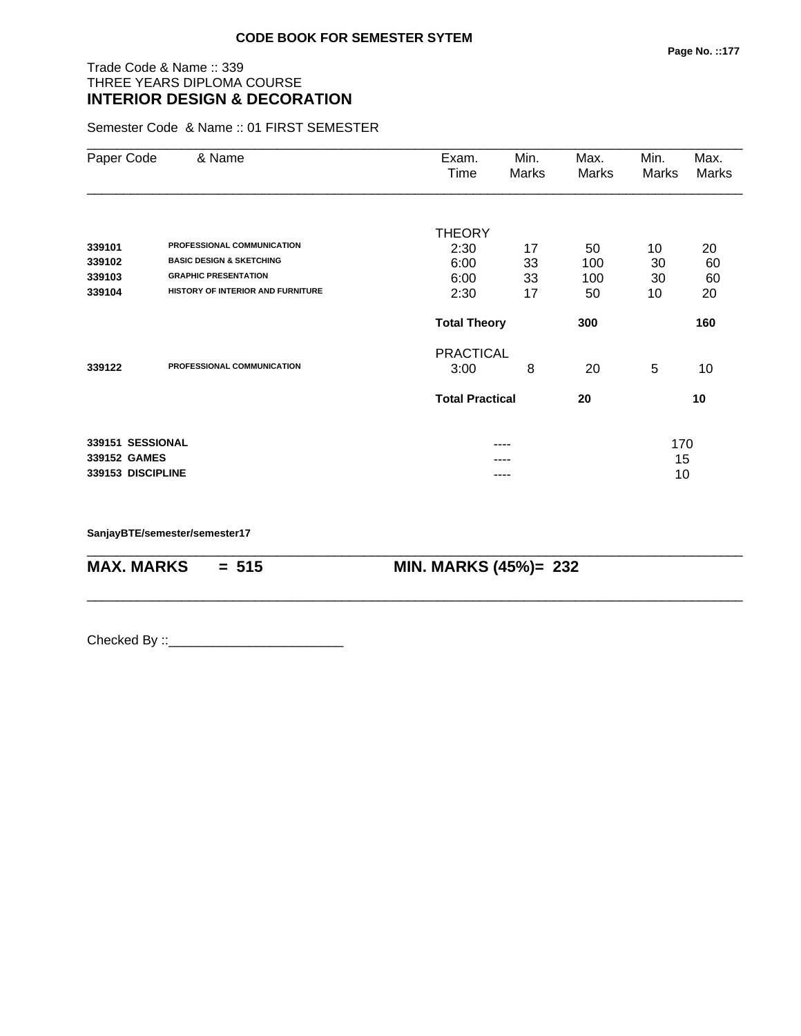# Trade Code & Name :: 339 THREE YEARS DIPLOMA COURSE **INTERIOR DESIGN & DECORATION**

Semester Code & Name :: 01 FIRST SEMESTER

| Paper Code        | & Name                              | Exam.<br>Time          | Min.<br>Marks | Max.<br>Marks | Min.<br>Marks | Max.<br><b>Marks</b> |
|-------------------|-------------------------------------|------------------------|---------------|---------------|---------------|----------------------|
|                   |                                     |                        |               |               |               |                      |
|                   |                                     | <b>THEORY</b>          |               |               |               |                      |
| 339101            | PROFESSIONAL COMMUNICATION          | 2:30                   | 17            | 50            | 10            | 20                   |
| 339102            | <b>BASIC DESIGN &amp; SKETCHING</b> | 6:00                   | 33            | 100           | 30            | 60                   |
| 339103            | <b>GRAPHIC PRESENTATION</b>         | 6:00                   | 33            | 100           | 30            | 60                   |
| 339104            | HISTORY OF INTERIOR AND FURNITURE   | 2:30                   | 17            | 50            | 10            | 20                   |
|                   |                                     | <b>Total Theory</b>    |               | 300           |               | 160                  |
|                   |                                     | <b>PRACTICAL</b>       |               |               |               |                      |
| 339122            | PROFESSIONAL COMMUNICATION          | 3:00                   | 8             | 20            | 5             | 10                   |
|                   |                                     | <b>Total Practical</b> |               | 20            |               | 10                   |
| 339151 SESSIONAL  |                                     |                        | ----          |               | 170           |                      |
| 339152 GAMES      |                                     |                        |               |               | 15            |                      |
| 339153 DISCIPLINE |                                     |                        | ----          |               | 10            |                      |

\_\_\_\_\_\_\_\_\_\_\_\_\_\_\_\_\_\_\_\_\_\_\_\_\_\_\_\_\_\_\_\_\_\_\_\_\_\_\_\_\_\_\_\_\_\_\_\_\_\_\_\_\_\_\_\_\_\_\_\_\_\_\_\_\_\_\_\_\_\_\_\_\_\_\_\_\_\_\_\_\_\_\_\_\_\_\_\_\_\_

\_\_\_\_\_\_\_\_\_\_\_\_\_\_\_\_\_\_\_\_\_\_\_\_\_\_\_\_\_\_\_\_\_\_\_\_\_\_\_\_\_\_\_\_\_\_\_\_\_\_\_\_\_\_\_\_\_\_\_\_\_\_\_\_\_\_\_\_\_\_\_\_\_\_\_\_\_\_\_\_\_\_\_\_\_\_\_\_\_\_

**SanjayBTE/semester/semester17**

**MAX. MARKS = 515 MIN. MARKS (45%)= 232**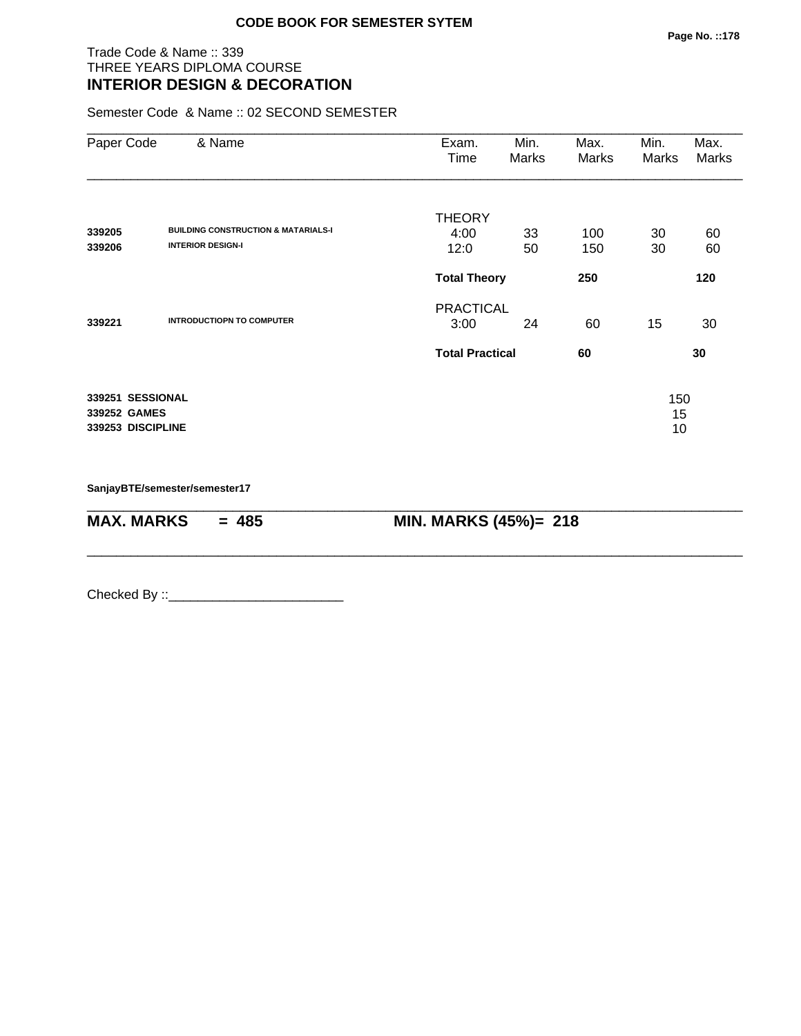#### Trade Code & Name :: 339 THREE YEARS DIPLOMA COURSE **INTERIOR DESIGN & DECORATION**

Semester Code & Name :: 02 SECOND SEMESTER

| Paper Code                                            | & Name                                         | Exam.<br>Time          | Min.<br>Marks | Max.<br>Marks | Min.<br><b>Marks</b> | Max.<br>Marks |
|-------------------------------------------------------|------------------------------------------------|------------------------|---------------|---------------|----------------------|---------------|
|                                                       |                                                | <b>THEORY</b>          |               |               |                      |               |
| 339205                                                | <b>BUILDING CONSTRUCTION &amp; MATARIALS-I</b> | 4:00                   | 33            | 100           | 30                   | 60            |
| 339206                                                | <b>INTERIOR DESIGN-I</b>                       | 12:0                   | 50            | 150           | 30                   | 60            |
|                                                       |                                                | <b>Total Theory</b>    |               | 250           |                      | 120           |
|                                                       |                                                | <b>PRACTICAL</b>       |               |               |                      |               |
| 339221                                                | <b>INTRODUCTIOPN TO COMPUTER</b>               | 3:00                   | 24            | 60            | 15                   | 30            |
|                                                       |                                                | <b>Total Practical</b> |               | 60            |                      | 30            |
| 339251 SESSIONAL<br>339252 GAMES<br>339253 DISCIPLINE |                                                |                        |               |               | 150<br>15<br>10      |               |

\_\_\_\_\_\_\_\_\_\_\_\_\_\_\_\_\_\_\_\_\_\_\_\_\_\_\_\_\_\_\_\_\_\_\_\_\_\_\_\_\_\_\_\_\_\_\_\_\_\_\_\_\_\_\_\_\_\_\_\_\_\_\_\_\_\_\_\_\_\_\_\_\_\_\_\_\_\_\_\_\_\_\_\_\_\_\_\_\_\_

\_\_\_\_\_\_\_\_\_\_\_\_\_\_\_\_\_\_\_\_\_\_\_\_\_\_\_\_\_\_\_\_\_\_\_\_\_\_\_\_\_\_\_\_\_\_\_\_\_\_\_\_\_\_\_\_\_\_\_\_\_\_\_\_\_\_\_\_\_\_\_\_\_\_\_\_\_\_\_\_\_\_\_\_\_\_\_\_\_\_

**SanjayBTE/semester/semester17**

**MAX. MARKS = 485 MIN. MARKS (45%)= 218**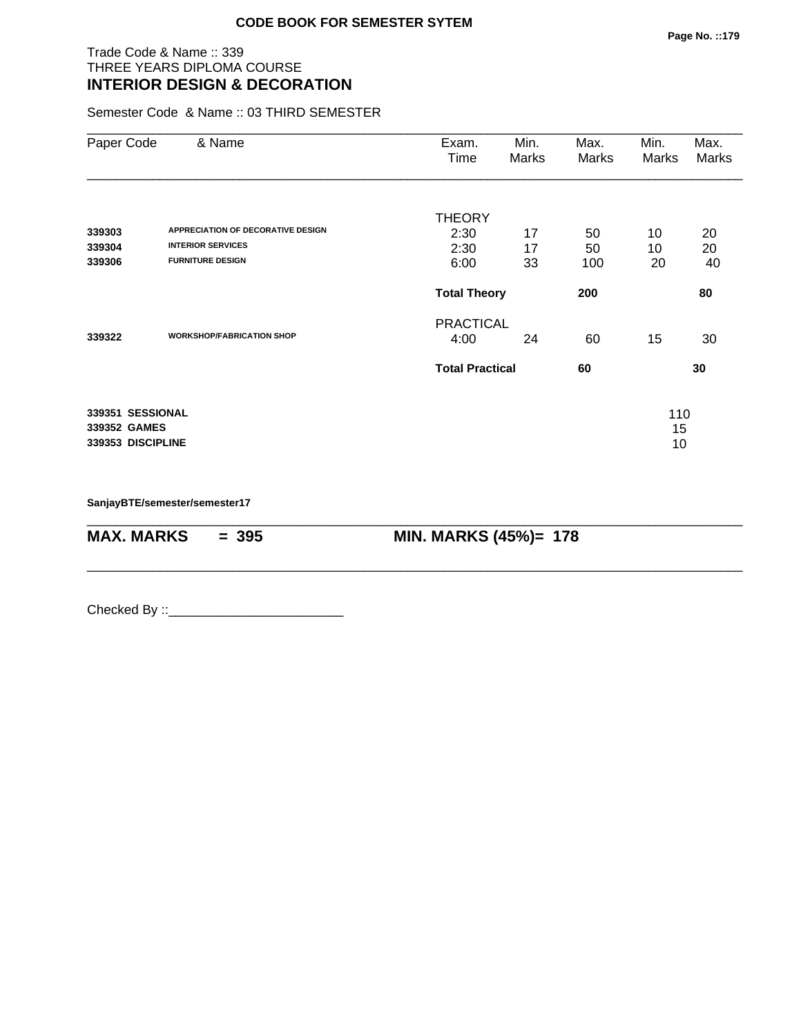#### Trade Code & Name :: 339 THREE YEARS DIPLOMA COURSE **INTERIOR DESIGN & DECORATION**

Semester Code & Name :: 03 THIRD SEMESTER

| Paper Code                                            | & Name                                              | Exam.<br>Time            | Min.<br>Marks | Max.<br>Marks | Min.<br>Marks   | Max.<br>Marks |
|-------------------------------------------------------|-----------------------------------------------------|--------------------------|---------------|---------------|-----------------|---------------|
| 339303                                                | APPRECIATION OF DECORATIVE DESIGN                   | <b>THEORY</b><br>2:30    | 17            | 50            | 10              | 20            |
| 339304<br>339306                                      | <b>INTERIOR SERVICES</b><br><b>FURNITURE DESIGN</b> | 2:30<br>6:00             | 17<br>33      | 50<br>100     | 10<br>20        | 20<br>40      |
|                                                       |                                                     | <b>Total Theory</b>      |               | 200           |                 | 80            |
| 339322                                                | <b>WORKSHOP/FABRICATION SHOP</b>                    | <b>PRACTICAL</b><br>4:00 | 24            | 60            | 15              | 30            |
|                                                       |                                                     | <b>Total Practical</b>   |               | 60            |                 | 30            |
| 339351 SESSIONAL<br>339352 GAMES<br>339353 DISCIPLINE |                                                     |                          |               |               | 110<br>15<br>10 |               |

\_\_\_\_\_\_\_\_\_\_\_\_\_\_\_\_\_\_\_\_\_\_\_\_\_\_\_\_\_\_\_\_\_\_\_\_\_\_\_\_\_\_\_\_\_\_\_\_\_\_\_\_\_\_\_\_\_\_\_\_\_\_\_\_\_\_\_\_\_\_\_\_\_\_\_\_\_\_\_\_\_\_\_\_\_\_\_\_\_\_

\_\_\_\_\_\_\_\_\_\_\_\_\_\_\_\_\_\_\_\_\_\_\_\_\_\_\_\_\_\_\_\_\_\_\_\_\_\_\_\_\_\_\_\_\_\_\_\_\_\_\_\_\_\_\_\_\_\_\_\_\_\_\_\_\_\_\_\_\_\_\_\_\_\_\_\_\_\_\_\_\_\_\_\_\_\_\_\_\_\_

**SanjayBTE/semester/semester17**

**MAX. MARKS** = 395 **MIN. MARKS (45%)= 178**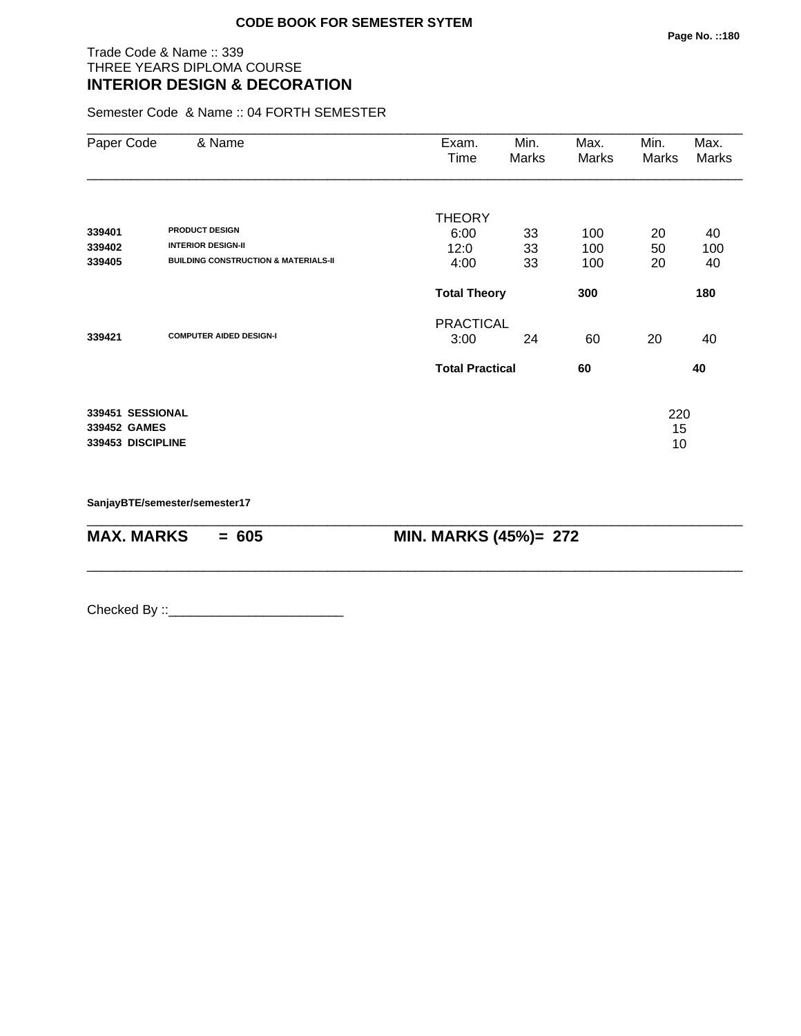#### Trade Code & Name :: 339 THREE YEARS DIPLOMA COURSE **INTERIOR DESIGN & DECORATION**

Semester Code & Name :: 04 FORTH SEMESTER

| Paper Code                                            | & Name                                          | Exam.<br>Time          | Min.<br>Marks | Max.<br>Marks | Min.<br>Marks   | Max.<br>Marks |
|-------------------------------------------------------|-------------------------------------------------|------------------------|---------------|---------------|-----------------|---------------|
| 339401                                                | <b>PRODUCT DESIGN</b>                           | <b>THEORY</b>          |               |               |                 |               |
| 339402                                                | <b>INTERIOR DESIGN-II</b>                       | 6:00<br>12:0           | 33<br>33      | 100<br>100    | 20<br>50        | 40<br>100     |
| 339405                                                | <b>BUILDING CONSTRUCTION &amp; MATERIALS-II</b> | 4:00                   | 33            | 100           | 20              | 40            |
|                                                       |                                                 | <b>Total Theory</b>    |               | 300           |                 | 180           |
|                                                       |                                                 | <b>PRACTICAL</b>       |               |               |                 |               |
| 339421                                                | <b>COMPUTER AIDED DESIGN-I</b>                  | 3:00                   | 24            | 60            | 20              | 40            |
|                                                       |                                                 | <b>Total Practical</b> |               | 60            | 40              |               |
| 339451 SESSIONAL<br>339452 GAMES<br>339453 DISCIPLINE |                                                 |                        |               |               | 220<br>15<br>10 |               |

\_\_\_\_\_\_\_\_\_\_\_\_\_\_\_\_\_\_\_\_\_\_\_\_\_\_\_\_\_\_\_\_\_\_\_\_\_\_\_\_\_\_\_\_\_\_\_\_\_\_\_\_\_\_\_\_\_\_\_\_\_\_\_\_\_\_\_\_\_\_\_\_\_\_\_\_\_\_\_\_\_\_\_\_\_\_\_\_\_\_

\_\_\_\_\_\_\_\_\_\_\_\_\_\_\_\_\_\_\_\_\_\_\_\_\_\_\_\_\_\_\_\_\_\_\_\_\_\_\_\_\_\_\_\_\_\_\_\_\_\_\_\_\_\_\_\_\_\_\_\_\_\_\_\_\_\_\_\_\_\_\_\_\_\_\_\_\_\_\_\_\_\_\_\_\_\_\_\_\_\_

**SanjayBTE/semester/semester17**

**MAX. MARKS** = 605 **MIN. MARKS (45%)= 272**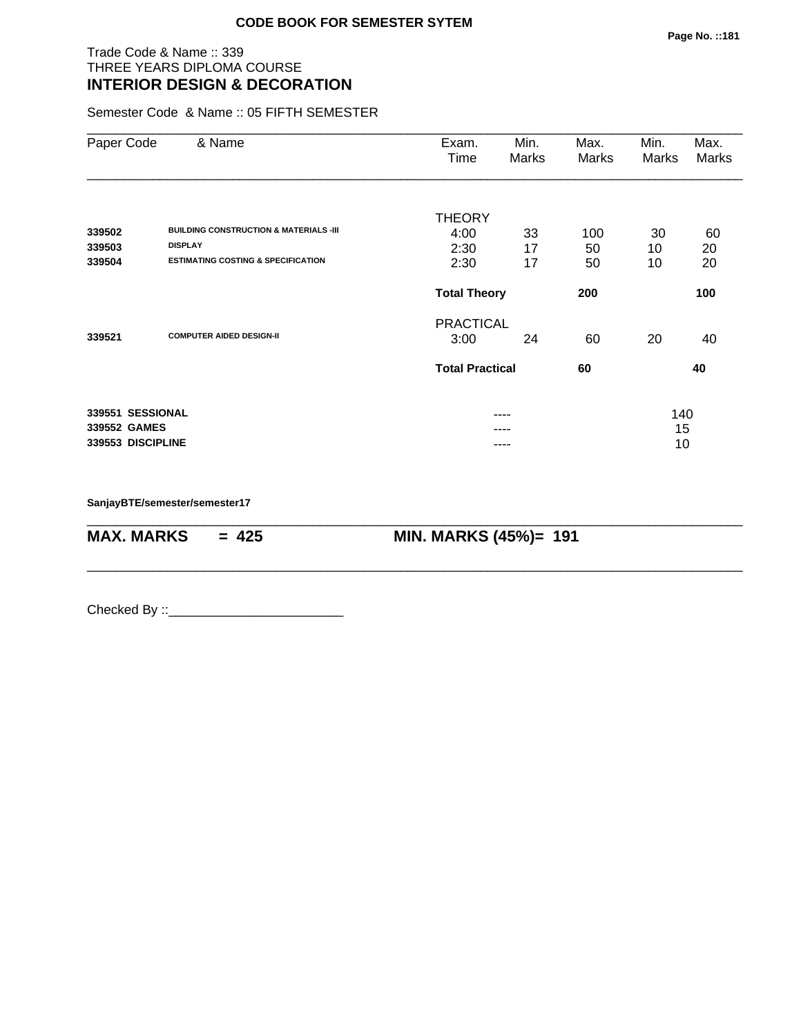# Trade Code & Name :: 339 THREE YEARS DIPLOMA COURSE **INTERIOR DESIGN & DECORATION**

Semester Code & Name :: 05 FIFTH SEMESTER

| Paper Code        | & Name                                            | Exam.                  | Min.         | Max.  | Min.  | Max.  |
|-------------------|---------------------------------------------------|------------------------|--------------|-------|-------|-------|
|                   |                                                   | Time                   | <b>Marks</b> | Marks | Marks | Marks |
|                   |                                                   |                        |              |       |       |       |
|                   |                                                   | <b>THEORY</b>          |              |       |       |       |
| 339502            | <b>BUILDING CONSTRUCTION &amp; MATERIALS -III</b> | 4:00                   | 33           | 100   | 30    | 60    |
| 339503            | <b>DISPLAY</b>                                    | 2:30                   | 17           | 50    | 10    | 20    |
| 339504            | <b>ESTIMATING COSTING &amp; SPECIFICATION</b>     | 2:30                   | 17           | 50    | 10    | 20    |
|                   |                                                   | <b>Total Theory</b>    |              | 200   |       | 100   |
|                   |                                                   | <b>PRACTICAL</b>       |              |       |       |       |
| 339521            | <b>COMPUTER AIDED DESIGN-II</b>                   | 3:00                   | 24           | 60    | 20    | 40    |
|                   |                                                   | <b>Total Practical</b> |              | 60    |       | 40    |
| 339551 SESSIONAL  |                                                   |                        | ----         |       | 140   |       |
| 339552 GAMES      |                                                   |                        |              |       | 15    |       |
| 339553 DISCIPLINE |                                                   |                        |              |       | 10    |       |

\_\_\_\_\_\_\_\_\_\_\_\_\_\_\_\_\_\_\_\_\_\_\_\_\_\_\_\_\_\_\_\_\_\_\_\_\_\_\_\_\_\_\_\_\_\_\_\_\_\_\_\_\_\_\_\_\_\_\_\_\_\_\_\_\_\_\_\_\_\_\_\_\_\_\_\_\_\_\_\_\_\_\_\_\_\_\_\_\_\_

\_\_\_\_\_\_\_\_\_\_\_\_\_\_\_\_\_\_\_\_\_\_\_\_\_\_\_\_\_\_\_\_\_\_\_\_\_\_\_\_\_\_\_\_\_\_\_\_\_\_\_\_\_\_\_\_\_\_\_\_\_\_\_\_\_\_\_\_\_\_\_\_\_\_\_\_\_\_\_\_\_\_\_\_\_\_\_\_\_\_

**SanjayBTE/semester/semester17**

**MAX. MARKS = 425 MIN. MARKS (45%)= 191**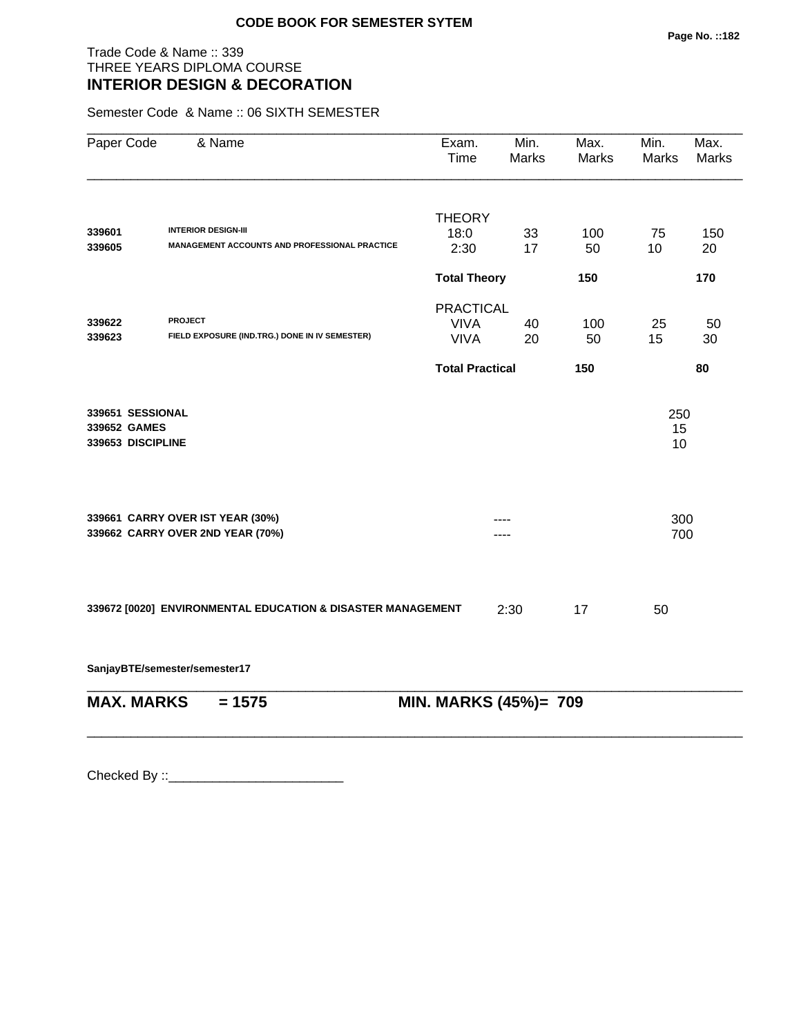# Trade Code & Name :: 339 THREE YEARS DIPLOMA COURSE **INTERIOR DESIGN & DECORATION**

Semester Code & Name :: 06 SIXTH SEMESTER

| Paper Code                        | & Name                                                      | Exam.<br>Time          | Min.<br><b>Marks</b> | Max.<br><b>Marks</b> | Min.<br><b>Marks</b> | Max.<br><b>Marks</b> |
|-----------------------------------|-------------------------------------------------------------|------------------------|----------------------|----------------------|----------------------|----------------------|
|                                   |                                                             | <b>THEORY</b>          |                      |                      |                      |                      |
| 339601                            | <b>INTERIOR DESIGN-III</b>                                  | 18:0                   | 33                   | 100                  | 75                   | 150                  |
| 339605                            | MANAGEMENT ACCOUNTS AND PROFESSIONAL PRACTICE               | 2:30                   | 17                   | 50                   | 10                   | 20                   |
|                                   |                                                             | <b>Total Theory</b>    |                      | 150                  |                      | 170                  |
|                                   |                                                             | <b>PRACTICAL</b>       |                      |                      |                      |                      |
| 339622                            | <b>PROJECT</b>                                              | <b>VIVA</b>            | 40                   | 100                  | 25                   | 50                   |
| 339623                            | FIELD EXPOSURE (IND.TRG.) DONE IN IV SEMESTER)              | <b>VIVA</b>            | 20                   | 50                   | 15                   | 30                   |
|                                   |                                                             | <b>Total Practical</b> |                      | 150                  |                      | 80                   |
| 339651 SESSIONAL                  |                                                             |                        |                      |                      | 250                  |                      |
| 339652 GAMES<br>339653 DISCIPLINE |                                                             |                        |                      |                      | 15<br>10             |                      |
|                                   |                                                             |                        |                      |                      |                      |                      |
|                                   | 339661 CARRY OVER IST YEAR (30%)                            |                        |                      |                      | 300                  |                      |
|                                   | 339662 CARRY OVER 2ND YEAR (70%)                            |                        |                      |                      | 700                  |                      |
|                                   |                                                             |                        |                      |                      |                      |                      |
|                                   | 339672 [0020] ENVIRONMENTAL EDUCATION & DISASTER MANAGEMENT |                        | 2:30                 | 17                   | 50                   |                      |
|                                   | SanjayBTE/semester/semester17                               |                        |                      |                      |                      |                      |
| <b>MAX. MARKS</b>                 | $= 1575$                                                    | MIN. MARKS (45%)= 709  |                      |                      |                      |                      |
|                                   |                                                             |                        |                      |                      |                      |                      |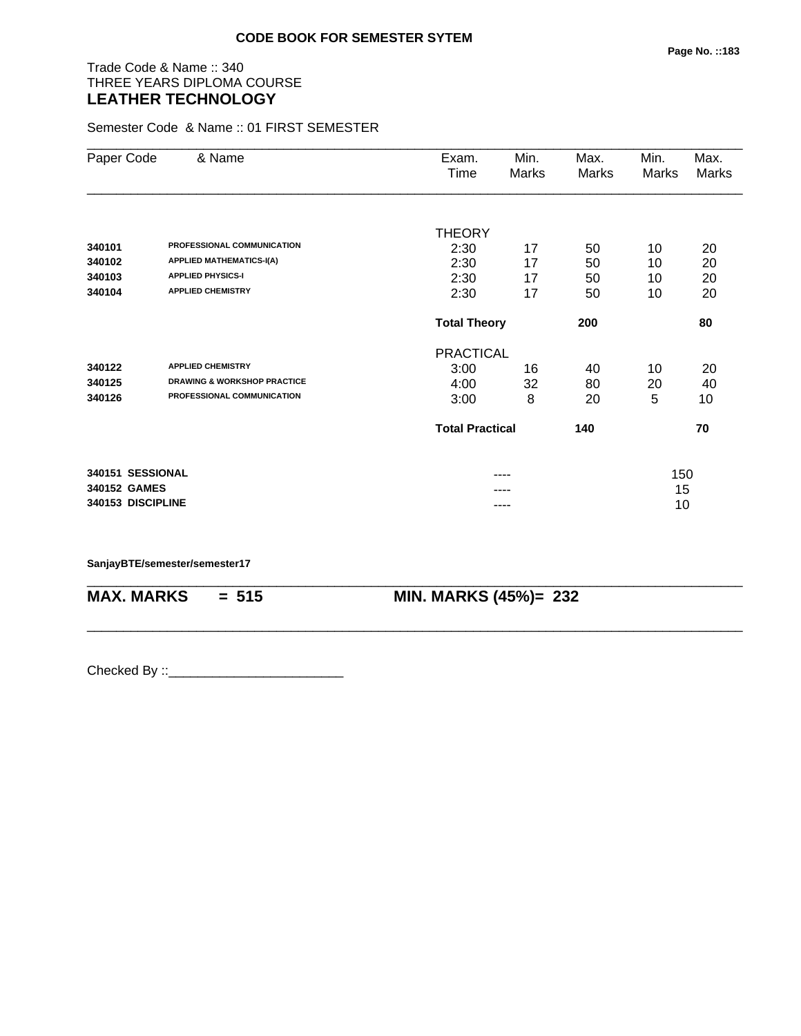# Trade Code & Name :: 340 THREE YEARS DIPLOMA COURSE **LEATHER TECHNOLOGY**

Semester Code & Name :: 01 FIRST SEMESTER

| Paper Code        | & Name                                 | Exam.<br>Time          | Min.<br>Marks | Max.<br>Marks | Min.<br>Marks | Max.<br>Marks |
|-------------------|----------------------------------------|------------------------|---------------|---------------|---------------|---------------|
|                   |                                        |                        |               |               |               |               |
|                   |                                        | <b>THEORY</b>          |               |               |               |               |
| 340101            | PROFESSIONAL COMMUNICATION             | 2:30                   | 17            | 50            | 10            | 20            |
| 340102            | <b>APPLIED MATHEMATICS-I(A)</b>        | 2:30                   | 17            | 50            | 10            | 20            |
| 340103            | <b>APPLIED PHYSICS-I</b>               | 2:30                   | 17            | 50            | 10            | 20            |
| 340104            | <b>APPLIED CHEMISTRY</b>               | 2:30                   | 17            | 50            | 10            | 20            |
|                   |                                        | <b>Total Theory</b>    |               | 200           |               | 80            |
|                   |                                        | <b>PRACTICAL</b>       |               |               |               |               |
| 340122            | <b>APPLIED CHEMISTRY</b>               | 3:00                   | 16            | 40            | 10            | 20            |
| 340125            | <b>DRAWING &amp; WORKSHOP PRACTICE</b> | 4:00                   | 32            | 80            | 20            | 40            |
| 340126            | PROFESSIONAL COMMUNICATION             | 3:00                   | 8             | 20            | 5             | 10            |
|                   |                                        | <b>Total Practical</b> |               | 140           |               | 70            |
| 340151 SESSIONAL  |                                        |                        |               |               | 150           |               |
| 340152 GAMES      |                                        |                        |               |               | 15            |               |
| 340153 DISCIPLINE |                                        |                        | ----          |               | 10            |               |

\_\_\_\_\_\_\_\_\_\_\_\_\_\_\_\_\_\_\_\_\_\_\_\_\_\_\_\_\_\_\_\_\_\_\_\_\_\_\_\_\_\_\_\_\_\_\_\_\_\_\_\_\_\_\_\_\_\_\_\_\_\_\_\_\_\_\_\_\_\_\_\_\_\_\_\_\_\_\_\_\_\_\_\_\_\_\_\_\_\_

\_\_\_\_\_\_\_\_\_\_\_\_\_\_\_\_\_\_\_\_\_\_\_\_\_\_\_\_\_\_\_\_\_\_\_\_\_\_\_\_\_\_\_\_\_\_\_\_\_\_\_\_\_\_\_\_\_\_\_\_\_\_\_\_\_\_\_\_\_\_\_\_\_\_\_\_\_\_\_\_\_\_\_\_\_\_\_\_\_\_

**SanjayBTE/semester/semester17**

**MAX. MARKS = 515 MIN. MARKS (45%)= 232**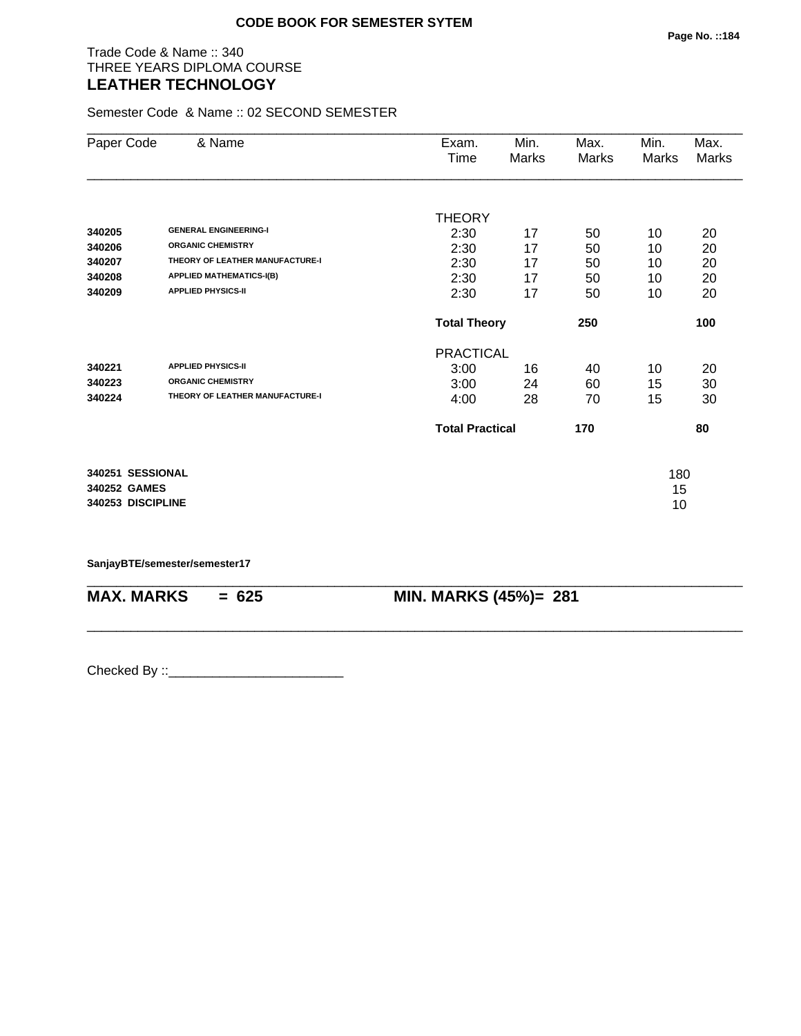#### Trade Code & Name :: 340 THREE YEARS DIPLOMA COURSE **LEATHER TECHNOLOGY**

Semester Code & Name :: 02 SECOND SEMESTER

| Paper Code        | & Name                          | Exam.                  | Min.  | Max.  | Min.  | Max.  |
|-------------------|---------------------------------|------------------------|-------|-------|-------|-------|
|                   |                                 | Time                   | Marks | Marks | Marks | Marks |
|                   |                                 |                        |       |       |       |       |
|                   |                                 | <b>THEORY</b>          |       |       |       |       |
| 340205            | <b>GENERAL ENGINEERING-I</b>    | 2:30                   | 17    | 50    | 10    | 20    |
| 340206            | <b>ORGANIC CHEMISTRY</b>        | 2:30                   | 17    | 50    | 10    | 20    |
| 340207            | THEORY OF LEATHER MANUFACTURE-I | 2:30                   | 17    | 50    | 10    | 20    |
| 340208            | <b>APPLIED MATHEMATICS-I(B)</b> | 2:30                   | 17    | 50    | 10    | 20    |
| 340209            | <b>APPLIED PHYSICS-II</b>       | 2:30                   | 17    | 50    | 10    | 20    |
|                   |                                 | <b>Total Theory</b>    |       | 250   |       | 100   |
|                   |                                 | <b>PRACTICAL</b>       |       |       |       |       |
| 340221            | <b>APPLIED PHYSICS-II</b>       | 3:00                   | 16    | 40    | 10    | 20    |
| 340223            | <b>ORGANIC CHEMISTRY</b>        | 3:00                   | 24    | 60    | 15    | 30    |
| 340224            | THEORY OF LEATHER MANUFACTURE-I | 4:00                   | 28    | 70    | 15    | 30    |
|                   |                                 | <b>Total Practical</b> |       | 170   |       | 80    |
| 340251 SESSIONAL  |                                 |                        |       |       | 180   |       |
| 340252 GAMES      |                                 |                        |       |       | 15    |       |
| 340253 DISCIPLINE |                                 |                        |       |       | 10    |       |

\_\_\_\_\_\_\_\_\_\_\_\_\_\_\_\_\_\_\_\_\_\_\_\_\_\_\_\_\_\_\_\_\_\_\_\_\_\_\_\_\_\_\_\_\_\_\_\_\_\_\_\_\_\_\_\_\_\_\_\_\_\_\_\_\_\_\_\_\_\_\_\_\_\_\_\_\_\_\_\_\_\_\_\_\_\_\_\_\_\_

\_\_\_\_\_\_\_\_\_\_\_\_\_\_\_\_\_\_\_\_\_\_\_\_\_\_\_\_\_\_\_\_\_\_\_\_\_\_\_\_\_\_\_\_\_\_\_\_\_\_\_\_\_\_\_\_\_\_\_\_\_\_\_\_\_\_\_\_\_\_\_\_\_\_\_\_\_\_\_\_\_\_\_\_\_\_\_\_\_\_

**SanjayBTE/semester/semester17**

**MAX. MARKS = 625 MIN. MARKS (45%)= 281**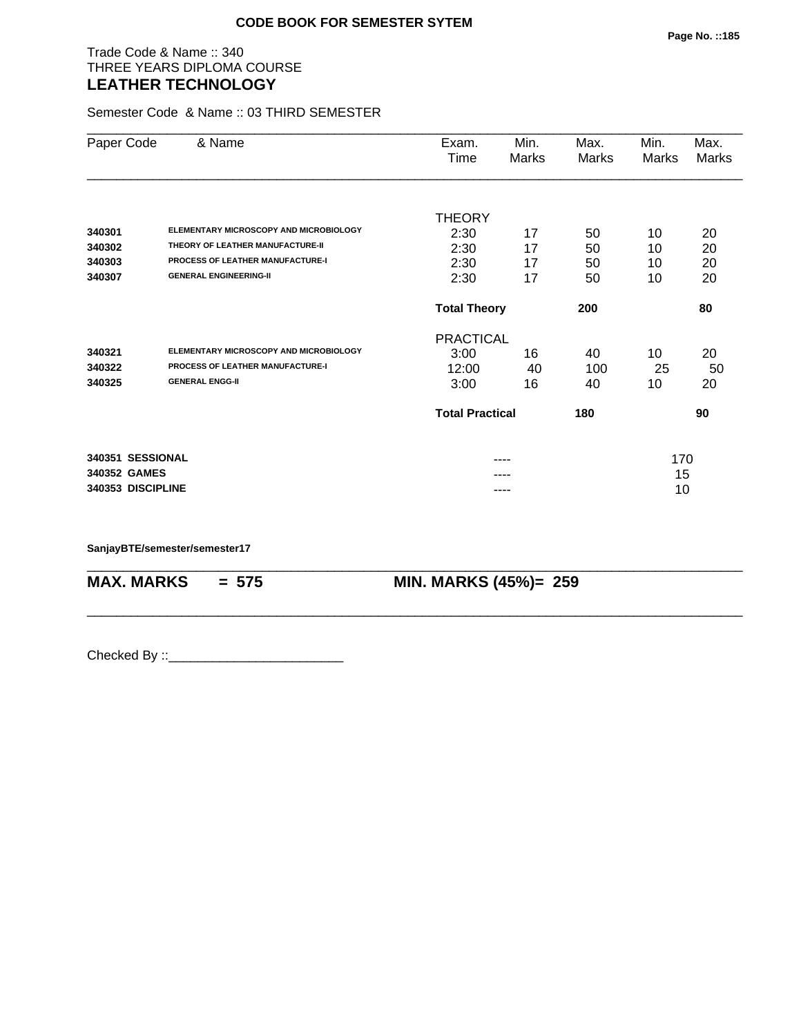#### Trade Code & Name :: 340 THREE YEARS DIPLOMA COURSE **LEATHER TECHNOLOGY**

Semester Code & Name :: 03 THIRD SEMESTER

| Paper Code        | & Name                                  | Exam.                  | Min.  | Max.  | Min.  | Max.  |
|-------------------|-----------------------------------------|------------------------|-------|-------|-------|-------|
|                   |                                         | Time                   | Marks | Marks | Marks | Marks |
|                   |                                         | <b>THEORY</b>          |       |       |       |       |
| 340301            | ELEMENTARY MICROSCOPY AND MICROBIOLOGY  | 2:30                   | 17    | 50    | 10    | 20    |
| 340302            | THEORY OF LEATHER MANUFACTURE-II        | 2:30                   | 17    | 50    | 10    | 20    |
| 340303            | <b>PROCESS OF LEATHER MANUFACTURE-I</b> | 2:30                   | 17    | 50    | 10    | 20    |
| 340307            | <b>GENERAL ENGINEERING-II</b>           | 2:30                   | 17    | 50    | 10    | 20    |
|                   |                                         | <b>Total Theory</b>    |       | 200   |       | 80    |
|                   |                                         | <b>PRACTICAL</b>       |       |       |       |       |
| 340321            | ELEMENTARY MICROSCOPY AND MICROBIOLOGY  | 3:00                   | 16    | 40    | 10    | 20    |
| 340322            | <b>PROCESS OF LEATHER MANUFACTURE-I</b> | 12:00                  | 40    | 100   | 25    | 50    |
| 340325            | <b>GENERAL ENGG-II</b>                  | 3:00                   | 16    | 40    | 10    | 20    |
|                   |                                         | <b>Total Practical</b> |       | 180   |       | 90    |
| 340351 SESSIONAL  |                                         |                        | ----  |       | 170   |       |
| 340352 GAMES      |                                         |                        |       |       | 15    |       |
| 340353 DISCIPLINE |                                         |                        |       |       | 10    |       |

\_\_\_\_\_\_\_\_\_\_\_\_\_\_\_\_\_\_\_\_\_\_\_\_\_\_\_\_\_\_\_\_\_\_\_\_\_\_\_\_\_\_\_\_\_\_\_\_\_\_\_\_\_\_\_\_\_\_\_\_\_\_\_\_\_\_\_\_\_\_\_\_\_\_\_\_\_\_\_\_\_\_\_\_\_\_\_\_\_\_

\_\_\_\_\_\_\_\_\_\_\_\_\_\_\_\_\_\_\_\_\_\_\_\_\_\_\_\_\_\_\_\_\_\_\_\_\_\_\_\_\_\_\_\_\_\_\_\_\_\_\_\_\_\_\_\_\_\_\_\_\_\_\_\_\_\_\_\_\_\_\_\_\_\_\_\_\_\_\_\_\_\_\_\_\_\_\_\_\_\_

**SanjayBTE/semester/semester17**

**MAX. MARKS = 575 MIN. MARKS (45%)= 259**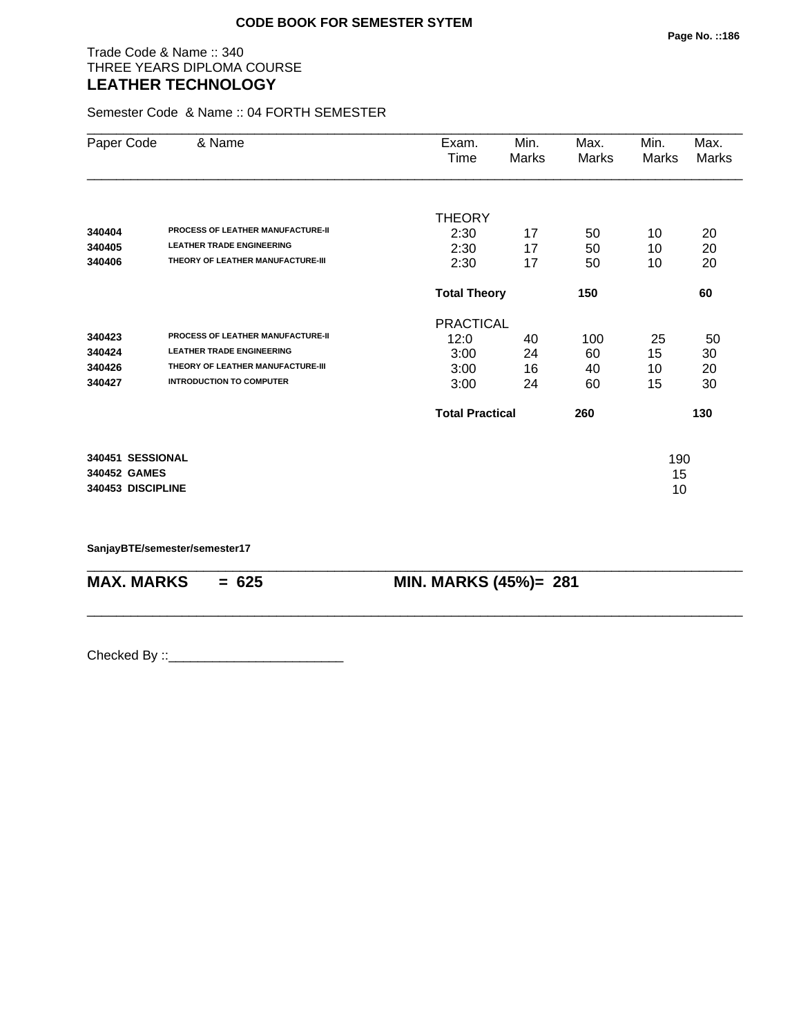#### Trade Code & Name :: 340 THREE YEARS DIPLOMA COURSE **LEATHER TECHNOLOGY**

Semester Code & Name :: 04 FORTH SEMESTER

| Paper Code        | & Name                                   | Exam.<br>Time          | Min.<br><b>Marks</b> | Max.<br>Marks | Min.<br>Marks | Max.<br><b>Marks</b> |
|-------------------|------------------------------------------|------------------------|----------------------|---------------|---------------|----------------------|
|                   |                                          |                        |                      |               |               |                      |
|                   |                                          | <b>THEORY</b>          |                      |               |               |                      |
| 340404            | PROCESS OF LEATHER MANUFACTURE-II        | 2:30                   | 17                   | 50            | 10            | 20                   |
| 340405            | <b>LEATHER TRADE ENGINEERING</b>         | 2:30                   | 17                   | 50            | 10            | 20                   |
| 340406            | THEORY OF LEATHER MANUFACTURE-III        | 2:30                   | 17                   | 50            | 10            | 20                   |
|                   |                                          | <b>Total Theory</b>    |                      | 150           |               | 60                   |
|                   |                                          | <b>PRACTICAL</b>       |                      |               |               |                      |
| 340423            | <b>PROCESS OF LEATHER MANUFACTURE-II</b> | 12:0                   | 40                   | 100           | 25            | 50                   |
| 340424            | <b>LEATHER TRADE ENGINEERING</b>         | 3:00                   | 24                   | 60            | 15            | 30                   |
| 340426            | THEORY OF LEATHER MANUFACTURE-III        | 3:00                   | 16                   | 40            | 10            | 20                   |
| 340427            | <b>INTRODUCTION TO COMPUTER</b>          | 3:00                   | 24                   | 60            | 15            | 30                   |
|                   |                                          | <b>Total Practical</b> |                      | 260           |               | 130                  |
| 340451 SESSIONAL  |                                          |                        |                      |               | 190           |                      |
| 340452 GAMES      |                                          |                        |                      |               | 15            |                      |
| 340453 DISCIPLINE |                                          |                        |                      |               | 10            |                      |

\_\_\_\_\_\_\_\_\_\_\_\_\_\_\_\_\_\_\_\_\_\_\_\_\_\_\_\_\_\_\_\_\_\_\_\_\_\_\_\_\_\_\_\_\_\_\_\_\_\_\_\_\_\_\_\_\_\_\_\_\_\_\_\_\_\_\_\_\_\_\_\_\_\_\_\_\_\_\_\_\_\_\_\_\_\_\_\_\_\_

\_\_\_\_\_\_\_\_\_\_\_\_\_\_\_\_\_\_\_\_\_\_\_\_\_\_\_\_\_\_\_\_\_\_\_\_\_\_\_\_\_\_\_\_\_\_\_\_\_\_\_\_\_\_\_\_\_\_\_\_\_\_\_\_\_\_\_\_\_\_\_\_\_\_\_\_\_\_\_\_\_\_\_\_\_\_\_\_\_\_

**SanjayBTE/semester/semester17**

**MAX. MARKS = 625 MIN. MARKS (45%)= 281**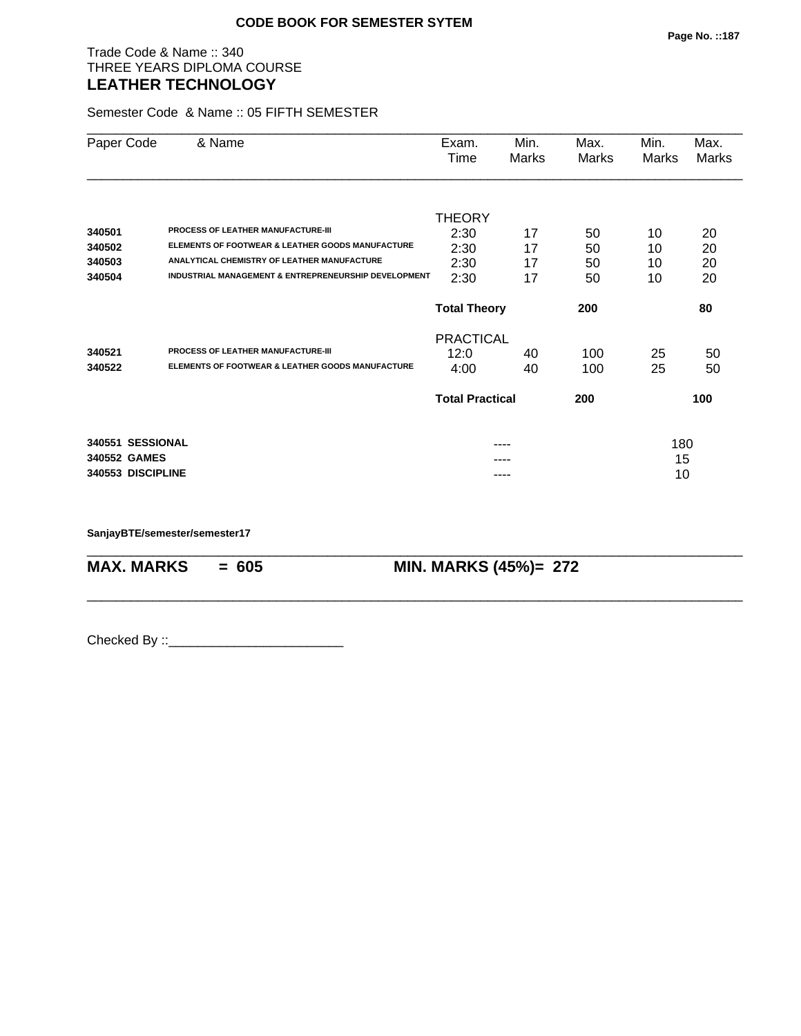#### Trade Code & Name :: 340 THREE YEARS DIPLOMA COURSE **LEATHER TECHNOLOGY**

Semester Code & Name :: 05 FIFTH SEMESTER

| Paper Code        | & Name                                                          | Exam.<br>Time          | Min.<br>Marks | Max.<br>Marks | Min.<br>Marks | Max.<br>Marks |
|-------------------|-----------------------------------------------------------------|------------------------|---------------|---------------|---------------|---------------|
|                   |                                                                 |                        |               |               |               |               |
| 340501            | <b>PROCESS OF LEATHER MANUFACTURE-III</b>                       | <b>THEORY</b>          |               |               |               |               |
| 340502            | ELEMENTS OF FOOTWEAR & LEATHER GOODS MANUFACTURE                | 2:30                   | 17            | 50            | 10            | 20            |
| 340503            | ANALYTICAL CHEMISTRY OF LEATHER MANUFACTURE                     | 2:30                   | 17            | 50            | 10            | 20            |
|                   | <b>INDUSTRIAL MANAGEMENT &amp; ENTREPRENEURSHIP DEVELOPMENT</b> | 2:30                   | 17            | 50            | 10            | 20            |
| 340504            |                                                                 | 2:30                   | 17            | 50            | 10            | 20            |
|                   |                                                                 | <b>Total Theory</b>    |               | 200           |               | 80            |
|                   |                                                                 | <b>PRACTICAL</b>       |               |               |               |               |
| 340521            | PROCESS OF LEATHER MANUFACTURE-III                              | 12:0                   | 40            | 100           | 25            | 50            |
| 340522            | <b>ELEMENTS OF FOOTWEAR &amp; LEATHER GOODS MANUFACTURE</b>     | 4:00                   | 40            | 100           | 25            | 50            |
|                   |                                                                 | <b>Total Practical</b> |               | 200           |               | 100           |
| 340551 SESSIONAL  |                                                                 |                        |               |               | 180           |               |
| 340552 GAMES      |                                                                 |                        |               |               | 15            |               |
| 340553 DISCIPLINE |                                                                 |                        |               |               | 10            |               |

\_\_\_\_\_\_\_\_\_\_\_\_\_\_\_\_\_\_\_\_\_\_\_\_\_\_\_\_\_\_\_\_\_\_\_\_\_\_\_\_\_\_\_\_\_\_\_\_\_\_\_\_\_\_\_\_\_\_\_\_\_\_\_\_\_\_\_\_\_\_\_\_\_\_\_\_\_\_\_\_\_\_\_\_\_\_\_\_\_\_

\_\_\_\_\_\_\_\_\_\_\_\_\_\_\_\_\_\_\_\_\_\_\_\_\_\_\_\_\_\_\_\_\_\_\_\_\_\_\_\_\_\_\_\_\_\_\_\_\_\_\_\_\_\_\_\_\_\_\_\_\_\_\_\_\_\_\_\_\_\_\_\_\_\_\_\_\_\_\_\_\_\_\_\_\_\_\_\_\_\_

**SanjayBTE/semester/semester17**

**MAX. MARKS = 605 MIN. MARKS (45%)= 272**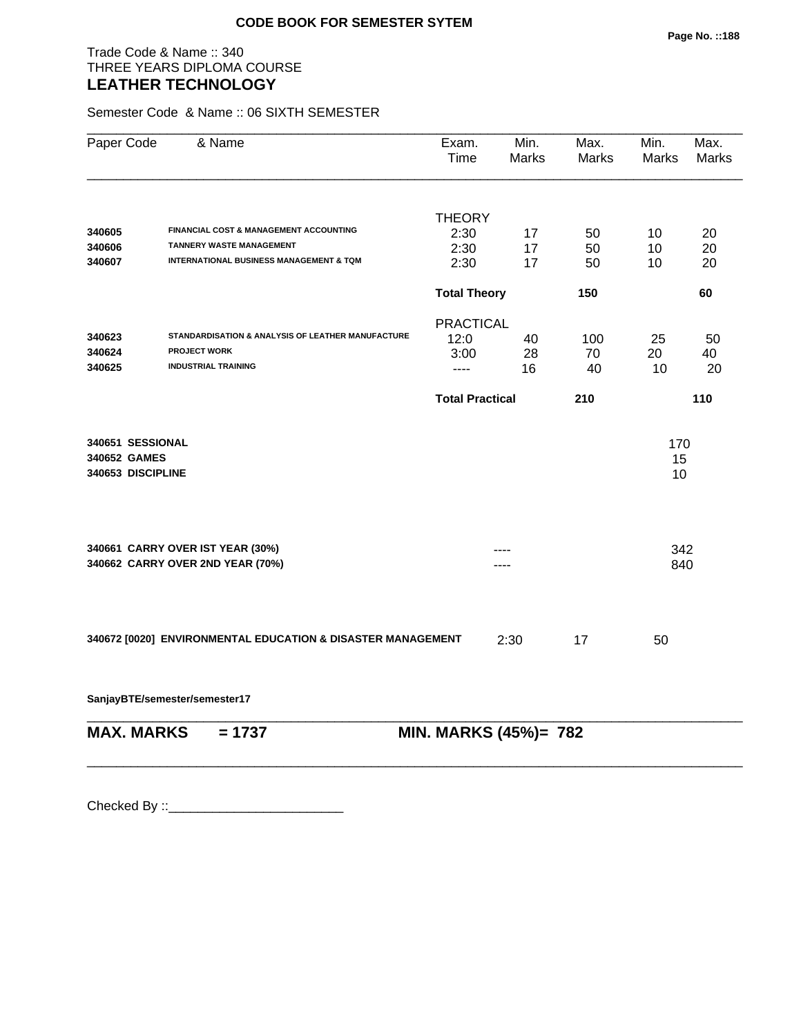#### Trade Code & Name :: 340 THREE YEARS DIPLOMA COURSE **LEATHER TECHNOLOGY**

Semester Code & Name :: 06 SIXTH SEMESTER

| Paper Code                                            | & Name                                                               | Exam.<br>Time          | Min.<br><b>Marks</b> | Max.<br><b>Marks</b> | Min.<br><b>Marks</b> | Max.<br>Marks |
|-------------------------------------------------------|----------------------------------------------------------------------|------------------------|----------------------|----------------------|----------------------|---------------|
|                                                       |                                                                      | <b>THEORY</b>          |                      |                      |                      |               |
| 340605                                                | <b>FINANCIAL COST &amp; MANAGEMENT ACCOUNTING</b>                    | 2:30                   | 17                   | 50                   | 10                   | 20            |
| 340606                                                | <b>TANNERY WASTE MANAGEMENT</b>                                      | 2:30                   | 17                   | 50                   | 10                   | 20            |
| 340607                                                | <b>INTERNATIONAL BUSINESS MANAGEMENT &amp; TQM</b>                   | 2:30                   | 17                   | 50                   | 10                   | 20            |
|                                                       |                                                                      | <b>Total Theory</b>    |                      | 150                  |                      | 60            |
|                                                       |                                                                      | <b>PRACTICAL</b>       |                      |                      |                      |               |
| 340623                                                | STANDARDISATION & ANALYSIS OF LEATHER MANUFACTURE                    | 12:0                   | 40                   | 100                  | 25                   | 50            |
| 340624                                                | <b>PROJECT WORK</b>                                                  | 3:00                   | 28                   | 70                   | 20                   | 40            |
| 340625                                                | <b>INDUSTRIAL TRAINING</b>                                           | ----                   | 16                   | 40                   | 10                   | 20            |
|                                                       |                                                                      | <b>Total Practical</b> |                      | 210                  |                      | 110           |
| 340651 SESSIONAL<br>340652 GAMES<br>340653 DISCIPLINE |                                                                      |                        |                      |                      | 170<br>15<br>10      |               |
|                                                       | 340661 CARRY OVER IST YEAR (30%)<br>340662 CARRY OVER 2ND YEAR (70%) |                        |                      |                      | 342<br>840           |               |
|                                                       | 340672 [0020] ENVIRONMENTAL EDUCATION & DISASTER MANAGEMENT          |                        | 2:30                 | 17                   | 50                   |               |

**SanjayBTE/semester/semester17**

| <b>MAX. MARKS</b> | $= 1737$ | <b>MIN. MARKS (45%)= 782</b> |
|-------------------|----------|------------------------------|

\_\_\_\_\_\_\_\_\_\_\_\_\_\_\_\_\_\_\_\_\_\_\_\_\_\_\_\_\_\_\_\_\_\_\_\_\_\_\_\_\_\_\_\_\_\_\_\_\_\_\_\_\_\_\_\_\_\_\_\_\_\_\_\_\_\_\_\_\_\_\_\_\_\_\_\_\_\_\_\_\_\_\_\_\_\_\_\_\_\_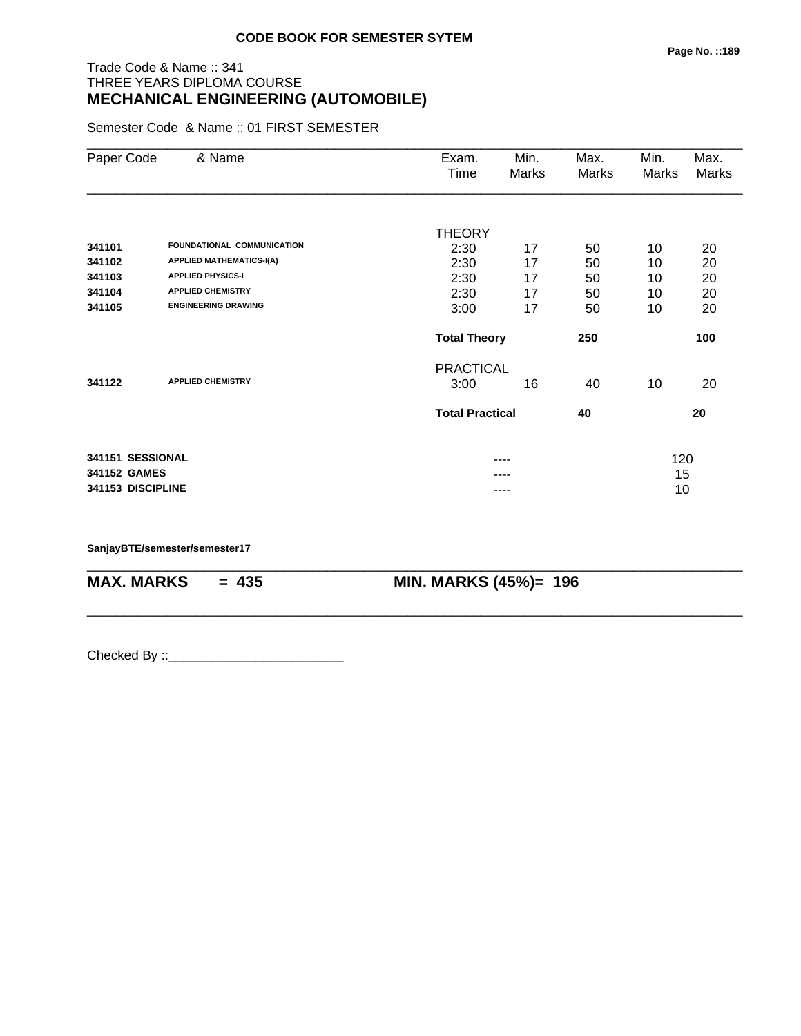#### **Page No. ::189**

# Trade Code & Name :: 341 THREE YEARS DIPLOMA COURSE **MECHANICAL ENGINEERING (AUTOMOBILE)**

Semester Code & Name :: 01 FIRST SEMESTER

| Paper Code        | & Name                          | Exam.                  | Min.  | Max.  | Min.  | Max.  |
|-------------------|---------------------------------|------------------------|-------|-------|-------|-------|
|                   |                                 | Time                   | Marks | Marks | Marks | Marks |
|                   |                                 |                        |       |       |       |       |
|                   |                                 | THEORY                 |       |       |       |       |
| 341101            | FOUNDATIONAL COMMUNICATION      | 2:30                   | 17    | 50    | 10    | 20    |
| 341102            | <b>APPLIED MATHEMATICS-I(A)</b> | 2:30                   | 17    | 50    | 10    | 20    |
| 341103            | <b>APPLIED PHYSICS-I</b>        | 2:30                   | 17    | 50    | 10    | 20    |
| 341104            | <b>APPLIED CHEMISTRY</b>        | 2:30                   | 17    | 50    | 10    | 20    |
| 341105            | <b>ENGINEERING DRAWING</b>      | 3:00                   | 17    | 50    | 10    | 20    |
|                   |                                 | <b>Total Theory</b>    |       | 250   |       | 100   |
|                   |                                 | <b>PRACTICAL</b>       |       |       |       |       |
| 341122            | <b>APPLIED CHEMISTRY</b>        | 3:00                   | 16    | 40    | 10    | 20    |
|                   |                                 | <b>Total Practical</b> |       | 40    |       | 20    |
|                   |                                 |                        |       |       |       |       |
| 341151 SESSIONAL  |                                 |                        | ----  |       | 120   |       |
| 341152 GAMES      |                                 |                        |       |       | 15    |       |
| 341153 DISCIPLINE |                                 |                        |       |       | 10    |       |

\_\_\_\_\_\_\_\_\_\_\_\_\_\_\_\_\_\_\_\_\_\_\_\_\_\_\_\_\_\_\_\_\_\_\_\_\_\_\_\_\_\_\_\_\_\_\_\_\_\_\_\_\_\_\_\_\_\_\_\_\_\_\_\_\_\_\_\_\_\_\_\_\_\_\_\_\_\_\_\_\_\_\_\_\_\_\_\_\_\_

\_\_\_\_\_\_\_\_\_\_\_\_\_\_\_\_\_\_\_\_\_\_\_\_\_\_\_\_\_\_\_\_\_\_\_\_\_\_\_\_\_\_\_\_\_\_\_\_\_\_\_\_\_\_\_\_\_\_\_\_\_\_\_\_\_\_\_\_\_\_\_\_\_\_\_\_\_\_\_\_\_\_\_\_\_\_\_\_\_\_

**SanjayBTE/semester/semester17**

**MAX. MARKS = 435 MIN. MARKS (45%)= 196**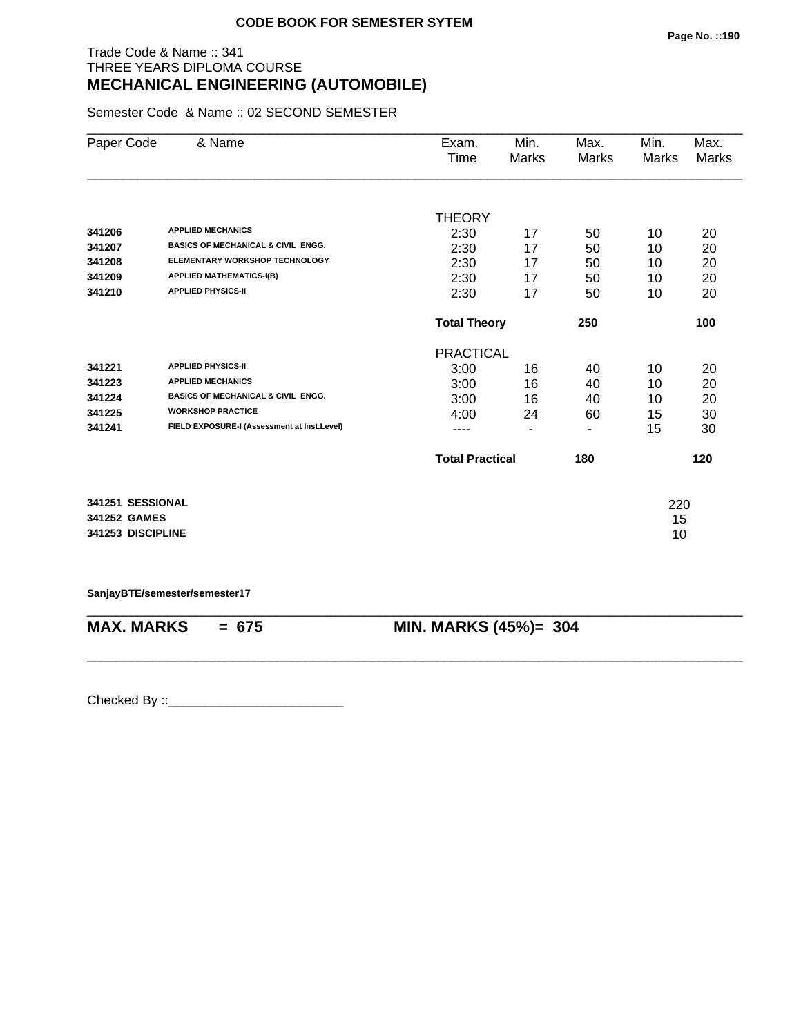# Trade Code & Name :: 341 THREE YEARS DIPLOMA COURSE **MECHANICAL ENGINEERING (AUTOMOBILE)**

Semester Code & Name :: 02 SECOND SEMESTER

| Paper Code        | & Name                                        | Exam.                  | Min.         | Max.         | Min.         | Max.         |
|-------------------|-----------------------------------------------|------------------------|--------------|--------------|--------------|--------------|
|                   |                                               | Time                   | <b>Marks</b> | <b>Marks</b> | <b>Marks</b> | <b>Marks</b> |
|                   |                                               |                        |              |              |              |              |
|                   |                                               | <b>THEORY</b>          |              |              |              |              |
| 341206            | <b>APPLIED MECHANICS</b>                      | 2:30                   | 17           | 50           | 10           | 20           |
| 341207            | <b>BASICS OF MECHANICAL &amp; CIVIL ENGG.</b> | 2:30                   | 17           | 50           | 10           | 20           |
| 341208            | <b>ELEMENTARY WORKSHOP TECHNOLOGY</b>         | 2:30                   | 17           | 50           | 10           | 20           |
| 341209            | <b>APPLIED MATHEMATICS-I(B)</b>               | 2:30                   | 17           | 50           | 10           | 20           |
| 341210            | <b>APPLIED PHYSICS-II</b>                     | 2:30                   | 17           | 50           | 10           | 20           |
|                   |                                               | <b>Total Theory</b>    |              | 250          |              | 100          |
|                   |                                               | <b>PRACTICAL</b>       |              |              |              |              |
| 341221            | <b>APPLIED PHYSICS-II</b>                     | 3:00                   | 16           | 40           | 10           | 20           |
| 341223            | <b>APPLIED MECHANICS</b>                      | 3:00                   | 16           | 40           | 10           | 20           |
| 341224            | <b>BASICS OF MECHANICAL &amp; CIVIL ENGG.</b> | 3:00                   | 16           | 40           | 10           | 20           |
| 341225            | <b>WORKSHOP PRACTICE</b>                      | 4:00                   | 24           | 60           | 15           | 30           |
| 341241            | FIELD EXPOSURE-I (Assessment at Inst.Level)   | ----                   | ۰            | ۰            | 15           | 30           |
|                   |                                               | <b>Total Practical</b> |              | 180          |              | 120          |
|                   |                                               |                        |              |              |              |              |
| 341251 SESSIONAL  |                                               |                        |              |              | 220          |              |
| 341252 GAMES      |                                               |                        |              |              | 15           |              |
| 341253 DISCIPLINE |                                               |                        |              |              | 10           |              |

**SanjayBTE/semester/semester17**

\_\_\_\_\_\_\_\_\_\_\_\_\_\_\_\_\_\_\_\_\_\_\_\_\_\_\_\_\_\_\_\_\_\_\_\_\_\_\_\_\_\_\_\_\_\_\_\_\_\_\_\_\_\_\_\_\_\_\_\_\_\_\_\_\_\_\_\_\_\_\_\_\_\_\_\_\_\_\_\_\_\_\_\_\_\_\_\_\_\_ **MAX. MARKS = 675 MIN. MARKS (45%)= 304**

\_\_\_\_\_\_\_\_\_\_\_\_\_\_\_\_\_\_\_\_\_\_\_\_\_\_\_\_\_\_\_\_\_\_\_\_\_\_\_\_\_\_\_\_\_\_\_\_\_\_\_\_\_\_\_\_\_\_\_\_\_\_\_\_\_\_\_\_\_\_\_\_\_\_\_\_\_\_\_\_\_\_\_\_\_\_\_\_\_\_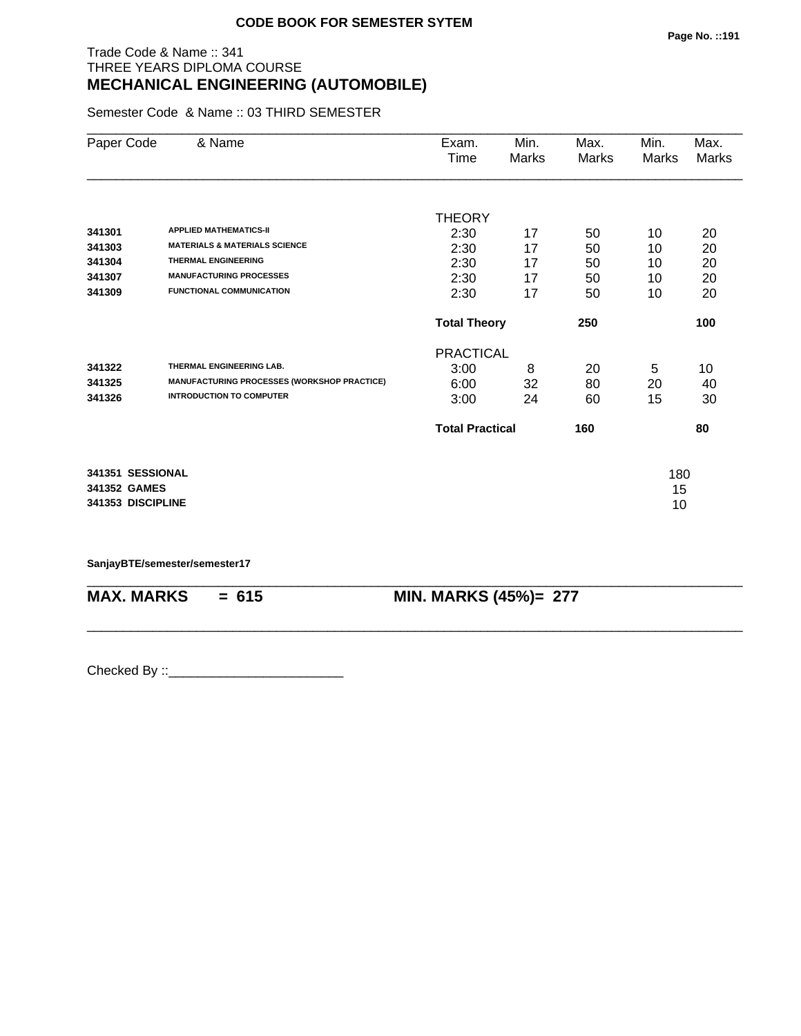# Trade Code & Name :: 341 THREE YEARS DIPLOMA COURSE **MECHANICAL ENGINEERING (AUTOMOBILE)**

Semester Code & Name :: 03 THIRD SEMESTER

| Paper Code        | & Name                                      | Exam.                  | Min.         | Max.  | Min.  | Max.  |
|-------------------|---------------------------------------------|------------------------|--------------|-------|-------|-------|
|                   |                                             | Time                   | <b>Marks</b> | Marks | Marks | Marks |
|                   |                                             |                        |              |       |       |       |
|                   |                                             | <b>THEORY</b>          |              |       |       |       |
| 341301            | <b>APPLIED MATHEMATICS-II</b>               | 2:30                   | 17           | 50    | 10    | 20    |
| 341303            | <b>MATERIALS &amp; MATERIALS SCIENCE</b>    | 2:30                   | 17           | 50    | 10    | 20    |
| 341304            | <b>THERMAL ENGINEERING</b>                  | 2:30                   | 17           | 50    | 10    | 20    |
| 341307            | <b>MANUFACTURING PROCESSES</b>              | 2:30                   | 17           | 50    | 10    | 20    |
| 341309            | <b>FUNCTIONAL COMMUNICATION</b>             | 2:30                   | 17           | 50    | 10    | 20    |
|                   |                                             | <b>Total Theory</b>    |              | 250   |       | 100   |
|                   |                                             | <b>PRACTICAL</b>       |              |       |       |       |
| 341322            | THERMAL ENGINEERING LAB.                    | 3:00                   | 8            | 20    | 5     | 10    |
| 341325            | MANUFACTURING PROCESSES (WORKSHOP PRACTICE) | 6:00                   | 32           | 80    | 20    | 40    |
| 341326            | <b>INTRODUCTION TO COMPUTER</b>             | 3:00                   | 24           | 60    | 15    | 30    |
|                   |                                             | <b>Total Practical</b> |              | 160   |       | 80    |
| 341351 SESSIONAL  |                                             |                        |              |       | 180   |       |
| 341352 GAMES      |                                             |                        |              |       | 15    |       |
| 341353 DISCIPLINE |                                             |                        |              |       | 10    |       |
|                   |                                             |                        |              |       |       |       |

\_\_\_\_\_\_\_\_\_\_\_\_\_\_\_\_\_\_\_\_\_\_\_\_\_\_\_\_\_\_\_\_\_\_\_\_\_\_\_\_\_\_\_\_\_\_\_\_\_\_\_\_\_\_\_\_\_\_\_\_\_\_\_\_\_\_\_\_\_\_\_\_\_\_\_\_\_\_\_\_\_\_\_\_\_\_\_\_\_\_

\_\_\_\_\_\_\_\_\_\_\_\_\_\_\_\_\_\_\_\_\_\_\_\_\_\_\_\_\_\_\_\_\_\_\_\_\_\_\_\_\_\_\_\_\_\_\_\_\_\_\_\_\_\_\_\_\_\_\_\_\_\_\_\_\_\_\_\_\_\_\_\_\_\_\_\_\_\_\_\_\_\_\_\_\_\_\_\_\_\_

**SanjayBTE/semester/semester17**

**MAX. MARKS = 615 MIN. MARKS (45%)= 277**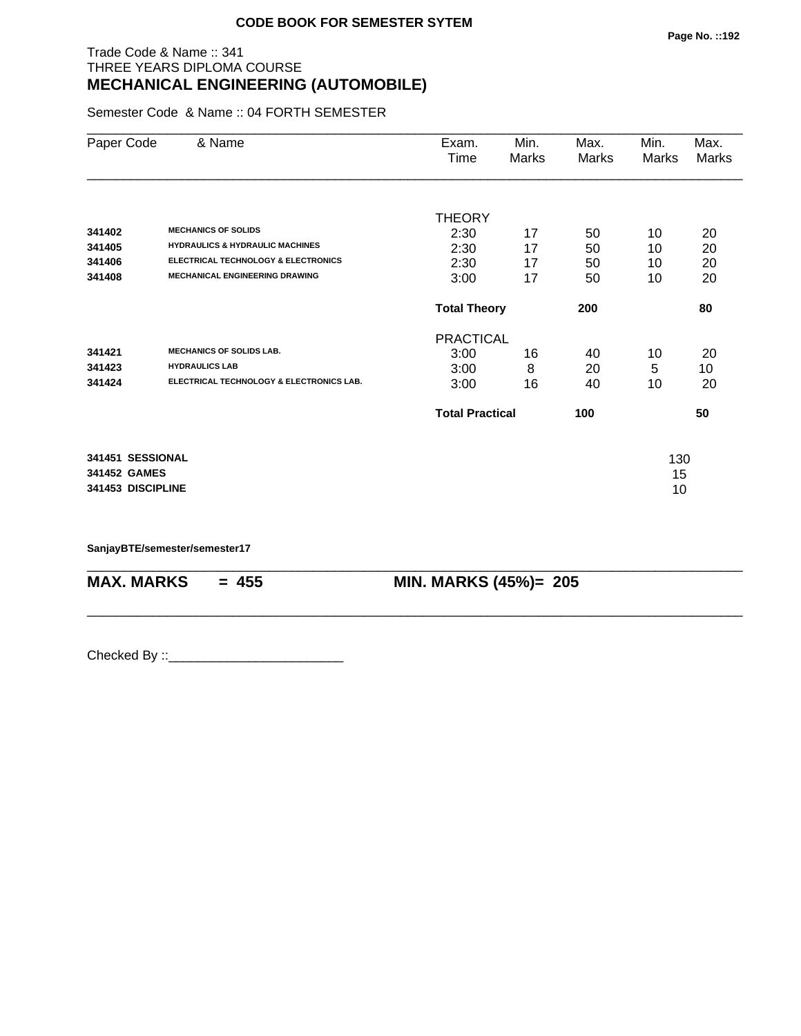# Trade Code & Name :: 341 THREE YEARS DIPLOMA COURSE **MECHANICAL ENGINEERING (AUTOMOBILE)**

Semester Code & Name :: 04 FORTH SEMESTER

| Paper Code                                            | & Name                                                                                               | Exam.<br>Time                            | Min.<br>Marks | Max.<br>Marks  | Min.<br>Marks   | Max.<br>Marks  |
|-------------------------------------------------------|------------------------------------------------------------------------------------------------------|------------------------------------------|---------------|----------------|-----------------|----------------|
| 341402<br>341405                                      | <b>MECHANICS OF SOLIDS</b><br><b>HYDRAULICS &amp; HYDRAULIC MACHINES</b>                             | <b>THEORY</b><br>2:30<br>2:30            | 17<br>17      | 50<br>50       | 10<br>10        | 20<br>20       |
| 341406<br>341408                                      | <b>ELECTRICAL TECHNOLOGY &amp; ELECTRONICS</b><br><b>MECHANICAL ENGINEERING DRAWING</b>              | 2:30<br>3:00                             | 17<br>17      | 50<br>50       | 10<br>10        | 20<br>20       |
|                                                       |                                                                                                      | <b>Total Theory</b>                      |               | 200            |                 | 80             |
| 341421<br>341423<br>341424                            | <b>MECHANICS OF SOLIDS LAB.</b><br><b>HYDRAULICS LAB</b><br>ELECTRICAL TECHNOLOGY & ELECTRONICS LAB. | <b>PRACTICAL</b><br>3:00<br>3:00<br>3:00 | 16<br>8<br>16 | 40<br>20<br>40 | 10<br>5<br>10   | 20<br>10<br>20 |
|                                                       |                                                                                                      | <b>Total Practical</b>                   |               | 100            |                 | 50             |
| 341451 SESSIONAL<br>341452 GAMES<br>341453 DISCIPLINE |                                                                                                      |                                          |               |                | 130<br>15<br>10 |                |

\_\_\_\_\_\_\_\_\_\_\_\_\_\_\_\_\_\_\_\_\_\_\_\_\_\_\_\_\_\_\_\_\_\_\_\_\_\_\_\_\_\_\_\_\_\_\_\_\_\_\_\_\_\_\_\_\_\_\_\_\_\_\_\_\_\_\_\_\_\_\_\_\_\_\_\_\_\_\_\_\_\_\_\_\_\_\_\_\_\_

\_\_\_\_\_\_\_\_\_\_\_\_\_\_\_\_\_\_\_\_\_\_\_\_\_\_\_\_\_\_\_\_\_\_\_\_\_\_\_\_\_\_\_\_\_\_\_\_\_\_\_\_\_\_\_\_\_\_\_\_\_\_\_\_\_\_\_\_\_\_\_\_\_\_\_\_\_\_\_\_\_\_\_\_\_\_\_\_\_\_

**SanjayBTE/semester/semester17**

**MAX. MARKS** = 455 **MIN. MARKS (45%)**= 205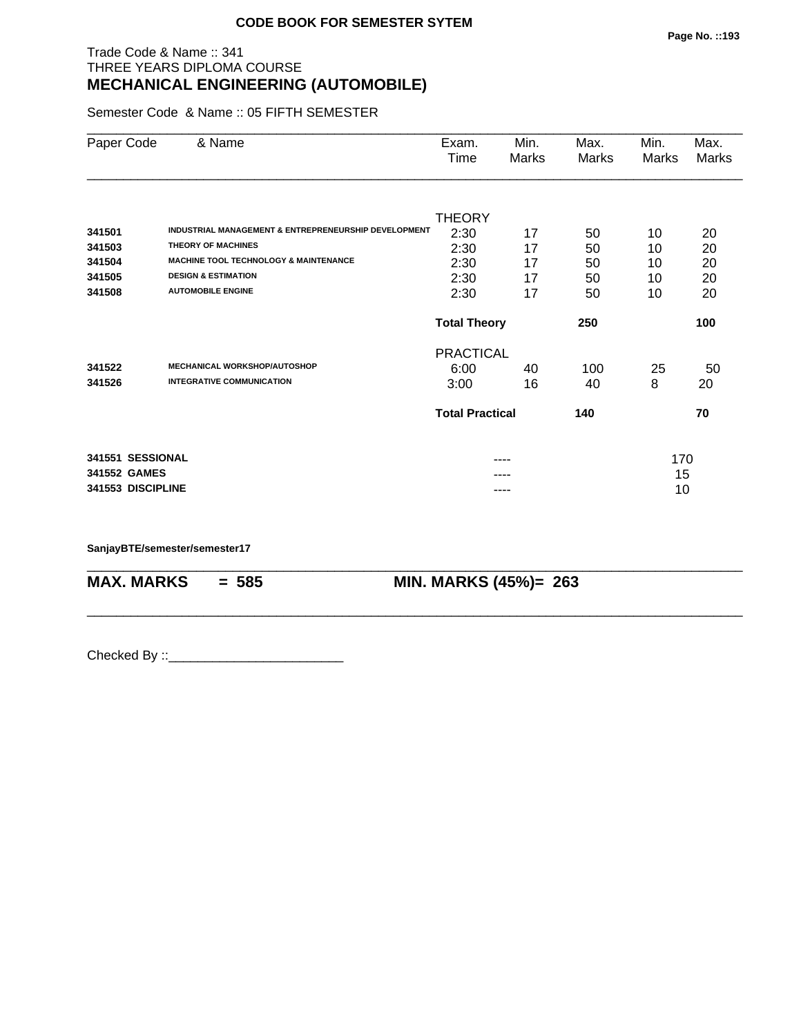# Trade Code & Name :: 341 THREE YEARS DIPLOMA COURSE **MECHANICAL ENGINEERING (AUTOMOBILE)**

Semester Code & Name :: 05 FIFTH SEMESTER

| Paper Code   | & Name                         |                                                      | Exam.                  | Min.  | Max.  | Min.  | Max.         |
|--------------|--------------------------------|------------------------------------------------------|------------------------|-------|-------|-------|--------------|
|              |                                |                                                      | Time                   | Marks | Marks | Marks | <b>Marks</b> |
|              |                                |                                                      |                        |       |       |       |              |
|              |                                |                                                      | <b>THEORY</b>          |       |       |       |              |
| 341501       |                                | INDUSTRIAL MANAGEMENT & ENTREPRENEURSHIP DEVELOPMENT | 2:30                   | 17    | 50    | 10    | 20           |
| 341503       | <b>THEORY OF MACHINES</b>      |                                                      | 2:30                   | 17    | 50    | 10    | 20           |
| 341504       |                                | <b>MACHINE TOOL TECHNOLOGY &amp; MAINTENANCE</b>     | 2:30                   | 17    | 50    | 10    | 20           |
| 341505       | <b>DESIGN &amp; ESTIMATION</b> |                                                      | 2:30                   | 17    | 50    | 10    | 20           |
| 341508       | <b>AUTOMOBILE ENGINE</b>       |                                                      | 2:30                   | 17    | 50    | 10    | 20           |
|              |                                |                                                      | <b>Total Theory</b>    |       | 250   |       | 100          |
|              |                                |                                                      | <b>PRACTICAL</b>       |       |       |       |              |
| 341522       |                                | <b>MECHANICAL WORKSHOP/AUTOSHOP</b>                  | 6:00                   | 40    | 100   | 25    | 50           |
| 341526       |                                | <b>INTEGRATIVE COMMUNICATION</b>                     | 3:00                   | 16    | 40    | 8     | 20           |
|              |                                |                                                      | <b>Total Practical</b> |       | 140   |       | 70           |
|              | 341551 SESSIONAL               |                                                      |                        |       |       | 170   |              |
| 341552 GAMES |                                |                                                      |                        |       |       | 15    |              |
|              | 341553 DISCIPLINE              |                                                      |                        | ----  |       | 10    |              |

\_\_\_\_\_\_\_\_\_\_\_\_\_\_\_\_\_\_\_\_\_\_\_\_\_\_\_\_\_\_\_\_\_\_\_\_\_\_\_\_\_\_\_\_\_\_\_\_\_\_\_\_\_\_\_\_\_\_\_\_\_\_\_\_\_\_\_\_\_\_\_\_\_\_\_\_\_\_\_\_\_\_\_\_\_\_\_\_\_\_

\_\_\_\_\_\_\_\_\_\_\_\_\_\_\_\_\_\_\_\_\_\_\_\_\_\_\_\_\_\_\_\_\_\_\_\_\_\_\_\_\_\_\_\_\_\_\_\_\_\_\_\_\_\_\_\_\_\_\_\_\_\_\_\_\_\_\_\_\_\_\_\_\_\_\_\_\_\_\_\_\_\_\_\_\_\_\_\_\_\_

**SanjayBTE/semester/semester17**

**MAX. MARKS = 585 MIN. MARKS (45%)= 263**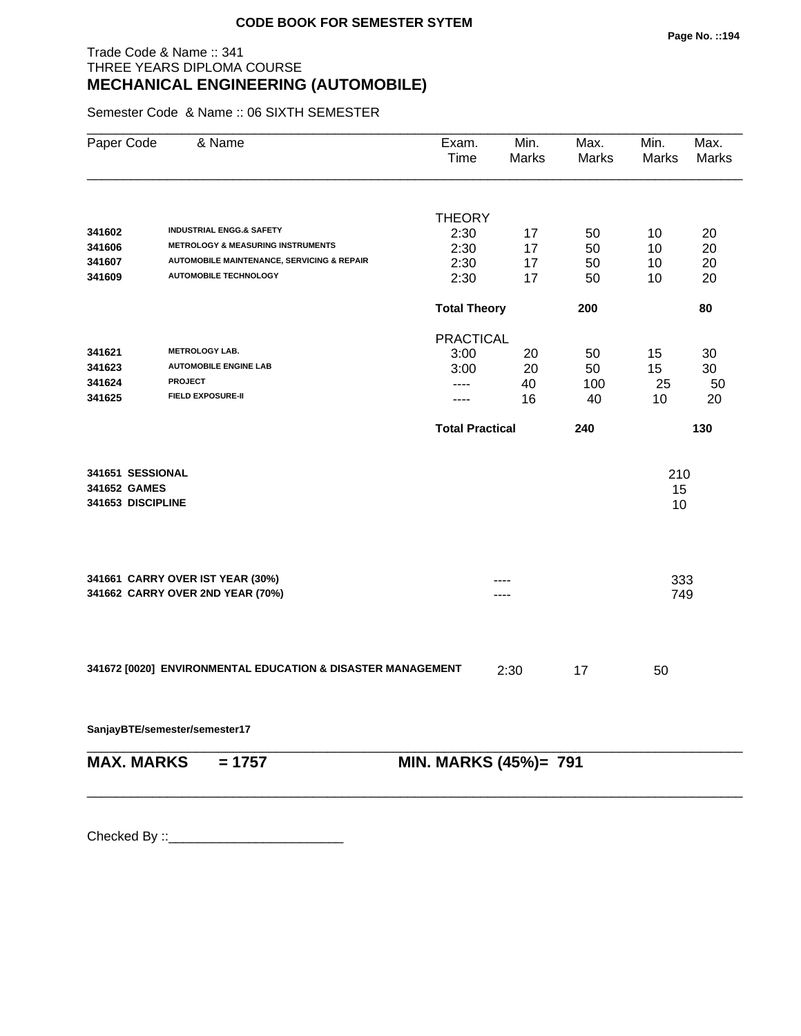# Trade Code & Name :: 341 THREE YEARS DIPLOMA COURSE **MECHANICAL ENGINEERING (AUTOMOBILE)**

Semester Code & Name :: 06 SIXTH SEMESTER

| Paper Code                       | & Name                                                      | Exam.<br>Time          | Min.<br>Marks | Max.<br>Marks | Min.<br>Marks | Max.<br>Marks |
|----------------------------------|-------------------------------------------------------------|------------------------|---------------|---------------|---------------|---------------|
|                                  |                                                             | <b>THEORY</b>          |               |               |               |               |
| 341602                           | <b>INDUSTRIAL ENGG.&amp; SAFETY</b>                         | 2:30                   | 17            | 50            | 10            | 20            |
| 341606                           | <b>METROLOGY &amp; MEASURING INSTRUMENTS</b>                | 2:30                   | 17            | 50            | 10            | 20            |
| 341607                           | <b>AUTOMOBILE MAINTENANCE, SERVICING &amp; REPAIR</b>       | 2:30                   | 17            | 50            | 10            | 20            |
| 341609                           | <b>AUTOMOBILE TECHNOLOGY</b>                                | 2:30                   | 17            | 50            | 10            | 20            |
|                                  |                                                             | <b>Total Theory</b>    |               | 200           |               | 80            |
|                                  |                                                             | <b>PRACTICAL</b>       |               |               |               |               |
| 341621                           | <b>METROLOGY LAB.</b>                                       | 3:00                   | 20            | 50            | 15            | 30            |
| 341623                           | <b>AUTOMOBILE ENGINE LAB</b>                                | 3:00                   | 20            | 50            | 15            | 30            |
| 341624                           | <b>PROJECT</b>                                              | ----                   | 40            | 100           | 25            | 50            |
| 341625                           | <b>FIELD EXPOSURE-II</b>                                    | ----                   | 16            | 40            | 10            | 20            |
|                                  |                                                             | <b>Total Practical</b> |               | 240           |               | 130           |
|                                  |                                                             |                        |               |               |               |               |
| 341651 SESSIONAL<br>341652 GAMES |                                                             |                        |               |               | 210           |               |
| 341653 DISCIPLINE                |                                                             |                        |               |               | 15<br>10      |               |
|                                  |                                                             |                        |               |               |               |               |
|                                  | 341661 CARRY OVER IST YEAR (30%)                            |                        |               |               | 333           |               |
|                                  | 341662 CARRY OVER 2ND YEAR (70%)                            |                        |               |               | 749           |               |
|                                  |                                                             |                        |               |               |               |               |
|                                  | 341672 [0020] ENVIRONMENTAL EDUCATION & DISASTER MANAGEMENT |                        | 2:30          | 17            | 50            |               |
|                                  | SanjayBTE/semester/semester17                               |                        |               |               |               |               |
| <b>MAX. MARKS</b>                | $= 1757$                                                    | MIN. MARKS (45%)= 791  |               |               |               |               |
|                                  |                                                             |                        |               |               |               |               |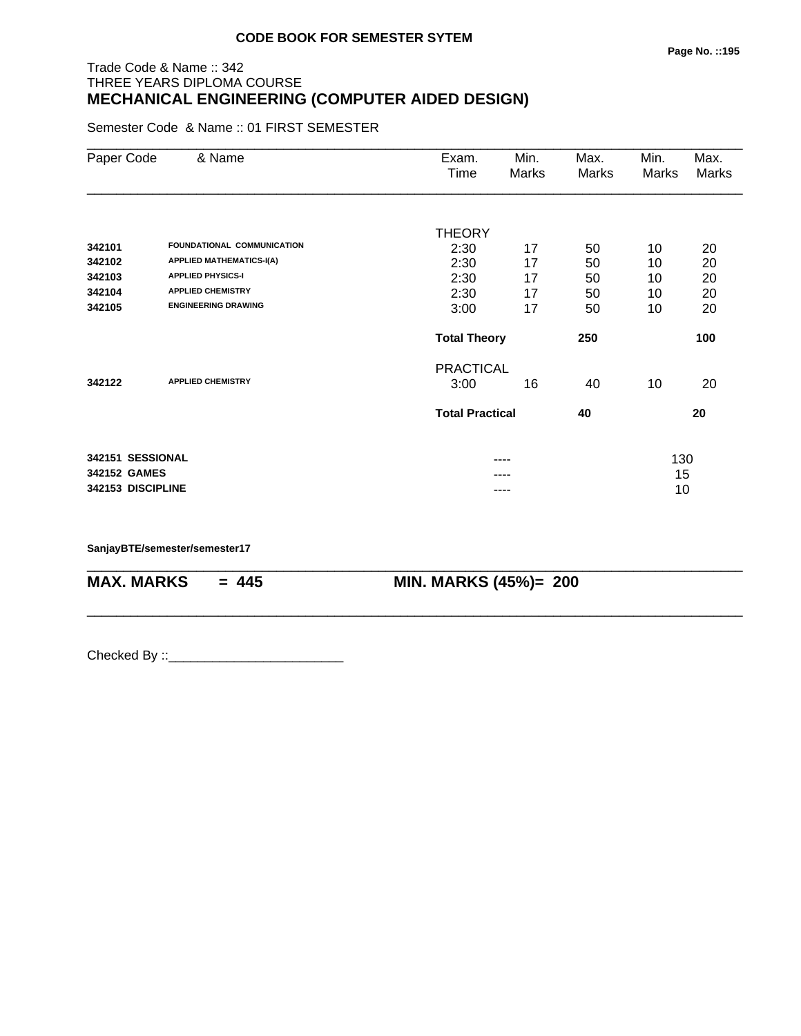# Trade Code & Name :: 342 THREE YEARS DIPLOMA COURSE **MECHANICAL ENGINEERING (COMPUTER AIDED DESIGN)**

Semester Code & Name :: 01 FIRST SEMESTER

| Paper Code        | & Name                          | Exam.                  | Min.  | Max.  | Min.  | Max.         |
|-------------------|---------------------------------|------------------------|-------|-------|-------|--------------|
|                   |                                 | Time                   | Marks | Marks | Marks | <b>Marks</b> |
|                   |                                 |                        |       |       |       |              |
|                   |                                 | <b>THEORY</b>          |       |       |       |              |
| 342101            | FOUNDATIONAL COMMUNICATION      | 2:30                   | 17    | 50    | 10    | 20           |
| 342102            | <b>APPLIED MATHEMATICS-I(A)</b> | 2:30                   | 17    | 50    | 10    | 20           |
| 342103            | <b>APPLIED PHYSICS-I</b>        | 2:30                   | 17    | 50    | 10    | 20           |
| 342104            | <b>APPLIED CHEMISTRY</b>        | 2:30                   | 17    | 50    | 10    | 20           |
| 342105            | <b>ENGINEERING DRAWING</b>      | 3:00                   | 17    | 50    | 10    | 20           |
|                   |                                 | <b>Total Theory</b>    |       | 250   |       | 100          |
|                   |                                 | <b>PRACTICAL</b>       |       |       |       |              |
| 342122            | <b>APPLIED CHEMISTRY</b>        | 3:00                   | 16    | 40    | 10    | 20           |
|                   |                                 | <b>Total Practical</b> |       | 40    |       | 20           |
|                   |                                 |                        |       |       |       |              |
| 342151 SESSIONAL  |                                 |                        | ----  |       | 130   |              |
| 342152 GAMES      |                                 |                        |       |       | 15    |              |
| 342153 DISCIPLINE |                                 |                        | ----  |       | 10    |              |

\_\_\_\_\_\_\_\_\_\_\_\_\_\_\_\_\_\_\_\_\_\_\_\_\_\_\_\_\_\_\_\_\_\_\_\_\_\_\_\_\_\_\_\_\_\_\_\_\_\_\_\_\_\_\_\_\_\_\_\_\_\_\_\_\_\_\_\_\_\_\_\_\_\_\_\_\_\_\_\_\_\_\_\_\_\_\_\_\_\_

\_\_\_\_\_\_\_\_\_\_\_\_\_\_\_\_\_\_\_\_\_\_\_\_\_\_\_\_\_\_\_\_\_\_\_\_\_\_\_\_\_\_\_\_\_\_\_\_\_\_\_\_\_\_\_\_\_\_\_\_\_\_\_\_\_\_\_\_\_\_\_\_\_\_\_\_\_\_\_\_\_\_\_\_\_\_\_\_\_\_

**SanjayBTE/semester/semester17**

**MAX. MARKS = 445 MIN. MARKS (45%)= 200**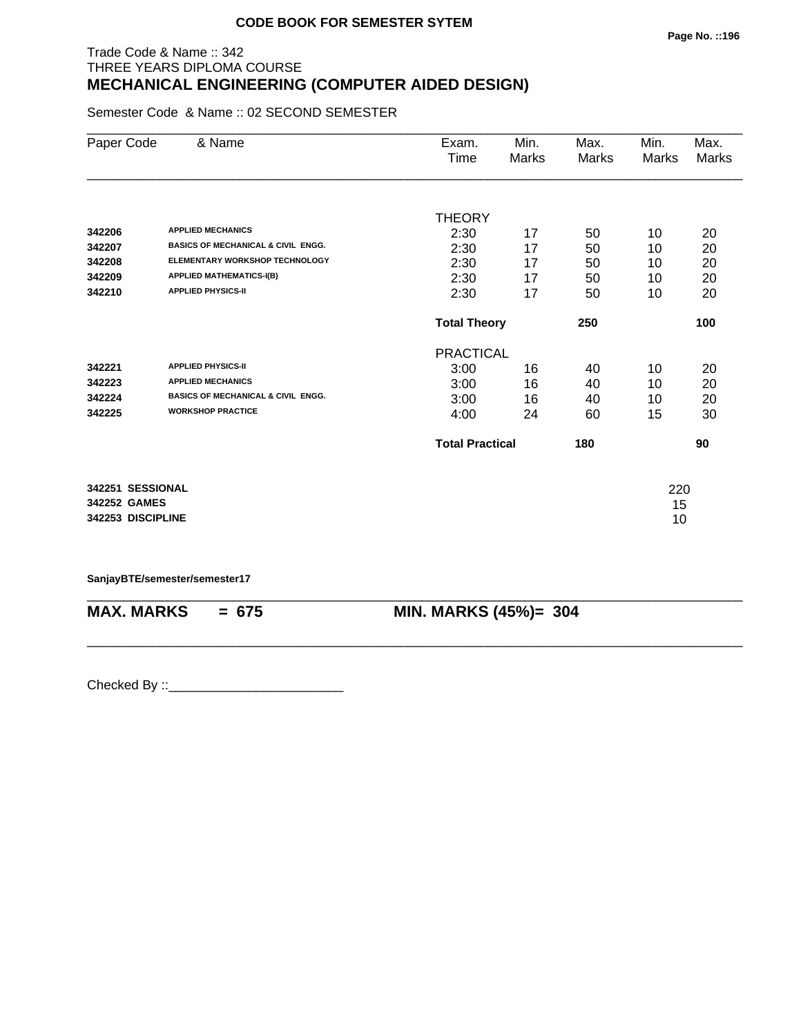# Trade Code & Name :: 342 THREE YEARS DIPLOMA COURSE **MECHANICAL ENGINEERING (COMPUTER AIDED DESIGN)**

Semester Code & Name :: 02 SECOND SEMESTER

| Paper Code        | & Name                                        | Exam.                  | Min.  | Max.  | Min.  | Max.  |
|-------------------|-----------------------------------------------|------------------------|-------|-------|-------|-------|
|                   |                                               | Time                   | Marks | Marks | Marks | Marks |
|                   |                                               |                        |       |       |       |       |
|                   |                                               | <b>THEORY</b>          |       |       |       |       |
| 342206            | <b>APPLIED MECHANICS</b>                      | 2:30                   | 17    | 50    | 10    | 20    |
| 342207            | <b>BASICS OF MECHANICAL &amp; CIVIL ENGG.</b> | 2:30                   | 17    | 50    | 10    | 20    |
| 342208            | <b>ELEMENTARY WORKSHOP TECHNOLOGY</b>         | 2:30                   | 17    | 50    | 10    | 20    |
| 342209            | <b>APPLIED MATHEMATICS-I(B)</b>               | 2:30                   | 17    | 50    | 10    | 20    |
| 342210            | <b>APPLIED PHYSICS-II</b>                     | 2:30                   | 17    | 50    | 10    | 20    |
|                   |                                               | <b>Total Theory</b>    |       | 250   |       | 100   |
|                   |                                               | <b>PRACTICAL</b>       |       |       |       |       |
| 342221            | <b>APPLIED PHYSICS-II</b>                     | 3:00                   | 16    | 40    | 10    | 20    |
| 342223            | <b>APPLIED MECHANICS</b>                      | 3:00                   | 16    | 40    | 10    | 20    |
| 342224            | <b>BASICS OF MECHANICAL &amp; CIVIL ENGG.</b> | 3:00                   | 16    | 40    | 10    | 20    |
| 342225            | <b>WORKSHOP PRACTICE</b>                      | 4:00                   | 24    | 60    | 15    | 30    |
|                   |                                               | <b>Total Practical</b> |       | 180   |       | 90    |
| 342251 SESSIONAL  |                                               |                        |       |       | 220   |       |
| 342252 GAMES      |                                               |                        |       |       | 15    |       |
| 342253 DISCIPLINE |                                               |                        |       |       | 10    |       |

**SanjayBTE/semester/semester17**

| <b>MAX. MARKS</b> | $= 675$ | <b>MIN. MARKS (45%)= 304</b> |
|-------------------|---------|------------------------------|

\_\_\_\_\_\_\_\_\_\_\_\_\_\_\_\_\_\_\_\_\_\_\_\_\_\_\_\_\_\_\_\_\_\_\_\_\_\_\_\_\_\_\_\_\_\_\_\_\_\_\_\_\_\_\_\_\_\_\_\_\_\_\_\_\_\_\_\_\_\_\_\_\_\_\_\_\_\_\_\_\_\_\_\_\_\_\_\_\_\_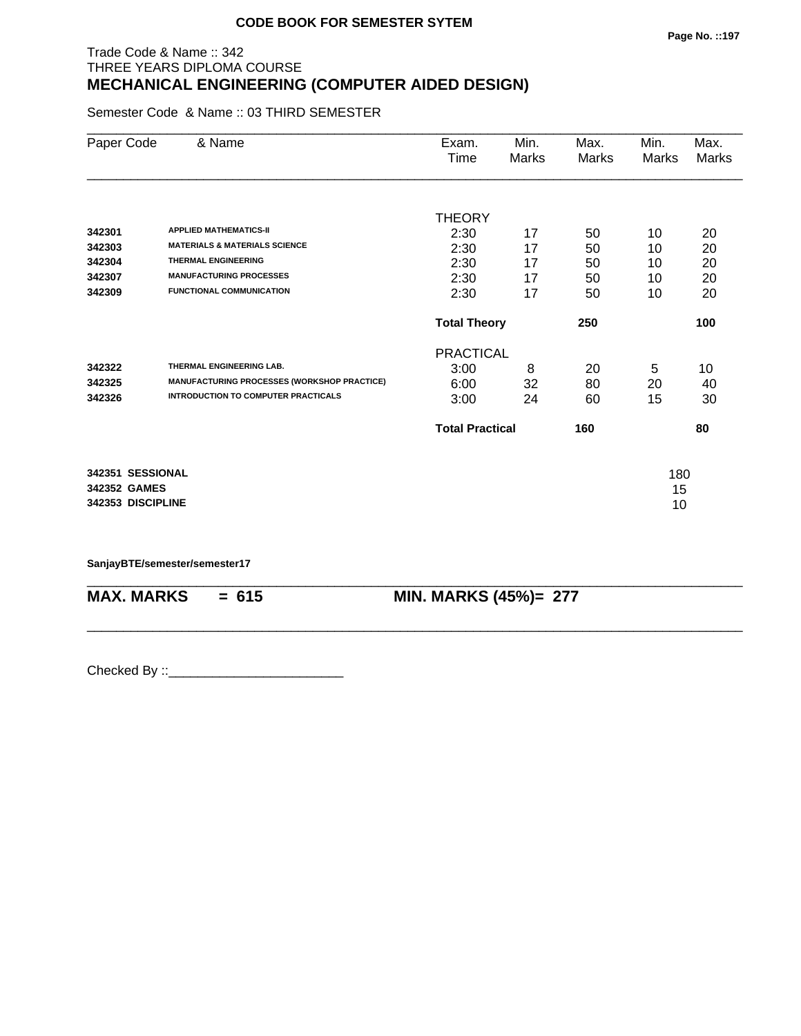# Trade Code & Name :: 342 THREE YEARS DIPLOMA COURSE **MECHANICAL ENGINEERING (COMPUTER AIDED DESIGN)**

Semester Code & Name :: 03 THIRD SEMESTER

| Paper Code        | & Name                                      | Exam.                  | Min.  | Max.  | Min.  | Max.  |
|-------------------|---------------------------------------------|------------------------|-------|-------|-------|-------|
|                   |                                             | Time                   | Marks | Marks | Marks | Marks |
|                   |                                             |                        |       |       |       |       |
|                   |                                             | <b>THEORY</b>          |       |       |       |       |
| 342301            | <b>APPLIED MATHEMATICS-II</b>               | 2:30                   | 17    | 50    | 10    | 20    |
| 342303            | <b>MATERIALS &amp; MATERIALS SCIENCE</b>    | 2:30                   | 17    | 50    | 10    | 20    |
| 342304            | <b>THERMAL ENGINEERING</b>                  | 2:30                   | 17    | 50    | 10    | 20    |
| 342307            | <b>MANUFACTURING PROCESSES</b>              | 2:30                   | 17    | 50    | 10    | 20    |
| 342309            | <b>FUNCTIONAL COMMUNICATION</b>             | 2:30                   | 17    | 50    | 10    | 20    |
|                   |                                             | <b>Total Theory</b>    |       | 250   |       | 100   |
|                   |                                             | <b>PRACTICAL</b>       |       |       |       |       |
| 342322            | THERMAL ENGINEERING LAB.                    | 3:00                   | 8     | 20    | 5     | 10    |
| 342325            | MANUFACTURING PROCESSES (WORKSHOP PRACTICE) | 6:00                   | 32    | 80    | 20    | 40    |
| 342326            | <b>INTRODUCTION TO COMPUTER PRACTICALS</b>  | 3:00                   | 24    | 60    | 15    | 30    |
|                   |                                             | <b>Total Practical</b> |       | 160   |       | 80    |
| 342351 SESSIONAL  |                                             |                        |       |       | 180   |       |
| 342352 GAMES      |                                             |                        |       |       | 15    |       |
| 342353 DISCIPLINE |                                             |                        |       |       | 10    |       |
|                   |                                             |                        |       |       |       |       |

\_\_\_\_\_\_\_\_\_\_\_\_\_\_\_\_\_\_\_\_\_\_\_\_\_\_\_\_\_\_\_\_\_\_\_\_\_\_\_\_\_\_\_\_\_\_\_\_\_\_\_\_\_\_\_\_\_\_\_\_\_\_\_\_\_\_\_\_\_\_\_\_\_\_\_\_\_\_\_\_\_\_\_\_\_\_\_\_\_\_

\_\_\_\_\_\_\_\_\_\_\_\_\_\_\_\_\_\_\_\_\_\_\_\_\_\_\_\_\_\_\_\_\_\_\_\_\_\_\_\_\_\_\_\_\_\_\_\_\_\_\_\_\_\_\_\_\_\_\_\_\_\_\_\_\_\_\_\_\_\_\_\_\_\_\_\_\_\_\_\_\_\_\_\_\_\_\_\_\_\_

**SanjayBTE/semester/semester17**

**MAX. MARKS = 615 MIN. MARKS (45%)= 277**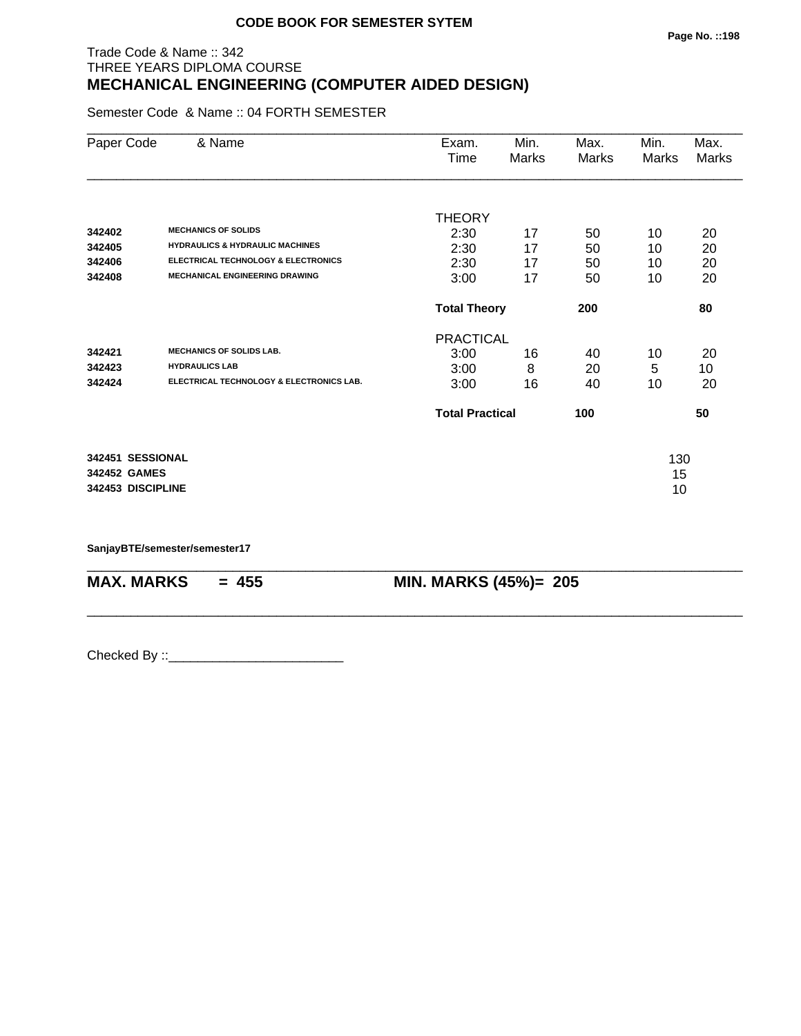# Trade Code & Name :: 342 THREE YEARS DIPLOMA COURSE **MECHANICAL ENGINEERING (COMPUTER AIDED DESIGN)**

Semester Code & Name :: 04 FORTH SEMESTER

| Paper Code        | & Name                                         | Exam.<br>Time          | Min.<br>Marks | Max.<br>Marks | Min.<br>Marks | Max.<br>Marks |
|-------------------|------------------------------------------------|------------------------|---------------|---------------|---------------|---------------|
|                   |                                                | <b>THEORY</b>          |               |               |               |               |
| 342402            | <b>MECHANICS OF SOLIDS</b>                     | 2:30                   | 17            | 50            | 10            | 20            |
| 342405            | <b>HYDRAULICS &amp; HYDRAULIC MACHINES</b>     | 2:30                   | 17            | 50            | 10            | 20            |
| 342406            | <b>ELECTRICAL TECHNOLOGY &amp; ELECTRONICS</b> | 2:30                   | 17            | 50            | 10            | 20            |
| 342408            | <b>MECHANICAL ENGINEERING DRAWING</b>          | 3:00                   | 17            | 50            | 10            | 20            |
|                   |                                                | <b>Total Theory</b>    |               | 200           |               | 80            |
|                   |                                                | <b>PRACTICAL</b>       |               |               |               |               |
| 342421            | <b>MECHANICS OF SOLIDS LAB.</b>                | 3:00                   | 16            | 40            | 10            | 20            |
| 342423            | <b>HYDRAULICS LAB</b>                          | 3:00                   | 8             | 20            | 5             | 10            |
| 342424            | ELECTRICAL TECHNOLOGY & ELECTRONICS LAB.       | 3:00                   | 16            | 40            | 10            | 20            |
|                   |                                                | <b>Total Practical</b> |               | 100           |               | 50            |
| 342451 SESSIONAL  |                                                |                        |               |               | 130           |               |
| 342452 GAMES      |                                                |                        |               |               | 15            |               |
| 342453 DISCIPLINE |                                                |                        |               |               | 10            |               |

\_\_\_\_\_\_\_\_\_\_\_\_\_\_\_\_\_\_\_\_\_\_\_\_\_\_\_\_\_\_\_\_\_\_\_\_\_\_\_\_\_\_\_\_\_\_\_\_\_\_\_\_\_\_\_\_\_\_\_\_\_\_\_\_\_\_\_\_\_\_\_\_\_\_\_\_\_\_\_\_\_\_\_\_\_\_\_\_\_\_

\_\_\_\_\_\_\_\_\_\_\_\_\_\_\_\_\_\_\_\_\_\_\_\_\_\_\_\_\_\_\_\_\_\_\_\_\_\_\_\_\_\_\_\_\_\_\_\_\_\_\_\_\_\_\_\_\_\_\_\_\_\_\_\_\_\_\_\_\_\_\_\_\_\_\_\_\_\_\_\_\_\_\_\_\_\_\_\_\_\_

**SanjayBTE/semester/semester17**

**MAX. MARKS = 455 MIN. MARKS (45%)= 205**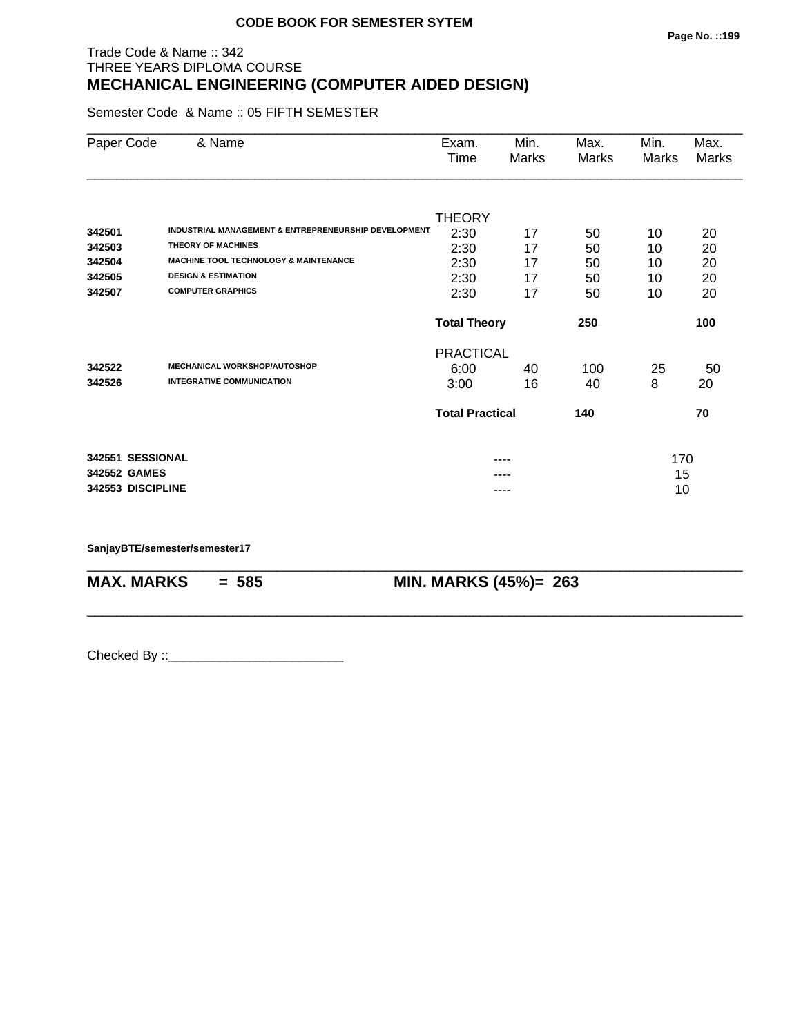# Trade Code & Name :: 342 THREE YEARS DIPLOMA COURSE **MECHANICAL ENGINEERING (COMPUTER AIDED DESIGN)**

Semester Code & Name :: 05 FIFTH SEMESTER

| Paper Code        | & Name                                                          | Exam.<br>Time          | Min.<br>Marks | Max.<br>Marks | Min.<br>Marks | Max.<br>Marks |
|-------------------|-----------------------------------------------------------------|------------------------|---------------|---------------|---------------|---------------|
|                   |                                                                 |                        |               |               |               |               |
|                   |                                                                 | <b>THEORY</b>          |               |               |               |               |
| 342501            | <b>INDUSTRIAL MANAGEMENT &amp; ENTREPRENEURSHIP DEVELOPMENT</b> | 2:30                   | 17            | 50            | 10            | 20            |
| 342503            | <b>THEORY OF MACHINES</b>                                       | 2:30                   | 17            | 50            | 10            | 20            |
| 342504            | <b>MACHINE TOOL TECHNOLOGY &amp; MAINTENANCE</b>                | 2:30                   | 17            | 50            | 10            | 20            |
| 342505            | <b>DESIGN &amp; ESTIMATION</b>                                  | 2:30                   | 17            | 50            | 10            | 20            |
| 342507            | <b>COMPUTER GRAPHICS</b>                                        | 2:30                   | 17            | 50            | 10            | 20            |
|                   |                                                                 | <b>Total Theory</b>    |               | 250           |               | 100           |
|                   |                                                                 | <b>PRACTICAL</b>       |               |               |               |               |
| 342522            | <b>MECHANICAL WORKSHOP/AUTOSHOP</b>                             | 6:00                   | 40            | 100           | 25            | 50            |
| 342526            | <b>INTEGRATIVE COMMUNICATION</b>                                | 3:00                   | 16            | 40            | 8             | 20            |
|                   |                                                                 | <b>Total Practical</b> |               | 140           |               | 70            |
| 342551 SESSIONAL  |                                                                 |                        |               |               | 170           |               |
| 342552 GAMES      |                                                                 |                        |               |               | 15            |               |
| 342553 DISCIPLINE |                                                                 |                        | ----          |               | 10            |               |

\_\_\_\_\_\_\_\_\_\_\_\_\_\_\_\_\_\_\_\_\_\_\_\_\_\_\_\_\_\_\_\_\_\_\_\_\_\_\_\_\_\_\_\_\_\_\_\_\_\_\_\_\_\_\_\_\_\_\_\_\_\_\_\_\_\_\_\_\_\_\_\_\_\_\_\_\_\_\_\_\_\_\_\_\_\_\_\_\_\_

\_\_\_\_\_\_\_\_\_\_\_\_\_\_\_\_\_\_\_\_\_\_\_\_\_\_\_\_\_\_\_\_\_\_\_\_\_\_\_\_\_\_\_\_\_\_\_\_\_\_\_\_\_\_\_\_\_\_\_\_\_\_\_\_\_\_\_\_\_\_\_\_\_\_\_\_\_\_\_\_\_\_\_\_\_\_\_\_\_\_

**SanjayBTE/semester/semester17**

**MAX. MARKS = 585 MIN. MARKS (45%)= 263**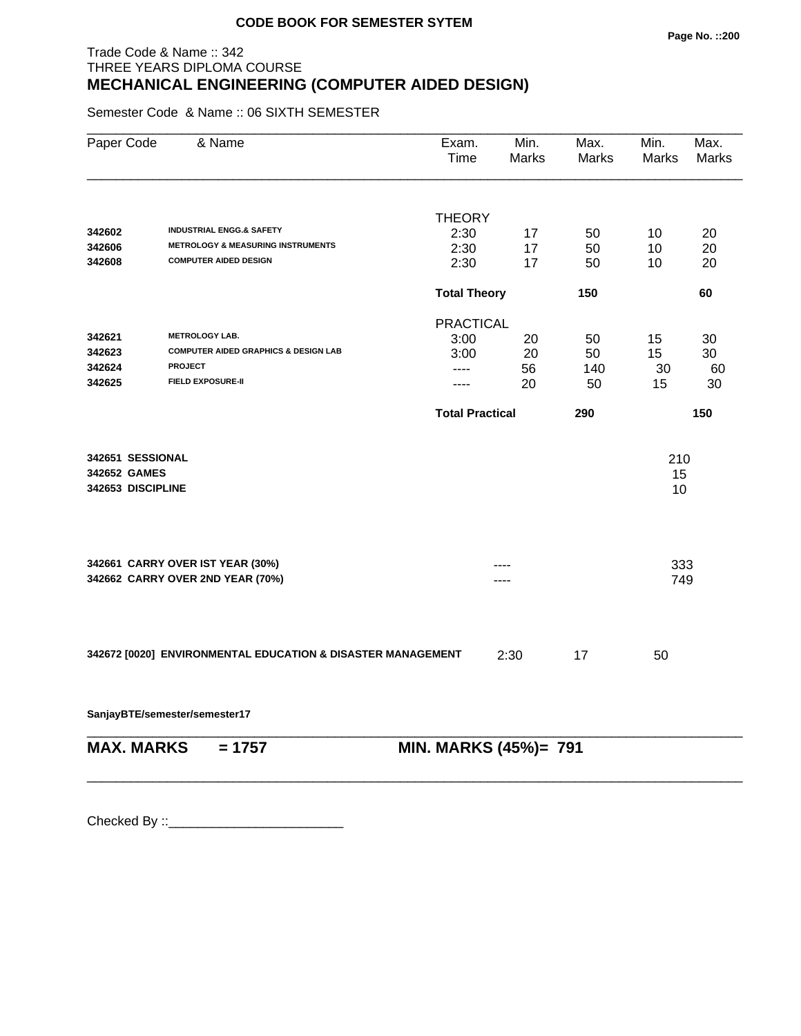# Trade Code & Name :: 342 THREE YEARS DIPLOMA COURSE **MECHANICAL ENGINEERING (COMPUTER AIDED DESIGN)**

Semester Code & Name :: 06 SIXTH SEMESTER

| Paper Code        | & Name                                                      | Exam.<br>Time          | Min.<br>Marks | Max.<br>Marks | Min.<br>Marks | Max.<br>Marks |
|-------------------|-------------------------------------------------------------|------------------------|---------------|---------------|---------------|---------------|
|                   |                                                             |                        |               |               |               |               |
|                   |                                                             | <b>THEORY</b>          |               |               |               |               |
| 342602            | <b>INDUSTRIAL ENGG.&amp; SAFETY</b>                         | 2:30                   | 17            | 50            | 10            | 20            |
| 342606            | <b>METROLOGY &amp; MEASURING INSTRUMENTS</b>                | 2:30                   | 17            | 50            | 10            | 20            |
| 342608            | <b>COMPUTER AIDED DESIGN</b>                                | 2:30                   | 17            | 50            | 10            | 20            |
|                   |                                                             | <b>Total Theory</b>    |               | 150           |               | 60            |
|                   |                                                             | <b>PRACTICAL</b>       |               |               |               |               |
| 342621            | <b>METROLOGY LAB.</b>                                       | 3:00                   | 20            | 50            | 15            | 30            |
| 342623            | <b>COMPUTER AIDED GRAPHICS &amp; DESIGN LAB</b>             | 3:00                   | 20            | 50            | 15            | 30            |
| 342624            | <b>PROJECT</b>                                              | ----                   | 56            | 140           | 30            | 60            |
| 342625            | <b>FIELD EXPOSURE-II</b>                                    | ----                   | 20            | 50            | 15            | 30            |
|                   |                                                             | <b>Total Practical</b> |               | 290           |               | 150           |
| 342651 SESSIONAL  |                                                             |                        |               |               | 210           |               |
| 342652 GAMES      |                                                             |                        |               |               | 15            |               |
| 342653 DISCIPLINE |                                                             |                        |               |               | 10            |               |
|                   |                                                             |                        |               |               |               |               |
|                   | 342661 CARRY OVER IST YEAR (30%)                            |                        |               |               | 333           |               |
|                   | 342662 CARRY OVER 2ND YEAR (70%)                            |                        |               |               | 749           |               |
|                   |                                                             |                        |               |               |               |               |
|                   | 342672 [0020] ENVIRONMENTAL EDUCATION & DISASTER MANAGEMENT |                        | 2:30          | 17            | 50            |               |
|                   | SanjayBTE/semester/semester17                               |                        |               |               |               |               |
| <b>MAX. MARKS</b> | $= 1757$                                                    | MIN. MARKS (45%)= 791  |               |               |               |               |

\_\_\_\_\_\_\_\_\_\_\_\_\_\_\_\_\_\_\_\_\_\_\_\_\_\_\_\_\_\_\_\_\_\_\_\_\_\_\_\_\_\_\_\_\_\_\_\_\_\_\_\_\_\_\_\_\_\_\_\_\_\_\_\_\_\_\_\_\_\_\_\_\_\_\_\_\_\_\_\_\_\_\_\_\_\_\_\_\_\_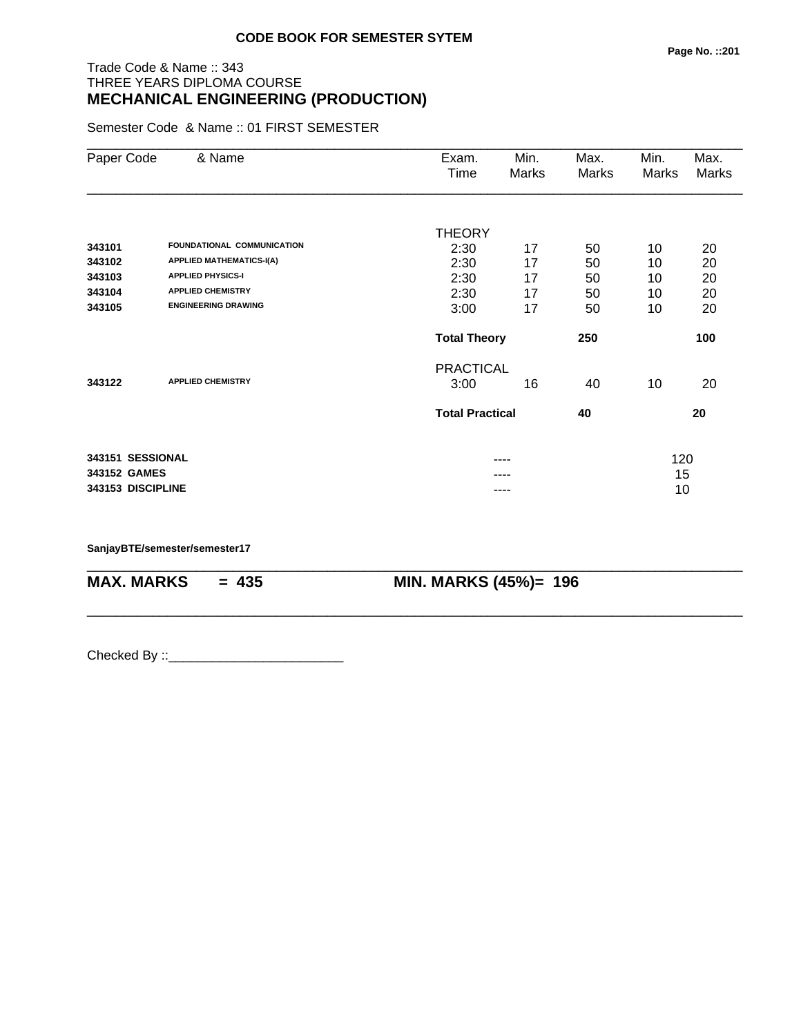#### **Page No. ::201**

# Trade Code & Name :: 343 THREE YEARS DIPLOMA COURSE **MECHANICAL ENGINEERING (PRODUCTION)**

Semester Code & Name :: 01 FIRST SEMESTER

| Paper Code        | & Name                          | Exam.                  | Min.  | Max.  | Min.  | Max.         |
|-------------------|---------------------------------|------------------------|-------|-------|-------|--------------|
|                   |                                 | Time                   | Marks | Marks | Marks | <b>Marks</b> |
|                   |                                 |                        |       |       |       |              |
|                   |                                 | <b>THEORY</b>          |       |       |       |              |
| 343101            | FOUNDATIONAL COMMUNICATION      | 2:30                   | 17    | 50    | 10    | 20           |
| 343102            | <b>APPLIED MATHEMATICS-I(A)</b> | 2:30                   | 17    | 50    | 10    | 20           |
| 343103            | <b>APPLIED PHYSICS-I</b>        | 2:30                   | 17    | 50    | 10    | 20           |
| 343104            | <b>APPLIED CHEMISTRY</b>        | 2:30                   | 17    | 50    | 10    | 20           |
| 343105            | <b>ENGINEERING DRAWING</b>      | 3:00                   | 17    | 50    | 10    | 20           |
|                   |                                 | <b>Total Theory</b>    |       | 250   |       | 100          |
|                   |                                 | <b>PRACTICAL</b>       |       |       |       |              |
| 343122            | <b>APPLIED CHEMISTRY</b>        | 3:00                   | 16    | 40    | 10    | 20           |
|                   |                                 | <b>Total Practical</b> |       | 40    |       | 20           |
| 343151 SESSIONAL  |                                 |                        | ----  |       | 120   |              |
| 343152 GAMES      |                                 |                        |       |       | 15    |              |
| 343153 DISCIPLINE |                                 |                        | ----  |       | 10    |              |
|                   |                                 |                        |       |       |       |              |

\_\_\_\_\_\_\_\_\_\_\_\_\_\_\_\_\_\_\_\_\_\_\_\_\_\_\_\_\_\_\_\_\_\_\_\_\_\_\_\_\_\_\_\_\_\_\_\_\_\_\_\_\_\_\_\_\_\_\_\_\_\_\_\_\_\_\_\_\_\_\_\_\_\_\_\_\_\_\_\_\_\_\_\_\_\_\_\_\_\_

\_\_\_\_\_\_\_\_\_\_\_\_\_\_\_\_\_\_\_\_\_\_\_\_\_\_\_\_\_\_\_\_\_\_\_\_\_\_\_\_\_\_\_\_\_\_\_\_\_\_\_\_\_\_\_\_\_\_\_\_\_\_\_\_\_\_\_\_\_\_\_\_\_\_\_\_\_\_\_\_\_\_\_\_\_\_\_\_\_\_

**SanjayBTE/semester/semester17**

**MAX. MARKS = 435 MIN. MARKS (45%)= 196**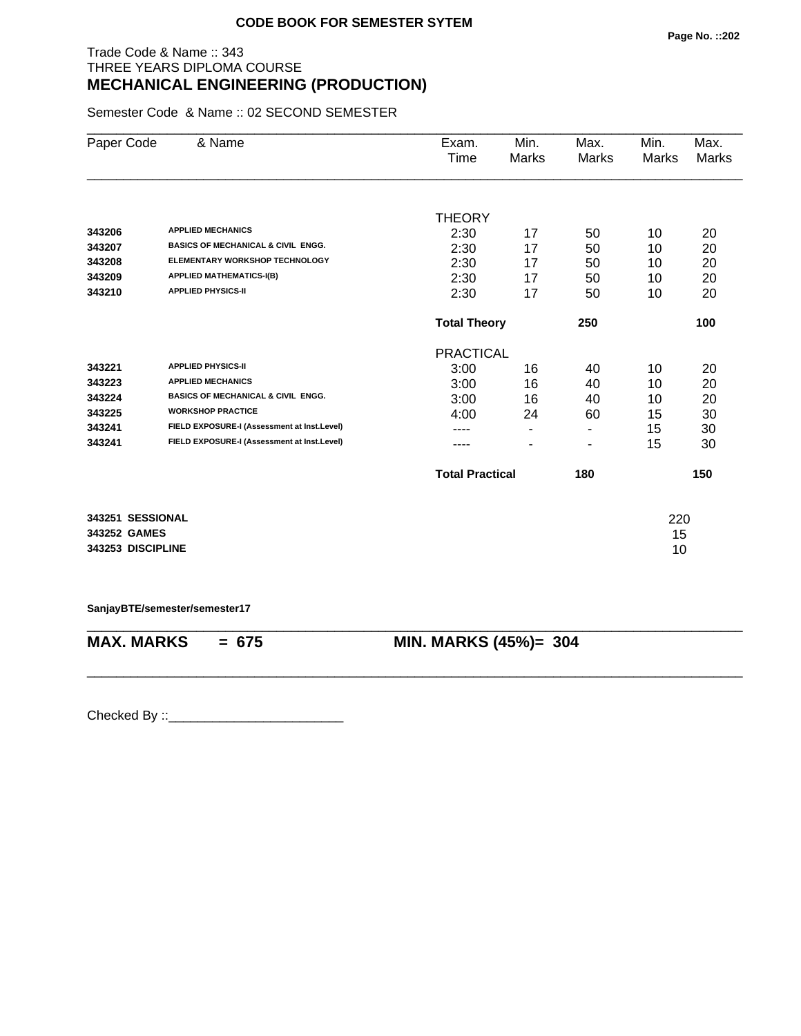# Trade Code & Name :: 343 THREE YEARS DIPLOMA COURSE **MECHANICAL ENGINEERING (PRODUCTION)**

Semester Code & Name :: 02 SECOND SEMESTER

| Paper Code        | & Name                                        | Exam.<br>Time          | Min.<br>Marks  | Max.<br>Marks | Min.<br>Marks | Max.<br>Marks |
|-------------------|-----------------------------------------------|------------------------|----------------|---------------|---------------|---------------|
|                   |                                               |                        |                |               |               |               |
|                   |                                               | <b>THEORY</b>          |                |               |               |               |
| 343206            | <b>APPLIED MECHANICS</b>                      | 2:30                   | 17             | 50            | 10            | 20            |
| 343207            | <b>BASICS OF MECHANICAL &amp; CIVIL ENGG.</b> | 2:30                   | 17             | 50            | 10            | 20            |
| 343208            | <b>ELEMENTARY WORKSHOP TECHNOLOGY</b>         | 2:30                   | 17             | 50            | 10            | 20            |
| 343209            | <b>APPLIED MATHEMATICS-I(B)</b>               | 2:30                   | 17             | 50            | 10            | 20            |
| 343210            | <b>APPLIED PHYSICS-II</b>                     | 2:30                   | 17             | 50            | 10            | 20            |
|                   |                                               | <b>Total Theory</b>    |                | 250           |               | 100           |
|                   |                                               | <b>PRACTICAL</b>       |                |               |               |               |
| 343221            | <b>APPLIED PHYSICS-II</b>                     | 3:00                   | 16             | 40            | 10            | 20            |
| 343223            | <b>APPLIED MECHANICS</b>                      | 3:00                   | 16             | 40            | 10            | 20            |
| 343224            | <b>BASICS OF MECHANICAL &amp; CIVIL ENGG.</b> | 3:00                   | 16             | 40            | 10            | 20            |
| 343225            | <b>WORKSHOP PRACTICE</b>                      | 4:00                   | 24             | 60            | 15            | 30            |
| 343241            | FIELD EXPOSURE-I (Assessment at Inst.Level)   | ----                   | $\blacksquare$ | ۰.            | 15            | 30            |
| 343241            | FIELD EXPOSURE-I (Assessment at Inst.Level)   |                        | $\blacksquare$ | ۰             | 15            | 30            |
|                   |                                               | <b>Total Practical</b> |                | 180           |               | 150           |
| 343251 SESSIONAL  |                                               |                        |                |               | 220           |               |
| 343252 GAMES      |                                               |                        |                |               | 15            |               |
| 343253 DISCIPLINE |                                               |                        |                |               | 10            |               |

**SanjayBTE/semester/semester17**

**MAX. MARKS = 675 MIN. MARKS (45%)= 304**

\_\_\_\_\_\_\_\_\_\_\_\_\_\_\_\_\_\_\_\_\_\_\_\_\_\_\_\_\_\_\_\_\_\_\_\_\_\_\_\_\_\_\_\_\_\_\_\_\_\_\_\_\_\_\_\_\_\_\_\_\_\_\_\_\_\_\_\_\_\_\_\_\_\_\_\_\_\_\_\_\_\_\_\_\_\_\_\_\_\_

\_\_\_\_\_\_\_\_\_\_\_\_\_\_\_\_\_\_\_\_\_\_\_\_\_\_\_\_\_\_\_\_\_\_\_\_\_\_\_\_\_\_\_\_\_\_\_\_\_\_\_\_\_\_\_\_\_\_\_\_\_\_\_\_\_\_\_\_\_\_\_\_\_\_\_\_\_\_\_\_\_\_\_\_\_\_\_\_\_\_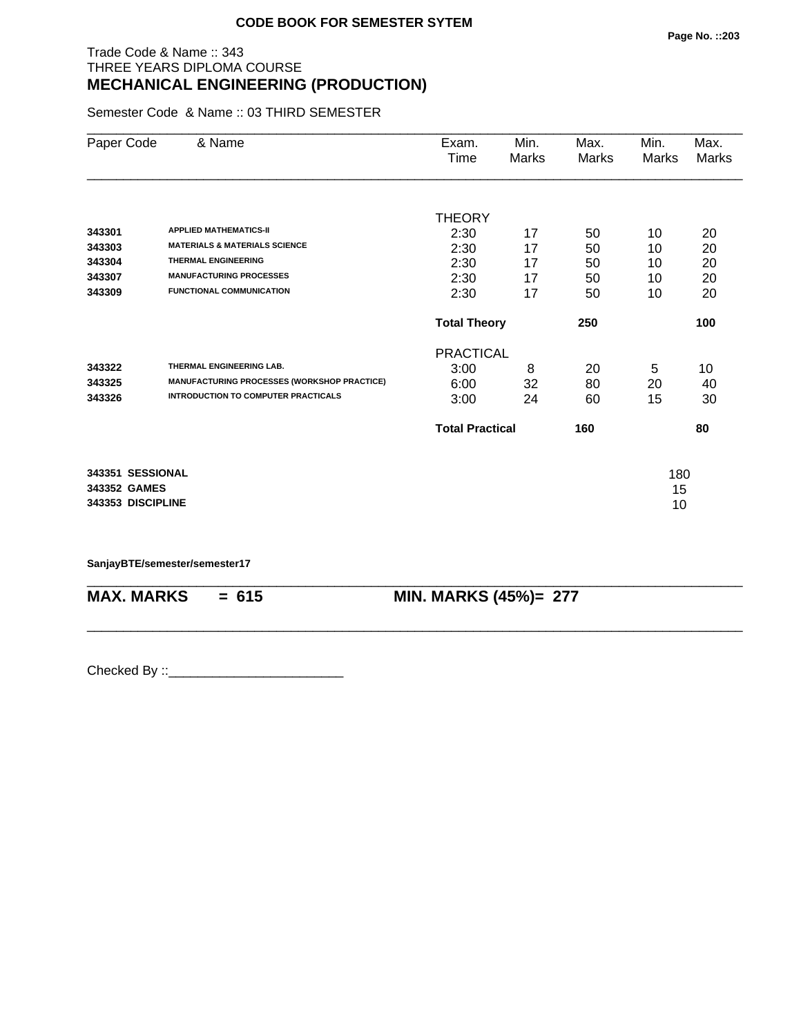# Trade Code & Name :: 343 THREE YEARS DIPLOMA COURSE **MECHANICAL ENGINEERING (PRODUCTION)**

Semester Code & Name :: 03 THIRD SEMESTER

| Paper Code        | & Name                                      | Exam.                      | Min.  | Max.  | Min.  | Max.  |
|-------------------|---------------------------------------------|----------------------------|-------|-------|-------|-------|
|                   |                                             | Time                       | Marks | Marks | Marks | Marks |
|                   |                                             |                            |       |       |       |       |
|                   |                                             | <b>THEORY</b>              |       |       |       |       |
| 343301            | <b>APPLIED MATHEMATICS-II</b>               | 2:30                       | 17    | 50    | 10    | 20    |
| 343303            | <b>MATERIALS &amp; MATERIALS SCIENCE</b>    | 2:30                       | 17    | 50    | 10    | 20    |
| 343304            | <b>THERMAL ENGINEERING</b>                  | 2:30                       | 17    | 50    | 10    | 20    |
| 343307            | <b>MANUFACTURING PROCESSES</b>              | 2:30                       | 17    | 50    | 10    | 20    |
| 343309            | <b>FUNCTIONAL COMMUNICATION</b>             | 2:30                       | 17    | 50    | 10    | 20    |
|                   |                                             | <b>Total Theory</b><br>250 |       |       |       | 100   |
|                   |                                             | <b>PRACTICAL</b>           |       |       |       |       |
| 343322            | THERMAL ENGINEERING LAB.                    | 3:00                       | 8     | 20    | 5     | 10    |
| 343325            | MANUFACTURING PROCESSES (WORKSHOP PRACTICE) | 6:00                       | 32    | 80    | 20    | 40    |
| 343326            | <b>INTRODUCTION TO COMPUTER PRACTICALS</b>  | 3:00                       | 24    | 60    | 15    | 30    |
|                   |                                             | <b>Total Practical</b>     |       | 160   |       | 80    |
| 343351 SESSIONAL  |                                             |                            |       |       | 180   |       |
| 343352 GAMES      |                                             |                            |       |       | 15    |       |
| 343353 DISCIPLINE |                                             |                            |       |       | 10    |       |
|                   |                                             |                            |       |       |       |       |

\_\_\_\_\_\_\_\_\_\_\_\_\_\_\_\_\_\_\_\_\_\_\_\_\_\_\_\_\_\_\_\_\_\_\_\_\_\_\_\_\_\_\_\_\_\_\_\_\_\_\_\_\_\_\_\_\_\_\_\_\_\_\_\_\_\_\_\_\_\_\_\_\_\_\_\_\_\_\_\_\_\_\_\_\_\_\_\_\_\_

\_\_\_\_\_\_\_\_\_\_\_\_\_\_\_\_\_\_\_\_\_\_\_\_\_\_\_\_\_\_\_\_\_\_\_\_\_\_\_\_\_\_\_\_\_\_\_\_\_\_\_\_\_\_\_\_\_\_\_\_\_\_\_\_\_\_\_\_\_\_\_\_\_\_\_\_\_\_\_\_\_\_\_\_\_\_\_\_\_\_

**SanjayBTE/semester/semester17**

**MAX. MARKS = 615 MIN. MARKS (45%)= 277**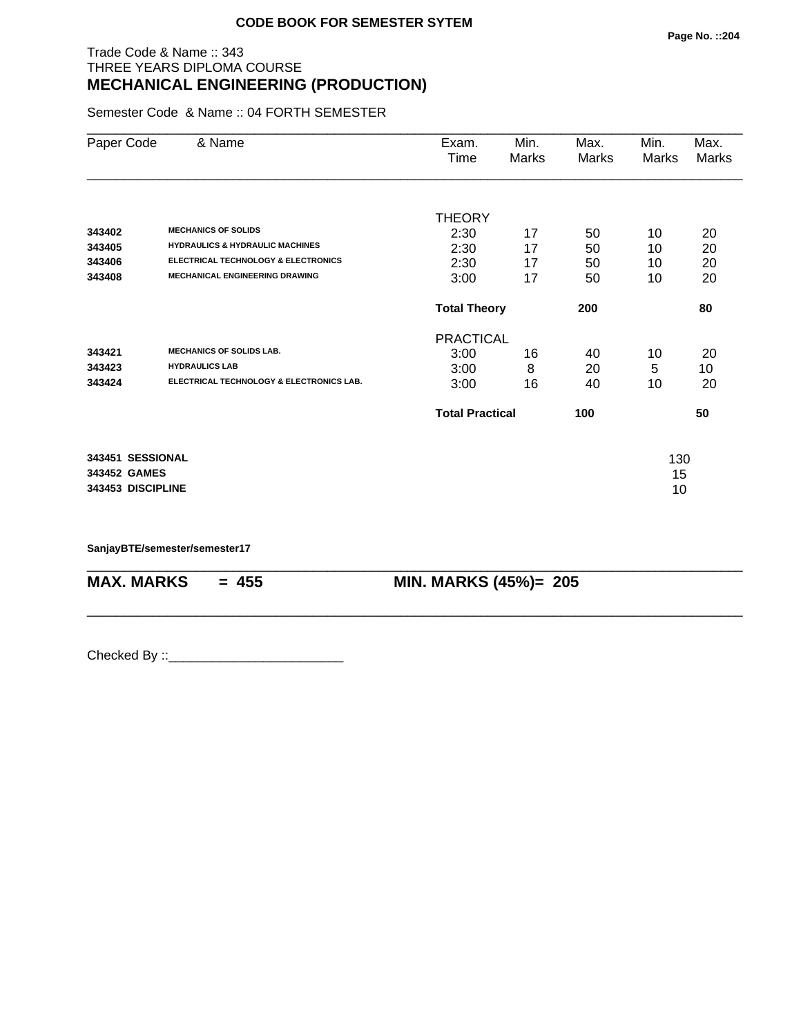# Trade Code & Name :: 343 THREE YEARS DIPLOMA COURSE **MECHANICAL ENGINEERING (PRODUCTION)**

Semester Code & Name :: 04 FORTH SEMESTER

| Paper Code                                            | & Name                                                                                                                                                              | Exam.<br>Time                                 | Min.<br><b>Marks</b> | Max.<br>Marks        | Min.<br>Marks        | Max.<br><b>Marks</b> |
|-------------------------------------------------------|---------------------------------------------------------------------------------------------------------------------------------------------------------------------|-----------------------------------------------|----------------------|----------------------|----------------------|----------------------|
| 343402<br>343405<br>343406<br>343408                  | <b>MECHANICS OF SOLIDS</b><br><b>HYDRAULICS &amp; HYDRAULIC MACHINES</b><br><b>ELECTRICAL TECHNOLOGY &amp; ELECTRONICS</b><br><b>MECHANICAL ENGINEERING DRAWING</b> | <b>THEORY</b><br>2:30<br>2:30<br>2:30<br>3:00 | 17<br>17<br>17<br>17 | 50<br>50<br>50<br>50 | 10<br>10<br>10<br>10 | 20<br>20<br>20<br>20 |
|                                                       |                                                                                                                                                                     | <b>Total Theory</b>                           |                      | 200                  |                      | 80                   |
| 343421<br>343423<br>343424                            | <b>MECHANICS OF SOLIDS LAB.</b><br><b>HYDRAULICS LAB</b><br>ELECTRICAL TECHNOLOGY & ELECTRONICS LAB.                                                                | <b>PRACTICAL</b><br>3:00<br>3:00<br>3:00      | 16<br>8<br>16        | 40<br>20<br>40       | 10<br>5<br>10        | 20<br>10<br>20       |
|                                                       |                                                                                                                                                                     | <b>Total Practical</b>                        |                      | 100                  |                      | 50                   |
| 343451 SESSIONAL<br>343452 GAMES<br>343453 DISCIPLINE |                                                                                                                                                                     |                                               |                      |                      | 130<br>15<br>10      |                      |

\_\_\_\_\_\_\_\_\_\_\_\_\_\_\_\_\_\_\_\_\_\_\_\_\_\_\_\_\_\_\_\_\_\_\_\_\_\_\_\_\_\_\_\_\_\_\_\_\_\_\_\_\_\_\_\_\_\_\_\_\_\_\_\_\_\_\_\_\_\_\_\_\_\_\_\_\_\_\_\_\_\_\_\_\_\_\_\_\_\_

\_\_\_\_\_\_\_\_\_\_\_\_\_\_\_\_\_\_\_\_\_\_\_\_\_\_\_\_\_\_\_\_\_\_\_\_\_\_\_\_\_\_\_\_\_\_\_\_\_\_\_\_\_\_\_\_\_\_\_\_\_\_\_\_\_\_\_\_\_\_\_\_\_\_\_\_\_\_\_\_\_\_\_\_\_\_\_\_\_\_

**SanjayBTE/semester/semester17**

**MAX. MARKS** = 455 **MIN. MARKS (45%)**= 205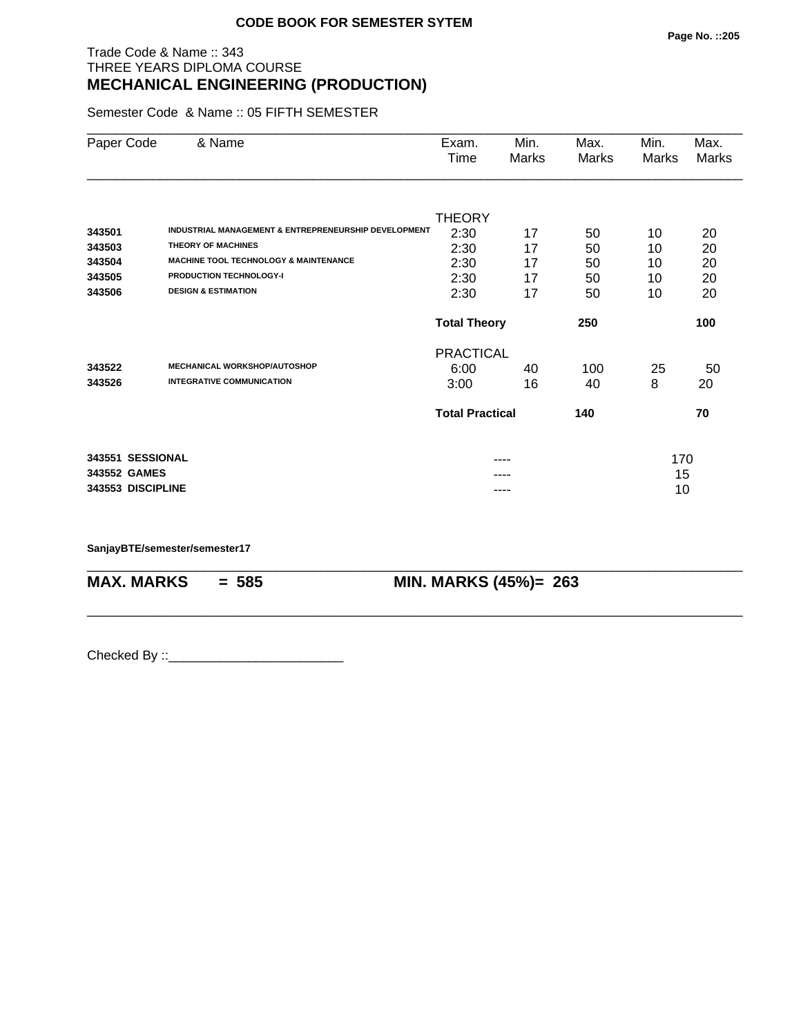# Trade Code & Name :: 343 THREE YEARS DIPLOMA COURSE **MECHANICAL ENGINEERING (PRODUCTION)**

Semester Code & Name :: 05 FIFTH SEMESTER

| Paper Code        | & Name                                               | Exam.<br>Time          | Min.<br>Marks | Max.<br>Marks | Min.<br>Marks | Max.<br>Marks |
|-------------------|------------------------------------------------------|------------------------|---------------|---------------|---------------|---------------|
| 343501            | INDUSTRIAL MANAGEMENT & ENTREPRENEURSHIP DEVELOPMENT | <b>THEORY</b><br>2:30  | 17            | 50            | 10            | 20            |
| 343503            | <b>THEORY OF MACHINES</b>                            | 2:30                   | 17            | 50            | 10            | 20            |
| 343504            | <b>MACHINE TOOL TECHNOLOGY &amp; MAINTENANCE</b>     | 2:30                   | 17            | 50            | 10            | 20            |
| 343505            | <b>PRODUCTION TECHNOLOGY-I</b>                       | 2:30                   | 17            | 50            | 10            | 20            |
| 343506            | <b>DESIGN &amp; ESTIMATION</b>                       | 2:30                   | 17            | 50            | 10            | 20            |
|                   |                                                      | <b>Total Theory</b>    |               | 250           |               | 100           |
|                   |                                                      | <b>PRACTICAL</b>       |               |               |               |               |
| 343522            | <b>MECHANICAL WORKSHOP/AUTOSHOP</b>                  | 6:00                   | 40            | 100           | 25            | 50            |
| 343526            | <b>INTEGRATIVE COMMUNICATION</b>                     | 3:00                   | 16            | 40            | 8             | 20            |
|                   |                                                      | <b>Total Practical</b> |               | 140           |               | 70            |
| 343551 SESSIONAL  |                                                      |                        |               |               | 170           |               |
| 343552 GAMES      |                                                      |                        |               |               | 15            |               |
| 343553 DISCIPLINE |                                                      |                        | ----          |               | 10            |               |

\_\_\_\_\_\_\_\_\_\_\_\_\_\_\_\_\_\_\_\_\_\_\_\_\_\_\_\_\_\_\_\_\_\_\_\_\_\_\_\_\_\_\_\_\_\_\_\_\_\_\_\_\_\_\_\_\_\_\_\_\_\_\_\_\_\_\_\_\_\_\_\_\_\_\_\_\_\_\_\_\_\_\_\_\_\_\_\_\_\_

\_\_\_\_\_\_\_\_\_\_\_\_\_\_\_\_\_\_\_\_\_\_\_\_\_\_\_\_\_\_\_\_\_\_\_\_\_\_\_\_\_\_\_\_\_\_\_\_\_\_\_\_\_\_\_\_\_\_\_\_\_\_\_\_\_\_\_\_\_\_\_\_\_\_\_\_\_\_\_\_\_\_\_\_\_\_\_\_\_\_

**SanjayBTE/semester/semester17**

**MAX. MARKS = 585 MIN. MARKS (45%)= 263**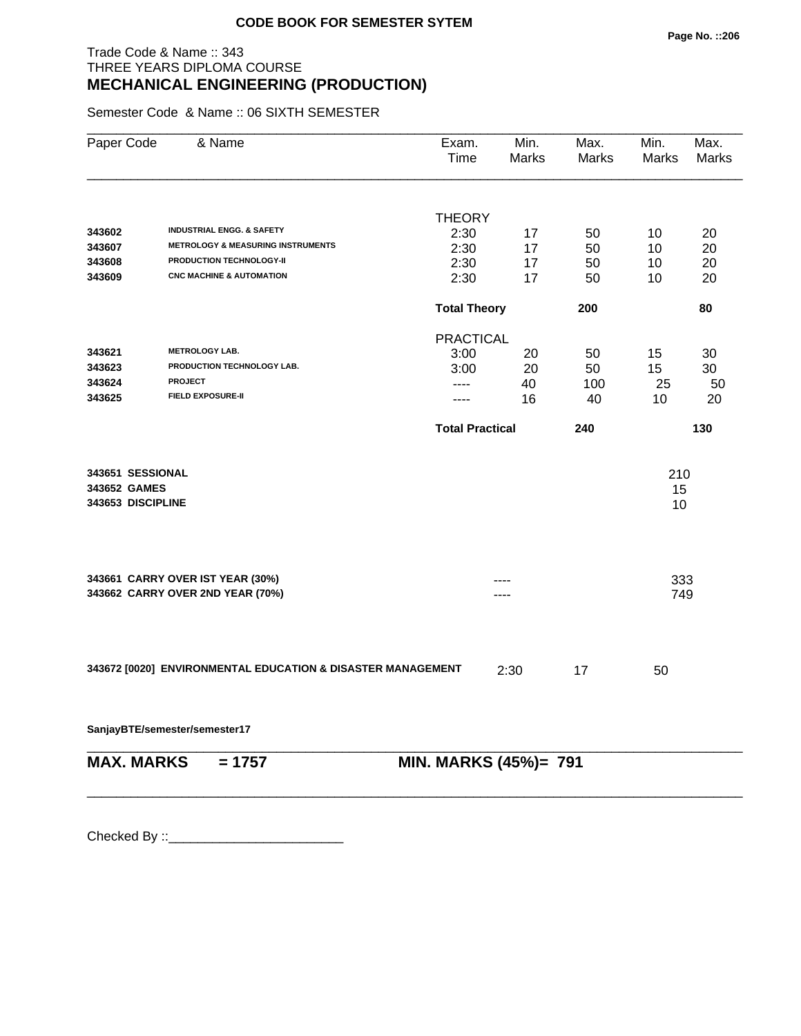# Trade Code & Name :: 343 THREE YEARS DIPLOMA COURSE **MECHANICAL ENGINEERING (PRODUCTION)**

Semester Code & Name :: 06 SIXTH SEMESTER

| Paper Code        | & Name                                                      | Exam.<br>Time          | Min.<br>Marks | Max.<br><b>Marks</b> | Min.<br>Marks | Max.<br>Marks |
|-------------------|-------------------------------------------------------------|------------------------|---------------|----------------------|---------------|---------------|
|                   |                                                             | <b>THEORY</b>          |               |                      |               |               |
| 343602            | <b>INDUSTRIAL ENGG. &amp; SAFETY</b>                        | 2:30                   | 17            | 50                   | 10            | 20            |
| 343607            | <b>METROLOGY &amp; MEASURING INSTRUMENTS</b>                | 2:30                   | 17            | 50                   | 10            | 20            |
| 343608            | PRODUCTION TECHNOLOGY-II                                    | 2:30                   | 17            | 50                   | 10            | 20            |
| 343609            | <b>CNC MACHINE &amp; AUTOMATION</b>                         | 2:30                   | 17            | 50                   | 10            | 20            |
|                   |                                                             | <b>Total Theory</b>    |               | 200                  |               | 80            |
|                   |                                                             | <b>PRACTICAL</b>       |               |                      |               |               |
| 343621            | <b>METROLOGY LAB.</b>                                       | 3:00                   | 20            | 50                   | 15            | 30            |
| 343623            | PRODUCTION TECHNOLOGY LAB.                                  | 3:00                   | 20            | 50                   | 15            | 30            |
| 343624            | <b>PROJECT</b>                                              | ----                   | 40            | 100                  | 25            | 50            |
| 343625            | <b>FIELD EXPOSURE-II</b>                                    | ----                   | 16            | 40                   | 10            | 20            |
|                   |                                                             | <b>Total Practical</b> |               | 240                  |               | 130           |
| 343651 SESSIONAL  |                                                             |                        |               |                      | 210           |               |
| 343652 GAMES      |                                                             |                        |               |                      | 15            |               |
| 343653 DISCIPLINE |                                                             |                        |               |                      | 10            |               |
|                   |                                                             |                        |               |                      |               |               |
|                   | 343661 CARRY OVER IST YEAR (30%)                            |                        |               |                      | 333           |               |
|                   | 343662 CARRY OVER 2ND YEAR (70%)                            |                        | ---           |                      | 749           |               |
|                   | 343672 [0020] ENVIRONMENTAL EDUCATION & DISASTER MANAGEMENT |                        |               | 17                   | 50            |               |
|                   |                                                             |                        | 2:30          |                      |               |               |
|                   | SanjayBTE/semester/semester17                               |                        |               |                      |               |               |
| <b>MAX. MARKS</b> | $= 1757$                                                    | MIN. MARKS (45%)= 791  |               |                      |               |               |
|                   |                                                             |                        |               |                      |               |               |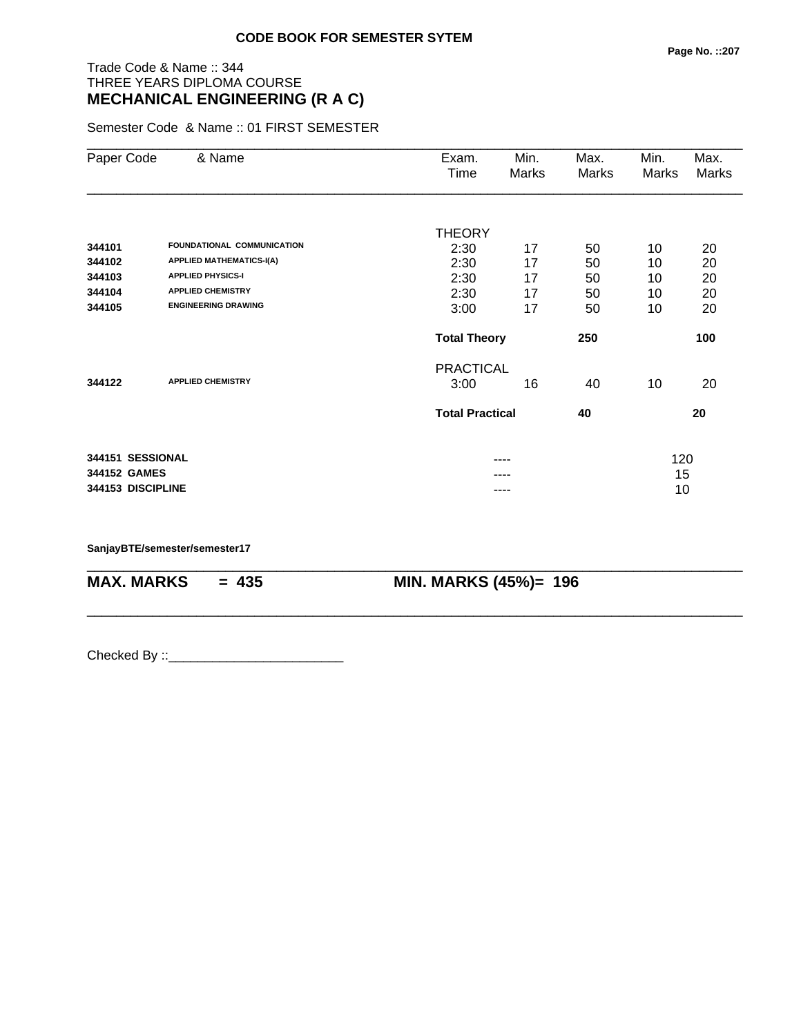# Trade Code & Name :: 344 THREE YEARS DIPLOMA COURSE **MECHANICAL ENGINEERING (R A C)**

Semester Code & Name :: 01 FIRST SEMESTER

| Paper Code        | & Name                          | Exam.                  | Min.  | Max.  | Min.  | Max.         |
|-------------------|---------------------------------|------------------------|-------|-------|-------|--------------|
|                   |                                 | Time                   | Marks | Marks | Marks | <b>Marks</b> |
|                   |                                 |                        |       |       |       |              |
|                   |                                 | <b>THEORY</b>          |       |       |       |              |
| 344101            | FOUNDATIONAL COMMUNICATION      | 2:30                   | 17    | 50    | 10    | 20           |
| 344102            | <b>APPLIED MATHEMATICS-I(A)</b> | 2:30                   | 17    | 50    | 10    | 20           |
| 344103            | <b>APPLIED PHYSICS-I</b>        | 2:30                   | 17    | 50    | 10    | 20           |
| 344104            | <b>APPLIED CHEMISTRY</b>        | 2:30                   | 17    | 50    | 10    | 20           |
| 344105            | <b>ENGINEERING DRAWING</b>      | 3:00                   | 17    | 50    | 10    | 20           |
|                   |                                 | <b>Total Theory</b>    |       | 250   |       | 100          |
|                   |                                 | <b>PRACTICAL</b>       |       |       |       |              |
| 344122            | <b>APPLIED CHEMISTRY</b>        | 3:00                   | 16    | 40    | 10    | 20           |
|                   |                                 | <b>Total Practical</b> |       | 40    |       | 20           |
|                   |                                 |                        |       |       |       |              |
| 344151 SESSIONAL  |                                 |                        | ----  |       | 120   |              |
| 344152 GAMES      |                                 |                        |       |       | 15    |              |
| 344153 DISCIPLINE |                                 |                        | ----  |       | 10    |              |

\_\_\_\_\_\_\_\_\_\_\_\_\_\_\_\_\_\_\_\_\_\_\_\_\_\_\_\_\_\_\_\_\_\_\_\_\_\_\_\_\_\_\_\_\_\_\_\_\_\_\_\_\_\_\_\_\_\_\_\_\_\_\_\_\_\_\_\_\_\_\_\_\_\_\_\_\_\_\_\_\_\_\_\_\_\_\_\_\_\_

\_\_\_\_\_\_\_\_\_\_\_\_\_\_\_\_\_\_\_\_\_\_\_\_\_\_\_\_\_\_\_\_\_\_\_\_\_\_\_\_\_\_\_\_\_\_\_\_\_\_\_\_\_\_\_\_\_\_\_\_\_\_\_\_\_\_\_\_\_\_\_\_\_\_\_\_\_\_\_\_\_\_\_\_\_\_\_\_\_\_

**SanjayBTE/semester/semester17**

**MAX. MARKS = 435 MIN. MARKS (45%)= 196**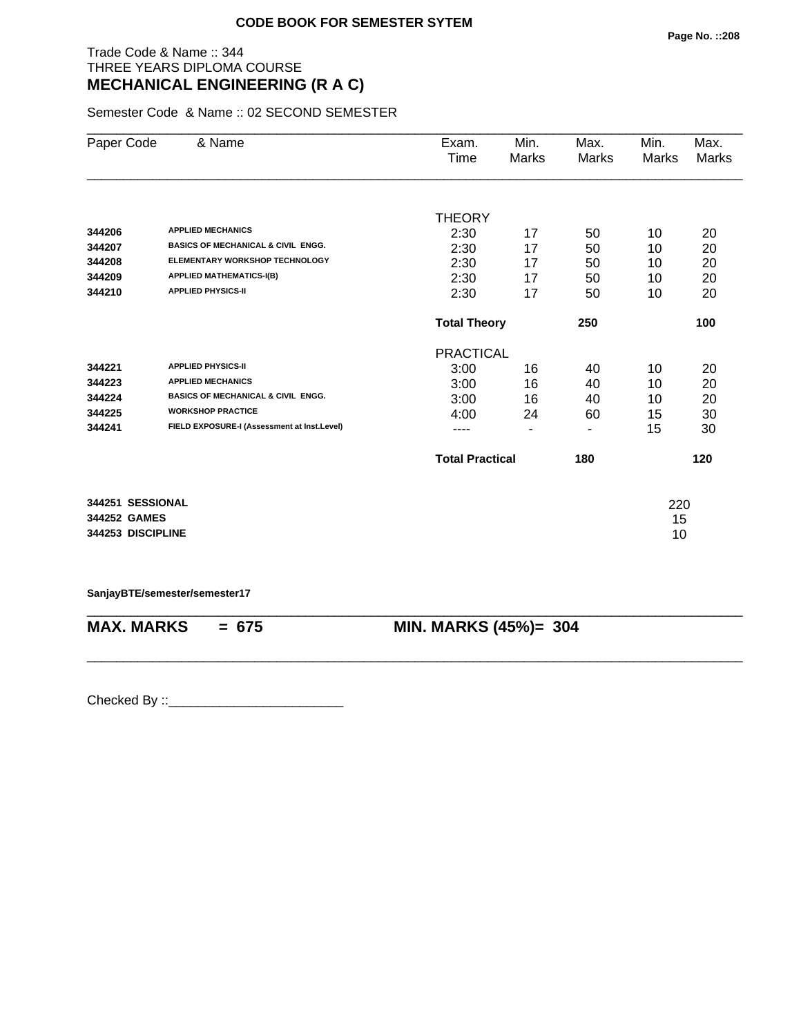# Trade Code & Name :: 344 THREE YEARS DIPLOMA COURSE **MECHANICAL ENGINEERING (R A C)**

Semester Code & Name :: 02 SECOND SEMESTER

| Paper Code        | & Name                                        | Exam.                  | Min.  | Max.  | Min.  | Max.  |
|-------------------|-----------------------------------------------|------------------------|-------|-------|-------|-------|
|                   |                                               | Time                   | Marks | Marks | Marks | Marks |
|                   |                                               |                        |       |       |       |       |
|                   |                                               | <b>THEORY</b>          |       |       |       |       |
| 344206            | <b>APPLIED MECHANICS</b>                      | 2:30                   | 17    | 50    | 10    | 20    |
| 344207            | <b>BASICS OF MECHANICAL &amp; CIVIL ENGG.</b> | 2:30                   | 17    | 50    | 10    | 20    |
| 344208            | ELEMENTARY WORKSHOP TECHNOLOGY                | 2:30                   | 17    | 50    | 10    | 20    |
| 344209            | <b>APPLIED MATHEMATICS-I(B)</b>               | 2:30                   | 17    | 50    | 10    | 20    |
| 344210            | <b>APPLIED PHYSICS-II</b>                     | 2:30                   | 17    | 50    | 10    | 20    |
|                   |                                               | <b>Total Theory</b>    |       | 250   |       | 100   |
|                   |                                               | <b>PRACTICAL</b>       |       |       |       |       |
| 344221            | <b>APPLIED PHYSICS-II</b>                     | 3:00                   | 16    | 40    | 10    | 20    |
| 344223            | <b>APPLIED MECHANICS</b>                      | 3:00                   | 16    | 40    | 10    | 20    |
| 344224            | <b>BASICS OF MECHANICAL &amp; CIVIL ENGG.</b> | 3:00                   | 16    | 40    | 10    | 20    |
| 344225            | <b>WORKSHOP PRACTICE</b>                      | 4:00                   | 24    | 60    | 15    | 30    |
| 344241            | FIELD EXPOSURE-I (Assessment at Inst.Level)   |                        | ٠     | ٠     | 15    | 30    |
|                   |                                               | <b>Total Practical</b> |       | 180   |       | 120   |
|                   |                                               |                        |       |       |       |       |
| 344251 SESSIONAL  |                                               |                        |       |       | 220   |       |
| 344252 GAMES      |                                               |                        |       |       | 15    |       |
| 344253 DISCIPLINE |                                               |                        |       |       | 10    |       |
|                   |                                               |                        |       |       |       |       |

**SanjayBTE/semester/semester17**

\_\_\_\_\_\_\_\_\_\_\_\_\_\_\_\_\_\_\_\_\_\_\_\_\_\_\_\_\_\_\_\_\_\_\_\_\_\_\_\_\_\_\_\_\_\_\_\_\_\_\_\_\_\_\_\_\_\_\_\_\_\_\_\_\_\_\_\_\_\_\_\_\_\_\_\_\_\_\_\_\_\_\_\_\_\_\_\_\_\_ **MAX. MARKS = 675 MIN. MARKS (45%)= 304**

\_\_\_\_\_\_\_\_\_\_\_\_\_\_\_\_\_\_\_\_\_\_\_\_\_\_\_\_\_\_\_\_\_\_\_\_\_\_\_\_\_\_\_\_\_\_\_\_\_\_\_\_\_\_\_\_\_\_\_\_\_\_\_\_\_\_\_\_\_\_\_\_\_\_\_\_\_\_\_\_\_\_\_\_\_\_\_\_\_\_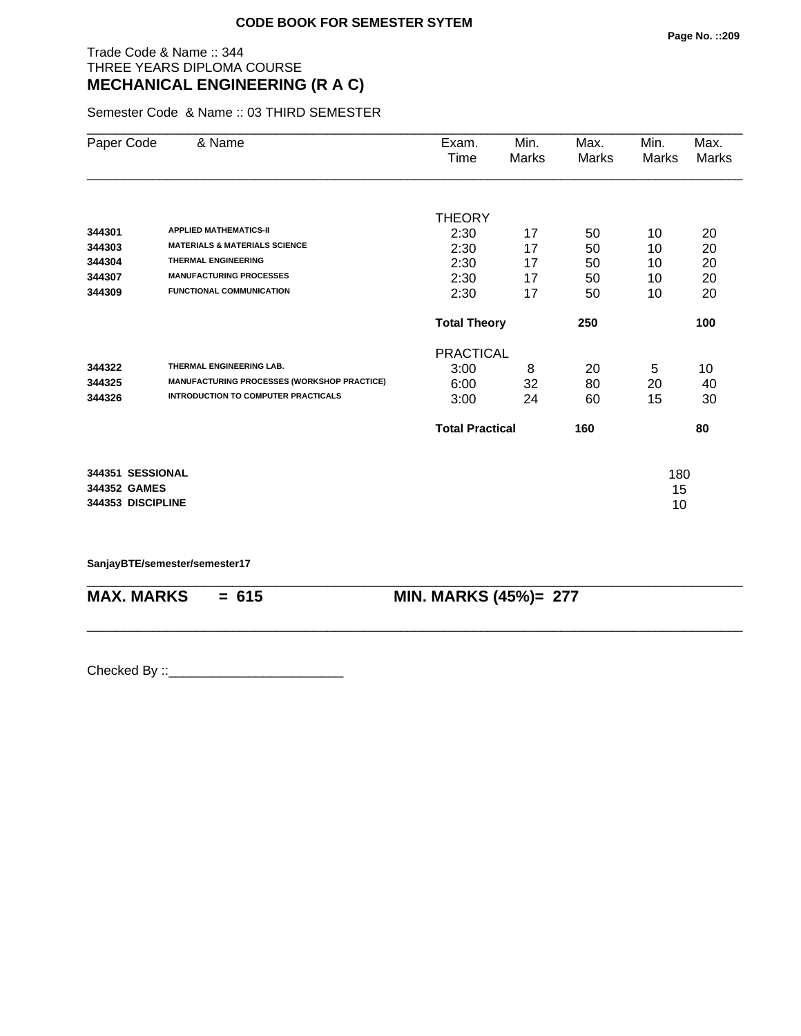# Trade Code & Name :: 344 THREE YEARS DIPLOMA COURSE **MECHANICAL ENGINEERING (R A C)**

Semester Code & Name :: 03 THIRD SEMESTER

| Paper Code        | & Name                                      | Exam.                  | Min.  | Max.  | Min.  | Max.  |
|-------------------|---------------------------------------------|------------------------|-------|-------|-------|-------|
|                   |                                             | Time                   | Marks | Marks | Marks | Marks |
|                   |                                             |                        |       |       |       |       |
|                   |                                             | <b>THEORY</b>          |       |       |       |       |
| 344301            | <b>APPLIED MATHEMATICS-II</b>               | 2:30                   | 17    | 50    | 10    | 20    |
| 344303            | <b>MATERIALS &amp; MATERIALS SCIENCE</b>    | 2:30                   | 17    | 50    | 10    | 20    |
| 344304            | <b>THERMAL ENGINEERING</b>                  | 2:30                   | 17    | 50    | 10    | 20    |
| 344307            | <b>MANUFACTURING PROCESSES</b>              | 2:30                   | 17    | 50    | 10    | 20    |
| 344309            | <b>FUNCTIONAL COMMUNICATION</b>             | 2:30                   | 17    | 50    | 10    | 20    |
|                   |                                             | <b>Total Theory</b>    |       | 250   |       | 100   |
|                   |                                             | <b>PRACTICAL</b>       |       |       |       |       |
| 344322            | THERMAL ENGINEERING LAB.                    | 3:00                   | 8     | 20    | 5     | 10    |
| 344325            | MANUFACTURING PROCESSES (WORKSHOP PRACTICE) | 6:00                   | 32    | 80    | 20    | 40    |
| 344326            | <b>INTRODUCTION TO COMPUTER PRACTICALS</b>  | 3:00                   | 24    | 60    | 15    | 30    |
|                   |                                             | <b>Total Practical</b> |       | 160   |       | 80    |
| 344351 SESSIONAL  |                                             |                        |       |       | 180   |       |
| 344352 GAMES      |                                             |                        |       |       | 15    |       |
| 344353 DISCIPLINE |                                             |                        |       |       | 10    |       |

\_\_\_\_\_\_\_\_\_\_\_\_\_\_\_\_\_\_\_\_\_\_\_\_\_\_\_\_\_\_\_\_\_\_\_\_\_\_\_\_\_\_\_\_\_\_\_\_\_\_\_\_\_\_\_\_\_\_\_\_\_\_\_\_\_\_\_\_\_\_\_\_\_\_\_\_\_\_\_\_\_\_\_\_\_\_\_\_\_\_

\_\_\_\_\_\_\_\_\_\_\_\_\_\_\_\_\_\_\_\_\_\_\_\_\_\_\_\_\_\_\_\_\_\_\_\_\_\_\_\_\_\_\_\_\_\_\_\_\_\_\_\_\_\_\_\_\_\_\_\_\_\_\_\_\_\_\_\_\_\_\_\_\_\_\_\_\_\_\_\_\_\_\_\_\_\_\_\_\_\_

**SanjayBTE/semester/semester17**

**MAX. MARKS = 615 MIN. MARKS (45%)= 277**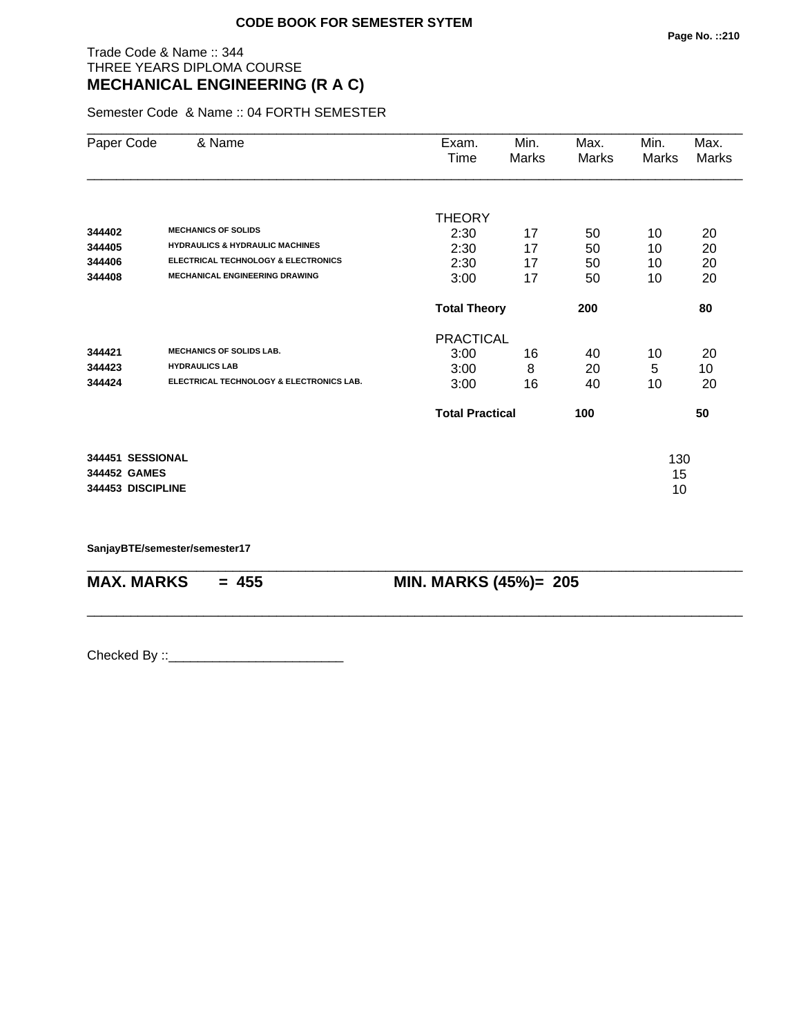# Trade Code & Name :: 344 THREE YEARS DIPLOMA COURSE **MECHANICAL ENGINEERING (R A C)**

Semester Code & Name :: 04 FORTH SEMESTER

| Paper Code                                            | & Name                                                                                                                                                              | Exam.<br>Time                                 | Min.<br>Marks        | Max.<br>Marks        | Min.<br>Marks        | Max.<br>Marks        |
|-------------------------------------------------------|---------------------------------------------------------------------------------------------------------------------------------------------------------------------|-----------------------------------------------|----------------------|----------------------|----------------------|----------------------|
| 344402<br>344405<br>344406<br>344408                  | <b>MECHANICS OF SOLIDS</b><br><b>HYDRAULICS &amp; HYDRAULIC MACHINES</b><br><b>ELECTRICAL TECHNOLOGY &amp; ELECTRONICS</b><br><b>MECHANICAL ENGINEERING DRAWING</b> | <b>THEORY</b><br>2:30<br>2:30<br>2:30<br>3:00 | 17<br>17<br>17<br>17 | 50<br>50<br>50<br>50 | 10<br>10<br>10<br>10 | 20<br>20<br>20<br>20 |
|                                                       |                                                                                                                                                                     | <b>Total Theory</b>                           |                      | 200                  |                      | 80                   |
| 344421<br>344423<br>344424                            | <b>MECHANICS OF SOLIDS LAB.</b><br><b>HYDRAULICS LAB</b><br>ELECTRICAL TECHNOLOGY & ELECTRONICS LAB.                                                                | <b>PRACTICAL</b><br>3:00<br>3:00<br>3:00      | 16<br>8<br>16        | 40<br>20<br>40       | 10<br>5<br>10        | 20<br>10<br>20       |
|                                                       |                                                                                                                                                                     | <b>Total Practical</b>                        |                      | 100                  |                      | 50                   |
| 344451 SESSIONAL<br>344452 GAMES<br>344453 DISCIPLINE |                                                                                                                                                                     |                                               |                      |                      | 130<br>15<br>10      |                      |

\_\_\_\_\_\_\_\_\_\_\_\_\_\_\_\_\_\_\_\_\_\_\_\_\_\_\_\_\_\_\_\_\_\_\_\_\_\_\_\_\_\_\_\_\_\_\_\_\_\_\_\_\_\_\_\_\_\_\_\_\_\_\_\_\_\_\_\_\_\_\_\_\_\_\_\_\_\_\_\_\_\_\_\_\_\_\_\_\_\_

\_\_\_\_\_\_\_\_\_\_\_\_\_\_\_\_\_\_\_\_\_\_\_\_\_\_\_\_\_\_\_\_\_\_\_\_\_\_\_\_\_\_\_\_\_\_\_\_\_\_\_\_\_\_\_\_\_\_\_\_\_\_\_\_\_\_\_\_\_\_\_\_\_\_\_\_\_\_\_\_\_\_\_\_\_\_\_\_\_\_

**SanjayBTE/semester/semester17**

**MAX. MARKS** = 455 **MIN. MARKS (45%)**= 205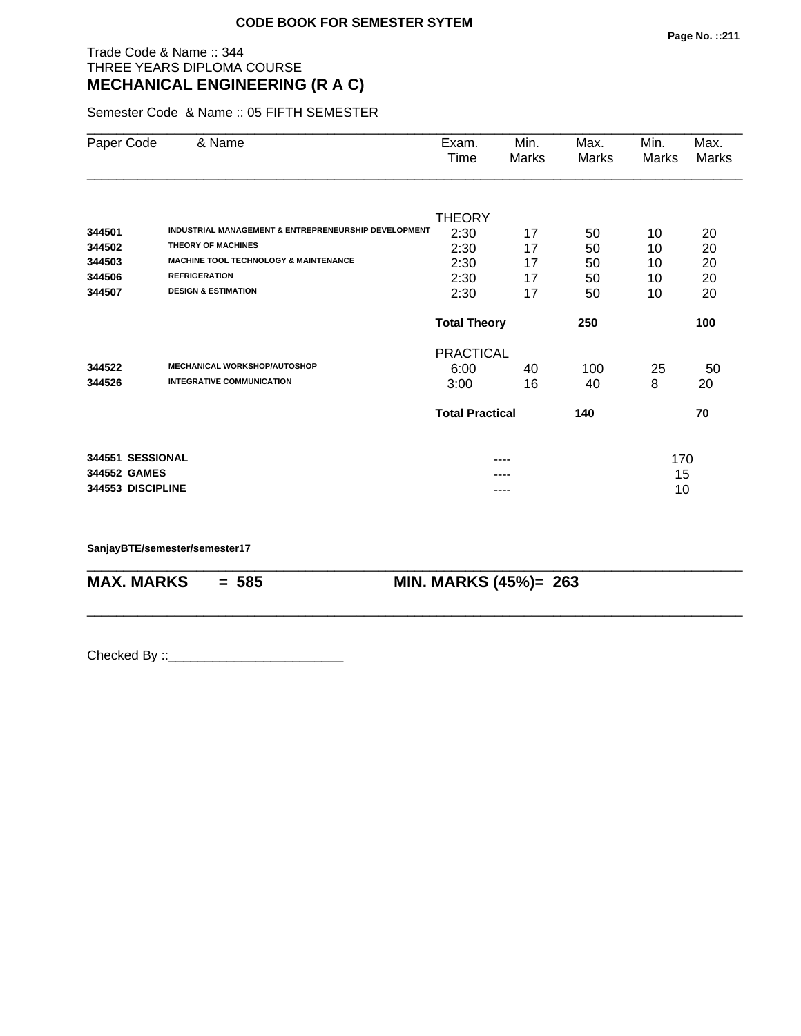# Trade Code & Name :: 344 THREE YEARS DIPLOMA COURSE **MECHANICAL ENGINEERING (R A C)**

Semester Code & Name :: 05 FIFTH SEMESTER

| Paper Code        | & Name                                                          | Exam.<br>Time              | Min.<br>Marks | Max.<br>Marks | Min.<br>Marks | Max.<br>Marks |
|-------------------|-----------------------------------------------------------------|----------------------------|---------------|---------------|---------------|---------------|
|                   |                                                                 |                            |               |               |               |               |
|                   |                                                                 | <b>THEORY</b>              |               |               |               |               |
| 344501            | <b>INDUSTRIAL MANAGEMENT &amp; ENTREPRENEURSHIP DEVELOPMENT</b> | 2:30                       | 17            | 50            | 10            | 20            |
| 344502            | <b>THEORY OF MACHINES</b>                                       | 2:30                       | 17            | 50            | 10            | 20            |
| 344503            | <b>MACHINE TOOL TECHNOLOGY &amp; MAINTENANCE</b>                | 2:30                       | 17            | 50            | 10            | 20            |
| 344506            | <b>REFRIGERATION</b>                                            | 2:30                       | 17            | 50            | 10            | 20            |
| 344507            | <b>DESIGN &amp; ESTIMATION</b>                                  | 2:30                       | 17            | 50            | 10            | 20            |
|                   |                                                                 | <b>Total Theory</b><br>250 |               |               |               | 100           |
|                   |                                                                 | <b>PRACTICAL</b>           |               |               |               |               |
| 344522            | <b>MECHANICAL WORKSHOP/AUTOSHOP</b>                             | 6:00                       | 40            | 100           | 25            | 50            |
| 344526            | <b>INTEGRATIVE COMMUNICATION</b>                                | 3:00                       | 16            | 40            | 8             | 20            |
|                   |                                                                 | <b>Total Practical</b>     |               | 140           |               | 70            |
| 344551 SESSIONAL  |                                                                 |                            |               |               | 170           |               |
| 344552 GAMES      |                                                                 |                            |               |               | 15            |               |
| 344553 DISCIPLINE |                                                                 |                            | ----          |               | 10            |               |

\_\_\_\_\_\_\_\_\_\_\_\_\_\_\_\_\_\_\_\_\_\_\_\_\_\_\_\_\_\_\_\_\_\_\_\_\_\_\_\_\_\_\_\_\_\_\_\_\_\_\_\_\_\_\_\_\_\_\_\_\_\_\_\_\_\_\_\_\_\_\_\_\_\_\_\_\_\_\_\_\_\_\_\_\_\_\_\_\_\_

\_\_\_\_\_\_\_\_\_\_\_\_\_\_\_\_\_\_\_\_\_\_\_\_\_\_\_\_\_\_\_\_\_\_\_\_\_\_\_\_\_\_\_\_\_\_\_\_\_\_\_\_\_\_\_\_\_\_\_\_\_\_\_\_\_\_\_\_\_\_\_\_\_\_\_\_\_\_\_\_\_\_\_\_\_\_\_\_\_\_

**SanjayBTE/semester/semester17**

**MAX. MARKS = 585 MIN. MARKS (45%)= 263**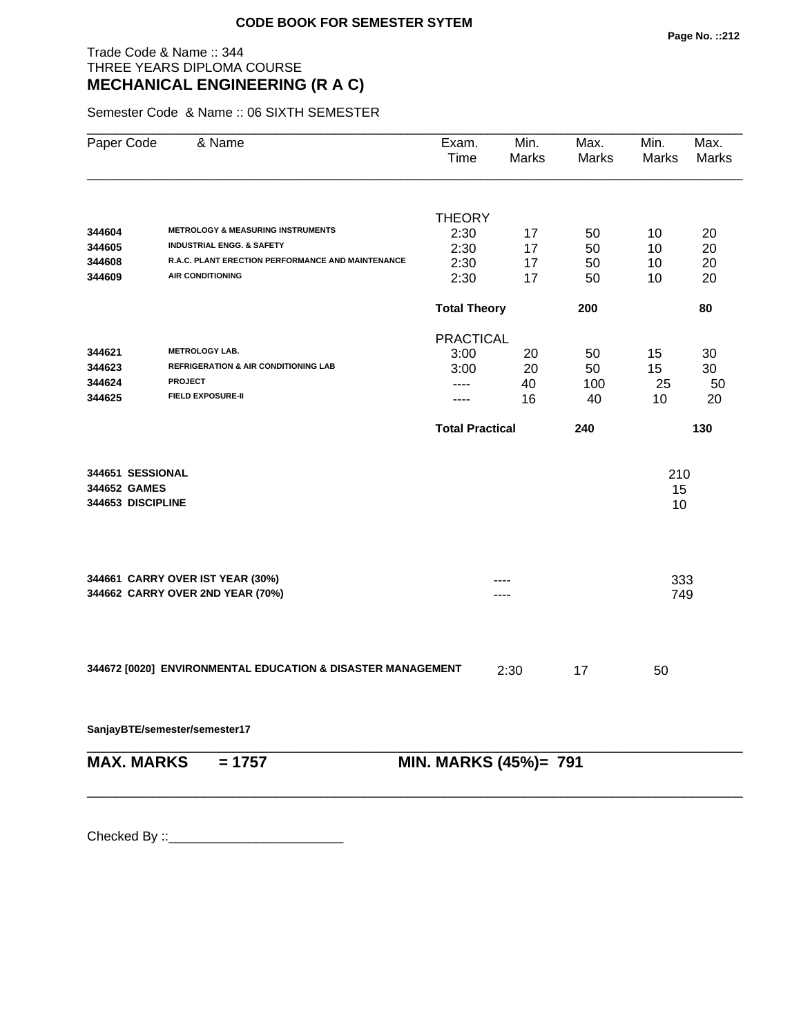# Trade Code & Name :: 344 THREE YEARS DIPLOMA COURSE **MECHANICAL ENGINEERING (R A C)**

Semester Code & Name :: 06 SIXTH SEMESTER

| Paper Code                                            | & Name                                                               | Exam.<br>Time          | Min.<br>Marks | Max.<br>Marks | Min.<br>Marks   | Max.<br>Marks |
|-------------------------------------------------------|----------------------------------------------------------------------|------------------------|---------------|---------------|-----------------|---------------|
|                                                       |                                                                      |                        |               |               |                 |               |
|                                                       |                                                                      | <b>THEORY</b>          |               |               |                 |               |
| 344604                                                | <b>METROLOGY &amp; MEASURING INSTRUMENTS</b>                         | 2:30                   | 17            | 50            | 10              | 20            |
| 344605                                                | <b>INDUSTRIAL ENGG. &amp; SAFETY</b>                                 | 2:30                   | 17            | 50            | 10              | 20            |
| 344608                                                | R.A.C. PLANT ERECTION PERFORMANCE AND MAINTENANCE                    | 2:30                   | 17            | 50            | 10              | 20            |
| 344609                                                | <b>AIR CONDITIONING</b>                                              | 2:30                   | 17            | 50            | 10              | 20            |
|                                                       |                                                                      | <b>Total Theory</b>    |               | 200           |                 | 80            |
|                                                       |                                                                      | <b>PRACTICAL</b>       |               |               |                 |               |
| 344621                                                | <b>METROLOGY LAB.</b>                                                | 3:00                   | 20            | 50            | 15              | 30            |
| 344623                                                | <b>REFRIGERATION &amp; AIR CONDITIONING LAB</b>                      | 3:00                   | 20            | 50            | 15              | 30            |
| 344624                                                | <b>PROJECT</b>                                                       | ----                   | 40            | 100           | 25              | 50            |
| 344625                                                | <b>FIELD EXPOSURE-II</b>                                             | ----                   | 16            | 40            | 10              | 20            |
|                                                       |                                                                      | <b>Total Practical</b> |               | 240           |                 | 130           |
| 344651 SESSIONAL<br>344652 GAMES<br>344653 DISCIPLINE |                                                                      |                        |               |               | 210<br>15<br>10 |               |
|                                                       | 344661 CARRY OVER IST YEAR (30%)<br>344662 CARRY OVER 2ND YEAR (70%) |                        |               |               | 333<br>749      |               |
|                                                       | 344672 [0020] ENVIRONMENTAL EDUCATION & DISASTER MANAGEMENT          |                        | 2:30          | 17            | 50              |               |
|                                                       | SanjayBTE/semester/semester17                                        |                        |               |               |                 |               |
| <b>MAX. MARKS</b>                                     | $= 1757$                                                             | MIN. MARKS (45%)= 791  |               |               |                 |               |
|                                                       |                                                                      |                        |               |               |                 |               |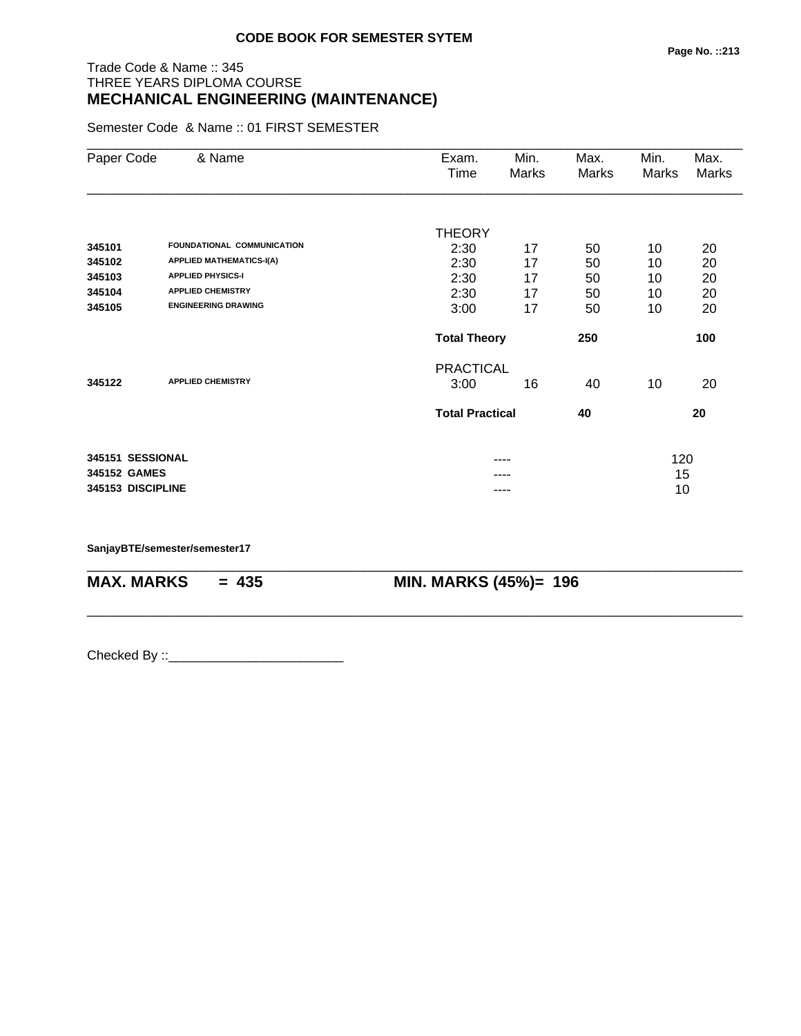# Trade Code & Name :: 345 THREE YEARS DIPLOMA COURSE **MECHANICAL ENGINEERING (MAINTENANCE)**

Semester Code & Name :: 01 FIRST SEMESTER

| Paper Code        | & Name                          | Exam.                  | Min.  | Max.  | Min.  | Max.         |
|-------------------|---------------------------------|------------------------|-------|-------|-------|--------------|
|                   |                                 | Time                   | Marks | Marks | Marks | <b>Marks</b> |
|                   |                                 |                        |       |       |       |              |
|                   |                                 | <b>THEORY</b>          |       |       |       |              |
| 345101            | FOUNDATIONAL COMMUNICATION      | 2:30                   | 17    | 50    | 10    | 20           |
| 345102            | <b>APPLIED MATHEMATICS-I(A)</b> | 2:30                   | 17    | 50    | 10    | 20           |
| 345103            | <b>APPLIED PHYSICS-I</b>        | 2:30                   | 17    | 50    | 10    | 20           |
| 345104            | <b>APPLIED CHEMISTRY</b>        | 2:30                   | 17    | 50    | 10    | 20           |
| 345105            | <b>ENGINEERING DRAWING</b>      | 3:00                   | 17    | 50    | 10    | 20           |
|                   |                                 | <b>Total Theory</b>    |       | 250   |       | 100          |
|                   |                                 | <b>PRACTICAL</b>       |       |       |       |              |
| 345122            | <b>APPLIED CHEMISTRY</b>        | 3:00                   | 16    | 40    | 10    | 20           |
|                   |                                 | <b>Total Practical</b> |       | 40    |       | 20           |
| 345151 SESSIONAL  |                                 |                        | ----  |       | 120   |              |
| 345152 GAMES      |                                 |                        |       |       | 15    |              |
| 345153 DISCIPLINE |                                 |                        | ----  |       | 10    |              |
|                   |                                 |                        |       |       |       |              |

\_\_\_\_\_\_\_\_\_\_\_\_\_\_\_\_\_\_\_\_\_\_\_\_\_\_\_\_\_\_\_\_\_\_\_\_\_\_\_\_\_\_\_\_\_\_\_\_\_\_\_\_\_\_\_\_\_\_\_\_\_\_\_\_\_\_\_\_\_\_\_\_\_\_\_\_\_\_\_\_\_\_\_\_\_\_\_\_\_\_

\_\_\_\_\_\_\_\_\_\_\_\_\_\_\_\_\_\_\_\_\_\_\_\_\_\_\_\_\_\_\_\_\_\_\_\_\_\_\_\_\_\_\_\_\_\_\_\_\_\_\_\_\_\_\_\_\_\_\_\_\_\_\_\_\_\_\_\_\_\_\_\_\_\_\_\_\_\_\_\_\_\_\_\_\_\_\_\_\_\_

**SanjayBTE/semester/semester17**

**MAX. MARKS = 435 MIN. MARKS (45%)= 196**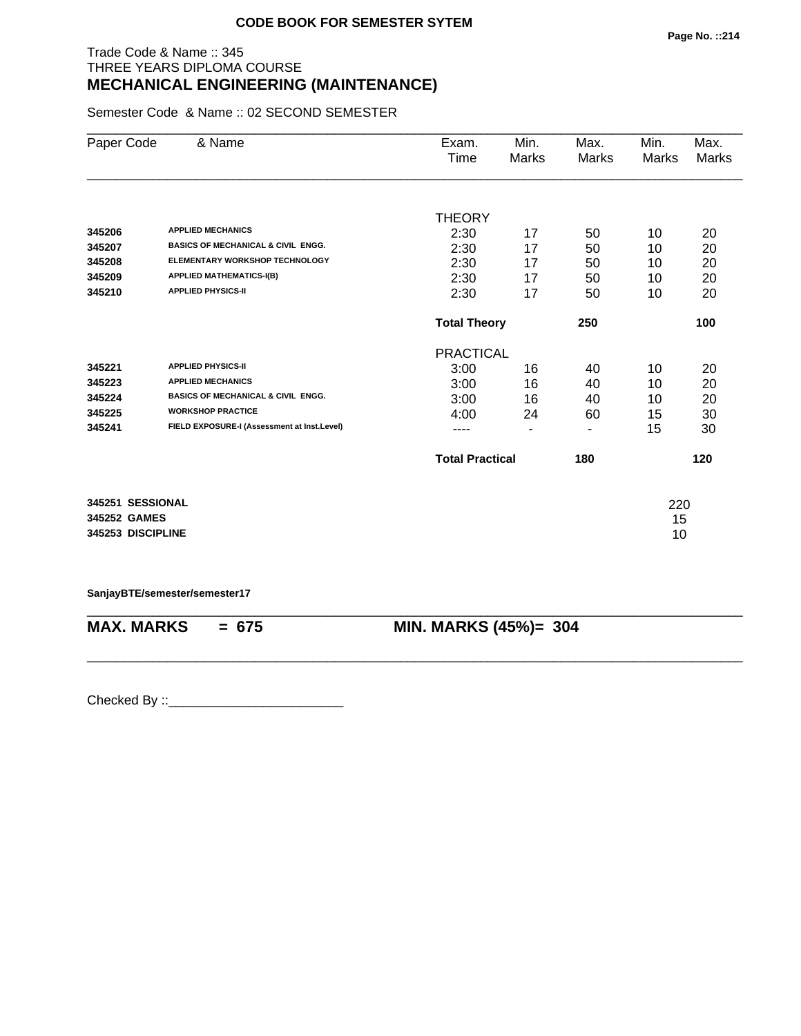# Trade Code & Name :: 345 THREE YEARS DIPLOMA COURSE **MECHANICAL ENGINEERING (MAINTENANCE)**

Semester Code & Name :: 02 SECOND SEMESTER

| Paper Code        | & Name                                        | Exam.                  | Min.           | Max.  | Min.  | Max.         |
|-------------------|-----------------------------------------------|------------------------|----------------|-------|-------|--------------|
|                   |                                               | Time                   | <b>Marks</b>   | Marks | Marks | <b>Marks</b> |
|                   |                                               |                        |                |       |       |              |
|                   |                                               | <b>THEORY</b>          |                |       |       |              |
| 345206            | <b>APPLIED MECHANICS</b>                      | 2:30                   | 17             | 50    | 10    | 20           |
| 345207            | <b>BASICS OF MECHANICAL &amp; CIVIL ENGG.</b> | 2:30                   | 17             | 50    | 10    | 20           |
| 345208            | <b>ELEMENTARY WORKSHOP TECHNOLOGY</b>         | 2:30                   | 17             | 50    | 10    | 20           |
| 345209            | <b>APPLIED MATHEMATICS-I(B)</b>               | 2:30                   | 17             | 50    | 10    | 20           |
| 345210            | <b>APPLIED PHYSICS-II</b>                     | 2:30                   | 17             | 50    | 10    | 20           |
|                   |                                               | <b>Total Theory</b>    |                | 250   |       | 100          |
|                   |                                               | <b>PRACTICAL</b>       |                |       |       |              |
| 345221            | <b>APPLIED PHYSICS-II</b>                     | 3:00                   | 16             | 40    | 10    | 20           |
| 345223            | <b>APPLIED MECHANICS</b>                      | 3:00                   | 16             | 40    | 10    | 20           |
| 345224            | <b>BASICS OF MECHANICAL &amp; CIVIL ENGG.</b> | 3:00                   | 16             | 40    | 10    | 20           |
| 345225            | <b>WORKSHOP PRACTICE</b>                      | 4:00                   | 24             | 60    | 15    | 30           |
| 345241            | FIELD EXPOSURE-I (Assessment at Inst.Level)   |                        | $\blacksquare$ | ۰     | 15    | 30           |
|                   |                                               | <b>Total Practical</b> |                | 180   |       | 120          |
|                   |                                               |                        |                |       |       |              |
| 345251 SESSIONAL  |                                               |                        |                |       | 220   |              |
| 345252 GAMES      |                                               |                        |                |       | 15    |              |
| 345253 DISCIPLINE |                                               |                        |                |       | 10    |              |

**SanjayBTE/semester/semester17**

\_\_\_\_\_\_\_\_\_\_\_\_\_\_\_\_\_\_\_\_\_\_\_\_\_\_\_\_\_\_\_\_\_\_\_\_\_\_\_\_\_\_\_\_\_\_\_\_\_\_\_\_\_\_\_\_\_\_\_\_\_\_\_\_\_\_\_\_\_\_\_\_\_\_\_\_\_\_\_\_\_\_\_\_\_\_\_\_\_\_ **MAX. MARKS = 675 MIN. MARKS (45%)= 304**

\_\_\_\_\_\_\_\_\_\_\_\_\_\_\_\_\_\_\_\_\_\_\_\_\_\_\_\_\_\_\_\_\_\_\_\_\_\_\_\_\_\_\_\_\_\_\_\_\_\_\_\_\_\_\_\_\_\_\_\_\_\_\_\_\_\_\_\_\_\_\_\_\_\_\_\_\_\_\_\_\_\_\_\_\_\_\_\_\_\_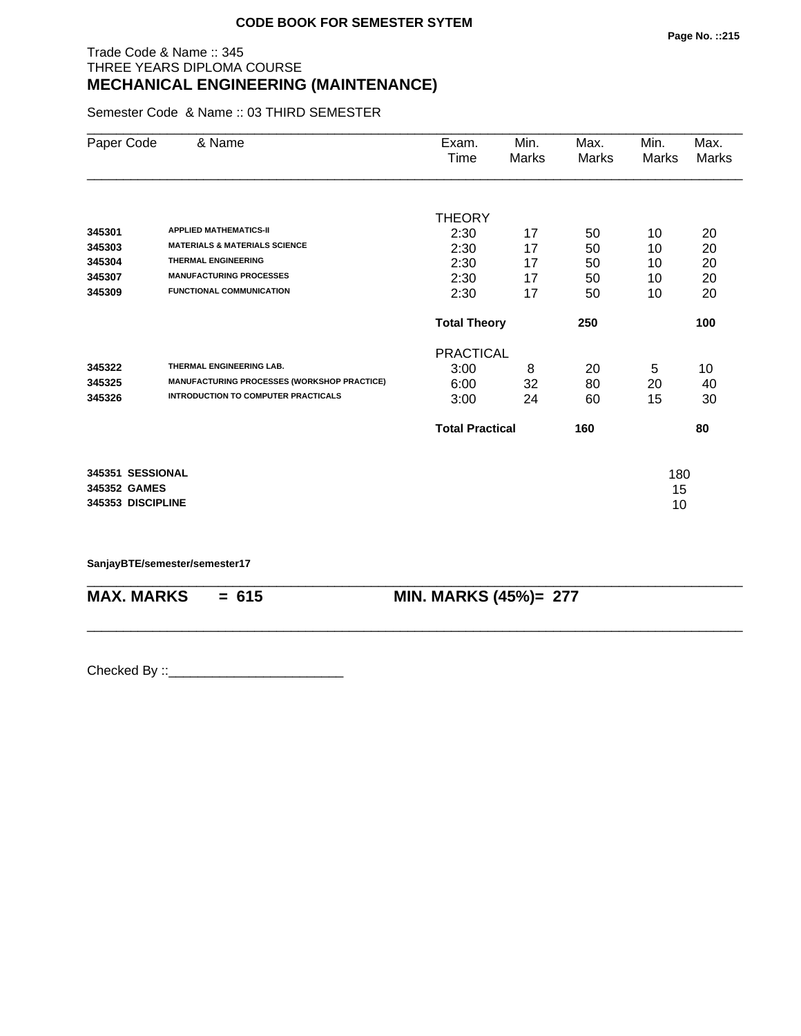# Trade Code & Name :: 345 THREE YEARS DIPLOMA COURSE **MECHANICAL ENGINEERING (MAINTENANCE)**

Semester Code & Name :: 03 THIRD SEMESTER

| Paper Code        | & Name                                      | Exam.                                          | Min.  | Max.  | Min.  | Max.  |
|-------------------|---------------------------------------------|------------------------------------------------|-------|-------|-------|-------|
|                   |                                             | Time                                           | Marks | Marks | Marks | Marks |
|                   |                                             |                                                |       |       |       |       |
|                   |                                             | <b>THEORY</b>                                  |       |       |       |       |
| 345301            | <b>APPLIED MATHEMATICS-II</b>               | 2:30                                           | 17    | 50    | 10    | 20    |
| 345303            | <b>MATERIALS &amp; MATERIALS SCIENCE</b>    | 2:30                                           | 17    | 50    | 10    | 20    |
| 345304            | <b>THERMAL ENGINEERING</b>                  | 2:30                                           | 17    | 50    | 10    | 20    |
| 345307            | <b>MANUFACTURING PROCESSES</b>              | 2:30                                           | 17    | 50    | 10    | 20    |
| 345309            | <b>FUNCTIONAL COMMUNICATION</b>             | 2:30                                           | 17    | 50    | 10    | 20    |
|                   |                                             | <b>Total Theory</b><br>250<br><b>PRACTICAL</b> |       |       |       | 100   |
|                   |                                             |                                                |       |       |       |       |
| 345322            | THERMAL ENGINEERING LAB.                    | 3:00                                           | 8     | 20    | 5     | 10    |
| 345325            | MANUFACTURING PROCESSES (WORKSHOP PRACTICE) | 6:00                                           | 32    | 80    | 20    | 40    |
| 345326            | <b>INTRODUCTION TO COMPUTER PRACTICALS</b>  | 3:00                                           | 24    | 60    | 15    | 30    |
|                   |                                             | <b>Total Practical</b>                         |       | 160   |       | 80    |
| 345351 SESSIONAL  |                                             |                                                |       |       | 180   |       |
| 345352 GAMES      |                                             |                                                |       |       | 15    |       |
| 345353 DISCIPLINE |                                             |                                                |       |       | 10    |       |

\_\_\_\_\_\_\_\_\_\_\_\_\_\_\_\_\_\_\_\_\_\_\_\_\_\_\_\_\_\_\_\_\_\_\_\_\_\_\_\_\_\_\_\_\_\_\_\_\_\_\_\_\_\_\_\_\_\_\_\_\_\_\_\_\_\_\_\_\_\_\_\_\_\_\_\_\_\_\_\_\_\_\_\_\_\_\_\_\_\_

\_\_\_\_\_\_\_\_\_\_\_\_\_\_\_\_\_\_\_\_\_\_\_\_\_\_\_\_\_\_\_\_\_\_\_\_\_\_\_\_\_\_\_\_\_\_\_\_\_\_\_\_\_\_\_\_\_\_\_\_\_\_\_\_\_\_\_\_\_\_\_\_\_\_\_\_\_\_\_\_\_\_\_\_\_\_\_\_\_\_

**SanjayBTE/semester/semester17**

**MAX. MARKS = 615 MIN. MARKS (45%)= 277**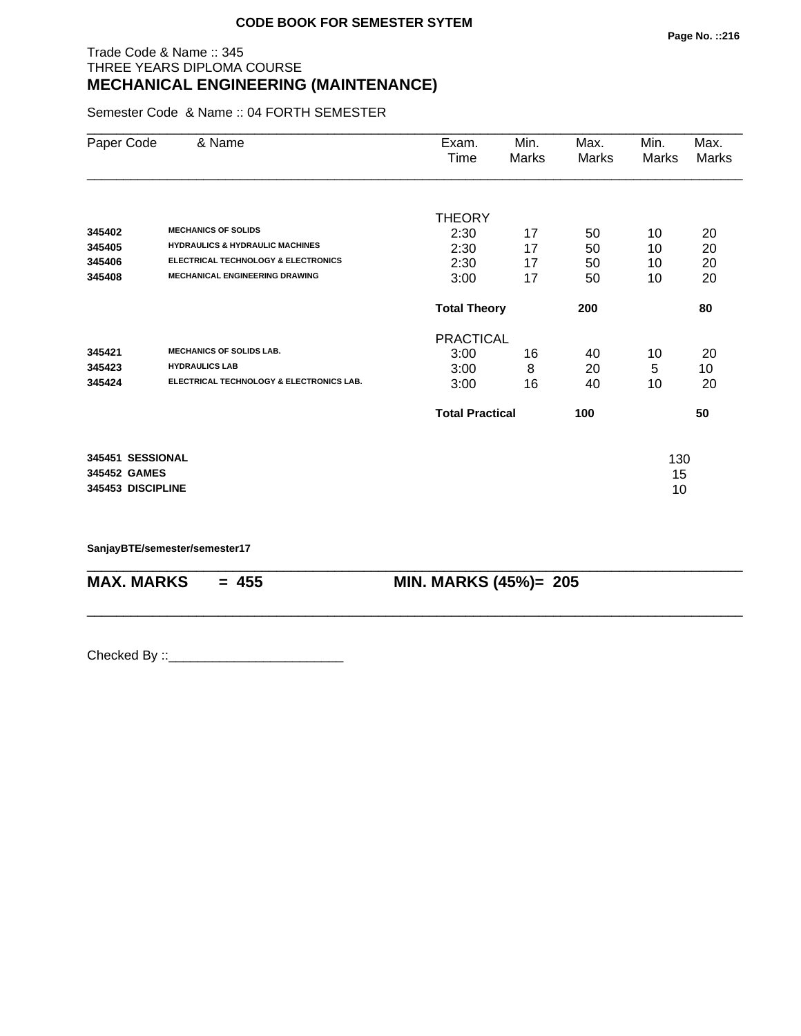# Trade Code & Name :: 345 THREE YEARS DIPLOMA COURSE **MECHANICAL ENGINEERING (MAINTENANCE)**

Semester Code & Name :: 04 FORTH SEMESTER

| Paper Code                                            | & Name                                                                                                                                                              | Exam.<br>Time                                 | Min.<br>Marks        | Max.<br>Marks        | Min.<br>Marks        | Max.<br>Marks        |
|-------------------------------------------------------|---------------------------------------------------------------------------------------------------------------------------------------------------------------------|-----------------------------------------------|----------------------|----------------------|----------------------|----------------------|
| 345402<br>345405<br>345406<br>345408                  | <b>MECHANICS OF SOLIDS</b><br><b>HYDRAULICS &amp; HYDRAULIC MACHINES</b><br><b>ELECTRICAL TECHNOLOGY &amp; ELECTRONICS</b><br><b>MECHANICAL ENGINEERING DRAWING</b> | <b>THEORY</b><br>2:30<br>2:30<br>2:30<br>3:00 | 17<br>17<br>17<br>17 | 50<br>50<br>50<br>50 | 10<br>10<br>10<br>10 | 20<br>20<br>20<br>20 |
|                                                       |                                                                                                                                                                     | <b>Total Theory</b>                           |                      | 200                  |                      | 80                   |
| 345421<br>345423<br>345424                            | <b>MECHANICS OF SOLIDS LAB.</b><br><b>HYDRAULICS LAB</b><br>ELECTRICAL TECHNOLOGY & ELECTRONICS LAB.                                                                | <b>PRACTICAL</b><br>3:00<br>3:00<br>3:00      | 16<br>8<br>16        | 40<br>20<br>40       | 10<br>5<br>10        | 20<br>10<br>20       |
|                                                       |                                                                                                                                                                     | <b>Total Practical</b>                        |                      | 100                  | 50                   |                      |
| 345451 SESSIONAL<br>345452 GAMES<br>345453 DISCIPLINE |                                                                                                                                                                     |                                               |                      | 130<br>15<br>10      |                      |                      |

\_\_\_\_\_\_\_\_\_\_\_\_\_\_\_\_\_\_\_\_\_\_\_\_\_\_\_\_\_\_\_\_\_\_\_\_\_\_\_\_\_\_\_\_\_\_\_\_\_\_\_\_\_\_\_\_\_\_\_\_\_\_\_\_\_\_\_\_\_\_\_\_\_\_\_\_\_\_\_\_\_\_\_\_\_\_\_\_\_\_

\_\_\_\_\_\_\_\_\_\_\_\_\_\_\_\_\_\_\_\_\_\_\_\_\_\_\_\_\_\_\_\_\_\_\_\_\_\_\_\_\_\_\_\_\_\_\_\_\_\_\_\_\_\_\_\_\_\_\_\_\_\_\_\_\_\_\_\_\_\_\_\_\_\_\_\_\_\_\_\_\_\_\_\_\_\_\_\_\_\_

**SanjayBTE/semester/semester17**

**MAX. MARKS** = 455 **MIN. MARKS (45%)**= 205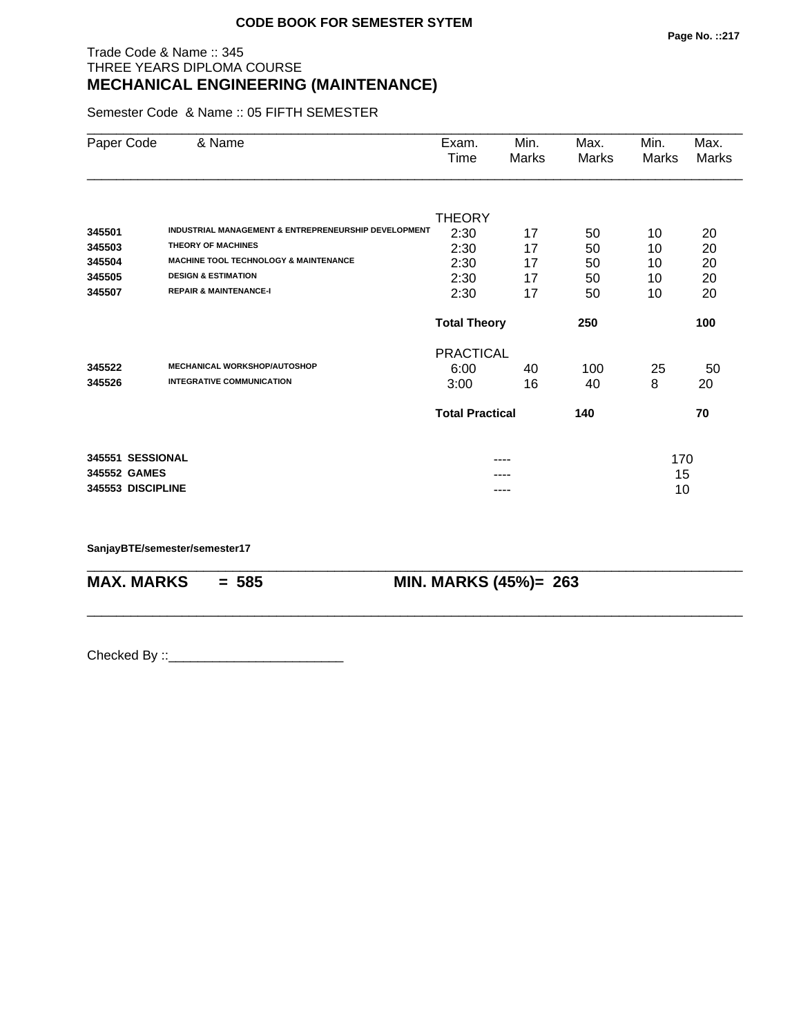## Trade Code & Name :: 345 THREE YEARS DIPLOMA COURSE **MECHANICAL ENGINEERING (MAINTENANCE)**

Semester Code & Name :: 05 FIFTH SEMESTER

| Paper Code        | & Name                                                          | Exam.<br>Time          | Min.<br>Marks | Max.<br>Marks | Min.<br>Marks | Max.<br>Marks |
|-------------------|-----------------------------------------------------------------|------------------------|---------------|---------------|---------------|---------------|
|                   |                                                                 |                        |               |               |               |               |
|                   |                                                                 | <b>THEORY</b>          |               |               |               |               |
| 345501            | <b>INDUSTRIAL MANAGEMENT &amp; ENTREPRENEURSHIP DEVELOPMENT</b> | 2:30                   | 17            | 50            | 10            | 20            |
| 345503            | <b>THEORY OF MACHINES</b>                                       | 2:30                   | 17            | 50            | 10            | 20            |
| 345504            | <b>MACHINE TOOL TECHNOLOGY &amp; MAINTENANCE</b>                | 2:30                   | 17            | 50            | 10            | 20            |
| 345505            | <b>DESIGN &amp; ESTIMATION</b>                                  | 2:30                   | 17            | 50            | 10            | 20            |
| 345507            | <b>REPAIR &amp; MAINTENANCE-I</b>                               | 2:30                   | 17            | 50            | 10            | 20            |
|                   |                                                                 | <b>Total Theory</b>    |               | 250           |               | 100           |
|                   |                                                                 | <b>PRACTICAL</b>       |               |               |               |               |
| 345522            | <b>MECHANICAL WORKSHOP/AUTOSHOP</b>                             | 6:00                   | 40            | 100           | 25            | 50            |
| 345526            | <b>INTEGRATIVE COMMUNICATION</b>                                | 3:00                   | 16            | 40            | 8             | 20            |
|                   |                                                                 | <b>Total Practical</b> |               | 140           |               | 70            |
| 345551 SESSIONAL  |                                                                 |                        | ----          |               | 170           |               |
| 345552 GAMES      |                                                                 |                        |               |               | 15            |               |
| 345553 DISCIPLINE |                                                                 |                        | ----          |               | 10            |               |

\_\_\_\_\_\_\_\_\_\_\_\_\_\_\_\_\_\_\_\_\_\_\_\_\_\_\_\_\_\_\_\_\_\_\_\_\_\_\_\_\_\_\_\_\_\_\_\_\_\_\_\_\_\_\_\_\_\_\_\_\_\_\_\_\_\_\_\_\_\_\_\_\_\_\_\_\_\_\_\_\_\_\_\_\_\_\_\_\_\_

\_\_\_\_\_\_\_\_\_\_\_\_\_\_\_\_\_\_\_\_\_\_\_\_\_\_\_\_\_\_\_\_\_\_\_\_\_\_\_\_\_\_\_\_\_\_\_\_\_\_\_\_\_\_\_\_\_\_\_\_\_\_\_\_\_\_\_\_\_\_\_\_\_\_\_\_\_\_\_\_\_\_\_\_\_\_\_\_\_\_

**SanjayBTE/semester/semester17**

**MAX. MARKS = 585 MIN. MARKS (45%)= 263**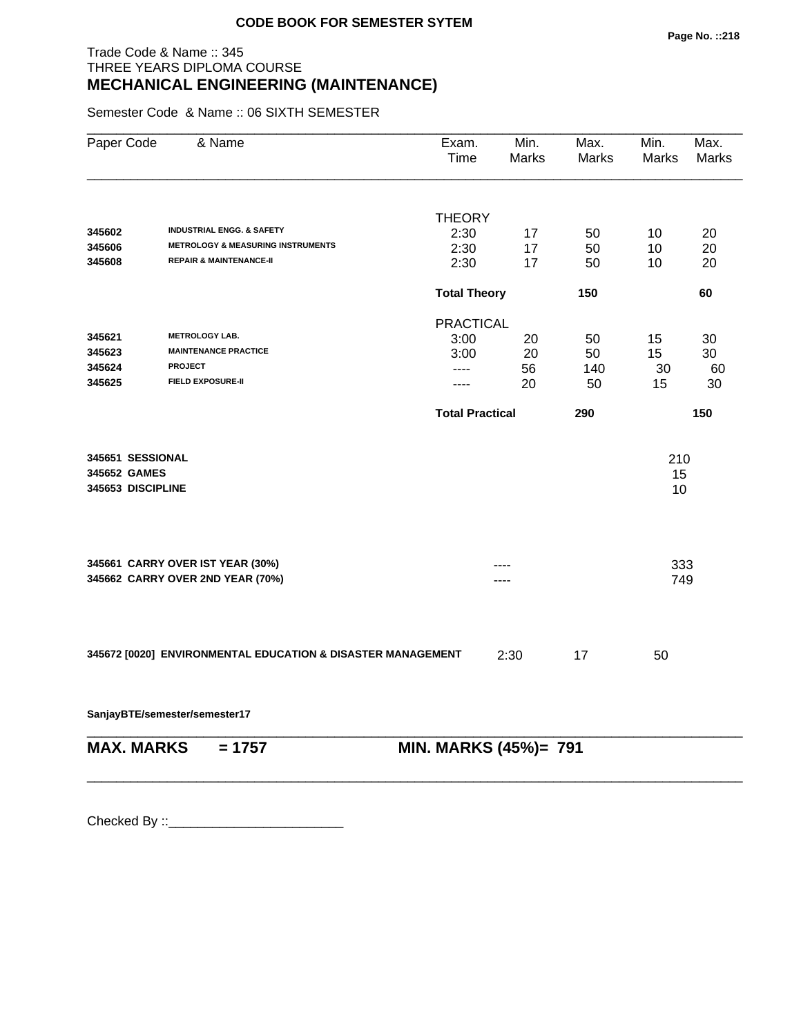# Trade Code & Name :: 345 THREE YEARS DIPLOMA COURSE **MECHANICAL ENGINEERING (MAINTENANCE)**

Semester Code & Name :: 06 SIXTH SEMESTER

| Paper Code        | & Name                                                      | Exam.<br>Time          | Min.<br>Marks | Max.<br>Marks | Min.<br><b>Marks</b> | Max.<br>Marks |
|-------------------|-------------------------------------------------------------|------------------------|---------------|---------------|----------------------|---------------|
|                   |                                                             |                        |               |               |                      |               |
| 345602            | <b>INDUSTRIAL ENGG. &amp; SAFETY</b>                        | <b>THEORY</b>          |               |               |                      |               |
| 345606            | <b>METROLOGY &amp; MEASURING INSTRUMENTS</b>                | 2:30<br>2:30           | 17<br>17      | 50<br>50      | 10<br>10             | 20<br>20      |
| 345608            | <b>REPAIR &amp; MAINTENANCE-II</b>                          | 2:30                   | 17            | 50            | 10                   | 20            |
|                   |                                                             | <b>Total Theory</b>    |               | 150           |                      | 60            |
|                   |                                                             | <b>PRACTICAL</b>       |               |               |                      |               |
| 345621            | <b>METROLOGY LAB.</b>                                       | 3:00                   | 20            | 50            | 15                   | 30            |
| 345623            | <b>MAINTENANCE PRACTICE</b>                                 | 3:00                   | 20            | 50            | 15                   | 30            |
| 345624            | <b>PROJECT</b>                                              | ----                   | 56            | 140           | 30                   | 60            |
| 345625            | <b>FIELD EXPOSURE-II</b>                                    | ----                   | 20            | 50            | 15                   | 30            |
|                   |                                                             | <b>Total Practical</b> |               | 290           |                      | 150           |
| 345651 SESSIONAL  |                                                             |                        |               |               | 210                  |               |
| 345652 GAMES      |                                                             |                        |               |               | 15                   |               |
| 345653 DISCIPLINE |                                                             |                        |               |               | 10                   |               |
|                   | 345661 CARRY OVER IST YEAR (30%)                            |                        |               |               |                      |               |
|                   | 345662 CARRY OVER 2ND YEAR (70%)                            |                        |               |               | 333<br>749           |               |
|                   |                                                             |                        |               |               |                      |               |
|                   | 345672 [0020] ENVIRONMENTAL EDUCATION & DISASTER MANAGEMENT |                        | 2:30          | 17            | 50                   |               |
|                   | SanjayBTE/semester/semester17                               |                        |               |               |                      |               |
| <b>MAX. MARKS</b> | $= 1757$                                                    | MIN. MARKS (45%)= 791  |               |               |                      |               |

\_\_\_\_\_\_\_\_\_\_\_\_\_\_\_\_\_\_\_\_\_\_\_\_\_\_\_\_\_\_\_\_\_\_\_\_\_\_\_\_\_\_\_\_\_\_\_\_\_\_\_\_\_\_\_\_\_\_\_\_\_\_\_\_\_\_\_\_\_\_\_\_\_\_\_\_\_\_\_\_\_\_\_\_\_\_\_\_\_\_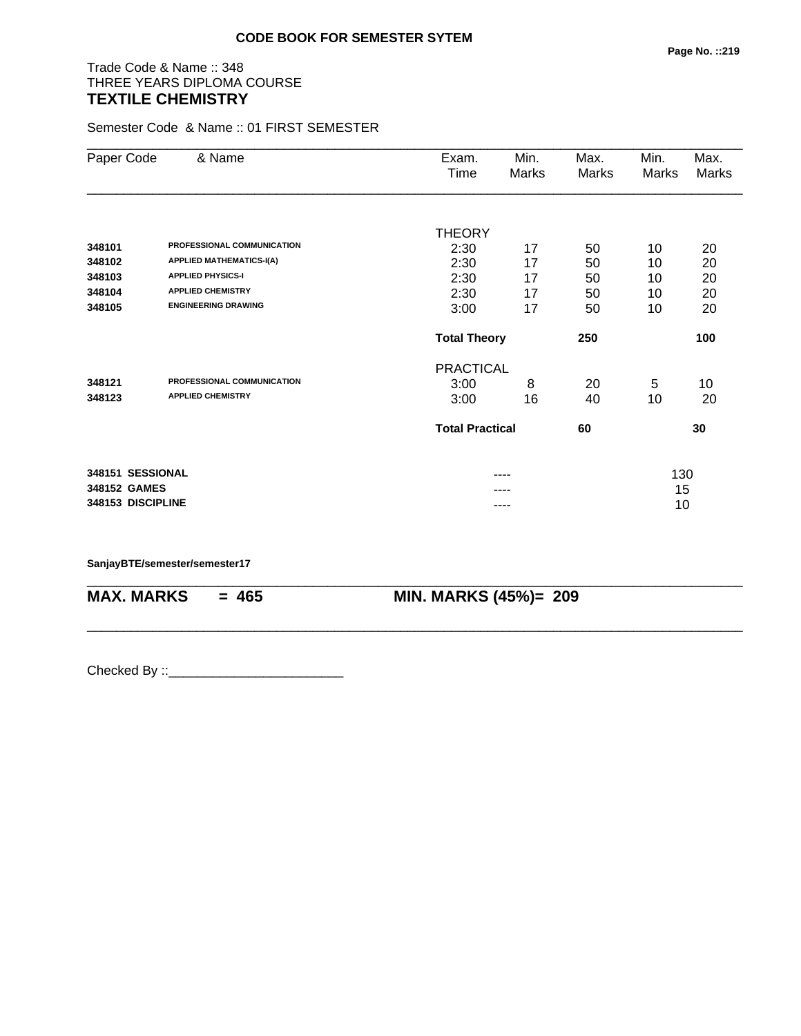# Trade Code & Name :: 348 THREE YEARS DIPLOMA COURSE **TEXTILE CHEMISTRY**

Semester Code & Name :: 01 FIRST SEMESTER

| Paper Code        | & Name                          | Exam.<br>Time          | Min.<br>Marks | Max.<br><b>Marks</b> | Min.<br>Marks | Max.<br>Marks |
|-------------------|---------------------------------|------------------------|---------------|----------------------|---------------|---------------|
|                   |                                 |                        |               |                      |               |               |
|                   |                                 | <b>THEORY</b>          |               |                      |               |               |
| 348101            | PROFESSIONAL COMMUNICATION      | 2:30                   | 17            | 50                   | 10            | 20            |
| 348102            | <b>APPLIED MATHEMATICS-I(A)</b> | 2:30                   | 17            | 50                   | 10            | 20            |
| 348103            | <b>APPLIED PHYSICS-I</b>        | 2:30                   | 17            | 50                   | 10            | 20            |
| 348104            | <b>APPLIED CHEMISTRY</b>        | 2:30                   | 17            | 50                   | 10            | 20            |
| 348105            | <b>ENGINEERING DRAWING</b>      | 3:00                   | 17            | 50                   | 10            | 20            |
|                   |                                 | <b>Total Theory</b>    |               | 250                  |               | 100           |
|                   |                                 | <b>PRACTICAL</b>       |               |                      |               |               |
| 348121            | PROFESSIONAL COMMUNICATION      | 3:00                   | 8             | 20                   | 5             | 10            |
| 348123            | <b>APPLIED CHEMISTRY</b>        | 3:00                   | 16            | 40                   | 10            | 20            |
|                   |                                 | <b>Total Practical</b> |               | 60                   |               | 30            |
| 348151 SESSIONAL  |                                 |                        |               |                      | 130           |               |
| 348152 GAMES      |                                 |                        |               |                      | 15            |               |
| 348153 DISCIPLINE |                                 |                        | ----          |                      | 10            |               |

\_\_\_\_\_\_\_\_\_\_\_\_\_\_\_\_\_\_\_\_\_\_\_\_\_\_\_\_\_\_\_\_\_\_\_\_\_\_\_\_\_\_\_\_\_\_\_\_\_\_\_\_\_\_\_\_\_\_\_\_\_\_\_\_\_\_\_\_\_\_\_\_\_\_\_\_\_\_\_\_\_\_\_\_\_\_\_\_\_\_

\_\_\_\_\_\_\_\_\_\_\_\_\_\_\_\_\_\_\_\_\_\_\_\_\_\_\_\_\_\_\_\_\_\_\_\_\_\_\_\_\_\_\_\_\_\_\_\_\_\_\_\_\_\_\_\_\_\_\_\_\_\_\_\_\_\_\_\_\_\_\_\_\_\_\_\_\_\_\_\_\_\_\_\_\_\_\_\_\_\_

#### **SanjayBTE/semester/semester17**

**MAX. MARKS = 465 MIN. MARKS (45%)= 209**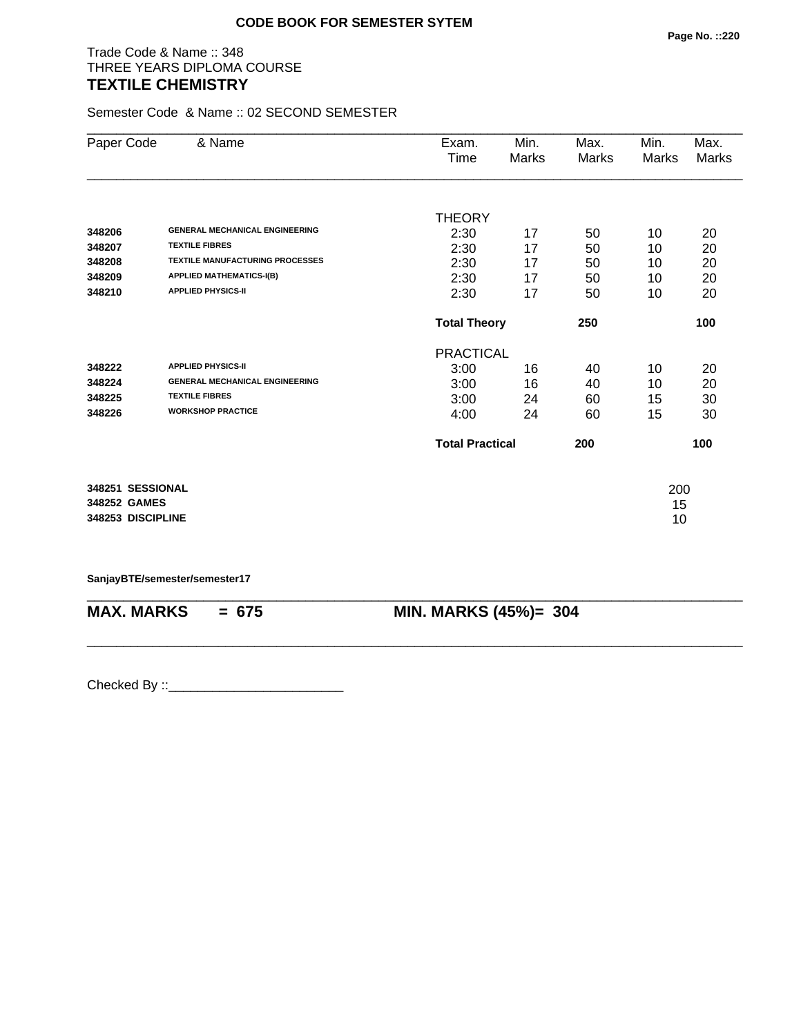## Trade Code & Name :: 348 THREE YEARS DIPLOMA COURSE **TEXTILE CHEMISTRY**

Semester Code & Name :: 02 SECOND SEMESTER

| Paper Code        | & Name                                 | Exam.                  | Min.  | Max.  | Min.  | Max.  |
|-------------------|----------------------------------------|------------------------|-------|-------|-------|-------|
|                   |                                        | Time                   | Marks | Marks | Marks | Marks |
|                   |                                        |                        |       |       |       |       |
|                   |                                        | <b>THEORY</b>          |       |       |       |       |
| 348206            | <b>GENERAL MECHANICAL ENGINEERING</b>  | 2:30                   | 17    | 50    | 10    | 20    |
| 348207            | <b>TEXTILE FIBRES</b>                  | 2:30                   | 17    | 50    | 10    | 20    |
| 348208            | <b>TEXTILE MANUFACTURING PROCESSES</b> | 2:30                   | 17    | 50    | 10    | 20    |
| 348209            | <b>APPLIED MATHEMATICS-I(B)</b>        | 2:30                   | 17    | 50    | 10    | 20    |
| 348210            | <b>APPLIED PHYSICS-II</b>              | 2:30                   | 17    | 50    | 10    | 20    |
|                   |                                        | <b>Total Theory</b>    |       | 250   |       | 100   |
|                   |                                        | <b>PRACTICAL</b>       |       |       |       |       |
| 348222            | <b>APPLIED PHYSICS-II</b>              | 3:00                   | 16    | 40    | 10    | 20    |
| 348224            | <b>GENERAL MECHANICAL ENGINEERING</b>  | 3:00                   | 16    | 40    | 10    | 20    |
| 348225            | <b>TEXTILE FIBRES</b>                  | 3:00                   | 24    | 60    | 15    | 30    |
| 348226            | <b>WORKSHOP PRACTICE</b>               | 4:00                   | 24    | 60    | 15    | 30    |
|                   |                                        | <b>Total Practical</b> |       | 200   |       | 100   |
| 348251 SESSIONAL  |                                        |                        |       |       | 200   |       |
| 348252 GAMES      |                                        |                        |       |       | 15    |       |
| 348253 DISCIPLINE |                                        |                        |       |       | 10    |       |

**SanjayBTE/semester/semester17**

| $MAX. \, MARKS = 675$ | <b>MIN. MARKS (45%)= 304</b> |
|-----------------------|------------------------------|

\_\_\_\_\_\_\_\_\_\_\_\_\_\_\_\_\_\_\_\_\_\_\_\_\_\_\_\_\_\_\_\_\_\_\_\_\_\_\_\_\_\_\_\_\_\_\_\_\_\_\_\_\_\_\_\_\_\_\_\_\_\_\_\_\_\_\_\_\_\_\_\_\_\_\_\_\_\_\_\_\_\_\_\_\_\_\_\_\_\_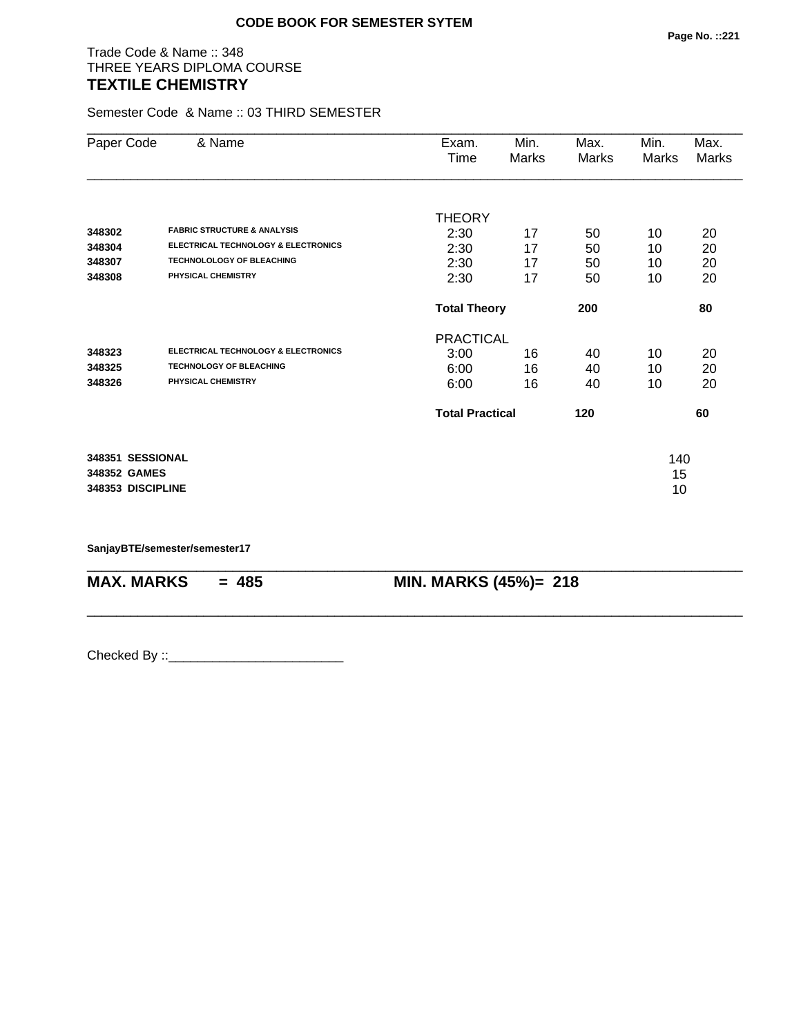## Trade Code & Name :: 348 THREE YEARS DIPLOMA COURSE **TEXTILE CHEMISTRY**

Semester Code & Name :: 03 THIRD SEMESTER

| Paper Code                                            | & Name                                                                                      | Exam.<br>Time                            | Min.<br>Marks  | Max.<br>Marks  | Min.<br><b>Marks</b> | Max.<br>Marks  |
|-------------------------------------------------------|---------------------------------------------------------------------------------------------|------------------------------------------|----------------|----------------|----------------------|----------------|
| 348302<br>348304                                      | <b>FABRIC STRUCTURE &amp; ANALYSIS</b><br><b>ELECTRICAL TECHNOLOGY &amp; ELECTRONICS</b>    | <b>THEORY</b><br>2:30<br>2:30            | 17<br>17       | 50<br>50       | 10<br>10             | 20<br>20       |
| 348307<br>348308                                      | <b>TECHNOLOLOGY OF BLEACHING</b><br>PHYSICAL CHEMISTRY                                      | 2:30<br>2:30                             | 17<br>17       | 50<br>50       | 10<br>10             | 20<br>20       |
|                                                       |                                                                                             | <b>Total Theory</b>                      |                | 200            |                      | 80             |
| 348323<br>348325<br>348326                            | ELECTRICAL TECHNOLOGY & ELECTRONICS<br><b>TECHNOLOGY OF BLEACHING</b><br>PHYSICAL CHEMISTRY | <b>PRACTICAL</b><br>3:00<br>6:00<br>6:00 | 16<br>16<br>16 | 40<br>40<br>40 | 10<br>10<br>10       | 20<br>20<br>20 |
|                                                       |                                                                                             | <b>Total Practical</b>                   |                | 120            |                      | 60             |
| 348351 SESSIONAL<br>348352 GAMES<br>348353 DISCIPLINE |                                                                                             |                                          |                |                | 140<br>15<br>10      |                |

\_\_\_\_\_\_\_\_\_\_\_\_\_\_\_\_\_\_\_\_\_\_\_\_\_\_\_\_\_\_\_\_\_\_\_\_\_\_\_\_\_\_\_\_\_\_\_\_\_\_\_\_\_\_\_\_\_\_\_\_\_\_\_\_\_\_\_\_\_\_\_\_\_\_\_\_\_\_\_\_\_\_\_\_\_\_\_\_\_\_

\_\_\_\_\_\_\_\_\_\_\_\_\_\_\_\_\_\_\_\_\_\_\_\_\_\_\_\_\_\_\_\_\_\_\_\_\_\_\_\_\_\_\_\_\_\_\_\_\_\_\_\_\_\_\_\_\_\_\_\_\_\_\_\_\_\_\_\_\_\_\_\_\_\_\_\_\_\_\_\_\_\_\_\_\_\_\_\_\_\_

**SanjayBTE/semester/semester17**

**MAX. MARKS = 485 MIN. MARKS (45%)= 218**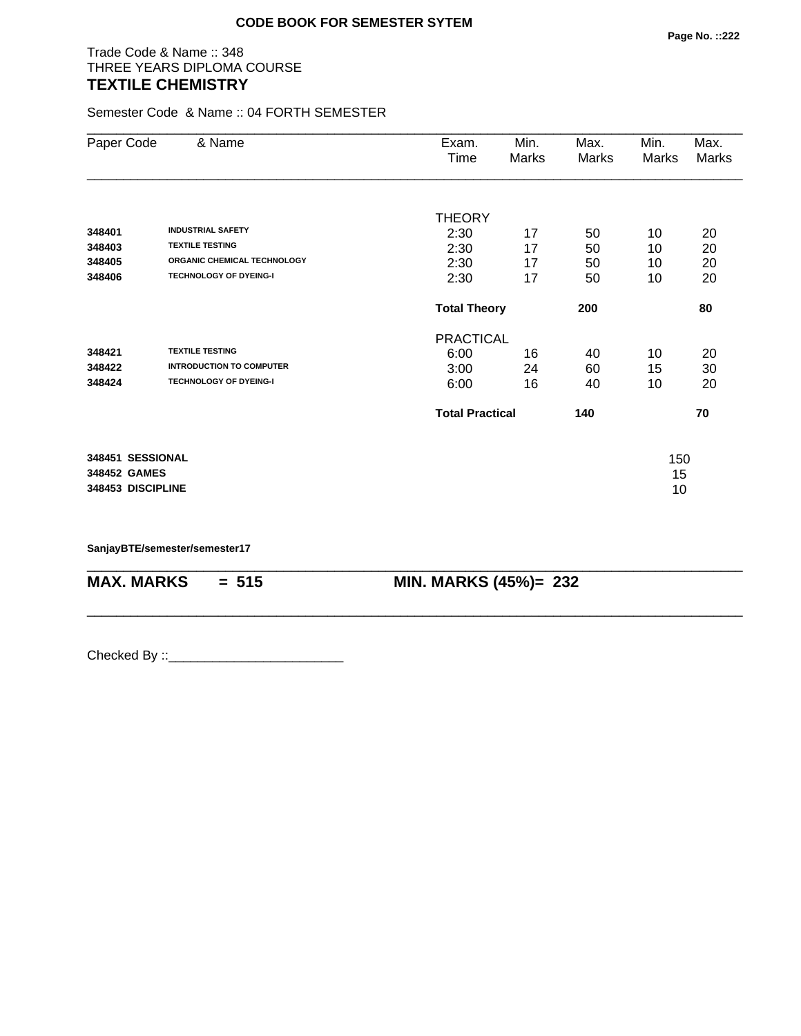# Trade Code & Name :: 348 THREE YEARS DIPLOMA COURSE **TEXTILE CHEMISTRY**

Semester Code & Name :: 04 FORTH SEMESTER

| Paper Code        | & Name                          | Exam.                  | Min.  | Max.  | Min.  | Max.         |
|-------------------|---------------------------------|------------------------|-------|-------|-------|--------------|
|                   |                                 | Time                   | Marks | Marks | Marks | <b>Marks</b> |
|                   |                                 |                        |       |       |       |              |
|                   |                                 | <b>THEORY</b>          |       |       |       |              |
| 348401            | <b>INDUSTRIAL SAFETY</b>        | 2:30                   | 17    | 50    | 10    | 20           |
| 348403            | <b>TEXTILE TESTING</b>          | 2:30                   | 17    | 50    | 10    | 20           |
| 348405            | ORGANIC CHEMICAL TECHNOLOGY     | 2:30                   | 17    | 50    | 10    | 20           |
| 348406            | <b>TECHNOLOGY OF DYEING-I</b>   | 2:30                   | 17    | 50    | 10    | 20           |
|                   |                                 | <b>Total Theory</b>    |       | 200   |       | 80           |
|                   |                                 | <b>PRACTICAL</b>       |       |       |       |              |
| 348421            | <b>TEXTILE TESTING</b>          | 6:00                   | 16    | 40    | 10    | 20           |
| 348422            | <b>INTRODUCTION TO COMPUTER</b> | 3:00                   | 24    | 60    | 15    | 30           |
| 348424            | <b>TECHNOLOGY OF DYEING-I</b>   | 6:00                   | 16    | 40    | 10    | 20           |
|                   |                                 | <b>Total Practical</b> |       | 140   |       | 70           |
| 348451 SESSIONAL  |                                 |                        |       |       | 150   |              |
| 348452 GAMES      |                                 |                        |       |       | 15    |              |
| 348453 DISCIPLINE |                                 |                        |       |       | 10    |              |

\_\_\_\_\_\_\_\_\_\_\_\_\_\_\_\_\_\_\_\_\_\_\_\_\_\_\_\_\_\_\_\_\_\_\_\_\_\_\_\_\_\_\_\_\_\_\_\_\_\_\_\_\_\_\_\_\_\_\_\_\_\_\_\_\_\_\_\_\_\_\_\_\_\_\_\_\_\_\_\_\_\_\_\_\_\_\_\_\_\_

\_\_\_\_\_\_\_\_\_\_\_\_\_\_\_\_\_\_\_\_\_\_\_\_\_\_\_\_\_\_\_\_\_\_\_\_\_\_\_\_\_\_\_\_\_\_\_\_\_\_\_\_\_\_\_\_\_\_\_\_\_\_\_\_\_\_\_\_\_\_\_\_\_\_\_\_\_\_\_\_\_\_\_\_\_\_\_\_\_\_

**SanjayBTE/semester/semester17**

**MAX. MARKS = 515 MIN. MARKS (45%)= 232**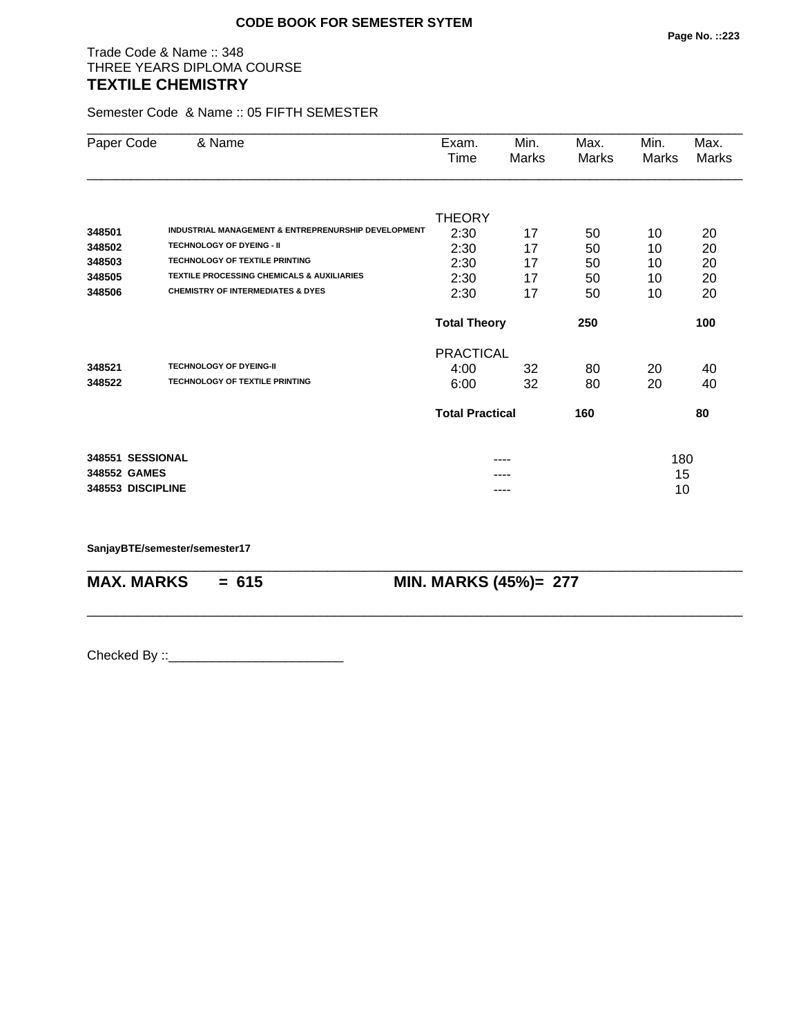# Trade Code & Name :: 348 THREE YEARS DIPLOMA COURSE **TEXTILE CHEMISTRY**

Semester Code & Name :: 05 FIFTH SEMESTER

| Paper Code        | & Name                                              | Exam.                  | Min.  | Max.  | Min.  | Max.         |
|-------------------|-----------------------------------------------------|------------------------|-------|-------|-------|--------------|
|                   |                                                     | Time                   | Marks | Marks | Marks | <b>Marks</b> |
|                   |                                                     |                        |       |       |       |              |
|                   |                                                     | <b>THEORY</b>          |       |       |       |              |
| 348501            | INDUSTRIAL MANAGEMENT & ENTREPRENURSHIP DEVELOPMENT | 2:30                   | 17    | 50    | 10    | 20           |
| 348502            | <b>TECHNOLOGY OF DYEING - II</b>                    | 2:30                   | 17    | 50    | 10    | 20           |
| 348503            | <b>TECHNOLOGY OF TEXTILE PRINTING</b>               | 2:30                   | 17    | 50    | 10    | 20           |
| 348505            | TEXTILE PROCESSING CHEMICALS & AUXILIARIES          | 2:30                   | 17    | 50    | 10    | 20           |
| 348506            | <b>CHEMISTRY OF INTERMEDIATES &amp; DYES</b>        | 2:30                   | 17    | 50    | 10    | 20           |
|                   |                                                     | <b>Total Theory</b>    |       | 250   |       | 100          |
|                   |                                                     | <b>PRACTICAL</b>       |       |       |       |              |
| 348521            | <b>TECHNOLOGY OF DYEING-II</b>                      | 4:00                   | 32    | 80    | 20    | 40           |
| 348522            | <b>TECHNOLOGY OF TEXTILE PRINTING</b>               | 6:00                   | 32    | 80    | 20    | 40           |
|                   |                                                     | <b>Total Practical</b> |       | 160   |       | 80           |
| 348551 SESSIONAL  |                                                     |                        | ----  |       | 180   |              |
| 348552 GAMES      |                                                     |                        |       |       | 15    |              |
| 348553 DISCIPLINE |                                                     |                        | ----  |       | 10    |              |

\_\_\_\_\_\_\_\_\_\_\_\_\_\_\_\_\_\_\_\_\_\_\_\_\_\_\_\_\_\_\_\_\_\_\_\_\_\_\_\_\_\_\_\_\_\_\_\_\_\_\_\_\_\_\_\_\_\_\_\_\_\_\_\_\_\_\_\_\_\_\_\_\_\_\_\_\_\_\_\_\_\_\_\_\_\_\_\_\_\_

\_\_\_\_\_\_\_\_\_\_\_\_\_\_\_\_\_\_\_\_\_\_\_\_\_\_\_\_\_\_\_\_\_\_\_\_\_\_\_\_\_\_\_\_\_\_\_\_\_\_\_\_\_\_\_\_\_\_\_\_\_\_\_\_\_\_\_\_\_\_\_\_\_\_\_\_\_\_\_\_\_\_\_\_\_\_\_\_\_\_

**SanjayBTE/semester/semester17**

**MAX. MARKS = 615 MIN. MARKS (45%)= 277**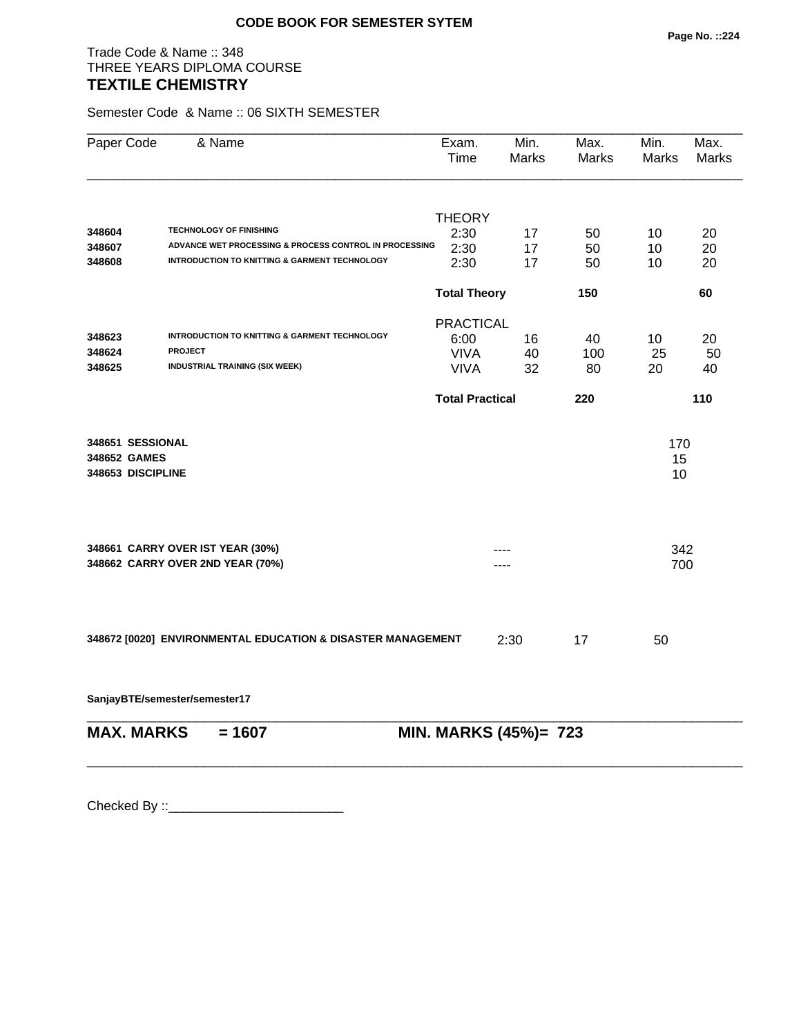# Trade Code & Name :: 348 THREE YEARS DIPLOMA COURSE **TEXTILE CHEMISTRY**

Semester Code & Name :: 06 SIXTH SEMESTER

| Paper Code        | & Name                                                               | Exam.<br>Time          | Min.<br>Marks | Max.<br><b>Marks</b> | Min.<br>Marks | Max.<br><b>Marks</b> |
|-------------------|----------------------------------------------------------------------|------------------------|---------------|----------------------|---------------|----------------------|
|                   |                                                                      | <b>THEORY</b>          |               |                      |               |                      |
| 348604            | <b>TECHNOLOGY OF FINISHING</b>                                       | 2:30                   | 17            | 50                   | 10            | 20                   |
| 348607            | ADVANCE WET PROCESSING & PROCESS CONTROL IN PROCESSING               | 2:30                   | 17            | 50                   | 10            | 20                   |
| 348608            | INTRODUCTION TO KNITTING & GARMENT TECHNOLOGY                        | 2:30                   | 17            | 50                   | 10            | 20                   |
|                   |                                                                      | <b>Total Theory</b>    |               | 150                  |               | 60                   |
|                   |                                                                      | <b>PRACTICAL</b>       |               |                      |               |                      |
| 348623            | <b>INTRODUCTION TO KNITTING &amp; GARMENT TECHNOLOGY</b>             | 6:00                   | 16            | 40                   | 10            | 20                   |
| 348624            | <b>PROJECT</b>                                                       | <b>VIVA</b>            | 40            | 100                  | 25            | 50                   |
| 348625            | <b>INDUSTRIAL TRAINING (SIX WEEK)</b>                                | <b>VIVA</b>            | 32            | 80                   | 20            | 40                   |
|                   |                                                                      | <b>Total Practical</b> |               | 220                  |               | 110                  |
| 348651 SESSIONAL  |                                                                      |                        |               |                      | 170           |                      |
| 348652 GAMES      |                                                                      |                        |               |                      | 15            |                      |
| 348653 DISCIPLINE |                                                                      |                        |               |                      | 10            |                      |
|                   |                                                                      |                        |               |                      |               |                      |
|                   |                                                                      |                        |               |                      |               |                      |
|                   | 348661 CARRY OVER IST YEAR (30%)<br>348662 CARRY OVER 2ND YEAR (70%) |                        |               |                      | 342<br>700    |                      |
|                   |                                                                      |                        |               |                      |               |                      |
|                   |                                                                      |                        |               |                      |               |                      |
|                   | 348672 [0020] ENVIRONMENTAL EDUCATION & DISASTER MANAGEMENT          |                        | 2:30          | 17                   | 50            |                      |

**SanjayBTE/semester/semester17**

| $MAX. \, MARKS = 1607$ | <b>MIN. MARKS (45%)= 723</b> |
|------------------------|------------------------------|
|                        |                              |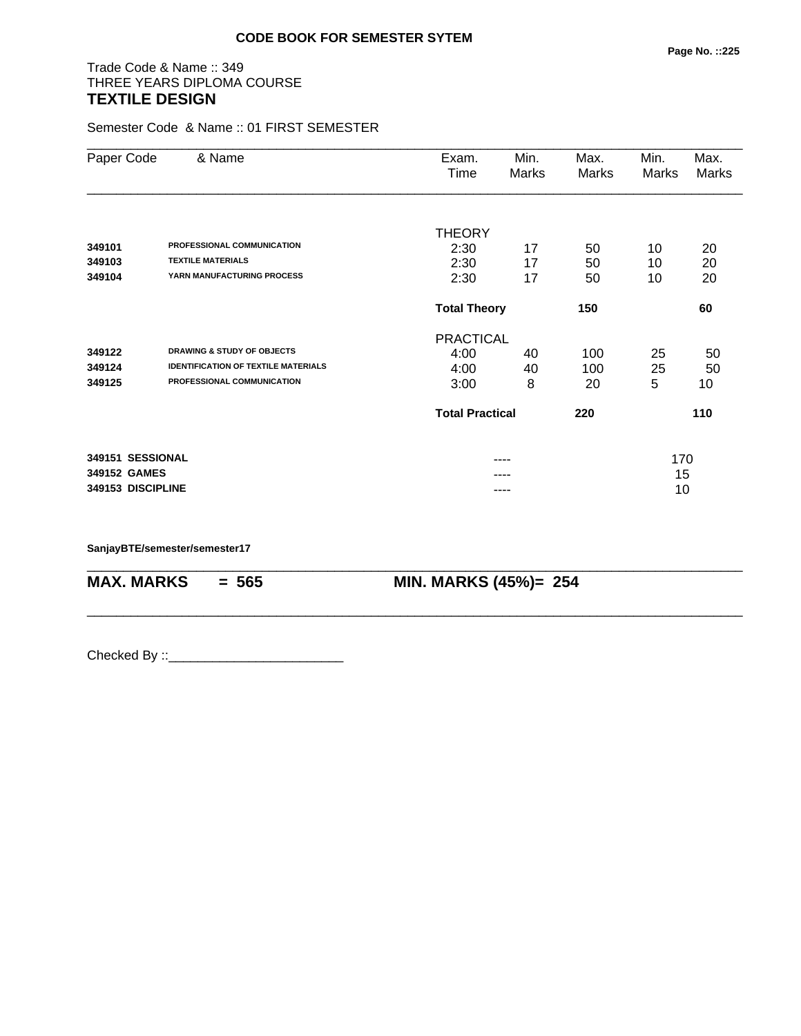# Trade Code & Name :: 349 THREE YEARS DIPLOMA COURSE **TEXTILE DESIGN**

Semester Code & Name :: 01 FIRST SEMESTER

| Paper Code        | & Name                                     | Exam.                  | Min.  | Max.  | Min.  | Max.  |
|-------------------|--------------------------------------------|------------------------|-------|-------|-------|-------|
|                   |                                            | Time                   | Marks | Marks | Marks | Marks |
|                   |                                            | <b>THEORY</b>          |       |       |       |       |
| 349101            | PROFESSIONAL COMMUNICATION                 | 2:30                   | 17    | 50    | 10    | 20    |
| 349103            | <b>TEXTILE MATERIALS</b>                   | 2:30                   | 17    | 50    | 10    | 20    |
| 349104            | YARN MANUFACTURING PROCESS                 | 2:30                   | 17    | 50    | 10    | 20    |
|                   |                                            | <b>Total Theory</b>    |       | 150   |       | 60    |
|                   |                                            | <b>PRACTICAL</b>       |       |       |       |       |
| 349122            | <b>DRAWING &amp; STUDY OF OBJECTS</b>      | 4:00                   | 40    | 100   | 25    | 50    |
| 349124            | <b>IDENTIFICATION OF TEXTILE MATERIALS</b> | 4:00                   | 40    | 100   | 25    | 50    |
| 349125            | PROFESSIONAL COMMUNICATION                 | 3:00                   | 8     | 20    | 5     | 10    |
|                   |                                            | <b>Total Practical</b> |       | 220   |       | 110   |
| 349151 SESSIONAL  |                                            |                        | ----  |       | 170   |       |
| 349152 GAMES      |                                            |                        |       |       | 15    |       |
| 349153 DISCIPLINE |                                            |                        |       |       | 10    |       |

\_\_\_\_\_\_\_\_\_\_\_\_\_\_\_\_\_\_\_\_\_\_\_\_\_\_\_\_\_\_\_\_\_\_\_\_\_\_\_\_\_\_\_\_\_\_\_\_\_\_\_\_\_\_\_\_\_\_\_\_\_\_\_\_\_\_\_\_\_\_\_\_\_\_\_\_\_\_\_\_\_\_\_\_\_\_\_\_\_\_

\_\_\_\_\_\_\_\_\_\_\_\_\_\_\_\_\_\_\_\_\_\_\_\_\_\_\_\_\_\_\_\_\_\_\_\_\_\_\_\_\_\_\_\_\_\_\_\_\_\_\_\_\_\_\_\_\_\_\_\_\_\_\_\_\_\_\_\_\_\_\_\_\_\_\_\_\_\_\_\_\_\_\_\_\_\_\_\_\_\_

**SanjayBTE/semester/semester17**

**MAX. MARKS = 565 MIN. MARKS (45%)= 254**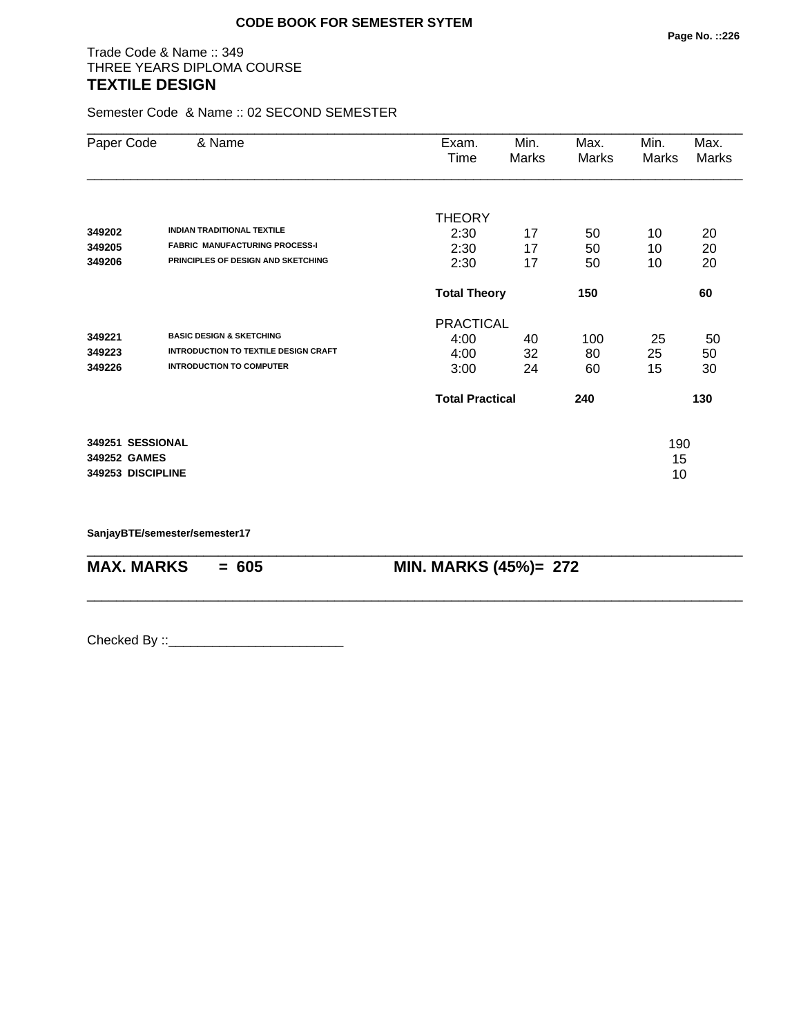# Trade Code & Name :: 349 THREE YEARS DIPLOMA COURSE **TEXTILE DESIGN**

Semester Code & Name :: 02 SECOND SEMESTER

| Paper Code        | & Name                                      | Exam.<br>Time          | Min.<br>Marks | Max.<br>Marks | Min.<br>Marks | Max.<br>Marks |
|-------------------|---------------------------------------------|------------------------|---------------|---------------|---------------|---------------|
|                   |                                             | <b>THEORY</b>          |               |               |               |               |
| 349202            | <b>INDIAN TRADITIONAL TEXTILE</b>           | 2:30                   | 17            | 50            | 10            | 20            |
| 349205            | <b>FABRIC MANUFACTURING PROCESS-I</b>       | 2:30                   | 17            | 50            | 10            | 20            |
| 349206            | PRINCIPLES OF DESIGN AND SKETCHING          | 2:30                   | 17            | 50            | 10            | 20            |
|                   |                                             | <b>Total Theory</b>    |               | 150           |               | 60            |
|                   |                                             | <b>PRACTICAL</b>       |               |               |               |               |
| 349221            | <b>BASIC DESIGN &amp; SKETCHING</b>         | 4:00                   | 40            | 100           | 25            | 50            |
| 349223            | <b>INTRODUCTION TO TEXTILE DESIGN CRAFT</b> | 4:00                   | 32            | 80            | 25            | 50            |
| 349226            | <b>INTRODUCTION TO COMPUTER</b>             | 3:00                   | 24            | 60            | 15            | 30            |
|                   |                                             | <b>Total Practical</b> |               | 240           |               | 130           |
| 349251 SESSIONAL  |                                             |                        |               |               | 190           |               |
| 349252 GAMES      |                                             |                        |               |               | 15            |               |
| 349253 DISCIPLINE |                                             |                        |               |               | 10            |               |

\_\_\_\_\_\_\_\_\_\_\_\_\_\_\_\_\_\_\_\_\_\_\_\_\_\_\_\_\_\_\_\_\_\_\_\_\_\_\_\_\_\_\_\_\_\_\_\_\_\_\_\_\_\_\_\_\_\_\_\_\_\_\_\_\_\_\_\_\_\_\_\_\_\_\_\_\_\_\_\_\_\_\_\_\_\_\_\_\_\_

\_\_\_\_\_\_\_\_\_\_\_\_\_\_\_\_\_\_\_\_\_\_\_\_\_\_\_\_\_\_\_\_\_\_\_\_\_\_\_\_\_\_\_\_\_\_\_\_\_\_\_\_\_\_\_\_\_\_\_\_\_\_\_\_\_\_\_\_\_\_\_\_\_\_\_\_\_\_\_\_\_\_\_\_\_\_\_\_\_\_

**SanjayBTE/semester/semester17**

**MAX. MARKS = 605 MIN. MARKS (45%)= 272**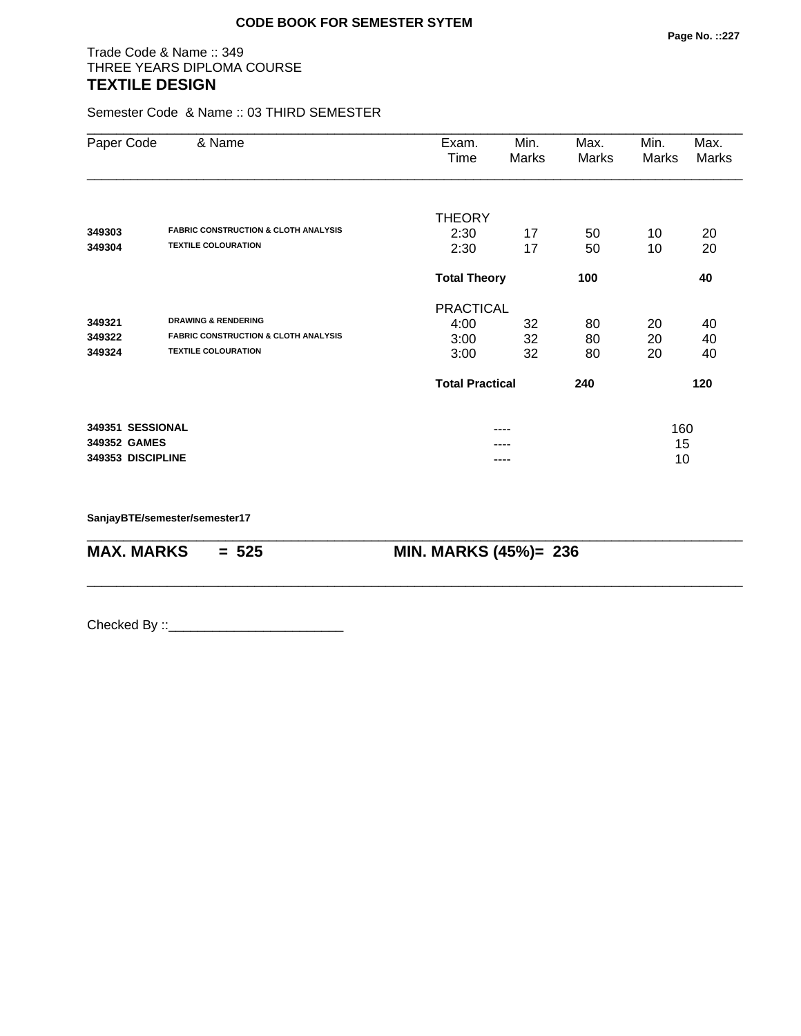# Trade Code & Name :: 349 THREE YEARS DIPLOMA COURSE **TEXTILE DESIGN**

Semester Code & Name :: 03 THIRD SEMESTER

| Paper Code        | & Name                                                                        | Exam.<br>Time          | Min.<br>Marks | Max.<br><b>Marks</b> | Min.<br>Marks | Max.<br>Marks |  |
|-------------------|-------------------------------------------------------------------------------|------------------------|---------------|----------------------|---------------|---------------|--|
|                   |                                                                               | <b>THEORY</b>          |               |                      |               |               |  |
| 349303<br>349304  | <b>FABRIC CONSTRUCTION &amp; CLOTH ANALYSIS</b><br><b>TEXTILE COLOURATION</b> | 2:30<br>2:30           | 17<br>17      | 50<br>50             | 10<br>10      | 20<br>20      |  |
|                   |                                                                               | <b>Total Theory</b>    |               | 100                  |               | 40            |  |
|                   |                                                                               | <b>PRACTICAL</b>       |               |                      |               |               |  |
| 349321            | <b>DRAWING &amp; RENDERING</b>                                                | 4:00                   | 32            | 80                   | 20            | 40            |  |
| 349322            | <b>FABRIC CONSTRUCTION &amp; CLOTH ANALYSIS</b>                               | 3:00                   | 32            | 80                   | 20            | 40            |  |
| 349324            | <b>TEXTILE COLOURATION</b>                                                    | 3:00                   | 32            | 80                   | 20            | 40            |  |
|                   |                                                                               | <b>Total Practical</b> |               | 240                  |               | 120           |  |
| 349351 SESSIONAL  |                                                                               |                        | ----          |                      | 160           |               |  |
| 349352 GAMES      |                                                                               | ----                   |               |                      | 15            |               |  |
| 349353 DISCIPLINE |                                                                               |                        |               |                      | 10            |               |  |

\_\_\_\_\_\_\_\_\_\_\_\_\_\_\_\_\_\_\_\_\_\_\_\_\_\_\_\_\_\_\_\_\_\_\_\_\_\_\_\_\_\_\_\_\_\_\_\_\_\_\_\_\_\_\_\_\_\_\_\_\_\_\_\_\_\_\_\_\_\_\_\_\_\_\_\_\_\_\_\_\_\_\_\_\_\_\_\_\_\_

\_\_\_\_\_\_\_\_\_\_\_\_\_\_\_\_\_\_\_\_\_\_\_\_\_\_\_\_\_\_\_\_\_\_\_\_\_\_\_\_\_\_\_\_\_\_\_\_\_\_\_\_\_\_\_\_\_\_\_\_\_\_\_\_\_\_\_\_\_\_\_\_\_\_\_\_\_\_\_\_\_\_\_\_\_\_\_\_\_\_

**SanjayBTE/semester/semester17**

**MAX. MARKS = 525 MIN. MARKS (45%)= 236**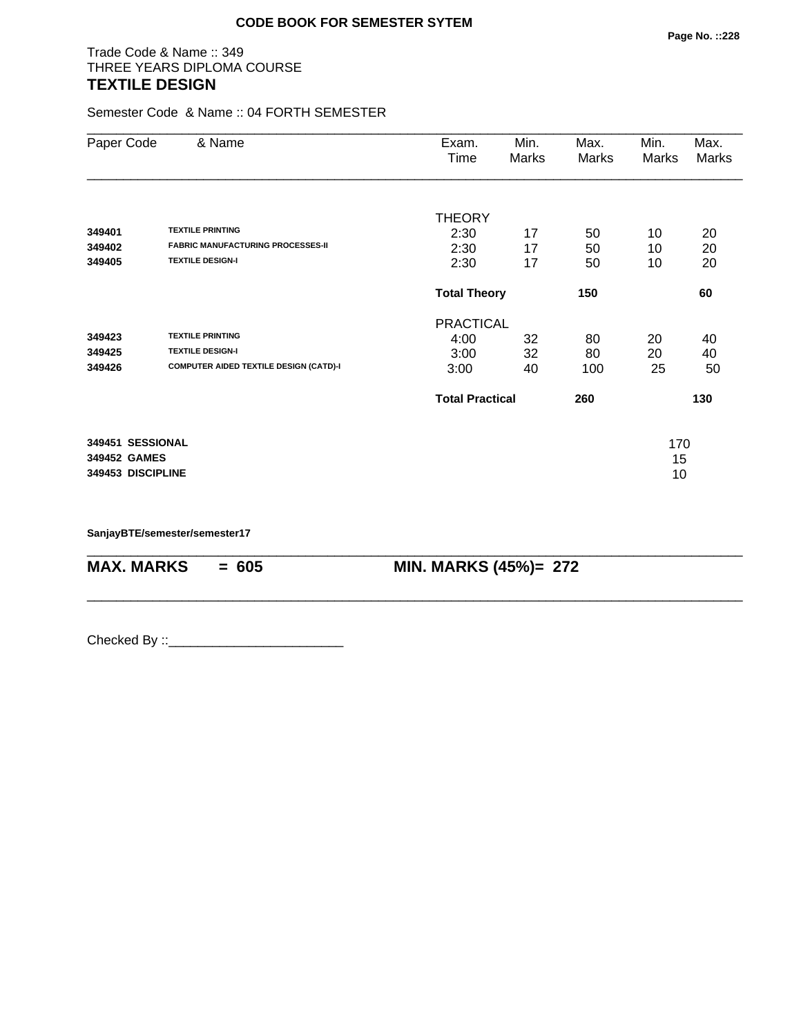# Trade Code & Name :: 349 THREE YEARS DIPLOMA COURSE **TEXTILE DESIGN**

Semester Code & Name :: 04 FORTH SEMESTER

| Paper Code        | & Name                                        | Exam.<br>Time          | Min.<br>Marks | Max.<br>Marks | Min.<br>Marks | Max.<br>Marks |
|-------------------|-----------------------------------------------|------------------------|---------------|---------------|---------------|---------------|
|                   |                                               | <b>THEORY</b>          |               |               |               |               |
| 349401            | <b>TEXTILE PRINTING</b>                       | 2:30                   | 17            | 50            | 10            | 20            |
| 349402            | <b>FABRIC MANUFACTURING PROCESSES-II</b>      | 2:30                   | 17            | 50            | 10            | 20            |
| 349405            | <b>TEXTILE DESIGN-I</b>                       | 2:30                   | 17            | 50            | 10            | 20            |
|                   |                                               | <b>Total Theory</b>    |               | 150           |               | 60            |
|                   |                                               | <b>PRACTICAL</b>       |               |               |               |               |
| 349423            | <b>TEXTILE PRINTING</b>                       | 4:00                   | 32            | 80            | 20            | 40            |
| 349425            | <b>TEXTILE DESIGN-I</b>                       | 3:00                   | 32            | 80            | 20            | 40            |
| 349426            | <b>COMPUTER AIDED TEXTILE DESIGN (CATD)-I</b> | 3:00                   | 40            | 100           | 25            | 50            |
|                   |                                               | <b>Total Practical</b> |               | 260           |               | 130           |
| 349451 SESSIONAL  |                                               |                        |               |               | 170           |               |
| 349452 GAMES      |                                               |                        |               |               | 15            |               |
| 349453 DISCIPLINE |                                               |                        |               |               | 10            |               |

\_\_\_\_\_\_\_\_\_\_\_\_\_\_\_\_\_\_\_\_\_\_\_\_\_\_\_\_\_\_\_\_\_\_\_\_\_\_\_\_\_\_\_\_\_\_\_\_\_\_\_\_\_\_\_\_\_\_\_\_\_\_\_\_\_\_\_\_\_\_\_\_\_\_\_\_\_\_\_\_\_\_\_\_\_\_\_\_\_\_

\_\_\_\_\_\_\_\_\_\_\_\_\_\_\_\_\_\_\_\_\_\_\_\_\_\_\_\_\_\_\_\_\_\_\_\_\_\_\_\_\_\_\_\_\_\_\_\_\_\_\_\_\_\_\_\_\_\_\_\_\_\_\_\_\_\_\_\_\_\_\_\_\_\_\_\_\_\_\_\_\_\_\_\_\_\_\_\_\_\_

**SanjayBTE/semester/semester17**

**MAX. MARKS = 605 MIN. MARKS (45%)= 272**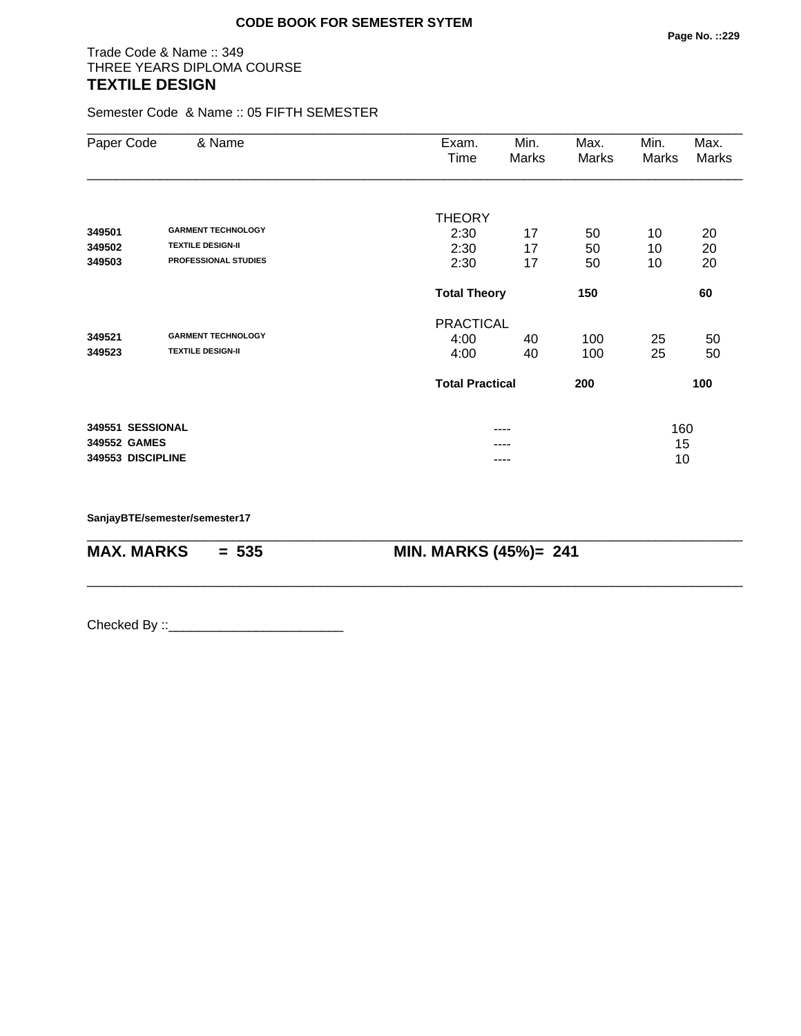# Trade Code & Name :: 349 THREE YEARS DIPLOMA COURSE **TEXTILE DESIGN**

Semester Code & Name :: 05 FIFTH SEMESTER

| Paper Code        | & Name                      | Exam.<br>Time          | Min.<br>Marks | Max.<br>Marks | Min.<br>Marks | Max.<br>Marks |  |  |
|-------------------|-----------------------------|------------------------|---------------|---------------|---------------|---------------|--|--|
|                   |                             | <b>THEORY</b>          |               |               |               |               |  |  |
| 349501            | <b>GARMENT TECHNOLOGY</b>   | 2:30                   | 17            | 50            | 10            | 20            |  |  |
| 349502            | <b>TEXTILE DESIGN-II</b>    | 2:30                   | 17            | 50            | 10            | 20            |  |  |
| 349503            | <b>PROFESSIONAL STUDIES</b> | 2:30                   | 17            | 50            | 10            | 20            |  |  |
|                   |                             | <b>Total Theory</b>    |               | 150           |               | 60            |  |  |
|                   |                             | <b>PRACTICAL</b>       |               |               |               |               |  |  |
| 349521            | <b>GARMENT TECHNOLOGY</b>   | 4:00                   | 40            | 100           | 25            | 50            |  |  |
| 349523            | <b>TEXTILE DESIGN-II</b>    | 4:00                   | 40            | 100           | 25            | 50            |  |  |
|                   |                             | <b>Total Practical</b> |               | 200           |               | 100           |  |  |
| 349551 SESSIONAL  |                             |                        | ----          |               | 160           |               |  |  |
| 349552 GAMES      |                             |                        | ----          |               |               | 15            |  |  |
| 349553 DISCIPLINE |                             |                        | ----          |               | 10            |               |  |  |

\_\_\_\_\_\_\_\_\_\_\_\_\_\_\_\_\_\_\_\_\_\_\_\_\_\_\_\_\_\_\_\_\_\_\_\_\_\_\_\_\_\_\_\_\_\_\_\_\_\_\_\_\_\_\_\_\_\_\_\_\_\_\_\_\_\_\_\_\_\_\_\_\_\_\_\_\_\_\_\_\_\_\_\_\_\_\_\_\_\_

\_\_\_\_\_\_\_\_\_\_\_\_\_\_\_\_\_\_\_\_\_\_\_\_\_\_\_\_\_\_\_\_\_\_\_\_\_\_\_\_\_\_\_\_\_\_\_\_\_\_\_\_\_\_\_\_\_\_\_\_\_\_\_\_\_\_\_\_\_\_\_\_\_\_\_\_\_\_\_\_\_\_\_\_\_\_\_\_\_\_

**SanjayBTE/semester/semester17**

**MAX. MARKS = 535 MIN. MARKS (45%)= 241**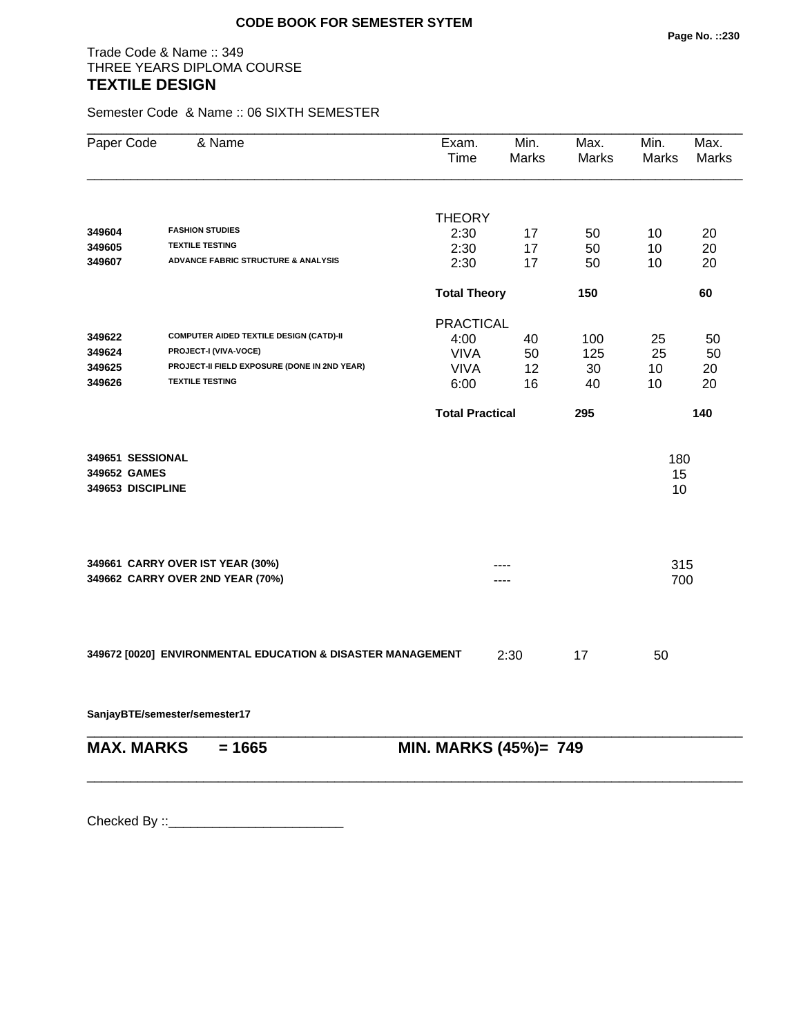# Trade Code & Name :: 349 THREE YEARS DIPLOMA COURSE **TEXTILE DESIGN**

Semester Code & Name :: 06 SIXTH SEMESTER

| Paper Code                                            | & Name                                                      | Exam.<br>Time          | Min.<br>Marks | Max.<br>Marks | Min.<br>Marks   | Max.<br>Marks |
|-------------------------------------------------------|-------------------------------------------------------------|------------------------|---------------|---------------|-----------------|---------------|
|                                                       |                                                             |                        |               |               |                 |               |
|                                                       |                                                             | <b>THEORY</b>          |               |               |                 |               |
| 349604                                                | <b>FASHION STUDIES</b>                                      | 2:30                   | 17            | 50            | 10              | 20            |
| 349605                                                | <b>TEXTILE TESTING</b>                                      | 2:30                   | 17            | 50            | 10              | 20            |
| 349607                                                | <b>ADVANCE FABRIC STRUCTURE &amp; ANALYSIS</b>              | 2:30                   | 17            | 50            | 10              | 20            |
|                                                       |                                                             | <b>Total Theory</b>    |               | 150           |                 | 60            |
|                                                       |                                                             | <b>PRACTICAL</b>       |               |               |                 |               |
| 349622                                                | <b>COMPUTER AIDED TEXTILE DESIGN (CATD)-II</b>              | 4:00                   | 40            | 100           | 25              | 50            |
| 349624                                                | PROJECT-I (VIVA-VOCE)                                       | <b>VIVA</b>            | 50            | 125           | 25              | 50            |
| 349625                                                | PROJECT-II FIELD EXPOSURE (DONE IN 2ND YEAR)                | <b>VIVA</b>            | 12            | 30            | 10              | 20            |
| 349626                                                | <b>TEXTILE TESTING</b>                                      | 6:00                   | 16            | 40            | 10              | 20            |
|                                                       |                                                             | <b>Total Practical</b> |               | 295           |                 | 140           |
| 349651 SESSIONAL<br>349652 GAMES<br>349653 DISCIPLINE |                                                             |                        |               |               | 180<br>15<br>10 |               |
|                                                       | 349661 CARRY OVER IST YEAR (30%)                            |                        |               |               | 315             |               |
|                                                       | 349662 CARRY OVER 2ND YEAR (70%)                            |                        | .             |               | 700             |               |
|                                                       | 349672 [0020] ENVIRONMENTAL EDUCATION & DISASTER MANAGEMENT |                        | 2:30          | 17            | 50              |               |
|                                                       | SanjayBTE/semester/semester17                               |                        |               |               |                 |               |
| <b>MAX. MARKS</b>                                     | $= 1665$                                                    | MIN. MARKS (45%)= 749  |               |               |                 |               |

\_\_\_\_\_\_\_\_\_\_\_\_\_\_\_\_\_\_\_\_\_\_\_\_\_\_\_\_\_\_\_\_\_\_\_\_\_\_\_\_\_\_\_\_\_\_\_\_\_\_\_\_\_\_\_\_\_\_\_\_\_\_\_\_\_\_\_\_\_\_\_\_\_\_\_\_\_\_\_\_\_\_\_\_\_\_\_\_\_\_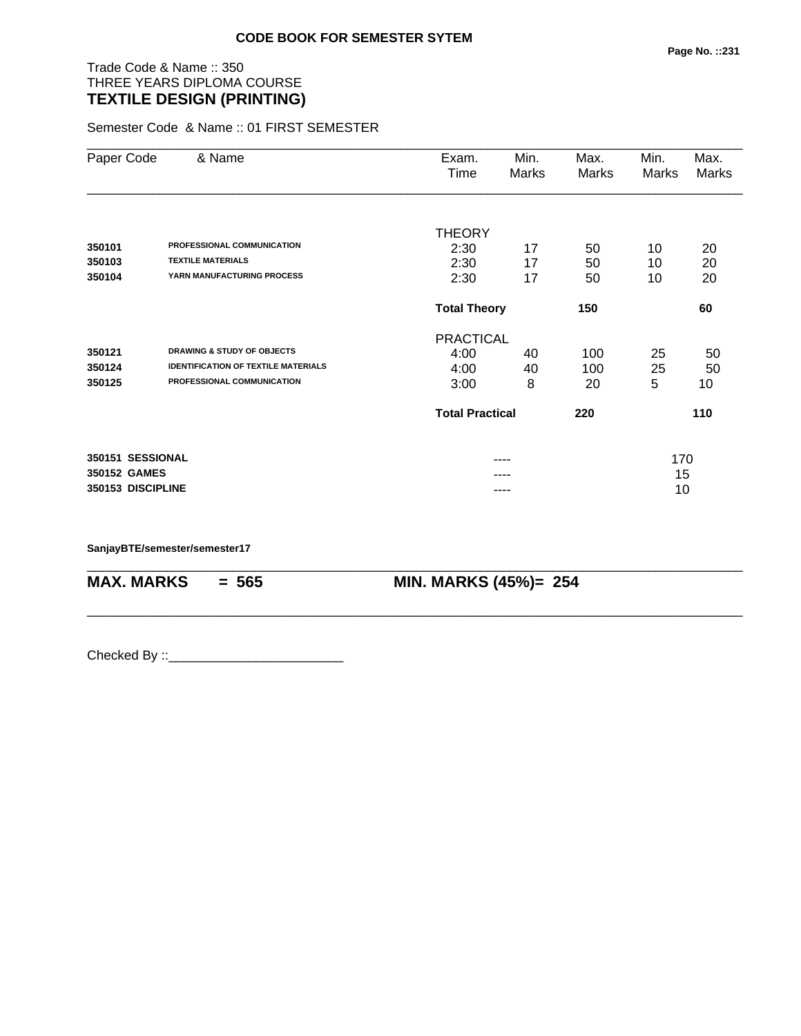# Trade Code & Name :: 350 THREE YEARS DIPLOMA COURSE **TEXTILE DESIGN (PRINTING)**

Semester Code & Name :: 01 FIRST SEMESTER

| Paper Code        | & Name                                     | Exam.                  | Min.                       | Max.  | Min.  | Max.  |
|-------------------|--------------------------------------------|------------------------|----------------------------|-------|-------|-------|
|                   |                                            | Time                   | Marks                      | Marks | Marks | Marks |
|                   |                                            |                        |                            |       |       |       |
|                   |                                            | <b>THEORY</b>          |                            |       |       |       |
| 350101            | PROFESSIONAL COMMUNICATION                 | 2:30                   | 17                         | 50    | 10    | 20    |
| 350103            | <b>TEXTILE MATERIALS</b>                   | 2:30                   | 17                         | 50    | 10    | 20    |
| 350104            | YARN MANUFACTURING PROCESS                 | 2:30                   | 17                         | 50    | 10    | 20    |
|                   |                                            |                        | <b>Total Theory</b><br>150 |       |       | 60    |
|                   |                                            | <b>PRACTICAL</b>       |                            |       |       |       |
| 350121            | <b>DRAWING &amp; STUDY OF OBJECTS</b>      | 4:00                   | 40                         | 100   | 25    | 50    |
| 350124            | <b>IDENTIFICATION OF TEXTILE MATERIALS</b> | 4:00                   | 40                         | 100   | 25    | 50    |
| 350125            | PROFESSIONAL COMMUNICATION                 | 3:00                   | 8                          | 20    | 5     | 10    |
|                   |                                            | <b>Total Practical</b> |                            | 220   |       | 110   |
| 350151 SESSIONAL  |                                            |                        | ----                       |       | 170   |       |
| 350152 GAMES      |                                            |                        |                            |       | 15    |       |
| 350153 DISCIPLINE |                                            |                        | ----                       |       | 10    |       |
|                   |                                            |                        |                            |       |       |       |

\_\_\_\_\_\_\_\_\_\_\_\_\_\_\_\_\_\_\_\_\_\_\_\_\_\_\_\_\_\_\_\_\_\_\_\_\_\_\_\_\_\_\_\_\_\_\_\_\_\_\_\_\_\_\_\_\_\_\_\_\_\_\_\_\_\_\_\_\_\_\_\_\_\_\_\_\_\_\_\_\_\_\_\_\_\_\_\_\_\_

\_\_\_\_\_\_\_\_\_\_\_\_\_\_\_\_\_\_\_\_\_\_\_\_\_\_\_\_\_\_\_\_\_\_\_\_\_\_\_\_\_\_\_\_\_\_\_\_\_\_\_\_\_\_\_\_\_\_\_\_\_\_\_\_\_\_\_\_\_\_\_\_\_\_\_\_\_\_\_\_\_\_\_\_\_\_\_\_\_\_

**SanjayBTE/semester/semester17**

**MAX. MARKS = 565 MIN. MARKS (45%)= 254**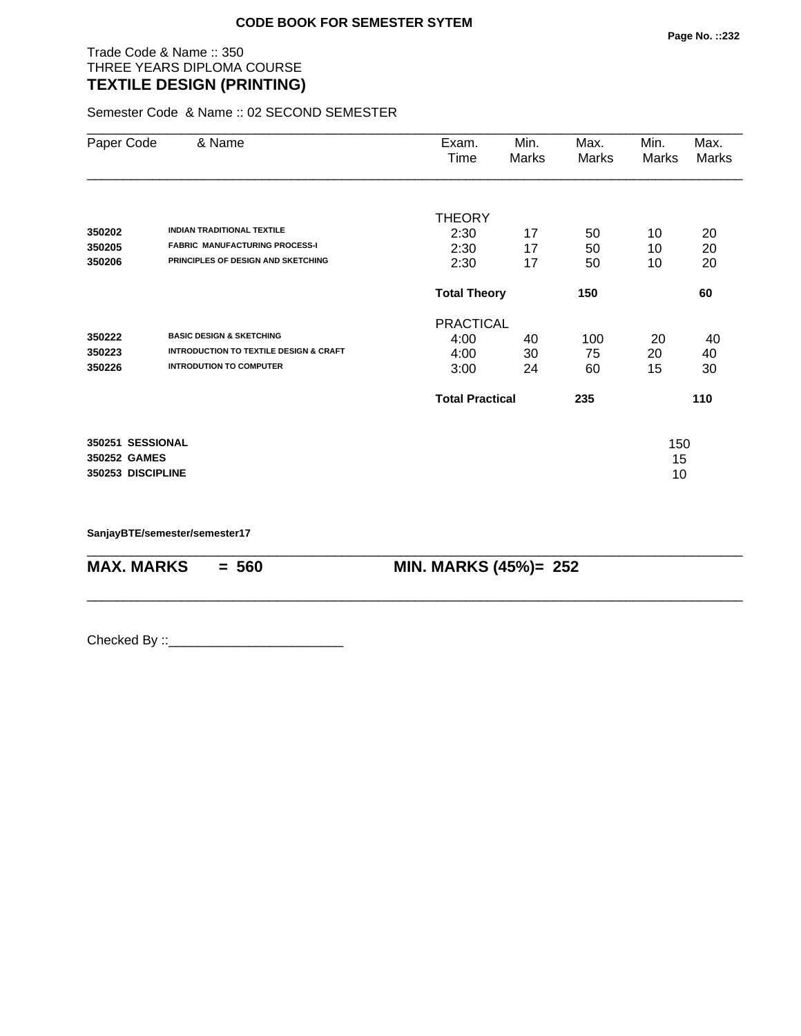## Trade Code & Name :: 350 THREE YEARS DIPLOMA COURSE **TEXTILE DESIGN (PRINTING)**

Semester Code & Name :: 02 SECOND SEMESTER

| Paper Code        | & Name                                                                     | Exam.<br>Time          | Min.<br>Marks | Max.<br>Marks | Min.<br>Marks | Max.<br>Marks |
|-------------------|----------------------------------------------------------------------------|------------------------|---------------|---------------|---------------|---------------|
|                   |                                                                            | <b>THEORY</b>          |               |               |               |               |
| 350202            | <b>INDIAN TRADITIONAL TEXTILE</b><br><b>FABRIC MANUFACTURING PROCESS-I</b> | 2:30                   | 17            | 50            | 10            | 20            |
| 350205            | PRINCIPLES OF DESIGN AND SKETCHING                                         | 2:30                   | 17            | 50            | 10            | 20            |
| 350206            |                                                                            | 2:30                   | 17            | 50            | 10            | 20            |
|                   |                                                                            | <b>Total Theory</b>    |               | 150           |               | 60            |
|                   |                                                                            | <b>PRACTICAL</b>       |               |               |               |               |
| 350222            | <b>BASIC DESIGN &amp; SKETCHING</b>                                        | 4:00                   | 40            | 100           | 20            | 40            |
| 350223            | <b>INTRODUCTION TO TEXTILE DESIGN &amp; CRAFT</b>                          | 4:00                   | 30            | 75            | 20            | 40            |
| 350226            | <b>INTRODUTION TO COMPUTER</b>                                             | 3:00                   | 24            | 60            | 15            | 30            |
|                   |                                                                            | <b>Total Practical</b> |               | 235           |               | 110           |
| 350251 SESSIONAL  |                                                                            |                        |               |               | 150           |               |
| 350252 GAMES      |                                                                            |                        |               |               | 15            |               |
| 350253 DISCIPLINE |                                                                            |                        |               |               | 10            |               |

\_\_\_\_\_\_\_\_\_\_\_\_\_\_\_\_\_\_\_\_\_\_\_\_\_\_\_\_\_\_\_\_\_\_\_\_\_\_\_\_\_\_\_\_\_\_\_\_\_\_\_\_\_\_\_\_\_\_\_\_\_\_\_\_\_\_\_\_\_\_\_\_\_\_\_\_\_\_\_\_\_\_\_\_\_\_\_\_\_\_

\_\_\_\_\_\_\_\_\_\_\_\_\_\_\_\_\_\_\_\_\_\_\_\_\_\_\_\_\_\_\_\_\_\_\_\_\_\_\_\_\_\_\_\_\_\_\_\_\_\_\_\_\_\_\_\_\_\_\_\_\_\_\_\_\_\_\_\_\_\_\_\_\_\_\_\_\_\_\_\_\_\_\_\_\_\_\_\_\_\_

**SanjayBTE/semester/semester17**

**MAX. MARKS = 560 MIN. MARKS (45%)= 252**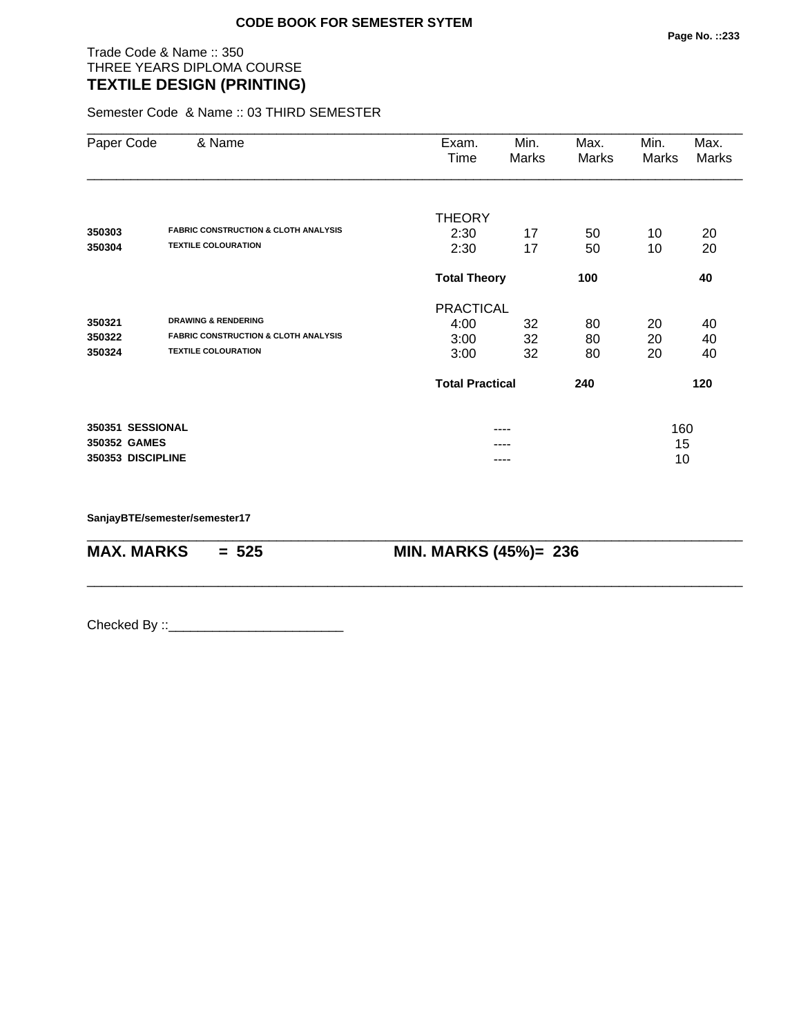Trade Code & Name :: 350 THREE YEARS DIPLOMA COURSE **TEXTILE DESIGN (PRINTING)** 

Semester Code & Name :: 03 THIRD SEMESTER

| Paper Code        | & Name                                          | Exam.<br>Time          | Min.<br>Marks | Max.<br>Marks | Min.<br>Marks | Max.<br>Marks |  |
|-------------------|-------------------------------------------------|------------------------|---------------|---------------|---------------|---------------|--|
|                   |                                                 | <b>THEORY</b>          |               |               |               |               |  |
| 350303            | <b>FABRIC CONSTRUCTION &amp; CLOTH ANALYSIS</b> | 2:30                   | 17            | 50            | 10            | 20            |  |
| 350304            | <b>TEXTILE COLOURATION</b>                      | 2:30                   | 17            | 50            | 10            | 20            |  |
|                   |                                                 | <b>Total Theory</b>    |               | 100           |               | 40            |  |
|                   |                                                 | <b>PRACTICAL</b>       |               |               |               |               |  |
| 350321            | <b>DRAWING &amp; RENDERING</b>                  | 4:00                   | 32            | 80            | 20            | 40            |  |
| 350322            | <b>FABRIC CONSTRUCTION &amp; CLOTH ANALYSIS</b> | 3:00                   | 32            | 80            | 20            | 40            |  |
| 350324            | <b>TEXTILE COLOURATION</b>                      | 3:00                   | 32            | 80            | 20            | 40            |  |
|                   |                                                 | <b>Total Practical</b> |               | 240           |               | 120           |  |
| 350351 SESSIONAL  |                                                 |                        |               |               | 160           |               |  |
| 350352 GAMES      |                                                 |                        |               |               | 15            |               |  |
| 350353 DISCIPLINE |                                                 |                        |               |               | 10            |               |  |

\_\_\_\_\_\_\_\_\_\_\_\_\_\_\_\_\_\_\_\_\_\_\_\_\_\_\_\_\_\_\_\_\_\_\_\_\_\_\_\_\_\_\_\_\_\_\_\_\_\_\_\_\_\_\_\_\_\_\_\_\_\_\_\_\_\_\_\_\_\_\_\_\_\_\_\_\_\_\_\_\_\_\_\_\_\_\_\_\_\_

\_\_\_\_\_\_\_\_\_\_\_\_\_\_\_\_\_\_\_\_\_\_\_\_\_\_\_\_\_\_\_\_\_\_\_\_\_\_\_\_\_\_\_\_\_\_\_\_\_\_\_\_\_\_\_\_\_\_\_\_\_\_\_\_\_\_\_\_\_\_\_\_\_\_\_\_\_\_\_\_\_\_\_\_\_\_\_\_\_\_

**SanjayBTE/semester/semester17**

**MAX. MARKS = 525 MIN. MARKS (45%)= 236**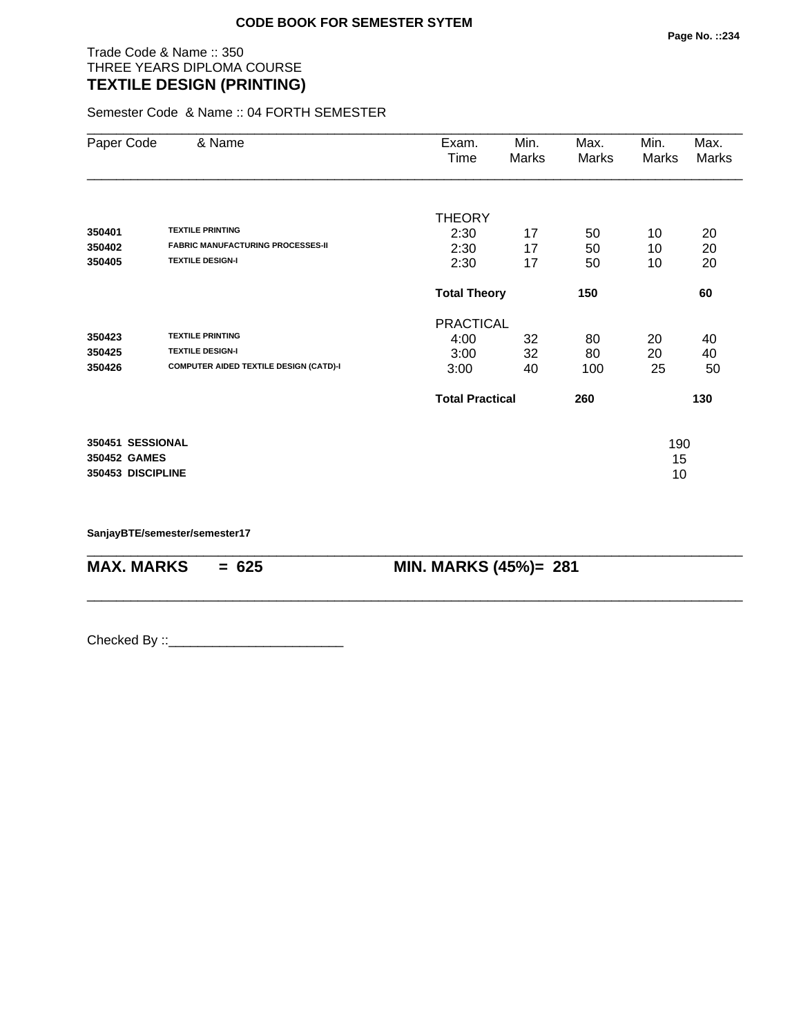## Trade Code & Name :: 350 THREE YEARS DIPLOMA COURSE **TEXTILE DESIGN (PRINTING)**

Semester Code & Name :: 04 FORTH SEMESTER

| Paper Code        | & Name                                        | Exam.<br>Time          | Min.<br>Marks | Max.<br>Marks | Min.<br>Marks | Max.<br>Marks |
|-------------------|-----------------------------------------------|------------------------|---------------|---------------|---------------|---------------|
|                   |                                               |                        |               |               |               |               |
| 350401            | <b>TEXTILE PRINTING</b>                       | <b>THEORY</b><br>2:30  | 17            | 50            | 10            | 20            |
| 350402            | <b>FABRIC MANUFACTURING PROCESSES-II</b>      | 2:30                   | 17            | 50            | 10            | 20            |
| 350405            | <b>TEXTILE DESIGN-I</b>                       | 2:30                   | 17            | 50            | 10            | 20            |
|                   |                                               | <b>Total Theory</b>    |               | 150           |               | 60            |
|                   |                                               | <b>PRACTICAL</b>       |               |               |               |               |
| 350423            | <b>TEXTILE PRINTING</b>                       | 4:00                   | 32            | 80            | 20            | 40            |
| 350425            | <b>TEXTILE DESIGN-I</b>                       | 3:00                   | 32            | 80            | 20            | 40            |
| 350426            | <b>COMPUTER AIDED TEXTILE DESIGN (CATD)-I</b> | 3:00                   | 40            | 100           | 25            | 50            |
|                   |                                               | <b>Total Practical</b> |               | 260           |               | 130           |
| 350451 SESSIONAL  |                                               |                        |               |               | 190           |               |
| 350452 GAMES      |                                               |                        |               |               | 15            |               |
| 350453 DISCIPLINE |                                               |                        |               |               | 10            |               |

\_\_\_\_\_\_\_\_\_\_\_\_\_\_\_\_\_\_\_\_\_\_\_\_\_\_\_\_\_\_\_\_\_\_\_\_\_\_\_\_\_\_\_\_\_\_\_\_\_\_\_\_\_\_\_\_\_\_\_\_\_\_\_\_\_\_\_\_\_\_\_\_\_\_\_\_\_\_\_\_\_\_\_\_\_\_\_\_\_\_

\_\_\_\_\_\_\_\_\_\_\_\_\_\_\_\_\_\_\_\_\_\_\_\_\_\_\_\_\_\_\_\_\_\_\_\_\_\_\_\_\_\_\_\_\_\_\_\_\_\_\_\_\_\_\_\_\_\_\_\_\_\_\_\_\_\_\_\_\_\_\_\_\_\_\_\_\_\_\_\_\_\_\_\_\_\_\_\_\_\_

**SanjayBTE/semester/semester17**

**MAX. MARKS = 625 MIN. MARKS (45%)= 281**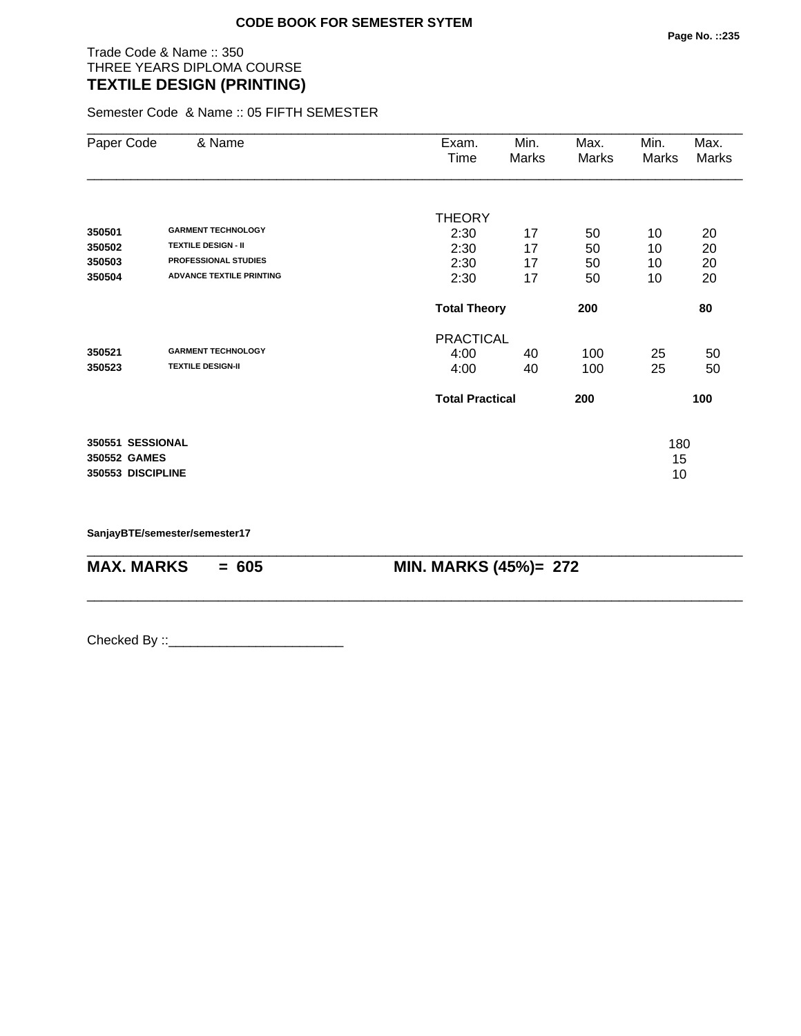# Trade Code & Name :: 350 THREE YEARS DIPLOMA COURSE **TEXTILE DESIGN (PRINTING)**

Semester Code & Name :: 05 FIFTH SEMESTER

| Paper Code        | & Name                          | Exam.<br>Time          | Min.<br>Marks | Max.<br>Marks | Min.<br>Marks | Max.<br>Marks |
|-------------------|---------------------------------|------------------------|---------------|---------------|---------------|---------------|
|                   |                                 | <b>THEORY</b>          |               |               |               |               |
| 350501            | <b>GARMENT TECHNOLOGY</b>       | 2:30                   | 17            | 50            | 10            | 20            |
| 350502            | <b>TEXTILE DESIGN - II</b>      | 2:30                   | 17            | 50            | 10            | 20            |
| 350503            | <b>PROFESSIONAL STUDIES</b>     | 2:30                   | 17            | 50            | 10            | 20            |
| 350504            | <b>ADVANCE TEXTILE PRINTING</b> | 2:30                   | 17            | 50            | 10            | 20            |
|                   |                                 | <b>Total Theory</b>    |               | 200           |               | 80            |
|                   |                                 | <b>PRACTICAL</b>       |               |               |               |               |
| 350521            | <b>GARMENT TECHNOLOGY</b>       | 4:00                   | 40            | 100           | 25            | 50            |
| 350523            | <b>TEXTILE DESIGN-II</b>        | 4:00                   | 40            | 100           | 25            | 50            |
|                   |                                 | <b>Total Practical</b> |               | 200           |               | 100           |
| 350551 SESSIONAL  |                                 |                        |               |               | 180           |               |
| 350552 GAMES      |                                 |                        |               |               | 15            |               |
| 350553 DISCIPLINE |                                 |                        |               |               | 10            |               |

\_\_\_\_\_\_\_\_\_\_\_\_\_\_\_\_\_\_\_\_\_\_\_\_\_\_\_\_\_\_\_\_\_\_\_\_\_\_\_\_\_\_\_\_\_\_\_\_\_\_\_\_\_\_\_\_\_\_\_\_\_\_\_\_\_\_\_\_\_\_\_\_\_\_\_\_\_\_\_\_\_\_\_\_\_\_\_\_\_\_

\_\_\_\_\_\_\_\_\_\_\_\_\_\_\_\_\_\_\_\_\_\_\_\_\_\_\_\_\_\_\_\_\_\_\_\_\_\_\_\_\_\_\_\_\_\_\_\_\_\_\_\_\_\_\_\_\_\_\_\_\_\_\_\_\_\_\_\_\_\_\_\_\_\_\_\_\_\_\_\_\_\_\_\_\_\_\_\_\_\_

**SanjayBTE/semester/semester17**

**MAX. MARKS = 605 MIN. MARKS (45%)= 272**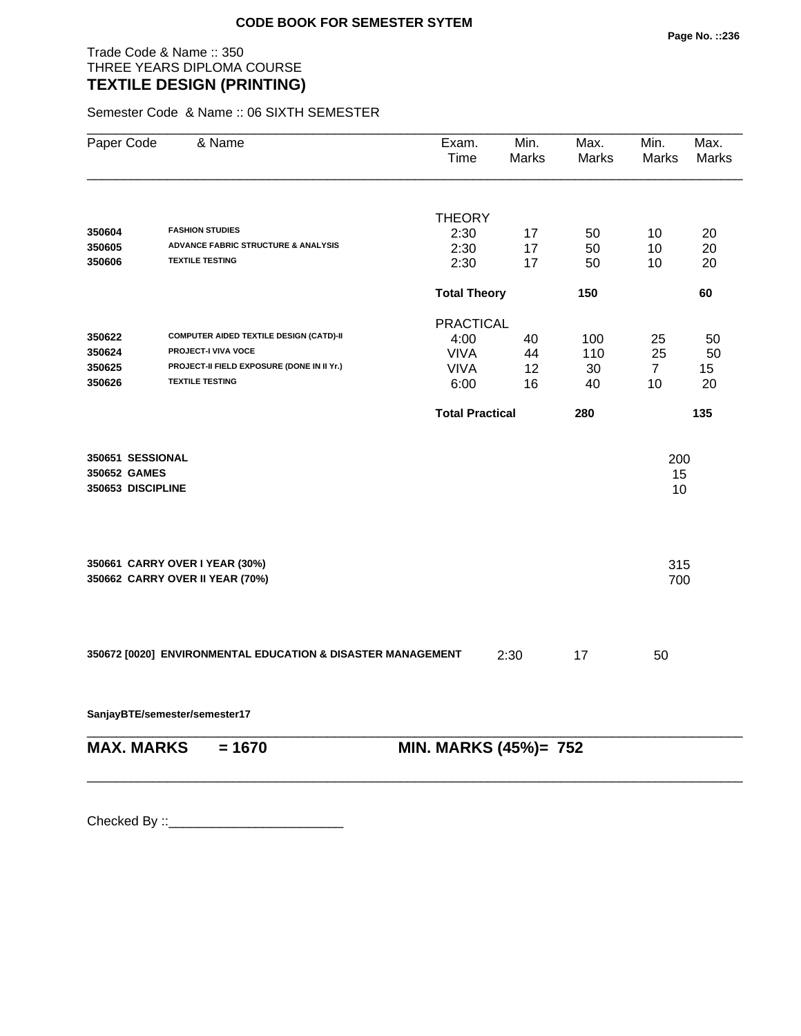Trade Code & Name :: 350 THREE YEARS DIPLOMA COURSE **TEXTILE DESIGN (PRINTING)** 

Semester Code & Name :: 06 SIXTH SEMESTER

| Paper Code        | & Name                                                      | Exam.<br>Time          | Min.<br><b>Marks</b> | Max.<br>Marks | Min.<br>Marks  | Max.<br>Marks |
|-------------------|-------------------------------------------------------------|------------------------|----------------------|---------------|----------------|---------------|
|                   |                                                             |                        |                      |               |                |               |
|                   | <b>FASHION STUDIES</b>                                      | <b>THEORY</b>          |                      |               |                |               |
| 350604            | ADVANCE FABRIC STRUCTURE & ANALYSIS                         | 2:30                   | 17                   | 50            | 10             | 20            |
| 350605<br>350606  | <b>TEXTILE TESTING</b>                                      | 2:30                   | 17                   | 50            | 10             | 20            |
|                   |                                                             | 2:30                   | 17                   | 50            | 10             | 20            |
|                   |                                                             | <b>Total Theory</b>    |                      | 150           |                | 60            |
|                   |                                                             | <b>PRACTICAL</b>       |                      |               |                |               |
| 350622            | COMPUTER AIDED TEXTILE DESIGN (CATD)-II                     | 4:00                   | 40                   | 100           | 25             | 50            |
| 350624            | PROJECT-I VIVA VOCE                                         | <b>VIVA</b>            | 44                   | 110           | 25             | 50            |
| 350625            | PROJECT-II FIELD EXPOSURE (DONE IN II Yr.)                  | <b>VIVA</b>            | 12                   | 30            | $\overline{7}$ | 15            |
| 350626            | <b>TEXTILE TESTING</b>                                      | 6:00                   | 16                   | 40            | 10             | 20            |
|                   |                                                             | <b>Total Practical</b> |                      | 280           |                | 135           |
| 350651 SESSIONAL  |                                                             |                        |                      |               | 200            |               |
| 350652 GAMES      |                                                             |                        |                      |               | 15             |               |
| 350653 DISCIPLINE |                                                             |                        |                      |               | 10             |               |
|                   | 350661 CARRY OVER I YEAR (30%)                              |                        |                      |               | 315            |               |
|                   | 350662 CARRY OVER II YEAR (70%)                             |                        |                      |               | 700            |               |
|                   | 350672 [0020] ENVIRONMENTAL EDUCATION & DISASTER MANAGEMENT |                        | 2:30                 | 17            | 50             |               |
|                   | SanjayBTE/semester/semester17                               |                        |                      |               |                |               |
| <b>MAX. MARKS</b> | $= 1670$                                                    | MIN. MARKS (45%)= 752  |                      |               |                |               |

\_\_\_\_\_\_\_\_\_\_\_\_\_\_\_\_\_\_\_\_\_\_\_\_\_\_\_\_\_\_\_\_\_\_\_\_\_\_\_\_\_\_\_\_\_\_\_\_\_\_\_\_\_\_\_\_\_\_\_\_\_\_\_\_\_\_\_\_\_\_\_\_\_\_\_\_\_\_\_\_\_\_\_\_\_\_\_\_\_\_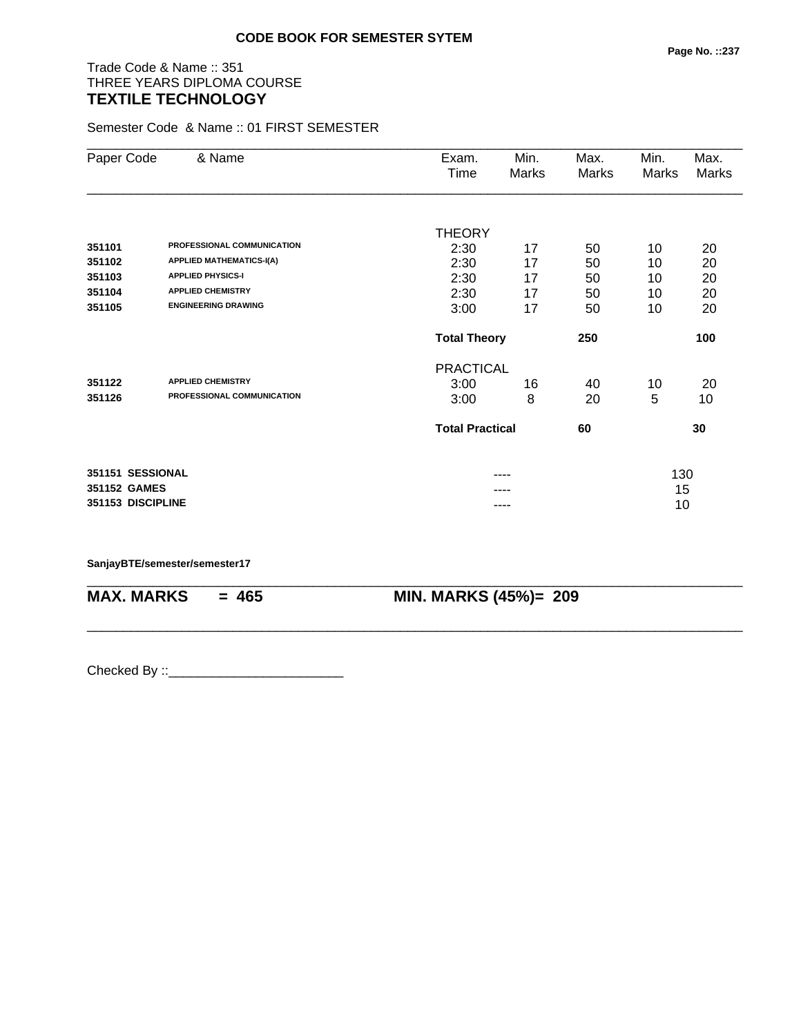# Trade Code & Name :: 351 THREE YEARS DIPLOMA COURSE **TEXTILE TECHNOLOGY**

Semester Code & Name :: 01 FIRST SEMESTER

| Paper Code        | & Name                          | Exam.<br>Time                | Min.<br>Marks | Max.<br><b>Marks</b> | Min.<br>Marks | Max.<br>Marks |
|-------------------|---------------------------------|------------------------------|---------------|----------------------|---------------|---------------|
|                   |                                 |                              |               |                      |               |               |
|                   |                                 | <b>THEORY</b>                |               |                      |               |               |
| 351101            | PROFESSIONAL COMMUNICATION      | 2:30                         | 17            | 50                   | 10            | 20            |
| 351102            | <b>APPLIED MATHEMATICS-I(A)</b> | 2:30                         | 17            | 50                   | 10            | 20            |
| 351103            | <b>APPLIED PHYSICS-I</b>        | 2:30                         | 17            | 50                   | 10            | 20            |
| 351104            | <b>APPLIED CHEMISTRY</b>        | 2:30                         | 17            | 50                   | 10            | 20            |
| 351105            | <b>ENGINEERING DRAWING</b>      | 3:00                         | 17            | 50                   | 10            | 20            |
|                   |                                 | <b>Total Theory</b>          |               | 250                  |               | 100           |
|                   |                                 | <b>PRACTICAL</b>             |               |                      |               |               |
| 351122            | <b>APPLIED CHEMISTRY</b>        | 3:00                         | 16            | 40                   | 10            | 20            |
| 351126            | PROFESSIONAL COMMUNICATION      | 3:00                         | 8             | 20                   | 5             | 10            |
|                   |                                 | <b>Total Practical</b><br>60 |               |                      |               | 30            |
| 351151 SESSIONAL  |                                 |                              |               |                      | 130           |               |
| 351152 GAMES      |                                 |                              |               |                      | 15            |               |
| 351153 DISCIPLINE |                                 |                              | ----          |                      | 10            |               |

\_\_\_\_\_\_\_\_\_\_\_\_\_\_\_\_\_\_\_\_\_\_\_\_\_\_\_\_\_\_\_\_\_\_\_\_\_\_\_\_\_\_\_\_\_\_\_\_\_\_\_\_\_\_\_\_\_\_\_\_\_\_\_\_\_\_\_\_\_\_\_\_\_\_\_\_\_\_\_\_\_\_\_\_\_\_\_\_\_\_

\_\_\_\_\_\_\_\_\_\_\_\_\_\_\_\_\_\_\_\_\_\_\_\_\_\_\_\_\_\_\_\_\_\_\_\_\_\_\_\_\_\_\_\_\_\_\_\_\_\_\_\_\_\_\_\_\_\_\_\_\_\_\_\_\_\_\_\_\_\_\_\_\_\_\_\_\_\_\_\_\_\_\_\_\_\_\_\_\_\_

#### **SanjayBTE/semester/semester17**

**MAX. MARKS = 465 MIN. MARKS (45%)= 209**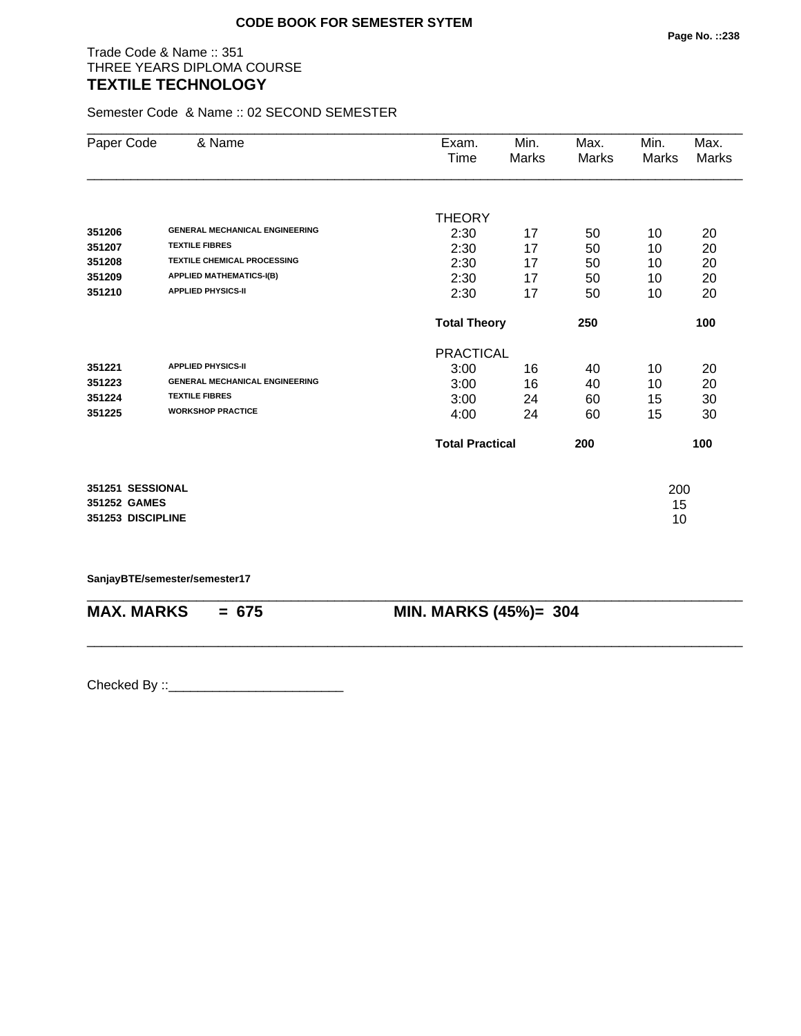## Trade Code & Name :: 351 THREE YEARS DIPLOMA COURSE **TEXTILE TECHNOLOGY**

Semester Code & Name :: 02 SECOND SEMESTER

| Paper Code        | & Name                                | Exam.            | Min.                       | Max.  | Min.  | Max.  |
|-------------------|---------------------------------------|------------------|----------------------------|-------|-------|-------|
|                   |                                       | Time             | Marks                      | Marks | Marks | Marks |
|                   |                                       |                  |                            |       |       |       |
|                   |                                       | <b>THEORY</b>    |                            |       |       |       |
| 351206            | <b>GENERAL MECHANICAL ENGINEERING</b> | 2:30             | 17                         | 50    | 10    | 20    |
| 351207            | <b>TEXTILE FIBRES</b>                 | 2:30             | 17                         | 50    | 10    | 20    |
| 351208            | <b>TEXTILE CHEMICAL PROCESSING</b>    | 2:30             | 17                         | 50    | 10    | 20    |
| 351209            | <b>APPLIED MATHEMATICS-I(B)</b>       | 2:30             | 17                         | 50    | 10    | 20    |
| 351210            | <b>APPLIED PHYSICS-II</b>             | 2:30             | 17                         | 50    | 10    | 20    |
|                   |                                       |                  | 250<br><b>Total Theory</b> |       |       | 100   |
|                   |                                       | <b>PRACTICAL</b> |                            |       |       |       |
| 351221            | <b>APPLIED PHYSICS-II</b>             | 3:00             | 16                         | 40    | 10    | 20    |
| 351223            | <b>GENERAL MECHANICAL ENGINEERING</b> | 3:00             | 16                         | 40    | 10    | 20    |
| 351224            | <b>TEXTILE FIBRES</b>                 | 3:00             | 24                         | 60    | 15    | 30    |
| 351225            | <b>WORKSHOP PRACTICE</b>              | 4:00             | 24                         | 60    | 15    | 30    |
|                   |                                       |                  | <b>Total Practical</b>     |       |       | 100   |
| 351251 SESSIONAL  |                                       |                  |                            |       | 200   |       |
| 351252 GAMES      |                                       |                  |                            |       | 15    |       |
| 351253 DISCIPLINE |                                       |                  |                            |       | 10    |       |

**SanjayBTE/semester/semester17**

| $MAX. \, MARKS = 675$ | <b>MIN. MARKS (45%)= 304</b> |
|-----------------------|------------------------------|

\_\_\_\_\_\_\_\_\_\_\_\_\_\_\_\_\_\_\_\_\_\_\_\_\_\_\_\_\_\_\_\_\_\_\_\_\_\_\_\_\_\_\_\_\_\_\_\_\_\_\_\_\_\_\_\_\_\_\_\_\_\_\_\_\_\_\_\_\_\_\_\_\_\_\_\_\_\_\_\_\_\_\_\_\_\_\_\_\_\_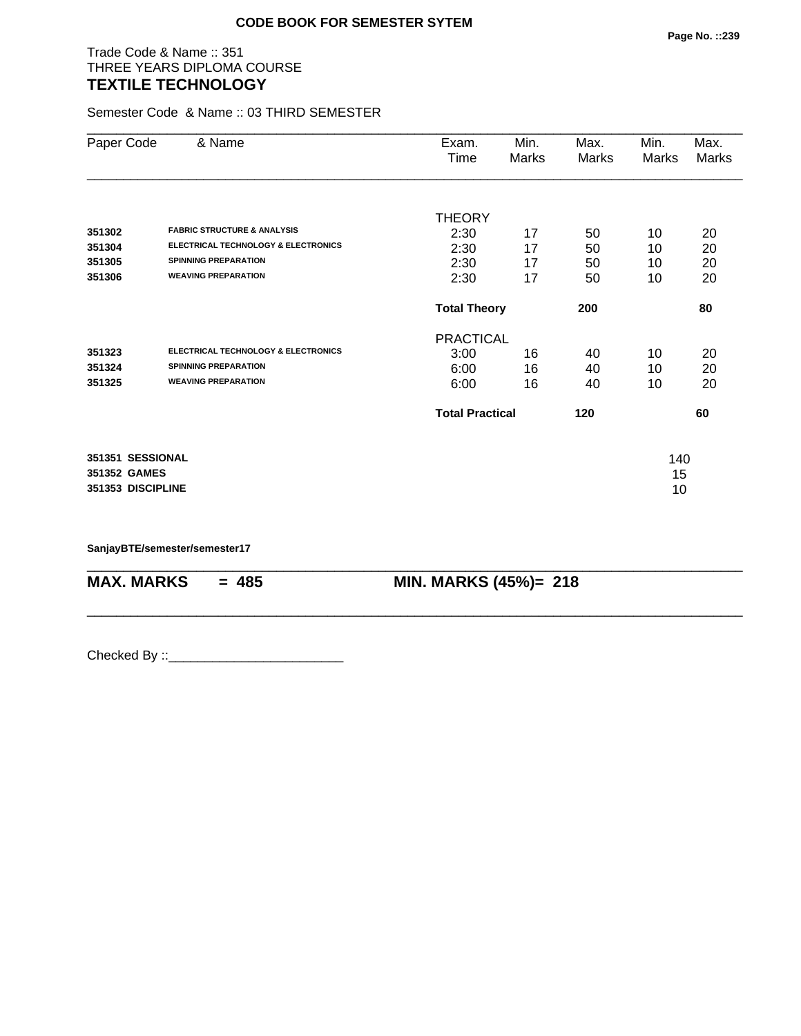## Trade Code & Name :: 351 THREE YEARS DIPLOMA COURSE **TEXTILE TECHNOLOGY**

Semester Code & Name :: 03 THIRD SEMESTER

| Paper Code        | & Name                                         | Exam.<br>Time          | Min.<br>Marks | Max.<br>Marks | Min.<br>Marks | Max.<br>Marks |
|-------------------|------------------------------------------------|------------------------|---------------|---------------|---------------|---------------|
|                   |                                                | <b>THEORY</b>          |               |               |               |               |
| 351302            | <b>FABRIC STRUCTURE &amp; ANALYSIS</b>         | 2:30                   | 17            | 50            | 10            | 20            |
| 351304            | <b>ELECTRICAL TECHNOLOGY &amp; ELECTRONICS</b> | 2:30                   | 17            | 50            | 10            | 20            |
| 351305            | <b>SPINNING PREPARATION</b>                    | 2:30                   | 17            | 50            | 10            | 20            |
| 351306            | <b>WEAVING PREPARATION</b>                     | 2:30                   | 17            | 50            | 10            | 20            |
|                   |                                                | <b>Total Theory</b>    |               | 200           |               | 80            |
|                   |                                                | <b>PRACTICAL</b>       |               |               |               |               |
| 351323            | <b>ELECTRICAL TECHNOLOGY &amp; ELECTRONICS</b> | 3:00                   | 16            | 40            | 10            | 20            |
| 351324            | <b>SPINNING PREPARATION</b>                    | 6:00                   | 16            | 40            | 10            | 20            |
| 351325            | <b>WEAVING PREPARATION</b>                     | 6:00                   | 16            | 40            | 10            | 20            |
|                   |                                                | <b>Total Practical</b> |               | 120           |               | 60            |
| 351351 SESSIONAL  |                                                |                        |               |               | 140           |               |
| 351352 GAMES      |                                                |                        |               |               | 15            |               |
| 351353 DISCIPLINE |                                                |                        |               |               | 10            |               |

\_\_\_\_\_\_\_\_\_\_\_\_\_\_\_\_\_\_\_\_\_\_\_\_\_\_\_\_\_\_\_\_\_\_\_\_\_\_\_\_\_\_\_\_\_\_\_\_\_\_\_\_\_\_\_\_\_\_\_\_\_\_\_\_\_\_\_\_\_\_\_\_\_\_\_\_\_\_\_\_\_\_\_\_\_\_\_\_\_\_

\_\_\_\_\_\_\_\_\_\_\_\_\_\_\_\_\_\_\_\_\_\_\_\_\_\_\_\_\_\_\_\_\_\_\_\_\_\_\_\_\_\_\_\_\_\_\_\_\_\_\_\_\_\_\_\_\_\_\_\_\_\_\_\_\_\_\_\_\_\_\_\_\_\_\_\_\_\_\_\_\_\_\_\_\_\_\_\_\_\_

**SanjayBTE/semester/semester17**

**MAX. MARKS = 485 MIN. MARKS (45%)= 218**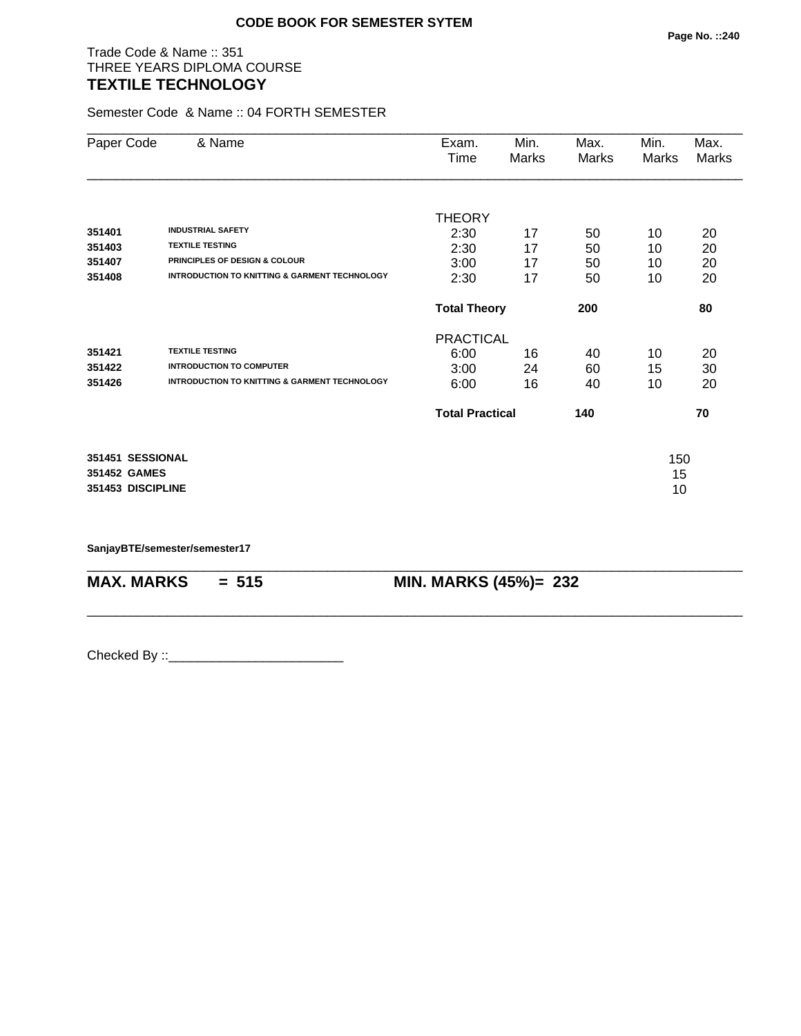## Trade Code & Name :: 351 THREE YEARS DIPLOMA COURSE **TEXTILE TECHNOLOGY**

Semester Code & Name :: 04 FORTH SEMESTER

| Paper Code        | & Name                                                   | Exam.<br>Time          | Min.<br>Marks | Max.<br>Marks | Min.<br>Marks | Max.<br><b>Marks</b> |
|-------------------|----------------------------------------------------------|------------------------|---------------|---------------|---------------|----------------------|
|                   |                                                          |                        |               |               |               |                      |
|                   |                                                          | <b>THEORY</b>          |               |               |               |                      |
| 351401            | <b>INDUSTRIAL SAFETY</b>                                 | 2:30                   | 17            | 50            | 10            | 20                   |
| 351403            | <b>TEXTILE TESTING</b>                                   | 2:30                   | 17            | 50            | 10            | 20                   |
| 351407            | PRINCIPLES OF DESIGN & COLOUR                            | 3:00                   | 17            | 50            | 10            | 20                   |
| 351408            | <b>INTRODUCTION TO KNITTING &amp; GARMENT TECHNOLOGY</b> | 2:30                   | 17            | 50            | 10            | 20                   |
|                   |                                                          | <b>Total Theory</b>    |               | 200           |               | 80                   |
|                   |                                                          | <b>PRACTICAL</b>       |               |               |               |                      |
| 351421            | <b>TEXTILE TESTING</b>                                   | 6:00                   | 16            | 40            | 10            | 20                   |
| 351422            | <b>INTRODUCTION TO COMPUTER</b>                          | 3:00                   | 24            | 60            | 15            | 30                   |
| 351426            | <b>INTRODUCTION TO KNITTING &amp; GARMENT TECHNOLOGY</b> | 6:00                   | 16            | 40            | 10            | 20                   |
|                   |                                                          | <b>Total Practical</b> |               | 140           |               | 70                   |
| 351451 SESSIONAL  |                                                          |                        |               |               | 150           |                      |
| 351452 GAMES      |                                                          |                        |               |               | 15            |                      |
| 351453 DISCIPLINE |                                                          |                        |               |               | 10            |                      |

\_\_\_\_\_\_\_\_\_\_\_\_\_\_\_\_\_\_\_\_\_\_\_\_\_\_\_\_\_\_\_\_\_\_\_\_\_\_\_\_\_\_\_\_\_\_\_\_\_\_\_\_\_\_\_\_\_\_\_\_\_\_\_\_\_\_\_\_\_\_\_\_\_\_\_\_\_\_\_\_\_\_\_\_\_\_\_\_\_\_

\_\_\_\_\_\_\_\_\_\_\_\_\_\_\_\_\_\_\_\_\_\_\_\_\_\_\_\_\_\_\_\_\_\_\_\_\_\_\_\_\_\_\_\_\_\_\_\_\_\_\_\_\_\_\_\_\_\_\_\_\_\_\_\_\_\_\_\_\_\_\_\_\_\_\_\_\_\_\_\_\_\_\_\_\_\_\_\_\_\_

**SanjayBTE/semester/semester17**

**MAX. MARKS = 515 MIN. MARKS (45%)= 232**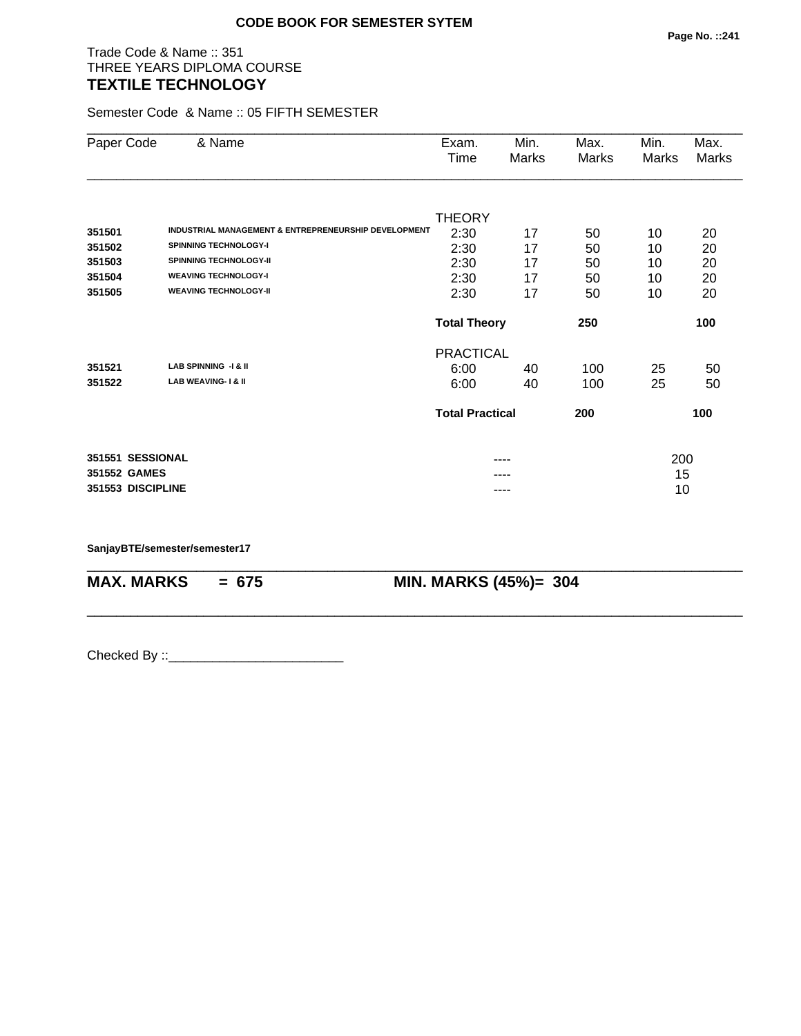## Trade Code & Name :: 351 THREE YEARS DIPLOMA COURSE **TEXTILE TECHNOLOGY**

Semester Code & Name :: 05 FIFTH SEMESTER

| Paper Code        | & Name                                               | Exam.                  | Min.  | Max.  | Min.  | Max.  |
|-------------------|------------------------------------------------------|------------------------|-------|-------|-------|-------|
|                   |                                                      | Time                   | Marks | Marks | Marks | Marks |
|                   |                                                      |                        |       |       |       |       |
|                   |                                                      | <b>THEORY</b>          |       |       |       |       |
| 351501            | INDUSTRIAL MANAGEMENT & ENTREPRENEURSHIP DEVELOPMENT | 2:30                   | 17    | 50    | 10    | 20    |
| 351502            | <b>SPINNING TECHNOLOGY-I</b>                         | 2:30                   | 17    | 50    | 10    | 20    |
| 351503            | <b>SPINNING TECHNOLOGY-II</b>                        | 2:30                   | 17    | 50    | 10    | 20    |
| 351504            | <b>WEAVING TECHNOLOGY-I</b>                          | 2:30                   | 17    | 50    | 10    | 20    |
| 351505            | <b>WEAVING TECHNOLOGY-II</b>                         | 2:30                   | 17    | 50    | 10    | 20    |
|                   |                                                      | <b>Total Theory</b>    |       | 250   |       | 100   |
|                   |                                                      | <b>PRACTICAL</b>       |       |       |       |       |
| 351521            | LAB SPINNING -I & II                                 | 6:00                   | 40    | 100   | 25    | 50    |
| 351522            | <b>LAB WEAVING-1&amp; II</b>                         | 6:00                   | 40    | 100   | 25    | 50    |
|                   |                                                      | <b>Total Practical</b> |       | 200   |       | 100   |
| 351551 SESSIONAL  |                                                      |                        | ----  |       | 200   |       |
| 351552 GAMES      |                                                      |                        |       |       | 15    |       |
| 351553 DISCIPLINE |                                                      |                        | ----  |       | 10    |       |

\_\_\_\_\_\_\_\_\_\_\_\_\_\_\_\_\_\_\_\_\_\_\_\_\_\_\_\_\_\_\_\_\_\_\_\_\_\_\_\_\_\_\_\_\_\_\_\_\_\_\_\_\_\_\_\_\_\_\_\_\_\_\_\_\_\_\_\_\_\_\_\_\_\_\_\_\_\_\_\_\_\_\_\_\_\_\_\_\_\_

\_\_\_\_\_\_\_\_\_\_\_\_\_\_\_\_\_\_\_\_\_\_\_\_\_\_\_\_\_\_\_\_\_\_\_\_\_\_\_\_\_\_\_\_\_\_\_\_\_\_\_\_\_\_\_\_\_\_\_\_\_\_\_\_\_\_\_\_\_\_\_\_\_\_\_\_\_\_\_\_\_\_\_\_\_\_\_\_\_\_

**SanjayBTE/semester/semester17**

**MAX. MARKS = 675 MIN. MARKS (45%)= 304**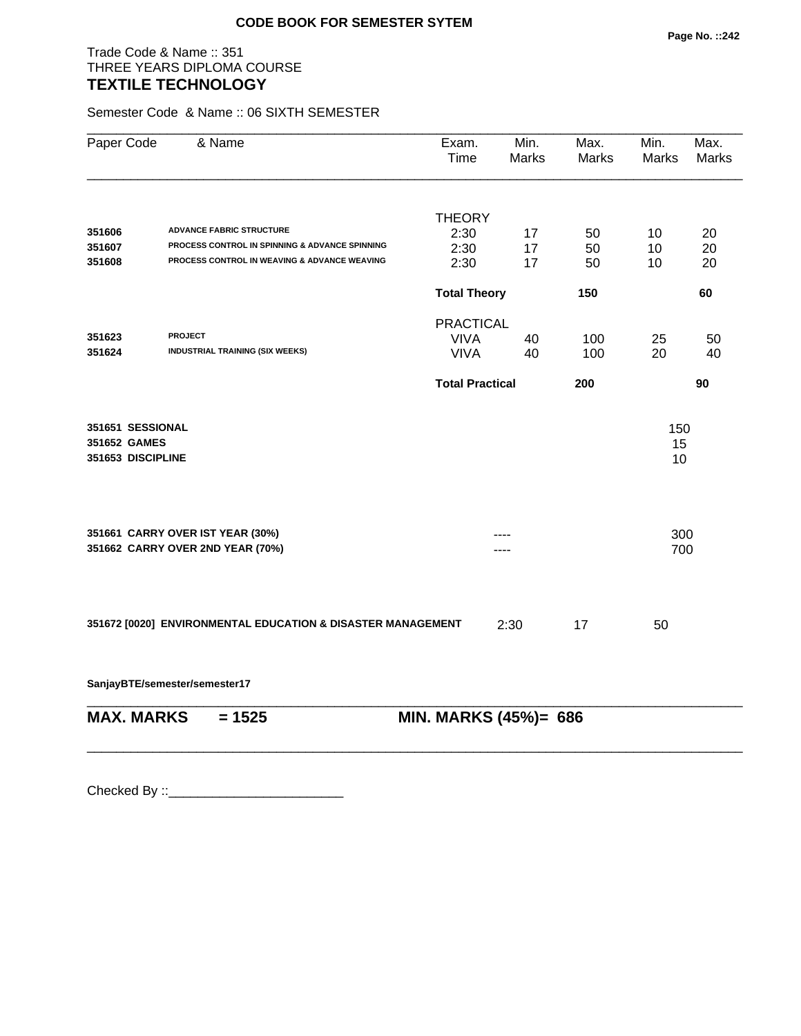## Trade Code & Name :: 351 THREE YEARS DIPLOMA COURSE **TEXTILE TECHNOLOGY**

Semester Code & Name :: 06 SIXTH SEMESTER

| Paper Code        | & Name                                                      | Exam.<br>Time          | Min.<br><b>Marks</b> | Max.<br><b>Marks</b> | Min.<br><b>Marks</b> | Max.<br><b>Marks</b> |
|-------------------|-------------------------------------------------------------|------------------------|----------------------|----------------------|----------------------|----------------------|
|                   |                                                             |                        |                      |                      |                      |                      |
| 351606            | <b>ADVANCE FABRIC STRUCTURE</b>                             | <b>THEORY</b>          |                      |                      |                      |                      |
| 351607            | PROCESS CONTROL IN SPINNING & ADVANCE SPINNING              | 2:30<br>2:30           | 17<br>17             | 50<br>50             | 10<br>10             | 20<br>20             |
| 351608            | PROCESS CONTROL IN WEAVING & ADVANCE WEAVING                | 2:30                   | 17                   | 50                   | 10                   | 20                   |
|                   |                                                             | <b>Total Theory</b>    |                      | 150                  |                      | 60                   |
|                   |                                                             | <b>PRACTICAL</b>       |                      |                      |                      |                      |
| 351623            | <b>PROJECT</b>                                              | <b>VIVA</b>            | 40                   | 100                  | 25                   | 50                   |
| 351624            | <b>INDUSTRIAL TRAINING (SIX WEEKS)</b>                      | <b>VIVA</b>            | 40                   | 100                  | 20                   | 40                   |
|                   |                                                             | <b>Total Practical</b> |                      | 200                  |                      | 90                   |
| 351651 SESSIONAL  |                                                             |                        |                      |                      | 150                  |                      |
| 351652 GAMES      |                                                             |                        |                      |                      | 15                   |                      |
| 351653 DISCIPLINE |                                                             |                        |                      |                      | 10                   |                      |
|                   |                                                             |                        |                      |                      |                      |                      |
|                   | 351661 CARRY OVER IST YEAR (30%)                            |                        |                      |                      | 300                  |                      |
|                   | 351662 CARRY OVER 2ND YEAR (70%)                            |                        |                      |                      | 700                  |                      |
|                   |                                                             |                        |                      |                      |                      |                      |
|                   | 351672 [0020] ENVIRONMENTAL EDUCATION & DISASTER MANAGEMENT |                        | 2:30                 | 17                   | 50                   |                      |
|                   |                                                             |                        |                      |                      |                      |                      |
|                   | SanjayBTE/semester/semester17                               |                        |                      |                      |                      |                      |
| <b>MAX. MARKS</b> | $= 1525$                                                    | MIN. MARKS (45%)= 686  |                      |                      |                      |                      |
|                   |                                                             |                        |                      |                      |                      |                      |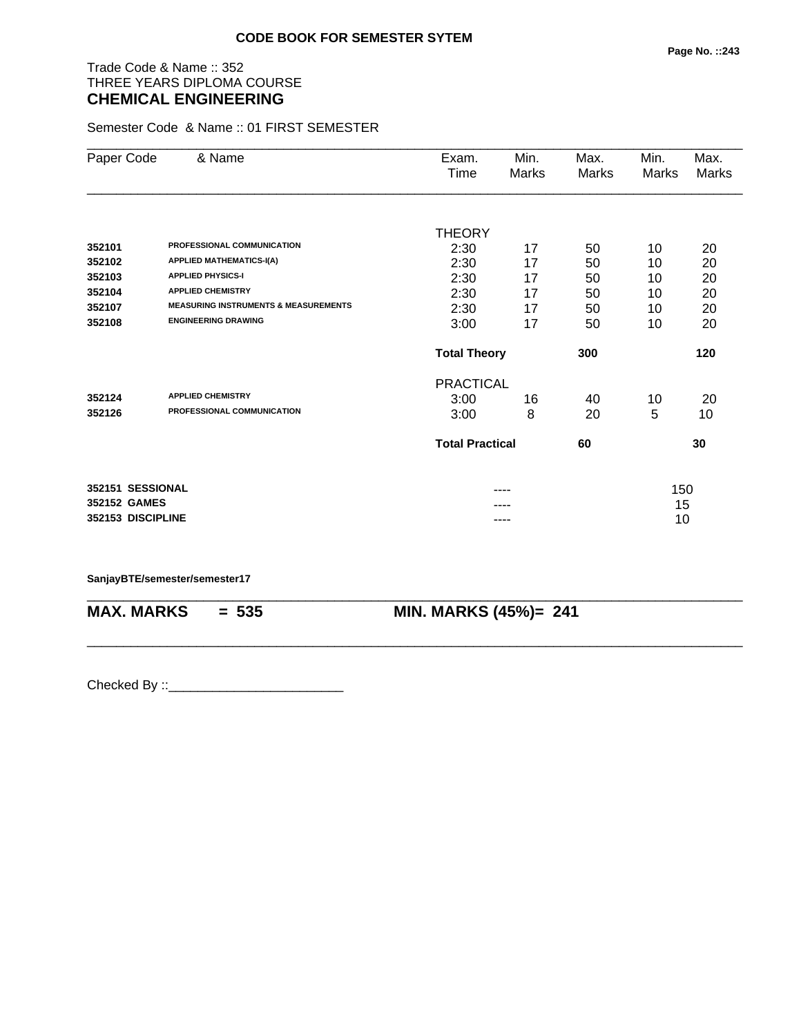# Trade Code & Name :: 352 THREE YEARS DIPLOMA COURSE **CHEMICAL ENGINEERING**

Semester Code & Name :: 01 FIRST SEMESTER

| Paper Code        | & Name                                          | Exam.<br>Time          | Min.<br>Marks | Max.<br>Marks | Min.<br>Marks | Max.<br>Marks |
|-------------------|-------------------------------------------------|------------------------|---------------|---------------|---------------|---------------|
|                   |                                                 |                        |               |               |               |               |
|                   |                                                 | <b>THEORY</b>          |               |               |               |               |
| 352101            | PROFESSIONAL COMMUNICATION                      | 2:30                   | 17            | 50            | 10            | 20            |
| 352102            | <b>APPLIED MATHEMATICS-I(A)</b>                 | 2:30                   | 17            | 50            | 10            | 20            |
| 352103            | <b>APPLIED PHYSICS-I</b>                        | 2:30                   | 17            | 50            | 10            | 20            |
| 352104            | <b>APPLIED CHEMISTRY</b>                        | 2:30                   | 17            | 50            | 10            | 20            |
| 352107            | <b>MEASURING INSTRUMENTS &amp; MEASUREMENTS</b> | 2:30                   | 17            | 50            | 10            | 20            |
| 352108            | <b>ENGINEERING DRAWING</b>                      | 3:00                   | 17            | 50            | 10            | 20            |
|                   |                                                 | <b>Total Theory</b>    |               | 300           |               | 120           |
|                   |                                                 | <b>PRACTICAL</b>       |               |               |               |               |
| 352124            | <b>APPLIED CHEMISTRY</b>                        | 3:00                   | 16            | 40            | 10            | 20            |
| 352126            | PROFESSIONAL COMMUNICATION                      | 3:00                   | 8             | 20            | 5             | 10            |
|                   |                                                 | <b>Total Practical</b> |               | 60            |               | 30            |
| 352151 SESSIONAL  |                                                 |                        |               |               | 150           |               |
| 352152 GAMES      |                                                 |                        |               |               | 15            |               |
| 352153 DISCIPLINE |                                                 |                        | ----          |               | 10            |               |

\_\_\_\_\_\_\_\_\_\_\_\_\_\_\_\_\_\_\_\_\_\_\_\_\_\_\_\_\_\_\_\_\_\_\_\_\_\_\_\_\_\_\_\_\_\_\_\_\_\_\_\_\_\_\_\_\_\_\_\_\_\_\_\_\_\_\_\_\_\_\_\_\_\_\_\_\_\_\_\_\_\_\_\_\_\_\_\_\_\_

\_\_\_\_\_\_\_\_\_\_\_\_\_\_\_\_\_\_\_\_\_\_\_\_\_\_\_\_\_\_\_\_\_\_\_\_\_\_\_\_\_\_\_\_\_\_\_\_\_\_\_\_\_\_\_\_\_\_\_\_\_\_\_\_\_\_\_\_\_\_\_\_\_\_\_\_\_\_\_\_\_\_\_\_\_\_\_\_\_\_

#### **SanjayBTE/semester/semester17**

**MAX. MARKS = 535 MIN. MARKS (45%)= 241**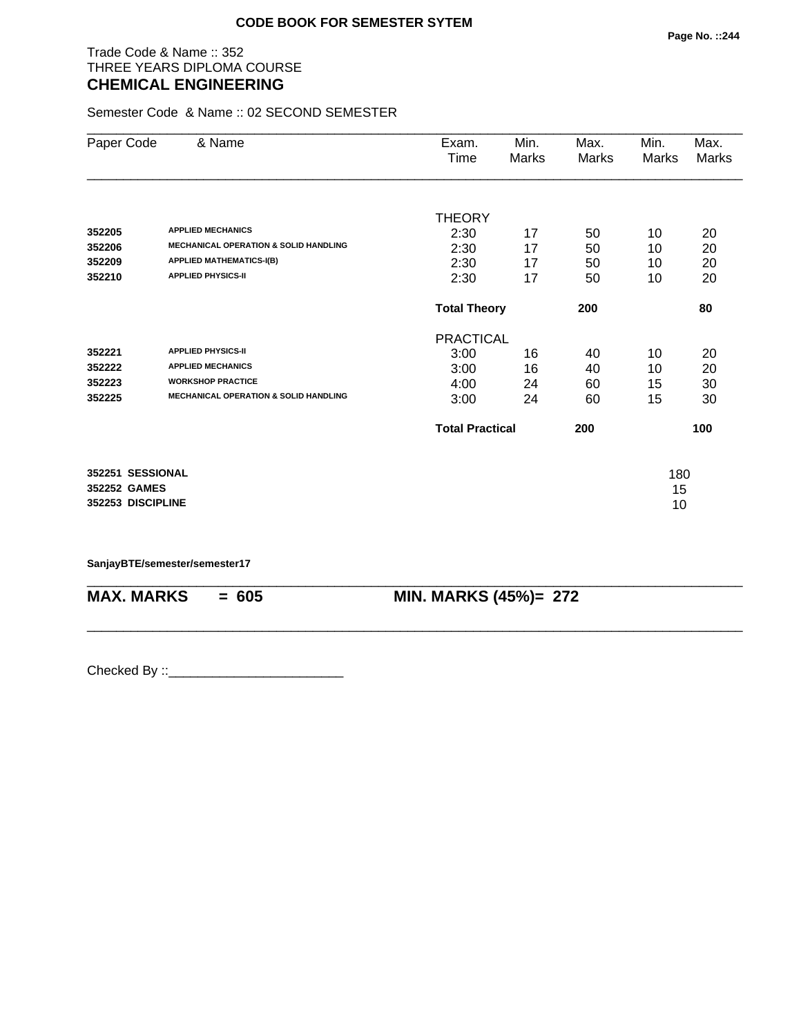### Trade Code & Name :: 352 THREE YEARS DIPLOMA COURSE **CHEMICAL ENGINEERING**

Semester Code & Name :: 02 SECOND SEMESTER

| Paper Code        | & Name                                           | Exam.                  | Min.  | Max.  | Min.  | Max.  |
|-------------------|--------------------------------------------------|------------------------|-------|-------|-------|-------|
|                   |                                                  | Time                   | Marks | Marks | Marks | Marks |
|                   |                                                  |                        |       |       |       |       |
|                   |                                                  | <b>THEORY</b>          |       |       |       |       |
| 352205            | <b>APPLIED MECHANICS</b>                         | 2:30                   | 17    | 50    | 10    | 20    |
| 352206            | <b>MECHANICAL OPERATION &amp; SOLID HANDLING</b> | 2:30                   | 17    | 50    | 10    | 20    |
| 352209            | <b>APPLIED MATHEMATICS-I(B)</b>                  | 2:30                   | 17    | 50    | 10    | 20    |
| 352210            | <b>APPLIED PHYSICS-II</b>                        | 2:30                   | 17    | 50    | 10    | 20    |
|                   |                                                  | <b>Total Theory</b>    |       | 200   |       | 80    |
|                   |                                                  | <b>PRACTICAL</b>       |       |       |       |       |
| 352221            | <b>APPLIED PHYSICS-II</b>                        | 3:00                   | 16    | 40    | 10    | 20    |
| 352222            | <b>APPLIED MECHANICS</b>                         | 3:00                   | 16    | 40    | 10    | 20    |
| 352223            | <b>WORKSHOP PRACTICE</b>                         | 4:00                   | 24    | 60    | 15    | 30    |
| 352225            | <b>MECHANICAL OPERATION &amp; SOLID HANDLING</b> | 3:00                   | 24    | 60    | 15    | 30    |
|                   |                                                  | <b>Total Practical</b> |       | 200   |       | 100   |
| 352251 SESSIONAL  |                                                  |                        |       |       | 180   |       |
| 352252 GAMES      |                                                  |                        |       |       | 15    |       |
| 352253 DISCIPLINE |                                                  |                        |       |       | 10    |       |
|                   |                                                  |                        |       |       |       |       |

\_\_\_\_\_\_\_\_\_\_\_\_\_\_\_\_\_\_\_\_\_\_\_\_\_\_\_\_\_\_\_\_\_\_\_\_\_\_\_\_\_\_\_\_\_\_\_\_\_\_\_\_\_\_\_\_\_\_\_\_\_\_\_\_\_\_\_\_\_\_\_\_\_\_\_\_\_\_\_\_\_\_\_\_\_\_\_\_\_\_

\_\_\_\_\_\_\_\_\_\_\_\_\_\_\_\_\_\_\_\_\_\_\_\_\_\_\_\_\_\_\_\_\_\_\_\_\_\_\_\_\_\_\_\_\_\_\_\_\_\_\_\_\_\_\_\_\_\_\_\_\_\_\_\_\_\_\_\_\_\_\_\_\_\_\_\_\_\_\_\_\_\_\_\_\_\_\_\_\_\_

**SanjayBTE/semester/semester17**

**MAX. MARKS = 605 MIN. MARKS (45%)= 272**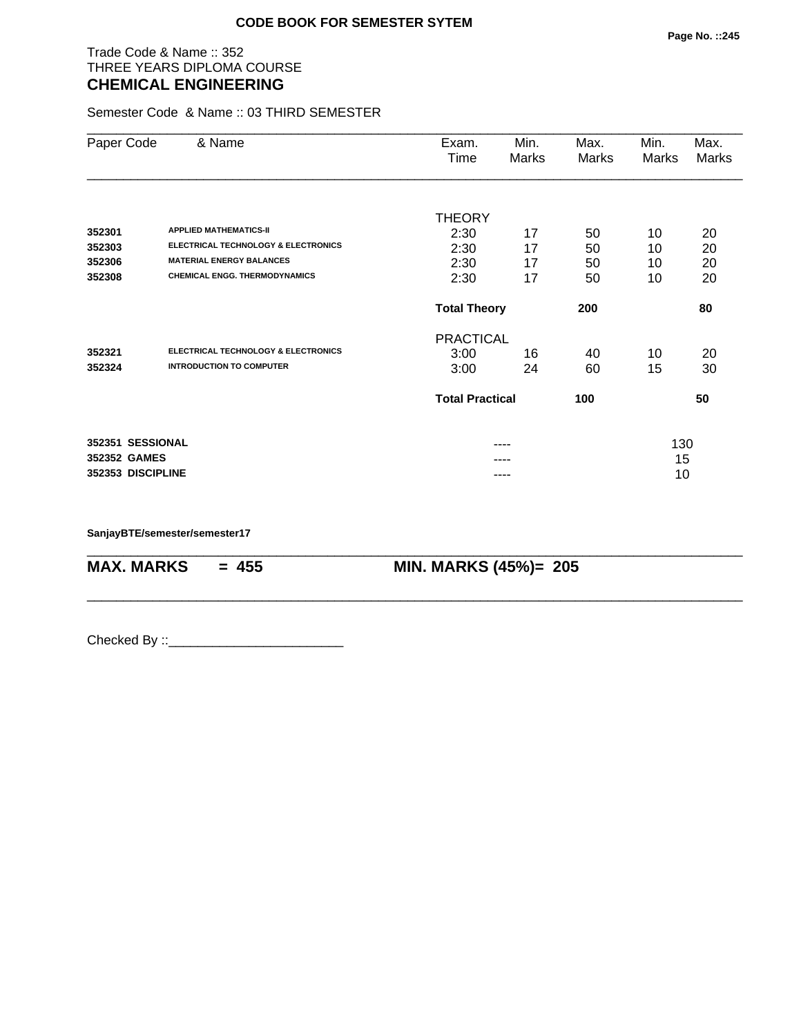### Trade Code & Name :: 352 THREE YEARS DIPLOMA COURSE **CHEMICAL ENGINEERING**

Semester Code & Name :: 03 THIRD SEMESTER

| Paper Code        | & Name                                         | Exam.<br>Time          | Min.<br>Marks | Max.<br>Marks | Min.<br>Marks | Max.<br>Marks |
|-------------------|------------------------------------------------|------------------------|---------------|---------------|---------------|---------------|
|                   |                                                |                        |               |               |               |               |
| 352301            | <b>APPLIED MATHEMATICS-II</b>                  | <b>THEORY</b>          |               |               |               |               |
| 352303            | <b>ELECTRICAL TECHNOLOGY &amp; ELECTRONICS</b> | 2:30                   | 17            | 50            | 10            | 20            |
| 352306            | <b>MATERIAL ENERGY BALANCES</b>                | 2:30<br>2:30           | 17<br>17      | 50<br>50      | 10<br>10      | 20<br>20      |
| 352308            | <b>CHEMICAL ENGG. THERMODYNAMICS</b>           | 2:30                   | 17            | 50            | 10            | 20            |
|                   |                                                | <b>Total Theory</b>    |               | 200           |               | 80            |
|                   |                                                | <b>PRACTICAL</b>       |               |               |               |               |
| 352321            | <b>ELECTRICAL TECHNOLOGY &amp; ELECTRONICS</b> | 3:00                   | 16            | 40            | 10            | 20            |
| 352324            | <b>INTRODUCTION TO COMPUTER</b>                | 3:00                   | 24            | 60            | 15            | 30            |
|                   |                                                | <b>Total Practical</b> |               | 100           |               | 50            |
| 352351 SESSIONAL  |                                                |                        | ----          |               | 130           |               |
| 352352 GAMES      |                                                |                        |               |               | 15            |               |
| 352353 DISCIPLINE |                                                |                        | ----          |               | 10            |               |

\_\_\_\_\_\_\_\_\_\_\_\_\_\_\_\_\_\_\_\_\_\_\_\_\_\_\_\_\_\_\_\_\_\_\_\_\_\_\_\_\_\_\_\_\_\_\_\_\_\_\_\_\_\_\_\_\_\_\_\_\_\_\_\_\_\_\_\_\_\_\_\_\_\_\_\_\_\_\_\_\_\_\_\_\_\_\_\_\_\_

\_\_\_\_\_\_\_\_\_\_\_\_\_\_\_\_\_\_\_\_\_\_\_\_\_\_\_\_\_\_\_\_\_\_\_\_\_\_\_\_\_\_\_\_\_\_\_\_\_\_\_\_\_\_\_\_\_\_\_\_\_\_\_\_\_\_\_\_\_\_\_\_\_\_\_\_\_\_\_\_\_\_\_\_\_\_\_\_\_\_

**SanjayBTE/semester/semester17**

**MAX. MARKS = 455 MIN. MARKS (45%)= 205**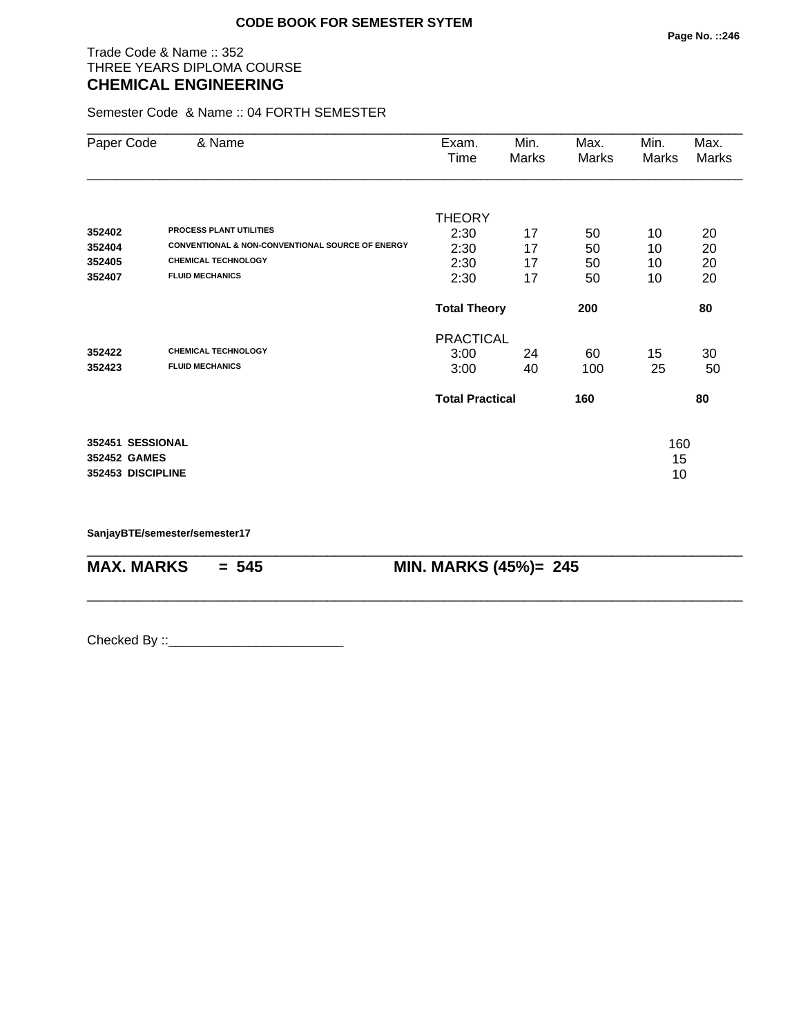### Trade Code & Name :: 352 THREE YEARS DIPLOMA COURSE **CHEMICAL ENGINEERING**

Semester Code & Name :: 04 FORTH SEMESTER

| Paper Code        | & Name                                                      | Exam.<br>Time          | Min.<br>Marks | Max.<br>Marks | Min.<br>Marks | Max.<br>Marks |
|-------------------|-------------------------------------------------------------|------------------------|---------------|---------------|---------------|---------------|
|                   |                                                             | <b>THEORY</b>          |               |               |               |               |
| 352402            | <b>PROCESS PLANT UTILITIES</b>                              | 2:30                   | 17            | 50            | 10            | 20            |
| 352404            | <b>CONVENTIONAL &amp; NON-CONVENTIONAL SOURCE OF ENERGY</b> | 2:30                   | 17            | 50            | 10            | 20            |
| 352405            | <b>CHEMICAL TECHNOLOGY</b>                                  | 2:30                   | 17            | 50            | 10            | 20            |
| 352407            | <b>FLUID MECHANICS</b>                                      | 2:30                   | 17            | 50            | 10            | 20            |
|                   |                                                             | <b>Total Theory</b>    |               | 200           |               | 80            |
|                   |                                                             | <b>PRACTICAL</b>       |               |               |               |               |
| 352422            | <b>CHEMICAL TECHNOLOGY</b>                                  | 3:00                   | 24            | 60            | 15            | 30            |
| 352423            | <b>FLUID MECHANICS</b>                                      | 3:00                   | 40            | 100           | 25            | 50            |
|                   |                                                             | <b>Total Practical</b> |               | 160           |               | 80            |
| 352451 SESSIONAL  |                                                             |                        |               |               | 160           |               |
| 352452 GAMES      |                                                             |                        |               |               | 15            |               |
| 352453 DISCIPLINE |                                                             |                        |               |               | 10            |               |

\_\_\_\_\_\_\_\_\_\_\_\_\_\_\_\_\_\_\_\_\_\_\_\_\_\_\_\_\_\_\_\_\_\_\_\_\_\_\_\_\_\_\_\_\_\_\_\_\_\_\_\_\_\_\_\_\_\_\_\_\_\_\_\_\_\_\_\_\_\_\_\_\_\_\_\_\_\_\_\_\_\_\_\_\_\_\_\_\_\_

\_\_\_\_\_\_\_\_\_\_\_\_\_\_\_\_\_\_\_\_\_\_\_\_\_\_\_\_\_\_\_\_\_\_\_\_\_\_\_\_\_\_\_\_\_\_\_\_\_\_\_\_\_\_\_\_\_\_\_\_\_\_\_\_\_\_\_\_\_\_\_\_\_\_\_\_\_\_\_\_\_\_\_\_\_\_\_\_\_\_

**SanjayBTE/semester/semester17**

**MAX. MARKS = 545 MIN. MARKS (45%)= 245**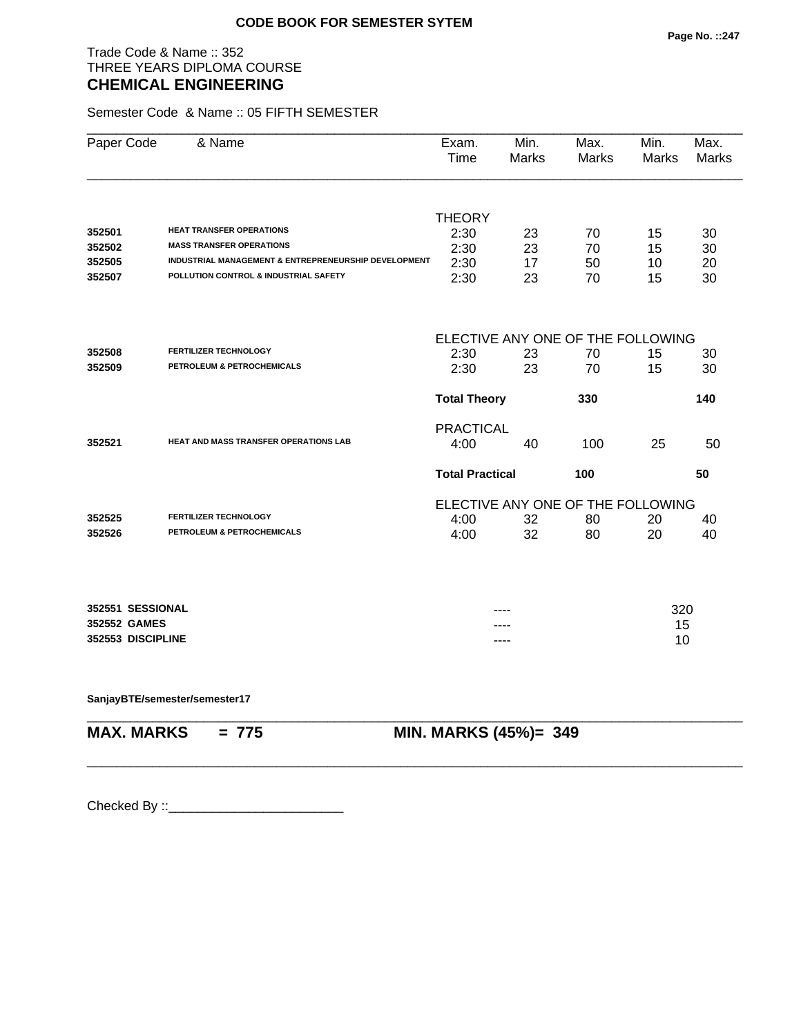### Trade Code & Name :: 352 THREE YEARS DIPLOMA COURSE **CHEMICAL ENGINEERING**

Semester Code & Name :: 05 FIFTH SEMESTER

| Paper Code        | & Name                                               | Exam.<br>Time                     | Min.<br><b>Marks</b> | Max.<br><b>Marks</b> | Min.<br><b>Marks</b> | Max.<br><b>Marks</b> |
|-------------------|------------------------------------------------------|-----------------------------------|----------------------|----------------------|----------------------|----------------------|
|                   |                                                      |                                   |                      |                      |                      |                      |
| 352501            | <b>HEAT TRANSFER OPERATIONS</b>                      | <b>THEORY</b>                     |                      |                      |                      |                      |
| 352502            | <b>MASS TRANSFER OPERATIONS</b>                      | 2:30<br>2:30                      | 23<br>23             | 70<br>70             | 15                   | 30                   |
| 352505            | INDUSTRIAL MANAGEMENT & ENTREPRENEURSHIP DEVELOPMENT | 2:30                              | 17                   | 50                   | 15<br>10             | 30<br>20             |
| 352507            | POLLUTION CONTROL & INDUSTRIAL SAFETY                | 2:30                              | 23                   | 70                   | 15                   | 30                   |
|                   |                                                      | ELECTIVE ANY ONE OF THE FOLLOWING |                      |                      |                      |                      |
| 352508            | <b>FERTILIZER TECHNOLOGY</b>                         | 2:30                              | 23                   | 70                   | 15                   | 30                   |
| 352509            | PETROLEUM & PETROCHEMICALS                           | 2:30                              | 23                   | 70                   | 15                   | 30                   |
|                   |                                                      | <b>Total Theory</b>               |                      | 330                  |                      | 140                  |
|                   |                                                      | <b>PRACTICAL</b>                  |                      |                      |                      |                      |
| 352521            | <b>HEAT AND MASS TRANSFER OPERATIONS LAB</b>         | 4:00                              | 40                   | 100                  | 25                   | 50                   |
|                   |                                                      | <b>Total Practical</b>            |                      | 100                  |                      | 50                   |
|                   |                                                      | ELECTIVE ANY ONE OF THE FOLLOWING |                      |                      |                      |                      |
| 352525            | <b>FERTILIZER TECHNOLOGY</b>                         | 4:00                              | 32                   | 80                   | 20                   | 40                   |
| 352526            | PETROLEUM & PETROCHEMICALS                           | 4:00                              | 32                   | 80                   | 20                   | 40                   |
|                   |                                                      |                                   |                      |                      |                      |                      |
| 352551 SESSIONAL  |                                                      |                                   |                      |                      | 320                  |                      |
| 352552 GAMES      |                                                      |                                   |                      |                      | 15                   |                      |
| 352553 DISCIPLINE |                                                      |                                   |                      |                      | 10                   |                      |
|                   |                                                      |                                   |                      |                      |                      |                      |

\_\_\_\_\_\_\_\_\_\_\_\_\_\_\_\_\_\_\_\_\_\_\_\_\_\_\_\_\_\_\_\_\_\_\_\_\_\_\_\_\_\_\_\_\_\_\_\_\_\_\_\_\_\_\_\_\_\_\_\_\_\_\_\_\_\_\_\_\_\_\_\_\_\_\_\_\_\_\_\_\_\_\_\_\_\_\_\_\_\_

\_\_\_\_\_\_\_\_\_\_\_\_\_\_\_\_\_\_\_\_\_\_\_\_\_\_\_\_\_\_\_\_\_\_\_\_\_\_\_\_\_\_\_\_\_\_\_\_\_\_\_\_\_\_\_\_\_\_\_\_\_\_\_\_\_\_\_\_\_\_\_\_\_\_\_\_\_\_\_\_\_\_\_\_\_\_\_\_\_\_

**SanjayBTE/semester/semester17**

**MAX. MARKS = 775 MIN. MARKS (45%)= 349**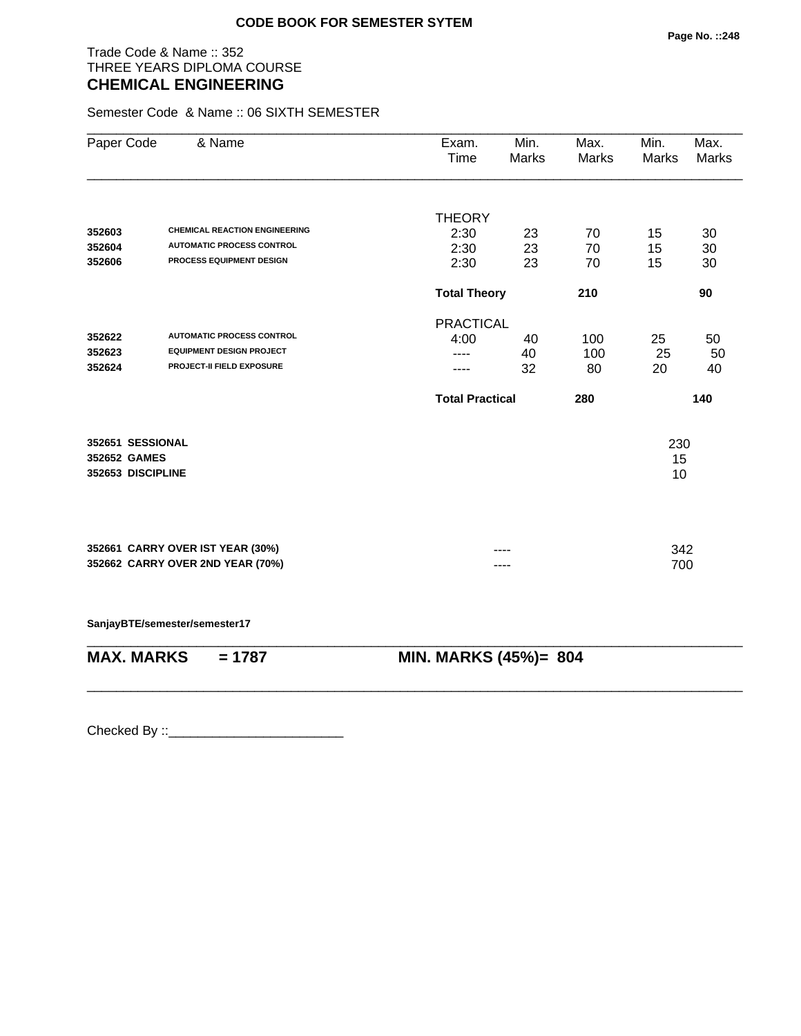### Trade Code & Name :: 352 THREE YEARS DIPLOMA COURSE **CHEMICAL ENGINEERING**

Semester Code & Name :: 06 SIXTH SEMESTER

| Paper Code                                            | & Name                                                               | Exam.<br><b>Time</b>   | Min.<br><b>Marks</b> | Max.<br>Marks | Min.<br>Marks   | Max.<br><b>Marks</b> |
|-------------------------------------------------------|----------------------------------------------------------------------|------------------------|----------------------|---------------|-----------------|----------------------|
|                                                       |                                                                      | <b>THEORY</b>          |                      |               |                 |                      |
| 352603                                                | <b>CHEMICAL REACTION ENGINEERING</b>                                 | 2:30                   | 23                   | 70            | 15              | 30                   |
| 352604                                                | <b>AUTOMATIC PROCESS CONTROL</b>                                     | 2:30                   | 23                   | 70            | 15              | 30                   |
| 352606                                                | PROCESS EQUIPMENT DESIGN                                             | 2:30                   | 23                   | 70            | 15              | 30                   |
|                                                       |                                                                      | <b>Total Theory</b>    |                      | 210           |                 | 90                   |
|                                                       |                                                                      | <b>PRACTICAL</b>       |                      |               |                 |                      |
| 352622                                                | <b>AUTOMATIC PROCESS CONTROL</b>                                     | 4:00                   | 40                   | 100           | 25              | 50                   |
| 352623                                                | <b>EQUIPMENT DESIGN PROJECT</b>                                      |                        | 40                   | 100           | 25              | 50                   |
| 352624                                                | PROJECT-II FIELD EXPOSURE                                            |                        | 32                   | 80            | 20              | 40                   |
|                                                       |                                                                      | <b>Total Practical</b> |                      | 280           |                 | 140                  |
| 352651 SESSIONAL<br>352652 GAMES<br>352653 DISCIPLINE |                                                                      |                        |                      |               | 230<br>15<br>10 |                      |
|                                                       | 352661 CARRY OVER IST YEAR (30%)<br>352662 CARRY OVER 2ND YEAR (70%) |                        | ----                 |               | 342<br>700      |                      |
|                                                       | SanjayBTE/semester/semester17                                        |                        |                      |               |                 |                      |

| MAX. MARKS | = 1787 | <b>MIN. MARKS (45%)= 804</b> |
|------------|--------|------------------------------|
|            |        |                              |

\_\_\_\_\_\_\_\_\_\_\_\_\_\_\_\_\_\_\_\_\_\_\_\_\_\_\_\_\_\_\_\_\_\_\_\_\_\_\_\_\_\_\_\_\_\_\_\_\_\_\_\_\_\_\_\_\_\_\_\_\_\_\_\_\_\_\_\_\_\_\_\_\_\_\_\_\_\_\_\_\_\_\_\_\_\_\_\_\_\_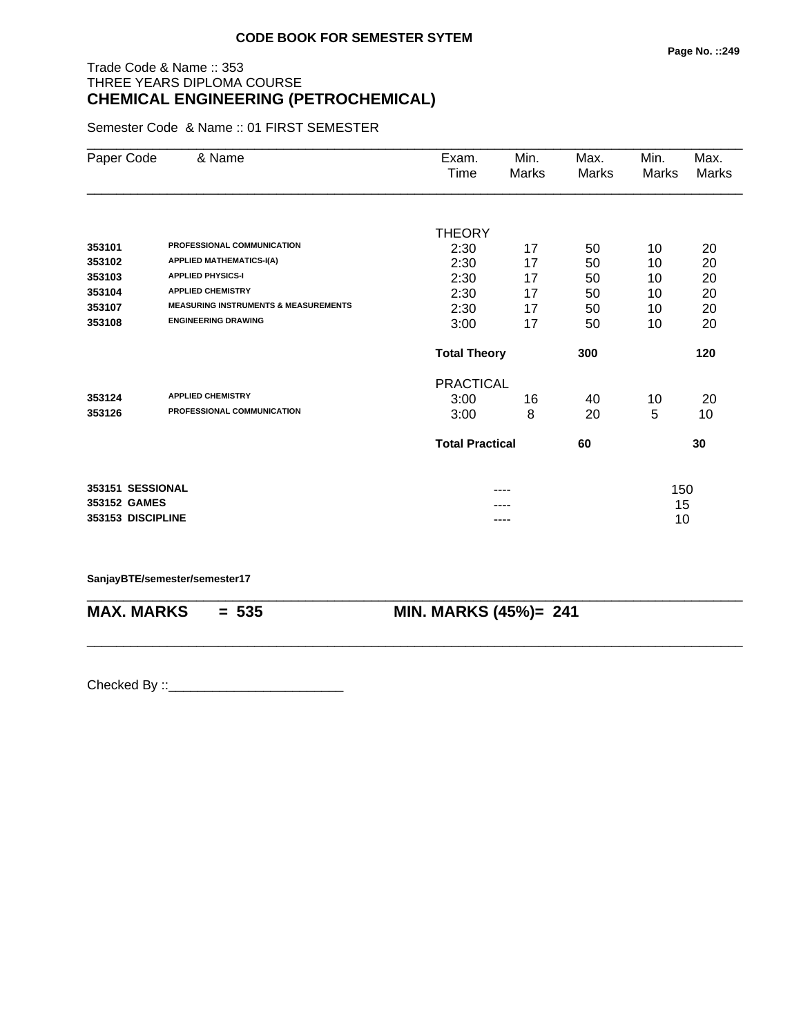# Trade Code & Name :: 353 THREE YEARS DIPLOMA COURSE **CHEMICAL ENGINEERING (PETROCHEMICAL)**

Semester Code & Name :: 01 FIRST SEMESTER

| Paper Code        | & Name                                          | Exam.<br>Time                | Min.<br>Marks | Max.<br>Marks | Min.<br>Marks | Max.<br>Marks |  |
|-------------------|-------------------------------------------------|------------------------------|---------------|---------------|---------------|---------------|--|
|                   |                                                 |                              |               |               |               |               |  |
|                   |                                                 | <b>THEORY</b>                |               |               |               |               |  |
| 353101            | PROFESSIONAL COMMUNICATION                      | 2:30                         | 17            | 50            | 10            | 20            |  |
| 353102            | <b>APPLIED MATHEMATICS-I(A)</b>                 | 2:30                         | 17            | 50            | 10            | 20            |  |
| 353103            | <b>APPLIED PHYSICS-I</b>                        | 2:30                         | 17            | 50            | 10            | 20            |  |
| 353104            | <b>APPLIED CHEMISTRY</b>                        | 2:30                         | 17            | 50            | 10            | 20            |  |
| 353107            | <b>MEASURING INSTRUMENTS &amp; MEASUREMENTS</b> | 2:30                         | 17            | 50            | 10            | 20            |  |
| 353108            | <b>ENGINEERING DRAWING</b>                      | 3:00                         | 17            | 50            | 10            | 20            |  |
|                   |                                                 | 300<br><b>Total Theory</b>   |               |               |               | 120           |  |
|                   |                                                 | <b>PRACTICAL</b>             |               |               |               |               |  |
| 353124            | <b>APPLIED CHEMISTRY</b>                        | 3:00                         | 16            | 40            | 10            | 20            |  |
| 353126            | PROFESSIONAL COMMUNICATION                      | 3:00                         | 8             | 20            | 5             | 10            |  |
|                   |                                                 | <b>Total Practical</b><br>60 |               |               |               | 30            |  |
| 353151 SESSIONAL  |                                                 |                              |               |               | 150           |               |  |
| 353152 GAMES      |                                                 |                              |               |               | 15            |               |  |
| 353153 DISCIPLINE |                                                 |                              | ----          |               | 10            |               |  |

\_\_\_\_\_\_\_\_\_\_\_\_\_\_\_\_\_\_\_\_\_\_\_\_\_\_\_\_\_\_\_\_\_\_\_\_\_\_\_\_\_\_\_\_\_\_\_\_\_\_\_\_\_\_\_\_\_\_\_\_\_\_\_\_\_\_\_\_\_\_\_\_\_\_\_\_\_\_\_\_\_\_\_\_\_\_\_\_\_\_

\_\_\_\_\_\_\_\_\_\_\_\_\_\_\_\_\_\_\_\_\_\_\_\_\_\_\_\_\_\_\_\_\_\_\_\_\_\_\_\_\_\_\_\_\_\_\_\_\_\_\_\_\_\_\_\_\_\_\_\_\_\_\_\_\_\_\_\_\_\_\_\_\_\_\_\_\_\_\_\_\_\_\_\_\_\_\_\_\_\_

#### **SanjayBTE/semester/semester17**

**MAX. MARKS = 535 MIN. MARKS (45%)= 241**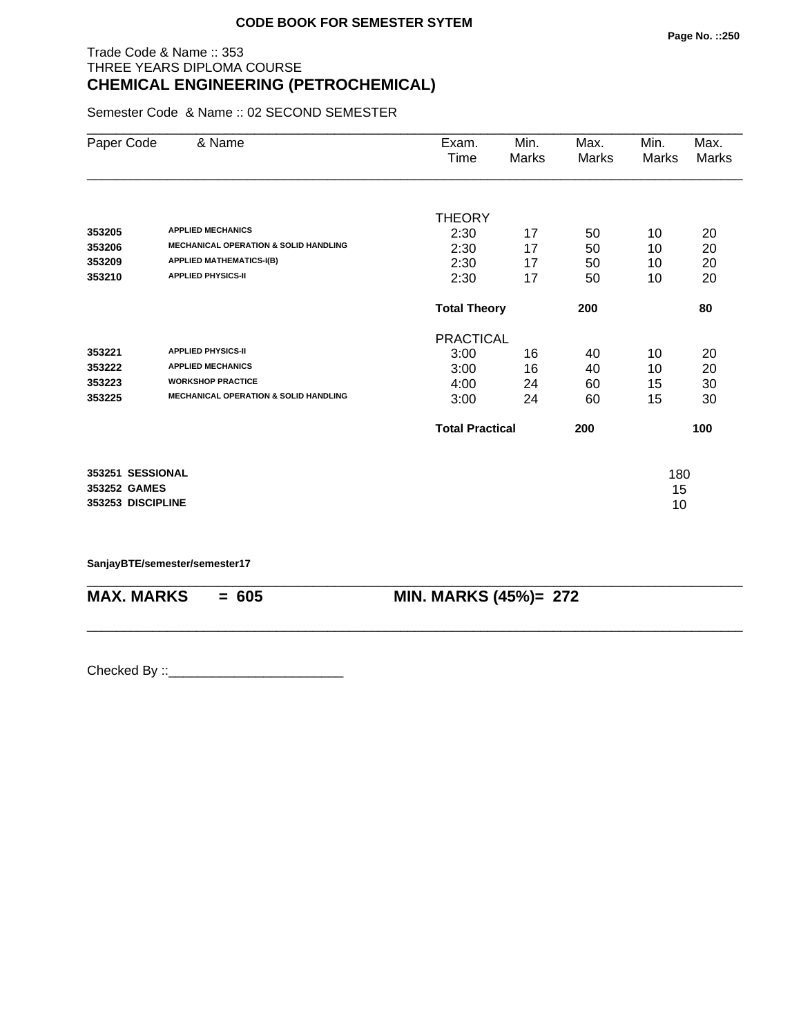## Trade Code & Name :: 353 THREE YEARS DIPLOMA COURSE **CHEMICAL ENGINEERING (PETROCHEMICAL)**

Semester Code & Name :: 02 SECOND SEMESTER

| Paper Code        | & Name                                           | Exam.                  | Min.                       | Max.  | Min.  | Max.         |
|-------------------|--------------------------------------------------|------------------------|----------------------------|-------|-------|--------------|
|                   |                                                  | Time                   | <b>Marks</b>               | Marks | Marks | <b>Marks</b> |
|                   |                                                  |                        |                            |       |       |              |
|                   |                                                  | <b>THEORY</b>          |                            |       |       |              |
| 353205            | <b>APPLIED MECHANICS</b>                         | 2:30                   | 17                         | 50    | 10    | 20           |
| 353206            | <b>MECHANICAL OPERATION &amp; SOLID HANDLING</b> | 2:30                   | 17                         | 50    | 10    | 20           |
| 353209            | <b>APPLIED MATHEMATICS-I(B)</b>                  | 2:30                   | 17                         | 50    | 10    | 20           |
| 353210            | <b>APPLIED PHYSICS-II</b>                        | 2:30                   | 17                         | 50    | 10    | 20           |
|                   |                                                  |                        | 200<br><b>Total Theory</b> |       |       | 80           |
|                   |                                                  | <b>PRACTICAL</b>       |                            |       |       |              |
| 353221            | <b>APPLIED PHYSICS-II</b>                        | 3:00                   | 16                         | 40    | 10    | 20           |
| 353222            | <b>APPLIED MECHANICS</b>                         | 3:00                   | 16                         | 40    | 10    | 20           |
| 353223            | <b>WORKSHOP PRACTICE</b>                         | 4:00                   | 24                         | 60    | 15    | 30           |
| 353225            | <b>MECHANICAL OPERATION &amp; SOLID HANDLING</b> | 3:00                   | 24                         | 60    | 15    | 30           |
|                   |                                                  | <b>Total Practical</b> |                            | 200   |       | 100          |
| 353251 SESSIONAL  |                                                  |                        |                            |       | 180   |              |
| 353252 GAMES      |                                                  |                        |                            |       | 15    |              |
| 353253 DISCIPLINE |                                                  |                        |                            |       | 10    |              |
|                   |                                                  |                        |                            |       |       |              |

\_\_\_\_\_\_\_\_\_\_\_\_\_\_\_\_\_\_\_\_\_\_\_\_\_\_\_\_\_\_\_\_\_\_\_\_\_\_\_\_\_\_\_\_\_\_\_\_\_\_\_\_\_\_\_\_\_\_\_\_\_\_\_\_\_\_\_\_\_\_\_\_\_\_\_\_\_\_\_\_\_\_\_\_\_\_\_\_\_\_

\_\_\_\_\_\_\_\_\_\_\_\_\_\_\_\_\_\_\_\_\_\_\_\_\_\_\_\_\_\_\_\_\_\_\_\_\_\_\_\_\_\_\_\_\_\_\_\_\_\_\_\_\_\_\_\_\_\_\_\_\_\_\_\_\_\_\_\_\_\_\_\_\_\_\_\_\_\_\_\_\_\_\_\_\_\_\_\_\_\_

**SanjayBTE/semester/semester17**

**MAX. MARKS = 605 MIN. MARKS (45%)= 272**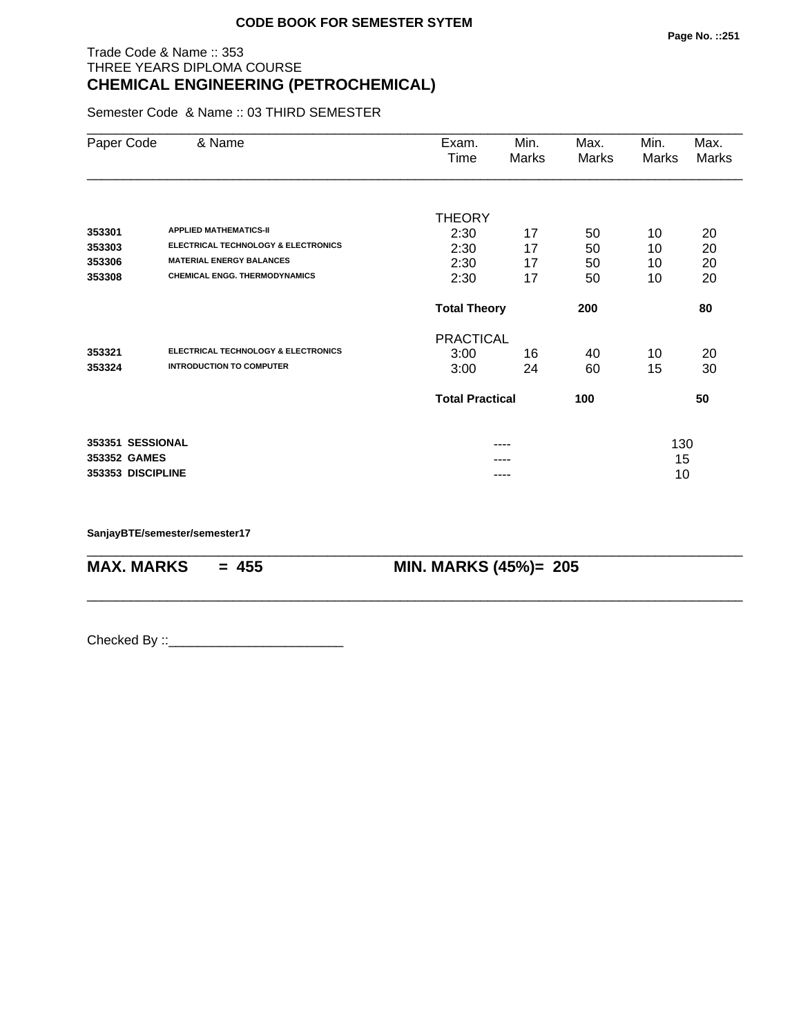## Trade Code & Name :: 353 THREE YEARS DIPLOMA COURSE **CHEMICAL ENGINEERING (PETROCHEMICAL)**

Semester Code & Name :: 03 THIRD SEMESTER

| Paper Code        | & Name                                         | Exam.<br>Time              | Min.<br>Marks | Max.<br>Marks | Min.<br>Marks | Max.<br>Marks |  |
|-------------------|------------------------------------------------|----------------------------|---------------|---------------|---------------|---------------|--|
|                   |                                                |                            |               |               |               |               |  |
| 353301            | <b>APPLIED MATHEMATICS-II</b>                  | <b>THEORY</b>              |               |               |               |               |  |
| 353303            | <b>ELECTRICAL TECHNOLOGY &amp; ELECTRONICS</b> | 2:30                       | 17            | 50            | 10            | 20            |  |
| 353306            | <b>MATERIAL ENERGY BALANCES</b>                | 2:30                       | 17<br>17      | 50            | 10            | 20            |  |
| 353308            | <b>CHEMICAL ENGG. THERMODYNAMICS</b>           | 2:30<br>2:30               | 17            | 50<br>50      | 10<br>10      | 20<br>20      |  |
|                   |                                                |                            |               |               |               |               |  |
|                   |                                                | <b>Total Theory</b><br>200 |               |               |               | 80            |  |
|                   |                                                | <b>PRACTICAL</b>           |               |               |               |               |  |
| 353321            | <b>ELECTRICAL TECHNOLOGY &amp; ELECTRONICS</b> | 3:00                       | 16            | 40            | 10            | 20            |  |
| 353324            | <b>INTRODUCTION TO COMPUTER</b>                | 3:00                       | 24            | 60            | 15            | 30            |  |
|                   |                                                | <b>Total Practical</b>     |               | 100           |               | 50            |  |
| 353351 SESSIONAL  |                                                |                            | ----          |               |               |               |  |
| 353352 GAMES      |                                                |                            |               |               | 130<br>15     |               |  |
| 353353 DISCIPLINE |                                                | ----                       |               |               | 10            |               |  |

\_\_\_\_\_\_\_\_\_\_\_\_\_\_\_\_\_\_\_\_\_\_\_\_\_\_\_\_\_\_\_\_\_\_\_\_\_\_\_\_\_\_\_\_\_\_\_\_\_\_\_\_\_\_\_\_\_\_\_\_\_\_\_\_\_\_\_\_\_\_\_\_\_\_\_\_\_\_\_\_\_\_\_\_\_\_\_\_\_\_

\_\_\_\_\_\_\_\_\_\_\_\_\_\_\_\_\_\_\_\_\_\_\_\_\_\_\_\_\_\_\_\_\_\_\_\_\_\_\_\_\_\_\_\_\_\_\_\_\_\_\_\_\_\_\_\_\_\_\_\_\_\_\_\_\_\_\_\_\_\_\_\_\_\_\_\_\_\_\_\_\_\_\_\_\_\_\_\_\_\_

**SanjayBTE/semester/semester17**

**MAX. MARKS = 455 MIN. MARKS (45%)= 205**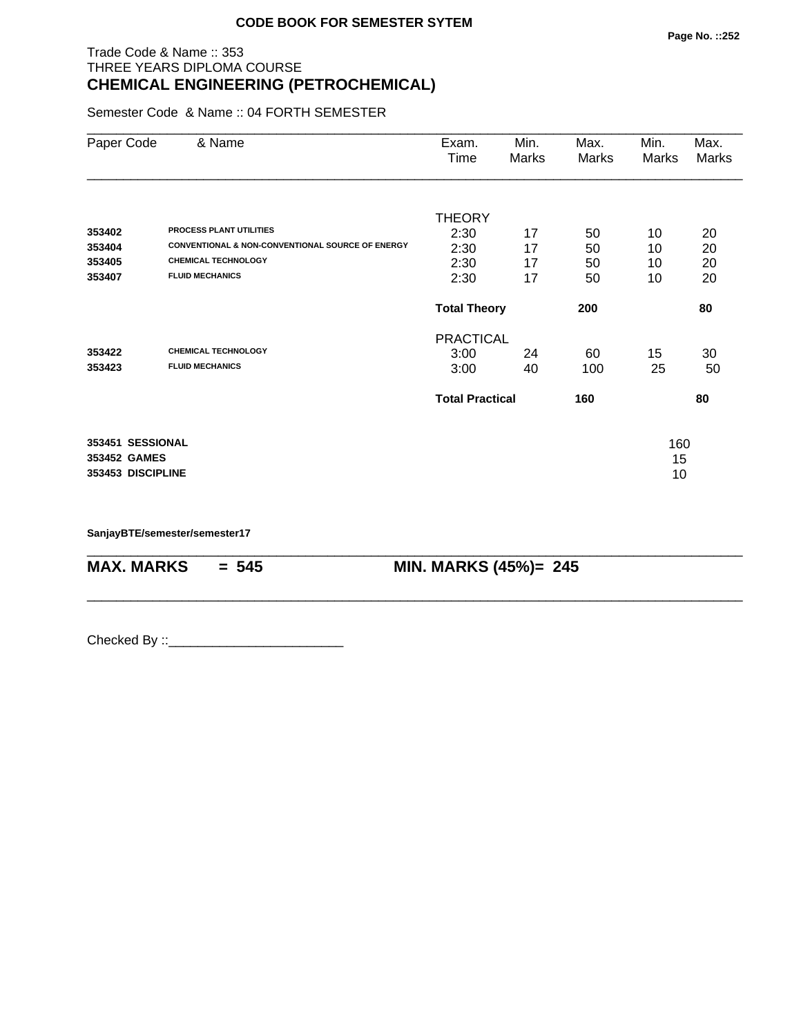## Trade Code & Name :: 353 THREE YEARS DIPLOMA COURSE **CHEMICAL ENGINEERING (PETROCHEMICAL)**

Semester Code & Name :: 04 FORTH SEMESTER

| Paper Code        | & Name                                                      | Exam.<br>Time          | Min.<br>Marks | Max.<br>Marks | Min.<br>Marks | Max.<br>Marks |
|-------------------|-------------------------------------------------------------|------------------------|---------------|---------------|---------------|---------------|
|                   |                                                             | <b>THEORY</b>          |               |               |               |               |
| 353402            | <b>PROCESS PLANT UTILITIES</b>                              | 2:30                   | 17            | 50            | 10            | 20            |
| 353404            | <b>CONVENTIONAL &amp; NON-CONVENTIONAL SOURCE OF ENERGY</b> | 2:30                   | 17            | 50            | 10            | 20            |
| 353405            | <b>CHEMICAL TECHNOLOGY</b>                                  | 2:30                   | 17            | 50            | 10            | 20            |
| 353407            | <b>FLUID MECHANICS</b>                                      | 2:30                   | 17            | 50            | 10            | 20            |
|                   |                                                             | <b>Total Theory</b>    |               | 200           |               | 80            |
|                   |                                                             | <b>PRACTICAL</b>       |               |               |               |               |
| 353422            | <b>CHEMICAL TECHNOLOGY</b>                                  | 3:00                   | 24            | 60            | 15            | 30            |
| 353423            | <b>FLUID MECHANICS</b>                                      | 3:00                   | 40            | 100           | 25            | 50            |
|                   |                                                             | <b>Total Practical</b> |               | 160           |               | 80            |
| 353451 SESSIONAL  |                                                             |                        |               |               | 160           |               |
| 353452 GAMES      |                                                             |                        |               |               | 15            |               |
| 353453 DISCIPLINE |                                                             |                        |               |               | 10            |               |

\_\_\_\_\_\_\_\_\_\_\_\_\_\_\_\_\_\_\_\_\_\_\_\_\_\_\_\_\_\_\_\_\_\_\_\_\_\_\_\_\_\_\_\_\_\_\_\_\_\_\_\_\_\_\_\_\_\_\_\_\_\_\_\_\_\_\_\_\_\_\_\_\_\_\_\_\_\_\_\_\_\_\_\_\_\_\_\_\_\_

\_\_\_\_\_\_\_\_\_\_\_\_\_\_\_\_\_\_\_\_\_\_\_\_\_\_\_\_\_\_\_\_\_\_\_\_\_\_\_\_\_\_\_\_\_\_\_\_\_\_\_\_\_\_\_\_\_\_\_\_\_\_\_\_\_\_\_\_\_\_\_\_\_\_\_\_\_\_\_\_\_\_\_\_\_\_\_\_\_\_

**SanjayBTE/semester/semester17**

**MAX. MARKS = 545 MIN. MARKS (45%)= 245**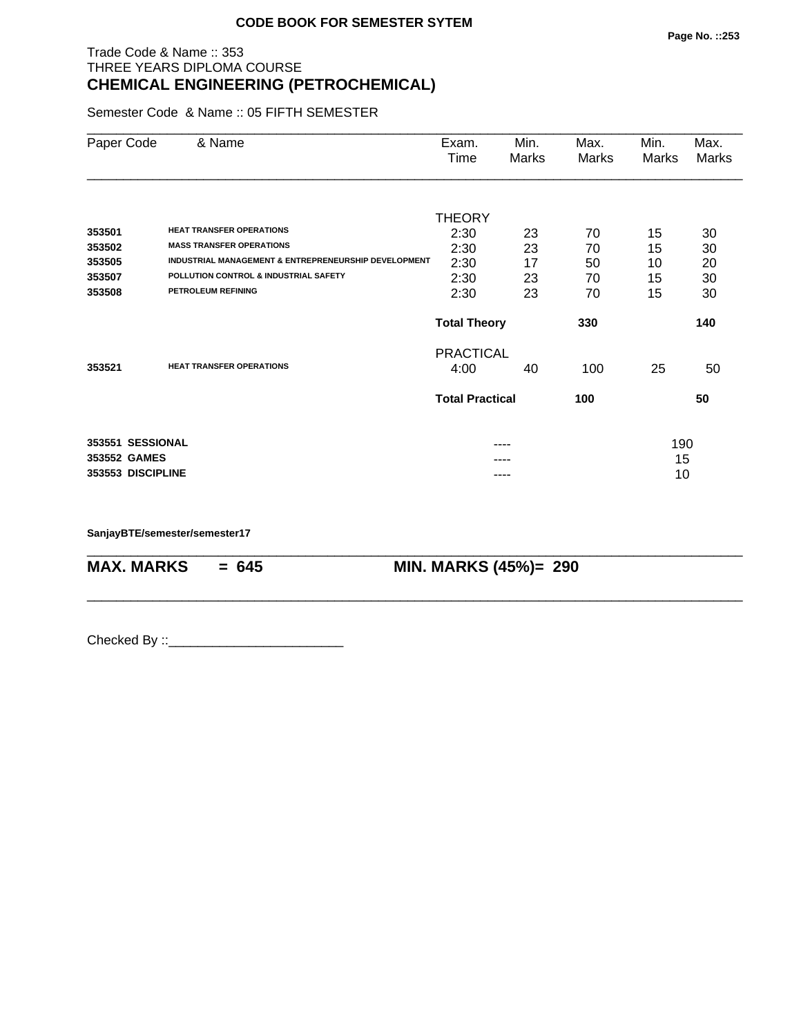## Trade Code & Name :: 353 THREE YEARS DIPLOMA COURSE **CHEMICAL ENGINEERING (PETROCHEMICAL)**

Semester Code & Name :: 05 FIFTH SEMESTER

| Paper Code        | & Name                                               | Exam.<br>Time          | Min.<br>Marks | Max.<br>Marks | Min.<br>Marks | Max.<br>Marks |
|-------------------|------------------------------------------------------|------------------------|---------------|---------------|---------------|---------------|
|                   |                                                      |                        |               |               |               |               |
| 353501            | <b>HEAT TRANSFER OPERATIONS</b>                      | <b>THEORY</b>          |               |               |               |               |
| 353502            | <b>MASS TRANSFER OPERATIONS</b>                      | 2:30                   | 23            | 70            | 15            | 30            |
| 353505            | INDUSTRIAL MANAGEMENT & ENTREPRENEURSHIP DEVELOPMENT | 2:30<br>2:30           | 23<br>17      | 70<br>50      | 15<br>10      | 30<br>20      |
| 353507            | POLLUTION CONTROL & INDUSTRIAL SAFETY                | 2:30                   | 23            | 70            | 15            | 30            |
| 353508            | <b>PETROLEUM REFINING</b>                            | 2:30                   | 23            | 70            | 15            | 30            |
|                   |                                                      | <b>Total Theory</b>    |               | 330           |               | 140           |
|                   | <b>HEAT TRANSFER OPERATIONS</b>                      | <b>PRACTICAL</b>       |               |               |               |               |
| 353521            |                                                      | 4:00                   | 40            | 100           | 25            | 50            |
|                   |                                                      | <b>Total Practical</b> |               | 100           |               | 50            |
|                   |                                                      |                        |               |               |               |               |
| 353551 SESSIONAL  |                                                      |                        | ----          |               | 190           |               |
| 353552 GAMES      |                                                      |                        |               |               | 15            |               |
| 353553 DISCIPLINE |                                                      |                        | ----          |               | 10            |               |

\_\_\_\_\_\_\_\_\_\_\_\_\_\_\_\_\_\_\_\_\_\_\_\_\_\_\_\_\_\_\_\_\_\_\_\_\_\_\_\_\_\_\_\_\_\_\_\_\_\_\_\_\_\_\_\_\_\_\_\_\_\_\_\_\_\_\_\_\_\_\_\_\_\_\_\_\_\_\_\_\_\_\_\_\_\_\_\_\_\_

\_\_\_\_\_\_\_\_\_\_\_\_\_\_\_\_\_\_\_\_\_\_\_\_\_\_\_\_\_\_\_\_\_\_\_\_\_\_\_\_\_\_\_\_\_\_\_\_\_\_\_\_\_\_\_\_\_\_\_\_\_\_\_\_\_\_\_\_\_\_\_\_\_\_\_\_\_\_\_\_\_\_\_\_\_\_\_\_\_\_

**SanjayBTE/semester/semester17**

**MAX. MARKS = 645 MIN. MARKS (45%)= 290**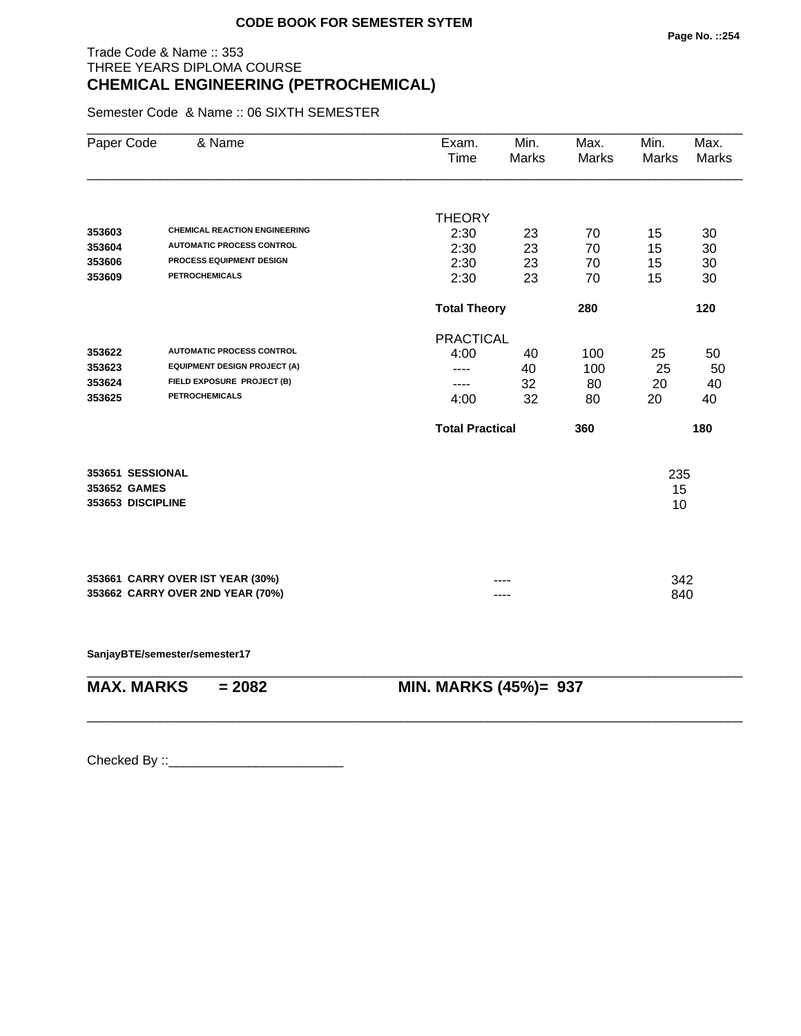## Trade Code & Name :: 353 THREE YEARS DIPLOMA COURSE **CHEMICAL ENGINEERING (PETROCHEMICAL)**

Semester Code & Name :: 06 SIXTH SEMESTER

| Paper Code        | & Name                               | Exam.<br>Time          | Min.<br><b>Marks</b> | Max.<br>Marks | Min.<br><b>Marks</b> | Max.<br><b>Marks</b> |
|-------------------|--------------------------------------|------------------------|----------------------|---------------|----------------------|----------------------|
|                   |                                      | <b>THEORY</b>          |                      |               |                      |                      |
| 353603            | <b>CHEMICAL REACTION ENGINEERING</b> | 2:30                   | 23                   | 70            | 15                   | 30                   |
| 353604            | <b>AUTOMATIC PROCESS CONTROL</b>     | 2:30                   | 23                   | 70            | 15                   | 30                   |
| 353606            | PROCESS EQUIPMENT DESIGN             | 2:30                   | 23                   | 70            | 15                   | 30                   |
| 353609            | <b>PETROCHEMICALS</b>                | 2:30                   | 23                   | 70            | 15                   | 30                   |
|                   |                                      | <b>Total Theory</b>    |                      | 280           |                      | 120                  |
|                   |                                      | <b>PRACTICAL</b>       |                      |               |                      |                      |
| 353622            | <b>AUTOMATIC PROCESS CONTROL</b>     | 4:00                   | 40                   | 100           | 25                   | 50                   |
| 353623            | <b>EQUIPMENT DESIGN PROJECT (A)</b>  |                        | 40                   | 100           | 25                   | 50                   |
| 353624            | FIELD EXPOSURE PROJECT (B)           | ----                   | 32                   | 80            | 20                   | 40                   |
| 353625            | <b>PETROCHEMICALS</b>                | 4:00                   | 32                   | 80            | 20                   | 40                   |
|                   |                                      | <b>Total Practical</b> |                      | 360           |                      | 180                  |
| 353651 SESSIONAL  |                                      |                        |                      |               | 235                  |                      |
| 353652 GAMES      |                                      |                        |                      |               | 15                   |                      |
| 353653 DISCIPLINE |                                      |                        |                      |               | 10                   |                      |
|                   |                                      |                        |                      |               |                      |                      |
|                   | 353661 CARRY OVER IST YEAR (30%)     |                        |                      |               | 342                  |                      |
|                   | 353662 CARRY OVER 2ND YEAR (70%)     |                        | ----                 |               | 840                  |                      |
|                   |                                      |                        |                      |               |                      |                      |

**SanjayBTE/semester/semester17**

\_\_\_\_\_\_\_\_\_\_\_\_\_\_\_\_\_\_\_\_\_\_\_\_\_\_\_\_\_\_\_\_\_\_\_\_\_\_\_\_\_\_\_\_\_\_\_\_\_\_\_\_\_\_\_\_\_\_\_\_\_\_\_\_\_\_\_\_\_\_\_\_\_\_\_\_\_\_\_\_\_\_\_\_\_\_\_\_\_\_ **MAX. MARKS = 2082 MIN. MARKS (45%)= 937**

\_\_\_\_\_\_\_\_\_\_\_\_\_\_\_\_\_\_\_\_\_\_\_\_\_\_\_\_\_\_\_\_\_\_\_\_\_\_\_\_\_\_\_\_\_\_\_\_\_\_\_\_\_\_\_\_\_\_\_\_\_\_\_\_\_\_\_\_\_\_\_\_\_\_\_\_\_\_\_\_\_\_\_\_\_\_\_\_\_\_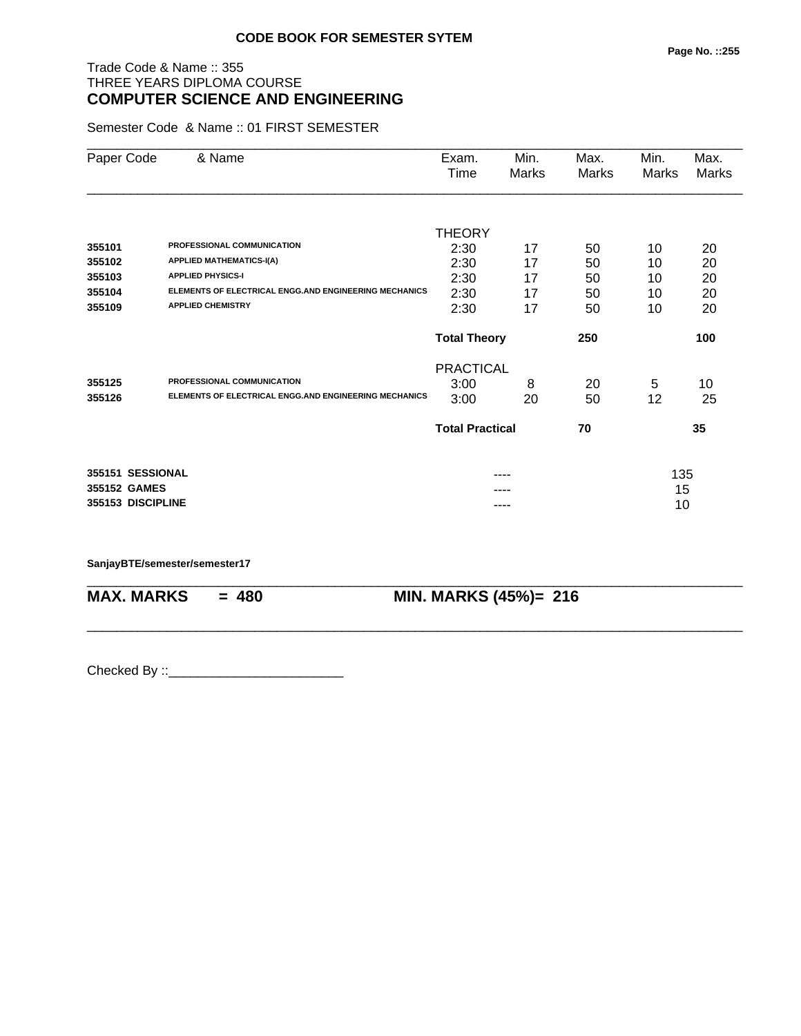## Trade Code & Name :: 355 THREE YEARS DIPLOMA COURSE **COMPUTER SCIENCE AND ENGINEERING**

Semester Code & Name :: 01 FIRST SEMESTER

| Paper Code        | & Name                                                       | Exam.<br>Time          | Min.<br>Marks | Max.<br>Marks | Min.<br>Marks | Max.<br>Marks |
|-------------------|--------------------------------------------------------------|------------------------|---------------|---------------|---------------|---------------|
|                   |                                                              |                        |               |               |               |               |
|                   |                                                              | <b>THEORY</b>          |               |               |               |               |
| 355101            | PROFESSIONAL COMMUNICATION                                   | 2:30                   | 17            | 50            | 10            | 20            |
| 355102            | <b>APPLIED MATHEMATICS-I(A)</b>                              | 2:30                   | 17            | 50            | 10            | 20            |
| 355103            | <b>APPLIED PHYSICS-I</b>                                     | 2:30                   | 17            | 50            | 10            | 20            |
| 355104            | ELEMENTS OF ELECTRICAL ENGG.AND ENGINEERING MECHANICS        | 2:30                   | 17            | 50            | 10            | 20            |
| 355109            | <b>APPLIED CHEMISTRY</b>                                     | 2:30                   | 17            | 50            | 10            | 20            |
|                   |                                                              | <b>Total Theory</b>    |               | 250           |               | 100           |
|                   |                                                              | <b>PRACTICAL</b>       |               |               |               |               |
| 355125            | PROFESSIONAL COMMUNICATION                                   | 3:00                   | 8             | 20            | 5             | 10            |
| 355126            | <b>ELEMENTS OF ELECTRICAL ENGG.AND ENGINEERING MECHANICS</b> | 3:00                   | 20            | 50            | 12            | 25            |
|                   |                                                              | <b>Total Practical</b> |               | 70            |               | 35            |
| 355151 SESSIONAL  |                                                              |                        |               |               | 135           |               |
| 355152 GAMES      |                                                              |                        |               |               | 15            |               |
| 355153 DISCIPLINE |                                                              |                        | ----          |               | 10            |               |

\_\_\_\_\_\_\_\_\_\_\_\_\_\_\_\_\_\_\_\_\_\_\_\_\_\_\_\_\_\_\_\_\_\_\_\_\_\_\_\_\_\_\_\_\_\_\_\_\_\_\_\_\_\_\_\_\_\_\_\_\_\_\_\_\_\_\_\_\_\_\_\_\_\_\_\_\_\_\_\_\_\_\_\_\_\_\_\_\_\_

\_\_\_\_\_\_\_\_\_\_\_\_\_\_\_\_\_\_\_\_\_\_\_\_\_\_\_\_\_\_\_\_\_\_\_\_\_\_\_\_\_\_\_\_\_\_\_\_\_\_\_\_\_\_\_\_\_\_\_\_\_\_\_\_\_\_\_\_\_\_\_\_\_\_\_\_\_\_\_\_\_\_\_\_\_\_\_\_\_\_

**SanjayBTE/semester/semester17**

**MAX. MARKS = 480 MIN. MARKS (45%)= 216**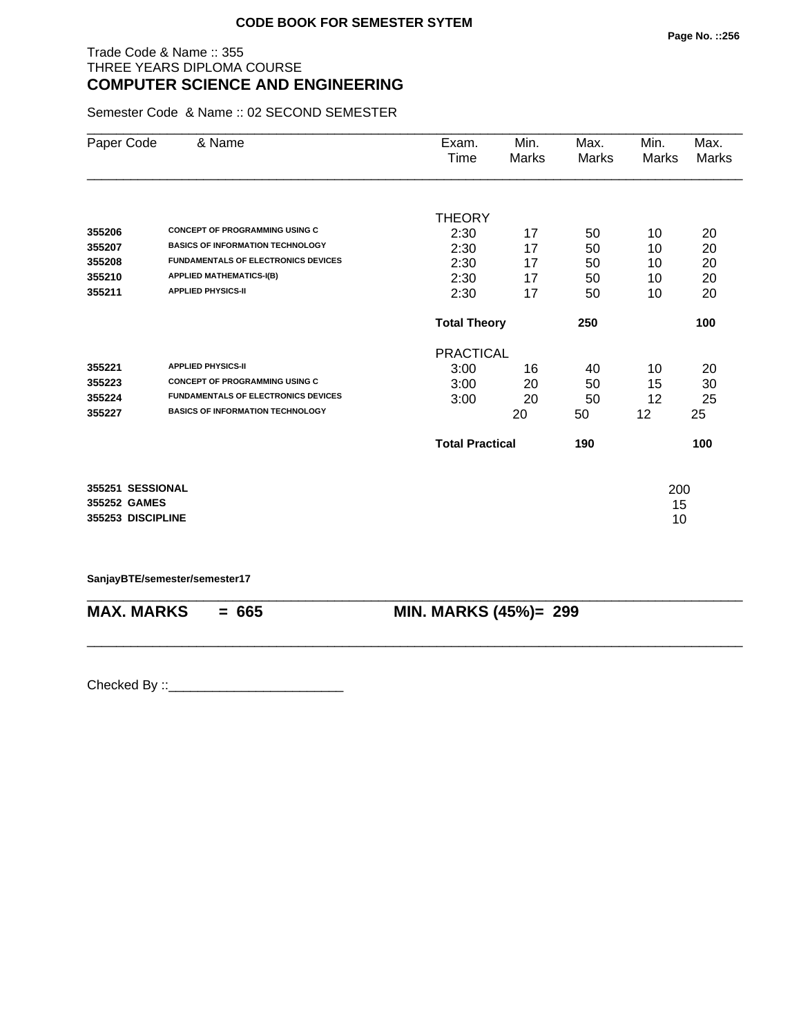#### Trade Code & Name :: 355 THREE YEARS DIPLOMA COURSE **COMPUTER SCIENCE AND ENGINEERING**

Semester Code & Name :: 02 SECOND SEMESTER

| Paper Code        | & Name                                     | Exam.                  | Min.  | Max.  | Min.  | Max.  |
|-------------------|--------------------------------------------|------------------------|-------|-------|-------|-------|
|                   |                                            | Time                   | Marks | Marks | Marks | Marks |
|                   |                                            |                        |       |       |       |       |
|                   |                                            | <b>THEORY</b>          |       |       |       |       |
| 355206            | <b>CONCEPT OF PROGRAMMING USING C</b>      | 2:30                   | 17    | 50    | 10    | 20    |
| 355207            | <b>BASICS OF INFORMATION TECHNOLOGY</b>    | 2:30                   | 17    | 50    | 10    | 20    |
| 355208            | <b>FUNDAMENTALS OF ELECTRONICS DEVICES</b> | 2:30                   | 17    | 50    | 10    | 20    |
| 355210            | <b>APPLIED MATHEMATICS-I(B)</b>            | 2:30                   | 17    | 50    | 10    | 20    |
| 355211            | <b>APPLIED PHYSICS-II</b>                  | 2:30                   | 17    | 50    | 10    | 20    |
|                   |                                            | <b>Total Theory</b>    |       | 250   |       | 100   |
|                   |                                            | <b>PRACTICAL</b>       |       |       |       |       |
| 355221            | <b>APPLIED PHYSICS-II</b>                  | 3:00                   | 16    | 40    | 10    | 20    |
| 355223            | <b>CONCEPT OF PROGRAMMING USING C</b>      | 3:00                   | 20    | 50    | 15    | 30    |
| 355224            | <b>FUNDAMENTALS OF ELECTRONICS DEVICES</b> | 3:00                   | 20    | 50    | 12    | 25    |
| 355227            | <b>BASICS OF INFORMATION TECHNOLOGY</b>    |                        | 20    | 50    | 12    | 25    |
|                   |                                            | <b>Total Practical</b> |       | 190   |       | 100   |
| 355251 SESSIONAL  |                                            |                        |       |       | 200   |       |
| 355252 GAMES      |                                            |                        |       |       | 15    |       |
| 355253 DISCIPLINE |                                            |                        |       |       | 10    |       |

**SanjayBTE/semester/semester17**

| $MAX. \, MARKS = 665$ | <b>MIN. MARKS (45%)= 299</b> |
|-----------------------|------------------------------|
|                       |                              |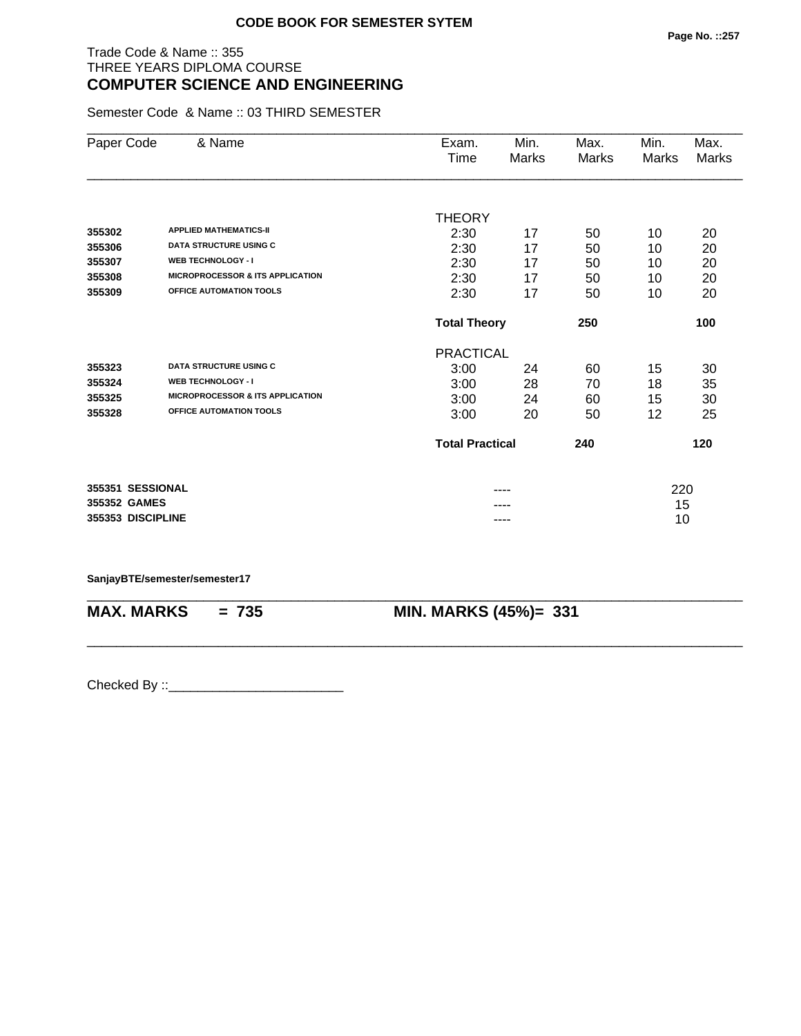#### Trade Code & Name :: 355 THREE YEARS DIPLOMA COURSE **COMPUTER SCIENCE AND ENGINEERING**

Semester Code & Name :: 03 THIRD SEMESTER

| Paper Code        | & Name                                      | Exam.<br>Time          | Min.<br>Marks | Max.<br>Marks | Min.<br>Marks | Max.<br><b>Marks</b> |
|-------------------|---------------------------------------------|------------------------|---------------|---------------|---------------|----------------------|
|                   |                                             |                        |               |               |               |                      |
|                   | <b>APPLIED MATHEMATICS-II</b>               | <b>THEORY</b>          |               |               |               |                      |
| 355302            | <b>DATA STRUCTURE USING C</b>               | 2:30                   | 17            | 50            | 10            | 20                   |
| 355306            | <b>WEB TECHNOLOGY - I</b>                   | 2:30                   | 17            | 50            | 10            | 20                   |
| 355307            | <b>MICROPROCESSOR &amp; ITS APPLICATION</b> | 2:30                   | 17            | 50            | 10            | 20                   |
| 355308            |                                             | 2:30                   | 17            | 50            | 10            | 20                   |
| 355309            | OFFICE AUTOMATION TOOLS                     | 2:30                   | 17            | 50            | 10            | 20                   |
|                   |                                             | <b>Total Theory</b>    |               | 250           |               | 100                  |
|                   |                                             | <b>PRACTICAL</b>       |               |               |               |                      |
| 355323            | <b>DATA STRUCTURE USING C</b>               | 3:00                   | 24            | 60            | 15            | 30                   |
| 355324            | <b>WEB TECHNOLOGY - I</b>                   | 3:00                   | 28            | 70            | 18            | 35                   |
| 355325            | <b>MICROPROCESSOR &amp; ITS APPLICATION</b> | 3:00                   | 24            | 60            | 15            | 30                   |
| 355328            | OFFICE AUTOMATION TOOLS                     | 3:00                   | 20            | 50            | 12            | 25                   |
|                   |                                             | <b>Total Practical</b> |               | 240           |               | 120                  |
| 355351 SESSIONAL  |                                             |                        |               |               | 220           |                      |
| 355352 GAMES      |                                             |                        | ----          |               | 15            |                      |
| 355353 DISCIPLINE |                                             |                        | ----          |               | 10            |                      |

\_\_\_\_\_\_\_\_\_\_\_\_\_\_\_\_\_\_\_\_\_\_\_\_\_\_\_\_\_\_\_\_\_\_\_\_\_\_\_\_\_\_\_\_\_\_\_\_\_\_\_\_\_\_\_\_\_\_\_\_\_\_\_\_\_\_\_\_\_\_\_\_\_\_\_\_\_\_\_\_\_\_\_\_\_\_\_\_\_\_

\_\_\_\_\_\_\_\_\_\_\_\_\_\_\_\_\_\_\_\_\_\_\_\_\_\_\_\_\_\_\_\_\_\_\_\_\_\_\_\_\_\_\_\_\_\_\_\_\_\_\_\_\_\_\_\_\_\_\_\_\_\_\_\_\_\_\_\_\_\_\_\_\_\_\_\_\_\_\_\_\_\_\_\_\_\_\_\_\_\_

#### **SanjayBTE/semester/semester17**

**MAX. MARKS = 735 MIN. MARKS (45%)= 331**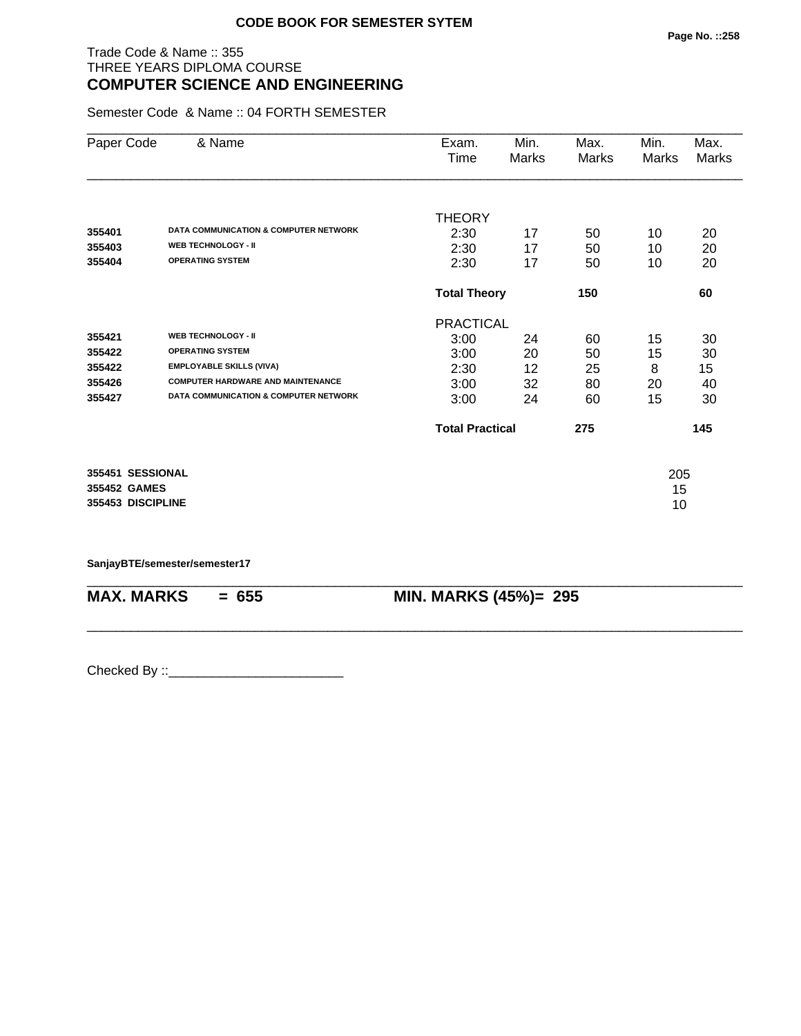#### Trade Code & Name :: 355 THREE YEARS DIPLOMA COURSE **COMPUTER SCIENCE AND ENGINEERING**

Semester Code & Name :: 04 FORTH SEMESTER

| Paper Code        | & Name                                           | Exam.<br>Time          | Min.<br>Marks | Max.<br>Marks | Min.<br>Marks | Max.<br>Marks |
|-------------------|--------------------------------------------------|------------------------|---------------|---------------|---------------|---------------|
|                   |                                                  |                        |               |               |               |               |
|                   |                                                  | <b>THEORY</b>          |               |               |               |               |
| 355401            | DATA COMMUNICATION & COMPUTER NETWORK            | 2:30                   | 17            | 50            | 10            | 20            |
| 355403            | <b>WEB TECHNOLOGY - II</b>                       | 2:30                   | 17            | 50            | 10            | 20            |
| 355404            | <b>OPERATING SYSTEM</b>                          | 2:30                   | 17            | 50            | 10            | 20            |
|                   |                                                  | <b>Total Theory</b>    |               | 150           |               | 60            |
|                   |                                                  | <b>PRACTICAL</b>       |               |               |               |               |
| 355421            | <b>WEB TECHNOLOGY - II</b>                       | 3:00                   | 24            | 60            | 15            | 30            |
| 355422            | <b>OPERATING SYSTEM</b>                          | 3:00                   | 20            | 50            | 15            | 30            |
| 355422            | <b>EMPLOYABLE SKILLS (VIVA)</b>                  | 2:30                   | 12            | 25            | 8             | 15            |
| 355426            | <b>COMPUTER HARDWARE AND MAINTENANCE</b>         | 3:00                   | 32            | 80            | 20            | 40            |
| 355427            | <b>DATA COMMUNICATION &amp; COMPUTER NETWORK</b> | 3:00                   | 24            | 60            | 15            | 30            |
|                   |                                                  | <b>Total Practical</b> |               | 275           |               | 145           |
| 355451 SESSIONAL  |                                                  |                        |               |               | 205           |               |
| 355452 GAMES      |                                                  |                        |               |               | 15            |               |
| 355453 DISCIPLINE |                                                  |                        |               |               | 10            |               |

\_\_\_\_\_\_\_\_\_\_\_\_\_\_\_\_\_\_\_\_\_\_\_\_\_\_\_\_\_\_\_\_\_\_\_\_\_\_\_\_\_\_\_\_\_\_\_\_\_\_\_\_\_\_\_\_\_\_\_\_\_\_\_\_\_\_\_\_\_\_\_\_\_\_\_\_\_\_\_\_\_\_\_\_\_\_\_\_\_\_

\_\_\_\_\_\_\_\_\_\_\_\_\_\_\_\_\_\_\_\_\_\_\_\_\_\_\_\_\_\_\_\_\_\_\_\_\_\_\_\_\_\_\_\_\_\_\_\_\_\_\_\_\_\_\_\_\_\_\_\_\_\_\_\_\_\_\_\_\_\_\_\_\_\_\_\_\_\_\_\_\_\_\_\_\_\_\_\_\_\_

**SanjayBTE/semester/semester17**

**MAX. MARKS = 655 MIN. MARKS (45%)= 295**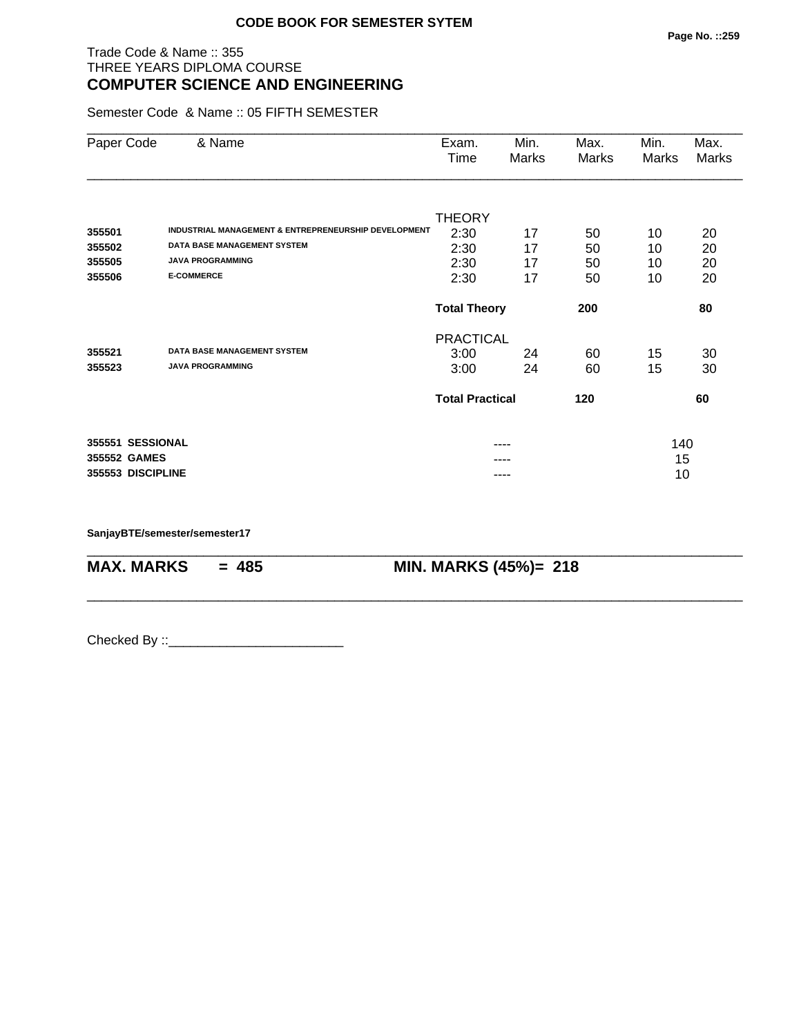#### Trade Code & Name :: 355 THREE YEARS DIPLOMA COURSE **COMPUTER SCIENCE AND ENGINEERING**

Semester Code & Name :: 05 FIFTH SEMESTER

| Paper Code        | & Name                                               | Exam.<br>Time          | Min.<br>Marks | Max.<br>Marks | Min.<br>Marks | Max.<br>Marks |
|-------------------|------------------------------------------------------|------------------------|---------------|---------------|---------------|---------------|
|                   |                                                      |                        |               |               |               |               |
| 355501            | INDUSTRIAL MANAGEMENT & ENTREPRENEURSHIP DEVELOPMENT | <b>THEORY</b>          |               |               |               |               |
| 355502            | <b>DATA BASE MANAGEMENT SYSTEM</b>                   | 2:30                   | 17            | 50            | 10            | 20            |
| 355505            | <b>JAVA PROGRAMMING</b>                              | 2:30                   | 17            | 50            | 10            | 20            |
| 355506            | <b>E-COMMERCE</b>                                    | 2:30                   | 17            | 50            | 10            | 20            |
|                   |                                                      | 2:30                   | 17            | 50            | 10            | 20            |
|                   |                                                      | <b>Total Theory</b>    |               | 200           |               | 80            |
|                   |                                                      | <b>PRACTICAL</b>       |               |               |               |               |
| 355521            | <b>DATA BASE MANAGEMENT SYSTEM</b>                   | 3:00                   | 24            | 60            | 15            | 30            |
| 355523            | <b>JAVA PROGRAMMING</b>                              | 3:00                   | 24            | 60            | 15            | 30            |
|                   |                                                      | <b>Total Practical</b> |               | 120           |               | 60            |
| 355551 SESSIONAL  |                                                      |                        | ----          |               | 140           |               |
| 355552 GAMES      |                                                      |                        |               |               | 15            |               |
| 355553 DISCIPLINE |                                                      |                        | ----          |               | 10            |               |

\_\_\_\_\_\_\_\_\_\_\_\_\_\_\_\_\_\_\_\_\_\_\_\_\_\_\_\_\_\_\_\_\_\_\_\_\_\_\_\_\_\_\_\_\_\_\_\_\_\_\_\_\_\_\_\_\_\_\_\_\_\_\_\_\_\_\_\_\_\_\_\_\_\_\_\_\_\_\_\_\_\_\_\_\_\_\_\_\_\_

\_\_\_\_\_\_\_\_\_\_\_\_\_\_\_\_\_\_\_\_\_\_\_\_\_\_\_\_\_\_\_\_\_\_\_\_\_\_\_\_\_\_\_\_\_\_\_\_\_\_\_\_\_\_\_\_\_\_\_\_\_\_\_\_\_\_\_\_\_\_\_\_\_\_\_\_\_\_\_\_\_\_\_\_\_\_\_\_\_\_

**SanjayBTE/semester/semester17**

**MAX. MARKS = 485 MIN. MARKS (45%)= 218**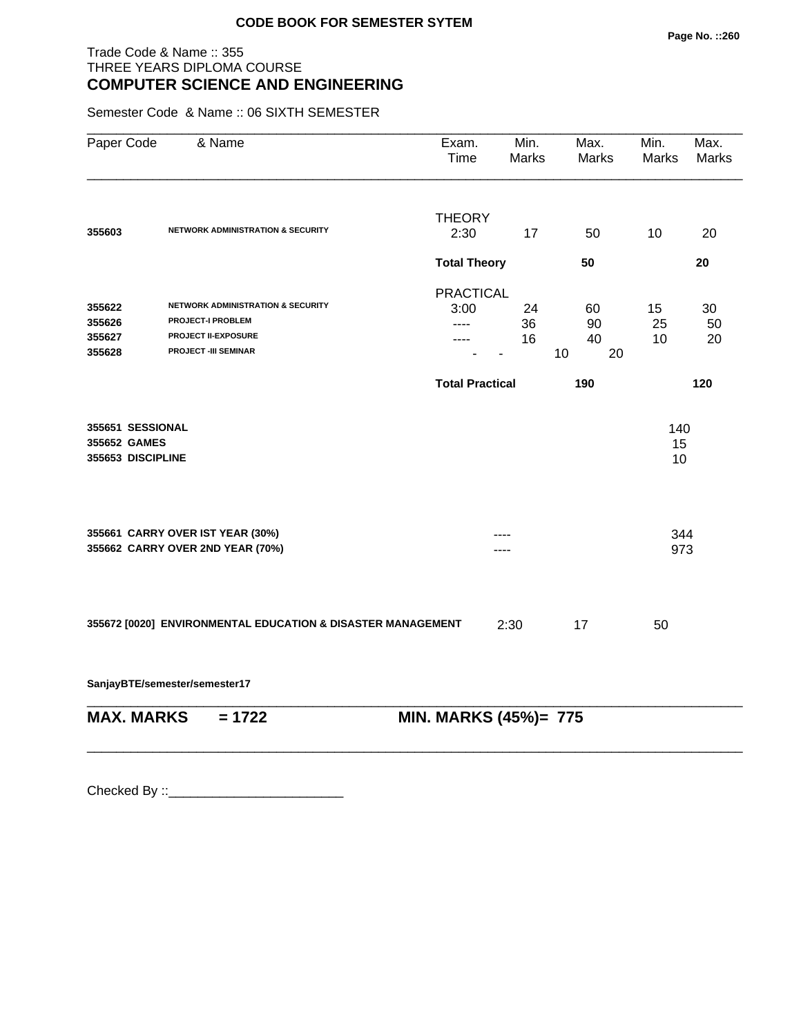#### Trade Code & Name :: 355 THREE YEARS DIPLOMA COURSE **COMPUTER SCIENCE AND ENGINEERING**

Semester Code & Name :: 06 SIXTH SEMESTER

| Paper Code                                            | & Name                                                                                                                     | Exam.<br>Time                    | Min.<br><b>Marks</b> | Max.<br>Marks              | Min.<br><b>Marks</b> | Max.<br>Marks  |
|-------------------------------------------------------|----------------------------------------------------------------------------------------------------------------------------|----------------------------------|----------------------|----------------------------|----------------------|----------------|
| 355603                                                | <b>NETWORK ADMINISTRATION &amp; SECURITY</b>                                                                               | <b>THEORY</b><br>2:30            | 17                   | 50                         | 10                   | 20             |
|                                                       |                                                                                                                            | <b>Total Theory</b>              |                      | 50                         |                      | 20             |
| 355622<br>355626<br>355627<br>355628                  | NETWORK ADMINISTRATION & SECURITY<br><b>PROJECT-I PROBLEM</b><br><b>PROJECT II-EXPOSURE</b><br><b>PROJECT -III SEMINAR</b> | <b>PRACTICAL</b><br>3:00<br>---- | 24<br>36<br>16       | 60<br>90<br>40<br>20<br>10 | 15<br>25<br>10       | 30<br>50<br>20 |
|                                                       |                                                                                                                            | <b>Total Practical</b>           |                      | 190                        |                      | 120            |
| 355651 SESSIONAL<br>355652 GAMES<br>355653 DISCIPLINE |                                                                                                                            |                                  |                      |                            | 140<br>15<br>10      |                |
|                                                       | 355661 CARRY OVER IST YEAR (30%)<br>355662 CARRY OVER 2ND YEAR (70%)                                                       |                                  |                      |                            | 344<br>973           |                |
|                                                       | 355672 [0020] ENVIRONMENTAL EDUCATION & DISASTER MANAGEMENT                                                                |                                  | 2:30                 | 17                         | 50                   |                |
|                                                       | SanjayBTE/semester/semester17                                                                                              |                                  |                      |                            |                      |                |
| <b>MAX. MARKS</b>                                     | $= 1722$                                                                                                                   | MIN. MARKS (45%)= 775            |                      |                            |                      |                |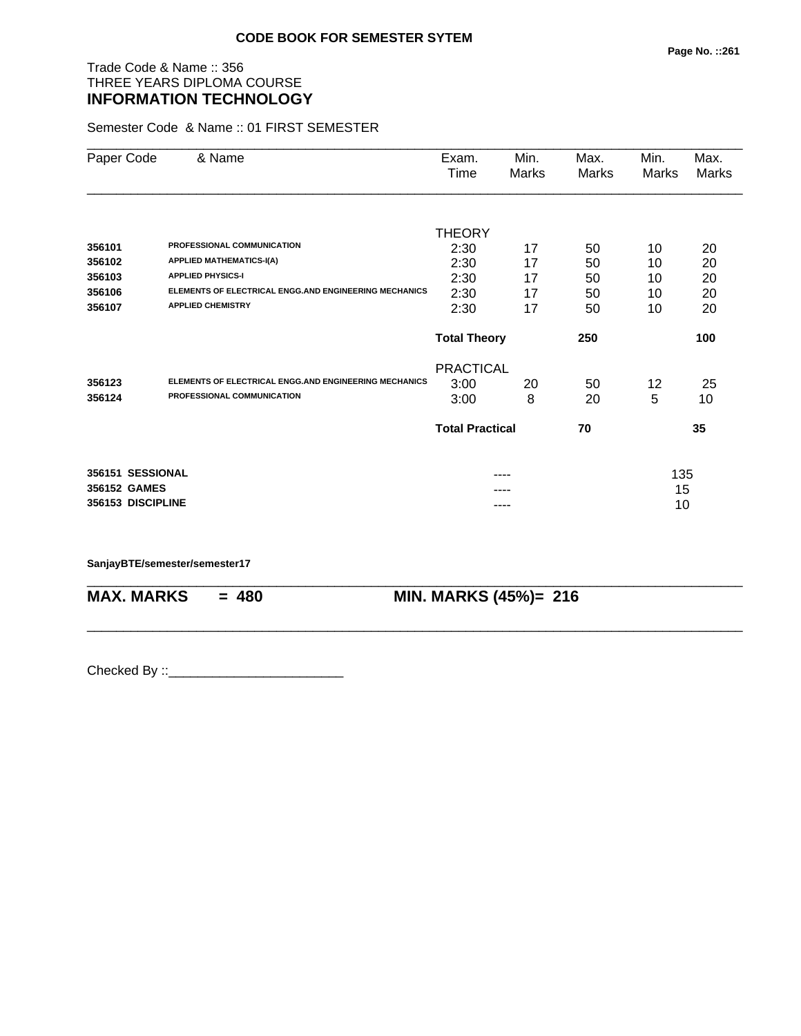# Trade Code & Name :: 356 THREE YEARS DIPLOMA COURSE **INFORMATION TECHNOLOGY**

Semester Code & Name :: 01 FIRST SEMESTER

| Paper Code | & Name                                                       | Exam.<br>Time          | Min.<br>Marks | Max.<br>Marks | Min.<br>Marks | Max.<br>Marks |
|------------|--------------------------------------------------------------|------------------------|---------------|---------------|---------------|---------------|
|            |                                                              |                        |               |               |               |               |
|            |                                                              | THEORY                 |               |               |               |               |
| 356101     | PROFESSIONAL COMMUNICATION                                   | 2:30                   | 17            | 50            | 10            | 20            |
| 356102     | <b>APPLIED MATHEMATICS-I(A)</b>                              | 2:30                   | 17            | 50            | 10            | 20            |
| 356103     | <b>APPLIED PHYSICS-I</b>                                     | 2:30                   | 17            | 50            | 10            | 20            |
| 356106     | <b>ELEMENTS OF ELECTRICAL ENGG.AND ENGINEERING MECHANICS</b> | 2:30                   | 17            | 50            | 10            | 20            |
| 356107     | <b>APPLIED CHEMISTRY</b>                                     | 2:30                   | 17            | 50            | 10            | 20            |
|            |                                                              | <b>Total Theory</b>    |               | 250           |               | 100           |
|            |                                                              | <b>PRACTICAL</b>       |               |               |               |               |
| 356123     | ELEMENTS OF ELECTRICAL ENGG.AND ENGINEERING MECHANICS        | 3:00                   | 20            | 50            | 12            | 25            |
| 356124     | PROFESSIONAL COMMUNICATION                                   | 3:00                   | 8             | 20            | 5             | 10            |
|            |                                                              | <b>Total Practical</b> |               | 70            |               | 35            |
|            | 356151 SESSIONAL                                             |                        | ----          |               | 135           |               |
|            | 356152 GAMES                                                 |                        | ----          |               | 15            |               |
|            | 356153 DISCIPLINE                                            |                        | ----          |               | 10            |               |

\_\_\_\_\_\_\_\_\_\_\_\_\_\_\_\_\_\_\_\_\_\_\_\_\_\_\_\_\_\_\_\_\_\_\_\_\_\_\_\_\_\_\_\_\_\_\_\_\_\_\_\_\_\_\_\_\_\_\_\_\_\_\_\_\_\_\_\_\_\_\_\_\_\_\_\_\_\_\_\_\_\_\_\_\_\_\_\_\_\_

\_\_\_\_\_\_\_\_\_\_\_\_\_\_\_\_\_\_\_\_\_\_\_\_\_\_\_\_\_\_\_\_\_\_\_\_\_\_\_\_\_\_\_\_\_\_\_\_\_\_\_\_\_\_\_\_\_\_\_\_\_\_\_\_\_\_\_\_\_\_\_\_\_\_\_\_\_\_\_\_\_\_\_\_\_\_\_\_\_\_

#### **SanjayBTE/semester/semester17**

**MAX. MARKS = 480 MIN. MARKS (45%)= 216**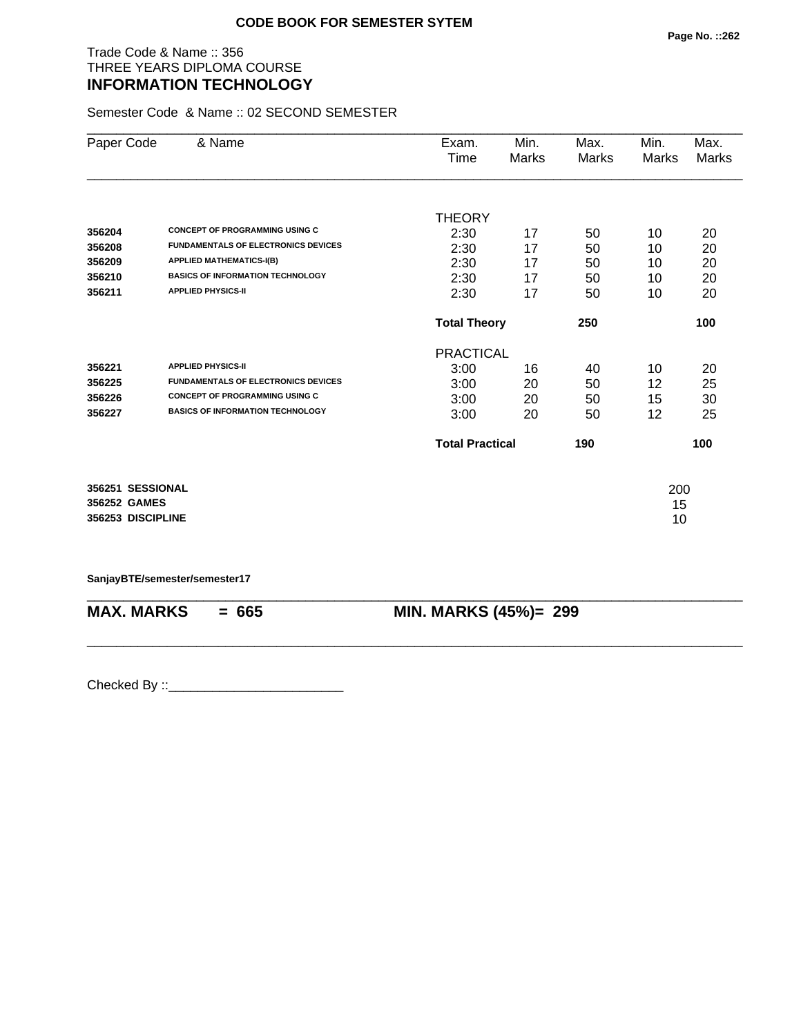#### Trade Code & Name :: 356 THREE YEARS DIPLOMA COURSE **INFORMATION TECHNOLOGY**

Semester Code & Name :: 02 SECOND SEMESTER

| Paper Code        | & Name                                     | Exam.                  | Min.  | Max.  | Min.  | Max.  |
|-------------------|--------------------------------------------|------------------------|-------|-------|-------|-------|
|                   |                                            | Time                   | Marks | Marks | Marks | Marks |
|                   |                                            |                        |       |       |       |       |
|                   |                                            | <b>THEORY</b>          |       |       |       |       |
| 356204            | <b>CONCEPT OF PROGRAMMING USING C</b>      | 2:30                   | 17    | 50    | 10    | 20    |
| 356208            | <b>FUNDAMENTALS OF ELECTRONICS DEVICES</b> | 2:30                   | 17    | 50    | 10    | 20    |
| 356209            | <b>APPLIED MATHEMATICS-I(B)</b>            | 2:30                   | 17    | 50    | 10    | 20    |
| 356210            | <b>BASICS OF INFORMATION TECHNOLOGY</b>    | 2:30                   | 17    | 50    | 10    | 20    |
| 356211            | <b>APPLIED PHYSICS-II</b>                  | 2:30                   | 17    | 50    | 10    | 20    |
|                   |                                            | <b>Total Theory</b>    |       | 250   |       | 100   |
|                   |                                            | <b>PRACTICAL</b>       |       |       |       |       |
| 356221            | <b>APPLIED PHYSICS-II</b>                  | 3:00                   | 16    | 40    | 10    | 20    |
| 356225            | <b>FUNDAMENTALS OF ELECTRONICS DEVICES</b> | 3:00                   | 20    | 50    | 12    | 25    |
| 356226            | <b>CONCEPT OF PROGRAMMING USING C</b>      | 3:00                   | 20    | 50    | 15    | 30    |
| 356227            | <b>BASICS OF INFORMATION TECHNOLOGY</b>    | 3:00                   | 20    | 50    | 12    | 25    |
|                   |                                            | <b>Total Practical</b> |       | 190   |       | 100   |
| 356251 SESSIONAL  |                                            |                        |       |       | 200   |       |
| 356252 GAMES      |                                            |                        |       |       | 15    |       |
| 356253 DISCIPLINE |                                            |                        |       |       | 10    |       |

**SanjayBTE/semester/semester17**

| $MAX. \, MARKS = 665$ | <b>MIN. MARKS (45%)= 299</b> |
|-----------------------|------------------------------|
|                       |                              |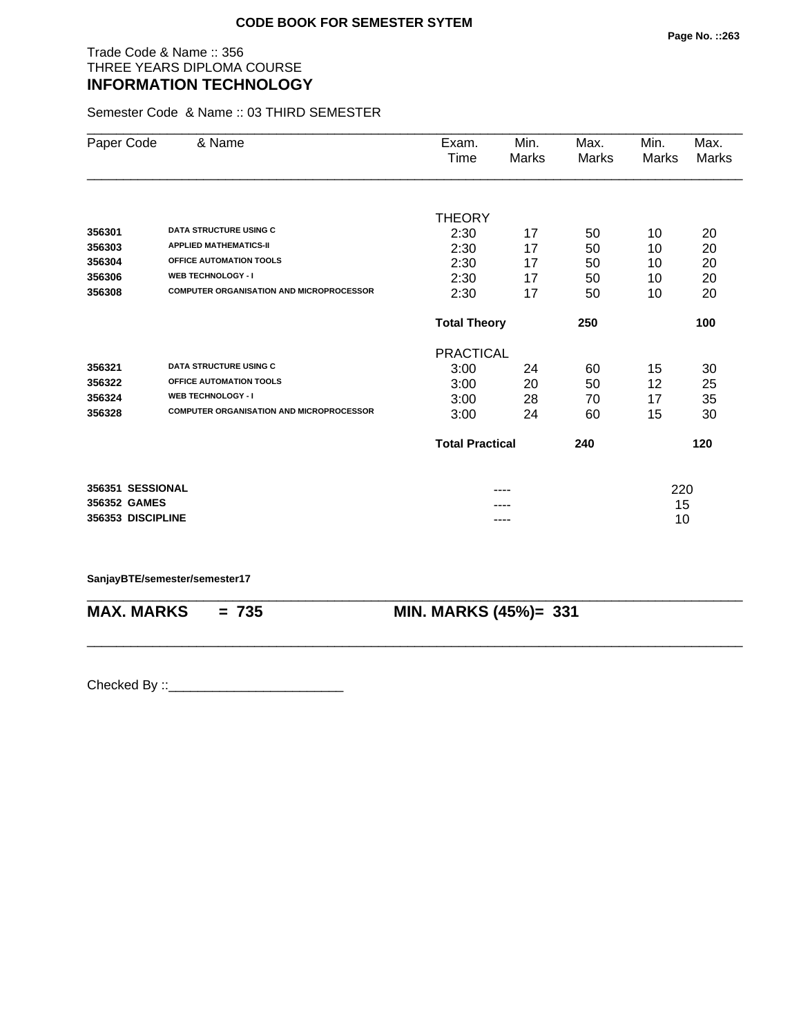## Trade Code & Name :: 356 THREE YEARS DIPLOMA COURSE **INFORMATION TECHNOLOGY**

Semester Code & Name :: 03 THIRD SEMESTER

| Paper Code        | & Name                                          | Exam.<br>Time          | Min.<br>Marks | Max.<br>Marks | Min.<br>Marks | Max.<br><b>Marks</b> |
|-------------------|-------------------------------------------------|------------------------|---------------|---------------|---------------|----------------------|
|                   |                                                 |                        |               |               |               |                      |
|                   |                                                 | <b>THEORY</b>          |               |               |               |                      |
| 356301            | <b>DATA STRUCTURE USING C</b>                   | 2:30                   | 17            | 50            | 10            | 20                   |
| 356303            | <b>APPLIED MATHEMATICS-II</b>                   | 2:30                   | 17            | 50            | 10            | 20                   |
| 356304            | <b>OFFICE AUTOMATION TOOLS</b>                  | 2:30                   | 17            | 50            | 10            | 20                   |
| 356306            | <b>WEB TECHNOLOGY - I</b>                       | 2:30                   | 17            | 50            | 10            | 20                   |
| 356308            | <b>COMPUTER ORGANISATION AND MICROPROCESSOR</b> | 2:30                   | 17            | 50            | 10            | 20                   |
|                   |                                                 | <b>Total Theory</b>    |               | 250           |               | 100                  |
|                   |                                                 | <b>PRACTICAL</b>       |               |               |               |                      |
| 356321            | <b>DATA STRUCTURE USING C</b>                   | 3:00                   | 24            | 60            | 15            | 30                   |
| 356322            | OFFICE AUTOMATION TOOLS                         | 3:00                   | 20            | 50            | 12            | 25                   |
| 356324            | <b>WEB TECHNOLOGY - I</b>                       | 3:00                   | 28            | 70            | 17            | 35                   |
| 356328            | <b>COMPUTER ORGANISATION AND MICROPROCESSOR</b> | 3:00                   | 24            | 60            | 15            | 30                   |
|                   |                                                 | <b>Total Practical</b> |               | 240           |               | 120                  |
| 356351 SESSIONAL  |                                                 |                        |               |               | 220           |                      |
| 356352 GAMES      |                                                 |                        |               |               | 15            |                      |
| 356353 DISCIPLINE |                                                 |                        | ----          |               | 10            |                      |

\_\_\_\_\_\_\_\_\_\_\_\_\_\_\_\_\_\_\_\_\_\_\_\_\_\_\_\_\_\_\_\_\_\_\_\_\_\_\_\_\_\_\_\_\_\_\_\_\_\_\_\_\_\_\_\_\_\_\_\_\_\_\_\_\_\_\_\_\_\_\_\_\_\_\_\_\_\_\_\_\_\_\_\_\_\_\_\_\_\_

\_\_\_\_\_\_\_\_\_\_\_\_\_\_\_\_\_\_\_\_\_\_\_\_\_\_\_\_\_\_\_\_\_\_\_\_\_\_\_\_\_\_\_\_\_\_\_\_\_\_\_\_\_\_\_\_\_\_\_\_\_\_\_\_\_\_\_\_\_\_\_\_\_\_\_\_\_\_\_\_\_\_\_\_\_\_\_\_\_\_

**SanjayBTE/semester/semester17**

**MAX. MARKS = 735 MIN. MARKS (45%)= 331**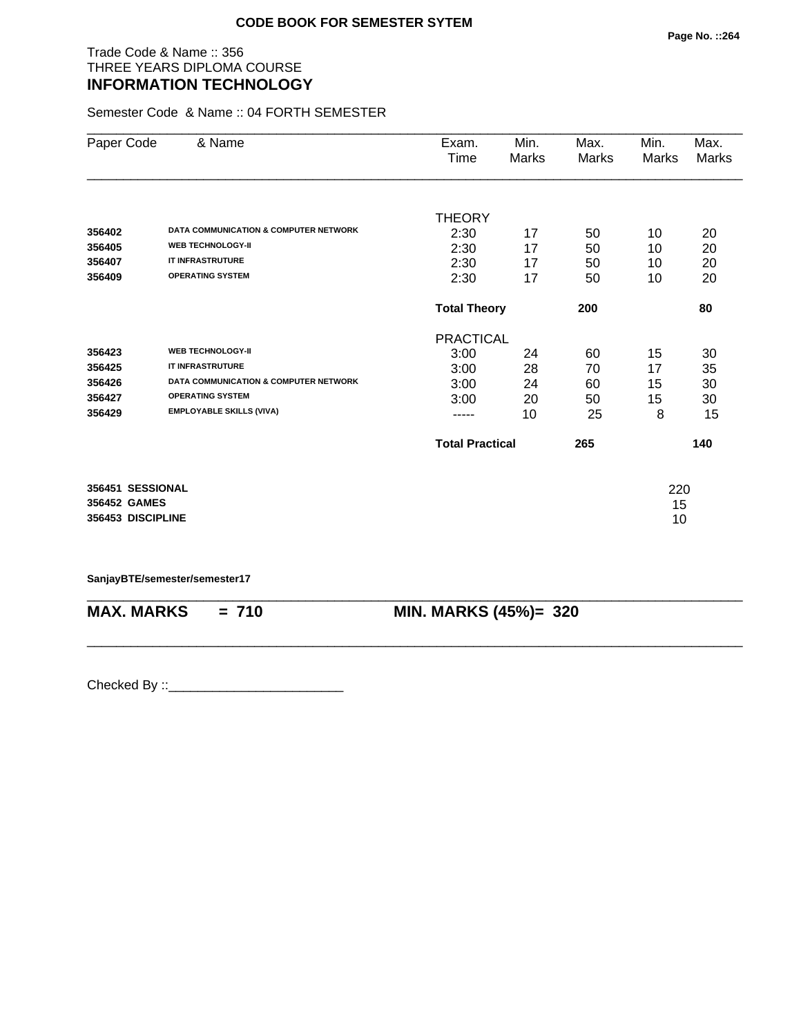#### Trade Code & Name :: 356 THREE YEARS DIPLOMA COURSE **INFORMATION TECHNOLOGY**

Semester Code & Name :: 04 FORTH SEMESTER

| Paper Code        | & Name                                           | Exam.                  | Min.  | Max.  | Min.  | Max.  |
|-------------------|--------------------------------------------------|------------------------|-------|-------|-------|-------|
|                   |                                                  | Time                   | Marks | Marks | Marks | Marks |
|                   |                                                  |                        |       |       |       |       |
|                   |                                                  | <b>THEORY</b>          |       |       |       |       |
| 356402            | <b>DATA COMMUNICATION &amp; COMPUTER NETWORK</b> | 2:30                   | 17    | 50    | 10    | 20    |
| 356405            | <b>WEB TECHNOLOGY-II</b>                         | 2:30                   | 17    | 50    | 10    | 20    |
| 356407            | <b>IT INFRASTRUTURE</b>                          | 2:30                   | 17    | 50    | 10    | 20    |
| 356409            | <b>OPERATING SYSTEM</b>                          | 2:30                   | 17    | 50    | 10    | 20    |
|                   |                                                  | <b>Total Theory</b>    |       | 200   |       | 80    |
|                   |                                                  | <b>PRACTICAL</b>       |       |       |       |       |
| 356423            | <b>WEB TECHNOLOGY-II</b>                         | 3:00                   | 24    | 60    | 15    | 30    |
| 356425            | <b>IT INFRASTRUTURE</b>                          | 3:00                   | 28    | 70    | 17    | 35    |
| 356426            | <b>DATA COMMUNICATION &amp; COMPUTER NETWORK</b> | 3:00                   | 24    | 60    | 15    | 30    |
| 356427            | <b>OPERATING SYSTEM</b>                          | 3:00                   | 20    | 50    | 15    | 30    |
| 356429            | <b>EMPLOYABLE SKILLS (VIVA)</b>                  | -----                  | 10    | 25    | 8     | 15    |
|                   |                                                  | <b>Total Practical</b> |       | 265   |       | 140   |
|                   |                                                  |                        |       |       |       |       |
| 356451 SESSIONAL  |                                                  |                        |       |       | 220   |       |
| 356452 GAMES      |                                                  |                        |       |       | 15    |       |
| 356453 DISCIPLINE |                                                  |                        |       |       | 10    |       |

**SanjayBTE/semester/semester17**

| $MAX. \, MARKS = 710$ | <b>MIN. MARKS (45%)= 320</b> |
|-----------------------|------------------------------|
|                       |                              |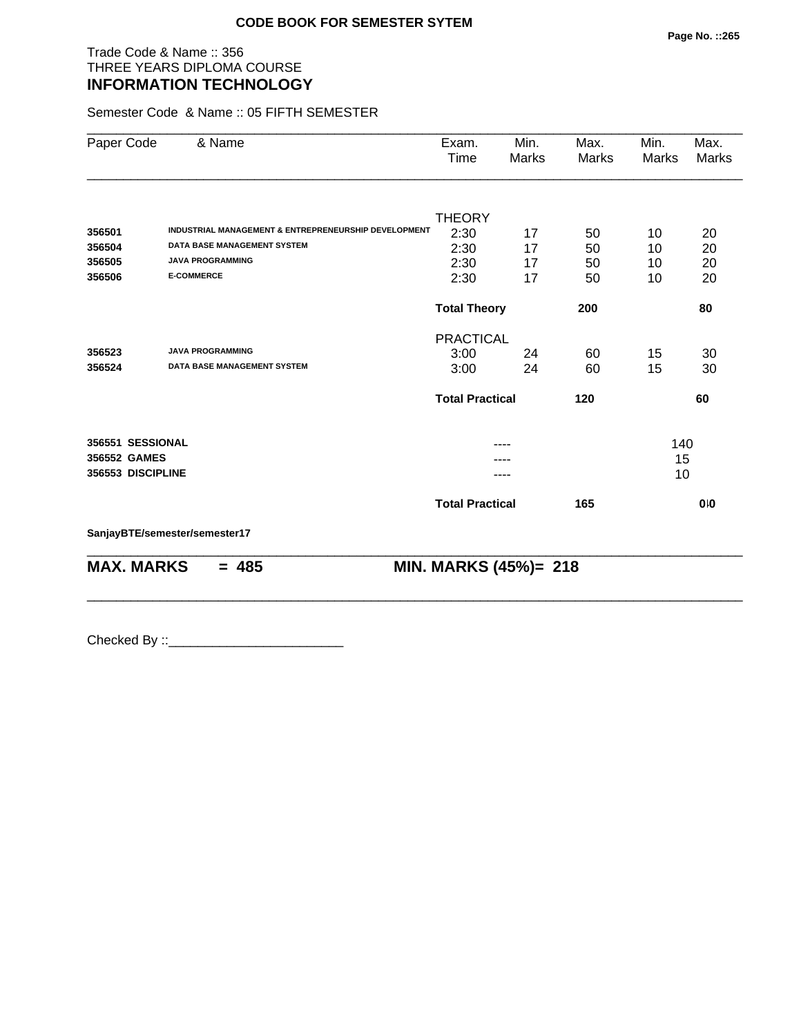## Trade Code & Name :: 356 THREE YEARS DIPLOMA COURSE **INFORMATION TECHNOLOGY**

Semester Code & Name :: 05 FIFTH SEMESTER

| Paper Code        | & Name                                               | Exam.<br>Time          | Min.<br>Marks | Max.<br>Marks | Min.<br>Marks | Max.<br>Marks |
|-------------------|------------------------------------------------------|------------------------|---------------|---------------|---------------|---------------|
|                   |                                                      |                        |               |               |               |               |
|                   |                                                      | <b>THEORY</b>          |               |               |               |               |
| 356501            | INDUSTRIAL MANAGEMENT & ENTREPRENEURSHIP DEVELOPMENT | 2:30                   | 17            | 50            | 10            | 20            |
| 356504            | <b>DATA BASE MANAGEMENT SYSTEM</b>                   | 2:30                   | 17            | 50            | 10            | 20            |
| 356505            | <b>JAVA PROGRAMMING</b>                              | 2:30                   | 17            | 50            | 10            | 20            |
| 356506            | <b>E-COMMERCE</b>                                    | 2:30                   | 17            | 50            | 10            | 20            |
|                   |                                                      | <b>Total Theory</b>    |               | 200           |               | 80            |
|                   |                                                      | <b>PRACTICAL</b>       |               |               |               |               |
| 356523            | <b>JAVA PROGRAMMING</b>                              | 3:00                   | 24            | 60            | 15            | 30            |
| 356524            | <b>DATA BASE MANAGEMENT SYSTEM</b>                   | 3:00                   | 24            | 60            | 15            | 30            |
|                   |                                                      | <b>Total Practical</b> |               | 120           |               | 60            |
| 356551 SESSIONAL  |                                                      |                        |               |               | 140           |               |
| 356552 GAMES      |                                                      |                        |               |               | 15            |               |
| 356553 DISCIPLINE |                                                      |                        |               |               | 10            |               |
|                   |                                                      | <b>Total Practical</b> |               | 165           |               | 0.0           |
|                   | SanjayBTE/semester/semester17                        |                        |               |               |               |               |

\_\_\_\_\_\_\_\_\_\_\_\_\_\_\_\_\_\_\_\_\_\_\_\_\_\_\_\_\_\_\_\_\_\_\_\_\_\_\_\_\_\_\_\_\_\_\_\_\_\_\_\_\_\_\_\_\_\_\_\_\_\_\_\_\_\_\_\_\_\_\_\_\_\_\_\_\_\_\_\_\_\_\_\_\_\_\_\_\_\_

\_\_\_\_\_\_\_\_\_\_\_\_\_\_\_\_\_\_\_\_\_\_\_\_\_\_\_\_\_\_\_\_\_\_\_\_\_\_\_\_\_\_\_\_\_\_\_\_\_\_\_\_\_\_\_\_\_\_\_\_\_\_\_\_\_\_\_\_\_\_\_\_\_\_\_\_\_\_\_\_\_\_\_\_\_\_\_\_\_\_

**MAX. MARKS** = 485 **MIN. MARKS (45%)**= 218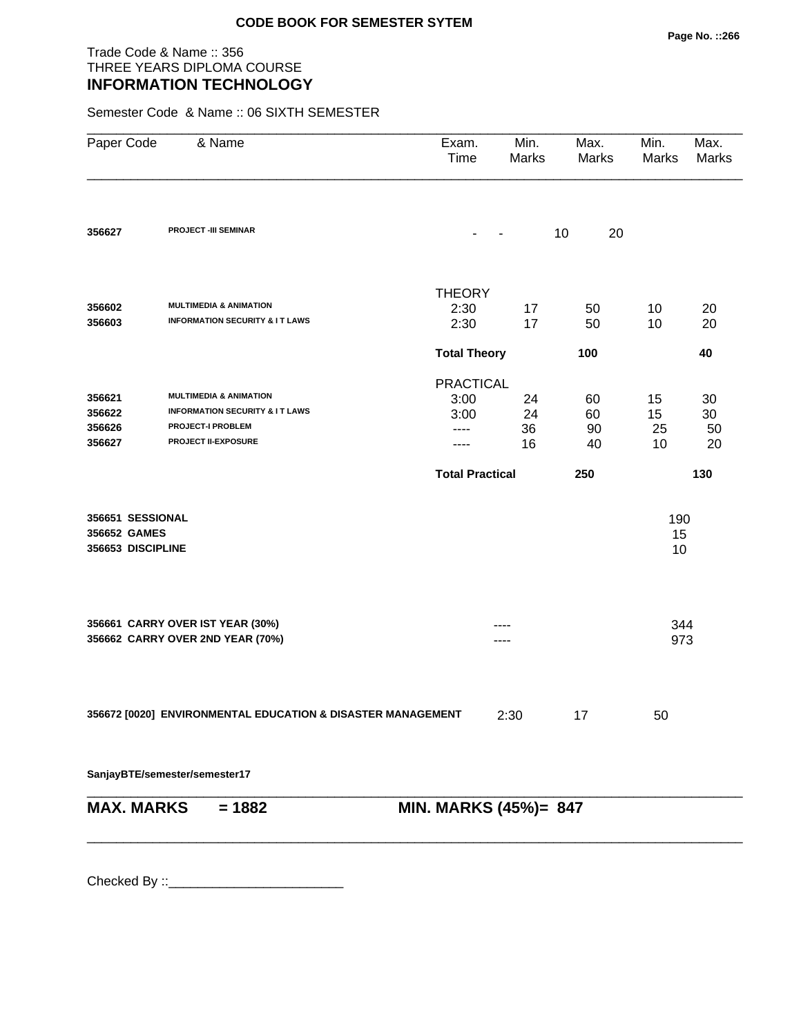## Trade Code & Name :: 356 THREE YEARS DIPLOMA COURSE **INFORMATION TECHNOLOGY**

Semester Code & Name :: 06 SIXTH SEMESTER

| Paper Code                                            | & Name                                                                                                                                   | Exam.<br>Time                                    | Min.<br>Marks        | Max.<br>Marks        | Min.<br>Marks        | Max.<br>Marks        |
|-------------------------------------------------------|------------------------------------------------------------------------------------------------------------------------------------------|--------------------------------------------------|----------------------|----------------------|----------------------|----------------------|
| 356627                                                | <b>PROJECT -III SEMINAR</b>                                                                                                              |                                                  |                      | 10<br>20             |                      |                      |
| 356602<br>356603                                      | <b>MULTIMEDIA &amp; ANIMATION</b><br><b>INFORMATION SECURITY &amp; IT LAWS</b>                                                           | <b>THEORY</b><br>2:30<br>2:30                    | 17<br>17             | 50<br>50             | 10<br>10             | 20<br>20             |
|                                                       |                                                                                                                                          | <b>Total Theory</b>                              |                      | 100                  |                      | 40                   |
| 356621<br>356622<br>356626<br>356627                  | <b>MULTIMEDIA &amp; ANIMATION</b><br><b>INFORMATION SECURITY &amp; IT LAWS</b><br><b>PROJECT-I PROBLEM</b><br><b>PROJECT II-EXPOSURE</b> | <b>PRACTICAL</b><br>3:00<br>3:00<br>----<br>---- | 24<br>24<br>36<br>16 | 60<br>60<br>90<br>40 | 15<br>15<br>25<br>10 | 30<br>30<br>50<br>20 |
|                                                       |                                                                                                                                          | <b>Total Practical</b>                           |                      | 250                  |                      | 130                  |
| 356651 SESSIONAL<br>356652 GAMES<br>356653 DISCIPLINE |                                                                                                                                          |                                                  |                      |                      | 190<br>15<br>10      |                      |
|                                                       | 356661 CARRY OVER IST YEAR (30%)<br>356662 CARRY OVER 2ND YEAR (70%)                                                                     |                                                  | ----                 |                      | 344<br>973           |                      |
|                                                       | 356672 [0020] ENVIRONMENTAL EDUCATION & DISASTER MANAGEMENT                                                                              |                                                  | 2:30                 | 17                   | 50                   |                      |
|                                                       | SanjayBTE/semester/semester17                                                                                                            |                                                  |                      |                      |                      |                      |
| <b>MAX. MARKS</b>                                     | $= 1882$                                                                                                                                 | MIN. MARKS (45%)= 847                            |                      |                      |                      |                      |
|                                                       |                                                                                                                                          |                                                  |                      |                      |                      |                      |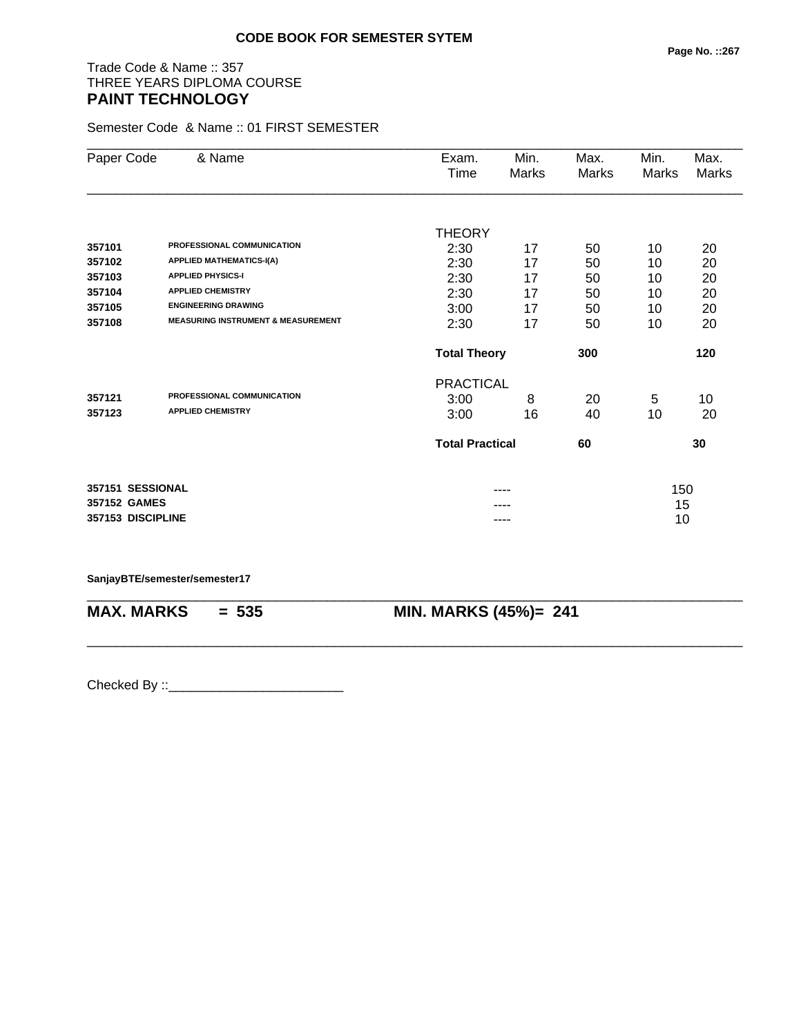# Trade Code & Name :: 357 THREE YEARS DIPLOMA COURSE **PAINT TECHNOLOGY**

Semester Code & Name :: 01 FIRST SEMESTER

| Paper Code        | & Name                                        | Exam.                  | Min.         | Max.  | Min.  | Max.  |
|-------------------|-----------------------------------------------|------------------------|--------------|-------|-------|-------|
|                   |                                               | Time                   | <b>Marks</b> | Marks | Marks | Marks |
|                   |                                               |                        |              |       |       |       |
|                   |                                               | <b>THEORY</b>          |              |       |       |       |
| 357101            | PROFESSIONAL COMMUNICATION                    | 2:30                   | 17           | 50    | 10    | 20    |
| 357102            | <b>APPLIED MATHEMATICS-I(A)</b>               | 2:30                   | 17           | 50    | 10    | 20    |
| 357103            | <b>APPLIED PHYSICS-I</b>                      | 2:30                   | 17           | 50    | 10    | 20    |
| 357104            | <b>APPLIED CHEMISTRY</b>                      | 2:30                   | 17           | 50    | 10    | 20    |
| 357105            | <b>ENGINEERING DRAWING</b>                    | 3:00                   | 17           | 50    | 10    | 20    |
| 357108            | <b>MEASURING INSTRUMENT &amp; MEASUREMENT</b> | 2:30                   | 17           | 50    | 10    | 20    |
|                   |                                               | <b>Total Theory</b>    |              | 300   |       | 120   |
|                   |                                               | <b>PRACTICAL</b>       |              |       |       |       |
| 357121            | PROFESSIONAL COMMUNICATION                    | 3:00                   | 8            | 20    | 5     | 10    |
| 357123            | <b>APPLIED CHEMISTRY</b>                      | 3:00                   | 16           | 40    | 10    | 20    |
|                   |                                               | <b>Total Practical</b> |              | 60    |       | 30    |
| 357151 SESSIONAL  |                                               |                        |              |       | 150   |       |
| 357152 GAMES      |                                               |                        |              |       | 15    |       |
| 357153 DISCIPLINE |                                               |                        | ----         |       | 10    |       |

\_\_\_\_\_\_\_\_\_\_\_\_\_\_\_\_\_\_\_\_\_\_\_\_\_\_\_\_\_\_\_\_\_\_\_\_\_\_\_\_\_\_\_\_\_\_\_\_\_\_\_\_\_\_\_\_\_\_\_\_\_\_\_\_\_\_\_\_\_\_\_\_\_\_\_\_\_\_\_\_\_\_\_\_\_\_\_\_\_\_

\_\_\_\_\_\_\_\_\_\_\_\_\_\_\_\_\_\_\_\_\_\_\_\_\_\_\_\_\_\_\_\_\_\_\_\_\_\_\_\_\_\_\_\_\_\_\_\_\_\_\_\_\_\_\_\_\_\_\_\_\_\_\_\_\_\_\_\_\_\_\_\_\_\_\_\_\_\_\_\_\_\_\_\_\_\_\_\_\_\_

#### **SanjayBTE/semester/semester17**

**MAX. MARKS = 535 MIN. MARKS (45%)= 241**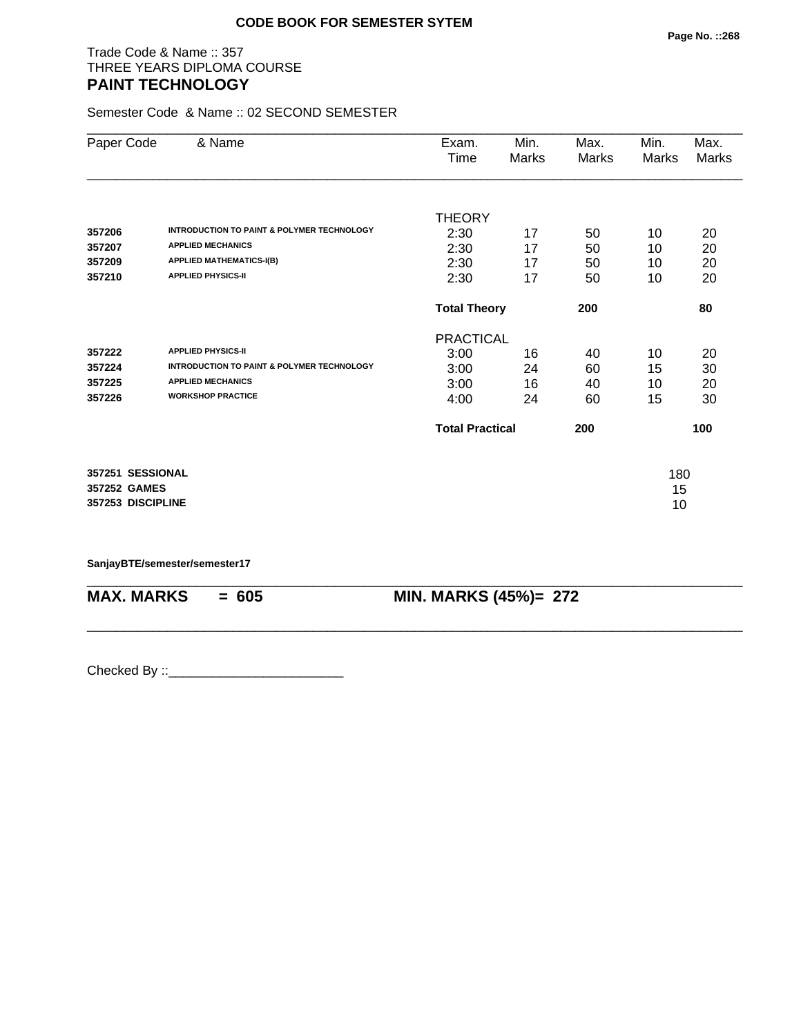## Trade Code & Name :: 357 THREE YEARS DIPLOMA COURSE **PAINT TECHNOLOGY**

Semester Code & Name :: 02 SECOND SEMESTER

| Paper Code        | & Name                                                | Exam.                  | Min.  | Max.  | Min.  | Max.         |
|-------------------|-------------------------------------------------------|------------------------|-------|-------|-------|--------------|
|                   |                                                       | Time                   | Marks | Marks | Marks | <b>Marks</b> |
|                   |                                                       |                        |       |       |       |              |
|                   |                                                       | <b>THEORY</b>          |       |       |       |              |
| 357206            | <b>INTRODUCTION TO PAINT &amp; POLYMER TECHNOLOGY</b> | 2:30                   | 17    | 50    | 10    | 20           |
| 357207            | <b>APPLIED MECHANICS</b>                              | 2:30                   | 17    | 50    | 10    | 20           |
| 357209            | <b>APPLIED MATHEMATICS-I(B)</b>                       | 2:30                   | 17    | 50    | 10    | 20           |
| 357210            | <b>APPLIED PHYSICS-II</b>                             | 2:30                   | 17    | 50    | 10    | 20           |
|                   |                                                       | <b>Total Theory</b>    |       | 200   |       | 80           |
|                   |                                                       | <b>PRACTICAL</b>       |       |       |       |              |
| 357222            | <b>APPLIED PHYSICS-II</b>                             | 3:00                   | 16    | 40    | 10    | 20           |
| 357224            | <b>INTRODUCTION TO PAINT &amp; POLYMER TECHNOLOGY</b> | 3:00                   | 24    | 60    | 15    | 30           |
| 357225            | <b>APPLIED MECHANICS</b>                              | 3:00                   | 16    | 40    | 10    | 20           |
| 357226            | <b>WORKSHOP PRACTICE</b>                              | 4:00                   | 24    | 60    | 15    | 30           |
|                   |                                                       | <b>Total Practical</b> |       | 200   |       | 100          |
| 357251 SESSIONAL  |                                                       |                        |       |       | 180   |              |
| 357252 GAMES      |                                                       |                        |       |       | 15    |              |
| 357253 DISCIPLINE |                                                       |                        |       |       | 10    |              |
|                   |                                                       |                        |       |       |       |              |

\_\_\_\_\_\_\_\_\_\_\_\_\_\_\_\_\_\_\_\_\_\_\_\_\_\_\_\_\_\_\_\_\_\_\_\_\_\_\_\_\_\_\_\_\_\_\_\_\_\_\_\_\_\_\_\_\_\_\_\_\_\_\_\_\_\_\_\_\_\_\_\_\_\_\_\_\_\_\_\_\_\_\_\_\_\_\_\_\_\_

\_\_\_\_\_\_\_\_\_\_\_\_\_\_\_\_\_\_\_\_\_\_\_\_\_\_\_\_\_\_\_\_\_\_\_\_\_\_\_\_\_\_\_\_\_\_\_\_\_\_\_\_\_\_\_\_\_\_\_\_\_\_\_\_\_\_\_\_\_\_\_\_\_\_\_\_\_\_\_\_\_\_\_\_\_\_\_\_\_\_

**SanjayBTE/semester/semester17**

**MAX. MARKS = 605 MIN. MARKS (45%)= 272**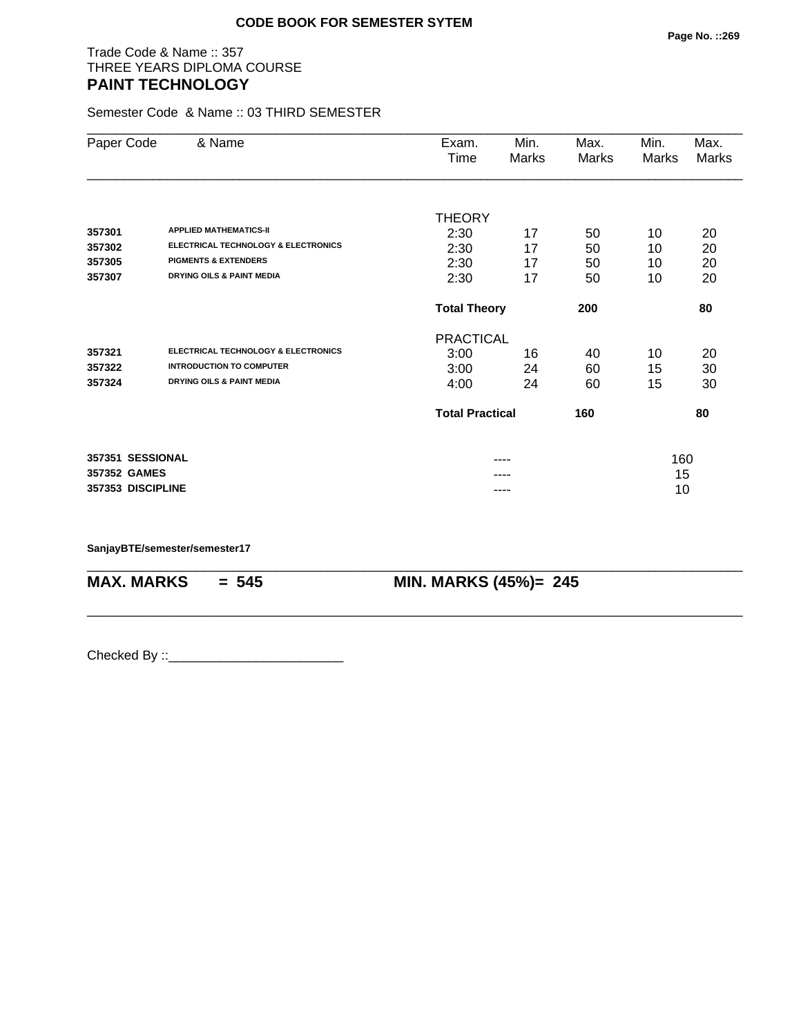## Trade Code & Name :: 357 THREE YEARS DIPLOMA COURSE **PAINT TECHNOLOGY**

Semester Code & Name :: 03 THIRD SEMESTER

| Paper Code        | & Name                                         | Exam.                  | Min.  | Max.  | Min.  | Max.         |
|-------------------|------------------------------------------------|------------------------|-------|-------|-------|--------------|
|                   |                                                | Time                   | Marks | Marks | Marks | <b>Marks</b> |
|                   |                                                |                        |       |       |       |              |
|                   |                                                | <b>THEORY</b>          |       |       |       |              |
| 357301            | <b>APPLIED MATHEMATICS-II</b>                  | 2:30                   | 17    | 50    | 10    | 20           |
| 357302            | <b>ELECTRICAL TECHNOLOGY &amp; ELECTRONICS</b> | 2:30                   | 17    | 50    | 10    | 20           |
| 357305            | <b>PIGMENTS &amp; EXTENDERS</b>                | 2:30                   | 17    | 50    | 10    | 20           |
| 357307            | <b>DRYING OILS &amp; PAINT MEDIA</b>           | 2:30                   | 17    | 50    | 10    | 20           |
|                   |                                                | <b>Total Theory</b>    |       | 200   |       | 80           |
|                   |                                                | <b>PRACTICAL</b>       |       |       |       |              |
| 357321            | ELECTRICAL TECHNOLOGY & ELECTRONICS            | 3:00                   | 16    | 40    | 10    | 20           |
| 357322            | <b>INTRODUCTION TO COMPUTER</b>                | 3:00                   | 24    | 60    | 15    | 30           |
| 357324            | <b>DRYING OILS &amp; PAINT MEDIA</b>           | 4:00                   | 24    | 60    | 15    | 30           |
|                   |                                                | <b>Total Practical</b> |       | 160   |       | 80           |
| 357351 SESSIONAL  |                                                |                        | ----  |       | 160   |              |
| 357352 GAMES      |                                                |                        |       |       | 15    |              |
| 357353 DISCIPLINE |                                                |                        | ----  |       | 10    |              |

\_\_\_\_\_\_\_\_\_\_\_\_\_\_\_\_\_\_\_\_\_\_\_\_\_\_\_\_\_\_\_\_\_\_\_\_\_\_\_\_\_\_\_\_\_\_\_\_\_\_\_\_\_\_\_\_\_\_\_\_\_\_\_\_\_\_\_\_\_\_\_\_\_\_\_\_\_\_\_\_\_\_\_\_\_\_\_\_\_\_

\_\_\_\_\_\_\_\_\_\_\_\_\_\_\_\_\_\_\_\_\_\_\_\_\_\_\_\_\_\_\_\_\_\_\_\_\_\_\_\_\_\_\_\_\_\_\_\_\_\_\_\_\_\_\_\_\_\_\_\_\_\_\_\_\_\_\_\_\_\_\_\_\_\_\_\_\_\_\_\_\_\_\_\_\_\_\_\_\_\_

**SanjayBTE/semester/semester17**

**MAX. MARKS = 545 MIN. MARKS (45%)= 245**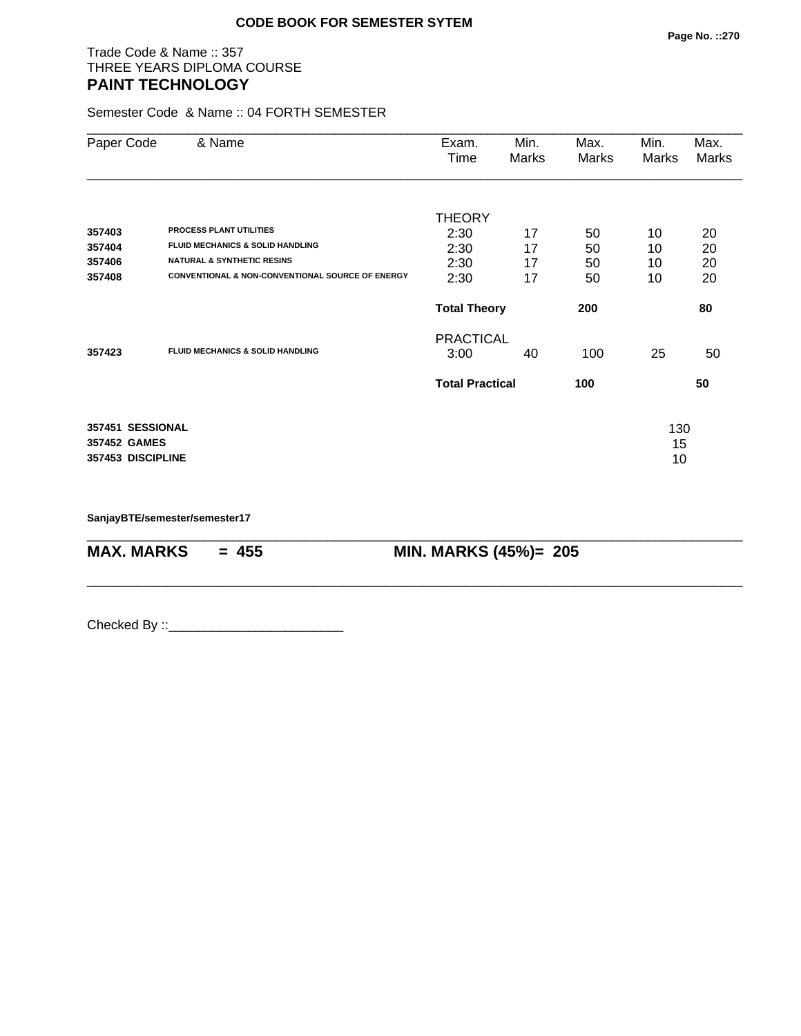## Trade Code & Name :: 357 THREE YEARS DIPLOMA COURSE **PAINT TECHNOLOGY**

Semester Code & Name :: 04 FORTH SEMESTER

| Paper Code                                            | & Name                                           | Exam.<br>Time          | Min.<br>Marks | Max.<br>Marks | Min.<br>Marks   | Max.<br>Marks |
|-------------------------------------------------------|--------------------------------------------------|------------------------|---------------|---------------|-----------------|---------------|
|                                                       |                                                  | <b>THEORY</b>          |               |               |                 |               |
| 357403                                                | <b>PROCESS PLANT UTILITIES</b>                   | 2:30                   | 17            | 50            | 10              | 20            |
| 357404                                                | <b>FLUID MECHANICS &amp; SOLID HANDLING</b>      | 2:30                   | 17            | 50            | 10              | 20            |
| 357406                                                | <b>NATURAL &amp; SYNTHETIC RESINS</b>            | 2:30                   | 17            | 50            | 10              | 20            |
| 357408                                                | CONVENTIONAL & NON-CONVENTIONAL SOURCE OF ENERGY | 2:30                   | 17            | 50            | 10              | 20            |
|                                                       |                                                  | <b>Total Theory</b>    |               | 200           |                 | 80            |
|                                                       |                                                  | <b>PRACTICAL</b>       |               |               |                 |               |
| 357423                                                | <b>FLUID MECHANICS &amp; SOLID HANDLING</b>      | 3:00                   | 40            | 100           | 25              | 50            |
|                                                       |                                                  | <b>Total Practical</b> |               | 100           |                 | 50            |
| 357451 SESSIONAL<br>357452 GAMES<br>357453 DISCIPLINE |                                                  |                        |               |               | 130<br>15<br>10 |               |

\_\_\_\_\_\_\_\_\_\_\_\_\_\_\_\_\_\_\_\_\_\_\_\_\_\_\_\_\_\_\_\_\_\_\_\_\_\_\_\_\_\_\_\_\_\_\_\_\_\_\_\_\_\_\_\_\_\_\_\_\_\_\_\_\_\_\_\_\_\_\_\_\_\_\_\_\_\_\_\_\_\_\_\_\_\_\_\_\_\_

\_\_\_\_\_\_\_\_\_\_\_\_\_\_\_\_\_\_\_\_\_\_\_\_\_\_\_\_\_\_\_\_\_\_\_\_\_\_\_\_\_\_\_\_\_\_\_\_\_\_\_\_\_\_\_\_\_\_\_\_\_\_\_\_\_\_\_\_\_\_\_\_\_\_\_\_\_\_\_\_\_\_\_\_\_\_\_\_\_\_

**SanjayBTE/semester/semester17**

**MAX. MARKS = 455 MIN. MARKS (45%)= 205**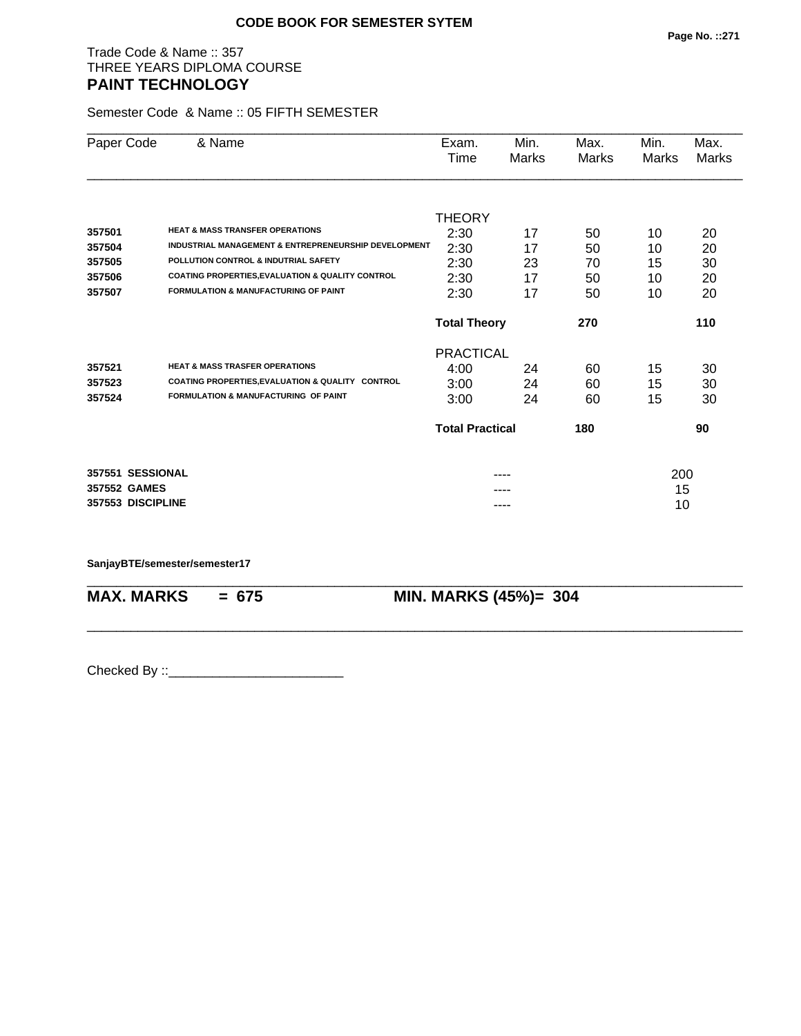## Trade Code & Name :: 357 THREE YEARS DIPLOMA COURSE **PAINT TECHNOLOGY**

Semester Code & Name :: 05 FIFTH SEMESTER

| Paper Code        | & Name                                                          | Exam.                  | Min.         | Max.  | Min.  | Max.         |
|-------------------|-----------------------------------------------------------------|------------------------|--------------|-------|-------|--------------|
|                   |                                                                 | Time                   | <b>Marks</b> | Marks | Marks | <b>Marks</b> |
|                   |                                                                 |                        |              |       |       |              |
|                   |                                                                 | <b>THEORY</b>          |              |       |       |              |
| 357501            | <b>HEAT &amp; MASS TRANSFER OPERATIONS</b>                      | 2:30                   | 17           | 50    | 10    | 20           |
| 357504            | <b>INDUSTRIAL MANAGEMENT &amp; ENTREPRENEURSHIP DEVELOPMENT</b> | 2:30                   | 17           | 50    | 10    | 20           |
| 357505            | POLLUTION CONTROL & INDUTRIAL SAFETY                            | 2:30                   | 23           | 70    | 15    | 30           |
| 357506            | COATING PROPERTIES, EVALUATION & QUALITY CONTROL                | 2:30                   | 17           | 50    | 10    | 20           |
| 357507            | <b>FORMULATION &amp; MANUFACTURING OF PAINT</b>                 | 2:30                   | 17           | 50    | 10    | 20           |
|                   |                                                                 | <b>Total Theory</b>    |              | 270   |       | 110          |
|                   |                                                                 | <b>PRACTICAL</b>       |              |       |       |              |
| 357521            | <b>HEAT &amp; MASS TRASFER OPERATIONS</b>                       | 4:00                   | 24           | 60    | 15    | 30           |
| 357523            | COATING PROPERTIES, EVALUATION & QUALITY CONTROL                | 3:00                   | 24           | 60    | 15    | 30           |
| 357524            | <b>FORMULATION &amp; MANUFACTURING OF PAINT</b>                 | 3:00                   | 24           | 60    | 15    | 30           |
|                   |                                                                 | <b>Total Practical</b> |              | 180   |       | 90           |
| 357551 SESSIONAL  |                                                                 |                        |              |       | 200   |              |
| 357552 GAMES      |                                                                 |                        |              |       | 15    |              |
| 357553 DISCIPLINE |                                                                 |                        | ----         |       | 10    |              |

\_\_\_\_\_\_\_\_\_\_\_\_\_\_\_\_\_\_\_\_\_\_\_\_\_\_\_\_\_\_\_\_\_\_\_\_\_\_\_\_\_\_\_\_\_\_\_\_\_\_\_\_\_\_\_\_\_\_\_\_\_\_\_\_\_\_\_\_\_\_\_\_\_\_\_\_\_\_\_\_\_\_\_\_\_\_\_\_\_\_

\_\_\_\_\_\_\_\_\_\_\_\_\_\_\_\_\_\_\_\_\_\_\_\_\_\_\_\_\_\_\_\_\_\_\_\_\_\_\_\_\_\_\_\_\_\_\_\_\_\_\_\_\_\_\_\_\_\_\_\_\_\_\_\_\_\_\_\_\_\_\_\_\_\_\_\_\_\_\_\_\_\_\_\_\_\_\_\_\_\_

#### **SanjayBTE/semester/semester17**

**MAX. MARKS = 675 MIN. MARKS (45%)= 304**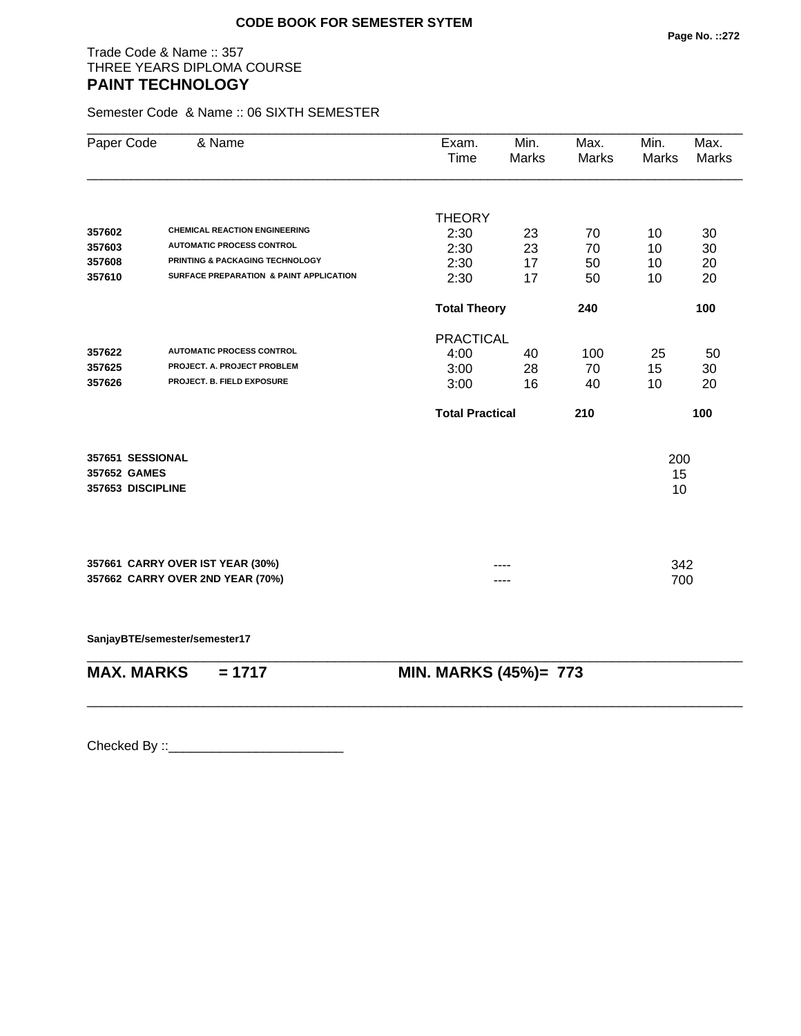## Trade Code & Name :: 357 THREE YEARS DIPLOMA COURSE **PAINT TECHNOLOGY**

Semester Code & Name :: 06 SIXTH SEMESTER

|                   | & Name<br>Paper Code                    | Exam.<br>Time          | Min.<br>Marks | Max.<br>Marks | Min.<br>Marks | Max.<br><b>Marks</b> |
|-------------------|-----------------------------------------|------------------------|---------------|---------------|---------------|----------------------|
|                   |                                         | <b>THEORY</b>          |               |               |               |                      |
| 357602            | <b>CHEMICAL REACTION ENGINEERING</b>    | 2:30                   | 23            | 70            | 10            | 30                   |
| 357603            | <b>AUTOMATIC PROCESS CONTROL</b>        | 2:30                   | 23            | 70            | 10            | 30                   |
| 357608            | PRINTING & PACKAGING TECHNOLOGY         | 2:30                   | 17            | 50            | 10            | 20                   |
| 357610            | SURFACE PREPARATION & PAINT APPLICATION | 2:30                   | 17            | 50            | 10            | 20                   |
|                   |                                         | <b>Total Theory</b>    |               | 240           |               | 100                  |
|                   |                                         | <b>PRACTICAL</b>       |               |               |               |                      |
| 357622            | <b>AUTOMATIC PROCESS CONTROL</b>        | 4:00                   | 40            | 100           | 25            | 50                   |
| 357625            | PROJECT. A. PROJECT PROBLEM             | 3:00                   | 28            | 70            | 15            | 30                   |
| 357626            | PROJECT. B. FIELD EXPOSURE              | 3:00                   | 16            | 40            | 10            | 20                   |
|                   |                                         | <b>Total Practical</b> |               | 210           |               | 100                  |
| 357651 SESSIONAL  |                                         |                        |               |               | 200           |                      |
| 357652 GAMES      |                                         |                        |               |               | 15            |                      |
| 357653 DISCIPLINE |                                         |                        |               |               | 10            |                      |
|                   |                                         |                        |               |               |               |                      |
|                   | 357661 CARRY OVER IST YEAR (30%)        |                        |               |               | 342           |                      |
|                   | 357662 CARRY OVER 2ND YEAR (70%)        |                        |               |               | 700           |                      |
|                   | SanjayBTE/semester/semester17           |                        |               |               |               |                      |
| <b>MAX. MARKS</b> | $= 1717$                                | MIN. MARKS (45%)= 773  |               |               |               |                      |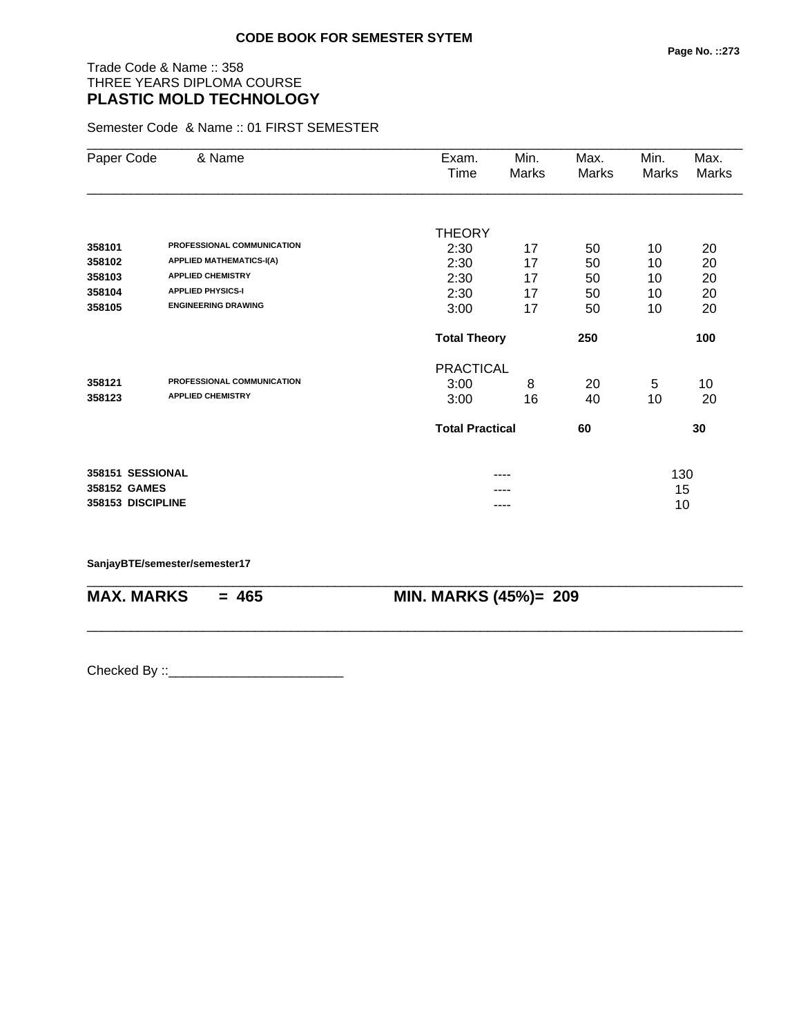# Trade Code & Name :: 358 THREE YEARS DIPLOMA COURSE **PLASTIC MOLD TECHNOLOGY**

Semester Code & Name :: 01 FIRST SEMESTER

| Paper Code        | & Name                          | Exam.<br>Time          | Min.<br>Marks | Max.<br>Marks | Min.<br>Marks | Max.<br>Marks |
|-------------------|---------------------------------|------------------------|---------------|---------------|---------------|---------------|
|                   |                                 |                        |               |               |               |               |
|                   |                                 | THEORY                 |               |               |               |               |
| 358101            | PROFESSIONAL COMMUNICATION      | 2:30                   | 17            | 50            | 10            | 20            |
| 358102            | <b>APPLIED MATHEMATICS-I(A)</b> | 2:30                   | 17            | 50            | 10            | 20            |
| 358103            | <b>APPLIED CHEMISTRY</b>        | 2:30                   | 17            | 50            | 10            | 20            |
| 358104            | <b>APPLIED PHYSICS-I</b>        | 2:30                   | 17            | 50            | 10            | 20            |
| 358105            | <b>ENGINEERING DRAWING</b>      | 3:00                   | 17            | 50            | 10            | 20            |
|                   |                                 | <b>Total Theory</b>    |               | 250           |               | 100           |
|                   |                                 | <b>PRACTICAL</b>       |               |               |               |               |
| 358121            | PROFESSIONAL COMMUNICATION      | 3:00                   | 8             | 20            | 5             | 10            |
| 358123            | <b>APPLIED CHEMISTRY</b>        | 3:00                   | 16            | 40            | 10            | 20            |
|                   |                                 | <b>Total Practical</b> |               | 60            |               | 30            |
| 358151 SESSIONAL  |                                 |                        |               |               | 130           |               |
| 358152 GAMES      |                                 |                        |               |               | 15            |               |
| 358153 DISCIPLINE |                                 |                        | ----          |               | 10            |               |

\_\_\_\_\_\_\_\_\_\_\_\_\_\_\_\_\_\_\_\_\_\_\_\_\_\_\_\_\_\_\_\_\_\_\_\_\_\_\_\_\_\_\_\_\_\_\_\_\_\_\_\_\_\_\_\_\_\_\_\_\_\_\_\_\_\_\_\_\_\_\_\_\_\_\_\_\_\_\_\_\_\_\_\_\_\_\_\_\_\_

\_\_\_\_\_\_\_\_\_\_\_\_\_\_\_\_\_\_\_\_\_\_\_\_\_\_\_\_\_\_\_\_\_\_\_\_\_\_\_\_\_\_\_\_\_\_\_\_\_\_\_\_\_\_\_\_\_\_\_\_\_\_\_\_\_\_\_\_\_\_\_\_\_\_\_\_\_\_\_\_\_\_\_\_\_\_\_\_\_\_

**SanjayBTE/semester/semester17**

**MAX. MARKS = 465 MIN. MARKS (45%)= 209**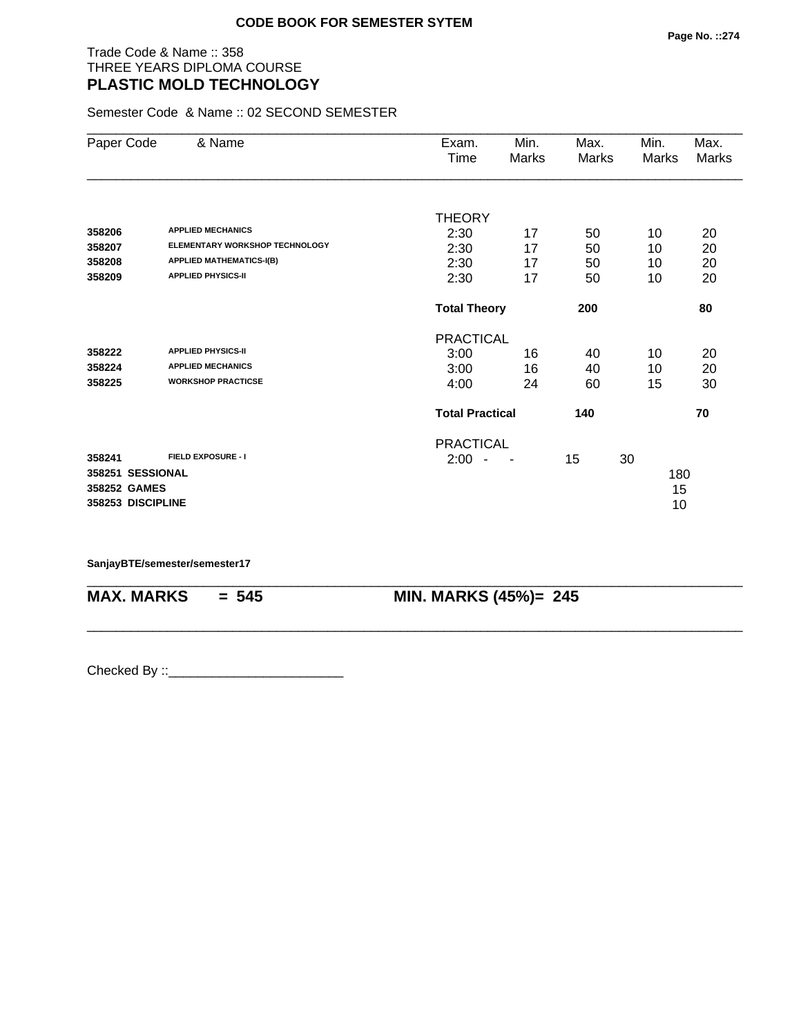#### Trade Code & Name :: 358 THREE YEARS DIPLOMA COURSE **PLASTIC MOLD TECHNOLOGY**

Semester Code & Name :: 02 SECOND SEMESTER

| Paper Code        | & Name                                | Exam.                            | Min.  | Max.  | Min.  | Max.  |
|-------------------|---------------------------------------|----------------------------------|-------|-------|-------|-------|
|                   |                                       | Time                             | Marks | Marks | Marks | Marks |
|                   |                                       |                                  |       |       |       |       |
|                   |                                       | <b>THEORY</b>                    |       |       |       |       |
| 358206            | <b>APPLIED MECHANICS</b>              | 2:30                             | 17    | 50    | 10    | 20    |
| 358207            | <b>ELEMENTARY WORKSHOP TECHNOLOGY</b> | 2:30                             | 17    | 50    | 10    | 20    |
| 358208            | <b>APPLIED MATHEMATICS-I(B)</b>       | 2:30                             | 17    | 50    | 10    | 20    |
| 358209            | <b>APPLIED PHYSICS-II</b>             | 2:30                             | 17    | 50    | 10    | 20    |
|                   |                                       | <b>Total Theory</b>              |       | 200   |       | 80    |
|                   |                                       | <b>PRACTICAL</b>                 |       |       |       |       |
| 358222            | <b>APPLIED PHYSICS-II</b>             | 3:00                             | 16    | 40    | 10    | 20    |
| 358224            | <b>APPLIED MECHANICS</b>              | 3:00                             | 16    | 40    | 10    | 20    |
| 358225            | <b>WORKSHOP PRACTICSE</b>             | 4:00                             | 24    | 60    | 15    | 30    |
|                   |                                       | <b>Total Practical</b>           |       | 140   |       | 70    |
|                   |                                       | <b>PRACTICAL</b>                 |       |       |       |       |
| 358241            | <b>FIELD EXPOSURE - I</b>             | 2:00<br>$\overline{\phantom{a}}$ |       | 15    | 30    |       |
| 358251 SESSIONAL  |                                       |                                  |       |       | 180   |       |
| 358252 GAMES      |                                       |                                  |       |       | 15    |       |
| 358253 DISCIPLINE |                                       |                                  |       |       | 10    |       |

\_\_\_\_\_\_\_\_\_\_\_\_\_\_\_\_\_\_\_\_\_\_\_\_\_\_\_\_\_\_\_\_\_\_\_\_\_\_\_\_\_\_\_\_\_\_\_\_\_\_\_\_\_\_\_\_\_\_\_\_\_\_\_\_\_\_\_\_\_\_\_\_\_\_\_\_\_\_\_\_\_\_\_\_\_\_\_\_\_\_

\_\_\_\_\_\_\_\_\_\_\_\_\_\_\_\_\_\_\_\_\_\_\_\_\_\_\_\_\_\_\_\_\_\_\_\_\_\_\_\_\_\_\_\_\_\_\_\_\_\_\_\_\_\_\_\_\_\_\_\_\_\_\_\_\_\_\_\_\_\_\_\_\_\_\_\_\_\_\_\_\_\_\_\_\_\_\_\_\_\_

**SanjayBTE/semester/semester17**

**MAX. MARKS = 545 MIN. MARKS (45%)= 245**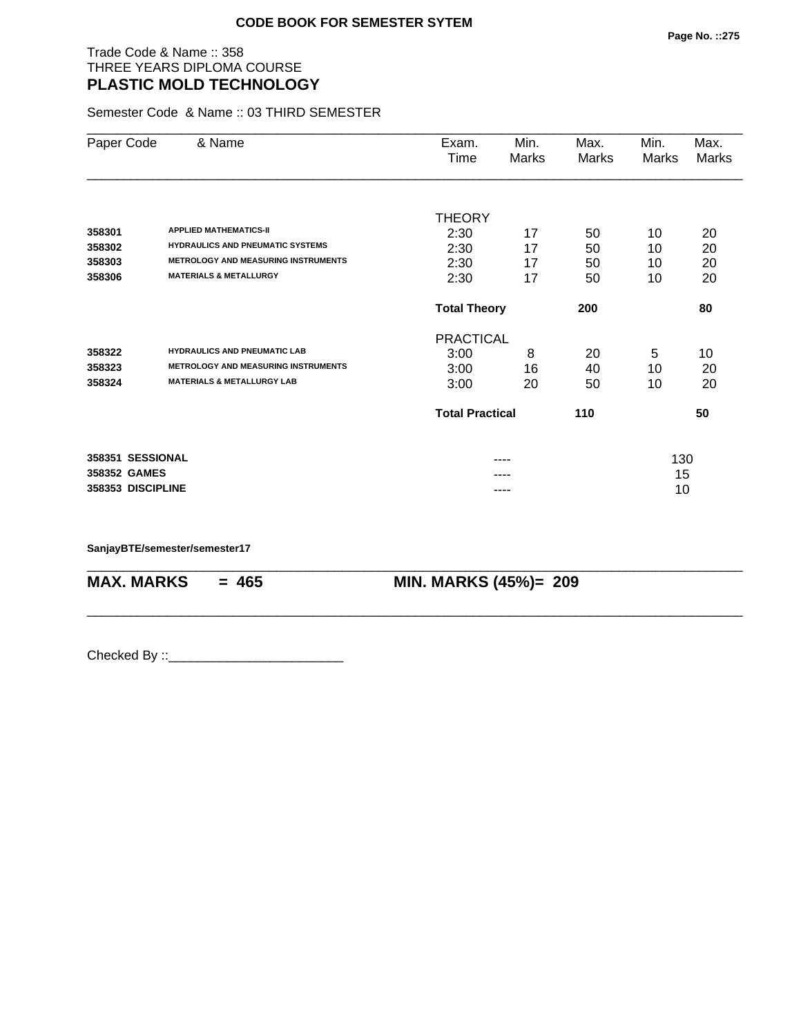#### Trade Code & Name :: 358 THREE YEARS DIPLOMA COURSE **PLASTIC MOLD TECHNOLOGY**

Semester Code & Name :: 03 THIRD SEMESTER

| Paper Code        | & Name                                     | Exam.                  | Min.  | Max.  | Min.  | Max.         |
|-------------------|--------------------------------------------|------------------------|-------|-------|-------|--------------|
|                   |                                            | Time                   | Marks | Marks | Marks | <b>Marks</b> |
|                   |                                            |                        |       |       |       |              |
|                   |                                            | <b>THEORY</b>          |       |       |       |              |
| 358301            | <b>APPLIED MATHEMATICS-II</b>              | 2:30                   | 17    | 50    | 10    | 20           |
| 358302            | <b>HYDRAULICS AND PNEUMATIC SYSTEMS</b>    | 2:30                   | 17    | 50    | 10    | 20           |
| 358303            | <b>METROLOGY AND MEASURING INSTRUMENTS</b> | 2:30                   | 17    | 50    | 10    | 20           |
| 358306            | <b>MATERIALS &amp; METALLURGY</b>          | 2:30                   | 17    | 50    | 10    | 20           |
|                   |                                            | <b>Total Theory</b>    |       | 200   |       | 80           |
|                   |                                            | <b>PRACTICAL</b>       |       |       |       |              |
| 358322            | <b>HYDRAULICS AND PNEUMATIC LAB</b>        | 3:00                   | 8     | 20    | 5     | 10           |
| 358323            | <b>METROLOGY AND MEASURING INSTRUMENTS</b> | 3:00                   | 16    | 40    | 10    | 20           |
| 358324            | <b>MATERIALS &amp; METALLURGY LAB</b>      | 3:00                   | 20    | 50    | 10    | 20           |
|                   |                                            | <b>Total Practical</b> |       | 110   |       | 50           |
| 358351 SESSIONAL  |                                            |                        | ----  |       | 130   |              |
| 358352 GAMES      |                                            |                        |       |       | 15    |              |
| 358353 DISCIPLINE |                                            |                        | ----  |       | 10    |              |

\_\_\_\_\_\_\_\_\_\_\_\_\_\_\_\_\_\_\_\_\_\_\_\_\_\_\_\_\_\_\_\_\_\_\_\_\_\_\_\_\_\_\_\_\_\_\_\_\_\_\_\_\_\_\_\_\_\_\_\_\_\_\_\_\_\_\_\_\_\_\_\_\_\_\_\_\_\_\_\_\_\_\_\_\_\_\_\_\_\_

\_\_\_\_\_\_\_\_\_\_\_\_\_\_\_\_\_\_\_\_\_\_\_\_\_\_\_\_\_\_\_\_\_\_\_\_\_\_\_\_\_\_\_\_\_\_\_\_\_\_\_\_\_\_\_\_\_\_\_\_\_\_\_\_\_\_\_\_\_\_\_\_\_\_\_\_\_\_\_\_\_\_\_\_\_\_\_\_\_\_

**SanjayBTE/semester/semester17**

**MAX. MARKS = 465 MIN. MARKS (45%)= 209**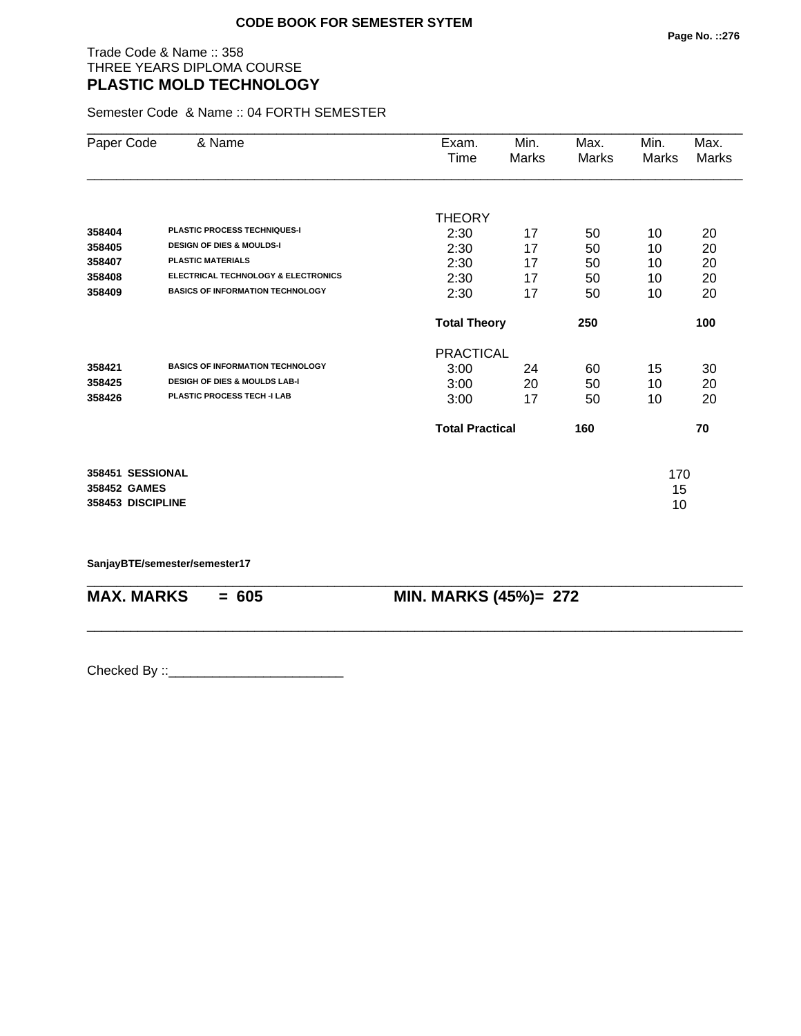#### Trade Code & Name :: 358 THREE YEARS DIPLOMA COURSE **PLASTIC MOLD TECHNOLOGY**

Semester Code & Name :: 04 FORTH SEMESTER

| Paper Code        | & Name                                         | Exam.                  | Min.  | Max.  | Min.  | Max.  |
|-------------------|------------------------------------------------|------------------------|-------|-------|-------|-------|
|                   |                                                | Time                   | Marks | Marks | Marks | Marks |
|                   |                                                |                        |       |       |       |       |
|                   |                                                | <b>THEORY</b>          |       |       |       |       |
| 358404            | <b>PLASTIC PROCESS TECHNIQUES-I</b>            | 2:30                   | 17    | 50    | 10    | 20    |
| 358405            | <b>DESIGN OF DIES &amp; MOULDS-I</b>           | 2:30                   | 17    | 50    | 10    | 20    |
| 358407            | <b>PLASTIC MATERIALS</b>                       | 2:30                   | 17    | 50    | 10    | 20    |
| 358408            | <b>ELECTRICAL TECHNOLOGY &amp; ELECTRONICS</b> | 2:30                   | 17    | 50    | 10    | 20    |
| 358409            | <b>BASICS OF INFORMATION TECHNOLOGY</b>        | 2:30                   | 17    | 50    | 10    | 20    |
|                   |                                                | <b>Total Theory</b>    |       | 250   |       | 100   |
|                   |                                                | <b>PRACTICAL</b>       |       |       |       |       |
| 358421            | <b>BASICS OF INFORMATION TECHNOLOGY</b>        | 3:00                   | 24    | 60    | 15    | 30    |
| 358425            | <b>DESIGH OF DIES &amp; MOULDS LAB-I</b>       | 3:00                   | 20    | 50    | 10    | 20    |
| 358426            | PLASTIC PROCESS TECH -I LAB                    | 3:00                   | 17    | 50    | 10    | 20    |
|                   |                                                | <b>Total Practical</b> |       | 160   |       | 70    |
| 358451 SESSIONAL  |                                                |                        |       |       | 170   |       |
| 358452 GAMES      |                                                |                        |       |       | 15    |       |
| 358453 DISCIPLINE |                                                |                        |       |       | 10    |       |

\_\_\_\_\_\_\_\_\_\_\_\_\_\_\_\_\_\_\_\_\_\_\_\_\_\_\_\_\_\_\_\_\_\_\_\_\_\_\_\_\_\_\_\_\_\_\_\_\_\_\_\_\_\_\_\_\_\_\_\_\_\_\_\_\_\_\_\_\_\_\_\_\_\_\_\_\_\_\_\_\_\_\_\_\_\_\_\_\_\_

\_\_\_\_\_\_\_\_\_\_\_\_\_\_\_\_\_\_\_\_\_\_\_\_\_\_\_\_\_\_\_\_\_\_\_\_\_\_\_\_\_\_\_\_\_\_\_\_\_\_\_\_\_\_\_\_\_\_\_\_\_\_\_\_\_\_\_\_\_\_\_\_\_\_\_\_\_\_\_\_\_\_\_\_\_\_\_\_\_\_

#### **SanjayBTE/semester/semester17**

**MAX. MARKS = 605 MIN. MARKS (45%)= 272**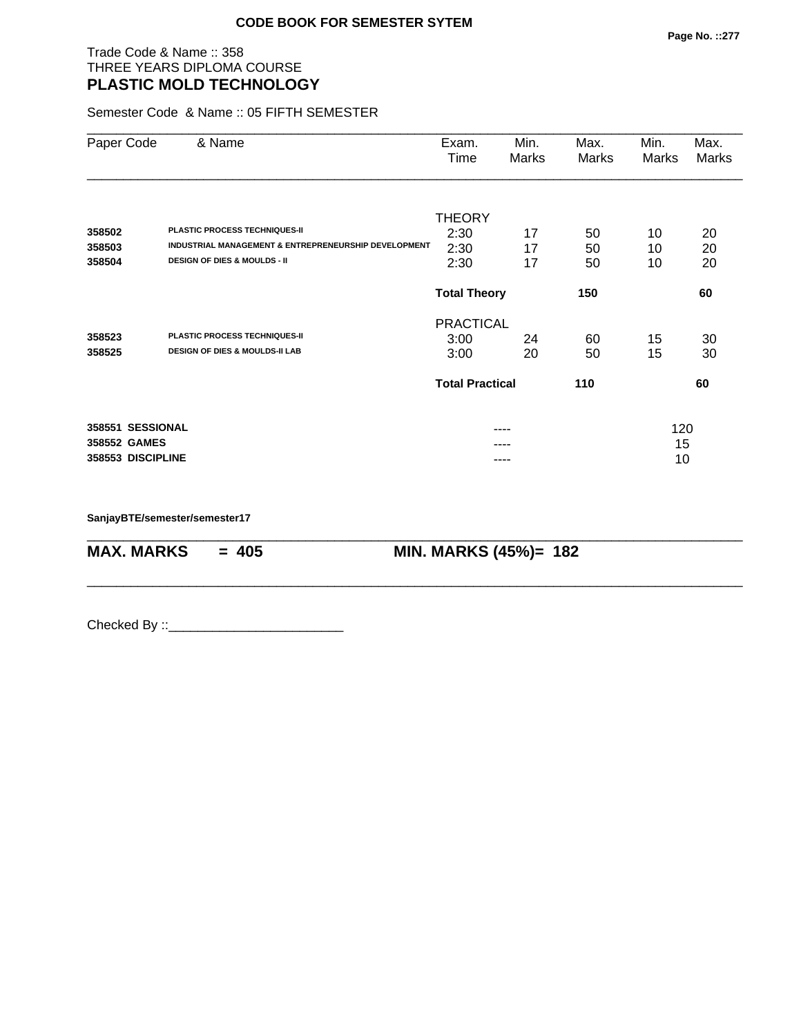## Trade Code & Name :: 358 THREE YEARS DIPLOMA COURSE **PLASTIC MOLD TECHNOLOGY**

Semester Code & Name :: 05 FIFTH SEMESTER

| Paper Code        | & Name                                               | Exam.                  | Min.  | Max.  | Min.  | Max.  |
|-------------------|------------------------------------------------------|------------------------|-------|-------|-------|-------|
|                   |                                                      | Time                   | Marks | Marks | Marks | Marks |
|                   |                                                      |                        |       |       |       |       |
|                   |                                                      | <b>THEORY</b>          |       |       |       |       |
| 358502            | <b>PLASTIC PROCESS TECHNIQUES-II</b>                 | 2:30                   | 17    | 50    | 10    | 20    |
| 358503            | INDUSTRIAL MANAGEMENT & ENTREPRENEURSHIP DEVELOPMENT | 2:30                   | 17    | 50    | 10    | 20    |
| 358504            | <b>DESIGN OF DIES &amp; MOULDS - II</b>              | 2:30                   | 17    | 50    | 10    | 20    |
|                   |                                                      | <b>Total Theory</b>    |       | 150   |       | 60    |
|                   |                                                      | <b>PRACTICAL</b>       |       |       |       |       |
| 358523            | <b>PLASTIC PROCESS TECHNIQUES-II</b>                 | 3:00                   | 24    | 60    | 15    | 30    |
| 358525            | <b>DESIGN OF DIES &amp; MOULDS-II LAB</b>            | 3:00                   | 20    | 50    | 15    | 30    |
|                   |                                                      | <b>Total Practical</b> |       | 110   |       | 60    |
| 358551 SESSIONAL  |                                                      |                        | ----  |       | 120   |       |
| 358552 GAMES      |                                                      |                        |       |       | 15    |       |
| 358553 DISCIPLINE |                                                      |                        |       |       | 10    |       |

\_\_\_\_\_\_\_\_\_\_\_\_\_\_\_\_\_\_\_\_\_\_\_\_\_\_\_\_\_\_\_\_\_\_\_\_\_\_\_\_\_\_\_\_\_\_\_\_\_\_\_\_\_\_\_\_\_\_\_\_\_\_\_\_\_\_\_\_\_\_\_\_\_\_\_\_\_\_\_\_\_\_\_\_\_\_\_\_\_\_

\_\_\_\_\_\_\_\_\_\_\_\_\_\_\_\_\_\_\_\_\_\_\_\_\_\_\_\_\_\_\_\_\_\_\_\_\_\_\_\_\_\_\_\_\_\_\_\_\_\_\_\_\_\_\_\_\_\_\_\_\_\_\_\_\_\_\_\_\_\_\_\_\_\_\_\_\_\_\_\_\_\_\_\_\_\_\_\_\_\_

**SanjayBTE/semester/semester17**

**MAX. MARKS = 405 MIN. MARKS (45%)= 182**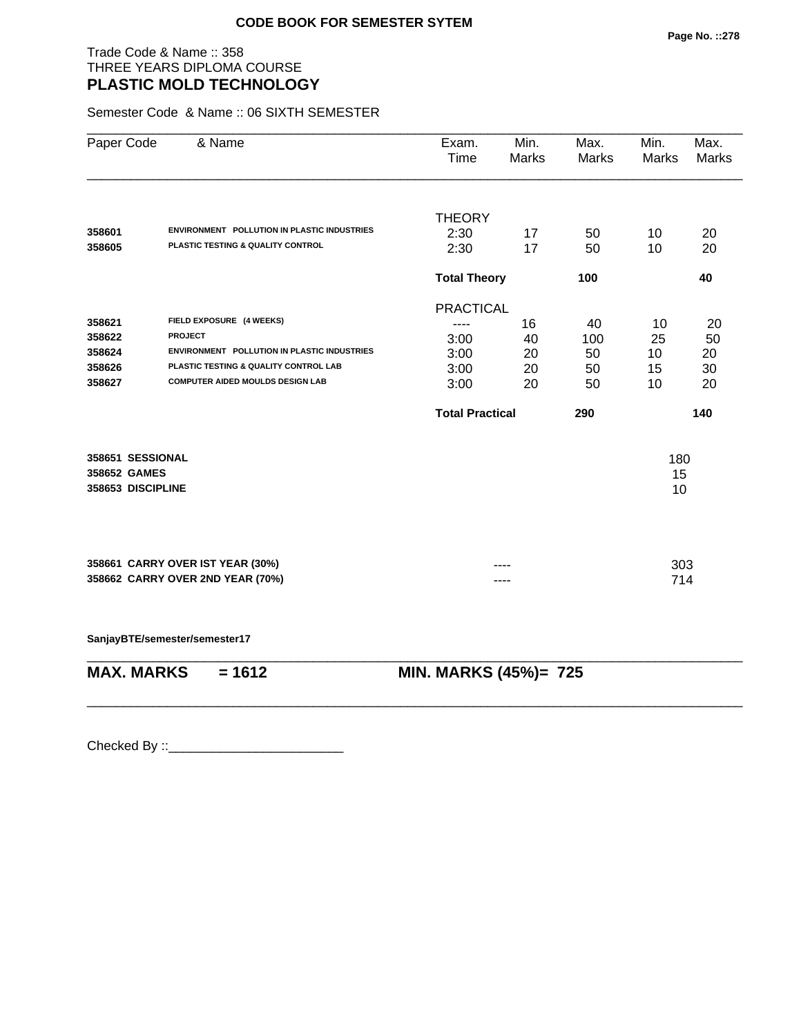## Trade Code & Name :: 358 THREE YEARS DIPLOMA COURSE **PLASTIC MOLD TECHNOLOGY**

Semester Code & Name :: 06 SIXTH SEMESTER

| Paper Code        | & Name                                             | Exam.<br>Time          | Min.<br><b>Marks</b> | Max.<br>Marks | Min.<br><b>Marks</b> | Max.<br><b>Marks</b> |
|-------------------|----------------------------------------------------|------------------------|----------------------|---------------|----------------------|----------------------|
|                   |                                                    | <b>THEORY</b>          |                      |               |                      |                      |
| 358601            | <b>ENVIRONMENT POLLUTION IN PLASTIC INDUSTRIES</b> | 2:30                   | 17                   | 50            | 10                   | 20                   |
| 358605            | PLASTIC TESTING & QUALITY CONTROL                  | 2:30                   | 17                   | 50            | 10                   | 20                   |
|                   |                                                    | <b>Total Theory</b>    |                      | 100           |                      | 40                   |
|                   |                                                    | <b>PRACTICAL</b>       |                      |               |                      |                      |
| 358621            | FIELD EXPOSURE (4 WEEKS)                           | ----                   | 16                   | 40            | 10                   | 20                   |
| 358622            | <b>PROJECT</b>                                     | 3:00                   | 40                   | 100           | 25                   | 50                   |
| 358624            | <b>ENVIRONMENT POLLUTION IN PLASTIC INDUSTRIES</b> | 3:00                   | 20                   | 50            | 10                   | 20                   |
| 358626            | PLASTIC TESTING & QUALITY CONTROL LAB              | 3:00                   | 20                   | 50            | 15                   | 30                   |
| 358627            | <b>COMPUTER AIDED MOULDS DESIGN LAB</b>            | 3:00                   | 20                   | 50            | 10                   | 20                   |
|                   |                                                    | <b>Total Practical</b> |                      | 290           |                      | 140                  |
| 358651 SESSIONAL  |                                                    |                        |                      |               | 180                  |                      |
| 358652 GAMES      |                                                    |                        |                      |               | 15                   |                      |
| 358653 DISCIPLINE |                                                    |                        |                      |               | 10                   |                      |
|                   |                                                    |                        |                      |               |                      |                      |
|                   |                                                    |                        |                      |               |                      |                      |
|                   | 358661 CARRY OVER IST YEAR (30%)                   |                        |                      |               | 303                  |                      |
|                   | 358662 CARRY OVER 2ND YEAR (70%)                   |                        |                      |               | 714                  |                      |
|                   | SanjayBTE/semester/semester17                      |                        |                      |               |                      |                      |
| <b>MAX. MARKS</b> | $= 1612$                                           | MIN. MARKS (45%)= 725  |                      |               |                      |                      |
|                   |                                                    |                        |                      |               |                      |                      |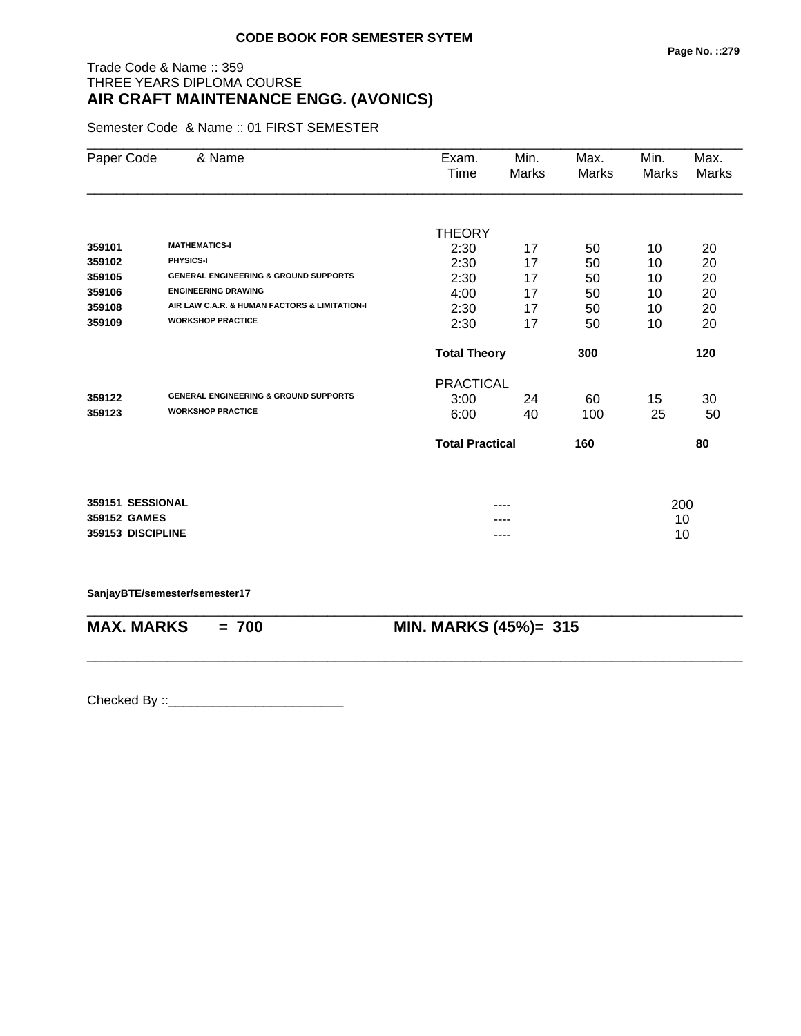# Trade Code & Name :: 359 THREE YEARS DIPLOMA COURSE **AIR CRAFT MAINTENANCE ENGG. (AVONICS)**

Semester Code & Name :: 01 FIRST SEMESTER

| Paper Code        | & Name                                           | Exam.                  | Min.  | Max.  | Min.  | Max.  |
|-------------------|--------------------------------------------------|------------------------|-------|-------|-------|-------|
|                   |                                                  | Time                   | Marks | Marks | Marks | Marks |
|                   |                                                  |                        |       |       |       |       |
|                   |                                                  | <b>THEORY</b>          |       |       |       |       |
| 359101            | <b>MATHEMATICS-I</b>                             | 2:30                   | 17    | 50    | 10    | 20    |
| 359102            | PHYSICS-I                                        | 2:30                   | 17    | 50    | 10    | 20    |
| 359105            | <b>GENERAL ENGINEERING &amp; GROUND SUPPORTS</b> | 2:30                   | 17    | 50    | 10    | 20    |
| 359106            | <b>ENGINEERING DRAWING</b>                       | 4:00                   | 17    | 50    | 10    | 20    |
| 359108            | AIR LAW C.A.R. & HUMAN FACTORS & LIMITATION-I    | 2:30                   | 17    | 50    | 10    | 20    |
| 359109            | <b>WORKSHOP PRACTICE</b>                         | 2:30                   | 17    | 50    | 10    | 20    |
|                   |                                                  | <b>Total Theory</b>    |       | 300   |       | 120   |
|                   |                                                  | <b>PRACTICAL</b>       |       |       |       |       |
| 359122            | <b>GENERAL ENGINEERING &amp; GROUND SUPPORTS</b> | 3:00                   | 24    | 60    | 15    | 30    |
| 359123            | <b>WORKSHOP PRACTICE</b>                         | 6:00                   | 40    | 100   | 25    | 50    |
|                   |                                                  | <b>Total Practical</b> |       | 160   |       | 80    |
|                   |                                                  |                        |       |       |       |       |
| 359151 SESSIONAL  |                                                  |                        |       |       | 200   |       |
| 359152 GAMES      |                                                  |                        |       |       | 10    |       |
| 359153 DISCIPLINE |                                                  |                        |       |       | 10    |       |
|                   |                                                  |                        |       |       |       |       |

**SanjayBTE/semester/semester17**

| <b>MAX. MARKS</b> | $= 700$ | <b>MIN. MARKS (45%)= 315</b> |
|-------------------|---------|------------------------------|
|                   |         |                              |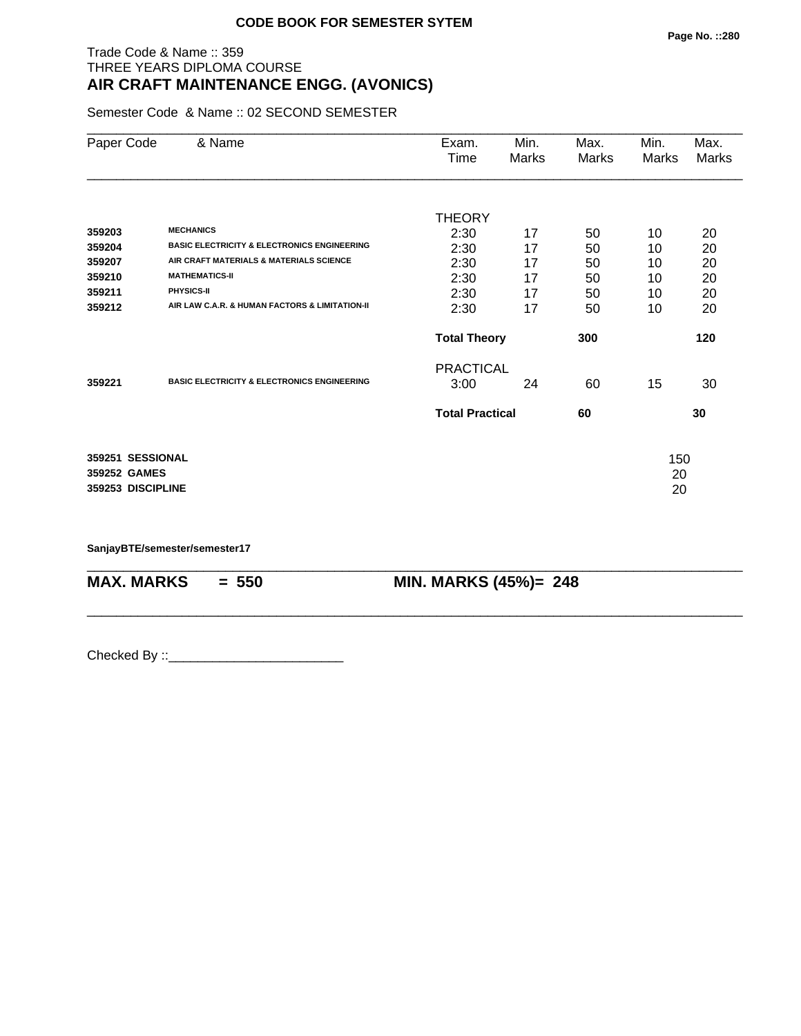## Trade Code & Name :: 359 THREE YEARS DIPLOMA COURSE **AIR CRAFT MAINTENANCE ENGG. (AVONICS)**

Semester Code & Name :: 02 SECOND SEMESTER

| Paper Code                                            | & Name                                                 | Exam.<br>Time          | Min.<br>Marks | Max.<br>Marks | Min.<br>Marks   | Max.<br>Marks |
|-------------------------------------------------------|--------------------------------------------------------|------------------------|---------------|---------------|-----------------|---------------|
|                                                       |                                                        | <b>THEORY</b>          |               |               |                 |               |
| 359203                                                | <b>MECHANICS</b>                                       | 2:30                   | 17            | 50            | 10              | 20            |
| 359204                                                | <b>BASIC ELECTRICITY &amp; ELECTRONICS ENGINEERING</b> | 2:30                   | 17            | 50            | 10              | 20            |
| 359207                                                | AIR CRAFT MATERIALS & MATERIALS SCIENCE                | 2:30                   | 17            | 50            | 10              | 20            |
| 359210                                                | <b>MATHEMATICS-II</b>                                  | 2:30                   | 17            | 50            | 10              | 20            |
| 359211                                                | PHYSICS-II                                             | 2:30                   | 17            | 50            | 10              | 20            |
| 359212                                                | AIR LAW C.A.R. & HUMAN FACTORS & LIMITATION-II         | 2:30                   | 17            | 50            | 10              | 20            |
|                                                       |                                                        | <b>Total Theory</b>    |               | 300           |                 | 120           |
|                                                       |                                                        | <b>PRACTICAL</b>       |               |               |                 |               |
| 359221                                                | <b>BASIC ELECTRICITY &amp; ELECTRONICS ENGINEERING</b> | 3:00                   | 24            | 60            | 15              | 30            |
|                                                       |                                                        | <b>Total Practical</b> |               | 60            |                 | 30            |
| 359251 SESSIONAL<br>359252 GAMES<br>359253 DISCIPLINE |                                                        |                        |               |               | 150<br>20<br>20 |               |

\_\_\_\_\_\_\_\_\_\_\_\_\_\_\_\_\_\_\_\_\_\_\_\_\_\_\_\_\_\_\_\_\_\_\_\_\_\_\_\_\_\_\_\_\_\_\_\_\_\_\_\_\_\_\_\_\_\_\_\_\_\_\_\_\_\_\_\_\_\_\_\_\_\_\_\_\_\_\_\_\_\_\_\_\_\_\_\_\_\_

\_\_\_\_\_\_\_\_\_\_\_\_\_\_\_\_\_\_\_\_\_\_\_\_\_\_\_\_\_\_\_\_\_\_\_\_\_\_\_\_\_\_\_\_\_\_\_\_\_\_\_\_\_\_\_\_\_\_\_\_\_\_\_\_\_\_\_\_\_\_\_\_\_\_\_\_\_\_\_\_\_\_\_\_\_\_\_\_\_\_

**SanjayBTE/semester/semester17**

**MAX. MARKS = 550 MIN. MARKS (45%)= 248**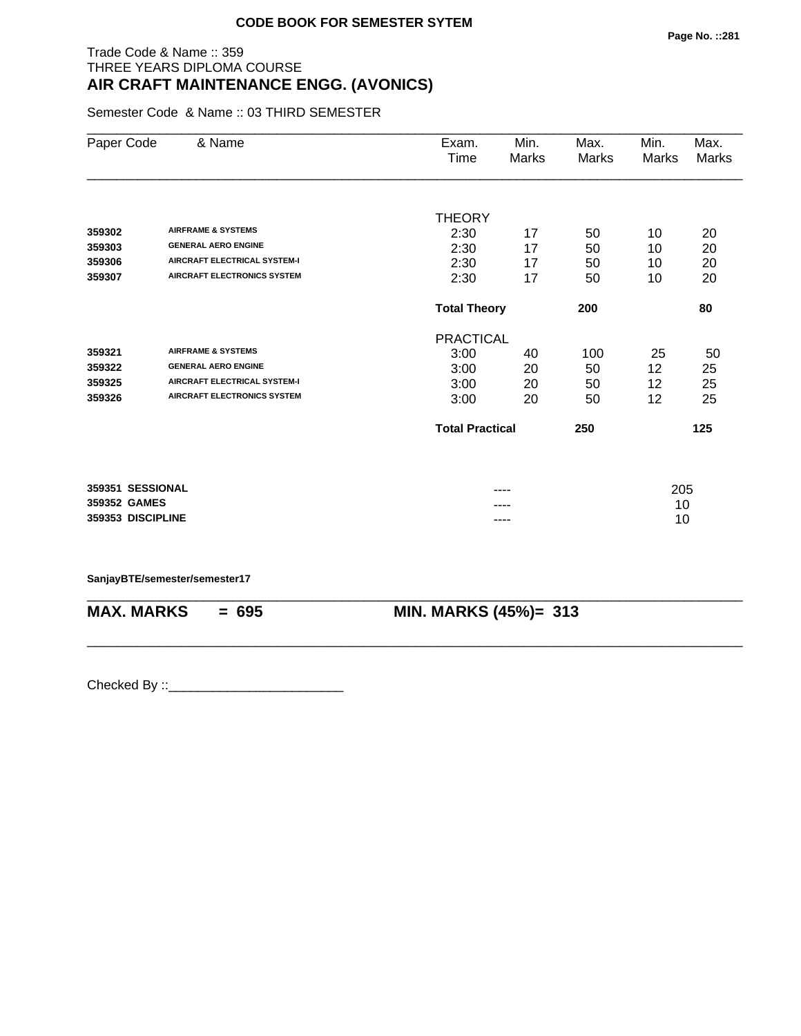## Trade Code & Name :: 359 THREE YEARS DIPLOMA COURSE **AIR CRAFT MAINTENANCE ENGG. (AVONICS)**

Semester Code & Name :: 03 THIRD SEMESTER

| Paper Code        | & Name                              | Exam.<br>Time          | Min.<br>Marks              | Max.<br>Marks | Min.<br>Marks | Max.<br>Marks |
|-------------------|-------------------------------------|------------------------|----------------------------|---------------|---------------|---------------|
|                   |                                     |                        |                            |               |               |               |
| 359302            | <b>AIRFRAME &amp; SYSTEMS</b>       | <b>THEORY</b>          |                            |               |               |               |
| 359303            | <b>GENERAL AERO ENGINE</b>          | 2:30                   | 17<br>17                   | 50            | 10            | 20            |
| 359306            | <b>AIRCRAFT ELECTRICAL SYSTEM-I</b> | 2:30<br>2:30           | 17                         | 50<br>50      | 10<br>10      | 20<br>20      |
| 359307            | <b>AIRCRAFT ELECTRONICS SYSTEM</b>  | 2:30                   | 17                         | 50            | 10            | 20            |
|                   |                                     |                        | <b>Total Theory</b><br>200 |               |               | 80            |
|                   |                                     | <b>PRACTICAL</b>       |                            |               |               |               |
| 359321            | <b>AIRFRAME &amp; SYSTEMS</b>       | 3:00                   | 40                         | 100           | 25            | 50            |
| 359322            | <b>GENERAL AERO ENGINE</b>          | 3:00                   | 20                         | 50            | 12            | 25            |
| 359325            | <b>AIRCRAFT ELECTRICAL SYSTEM-I</b> | 3:00                   | 20                         | 50            | 12            | 25            |
| 359326            | <b>AIRCRAFT ELECTRONICS SYSTEM</b>  | 3:00                   | 20                         | 50            | 12            | 25            |
|                   |                                     | <b>Total Practical</b> |                            | 250           |               | 125           |
|                   |                                     |                        |                            |               |               |               |
| 359351 SESSIONAL  |                                     |                        |                            |               | 205           |               |
| 359352 GAMES      |                                     |                        |                            |               | 10            |               |
| 359353 DISCIPLINE |                                     |                        |                            |               | 10            |               |

**SanjayBTE/semester/semester17**

| <b>MAX. MARKS</b> | 695<br>= | MIN. MARKS (45%)= 313 |
|-------------------|----------|-----------------------|

\_\_\_\_\_\_\_\_\_\_\_\_\_\_\_\_\_\_\_\_\_\_\_\_\_\_\_\_\_\_\_\_\_\_\_\_\_\_\_\_\_\_\_\_\_\_\_\_\_\_\_\_\_\_\_\_\_\_\_\_\_\_\_\_\_\_\_\_\_\_\_\_\_\_\_\_\_\_\_\_\_\_\_\_\_\_\_\_\_\_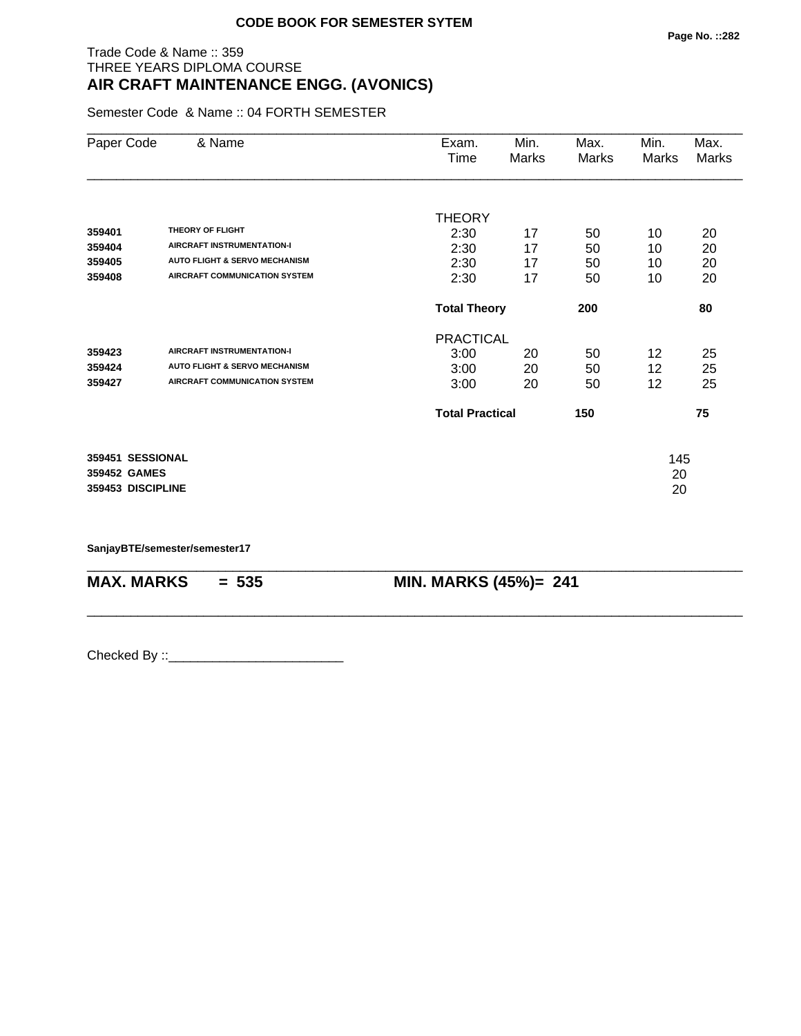## Trade Code & Name :: 359 THREE YEARS DIPLOMA COURSE **AIR CRAFT MAINTENANCE ENGG. (AVONICS)**

Semester Code & Name :: 04 FORTH SEMESTER

| Paper Code                                            | & Name                                                                                                                                    | Exam.<br>Time                                 | Min.<br><b>Marks</b> | Max.<br>Marks        | Min.<br>Marks        | Max.<br>Marks        |
|-------------------------------------------------------|-------------------------------------------------------------------------------------------------------------------------------------------|-----------------------------------------------|----------------------|----------------------|----------------------|----------------------|
| 359401<br>359404<br>359405<br>359408                  | THEORY OF FLIGHT<br><b>AIRCRAFT INSTRUMENTATION-I</b><br><b>AUTO FLIGHT &amp; SERVO MECHANISM</b><br><b>AIRCRAFT COMMUNICATION SYSTEM</b> | <b>THEORY</b><br>2:30<br>2:30<br>2:30<br>2:30 | 17<br>17<br>17<br>17 | 50<br>50<br>50<br>50 | 10<br>10<br>10<br>10 | 20<br>20<br>20<br>20 |
|                                                       |                                                                                                                                           | <b>Total Theory</b>                           |                      | 200                  |                      | 80                   |
| 359423<br>359424<br>359427                            | <b>AIRCRAFT INSTRUMENTATION-I</b><br><b>AUTO FLIGHT &amp; SERVO MECHANISM</b><br><b>AIRCRAFT COMMUNICATION SYSTEM</b>                     | <b>PRACTICAL</b><br>3:00<br>3:00<br>3:00      | 20<br>20<br>20       | 50<br>50<br>50       | 12<br>12<br>12       | 25<br>25<br>25       |
|                                                       |                                                                                                                                           | <b>Total Practical</b>                        |                      | 150                  |                      | 75                   |
| 359451 SESSIONAL<br>359452 GAMES<br>359453 DISCIPLINE |                                                                                                                                           |                                               |                      |                      | 145<br>20<br>20      |                      |

\_\_\_\_\_\_\_\_\_\_\_\_\_\_\_\_\_\_\_\_\_\_\_\_\_\_\_\_\_\_\_\_\_\_\_\_\_\_\_\_\_\_\_\_\_\_\_\_\_\_\_\_\_\_\_\_\_\_\_\_\_\_\_\_\_\_\_\_\_\_\_\_\_\_\_\_\_\_\_\_\_\_\_\_\_\_\_\_\_\_

\_\_\_\_\_\_\_\_\_\_\_\_\_\_\_\_\_\_\_\_\_\_\_\_\_\_\_\_\_\_\_\_\_\_\_\_\_\_\_\_\_\_\_\_\_\_\_\_\_\_\_\_\_\_\_\_\_\_\_\_\_\_\_\_\_\_\_\_\_\_\_\_\_\_\_\_\_\_\_\_\_\_\_\_\_\_\_\_\_\_

**SanjayBTE/semester/semester17**

**MAX. MARKS = 535 MIN. MARKS (45%)= 241**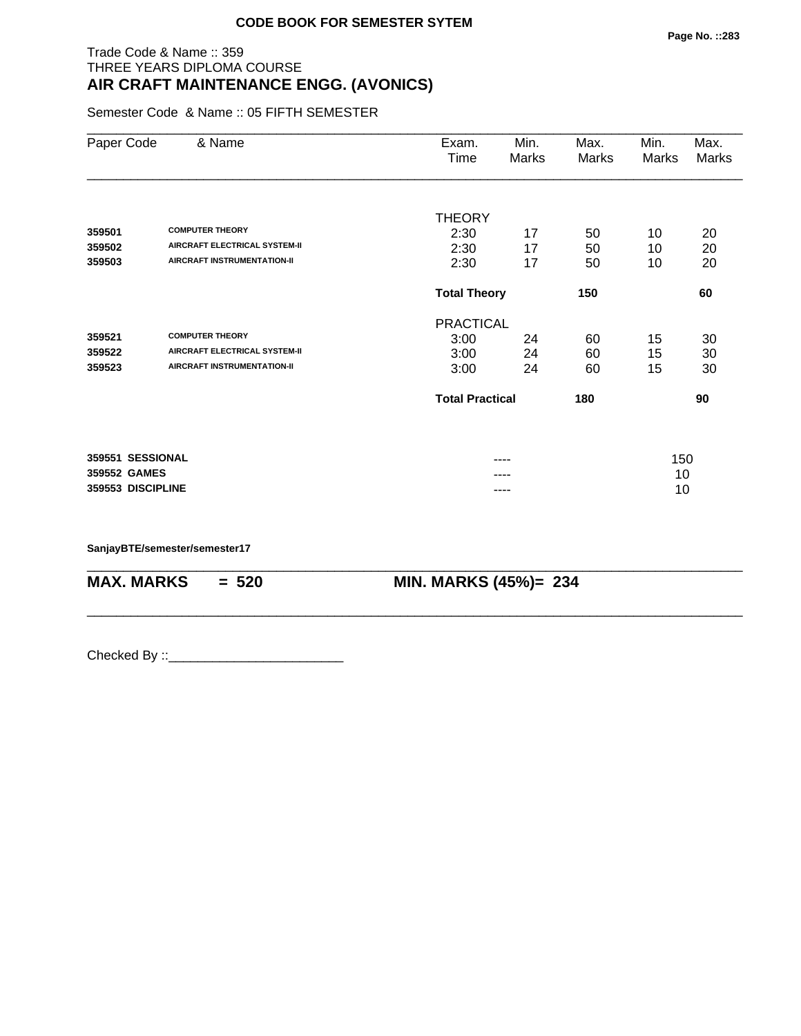## Trade Code & Name :: 359 THREE YEARS DIPLOMA COURSE **AIR CRAFT MAINTENANCE ENGG. (AVONICS)**

Semester Code & Name :: 05 FIFTH SEMESTER

| Paper Code        | & Name                               | Exam.<br>Time          | Min.<br>Marks | Max.<br>Marks | Min.<br>Marks | Max.<br>Marks |
|-------------------|--------------------------------------|------------------------|---------------|---------------|---------------|---------------|
|                   | <b>COMPUTER THEORY</b>               | <b>THEORY</b>          |               |               |               |               |
| 359501            | <b>AIRCRAFT ELECTRICAL SYSTEM-II</b> | 2:30                   | 17            | 50            | 10            | 20            |
| 359502<br>359503  | <b>AIRCRAFT INSTRUMENTATION-II</b>   | 2:30<br>2:30           | 17<br>17      | 50<br>50      | 10<br>10      | 20<br>20      |
|                   |                                      | <b>Total Theory</b>    |               | 150           |               | 60            |
|                   |                                      | <b>PRACTICAL</b>       |               |               |               |               |
| 359521            | <b>COMPUTER THEORY</b>               | 3:00                   | 24            | 60            | 15            | 30            |
| 359522            | <b>AIRCRAFT ELECTRICAL SYSTEM-II</b> | 3:00                   | 24            | 60            | 15            | 30            |
| 359523            | <b>AIRCRAFT INSTRUMENTATION-II</b>   | 3:00                   | 24            | 60            | 15            | 30            |
|                   |                                      | <b>Total Practical</b> |               | 180           |               | 90            |
| 359551 SESSIONAL  |                                      |                        |               |               |               |               |
| 359552 GAMES      |                                      |                        | ----          |               | 150<br>10     |               |
| 359553 DISCIPLINE |                                      |                        |               |               | 10            |               |
|                   |                                      |                        |               |               |               |               |

\_\_\_\_\_\_\_\_\_\_\_\_\_\_\_\_\_\_\_\_\_\_\_\_\_\_\_\_\_\_\_\_\_\_\_\_\_\_\_\_\_\_\_\_\_\_\_\_\_\_\_\_\_\_\_\_\_\_\_\_\_\_\_\_\_\_\_\_\_\_\_\_\_\_\_\_\_\_\_\_\_\_\_\_\_\_\_\_\_\_

\_\_\_\_\_\_\_\_\_\_\_\_\_\_\_\_\_\_\_\_\_\_\_\_\_\_\_\_\_\_\_\_\_\_\_\_\_\_\_\_\_\_\_\_\_\_\_\_\_\_\_\_\_\_\_\_\_\_\_\_\_\_\_\_\_\_\_\_\_\_\_\_\_\_\_\_\_\_\_\_\_\_\_\_\_\_\_\_\_\_

**SanjayBTE/semester/semester17**

**MAX. MARKS = 520 MIN. MARKS (45%)= 234**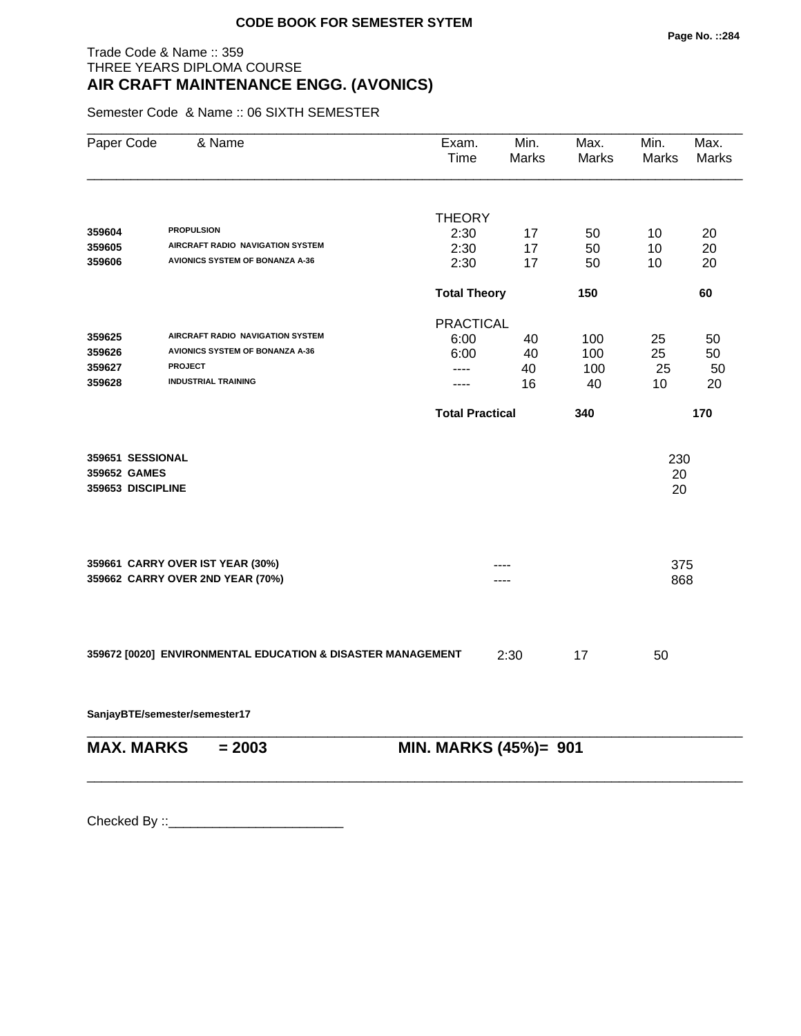## Trade Code & Name :: 359 THREE YEARS DIPLOMA COURSE **AIR CRAFT MAINTENANCE ENGG. (AVONICS)**

Semester Code & Name :: 06 SIXTH SEMESTER

| Paper Code                       | & Name                                                      | Exam.<br>Time          | Min.<br>Marks    | Max.<br>Marks | Min.<br>Marks | Max.<br><b>Marks</b> |
|----------------------------------|-------------------------------------------------------------|------------------------|------------------|---------------|---------------|----------------------|
|                                  |                                                             |                        |                  |               |               |                      |
| 359604                           | <b>PROPULSION</b>                                           | <b>THEORY</b>          |                  |               |               |                      |
| 359605                           | AIRCRAFT RADIO NAVIGATION SYSTEM                            | 2:30<br>2:30           | 17<br>17         | 50<br>50      | 10<br>10      | 20<br>20             |
| 359606                           | <b>AVIONICS SYSTEM OF BONANZA A-36</b>                      | 2:30                   | 17               | 50            | 10            | 20                   |
|                                  |                                                             | <b>Total Theory</b>    |                  | 150           |               | 60                   |
|                                  |                                                             |                        | <b>PRACTICAL</b> |               |               |                      |
| 359625                           | AIRCRAFT RADIO NAVIGATION SYSTEM                            | 6:00                   | 40               | 100           | 25            | 50                   |
| 359626                           | <b>AVIONICS SYSTEM OF BONANZA A-36</b>                      | 6:00                   | 40               | 100           | 25            | 50                   |
| 359627                           | <b>PROJECT</b>                                              | ----                   | 40               | 100           | 25            | 50                   |
| 359628                           | <b>INDUSTRIAL TRAINING</b>                                  | ----                   | 16               | 40            | 10            | 20                   |
|                                  |                                                             | <b>Total Practical</b> |                  | 340           |               | 170                  |
| 359651 SESSIONAL                 |                                                             |                        |                  |               | 230           |                      |
| 359652 GAMES                     |                                                             |                        |                  |               | 20            |                      |
| 359653 DISCIPLINE                |                                                             |                        |                  |               | 20            |                      |
|                                  | 359661 CARRY OVER IST YEAR (30%)                            |                        |                  |               | 375           |                      |
| 359662 CARRY OVER 2ND YEAR (70%) |                                                             |                        |                  |               | 868           |                      |
|                                  |                                                             |                        |                  |               |               |                      |
|                                  | 359672 [0020] ENVIRONMENTAL EDUCATION & DISASTER MANAGEMENT |                        | 2:30             | 17            | 50            |                      |
|                                  | SanjayBTE/semester/semester17                               |                        |                  |               |               |                      |
| <b>MAX. MARKS</b>                | $= 2003$                                                    | MIN. MARKS (45%)= 901  |                  |               |               |                      |
|                                  |                                                             |                        |                  |               |               |                      |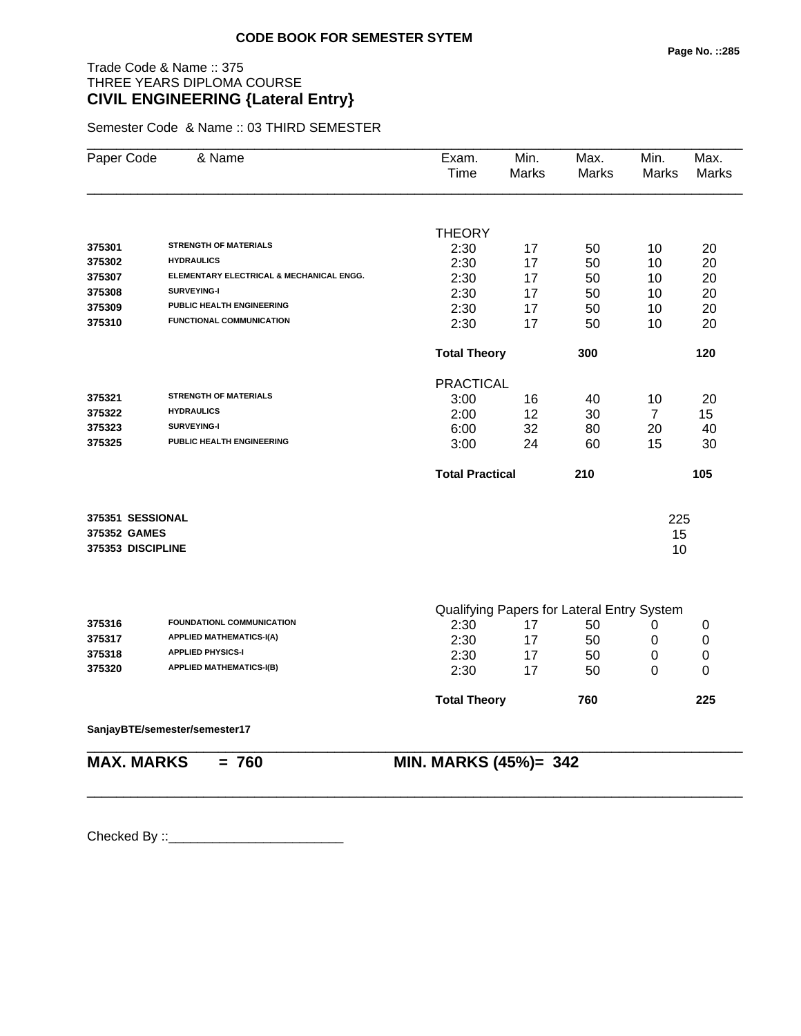# Trade Code & Name :: 375 THREE YEARS DIPLOMA COURSE **CIVIL ENGINEERING {Lateral Entry}**

Semester Code & Name :: 03 THIRD SEMESTER

| Paper Code        | & Name                                   | Exam.<br>Time                              | Min.<br>Marks | Max.<br>Marks | Min.<br>Marks  | Max.<br><b>Marks</b> |
|-------------------|------------------------------------------|--------------------------------------------|---------------|---------------|----------------|----------------------|
|                   |                                          |                                            |               |               |                |                      |
|                   |                                          | <b>THEORY</b>                              |               |               |                |                      |
| 375301            | <b>STRENGTH OF MATERIALS</b>             | 2:30                                       | 17            | 50            | 10             | 20                   |
| 375302            | <b>HYDRAULICS</b>                        | 2:30                                       | 17            | 50            | 10             | 20                   |
| 375307            | ELEMENTARY ELECTRICAL & MECHANICAL ENGG. | 2:30                                       | 17            | 50            | 10             | 20                   |
| 375308            | <b>SURVEYING-I</b>                       | 2:30                                       | 17            | 50            | 10             | 20                   |
| 375309            | PUBLIC HEALTH ENGINEERING                | 2:30                                       | 17            | 50            | 10             | 20                   |
| 375310            | <b>FUNCTIONAL COMMUNICATION</b>          | 2:30                                       | 17            | 50            | 10             | 20                   |
|                   |                                          | <b>Total Theory</b>                        |               | 300           |                | 120                  |
|                   |                                          | <b>PRACTICAL</b>                           |               |               |                |                      |
| 375321            | <b>STRENGTH OF MATERIALS</b>             | 3:00                                       | 16            | 40            | 10             | 20                   |
| 375322            | <b>HYDRAULICS</b>                        | 2:00                                       | 12            | 30            | $\overline{7}$ | 15                   |
| 375323            | <b>SURVEYING-I</b>                       | 6:00                                       | 32            | 80            | 20             | 40                   |
| 375325            | PUBLIC HEALTH ENGINEERING                | 3:00                                       | 24            | 60            | 15             | 30                   |
|                   |                                          | <b>Total Practical</b>                     |               | 210           |                | 105                  |
| 375351 SESSIONAL  |                                          |                                            |               |               | 225            |                      |
| 375352 GAMES      |                                          |                                            |               |               |                |                      |
| 375353 DISCIPLINE |                                          |                                            |               |               | 15<br>10       |                      |
|                   |                                          |                                            |               |               |                |                      |
|                   |                                          | Qualifying Papers for Lateral Entry System |               |               |                |                      |
| 375316            | FOUNDATIONL COMMUNICATION                | 2:30                                       | 17            | 50            | 0              | 0                    |
| 375317            | <b>APPLIED MATHEMATICS-I(A)</b>          | 2:30                                       | 17            | 50            | 0              | $\mathbf 0$          |
| 375318            | <b>APPLIED PHYSICS-I</b>                 | 2:30                                       | 17            | 50            | $\mathbf 0$    | $\mathbf 0$          |
| 375320            | <b>APPLIED MATHEMATICS-I(B)</b>          | 2:30                                       | 17            | 50            | 0              | 0                    |
|                   |                                          | <b>Total Theory</b>                        |               | 760           |                | 225                  |
|                   | SanjayBTE/semester/semester17            |                                            |               |               |                |                      |

\_\_\_\_\_\_\_\_\_\_\_\_\_\_\_\_\_\_\_\_\_\_\_\_\_\_\_\_\_\_\_\_\_\_\_\_\_\_\_\_\_\_\_\_\_\_\_\_\_\_\_\_\_\_\_\_\_\_\_\_\_\_\_\_\_\_\_\_\_\_\_\_\_\_\_\_\_\_\_\_\_\_\_\_\_\_\_\_\_\_

**MAX. MARKS = 760 MIN. MARKS (45%)= 342**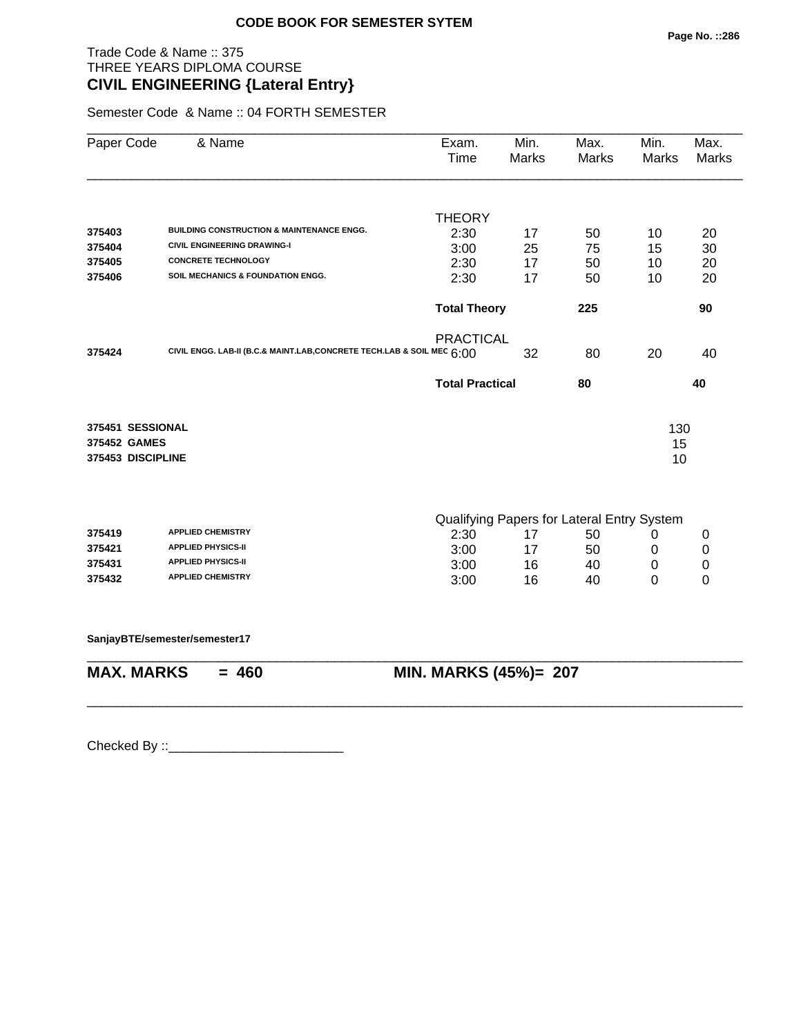# Trade Code & Name :: 375 THREE YEARS DIPLOMA COURSE **CIVIL ENGINEERING {Lateral Entry}**

Semester Code & Name :: 04 FORTH SEMESTER

| Paper Code        | & Name                                                                 | Exam.<br>Time                              | Min.<br><b>Marks</b> | Max.<br>Marks | Min.<br>Marks | Max.<br><b>Marks</b> |  |
|-------------------|------------------------------------------------------------------------|--------------------------------------------|----------------------|---------------|---------------|----------------------|--|
|                   |                                                                        | <b>THEORY</b>                              |                      |               |               |                      |  |
| 375403            | <b>BUILDING CONSTRUCTION &amp; MAINTENANCE ENGG.</b>                   | 2:30                                       | 17                   | 50            | 10            | 20                   |  |
| 375404            | <b>CIVIL ENGINEERING DRAWING-I</b>                                     | 3:00                                       | 25                   | 75            | 15            | 30                   |  |
| 375405            | <b>CONCRETE TECHNOLOGY</b>                                             | 2:30                                       | 17                   | 50            | 10            | 20                   |  |
| 375406            | <b>SOIL MECHANICS &amp; FOUNDATION ENGG.</b>                           | 2:30                                       | 17                   | 50            | 10            | 20                   |  |
|                   |                                                                        | <b>Total Theory</b>                        |                      | 225           |               | 90                   |  |
|                   |                                                                        | <b>PRACTICAL</b>                           |                      |               |               |                      |  |
| 375424            | CIVIL ENGG. LAB-II (B.C.& MAINT.LAB, CONCRETE TECH.LAB & SOIL MEC 6:00 |                                            | 32                   | 80            | 20            | 40                   |  |
|                   |                                                                        | <b>Total Practical</b>                     |                      | 80            |               | 40                   |  |
| 375451 SESSIONAL  |                                                                        |                                            |                      |               | 130           |                      |  |
| 375452 GAMES      |                                                                        |                                            |                      |               | 15            |                      |  |
| 375453 DISCIPLINE |                                                                        |                                            |                      |               | 10            |                      |  |
|                   |                                                                        | Qualifying Papers for Lateral Entry System |                      |               |               |                      |  |
| 375419            | <b>APPLIED CHEMISTRY</b>                                               | 2:30<br>17                                 |                      | 50            | 0<br>0        |                      |  |
| 375421            | <b>APPLIED PHYSICS-II</b>                                              | 3:00                                       | 17                   | 50            | 0             | $\boldsymbol{0}$     |  |
| 375431            | <b>APPLIED PHYSICS-II</b>                                              | 3:00                                       | 16                   | 40            | 0             | 0                    |  |
| 375432            | <b>APPLIED CHEMISTRY</b>                                               | 3:00                                       | 16                   | 40            | 0             | 0                    |  |
|                   | SanjayBTE/semester/semester17                                          |                                            |                      |               |               |                      |  |
| <b>MAX. MARKS</b> | $= 460$                                                                | MIN. MARKS (45%)= 207                      |                      |               |               |                      |  |

\_\_\_\_\_\_\_\_\_\_\_\_\_\_\_\_\_\_\_\_\_\_\_\_\_\_\_\_\_\_\_\_\_\_\_\_\_\_\_\_\_\_\_\_\_\_\_\_\_\_\_\_\_\_\_\_\_\_\_\_\_\_\_\_\_\_\_\_\_\_\_\_\_\_\_\_\_\_\_\_\_\_\_\_\_\_\_\_\_\_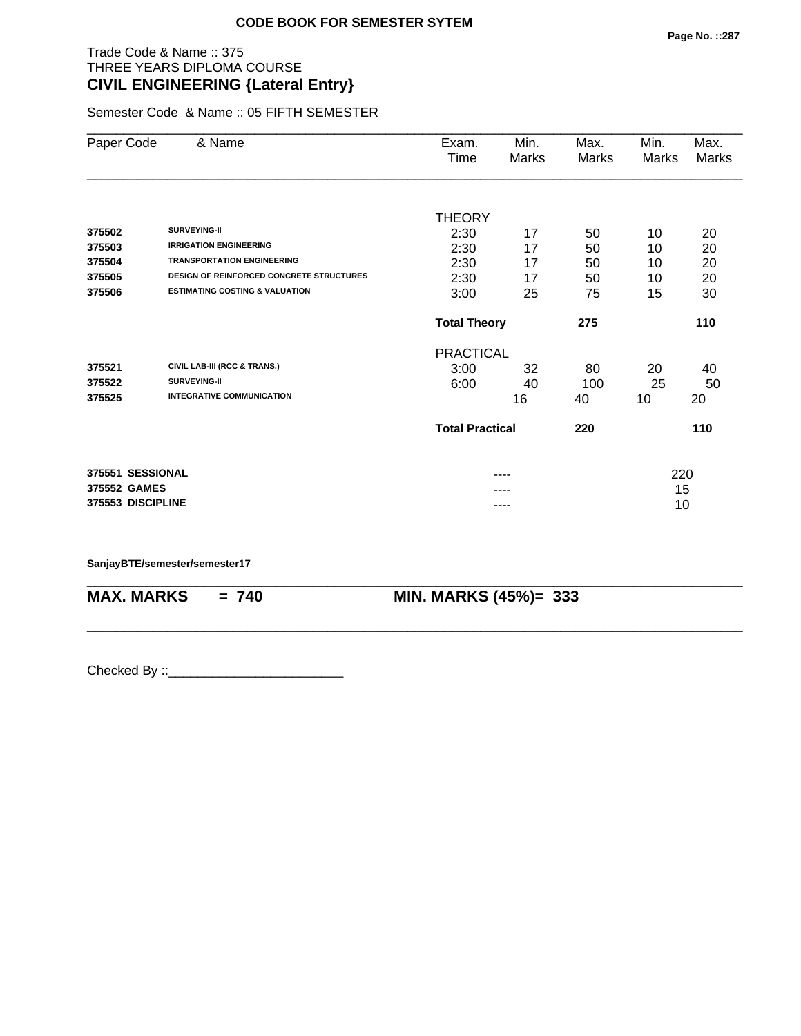## Trade Code & Name :: 375 THREE YEARS DIPLOMA COURSE **CIVIL ENGINEERING {Lateral Entry}**

Semester Code & Name :: 05 FIFTH SEMESTER

| Paper Code        | & Name                                          | Exam.                      | Min.  | Max.<br>Marks | Min.      | Max.<br>Marks |  |
|-------------------|-------------------------------------------------|----------------------------|-------|---------------|-----------|---------------|--|
|                   |                                                 | Time                       | Marks |               | Marks     |               |  |
|                   |                                                 |                            |       |               |           |               |  |
|                   |                                                 | <b>THEORY</b>              |       |               |           |               |  |
| 375502            | <b>SURVEYING-II</b>                             | 2:30                       | 17    | 50            | 10        | 20            |  |
| 375503            | <b>IRRIGATION ENGINEERING</b>                   | 2:30                       | 17    | 50            | 10        | 20            |  |
| 375504            | <b>TRANSPORTATION ENGINEERING</b>               | 2:30                       | 17    | 50            | 10        | 20            |  |
| 375505            | <b>DESIGN OF REINFORCED CONCRETE STRUCTURES</b> | 2:30                       | 17    | 50            | 10        | 20            |  |
| 375506            | <b>ESTIMATING COSTING &amp; VALUATION</b>       | 3:00                       | 25    | 75            | 15        | 30            |  |
|                   |                                                 | <b>Total Theory</b><br>275 |       |               |           | 110           |  |
|                   |                                                 | <b>PRACTICAL</b>           |       |               |           |               |  |
| 375521            | CIVIL LAB-III (RCC & TRANS.)                    | 3:00                       | 32    | 80            | 20        | 40            |  |
| 375522            | <b>SURVEYING-II</b>                             | 6:00                       | 40    | 100           | 25        | 50            |  |
| 375525            | <b>INTEGRATIVE COMMUNICATION</b>                |                            | 16    | 40            | 10        | 20            |  |
|                   |                                                 | <b>Total Practical</b>     |       | 220           |           | 110           |  |
| 375551 SESSIONAL  |                                                 |                            |       |               |           |               |  |
| 375552 GAMES      |                                                 |                            |       |               | 220<br>15 |               |  |
| 375553 DISCIPLINE |                                                 |                            |       |               |           |               |  |
|                   |                                                 | ----                       |       |               | 10        |               |  |

\_\_\_\_\_\_\_\_\_\_\_\_\_\_\_\_\_\_\_\_\_\_\_\_\_\_\_\_\_\_\_\_\_\_\_\_\_\_\_\_\_\_\_\_\_\_\_\_\_\_\_\_\_\_\_\_\_\_\_\_\_\_\_\_\_\_\_\_\_\_\_\_\_\_\_\_\_\_\_\_\_\_\_\_\_\_\_\_\_\_

\_\_\_\_\_\_\_\_\_\_\_\_\_\_\_\_\_\_\_\_\_\_\_\_\_\_\_\_\_\_\_\_\_\_\_\_\_\_\_\_\_\_\_\_\_\_\_\_\_\_\_\_\_\_\_\_\_\_\_\_\_\_\_\_\_\_\_\_\_\_\_\_\_\_\_\_\_\_\_\_\_\_\_\_\_\_\_\_\_\_

#### **SanjayBTE/semester/semester17**

**MAX. MARKS = 740 MIN. MARKS (45%)= 333**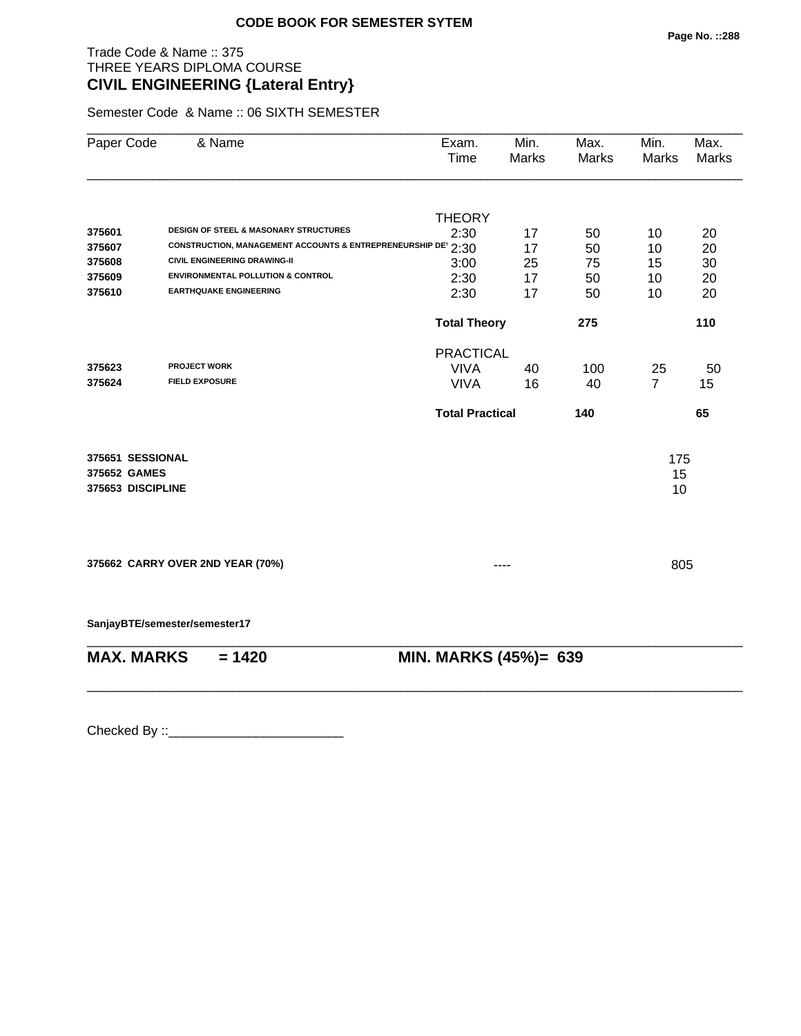# Trade Code & Name :: 375 THREE YEARS DIPLOMA COURSE **CIVIL ENGINEERING {Lateral Entry}**

Semester Code & Name :: 06 SIXTH SEMESTER

| Paper Code                       | & Name                                                       | Exam.<br>Time          | Min.<br>Marks | Max.<br>Marks | Min.<br>Marks  | Max.<br><b>Marks</b> |  |
|----------------------------------|--------------------------------------------------------------|------------------------|---------------|---------------|----------------|----------------------|--|
|                                  |                                                              | <b>THEORY</b>          |               |               |                |                      |  |
| 375601                           | <b>DESIGN OF STEEL &amp; MASONARY STRUCTURES</b>             | 2:30                   | 17            | 50            | 10             | 20                   |  |
| 375607                           | CONSTRUCTION, MANAGEMENT ACCOUNTS & ENTREPRENEURSHIP DE 2:30 |                        | 17            | 50            | 10             | 20                   |  |
| 375608                           | <b>CIVIL ENGINEERING DRAWING-II</b>                          | 3:00                   | 25            | 75            | 15             | 30                   |  |
| 375609                           | <b>ENVIRONMENTAL POLLUTION &amp; CONTROL</b>                 | 2:30                   | 17            | 50            | 10             | 20                   |  |
| 375610                           | <b>EARTHQUAKE ENGINEERING</b>                                | 2:30                   | 17            | 50            | 10             | 20                   |  |
|                                  |                                                              | <b>Total Theory</b>    |               | 275           |                | 110                  |  |
|                                  |                                                              | <b>PRACTICAL</b>       |               |               |                |                      |  |
| 375623                           | <b>PROJECT WORK</b>                                          | <b>VIVA</b>            | 40            | 100           | 25             | 50                   |  |
| 375624                           | <b>FIELD EXPOSURE</b>                                        | <b>VIVA</b>            | 16            | 40            | $\overline{7}$ | 15                   |  |
|                                  |                                                              | <b>Total Practical</b> |               | 140           |                | 65                   |  |
| 375651 SESSIONAL                 |                                                              |                        |               |               | 175            |                      |  |
| 375652 GAMES                     |                                                              |                        |               |               | 15             |                      |  |
| 375653 DISCIPLINE                |                                                              |                        |               |               |                | 10                   |  |
|                                  |                                                              |                        |               |               |                |                      |  |
|                                  |                                                              |                        |               |               |                |                      |  |
| 375662 CARRY OVER 2ND YEAR (70%) |                                                              |                        |               |               | 805            |                      |  |
|                                  | SanjayBTE/semester/semester17                                |                        |               |               |                |                      |  |
| <b>MAX. MARKS</b>                | $= 1420$                                                     | MIN. MARKS (45%)= 639  |               |               |                |                      |  |
|                                  |                                                              |                        |               |               |                |                      |  |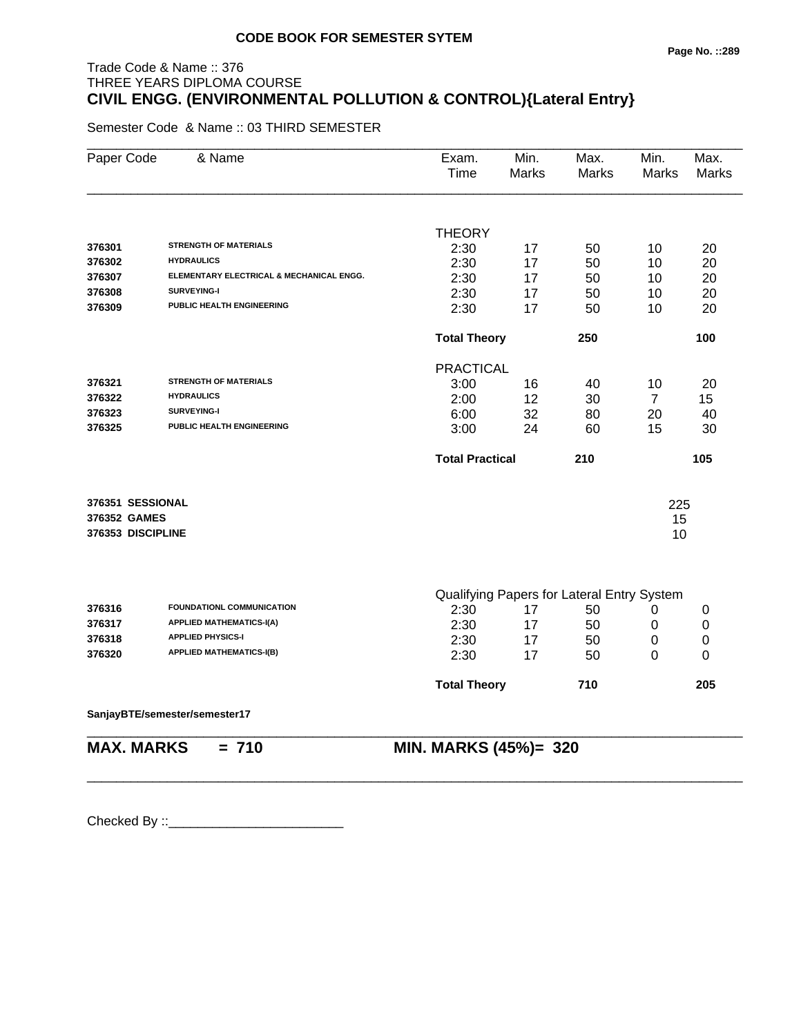# Trade Code & Name :: 376 THREE YEARS DIPLOMA COURSE **CIVIL ENGG. (ENVIRONMENTAL POLLUTION & CONTROL){Lateral Entry}**

Semester Code & Name :: 03 THIRD SEMESTER

| Paper Code        | & Name                                   | Exam.<br>Time          | Min.<br><b>Marks</b> | Max.<br><b>Marks</b>                       | Min.<br><b>Marks</b> | Max.<br><b>Marks</b> |
|-------------------|------------------------------------------|------------------------|----------------------|--------------------------------------------|----------------------|----------------------|
|                   |                                          |                        |                      |                                            |                      |                      |
| 376301            | <b>STRENGTH OF MATERIALS</b>             | THEORY                 |                      |                                            |                      |                      |
| 376302            | <b>HYDRAULICS</b>                        | 2:30<br>2:30           | 17                   | 50                                         | 10                   | 20                   |
| 376307            | ELEMENTARY ELECTRICAL & MECHANICAL ENGG. | 2:30                   | 17                   | 50                                         | 10                   | 20                   |
| 376308            | <b>SURVEYING-I</b>                       | 2:30                   | 17<br>17             | 50                                         | 10                   | 20<br>20             |
| 376309            | PUBLIC HEALTH ENGINEERING                | 2:30                   | 17                   | 50<br>50                                   | 10<br>10             | 20                   |
|                   |                                          | <b>Total Theory</b>    |                      | 250                                        |                      | 100                  |
|                   |                                          | <b>PRACTICAL</b>       |                      |                                            |                      |                      |
| 376321            | <b>STRENGTH OF MATERIALS</b>             | 3:00                   | 16                   | 40                                         | 10                   | 20                   |
| 376322            | <b>HYDRAULICS</b>                        | 2:00                   | 12                   | 30                                         | $\overline{7}$       | 15                   |
| 376323            | <b>SURVEYING-I</b>                       | 6:00                   | 32                   | 80                                         | 20                   | 40                   |
| 376325            | PUBLIC HEALTH ENGINEERING                | 3:00                   | 24                   | 60                                         | 15                   | 30                   |
|                   |                                          | <b>Total Practical</b> |                      | 210                                        |                      | 105                  |
| 376351 SESSIONAL  |                                          |                        |                      |                                            |                      |                      |
| 376352 GAMES      |                                          |                        |                      |                                            | 225<br>15            |                      |
| 376353 DISCIPLINE |                                          |                        |                      |                                            | 10                   |                      |
|                   |                                          |                        |                      |                                            |                      |                      |
|                   |                                          |                        |                      | Qualifying Papers for Lateral Entry System |                      |                      |
| 376316            | <b>FOUNDATIONL COMMUNICATION</b>         | 2:30                   | 17                   | 50                                         | 0                    | 0                    |
| 376317            | <b>APPLIED MATHEMATICS-I(A)</b>          | 2:30                   | 17                   | 50                                         | 0                    | $\mathbf 0$          |
| 376318            | <b>APPLIED PHYSICS-I</b>                 | 2:30                   | 17                   | 50                                         | 0                    | 0                    |
| 376320            | <b>APPLIED MATHEMATICS-I(B)</b>          | 2:30                   | 17                   | 50                                         | 0                    | 0                    |
|                   |                                          | <b>Total Theory</b>    |                      | 710                                        |                      | 205                  |
|                   | SanjayBTE/semester/semester17            |                        |                      |                                            |                      |                      |
| <b>MAX. MARKS</b> | $= 710$                                  | MIN. MARKS (45%)= 320  |                      |                                            |                      |                      |

\_\_\_\_\_\_\_\_\_\_\_\_\_\_\_\_\_\_\_\_\_\_\_\_\_\_\_\_\_\_\_\_\_\_\_\_\_\_\_\_\_\_\_\_\_\_\_\_\_\_\_\_\_\_\_\_\_\_\_\_\_\_\_\_\_\_\_\_\_\_\_\_\_\_\_\_\_\_\_\_\_\_\_\_\_\_\_\_\_\_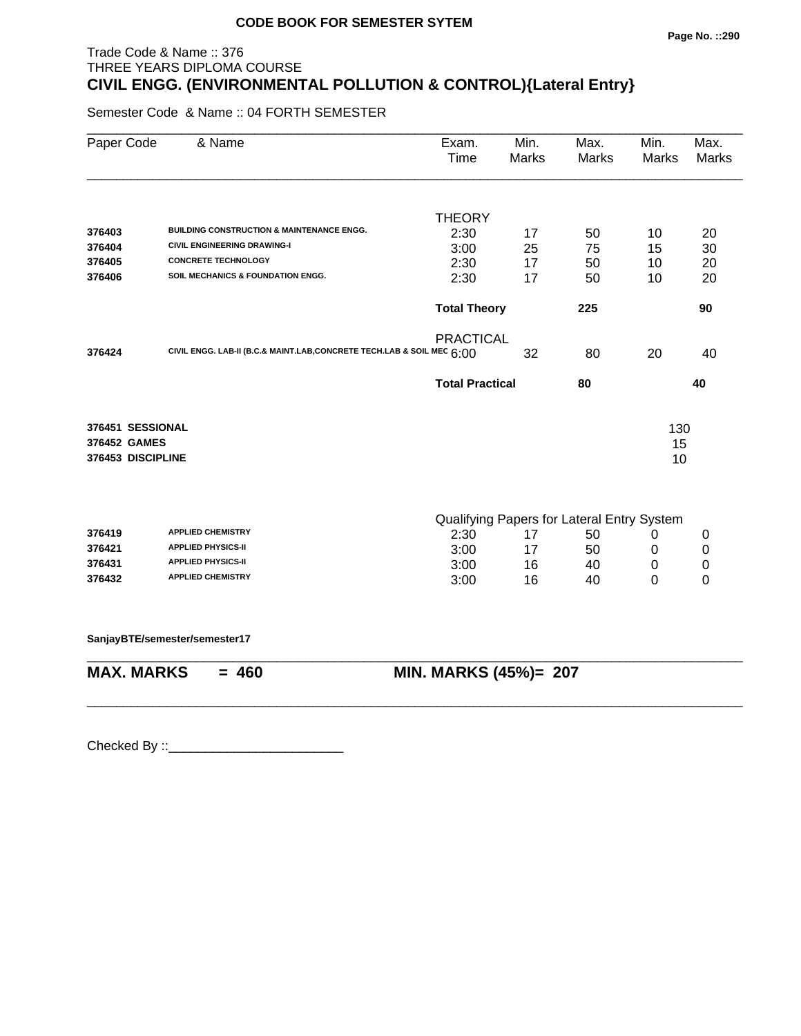#### **Page No. ::290**

# Trade Code & Name :: 376 THREE YEARS DIPLOMA COURSE **CIVIL ENGG. (ENVIRONMENTAL POLLUTION & CONTROL){Lateral Entry}**

Semester Code & Name :: 04 FORTH SEMESTER

| Paper Code        | & Name                                                                 | Exam.<br>Time          | Min.<br><b>Marks</b> | Max.<br>Marks                              | Min.<br><b>Marks</b> | Max.<br>Marks |
|-------------------|------------------------------------------------------------------------|------------------------|----------------------|--------------------------------------------|----------------------|---------------|
|                   |                                                                        | <b>THEORY</b>          |                      |                                            |                      |               |
| 376403            | <b>BUILDING CONSTRUCTION &amp; MAINTENANCE ENGG.</b>                   | 2:30                   | 17                   | 50                                         | 10                   | 20            |
| 376404            | <b>CIVIL ENGINEERING DRAWING-I</b>                                     | 3:00                   | 25                   | 75                                         | 15                   | 30            |
| 376405            | <b>CONCRETE TECHNOLOGY</b>                                             | 2:30                   | 17                   | 50                                         | 10                   | 20            |
| 376406            | SOIL MECHANICS & FOUNDATION ENGG.                                      | 2:30                   | 17                   | 50                                         | 10                   | 20            |
|                   |                                                                        | <b>Total Theory</b>    |                      | 225                                        |                      | 90            |
|                   |                                                                        | <b>PRACTICAL</b>       |                      |                                            |                      |               |
| 376424            | CIVIL ENGG. LAB-II (B.C.& MAINT.LAB, CONCRETE TECH.LAB & SOIL MEC 6:00 |                        | 32                   | 80                                         | 20                   | 40            |
|                   |                                                                        | <b>Total Practical</b> |                      | 80                                         |                      | 40            |
| 376451 SESSIONAL  |                                                                        |                        |                      |                                            | 130                  |               |
| 376452 GAMES      |                                                                        |                        |                      |                                            | 15                   |               |
| 376453 DISCIPLINE |                                                                        |                        |                      |                                            | 10                   |               |
|                   |                                                                        |                        |                      | Qualifying Papers for Lateral Entry System |                      |               |
| 376419            | <b>APPLIED CHEMISTRY</b>                                               | 2:30                   | 17                   | 50                                         | 0                    | 0             |
| 376421            | <b>APPLIED PHYSICS-II</b>                                              | 3:00                   | 17                   | 50                                         | 0                    | $\pmb{0}$     |
| 376431            | <b>APPLIED PHYSICS-II</b>                                              | 3:00                   | 16                   | 40                                         | $\pmb{0}$            | $\mathbf 0$   |
| 376432            | <b>APPLIED CHEMISTRY</b>                                               | 3:00                   | 16                   | 40                                         | $\Omega$             | $\mathbf 0$   |
|                   | SanjayBTE/semester/semester17                                          |                        |                      |                                            |                      |               |
| <b>MAX. MARKS</b> | $= 460$                                                                | MIN. MARKS (45%)= 207  |                      |                                            |                      |               |

\_\_\_\_\_\_\_\_\_\_\_\_\_\_\_\_\_\_\_\_\_\_\_\_\_\_\_\_\_\_\_\_\_\_\_\_\_\_\_\_\_\_\_\_\_\_\_\_\_\_\_\_\_\_\_\_\_\_\_\_\_\_\_\_\_\_\_\_\_\_\_\_\_\_\_\_\_\_\_\_\_\_\_\_\_\_\_\_\_\_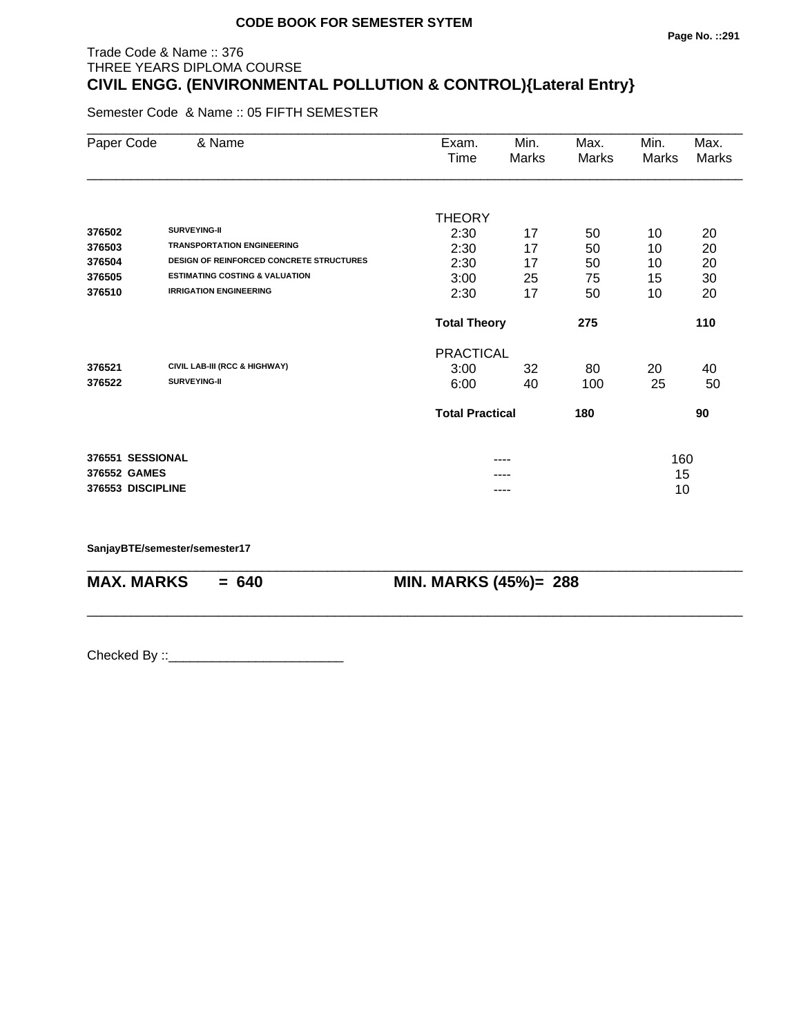#### Trade Code & Name :: 376 THREE YEARS DIPLOMA COURSE **CIVIL ENGG. (ENVIRONMENTAL POLLUTION & CONTROL){Lateral Entry}**

Semester Code & Name :: 05 FIFTH SEMESTER

| Paper Code        |  | & Name                                          | Exam.                  | Min.  | Max.  | Min.  | Max.  |
|-------------------|--|-------------------------------------------------|------------------------|-------|-------|-------|-------|
|                   |  |                                                 | Time                   | Marks | Marks | Marks | Marks |
|                   |  |                                                 |                        |       |       |       |       |
|                   |  |                                                 | <b>THEORY</b>          |       |       |       |       |
| 376502            |  | <b>SURVEYING-II</b>                             | 2:30                   | 17    | 50    | 10    | 20    |
| 376503            |  | <b>TRANSPORTATION ENGINEERING</b>               | 2:30                   | 17    | 50    | 10    | 20    |
| 376504            |  | <b>DESIGN OF REINFORCED CONCRETE STRUCTURES</b> | 2:30                   | 17    | 50    | 10    | 20    |
| 376505            |  | <b>ESTIMATING COSTING &amp; VALUATION</b>       | 3:00                   | 25    | 75    | 15    | 30    |
| 376510            |  | <b>IRRIGATION ENGINEERING</b>                   | 2:30                   | 17    | 50    | 10    | 20    |
|                   |  |                                                 | <b>Total Theory</b>    |       | 275   |       | 110   |
|                   |  |                                                 | <b>PRACTICAL</b>       |       |       |       |       |
| 376521            |  | CIVIL LAB-III (RCC & HIGHWAY)                   | 3:00                   | 32    | 80    | 20    | 40    |
| 376522            |  | <b>SURVEYING-II</b>                             | 6:00                   | 40    | 100   | 25    | 50    |
|                   |  |                                                 | <b>Total Practical</b> |       | 180   |       | 90    |
| 376551 SESSIONAL  |  |                                                 |                        | ----  |       | 160   |       |
| 376552 GAMES      |  |                                                 |                        |       |       | 15    |       |
| 376553 DISCIPLINE |  |                                                 |                        |       |       | 10    |       |

\_\_\_\_\_\_\_\_\_\_\_\_\_\_\_\_\_\_\_\_\_\_\_\_\_\_\_\_\_\_\_\_\_\_\_\_\_\_\_\_\_\_\_\_\_\_\_\_\_\_\_\_\_\_\_\_\_\_\_\_\_\_\_\_\_\_\_\_\_\_\_\_\_\_\_\_\_\_\_\_\_\_\_\_\_\_\_\_\_\_

\_\_\_\_\_\_\_\_\_\_\_\_\_\_\_\_\_\_\_\_\_\_\_\_\_\_\_\_\_\_\_\_\_\_\_\_\_\_\_\_\_\_\_\_\_\_\_\_\_\_\_\_\_\_\_\_\_\_\_\_\_\_\_\_\_\_\_\_\_\_\_\_\_\_\_\_\_\_\_\_\_\_\_\_\_\_\_\_\_\_

**SanjayBTE/semester/semester17**

**MAX. MARKS = 640 MIN. MARKS (45%)= 288**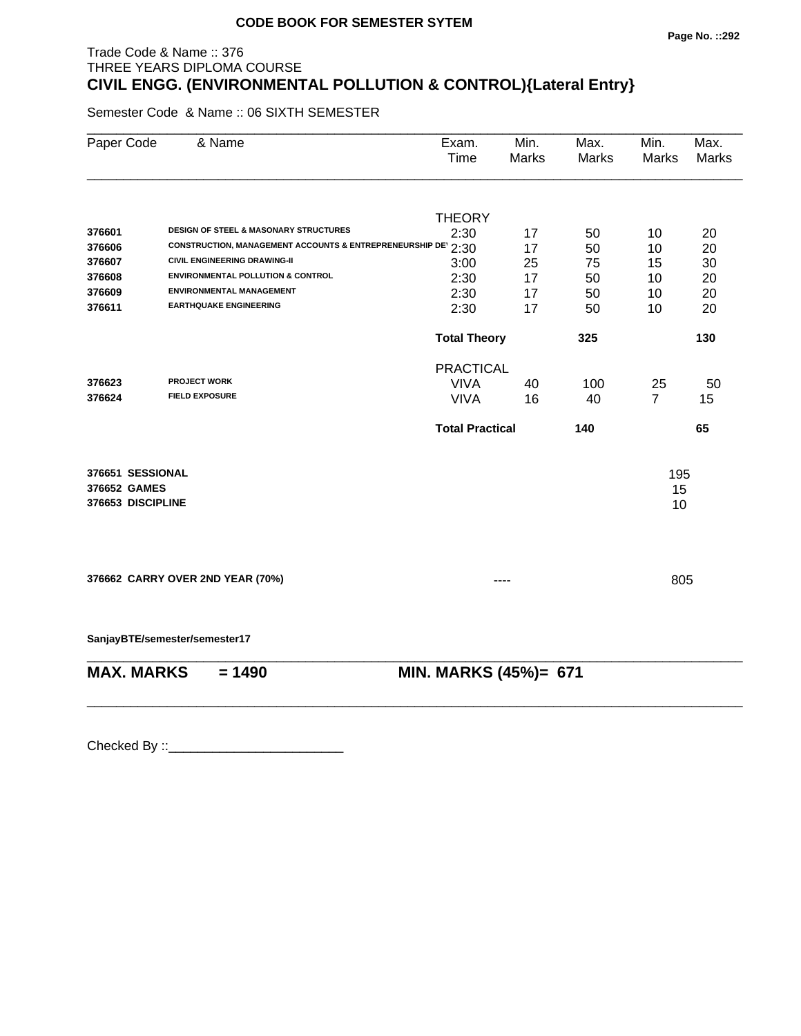# Trade Code & Name :: 376 THREE YEARS DIPLOMA COURSE **CIVIL ENGG. (ENVIRONMENTAL POLLUTION & CONTROL){Lateral Entry}**

Semester Code & Name :: 06 SIXTH SEMESTER

| Paper Code        | & Name                                                       | Exam.<br>Time          | Min.<br>Marks | Max.<br><b>Marks</b> | Min.<br><b>Marks</b> | Max.<br><b>Marks</b> |
|-------------------|--------------------------------------------------------------|------------------------|---------------|----------------------|----------------------|----------------------|
|                   |                                                              | <b>THEORY</b>          |               |                      |                      |                      |
| 376601            | DESIGN OF STEEL & MASONARY STRUCTURES                        | 2:30                   | 17            | 50                   | 10                   | 20                   |
| 376606            | CONSTRUCTION, MANAGEMENT ACCOUNTS & ENTREPRENEURSHIP DE 2:30 |                        | 17            | 50                   | 10                   | 20                   |
| 376607            | <b>CIVIL ENGINEERING DRAWING-II</b>                          | 3:00                   | 25            | 75                   | 15                   | 30                   |
| 376608            | <b>ENVIRONMENTAL POLLUTION &amp; CONTROL</b>                 | 2:30                   | 17            | 50                   | 10                   | 20                   |
| 376609            | <b>ENVIRONMENTAL MANAGEMENT</b>                              | 2:30                   | 17            | 50                   | 10                   | 20                   |
| 376611            | <b>EARTHQUAKE ENGINEERING</b>                                | 2:30                   | 17            | 50                   | 10                   | 20                   |
|                   |                                                              | <b>Total Theory</b>    |               | 325                  |                      | 130                  |
|                   |                                                              | <b>PRACTICAL</b>       |               |                      |                      |                      |
| 376623            | <b>PROJECT WORK</b>                                          | <b>VIVA</b>            | 40            | 100                  | 25                   | 50                   |
| 376624            | <b>FIELD EXPOSURE</b>                                        | <b>VIVA</b>            | 16            | 40                   | $\overline{7}$       | 15                   |
|                   |                                                              | <b>Total Practical</b> |               | 140                  |                      | 65                   |
| 376651 SESSIONAL  |                                                              |                        |               |                      | 195                  |                      |
| 376652 GAMES      |                                                              |                        |               |                      | 15                   |                      |
| 376653 DISCIPLINE |                                                              |                        |               |                      | 10                   |                      |
|                   |                                                              |                        |               |                      |                      |                      |
|                   | 376662 CARRY OVER 2ND YEAR (70%)                             |                        |               |                      | 805                  |                      |
|                   |                                                              |                        |               |                      |                      |                      |
|                   | SanjayBTE/semester/semester17                                |                        |               |                      |                      |                      |
| <b>MAX. MARKS</b> | $= 1490$                                                     | MIN. MARKS (45%)= 671  |               |                      |                      |                      |
|                   |                                                              |                        |               |                      |                      |                      |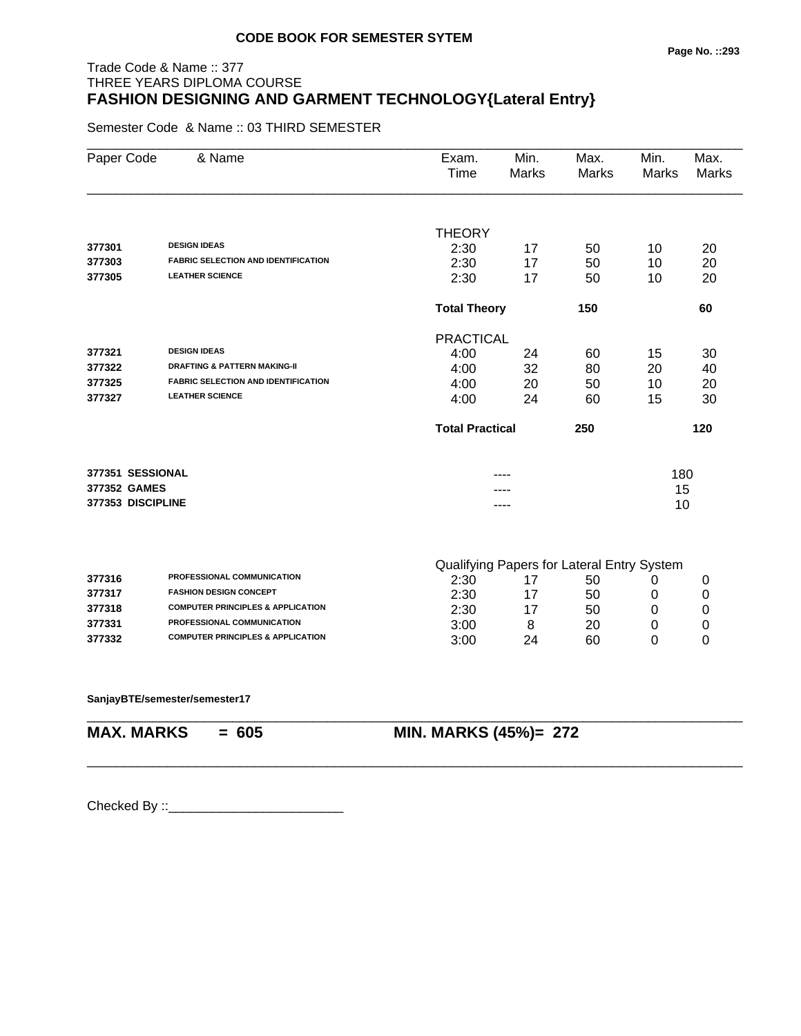### Trade Code & Name :: 377 THREE YEARS DIPLOMA COURSE **FASHION DESIGNING AND GARMENT TECHNOLOGY{Lateral Entry}**

Semester Code & Name :: 03 THIRD SEMESTER

| Paper Code        | & Name                                       | Exam.<br>Time          | Min.<br><b>Marks</b> | Max.<br><b>Marks</b>                       | Min.<br>Marks | Max.<br><b>Marks</b> |
|-------------------|----------------------------------------------|------------------------|----------------------|--------------------------------------------|---------------|----------------------|
|                   |                                              |                        |                      |                                            |               |                      |
| 377301            | <b>DESIGN IDEAS</b>                          | <b>THEORY</b><br>2:30  | 17                   | 50                                         | 10            | 20                   |
| 377303            | <b>FABRIC SELECTION AND IDENTIFICATION</b>   | 2:30                   | 17                   | 50                                         | 10            | 20                   |
| 377305            | <b>LEATHER SCIENCE</b>                       | 2:30                   | 17                   | 50                                         | 10            | 20                   |
|                   |                                              | <b>Total Theory</b>    |                      | 150                                        |               | 60                   |
|                   |                                              | <b>PRACTICAL</b>       |                      |                                            |               |                      |
| 377321            | <b>DESIGN IDEAS</b>                          | 4:00                   | 24                   | 60                                         | 15            | 30                   |
| 377322            | <b>DRAFTING &amp; PATTERN MAKING-II</b>      | 4:00                   | 32                   | 80                                         | 20            | 40                   |
| 377325            | <b>FABRIC SELECTION AND IDENTIFICATION</b>   | 4:00                   | 20                   | 50                                         | 10            | 20                   |
| 377327            | <b>LEATHER SCIENCE</b>                       | 4:00                   | 24                   | 60                                         | 15            | 30                   |
|                   |                                              | <b>Total Practical</b> |                      | 250                                        |               | 120                  |
| 377351 SESSIONAL  |                                              |                        |                      |                                            | 180           |                      |
| 377352 GAMES      |                                              |                        |                      |                                            | 15            |                      |
| 377353 DISCIPLINE |                                              |                        | ----                 |                                            | 10            |                      |
|                   |                                              |                        |                      | Qualifying Papers for Lateral Entry System |               |                      |
| 377316            | PROFESSIONAL COMMUNICATION                   | 2:30                   | 17                   | 50                                         | 0             | 0                    |
| 377317            | <b>FASHION DESIGN CONCEPT</b>                | 2:30                   | 17                   | 50                                         | 0             | 0                    |
| 377318            | <b>COMPUTER PRINCIPLES &amp; APPLICATION</b> | 2:30                   | 17                   | 50                                         | 0             | 0                    |
| 377331            | PROFESSIONAL COMMUNICATION                   | 3:00                   | 8                    | 20                                         | 0             | 0                    |
| 377332            | <b>COMPUTER PRINCIPLES &amp; APPLICATION</b> | 3:00                   | 24                   | 60                                         | 0             | 0                    |
|                   |                                              |                        |                      |                                            |               |                      |

\_\_\_\_\_\_\_\_\_\_\_\_\_\_\_\_\_\_\_\_\_\_\_\_\_\_\_\_\_\_\_\_\_\_\_\_\_\_\_\_\_\_\_\_\_\_\_\_\_\_\_\_\_\_\_\_\_\_\_\_\_\_\_\_\_\_\_\_\_\_\_\_\_\_\_\_\_\_\_\_\_\_\_\_\_\_\_\_\_\_

\_\_\_\_\_\_\_\_\_\_\_\_\_\_\_\_\_\_\_\_\_\_\_\_\_\_\_\_\_\_\_\_\_\_\_\_\_\_\_\_\_\_\_\_\_\_\_\_\_\_\_\_\_\_\_\_\_\_\_\_\_\_\_\_\_\_\_\_\_\_\_\_\_\_\_\_\_\_\_\_\_\_\_\_\_\_\_\_\_\_

**SanjayBTE/semester/semester17**

**MAX. MARKS = 605 MIN. MARKS (45%)= 272**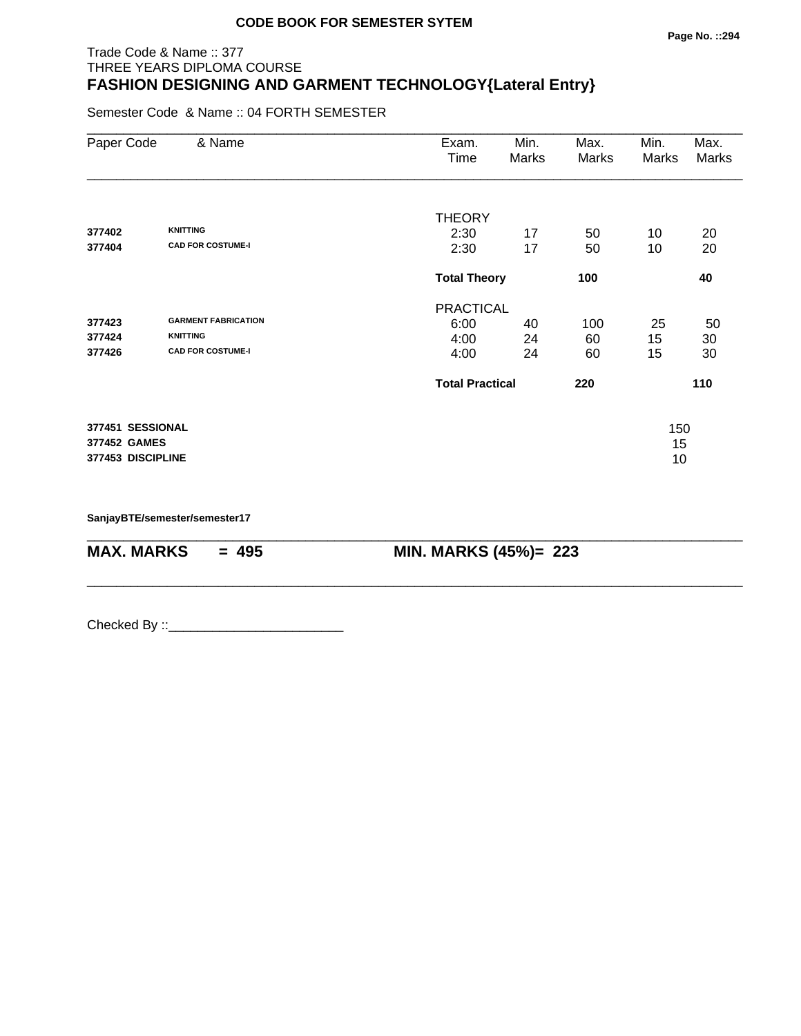#### Trade Code & Name :: 377 THREE YEARS DIPLOMA COURSE **FASHION DESIGNING AND GARMENT TECHNOLOGY{Lateral Entry}**

Semester Code & Name :: 04 FORTH SEMESTER

| Paper Code        | & Name                     | Exam.<br>Time          | Min.<br>Marks              | Max.<br>Marks | Min.<br>Marks | Max.<br>Marks |
|-------------------|----------------------------|------------------------|----------------------------|---------------|---------------|---------------|
|                   |                            | <b>THEORY</b>          |                            |               |               |               |
| 377402            | <b>KNITTING</b>            | 2:30                   | 17                         | 50            | 10            | 20            |
| 377404            | <b>CAD FOR COSTUME-I</b>   | 2:30                   | 17                         | 50            | 10            | 20            |
|                   |                            |                        | 100<br><b>Total Theory</b> |               |               | 40            |
|                   |                            | <b>PRACTICAL</b>       |                            |               |               |               |
| 377423            | <b>GARMENT FABRICATION</b> | 6:00                   | 40                         | 100           | 25            | 50            |
| 377424            | <b>KNITTING</b>            | 4:00                   | 24                         | 60            | 15            | 30            |
| 377426            | <b>CAD FOR COSTUME-I</b>   | 4:00                   | 24                         | 60            | 15            | 30            |
|                   |                            | <b>Total Practical</b> |                            | 220           |               | 110           |
| 377451 SESSIONAL  |                            |                        |                            |               | 150           |               |
| 377452 GAMES      |                            |                        |                            |               | 15            |               |
| 377453 DISCIPLINE |                            |                        |                            |               | 10            |               |
|                   |                            |                        |                            |               |               |               |

\_\_\_\_\_\_\_\_\_\_\_\_\_\_\_\_\_\_\_\_\_\_\_\_\_\_\_\_\_\_\_\_\_\_\_\_\_\_\_\_\_\_\_\_\_\_\_\_\_\_\_\_\_\_\_\_\_\_\_\_\_\_\_\_\_\_\_\_\_\_\_\_\_\_\_\_\_\_\_\_\_\_\_\_\_\_\_\_\_\_

\_\_\_\_\_\_\_\_\_\_\_\_\_\_\_\_\_\_\_\_\_\_\_\_\_\_\_\_\_\_\_\_\_\_\_\_\_\_\_\_\_\_\_\_\_\_\_\_\_\_\_\_\_\_\_\_\_\_\_\_\_\_\_\_\_\_\_\_\_\_\_\_\_\_\_\_\_\_\_\_\_\_\_\_\_\_\_\_\_\_

**SanjayBTE/semester/semester17**

**MAX. MARKS = 495 MIN. MARKS (45%)= 223**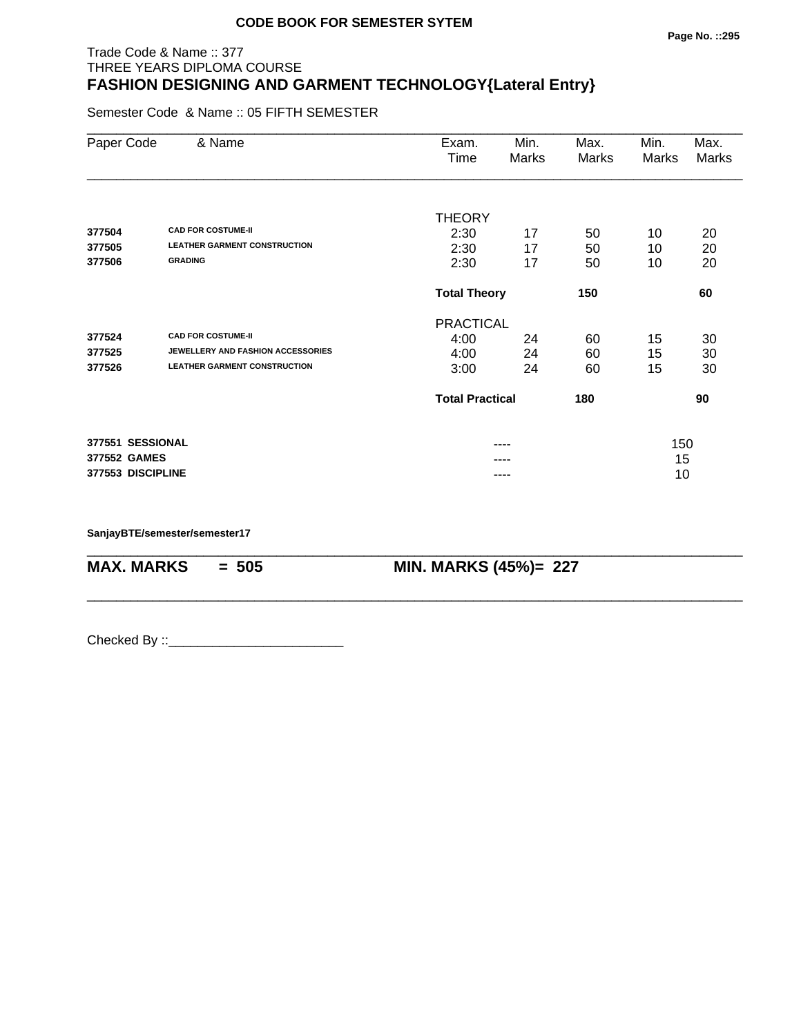#### **Page No. ::295**

# Trade Code & Name :: 377 THREE YEARS DIPLOMA COURSE **FASHION DESIGNING AND GARMENT TECHNOLOGY{Lateral Entry}**

Semester Code & Name :: 05 FIFTH SEMESTER

| Paper Code        | & Name                              | Exam.<br>Time          | Min.<br>Marks | Max.<br>Marks | Min.<br>Marks | Max.<br>Marks |
|-------------------|-------------------------------------|------------------------|---------------|---------------|---------------|---------------|
|                   |                                     |                        |               |               |               |               |
| 377504            | <b>CAD FOR COSTUME-II</b>           | <b>THEORY</b>          |               |               |               |               |
| 377505            | <b>LEATHER GARMENT CONSTRUCTION</b> | 2:30<br>2:30           | 17<br>17      | 50            | 10            | 20<br>20      |
| 377506            | <b>GRADING</b>                      | 2:30                   | 17            | 50<br>50      | 10<br>10      | 20            |
|                   |                                     | <b>Total Theory</b>    |               | 150           |               | 60            |
|                   |                                     | <b>PRACTICAL</b>       |               |               |               |               |
| 377524            | <b>CAD FOR COSTUME-II</b>           | 4:00                   | 24            | 60            | 15            | 30            |
| 377525            | JEWELLERY AND FASHION ACCESSORIES   | 4:00                   | 24            | 60            | 15            | 30            |
| 377526            | <b>LEATHER GARMENT CONSTRUCTION</b> | 3:00                   | 24            | 60            | 15            | 30            |
|                   |                                     | <b>Total Practical</b> |               | 180           |               | 90            |
| 377551 SESSIONAL  |                                     |                        |               |               | 150           |               |
| 377552 GAMES      |                                     |                        |               |               | 15            |               |
| 377553 DISCIPLINE |                                     |                        | ----          |               | 10            |               |

\_\_\_\_\_\_\_\_\_\_\_\_\_\_\_\_\_\_\_\_\_\_\_\_\_\_\_\_\_\_\_\_\_\_\_\_\_\_\_\_\_\_\_\_\_\_\_\_\_\_\_\_\_\_\_\_\_\_\_\_\_\_\_\_\_\_\_\_\_\_\_\_\_\_\_\_\_\_\_\_\_\_\_\_\_\_\_\_\_\_

\_\_\_\_\_\_\_\_\_\_\_\_\_\_\_\_\_\_\_\_\_\_\_\_\_\_\_\_\_\_\_\_\_\_\_\_\_\_\_\_\_\_\_\_\_\_\_\_\_\_\_\_\_\_\_\_\_\_\_\_\_\_\_\_\_\_\_\_\_\_\_\_\_\_\_\_\_\_\_\_\_\_\_\_\_\_\_\_\_\_

**SanjayBTE/semester/semester17**

**MAX. MARKS = 505 MIN. MARKS (45%)= 227**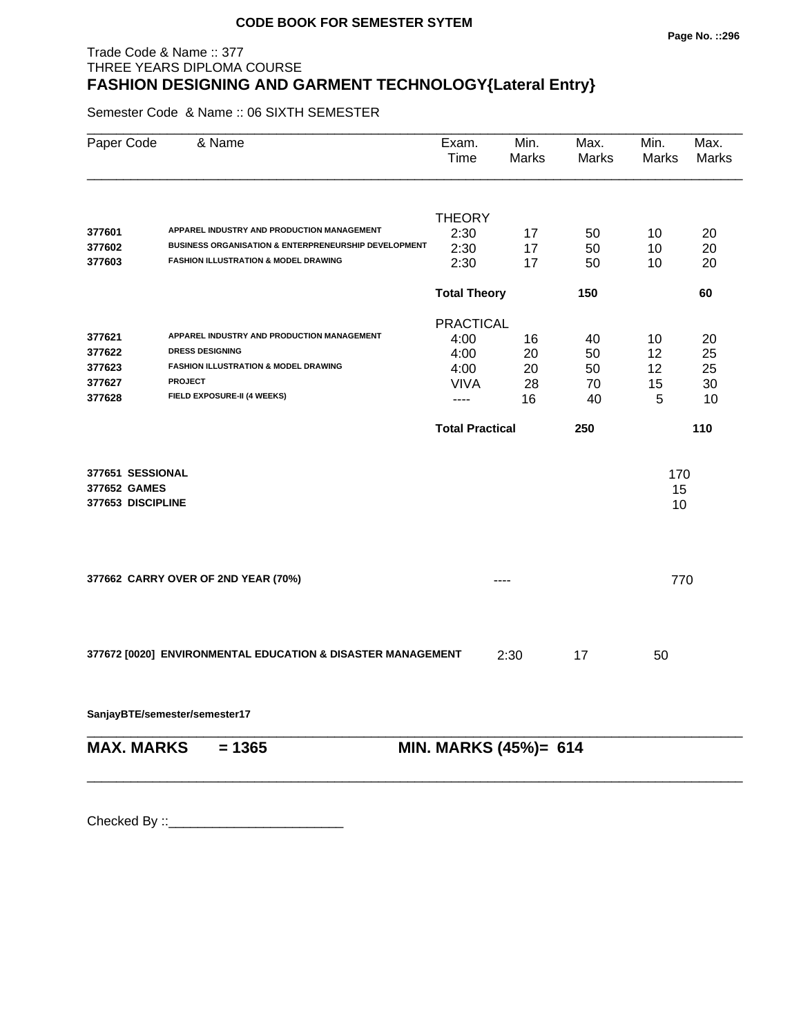#### **Page No. ::296**

# Trade Code & Name :: 377 THREE YEARS DIPLOMA COURSE **FASHION DESIGNING AND GARMENT TECHNOLOGY{Lateral Entry}**

Semester Code & Name :: 06 SIXTH SEMESTER

| Paper Code        | & Name                                                                                             | Exam.<br>Time          | Min.<br><b>Marks</b> | Max.<br><b>Marks</b> | Min.<br><b>Marks</b> | Max.<br>Marks |  |  |  |
|-------------------|----------------------------------------------------------------------------------------------------|------------------------|----------------------|----------------------|----------------------|---------------|--|--|--|
|                   |                                                                                                    |                        |                      |                      |                      |               |  |  |  |
|                   |                                                                                                    | <b>THEORY</b>          |                      |                      |                      |               |  |  |  |
| 377601            | APPAREL INDUSTRY AND PRODUCTION MANAGEMENT<br>BUSINESS ORGANISATION & ENTERPRENEURSHIP DEVELOPMENT | 2:30                   | 17                   | 50                   | 10                   | 20            |  |  |  |
| 377602            | <b>FASHION ILLUSTRATION &amp; MODEL DRAWING</b>                                                    | 2:30                   | 17                   | 50                   | 10                   | 20            |  |  |  |
| 377603            |                                                                                                    | 2:30                   | 17                   | 50                   | 10                   | 20            |  |  |  |
|                   |                                                                                                    | <b>Total Theory</b>    |                      | 150                  |                      | 60            |  |  |  |
|                   |                                                                                                    | <b>PRACTICAL</b>       |                      |                      |                      |               |  |  |  |
| 377621            | APPAREL INDUSTRY AND PRODUCTION MANAGEMENT                                                         | 4:00                   | 16                   | 40                   | 10                   | 20            |  |  |  |
| 377622            | <b>DRESS DESIGNING</b>                                                                             | 4:00                   | 20                   | 50                   | 12                   | 25            |  |  |  |
| 377623            | <b>FASHION ILLUSTRATION &amp; MODEL DRAWING</b>                                                    | 4:00                   | 20                   | 50                   | 12                   | 25            |  |  |  |
| 377627            | <b>PROJECT</b>                                                                                     | <b>VIVA</b>            | 28                   | 70                   | 15                   | 30            |  |  |  |
| 377628            | FIELD EXPOSURE-II (4 WEEKS)                                                                        | ----                   | 16                   | 40                   | 5                    | 10            |  |  |  |
|                   |                                                                                                    | <b>Total Practical</b> |                      | 250                  |                      | 110           |  |  |  |
| 377651 SESSIONAL  |                                                                                                    |                        |                      |                      | 170                  |               |  |  |  |
| 377652 GAMES      |                                                                                                    |                        |                      |                      | 15                   |               |  |  |  |
| 377653 DISCIPLINE |                                                                                                    |                        |                      |                      | 10                   |               |  |  |  |
|                   |                                                                                                    |                        |                      |                      |                      |               |  |  |  |
|                   | 377662 CARRY OVER OF 2ND YEAR (70%)                                                                |                        |                      |                      | 770                  |               |  |  |  |
|                   |                                                                                                    |                        |                      |                      |                      |               |  |  |  |
|                   | 377672 [0020] ENVIRONMENTAL EDUCATION & DISASTER MANAGEMENT                                        |                        | 2:30                 | 17                   | 50                   |               |  |  |  |
|                   | SanjayBTE/semester/semester17                                                                      |                        |                      |                      |                      |               |  |  |  |
| <b>MAX. MARKS</b> | $= 1365$                                                                                           |                        |                      |                      |                      |               |  |  |  |
|                   | MIN. MARKS (45%)= 614                                                                              |                        |                      |                      |                      |               |  |  |  |

\_\_\_\_\_\_\_\_\_\_\_\_\_\_\_\_\_\_\_\_\_\_\_\_\_\_\_\_\_\_\_\_\_\_\_\_\_\_\_\_\_\_\_\_\_\_\_\_\_\_\_\_\_\_\_\_\_\_\_\_\_\_\_\_\_\_\_\_\_\_\_\_\_\_\_\_\_\_\_\_\_\_\_\_\_\_\_\_\_\_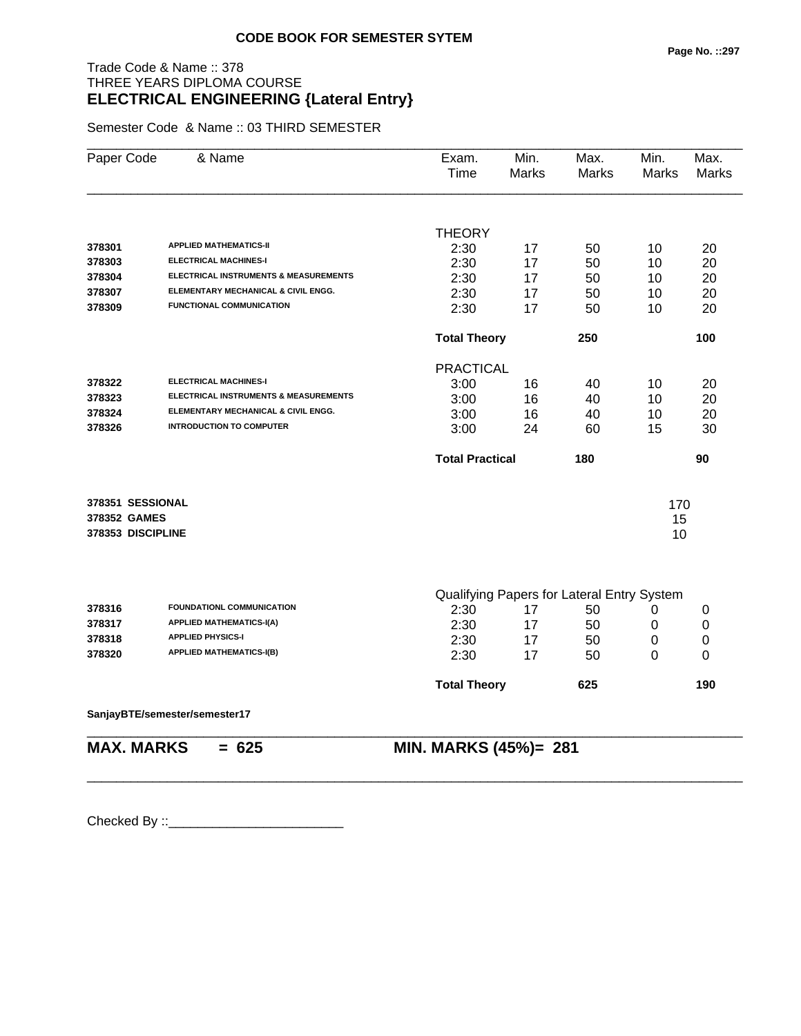#### **Page No. ::297**

# Trade Code & Name :: 378 THREE YEARS DIPLOMA COURSE **ELECTRICAL ENGINEERING {Lateral Entry}**

Semester Code & Name :: 03 THIRD SEMESTER

| Paper Code        | & Name                                | Exam.<br>Time          | Min.<br>Marks | Max.<br><b>Marks</b>                       | Min.<br><b>Marks</b> | Max.<br><b>Marks</b> |
|-------------------|---------------------------------------|------------------------|---------------|--------------------------------------------|----------------------|----------------------|
|                   |                                       | <b>THEORY</b>          |               |                                            |                      |                      |
| 378301            | <b>APPLIED MATHEMATICS-II</b>         | 2:30                   | 17            | 50                                         | 10                   | 20                   |
| 378303            | <b>ELECTRICAL MACHINES-I</b>          | 2:30                   | 17            | 50                                         | 10                   | 20                   |
| 378304            | ELECTRICAL INSTRUMENTS & MEASUREMENTS | 2:30                   | 17            | 50                                         | 10                   | 20                   |
| 378307            | ELEMENTARY MECHANICAL & CIVIL ENGG.   | 2:30                   | 17            | 50                                         | 10                   | 20                   |
| 378309            | <b>FUNCTIONAL COMMUNICATION</b>       | 2:30                   | 17            | 50                                         | 10                   | 20                   |
|                   |                                       | <b>Total Theory</b>    |               | 250                                        |                      | 100                  |
|                   |                                       | <b>PRACTICAL</b>       |               |                                            |                      |                      |
| 378322            | <b>ELECTRICAL MACHINES-I</b>          | 3:00                   | 16            | 40                                         | 10                   | 20                   |
| 378323            | ELECTRICAL INSTRUMENTS & MEASUREMENTS | 3:00                   | 16            | 40                                         | 10                   | 20                   |
| 378324            | ELEMENTARY MECHANICAL & CIVIL ENGG.   | 3:00                   | 16            | 40                                         | 10                   | 20                   |
| 378326            | <b>INTRODUCTION TO COMPUTER</b>       | 3:00                   | 24            | 60                                         | 15                   | 30                   |
|                   |                                       | <b>Total Practical</b> |               | 180                                        |                      | 90                   |
| 378351 SESSIONAL  |                                       |                        |               |                                            | 170                  |                      |
| 378352 GAMES      |                                       |                        |               |                                            | 15                   |                      |
| 378353 DISCIPLINE |                                       |                        |               |                                            | 10                   |                      |
|                   |                                       |                        |               |                                            |                      |                      |
|                   |                                       |                        |               | Qualifying Papers for Lateral Entry System |                      |                      |
| 378316            | <b>FOUNDATIONL COMMUNICATION</b>      | 2:30                   | 17            | 50                                         | 0                    | 0                    |
| 378317            | <b>APPLIED MATHEMATICS-I(A)</b>       | 2:30                   | 17            | 50                                         | 0                    | 0                    |
| 378318            | <b>APPLIED PHYSICS-I</b>              | 2:30                   | 17            | 50                                         | 0                    | 0                    |
| 378320            | <b>APPLIED MATHEMATICS-I(B)</b>       | 2:30                   | 17            | 50                                         | 0                    | 0                    |
|                   |                                       | <b>Total Theory</b>    |               | 625                                        |                      | 190                  |
|                   | SanjayBTE/semester/semester17         |                        |               |                                            |                      |                      |
| <b>MAX. MARKS</b> | $= 625$                               | MIN. MARKS (45%)= 281  |               |                                            |                      |                      |

\_\_\_\_\_\_\_\_\_\_\_\_\_\_\_\_\_\_\_\_\_\_\_\_\_\_\_\_\_\_\_\_\_\_\_\_\_\_\_\_\_\_\_\_\_\_\_\_\_\_\_\_\_\_\_\_\_\_\_\_\_\_\_\_\_\_\_\_\_\_\_\_\_\_\_\_\_\_\_\_\_\_\_\_\_\_\_\_\_\_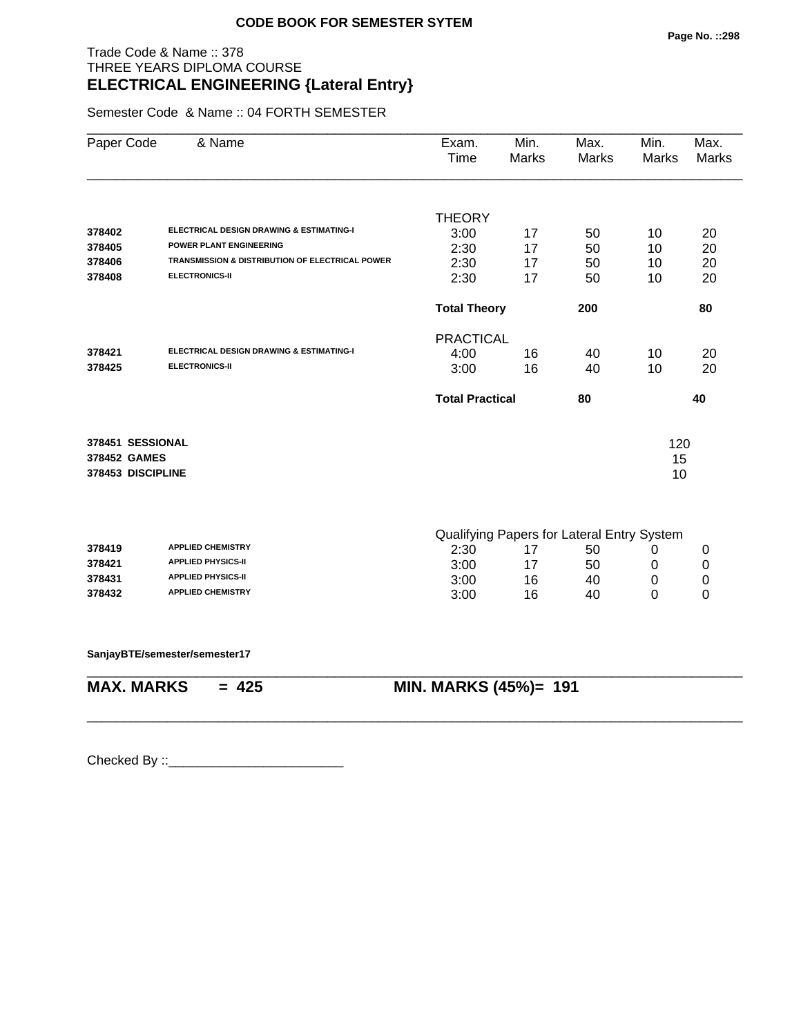#### Trade Code & Name :: 378 THREE YEARS DIPLOMA COURSE **ELECTRICAL ENGINEERING {Lateral Entry}**

Semester Code & Name :: 04 FORTH SEMESTER

| Paper Code        | & Name                                              | Exam.<br>Time          | Min.<br>Marks                              | Max.<br>Marks | Min.<br>Marks | Max.<br>Marks |
|-------------------|-----------------------------------------------------|------------------------|--------------------------------------------|---------------|---------------|---------------|
|                   |                                                     |                        |                                            |               |               |               |
|                   |                                                     | <b>THEORY</b>          |                                            |               |               |               |
| 378402            | <b>ELECTRICAL DESIGN DRAWING &amp; ESTIMATING-I</b> | 3:00                   | 17                                         | 50            | 10            | 20            |
| 378405            | POWER PLANT ENGINEERING                             | 2:30                   | 17                                         | 50            | 10            | 20            |
| 378406            | TRANSMISSION & DISTRIBUTION OF ELECTRICAL POWER     | 2:30                   | 17                                         | 50            | 10            | 20            |
| 378408            | <b>ELECTRONICS-II</b>                               | 2:30                   | 17                                         | 50            | 10            | 20            |
|                   |                                                     | <b>Total Theory</b>    |                                            | 200           |               | 80            |
|                   |                                                     | <b>PRACTICAL</b>       |                                            |               |               |               |
| 378421            | <b>ELECTRICAL DESIGN DRAWING &amp; ESTIMATING-I</b> | 4:00                   | 16                                         | 40            | 10            | 20            |
| 378425            | <b>ELECTRONICS-II</b>                               | 3:00                   | 16                                         | 40            | 10            | 20            |
|                   |                                                     | <b>Total Practical</b> |                                            | 80            |               | 40            |
| 378451 SESSIONAL  |                                                     |                        |                                            |               | 120           |               |
| 378452 GAMES      |                                                     |                        |                                            |               | 15            |               |
| 378453 DISCIPLINE |                                                     |                        |                                            |               | 10            |               |
|                   |                                                     |                        |                                            |               |               |               |
|                   |                                                     |                        | Qualifying Papers for Lateral Entry System |               |               |               |
| 378419            | <b>APPLIED CHEMISTRY</b>                            | 2:30                   | 17                                         | 50            | 0             | 0             |

| 378419 | <b>APPLIED CHEMISTRY</b>  | 2:30 |    | 50 |  |
|--------|---------------------------|------|----|----|--|
| 378421 | <b>APPLIED PHYSICS-II</b> | 3:00 |    | 50 |  |
| 378431 | <b>APPLIED PHYSICS-II</b> | 3:00 | 16 | 40 |  |
| 378432 | <b>APPLIED CHEMISTRY</b>  | 3:00 | 16 | 40 |  |

\_\_\_\_\_\_\_\_\_\_\_\_\_\_\_\_\_\_\_\_\_\_\_\_\_\_\_\_\_\_\_\_\_\_\_\_\_\_\_\_\_\_\_\_\_\_\_\_\_\_\_\_\_\_\_\_\_\_\_\_\_\_\_\_\_\_\_\_\_\_\_\_\_\_\_\_\_\_\_\_\_\_\_\_\_\_\_\_\_\_

\_\_\_\_\_\_\_\_\_\_\_\_\_\_\_\_\_\_\_\_\_\_\_\_\_\_\_\_\_\_\_\_\_\_\_\_\_\_\_\_\_\_\_\_\_\_\_\_\_\_\_\_\_\_\_\_\_\_\_\_\_\_\_\_\_\_\_\_\_\_\_\_\_\_\_\_\_\_\_\_\_\_\_\_\_\_\_\_\_\_

**SanjayBTE/semester/semester17**

**MAX. MARKS = 425 MIN. MARKS (45%)= 191**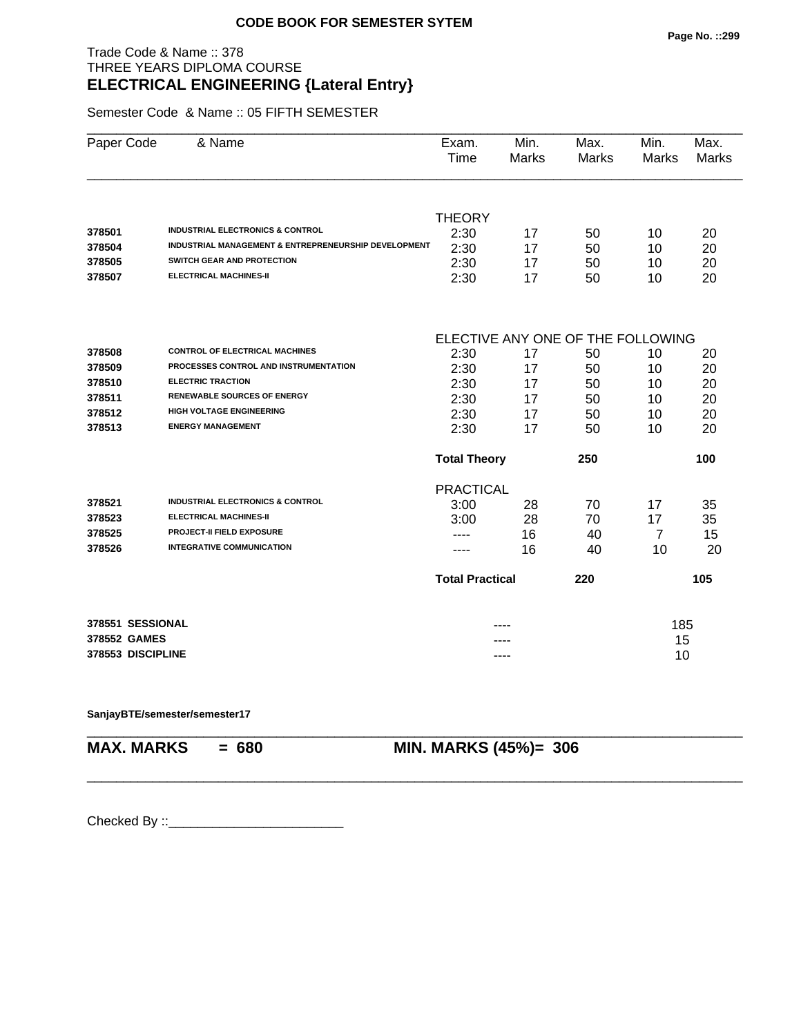#### Trade Code & Name :: 378 THREE YEARS DIPLOMA COURSE **ELECTRICAL ENGINEERING {Lateral Entry}**

Semester Code & Name :: 05 FIFTH SEMESTER

| Paper Code        | & Name                                                          | Exam.<br>Time                     | Min.<br>Marks | Max.<br><b>Marks</b> | Min.<br>Marks  | Max.<br><b>Marks</b> |  |  |
|-------------------|-----------------------------------------------------------------|-----------------------------------|---------------|----------------------|----------------|----------------------|--|--|
|                   |                                                                 |                                   |               |                      |                |                      |  |  |
|                   |                                                                 | <b>THEORY</b>                     |               |                      |                |                      |  |  |
| 378501            | <b>INDUSTRIAL ELECTRONICS &amp; CONTROL</b>                     | 2:30                              | 17            | 50                   | 10             | 20                   |  |  |
| 378504            | <b>INDUSTRIAL MANAGEMENT &amp; ENTREPRENEURSHIP DEVELOPMENT</b> | 2:30                              | 17            | 50                   | 10             | 20                   |  |  |
| 378505            | SWITCH GEAR AND PROTECTION                                      | 2:30                              | 17            | 50                   | 10             | 20                   |  |  |
| 378507            | <b>ELECTRICAL MACHINES-II</b>                                   | 2:30                              | 17            | 50                   | 10             | 20                   |  |  |
|                   |                                                                 | ELECTIVE ANY ONE OF THE FOLLOWING |               |                      |                |                      |  |  |
| 378508            | <b>CONTROL OF ELECTRICAL MACHINES</b>                           | 2:30                              | 17            | 50                   | 10             | 20                   |  |  |
| 378509            | PROCESSES CONTROL AND INSTRUMENTATION                           | 2:30                              | 17            | 50                   | 10             | 20                   |  |  |
| 378510            | <b>ELECTRIC TRACTION</b>                                        | 2:30                              | 17            | 50                   | 10             | 20                   |  |  |
| 378511            | <b>RENEWABLE SOURCES OF ENERGY</b>                              | 2:30                              | 17            | 50                   | 10             | 20                   |  |  |
| 378512            | <b>HIGH VOLTAGE ENGINEERING</b>                                 | 2:30                              | 17            | 50                   | 10             | 20                   |  |  |
| 378513            | <b>ENERGY MANAGEMENT</b>                                        | 2:30                              | 17            | 50                   | 10             | 20                   |  |  |
|                   |                                                                 | <b>Total Theory</b>               |               | 250                  |                | 100                  |  |  |
|                   |                                                                 | <b>PRACTICAL</b>                  |               |                      |                |                      |  |  |
| 378521            | <b>INDUSTRIAL ELECTRONICS &amp; CONTROL</b>                     | 3:00                              | 28            | 70                   | 17             | 35                   |  |  |
| 378523            | <b>ELECTRICAL MACHINES-II</b>                                   | 3:00                              | 28            | 70                   | 17             | 35                   |  |  |
| 378525            | <b>PROJECT-II FIELD EXPOSURE</b>                                |                                   | 16            | 40                   | $\overline{7}$ | 15                   |  |  |
| 378526            | <b>INTEGRATIVE COMMUNICATION</b>                                |                                   | 16            | 40                   | 10             | 20                   |  |  |
|                   |                                                                 | <b>Total Practical</b>            |               | 220                  |                | 105                  |  |  |
| 378551 SESSIONAL  |                                                                 |                                   |               |                      | 185            |                      |  |  |
| 378552 GAMES      |                                                                 |                                   |               |                      | 15             |                      |  |  |
| 378553 DISCIPLINE |                                                                 |                                   | ----          |                      | 10             |                      |  |  |

\_\_\_\_\_\_\_\_\_\_\_\_\_\_\_\_\_\_\_\_\_\_\_\_\_\_\_\_\_\_\_\_\_\_\_\_\_\_\_\_\_\_\_\_\_\_\_\_\_\_\_\_\_\_\_\_\_\_\_\_\_\_\_\_\_\_\_\_\_\_\_\_\_\_\_\_\_\_\_\_\_\_\_\_\_\_\_\_\_\_

#### **SanjayBTE/semester/semester17**

\_\_\_\_\_\_\_\_\_\_\_\_\_\_\_\_\_\_\_\_\_\_\_\_\_\_\_\_\_\_\_\_\_\_\_\_\_\_\_\_\_\_\_\_\_\_\_\_\_\_\_\_\_\_\_\_\_\_\_\_\_\_\_\_\_\_\_\_\_\_\_\_\_\_\_\_\_\_\_\_\_\_\_\_\_\_\_\_\_\_

**MAX. MARKS = 680 MIN. MARKS (45%)= 306**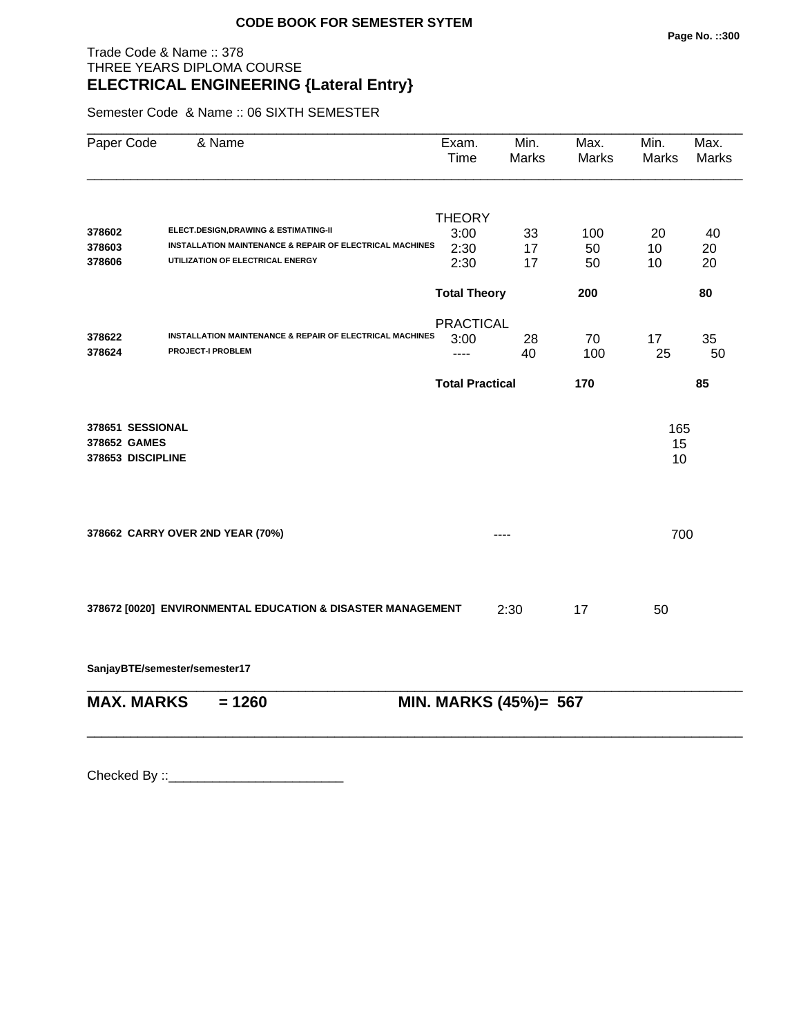# Trade Code & Name :: 378 THREE YEARS DIPLOMA COURSE **ELECTRICAL ENGINEERING {Lateral Entry}**

Semester Code & Name :: 06 SIXTH SEMESTER

| Paper Code        | & Name                                                      | Exam.<br>Time          | Min.<br>Marks         | Max.<br>Marks | Min.<br>Marks | Max.<br>Marks |
|-------------------|-------------------------------------------------------------|------------------------|-----------------------|---------------|---------------|---------------|
|                   |                                                             | <b>THEORY</b>          |                       |               |               |               |
| 378602            | ELECT.DESIGN,DRAWING & ESTIMATING-II                        | 3:00                   | 33                    | 100           | 20            | 40            |
| 378603            | INSTALLATION MAINTENANCE & REPAIR OF ELECTRICAL MACHINES    | 2:30                   | 17                    | 50            | 10            | 20            |
| 378606            | UTILIZATION OF ELECTRICAL ENERGY                            | 2:30                   | 17                    | 50            | 10            | 20            |
|                   |                                                             | <b>Total Theory</b>    |                       | 200           |               | 80            |
|                   |                                                             | <b>PRACTICAL</b>       |                       |               |               |               |
| 378622            | INSTALLATION MAINTENANCE & REPAIR OF ELECTRICAL MACHINES    | 3:00                   | 28                    | 70            | 17            | 35            |
| 378624            | <b>PROJECT-I PROBLEM</b>                                    | $---$                  | 40                    | 100           | 25            | 50            |
|                   |                                                             | <b>Total Practical</b> |                       | 170           |               | 85            |
| 378651 SESSIONAL  |                                                             |                        |                       |               | 165           |               |
| 378652 GAMES      |                                                             |                        |                       |               | 15            |               |
| 378653 DISCIPLINE |                                                             |                        |                       |               | 10            |               |
|                   |                                                             |                        |                       |               |               |               |
|                   | 378662 CARRY OVER 2ND YEAR (70%)                            |                        |                       |               | 700           |               |
|                   |                                                             |                        |                       |               |               |               |
|                   | 378672 [0020] ENVIRONMENTAL EDUCATION & DISASTER MANAGEMENT |                        | 2:30                  | 17            | 50            |               |
|                   | SanjayBTE/semester/semester17                               |                        |                       |               |               |               |
| <b>MAX. MARKS</b> | $= 1260$                                                    |                        | MIN. MARKS (45%)= 567 |               |               |               |
|                   |                                                             |                        |                       |               |               |               |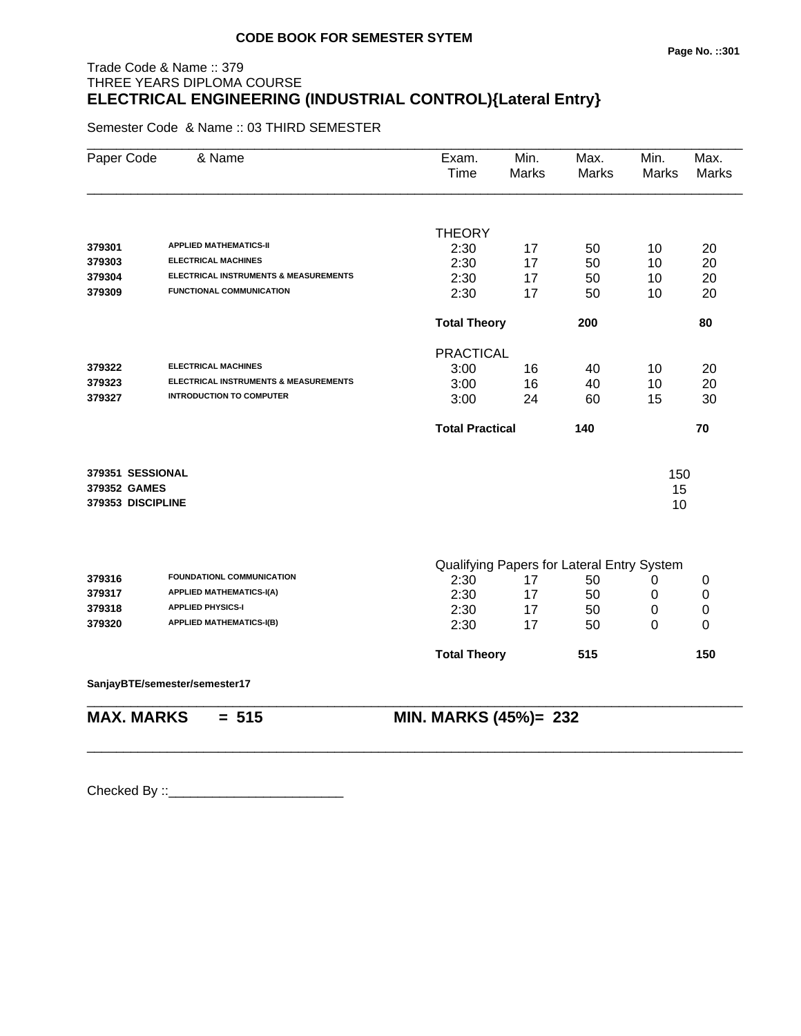# Trade Code & Name :: 379 THREE YEARS DIPLOMA COURSE **ELECTRICAL ENGINEERING (INDUSTRIAL CONTROL){Lateral Entry}**

Semester Code & Name :: 03 THIRD SEMESTER

| Paper Code        | & Name                                | Exam.<br>Time          | Min.<br><b>Marks</b> | Max.<br><b>Marks</b>                       | Min.<br><b>Marks</b> | Max.<br><b>Marks</b> |
|-------------------|---------------------------------------|------------------------|----------------------|--------------------------------------------|----------------------|----------------------|
|                   |                                       | <b>THEORY</b>          |                      |                                            |                      |                      |
| 379301            | <b>APPLIED MATHEMATICS-II</b>         | 2:30                   | 17                   | 50                                         | 10                   | 20                   |
| 379303            | <b>ELECTRICAL MACHINES</b>            | 2:30                   | 17                   | 50                                         | 10                   | 20                   |
| 379304            | ELECTRICAL INSTRUMENTS & MEASUREMENTS | 2:30                   | 17                   | 50                                         | 10                   | 20                   |
| 379309            | <b>FUNCTIONAL COMMUNICATION</b>       | 2:30                   | 17                   | 50                                         | 10                   | 20                   |
|                   |                                       | <b>Total Theory</b>    |                      | 200                                        |                      | 80                   |
|                   |                                       | <b>PRACTICAL</b>       |                      |                                            |                      |                      |
| 379322            | <b>ELECTRICAL MACHINES</b>            | 3:00                   | 16                   | 40                                         | 10                   | 20                   |
| 379323            | ELECTRICAL INSTRUMENTS & MEASUREMENTS | 3:00                   | 16                   | 40                                         | 10                   | 20                   |
| 379327            | <b>INTRODUCTION TO COMPUTER</b>       | 3:00                   | 24                   | 60                                         | 15                   | 30                   |
|                   |                                       | <b>Total Practical</b> |                      | 140                                        |                      | 70                   |
| 379351 SESSIONAL  |                                       |                        |                      |                                            | 150                  |                      |
| 379352 GAMES      |                                       |                        |                      |                                            | 15                   |                      |
| 379353 DISCIPLINE |                                       |                        |                      |                                            | 10                   |                      |
|                   |                                       |                        |                      |                                            |                      |                      |
|                   | FOUNDATIONL COMMUNICATION             |                        |                      | Qualifying Papers for Lateral Entry System |                      |                      |
| 379316            | <b>APPLIED MATHEMATICS-I(A)</b>       | 2:30                   | 17                   | 50                                         | 0                    | 0                    |
| 379317<br>379318  | <b>APPLIED PHYSICS-I</b>              | 2:30                   | 17                   | 50                                         | 0                    | 0                    |
| 379320            | <b>APPLIED MATHEMATICS-I(B)</b>       | 2:30                   | 17                   | 50                                         | 0                    | 0                    |
|                   |                                       | 2:30                   | 17                   | 50                                         | 0                    | 0                    |
|                   |                                       | <b>Total Theory</b>    |                      | 515                                        |                      | 150                  |
|                   | SanjayBTE/semester/semester17         |                        |                      |                                            |                      |                      |
| <b>MAX. MARKS</b> | $= 515$                               | MIN. MARKS (45%)= 232  |                      |                                            |                      |                      |

\_\_\_\_\_\_\_\_\_\_\_\_\_\_\_\_\_\_\_\_\_\_\_\_\_\_\_\_\_\_\_\_\_\_\_\_\_\_\_\_\_\_\_\_\_\_\_\_\_\_\_\_\_\_\_\_\_\_\_\_\_\_\_\_\_\_\_\_\_\_\_\_\_\_\_\_\_\_\_\_\_\_\_\_\_\_\_\_\_\_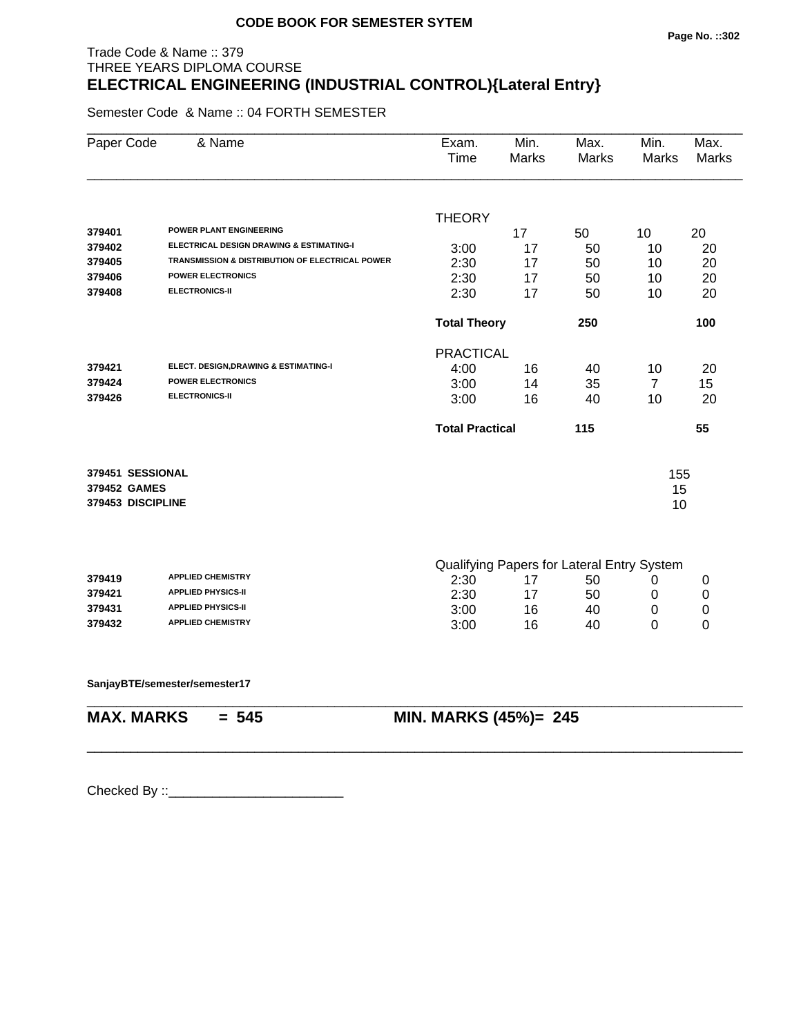#### Trade Code & Name :: 379 THREE YEARS DIPLOMA COURSE **ELECTRICAL ENGINEERING (INDUSTRIAL CONTROL){Lateral Entry}**

Semester Code & Name :: 04 FORTH SEMESTER

| Paper Code        | & Name                                          | Exam.<br>Time          | Min.<br>Marks                              | Max.<br>Marks | Min.<br>Marks  | Max.<br><b>Marks</b> |
|-------------------|-------------------------------------------------|------------------------|--------------------------------------------|---------------|----------------|----------------------|
|                   |                                                 | <b>THEORY</b>          |                                            |               |                |                      |
| 379401            | POWER PLANT ENGINEERING                         |                        | 17                                         | 50            | 10             | 20                   |
| 379402            | ELECTRICAL DESIGN DRAWING & ESTIMATING-I        | 3:00                   | 17                                         | 50            | 10             | 20                   |
| 379405            | TRANSMISSION & DISTRIBUTION OF ELECTRICAL POWER | 2:30                   | 17                                         | 50            | 10             | 20                   |
| 379406            | <b>POWER ELECTRONICS</b>                        | 2:30                   | 17                                         | 50            | 10             | 20                   |
| 379408            | <b>ELECTRONICS-II</b>                           | 2:30                   | 17                                         | 50            | 10             | 20                   |
|                   |                                                 | <b>Total Theory</b>    |                                            | 250           |                | 100                  |
|                   |                                                 | <b>PRACTICAL</b>       |                                            |               |                |                      |
| 379421            | ELECT. DESIGN, DRAWING & ESTIMATING-I           | 4:00                   | 16                                         | 40            | 10             | 20                   |
| 379424            | <b>POWER ELECTRONICS</b>                        | 3:00                   | 14                                         | 35            | $\overline{7}$ | 15                   |
| 379426            | <b>ELECTRONICS-II</b>                           | 3:00                   | 16                                         | 40            | 10             | 20                   |
|                   |                                                 | <b>Total Practical</b> |                                            | 115           |                | 55                   |
| 379451 SESSIONAL  |                                                 |                        |                                            |               | 155            |                      |
| 379452 GAMES      |                                                 |                        |                                            |               | 15             |                      |
| 379453 DISCIPLINE |                                                 |                        |                                            |               | 10             |                      |
|                   |                                                 |                        | Qualifying Papers for Lateral Entry System |               |                |                      |
| 379419            | <b>APPLIED CHEMISTRY</b>                        | 2:30                   | 17                                         | 50            | 0              | 0                    |
| 379421            | <b>APPLIED PHYSICS-II</b>                       | 2:30                   | 17                                         | 50            | 0              | $\pmb{0}$            |
| 379431            | <b>APPLIED PHYSICS-II</b>                       | 3:00                   | 16                                         | 40            | 0              | 0                    |
| 379432            | <b>APPLIED CHEMISTRY</b>                        | 3:00                   | 16                                         | 40            | $\overline{0}$ | 0                    |
|                   |                                                 |                        |                                            |               |                |                      |
|                   | SanjayBTE/semester/semester17                   |                        |                                            |               |                |                      |

\_\_\_\_\_\_\_\_\_\_\_\_\_\_\_\_\_\_\_\_\_\_\_\_\_\_\_\_\_\_\_\_\_\_\_\_\_\_\_\_\_\_\_\_\_\_\_\_\_\_\_\_\_\_\_\_\_\_\_\_\_\_\_\_\_\_\_\_\_\_\_\_\_\_\_\_\_\_\_\_\_\_\_\_\_\_\_\_\_\_

**MAX. MARKS = 545 MIN. MARKS (45%)= 245**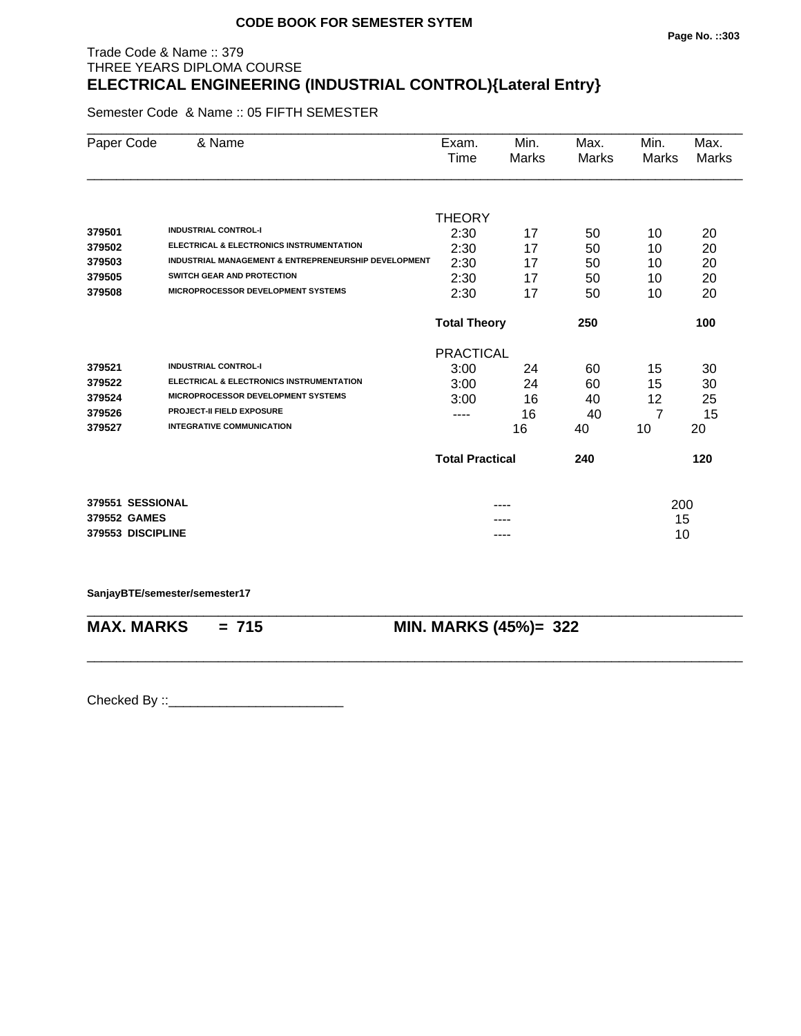#### **Page No. ::303**

#### Trade Code & Name :: 379 THREE YEARS DIPLOMA COURSE **ELECTRICAL ENGINEERING (INDUSTRIAL CONTROL){Lateral Entry}**

Semester Code & Name :: 05 FIFTH SEMESTER

| Paper Code        | & Name                                               | Exam.<br>Time              | Min.<br>Marks | Max.  | Min.  | Max.<br>Marks |
|-------------------|------------------------------------------------------|----------------------------|---------------|-------|-------|---------------|
|                   |                                                      |                            |               | Marks | Marks |               |
|                   |                                                      | <b>THEORY</b>              |               |       |       |               |
| 379501            | <b>INDUSTRIAL CONTROL-I</b>                          | 2:30                       | 17            | 50    | 10    | 20            |
| 379502            | <b>ELECTRICAL &amp; ELECTRONICS INSTRUMENTATION</b>  | 2:30                       | 17            | 50    | 10    | 20            |
| 379503            | INDUSTRIAL MANAGEMENT & ENTREPRENEURSHIP DEVELOPMENT | 2:30                       | 17            | 50    | 10    | 20            |
| 379505            | SWITCH GEAR AND PROTECTION                           | 2:30                       | 17            | 50    | 10    | 20            |
| 379508            | <b>MICROPROCESSOR DEVELOPMENT SYSTEMS</b>            | 2:30                       | 17            | 50    | 10    | 20            |
|                   |                                                      | <b>Total Theory</b><br>250 |               |       |       | 100           |
|                   |                                                      | <b>PRACTICAL</b>           |               |       |       |               |
| 379521            | <b>INDUSTRIAL CONTROL-I</b>                          | 3:00                       | 24            | 60    | 15    | 30            |
| 379522            | ELECTRICAL & ELECTRONICS INSTRUMENTATION             | 3:00                       | 24            | 60    | 15    | 30            |
| 379524            | MICROPROCESSOR DEVELOPMENT SYSTEMS                   | 3:00                       | 16            | 40    | 12    | 25            |
| 379526            | <b>PROJECT-II FIELD EXPOSURE</b>                     | ----                       | 16            | 40    | 7     | 15            |
| 379527            | <b>INTEGRATIVE COMMUNICATION</b>                     |                            | 16            | 40    | 10    | 20            |
|                   |                                                      | <b>Total Practical</b>     |               | 240   |       | 120           |
| 379551 SESSIONAL  |                                                      |                            | ----          |       | 200   |               |
| 379552 GAMES      |                                                      |                            |               |       | 15    |               |
| 379553 DISCIPLINE |                                                      |                            | ----          |       | 10    |               |

**SanjayBTE/semester/semester17**

\_\_\_\_\_\_\_\_\_\_\_\_\_\_\_\_\_\_\_\_\_\_\_\_\_\_\_\_\_\_\_\_\_\_\_\_\_\_\_\_\_\_\_\_\_\_\_\_\_\_\_\_\_\_\_\_\_\_\_\_\_\_\_\_\_\_\_\_\_\_\_\_\_\_\_\_\_\_\_\_\_\_\_\_\_\_\_\_\_\_ **MAX. MARKS = 715 MIN. MARKS (45%)= 322**

\_\_\_\_\_\_\_\_\_\_\_\_\_\_\_\_\_\_\_\_\_\_\_\_\_\_\_\_\_\_\_\_\_\_\_\_\_\_\_\_\_\_\_\_\_\_\_\_\_\_\_\_\_\_\_\_\_\_\_\_\_\_\_\_\_\_\_\_\_\_\_\_\_\_\_\_\_\_\_\_\_\_\_\_\_\_\_\_\_\_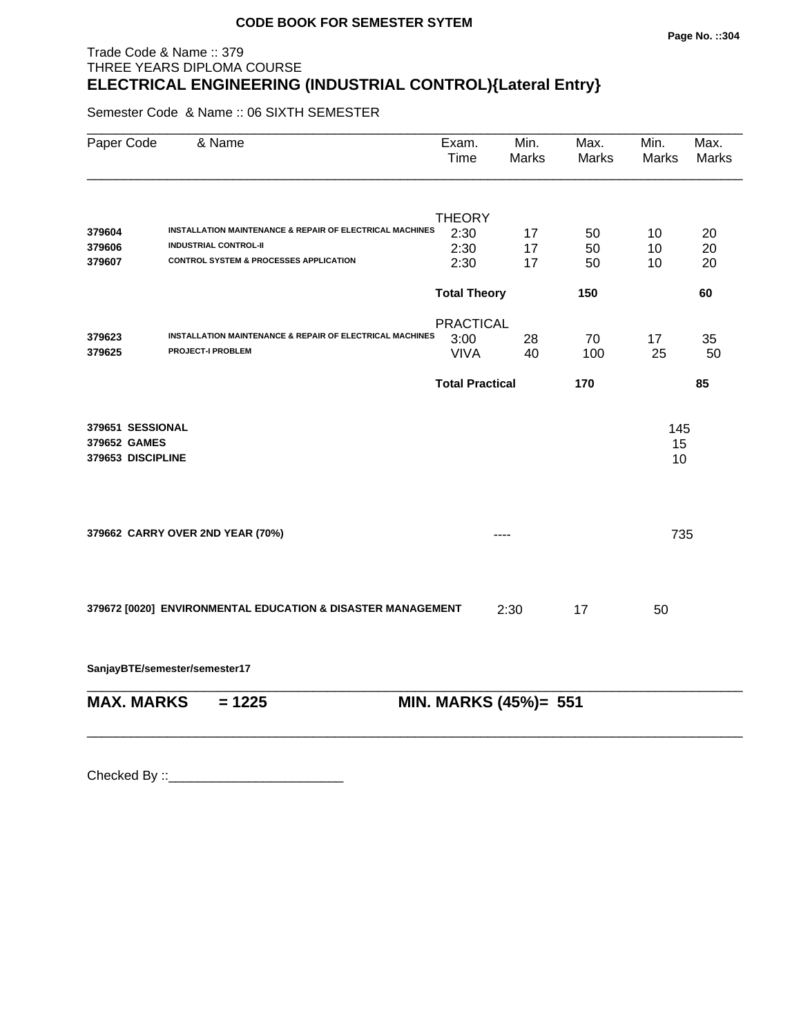# Trade Code & Name :: 379 THREE YEARS DIPLOMA COURSE **ELECTRICAL ENGINEERING (INDUSTRIAL CONTROL){Lateral Entry}**

Semester Code & Name :: 06 SIXTH SEMESTER

| Paper Code        | & Name                                                                               | Exam.<br>Time          | Min.<br><b>Marks</b>  | Max.<br><b>Marks</b> | Min.<br><b>Marks</b> | Max.<br><b>Marks</b> |
|-------------------|--------------------------------------------------------------------------------------|------------------------|-----------------------|----------------------|----------------------|----------------------|
|                   |                                                                                      | <b>THEORY</b>          |                       |                      |                      |                      |
| 379604            | INSTALLATION MAINTENANCE & REPAIR OF ELECTRICAL MACHINES                             | 2:30                   | 17                    | 50                   | 10                   | 20                   |
| 379606            | <b>INDUSTRIAL CONTROL-II</b>                                                         | 2:30                   | 17                    | 50                   | 10                   | 20                   |
| 379607            | <b>CONTROL SYSTEM &amp; PROCESSES APPLICATION</b>                                    | 2:30                   | 17                    | 50                   | 10                   | 20                   |
|                   |                                                                                      | <b>Total Theory</b>    |                       | 150                  |                      | 60                   |
|                   |                                                                                      | <b>PRACTICAL</b>       |                       |                      |                      |                      |
| 379623            | INSTALLATION MAINTENANCE & REPAIR OF ELECTRICAL MACHINES<br><b>PROJECT-I PROBLEM</b> | 3:00                   | 28                    | 70                   | 17                   | 35                   |
| 379625            |                                                                                      | <b>VIVA</b>            | 40                    | 100                  | 25                   | 50                   |
|                   |                                                                                      | <b>Total Practical</b> |                       | 170                  |                      | 85                   |
| 379651 SESSIONAL  |                                                                                      |                        |                       |                      | 145                  |                      |
| 379652 GAMES      |                                                                                      |                        |                       |                      | 15                   |                      |
| 379653 DISCIPLINE |                                                                                      |                        |                       |                      | 10                   |                      |
|                   |                                                                                      |                        |                       |                      |                      |                      |
|                   | 379662 CARRY OVER 2ND YEAR (70%)                                                     |                        | ----                  |                      | 735                  |                      |
|                   |                                                                                      |                        |                       |                      |                      |                      |
|                   | 379672 [0020] ENVIRONMENTAL EDUCATION & DISASTER MANAGEMENT                          |                        | 2:30                  | 17                   | 50                   |                      |
|                   | SanjayBTE/semester/semester17                                                        |                        |                       |                      |                      |                      |
| <b>MAX. MARKS</b> | $= 1225$                                                                             |                        | MIN. MARKS (45%)= 551 |                      |                      |                      |
|                   |                                                                                      |                        |                       |                      |                      |                      |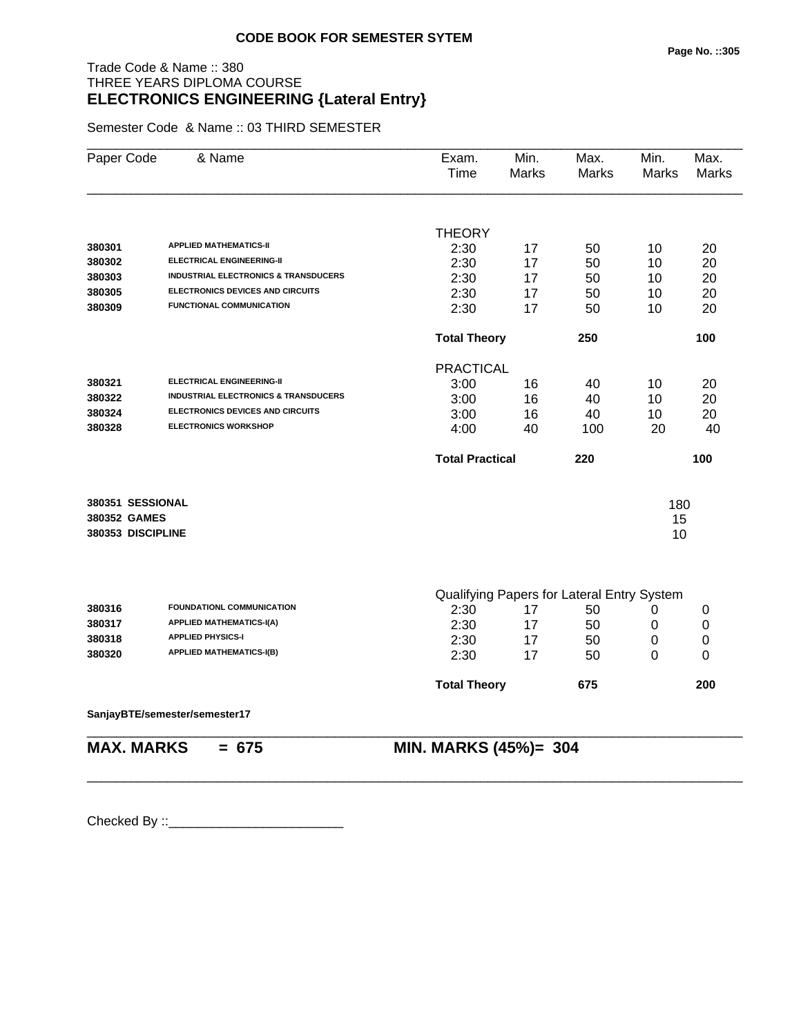# Trade Code & Name :: 380 THREE YEARS DIPLOMA COURSE **ELECTRONICS ENGINEERING {Lateral Entry}**

Semester Code & Name :: 03 THIRD SEMESTER

| Paper Code        | & Name                                          | Exam.<br>Time          | Min.<br><b>Marks</b> | Max.<br><b>Marks</b>                       | Min.<br><b>Marks</b> | Max.<br><b>Marks</b> |
|-------------------|-------------------------------------------------|------------------------|----------------------|--------------------------------------------|----------------------|----------------------|
|                   |                                                 |                        |                      |                                            |                      |                      |
| 380301            | <b>APPLIED MATHEMATICS-II</b>                   | <b>THEORY</b>          |                      |                                            |                      |                      |
| 380302            | <b>ELECTRICAL ENGINEERING-II</b>                | 2:30                   | 17                   | 50                                         | 10                   | 20                   |
| 380303            | <b>INDUSTRIAL ELECTRONICS &amp; TRANSDUCERS</b> | 2:30<br>2:30           | 17<br>17             | 50                                         | 10                   | 20<br>20             |
| 380305            | <b>ELECTRONICS DEVICES AND CIRCUITS</b>         | 2:30                   |                      | 50                                         | 10                   | 20                   |
| 380309            | <b>FUNCTIONAL COMMUNICATION</b>                 | 2:30                   | 17<br>17             | 50<br>50                                   | 10<br>10             | 20                   |
|                   |                                                 |                        |                      |                                            |                      |                      |
|                   |                                                 | <b>Total Theory</b>    |                      | 250                                        |                      | 100                  |
|                   |                                                 | <b>PRACTICAL</b>       |                      |                                            |                      |                      |
| 380321            | <b>ELECTRICAL ENGINEERING-II</b>                | 3:00                   | 16                   | 40                                         | 10                   | 20                   |
| 380322            | <b>INDUSTRIAL ELECTRONICS &amp; TRANSDUCERS</b> | 3:00                   | 16                   | 40                                         | 10                   | 20                   |
| 380324            | <b>ELECTRONICS DEVICES AND CIRCUITS</b>         | 3:00                   | 16                   | 40                                         | 10                   | 20                   |
| 380328            | <b>ELECTRONICS WORKSHOP</b>                     | 4:00                   | 40                   | 100                                        | 20                   | 40                   |
|                   |                                                 | <b>Total Practical</b> |                      | 220                                        |                      | 100                  |
| 380351 SESSIONAL  |                                                 |                        |                      |                                            | 180                  |                      |
| 380352 GAMES      |                                                 |                        |                      |                                            | 15                   |                      |
| 380353 DISCIPLINE |                                                 |                        |                      |                                            | 10                   |                      |
|                   |                                                 |                        |                      |                                            |                      |                      |
|                   |                                                 |                        |                      | Qualifying Papers for Lateral Entry System |                      |                      |
| 380316            | FOUNDATIONL COMMUNICATION                       | 2:30                   | 17                   | 50                                         | 0                    | 0                    |
| 380317            | <b>APPLIED MATHEMATICS-I(A)</b>                 | 2:30                   | 17                   | 50                                         | 0                    | 0                    |
| 380318            | <b>APPLIED PHYSICS-I</b>                        | 2:30                   | 17                   | 50                                         | 0                    | 0                    |
| 380320            | <b>APPLIED MATHEMATICS-I(B)</b>                 | 2:30                   | 17                   | 50                                         | 0                    | 0                    |
|                   |                                                 | <b>Total Theory</b>    |                      | 675                                        |                      | 200                  |
|                   | SanjayBTE/semester/semester17                   |                        |                      |                                            |                      |                      |
| <b>MAX. MARKS</b> | $= 675$                                         | MIN. MARKS (45%)= 304  |                      |                                            |                      |                      |

\_\_\_\_\_\_\_\_\_\_\_\_\_\_\_\_\_\_\_\_\_\_\_\_\_\_\_\_\_\_\_\_\_\_\_\_\_\_\_\_\_\_\_\_\_\_\_\_\_\_\_\_\_\_\_\_\_\_\_\_\_\_\_\_\_\_\_\_\_\_\_\_\_\_\_\_\_\_\_\_\_\_\_\_\_\_\_\_\_\_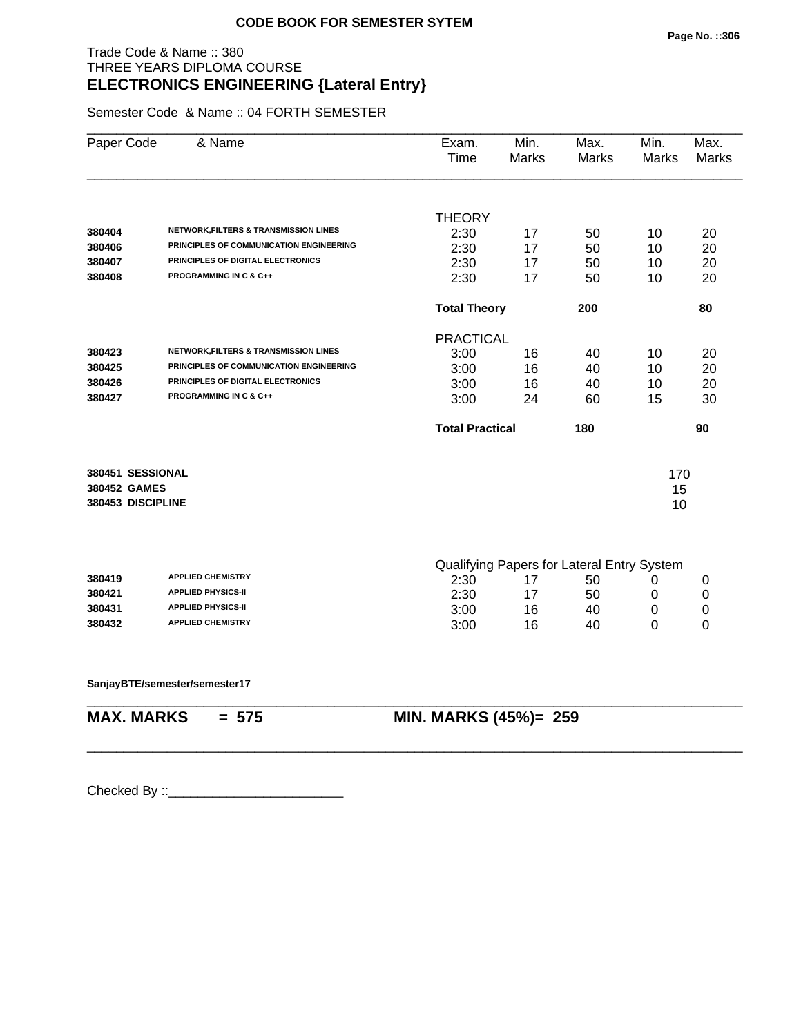#### Trade Code & Name :: 380 THREE YEARS DIPLOMA COURSE **ELECTRONICS ENGINEERING {Lateral Entry}**

Semester Code & Name :: 04 FORTH SEMESTER

| Paper Code        | & Name                                           | Exam.<br>Time          | Min.<br>Marks                                    | Max.<br>Marks | Min.<br><b>Marks</b> | Max.<br><b>Marks</b> |
|-------------------|--------------------------------------------------|------------------------|--------------------------------------------------|---------------|----------------------|----------------------|
|                   |                                                  | <b>THEORY</b>          |                                                  |               |                      |                      |
| 380404            | <b>NETWORK, FILTERS &amp; TRANSMISSION LINES</b> | 2:30                   | 17                                               | 50            | 10                   | 20                   |
| 380406            | PRINCIPLES OF COMMUNICATION ENGINEERING          | 2:30                   | 17                                               | 50            | 10                   | 20                   |
| 380407            | PRINCIPLES OF DIGITAL ELECTRONICS                | 2:30                   | 17                                               | 50            | 10                   | 20                   |
| 380408            | <b>PROGRAMMING IN C &amp; C++</b>                | 2:30                   | 17                                               | 50            | 10                   | 20                   |
|                   |                                                  | <b>Total Theory</b>    |                                                  | 200           |                      | 80                   |
|                   |                                                  | <b>PRACTICAL</b>       |                                                  |               |                      |                      |
| 380423            | <b>NETWORK, FILTERS &amp; TRANSMISSION LINES</b> | 3:00                   | 16                                               | 40            | 10                   | 20                   |
| 380425            | PRINCIPLES OF COMMUNICATION ENGINEERING          | 3:00                   | 16                                               | 40            | 10                   | 20                   |
| 380426            | PRINCIPLES OF DIGITAL ELECTRONICS                | 3:00                   | 16                                               | 40            | 10                   | 20                   |
| 380427            | <b>PROGRAMMING IN C &amp; C++</b>                | 3:00                   | 24                                               | 60            | 15                   | 30                   |
|                   |                                                  | <b>Total Practical</b> |                                                  | 180           |                      | 90                   |
| 380451 SESSIONAL  |                                                  |                        |                                                  |               | 170                  |                      |
| 380452 GAMES      |                                                  |                        |                                                  |               | 15                   |                      |
| 380453 DISCIPLINE |                                                  |                        |                                                  |               | 10                   |                      |
|                   |                                                  |                        |                                                  |               |                      |                      |
| 380419            | <b>APPLIED CHEMISTRY</b>                         | 2:30                   | Qualifying Papers for Lateral Entry System<br>17 | 50            | 0                    | 0                    |
| 380421            | <b>APPLIED PHYSICS-II</b>                        | 2:30                   | 17                                               | 50            | 0                    | 0                    |
| 380431            | <b>APPLIED PHYSICS-II</b>                        | 3:00                   | 16                                               | 40            | 0                    | 0                    |
| 380432            | <b>APPLIED CHEMISTRY</b>                         | 3:00                   | 16                                               | 40            | 0                    | 0                    |
|                   |                                                  |                        |                                                  |               |                      |                      |
|                   | SanjayBTE/semester/semester17                    |                        |                                                  |               |                      |                      |

\_\_\_\_\_\_\_\_\_\_\_\_\_\_\_\_\_\_\_\_\_\_\_\_\_\_\_\_\_\_\_\_\_\_\_\_\_\_\_\_\_\_\_\_\_\_\_\_\_\_\_\_\_\_\_\_\_\_\_\_\_\_\_\_\_\_\_\_\_\_\_\_\_\_\_\_\_\_\_\_\_\_\_\_\_\_\_\_\_\_

**MAX. MARKS = 575 MIN. MARKS (45%)= 259**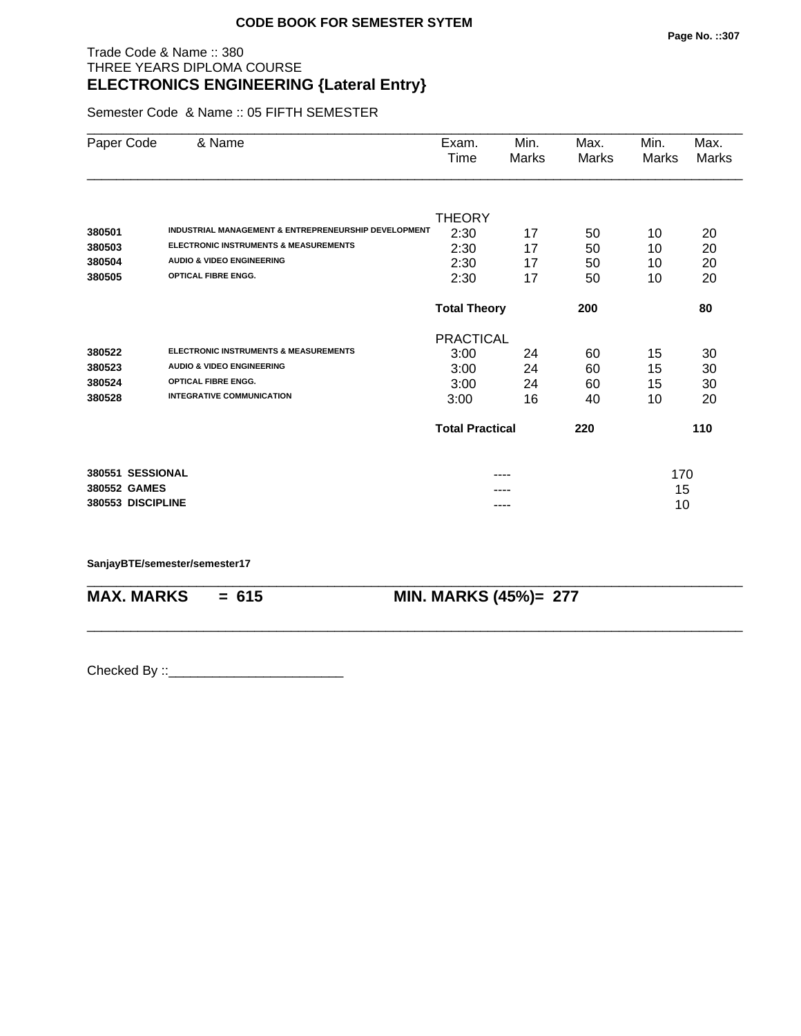#### Trade Code & Name :: 380 THREE YEARS DIPLOMA COURSE **ELECTRONICS ENGINEERING {Lateral Entry}**

Semester Code & Name :: 05 FIFTH SEMESTER

| Paper Code                                            | & Name                                                                                                                                                     | Exam.<br>Time                                          | Min.<br>Marks        | Max.<br>Marks               | Min.<br>Marks        | Max.<br><b>Marks</b>        |
|-------------------------------------------------------|------------------------------------------------------------------------------------------------------------------------------------------------------------|--------------------------------------------------------|----------------------|-----------------------------|----------------------|-----------------------------|
| 380501<br>380503<br>380504                            | INDUSTRIAL MANAGEMENT & ENTREPRENEURSHIP DEVELOPMENT<br><b>ELECTRONIC INSTRUMENTS &amp; MEASUREMENTS</b><br><b>AUDIO &amp; VIDEO ENGINEERING</b>           | <b>THEORY</b><br>2:30<br>2:30<br>2:30                  | 17<br>17<br>17       | 50<br>50<br>50              | 10<br>10<br>10       | 20<br>20<br>20              |
| 380505                                                | <b>OPTICAL FIBRE ENGG.</b>                                                                                                                                 | 2:30                                                   | 17                   | 50                          | 10                   | 20                          |
|                                                       |                                                                                                                                                            | <b>Total Theory</b>                                    |                      | 200                         |                      | 80                          |
|                                                       |                                                                                                                                                            | <b>PRACTICAL</b>                                       |                      |                             |                      |                             |
| 380522<br>380523<br>380524<br>380528                  | <b>ELECTRONIC INSTRUMENTS &amp; MEASUREMENTS</b><br><b>AUDIO &amp; VIDEO ENGINEERING</b><br><b>OPTICAL FIBRE ENGG.</b><br><b>INTEGRATIVE COMMUNICATION</b> | 3:00<br>3:00<br>3:00<br>3:00<br><b>Total Practical</b> | 24<br>24<br>24<br>16 | 60<br>60<br>60<br>40<br>220 | 15<br>15<br>15<br>10 | 30<br>30<br>30<br>20<br>110 |
|                                                       |                                                                                                                                                            |                                                        |                      |                             |                      |                             |
| 380551 SESSIONAL<br>380552 GAMES<br>380553 DISCIPLINE |                                                                                                                                                            |                                                        | ----                 |                             | 170<br>15<br>10      |                             |

\_\_\_\_\_\_\_\_\_\_\_\_\_\_\_\_\_\_\_\_\_\_\_\_\_\_\_\_\_\_\_\_\_\_\_\_\_\_\_\_\_\_\_\_\_\_\_\_\_\_\_\_\_\_\_\_\_\_\_\_\_\_\_\_\_\_\_\_\_\_\_\_\_\_\_\_\_\_\_\_\_\_\_\_\_\_\_\_\_\_

\_\_\_\_\_\_\_\_\_\_\_\_\_\_\_\_\_\_\_\_\_\_\_\_\_\_\_\_\_\_\_\_\_\_\_\_\_\_\_\_\_\_\_\_\_\_\_\_\_\_\_\_\_\_\_\_\_\_\_\_\_\_\_\_\_\_\_\_\_\_\_\_\_\_\_\_\_\_\_\_\_\_\_\_\_\_\_\_\_\_

**SanjayBTE/semester/semester17**

**MAX. MARKS = 615 MIN. MARKS (45%)= 277**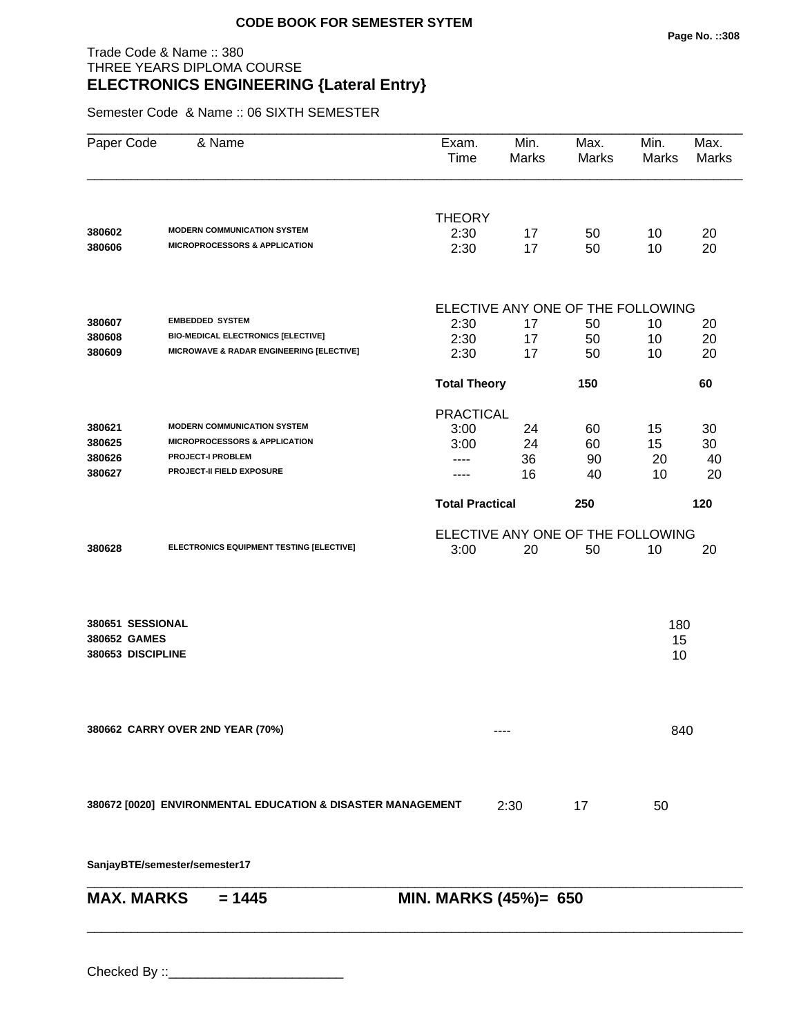# Trade Code & Name :: 380 THREE YEARS DIPLOMA COURSE **ELECTRONICS ENGINEERING {Lateral Entry}**

Semester Code & Name :: 06 SIXTH SEMESTER

| Paper Code        | & Name                                                      | Exam.<br>Time          | Min.<br><b>Marks</b> | Max.<br><b>Marks</b>              | Min.<br>Marks | Max.<br><b>Marks</b> |
|-------------------|-------------------------------------------------------------|------------------------|----------------------|-----------------------------------|---------------|----------------------|
| 380602            | <b>MODERN COMMUNICATION SYSTEM</b>                          | <b>THEORY</b><br>2:30  |                      | 50                                |               | 20                   |
| 380606            | <b>MICROPROCESSORS &amp; APPLICATION</b>                    | 2:30                   | 17<br>17             | 50                                | 10<br>10      | 20                   |
|                   |                                                             |                        |                      | ELECTIVE ANY ONE OF THE FOLLOWING |               |                      |
| 380607            | <b>EMBEDDED SYSTEM</b>                                      | 2:30                   | 17                   | 50                                | 10            | 20                   |
| 380608            | <b>BIO-MEDICAL ELECTRONICS [ELECTIVE]</b>                   | 2:30                   | 17                   | 50                                | 10            | 20                   |
| 380609            | MICROWAVE & RADAR ENGINEERING [ELECTIVE]                    | 2:30                   | 17                   | 50                                | 10            | 20                   |
|                   |                                                             | <b>Total Theory</b>    |                      | 150                               |               | 60                   |
|                   |                                                             | <b>PRACTICAL</b>       |                      |                                   |               |                      |
| 380621            | <b>MODERN COMMUNICATION SYSTEM</b>                          | 3:00                   | 24                   | 60                                | 15            | 30                   |
| 380625            | <b>MICROPROCESSORS &amp; APPLICATION</b>                    | 3:00                   | 24                   | 60                                | 15            | 30                   |
| 380626            | <b>PROJECT-I PROBLEM</b>                                    | $- - - -$              | 36                   | 90                                | 20            | 40                   |
| 380627            | PROJECT-II FIELD EXPOSURE                                   |                        | 16                   | 40                                | 10            | 20                   |
|                   |                                                             | <b>Total Practical</b> |                      | 250                               |               | 120                  |
|                   |                                                             |                        |                      | ELECTIVE ANY ONE OF THE FOLLOWING |               |                      |
| 380628            | ELECTRONICS EQUIPMENT TESTING [ELECTIVE]                    | 3:00                   | 20                   | 50                                | 10            | 20                   |
|                   |                                                             |                        |                      |                                   |               |                      |
| 380651 SESSIONAL  |                                                             |                        |                      |                                   | 180           |                      |
| 380652 GAMES      |                                                             |                        |                      |                                   | 15            |                      |
| 380653 DISCIPLINE |                                                             |                        |                      |                                   | 10            |                      |
|                   |                                                             |                        |                      |                                   |               |                      |
|                   | 380662 CARRY OVER 2ND YEAR (70%)                            |                        |                      |                                   | 840           |                      |
|                   |                                                             |                        |                      |                                   |               |                      |
|                   | 380672 [0020] ENVIRONMENTAL EDUCATION & DISASTER MANAGEMENT |                        | 2:30                 | 17                                | 50            |                      |
|                   | SanjayBTE/semester/semester17                               |                        |                      |                                   |               |                      |

| $MAX. \, MARKS = 1445$ | <b>MIN. MARKS (45%)= 650</b> |
|------------------------|------------------------------|
|                        |                              |
|                        |                              |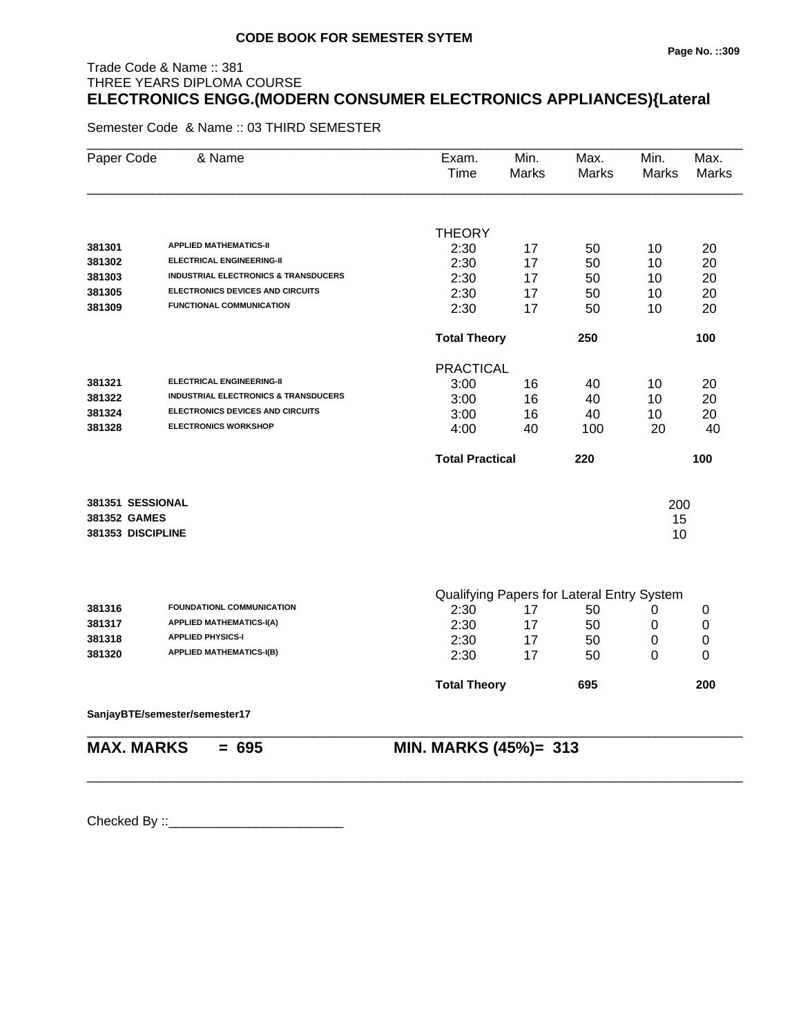# Trade Code & Name :: 381 THREE YEARS DIPLOMA COURSE **ELECTRONICS ENGG.(MODERN CONSUMER ELECTRONICS APPLIANCES){Lateral**

Semester Code & Name :: 03 THIRD SEMESTER

| Paper Code        | & Name                                          | Exam.<br>Time          | Min.<br><b>Marks</b> | Max.<br>Marks                              | Min.<br>Marks | Max.<br><b>Marks</b> |
|-------------------|-------------------------------------------------|------------------------|----------------------|--------------------------------------------|---------------|----------------------|
|                   |                                                 |                        |                      |                                            |               |                      |
|                   |                                                 | <b>THEORY</b>          |                      |                                            |               |                      |
| 381301            | <b>APPLIED MATHEMATICS-II</b>                   | 2:30                   | 17                   | 50                                         | 10            | 20                   |
| 381302            | <b>ELECTRICAL ENGINEERING-II</b>                | 2:30                   | 17                   | 50                                         | 10            | 20                   |
| 381303            | <b>INDUSTRIAL ELECTRONICS &amp; TRANSDUCERS</b> | 2:30                   | 17                   | 50                                         | 10            | 20                   |
| 381305            | <b>ELECTRONICS DEVICES AND CIRCUITS</b>         | 2:30                   | 17                   | 50                                         | 10            | 20                   |
| 381309            | FUNCTIONAL COMMUNICATION                        | 2:30                   | 17                   | 50                                         | 10            | 20                   |
|                   |                                                 | <b>Total Theory</b>    |                      | 250                                        |               | 100                  |
|                   |                                                 | <b>PRACTICAL</b>       |                      |                                            |               |                      |
| 381321            | <b>ELECTRICAL ENGINEERING-II</b>                | 3:00                   | 16                   | 40                                         | 10            | 20                   |
| 381322            | <b>INDUSTRIAL ELECTRONICS &amp; TRANSDUCERS</b> | 3:00                   | 16                   | 40                                         | 10            | 20                   |
| 381324            | <b>ELECTRONICS DEVICES AND CIRCUITS</b>         | 3:00                   | 16                   | 40                                         | 10            | 20                   |
| 381328            | <b>ELECTRONICS WORKSHOP</b>                     | 4:00                   | 40                   | 100                                        | 20            | 40                   |
|                   |                                                 | <b>Total Practical</b> |                      | 220                                        |               | 100                  |
| 381351 SESSIONAL  |                                                 |                        |                      |                                            | 200           |                      |
| 381352 GAMES      |                                                 |                        |                      |                                            | 15            |                      |
| 381353 DISCIPLINE |                                                 |                        |                      |                                            | 10            |                      |
|                   |                                                 |                        |                      |                                            |               |                      |
|                   |                                                 |                        |                      | Qualifying Papers for Lateral Entry System |               |                      |
| 381316            | <b>FOUNDATIONL COMMUNICATION</b>                | 2:30                   | 17                   | 50                                         | 0             | 0                    |
| 381317            | <b>APPLIED MATHEMATICS-I(A)</b>                 | 2:30                   | 17                   | 50                                         | 0             | $\boldsymbol{0}$     |
| 381318            | <b>APPLIED PHYSICS-I</b>                        | 2:30                   | 17                   | 50                                         | 0             | 0                    |
| 381320            | <b>APPLIED MATHEMATICS-I(B)</b>                 | 2:30                   | 17                   | 50                                         | 0             | 0                    |
|                   |                                                 | <b>Total Theory</b>    |                      | 695                                        |               | 200                  |
|                   | SanjayBTE/semester/semester17                   |                        |                      |                                            |               |                      |
| <b>MAX. MARKS</b> | $= 695$                                         | MIN. MARKS (45%)= 313  |                      |                                            |               |                      |
|                   |                                                 |                        |                      |                                            |               |                      |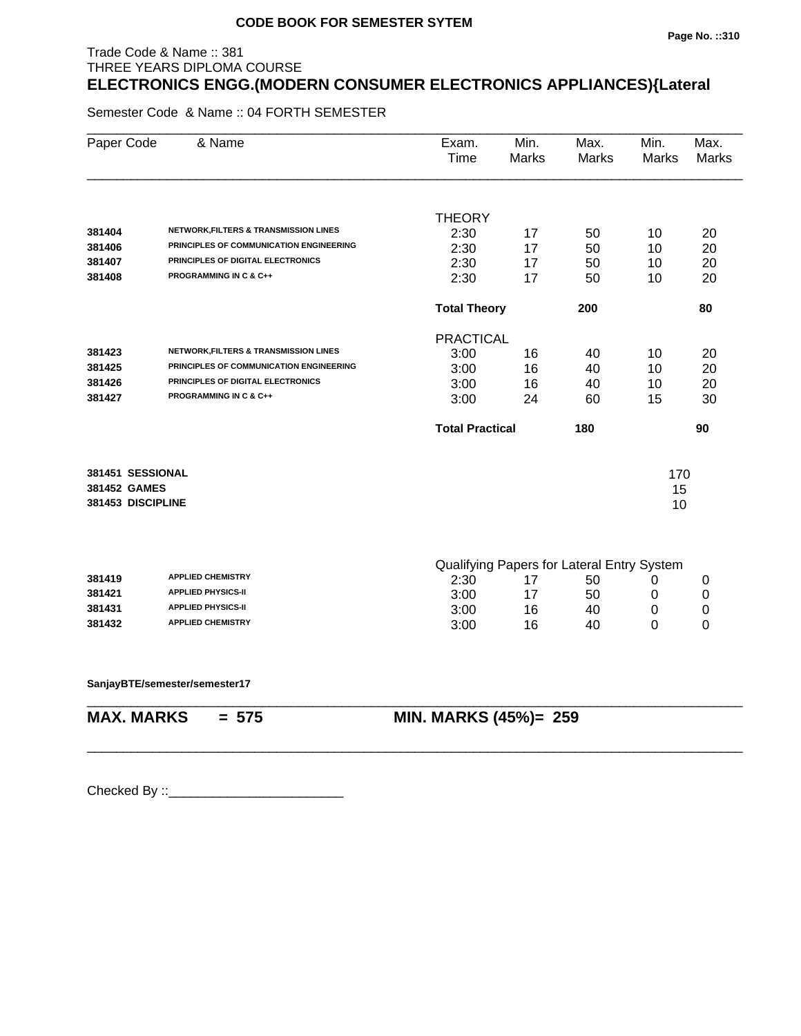#### **Page No. ::310**

# THREE YEARS DIPLOMA COURSE **ELECTRONICS ENGG.(MODERN CONSUMER ELECTRONICS APPLIANCES){Lateral**

Semester Code & Name :: 04 FORTH SEMESTER

Trade Code & Name :: 381

| Paper Code        | & Name                                           | Exam.<br>Time          | Min.<br><b>Marks</b> | Max.<br><b>Marks</b>                             | Min.<br><b>Marks</b> | Max.<br><b>Marks</b> |
|-------------------|--------------------------------------------------|------------------------|----------------------|--------------------------------------------------|----------------------|----------------------|
|                   |                                                  | <b>THEORY</b>          |                      |                                                  |                      |                      |
| 381404            | NETWORK, FILTERS & TRANSMISSION LINES            | 2:30                   | 17                   | 50                                               | 10                   | 20                   |
| 381406            | PRINCIPLES OF COMMUNICATION ENGINEERING          | 2:30                   | 17                   | 50                                               | 10                   | 20                   |
| 381407            | PRINCIPLES OF DIGITAL ELECTRONICS                | 2:30                   | 17                   | 50                                               | 10                   | 20                   |
| 381408            | <b>PROGRAMMING IN C &amp; C++</b>                | 2:30                   | 17                   | 50                                               | 10                   | 20                   |
|                   |                                                  | <b>Total Theory</b>    |                      | 200                                              |                      | 80                   |
|                   |                                                  | <b>PRACTICAL</b>       |                      |                                                  |                      |                      |
| 381423            | <b>NETWORK, FILTERS &amp; TRANSMISSION LINES</b> | 3:00                   | 16                   | 40                                               | 10                   | 20                   |
| 381425            | PRINCIPLES OF COMMUNICATION ENGINEERING          | 3:00                   | 16                   | 40                                               | 10                   | 20                   |
| 381426            | PRINCIPLES OF DIGITAL ELECTRONICS                | 3:00                   | 16                   | 40                                               | 10                   | 20                   |
| 381427            | <b>PROGRAMMING IN C &amp; C++</b>                | 3:00                   | 24                   | 60                                               | 15                   | 30                   |
|                   |                                                  | <b>Total Practical</b> |                      | 180                                              |                      | 90                   |
| 381451 SESSIONAL  |                                                  |                        |                      |                                                  | 170                  |                      |
| 381452 GAMES      |                                                  |                        |                      |                                                  | 15                   |                      |
| 381453 DISCIPLINE |                                                  |                        |                      |                                                  | 10                   |                      |
|                   |                                                  |                        |                      |                                                  |                      |                      |
| 381419            | <b>APPLIED CHEMISTRY</b>                         | 2:30                   | 17                   | Qualifying Papers for Lateral Entry System<br>50 | 0                    | 0                    |
| 381421            | <b>APPLIED PHYSICS-II</b>                        | 3:00                   | 17                   | 50                                               | 0                    | 0                    |
| 381431            | <b>APPLIED PHYSICS-II</b>                        | 3:00                   | 16                   | 40                                               | 0                    | 0                    |
| 381432            | <b>APPLIED CHEMISTRY</b>                         | 3:00                   | 16                   | 40                                               | 0                    | 0                    |
|                   |                                                  |                        |                      |                                                  |                      |                      |
|                   | SanjayBTE/semester/semester17                    |                        |                      |                                                  |                      |                      |

\_\_\_\_\_\_\_\_\_\_\_\_\_\_\_\_\_\_\_\_\_\_\_\_\_\_\_\_\_\_\_\_\_\_\_\_\_\_\_\_\_\_\_\_\_\_\_\_\_\_\_\_\_\_\_\_\_\_\_\_\_\_\_\_\_\_\_\_\_\_\_\_\_\_\_\_\_\_\_\_\_\_\_\_\_\_\_\_\_\_

**MAX. MARKS = 575 MIN. MARKS (45%)= 259**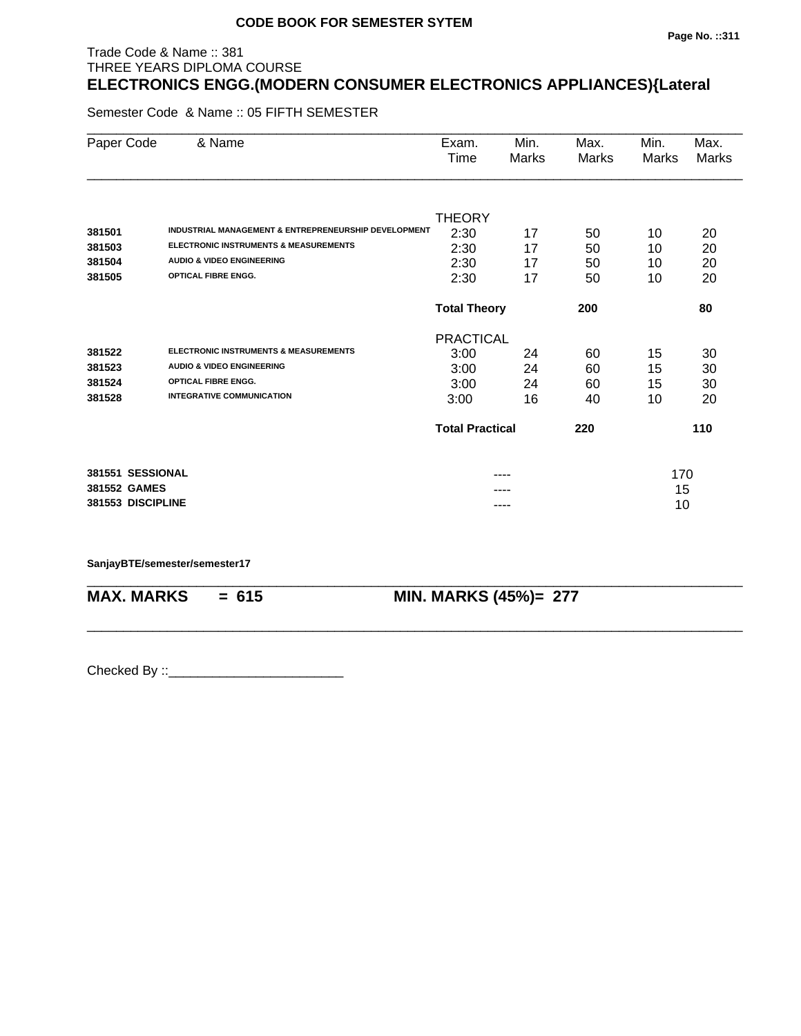#### **Page No. ::311**

# THREE YEARS DIPLOMA COURSE **ELECTRONICS ENGG.(MODERN CONSUMER ELECTRONICS APPLIANCES){Lateral**

Semester Code & Name :: 05 FIFTH SEMESTER

Trade Code & Name :: 381

| Paper Code        | & Name                                               | Exam.                  | Min.  | Max.  | Min.  | Max.         |
|-------------------|------------------------------------------------------|------------------------|-------|-------|-------|--------------|
|                   |                                                      | Time                   | Marks | Marks | Marks | <b>Marks</b> |
|                   |                                                      |                        |       |       |       |              |
|                   |                                                      | <b>THEORY</b>          |       |       |       |              |
| 381501            | INDUSTRIAL MANAGEMENT & ENTREPRENEURSHIP DEVELOPMENT | 2:30                   | 17    | 50    | 10    | 20           |
| 381503            | <b>ELECTRONIC INSTRUMENTS &amp; MEASUREMENTS</b>     | 2:30                   | 17    | 50    | 10    | 20           |
| 381504            | <b>AUDIO &amp; VIDEO ENGINEERING</b>                 | 2:30                   | 17    | 50    | 10    | 20           |
| 381505            | <b>OPTICAL FIBRE ENGG.</b>                           | 2:30                   | 17    | 50    | 10    | 20           |
|                   |                                                      | <b>Total Theory</b>    |       | 200   |       | 80           |
|                   |                                                      | <b>PRACTICAL</b>       |       |       |       |              |
| 381522            | <b>ELECTRONIC INSTRUMENTS &amp; MEASUREMENTS</b>     | 3:00                   | 24    | 60    | 15    | 30           |
| 381523            | <b>AUDIO &amp; VIDEO ENGINEERING</b>                 | 3:00                   | 24    | 60    | 15    | 30           |
| 381524            | <b>OPTICAL FIBRE ENGG.</b>                           | 3:00                   | 24    | 60    | 15    | 30           |
| 381528            | <b>INTEGRATIVE COMMUNICATION</b>                     | 3:00                   | 16    | 40    | 10    | 20           |
|                   |                                                      | <b>Total Practical</b> |       | 220   |       | 110          |
| 381551 SESSIONAL  |                                                      |                        | ----  |       | 170   |              |
| 381552 GAMES      |                                                      |                        |       |       | 15    |              |
| 381553 DISCIPLINE |                                                      |                        | ----  |       | 10    |              |
|                   |                                                      |                        |       |       |       |              |

\_\_\_\_\_\_\_\_\_\_\_\_\_\_\_\_\_\_\_\_\_\_\_\_\_\_\_\_\_\_\_\_\_\_\_\_\_\_\_\_\_\_\_\_\_\_\_\_\_\_\_\_\_\_\_\_\_\_\_\_\_\_\_\_\_\_\_\_\_\_\_\_\_\_\_\_\_\_\_\_\_\_\_\_\_\_\_\_\_\_

\_\_\_\_\_\_\_\_\_\_\_\_\_\_\_\_\_\_\_\_\_\_\_\_\_\_\_\_\_\_\_\_\_\_\_\_\_\_\_\_\_\_\_\_\_\_\_\_\_\_\_\_\_\_\_\_\_\_\_\_\_\_\_\_\_\_\_\_\_\_\_\_\_\_\_\_\_\_\_\_\_\_\_\_\_\_\_\_\_\_

#### **SanjayBTE/semester/semester17**

**MAX. MARKS = 615 MIN. MARKS (45%)= 277**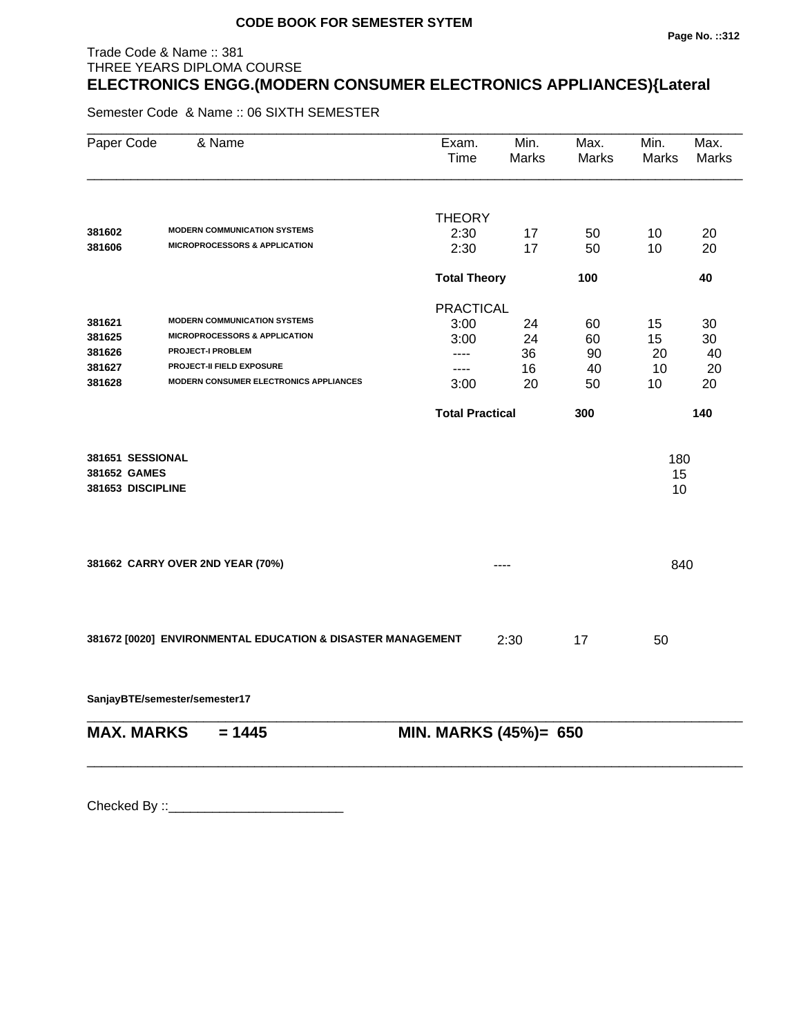#### **Page No. ::312**

# THREE YEARS DIPLOMA COURSE **ELECTRONICS ENGG.(MODERN CONSUMER ELECTRONICS APPLIANCES){Lateral**

Semester Code & Name :: 06 SIXTH SEMESTER

Trade Code & Name :: 381

| Paper Code        | & Name                                                      | Exam.<br>Time          | Min.<br><b>Marks</b> | Max.<br><b>Marks</b> | Min.<br>Marks | Max.<br><b>Marks</b> |
|-------------------|-------------------------------------------------------------|------------------------|----------------------|----------------------|---------------|----------------------|
|                   |                                                             |                        |                      |                      |               |                      |
| 381602            | <b>MODERN COMMUNICATION SYSTEMS</b>                         | <b>THEORY</b>          |                      |                      |               |                      |
| 381606            | <b>MICROPROCESSORS &amp; APPLICATION</b>                    | 2:30<br>2:30           | 17<br>17             | 50<br>50             | 10<br>10      | 20<br>20             |
|                   |                                                             | <b>Total Theory</b>    |                      | 100                  |               | 40                   |
|                   |                                                             | <b>PRACTICAL</b>       |                      |                      |               |                      |
| 381621            | <b>MODERN COMMUNICATION SYSTEMS</b>                         | 3:00                   | 24                   | 60                   | 15            | 30                   |
| 381625            | <b>MICROPROCESSORS &amp; APPLICATION</b>                    | 3:00                   | 24                   | 60                   | 15            | 30                   |
| 381626            | <b>PROJECT-I PROBLEM</b>                                    | ----                   | 36                   | 90                   | 20            | 40                   |
| 381627            | PROJECT-II FIELD EXPOSURE                                   | ----                   | 16                   | 40                   | 10            | 20                   |
| 381628            | MODERN CONSUMER ELECTRONICS APPLIANCES                      | 3:00                   | 20                   | 50                   | 10            | 20                   |
|                   |                                                             | <b>Total Practical</b> |                      | 300                  |               | 140                  |
| 381651 SESSIONAL  |                                                             |                        |                      |                      | 180           |                      |
| 381652 GAMES      |                                                             |                        |                      |                      | 15            |                      |
| 381653 DISCIPLINE |                                                             |                        |                      |                      | 10            |                      |
|                   |                                                             |                        |                      |                      |               |                      |
|                   |                                                             |                        |                      |                      |               |                      |
|                   | 381662 CARRY OVER 2ND YEAR (70%)                            |                        | ----                 |                      | 840           |                      |
|                   |                                                             |                        |                      |                      |               |                      |
|                   | 381672 [0020] ENVIRONMENTAL EDUCATION & DISASTER MANAGEMENT |                        | 2:30                 | 17                   | 50            |                      |
|                   |                                                             |                        |                      |                      |               |                      |

**SanjayBTE/semester/semester17**

| $MAX. \, MARKS = 1445$ | <b>MIN. MARKS (45%)= 650</b> |
|------------------------|------------------------------|
|                        |                              |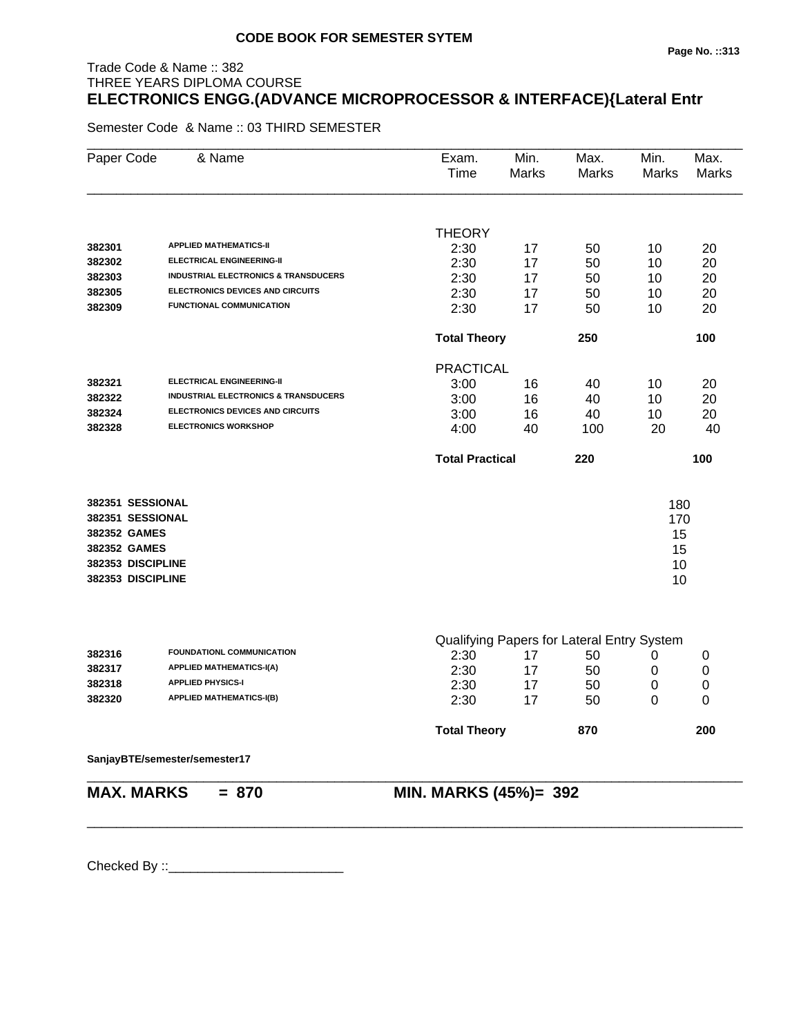# Trade Code & Name :: 382 THREE YEARS DIPLOMA COURSE **ELECTRONICS ENGG.(ADVANCE MICROPROCESSOR & INTERFACE){Lateral Entr**

Semester Code & Name :: 03 THIRD SEMESTER

| Paper Code        | & Name                                          | Exam.<br>Time          | Min.<br><b>Marks</b> | Max.<br>Marks                              | Min.<br>Marks    | Max.<br><b>Marks</b>       |
|-------------------|-------------------------------------------------|------------------------|----------------------|--------------------------------------------|------------------|----------------------------|
|                   |                                                 |                        |                      |                                            |                  |                            |
|                   |                                                 | <b>THEORY</b>          |                      |                                            |                  |                            |
| 382301            | <b>APPLIED MATHEMATICS-II</b>                   | 2:30                   | 17                   | 50                                         | 10               | 20                         |
| 382302            | <b>ELECTRICAL ENGINEERING-II</b>                | 2:30                   | 17                   | 50                                         | 10               | 20                         |
| 382303            | <b>INDUSTRIAL ELECTRONICS &amp; TRANSDUCERS</b> | 2:30                   | 17                   | 50                                         | 10               | 20                         |
| 382305            | <b>ELECTRONICS DEVICES AND CIRCUITS</b>         | 2:30                   | 17                   | 50                                         | 10               | 20                         |
| 382309            | FUNCTIONAL COMMUNICATION                        | 2:30                   | 17                   | 50                                         | 10               | 20                         |
|                   |                                                 | <b>Total Theory</b>    |                      | 250                                        |                  | 100                        |
|                   |                                                 | <b>PRACTICAL</b>       |                      |                                            |                  |                            |
| 382321            | <b>ELECTRICAL ENGINEERING-II</b>                | 3:00                   | 16                   | 40                                         | 10               | 20                         |
| 382322            | <b>INDUSTRIAL ELECTRONICS &amp; TRANSDUCERS</b> | 3:00                   | 16                   | 40                                         | 10               | 20                         |
| 382324            | <b>ELECTRONICS DEVICES AND CIRCUITS</b>         | 3:00                   | 16                   | 40                                         | 10               | 20                         |
| 382328            | <b>ELECTRONICS WORKSHOP</b>                     | 4:00                   | 40                   | 100                                        | 20               | 40                         |
|                   |                                                 | <b>Total Practical</b> |                      | 220                                        |                  | 100                        |
| 382351 SESSIONAL  |                                                 |                        |                      |                                            | 180              |                            |
| 382351 SESSIONAL  |                                                 |                        |                      |                                            | 170              |                            |
| 382352 GAMES      |                                                 |                        |                      |                                            | 15               |                            |
| 382352 GAMES      |                                                 |                        |                      |                                            | 15               |                            |
| 382353 DISCIPLINE |                                                 |                        |                      |                                            | 10               |                            |
| 382353 DISCIPLINE |                                                 |                        |                      |                                            | 10               |                            |
|                   |                                                 |                        |                      |                                            |                  |                            |
| 382316            | FOUNDATIONL COMMUNICATION                       | 2:30                   |                      | Qualifying Papers for Lateral Entry System |                  |                            |
| 382317            | <b>APPLIED MATHEMATICS-I(A)</b>                 | 2:30                   | 17<br>17             | 50<br>50                                   | 0                | 0                          |
| 382318            | <b>APPLIED PHYSICS-I</b>                        | 2:30                   | 17                   | 50                                         | 0<br>$\mathbf 0$ | $\mathbf 0$<br>$\mathbf 0$ |
| 382320            | <b>APPLIED MATHEMATICS-I(B)</b>                 | 2:30                   | 17                   | 50                                         | 0                | $\Omega$                   |
|                   |                                                 | <b>Total Theory</b>    |                      | 870                                        |                  | 200                        |
|                   | SanjayBTE/semester/semester17                   |                        |                      |                                            |                  |                            |
|                   |                                                 |                        |                      |                                            |                  |                            |

\_\_\_\_\_\_\_\_\_\_\_\_\_\_\_\_\_\_\_\_\_\_\_\_\_\_\_\_\_\_\_\_\_\_\_\_\_\_\_\_\_\_\_\_\_\_\_\_\_\_\_\_\_\_\_\_\_\_\_\_\_\_\_\_\_\_\_\_\_\_\_\_\_\_\_\_\_\_\_\_\_\_\_\_\_\_\_\_\_\_

**MAX. MARKS = 870 MIN. MARKS (45%)= 392**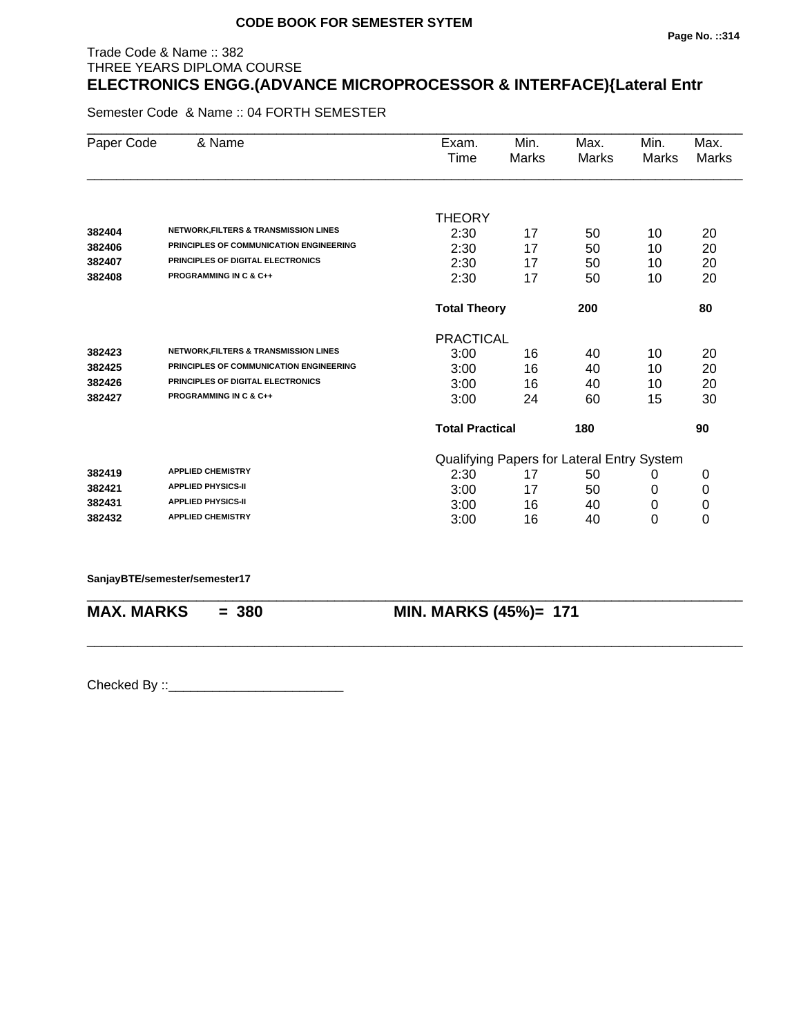# Trade Code & Name :: 382 THREE YEARS DIPLOMA COURSE **ELECTRONICS ENGG.(ADVANCE MICROPROCESSOR & INTERFACE){Lateral Entr**

Semester Code & Name :: 04 FORTH SEMESTER

| Paper Code | & Name                                           | Exam.                  | Min.  | Max.                                       | Min.  | Max.  |
|------------|--------------------------------------------------|------------------------|-------|--------------------------------------------|-------|-------|
|            |                                                  | Time                   | Marks | Marks                                      | Marks | Marks |
|            |                                                  |                        |       |                                            |       |       |
|            |                                                  | <b>THEORY</b>          |       |                                            |       |       |
| 382404     | <b>NETWORK, FILTERS &amp; TRANSMISSION LINES</b> | 2:30                   | 17    | 50                                         | 10    | 20    |
| 382406     | PRINCIPLES OF COMMUNICATION ENGINEERING          | 2:30                   | 17    | 50                                         | 10    | 20    |
| 382407     | PRINCIPLES OF DIGITAL ELECTRONICS                | 2:30                   | 17    | 50                                         | 10    | 20    |
| 382408     | <b>PROGRAMMING IN C &amp; C++</b>                | 2:30                   | 17    | 50                                         | 10    | 20    |
|            |                                                  | <b>Total Theory</b>    |       | 200                                        |       | 80    |
|            |                                                  | <b>PRACTICAL</b>       |       |                                            |       |       |
| 382423     | <b>NETWORK, FILTERS &amp; TRANSMISSION LINES</b> | 3:00                   | 16    | 40                                         | 10    | 20    |
| 382425     | PRINCIPLES OF COMMUNICATION ENGINEERING          | 3:00                   | 16    | 40                                         | 10    | 20    |
| 382426     | PRINCIPLES OF DIGITAL ELECTRONICS                | 3:00                   | 16    | 40                                         | 10    | 20    |
| 382427     | <b>PROGRAMMING IN C &amp; C++</b>                | 3:00                   | 24    | 60                                         | 15    | 30    |
|            |                                                  | <b>Total Practical</b> |       | 180                                        |       | 90    |
|            |                                                  |                        |       | Qualifying Papers for Lateral Entry System |       |       |
| 382419     | <b>APPLIED CHEMISTRY</b>                         | 2:30                   | 17    | 50                                         | 0     | 0     |
| 382421     | <b>APPLIED PHYSICS-II</b>                        | 3:00                   | 17    | 50                                         | 0     | 0     |
| 382431     | <b>APPLIED PHYSICS-II</b>                        | 3:00                   | 16    | 40                                         | 0     | 0     |
| 382432     | <b>APPLIED CHEMISTRY</b>                         | 3:00                   | 16    | 40                                         | 0     | 0     |

\_\_\_\_\_\_\_\_\_\_\_\_\_\_\_\_\_\_\_\_\_\_\_\_\_\_\_\_\_\_\_\_\_\_\_\_\_\_\_\_\_\_\_\_\_\_\_\_\_\_\_\_\_\_\_\_\_\_\_\_\_\_\_\_\_\_\_\_\_\_\_\_\_\_\_\_\_\_\_\_\_\_\_\_\_\_\_\_\_\_

\_\_\_\_\_\_\_\_\_\_\_\_\_\_\_\_\_\_\_\_\_\_\_\_\_\_\_\_\_\_\_\_\_\_\_\_\_\_\_\_\_\_\_\_\_\_\_\_\_\_\_\_\_\_\_\_\_\_\_\_\_\_\_\_\_\_\_\_\_\_\_\_\_\_\_\_\_\_\_\_\_\_\_\_\_\_\_\_\_\_

**SanjayBTE/semester/semester17**

**MAX. MARKS = 380 MIN. MARKS (45%)= 171**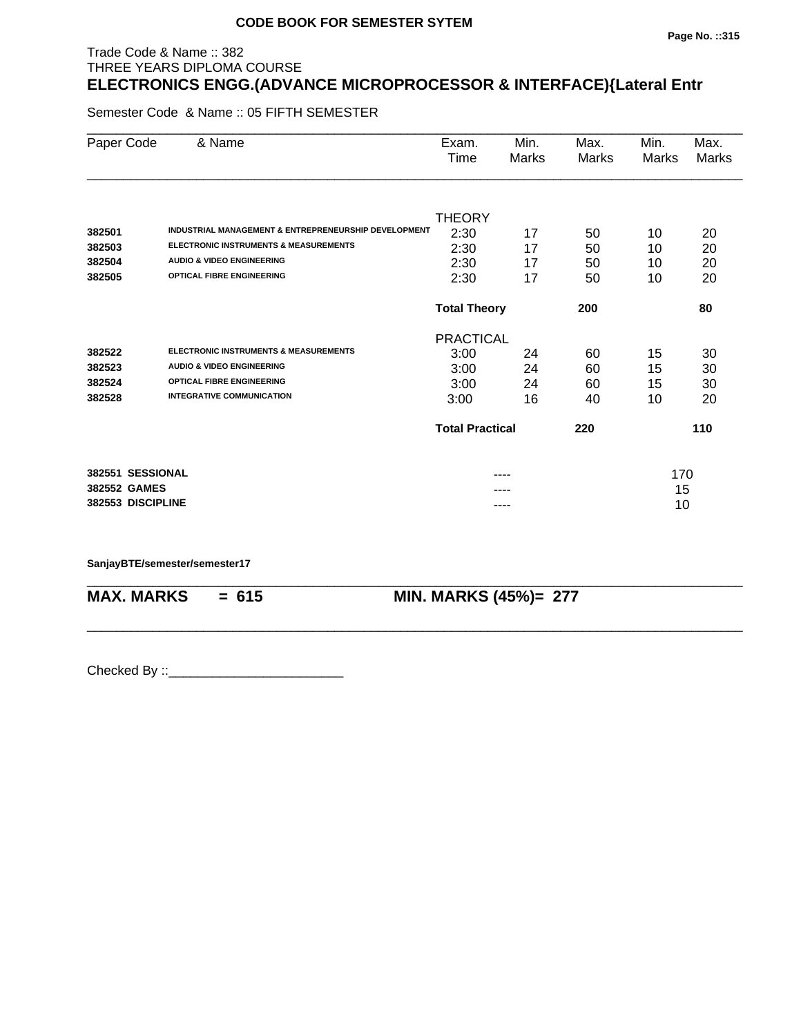# Trade Code & Name :: 382 THREE YEARS DIPLOMA COURSE **ELECTRONICS ENGG.(ADVANCE MICROPROCESSOR & INTERFACE){Lateral Entr**

Semester Code & Name :: 05 FIFTH SEMESTER

| Paper Code        | & Name                                               | Exam.                  | Min.  | Max.         | Min.  | Max.         |
|-------------------|------------------------------------------------------|------------------------|-------|--------------|-------|--------------|
|                   |                                                      | Time                   | Marks | <b>Marks</b> | Marks | <b>Marks</b> |
|                   |                                                      |                        |       |              |       |              |
|                   |                                                      | <b>THEORY</b>          |       |              |       |              |
| 382501            | INDUSTRIAL MANAGEMENT & ENTREPRENEURSHIP DEVELOPMENT | 2:30                   | 17    | 50           | 10    | 20           |
| 382503            | <b>ELECTRONIC INSTRUMENTS &amp; MEASUREMENTS</b>     | 2:30                   | 17    | 50           | 10    | 20           |
| 382504            | <b>AUDIO &amp; VIDEO ENGINEERING</b>                 | 2:30                   | 17    | 50           | 10    | 20           |
| 382505            | <b>OPTICAL FIBRE ENGINEERING</b>                     | 2:30                   | 17    | 50           | 10    | 20           |
|                   |                                                      | <b>Total Theory</b>    |       | 200          |       | 80           |
|                   |                                                      | <b>PRACTICAL</b>       |       |              |       |              |
| 382522            | <b>ELECTRONIC INSTRUMENTS &amp; MEASUREMENTS</b>     | 3:00                   | 24    | 60           | 15    | 30           |
| 382523            | <b>AUDIO &amp; VIDEO ENGINEERING</b>                 | 3:00                   | 24    | 60           | 15    | 30           |
| 382524            | OPTICAL FIBRE ENGINEERING                            | 3:00                   | 24    | 60           | 15    | 30           |
| 382528            | <b>INTEGRATIVE COMMUNICATION</b>                     | 3:00                   | 16    | 40           | 10    | 20           |
|                   |                                                      | <b>Total Practical</b> |       | 220          |       | 110          |
| 382551 SESSIONAL  |                                                      |                        | ----  |              | 170   |              |
| 382552 GAMES      |                                                      |                        |       |              | 15    |              |
| 382553 DISCIPLINE |                                                      |                        | ----  |              | 10    |              |
|                   |                                                      |                        |       |              |       |              |

\_\_\_\_\_\_\_\_\_\_\_\_\_\_\_\_\_\_\_\_\_\_\_\_\_\_\_\_\_\_\_\_\_\_\_\_\_\_\_\_\_\_\_\_\_\_\_\_\_\_\_\_\_\_\_\_\_\_\_\_\_\_\_\_\_\_\_\_\_\_\_\_\_\_\_\_\_\_\_\_\_\_\_\_\_\_\_\_\_\_

\_\_\_\_\_\_\_\_\_\_\_\_\_\_\_\_\_\_\_\_\_\_\_\_\_\_\_\_\_\_\_\_\_\_\_\_\_\_\_\_\_\_\_\_\_\_\_\_\_\_\_\_\_\_\_\_\_\_\_\_\_\_\_\_\_\_\_\_\_\_\_\_\_\_\_\_\_\_\_\_\_\_\_\_\_\_\_\_\_\_

#### **SanjayBTE/semester/semester17**

**MAX. MARKS = 615 MIN. MARKS (45%)= 277**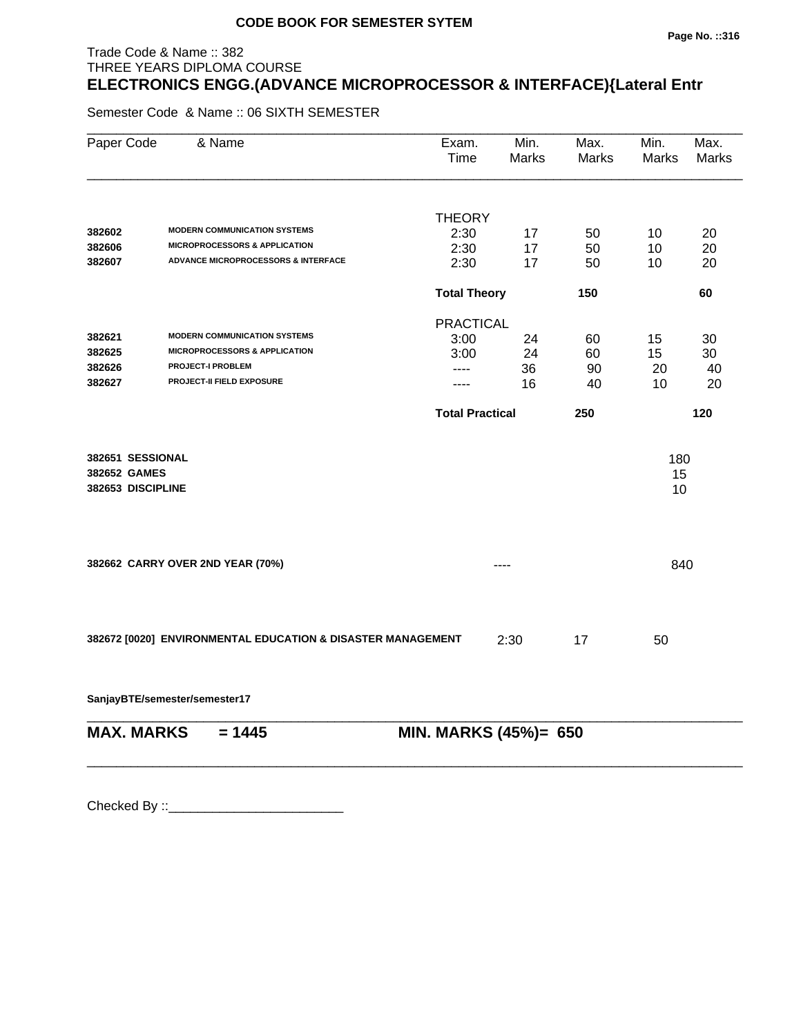# Trade Code & Name :: 382 THREE YEARS DIPLOMA COURSE **ELECTRONICS ENGG.(ADVANCE MICROPROCESSOR & INTERFACE){Lateral Entr**

Semester Code & Name :: 06 SIXTH SEMESTER

| Paper Code                                            | & Name                                                      | Exam.<br>Time          | Min.<br><b>Marks</b> | Max.<br><b>Marks</b> | Min.<br>Marks   | Max.<br><b>Marks</b> |
|-------------------------------------------------------|-------------------------------------------------------------|------------------------|----------------------|----------------------|-----------------|----------------------|
|                                                       |                                                             |                        |                      |                      |                 |                      |
| 382602                                                | <b>MODERN COMMUNICATION SYSTEMS</b>                         | <b>THEORY</b><br>2:30  |                      |                      |                 |                      |
| 382606                                                | <b>MICROPROCESSORS &amp; APPLICATION</b>                    | 2:30                   | 17<br>17             | 50<br>50             | 10<br>10        | 20<br>20             |
| 382607                                                | <b>ADVANCE MICROPROCESSORS &amp; INTERFACE</b>              | 2:30                   | 17                   | 50                   | 10              | 20                   |
|                                                       |                                                             | <b>Total Theory</b>    |                      | 150                  |                 | 60                   |
|                                                       |                                                             | <b>PRACTICAL</b>       |                      |                      |                 |                      |
| 382621                                                | <b>MODERN COMMUNICATION SYSTEMS</b>                         | 3:00                   | 24                   | 60                   | 15              | 30                   |
| 382625                                                | <b>MICROPROCESSORS &amp; APPLICATION</b>                    | 3:00                   | 24                   | 60                   | 15              | 30                   |
| 382626                                                | <b>PROJECT-I PROBLEM</b>                                    | ----                   | 36                   | 90                   | 20              | 40                   |
| 382627                                                | PROJECT-II FIELD EXPOSURE                                   | ----                   | 16                   | 40                   | 10              | 20                   |
|                                                       |                                                             | <b>Total Practical</b> |                      | 250                  |                 | 120                  |
| 382651 SESSIONAL<br>382652 GAMES<br>382653 DISCIPLINE |                                                             |                        |                      |                      | 180<br>15<br>10 |                      |
|                                                       | 382662 CARRY OVER 2ND YEAR (70%)                            |                        |                      |                      | 840             |                      |
|                                                       | 382672 [0020] ENVIRONMENTAL EDUCATION & DISASTER MANAGEMENT |                        | 2:30                 | 17                   | 50              |                      |

**SanjayBTE/semester/semester17**

| $MAX. \, MARKS = 1445$ | <b>MIN. MARKS (45%)= 650</b> |
|------------------------|------------------------------|
|                        |                              |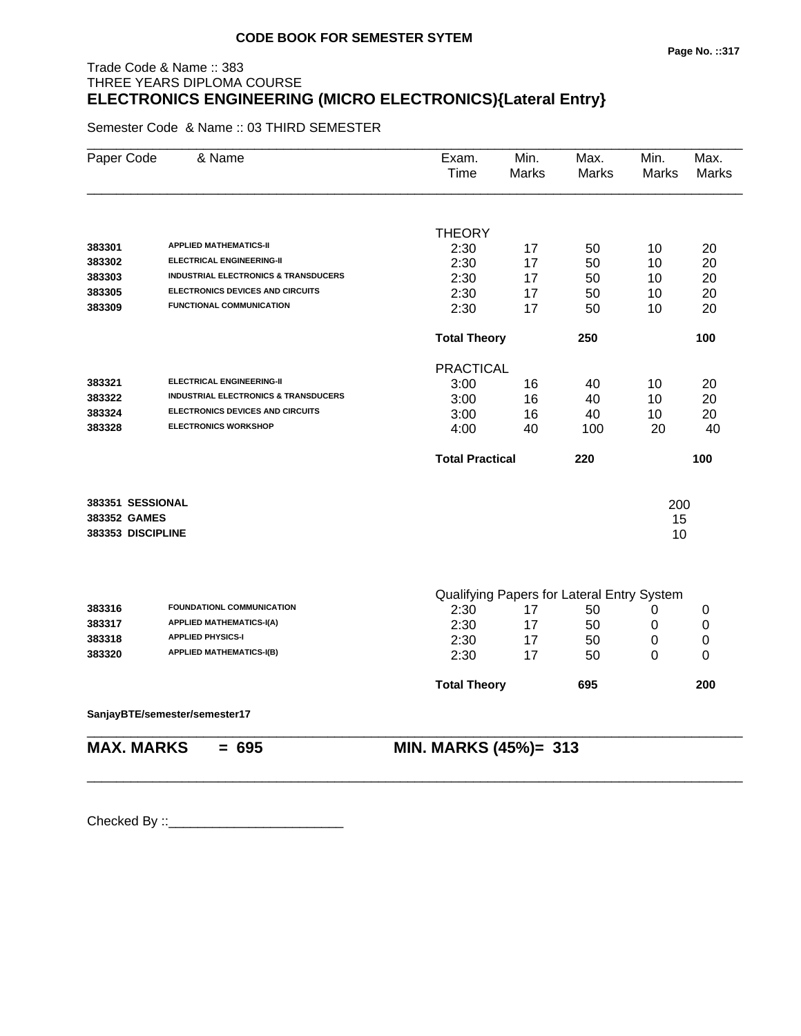# Trade Code & Name :: 383 THREE YEARS DIPLOMA COURSE **ELECTRONICS ENGINEERING (MICRO ELECTRONICS){Lateral Entry}**

Semester Code & Name :: 03 THIRD SEMESTER

| Paper Code        | & Name                                          | Exam.<br>Time          | Min.<br><b>Marks</b> | Max.<br><b>Marks</b>                       | Min.<br>Marks | Max.<br><b>Marks</b> |
|-------------------|-------------------------------------------------|------------------------|----------------------|--------------------------------------------|---------------|----------------------|
|                   |                                                 |                        |                      |                                            |               |                      |
|                   |                                                 | <b>THEORY</b>          |                      |                                            |               |                      |
| 383301            | <b>APPLIED MATHEMATICS-II</b>                   | 2:30                   | 17                   | 50                                         | 10            | 20                   |
| 383302            | <b>ELECTRICAL ENGINEERING-II</b>                | 2:30                   | 17                   | 50                                         | 10            | 20                   |
| 383303            | <b>INDUSTRIAL ELECTRONICS &amp; TRANSDUCERS</b> | 2:30                   | 17                   | 50                                         | 10            | 20                   |
| 383305            | <b>ELECTRONICS DEVICES AND CIRCUITS</b>         | 2:30                   | 17                   | 50                                         | 10            | 20                   |
| 383309            | FUNCTIONAL COMMUNICATION                        | 2:30                   | 17                   | 50                                         | 10            | 20                   |
|                   |                                                 | <b>Total Theory</b>    |                      | 250                                        |               | 100                  |
|                   |                                                 | <b>PRACTICAL</b>       |                      |                                            |               |                      |
| 383321            | <b>ELECTRICAL ENGINEERING-II</b>                | 3:00                   | 16                   | 40                                         | 10            | 20                   |
| 383322            | <b>INDUSTRIAL ELECTRONICS &amp; TRANSDUCERS</b> | 3:00                   | 16                   | 40                                         | 10            | 20                   |
| 383324            | <b>ELECTRONICS DEVICES AND CIRCUITS</b>         | 3:00                   | 16                   | 40                                         | 10            | 20                   |
| 383328            | <b>ELECTRONICS WORKSHOP</b>                     | 4:00                   | 40                   | 100                                        | 20            | 40                   |
|                   |                                                 | <b>Total Practical</b> |                      | 220                                        |               | 100                  |
| 383351 SESSIONAL  |                                                 |                        |                      |                                            | 200           |                      |
| 383352 GAMES      |                                                 |                        |                      |                                            | 15            |                      |
| 383353 DISCIPLINE |                                                 |                        |                      |                                            | 10            |                      |
|                   |                                                 |                        |                      |                                            |               |                      |
|                   |                                                 |                        |                      | Qualifying Papers for Lateral Entry System |               |                      |
| 383316            | FOUNDATIONL COMMUNICATION                       | 2:30                   | 17                   | 50                                         | 0             | 0                    |
| 383317            | <b>APPLIED MATHEMATICS-I(A)</b>                 | 2:30                   | 17                   | 50                                         | 0             | $\boldsymbol{0}$     |
| 383318            | <b>APPLIED PHYSICS-I</b>                        | 2:30                   | 17                   | 50                                         | 0             | 0                    |
| 383320            | <b>APPLIED MATHEMATICS-I(B)</b>                 | 2:30                   | 17                   | 50                                         | 0             | 0                    |
|                   |                                                 | <b>Total Theory</b>    |                      | 695                                        |               | 200                  |
|                   | SanjayBTE/semester/semester17                   |                        |                      |                                            |               |                      |
| <b>MAX. MARKS</b> | $= 695$                                         | MIN. MARKS (45%)= 313  |                      |                                            |               |                      |
|                   |                                                 |                        |                      |                                            |               |                      |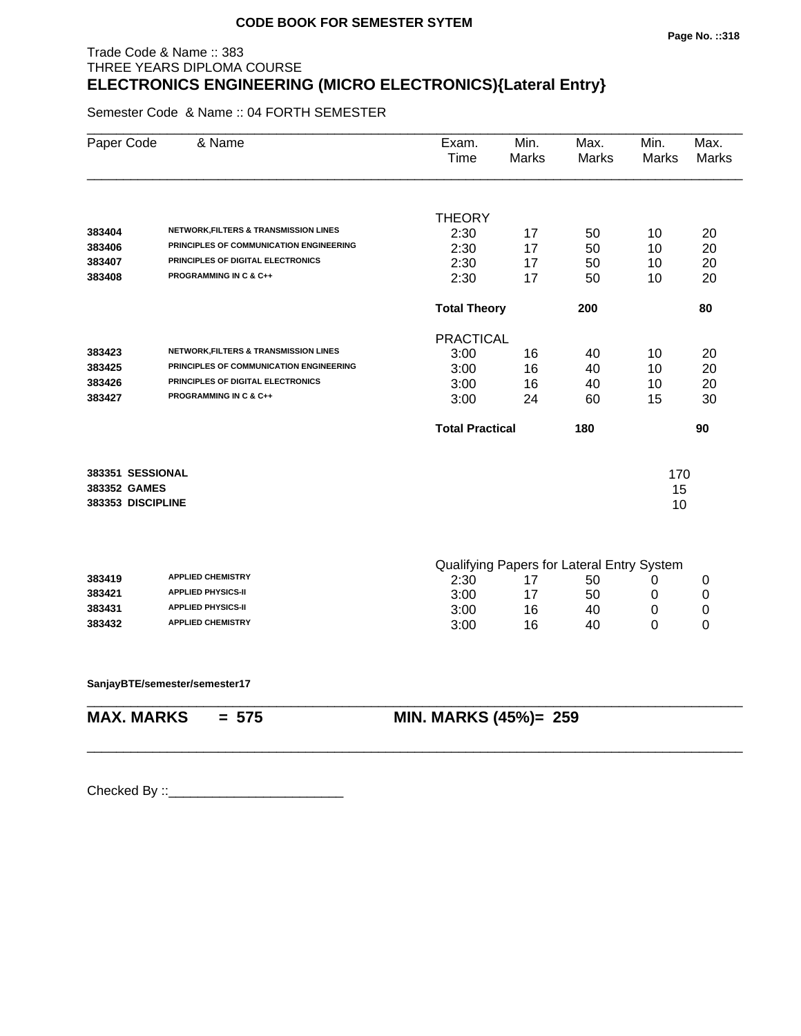#### Trade Code & Name :: 383 THREE YEARS DIPLOMA COURSE **ELECTRONICS ENGINEERING (MICRO ELECTRONICS){Lateral Entry}**

Semester Code & Name :: 04 FORTH SEMESTER

| Paper Code        | & Name                                           | Exam.<br>Time          | Min.<br>Marks | Max.<br><b>Marks</b>                             | Min.<br><b>Marks</b> | Max.<br><b>Marks</b> |
|-------------------|--------------------------------------------------|------------------------|---------------|--------------------------------------------------|----------------------|----------------------|
|                   |                                                  | <b>THEORY</b>          |               |                                                  |                      |                      |
| 383404            | <b>NETWORK, FILTERS &amp; TRANSMISSION LINES</b> | 2:30                   | 17            | 50                                               | 10                   | 20                   |
| 383406            | PRINCIPLES OF COMMUNICATION ENGINEERING          | 2:30                   | 17            | 50                                               | 10                   | 20                   |
| 383407            | PRINCIPLES OF DIGITAL ELECTRONICS                | 2:30                   | 17            | 50                                               | 10                   | 20                   |
| 383408            | <b>PROGRAMMING IN C &amp; C++</b>                | 2:30                   | 17            | 50                                               | 10                   | 20                   |
|                   |                                                  | <b>Total Theory</b>    |               | 200                                              |                      | 80                   |
|                   |                                                  | <b>PRACTICAL</b>       |               |                                                  |                      |                      |
| 383423            | <b>NETWORK, FILTERS &amp; TRANSMISSION LINES</b> | 3:00                   | 16            | 40                                               | 10                   | 20                   |
| 383425            | PRINCIPLES OF COMMUNICATION ENGINEERING          | 3:00                   | 16            | 40                                               | 10                   | 20                   |
| 383426            | PRINCIPLES OF DIGITAL ELECTRONICS                | 3:00                   | 16            | 40                                               | 10                   | 20                   |
| 383427            | <b>PROGRAMMING IN C &amp; C++</b>                | 3:00                   | 24            | 60                                               | 15                   | 30                   |
|                   |                                                  | <b>Total Practical</b> |               | 180                                              |                      | 90                   |
| 383351 SESSIONAL  |                                                  |                        |               |                                                  | 170                  |                      |
| 383352 GAMES      |                                                  |                        |               |                                                  | 15                   |                      |
| 383353 DISCIPLINE |                                                  |                        |               |                                                  | 10                   |                      |
|                   |                                                  |                        |               |                                                  |                      |                      |
| 383419            | <b>APPLIED CHEMISTRY</b>                         | 2:30                   | 17            | Qualifying Papers for Lateral Entry System<br>50 | 0                    | 0                    |
| 383421            | <b>APPLIED PHYSICS-II</b>                        | 3:00                   | 17            | 50                                               | 0                    | 0                    |
| 383431            | <b>APPLIED PHYSICS-II</b>                        | 3:00                   | 16            | 40                                               | 0                    | 0                    |
| 383432            | <b>APPLIED CHEMISTRY</b>                         | 3:00                   | 16            | 40                                               | 0                    | 0                    |
|                   |                                                  |                        |               |                                                  |                      |                      |
|                   | SanjayBTE/semester/semester17                    |                        |               |                                                  |                      |                      |

\_\_\_\_\_\_\_\_\_\_\_\_\_\_\_\_\_\_\_\_\_\_\_\_\_\_\_\_\_\_\_\_\_\_\_\_\_\_\_\_\_\_\_\_\_\_\_\_\_\_\_\_\_\_\_\_\_\_\_\_\_\_\_\_\_\_\_\_\_\_\_\_\_\_\_\_\_\_\_\_\_\_\_\_\_\_\_\_\_\_

**MAX. MARKS = 575 MIN. MARKS (45%)= 259**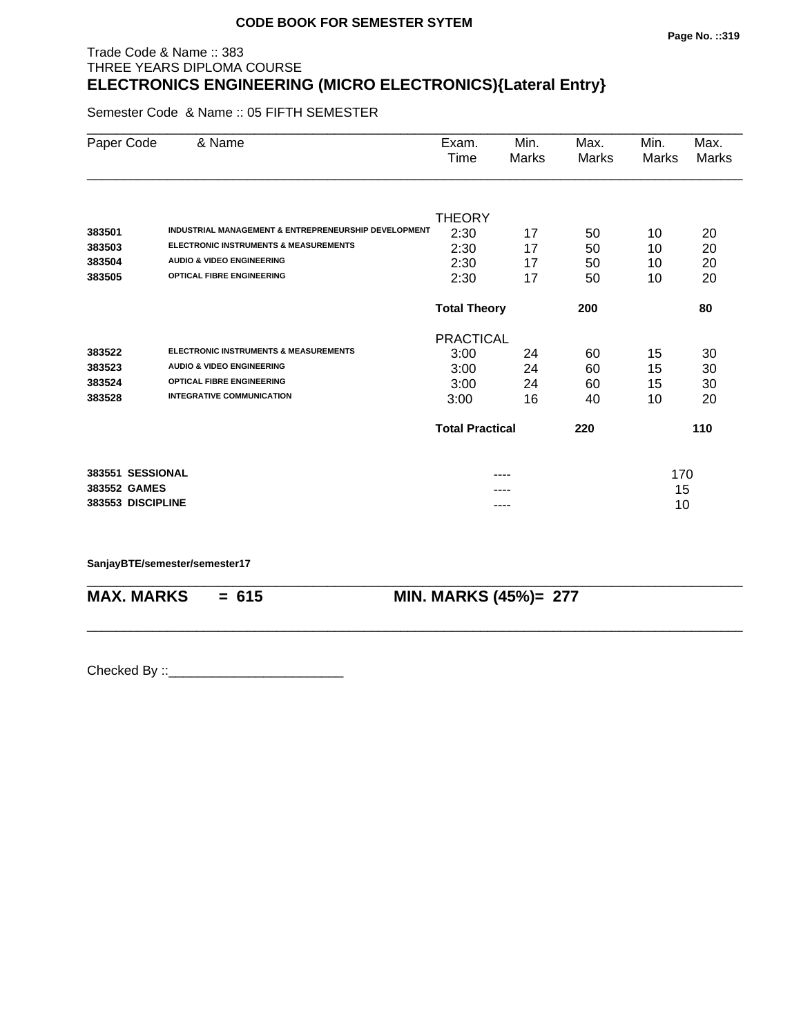#### Trade Code & Name :: 383 THREE YEARS DIPLOMA COURSE **ELECTRONICS ENGINEERING (MICRO ELECTRONICS){Lateral Entry}**

Semester Code & Name :: 05 FIFTH SEMESTER

| Paper Code        | & Name                                               | Exam.                  | Min.  | Max.  | Min.  | Max.         |
|-------------------|------------------------------------------------------|------------------------|-------|-------|-------|--------------|
|                   |                                                      | Time                   | Marks | Marks | Marks | <b>Marks</b> |
|                   |                                                      |                        |       |       |       |              |
|                   |                                                      | <b>THEORY</b>          |       |       |       |              |
| 383501            | INDUSTRIAL MANAGEMENT & ENTREPRENEURSHIP DEVELOPMENT | 2:30                   | 17    | 50    | 10    | 20           |
| 383503            | <b>ELECTRONIC INSTRUMENTS &amp; MEASUREMENTS</b>     | 2:30                   | 17    | 50    | 10    | 20           |
| 383504            | <b>AUDIO &amp; VIDEO ENGINEERING</b>                 | 2:30                   | 17    | 50    | 10    | 20           |
| 383505            | <b>OPTICAL FIBRE ENGINEERING</b>                     | 2:30                   | 17    | 50    | 10    | 20           |
|                   |                                                      | <b>Total Theory</b>    |       | 200   |       | 80           |
|                   |                                                      | <b>PRACTICAL</b>       |       |       |       |              |
| 383522            | <b>ELECTRONIC INSTRUMENTS &amp; MEASUREMENTS</b>     | 3:00                   | 24    | 60    | 15    | 30           |
| 383523            | <b>AUDIO &amp; VIDEO ENGINEERING</b>                 | 3:00                   | 24    | 60    | 15    | 30           |
| 383524            | <b>OPTICAL FIBRE ENGINEERING</b>                     | 3:00                   | 24    | 60    | 15    | 30           |
| 383528            | <b>INTEGRATIVE COMMUNICATION</b>                     | 3:00                   | 16    | 40    | 10    | 20           |
|                   |                                                      | <b>Total Practical</b> |       | 220   |       | 110          |
| 383551 SESSIONAL  |                                                      |                        |       |       | 170   |              |
| 383552 GAMES      |                                                      |                        |       |       | 15    |              |
| 383553 DISCIPLINE |                                                      |                        | ----  |       | 10    |              |

\_\_\_\_\_\_\_\_\_\_\_\_\_\_\_\_\_\_\_\_\_\_\_\_\_\_\_\_\_\_\_\_\_\_\_\_\_\_\_\_\_\_\_\_\_\_\_\_\_\_\_\_\_\_\_\_\_\_\_\_\_\_\_\_\_\_\_\_\_\_\_\_\_\_\_\_\_\_\_\_\_\_\_\_\_\_\_\_\_\_

\_\_\_\_\_\_\_\_\_\_\_\_\_\_\_\_\_\_\_\_\_\_\_\_\_\_\_\_\_\_\_\_\_\_\_\_\_\_\_\_\_\_\_\_\_\_\_\_\_\_\_\_\_\_\_\_\_\_\_\_\_\_\_\_\_\_\_\_\_\_\_\_\_\_\_\_\_\_\_\_\_\_\_\_\_\_\_\_\_\_

**SanjayBTE/semester/semester17**

**MAX. MARKS = 615 MIN. MARKS (45%)= 277**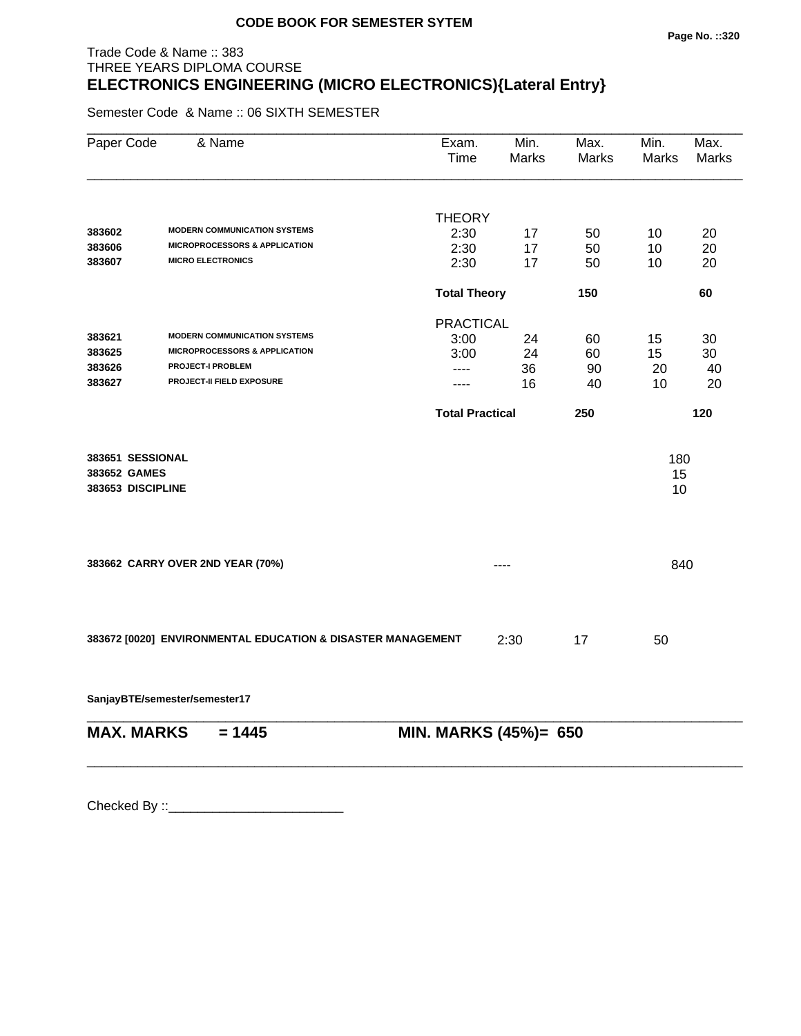#### **Page No. ::320**

# Trade Code & Name :: 383 THREE YEARS DIPLOMA COURSE **ELECTRONICS ENGINEERING (MICRO ELECTRONICS){Lateral Entry}**

Semester Code & Name :: 06 SIXTH SEMESTER

| Paper Code                                            | & Name                                                      | Exam.<br>Time          | Min.<br><b>Marks</b> | Max.<br><b>Marks</b> | Min.<br>Marks   | Max.<br><b>Marks</b> |
|-------------------------------------------------------|-------------------------------------------------------------|------------------------|----------------------|----------------------|-----------------|----------------------|
|                                                       |                                                             |                        |                      |                      |                 |                      |
| 383602                                                | <b>MODERN COMMUNICATION SYSTEMS</b>                         | <b>THEORY</b><br>2:30  | 17                   | 50                   | 10              | 20                   |
| 383606                                                | <b>MICROPROCESSORS &amp; APPLICATION</b>                    | 2:30                   | 17                   | 50                   | 10              | 20                   |
| 383607                                                | <b>MICRO ELECTRONICS</b>                                    | 2:30                   | 17                   | 50                   | 10              | 20                   |
|                                                       |                                                             | <b>Total Theory</b>    |                      | 150                  |                 | 60                   |
|                                                       |                                                             | <b>PRACTICAL</b>       |                      |                      |                 |                      |
| 383621                                                | <b>MODERN COMMUNICATION SYSTEMS</b>                         | 3:00                   | 24                   | 60                   | 15              | 30                   |
| 383625                                                | <b>MICROPROCESSORS &amp; APPLICATION</b>                    | 3:00                   | 24                   | 60                   | 15              | 30                   |
| 383626                                                | <b>PROJECT-I PROBLEM</b>                                    | ----                   | 36                   | 90                   | 20              | 40                   |
| 383627                                                | PROJECT-II FIELD EXPOSURE                                   | ----                   | 16                   | 40                   | 10              | 20                   |
|                                                       |                                                             | <b>Total Practical</b> |                      | 250                  |                 | 120                  |
| 383651 SESSIONAL<br>383652 GAMES<br>383653 DISCIPLINE |                                                             |                        |                      |                      | 180<br>15<br>10 |                      |
|                                                       | 383662 CARRY OVER 2ND YEAR (70%)                            |                        | ----                 |                      | 840             |                      |
|                                                       | 383672 [0020] ENVIRONMENTAL EDUCATION & DISASTER MANAGEMENT |                        | 2:30                 | 17                   | 50              |                      |

**SanjayBTE/semester/semester17**

| $MAX. \, MARKS = 1445$ | <b>MIN. MARKS (45%)= 650</b> |
|------------------------|------------------------------|
|                        |                              |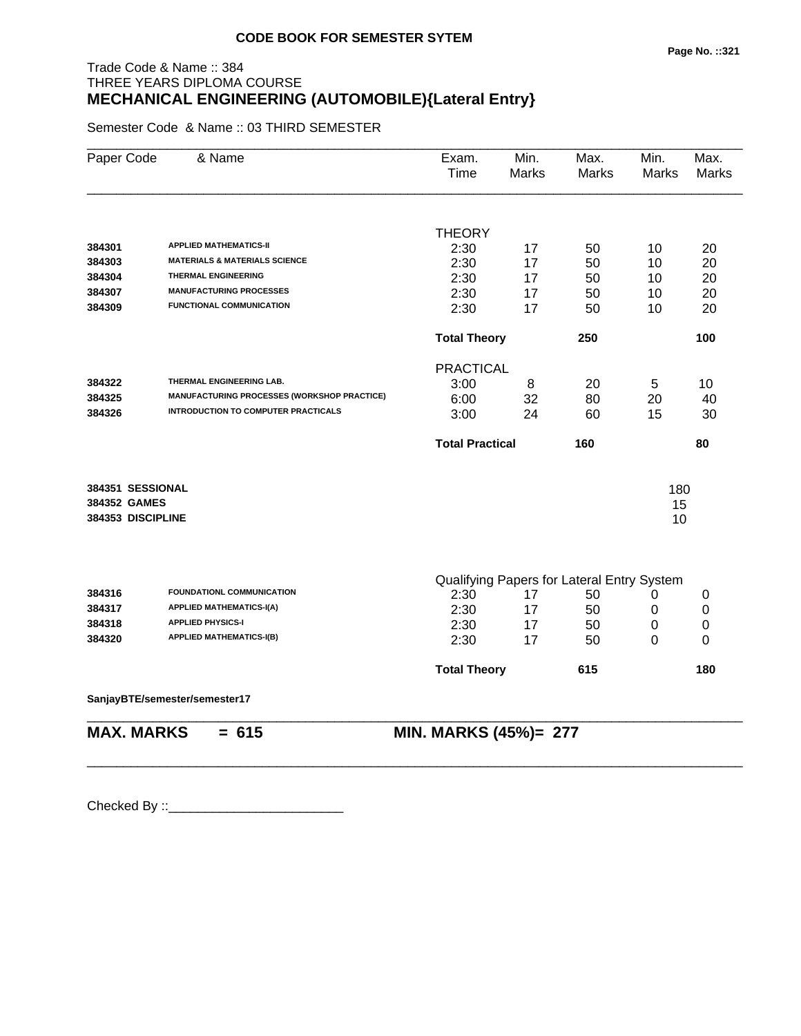# Trade Code & Name :: 384 THREE YEARS DIPLOMA COURSE **MECHANICAL ENGINEERING (AUTOMOBILE){Lateral Entry}**

Semester Code & Name :: 03 THIRD SEMESTER

| Paper Code        | & Name                                             | Exam.<br>Time                              | Min.<br>Marks | Max.<br>Marks | Min.<br>Marks | Max.<br><b>Marks</b> |  |
|-------------------|----------------------------------------------------|--------------------------------------------|---------------|---------------|---------------|----------------------|--|
|                   |                                                    | <b>THEORY</b>                              |               |               |               |                      |  |
| 384301            | <b>APPLIED MATHEMATICS-II</b>                      | 2:30                                       | 17            | 50            | 10            | 20                   |  |
| 384303            | <b>MATERIALS &amp; MATERIALS SCIENCE</b>           | 2:30                                       | 17            | 50            | 10            | 20                   |  |
| 384304            | <b>THERMAL ENGINEERING</b>                         | 2:30                                       | 17            | 50            | 10            | 20                   |  |
| 384307            | <b>MANUFACTURING PROCESSES</b>                     | 2:30                                       | 17            | 50            | 10            | 20                   |  |
| 384309            | <b>FUNCTIONAL COMMUNICATION</b>                    | 2:30                                       | 17            | 50            | 10            | 20                   |  |
|                   |                                                    | <b>Total Theory</b>                        |               | 250           |               | 100                  |  |
|                   |                                                    | <b>PRACTICAL</b>                           |               |               |               |                      |  |
| 384322            | THERMAL ENGINEERING LAB.                           | 3:00                                       | 8             | 20            | 5             | 10                   |  |
| 384325            | <b>MANUFACTURING PROCESSES (WORKSHOP PRACTICE)</b> | 6:00                                       | 32            | 80            | 20            | 40                   |  |
| 384326            | <b>INTRODUCTION TO COMPUTER PRACTICALS</b>         | 3:00                                       | 24            | 60            | 15            | 30                   |  |
|                   |                                                    | <b>Total Practical</b>                     |               | 160           |               | 80                   |  |
| 384351 SESSIONAL  |                                                    |                                            |               |               | 180           |                      |  |
| 384352 GAMES      |                                                    |                                            |               |               | 15            |                      |  |
| 384353 DISCIPLINE |                                                    |                                            |               |               | 10            |                      |  |
|                   |                                                    |                                            |               |               |               |                      |  |
|                   |                                                    | Qualifying Papers for Lateral Entry System |               |               |               |                      |  |
| 384316            | FOUNDATIONL COMMUNICATION                          | 2:30                                       | 17            | 50            | 0             | 0                    |  |
| 384317            | <b>APPLIED MATHEMATICS-I(A)</b>                    | 2:30                                       | 17            | 50            | 0             | 0                    |  |
| 384318            | <b>APPLIED PHYSICS-I</b>                           | 2:30                                       | 17            | 50            | $\pmb{0}$     | $\pmb{0}$            |  |
| 384320            | <b>APPLIED MATHEMATICS-I(B)</b>                    | 2:30                                       | 17            | 50            | 0             | 0                    |  |
|                   |                                                    | <b>Total Theory</b>                        |               | 615           |               | 180                  |  |
|                   | SanjayBTE/semester/semester17                      |                                            |               |               |               |                      |  |
| <b>MAX. MARKS</b> | $= 615$                                            | MIN. MARKS (45%)= 277                      |               |               |               |                      |  |

\_\_\_\_\_\_\_\_\_\_\_\_\_\_\_\_\_\_\_\_\_\_\_\_\_\_\_\_\_\_\_\_\_\_\_\_\_\_\_\_\_\_\_\_\_\_\_\_\_\_\_\_\_\_\_\_\_\_\_\_\_\_\_\_\_\_\_\_\_\_\_\_\_\_\_\_\_\_\_\_\_\_\_\_\_\_\_\_\_\_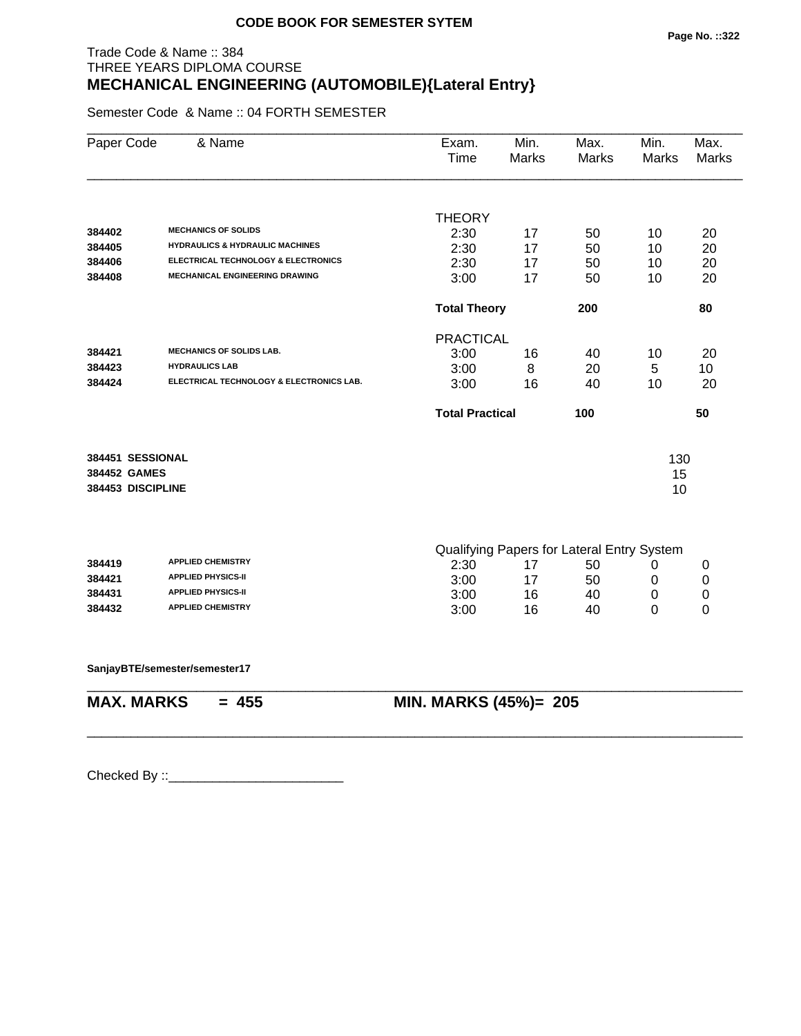# Trade Code & Name :: 384 THREE YEARS DIPLOMA COURSE **MECHANICAL ENGINEERING (AUTOMOBILE){Lateral Entry}**

Semester Code & Name :: 04 FORTH SEMESTER

|                                  |                                                                          |                                            |                            |     | <b>Marks</b> | <b>Marks</b> |
|----------------------------------|--------------------------------------------------------------------------|--------------------------------------------|----------------------------|-----|--------------|--------------|
|                                  |                                                                          |                                            |                            |     |              |              |
|                                  |                                                                          | <b>THEORY</b>                              |                            |     |              |              |
| 384402                           | <b>MECHANICS OF SOLIDS</b><br><b>HYDRAULICS &amp; HYDRAULIC MACHINES</b> | 2:30                                       | 17                         | 50  | 10           | 20           |
| 384405                           |                                                                          | 2:30                                       | 17                         | 50  | 10           | 20           |
| 384406                           | ELECTRICAL TECHNOLOGY & ELECTRONICS                                      | 2:30                                       | 17                         | 50  | 10           | 20           |
| 384408                           | <b>MECHANICAL ENGINEERING DRAWING</b>                                    | 3:00                                       | 17                         | 50  | 10           | 20           |
|                                  |                                                                          |                                            | <b>Total Theory</b><br>200 |     |              | 80           |
|                                  |                                                                          | <b>PRACTICAL</b>                           |                            |     |              |              |
| 384421                           | <b>MECHANICS OF SOLIDS LAB.</b>                                          | 3:00                                       | 16                         | 40  | 10           | 20           |
| 384423                           | <b>HYDRAULICS LAB</b>                                                    | 3:00                                       | 8                          | 20  | 5            | 10           |
| 384424                           | ELECTRICAL TECHNOLOGY & ELECTRONICS LAB.                                 | 3:00                                       | 16                         | 40  | 10           | 20           |
|                                  |                                                                          | <b>Total Practical</b>                     |                            | 100 |              | 50           |
|                                  |                                                                          |                                            |                            |     |              |              |
| 384451 SESSIONAL<br>384452 GAMES |                                                                          |                                            |                            |     | 130          |              |
| 384453 DISCIPLINE                |                                                                          |                                            |                            |     | 15<br>10     |              |
|                                  |                                                                          |                                            |                            |     |              |              |
|                                  |                                                                          | Qualifying Papers for Lateral Entry System |                            |     |              |              |
| 384419                           | <b>APPLIED CHEMISTRY</b>                                                 | 2:30                                       | 17                         | 50  | 0            | 0            |
| 384421                           | <b>APPLIED PHYSICS-II</b>                                                | 3:00                                       | 17                         | 50  | 0            | 0            |
| 384431                           | <b>APPLIED PHYSICS-II</b>                                                | 3:00                                       | 16                         | 40  | 0            | 0            |
| 384432                           | <b>APPLIED CHEMISTRY</b>                                                 | 3:00                                       | 16                         | 40  | 0            | 0            |
|                                  | SanjayBTE/semester/semester17                                            |                                            |                            |     |              |              |
| <b>MAX. MARKS</b>                | $= 455$                                                                  | MIN. MARKS (45%)= 205                      |                            |     |              |              |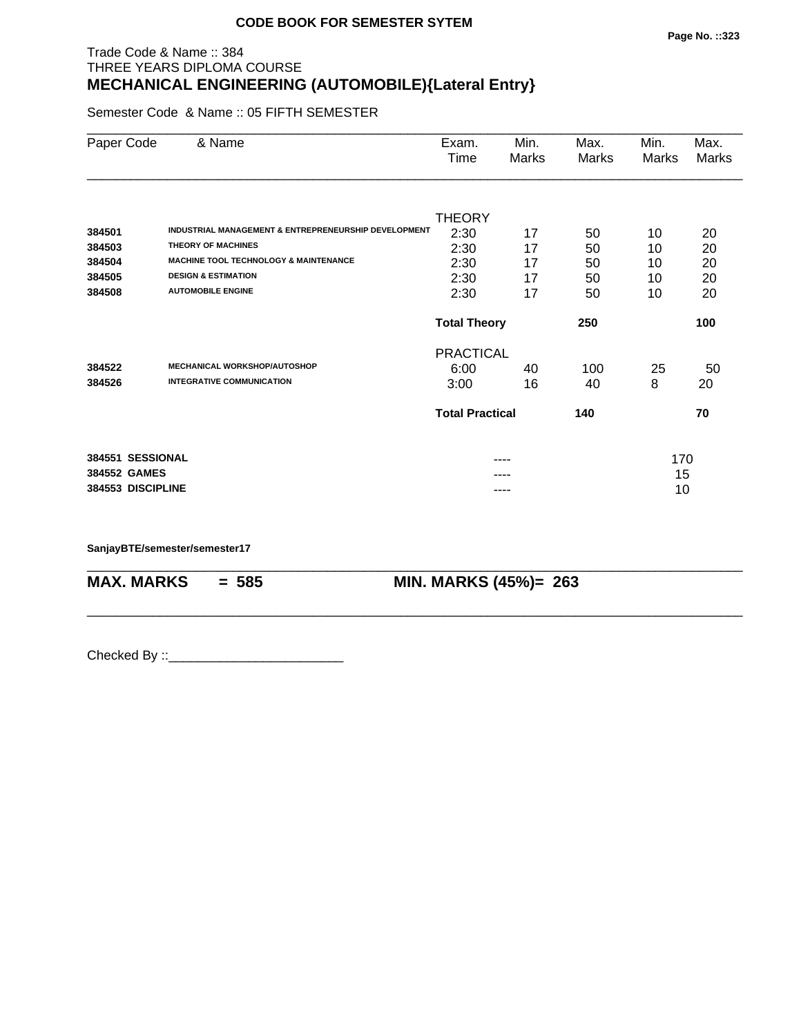#### Trade Code & Name :: 384 THREE YEARS DIPLOMA COURSE **MECHANICAL ENGINEERING (AUTOMOBILE){Lateral Entry}**

Semester Code & Name :: 05 FIFTH SEMESTER

| Paper Code       | & Name                                                          | Exam.                      | Min.  | Max.  | Min.  | Max.  |  |  |
|------------------|-----------------------------------------------------------------|----------------------------|-------|-------|-------|-------|--|--|
|                  |                                                                 | Time                       | Marks | Marks | Marks | Marks |  |  |
|                  |                                                                 | <b>THEORY</b>              |       |       |       |       |  |  |
| 384501           | <b>INDUSTRIAL MANAGEMENT &amp; ENTREPRENEURSHIP DEVELOPMENT</b> | 2:30                       | 17    | 50    | 10    | 20    |  |  |
| 384503           | <b>THEORY OF MACHINES</b>                                       | 2:30                       | 17    | 50    | 10    | 20    |  |  |
| 384504           | <b>MACHINE TOOL TECHNOLOGY &amp; MAINTENANCE</b>                | 2:30                       | 17    | 50    | 10    | 20    |  |  |
| 384505           | <b>DESIGN &amp; ESTIMATION</b>                                  | 2:30                       | 17    | 50    | 10    | 20    |  |  |
| 384508           | <b>AUTOMOBILE ENGINE</b>                                        | 2:30                       | 17    | 50    | 10    | 20    |  |  |
|                  |                                                                 | <b>Total Theory</b><br>250 |       |       |       | 100   |  |  |
|                  |                                                                 | <b>PRACTICAL</b>           |       |       |       |       |  |  |
| 384522           | <b>MECHANICAL WORKSHOP/AUTOSHOP</b>                             | 6:00                       | 40    | 100   | 25    | 50    |  |  |
| 384526           | <b>INTEGRATIVE COMMUNICATION</b>                                | 3:00                       | 16    | 40    | 8     | 20    |  |  |
|                  |                                                                 | <b>Total Practical</b>     |       | 140   |       | 70    |  |  |
| 384551 SESSIONAL |                                                                 |                            |       |       | 170   |       |  |  |
| 384552 GAMES     |                                                                 |                            |       |       | 15    |       |  |  |
|                  | 384553 DISCIPLINE                                               |                            | ----  |       |       | 10    |  |  |

\_\_\_\_\_\_\_\_\_\_\_\_\_\_\_\_\_\_\_\_\_\_\_\_\_\_\_\_\_\_\_\_\_\_\_\_\_\_\_\_\_\_\_\_\_\_\_\_\_\_\_\_\_\_\_\_\_\_\_\_\_\_\_\_\_\_\_\_\_\_\_\_\_\_\_\_\_\_\_\_\_\_\_\_\_\_\_\_\_\_

\_\_\_\_\_\_\_\_\_\_\_\_\_\_\_\_\_\_\_\_\_\_\_\_\_\_\_\_\_\_\_\_\_\_\_\_\_\_\_\_\_\_\_\_\_\_\_\_\_\_\_\_\_\_\_\_\_\_\_\_\_\_\_\_\_\_\_\_\_\_\_\_\_\_\_\_\_\_\_\_\_\_\_\_\_\_\_\_\_\_

**SanjayBTE/semester/semester17**

**MAX. MARKS = 585 MIN. MARKS (45%)= 263**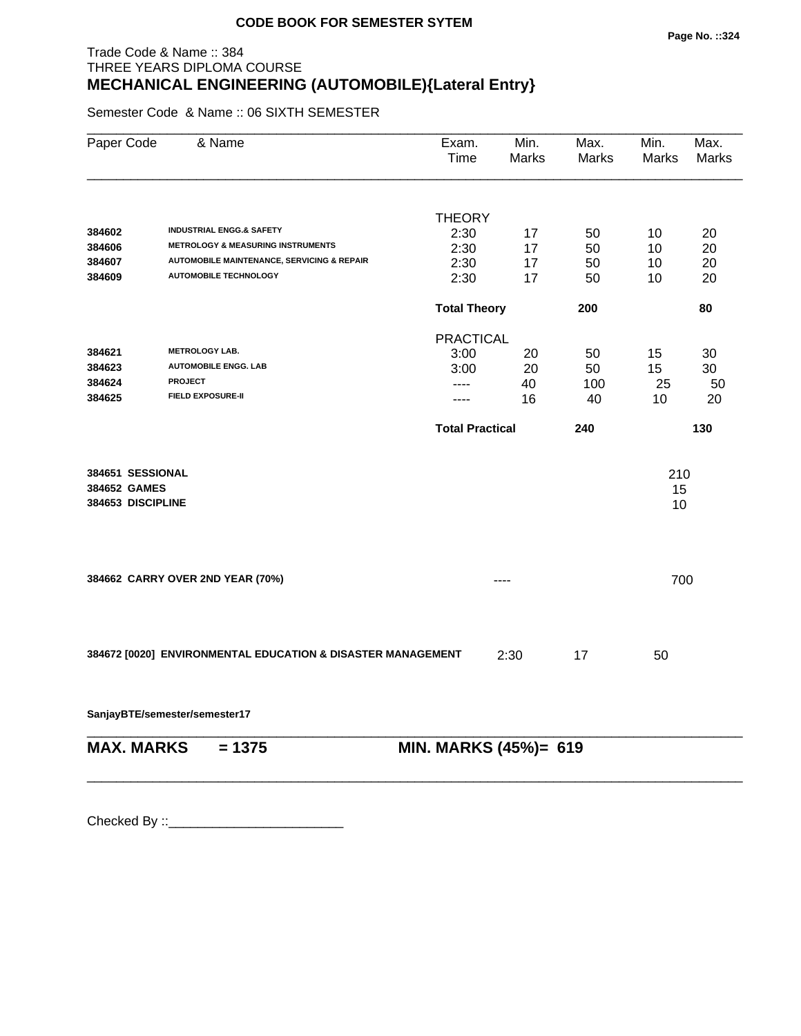# Trade Code & Name :: 384 THREE YEARS DIPLOMA COURSE **MECHANICAL ENGINEERING (AUTOMOBILE){Lateral Entry}**

Semester Code & Name :: 06 SIXTH SEMESTER

| Paper Code                       | & Name                                                      | Exam.<br>Time          | Min.<br><b>Marks</b> | Max.<br>Marks | Min.<br><b>Marks</b> | Max.<br><b>Marks</b> |
|----------------------------------|-------------------------------------------------------------|------------------------|----------------------|---------------|----------------------|----------------------|
|                                  |                                                             |                        |                      |               |                      |                      |
| 384602                           | <b>INDUSTRIAL ENGG.&amp; SAFETY</b>                         | <b>THEORY</b>          |                      |               |                      |                      |
| 384606                           | <b>METROLOGY &amp; MEASURING INSTRUMENTS</b>                | 2:30                   | 17                   | 50            | 10                   | 20                   |
| 384607                           | <b>AUTOMOBILE MAINTENANCE, SERVICING &amp; REPAIR</b>       | 2:30<br>2:30           | 17<br>17             | 50<br>50      | 10<br>10             | 20<br>20             |
| 384609                           | <b>AUTOMOBILE TECHNOLOGY</b>                                | 2:30                   | 17                   | 50            | 10                   | 20                   |
|                                  |                                                             | <b>Total Theory</b>    |                      | 200           |                      | 80                   |
|                                  |                                                             | <b>PRACTICAL</b>       |                      |               |                      |                      |
| 384621                           | <b>METROLOGY LAB.</b>                                       | 3:00                   | 20                   | 50            | 15                   | 30                   |
| 384623                           | <b>AUTOMOBILE ENGG. LAB</b>                                 | 3:00                   | 20                   | 50            | 15                   | 30                   |
| 384624                           | <b>PROJECT</b>                                              | ----                   | 40                   | 100           | 25                   | 50                   |
| 384625                           | <b>FIELD EXPOSURE-II</b>                                    | ----                   | 16                   | 40            | 10                   | 20                   |
|                                  |                                                             | <b>Total Practical</b> |                      | 240           |                      | 130                  |
| 384651 SESSIONAL                 |                                                             |                        |                      |               | 210                  |                      |
| 384652 GAMES                     |                                                             |                        |                      |               | 15                   |                      |
| 384653 DISCIPLINE                |                                                             |                        |                      |               | 10                   |                      |
|                                  |                                                             |                        |                      |               |                      |                      |
| 384662 CARRY OVER 2ND YEAR (70%) |                                                             |                        |                      |               | 700                  |                      |
|                                  |                                                             |                        |                      |               |                      |                      |
|                                  | 384672 [0020] ENVIRONMENTAL EDUCATION & DISASTER MANAGEMENT |                        | 2:30                 | 17            | 50                   |                      |
|                                  | SanjayBTE/semester/semester17                               |                        |                      |               |                      |                      |
| <b>MAX. MARKS</b>                | $= 1375$                                                    | MIN. MARKS (45%)= 619  |                      |               |                      |                      |
|                                  |                                                             |                        |                      |               |                      |                      |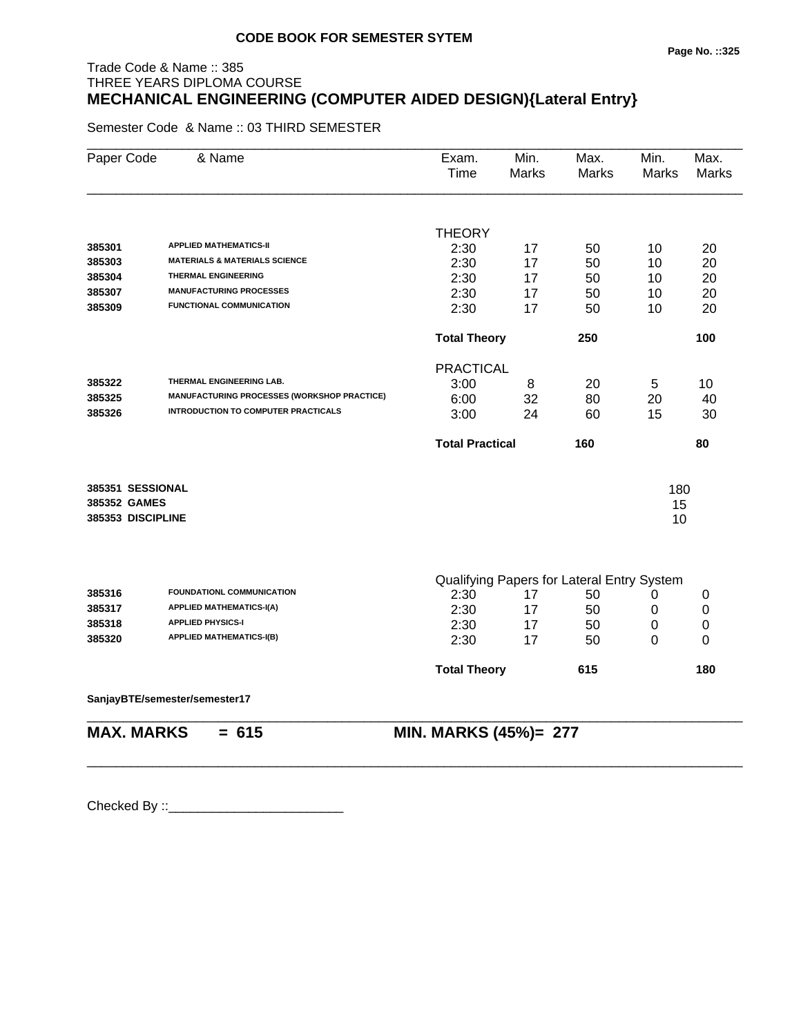## Trade Code & Name :: 385 THREE YEARS DIPLOMA COURSE **MECHANICAL ENGINEERING (COMPUTER AIDED DESIGN){Lateral Entry}**

Semester Code & Name :: 03 THIRD SEMESTER

| Paper Code        | & Name                                             | Exam.<br>Time          | Min.<br>Marks | Max.<br>Marks                              | Min.<br>Marks | Max.<br><b>Marks</b> |
|-------------------|----------------------------------------------------|------------------------|---------------|--------------------------------------------|---------------|----------------------|
|                   |                                                    | <b>THEORY</b>          |               |                                            |               |                      |
| 385301            | <b>APPLIED MATHEMATICS-II</b>                      | 2:30                   | 17            | 50                                         | 10            | 20                   |
| 385303            | <b>MATERIALS &amp; MATERIALS SCIENCE</b>           | 2:30                   | 17            | 50                                         | 10            | 20                   |
| 385304            | <b>THERMAL ENGINEERING</b>                         | 2:30                   | 17            | 50                                         | 10            | 20                   |
| 385307            | <b>MANUFACTURING PROCESSES</b>                     | 2:30                   | 17            | 50                                         | 10            | 20                   |
| 385309            | <b>FUNCTIONAL COMMUNICATION</b>                    | 2:30                   | 17            | 50                                         | 10            | 20                   |
|                   |                                                    | <b>Total Theory</b>    |               | 250                                        |               | 100                  |
|                   |                                                    | <b>PRACTICAL</b>       |               |                                            |               |                      |
| 385322            | THERMAL ENGINEERING LAB.                           | 3:00                   | 8             | 20                                         | 5             | 10                   |
| 385325            | <b>MANUFACTURING PROCESSES (WORKSHOP PRACTICE)</b> | 6:00                   | 32            | 80                                         | 20            | 40                   |
| 385326            | <b>INTRODUCTION TO COMPUTER PRACTICALS</b>         | 3:00                   | 24            | 60                                         | 15            | 30                   |
|                   |                                                    | <b>Total Practical</b> |               | 160                                        |               | 80                   |
| 385351 SESSIONAL  |                                                    |                        |               |                                            | 180           |                      |
| 385352 GAMES      |                                                    |                        |               |                                            | 15            |                      |
| 385353 DISCIPLINE |                                                    |                        |               |                                            | 10            |                      |
|                   |                                                    |                        |               |                                            |               |                      |
|                   |                                                    |                        |               | Qualifying Papers for Lateral Entry System |               |                      |
| 385316            | FOUNDATIONL COMMUNICATION                          | 2:30                   | 17            | 50                                         | 0             | 0                    |
| 385317            | <b>APPLIED MATHEMATICS-I(A)</b>                    | 2:30                   | 17            | 50                                         | 0             | 0                    |
| 385318            | <b>APPLIED PHYSICS-I</b>                           | 2:30                   | 17            | 50                                         | $\pmb{0}$     | $\pmb{0}$            |
| 385320            | <b>APPLIED MATHEMATICS-I(B)</b>                    | 2:30                   | 17            | 50                                         | 0             | 0                    |
|                   |                                                    | <b>Total Theory</b>    |               | 615                                        |               | 180                  |
|                   | SanjayBTE/semester/semester17                      |                        |               |                                            |               |                      |
| <b>MAX. MARKS</b> | $= 615$                                            | MIN. MARKS (45%)= 277  |               |                                            |               |                      |

\_\_\_\_\_\_\_\_\_\_\_\_\_\_\_\_\_\_\_\_\_\_\_\_\_\_\_\_\_\_\_\_\_\_\_\_\_\_\_\_\_\_\_\_\_\_\_\_\_\_\_\_\_\_\_\_\_\_\_\_\_\_\_\_\_\_\_\_\_\_\_\_\_\_\_\_\_\_\_\_\_\_\_\_\_\_\_\_\_\_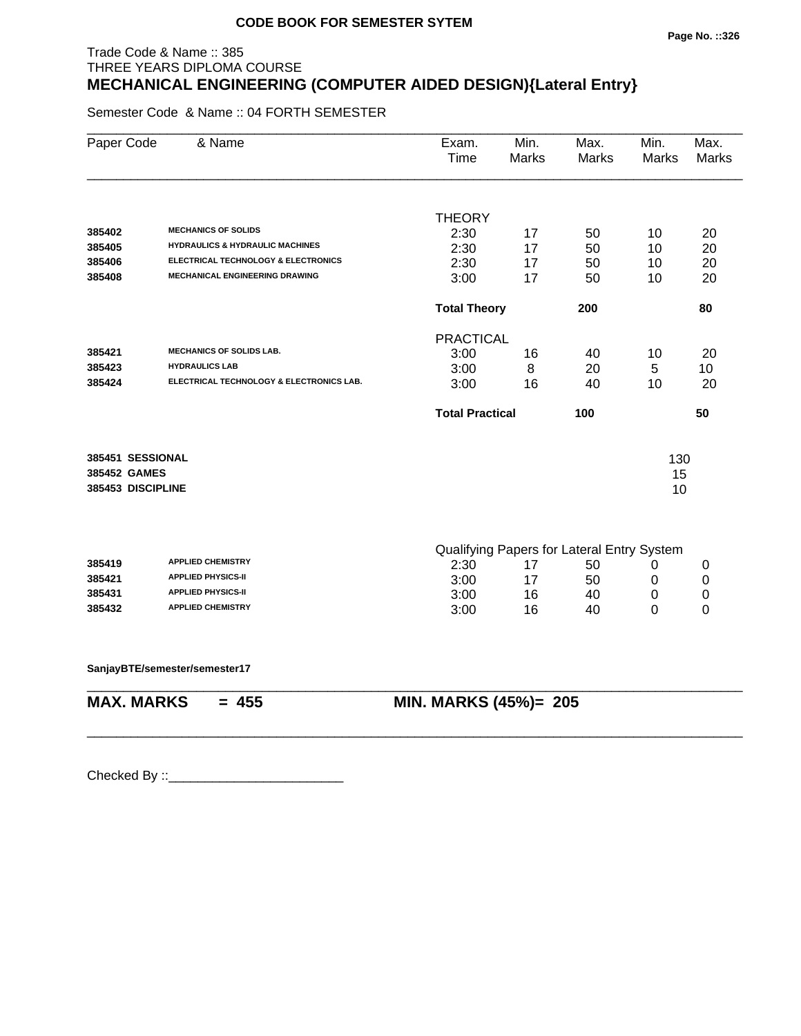## Trade Code & Name :: 385 THREE YEARS DIPLOMA COURSE **MECHANICAL ENGINEERING (COMPUTER AIDED DESIGN){Lateral Entry}**

Semester Code & Name :: 04 FORTH SEMESTER

| Paper Code        | & Name                                     | Exam.<br><b>Time</b>         | Min.<br><b>Marks</b> | Max.<br><b>Marks</b>                       | Min.<br><b>Marks</b> | Max.<br><b>Marks</b> |
|-------------------|--------------------------------------------|------------------------------|----------------------|--------------------------------------------|----------------------|----------------------|
|                   |                                            |                              |                      |                                            |                      |                      |
|                   |                                            | <b>THEORY</b>                |                      |                                            |                      |                      |
| 385402            | <b>MECHANICS OF SOLIDS</b>                 | 2:30                         | 17                   | 50                                         | 10                   | 20                   |
| 385405            | <b>HYDRAULICS &amp; HYDRAULIC MACHINES</b> | 2:30                         | 17                   | 50                                         | 10                   | 20                   |
| 385406            | ELECTRICAL TECHNOLOGY & ELECTRONICS        | 2:30                         | 17                   | 50                                         | 10                   | 20                   |
| 385408            | <b>MECHANICAL ENGINEERING DRAWING</b>      | 3:00                         | 17                   | 50                                         | 10                   | 20                   |
|                   |                                            | <b>Total Theory</b>          |                      | 200                                        |                      | 80                   |
|                   |                                            | <b>PRACTICAL</b>             |                      |                                            |                      |                      |
| 385421            | <b>MECHANICS OF SOLIDS LAB.</b>            | 3:00                         | 16                   | 40                                         | 10                   | 20                   |
| 385423            | <b>HYDRAULICS LAB</b>                      | 3:00                         | 8                    | 20                                         | 5                    | 10                   |
| 385424            | ELECTRICAL TECHNOLOGY & ELECTRONICS LAB.   | 3:00                         | 16                   | 40                                         | 10                   | 20                   |
|                   |                                            | <b>Total Practical</b>       |                      | 100                                        |                      | 50                   |
| 385451 SESSIONAL  |                                            |                              |                      |                                            |                      |                      |
| 385452 GAMES      |                                            |                              |                      |                                            | 130                  |                      |
| 385453 DISCIPLINE |                                            |                              |                      |                                            | 15<br>10             |                      |
|                   |                                            |                              |                      |                                            |                      |                      |
|                   |                                            |                              |                      | Qualifying Papers for Lateral Entry System |                      |                      |
| 385419            | <b>APPLIED CHEMISTRY</b>                   | 2:30                         | 17                   | 50                                         | 0                    | 0                    |
| 385421            | <b>APPLIED PHYSICS-II</b>                  | 3:00                         | 17                   | 50                                         | 0                    | 0                    |
| 385431            | <b>APPLIED PHYSICS-II</b>                  | 3:00                         | 16                   | 40                                         | 0                    | 0                    |
| 385432            | <b>APPLIED CHEMISTRY</b>                   | 3:00                         | 16                   | 40                                         | 0                    | 0                    |
|                   | SanjayBTE/semester/semester17              |                              |                      |                                            |                      |                      |
| <b>MAX. MARKS</b> | $= 455$                                    | <b>MIN. MARKS (45%)= 205</b> |                      |                                            |                      |                      |
|                   |                                            |                              |                      |                                            |                      |                      |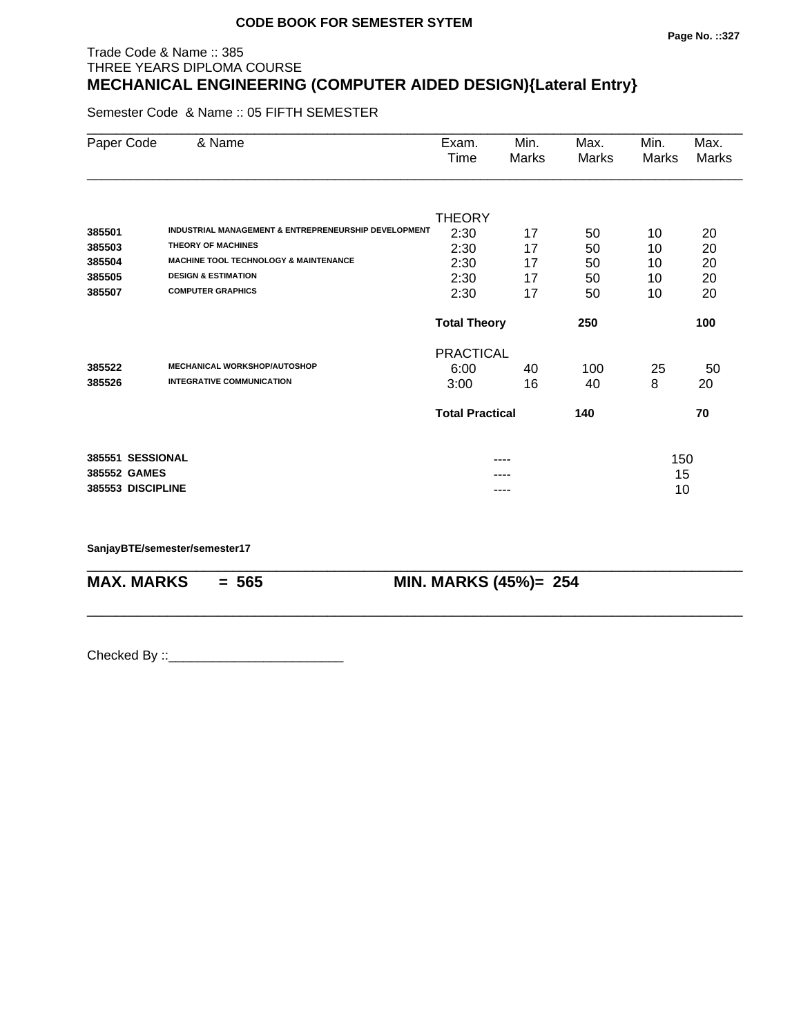#### **Page No. ::327**

## Trade Code & Name :: 385 THREE YEARS DIPLOMA COURSE **MECHANICAL ENGINEERING (COMPUTER AIDED DESIGN){Lateral Entry}**

Semester Code & Name :: 05 FIFTH SEMESTER

| Paper Code        | & Name                                               | Exam.<br>Time          | Min.<br>Marks | Max.<br>Marks | Min.<br>Marks | Max.<br>Marks |
|-------------------|------------------------------------------------------|------------------------|---------------|---------------|---------------|---------------|
|                   |                                                      |                        |               |               |               |               |
|                   |                                                      | <b>THEORY</b>          |               |               |               |               |
| 385501            | INDUSTRIAL MANAGEMENT & ENTREPRENEURSHIP DEVELOPMENT | 2:30                   | 17            | 50            | 10            | 20            |
| 385503            | <b>THEORY OF MACHINES</b>                            | 2:30                   | 17            | 50            | 10            | 20            |
| 385504            | <b>MACHINE TOOL TECHNOLOGY &amp; MAINTENANCE</b>     | 2:30                   | 17            | 50            | 10            | 20            |
| 385505            | <b>DESIGN &amp; ESTIMATION</b>                       | 2:30                   | 17            | 50            | 10            | 20            |
| 385507            | <b>COMPUTER GRAPHICS</b>                             | 2:30                   | 17            | 50            | 10            | 20            |
|                   |                                                      | <b>Total Theory</b>    |               | 250           |               | 100           |
|                   |                                                      | <b>PRACTICAL</b>       |               |               |               |               |
| 385522            | <b>MECHANICAL WORKSHOP/AUTOSHOP</b>                  | 6:00                   | 40            | 100           | 25            | 50            |
| 385526            | <b>INTEGRATIVE COMMUNICATION</b>                     | 3:00                   | 16            | 40            | 8             | 20            |
|                   |                                                      | <b>Total Practical</b> |               | 140           |               | 70            |
| 385551 SESSIONAL  |                                                      |                        |               |               | 150           |               |
| 385552 GAMES      |                                                      |                        |               |               | 15            |               |
| 385553 DISCIPLINE |                                                      |                        |               |               | 10            |               |

\_\_\_\_\_\_\_\_\_\_\_\_\_\_\_\_\_\_\_\_\_\_\_\_\_\_\_\_\_\_\_\_\_\_\_\_\_\_\_\_\_\_\_\_\_\_\_\_\_\_\_\_\_\_\_\_\_\_\_\_\_\_\_\_\_\_\_\_\_\_\_\_\_\_\_\_\_\_\_\_\_\_\_\_\_\_\_\_\_\_

\_\_\_\_\_\_\_\_\_\_\_\_\_\_\_\_\_\_\_\_\_\_\_\_\_\_\_\_\_\_\_\_\_\_\_\_\_\_\_\_\_\_\_\_\_\_\_\_\_\_\_\_\_\_\_\_\_\_\_\_\_\_\_\_\_\_\_\_\_\_\_\_\_\_\_\_\_\_\_\_\_\_\_\_\_\_\_\_\_\_

**SanjayBTE/semester/semester17**

**MAX. MARKS = 565 MIN. MARKS (45%)= 254**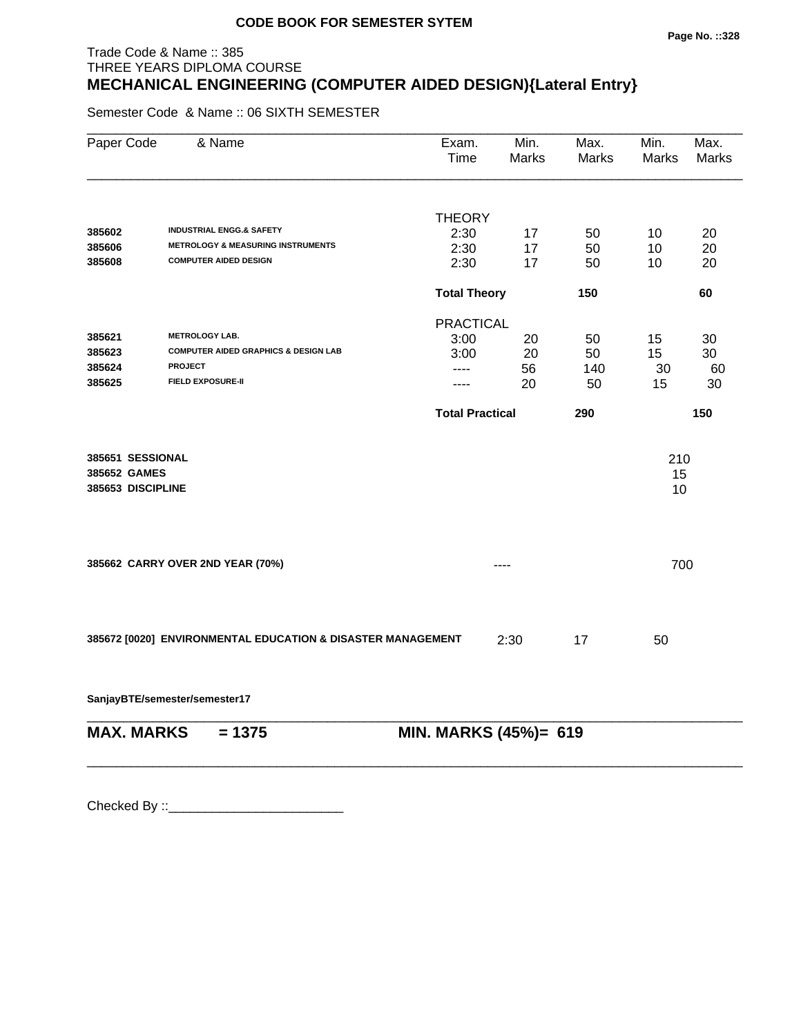#### **Page No. ::328**

## Trade Code & Name :: 385 THREE YEARS DIPLOMA COURSE **MECHANICAL ENGINEERING (COMPUTER AIDED DESIGN){Lateral Entry}**

Semester Code & Name :: 06 SIXTH SEMESTER

| Paper Code                                            | & Name                                                                                                                 | Exam.<br>Time                                                              | Min.<br><b>Marks</b> | Max.<br>Marks                | Min.<br>Marks        | Max.<br><b>Marks</b>        |
|-------------------------------------------------------|------------------------------------------------------------------------------------------------------------------------|----------------------------------------------------------------------------|----------------------|------------------------------|----------------------|-----------------------------|
| 385602                                                | <b>INDUSTRIAL ENGG.&amp; SAFETY</b>                                                                                    | <b>THEORY</b><br>2:30                                                      | 17                   | 50                           | 10                   | 20                          |
| 385606<br>385608                                      | <b>METROLOGY &amp; MEASURING INSTRUMENTS</b><br><b>COMPUTER AIDED DESIGN</b>                                           | 2:30<br>2:30                                                               | 17<br>17             | 50<br>50                     | 10<br>10             | 20<br>20                    |
|                                                       |                                                                                                                        | <b>Total Theory</b>                                                        |                      | 150                          |                      | 60                          |
| 385621<br>385623<br>385624<br>385625                  | <b>METROLOGY LAB.</b><br><b>COMPUTER AIDED GRAPHICS &amp; DESIGN LAB</b><br><b>PROJECT</b><br><b>FIELD EXPOSURE-II</b> | <b>PRACTICAL</b><br>3:00<br>3:00<br>----<br>----<br><b>Total Practical</b> | 20<br>20<br>56<br>20 | 50<br>50<br>140<br>50<br>290 | 15<br>15<br>30<br>15 | 30<br>30<br>60<br>30<br>150 |
| 385651 SESSIONAL<br>385652 GAMES<br>385653 DISCIPLINE |                                                                                                                        |                                                                            |                      |                              | 210<br>15<br>10      |                             |
|                                                       | 385662 CARRY OVER 2ND YEAR (70%)                                                                                       |                                                                            | ----                 |                              | 700                  |                             |
|                                                       | 385672 [0020] ENVIRONMENTAL EDUCATION & DISASTER MANAGEMENT                                                            |                                                                            | 2:30                 | 17                           | 50                   |                             |

**SanjayBTE/semester/semester17**

| <b>MAX. MARKS</b> | $= 13/5$ | MIN. MARKS (45%)= 619 |
|-------------------|----------|-----------------------|

\_\_\_\_\_\_\_\_\_\_\_\_\_\_\_\_\_\_\_\_\_\_\_\_\_\_\_\_\_\_\_\_\_\_\_\_\_\_\_\_\_\_\_\_\_\_\_\_\_\_\_\_\_\_\_\_\_\_\_\_\_\_\_\_\_\_\_\_\_\_\_\_\_\_\_\_\_\_\_\_\_\_\_\_\_\_\_\_\_\_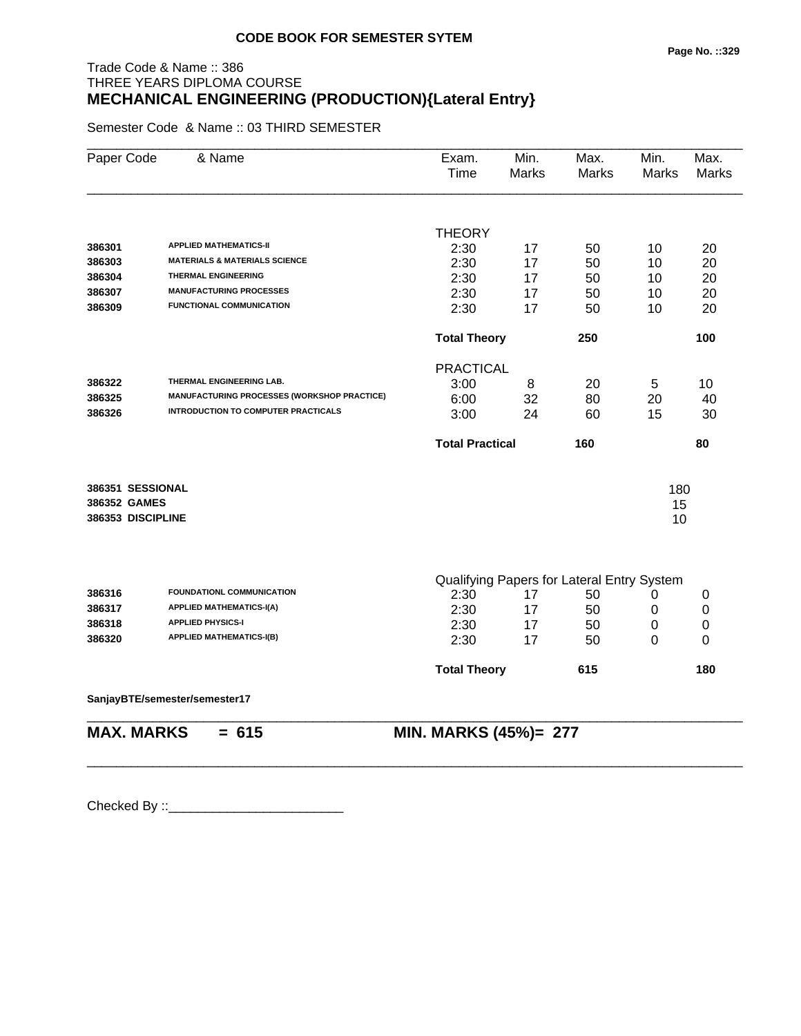## Trade Code & Name :: 386 THREE YEARS DIPLOMA COURSE **MECHANICAL ENGINEERING (PRODUCTION){Lateral Entry}**

Semester Code & Name :: 03 THIRD SEMESTER

| Paper Code        | & Name                                             | Exam.<br>Time          | Min.<br><b>Marks</b> | Max.<br>Marks                              | Min.<br>Marks | Max.<br><b>Marks</b> |  |
|-------------------|----------------------------------------------------|------------------------|----------------------|--------------------------------------------|---------------|----------------------|--|
|                   |                                                    | <b>THEORY</b>          |                      |                                            |               |                      |  |
| 386301            | <b>APPLIED MATHEMATICS-II</b>                      | 2:30                   | 17                   | 50                                         | 10            | 20                   |  |
| 386303            | <b>MATERIALS &amp; MATERIALS SCIENCE</b>           | 2:30                   | 17                   | 50                                         | 10            | 20                   |  |
| 386304            | <b>THERMAL ENGINEERING</b>                         | 2:30                   | 17                   | 50                                         | 10            | 20                   |  |
| 386307            | <b>MANUFACTURING PROCESSES</b>                     | 2:30                   | 17                   | 50                                         | 10            | 20                   |  |
| 386309            | <b>FUNCTIONAL COMMUNICATION</b>                    | 2:30                   | 17                   | 50                                         | 10            | 20                   |  |
|                   |                                                    | <b>Total Theory</b>    |                      | 250                                        |               | 100                  |  |
|                   |                                                    | <b>PRACTICAL</b>       |                      |                                            |               |                      |  |
| 386322            | THERMAL ENGINEERING LAB.                           | 3:00                   | 8                    | 20                                         | 5             | 10                   |  |
| 386325            | <b>MANUFACTURING PROCESSES (WORKSHOP PRACTICE)</b> | 6:00                   | 32                   | 80                                         | 20            | 40                   |  |
| 386326            | <b>INTRODUCTION TO COMPUTER PRACTICALS</b>         | 3:00                   | 24                   | 60                                         | 15            | 30                   |  |
|                   |                                                    | <b>Total Practical</b> |                      | 160                                        |               | 80                   |  |
| 386351 SESSIONAL  |                                                    |                        |                      |                                            | 180           |                      |  |
| 386352 GAMES      |                                                    |                        |                      |                                            | 15            |                      |  |
| 386353 DISCIPLINE |                                                    |                        |                      |                                            | 10            |                      |  |
|                   |                                                    |                        |                      |                                            |               |                      |  |
|                   |                                                    |                        |                      | Qualifying Papers for Lateral Entry System |               |                      |  |
| 386316            | <b>FOUNDATIONL COMMUNICATION</b>                   | 2:30                   | 17                   | 50                                         | 0             | 0                    |  |
| 386317            | <b>APPLIED MATHEMATICS-I(A)</b>                    | 2:30                   | 17                   | 50                                         | 0             | $\pmb{0}$            |  |
| 386318            | <b>APPLIED PHYSICS-I</b>                           | 2:30                   | 17                   | 50                                         | 0             | 0                    |  |
| 386320            | <b>APPLIED MATHEMATICS-I(B)</b>                    | 2:30                   | 17                   | 50                                         | 0             | 0                    |  |
|                   |                                                    | <b>Total Theory</b>    |                      | 615                                        |               | 180                  |  |
|                   | SanjayBTE/semester/semester17                      |                        |                      |                                            |               |                      |  |
| <b>MAX. MARKS</b> | $= 615$                                            | MIN. MARKS (45%)= 277  |                      |                                            |               |                      |  |

\_\_\_\_\_\_\_\_\_\_\_\_\_\_\_\_\_\_\_\_\_\_\_\_\_\_\_\_\_\_\_\_\_\_\_\_\_\_\_\_\_\_\_\_\_\_\_\_\_\_\_\_\_\_\_\_\_\_\_\_\_\_\_\_\_\_\_\_\_\_\_\_\_\_\_\_\_\_\_\_\_\_\_\_\_\_\_\_\_\_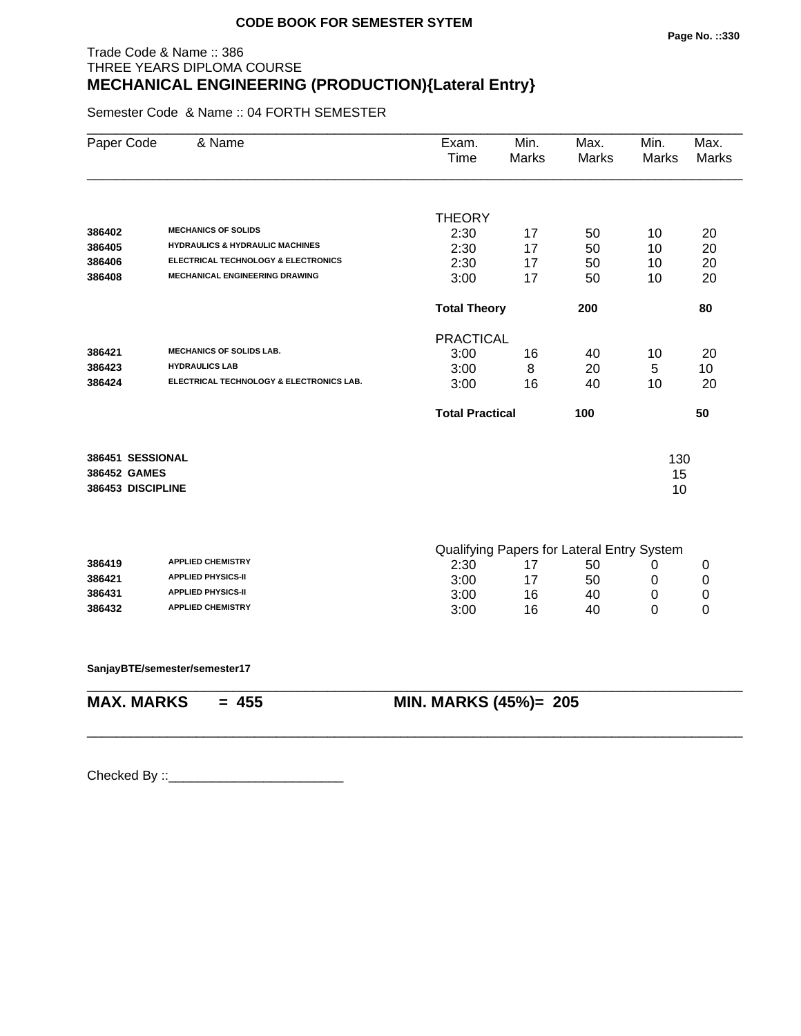## Trade Code & Name :: 386 THREE YEARS DIPLOMA COURSE **MECHANICAL ENGINEERING (PRODUCTION){Lateral Entry}**

Semester Code & Name :: 04 FORTH SEMESTER

| Paper Code        | & Name                                     | Exam.<br>Time          | Min.<br><b>Marks</b> | Max.<br><b>Marks</b>                       | Min.<br><b>Marks</b> | Max.<br><b>Marks</b> |
|-------------------|--------------------------------------------|------------------------|----------------------|--------------------------------------------|----------------------|----------------------|
|                   |                                            |                        |                      |                                            |                      |                      |
|                   |                                            | <b>THEORY</b>          |                      |                                            |                      |                      |
| 386402            | <b>MECHANICS OF SOLIDS</b>                 | 2:30                   | 17                   | 50                                         | 10                   | 20                   |
| 386405            | <b>HYDRAULICS &amp; HYDRAULIC MACHINES</b> | 2:30                   | 17                   | 50                                         | 10                   | 20                   |
| 386406            | ELECTRICAL TECHNOLOGY & ELECTRONICS        | 2:30                   | 17                   | 50                                         | 10                   | 20                   |
| 386408            | <b>MECHANICAL ENGINEERING DRAWING</b>      | 3:00                   | 17                   | 50                                         | 10                   | 20                   |
|                   |                                            | <b>Total Theory</b>    |                      | 200                                        |                      | 80                   |
|                   |                                            | <b>PRACTICAL</b>       |                      |                                            |                      |                      |
| 386421            | <b>MECHANICS OF SOLIDS LAB.</b>            | 3:00                   | 16                   | 40                                         | 10                   | 20                   |
| 386423            | <b>HYDRAULICS LAB</b>                      | 3:00                   | 8                    | 20                                         | 5                    | 10                   |
| 386424            | ELECTRICAL TECHNOLOGY & ELECTRONICS LAB.   | 3:00                   | 16                   | 40                                         | 10                   | 20                   |
|                   |                                            | <b>Total Practical</b> |                      | 100                                        |                      | 50                   |
| 386451 SESSIONAL  |                                            |                        |                      |                                            | 130                  |                      |
| 386452 GAMES      |                                            |                        |                      |                                            | 15                   |                      |
| 386453 DISCIPLINE |                                            |                        |                      |                                            | 10                   |                      |
|                   |                                            |                        |                      |                                            |                      |                      |
|                   |                                            |                        |                      | Qualifying Papers for Lateral Entry System |                      |                      |
| 386419            | <b>APPLIED CHEMISTRY</b>                   | 2:30                   | 17                   | 50                                         | 0                    | 0                    |
| 386421            | <b>APPLIED PHYSICS-II</b>                  | 3:00                   | 17                   | 50                                         | 0                    | 0                    |
| 386431            | <b>APPLIED PHYSICS-II</b>                  | 3:00                   | 16                   | 40                                         | 0                    | 0                    |
| 386432            | <b>APPLIED CHEMISTRY</b>                   | 3:00                   | 16                   | 40                                         | 0                    | 0                    |
|                   | SanjayBTE/semester/semester17              |                        |                      |                                            |                      |                      |
| <b>MAX. MARKS</b> | $= 455$                                    | MIN. MARKS (45%)= 205  |                      |                                            |                      |                      |
|                   |                                            |                        |                      |                                            |                      |                      |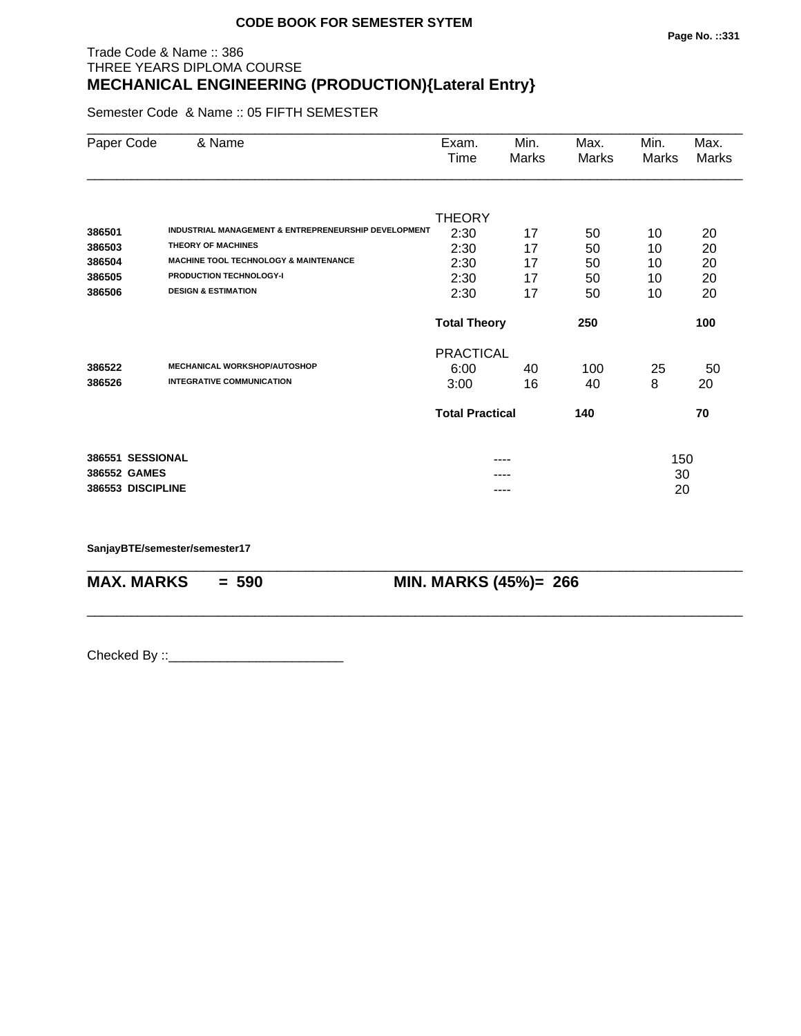## Trade Code & Name :: 386 THREE YEARS DIPLOMA COURSE **MECHANICAL ENGINEERING (PRODUCTION){Lateral Entry}**

Semester Code & Name :: 05 FIFTH SEMESTER

| Paper Code        | & Name                                                          | Exam.<br>Time          | Min.<br>Marks | Max.<br>Marks | Min.<br>Marks | Max.<br>Marks |
|-------------------|-----------------------------------------------------------------|------------------------|---------------|---------------|---------------|---------------|
|                   |                                                                 |                        |               |               |               |               |
|                   |                                                                 | <b>THEORY</b>          |               |               |               |               |
| 386501            | <b>INDUSTRIAL MANAGEMENT &amp; ENTREPRENEURSHIP DEVELOPMENT</b> | 2:30                   | 17            | 50            | 10            | 20            |
| 386503            | <b>THEORY OF MACHINES</b>                                       | 2:30                   | 17            | 50            | 10            | 20            |
| 386504            | <b>MACHINE TOOL TECHNOLOGY &amp; MAINTENANCE</b>                | 2:30                   | 17            | 50            | 10            | 20            |
| 386505            | <b>PRODUCTION TECHNOLOGY-I</b>                                  | 2:30                   | 17            | 50            | 10            | 20            |
| 386506            | <b>DESIGN &amp; ESTIMATION</b>                                  | 2:30                   | 17            | 50            | 10            | 20            |
|                   |                                                                 | <b>Total Theory</b>    |               | 250           |               | 100           |
|                   |                                                                 | <b>PRACTICAL</b>       |               |               |               |               |
| 386522            | <b>MECHANICAL WORKSHOP/AUTOSHOP</b>                             | 6:00                   | 40            | 100           | 25            | 50            |
| 386526            | <b>INTEGRATIVE COMMUNICATION</b>                                | 3:00                   | 16            | 40            | 8             | 20            |
|                   |                                                                 | <b>Total Practical</b> |               | 140           |               | 70            |
| 386551 SESSIONAL  |                                                                 |                        | ----          |               | 150           |               |
| 386552 GAMES      |                                                                 |                        |               |               | 30            |               |
| 386553 DISCIPLINE |                                                                 |                        |               |               | 20            |               |

\_\_\_\_\_\_\_\_\_\_\_\_\_\_\_\_\_\_\_\_\_\_\_\_\_\_\_\_\_\_\_\_\_\_\_\_\_\_\_\_\_\_\_\_\_\_\_\_\_\_\_\_\_\_\_\_\_\_\_\_\_\_\_\_\_\_\_\_\_\_\_\_\_\_\_\_\_\_\_\_\_\_\_\_\_\_\_\_\_\_

\_\_\_\_\_\_\_\_\_\_\_\_\_\_\_\_\_\_\_\_\_\_\_\_\_\_\_\_\_\_\_\_\_\_\_\_\_\_\_\_\_\_\_\_\_\_\_\_\_\_\_\_\_\_\_\_\_\_\_\_\_\_\_\_\_\_\_\_\_\_\_\_\_\_\_\_\_\_\_\_\_\_\_\_\_\_\_\_\_\_

**SanjayBTE/semester/semester17**

**MAX. MARKS = 590 MIN. MARKS (45%)= 266**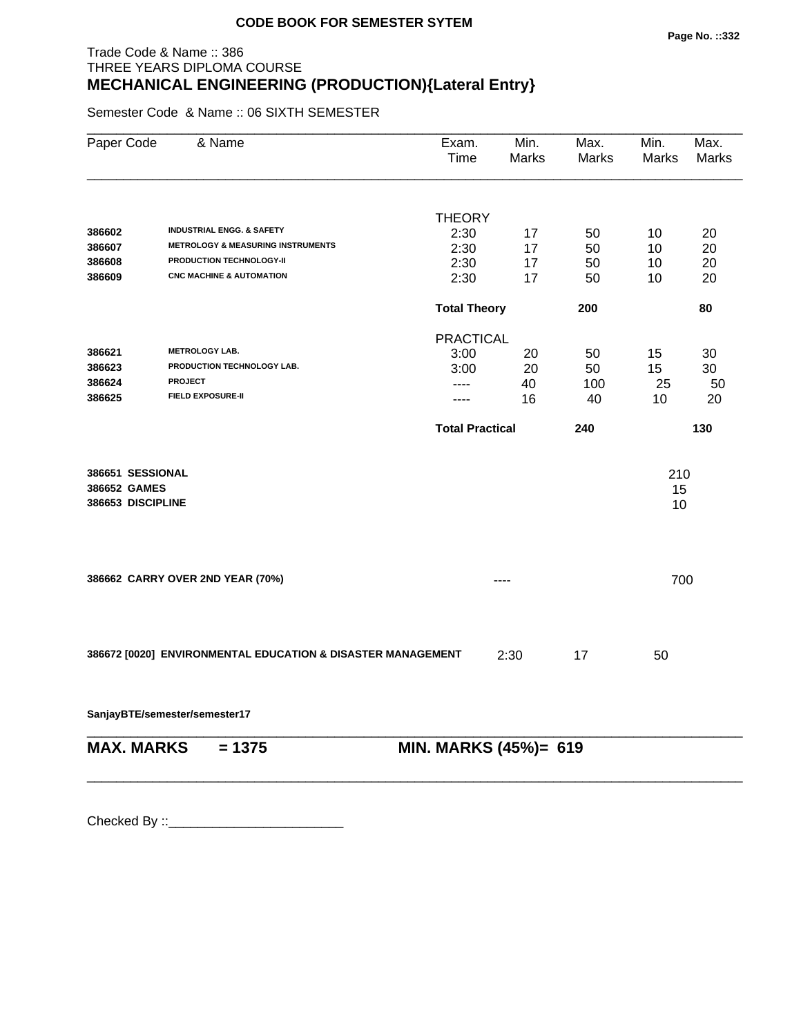## Trade Code & Name :: 386 THREE YEARS DIPLOMA COURSE **MECHANICAL ENGINEERING (PRODUCTION){Lateral Entry}**

Semester Code & Name :: 06 SIXTH SEMESTER

| Paper Code                                            | & Name                                                      | Exam.<br>Time          | Min.<br><b>Marks</b> | Max.<br>Marks | Min.<br><b>Marks</b> | Max.<br><b>Marks</b> |
|-------------------------------------------------------|-------------------------------------------------------------|------------------------|----------------------|---------------|----------------------|----------------------|
|                                                       |                                                             |                        |                      |               |                      |                      |
|                                                       | <b>INDUSTRIAL ENGG. &amp; SAFETY</b>                        | <b>THEORY</b>          |                      |               |                      |                      |
| 386602                                                | <b>METROLOGY &amp; MEASURING INSTRUMENTS</b>                | 2:30                   | 17                   | 50            | 10                   | 20                   |
| 386607<br>386608                                      | PRODUCTION TECHNOLOGY-II                                    | 2:30<br>2:30           | 17                   | 50            | 10                   | 20                   |
| 386609                                                | <b>CNC MACHINE &amp; AUTOMATION</b>                         | 2:30                   | 17<br>17             | 50<br>50      | 10<br>10             | 20<br>20             |
|                                                       |                                                             |                        |                      |               |                      |                      |
|                                                       |                                                             | <b>Total Theory</b>    |                      | 200           |                      | 80                   |
|                                                       |                                                             | <b>PRACTICAL</b>       |                      |               |                      |                      |
| 386621                                                | <b>METROLOGY LAB.</b>                                       | 3:00                   | 20                   | 50            | 15                   | 30                   |
| 386623                                                | PRODUCTION TECHNOLOGY LAB.                                  | 3:00                   | 20                   | 50            | 15                   | 30                   |
| 386624                                                | <b>PROJECT</b>                                              | ----                   | 40                   | 100           | 25                   | 50                   |
| 386625                                                | <b>FIELD EXPOSURE-II</b>                                    | ----                   | 16                   | 40            | 10                   | 20                   |
|                                                       |                                                             | <b>Total Practical</b> |                      | 240           |                      | 130                  |
| 386651 SESSIONAL<br>386652 GAMES<br>386653 DISCIPLINE |                                                             |                        |                      |               | 210<br>15<br>10      |                      |
|                                                       | 386662 CARRY OVER 2ND YEAR (70%)                            |                        |                      |               | 700                  |                      |
|                                                       | 386672 [0020] ENVIRONMENTAL EDUCATION & DISASTER MANAGEMENT |                        | 2:30                 | 17            | 50                   |                      |
|                                                       | SanjayBTE/semester/semester17                               |                        |                      |               |                      |                      |
| <b>MAX. MARKS</b>                                     | $= 1375$                                                    | MIN. MARKS (45%)= 619  |                      |               |                      |                      |
|                                                       |                                                             |                        |                      |               |                      |                      |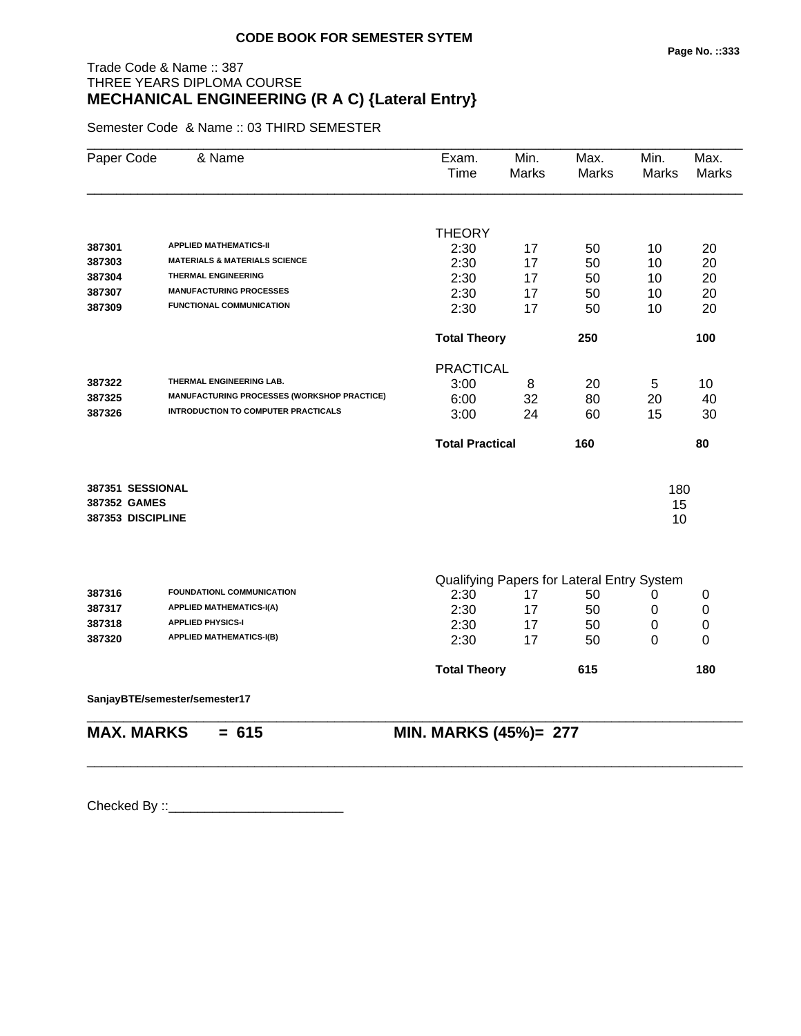## Trade Code & Name :: 387 THREE YEARS DIPLOMA COURSE **MECHANICAL ENGINEERING (R A C) {Lateral Entry}**

Semester Code & Name :: 03 THIRD SEMESTER

| Paper Code        | & Name                                      | Exam.<br>Time          | Min.<br>Marks | Max.<br>Marks                              | Min.<br>Marks | Max.<br><b>Marks</b> |
|-------------------|---------------------------------------------|------------------------|---------------|--------------------------------------------|---------------|----------------------|
|                   |                                             | <b>THEORY</b>          |               |                                            |               |                      |
| 387301            | <b>APPLIED MATHEMATICS-II</b>               | 2:30                   | 17            | 50                                         | 10            | 20                   |
| 387303            | <b>MATERIALS &amp; MATERIALS SCIENCE</b>    | 2:30                   | 17            | 50                                         | 10            | 20                   |
| 387304            | <b>THERMAL ENGINEERING</b>                  | 2:30                   | 17            | 50                                         | 10            | 20                   |
| 387307            | <b>MANUFACTURING PROCESSES</b>              | 2:30                   | 17            | 50                                         | 10            | 20                   |
| 387309            | <b>FUNCTIONAL COMMUNICATION</b>             | 2:30                   | 17            | 50                                         | 10            | 20                   |
|                   |                                             | <b>Total Theory</b>    |               | 250                                        |               | 100                  |
|                   |                                             | <b>PRACTICAL</b>       |               |                                            |               |                      |
| 387322            | THERMAL ENGINEERING LAB.                    | 3:00                   | 8             | 20                                         | 5             | 10                   |
| 387325            | MANUFACTURING PROCESSES (WORKSHOP PRACTICE) | 6:00                   | 32            | 80                                         | 20            | 40                   |
| 387326            | <b>INTRODUCTION TO COMPUTER PRACTICALS</b>  | 3:00                   | 24            | 60                                         | 15            | 30                   |
|                   |                                             | <b>Total Practical</b> |               | 160                                        |               | 80                   |
| 387351 SESSIONAL  |                                             |                        |               |                                            | 180           |                      |
| 387352 GAMES      |                                             |                        |               |                                            | 15            |                      |
| 387353 DISCIPLINE |                                             |                        |               |                                            | 10            |                      |
|                   |                                             |                        |               |                                            |               |                      |
|                   |                                             |                        |               | Qualifying Papers for Lateral Entry System |               |                      |
| 387316            | FOUNDATIONL COMMUNICATION                   | 2:30                   | 17            | 50                                         | 0             | 0                    |
| 387317            | <b>APPLIED MATHEMATICS-I(A)</b>             | 2:30                   | 17            | 50                                         | 0             | $\pmb{0}$            |
| 387318            | <b>APPLIED PHYSICS-I</b>                    | 2:30                   | 17            | 50                                         | 0             | 0                    |
| 387320            | <b>APPLIED MATHEMATICS-I(B)</b>             | 2:30                   | 17            | 50                                         | 0             | 0                    |
|                   |                                             | <b>Total Theory</b>    |               | 615                                        |               | 180                  |
|                   | SanjayBTE/semester/semester17               |                        |               |                                            |               |                      |
| <b>MAX. MARKS</b> | $= 615$                                     | MIN. MARKS (45%)= 277  |               |                                            |               |                      |

\_\_\_\_\_\_\_\_\_\_\_\_\_\_\_\_\_\_\_\_\_\_\_\_\_\_\_\_\_\_\_\_\_\_\_\_\_\_\_\_\_\_\_\_\_\_\_\_\_\_\_\_\_\_\_\_\_\_\_\_\_\_\_\_\_\_\_\_\_\_\_\_\_\_\_\_\_\_\_\_\_\_\_\_\_\_\_\_\_\_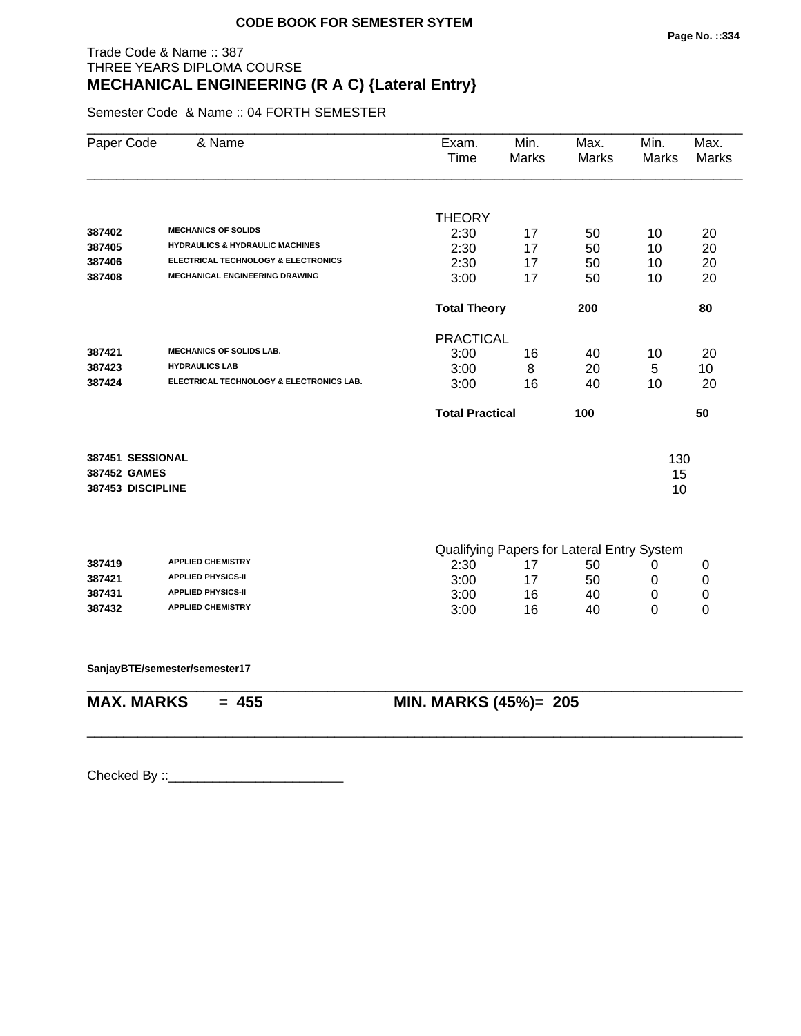## Trade Code & Name :: 387 THREE YEARS DIPLOMA COURSE **MECHANICAL ENGINEERING (R A C) {Lateral Entry}**

Semester Code & Name :: 04 FORTH SEMESTER

| 387402<br>387405                  | <b>MECHANICS OF SOLIDS</b><br><b>HYDRAULICS &amp; HYDRAULIC MACHINES</b><br>ELECTRICAL TECHNOLOGY & ELECTRONICS<br><b>MECHANICAL ENGINEERING DRAWING</b> | <b>THEORY</b><br>2:30<br>2:30 | 17 |                                            |          |    |
|-----------------------------------|----------------------------------------------------------------------------------------------------------------------------------------------------------|-------------------------------|----|--------------------------------------------|----------|----|
|                                   |                                                                                                                                                          |                               |    |                                            |          |    |
|                                   |                                                                                                                                                          |                               |    |                                            |          |    |
|                                   |                                                                                                                                                          |                               |    | 50                                         | 10       | 20 |
|                                   |                                                                                                                                                          |                               | 17 | 50                                         | 10       | 20 |
| 387406                            |                                                                                                                                                          | 2:30                          | 17 | 50                                         | 10       | 20 |
| 387408                            |                                                                                                                                                          | 3:00                          | 17 | 50                                         | 10       | 20 |
|                                   |                                                                                                                                                          | <b>Total Theory</b>           |    | 200                                        |          | 80 |
|                                   |                                                                                                                                                          | <b>PRACTICAL</b>              |    |                                            |          |    |
| 387421                            | <b>MECHANICS OF SOLIDS LAB.</b>                                                                                                                          | 3:00                          | 16 | 40                                         | 10       | 20 |
| 387423                            | <b>HYDRAULICS LAB</b>                                                                                                                                    | 3:00                          | 8  | 20                                         | 5        | 10 |
| 387424                            | ELECTRICAL TECHNOLOGY & ELECTRONICS LAB.                                                                                                                 | 3:00                          | 16 | 40                                         | 10       | 20 |
|                                   |                                                                                                                                                          | <b>Total Practical</b>        |    | 100                                        |          | 50 |
|                                   |                                                                                                                                                          |                               |    |                                            |          |    |
| 387451 SESSIONAL                  |                                                                                                                                                          |                               |    |                                            | 130      |    |
| 387452 GAMES<br>387453 DISCIPLINE |                                                                                                                                                          |                               |    |                                            | 15<br>10 |    |
|                                   |                                                                                                                                                          |                               |    |                                            |          |    |
|                                   |                                                                                                                                                          |                               |    | Qualifying Papers for Lateral Entry System |          |    |
| 387419                            | <b>APPLIED CHEMISTRY</b>                                                                                                                                 | 2:30                          | 17 | 50                                         | 0        | 0  |
| 387421                            | <b>APPLIED PHYSICS-II</b>                                                                                                                                | 3:00                          | 17 | 50                                         | 0        | 0  |
| 387431                            | <b>APPLIED PHYSICS-II</b>                                                                                                                                | 3:00                          | 16 | 40                                         | 0        | 0  |
| 387432                            | <b>APPLIED CHEMISTRY</b>                                                                                                                                 | 3:00                          | 16 | 40                                         | 0        | 0  |
|                                   | SanjayBTE/semester/semester17                                                                                                                            |                               |    |                                            |          |    |
| <b>MAX. MARKS</b>                 | $= 455$                                                                                                                                                  | <b>MIN. MARKS (45%)= 205</b>  |    |                                            |          |    |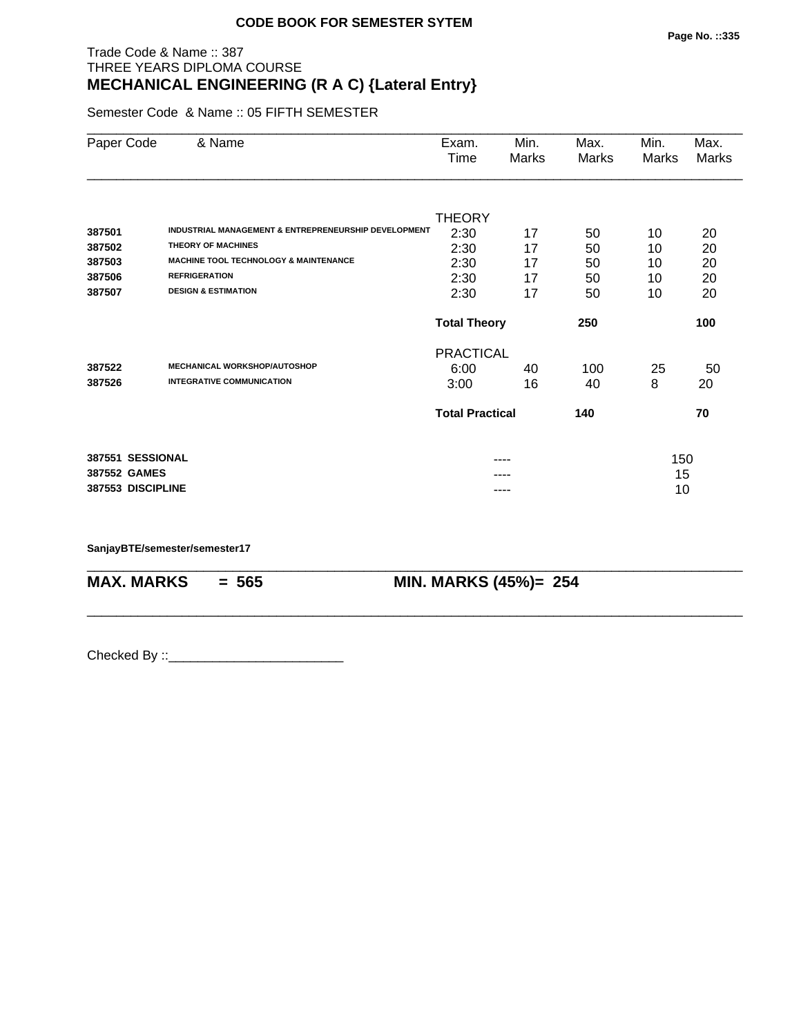## Trade Code & Name :: 387 THREE YEARS DIPLOMA COURSE **MECHANICAL ENGINEERING (R A C) {Lateral Entry}**

Semester Code & Name :: 05 FIFTH SEMESTER

| Paper Code                 | & Name                                                                                                                                | Exam.<br>Time                         | Min.<br>Marks  | Max.<br>Marks  | Min.<br>Marks  | Max.<br>Marks  |
|----------------------------|---------------------------------------------------------------------------------------------------------------------------------------|---------------------------------------|----------------|----------------|----------------|----------------|
| 387501<br>387502<br>387503 | INDUSTRIAL MANAGEMENT & ENTREPRENEURSHIP DEVELOPMENT<br><b>THEORY OF MACHINES</b><br><b>MACHINE TOOL TECHNOLOGY &amp; MAINTENANCE</b> | <b>THEORY</b><br>2:30<br>2:30<br>2:30 | 17<br>17<br>17 | 50<br>50<br>50 | 10<br>10<br>10 | 20<br>20<br>20 |
| 387506                     | <b>REFRIGERATION</b>                                                                                                                  | 2:30                                  | 17             | 50             | 10             | 20             |
| 387507                     | <b>DESIGN &amp; ESTIMATION</b>                                                                                                        | 2:30                                  | 17             | 50             | 10             | 20             |
|                            |                                                                                                                                       | <b>Total Theory</b>                   |                | 250            |                | 100            |
|                            |                                                                                                                                       | <b>PRACTICAL</b>                      |                |                |                |                |
| 387522                     | <b>MECHANICAL WORKSHOP/AUTOSHOP</b>                                                                                                   | 6:00                                  | 40             | 100            | 25             | 50             |
| 387526                     | <b>INTEGRATIVE COMMUNICATION</b>                                                                                                      | 3:00                                  | 16             | 40             | 8              | 20             |
|                            |                                                                                                                                       | <b>Total Practical</b>                |                | 140            |                | 70             |
| 387551 SESSIONAL           |                                                                                                                                       |                                       |                |                | 150            |                |
| 387552 GAMES               |                                                                                                                                       |                                       |                |                | 15             |                |
| 387553 DISCIPLINE          |                                                                                                                                       |                                       | ----           |                | 10             |                |

\_\_\_\_\_\_\_\_\_\_\_\_\_\_\_\_\_\_\_\_\_\_\_\_\_\_\_\_\_\_\_\_\_\_\_\_\_\_\_\_\_\_\_\_\_\_\_\_\_\_\_\_\_\_\_\_\_\_\_\_\_\_\_\_\_\_\_\_\_\_\_\_\_\_\_\_\_\_\_\_\_\_\_\_\_\_\_\_\_\_

\_\_\_\_\_\_\_\_\_\_\_\_\_\_\_\_\_\_\_\_\_\_\_\_\_\_\_\_\_\_\_\_\_\_\_\_\_\_\_\_\_\_\_\_\_\_\_\_\_\_\_\_\_\_\_\_\_\_\_\_\_\_\_\_\_\_\_\_\_\_\_\_\_\_\_\_\_\_\_\_\_\_\_\_\_\_\_\_\_\_

**SanjayBTE/semester/semester17**

**MAX. MARKS** = 565 **MIN. MARKS (45%)**= 254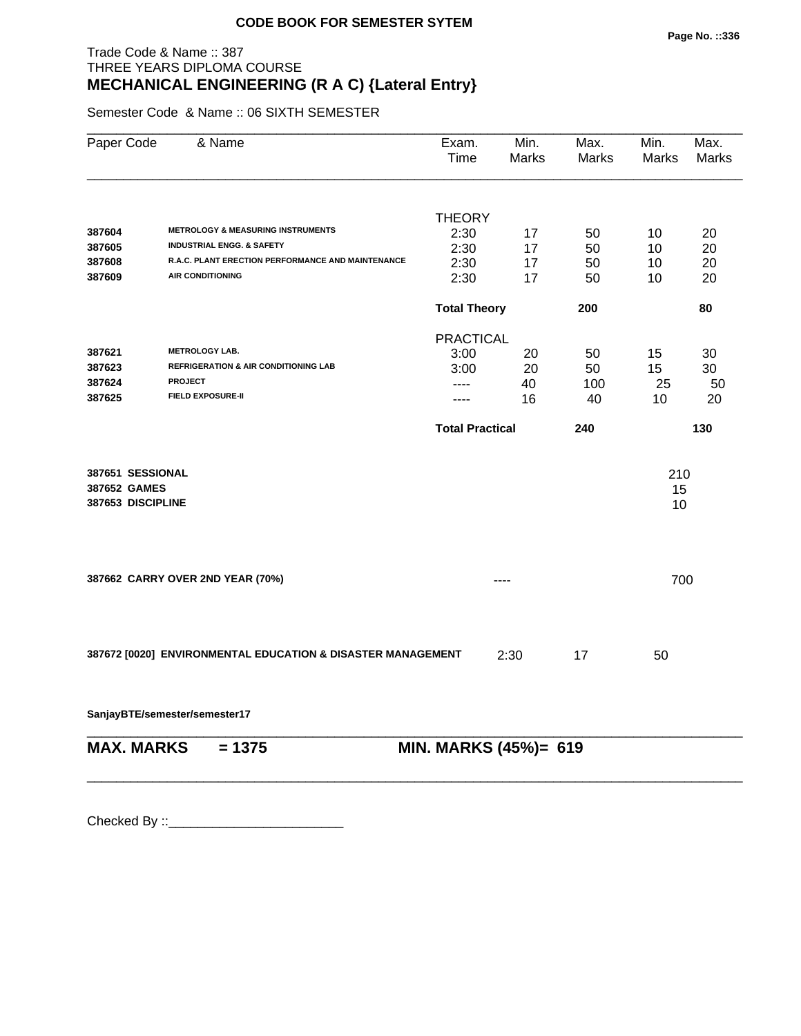## Trade Code & Name :: 387 THREE YEARS DIPLOMA COURSE **MECHANICAL ENGINEERING (R A C) {Lateral Entry}**

Semester Code & Name :: 06 SIXTH SEMESTER

| Paper Code                       | & Name                                                                                    | Exam.<br>Time          | Min.<br>Marks | Max.<br><b>Marks</b> | Min.<br><b>Marks</b> | Max.<br>Marks |
|----------------------------------|-------------------------------------------------------------------------------------------|------------------------|---------------|----------------------|----------------------|---------------|
|                                  |                                                                                           |                        |               |                      |                      |               |
|                                  |                                                                                           | <b>THEORY</b>          |               |                      |                      |               |
| 387604                           | <b>METROLOGY &amp; MEASURING INSTRUMENTS</b>                                              | 2:30                   | 17            | 50                   | 10                   | 20            |
| 387605                           | <b>INDUSTRIAL ENGG. &amp; SAFETY</b><br>R.A.C. PLANT ERECTION PERFORMANCE AND MAINTENANCE | 2:30                   | 17            | 50                   | 10                   | 20            |
| 387608                           | <b>AIR CONDITIONING</b>                                                                   | 2:30                   | 17            | 50                   | 10                   | 20            |
| 387609                           |                                                                                           | 2:30                   | 17            | 50                   | 10                   | 20            |
|                                  |                                                                                           | <b>Total Theory</b>    |               | 200                  |                      | 80            |
|                                  |                                                                                           | <b>PRACTICAL</b>       |               |                      |                      |               |
| 387621                           | <b>METROLOGY LAB.</b>                                                                     | 3:00                   | 20            | 50                   | 15                   | 30            |
| 387623                           | <b>REFRIGERATION &amp; AIR CONDITIONING LAB</b>                                           | 3:00                   | 20            | 50                   | 15                   | 30            |
| 387624<br><b>PROJECT</b>         |                                                                                           | $---$                  | 40            | 100                  | 25                   | 50            |
| 387625                           | <b>FIELD EXPOSURE-II</b>                                                                  | ----                   | 16            | 40                   | 10                   | 20            |
|                                  |                                                                                           | <b>Total Practical</b> |               | 240                  |                      | 130           |
| 387651 SESSIONAL                 |                                                                                           |                        |               |                      | 210                  |               |
| 387652 GAMES                     |                                                                                           |                        |               |                      | 15                   |               |
| 387653 DISCIPLINE                |                                                                                           |                        |               |                      | 10                   |               |
|                                  |                                                                                           |                        |               |                      |                      |               |
| 387662 CARRY OVER 2ND YEAR (70%) |                                                                                           |                        |               |                      | 700                  |               |
|                                  |                                                                                           |                        |               |                      |                      |               |
|                                  | 387672 [0020] ENVIRONMENTAL EDUCATION & DISASTER MANAGEMENT                               |                        | 2:30          | 17                   | 50                   |               |
| SanjayBTE/semester/semester17    |                                                                                           |                        |               |                      |                      |               |
| <b>MAX. MARKS</b>                | $= 1375$                                                                                  | MIN. MARKS (45%)= 619  |               |                      |                      |               |

\_\_\_\_\_\_\_\_\_\_\_\_\_\_\_\_\_\_\_\_\_\_\_\_\_\_\_\_\_\_\_\_\_\_\_\_\_\_\_\_\_\_\_\_\_\_\_\_\_\_\_\_\_\_\_\_\_\_\_\_\_\_\_\_\_\_\_\_\_\_\_\_\_\_\_\_\_\_\_\_\_\_\_\_\_\_\_\_\_\_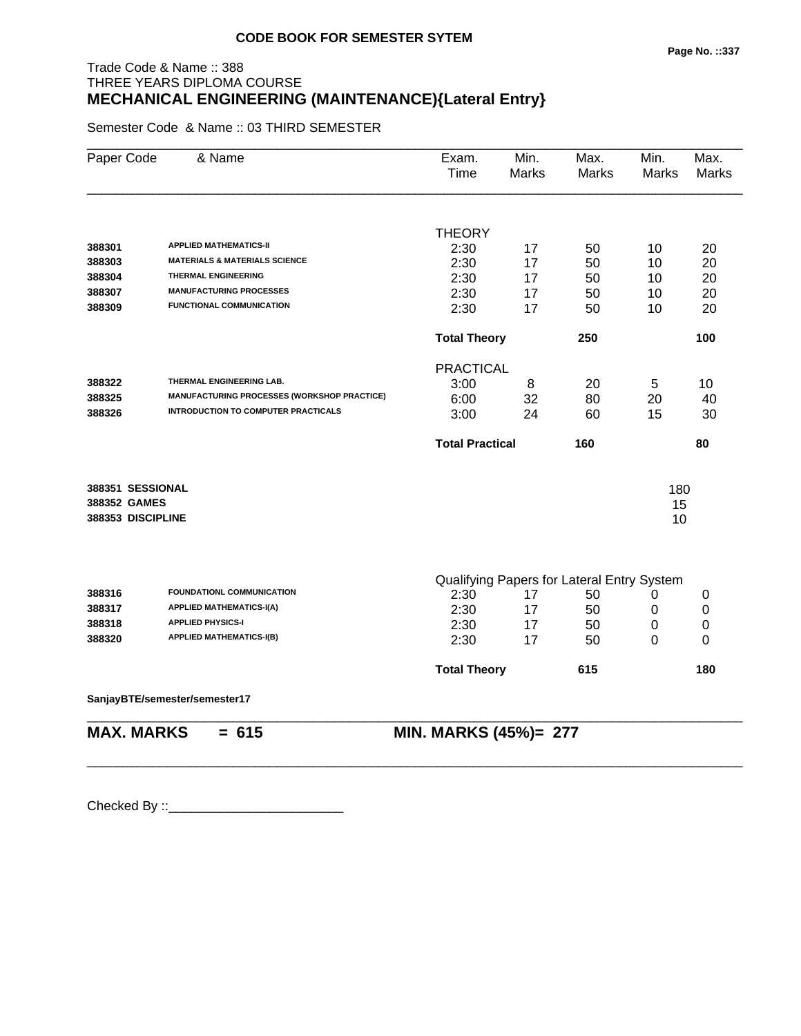## Trade Code & Name :: 388 THREE YEARS DIPLOMA COURSE **MECHANICAL ENGINEERING (MAINTENANCE){Lateral Entry}**

Semester Code & Name :: 03 THIRD SEMESTER

| Paper Code          | & Name                                             | Exam.<br>Time                | Min.<br>Marks | Max.<br><b>Marks</b>                       | Min.<br><b>Marks</b> | Max.<br>Marks |
|---------------------|----------------------------------------------------|------------------------------|---------------|--------------------------------------------|----------------------|---------------|
|                     |                                                    | <b>THEORY</b>                |               |                                            |                      |               |
| 388301              | <b>APPLIED MATHEMATICS-II</b>                      | 2:30                         | 17            | 50                                         | 10                   | 20            |
| 388303              | <b>MATERIALS &amp; MATERIALS SCIENCE</b>           | 2:30                         | 17            | 50                                         | 10                   | 20            |
| 388304              | <b>THERMAL ENGINEERING</b>                         | 2:30                         | 17            | 50                                         | 10                   | 20            |
| 388307              | <b>MANUFACTURING PROCESSES</b>                     | 2:30                         | 17            | 50                                         | 10                   | 20            |
| 388309              | <b>FUNCTIONAL COMMUNICATION</b>                    | 2:30                         | 17            | 50                                         | 10                   | 20            |
|                     |                                                    | <b>Total Theory</b>          |               | 250                                        |                      | 100           |
|                     |                                                    | <b>PRACTICAL</b>             |               |                                            |                      |               |
| 388322              | THERMAL ENGINEERING LAB.                           | 3:00                         | 8             | 20                                         | 5                    | 10            |
| 388325              | <b>MANUFACTURING PROCESSES (WORKSHOP PRACTICE)</b> | 6:00                         | 32            | 80                                         | 20                   | 40            |
| 388326              | <b>INTRODUCTION TO COMPUTER PRACTICALS</b>         | 3:00                         | 24            | 60                                         | 15                   | 30            |
|                     |                                                    | <b>Total Practical</b>       |               | 160                                        |                      | 80            |
| 388351 SESSIONAL    |                                                    |                              |               |                                            | 180                  |               |
| <b>388352 GAMES</b> |                                                    |                              |               |                                            | 15                   |               |
| 388353 DISCIPLINE   |                                                    |                              |               |                                            | 10                   |               |
|                     |                                                    |                              |               |                                            |                      |               |
|                     |                                                    |                              |               | Qualifying Papers for Lateral Entry System |                      |               |
| 388316              | FOUNDATIONL COMMUNICATION                          | 2:30                         | 17            | 50                                         | 0                    | 0             |
| 388317              | <b>APPLIED MATHEMATICS-I(A)</b>                    | 2:30                         | 17            | 50                                         | 0                    | 0             |
| 388318              | <b>APPLIED PHYSICS-I</b>                           | 2:30                         | 17            | 50                                         | 0                    | $\pmb{0}$     |
| 388320              | <b>APPLIED MATHEMATICS-I(B)</b>                    | 2:30                         | 17            | 50                                         | 0                    | 0             |
|                     |                                                    | <b>Total Theory</b>          |               | 615                                        |                      | 180           |
|                     | SanjayBTE/semester/semester17                      |                              |               |                                            |                      |               |
| <b>MAX. MARKS</b>   | $= 615$                                            | <b>MIN. MARKS (45%)= 277</b> |               |                                            |                      |               |

\_\_\_\_\_\_\_\_\_\_\_\_\_\_\_\_\_\_\_\_\_\_\_\_\_\_\_\_\_\_\_\_\_\_\_\_\_\_\_\_\_\_\_\_\_\_\_\_\_\_\_\_\_\_\_\_\_\_\_\_\_\_\_\_\_\_\_\_\_\_\_\_\_\_\_\_\_\_\_\_\_\_\_\_\_\_\_\_\_\_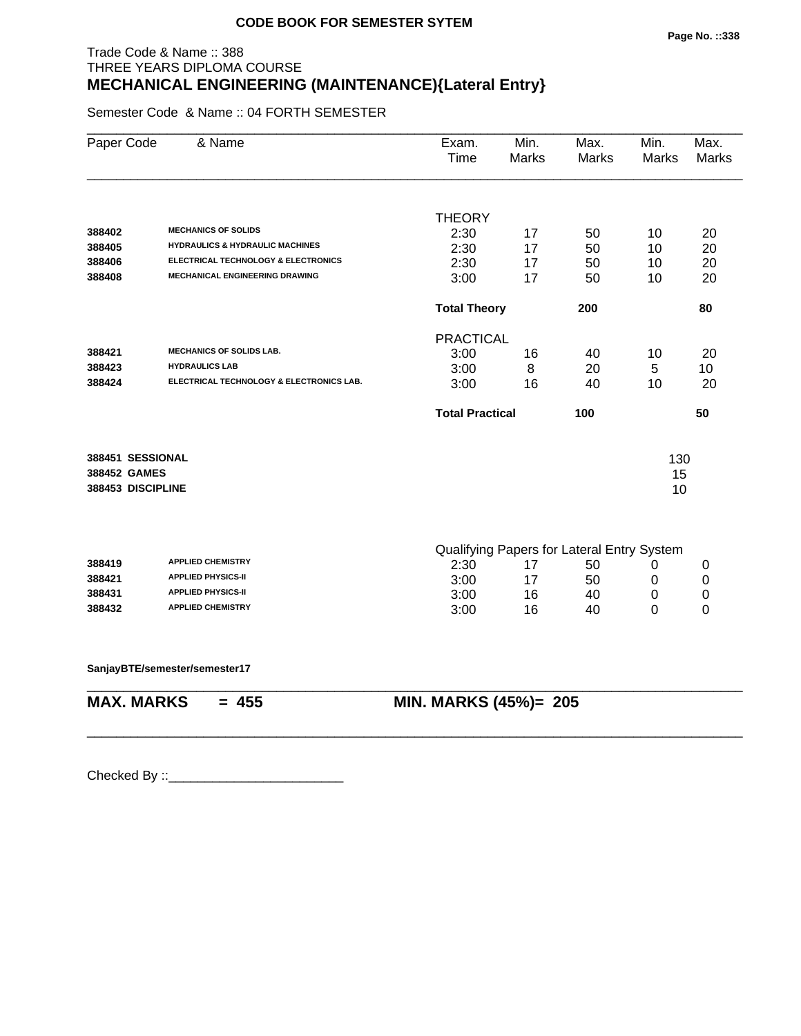## Trade Code & Name :: 388 THREE YEARS DIPLOMA COURSE **MECHANICAL ENGINEERING (MAINTENANCE){Lateral Entry}**

Semester Code & Name :: 04 FORTH SEMESTER

|                   |                                            |                        |    |                                            | <b>Marks</b> | <b>Marks</b> |
|-------------------|--------------------------------------------|------------------------|----|--------------------------------------------|--------------|--------------|
|                   |                                            |                        |    |                                            |              |              |
|                   | <b>MECHANICS OF SOLIDS</b>                 | <b>THEORY</b>          |    |                                            |              |              |
| 388402            | <b>HYDRAULICS &amp; HYDRAULIC MACHINES</b> | 2:30                   | 17 | 50                                         | 10           | 20           |
| 388405            | ELECTRICAL TECHNOLOGY & ELECTRONICS        | 2:30                   | 17 | 50                                         | 10           | 20           |
| 388406            | <b>MECHANICAL ENGINEERING DRAWING</b>      | 2:30                   | 17 | 50                                         | 10           | 20           |
| 388408            |                                            | 3:00                   | 17 | 50                                         | 10           | 20           |
|                   |                                            | <b>Total Theory</b>    |    | 200                                        |              | 80           |
|                   |                                            | <b>PRACTICAL</b>       |    |                                            |              |              |
| 388421            | <b>MECHANICS OF SOLIDS LAB.</b>            | 3:00                   | 16 | 40                                         | 10           | 20           |
| 388423            | <b>HYDRAULICS LAB</b>                      | 3:00                   | 8  | 20                                         | 5            | 10           |
| 388424            | ELECTRICAL TECHNOLOGY & ELECTRONICS LAB.   | 3:00                   | 16 | 40                                         | 10           | 20           |
|                   |                                            | <b>Total Practical</b> |    | 100                                        |              | 50           |
| 388451 SESSIONAL  |                                            |                        |    |                                            |              |              |
| 388452 GAMES      |                                            |                        |    |                                            | 130<br>15    |              |
| 388453 DISCIPLINE |                                            |                        |    |                                            | 10           |              |
|                   |                                            |                        |    |                                            |              |              |
|                   |                                            |                        |    | Qualifying Papers for Lateral Entry System |              |              |
| 388419            | <b>APPLIED CHEMISTRY</b>                   | 2:30                   | 17 | 50                                         | 0            | 0            |
| 388421            | <b>APPLIED PHYSICS-II</b>                  | 3:00                   | 17 | 50                                         | 0            | 0            |
| 388431            | <b>APPLIED PHYSICS-II</b>                  | 3:00                   | 16 | 40                                         | 0            | 0            |
| 388432            | <b>APPLIED CHEMISTRY</b>                   | 3:00                   | 16 | 40                                         | 0            | 0            |
|                   | SanjayBTE/semester/semester17              |                        |    |                                            |              |              |
| <b>MAX. MARKS</b> | $= 455$                                    | MIN. MARKS (45%)= 205  |    |                                            |              |              |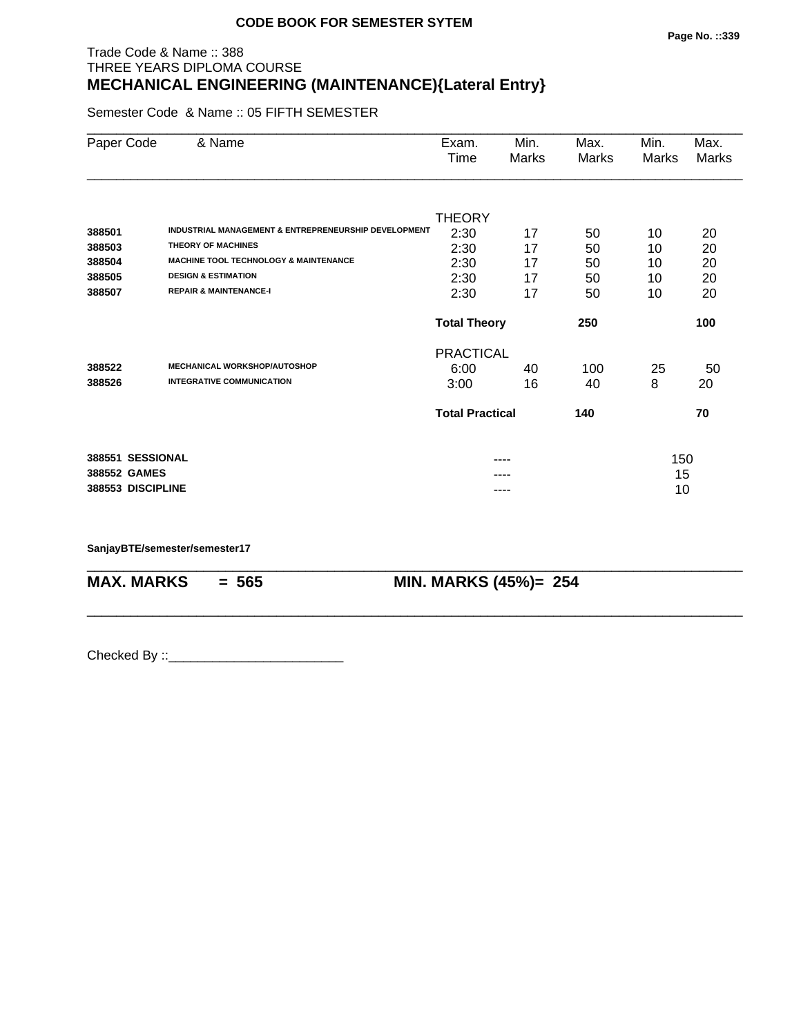## Trade Code & Name :: 388 THREE YEARS DIPLOMA COURSE **MECHANICAL ENGINEERING (MAINTENANCE){Lateral Entry}**

Semester Code & Name :: 05 FIFTH SEMESTER

| Paper Code                           | & Name                                                                                                                                                                  | Exam.<br>Time                         | Min.<br>Marks        | Max.<br>Marks  | Min.<br>Marks  | Max.<br><b>Marks</b> |
|--------------------------------------|-------------------------------------------------------------------------------------------------------------------------------------------------------------------------|---------------------------------------|----------------------|----------------|----------------|----------------------|
| 388501<br>388503<br>388504<br>388505 | INDUSTRIAL MANAGEMENT & ENTREPRENEURSHIP DEVELOPMENT<br><b>THEORY OF MACHINES</b><br><b>MACHINE TOOL TECHNOLOGY &amp; MAINTENANCE</b><br><b>DESIGN &amp; ESTIMATION</b> | <b>THEORY</b><br>2:30<br>2:30<br>2:30 | 17<br>17<br>17<br>17 | 50<br>50<br>50 | 10<br>10<br>10 | 20<br>20<br>20       |
| 388507                               | <b>REPAIR &amp; MAINTENANCE-I</b>                                                                                                                                       | 2:30<br>2:30                          | 17                   | 50<br>50       | 10<br>10       | 20<br>20             |
|                                      |                                                                                                                                                                         | <b>Total Theory</b>                   |                      | 250            |                | 100                  |
| 388522                               | <b>MECHANICAL WORKSHOP/AUTOSHOP</b>                                                                                                                                     | <b>PRACTICAL</b>                      |                      |                |                |                      |
| 388526                               | <b>INTEGRATIVE COMMUNICATION</b>                                                                                                                                        | 6:00<br>3:00                          | 40<br>16             | 100<br>40      | 25<br>8        | 50<br>20             |
|                                      |                                                                                                                                                                         | <b>Total Practical</b>                |                      | 140            |                | 70                   |
| 388551 SESSIONAL                     |                                                                                                                                                                         |                                       | ----                 |                | 150            |                      |
| 388552 GAMES<br>388553 DISCIPLINE    |                                                                                                                                                                         |                                       | ----                 |                | 15<br>10       |                      |

\_\_\_\_\_\_\_\_\_\_\_\_\_\_\_\_\_\_\_\_\_\_\_\_\_\_\_\_\_\_\_\_\_\_\_\_\_\_\_\_\_\_\_\_\_\_\_\_\_\_\_\_\_\_\_\_\_\_\_\_\_\_\_\_\_\_\_\_\_\_\_\_\_\_\_\_\_\_\_\_\_\_\_\_\_\_\_\_\_\_

\_\_\_\_\_\_\_\_\_\_\_\_\_\_\_\_\_\_\_\_\_\_\_\_\_\_\_\_\_\_\_\_\_\_\_\_\_\_\_\_\_\_\_\_\_\_\_\_\_\_\_\_\_\_\_\_\_\_\_\_\_\_\_\_\_\_\_\_\_\_\_\_\_\_\_\_\_\_\_\_\_\_\_\_\_\_\_\_\_\_

**SanjayBTE/semester/semester17**

**MAX. MARKS = 565 MIN. MARKS (45%)= 254**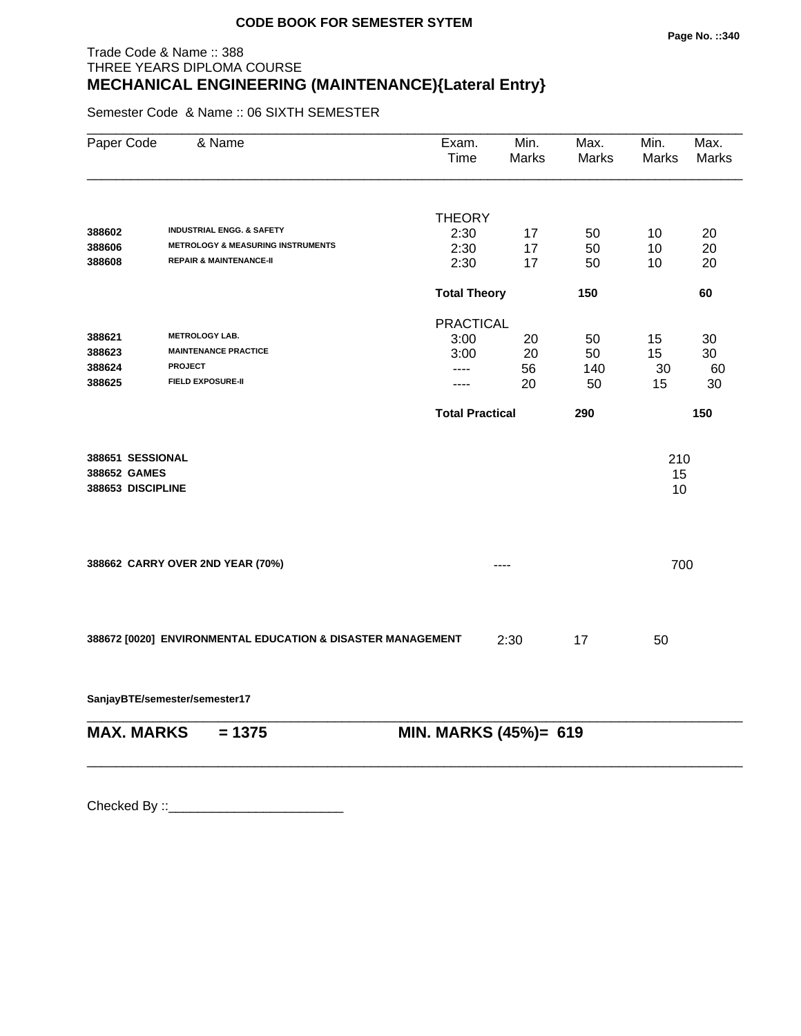## Trade Code & Name :: 388 THREE YEARS DIPLOMA COURSE **MECHANICAL ENGINEERING (MAINTENANCE){Lateral Entry}**

Semester Code & Name :: 06 SIXTH SEMESTER

| Paper Code                                            | & Name                                                      | Exam.<br>Time          | Min.<br><b>Marks</b> | Max.<br>Marks | Min.<br>Marks   | Max.<br>Marks |
|-------------------------------------------------------|-------------------------------------------------------------|------------------------|----------------------|---------------|-----------------|---------------|
|                                                       |                                                             | <b>THEORY</b>          |                      |               |                 |               |
| 388602                                                | <b>INDUSTRIAL ENGG. &amp; SAFETY</b>                        | 2:30                   | 17                   | 50            | 10              | 20            |
| 388606                                                | <b>METROLOGY &amp; MEASURING INSTRUMENTS</b>                | 2:30                   | 17                   | 50            | 10              | 20            |
| 388608                                                | <b>REPAIR &amp; MAINTENANCE-II</b>                          | 2:30                   | 17                   | 50            | 10              | 20            |
|                                                       |                                                             | <b>Total Theory</b>    |                      | 150           |                 | 60            |
|                                                       |                                                             | <b>PRACTICAL</b>       |                      |               |                 |               |
| 388621                                                | <b>METROLOGY LAB.</b>                                       | 3:00                   | 20                   | 50            | 15              | 30            |
| 388623                                                | <b>MAINTENANCE PRACTICE</b>                                 | 3:00                   | 20                   | 50            | 15              | 30            |
| 388624                                                | <b>PROJECT</b>                                              | ----                   | 56                   | 140           | 30              | 60            |
| 388625                                                | <b>FIELD EXPOSURE-II</b>                                    | ----                   | 20                   | 50            | 15              | 30            |
|                                                       |                                                             | <b>Total Practical</b> |                      | 290           |                 | 150           |
| 388651 SESSIONAL<br>388652 GAMES<br>388653 DISCIPLINE |                                                             |                        |                      |               | 210<br>15<br>10 |               |
|                                                       | 388662 CARRY OVER 2ND YEAR (70%)                            |                        | ----                 |               | 700             |               |
|                                                       | 388672 [0020] ENVIRONMENTAL EDUCATION & DISASTER MANAGEMENT |                        | 2:30                 | 17            | 50              |               |

**SanjayBTE/semester/semester17**

| $MAX. \, MARKS = 1375$ | <b>MIN. MARKS (45%)= 619</b> |
|------------------------|------------------------------|
|                        |                              |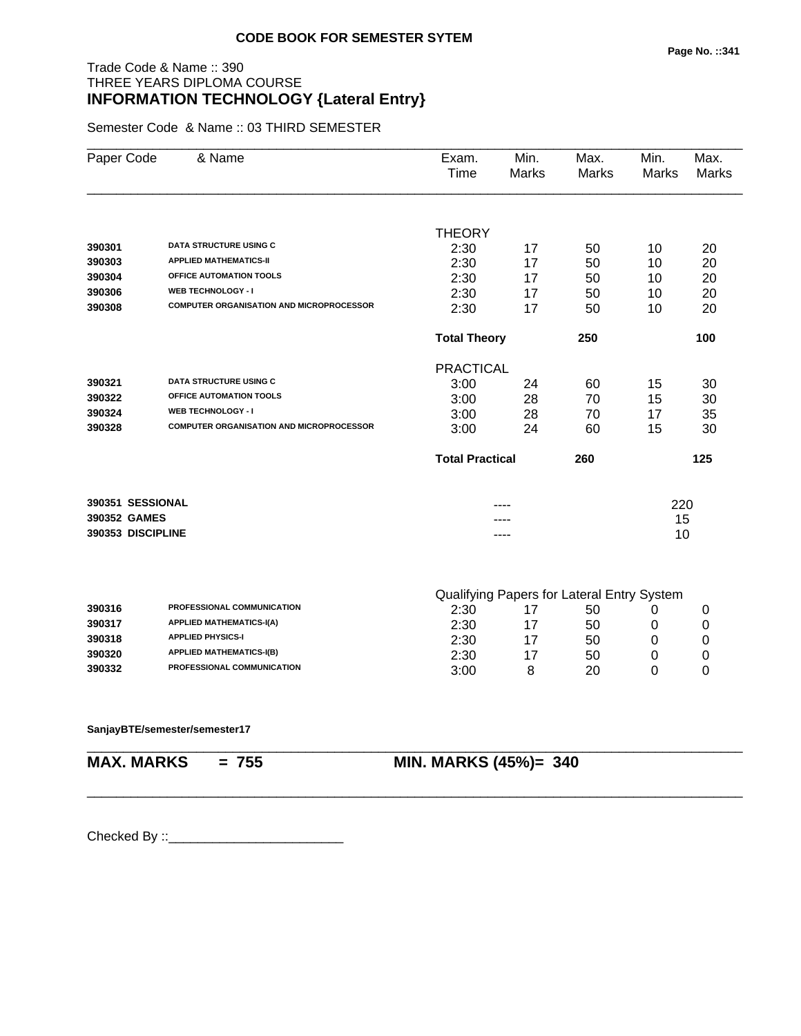#### **Page No. ::341**

## Trade Code & Name :: 390 THREE YEARS DIPLOMA COURSE **INFORMATION TECHNOLOGY {Lateral Entry}**

Semester Code & Name :: 03 THIRD SEMESTER

| Paper Code        | & Name                                          | Exam.<br>Time          | Min.<br><b>Marks</b> | Max.<br><b>Marks</b>                       | Min.<br>Marks | Max.<br>Marks |
|-------------------|-------------------------------------------------|------------------------|----------------------|--------------------------------------------|---------------|---------------|
|                   |                                                 |                        |                      |                                            |               |               |
|                   |                                                 | <b>THEORY</b>          |                      |                                            |               |               |
| 390301            | <b>DATA STRUCTURE USING C</b>                   | 2:30                   | 17                   | 50                                         | 10            | 20            |
| 390303            | <b>APPLIED MATHEMATICS-II</b>                   | 2:30                   | 17                   | 50                                         | 10            | 20            |
| 390304            | OFFICE AUTOMATION TOOLS                         | 2:30                   | 17                   | 50                                         | 10            | 20            |
| 390306            | <b>WEB TECHNOLOGY - I</b>                       | 2:30                   | 17                   | 50                                         | 10            | 20            |
| 390308            | <b>COMPUTER ORGANISATION AND MICROPROCESSOR</b> | 2:30                   | 17                   | 50                                         | 10            | 20            |
|                   |                                                 | <b>Total Theory</b>    |                      | 250                                        |               | 100           |
|                   |                                                 | <b>PRACTICAL</b>       |                      |                                            |               |               |
| 390321            | <b>DATA STRUCTURE USING C</b>                   | 3:00                   | 24                   | 60                                         | 15            | 30            |
| 390322            | OFFICE AUTOMATION TOOLS                         | 3:00                   | 28                   | 70                                         | 15            | 30            |
| 390324            | <b>WEB TECHNOLOGY - I</b>                       | 3:00                   | 28                   | 70                                         | 17            | 35            |
| 390328            | <b>COMPUTER ORGANISATION AND MICROPROCESSOR</b> | 3:00                   | 24                   | 60                                         | 15            | 30            |
|                   |                                                 | <b>Total Practical</b> |                      | 260                                        |               | 125           |
| 390351 SESSIONAL  |                                                 |                        |                      |                                            | 220           |               |
| 390352 GAMES      |                                                 |                        |                      |                                            | 15            |               |
| 390353 DISCIPLINE |                                                 |                        |                      |                                            | 10            |               |
|                   |                                                 |                        |                      |                                            |               |               |
|                   |                                                 |                        |                      | Qualifying Papers for Lateral Entry System |               |               |
| 390316            | PROFESSIONAL COMMUNICATION                      | 2:30                   | 17                   | 50                                         | 0             | 0             |

| 390317 | <b>APPLIED MATHEMATICS-I(A)</b>   | 2:30 | 50 |   |
|--------|-----------------------------------|------|----|---|
| 390318 | <b>APPLIED PHYSICS-I</b>          | 2:30 | 50 |   |
| 390320 | <b>APPLIED MATHEMATICS-I(B)</b>   | 2:30 | 50 |   |
| 390332 | <b>PROFESSIONAL COMMUNICATION</b> | 3:00 | 20 | ╰ |

\_\_\_\_\_\_\_\_\_\_\_\_\_\_\_\_\_\_\_\_\_\_\_\_\_\_\_\_\_\_\_\_\_\_\_\_\_\_\_\_\_\_\_\_\_\_\_\_\_\_\_\_\_\_\_\_\_\_\_\_\_\_\_\_\_\_\_\_\_\_\_\_\_\_\_\_\_\_\_\_\_\_\_\_\_\_\_\_\_\_

\_\_\_\_\_\_\_\_\_\_\_\_\_\_\_\_\_\_\_\_\_\_\_\_\_\_\_\_\_\_\_\_\_\_\_\_\_\_\_\_\_\_\_\_\_\_\_\_\_\_\_\_\_\_\_\_\_\_\_\_\_\_\_\_\_\_\_\_\_\_\_\_\_\_\_\_\_\_\_\_\_\_\_\_\_\_\_\_\_\_

#### **SanjayBTE/semester/semester17**

# **MAX. MARKS = 755 MIN. MARKS (45%)= 340**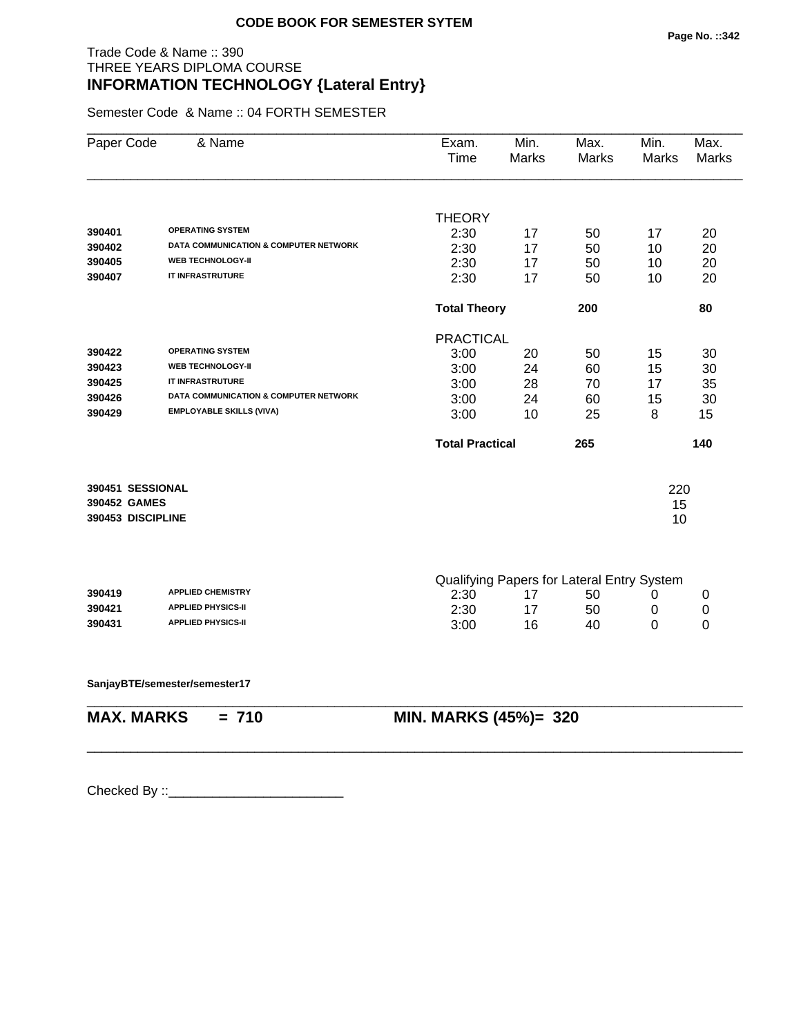## Trade Code & Name :: 390 THREE YEARS DIPLOMA COURSE **INFORMATION TECHNOLOGY {Lateral Entry}**

Semester Code & Name :: 04 FORTH SEMESTER

| Paper Code        | & Name                                           | Exam.<br>Time          | Min.<br>Marks | Max.<br><b>Marks</b>                       | Min.<br>Marks | Max.<br>Marks |
|-------------------|--------------------------------------------------|------------------------|---------------|--------------------------------------------|---------------|---------------|
|                   |                                                  | <b>THEORY</b>          |               |                                            |               |               |
| 390401            | <b>OPERATING SYSTEM</b>                          | 2:30                   | 17            | 50                                         | 17            | 20            |
| 390402            | <b>DATA COMMUNICATION &amp; COMPUTER NETWORK</b> | 2:30                   | 17            | 50                                         | 10            | 20            |
| 390405            | <b>WEB TECHNOLOGY-II</b>                         | 2:30                   | 17            | 50                                         | 10            | 20            |
| 390407            | IT INFRASTRUTURE                                 | 2:30                   | 17            | 50                                         | 10            | 20            |
|                   |                                                  | <b>Total Theory</b>    |               | 200                                        |               | 80            |
|                   |                                                  | <b>PRACTICAL</b>       |               |                                            |               |               |
| 390422            | <b>OPERATING SYSTEM</b>                          | 3:00                   | 20            | 50                                         | 15            | 30            |
| 390423            | <b>WEB TECHNOLOGY-II</b>                         | 3:00                   | 24            | 60                                         | 15            | 30            |
| 390425            | IT INFRASTRUTURE                                 | 3:00                   | 28            | 70                                         | 17            | 35            |
| 390426            | <b>DATA COMMUNICATION &amp; COMPUTER NETWORK</b> | 3:00                   | 24            | 60                                         | 15            | 30            |
| 390429            | <b>EMPLOYABLE SKILLS (VIVA)</b>                  | 3:00                   | 10            | 25                                         | 8             | 15            |
|                   |                                                  | <b>Total Practical</b> |               | 265                                        |               | 140           |
| 390451 SESSIONAL  |                                                  |                        |               |                                            | 220           |               |
| 390452 GAMES      |                                                  |                        |               |                                            | 15            |               |
| 390453 DISCIPLINE |                                                  |                        |               |                                            | 10            |               |
|                   |                                                  |                        |               | Qualifying Papers for Lateral Entry System |               |               |
| 390419            | <b>APPLIED CHEMISTRY</b>                         | 2:30                   | 17            | 50                                         | 0             | 0             |
| 390421            | <b>APPLIED PHYSICS-II</b>                        | 2:30                   | 17            | 50                                         | 0             | 0             |
| 390431            | <b>APPLIED PHYSICS-II</b>                        | 3:00                   | 16            | 40                                         | 0             | 0             |
|                   |                                                  |                        |               |                                            |               |               |

\_\_\_\_\_\_\_\_\_\_\_\_\_\_\_\_\_\_\_\_\_\_\_\_\_\_\_\_\_\_\_\_\_\_\_\_\_\_\_\_\_\_\_\_\_\_\_\_\_\_\_\_\_\_\_\_\_\_\_\_\_\_\_\_\_\_\_\_\_\_\_\_\_\_\_\_\_\_\_\_\_\_\_\_\_\_\_\_\_\_

\_\_\_\_\_\_\_\_\_\_\_\_\_\_\_\_\_\_\_\_\_\_\_\_\_\_\_\_\_\_\_\_\_\_\_\_\_\_\_\_\_\_\_\_\_\_\_\_\_\_\_\_\_\_\_\_\_\_\_\_\_\_\_\_\_\_\_\_\_\_\_\_\_\_\_\_\_\_\_\_\_\_\_\_\_\_\_\_\_\_

**SanjayBTE/semester/semester17**

**MAX. MARKS = 710 MIN. MARKS (45%)= 320**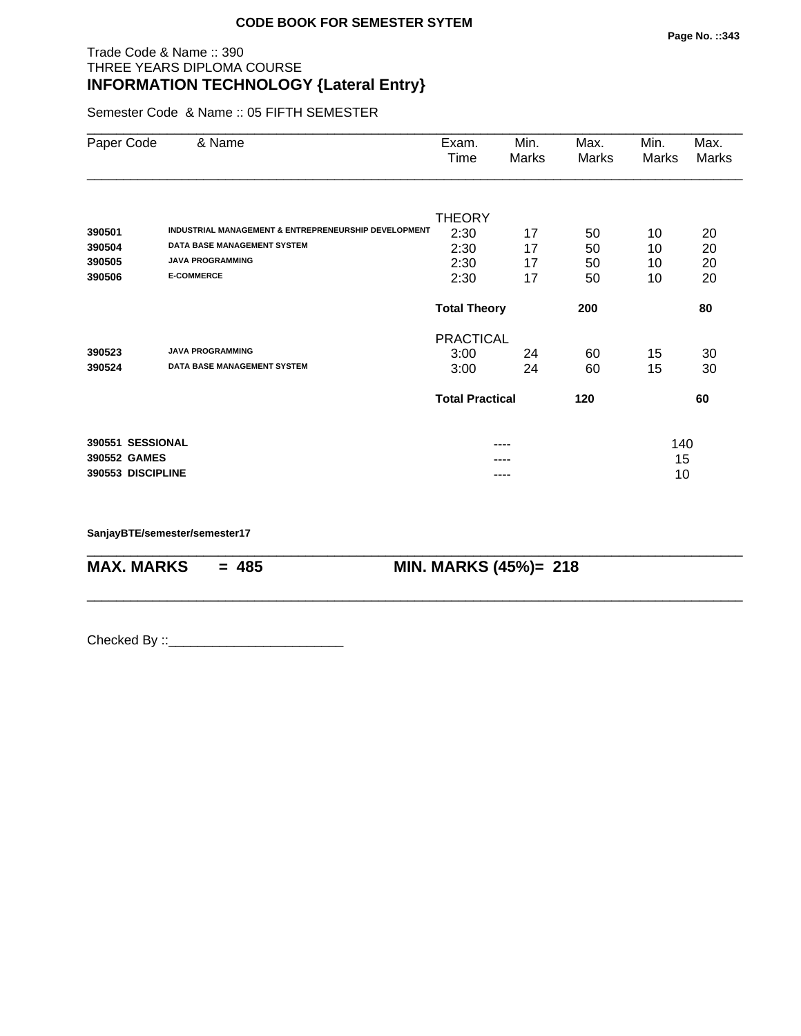## Trade Code & Name :: 390 THREE YEARS DIPLOMA COURSE **INFORMATION TECHNOLOGY {Lateral Entry}**

Semester Code & Name :: 05 FIFTH SEMESTER

| Paper Code        | & Name                                               | Exam.<br>Time          | Min.<br>Marks | Max.<br>Marks | Min.<br>Marks | Max.<br>Marks |
|-------------------|------------------------------------------------------|------------------------|---------------|---------------|---------------|---------------|
|                   |                                                      |                        |               |               |               |               |
| 390501            | INDUSTRIAL MANAGEMENT & ENTREPRENEURSHIP DEVELOPMENT | <b>THEORY</b>          |               |               |               |               |
| 390504            | <b>DATA BASE MANAGEMENT SYSTEM</b>                   | 2:30                   | 17            | 50            | 10            | 20            |
| 390505            | <b>JAVA PROGRAMMING</b>                              | 2:30<br>2:30           | 17<br>17      | 50<br>50      | 10<br>10      | 20<br>20      |
| 390506            | <b>E-COMMERCE</b>                                    | 2:30                   | 17            | 50            | 10            | 20            |
|                   |                                                      | <b>Total Theory</b>    |               | 200           |               | 80            |
|                   |                                                      | <b>PRACTICAL</b>       |               |               |               |               |
| 390523            | <b>JAVA PROGRAMMING</b>                              | 3:00                   | 24            | 60            | 15            | 30            |
| 390524            | <b>DATA BASE MANAGEMENT SYSTEM</b>                   | 3:00                   | 24            | 60            | 15            | 30            |
|                   |                                                      | <b>Total Practical</b> |               | 120           |               | 60            |
| 390551 SESSIONAL  |                                                      |                        | ----          |               | 140           |               |
| 390552 GAMES      |                                                      |                        | ----          |               | 15            |               |
| 390553 DISCIPLINE |                                                      |                        | ----          |               | 10            |               |

\_\_\_\_\_\_\_\_\_\_\_\_\_\_\_\_\_\_\_\_\_\_\_\_\_\_\_\_\_\_\_\_\_\_\_\_\_\_\_\_\_\_\_\_\_\_\_\_\_\_\_\_\_\_\_\_\_\_\_\_\_\_\_\_\_\_\_\_\_\_\_\_\_\_\_\_\_\_\_\_\_\_\_\_\_\_\_\_\_\_

\_\_\_\_\_\_\_\_\_\_\_\_\_\_\_\_\_\_\_\_\_\_\_\_\_\_\_\_\_\_\_\_\_\_\_\_\_\_\_\_\_\_\_\_\_\_\_\_\_\_\_\_\_\_\_\_\_\_\_\_\_\_\_\_\_\_\_\_\_\_\_\_\_\_\_\_\_\_\_\_\_\_\_\_\_\_\_\_\_\_

**SanjayBTE/semester/semester17**

**MAX. MARKS = 485 MIN. MARKS (45%)= 218**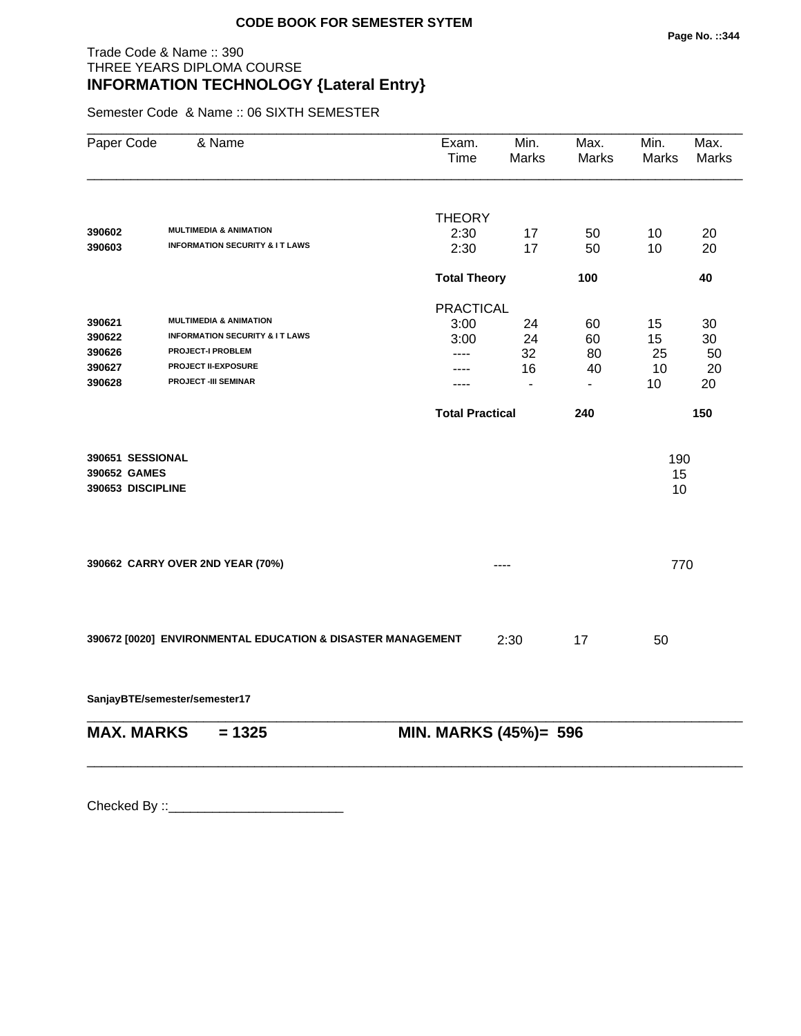## Trade Code & Name :: 390 THREE YEARS DIPLOMA COURSE **INFORMATION TECHNOLOGY {Lateral Entry}**

Semester Code & Name :: 06 SIXTH SEMESTER

| Paper Code                                            | & Name                                                      | Exam.<br>Time          | Min.<br><b>Marks</b> | Max.<br>Marks  | Min.<br>Marks   | Max.<br><b>Marks</b> |
|-------------------------------------------------------|-------------------------------------------------------------|------------------------|----------------------|----------------|-----------------|----------------------|
|                                                       |                                                             | <b>THEORY</b>          |                      |                |                 |                      |
| 390602                                                | <b>MULTIMEDIA &amp; ANIMATION</b>                           | 2:30                   | 17                   | 50             | 10              | 20                   |
| 390603                                                | <b>INFORMATION SECURITY &amp; IT LAWS</b>                   | 2:30                   | 17                   | 50             | 10              | 20                   |
|                                                       |                                                             | <b>Total Theory</b>    |                      | 100            |                 | 40                   |
|                                                       |                                                             | <b>PRACTICAL</b>       |                      |                |                 |                      |
| 390621                                                | <b>MULTIMEDIA &amp; ANIMATION</b>                           | 3:00                   | 24                   | 60             | 15              | 30                   |
| 390622                                                | <b>INFORMATION SECURITY &amp; IT LAWS</b>                   | 3:00                   | 24                   | 60             | 15              | 30                   |
| 390626                                                | <b>PROJECT-I PROBLEM</b>                                    | ----                   | 32                   | 80             | 25              | 50                   |
| 390627                                                | <b>PROJECT II-EXPOSURE</b>                                  | ----                   | 16                   | 40             | 10              | 20                   |
| 390628                                                | <b>PROJECT -III SEMINAR</b>                                 | ----                   | $\blacksquare$       | $\blacksquare$ | 10              | 20                   |
|                                                       |                                                             | <b>Total Practical</b> |                      | 240            |                 | 150                  |
| 390651 SESSIONAL<br>390652 GAMES<br>390653 DISCIPLINE |                                                             |                        |                      |                | 190<br>15<br>10 |                      |
|                                                       | 390662 CARRY OVER 2ND YEAR (70%)                            |                        | ----                 |                | 770             |                      |
|                                                       | 390672 [0020] ENVIRONMENTAL EDUCATION & DISASTER MANAGEMENT |                        | 2:30                 | 17             | 50              |                      |

**SanjayBTE/semester/semester17**

| $MAX. \, MARKS = 1325$ | <b>MIN. MARKS (45%)= 596</b> |
|------------------------|------------------------------|
|                        |                              |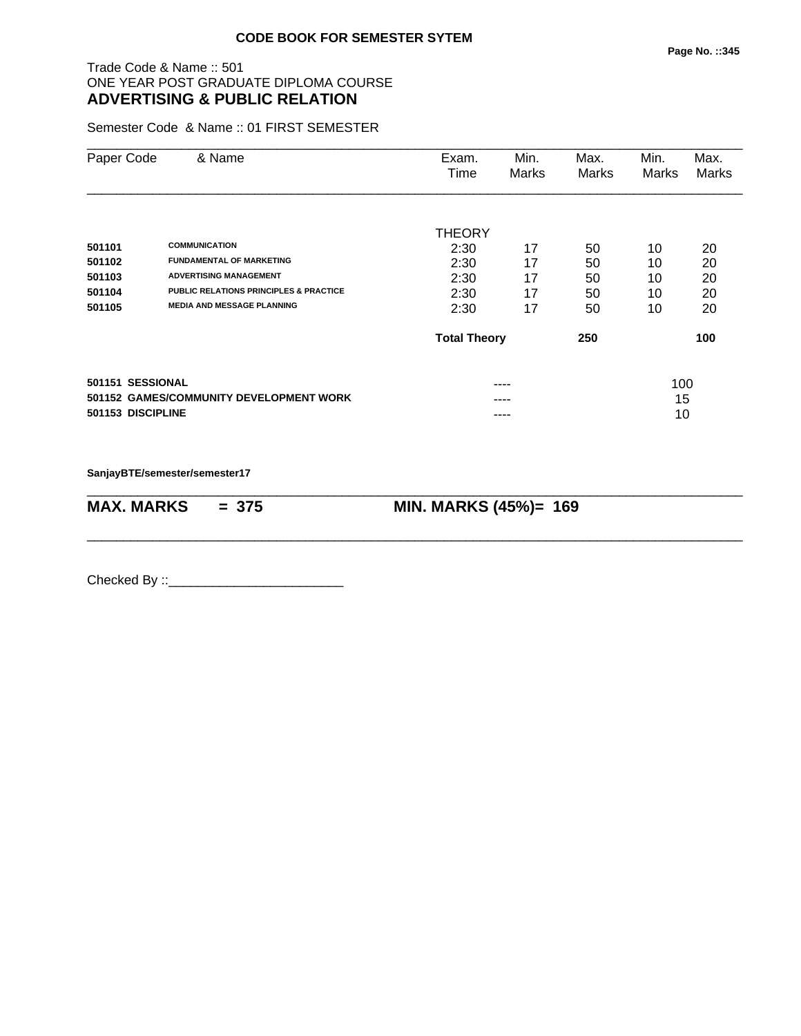#### **Page No. ::345**

## Trade Code & Name :: 501 ONE YEAR POST GRADUATE DIPLOMA COURSE **ADVERTISING & PUBLIC RELATION**

Semester Code & Name :: 01 FIRST SEMESTER

| Paper Code | & Name                                                       | Exam.<br>Time       | Min.<br>Marks | Max.<br>Marks | Min.<br>Marks | Max.<br>Marks |
|------------|--------------------------------------------------------------|---------------------|---------------|---------------|---------------|---------------|
|            |                                                              | <b>THEORY</b>       |               |               |               |               |
| 501101     | <b>COMMUNICATION</b>                                         | 2:30                | 17            | 50            | 10            | 20            |
| 501102     | <b>FUNDAMENTAL OF MARKETING</b>                              | 2:30                | 17            | 50            | 10            | 20            |
| 501103     | <b>ADVERTISING MANAGEMENT</b>                                | 2:30                | 17            | 50            | 10            | 20            |
| 501104     | <b>PUBLIC RELATIONS PRINCIPLES &amp; PRACTICE</b>            | 2:30                | 17            | 50            | 10            | 20            |
| 501105     | <b>MEDIA AND MESSAGE PLANNING</b>                            | 2:30                | 17            | 50            | 10            | 20            |
|            |                                                              | <b>Total Theory</b> |               | 250           |               | 100           |
|            | 501151 SESSIONAL                                             |                     | ----          |               | 100           |               |
|            | 501152 GAMES/COMMUNITY DEVELOPMENT WORK<br>501153 DISCIPLINE |                     | ----          |               | 15<br>10      |               |

**SanjayBTE/semester/semester17**

| $MAX. \, MARKS = 375$ | <b>MIN. MARKS (45%)= 169</b> |
|-----------------------|------------------------------|

\_\_\_\_\_\_\_\_\_\_\_\_\_\_\_\_\_\_\_\_\_\_\_\_\_\_\_\_\_\_\_\_\_\_\_\_\_\_\_\_\_\_\_\_\_\_\_\_\_\_\_\_\_\_\_\_\_\_\_\_\_\_\_\_\_\_\_\_\_\_\_\_\_\_\_\_\_\_\_\_\_\_\_\_\_\_\_\_\_\_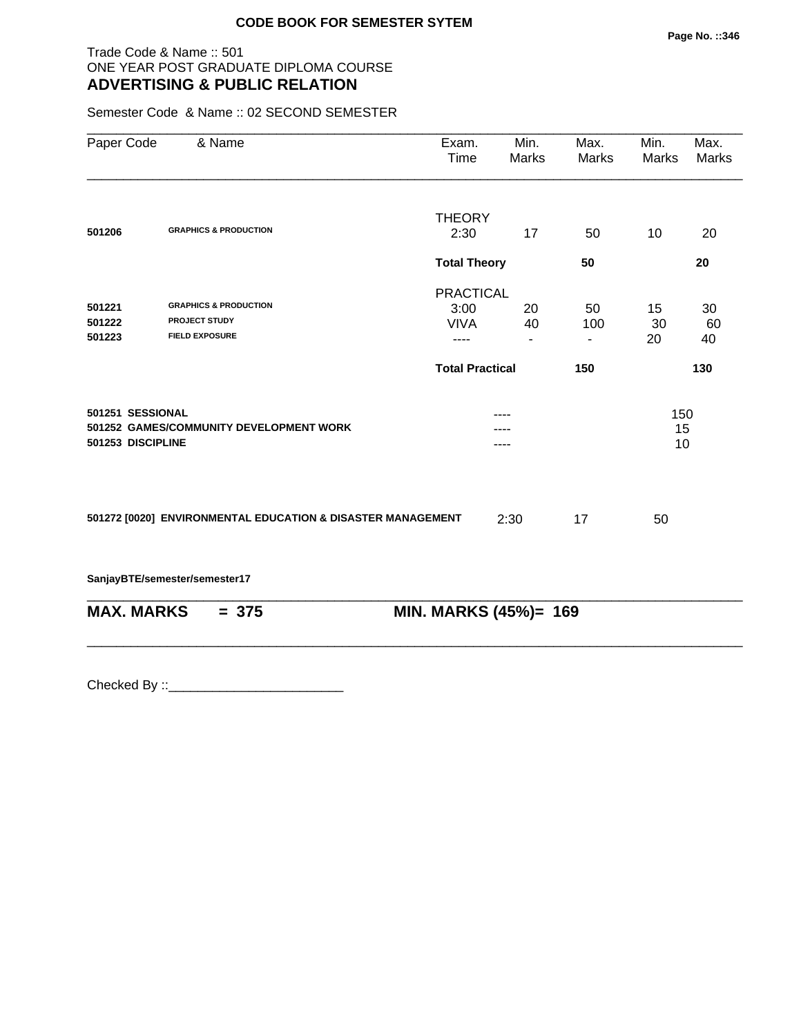## Trade Code & Name :: 501 ONE YEAR POST GRADUATE DIPLOMA COURSE **ADVERTISING & PUBLIC RELATION**

Semester Code & Name :: 02 SECOND SEMESTER

| Paper Code        | & Name                                                      | Exam.<br>Time          | Min.<br>Marks            | Max.<br>Marks  | Min.<br>Marks | Max.<br><b>Marks</b> |  |
|-------------------|-------------------------------------------------------------|------------------------|--------------------------|----------------|---------------|----------------------|--|
|                   |                                                             | <b>THEORY</b>          |                          |                |               |                      |  |
| 501206            | <b>GRAPHICS &amp; PRODUCTION</b>                            | 2:30                   | 17                       | 50             | 10            | 20                   |  |
|                   |                                                             | <b>Total Theory</b>    |                          | 50             |               | 20                   |  |
|                   |                                                             | <b>PRACTICAL</b>       |                          |                |               |                      |  |
| 501221            | <b>GRAPHICS &amp; PRODUCTION</b>                            | 3:00                   | 20                       | 50             | 15            | 30                   |  |
| 501222            | <b>PROJECT STUDY</b>                                        | <b>VIVA</b>            | 40                       | 100            | 30            | 60                   |  |
| 501223            | <b>FIELD EXPOSURE</b>                                       | ----                   | $\overline{\phantom{a}}$ | $\blacksquare$ | 20            | 40                   |  |
|                   |                                                             | <b>Total Practical</b> |                          | 150            |               | 130                  |  |
| 501251 SESSIONAL  |                                                             |                        |                          |                | 150           |                      |  |
|                   | 501252 GAMES/COMMUNITY DEVELOPMENT WORK                     |                        |                          |                | 15            |                      |  |
| 501253 DISCIPLINE |                                                             | ----                   |                          |                | 10            |                      |  |
|                   |                                                             |                        |                          |                |               |                      |  |
|                   | 501272 [0020] ENVIRONMENTAL EDUCATION & DISASTER MANAGEMENT |                        | 2:30                     | 17             | 50            |                      |  |
|                   | SanjayBTE/semester/semester17                               |                        |                          |                |               |                      |  |
| <b>MAX. MARKS</b> | $= 375$                                                     | MIN. MARKS (45%)= 169  |                          |                |               |                      |  |
|                   |                                                             |                        |                          |                |               |                      |  |
|                   |                                                             |                        |                          |                |               |                      |  |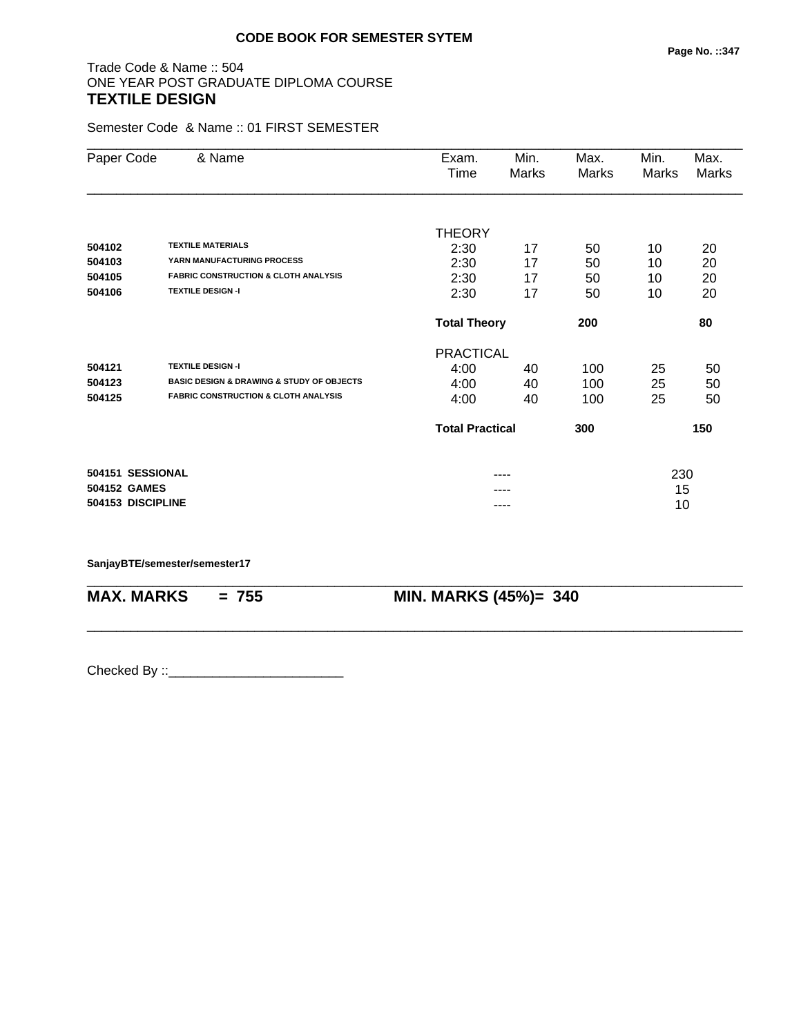## Trade Code & Name :: 504 ONE YEAR POST GRADUATE DIPLOMA COURSE **TEXTILE DESIGN**

Semester Code & Name :: 01 FIRST SEMESTER

| Paper Code   | & Name                                                   | Exam.                  | Min.                       | Max.         | Min.         | Max.         |
|--------------|----------------------------------------------------------|------------------------|----------------------------|--------------|--------------|--------------|
|              |                                                          | Time                   | Marks                      | <b>Marks</b> | <b>Marks</b> | <b>Marks</b> |
|              |                                                          |                        |                            |              |              |              |
|              |                                                          | <b>THEORY</b>          |                            |              |              |              |
| 504102       | <b>TEXTILE MATERIALS</b>                                 | 2:30                   | 17                         | 50           | 10           | 20           |
| 504103       | YARN MANUFACTURING PROCESS                               | 2:30                   | 17                         | 50           | 10           | 20           |
| 504105       | <b>FABRIC CONSTRUCTION &amp; CLOTH ANALYSIS</b>          | 2:30                   | 17                         | 50           | 10           | 20           |
| 504106       | <b>TEXTILE DESIGN-I</b>                                  | 2:30                   | 17                         | 50           | 10           | 20           |
|              |                                                          |                        | 200<br><b>Total Theory</b> |              |              | 80           |
|              |                                                          | <b>PRACTICAL</b>       |                            |              |              |              |
| 504121       | <b>TEXTILE DESIGN -I</b>                                 | 4:00                   | 40                         | 100          | 25           | 50           |
| 504123       | <b>BASIC DESIGN &amp; DRAWING &amp; STUDY OF OBJECTS</b> | 4:00                   | 40                         | 100          | 25           | 50           |
| 504125       | <b>FABRIC CONSTRUCTION &amp; CLOTH ANALYSIS</b>          | 4:00                   | 40                         | 100          | 25           | 50           |
|              |                                                          | <b>Total Practical</b> |                            | 300          |              | 150          |
|              | 504151 SESSIONAL                                         |                        | ----                       |              | 230          |              |
| 504152 GAMES |                                                          |                        |                            |              | 15           |              |
|              | 504153 DISCIPLINE                                        |                        | ----                       |              | 10           |              |

\_\_\_\_\_\_\_\_\_\_\_\_\_\_\_\_\_\_\_\_\_\_\_\_\_\_\_\_\_\_\_\_\_\_\_\_\_\_\_\_\_\_\_\_\_\_\_\_\_\_\_\_\_\_\_\_\_\_\_\_\_\_\_\_\_\_\_\_\_\_\_\_\_\_\_\_\_\_\_\_\_\_\_\_\_\_\_\_\_\_

\_\_\_\_\_\_\_\_\_\_\_\_\_\_\_\_\_\_\_\_\_\_\_\_\_\_\_\_\_\_\_\_\_\_\_\_\_\_\_\_\_\_\_\_\_\_\_\_\_\_\_\_\_\_\_\_\_\_\_\_\_\_\_\_\_\_\_\_\_\_\_\_\_\_\_\_\_\_\_\_\_\_\_\_\_\_\_\_\_\_

#### **SanjayBTE/semester/semester17**

**MAX. MARKS = 755 MIN. MARKS (45%)= 340**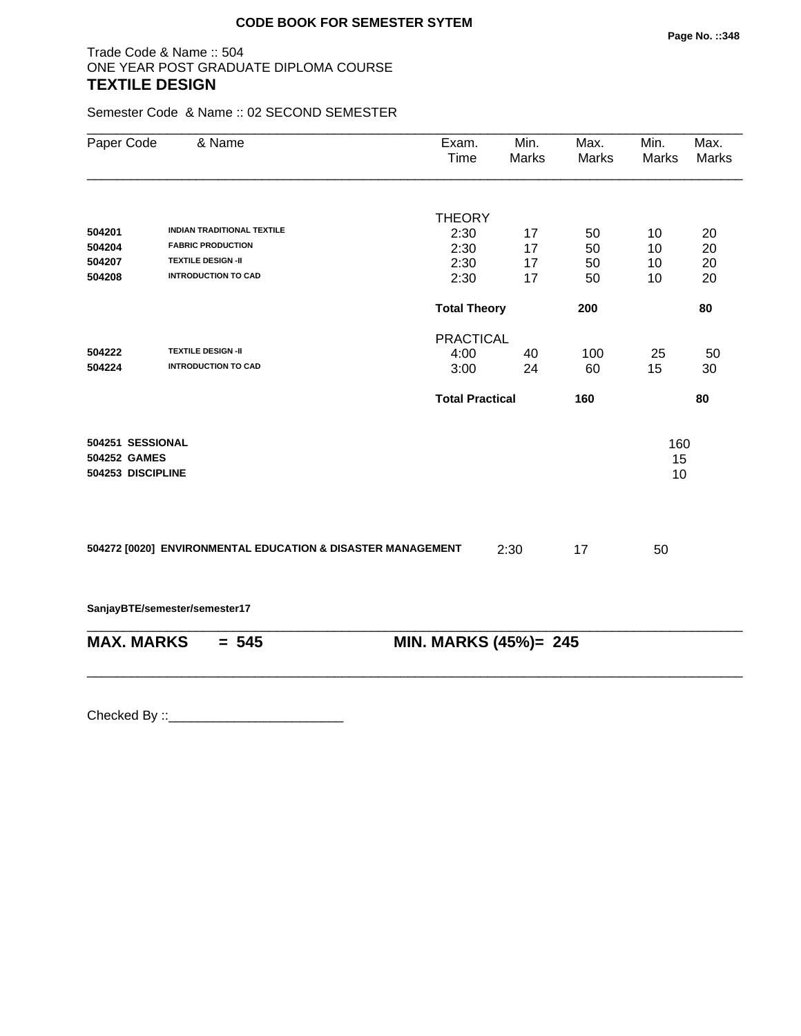## Trade Code & Name :: 504 ONE YEAR POST GRADUATE DIPLOMA COURSE **TEXTILE DESIGN**

Semester Code & Name :: 02 SECOND SEMESTER

| Paper Code                                            | & Name                                                      | Exam.<br>Time          | Min.<br>Marks | Max.<br>Marks | Min.<br>Marks   | Max.<br>Marks |
|-------------------------------------------------------|-------------------------------------------------------------|------------------------|---------------|---------------|-----------------|---------------|
|                                                       |                                                             | <b>THEORY</b>          |               |               |                 |               |
| 504201                                                | <b>INDIAN TRADITIONAL TEXTILE</b>                           | 2:30                   | 17            | 50            | 10              | 20            |
| 504204                                                | <b>FABRIC PRODUCTION</b>                                    | 2:30                   | 17            | 50            | 10              | 20            |
| 504207                                                | <b>TEXTILE DESIGN -II</b>                                   | 2:30                   | 17            | 50            | 10              | 20            |
| 504208                                                | <b>INTRODUCTION TO CAD</b>                                  | 2:30                   | 17            | 50            | 10              | 20            |
|                                                       |                                                             | <b>Total Theory</b>    |               | 200           |                 | 80            |
|                                                       |                                                             | <b>PRACTICAL</b>       |               |               |                 |               |
| 504222                                                | <b>TEXTILE DESIGN -II</b>                                   | 4:00                   | 40            | 100           | 25              | 50            |
| 504224                                                | <b>INTRODUCTION TO CAD</b>                                  | 3:00                   | 24            | 60            | 15              | 30            |
|                                                       |                                                             | <b>Total Practical</b> |               | 160           |                 | 80            |
| 504251 SESSIONAL<br>504252 GAMES<br>504253 DISCIPLINE |                                                             |                        |               |               | 160<br>15<br>10 |               |
|                                                       | 504272 [0020] ENVIRONMENTAL EDUCATION & DISASTER MANAGEMENT |                        | 2:30          | 17            | 50              |               |
|                                                       | SanjayBTE/semester/semester17                               |                        |               |               |                 |               |
|                                                       | <b>MAX. MARKS</b><br>$= 545$                                | MIN. MARKS (45%)= 245  |               |               |                 |               |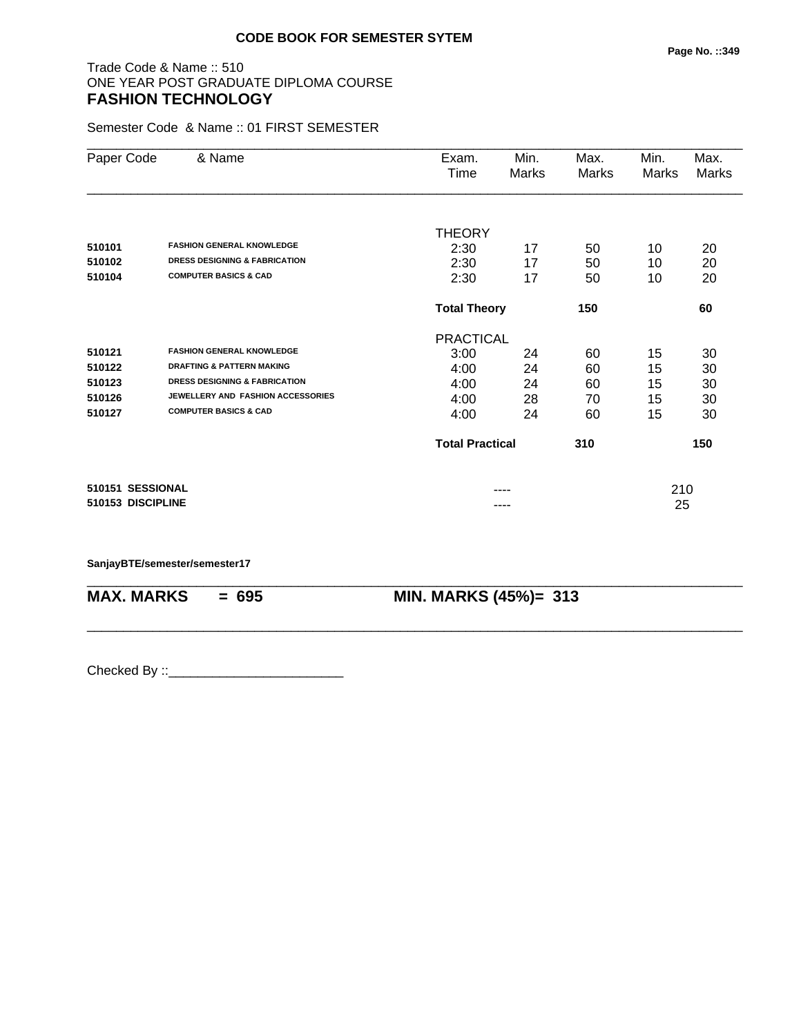## Trade Code & Name :: 510 ONE YEAR POST GRADUATE DIPLOMA COURSE **FASHION TECHNOLOGY**

Semester Code & Name :: 01 FIRST SEMESTER

| Paper Code        | & Name                                   | Exam.<br>Time              | Min.<br>Marks | Max.<br>Marks | Min.<br>Marks | Max.<br>Marks |
|-------------------|------------------------------------------|----------------------------|---------------|---------------|---------------|---------------|
|                   |                                          |                            |               |               |               |               |
|                   |                                          | <b>THEORY</b>              |               |               |               |               |
| 510101            | <b>FASHION GENERAL KNOWLEDGE</b>         | 2:30                       | 17            | 50            | 10            | 20            |
| 510102            | <b>DRESS DESIGNING &amp; FABRICATION</b> | 2:30                       | 17            | 50            | 10            | 20            |
| 510104            | <b>COMPUTER BASICS &amp; CAD</b>         | 2:30                       | 17            | 50            | 10            | 20            |
|                   |                                          | 150<br><b>Total Theory</b> |               |               |               | 60            |
|                   |                                          | <b>PRACTICAL</b>           |               |               |               |               |
| 510121            | <b>FASHION GENERAL KNOWLEDGE</b>         | 3:00                       | 24            | 60            | 15            | 30            |
| 510122            | <b>DRAFTING &amp; PATTERN MAKING</b>     | 4:00                       | 24            | 60            | 15            | 30            |
| 510123            | <b>DRESS DESIGNING &amp; FABRICATION</b> | 4:00                       | 24            | 60            | 15            | 30            |
| 510126            | JEWELLERY AND FASHION ACCESSORIES        | 4:00                       | 28            | 70            | 15            | 30            |
| 510127            | <b>COMPUTER BASICS &amp; CAD</b>         | 4:00                       | 24            | 60            | 15            | 30            |
|                   |                                          | <b>Total Practical</b>     |               | 310           |               | 150           |
| 510151 SESSIONAL  |                                          |                            |               |               | 210           |               |
| 510153 DISCIPLINE |                                          |                            | ----          |               | 25            |               |

\_\_\_\_\_\_\_\_\_\_\_\_\_\_\_\_\_\_\_\_\_\_\_\_\_\_\_\_\_\_\_\_\_\_\_\_\_\_\_\_\_\_\_\_\_\_\_\_\_\_\_\_\_\_\_\_\_\_\_\_\_\_\_\_\_\_\_\_\_\_\_\_\_\_\_\_\_\_\_\_\_\_\_\_\_\_\_\_\_\_

\_\_\_\_\_\_\_\_\_\_\_\_\_\_\_\_\_\_\_\_\_\_\_\_\_\_\_\_\_\_\_\_\_\_\_\_\_\_\_\_\_\_\_\_\_\_\_\_\_\_\_\_\_\_\_\_\_\_\_\_\_\_\_\_\_\_\_\_\_\_\_\_\_\_\_\_\_\_\_\_\_\_\_\_\_\_\_\_\_\_

**SanjayBTE/semester/semester17**

**MAX. MARKS = 695 MIN. MARKS (45%)= 313**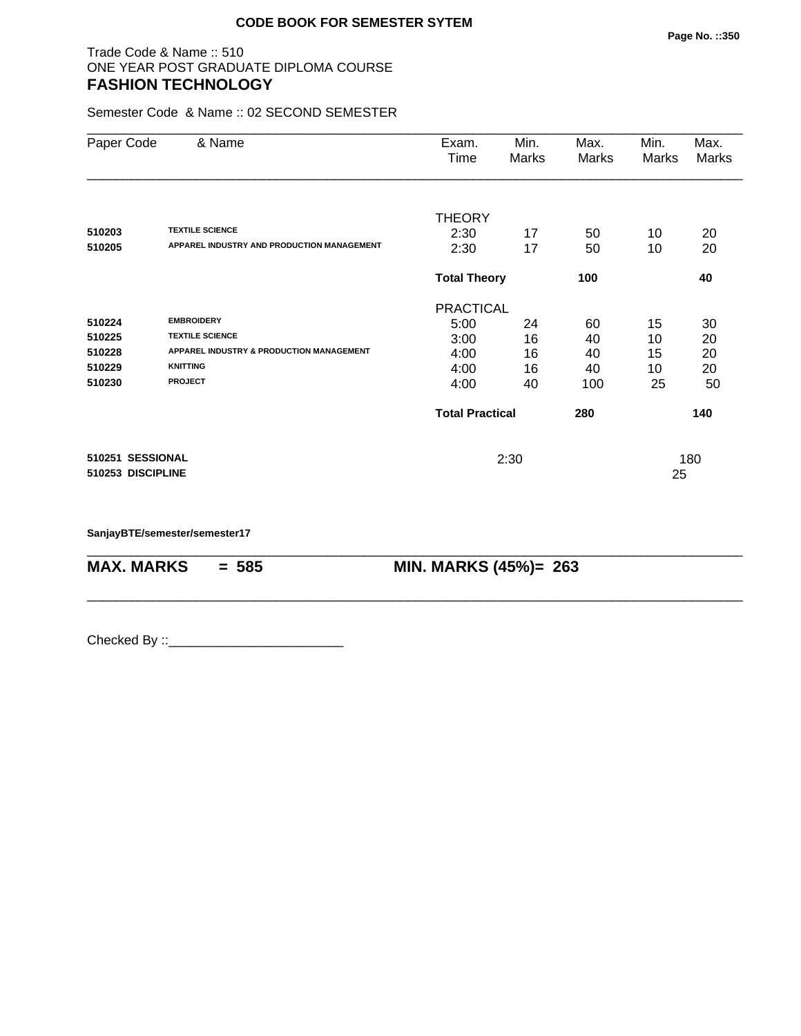## Trade Code & Name :: 510 ONE YEAR POST GRADUATE DIPLOMA COURSE **FASHION TECHNOLOGY**

Semester Code & Name :: 02 SECOND SEMESTER

|                                          |                                            |                           | Marks                                                                   | Marks | Marks    |
|------------------------------------------|--------------------------------------------|---------------------------|-------------------------------------------------------------------------|-------|----------|
|                                          | <b>THEORY</b>                              |                           |                                                                         |       |          |
| <b>TEXTILE SCIENCE</b>                   | 2:30                                       | 17                        | 50                                                                      | 10    | 20       |
|                                          |                                            |                           |                                                                         |       | 20       |
|                                          |                                            |                           | 100                                                                     |       | 40       |
|                                          |                                            |                           |                                                                         |       |          |
| <b>EMBROIDERY</b>                        | 5:00                                       | 24                        | 60                                                                      | 15    | 30       |
| <b>TEXTILE SCIENCE</b>                   | 3:00                                       | 16                        | 40                                                                      | 10    | 20       |
| APPAREL INDUSTRY & PRODUCTION MANAGEMENT | 4:00                                       | 16                        | 40                                                                      | 15    | 20       |
| <b>KNITTING</b>                          | 4:00                                       | 16                        | 40                                                                      | 10    | 20       |
| <b>PROJECT</b>                           | 4:00                                       | 40                        | 100                                                                     | 25    | 50       |
|                                          |                                            |                           | 280                                                                     |       | 140      |
| 510251 SESSIONAL                         |                                            | 2:30                      |                                                                         |       | 180      |
|                                          | APPAREL INDUSTRY AND PRODUCTION MANAGEMENT | 2:30<br>510253 DISCIPLINE | 17<br><b>Total Theory</b><br><b>PRACTICAL</b><br><b>Total Practical</b> | 50    | 10<br>25 |

\_\_\_\_\_\_\_\_\_\_\_\_\_\_\_\_\_\_\_\_\_\_\_\_\_\_\_\_\_\_\_\_\_\_\_\_\_\_\_\_\_\_\_\_\_\_\_\_\_\_\_\_\_\_\_\_\_\_\_\_\_\_\_\_\_\_\_\_\_\_\_\_\_\_\_\_\_\_\_\_\_\_\_\_\_\_\_\_\_\_

\_\_\_\_\_\_\_\_\_\_\_\_\_\_\_\_\_\_\_\_\_\_\_\_\_\_\_\_\_\_\_\_\_\_\_\_\_\_\_\_\_\_\_\_\_\_\_\_\_\_\_\_\_\_\_\_\_\_\_\_\_\_\_\_\_\_\_\_\_\_\_\_\_\_\_\_\_\_\_\_\_\_\_\_\_\_\_\_\_\_

**SanjayBTE/semester/semester17**

**MAX. MARKS = 585 MIN. MARKS (45%)= 263**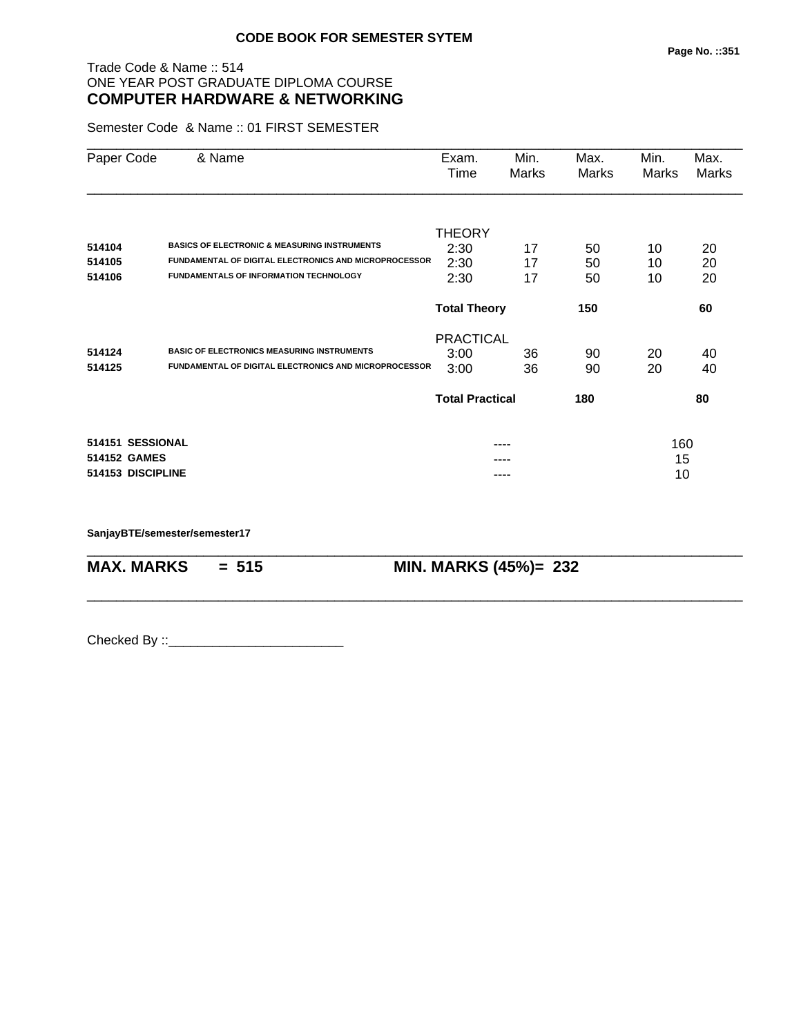## Trade Code & Name :: 514 ONE YEAR POST GRADUATE DIPLOMA COURSE **COMPUTER HARDWARE & NETWORKING**

Semester Code & Name :: 01 FIRST SEMESTER

| Paper Code        | & Name                                                       | Exam.<br>Time          | Min.<br>Marks | Max.<br>Marks | Min.<br>Marks | Max.<br>Marks |
|-------------------|--------------------------------------------------------------|------------------------|---------------|---------------|---------------|---------------|
|                   |                                                              |                        |               |               |               |               |
| 514104            | <b>BASICS OF ELECTRONIC &amp; MEASURING INSTRUMENTS</b>      | <b>THEORY</b>          |               |               |               |               |
| 514105            | <b>FUNDAMENTAL OF DIGITAL ELECTRONICS AND MICROPROCESSOR</b> | 2:30<br>2:30           | 17<br>17      | 50<br>50      | 10            | 20            |
| 514106            | <b>FUNDAMENTALS OF INFORMATION TECHNOLOGY</b>                |                        |               |               | 10            | 20            |
|                   |                                                              | 2:30                   | 17            | 50            | 10            | 20            |
|                   |                                                              | <b>Total Theory</b>    |               | 150           |               | 60            |
|                   |                                                              | <b>PRACTICAL</b>       |               |               |               |               |
| 514124            | <b>BASIC OF ELECTRONICS MEASURING INSTRUMENTS</b>            | 3:00                   | 36            | 90            | 20            | 40            |
| 514125            | <b>FUNDAMENTAL OF DIGITAL ELECTRONICS AND MICROPROCESSOR</b> | 3:00                   | 36            | 90            | 20            | 40            |
|                   |                                                              | <b>Total Practical</b> |               | 180           |               | 80            |
| 514151 SESSIONAL  |                                                              |                        |               |               | 160           |               |
| 514152 GAMES      |                                                              |                        |               |               | 15            |               |
| 514153 DISCIPLINE |                                                              |                        | ----          |               | 10            |               |

\_\_\_\_\_\_\_\_\_\_\_\_\_\_\_\_\_\_\_\_\_\_\_\_\_\_\_\_\_\_\_\_\_\_\_\_\_\_\_\_\_\_\_\_\_\_\_\_\_\_\_\_\_\_\_\_\_\_\_\_\_\_\_\_\_\_\_\_\_\_\_\_\_\_\_\_\_\_\_\_\_\_\_\_\_\_\_\_\_\_

\_\_\_\_\_\_\_\_\_\_\_\_\_\_\_\_\_\_\_\_\_\_\_\_\_\_\_\_\_\_\_\_\_\_\_\_\_\_\_\_\_\_\_\_\_\_\_\_\_\_\_\_\_\_\_\_\_\_\_\_\_\_\_\_\_\_\_\_\_\_\_\_\_\_\_\_\_\_\_\_\_\_\_\_\_\_\_\_\_\_

**SanjayBTE/semester/semester17**

**MAX. MARKS = 515 MIN. MARKS (45%)= 232**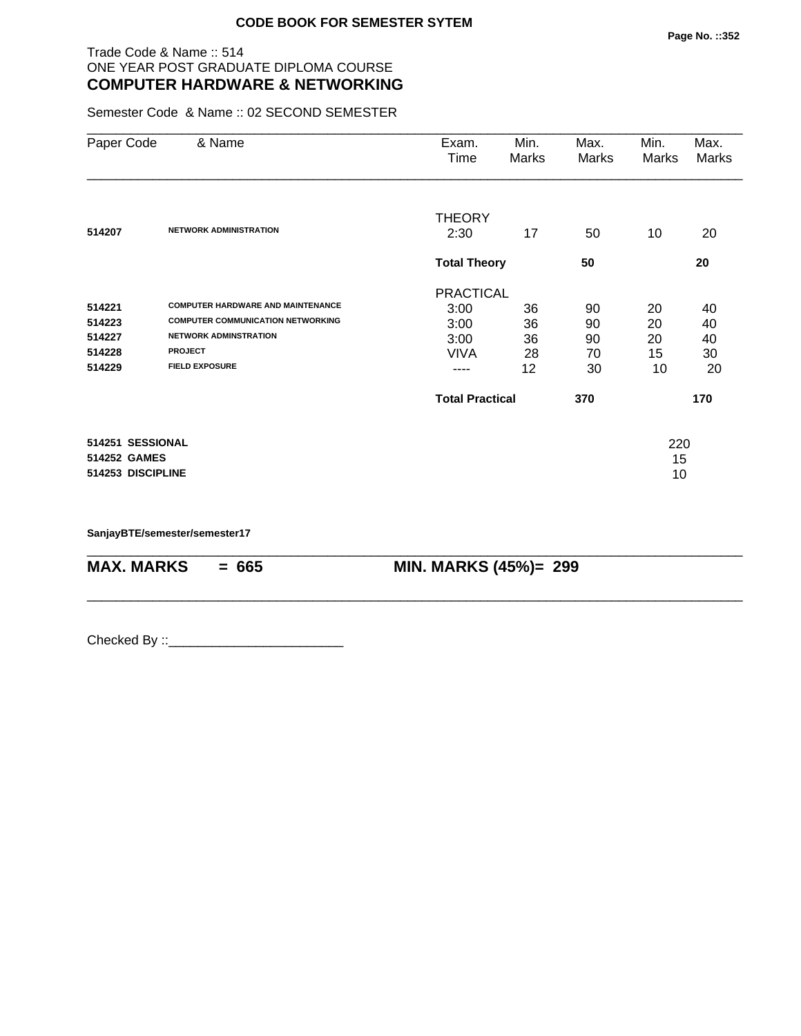## Trade Code & Name :: 514 ONE YEAR POST GRADUATE DIPLOMA COURSE **COMPUTER HARDWARE & NETWORKING**

Semester Code & Name :: 02 SECOND SEMESTER

| Paper Code        | & Name                                   | Exam.<br>Time          | Min.<br>Marks | Max.<br>Marks | Min.<br>Marks | Max.<br>Marks |
|-------------------|------------------------------------------|------------------------|---------------|---------------|---------------|---------------|
|                   |                                          | <b>THEORY</b>          |               |               |               |               |
| 514207            | <b>NETWORK ADMINISTRATION</b>            | 2:30                   | 17            | 50            | 10            | 20            |
|                   |                                          | <b>Total Theory</b>    |               | 50            |               | 20            |
|                   |                                          | <b>PRACTICAL</b>       |               |               |               |               |
| 514221            | <b>COMPUTER HARDWARE AND MAINTENANCE</b> | 3:00                   | 36            | 90            | 20            | 40            |
| 514223            | <b>COMPUTER COMMUNICATION NETWORKING</b> | 3:00                   | 36            | 90            | 20            | 40            |
| 514227            | <b>NETWORK ADMINSTRATION</b>             | 3:00                   | 36            | 90            | 20            | 40            |
| 514228            | <b>PROJECT</b>                           | <b>VIVA</b>            | 28            | 70            | 15            | 30            |
| 514229            | <b>FIELD EXPOSURE</b>                    | ----                   | 12            | 30            | 10            | 20            |
|                   |                                          | <b>Total Practical</b> |               | 370           |               | 170           |
| 514251 SESSIONAL  |                                          |                        |               |               | 220           |               |
| 514252 GAMES      |                                          |                        |               |               | 15            |               |
| 514253 DISCIPLINE |                                          |                        |               |               | 10            |               |

\_\_\_\_\_\_\_\_\_\_\_\_\_\_\_\_\_\_\_\_\_\_\_\_\_\_\_\_\_\_\_\_\_\_\_\_\_\_\_\_\_\_\_\_\_\_\_\_\_\_\_\_\_\_\_\_\_\_\_\_\_\_\_\_\_\_\_\_\_\_\_\_\_\_\_\_\_\_\_\_\_\_\_\_\_\_\_\_\_\_

\_\_\_\_\_\_\_\_\_\_\_\_\_\_\_\_\_\_\_\_\_\_\_\_\_\_\_\_\_\_\_\_\_\_\_\_\_\_\_\_\_\_\_\_\_\_\_\_\_\_\_\_\_\_\_\_\_\_\_\_\_\_\_\_\_\_\_\_\_\_\_\_\_\_\_\_\_\_\_\_\_\_\_\_\_\_\_\_\_\_

**SanjayBTE/semester/semester17**

**MAX. MARKS = 665 MIN. MARKS (45%)= 299**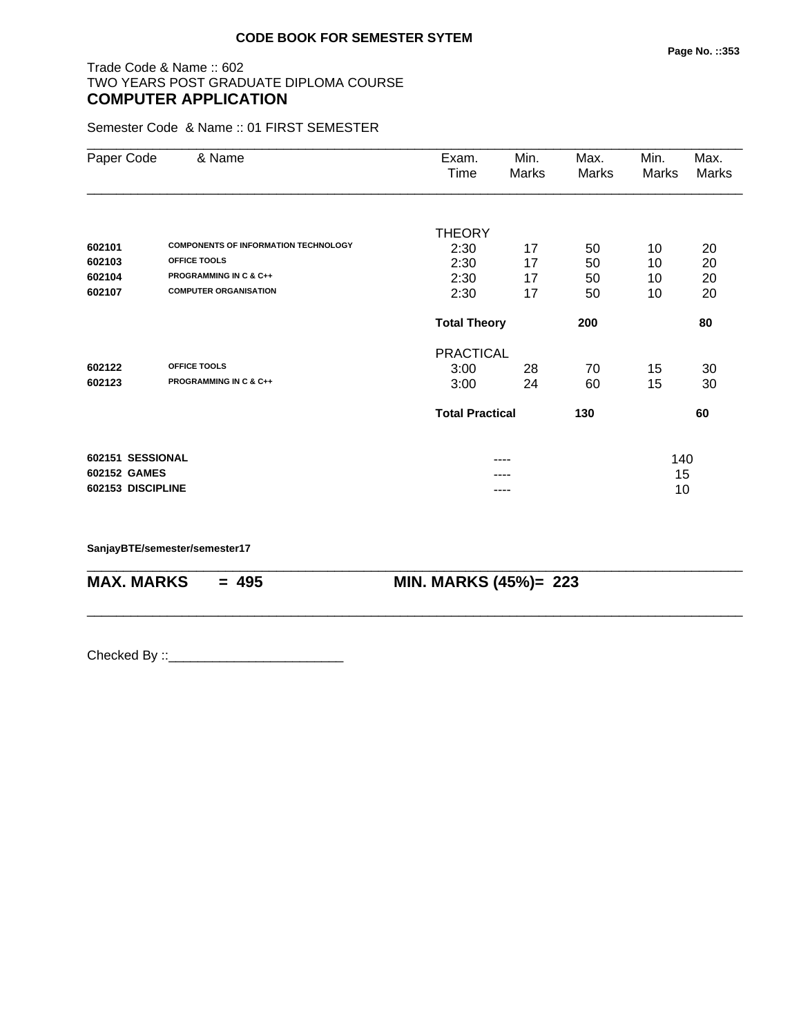## Trade Code & Name :: 602 TWO YEARS POST GRADUATE DIPLOMA COURSE **COMPUTER APPLICATION**

Semester Code & Name :: 01 FIRST SEMESTER

| Paper Code        | & Name                                      | Exam.                  | Min.  | Max.  | Min.  | Max.  |
|-------------------|---------------------------------------------|------------------------|-------|-------|-------|-------|
|                   |                                             | Time                   | Marks | Marks | Marks | Marks |
|                   |                                             |                        |       |       |       |       |
|                   |                                             | <b>THEORY</b>          |       |       |       |       |
| 602101            | <b>COMPONENTS OF INFORMATION TECHNOLOGY</b> | 2:30                   | 17    | 50    | 10    | 20    |
| 602103            | <b>OFFICE TOOLS</b>                         | 2:30                   | 17    | 50    | 10    | 20    |
| 602104            | <b>PROGRAMMING IN C &amp; C++</b>           | 2:30                   | 17    | 50    | 10    | 20    |
| 602107            | <b>COMPUTER ORGANISATION</b>                | 2:30                   | 17    | 50    | 10    | 20    |
|                   |                                             | <b>Total Theory</b>    |       | 200   |       | 80    |
|                   |                                             | <b>PRACTICAL</b>       |       |       |       |       |
| 602122            | OFFICE TOOLS                                | 3:00                   | 28    | 70    | 15    | 30    |
| 602123            | <b>PROGRAMMING IN C &amp; C++</b>           | 3:00                   | 24    | 60    | 15    | 30    |
|                   |                                             | <b>Total Practical</b> |       | 130   |       | 60    |
|                   |                                             |                        |       |       |       |       |
| 602151 SESSIONAL  |                                             |                        | ----  |       | 140   |       |
| 602152 GAMES      |                                             |                        |       |       | 15    |       |
| 602153 DISCIPLINE |                                             |                        | ----  |       | 10    |       |

\_\_\_\_\_\_\_\_\_\_\_\_\_\_\_\_\_\_\_\_\_\_\_\_\_\_\_\_\_\_\_\_\_\_\_\_\_\_\_\_\_\_\_\_\_\_\_\_\_\_\_\_\_\_\_\_\_\_\_\_\_\_\_\_\_\_\_\_\_\_\_\_\_\_\_\_\_\_\_\_\_\_\_\_\_\_\_\_\_\_

\_\_\_\_\_\_\_\_\_\_\_\_\_\_\_\_\_\_\_\_\_\_\_\_\_\_\_\_\_\_\_\_\_\_\_\_\_\_\_\_\_\_\_\_\_\_\_\_\_\_\_\_\_\_\_\_\_\_\_\_\_\_\_\_\_\_\_\_\_\_\_\_\_\_\_\_\_\_\_\_\_\_\_\_\_\_\_\_\_\_

**SanjayBTE/semester/semester17**

**MAX. MARKS = 495 MIN. MARKS (45%)= 223**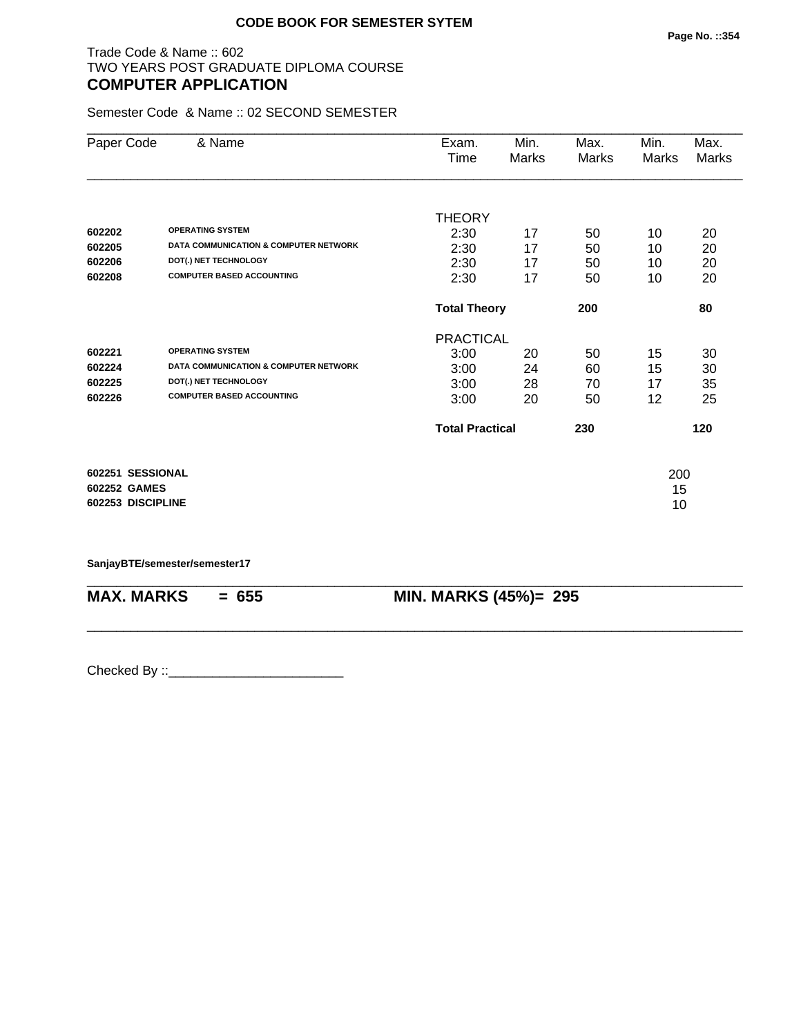## Trade Code & Name :: 602 TWO YEARS POST GRADUATE DIPLOMA COURSE **COMPUTER APPLICATION**

Semester Code & Name :: 02 SECOND SEMESTER

| Paper Code        | & Name                                           | Exam.                  | Min.         | Max.  | Min.  | Max.  |
|-------------------|--------------------------------------------------|------------------------|--------------|-------|-------|-------|
|                   |                                                  | Time                   | <b>Marks</b> | Marks | Marks | Marks |
|                   |                                                  |                        |              |       |       |       |
|                   |                                                  | <b>THEORY</b>          |              |       |       |       |
| 602202            | <b>OPERATING SYSTEM</b>                          | 2:30                   | 17           | 50    | 10    | 20    |
| 602205            | <b>DATA COMMUNICATION &amp; COMPUTER NETWORK</b> | 2:30                   | 17           | 50    | 10    | 20    |
| 602206            | DOT(.) NET TECHNOLOGY                            | 2:30                   | 17           | 50    | 10    | 20    |
| 602208            | <b>COMPUTER BASED ACCOUNTING</b>                 | 2:30                   | 17           | 50    | 10    | 20    |
|                   |                                                  | <b>Total Theory</b>    |              | 200   |       | 80    |
|                   |                                                  | <b>PRACTICAL</b>       |              |       |       |       |
| 602221            | <b>OPERATING SYSTEM</b>                          | 3:00                   | 20           | 50    | 15    | 30    |
| 602224            | <b>DATA COMMUNICATION &amp; COMPUTER NETWORK</b> | 3:00                   | 24           | 60    | 15    | 30    |
| 602225            | DOT(.) NET TECHNOLOGY                            | 3:00                   | 28           | 70    | 17    | 35    |
| 602226            | <b>COMPUTER BASED ACCOUNTING</b>                 | 3:00                   | 20           | 50    | 12    | 25    |
|                   |                                                  | <b>Total Practical</b> |              | 230   |       | 120   |
| 602251 SESSIONAL  |                                                  |                        |              |       | 200   |       |
| 602252 GAMES      |                                                  |                        |              |       | 15    |       |
| 602253 DISCIPLINE |                                                  |                        |              |       | 10    |       |

\_\_\_\_\_\_\_\_\_\_\_\_\_\_\_\_\_\_\_\_\_\_\_\_\_\_\_\_\_\_\_\_\_\_\_\_\_\_\_\_\_\_\_\_\_\_\_\_\_\_\_\_\_\_\_\_\_\_\_\_\_\_\_\_\_\_\_\_\_\_\_\_\_\_\_\_\_\_\_\_\_\_\_\_\_\_\_\_\_\_

\_\_\_\_\_\_\_\_\_\_\_\_\_\_\_\_\_\_\_\_\_\_\_\_\_\_\_\_\_\_\_\_\_\_\_\_\_\_\_\_\_\_\_\_\_\_\_\_\_\_\_\_\_\_\_\_\_\_\_\_\_\_\_\_\_\_\_\_\_\_\_\_\_\_\_\_\_\_\_\_\_\_\_\_\_\_\_\_\_\_

**SanjayBTE/semester/semester17**

**MAX. MARKS = 655 MIN. MARKS (45%)= 295**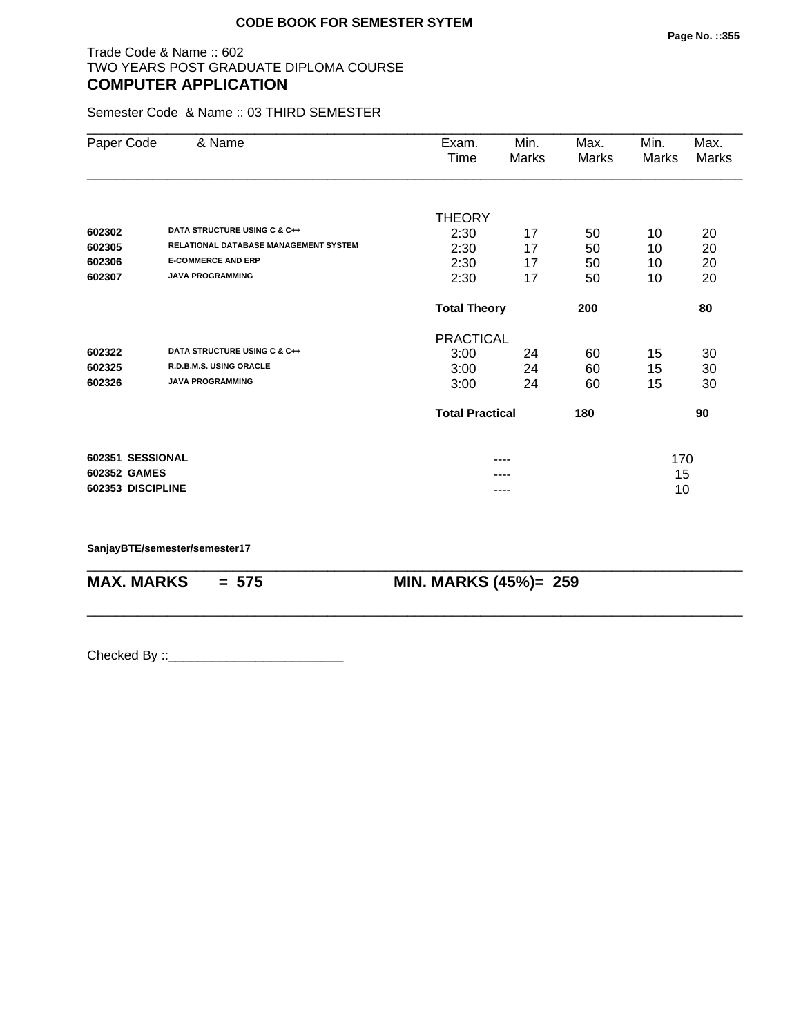## Trade Code & Name :: 602 TWO YEARS POST GRADUATE DIPLOMA COURSE **COMPUTER APPLICATION**

Semester Code & Name :: 03 THIRD SEMESTER

| Paper Code        | & Name                                | Exam.                  | Min.  | Max.  | Min.  | Max.  |
|-------------------|---------------------------------------|------------------------|-------|-------|-------|-------|
|                   |                                       | Time                   | Marks | Marks | Marks | Marks |
|                   |                                       |                        |       |       |       |       |
|                   |                                       | <b>THEORY</b>          |       |       |       |       |
| 602302            | DATA STRUCTURE USING C & C++          | 2:30                   | 17    | 50    | 10    | 20    |
| 602305            | RELATIONAL DATABASE MANAGEMENT SYSTEM | 2:30                   | 17    | 50    | 10    | 20    |
| 602306            | <b>E-COMMERCE AND ERP</b>             | 2:30                   | 17    | 50    | 10    | 20    |
| 602307            | <b>JAVA PROGRAMMING</b>               | 2:30                   | 17    | 50    | 10    | 20    |
|                   |                                       | <b>Total Theory</b>    |       | 200   |       | 80    |
|                   |                                       | <b>PRACTICAL</b>       |       |       |       |       |
| 602322            | DATA STRUCTURE USING C & C++          | 3:00                   | 24    | 60    | 15    | 30    |
| 602325            | R.D.B.M.S. USING ORACLE               | 3:00                   | 24    | 60    | 15    | 30    |
| 602326            | <b>JAVA PROGRAMMING</b>               | 3:00                   | 24    | 60    | 15    | 30    |
|                   |                                       | <b>Total Practical</b> |       | 180   |       | 90    |
| 602351 SESSIONAL  |                                       |                        | ----  |       | 170   |       |
| 602352 GAMES      |                                       |                        |       |       | 15    |       |
| 602353 DISCIPLINE |                                       |                        | ----  |       | 10    |       |

\_\_\_\_\_\_\_\_\_\_\_\_\_\_\_\_\_\_\_\_\_\_\_\_\_\_\_\_\_\_\_\_\_\_\_\_\_\_\_\_\_\_\_\_\_\_\_\_\_\_\_\_\_\_\_\_\_\_\_\_\_\_\_\_\_\_\_\_\_\_\_\_\_\_\_\_\_\_\_\_\_\_\_\_\_\_\_\_\_\_

\_\_\_\_\_\_\_\_\_\_\_\_\_\_\_\_\_\_\_\_\_\_\_\_\_\_\_\_\_\_\_\_\_\_\_\_\_\_\_\_\_\_\_\_\_\_\_\_\_\_\_\_\_\_\_\_\_\_\_\_\_\_\_\_\_\_\_\_\_\_\_\_\_\_\_\_\_\_\_\_\_\_\_\_\_\_\_\_\_\_

**SanjayBTE/semester/semester17**

**MAX. MARKS = 575 MIN. MARKS (45%)= 259**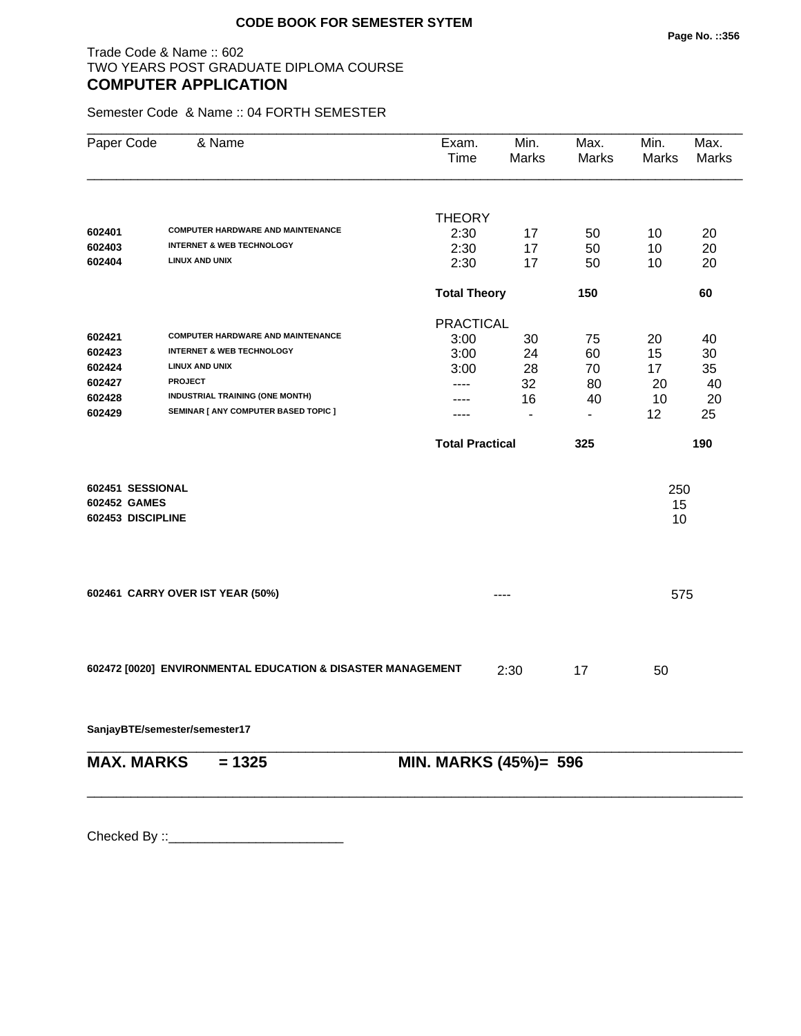## Trade Code & Name :: 602 TWO YEARS POST GRADUATE DIPLOMA COURSE **COMPUTER APPLICATION**

Semester Code & Name :: 04 FORTH SEMESTER

| Paper Code        | & Name                                                      | Exam.<br>Time          | Min.<br>Marks  | Max.<br><b>Marks</b> | Min.<br>Marks | Max.<br>Marks |
|-------------------|-------------------------------------------------------------|------------------------|----------------|----------------------|---------------|---------------|
|                   |                                                             | <b>THEORY</b>          |                |                      |               |               |
| 602401            | <b>COMPUTER HARDWARE AND MAINTENANCE</b>                    | 2:30                   | 17             | 50                   | 10            | 20            |
| 602403            | <b>INTERNET &amp; WEB TECHNOLOGY</b>                        | 2:30                   | 17             | 50                   | 10            | 20            |
| 602404            | <b>LINUX AND UNIX</b>                                       | 2:30                   | 17             | 50                   | 10            | 20            |
|                   |                                                             | <b>Total Theory</b>    |                | 150                  |               | 60            |
|                   |                                                             | <b>PRACTICAL</b>       |                |                      |               |               |
| 602421            | <b>COMPUTER HARDWARE AND MAINTENANCE</b>                    | 3:00                   | 30             | 75                   | 20            | 40            |
| 602423            | <b>INTERNET &amp; WEB TECHNOLOGY</b>                        | 3:00                   | 24             | 60                   | 15            | 30            |
| 602424            | <b>LINUX AND UNIX</b>                                       | 3:00                   | 28             | 70                   | 17            | 35            |
| 602427            | <b>PROJECT</b>                                              | ----                   | 32             | 80                   | 20            | 40            |
| 602428            | INDUSTRIAL TRAINING (ONE MONTH)                             |                        | 16             | 40                   | 10            | 20            |
| 602429            | SEMINAR [ ANY COMPUTER BASED TOPIC ]                        | ----                   | $\blacksquare$ | $\blacksquare$       | 12            | 25            |
|                   |                                                             | <b>Total Practical</b> |                | 325                  |               | 190           |
| 602451 SESSIONAL  |                                                             |                        |                |                      | 250           |               |
| 602452 GAMES      |                                                             |                        |                |                      | 15            |               |
| 602453 DISCIPLINE |                                                             |                        |                |                      | 10            |               |
|                   |                                                             |                        |                |                      |               |               |
|                   | 602461 CARRY OVER IST YEAR (50%)                            |                        | ----           |                      | 575           |               |
|                   |                                                             |                        |                |                      |               |               |
|                   | 602472 [0020] ENVIRONMENTAL EDUCATION & DISASTER MANAGEMENT |                        | 2:30           | 17                   | 50            |               |
|                   | SanjayBTE/semester/semester17                               |                        |                |                      |               |               |
| <b>MAX. MARKS</b> | $= 1325$                                                    | MIN. MARKS (45%)= 596  |                |                      |               |               |
|                   |                                                             |                        |                |                      |               |               |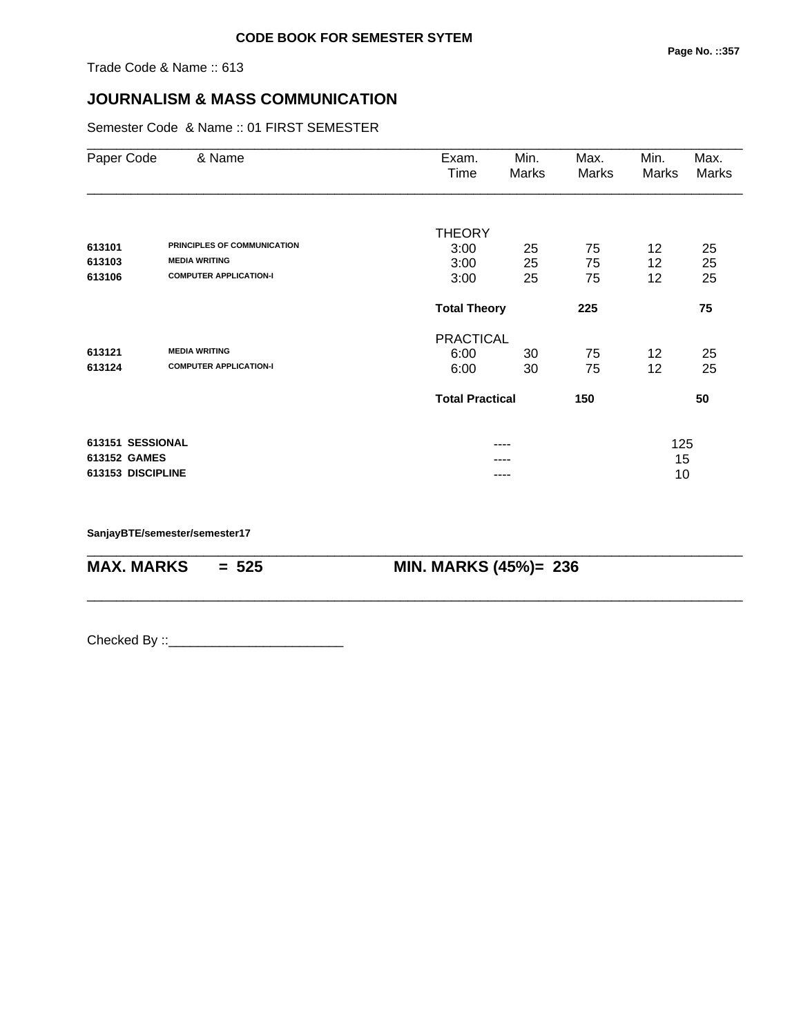Trade Code & Name :: 613

# **JOURNALISM & MASS COMMUNICATION**

Semester Code & Name :: 01 FIRST SEMESTER

| Paper Code        | & Name                        | Exam.<br>Time              | Min.<br>Marks | Max.<br>Marks | Min.<br>Marks | Max.<br><b>Marks</b> |  |
|-------------------|-------------------------------|----------------------------|---------------|---------------|---------------|----------------------|--|
|                   |                               |                            |               |               |               |                      |  |
|                   |                               | <b>THEORY</b>              |               |               |               |                      |  |
| 613101            | PRINCIPLES OF COMMUNICATION   | 3:00                       | 25            | 75            | 12            | 25                   |  |
| 613103            | <b>MEDIA WRITING</b>          | 3:00                       | 25            | 75            | 12            | 25                   |  |
| 613106            | <b>COMPUTER APPLICATION-I</b> | 3:00                       | 25            | 75            | 12            | 25                   |  |
|                   |                               | <b>Total Theory</b><br>225 |               |               |               | 75                   |  |
|                   |                               | <b>PRACTICAL</b>           |               |               |               |                      |  |
| 613121            | <b>MEDIA WRITING</b>          | 6:00                       | 30            | 75            | 12            | 25                   |  |
| 613124            | <b>COMPUTER APPLICATION-I</b> | 6:00                       | 30            | 75            | 12            | 25                   |  |
|                   |                               | <b>Total Practical</b>     |               | 150           |               | 50                   |  |
| 613151 SESSIONAL  |                               | ----                       |               |               | 125           |                      |  |
| 613152 GAMES      |                               |                            |               |               | 15            |                      |  |
| 613153 DISCIPLINE |                               | ----                       |               |               | 10            |                      |  |

\_\_\_\_\_\_\_\_\_\_\_\_\_\_\_\_\_\_\_\_\_\_\_\_\_\_\_\_\_\_\_\_\_\_\_\_\_\_\_\_\_\_\_\_\_\_\_\_\_\_\_\_\_\_\_\_\_\_\_\_\_\_\_\_\_\_\_\_\_\_\_\_\_\_\_\_\_\_\_\_\_\_\_\_\_\_\_\_\_\_

\_\_\_\_\_\_\_\_\_\_\_\_\_\_\_\_\_\_\_\_\_\_\_\_\_\_\_\_\_\_\_\_\_\_\_\_\_\_\_\_\_\_\_\_\_\_\_\_\_\_\_\_\_\_\_\_\_\_\_\_\_\_\_\_\_\_\_\_\_\_\_\_\_\_\_\_\_\_\_\_\_\_\_\_\_\_\_\_\_\_

**SanjayBTE/semester/semester17**

**MAX. MARKS = 525 MIN. MARKS (45%)= 236**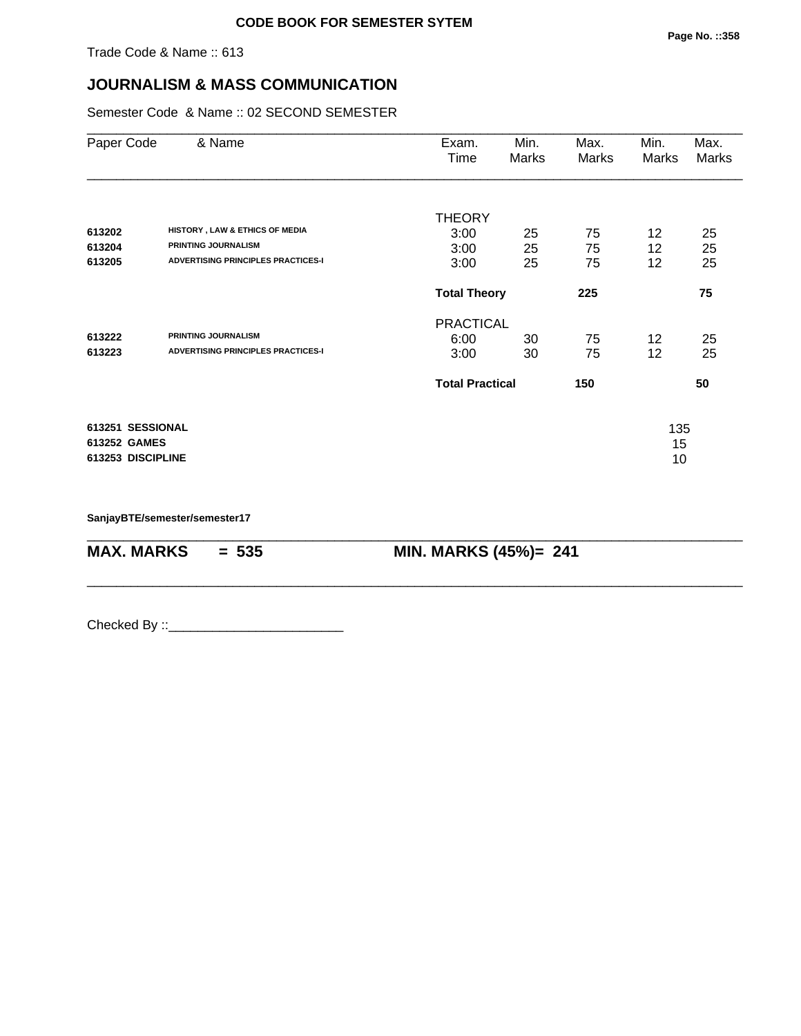## **JOURNALISM & MASS COMMUNICATION**

Semester Code & Name :: 02 SECOND SEMESTER

| Paper Code        | & Name                                                       | Exam.<br>Time          | Min.<br>Marks | Max.<br>Marks | Min.<br>Marks | Max.<br>Marks |
|-------------------|--------------------------------------------------------------|------------------------|---------------|---------------|---------------|---------------|
|                   |                                                              | <b>THEORY</b>          |               |               |               |               |
| 613202            | HISTORY, LAW & ETHICS OF MEDIA<br><b>PRINTING JOURNALISM</b> | 3:00                   | 25            | 75            | 12            | 25            |
| 613204            |                                                              | 3:00                   | 25            | 75            | 12            | 25            |
| 613205            | <b>ADVERTISING PRINCIPLES PRACTICES-I</b>                    | 3:00                   | 25            | 75            | 12            | 25            |
|                   |                                                              | <b>Total Theory</b>    |               | 225           |               | 75            |
|                   |                                                              | <b>PRACTICAL</b>       |               |               |               |               |
| 613222            | <b>PRINTING JOURNALISM</b>                                   | 6:00                   | 30            | 75            | 12            | 25            |
| 613223            | <b>ADVERTISING PRINCIPLES PRACTICES-I</b>                    | 3:00                   | 30            | 75            | 12            | 25            |
|                   |                                                              | <b>Total Practical</b> |               | 150           |               | 50            |
| 613251 SESSIONAL  |                                                              |                        |               |               | 135           |               |
| 613252 GAMES      |                                                              |                        |               |               | 15            |               |
| 613253 DISCIPLINE |                                                              |                        |               |               | 10            |               |

\_\_\_\_\_\_\_\_\_\_\_\_\_\_\_\_\_\_\_\_\_\_\_\_\_\_\_\_\_\_\_\_\_\_\_\_\_\_\_\_\_\_\_\_\_\_\_\_\_\_\_\_\_\_\_\_\_\_\_\_\_\_\_\_\_\_\_\_\_\_\_\_\_\_\_\_\_\_\_\_\_\_\_\_\_\_\_\_\_\_

\_\_\_\_\_\_\_\_\_\_\_\_\_\_\_\_\_\_\_\_\_\_\_\_\_\_\_\_\_\_\_\_\_\_\_\_\_\_\_\_\_\_\_\_\_\_\_\_\_\_\_\_\_\_\_\_\_\_\_\_\_\_\_\_\_\_\_\_\_\_\_\_\_\_\_\_\_\_\_\_\_\_\_\_\_\_\_\_\_\_

**SanjayBTE/semester/semester17**

**MAX. MARKS = 535 MIN. MARKS (45%)= 241**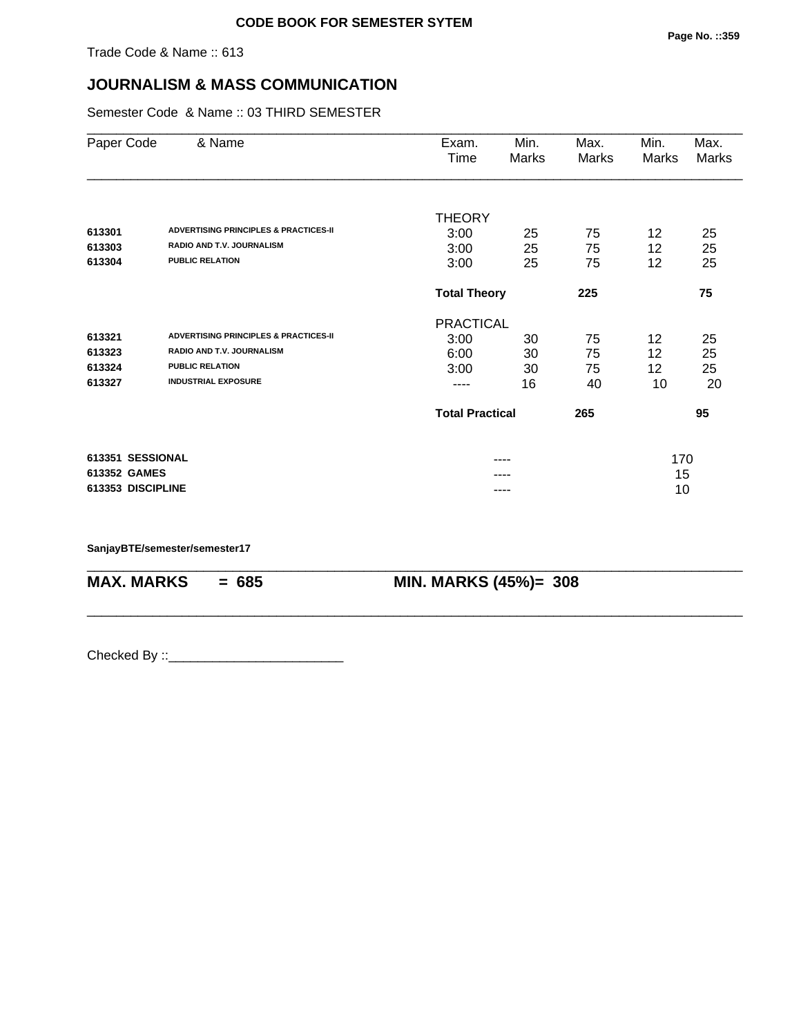## **JOURNALISM & MASS COMMUNICATION**

Semester Code & Name :: 03 THIRD SEMESTER

| Paper Code        | & Name                                           | Exam.<br>Time          | Min.<br>Marks | Max.<br>Marks | Min.<br>Marks | Max.<br>Marks |  |
|-------------------|--------------------------------------------------|------------------------|---------------|---------------|---------------|---------------|--|
|                   |                                                  |                        |               |               |               |               |  |
|                   |                                                  | <b>THEORY</b>          |               |               |               |               |  |
| 613301            | <b>ADVERTISING PRINCIPLES &amp; PRACTICES-II</b> | 3:00                   | 25            | 75            | 12            | 25            |  |
| 613303            | <b>RADIO AND T.V. JOURNALISM</b>                 | 3:00                   | 25            | 75            | 12            | 25            |  |
| 613304            | <b>PUBLIC RELATION</b>                           | 3:00                   | 25            | 75            | 12            | 25            |  |
|                   |                                                  | <b>Total Theory</b>    |               | 225           |               | 75            |  |
|                   |                                                  | <b>PRACTICAL</b>       |               |               |               |               |  |
| 613321            | <b>ADVERTISING PRINCIPLES &amp; PRACTICES-II</b> | 3:00                   | 30            | 75            | 12            | 25            |  |
| 613323            | <b>RADIO AND T.V. JOURNALISM</b>                 | 6:00                   | 30            | 75            | 12            | 25            |  |
| 613324            | <b>PUBLIC RELATION</b>                           | 3:00                   | 30            | 75            | 12            | 25            |  |
| 613327            | <b>INDUSTRIAL EXPOSURE</b>                       | ----                   | 16            | 40            | 10            | 20            |  |
|                   |                                                  | <b>Total Practical</b> |               | 265           |               | 95            |  |
| 613351 SESSIONAL  |                                                  |                        |               |               | 170           |               |  |
| 613352 GAMES      |                                                  |                        |               |               | 15            |               |  |
| 613353 DISCIPLINE |                                                  | ----                   |               |               | 10            |               |  |

\_\_\_\_\_\_\_\_\_\_\_\_\_\_\_\_\_\_\_\_\_\_\_\_\_\_\_\_\_\_\_\_\_\_\_\_\_\_\_\_\_\_\_\_\_\_\_\_\_\_\_\_\_\_\_\_\_\_\_\_\_\_\_\_\_\_\_\_\_\_\_\_\_\_\_\_\_\_\_\_\_\_\_\_\_\_\_\_\_\_

\_\_\_\_\_\_\_\_\_\_\_\_\_\_\_\_\_\_\_\_\_\_\_\_\_\_\_\_\_\_\_\_\_\_\_\_\_\_\_\_\_\_\_\_\_\_\_\_\_\_\_\_\_\_\_\_\_\_\_\_\_\_\_\_\_\_\_\_\_\_\_\_\_\_\_\_\_\_\_\_\_\_\_\_\_\_\_\_\_\_

**SanjayBTE/semester/semester17**

**MAX. MARKS** = 685 **MIN. MARKS (45%)= 308**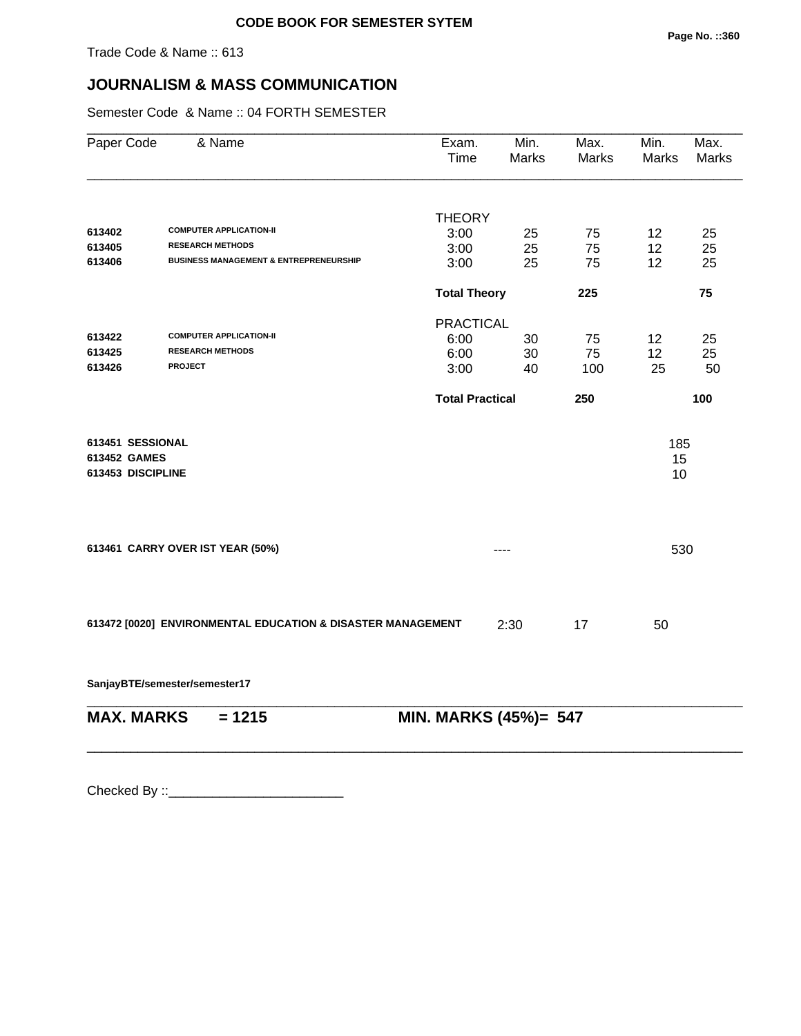# **JOURNALISM & MASS COMMUNICATION**

Semester Code & Name :: 04 FORTH SEMESTER

| Paper Code        | & Name                                                      | Exam.<br>Time          | Min.<br>Marks | Max.<br>Marks | Min.<br>Marks | Max.<br>Marks |
|-------------------|-------------------------------------------------------------|------------------------|---------------|---------------|---------------|---------------|
|                   |                                                             | <b>THEORY</b>          |               |               |               |               |
| 613402            | <b>COMPUTER APPLICATION-II</b>                              | 3:00                   | 25            | 75            | 12            | 25            |
| 613405            | <b>RESEARCH METHODS</b>                                     | 3:00                   | 25            | 75            | 12            | 25            |
| 613406            | <b>BUSINESS MANAGEMENT &amp; ENTREPRENEURSHIP</b>           | 3:00                   | 25            | 75            | 12            | 25            |
|                   |                                                             | <b>Total Theory</b>    |               | 225           |               | 75            |
|                   |                                                             | <b>PRACTICAL</b>       |               |               |               |               |
| 613422            | <b>COMPUTER APPLICATION-II</b>                              | 6:00                   | 30            | 75            | 12            | 25            |
| 613425            | <b>RESEARCH METHODS</b>                                     | 6:00                   | 30            | 75            | 12            | 25            |
| 613426            | <b>PROJECT</b>                                              | 3:00                   | 40            | 100           | 25            | 50            |
|                   |                                                             | <b>Total Practical</b> |               | 250           |               | 100           |
| 613451 SESSIONAL  |                                                             |                        |               |               | 185           |               |
| 613452 GAMES      |                                                             |                        |               |               | 15            |               |
| 613453 DISCIPLINE |                                                             |                        |               |               | 10            |               |
|                   |                                                             |                        |               |               |               |               |
|                   | 613461 CARRY OVER IST YEAR (50%)                            |                        | ----          |               | 530           |               |
|                   |                                                             |                        |               |               |               |               |
|                   | 613472 [0020] ENVIRONMENTAL EDUCATION & DISASTER MANAGEMENT |                        | 2:30          | 17            | 50            |               |
|                   | SanjayBTE/semester/semester17                               |                        |               |               |               |               |

| $MAX.$ MARKS = 1215 |  | <b>MIN. MARKS (45%)= 547</b> |
|---------------------|--|------------------------------|
|---------------------|--|------------------------------|

\_\_\_\_\_\_\_\_\_\_\_\_\_\_\_\_\_\_\_\_\_\_\_\_\_\_\_\_\_\_\_\_\_\_\_\_\_\_\_\_\_\_\_\_\_\_\_\_\_\_\_\_\_\_\_\_\_\_\_\_\_\_\_\_\_\_\_\_\_\_\_\_\_\_\_\_\_\_\_\_\_\_\_\_\_\_\_\_\_\_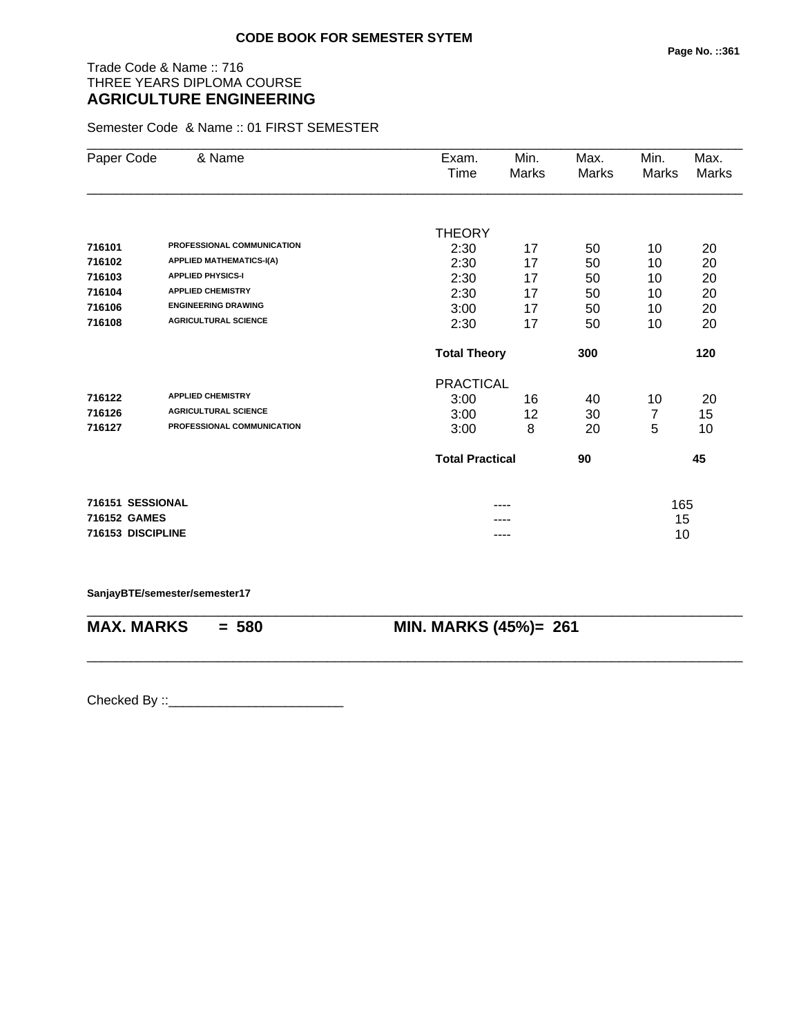# Trade Code & Name :: 716 THREE YEARS DIPLOMA COURSE **AGRICULTURE ENGINEERING**

Semester Code & Name :: 01 FIRST SEMESTER

| Paper Code        | & Name                          | Exam.                  | Min.  | Max.  | Min.         | Max.  |
|-------------------|---------------------------------|------------------------|-------|-------|--------------|-------|
|                   |                                 | Time                   | Marks | Marks | <b>Marks</b> | Marks |
|                   |                                 |                        |       |       |              |       |
|                   |                                 | <b>THEORY</b>          |       |       |              |       |
| 716101            | PROFESSIONAL COMMUNICATION      | 2:30                   | 17    | 50    | 10           | 20    |
| 716102            | <b>APPLIED MATHEMATICS-I(A)</b> | 2:30                   | 17    | 50    | 10           | 20    |
| 716103            | <b>APPLIED PHYSICS-I</b>        | 2:30                   | 17    | 50    | 10           | 20    |
| 716104            | <b>APPLIED CHEMISTRY</b>        | 2:30                   | 17    | 50    | 10           | 20    |
| 716106            | <b>ENGINEERING DRAWING</b>      | 3:00                   | 17    | 50    | 10           | 20    |
| 716108            | <b>AGRICULTURAL SCIENCE</b>     | 2:30                   | 17    | 50    | 10           | 20    |
|                   |                                 | <b>Total Theory</b>    |       | 300   |              | 120   |
|                   |                                 | <b>PRACTICAL</b>       |       |       |              |       |
| 716122            | <b>APPLIED CHEMISTRY</b>        | 3:00                   | 16    | 40    | 10           | 20    |
| 716126            | <b>AGRICULTURAL SCIENCE</b>     | 3:00                   | 12    | 30    | 7            | 15    |
| 716127            | PROFESSIONAL COMMUNICATION      | 3:00                   | 8     | 20    | 5            | 10    |
|                   |                                 | <b>Total Practical</b> |       | 90    |              | 45    |
| 716151 SESSIONAL  |                                 |                        |       |       | 165          |       |
| 716152 GAMES      |                                 |                        |       |       | 15           |       |
| 716153 DISCIPLINE |                                 |                        | ----  |       | 10           |       |

**SanjayBTE/semester/semester17**

\_\_\_\_\_\_\_\_\_\_\_\_\_\_\_\_\_\_\_\_\_\_\_\_\_\_\_\_\_\_\_\_\_\_\_\_\_\_\_\_\_\_\_\_\_\_\_\_\_\_\_\_\_\_\_\_\_\_\_\_\_\_\_\_\_\_\_\_\_\_\_\_\_\_\_\_\_\_\_\_\_\_\_\_\_\_\_\_\_\_ **MAX. MARKS = 580 MIN. MARKS (45%)= 261**

\_\_\_\_\_\_\_\_\_\_\_\_\_\_\_\_\_\_\_\_\_\_\_\_\_\_\_\_\_\_\_\_\_\_\_\_\_\_\_\_\_\_\_\_\_\_\_\_\_\_\_\_\_\_\_\_\_\_\_\_\_\_\_\_\_\_\_\_\_\_\_\_\_\_\_\_\_\_\_\_\_\_\_\_\_\_\_\_\_\_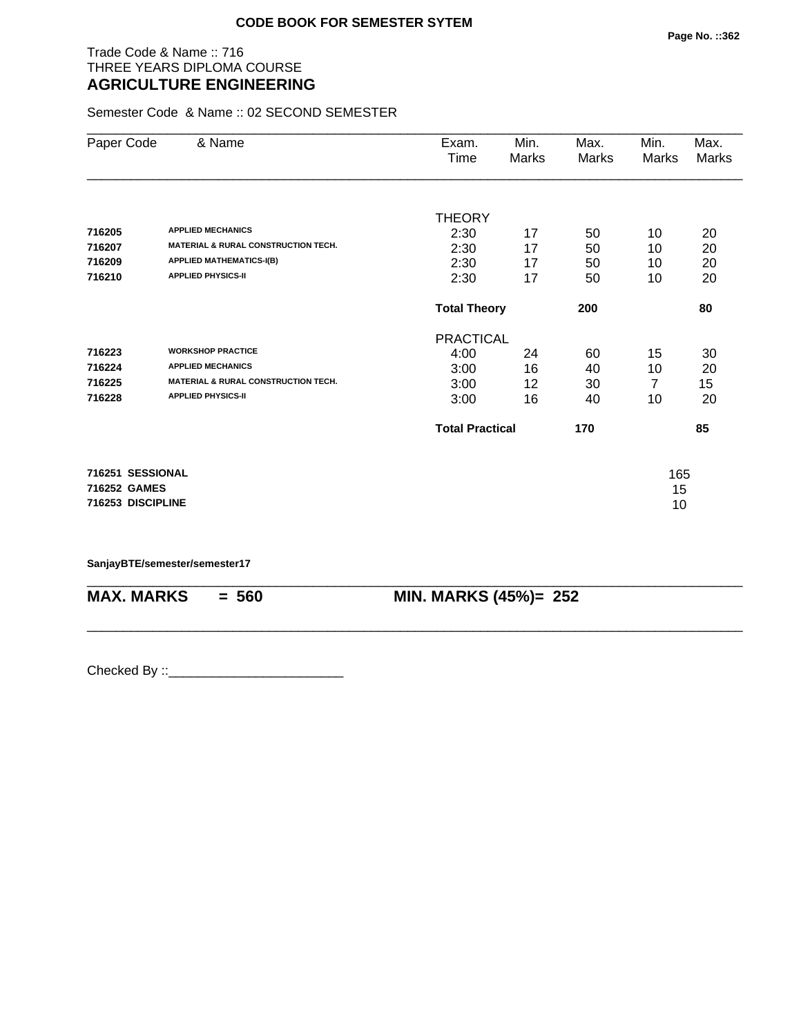# Trade Code & Name :: 716 THREE YEARS DIPLOMA COURSE **AGRICULTURE ENGINEERING**

Semester Code & Name :: 02 SECOND SEMESTER

| Paper Code        | & Name                                         | Exam.                  | Min.  | Max.  | Min.  | Max.         |
|-------------------|------------------------------------------------|------------------------|-------|-------|-------|--------------|
|                   |                                                | Time                   | Marks | Marks | Marks | <b>Marks</b> |
|                   |                                                |                        |       |       |       |              |
|                   |                                                | <b>THEORY</b>          |       |       |       |              |
| 716205            | <b>APPLIED MECHANICS</b>                       | 2:30                   | 17    | 50    | 10    | 20           |
| 716207            | <b>MATERIAL &amp; RURAL CONSTRUCTION TECH.</b> | 2:30                   | 17    | 50    | 10    | 20           |
| 716209            | <b>APPLIED MATHEMATICS-I(B)</b>                | 2:30                   | 17    | 50    | 10    | 20           |
| 716210            | <b>APPLIED PHYSICS-II</b>                      | 2:30                   | 17    | 50    | 10    | 20           |
|                   |                                                | <b>Total Theory</b>    |       | 200   |       | 80           |
|                   |                                                | <b>PRACTICAL</b>       |       |       |       |              |
| 716223            | <b>WORKSHOP PRACTICE</b>                       | 4:00                   | 24    | 60    | 15    | 30           |
| 716224            | <b>APPLIED MECHANICS</b>                       | 3:00                   | 16    | 40    | 10    | 20           |
| 716225            | <b>MATERIAL &amp; RURAL CONSTRUCTION TECH.</b> | 3:00                   | 12    | 30    | 7     | 15           |
| 716228            | <b>APPLIED PHYSICS-II</b>                      | 3:00                   | 16    | 40    | 10    | 20           |
|                   |                                                | <b>Total Practical</b> |       | 170   |       | 85           |
| 716251 SESSIONAL  |                                                |                        |       |       | 165   |              |
| 716252 GAMES      |                                                |                        |       |       | 15    |              |
| 716253 DISCIPLINE |                                                |                        |       |       | 10    |              |

\_\_\_\_\_\_\_\_\_\_\_\_\_\_\_\_\_\_\_\_\_\_\_\_\_\_\_\_\_\_\_\_\_\_\_\_\_\_\_\_\_\_\_\_\_\_\_\_\_\_\_\_\_\_\_\_\_\_\_\_\_\_\_\_\_\_\_\_\_\_\_\_\_\_\_\_\_\_\_\_\_\_\_\_\_\_\_\_\_\_

\_\_\_\_\_\_\_\_\_\_\_\_\_\_\_\_\_\_\_\_\_\_\_\_\_\_\_\_\_\_\_\_\_\_\_\_\_\_\_\_\_\_\_\_\_\_\_\_\_\_\_\_\_\_\_\_\_\_\_\_\_\_\_\_\_\_\_\_\_\_\_\_\_\_\_\_\_\_\_\_\_\_\_\_\_\_\_\_\_\_

**SanjayBTE/semester/semester17**

**MAX. MARKS = 560 MIN. MARKS (45%)= 252**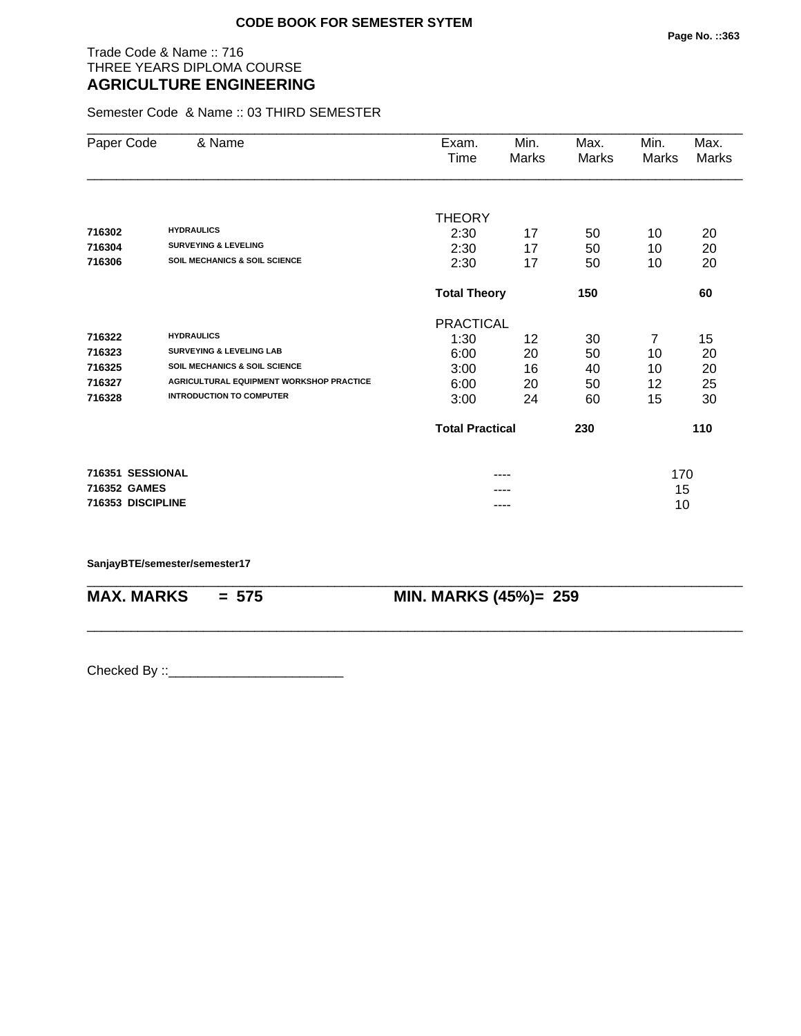# Trade Code & Name :: 716 THREE YEARS DIPLOMA COURSE **AGRICULTURE ENGINEERING**

Semester Code & Name :: 03 THIRD SEMESTER

|                                          | Time                                            | Marks                 | Marks                                                                                               | Marks                  | Max.<br>Marks                             |
|------------------------------------------|-------------------------------------------------|-----------------------|-----------------------------------------------------------------------------------------------------|------------------------|-------------------------------------------|
|                                          |                                                 |                       |                                                                                                     |                        |                                           |
|                                          | <b>THEORY</b>                                   |                       |                                                                                                     |                        |                                           |
| <b>HYDRAULICS</b>                        | 2:30                                            | 17                    | 50                                                                                                  | 10                     | 20                                        |
| <b>SURVEYING &amp; LEVELING</b>          | 2:30                                            | 17                    | 50                                                                                                  | 10                     | 20                                        |
| <b>SOIL MECHANICS &amp; SOIL SCIENCE</b> | 2:30                                            | 17                    | 50                                                                                                  | 10                     | 20                                        |
|                                          |                                                 |                       | 150                                                                                                 |                        | 60                                        |
|                                          |                                                 |                       |                                                                                                     |                        |                                           |
| <b>HYDRAULICS</b>                        | 1:30                                            | 12                    | 30                                                                                                  | 7                      | 15                                        |
| <b>SURVEYING &amp; LEVELING LAB</b>      | 6:00                                            |                       |                                                                                                     |                        | 20                                        |
| <b>SOIL MECHANICS &amp; SOIL SCIENCE</b> |                                                 |                       |                                                                                                     |                        | 20                                        |
| AGRICULTURAL EQUIPMENT WORKSHOP PRACTICE |                                                 |                       |                                                                                                     |                        | 25                                        |
| <b>INTRODUCTION TO COMPUTER</b>          | 3:00                                            | 24                    | 60                                                                                                  | 15                     | 30                                        |
|                                          |                                                 |                       | 230                                                                                                 |                        | 110                                       |
|                                          |                                                 |                       |                                                                                                     |                        |                                           |
| 716352 GAMES                             |                                                 |                       |                                                                                                     |                        |                                           |
|                                          |                                                 |                       |                                                                                                     |                        |                                           |
|                                          | & Name<br>716351 SESSIONAL<br>716353 DISCIPLINE | Exam.<br>3:00<br>6:00 | Min.<br><b>Total Theory</b><br><b>PRACTICAL</b><br>20<br>16<br>20<br><b>Total Practical</b><br>---- | Max.<br>50<br>40<br>50 | Min.<br>10<br>10<br>12<br>170<br>15<br>10 |

\_\_\_\_\_\_\_\_\_\_\_\_\_\_\_\_\_\_\_\_\_\_\_\_\_\_\_\_\_\_\_\_\_\_\_\_\_\_\_\_\_\_\_\_\_\_\_\_\_\_\_\_\_\_\_\_\_\_\_\_\_\_\_\_\_\_\_\_\_\_\_\_\_\_\_\_\_\_\_\_\_\_\_\_\_\_\_\_\_\_

\_\_\_\_\_\_\_\_\_\_\_\_\_\_\_\_\_\_\_\_\_\_\_\_\_\_\_\_\_\_\_\_\_\_\_\_\_\_\_\_\_\_\_\_\_\_\_\_\_\_\_\_\_\_\_\_\_\_\_\_\_\_\_\_\_\_\_\_\_\_\_\_\_\_\_\_\_\_\_\_\_\_\_\_\_\_\_\_\_\_

### **SanjayBTE/semester/semester17**

**MAX. MARKS = 575 MIN. MARKS (45%)= 259**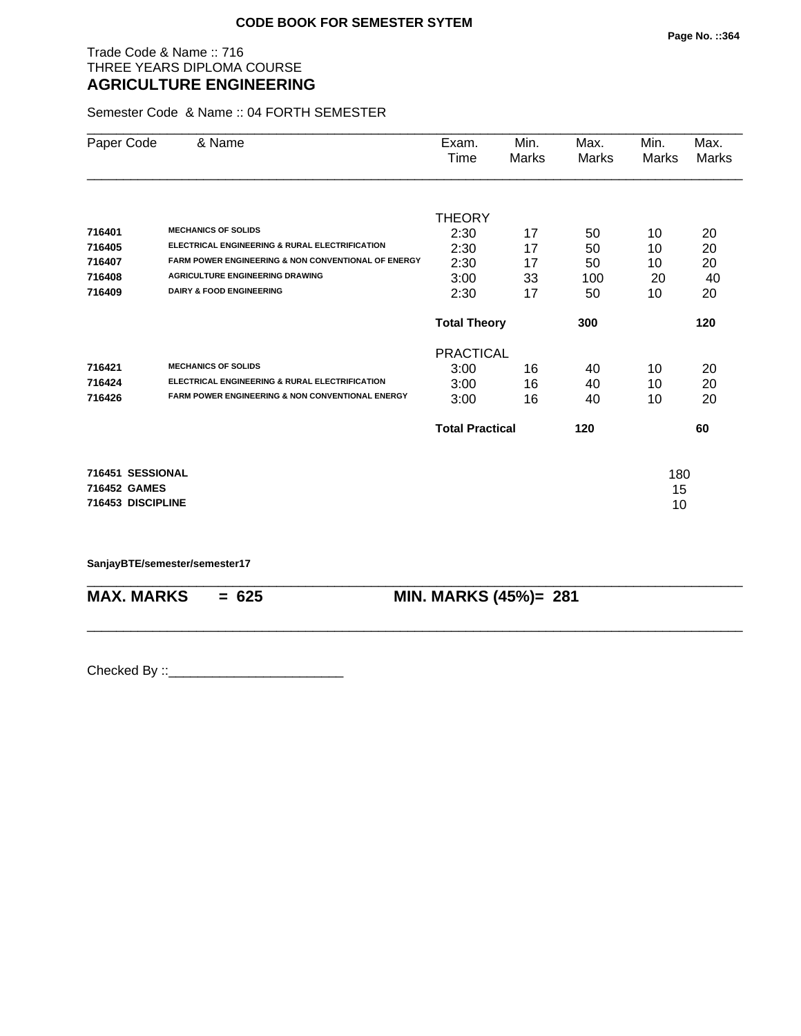# Trade Code & Name :: 716 THREE YEARS DIPLOMA COURSE **AGRICULTURE ENGINEERING**

Semester Code & Name :: 04 FORTH SEMESTER

| Paper Code        | & Name                                                         | Exam.                  | Min.  | Max.  | Min.  | Max.         |
|-------------------|----------------------------------------------------------------|------------------------|-------|-------|-------|--------------|
|                   |                                                                | Time                   | Marks | Marks | Marks | <b>Marks</b> |
|                   |                                                                | <b>THEORY</b>          |       |       |       |              |
| 716401            | <b>MECHANICS OF SOLIDS</b>                                     | 2:30                   | 17    | 50    | 10    | 20           |
| 716405            | ELECTRICAL ENGINEERING & RURAL ELECTRIFICATION                 | 2:30                   | 17    | 50    | 10    | 20           |
| 716407            | <b>FARM POWER ENGINEERING &amp; NON CONVENTIONAL OF ENERGY</b> | 2:30                   | 17    | 50    | 10    | 20           |
| 716408            | <b>AGRICULTURE ENGINEERING DRAWING</b>                         | 3:00                   | 33    | 100   | 20    | 40           |
| 716409            | <b>DAIRY &amp; FOOD ENGINEERING</b>                            | 2:30                   | 17    | 50    | 10    | 20           |
|                   |                                                                | <b>Total Theory</b>    |       | 300   |       | 120          |
|                   |                                                                | <b>PRACTICAL</b>       |       |       |       |              |
| 716421            | <b>MECHANICS OF SOLIDS</b>                                     | 3:00                   | 16    | 40    | 10    | 20           |
| 716424            | ELECTRICAL ENGINEERING & RURAL ELECTRIFICATION                 | 3:00                   | 16    | 40    | 10    | 20           |
| 716426            | FARM POWER ENGINEERING & NON CONVENTIONAL ENERGY               | 3:00                   | 16    | 40    | 10    | 20           |
|                   |                                                                | <b>Total Practical</b> |       | 120   |       | 60           |
| 716451 SESSIONAL  |                                                                |                        |       |       | 180   |              |
| 716452 GAMES      |                                                                |                        |       |       | 15    |              |
| 716453 DISCIPLINE |                                                                |                        |       |       | 10    |              |

\_\_\_\_\_\_\_\_\_\_\_\_\_\_\_\_\_\_\_\_\_\_\_\_\_\_\_\_\_\_\_\_\_\_\_\_\_\_\_\_\_\_\_\_\_\_\_\_\_\_\_\_\_\_\_\_\_\_\_\_\_\_\_\_\_\_\_\_\_\_\_\_\_\_\_\_\_\_\_\_\_\_\_\_\_\_\_\_\_\_

\_\_\_\_\_\_\_\_\_\_\_\_\_\_\_\_\_\_\_\_\_\_\_\_\_\_\_\_\_\_\_\_\_\_\_\_\_\_\_\_\_\_\_\_\_\_\_\_\_\_\_\_\_\_\_\_\_\_\_\_\_\_\_\_\_\_\_\_\_\_\_\_\_\_\_\_\_\_\_\_\_\_\_\_\_\_\_\_\_\_

**SanjayBTE/semester/semester17**

**MAX. MARKS = 625 MIN. MARKS (45%)= 281**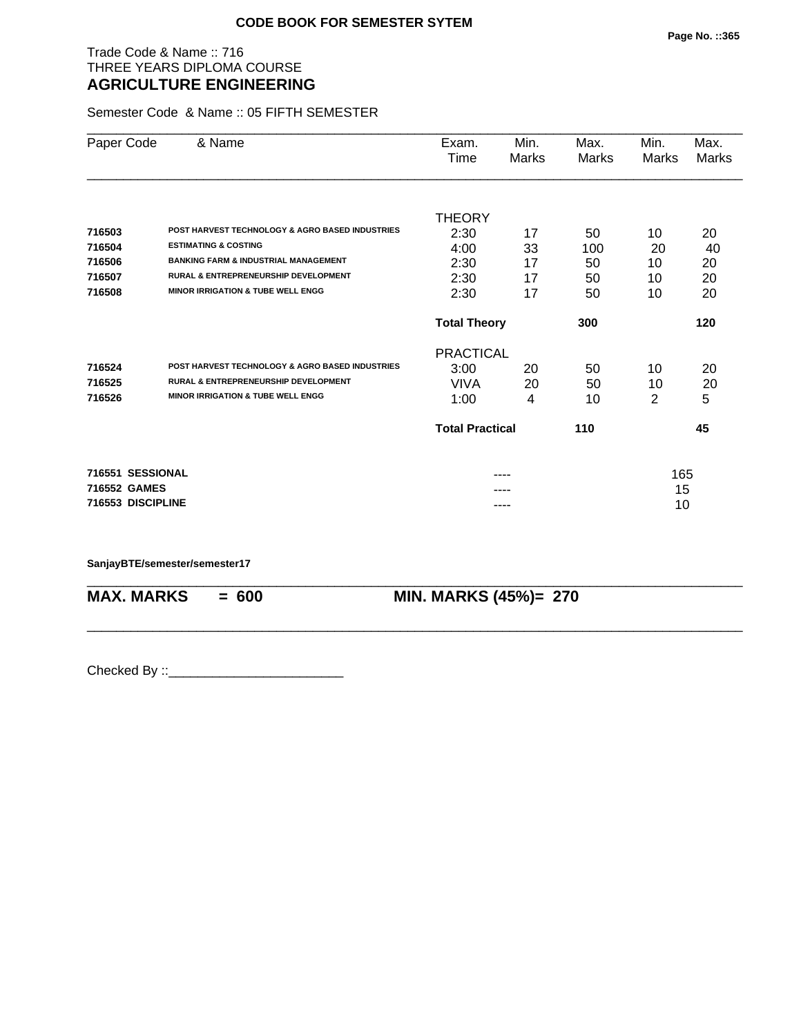# Trade Code & Name :: 716 THREE YEARS DIPLOMA COURSE **AGRICULTURE ENGINEERING**

Semester Code & Name :: 05 FIFTH SEMESTER

| Paper Code        | & Name                                          | Exam.                  | Min.  | Max.  | Min.  | Max.         |
|-------------------|-------------------------------------------------|------------------------|-------|-------|-------|--------------|
|                   |                                                 | Time                   | Marks | Marks | Marks | <b>Marks</b> |
|                   |                                                 |                        |       |       |       |              |
|                   |                                                 | <b>THEORY</b>          |       |       |       |              |
| 716503            | POST HARVEST TECHNOLOGY & AGRO BASED INDUSTRIES | 2:30                   | 17    | 50    | 10    | 20           |
| 716504            | <b>ESTIMATING &amp; COSTING</b>                 | 4:00                   | 33    | 100   | 20    | 40           |
| 716506            | <b>BANKING FARM &amp; INDUSTRIAL MANAGEMENT</b> | 2:30                   | 17    | 50    | 10    | 20           |
| 716507            | <b>RURAL &amp; ENTREPRENEURSHIP DEVELOPMENT</b> | 2:30                   | 17    | 50    | 10    | 20           |
| 716508            | <b>MINOR IRRIGATION &amp; TUBE WELL ENGG</b>    | 2:30                   | 17    | 50    | 10    | 20           |
|                   |                                                 | <b>Total Theory</b>    |       | 300   |       | 120          |
|                   |                                                 | <b>PRACTICAL</b>       |       |       |       |              |
| 716524            | POST HARVEST TECHNOLOGY & AGRO BASED INDUSTRIES | 3:00                   | 20    | 50    | 10    | 20           |
| 716525            | <b>RURAL &amp; ENTREPRENEURSHIP DEVELOPMENT</b> | VIVA                   | 20    | 50    | 10    | 20           |
| 716526            | <b>MINOR IRRIGATION &amp; TUBE WELL ENGG</b>    | 1:00                   | 4     | 10    | 2     | 5            |
|                   |                                                 | <b>Total Practical</b> |       | 110   |       | 45           |
| 716551 SESSIONAL  |                                                 |                        |       |       | 165   |              |
| 716552 GAMES      |                                                 |                        |       |       | 15    |              |
| 716553 DISCIPLINE |                                                 |                        | ----  |       | 10    |              |

\_\_\_\_\_\_\_\_\_\_\_\_\_\_\_\_\_\_\_\_\_\_\_\_\_\_\_\_\_\_\_\_\_\_\_\_\_\_\_\_\_\_\_\_\_\_\_\_\_\_\_\_\_\_\_\_\_\_\_\_\_\_\_\_\_\_\_\_\_\_\_\_\_\_\_\_\_\_\_\_\_\_\_\_\_\_\_\_\_\_

\_\_\_\_\_\_\_\_\_\_\_\_\_\_\_\_\_\_\_\_\_\_\_\_\_\_\_\_\_\_\_\_\_\_\_\_\_\_\_\_\_\_\_\_\_\_\_\_\_\_\_\_\_\_\_\_\_\_\_\_\_\_\_\_\_\_\_\_\_\_\_\_\_\_\_\_\_\_\_\_\_\_\_\_\_\_\_\_\_\_

### **SanjayBTE/semester/semester17**

**MAX. MARKS = 600 MIN. MARKS (45%)= 270**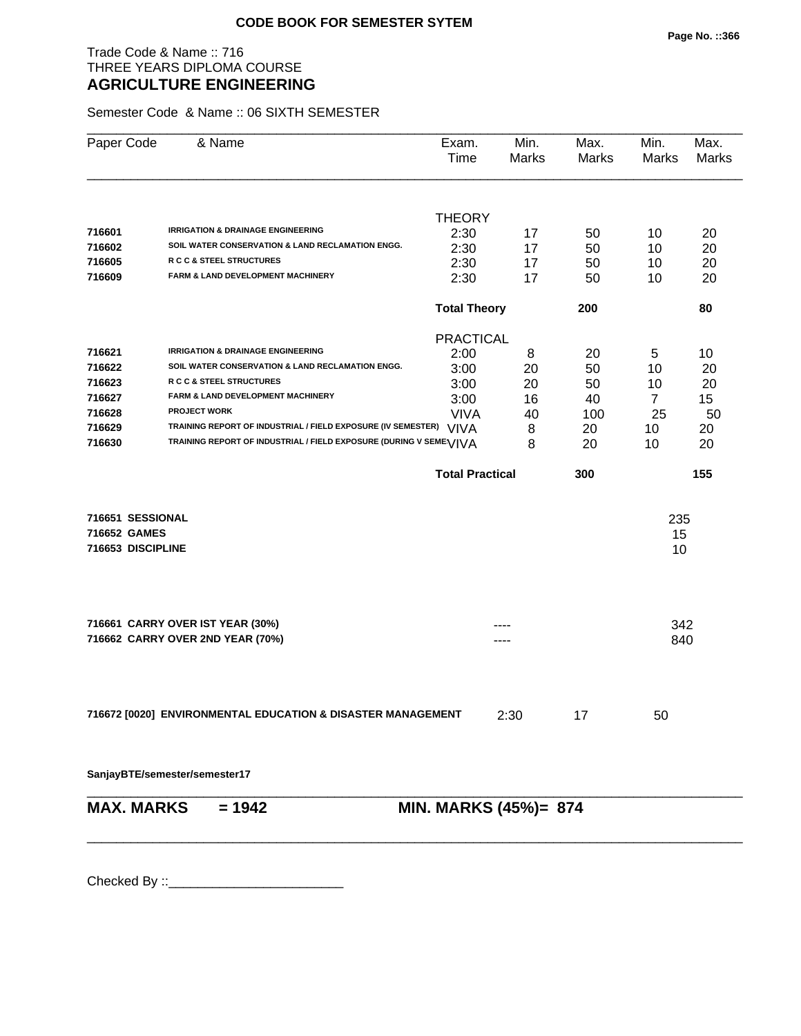# Trade Code & Name :: 716 THREE YEARS DIPLOMA COURSE **AGRICULTURE ENGINEERING**

Semester Code & Name :: 06 SIXTH SEMESTER

| Paper Code        | & Name                                                             | Exam.<br>Time          | Min.<br>Marks | Max.<br>Marks | Min.<br>Marks  | Max.<br>Marks |
|-------------------|--------------------------------------------------------------------|------------------------|---------------|---------------|----------------|---------------|
|                   |                                                                    | <b>THEORY</b>          |               |               |                |               |
| 716601            | <b>IRRIGATION &amp; DRAINAGE ENGINEERING</b>                       | 2:30                   | 17            | 50            | 10             | 20            |
| 716602            | SOIL WATER CONSERVATION & LAND RECLAMATION ENGG.                   | 2:30                   | 17            | 50            | 10             | 20            |
| 716605            | R C C & STEEL STRUCTURES                                           | 2:30                   | 17            | 50            | 10             | 20            |
| 716609            | FARM & LAND DEVELOPMENT MACHINERY                                  | 2:30                   | 17            | 50            | 10             | 20            |
|                   |                                                                    | <b>Total Theory</b>    |               | 200           |                | 80            |
|                   |                                                                    | <b>PRACTICAL</b>       |               |               |                |               |
| 716621            | <b>IRRIGATION &amp; DRAINAGE ENGINEERING</b>                       | 2:00                   | 8             | 20            | 5              | 10            |
| 716622            | SOIL WATER CONSERVATION & LAND RECLAMATION ENGG.                   | 3:00                   | 20            | 50            | 10             | 20            |
| 716623            | R C C & STEEL STRUCTURES                                           | 3:00                   | 20            | 50            | 10             | 20            |
| 716627            | FARM & LAND DEVELOPMENT MACHINERY                                  | 3:00                   | 16            | 40            | $\overline{7}$ | 15            |
| 716628            | <b>PROJECT WORK</b>                                                | <b>VIVA</b>            | 40            | 100           | 25             | 50            |
| 716629            | TRAINING REPORT OF INDUSTRIAL / FIELD EXPOSURE (IV SEMESTER) VIVA  |                        | 8             | 20            | 10             | 20            |
| 716630            | TRAINING REPORT OF INDUSTRIAL / FIELD EXPOSURE (DURING V SEME VIVA |                        | 8             | 20            | 10             | 20            |
|                   |                                                                    | <b>Total Practical</b> |               | 300           |                | 155           |
| 716651 SESSIONAL  |                                                                    |                        |               |               | 235            |               |
| 716652 GAMES      |                                                                    |                        |               |               | 15             |               |
| 716653 DISCIPLINE |                                                                    |                        |               |               | 10             |               |
|                   | 716661 CARRY OVER IST YEAR (30%)                                   |                        |               |               | 342            |               |
|                   | 716662 CARRY OVER 2ND YEAR (70%)                                   |                        |               |               | 840            |               |
|                   |                                                                    |                        |               |               |                |               |
|                   | 716672 [0020] ENVIRONMENTAL EDUCATION & DISASTER MANAGEMENT        |                        | 2:30          | 17            | 50             |               |
|                   | SanjayBTE/semester/semester17                                      |                        |               |               |                |               |
| <b>MAX. MARKS</b> | $= 1942$                                                           | MIN. MARKS (45%)= 874  |               |               |                |               |
|                   |                                                                    |                        |               |               |                |               |
|                   |                                                                    |                        |               |               |                |               |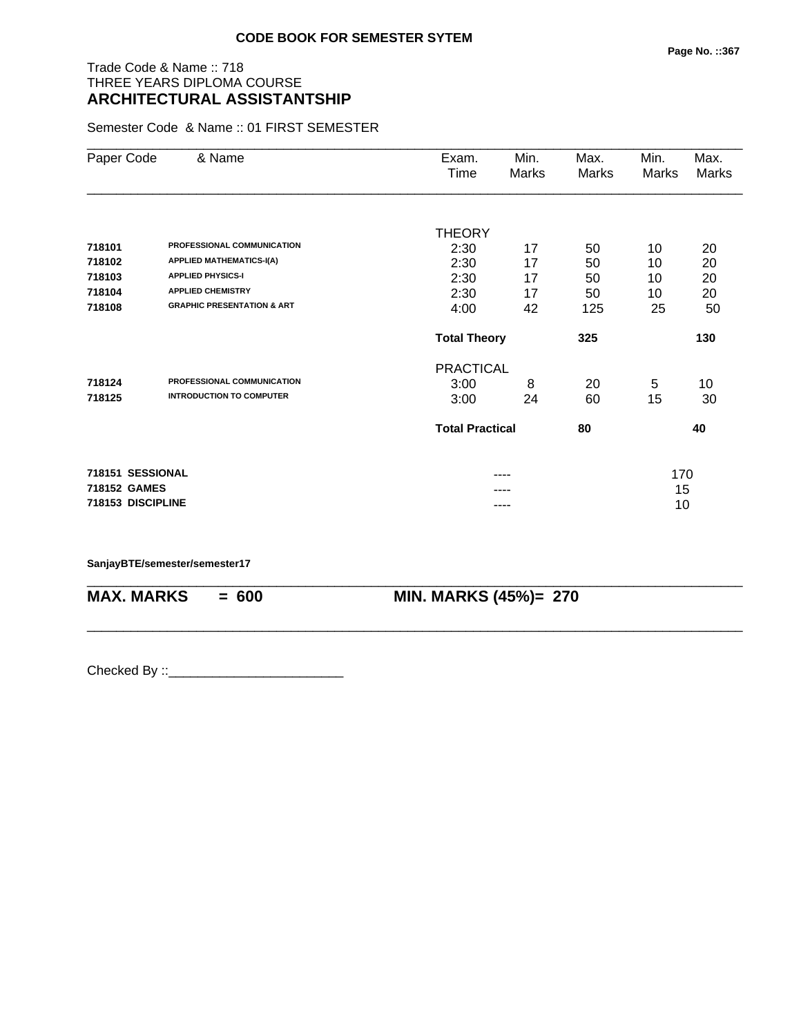# Trade Code & Name :: 718 THREE YEARS DIPLOMA COURSE **ARCHITECTURAL ASSISTANTSHIP**

Semester Code & Name :: 01 FIRST SEMESTER

| Paper Code        | & Name                                | Exam.<br>Time          | Min.<br>Marks | Max.<br><b>Marks</b> | Min.<br>Marks | Max.<br>Marks |
|-------------------|---------------------------------------|------------------------|---------------|----------------------|---------------|---------------|
|                   |                                       |                        |               |                      |               |               |
|                   |                                       | <b>THEORY</b>          |               |                      |               |               |
| 718101            | PROFESSIONAL COMMUNICATION            | 2:30                   | 17            | 50                   | 10            | 20            |
| 718102            | <b>APPLIED MATHEMATICS-I(A)</b>       | 2:30                   | 17            | 50                   | 10            | 20            |
| 718103            | <b>APPLIED PHYSICS-I</b>              | 2:30                   | 17            | 50                   | 10            | 20            |
| 718104            | <b>APPLIED CHEMISTRY</b>              | 2:30                   | 17            | 50                   | 10            | 20            |
| 718108            | <b>GRAPHIC PRESENTATION &amp; ART</b> | 4:00                   | 42            | 125                  | 25            | 50            |
|                   |                                       | <b>Total Theory</b>    |               | 325                  |               | 130           |
|                   |                                       | <b>PRACTICAL</b>       |               |                      |               |               |
| 718124            | PROFESSIONAL COMMUNICATION            | 3:00                   | 8             | 20                   | 5             | 10            |
| 718125            | <b>INTRODUCTION TO COMPUTER</b>       | 3:00                   | 24            | 60                   | 15            | 30            |
|                   |                                       | <b>Total Practical</b> |               | 80                   |               | 40            |
| 718151 SESSIONAL  |                                       |                        |               |                      | 170           |               |
| 718152 GAMES      |                                       |                        |               |                      | 15            |               |
| 718153 DISCIPLINE |                                       |                        | ----          |                      | 10            |               |

\_\_\_\_\_\_\_\_\_\_\_\_\_\_\_\_\_\_\_\_\_\_\_\_\_\_\_\_\_\_\_\_\_\_\_\_\_\_\_\_\_\_\_\_\_\_\_\_\_\_\_\_\_\_\_\_\_\_\_\_\_\_\_\_\_\_\_\_\_\_\_\_\_\_\_\_\_\_\_\_\_\_\_\_\_\_\_\_\_\_

\_\_\_\_\_\_\_\_\_\_\_\_\_\_\_\_\_\_\_\_\_\_\_\_\_\_\_\_\_\_\_\_\_\_\_\_\_\_\_\_\_\_\_\_\_\_\_\_\_\_\_\_\_\_\_\_\_\_\_\_\_\_\_\_\_\_\_\_\_\_\_\_\_\_\_\_\_\_\_\_\_\_\_\_\_\_\_\_\_\_

### **SanjayBTE/semester/semester17**

**MAX. MARKS = 600 MIN. MARKS (45%)= 270**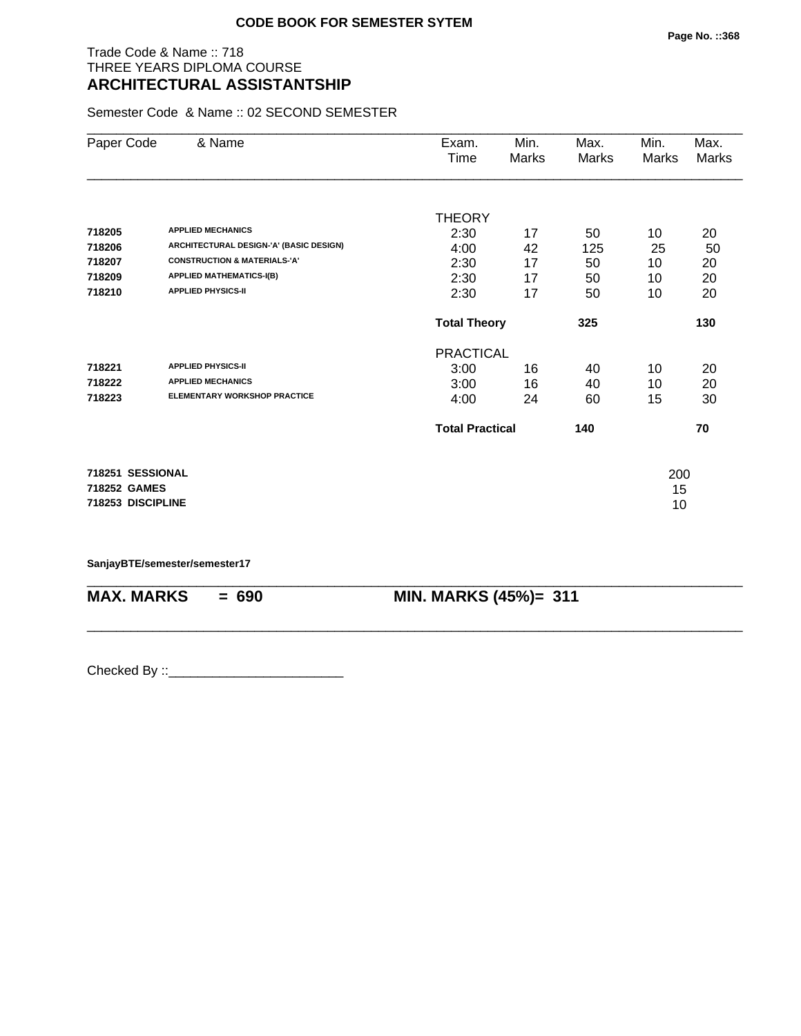# Trade Code & Name :: 718 THREE YEARS DIPLOMA COURSE **ARCHITECTURAL ASSISTANTSHIP**

Semester Code & Name :: 02 SECOND SEMESTER

| Paper Code        | & Name                                  | Exam.                  | Min.  | Max.  | Min.  | Max.         |
|-------------------|-----------------------------------------|------------------------|-------|-------|-------|--------------|
|                   |                                         | Time                   | Marks | Marks | Marks | <b>Marks</b> |
|                   |                                         |                        |       |       |       |              |
|                   |                                         | <b>THEORY</b>          |       |       |       |              |
| 718205            | <b>APPLIED MECHANICS</b>                | 2:30                   | 17    | 50    | 10    | 20           |
| 718206            | ARCHITECTURAL DESIGN-'A' (BASIC DESIGN) | 4:00                   | 42    | 125   | 25    | 50           |
| 718207            | <b>CONSTRUCTION &amp; MATERIALS-'A'</b> | 2:30                   | 17    | 50    | 10    | 20           |
| 718209            | <b>APPLIED MATHEMATICS-I(B)</b>         | 2:30                   | 17    | 50    | 10    | 20           |
| 718210            | <b>APPLIED PHYSICS-II</b>               | 2:30                   | 17    | 50    | 10    | 20           |
|                   |                                         | <b>Total Theory</b>    |       | 325   |       | 130          |
|                   |                                         | <b>PRACTICAL</b>       |       |       |       |              |
| 718221            | <b>APPLIED PHYSICS-II</b>               | 3:00                   | 16    | 40    | 10    | 20           |
| 718222            | <b>APPLIED MECHANICS</b>                | 3:00                   | 16    | 40    | 10    | 20           |
| 718223            | <b>ELEMENTARY WORKSHOP PRACTICE</b>     | 4:00                   | 24    | 60    | 15    | 30           |
|                   |                                         | <b>Total Practical</b> |       | 140   |       | 70           |
| 718251 SESSIONAL  |                                         |                        |       |       | 200   |              |
| 718252 GAMES      |                                         |                        |       |       | 15    |              |
| 718253 DISCIPLINE |                                         |                        |       |       | 10    |              |

\_\_\_\_\_\_\_\_\_\_\_\_\_\_\_\_\_\_\_\_\_\_\_\_\_\_\_\_\_\_\_\_\_\_\_\_\_\_\_\_\_\_\_\_\_\_\_\_\_\_\_\_\_\_\_\_\_\_\_\_\_\_\_\_\_\_\_\_\_\_\_\_\_\_\_\_\_\_\_\_\_\_\_\_\_\_\_\_\_\_

\_\_\_\_\_\_\_\_\_\_\_\_\_\_\_\_\_\_\_\_\_\_\_\_\_\_\_\_\_\_\_\_\_\_\_\_\_\_\_\_\_\_\_\_\_\_\_\_\_\_\_\_\_\_\_\_\_\_\_\_\_\_\_\_\_\_\_\_\_\_\_\_\_\_\_\_\_\_\_\_\_\_\_\_\_\_\_\_\_\_

**SanjayBTE/semester/semester17**

**MAX. MARKS = 690 MIN. MARKS (45%)= 311**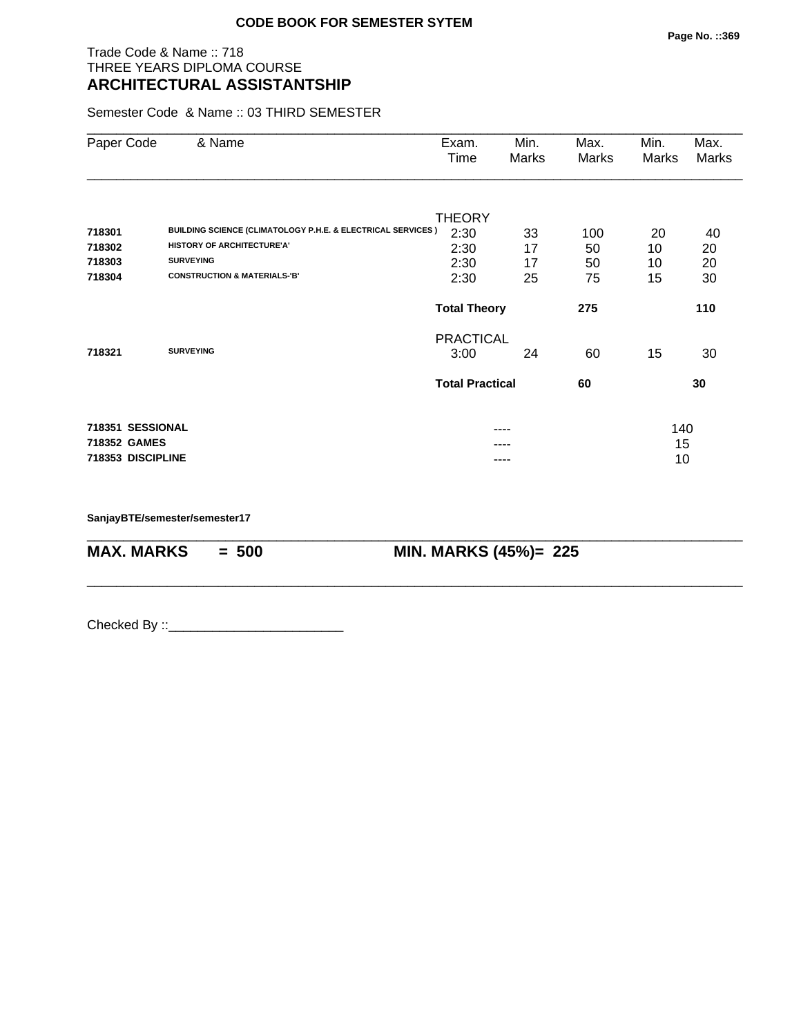# Trade Code & Name :: 718 THREE YEARS DIPLOMA COURSE **ARCHITECTURAL ASSISTANTSHIP**

Semester Code & Name :: 03 THIRD SEMESTER

| Paper Code                                            | & Name                                                                                                                   | Exam.<br>Time                         | Min.<br>Marks        | Max.<br>Marks   | Min.<br>Marks   | Max.<br>Marks  |
|-------------------------------------------------------|--------------------------------------------------------------------------------------------------------------------------|---------------------------------------|----------------------|-----------------|-----------------|----------------|
| 718301<br>718302<br>718303                            | <b>BUILDING SCIENCE (CLIMATOLOGY P.H.E. &amp; ELECTRICAL SERVICES)</b><br>HISTORY OF ARCHITECTURE'A'<br><b>SURVEYING</b> | <b>THEORY</b><br>2:30<br>2:30<br>2:30 | 33<br>17<br>17       | 100<br>50<br>50 | 20<br>10<br>10  | 40<br>20<br>20 |
| 718304                                                | <b>CONSTRUCTION &amp; MATERIALS-'B'</b>                                                                                  | 2:30<br><b>Total Theory</b>           | 25                   | 75<br>275       | 15              | 30<br>110      |
| 718321                                                | <b>SURVEYING</b>                                                                                                         | <b>PRACTICAL</b><br>3:00              | 24                   | 60              | 15              | 30             |
|                                                       |                                                                                                                          | <b>Total Practical</b>                |                      | 60              |                 | 30             |
| 718351 SESSIONAL<br>718352 GAMES<br>718353 DISCIPLINE |                                                                                                                          |                                       | ----<br>----<br>---- |                 | 140<br>15<br>10 |                |

\_\_\_\_\_\_\_\_\_\_\_\_\_\_\_\_\_\_\_\_\_\_\_\_\_\_\_\_\_\_\_\_\_\_\_\_\_\_\_\_\_\_\_\_\_\_\_\_\_\_\_\_\_\_\_\_\_\_\_\_\_\_\_\_\_\_\_\_\_\_\_\_\_\_\_\_\_\_\_\_\_\_\_\_\_\_\_\_\_\_

\_\_\_\_\_\_\_\_\_\_\_\_\_\_\_\_\_\_\_\_\_\_\_\_\_\_\_\_\_\_\_\_\_\_\_\_\_\_\_\_\_\_\_\_\_\_\_\_\_\_\_\_\_\_\_\_\_\_\_\_\_\_\_\_\_\_\_\_\_\_\_\_\_\_\_\_\_\_\_\_\_\_\_\_\_\_\_\_\_\_

**SanjayBTE/semester/semester17**

**MAX. MARKS = 500 MIN. MARKS (45%)= 225**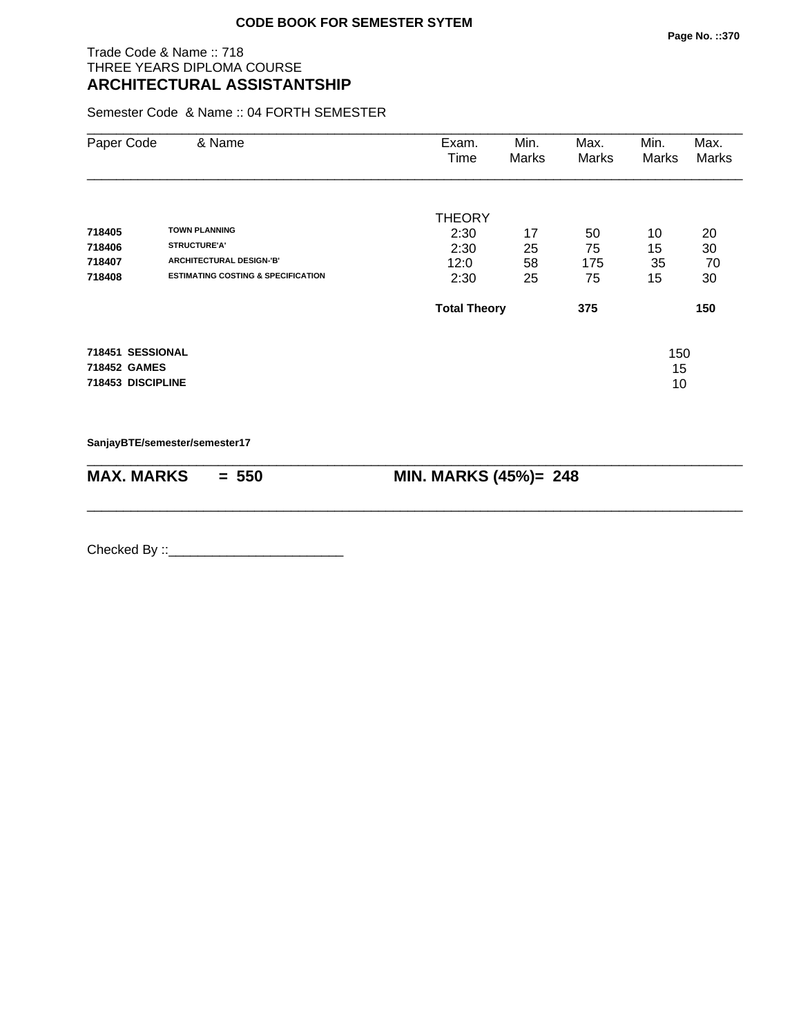# Trade Code & Name :: 718 THREE YEARS DIPLOMA COURSE **ARCHITECTURAL ASSISTANTSHIP**

Semester Code & Name :: 04 FORTH SEMESTER

| Paper Code                       | & Name                                        | Exam.<br>Time       | Min.<br>Marks | Max.<br>Marks | Min.<br>Marks | Max.<br>Marks |
|----------------------------------|-----------------------------------------------|---------------------|---------------|---------------|---------------|---------------|
|                                  |                                               | <b>THEORY</b>       |               |               |               |               |
| 718405                           | <b>TOWN PLANNING</b>                          | 2:30                | 17            | 50            | 10            | 20            |
| 718406                           | <b>STRUCTURE'A'</b>                           | 2:30                | 25            | 75            | 15            | 30            |
| 718407                           | ARCHITECTURAL DESIGN-'B'                      | 12:0                | 58            | 175           | 35            | 70            |
| 718408                           | <b>ESTIMATING COSTING &amp; SPECIFICATION</b> | 2:30                | 25            | 75            | 15            | 30            |
|                                  |                                               | <b>Total Theory</b> |               | 375           |               | 150           |
| 718451 SESSIONAL<br>718452 GAMES |                                               |                     |               |               | 150<br>15     |               |
| 718453 DISCIPLINE                |                                               |                     |               |               | 10            |               |

\_\_\_\_\_\_\_\_\_\_\_\_\_\_\_\_\_\_\_\_\_\_\_\_\_\_\_\_\_\_\_\_\_\_\_\_\_\_\_\_\_\_\_\_\_\_\_\_\_\_\_\_\_\_\_\_\_\_\_\_\_\_\_\_\_\_\_\_\_\_\_\_\_\_\_\_\_\_\_\_\_\_\_\_\_\_\_\_\_\_

\_\_\_\_\_\_\_\_\_\_\_\_\_\_\_\_\_\_\_\_\_\_\_\_\_\_\_\_\_\_\_\_\_\_\_\_\_\_\_\_\_\_\_\_\_\_\_\_\_\_\_\_\_\_\_\_\_\_\_\_\_\_\_\_\_\_\_\_\_\_\_\_\_\_\_\_\_\_\_\_\_\_\_\_\_\_\_\_\_\_

**SanjayBTE/semester/semester17**

| <b>MAX. MARKS</b> | $= 550$ |
|-------------------|---------|
|-------------------|---------|

**MIN. MARKS (45%)= 248**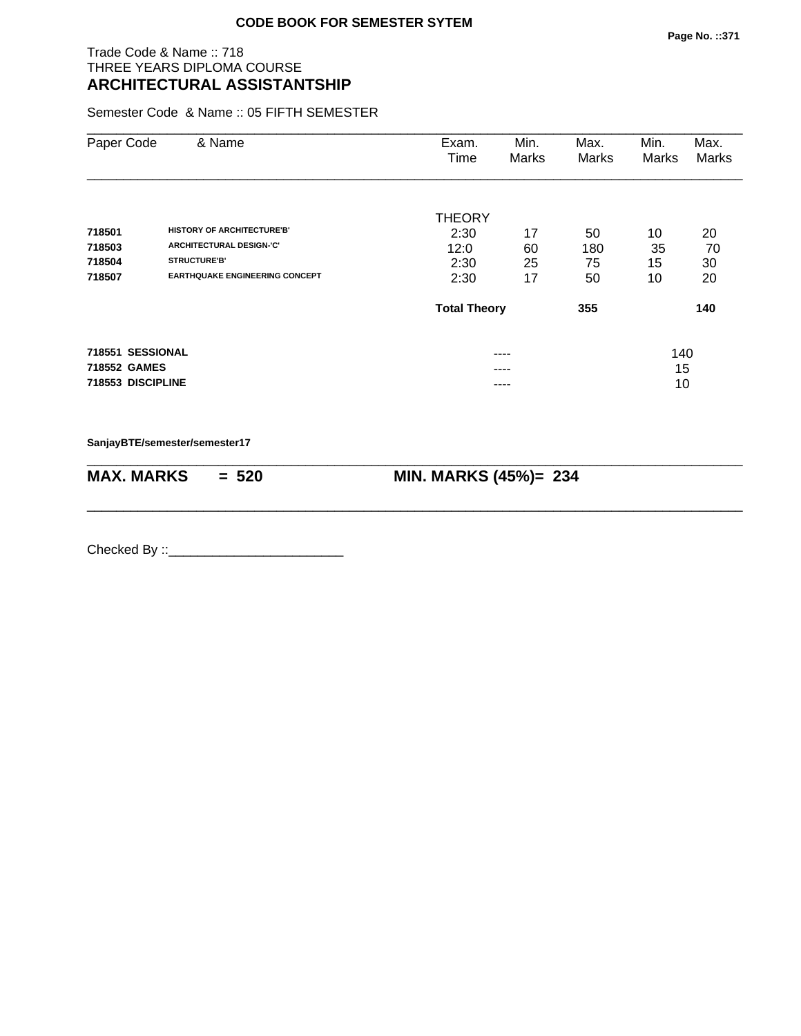# Trade Code & Name :: 718 THREE YEARS DIPLOMA COURSE **ARCHITECTURAL ASSISTANTSHIP**

Semester Code & Name :: 05 FIFTH SEMESTER

| Paper Code                                            | & Name                                                                                      | Exam.<br>Time                         | Min.<br>Marks  | Max.<br>Marks   | Min.<br>Marks   | Max.<br>Marks  |
|-------------------------------------------------------|---------------------------------------------------------------------------------------------|---------------------------------------|----------------|-----------------|-----------------|----------------|
| 718501<br>718503<br>718504                            | <b>HISTORY OF ARCHITECTURE'B'</b><br><b>ARCHITECTURAL DESIGN-'C'</b><br><b>STRUCTURE'B'</b> | <b>THEORY</b><br>2:30<br>12:0<br>2:30 | 17<br>60<br>25 | 50<br>180<br>75 | 10<br>35<br>15  | 20<br>70<br>30 |
| 718507                                                | <b>EARTHQUAKE ENGINEERING CONCEPT</b>                                                       | 2:30                                  | 17             | 50              | 10              | 20             |
|                                                       |                                                                                             | <b>Total Theory</b>                   |                | 355             |                 | 140            |
| 718551 SESSIONAL<br>718552 GAMES<br>718553 DISCIPLINE |                                                                                             |                                       | ----<br>----   |                 | 140<br>15<br>10 |                |

**SanjayBTE/semester/semester17**

| $MAX. \, MARKS = 520$ | <b>MIN. MARKS (45%)= 234</b> |
|-----------------------|------------------------------|

\_\_\_\_\_\_\_\_\_\_\_\_\_\_\_\_\_\_\_\_\_\_\_\_\_\_\_\_\_\_\_\_\_\_\_\_\_\_\_\_\_\_\_\_\_\_\_\_\_\_\_\_\_\_\_\_\_\_\_\_\_\_\_\_\_\_\_\_\_\_\_\_\_\_\_\_\_\_\_\_\_\_\_\_\_\_\_\_\_\_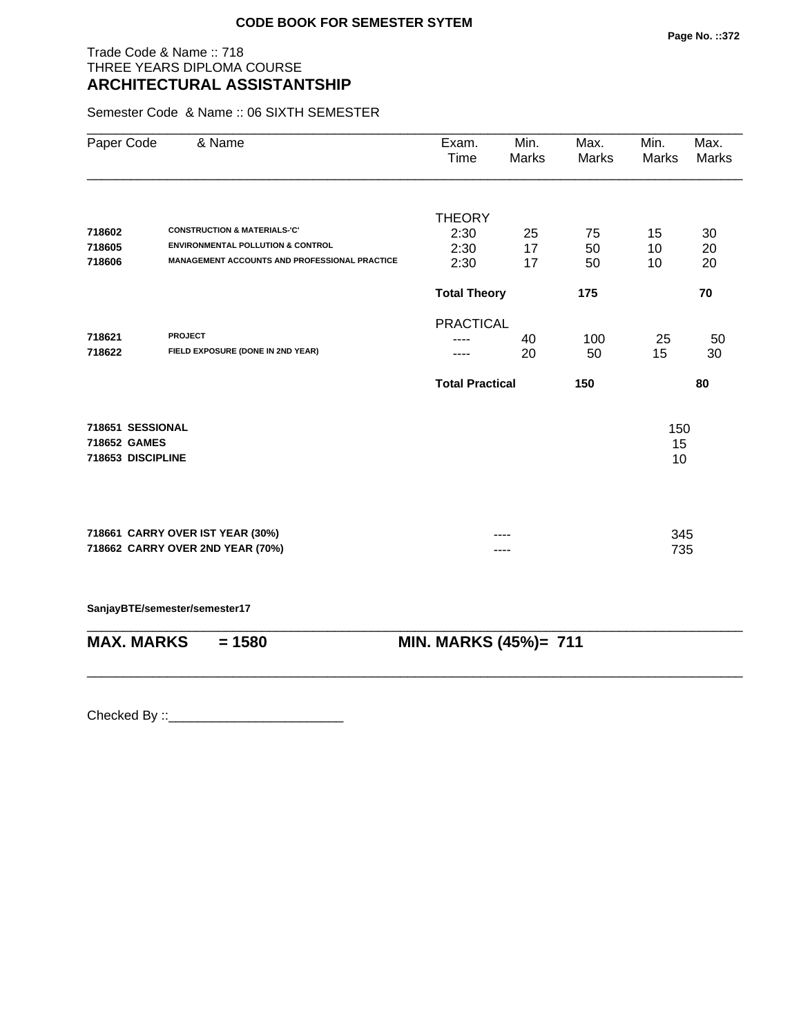# Trade Code & Name :: 718 THREE YEARS DIPLOMA COURSE **ARCHITECTURAL ASSISTANTSHIP**

Semester Code & Name :: 06 SIXTH SEMESTER

| Paper Code        | & Name                                               | Exam.<br>Time          | Min.<br>Marks | Max.<br>Marks | Min.<br>Marks | Max.<br>Marks |
|-------------------|------------------------------------------------------|------------------------|---------------|---------------|---------------|---------------|
|                   |                                                      | <b>THEORY</b>          |               |               |               |               |
| 718602            | <b>CONSTRUCTION &amp; MATERIALS-'C'</b>              | 2:30                   | 25            | 75            | 15            | 30            |
| 718605            | <b>ENVIRONMENTAL POLLUTION &amp; CONTROL</b>         | 2:30                   | 17            | 50            | 10            | 20            |
| 718606            | <b>MANAGEMENT ACCOUNTS AND PROFESSIONAL PRACTICE</b> | 2:30                   | 17            | 50            | 10            | 20            |
|                   |                                                      | <b>Total Theory</b>    |               | 175           |               | 70            |
|                   |                                                      | <b>PRACTICAL</b>       |               |               |               |               |
| 718621            | <b>PROJECT</b>                                       |                        | 40            | 100           | 25            | 50            |
| 718622            | FIELD EXPOSURE (DONE IN 2ND YEAR)                    |                        | 20            | 50            | 15            | 30            |
|                   |                                                      | <b>Total Practical</b> |               | 150           |               | 80            |
| 718651 SESSIONAL  |                                                      |                        |               |               | 150           |               |
| 718652 GAMES      |                                                      |                        |               |               | 15            |               |
| 718653 DISCIPLINE |                                                      |                        |               |               | 10            |               |
|                   |                                                      |                        |               |               |               |               |
|                   | 718661 CARRY OVER IST YEAR (30%)                     |                        |               |               | 345           |               |
|                   | 718662 CARRY OVER 2ND YEAR (70%)                     |                        |               |               | 735           |               |
|                   |                                                      |                        |               |               |               |               |
|                   | SanjayBTE/semester/semester17                        |                        |               |               |               |               |

| $MAX. \, MARKS = 1580$ | <b>MIN. MARKS (45%)= 711</b> |
|------------------------|------------------------------|
|                        |                              |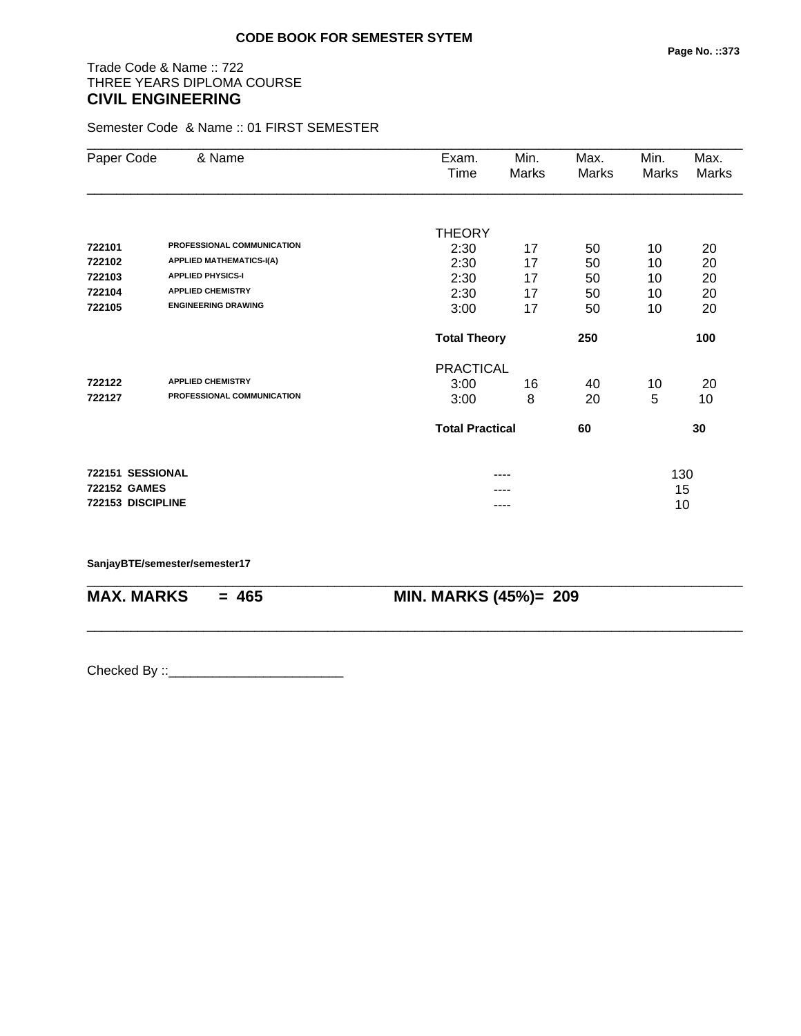# Trade Code & Name :: 722 THREE YEARS DIPLOMA COURSE **CIVIL ENGINEERING**

Semester Code & Name :: 01 FIRST SEMESTER

| Paper Code          | & Name                          | Exam.<br>Time          | Min.<br>Marks | Max.<br><b>Marks</b> | Min.<br>Marks | Max.<br>Marks |
|---------------------|---------------------------------|------------------------|---------------|----------------------|---------------|---------------|
|                     |                                 |                        |               |                      |               |               |
|                     |                                 | <b>THEORY</b>          |               |                      |               |               |
| 722101              | PROFESSIONAL COMMUNICATION      | 2:30                   | 17            | 50                   | 10            | 20            |
| 722102              | <b>APPLIED MATHEMATICS-I(A)</b> | 2:30                   | 17            | 50                   | 10            | 20            |
| 722103              | <b>APPLIED PHYSICS-I</b>        | 2:30                   | 17            | 50                   | 10            | 20            |
| 722104              | <b>APPLIED CHEMISTRY</b>        | 2:30                   | 17            | 50                   | 10            | 20            |
| 722105              | <b>ENGINEERING DRAWING</b>      | 3:00                   | 17            | 50                   | 10            | 20            |
|                     |                                 | <b>Total Theory</b>    |               | 250                  |               | 100           |
|                     |                                 | <b>PRACTICAL</b>       |               |                      |               |               |
| 722122              | <b>APPLIED CHEMISTRY</b>        | 3:00                   | 16            | 40                   | 10            | 20            |
| 722127              | PROFESSIONAL COMMUNICATION      | 3:00                   | 8             | 20                   | 5             | 10            |
|                     |                                 | <b>Total Practical</b> |               | 60                   |               | 30            |
| 722151 SESSIONAL    |                                 |                        | ----          |                      | 130           |               |
| <b>722152 GAMES</b> |                                 |                        |               |                      | 15            |               |
| 722153 DISCIPLINE   |                                 |                        | ----          |                      | 10            |               |

\_\_\_\_\_\_\_\_\_\_\_\_\_\_\_\_\_\_\_\_\_\_\_\_\_\_\_\_\_\_\_\_\_\_\_\_\_\_\_\_\_\_\_\_\_\_\_\_\_\_\_\_\_\_\_\_\_\_\_\_\_\_\_\_\_\_\_\_\_\_\_\_\_\_\_\_\_\_\_\_\_\_\_\_\_\_\_\_\_\_

\_\_\_\_\_\_\_\_\_\_\_\_\_\_\_\_\_\_\_\_\_\_\_\_\_\_\_\_\_\_\_\_\_\_\_\_\_\_\_\_\_\_\_\_\_\_\_\_\_\_\_\_\_\_\_\_\_\_\_\_\_\_\_\_\_\_\_\_\_\_\_\_\_\_\_\_\_\_\_\_\_\_\_\_\_\_\_\_\_\_

### **SanjayBTE/semester/semester17**

**MAX. MARKS = 465 MIN. MARKS (45%)= 209**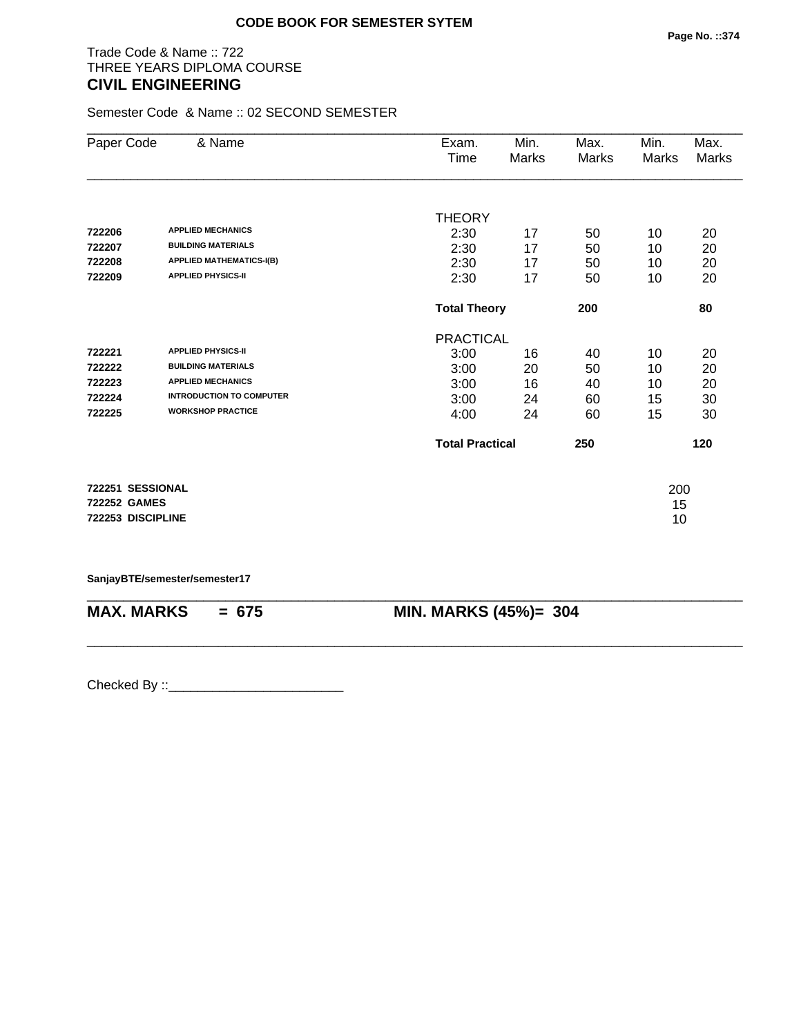# Trade Code & Name :: 722 THREE YEARS DIPLOMA COURSE **CIVIL ENGINEERING**

Semester Code & Name :: 02 SECOND SEMESTER

| & Name                                                                                                                                            | Exam.<br>Time                                 | Min.<br>Marks              | Max.<br>Marks                                                     | Min.<br><b>Marks</b>       | Max.<br>Marks                     |
|---------------------------------------------------------------------------------------------------------------------------------------------------|-----------------------------------------------|----------------------------|-------------------------------------------------------------------|----------------------------|-----------------------------------|
| <b>APPLIED MECHANICS</b><br><b>BUILDING MATERIALS</b><br><b>APPLIED MATHEMATICS-I(B)</b><br><b>APPLIED PHYSICS-II</b>                             | <b>THEORY</b><br>2:30<br>2:30<br>2:30<br>2:30 | 17<br>17<br>17<br>17       | 50<br>50<br>50<br>50                                              | 10<br>10<br>10<br>10       | 20<br>20<br>20<br>20              |
|                                                                                                                                                   |                                               |                            | 200                                                               |                            | 80                                |
| <b>APPLIED PHYSICS-II</b><br><b>BUILDING MATERIALS</b><br><b>APPLIED MECHANICS</b><br><b>INTRODUCTION TO COMPUTER</b><br><b>WORKSHOP PRACTICE</b> | 3:00<br>3:00<br>3:00<br>3:00<br>4:00          | 16<br>20<br>16<br>24<br>24 | 40<br>50<br>40<br>60<br>60                                        | 10<br>10<br>10<br>15<br>15 | 20<br>20<br>20<br>30<br>30<br>120 |
| 722251 SESSIONAL<br><b>722252 GAMES</b>                                                                                                           |                                               |                            |                                                                   | 200<br>15                  |                                   |
|                                                                                                                                                   | 722253 DISCIPLINE                             |                            | <b>Total Theory</b><br><b>PRACTICAL</b><br><b>Total Practical</b> | 250                        | 10                                |

**SanjayBTE/semester/semester17**

| $MAX. \, MARKS = 675$ | <b>MIN. MARKS (45%)= 304</b> |
|-----------------------|------------------------------|
|                       |                              |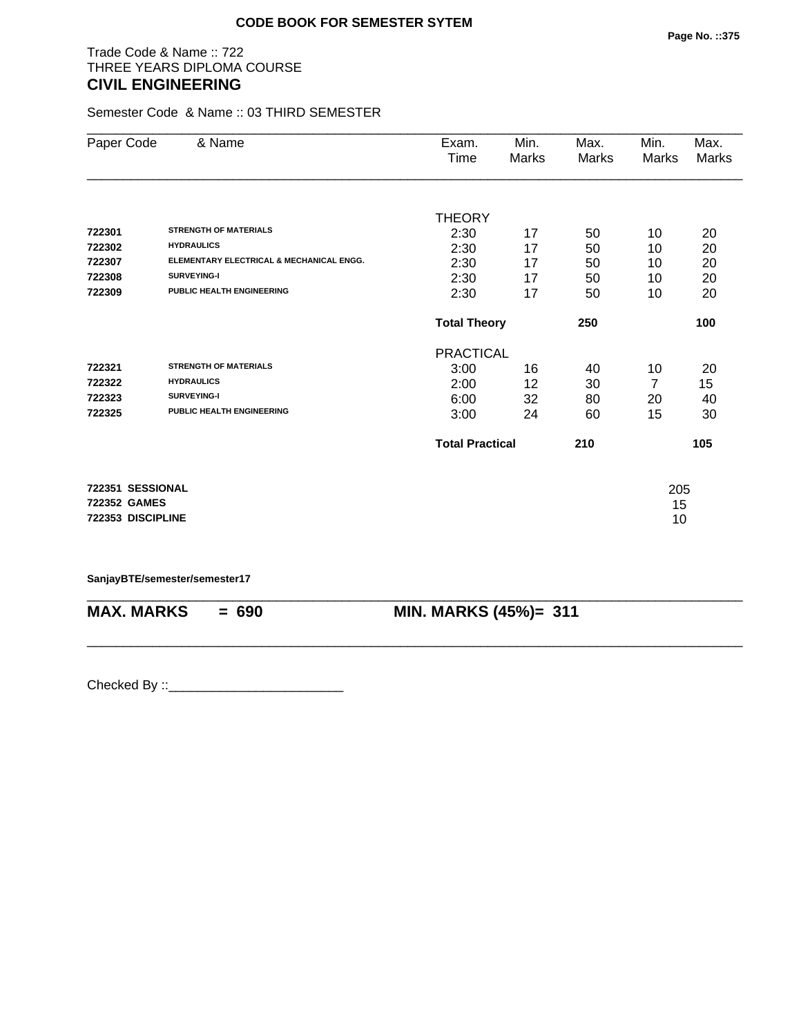# Trade Code & Name :: 722 THREE YEARS DIPLOMA COURSE **CIVIL ENGINEERING**

Semester Code & Name :: 03 THIRD SEMESTER

| Paper Code        | & Name                                   | Exam.                  | Min.  | Max.  | Min.  | Max.  |
|-------------------|------------------------------------------|------------------------|-------|-------|-------|-------|
|                   |                                          | Time                   | Marks | Marks | Marks | Marks |
|                   |                                          |                        |       |       |       |       |
|                   |                                          | <b>THEORY</b>          |       |       |       |       |
| 722301            | <b>STRENGTH OF MATERIALS</b>             | 2:30                   | 17    | 50    | 10    | 20    |
| 722302            | <b>HYDRAULICS</b>                        | 2:30                   | 17    | 50    | 10    | 20    |
| 722307            | ELEMENTARY ELECTRICAL & MECHANICAL ENGG. | 2:30                   | 17    | 50    | 10    | 20    |
| 722308            | SURVEYING-I                              | 2:30                   | 17    | 50    | 10    | 20    |
| 722309            | PUBLIC HEALTH ENGINEERING                | 2:30                   | 17    | 50    | 10    | 20    |
|                   |                                          | <b>Total Theory</b>    |       | 250   |       | 100   |
|                   |                                          | <b>PRACTICAL</b>       |       |       |       |       |
| 722321            | <b>STRENGTH OF MATERIALS</b>             | 3:00                   | 16    | 40    | 10    | 20    |
| 722322            | <b>HYDRAULICS</b>                        | 2:00                   | 12    | 30    | 7     | 15    |
| 722323            | SURVEYING-I                              | 6:00                   | 32    | 80    | 20    | 40    |
| 722325            | <b>PUBLIC HEALTH ENGINEERING</b>         | 3:00                   | 24    | 60    | 15    | 30    |
|                   |                                          | <b>Total Practical</b> |       | 210   |       | 105   |
| 722351 SESSIONAL  |                                          |                        |       |       | 205   |       |
| 722352 GAMES      |                                          |                        |       |       | 15    |       |
| 722353 DISCIPLINE |                                          |                        |       |       | 10    |       |

### **SanjayBTE/semester/semester17**

| <b>MAX. MARKS</b> | $= 690$ | <b>MIN. MARKS (45%)= 311</b> |
|-------------------|---------|------------------------------|

\_\_\_\_\_\_\_\_\_\_\_\_\_\_\_\_\_\_\_\_\_\_\_\_\_\_\_\_\_\_\_\_\_\_\_\_\_\_\_\_\_\_\_\_\_\_\_\_\_\_\_\_\_\_\_\_\_\_\_\_\_\_\_\_\_\_\_\_\_\_\_\_\_\_\_\_\_\_\_\_\_\_\_\_\_\_\_\_\_\_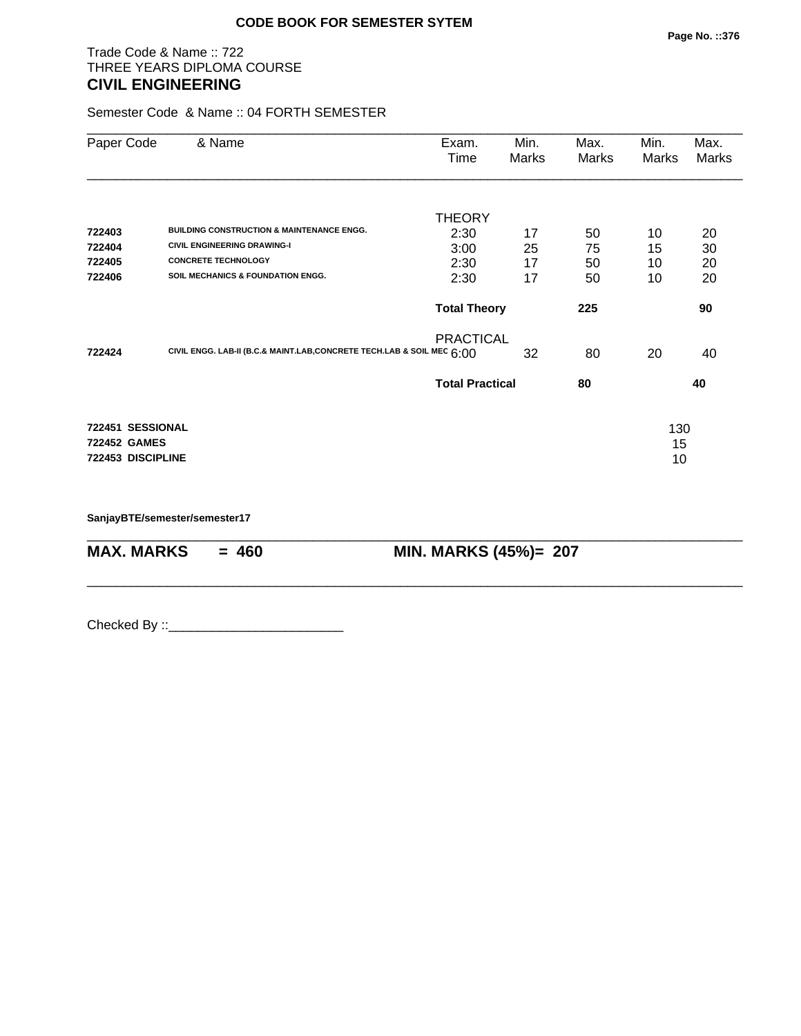# Trade Code & Name :: 722 THREE YEARS DIPLOMA COURSE **CIVIL ENGINEERING**

Semester Code & Name :: 04 FORTH SEMESTER

| Paper Code          | & Name                                                                 | Exam.<br>Time          | Min.<br>Marks | Max.<br>Marks | Min.<br>Marks | Max.<br>Marks |
|---------------------|------------------------------------------------------------------------|------------------------|---------------|---------------|---------------|---------------|
|                     |                                                                        | <b>THEORY</b>          |               |               |               |               |
| 722403              | <b>BUILDING CONSTRUCTION &amp; MAINTENANCE ENGG.</b>                   | 2:30                   | 17            | 50            | 10            | 20            |
| 722404              | <b>CIVIL ENGINEERING DRAWING-I</b>                                     | 3:00                   | 25            | 75            | 15            | 30            |
| 722405              | <b>CONCRETE TECHNOLOGY</b>                                             | 2:30                   | 17            | 50            | 10            | 20            |
| 722406              | <b>SOIL MECHANICS &amp; FOUNDATION ENGG.</b>                           | 2:30                   | 17            | 50            | 10            | 20            |
|                     |                                                                        | <b>Total Theory</b>    |               | 225           |               | 90            |
| 722424              | CIVIL ENGG. LAB-II (B.C.& MAINT.LAB, CONCRETE TECH.LAB & SOIL MEC 6:00 | <b>PRACTICAL</b>       | 32            | 80            | 20            | 40            |
|                     |                                                                        | <b>Total Practical</b> |               | 80            |               | 40            |
| 722451 SESSIONAL    |                                                                        |                        |               |               |               |               |
| <b>722452 GAMES</b> |                                                                        |                        |               |               | 130<br>15     |               |
| 722453 DISCIPLINE   |                                                                        |                        |               |               | 10            |               |
|                     |                                                                        |                        |               |               |               |               |
|                     |                                                                        |                        |               |               |               |               |

\_\_\_\_\_\_\_\_\_\_\_\_\_\_\_\_\_\_\_\_\_\_\_\_\_\_\_\_\_\_\_\_\_\_\_\_\_\_\_\_\_\_\_\_\_\_\_\_\_\_\_\_\_\_\_\_\_\_\_\_\_\_\_\_\_\_\_\_\_\_\_\_\_\_\_\_\_\_\_\_\_\_\_\_\_\_\_\_\_\_

\_\_\_\_\_\_\_\_\_\_\_\_\_\_\_\_\_\_\_\_\_\_\_\_\_\_\_\_\_\_\_\_\_\_\_\_\_\_\_\_\_\_\_\_\_\_\_\_\_\_\_\_\_\_\_\_\_\_\_\_\_\_\_\_\_\_\_\_\_\_\_\_\_\_\_\_\_\_\_\_\_\_\_\_\_\_\_\_\_\_

**SanjayBTE/semester/semester17**

**MAX. MARKS = 460 MIN. MARKS (45%)= 207**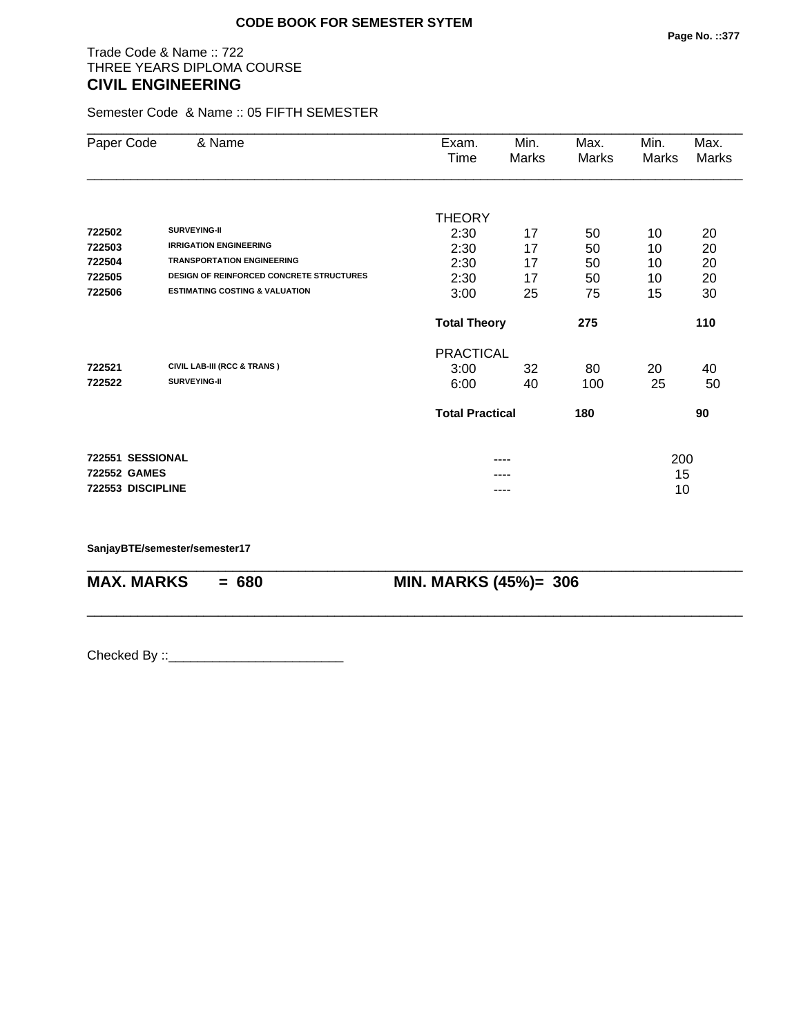# Trade Code & Name :: 722 THREE YEARS DIPLOMA COURSE **CIVIL ENGINEERING**

Semester Code & Name :: 05 FIFTH SEMESTER

| Paper Code          | & Name                                          | Exam.                  | Min.  | Max.  | Min.  | Max.  |
|---------------------|-------------------------------------------------|------------------------|-------|-------|-------|-------|
|                     |                                                 | Time                   | Marks | Marks | Marks | Marks |
|                     |                                                 |                        |       |       |       |       |
|                     |                                                 | <b>THEORY</b>          |       |       |       |       |
| 722502              | SURVEYING-II                                    | 2:30                   | 17    | 50    | 10    | 20    |
| 722503              | <b>IRRIGATION ENGINEERING</b>                   | 2:30                   | 17    | 50    | 10    | 20    |
| 722504              | <b>TRANSPORTATION ENGINEERING</b>               | 2:30                   | 17    | 50    | 10    | 20    |
| 722505              | <b>DESIGN OF REINFORCED CONCRETE STRUCTURES</b> | 2:30                   | 17    | 50    | 10    | 20    |
| 722506              | <b>ESTIMATING COSTING &amp; VALUATION</b>       | 3:00                   | 25    | 75    | 15    | 30    |
|                     |                                                 | <b>Total Theory</b>    |       | 275   |       | 110   |
|                     |                                                 | <b>PRACTICAL</b>       |       |       |       |       |
| 722521              | <b>CIVIL LAB-III (RCC &amp; TRANS)</b>          | 3:00                   | 32    | 80    | 20    | 40    |
| 722522              | SURVEYING-II                                    | 6:00                   | 40    | 100   | 25    | 50    |
|                     |                                                 | <b>Total Practical</b> |       | 180   |       | 90    |
| 722551 SESSIONAL    |                                                 |                        | ----  |       | 200   |       |
| <b>722552 GAMES</b> |                                                 |                        |       |       | 15    |       |
| 722553 DISCIPLINE   |                                                 |                        | ----  |       | 10    |       |

\_\_\_\_\_\_\_\_\_\_\_\_\_\_\_\_\_\_\_\_\_\_\_\_\_\_\_\_\_\_\_\_\_\_\_\_\_\_\_\_\_\_\_\_\_\_\_\_\_\_\_\_\_\_\_\_\_\_\_\_\_\_\_\_\_\_\_\_\_\_\_\_\_\_\_\_\_\_\_\_\_\_\_\_\_\_\_\_\_\_

\_\_\_\_\_\_\_\_\_\_\_\_\_\_\_\_\_\_\_\_\_\_\_\_\_\_\_\_\_\_\_\_\_\_\_\_\_\_\_\_\_\_\_\_\_\_\_\_\_\_\_\_\_\_\_\_\_\_\_\_\_\_\_\_\_\_\_\_\_\_\_\_\_\_\_\_\_\_\_\_\_\_\_\_\_\_\_\_\_\_

**SanjayBTE/semester/semester17**

**MAX. MARKS = 680 MIN. MARKS (45%)= 306**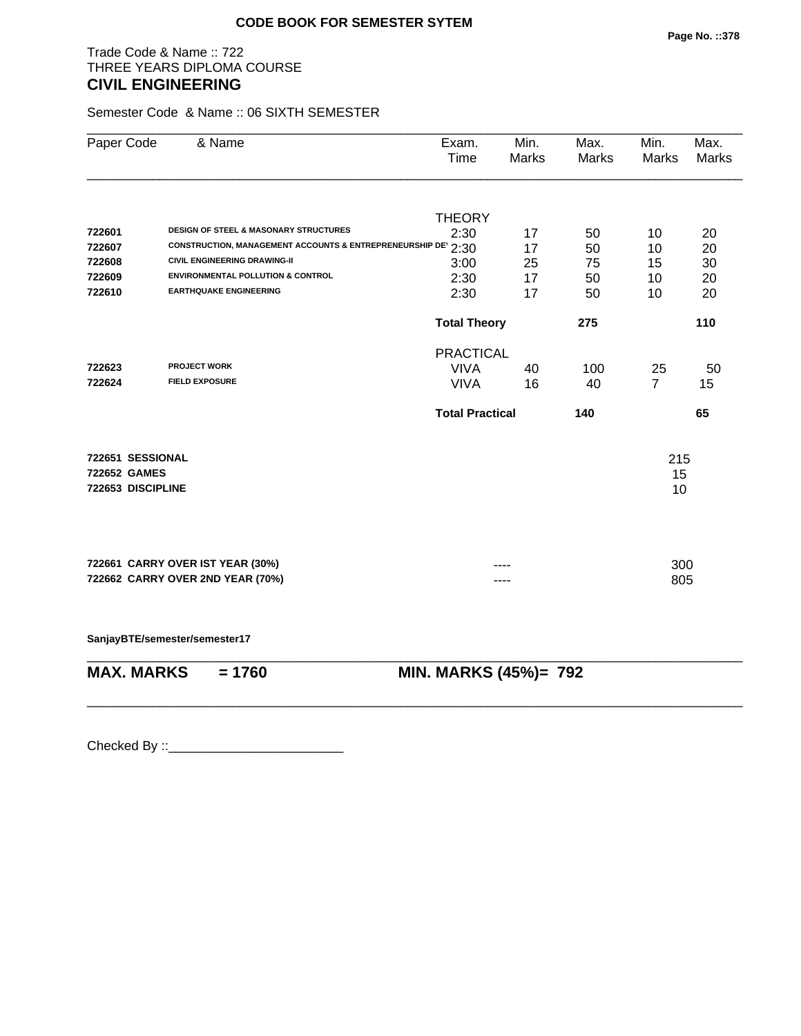# Trade Code & Name :: 722 THREE YEARS DIPLOMA COURSE **CIVIL ENGINEERING**

Semester Code & Name :: 06 SIXTH SEMESTER

| <b>THEORY</b><br>2:30<br>CONSTRUCTION, MANAGEMENT ACCOUNTS & ENTREPRENEURSHIP DE 2:30<br>3:00<br>2:30<br>2:30 | 17<br>17 | 50  |                       |     |
|---------------------------------------------------------------------------------------------------------------|----------|-----|-----------------------|-----|
|                                                                                                               |          |     |                       |     |
|                                                                                                               |          |     | 10                    | 20  |
|                                                                                                               |          | 50  | 10                    | 20  |
|                                                                                                               | 25       | 75  | 15                    | 30  |
|                                                                                                               | 17       | 50  | 10                    | 20  |
|                                                                                                               | 17       | 50  | 10                    | 20  |
| <b>Total Theory</b>                                                                                           |          | 275 |                       | 110 |
| <b>PRACTICAL</b>                                                                                              |          |     |                       |     |
| <b>VIVA</b>                                                                                                   | 40       | 100 | 25                    | 50  |
| <b>VIVA</b>                                                                                                   | 16       | 40  | $\overline{7}$        | 15  |
| <b>Total Practical</b>                                                                                        |          | 140 |                       | 65  |
|                                                                                                               |          |     | 215                   |     |
|                                                                                                               |          |     | 15                    |     |
|                                                                                                               |          |     | 10                    |     |
|                                                                                                               |          |     |                       |     |
|                                                                                                               |          |     | 300                   |     |
|                                                                                                               |          |     | 805                   |     |
|                                                                                                               |          |     |                       |     |
|                                                                                                               |          |     |                       |     |
|                                                                                                               |          |     | MIN. MARKS (45%)= 792 |     |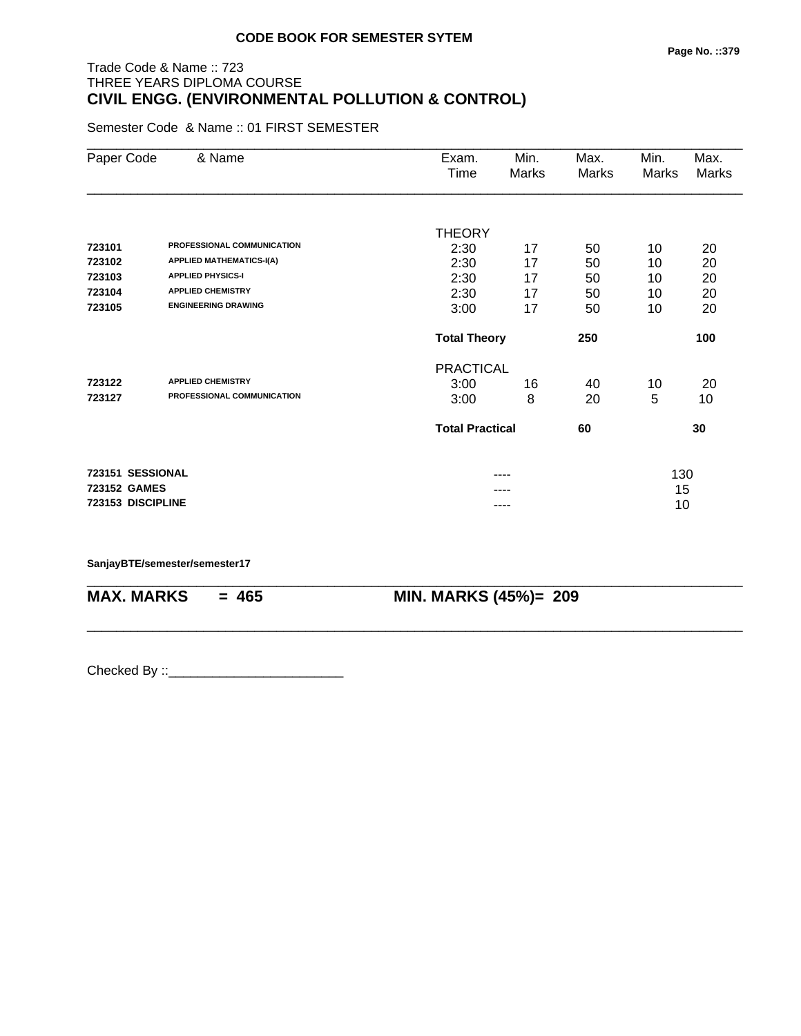# Trade Code & Name :: 723 THREE YEARS DIPLOMA COURSE **CIVIL ENGG. (ENVIRONMENTAL POLLUTION & CONTROL)**

Semester Code & Name :: 01 FIRST SEMESTER

| Paper Code        | & Name                          | Exam.<br>Time          | Min.<br>Marks | Max.<br>Marks | Min.<br>Marks | Max.<br>Marks |
|-------------------|---------------------------------|------------------------|---------------|---------------|---------------|---------------|
|                   |                                 |                        |               |               |               |               |
|                   |                                 | <b>THEORY</b>          |               |               |               |               |
| 723101            | PROFESSIONAL COMMUNICATION      | 2:30                   | 17            | 50            | 10            | 20            |
| 723102            | <b>APPLIED MATHEMATICS-I(A)</b> | 2:30                   | 17            | 50            | 10            | 20            |
| 723103            | <b>APPLIED PHYSICS-I</b>        | 2:30                   | 17            | 50            | 10            | 20            |
| 723104            | <b>APPLIED CHEMISTRY</b>        | 2:30                   | 17            | 50            | 10            | 20            |
| 723105            | <b>ENGINEERING DRAWING</b>      | 3:00                   | 17            | 50            | 10            | 20            |
|                   |                                 | <b>Total Theory</b>    |               | 250           |               | 100           |
|                   |                                 | <b>PRACTICAL</b>       |               |               |               |               |
| 723122            | <b>APPLIED CHEMISTRY</b>        | 3:00                   | 16            | 40            | 10            | 20            |
| 723127            | PROFESSIONAL COMMUNICATION      | 3:00                   | 8             | 20            | 5             | 10            |
|                   |                                 | <b>Total Practical</b> |               | 60            |               | 30            |
| 723151 SESSIONAL  |                                 |                        | ----          |               | 130           |               |
| 723152 GAMES      |                                 |                        |               |               | 15            |               |
| 723153 DISCIPLINE |                                 |                        | ----          |               | 10            |               |

\_\_\_\_\_\_\_\_\_\_\_\_\_\_\_\_\_\_\_\_\_\_\_\_\_\_\_\_\_\_\_\_\_\_\_\_\_\_\_\_\_\_\_\_\_\_\_\_\_\_\_\_\_\_\_\_\_\_\_\_\_\_\_\_\_\_\_\_\_\_\_\_\_\_\_\_\_\_\_\_\_\_\_\_\_\_\_\_\_\_

\_\_\_\_\_\_\_\_\_\_\_\_\_\_\_\_\_\_\_\_\_\_\_\_\_\_\_\_\_\_\_\_\_\_\_\_\_\_\_\_\_\_\_\_\_\_\_\_\_\_\_\_\_\_\_\_\_\_\_\_\_\_\_\_\_\_\_\_\_\_\_\_\_\_\_\_\_\_\_\_\_\_\_\_\_\_\_\_\_\_

#### **SanjayBTE/semester/semester17**

**MAX. MARKS = 465 MIN. MARKS (45%)= 209**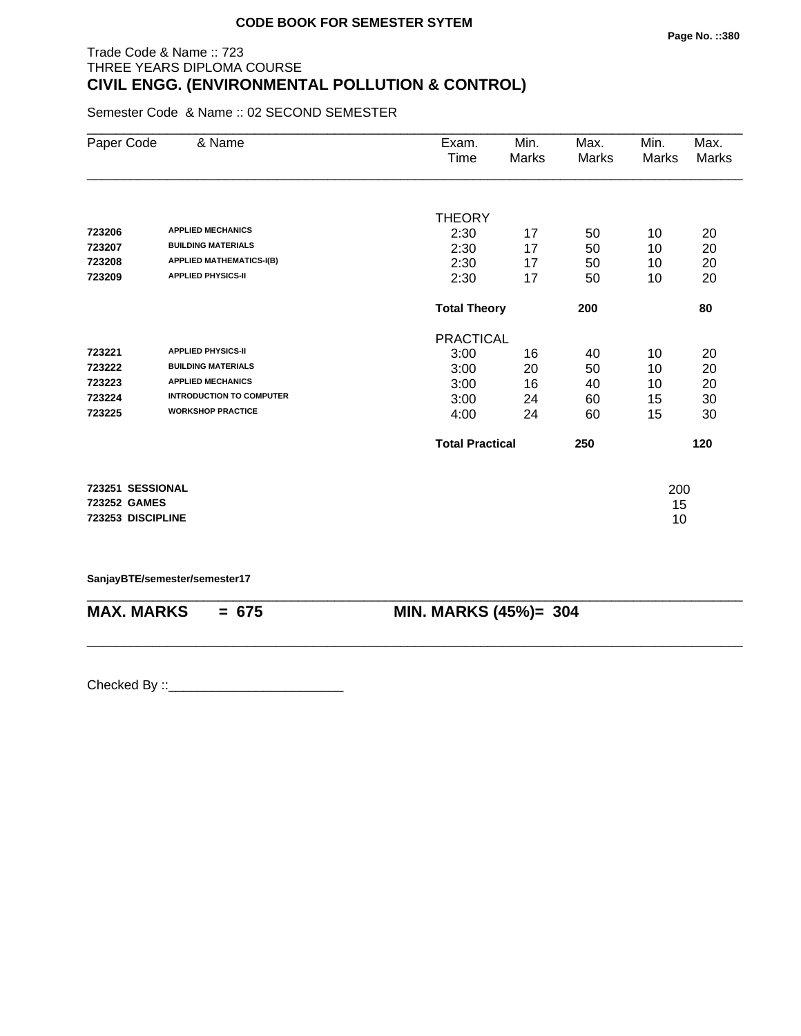# Trade Code & Name :: 723 THREE YEARS DIPLOMA COURSE **CIVIL ENGG. (ENVIRONMENTAL POLLUTION & CONTROL)**

Semester Code & Name :: 02 SECOND SEMESTER

| Paper Code                                            | & Name                                                                                                                                            | Exam.<br>Time                                            | Min.<br>Marks              | Max.<br>Marks              | Min.<br><b>Marks</b>       | Max.<br>Marks              |
|-------------------------------------------------------|---------------------------------------------------------------------------------------------------------------------------------------------------|----------------------------------------------------------|----------------------------|----------------------------|----------------------------|----------------------------|
| 723206<br>723207<br>723208<br>723209                  | <b>APPLIED MECHANICS</b><br><b>BUILDING MATERIALS</b><br><b>APPLIED MATHEMATICS-I(B)</b><br><b>APPLIED PHYSICS-II</b>                             | <b>THEORY</b><br>2:30<br>2:30<br>2:30<br>2:30            | 17<br>17<br>17<br>17       | 50<br>50<br>50<br>50       | 10<br>10<br>10<br>10       | 20<br>20<br>20<br>20       |
|                                                       |                                                                                                                                                   | <b>Total Theory</b>                                      |                            | 200                        |                            | 80                         |
| 723221<br>723222<br>723223<br>723224<br>723225        | <b>APPLIED PHYSICS-II</b><br><b>BUILDING MATERIALS</b><br><b>APPLIED MECHANICS</b><br><b>INTRODUCTION TO COMPUTER</b><br><b>WORKSHOP PRACTICE</b> | <b>PRACTICAL</b><br>3:00<br>3:00<br>3:00<br>3:00<br>4:00 | 16<br>20<br>16<br>24<br>24 | 40<br>50<br>40<br>60<br>60 | 10<br>10<br>10<br>15<br>15 | 20<br>20<br>20<br>30<br>30 |
|                                                       |                                                                                                                                                   | <b>Total Practical</b>                                   |                            | 250                        |                            | 120                        |
| 723251 SESSIONAL<br>723252 GAMES<br>723253 DISCIPLINE |                                                                                                                                                   |                                                          |                            |                            | 200<br>15<br>10            |                            |

**SanjayBTE/semester/semester17**

| $MAX. \, MARKS = 675$ | <b>MIN. MARKS (45%)= 304</b> |
|-----------------------|------------------------------|
|                       |                              |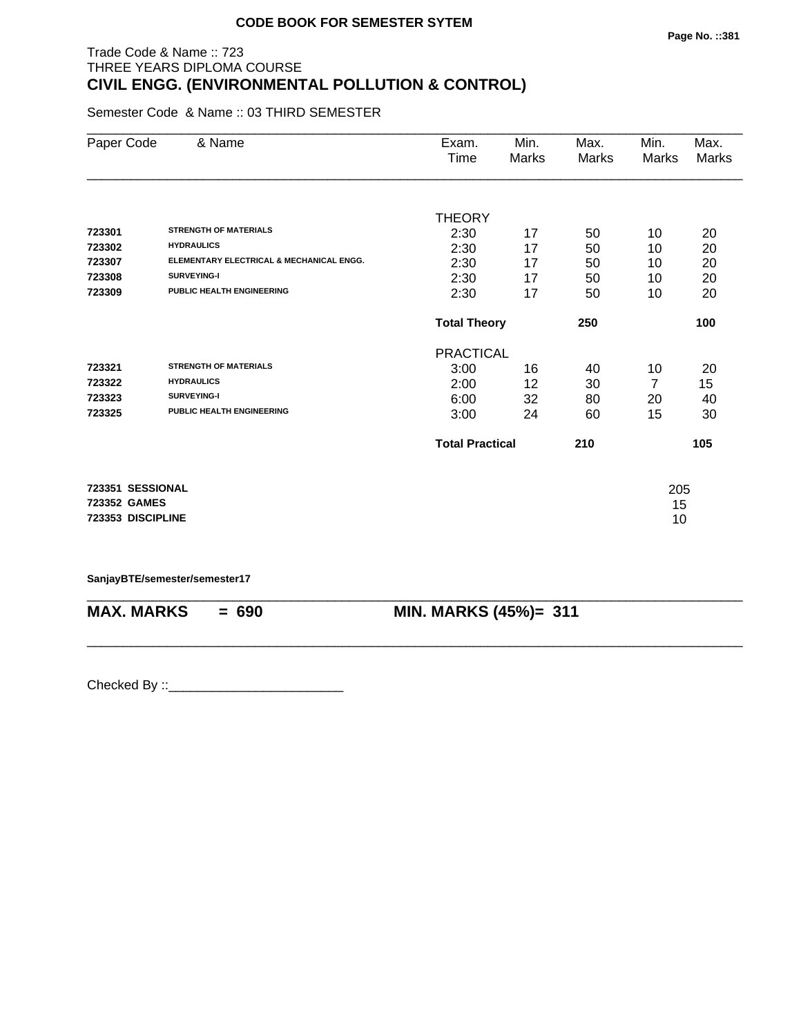# Trade Code & Name :: 723 THREE YEARS DIPLOMA COURSE **CIVIL ENGG. (ENVIRONMENTAL POLLUTION & CONTROL)**

Semester Code & Name :: 03 THIRD SEMESTER

| Paper Code        | & Name                                   | Exam.                  | Min.  | Max.  | Min.  | Max.  |
|-------------------|------------------------------------------|------------------------|-------|-------|-------|-------|
|                   |                                          | Time                   | Marks | Marks | Marks | Marks |
|                   |                                          |                        |       |       |       |       |
|                   |                                          | <b>THEORY</b>          |       |       |       |       |
| 723301            | <b>STRENGTH OF MATERIALS</b>             | 2:30                   | 17    | 50    | 10    | 20    |
| 723302            | <b>HYDRAULICS</b>                        | 2:30                   | 17    | 50    | 10    | 20    |
| 723307            | ELEMENTARY ELECTRICAL & MECHANICAL ENGG. | 2:30                   | 17    | 50    | 10    | 20    |
| 723308            | <b>SURVEYING-I</b>                       | 2:30                   | 17    | 50    | 10    | 20    |
| 723309            | <b>PUBLIC HEALTH ENGINEERING</b>         | 2:30                   | 17    | 50    | 10    | 20    |
|                   |                                          | <b>Total Theory</b>    |       | 250   |       | 100   |
|                   |                                          | <b>PRACTICAL</b>       |       |       |       |       |
| 723321            | <b>STRENGTH OF MATERIALS</b>             | 3:00                   | 16    | 40    | 10    | 20    |
| 723322            | <b>HYDRAULICS</b>                        | 2:00                   | 12    | 30    | 7     | 15    |
| 723323            | SURVEYING-I                              | 6:00                   | 32    | 80    | 20    | 40    |
| 723325            | <b>PUBLIC HEALTH ENGINEERING</b>         | 3:00                   | 24    | 60    | 15    | 30    |
|                   |                                          | <b>Total Practical</b> |       | 210   |       | 105   |
| 723351 SESSIONAL  |                                          |                        |       |       | 205   |       |
| 723352 GAMES      |                                          |                        |       |       | 15    |       |
| 723353 DISCIPLINE |                                          |                        |       |       | 10    |       |
|                   |                                          |                        |       |       |       |       |

**SanjayBTE/semester/semester17**

| <b>MAX. MARKS</b> | $= 690$ | <b>MIN. MARKS (45%)= 311</b> |
|-------------------|---------|------------------------------|

\_\_\_\_\_\_\_\_\_\_\_\_\_\_\_\_\_\_\_\_\_\_\_\_\_\_\_\_\_\_\_\_\_\_\_\_\_\_\_\_\_\_\_\_\_\_\_\_\_\_\_\_\_\_\_\_\_\_\_\_\_\_\_\_\_\_\_\_\_\_\_\_\_\_\_\_\_\_\_\_\_\_\_\_\_\_\_\_\_\_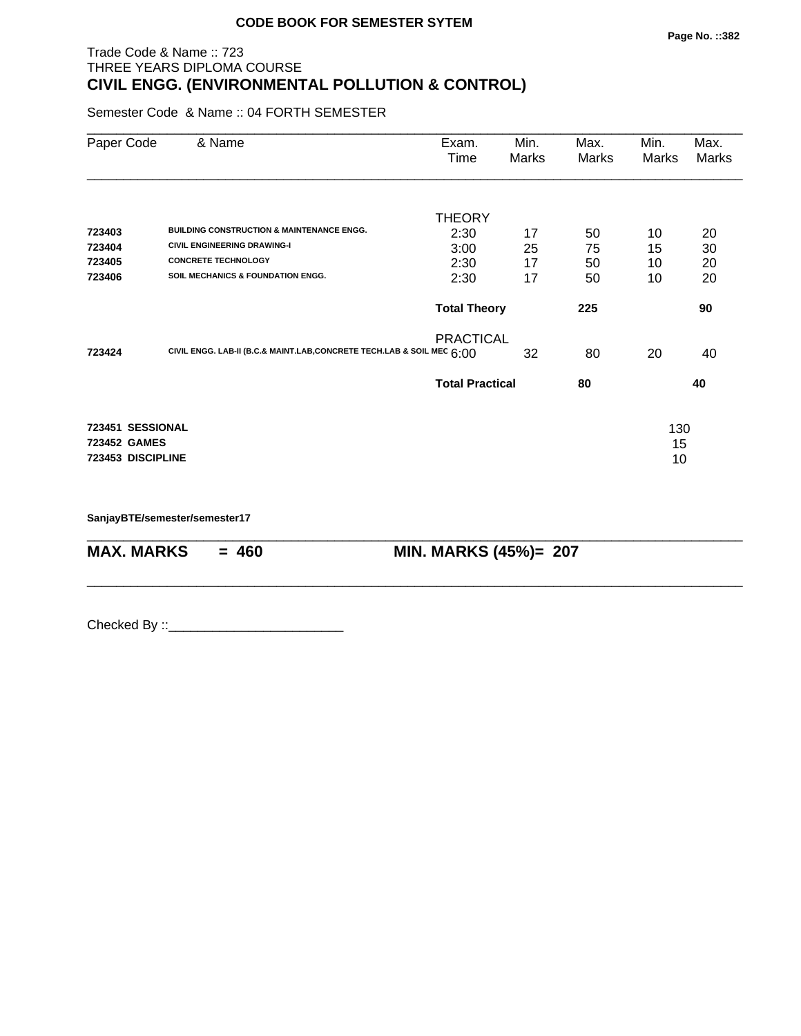# Trade Code & Name :: 723 THREE YEARS DIPLOMA COURSE **CIVIL ENGG. (ENVIRONMENTAL POLLUTION & CONTROL)**

Semester Code & Name :: 04 FORTH SEMESTER

| Paper Code        | & Name                                                                   | Exam.<br>Time          | Min.<br>Marks | Max.<br>Marks | Min.<br>Marks | Max.<br>Marks |
|-------------------|--------------------------------------------------------------------------|------------------------|---------------|---------------|---------------|---------------|
|                   |                                                                          | <b>THEORY</b>          |               |               |               |               |
| 723403            | <b>BUILDING CONSTRUCTION &amp; MAINTENANCE ENGG.</b>                     | 2:30                   | 17            | 50            | 10            | 20            |
| 723404            | <b>CIVIL ENGINEERING DRAWING-I</b>                                       | 3:00                   | 25            | 75            | 15            | 30            |
| 723405            | <b>CONCRETE TECHNOLOGY</b>                                               | 2:30                   | 17            | 50            | 10            | 20            |
| 723406            | <b>SOIL MECHANICS &amp; FOUNDATION ENGG.</b>                             | 2:30                   | 17            | 50            | 10            | 20            |
|                   |                                                                          | <b>Total Theory</b>    |               | 225           |               | 90            |
|                   |                                                                          | <b>PRACTICAL</b>       |               |               |               |               |
| 723424            | CIVIL ENGG. LAB-II (B.C.& MAINT.LAB, CONCRETE TECH.LAB & SOIL MEC $6:00$ |                        | 32            | 80            | 20            | 40            |
|                   |                                                                          | <b>Total Practical</b> |               | 80            |               | 40            |
| 723451 SESSIONAL  |                                                                          |                        |               |               | 130           |               |
| 723452 GAMES      |                                                                          |                        |               |               | 15            |               |
| 723453 DISCIPLINE |                                                                          |                        |               |               | 10            |               |
|                   |                                                                          |                        |               |               |               |               |
|                   |                                                                          |                        |               |               |               |               |

\_\_\_\_\_\_\_\_\_\_\_\_\_\_\_\_\_\_\_\_\_\_\_\_\_\_\_\_\_\_\_\_\_\_\_\_\_\_\_\_\_\_\_\_\_\_\_\_\_\_\_\_\_\_\_\_\_\_\_\_\_\_\_\_\_\_\_\_\_\_\_\_\_\_\_\_\_\_\_\_\_\_\_\_\_\_\_\_\_\_

\_\_\_\_\_\_\_\_\_\_\_\_\_\_\_\_\_\_\_\_\_\_\_\_\_\_\_\_\_\_\_\_\_\_\_\_\_\_\_\_\_\_\_\_\_\_\_\_\_\_\_\_\_\_\_\_\_\_\_\_\_\_\_\_\_\_\_\_\_\_\_\_\_\_\_\_\_\_\_\_\_\_\_\_\_\_\_\_\_\_

**SanjayBTE/semester/semester17**

**MAX. MARKS = 460 MIN. MARKS (45%)= 207**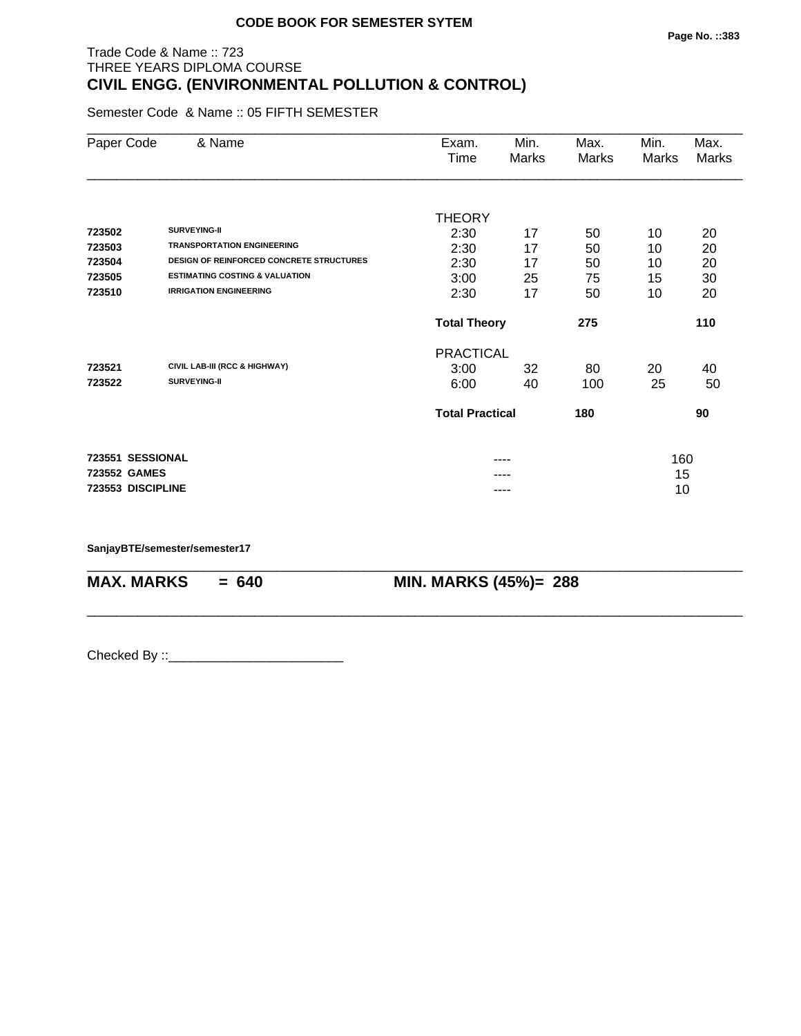# Trade Code & Name :: 723 THREE YEARS DIPLOMA COURSE **CIVIL ENGG. (ENVIRONMENTAL POLLUTION & CONTROL)**

Semester Code & Name :: 05 FIFTH SEMESTER

| Paper Code        | & Name                                          | Exam.                  | Min.  | Max.  | Min.  | Max.  |
|-------------------|-------------------------------------------------|------------------------|-------|-------|-------|-------|
|                   |                                                 | Time                   | Marks | Marks | Marks | Marks |
|                   |                                                 |                        |       |       |       |       |
|                   |                                                 | <b>THEORY</b>          |       |       |       |       |
| 723502            | <b>SURVEYING-II</b>                             | 2:30                   | 17    | 50    | 10    | 20    |
| 723503            | <b>TRANSPORTATION ENGINEERING</b>               | 2:30                   | 17    | 50    | 10    | 20    |
| 723504            | <b>DESIGN OF REINFORCED CONCRETE STRUCTURES</b> | 2:30                   | 17    | 50    | 10    | 20    |
| 723505            | <b>ESTIMATING COSTING &amp; VALUATION</b>       | 3:00                   | 25    | 75    | 15    | 30    |
| 723510            | <b>IRRIGATION ENGINEERING</b>                   | 2:30                   | 17    | 50    | 10    | 20    |
|                   |                                                 | <b>Total Theory</b>    |       | 275   |       | 110   |
|                   |                                                 | <b>PRACTICAL</b>       |       |       |       |       |
| 723521            | CIVIL LAB-III (RCC & HIGHWAY)                   | 3:00                   | 32    | 80    | 20    | 40    |
| 723522            | <b>SURVEYING-II</b>                             | 6:00                   | 40    | 100   | 25    | 50    |
|                   |                                                 | <b>Total Practical</b> |       | 180   |       | 90    |
| 723551 SESSIONAL  |                                                 |                        | ----  |       | 160   |       |
| 723552 GAMES      |                                                 |                        |       |       | 15    |       |
| 723553 DISCIPLINE |                                                 |                        | ----  |       | 10    |       |
|                   |                                                 |                        |       |       |       |       |

\_\_\_\_\_\_\_\_\_\_\_\_\_\_\_\_\_\_\_\_\_\_\_\_\_\_\_\_\_\_\_\_\_\_\_\_\_\_\_\_\_\_\_\_\_\_\_\_\_\_\_\_\_\_\_\_\_\_\_\_\_\_\_\_\_\_\_\_\_\_\_\_\_\_\_\_\_\_\_\_\_\_\_\_\_\_\_\_\_\_

\_\_\_\_\_\_\_\_\_\_\_\_\_\_\_\_\_\_\_\_\_\_\_\_\_\_\_\_\_\_\_\_\_\_\_\_\_\_\_\_\_\_\_\_\_\_\_\_\_\_\_\_\_\_\_\_\_\_\_\_\_\_\_\_\_\_\_\_\_\_\_\_\_\_\_\_\_\_\_\_\_\_\_\_\_\_\_\_\_\_

**SanjayBTE/semester/semester17**

**MAX. MARKS = 640 MIN. MARKS (45%)= 288**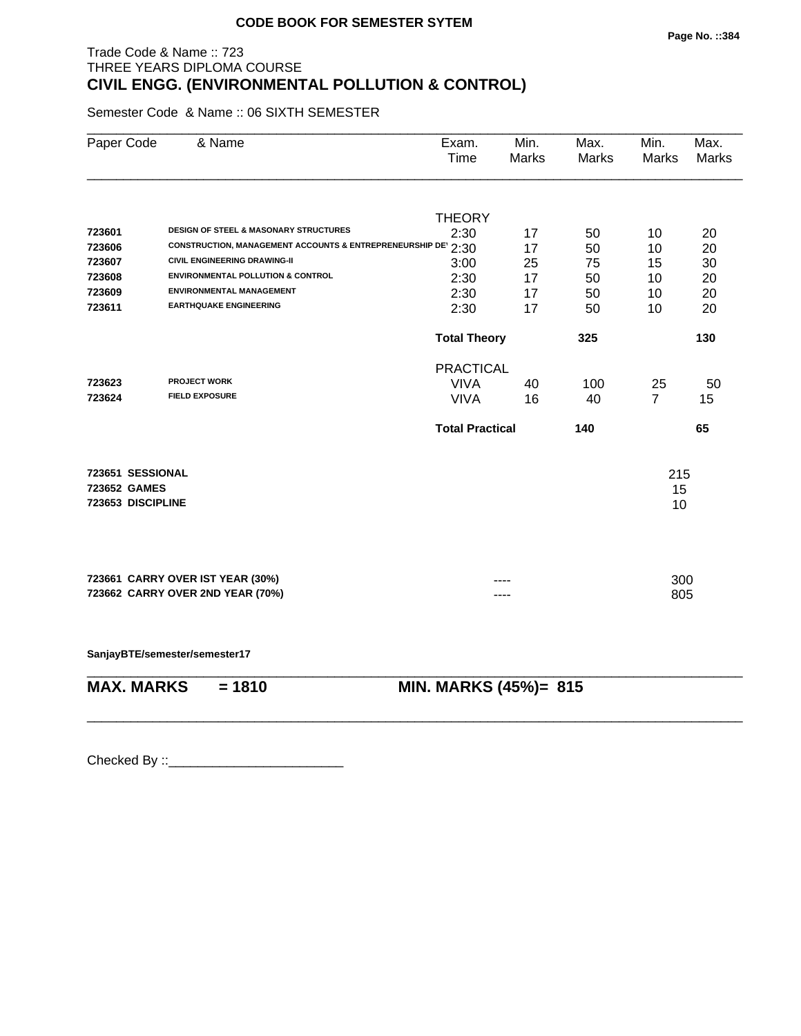# Trade Code & Name :: 723 THREE YEARS DIPLOMA COURSE **CIVIL ENGG. (ENVIRONMENTAL POLLUTION & CONTROL)**

Semester Code & Name :: 06 SIXTH SEMESTER

| Paper Code                       | & Name                                                       | Exam.<br>Time          | Min.<br>Marks | Max.<br><b>Marks</b> | Min.<br>Marks  | Max.<br><b>Marks</b> |
|----------------------------------|--------------------------------------------------------------|------------------------|---------------|----------------------|----------------|----------------------|
|                                  |                                                              |                        |               |                      |                |                      |
| 723601                           | <b>DESIGN OF STEEL &amp; MASONARY STRUCTURES</b>             | <b>THEORY</b>          |               |                      |                |                      |
| 723606                           | CONSTRUCTION, MANAGEMENT ACCOUNTS & ENTREPRENEURSHIP DE 2:30 | 2:30                   | 17            | 50                   | 10             | 20                   |
| 723607                           | <b>CIVIL ENGINEERING DRAWING-II</b>                          |                        | 17            | 50                   | 10             | 20                   |
| 723608                           | <b>ENVIRONMENTAL POLLUTION &amp; CONTROL</b>                 | 3:00                   | 25            | 75                   | 15             | 30                   |
| 723609                           | <b>ENVIRONMENTAL MANAGEMENT</b>                              | 2:30                   | 17            | 50                   | 10             | 20                   |
| 723611                           | <b>EARTHQUAKE ENGINEERING</b>                                | 2:30<br>2:30           | 17<br>17      | 50<br>50             | 10<br>10       | 20<br>20             |
|                                  |                                                              |                        |               |                      |                |                      |
|                                  |                                                              | <b>Total Theory</b>    |               | 325                  |                | 130                  |
|                                  |                                                              | <b>PRACTICAL</b>       |               |                      |                |                      |
| 723623                           | <b>PROJECT WORK</b>                                          | <b>VIVA</b>            | 40            | 100                  | 25             | 50                   |
| 723624                           | <b>FIELD EXPOSURE</b>                                        | <b>VIVA</b>            | 16            | 40                   | $\overline{7}$ | 15                   |
|                                  |                                                              | <b>Total Practical</b> |               | 140                  |                | 65                   |
|                                  |                                                              |                        |               |                      |                |                      |
| 723651 SESSIONAL<br>723652 GAMES |                                                              |                        |               |                      | 215            |                      |
| 723653 DISCIPLINE                |                                                              |                        |               |                      | 15             |                      |
|                                  |                                                              |                        |               |                      | 10             |                      |
|                                  |                                                              |                        |               |                      |                |                      |
|                                  | 723661 CARRY OVER IST YEAR (30%)                             |                        |               |                      | 300            |                      |
|                                  | 723662 CARRY OVER 2ND YEAR (70%)                             |                        |               |                      | 805            |                      |
|                                  |                                                              |                        |               |                      |                |                      |
|                                  |                                                              |                        |               |                      |                |                      |
|                                  |                                                              |                        |               |                      |                |                      |

\_\_\_\_\_\_\_\_\_\_\_\_\_\_\_\_\_\_\_\_\_\_\_\_\_\_\_\_\_\_\_\_\_\_\_\_\_\_\_\_\_\_\_\_\_\_\_\_\_\_\_\_\_\_\_\_\_\_\_\_\_\_\_\_\_\_\_\_\_\_\_\_\_\_\_\_\_\_\_\_\_\_\_\_\_\_\_\_\_\_

\_\_\_\_\_\_\_\_\_\_\_\_\_\_\_\_\_\_\_\_\_\_\_\_\_\_\_\_\_\_\_\_\_\_\_\_\_\_\_\_\_\_\_\_\_\_\_\_\_\_\_\_\_\_\_\_\_\_\_\_\_\_\_\_\_\_\_\_\_\_\_\_\_\_\_\_\_\_\_\_\_\_\_\_\_\_\_\_\_\_

**SanjayBTE/semester/semester17**

| <b>MAX. MARKS</b> | $= 1810$ | <b>MIN. MA</b> |
|-------------------|----------|----------------|
|                   |          |                |

**RKS (45%)= 815**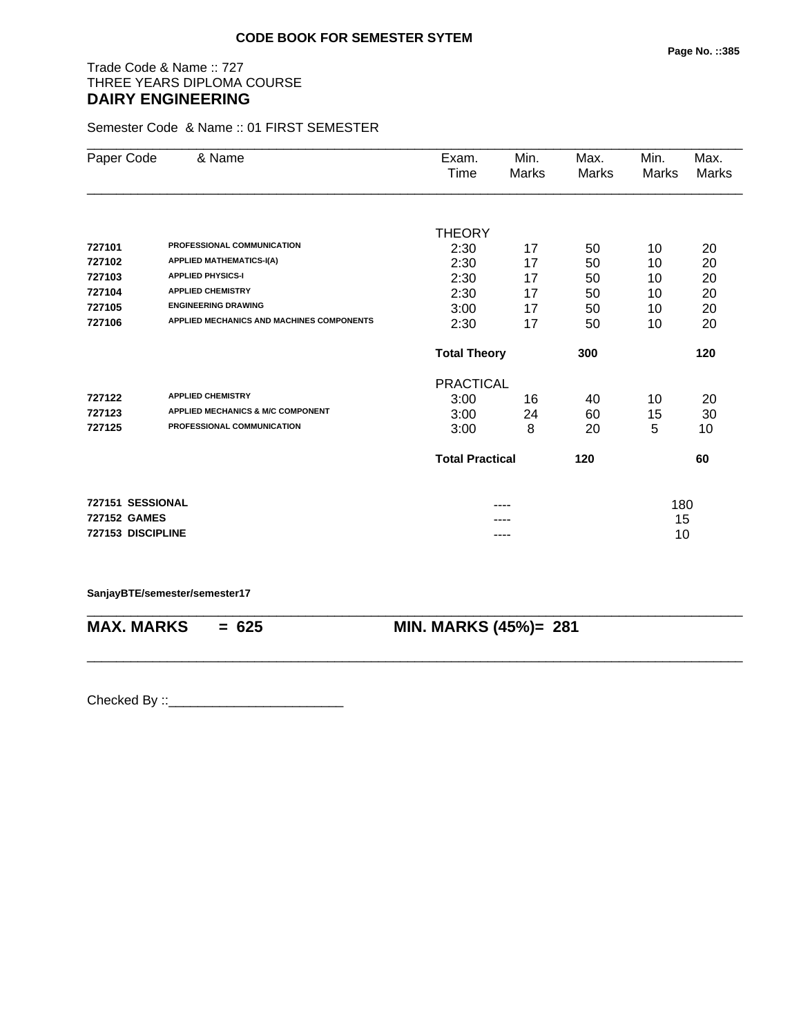# Trade Code & Name :: 727 THREE YEARS DIPLOMA COURSE **DAIRY ENGINEERING**

Semester Code & Name :: 01 FIRST SEMESTER

| Paper Code          | & Name                                       | Exam.                  | Min.         | Max.         | Min.  | Max.  |
|---------------------|----------------------------------------------|------------------------|--------------|--------------|-------|-------|
|                     |                                              | Time                   | <b>Marks</b> | <b>Marks</b> | Marks | Marks |
|                     |                                              |                        |              |              |       |       |
|                     |                                              | <b>THEORY</b>          |              |              |       |       |
| 727101              | PROFESSIONAL COMMUNICATION                   | 2:30                   | 17           | 50           | 10    | 20    |
| 727102              | <b>APPLIED MATHEMATICS-I(A)</b>              | 2:30                   | 17           | 50           | 10    | 20    |
| 727103              | <b>APPLIED PHYSICS-I</b>                     | 2:30                   | 17           | 50           | 10    | 20    |
| 727104              | <b>APPLIED CHEMISTRY</b>                     | 2:30                   | 17           | 50           | 10    | 20    |
| 727105              | <b>ENGINEERING DRAWING</b>                   | 3:00                   | 17           | 50           | 10    | 20    |
| 727106              | APPLIED MECHANICS AND MACHINES COMPONENTS    | 2:30                   | 17           | 50           | 10    | 20    |
|                     |                                              | <b>Total Theory</b>    |              | 300          |       | 120   |
|                     |                                              | <b>PRACTICAL</b>       |              |              |       |       |
| 727122              | <b>APPLIED CHEMISTRY</b>                     | 3:00                   | 16           | 40           | 10    | 20    |
| 727123              | <b>APPLIED MECHANICS &amp; M/C COMPONENT</b> | 3:00                   | 24           | 60           | 15    | 30    |
| 727125              | PROFESSIONAL COMMUNICATION                   | 3:00                   | 8            | 20           | 5     | 10    |
|                     |                                              | <b>Total Practical</b> |              | 120          |       | 60    |
| 727151 SESSIONAL    |                                              |                        |              |              | 180   |       |
| <b>727152 GAMES</b> |                                              |                        |              |              | 15    |       |
| 727153 DISCIPLINE   |                                              |                        | ----         |              | 10    |       |
|                     |                                              |                        |              |              |       |       |

**SanjayBTE/semester/semester17**

\_\_\_\_\_\_\_\_\_\_\_\_\_\_\_\_\_\_\_\_\_\_\_\_\_\_\_\_\_\_\_\_\_\_\_\_\_\_\_\_\_\_\_\_\_\_\_\_\_\_\_\_\_\_\_\_\_\_\_\_\_\_\_\_\_\_\_\_\_\_\_\_\_\_\_\_\_\_\_\_\_\_\_\_\_\_\_\_\_\_ **MAX. MARKS = 625 MIN. MARKS (45%)= 281**

\_\_\_\_\_\_\_\_\_\_\_\_\_\_\_\_\_\_\_\_\_\_\_\_\_\_\_\_\_\_\_\_\_\_\_\_\_\_\_\_\_\_\_\_\_\_\_\_\_\_\_\_\_\_\_\_\_\_\_\_\_\_\_\_\_\_\_\_\_\_\_\_\_\_\_\_\_\_\_\_\_\_\_\_\_\_\_\_\_\_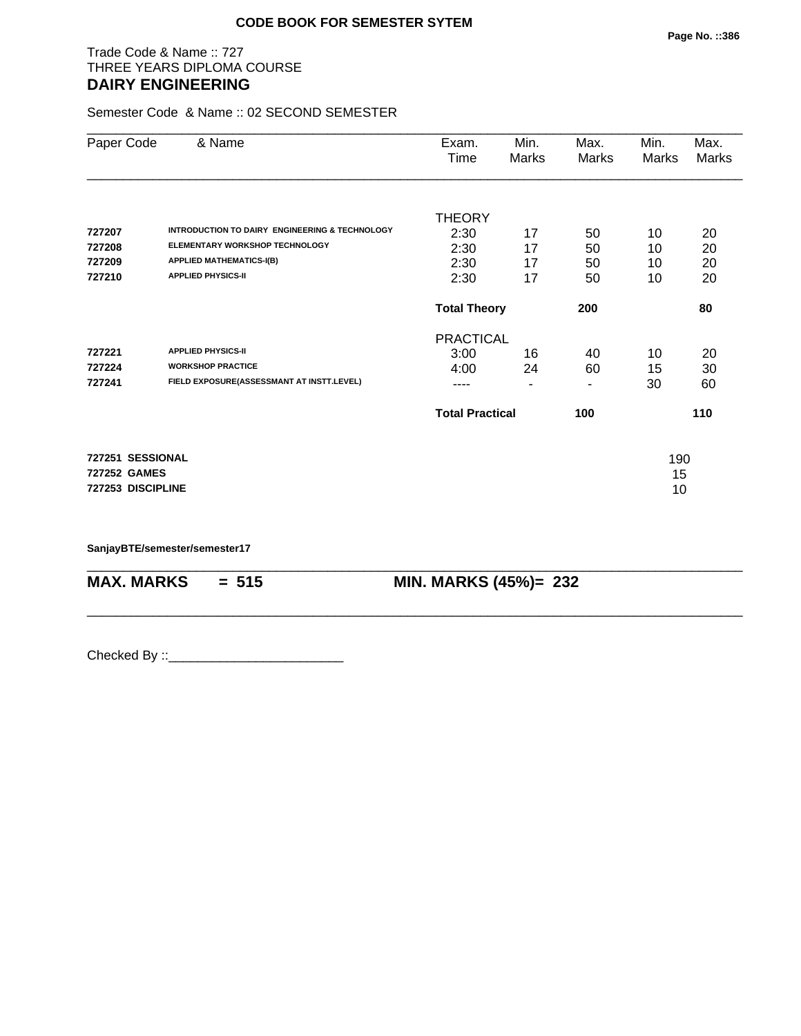# Trade Code & Name :: 727 THREE YEARS DIPLOMA COURSE **DAIRY ENGINEERING**

Semester Code & Name :: 02 SECOND SEMESTER

| Paper Code          | & Name                                         | Exam.<br>Time          | Min.<br>Marks            | Max.<br>Marks | Min.<br><b>Marks</b> | Max.<br>Marks |
|---------------------|------------------------------------------------|------------------------|--------------------------|---------------|----------------------|---------------|
|                     |                                                | <b>THEORY</b>          |                          |               |                      |               |
| 727207              | INTRODUCTION TO DAIRY ENGINEERING & TECHNOLOGY | 2:30                   | 17                       | 50            | 10                   | 20            |
| 727208              | ELEMENTARY WORKSHOP TECHNOLOGY                 | 2:30                   | 17                       | 50            | 10                   | 20            |
| 727209              | <b>APPLIED MATHEMATICS-I(B)</b>                | 2:30                   | 17                       | 50            | 10                   | 20            |
| 727210              | <b>APPLIED PHYSICS-II</b>                      | 2:30                   | 17                       | 50            | 10                   | 20            |
|                     |                                                | <b>Total Theory</b>    |                          | 200           |                      | 80            |
|                     |                                                | <b>PRACTICAL</b>       |                          |               |                      |               |
| 727221              | <b>APPLIED PHYSICS-II</b>                      | 3:00                   | 16                       | 40            | 10                   | 20            |
| 727224              | <b>WORKSHOP PRACTICE</b>                       | 4:00                   | 24                       | 60            | 15                   | 30            |
| 727241              | FIELD EXPOSURE(ASSESSMANT AT INSTT.LEVEL)      | ----                   | $\overline{\phantom{a}}$ | ٠             | 30                   | 60            |
|                     |                                                | <b>Total Practical</b> |                          | 100           |                      | 110           |
| 727251 SESSIONAL    |                                                |                        |                          |               | 190                  |               |
| <b>727252 GAMES</b> |                                                |                        |                          |               | 15                   |               |
| 727253 DISCIPLINE   |                                                |                        |                          |               | 10                   |               |

\_\_\_\_\_\_\_\_\_\_\_\_\_\_\_\_\_\_\_\_\_\_\_\_\_\_\_\_\_\_\_\_\_\_\_\_\_\_\_\_\_\_\_\_\_\_\_\_\_\_\_\_\_\_\_\_\_\_\_\_\_\_\_\_\_\_\_\_\_\_\_\_\_\_\_\_\_\_\_\_\_\_\_\_\_\_\_\_\_\_

\_\_\_\_\_\_\_\_\_\_\_\_\_\_\_\_\_\_\_\_\_\_\_\_\_\_\_\_\_\_\_\_\_\_\_\_\_\_\_\_\_\_\_\_\_\_\_\_\_\_\_\_\_\_\_\_\_\_\_\_\_\_\_\_\_\_\_\_\_\_\_\_\_\_\_\_\_\_\_\_\_\_\_\_\_\_\_\_\_\_

**SanjayBTE/semester/semester17**

**MAX. MARKS = 515 MIN. MARKS (45%)= 232**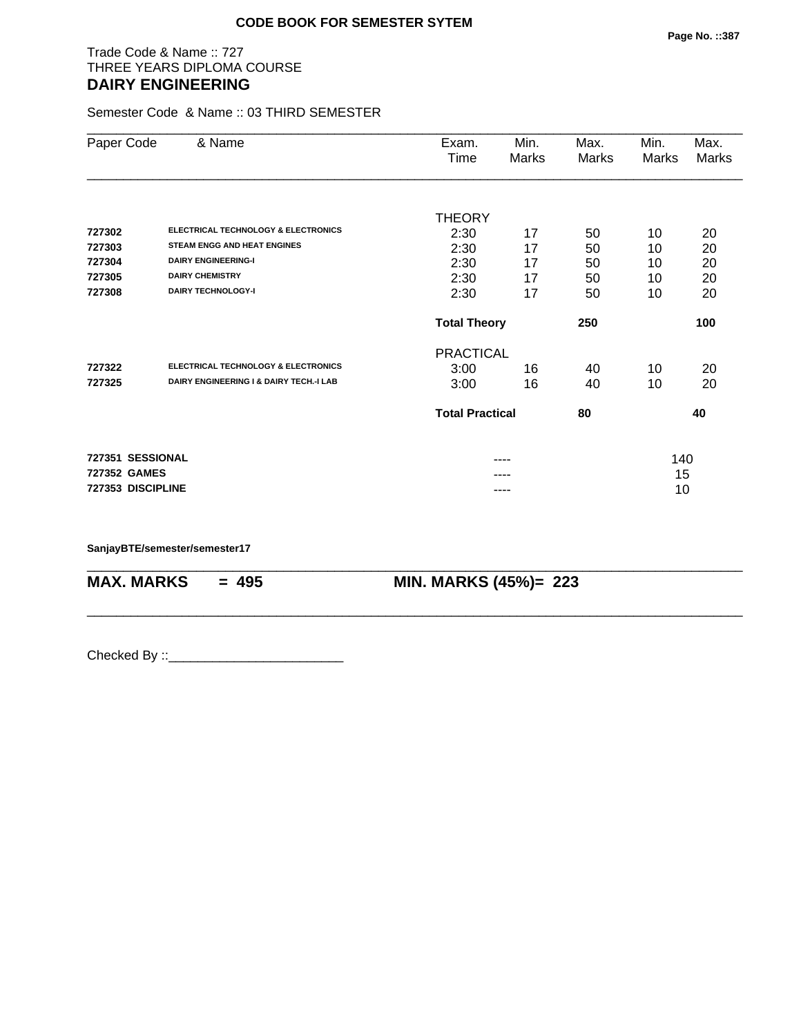# Trade Code & Name :: 727 THREE YEARS DIPLOMA COURSE **DAIRY ENGINEERING**

Semester Code & Name :: 03 THIRD SEMESTER

| Paper Code        | & Name                                         | Exam.<br>Time          | Min.<br>Marks | Max.<br>Marks | Min.<br>Marks | Max.<br>Marks |
|-------------------|------------------------------------------------|------------------------|---------------|---------------|---------------|---------------|
|                   |                                                |                        |               |               |               |               |
|                   |                                                | <b>THEORY</b>          |               |               |               |               |
| 727302            | <b>ELECTRICAL TECHNOLOGY &amp; ELECTRONICS</b> | 2:30                   | 17            | 50            | 10            | 20            |
| 727303            | <b>STEAM ENGG AND HEAT ENGINES</b>             | 2:30                   | 17            | 50            | 10            | 20            |
| 727304            | <b>DAIRY ENGINEERING-I</b>                     | 2:30                   | 17            | 50            | 10            | 20            |
| 727305            | <b>DAIRY CHEMISTRY</b>                         | 2:30                   | 17            | 50            | 10            | 20            |
| 727308            | <b>DAIRY TECHNOLOGY-I</b>                      | 2:30                   | 17            | 50            | 10            | 20            |
|                   |                                                | <b>Total Theory</b>    |               | 250           |               | 100           |
|                   |                                                | <b>PRACTICAL</b>       |               |               |               |               |
| 727322            | <b>ELECTRICAL TECHNOLOGY &amp; ELECTRONICS</b> | 3:00                   | 16            | 40            | 10            | 20            |
| 727325            | DAIRY ENGINEERING I & DAIRY TECH.-I LAB        | 3:00                   | 16            | 40            | 10            | 20            |
|                   |                                                | <b>Total Practical</b> |               | 80            |               | 40            |
| 727351 SESSIONAL  |                                                |                        |               |               | 140           |               |
| 727352 GAMES      |                                                |                        |               |               | 15            |               |
| 727353 DISCIPLINE |                                                |                        |               |               | 10            |               |

\_\_\_\_\_\_\_\_\_\_\_\_\_\_\_\_\_\_\_\_\_\_\_\_\_\_\_\_\_\_\_\_\_\_\_\_\_\_\_\_\_\_\_\_\_\_\_\_\_\_\_\_\_\_\_\_\_\_\_\_\_\_\_\_\_\_\_\_\_\_\_\_\_\_\_\_\_\_\_\_\_\_\_\_\_\_\_\_\_\_

\_\_\_\_\_\_\_\_\_\_\_\_\_\_\_\_\_\_\_\_\_\_\_\_\_\_\_\_\_\_\_\_\_\_\_\_\_\_\_\_\_\_\_\_\_\_\_\_\_\_\_\_\_\_\_\_\_\_\_\_\_\_\_\_\_\_\_\_\_\_\_\_\_\_\_\_\_\_\_\_\_\_\_\_\_\_\_\_\_\_

**SanjayBTE/semester/semester17**

**MAX. MARKS = 495 MIN. MARKS (45%)= 223**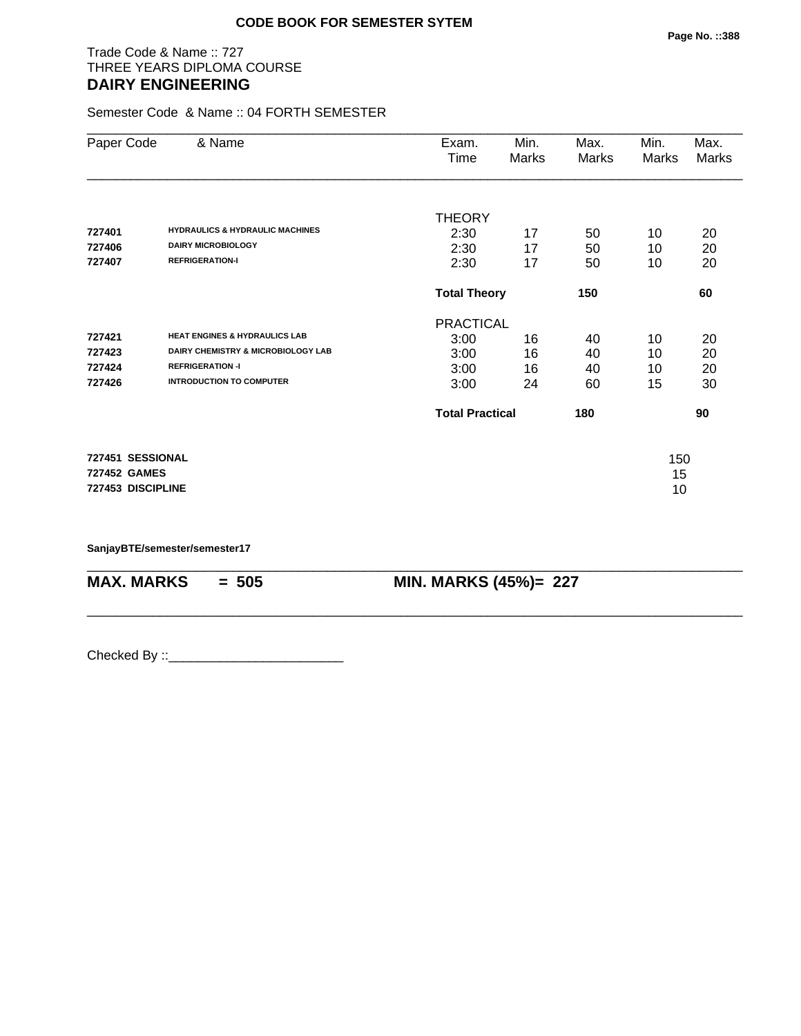# Trade Code & Name :: 727 THREE YEARS DIPLOMA COURSE **DAIRY ENGINEERING**

Semester Code & Name :: 04 FORTH SEMESTER

| Paper Code                                                   | & Name                                                                                                                                       | Exam.<br>Time                                    | Min.<br><b>Marks</b> | Max.<br>Marks        | Min.<br>Marks        | Max.<br><b>Marks</b> |
|--------------------------------------------------------------|----------------------------------------------------------------------------------------------------------------------------------------------|--------------------------------------------------|----------------------|----------------------|----------------------|----------------------|
| 727401<br>727406<br>727407                                   | <b>HYDRAULICS &amp; HYDRAULIC MACHINES</b><br><b>DAIRY MICROBIOLOGY</b><br><b>REFRIGERATION-I</b>                                            | <b>THEORY</b><br>2:30<br>2:30<br>2:30            | 17<br>17<br>17       | 50<br>50<br>50       | 10<br>10<br>10       | 20<br>20<br>20       |
|                                                              |                                                                                                                                              | <b>Total Theory</b>                              |                      | 150                  |                      | 60                   |
| 727421<br>727423<br>727424<br>727426                         | <b>HEAT ENGINES &amp; HYDRAULICS LAB</b><br>DAIRY CHEMISTRY & MICROBIOLOGY LAB<br><b>REFRIGERATION -I</b><br><b>INTRODUCTION TO COMPUTER</b> | <b>PRACTICAL</b><br>3:00<br>3:00<br>3:00<br>3:00 | 16<br>16<br>16<br>24 | 40<br>40<br>40<br>60 | 10<br>10<br>10<br>15 | 20<br>20<br>20<br>30 |
|                                                              |                                                                                                                                              | <b>Total Practical</b>                           |                      | 180                  |                      | 90                   |
| 727451 SESSIONAL<br><b>727452 GAMES</b><br>727453 DISCIPLINE |                                                                                                                                              |                                                  |                      |                      | 150<br>15<br>10      |                      |

\_\_\_\_\_\_\_\_\_\_\_\_\_\_\_\_\_\_\_\_\_\_\_\_\_\_\_\_\_\_\_\_\_\_\_\_\_\_\_\_\_\_\_\_\_\_\_\_\_\_\_\_\_\_\_\_\_\_\_\_\_\_\_\_\_\_\_\_\_\_\_\_\_\_\_\_\_\_\_\_\_\_\_\_\_\_\_\_\_\_

\_\_\_\_\_\_\_\_\_\_\_\_\_\_\_\_\_\_\_\_\_\_\_\_\_\_\_\_\_\_\_\_\_\_\_\_\_\_\_\_\_\_\_\_\_\_\_\_\_\_\_\_\_\_\_\_\_\_\_\_\_\_\_\_\_\_\_\_\_\_\_\_\_\_\_\_\_\_\_\_\_\_\_\_\_\_\_\_\_\_

**SanjayBTE/semester/semester17**

**MAX. MARKS = 505 MIN. MARKS (45%)= 227**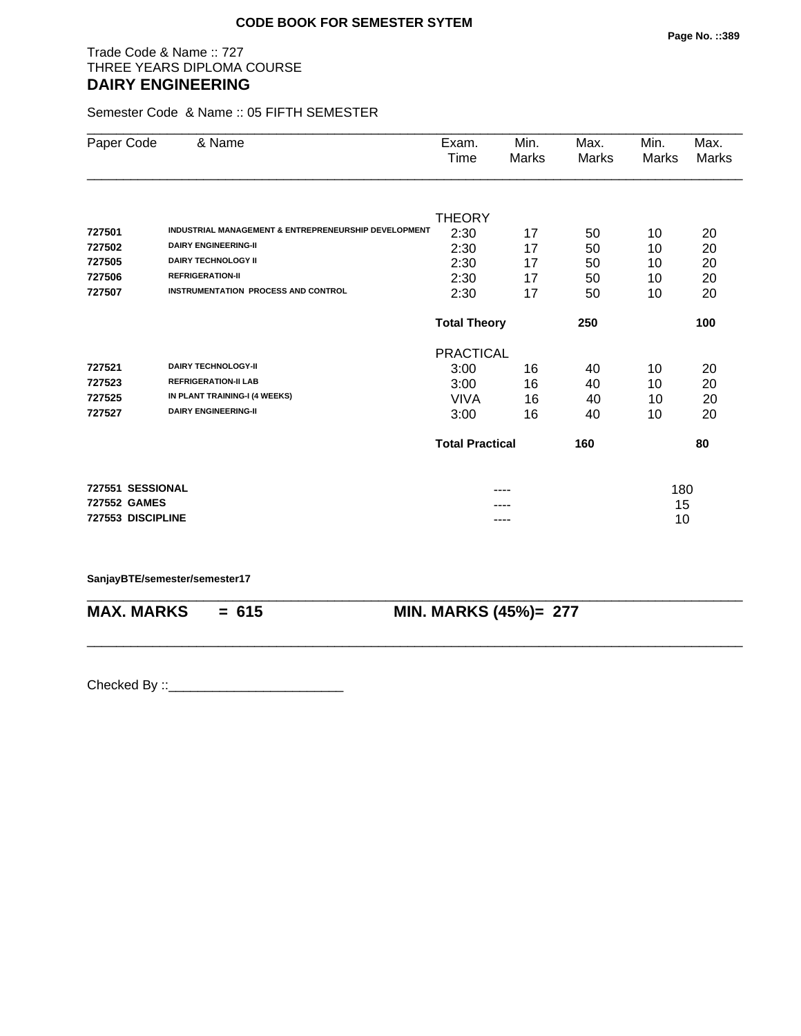# Trade Code & Name :: 727 THREE YEARS DIPLOMA COURSE **DAIRY ENGINEERING**

Semester Code & Name :: 05 FIFTH SEMESTER

| Paper Code          | & Name                                               | Exam.<br>Time          | Min.<br>Marks | Max.<br>Marks | Min.<br>Marks | Max.<br><b>Marks</b> |
|---------------------|------------------------------------------------------|------------------------|---------------|---------------|---------------|----------------------|
|                     |                                                      |                        |               |               |               |                      |
|                     |                                                      | <b>THEORY</b>          |               |               |               |                      |
| 727501              | INDUSTRIAL MANAGEMENT & ENTREPRENEURSHIP DEVELOPMENT | 2:30                   | 17            | 50            | 10            | 20                   |
| 727502              | <b>DAIRY ENGINEERING-II</b>                          | 2:30                   | 17            | 50            | 10            | 20                   |
| 727505              | <b>DAIRY TECHNOLOGY II</b>                           | 2:30                   | 17            | 50            | 10            | 20                   |
| 727506              | <b>REFRIGERATION-II</b>                              | 2:30                   | 17            | 50            | 10            | 20                   |
| 727507              | <b>INSTRUMENTATION PROCESS AND CONTROL</b>           | 2:30                   | 17            | 50            | 10            | 20                   |
|                     |                                                      | <b>Total Theory</b>    |               | 250           |               | 100                  |
|                     |                                                      | <b>PRACTICAL</b>       |               |               |               |                      |
| 727521              | <b>DAIRY TECHNOLOGY-II</b>                           | 3:00                   | 16            | 40            | 10            | 20                   |
| 727523              | <b>REFRIGERATION-II LAB</b>                          | 3:00                   | 16            | 40            | 10            | 20                   |
| 727525              | IN PLANT TRAINING-I (4 WEEKS)                        | VIVA                   | 16            | 40            | 10            | 20                   |
| 727527              | <b>DAIRY ENGINEERING-II</b>                          | 3:00                   | 16            | 40            | 10            | 20                   |
|                     |                                                      | <b>Total Practical</b> |               | 160           |               | 80                   |
| 727551 SESSIONAL    |                                                      |                        |               |               | 180           |                      |
| <b>727552 GAMES</b> |                                                      |                        |               |               | 15            |                      |
| 727553 DISCIPLINE   |                                                      |                        | ----          |               | 10            |                      |

\_\_\_\_\_\_\_\_\_\_\_\_\_\_\_\_\_\_\_\_\_\_\_\_\_\_\_\_\_\_\_\_\_\_\_\_\_\_\_\_\_\_\_\_\_\_\_\_\_\_\_\_\_\_\_\_\_\_\_\_\_\_\_\_\_\_\_\_\_\_\_\_\_\_\_\_\_\_\_\_\_\_\_\_\_\_\_\_\_\_

\_\_\_\_\_\_\_\_\_\_\_\_\_\_\_\_\_\_\_\_\_\_\_\_\_\_\_\_\_\_\_\_\_\_\_\_\_\_\_\_\_\_\_\_\_\_\_\_\_\_\_\_\_\_\_\_\_\_\_\_\_\_\_\_\_\_\_\_\_\_\_\_\_\_\_\_\_\_\_\_\_\_\_\_\_\_\_\_\_\_

### **SanjayBTE/semester/semester17**

**MAX. MARKS = 615 MIN. MARKS (45%)= 277**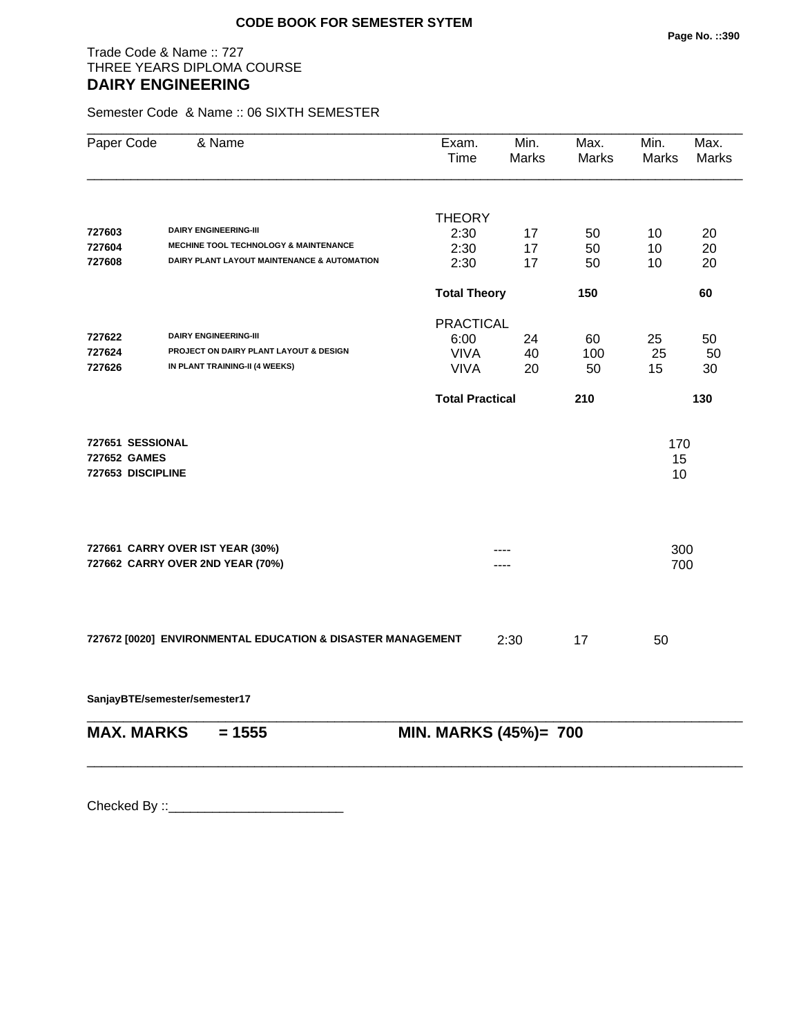# Trade Code & Name :: 727 THREE YEARS DIPLOMA COURSE **DAIRY ENGINEERING**

Semester Code & Name :: 06 SIXTH SEMESTER

| Paper Code                                            | & Name                                                               | Exam.<br><b>Time</b>   | Min.<br>Marks | Max.<br><b>Marks</b> | Min.<br>Marks   | Max.<br><b>Marks</b> |
|-------------------------------------------------------|----------------------------------------------------------------------|------------------------|---------------|----------------------|-----------------|----------------------|
|                                                       |                                                                      | <b>THEORY</b>          |               |                      |                 |                      |
| 727603                                                | <b>DAIRY ENGINEERING-III</b>                                         | 2:30                   | 17            | 50                   | 10              | 20                   |
| 727604                                                | <b>MECHINE TOOL TECHNOLOGY &amp; MAINTENANCE</b>                     | 2:30                   | 17            | 50                   | 10              | 20                   |
| 727608                                                | DAIRY PLANT LAYOUT MAINTENANCE & AUTOMATION                          | 2:30                   | 17            | 50                   | 10              | 20                   |
|                                                       |                                                                      | <b>Total Theory</b>    |               | 150                  |                 | 60                   |
|                                                       |                                                                      | <b>PRACTICAL</b>       |               |                      |                 |                      |
| 727622                                                | <b>DAIRY ENGINEERING-III</b>                                         | 6:00                   | 24            | 60                   | 25              | 50                   |
| 727624                                                | PROJECT ON DAIRY PLANT LAYOUT & DESIGN                               | <b>VIVA</b>            | 40            | 100                  | 25              | 50                   |
| 727626                                                | IN PLANT TRAINING-II (4 WEEKS)                                       | <b>VIVA</b>            | 20            | 50                   | 15              | 30                   |
|                                                       |                                                                      | <b>Total Practical</b> |               | 210                  |                 | 130                  |
| 727651 SESSIONAL<br>727652 GAMES<br>727653 DISCIPLINE |                                                                      |                        |               |                      | 170<br>15<br>10 |                      |
|                                                       | 727661 CARRY OVER IST YEAR (30%)<br>727662 CARRY OVER 2ND YEAR (70%) |                        |               |                      | 300<br>700      |                      |
|                                                       | 727672 [0020] ENVIRONMENTAL EDUCATION & DISASTER MANAGEMENT          |                        | 2:30          | 17                   | 50              |                      |

**SanjayBTE/semester/semester17**

| $MAX. \, MARKS = 1555$ | <b>MIN. MARKS (45%)= 700</b> |
|------------------------|------------------------------|
|                        |                              |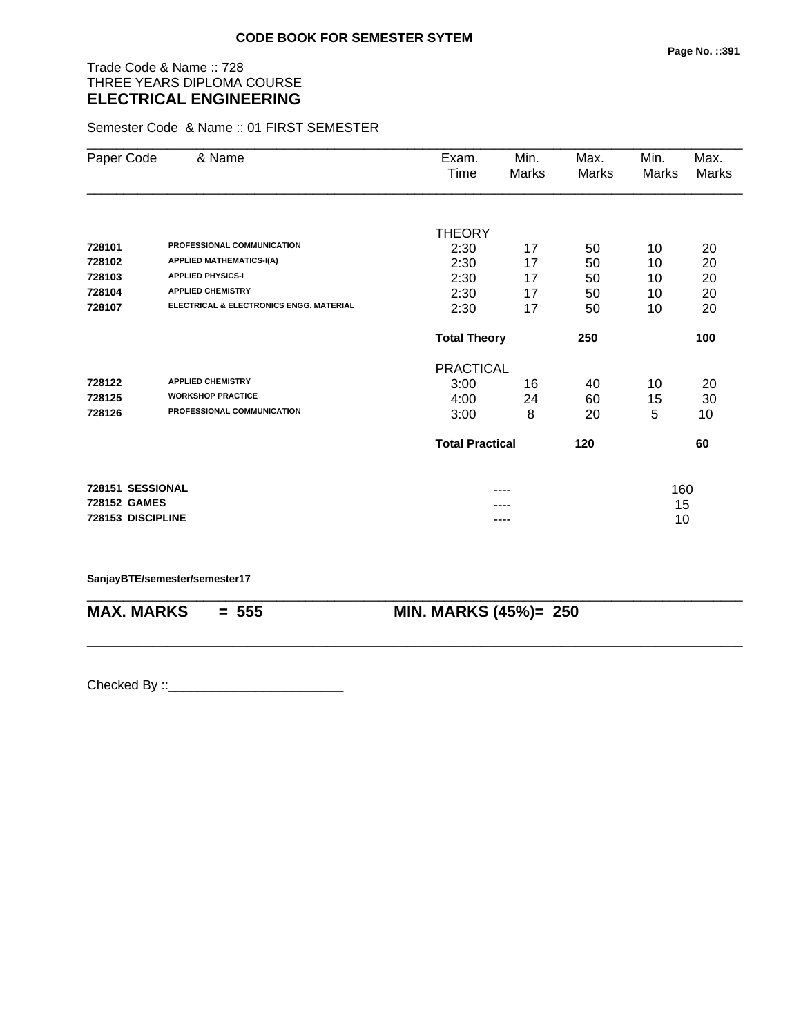# Trade Code & Name :: 728 THREE YEARS DIPLOMA COURSE **ELECTRICAL ENGINEERING**

Semester Code & Name :: 01 FIRST SEMESTER

| Paper Code        | & Name                                  | Exam.<br>Time          | Min.<br>Marks | Max.<br>Marks | Min.<br><b>Marks</b> | Max.<br><b>Marks</b> |
|-------------------|-----------------------------------------|------------------------|---------------|---------------|----------------------|----------------------|
|                   |                                         |                        |               |               |                      |                      |
|                   |                                         | <b>THEORY</b>          |               |               |                      |                      |
| 728101            | PROFESSIONAL COMMUNICATION              | 2:30                   | 17            | 50            | 10                   | 20                   |
| 728102            | <b>APPLIED MATHEMATICS-I(A)</b>         | 2:30                   | 17            | 50            | 10                   | 20                   |
| 728103            | <b>APPLIED PHYSICS-I</b>                | 2:30                   | 17            | 50            | 10                   | 20                   |
| 728104            | <b>APPLIED CHEMISTRY</b>                | 2:30                   | 17            | 50            | 10                   | 20                   |
| 728107            | ELECTRICAL & ELECTRONICS ENGG. MATERIAL | 2:30                   | 17            | 50            | 10                   | 20                   |
|                   |                                         | <b>Total Theory</b>    |               | 250           |                      | 100                  |
|                   |                                         | <b>PRACTICAL</b>       |               |               |                      |                      |
| 728122            | <b>APPLIED CHEMISTRY</b>                | 3:00                   | 16            | 40            | 10                   | 20                   |
| 728125            | <b>WORKSHOP PRACTICE</b>                | 4:00                   | 24            | 60            | 15                   | 30                   |
| 728126            | PROFESSIONAL COMMUNICATION              | 3:00                   | 8             | 20            | 5                    | 10                   |
|                   |                                         | <b>Total Practical</b> |               | 120           |                      | 60                   |
| 728151 SESSIONAL  |                                         |                        |               |               | 160                  |                      |
| 728152 GAMES      |                                         |                        |               |               | 15                   |                      |
| 728153 DISCIPLINE |                                         |                        | ----          |               | 10                   |                      |

\_\_\_\_\_\_\_\_\_\_\_\_\_\_\_\_\_\_\_\_\_\_\_\_\_\_\_\_\_\_\_\_\_\_\_\_\_\_\_\_\_\_\_\_\_\_\_\_\_\_\_\_\_\_\_\_\_\_\_\_\_\_\_\_\_\_\_\_\_\_\_\_\_\_\_\_\_\_\_\_\_\_\_\_\_\_\_\_\_\_

\_\_\_\_\_\_\_\_\_\_\_\_\_\_\_\_\_\_\_\_\_\_\_\_\_\_\_\_\_\_\_\_\_\_\_\_\_\_\_\_\_\_\_\_\_\_\_\_\_\_\_\_\_\_\_\_\_\_\_\_\_\_\_\_\_\_\_\_\_\_\_\_\_\_\_\_\_\_\_\_\_\_\_\_\_\_\_\_\_\_

### **SanjayBTE/semester/semester17**

**MAX. MARKS** = 555 **MIN. MARKS (45%)**= 250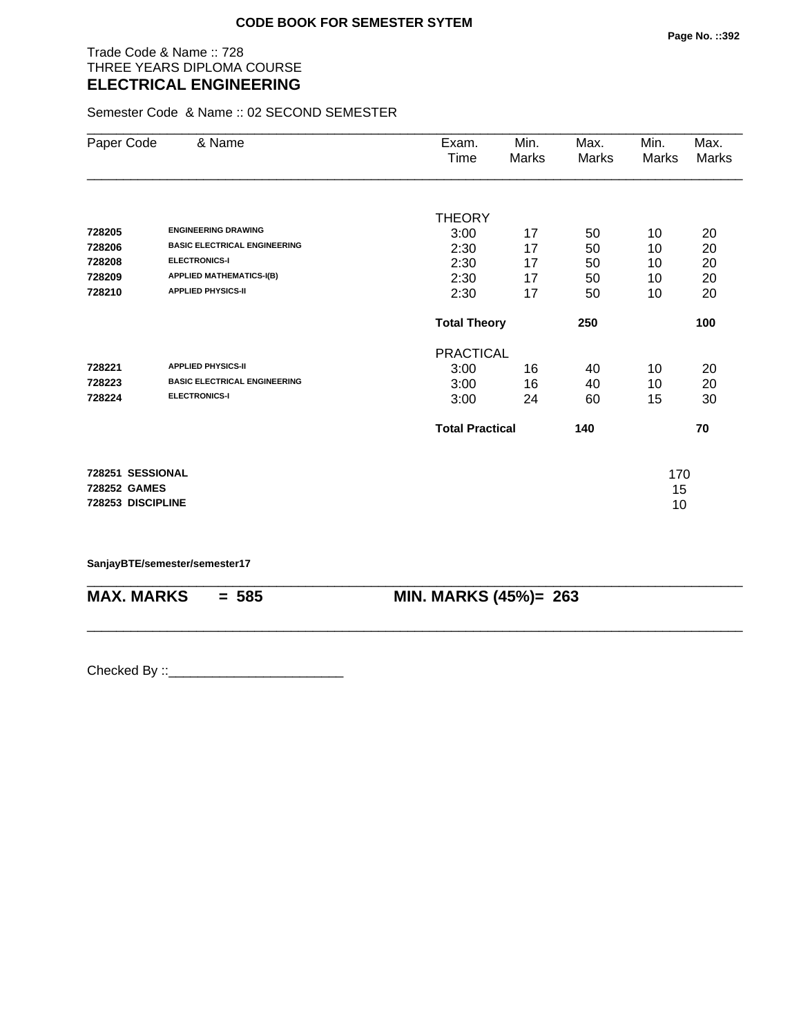# Trade Code & Name :: 728 THREE YEARS DIPLOMA COURSE **ELECTRICAL ENGINEERING**

Semester Code & Name :: 02 SECOND SEMESTER

| Paper Code          | & Name                              | Exam.                  | Min.  | Max.  | Min.  | Max.  |
|---------------------|-------------------------------------|------------------------|-------|-------|-------|-------|
|                     |                                     | Time                   | Marks | Marks | Marks | Marks |
|                     |                                     |                        |       |       |       |       |
|                     |                                     | <b>THEORY</b>          |       |       |       |       |
| 728205              | <b>ENGINEERING DRAWING</b>          | 3:00                   | 17    | 50    | 10    | 20    |
| 728206              | <b>BASIC ELECTRICAL ENGINEERING</b> | 2:30                   | 17    | 50    | 10    | 20    |
| 728208              | <b>ELECTRONICS-I</b>                | 2:30                   | 17    | 50    | 10    | 20    |
| 728209              | <b>APPLIED MATHEMATICS-I(B)</b>     | 2:30                   | 17    | 50    | 10    | 20    |
| 728210              | <b>APPLIED PHYSICS-II</b>           | 2:30                   | 17    | 50    | 10    | 20    |
|                     |                                     | <b>Total Theory</b>    |       | 250   |       | 100   |
|                     |                                     | <b>PRACTICAL</b>       |       |       |       |       |
| 728221              | <b>APPLIED PHYSICS-II</b>           | 3:00                   | 16    | 40    | 10    | 20    |
| 728223              | <b>BASIC ELECTRICAL ENGINEERING</b> | 3:00                   | 16    | 40    | 10    | 20    |
| 728224              | <b>ELECTRONICS-I</b>                | 3:00                   | 24    | 60    | 15    | 30    |
|                     |                                     | <b>Total Practical</b> |       | 140   |       | 70    |
| 728251 SESSIONAL    |                                     |                        |       |       | 170   |       |
| <b>728252 GAMES</b> |                                     |                        |       |       | 15    |       |
| 728253 DISCIPLINE   |                                     |                        |       |       | 10    |       |

\_\_\_\_\_\_\_\_\_\_\_\_\_\_\_\_\_\_\_\_\_\_\_\_\_\_\_\_\_\_\_\_\_\_\_\_\_\_\_\_\_\_\_\_\_\_\_\_\_\_\_\_\_\_\_\_\_\_\_\_\_\_\_\_\_\_\_\_\_\_\_\_\_\_\_\_\_\_\_\_\_\_\_\_\_\_\_\_\_\_

\_\_\_\_\_\_\_\_\_\_\_\_\_\_\_\_\_\_\_\_\_\_\_\_\_\_\_\_\_\_\_\_\_\_\_\_\_\_\_\_\_\_\_\_\_\_\_\_\_\_\_\_\_\_\_\_\_\_\_\_\_\_\_\_\_\_\_\_\_\_\_\_\_\_\_\_\_\_\_\_\_\_\_\_\_\_\_\_\_\_

**SanjayBTE/semester/semester17**

**MAX. MARKS = 585 MIN. MARKS (45%)= 263**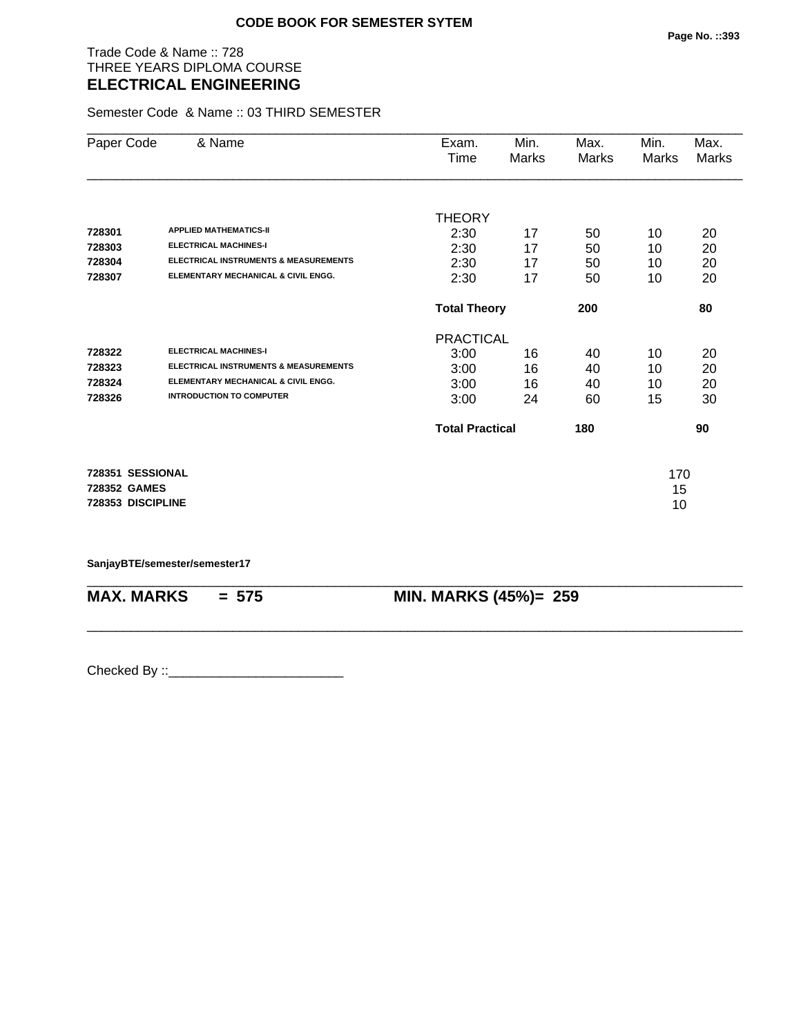# Trade Code & Name :: 728 THREE YEARS DIPLOMA COURSE **ELECTRICAL ENGINEERING**

Semester Code & Name :: 03 THIRD SEMESTER

| Paper Code        | & Name                                           | Exam.                  | Min.  | Max.  | Min.  | Max.  |
|-------------------|--------------------------------------------------|------------------------|-------|-------|-------|-------|
|                   |                                                  | Time                   | Marks | Marks | Marks | Marks |
|                   |                                                  |                        |       |       |       |       |
|                   |                                                  | <b>THEORY</b>          |       |       |       |       |
| 728301            | <b>APPLIED MATHEMATICS-II</b>                    | 2:30                   | 17    | 50    | 10    | 20    |
| 728303            | <b>ELECTRICAL MACHINES-I</b>                     | 2:30                   | 17    | 50    | 10    | 20    |
| 728304            | <b>ELECTRICAL INSTRUMENTS &amp; MEASUREMENTS</b> | 2:30                   | 17    | 50    | 10    | 20    |
| 728307            | ELEMENTARY MECHANICAL & CIVIL ENGG.              | 2:30                   | 17    | 50    | 10    | 20    |
|                   |                                                  | <b>Total Theory</b>    |       | 200   |       | 80    |
|                   |                                                  | <b>PRACTICAL</b>       |       |       |       |       |
| 728322            | <b>ELECTRICAL MACHINES-I</b>                     | 3:00                   | 16    | 40    | 10    | 20    |
| 728323            | <b>ELECTRICAL INSTRUMENTS &amp; MEASUREMENTS</b> | 3:00                   | 16    | 40    | 10    | 20    |
| 728324            | ELEMENTARY MECHANICAL & CIVIL ENGG.              | 3:00                   | 16    | 40    | 10    | 20    |
| 728326            | <b>INTRODUCTION TO COMPUTER</b>                  | 3:00                   | 24    | 60    | 15    | 30    |
|                   |                                                  | <b>Total Practical</b> |       | 180   |       | 90    |
| 728351 SESSIONAL  |                                                  |                        |       |       | 170   |       |
| 728352 GAMES      |                                                  |                        |       |       | 15    |       |
| 728353 DISCIPLINE |                                                  |                        |       |       | 10    |       |
|                   |                                                  |                        |       |       |       |       |

\_\_\_\_\_\_\_\_\_\_\_\_\_\_\_\_\_\_\_\_\_\_\_\_\_\_\_\_\_\_\_\_\_\_\_\_\_\_\_\_\_\_\_\_\_\_\_\_\_\_\_\_\_\_\_\_\_\_\_\_\_\_\_\_\_\_\_\_\_\_\_\_\_\_\_\_\_\_\_\_\_\_\_\_\_\_\_\_\_\_

\_\_\_\_\_\_\_\_\_\_\_\_\_\_\_\_\_\_\_\_\_\_\_\_\_\_\_\_\_\_\_\_\_\_\_\_\_\_\_\_\_\_\_\_\_\_\_\_\_\_\_\_\_\_\_\_\_\_\_\_\_\_\_\_\_\_\_\_\_\_\_\_\_\_\_\_\_\_\_\_\_\_\_\_\_\_\_\_\_\_

**SanjayBTE/semester/semester17**

**MAX. MARKS = 575 MIN. MARKS (45%)= 259**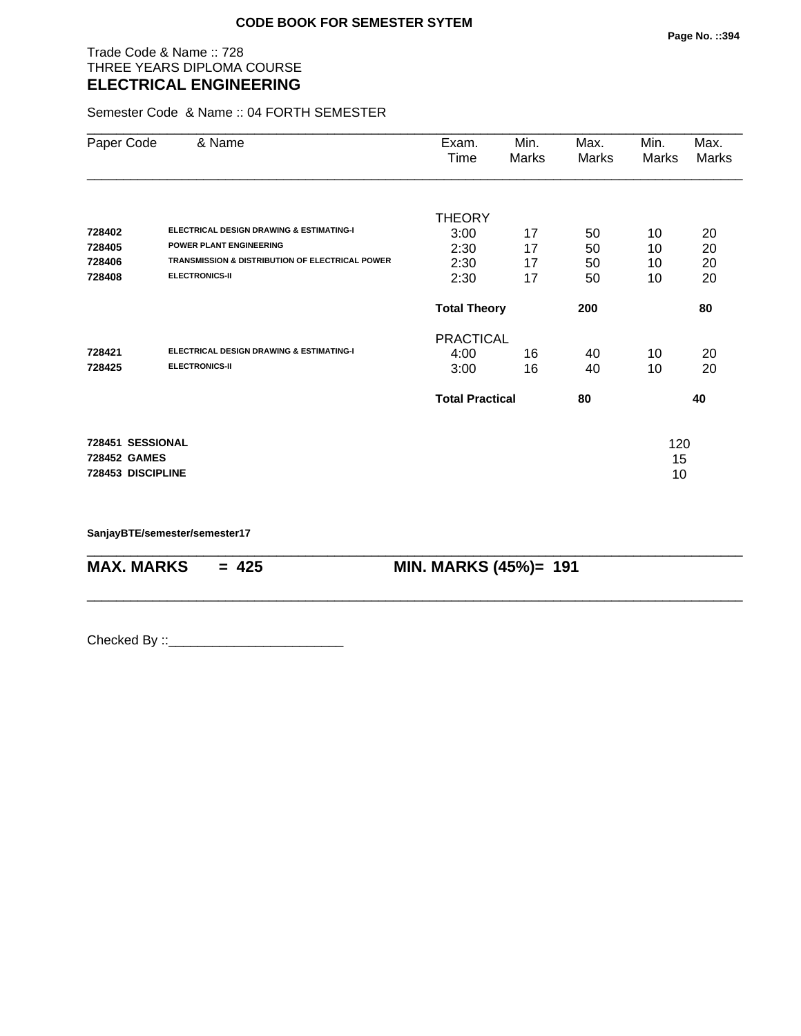# Trade Code & Name :: 728 THREE YEARS DIPLOMA COURSE **ELECTRICAL ENGINEERING**

Semester Code & Name :: 04 FORTH SEMESTER

| Paper Code        | & Name                                                     | Exam.<br>Time          | Min.<br>Marks | Max.<br>Marks | Min.<br>Marks | Max.<br>Marks |
|-------------------|------------------------------------------------------------|------------------------|---------------|---------------|---------------|---------------|
|                   |                                                            | <b>THEORY</b>          |               |               |               |               |
| 728402            | <b>ELECTRICAL DESIGN DRAWING &amp; ESTIMATING-I</b>        | 3:00                   | 17            | 50            | 10            | 20            |
| 728405            | <b>POWER PLANT ENGINEERING</b>                             | 2:30                   | 17            | 50            | 10            | 20            |
| 728406            | <b>TRANSMISSION &amp; DISTRIBUTION OF ELECTRICAL POWER</b> | 2:30                   | 17            | 50            | 10            | 20            |
| 728408            | <b>ELECTRONICS-II</b>                                      | 2:30                   | 17            | 50            | 10            | 20            |
|                   |                                                            | <b>Total Theory</b>    |               | 200           |               | 80            |
|                   |                                                            | <b>PRACTICAL</b>       |               |               |               |               |
| 728421            | <b>ELECTRICAL DESIGN DRAWING &amp; ESTIMATING-I</b>        | 4:00                   | 16            | 40            | 10            | 20            |
| 728425            | <b>ELECTRONICS-II</b>                                      | 3:00                   | 16            | 40            | 10            | 20            |
|                   |                                                            | <b>Total Practical</b> |               | 80            |               | 40            |
| 728451 SESSIONAL  |                                                            |                        |               |               | 120           |               |
| 728452 GAMES      |                                                            |                        |               |               | 15            |               |
| 728453 DISCIPLINE |                                                            |                        |               |               | 10            |               |

\_\_\_\_\_\_\_\_\_\_\_\_\_\_\_\_\_\_\_\_\_\_\_\_\_\_\_\_\_\_\_\_\_\_\_\_\_\_\_\_\_\_\_\_\_\_\_\_\_\_\_\_\_\_\_\_\_\_\_\_\_\_\_\_\_\_\_\_\_\_\_\_\_\_\_\_\_\_\_\_\_\_\_\_\_\_\_\_\_\_

\_\_\_\_\_\_\_\_\_\_\_\_\_\_\_\_\_\_\_\_\_\_\_\_\_\_\_\_\_\_\_\_\_\_\_\_\_\_\_\_\_\_\_\_\_\_\_\_\_\_\_\_\_\_\_\_\_\_\_\_\_\_\_\_\_\_\_\_\_\_\_\_\_\_\_\_\_\_\_\_\_\_\_\_\_\_\_\_\_\_

**SanjayBTE/semester/semester17**

**MAX. MARKS = 425 MIN. MARKS (45%)= 191**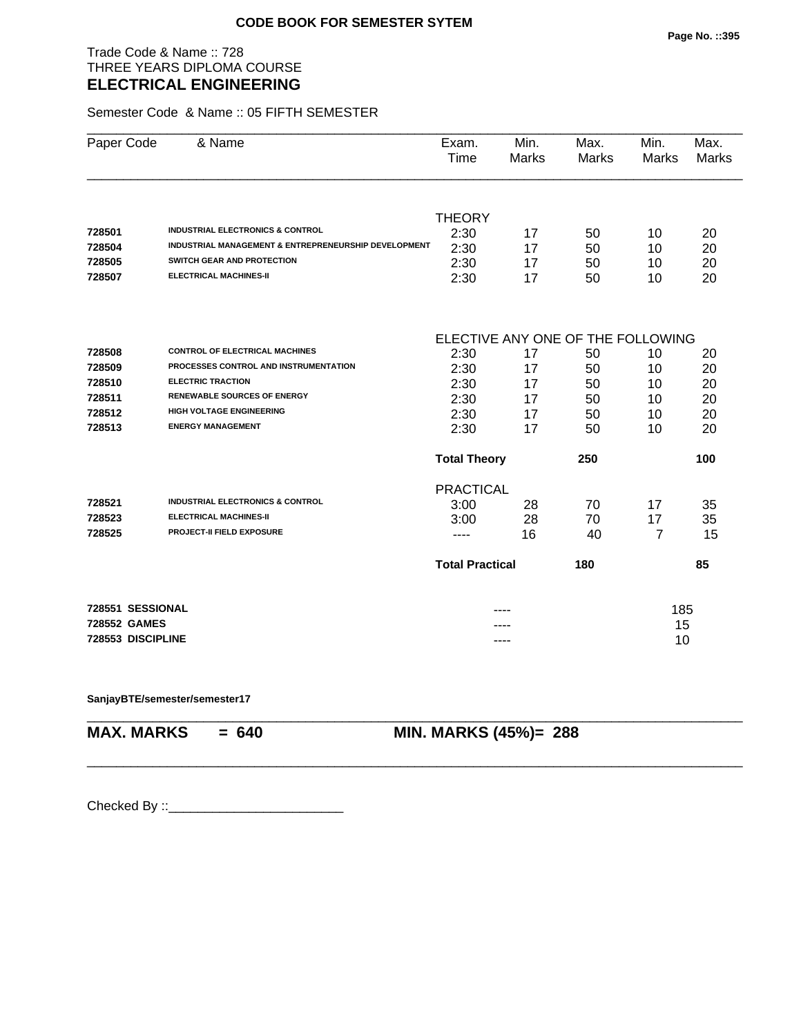Trade Code & Name :: 728 THREE YEARS DIPLOMA COURSE **ELECTRICAL ENGINEERING** 

Semester Code & Name :: 05 FIFTH SEMESTER

| Paper Code        | & Name                                                          | Exam.<br>Time          | Min.<br>Marks | Max.<br><b>Marks</b>              | Min.<br>Marks  | Max.<br><b>Marks</b> |  |
|-------------------|-----------------------------------------------------------------|------------------------|---------------|-----------------------------------|----------------|----------------------|--|
|                   |                                                                 |                        |               |                                   |                |                      |  |
|                   |                                                                 | <b>THEORY</b>          |               |                                   |                |                      |  |
| 728501            | <b>INDUSTRIAL ELECTRONICS &amp; CONTROL</b>                     | 2:30                   | 17            | 50                                | 10             | 20                   |  |
| 728504            | <b>INDUSTRIAL MANAGEMENT &amp; ENTREPRENEURSHIP DEVELOPMENT</b> | 2:30                   | 17            | 50                                | 10             | 20                   |  |
| 728505            | SWITCH GEAR AND PROTECTION                                      | 2:30                   | 17            | 50                                | 10             | 20                   |  |
| 728507            | <b>ELECTRICAL MACHINES-II</b>                                   | 2:30                   | 17            | 50                                | 10             | 20                   |  |
|                   |                                                                 |                        |               | ELECTIVE ANY ONE OF THE FOLLOWING |                |                      |  |
| 728508            | <b>CONTROL OF ELECTRICAL MACHINES</b>                           | 2:30                   | 17            | 50                                | 10             | 20                   |  |
| 728509            | PROCESSES CONTROL AND INSTRUMENTATION                           | 2:30                   | 17            | 50                                | 10             | 20                   |  |
| 728510            | <b>ELECTRIC TRACTION</b>                                        | 2:30                   | 17            | 50                                | 10             | 20                   |  |
| 728511            | <b>RENEWABLE SOURCES OF ENERGY</b>                              | 2:30                   | 17            | 50                                | 10             | 20                   |  |
| 728512            | <b>HIGH VOLTAGE ENGINEERING</b>                                 | 2:30                   | 17            | 50                                | 10             | 20                   |  |
| 728513            | <b>ENERGY MANAGEMENT</b>                                        | 2:30                   | 17            | 50                                | 10             | 20                   |  |
|                   |                                                                 | <b>Total Theory</b>    |               | 250                               |                | 100                  |  |
|                   |                                                                 | <b>PRACTICAL</b>       |               |                                   |                |                      |  |
| 728521            | <b>INDUSTRIAL ELECTRONICS &amp; CONTROL</b>                     | 3:00                   | 28            | 70                                | 17             | 35                   |  |
| 728523            | <b>ELECTRICAL MACHINES-II</b>                                   | 3:00                   | 28            | 70                                | 17             | 35                   |  |
| 728525            | PROJECT-II FIELD EXPOSURE                                       | ----                   | 16            | 40                                | $\overline{7}$ | 15                   |  |
|                   |                                                                 | <b>Total Practical</b> |               | 180                               |                | 85                   |  |
| 728551 SESSIONAL  |                                                                 |                        |               |                                   | 185            |                      |  |
| 728552 GAMES      |                                                                 |                        |               |                                   | 15             |                      |  |
| 728553 DISCIPLINE |                                                                 | ----                   |               |                                   | 10             |                      |  |

\_\_\_\_\_\_\_\_\_\_\_\_\_\_\_\_\_\_\_\_\_\_\_\_\_\_\_\_\_\_\_\_\_\_\_\_\_\_\_\_\_\_\_\_\_\_\_\_\_\_\_\_\_\_\_\_\_\_\_\_\_\_\_\_\_\_\_\_\_\_\_\_\_\_\_\_\_\_\_\_\_\_\_\_\_\_\_\_\_\_

\_\_\_\_\_\_\_\_\_\_\_\_\_\_\_\_\_\_\_\_\_\_\_\_\_\_\_\_\_\_\_\_\_\_\_\_\_\_\_\_\_\_\_\_\_\_\_\_\_\_\_\_\_\_\_\_\_\_\_\_\_\_\_\_\_\_\_\_\_\_\_\_\_\_\_\_\_\_\_\_\_\_\_\_\_\_\_\_\_\_

**SanjayBTE/semester/semester17**

**MAX. MARKS = 640 MIN. MARKS (45%)= 288**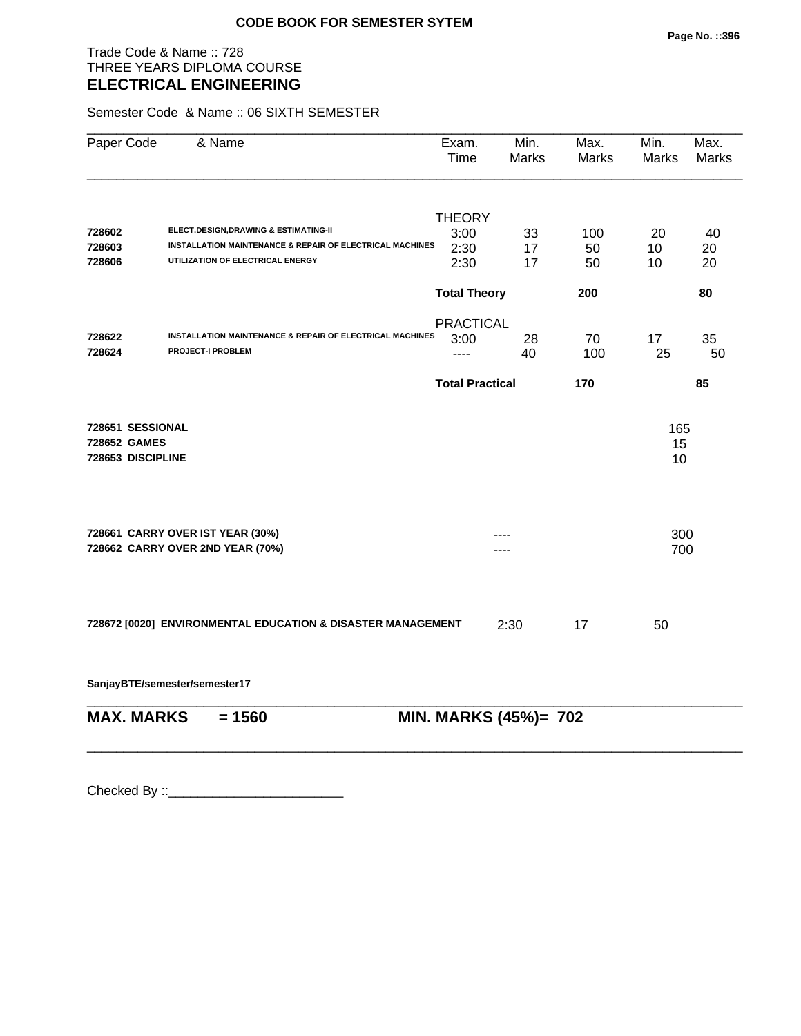Trade Code & Name :: 728 THREE YEARS DIPLOMA COURSE **ELECTRICAL ENGINEERING** 

Semester Code & Name :: 06 SIXTH SEMESTER

| & Name                                                               | Exam.<br>Time | Min.<br><b>Marks</b>                                                                                                                                                                        | Max.<br>Marks                                                           | Min.<br><b>Marks</b>         | Max.<br><b>Marks</b>                |
|----------------------------------------------------------------------|---------------|---------------------------------------------------------------------------------------------------------------------------------------------------------------------------------------------|-------------------------------------------------------------------------|------------------------------|-------------------------------------|
| ELECT.DESIGN, DRAWING & ESTIMATING-II                                | <b>THEORY</b> |                                                                                                                                                                                             |                                                                         |                              | 40                                  |
| UTILIZATION OF ELECTRICAL ENERGY                                     | 2:30<br>2:30  | 17<br>17                                                                                                                                                                                    | 50<br>50                                                                | 10<br>10                     | 20<br>20                            |
|                                                                      |               |                                                                                                                                                                                             | 200                                                                     |                              | 80                                  |
| <b>PROJECT-I PROBLEM</b>                                             | 3:00<br>----  | 28<br>40                                                                                                                                                                                    | 70<br>100                                                               | 17<br>25                     | 35<br>50                            |
|                                                                      |               |                                                                                                                                                                                             | 170                                                                     |                              | 85                                  |
| 728651 SESSIONAL<br>728652 GAMES<br>728653 DISCIPLINE                |               |                                                                                                                                                                                             |                                                                         |                              |                                     |
| 728661 CARRY OVER IST YEAR (30%)<br>728662 CARRY OVER 2ND YEAR (70%) |               |                                                                                                                                                                                             |                                                                         |                              |                                     |
|                                                                      |               | 2:30                                                                                                                                                                                        | 17                                                                      | 50                           |                                     |
| SanjayBTE/semester/semester17                                        |               |                                                                                                                                                                                             |                                                                         |                              |                                     |
| <b>MAX. MARKS</b><br>$= 1560$                                        |               |                                                                                                                                                                                             |                                                                         |                              |                                     |
|                                                                      |               | 3:00<br>INSTALLATION MAINTENANCE & REPAIR OF ELECTRICAL MACHINES<br>INSTALLATION MAINTENANCE & REPAIR OF ELECTRICAL MACHINES<br>728672 [0020] ENVIRONMENTAL EDUCATION & DISASTER MANAGEMENT | 33<br><b>Total Theory</b><br><b>PRACTICAL</b><br><b>Total Practical</b> | 100<br>MIN. MARKS (45%)= 702 | 20<br>165<br>15<br>10<br>300<br>700 |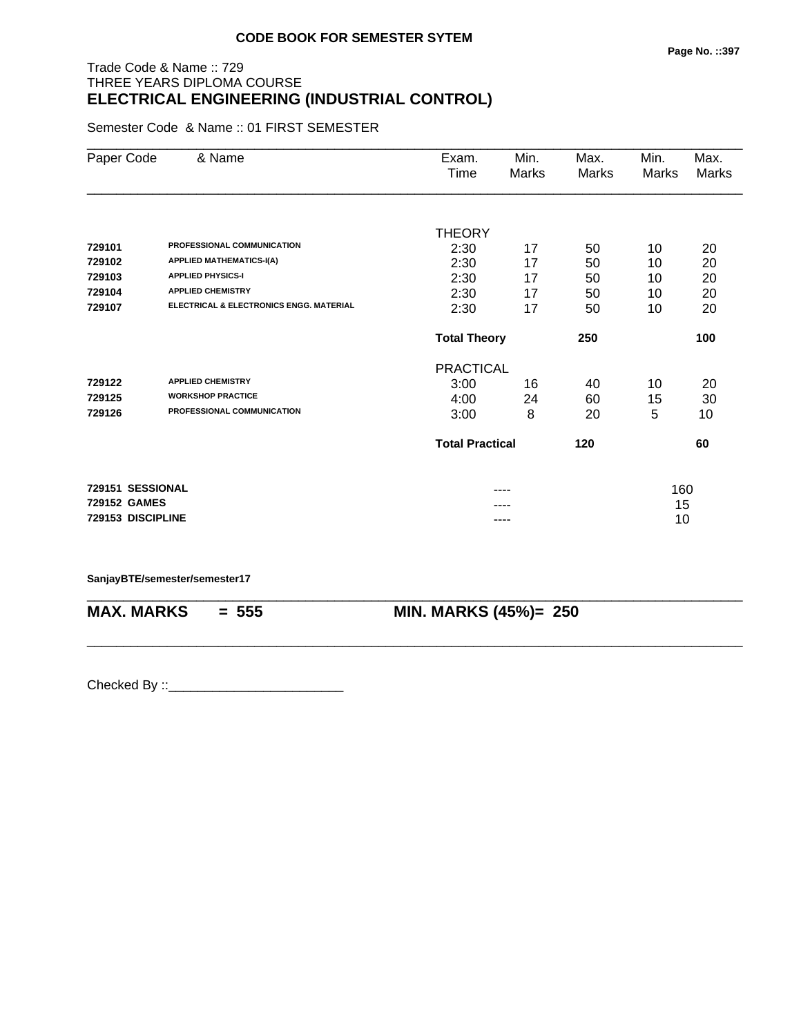## Trade Code & Name :: 729 THREE YEARS DIPLOMA COURSE **ELECTRICAL ENGINEERING (INDUSTRIAL CONTROL)**

Semester Code & Name :: 01 FIRST SEMESTER

| Paper Code        | & Name                                  | Exam.<br>Time          | Min.<br>Marks | Max.<br>Marks | Min.<br><b>Marks</b> | Max.<br><b>Marks</b> |
|-------------------|-----------------------------------------|------------------------|---------------|---------------|----------------------|----------------------|
|                   |                                         |                        |               |               |                      |                      |
|                   |                                         | <b>THEORY</b>          |               |               |                      |                      |
| 729101            | PROFESSIONAL COMMUNICATION              | 2:30                   | 17            | 50            | 10                   | 20                   |
| 729102            | <b>APPLIED MATHEMATICS-I(A)</b>         | 2:30                   | 17            | 50            | 10                   | 20                   |
| 729103            | <b>APPLIED PHYSICS-I</b>                | 2:30                   | 17            | 50            | 10                   | 20                   |
| 729104            | <b>APPLIED CHEMISTRY</b>                | 2:30                   | 17            | 50            | 10                   | 20                   |
| 729107            | ELECTRICAL & ELECTRONICS ENGG. MATERIAL | 2:30                   | 17            | 50            | 10                   | 20                   |
|                   |                                         | <b>Total Theory</b>    |               | 250           |                      | 100                  |
|                   |                                         | <b>PRACTICAL</b>       |               |               |                      |                      |
| 729122            | <b>APPLIED CHEMISTRY</b>                | 3:00                   | 16            | 40            | 10                   | 20                   |
| 729125            | <b>WORKSHOP PRACTICE</b>                | 4:00                   | 24            | 60            | 15                   | 30                   |
| 729126            | PROFESSIONAL COMMUNICATION              | 3:00                   | 8             | 20            | 5                    | 10                   |
|                   |                                         | <b>Total Practical</b> |               | 120           |                      | 60                   |
| 729151 SESSIONAL  |                                         |                        |               |               | 160                  |                      |
| 729152 GAMES      |                                         |                        |               |               | 15                   |                      |
| 729153 DISCIPLINE |                                         |                        | ----          |               | 10                   |                      |

\_\_\_\_\_\_\_\_\_\_\_\_\_\_\_\_\_\_\_\_\_\_\_\_\_\_\_\_\_\_\_\_\_\_\_\_\_\_\_\_\_\_\_\_\_\_\_\_\_\_\_\_\_\_\_\_\_\_\_\_\_\_\_\_\_\_\_\_\_\_\_\_\_\_\_\_\_\_\_\_\_\_\_\_\_\_\_\_\_\_

\_\_\_\_\_\_\_\_\_\_\_\_\_\_\_\_\_\_\_\_\_\_\_\_\_\_\_\_\_\_\_\_\_\_\_\_\_\_\_\_\_\_\_\_\_\_\_\_\_\_\_\_\_\_\_\_\_\_\_\_\_\_\_\_\_\_\_\_\_\_\_\_\_\_\_\_\_\_\_\_\_\_\_\_\_\_\_\_\_\_

#### **SanjayBTE/semester/semester17**

**MAX. MARKS = 555 MIN. MARKS (45%)= 250**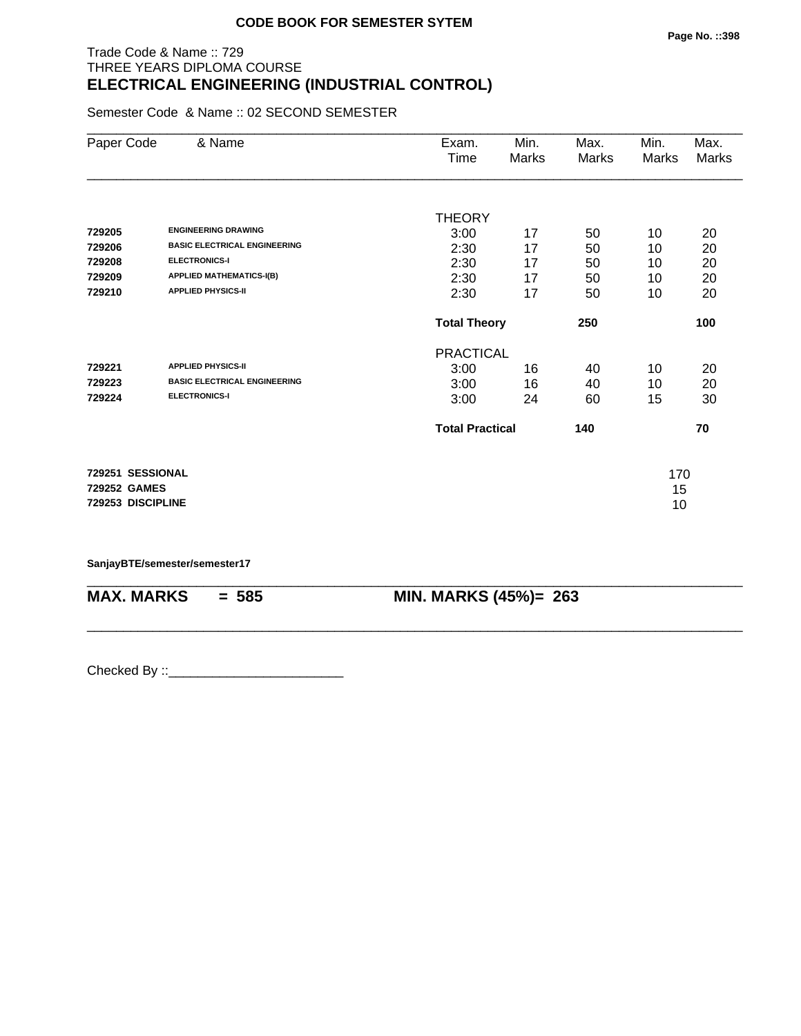## Trade Code & Name :: 729 THREE YEARS DIPLOMA COURSE **ELECTRICAL ENGINEERING (INDUSTRIAL CONTROL)**

Semester Code & Name :: 02 SECOND SEMESTER

| Paper Code        | & Name                              | Exam.                  | Min.  | Max.  | Min.  | Max.  |
|-------------------|-------------------------------------|------------------------|-------|-------|-------|-------|
|                   |                                     | Time                   | Marks | Marks | Marks | Marks |
|                   |                                     |                        |       |       |       |       |
|                   |                                     | <b>THEORY</b>          |       |       |       |       |
| 729205            | <b>ENGINEERING DRAWING</b>          | 3:00                   | 17    | 50    | 10    | 20    |
| 729206            | <b>BASIC ELECTRICAL ENGINEERING</b> | 2:30                   | 17    | 50    | 10    | 20    |
| 729208            | <b>ELECTRONICS-I</b>                | 2:30                   | 17    | 50    | 10    | 20    |
| 729209            | <b>APPLIED MATHEMATICS-I(B)</b>     | 2:30                   | 17    | 50    | 10    | 20    |
| 729210            | <b>APPLIED PHYSICS-II</b>           | 2:30                   | 17    | 50    | 10    | 20    |
|                   |                                     | <b>Total Theory</b>    |       | 250   |       | 100   |
|                   |                                     | <b>PRACTICAL</b>       |       |       |       |       |
| 729221            | <b>APPLIED PHYSICS-II</b>           | 3:00                   | 16    | 40    | 10    | 20    |
| 729223            | <b>BASIC ELECTRICAL ENGINEERING</b> | 3:00                   | 16    | 40    | 10    | 20    |
| 729224            | <b>ELECTRONICS-I</b>                | 3:00                   | 24    | 60    | 15    | 30    |
|                   |                                     | <b>Total Practical</b> |       | 140   |       | 70    |
| 729251 SESSIONAL  |                                     |                        |       |       | 170   |       |
| 729252 GAMES      |                                     |                        |       |       | 15    |       |
| 729253 DISCIPLINE |                                     |                        |       |       | 10    |       |

\_\_\_\_\_\_\_\_\_\_\_\_\_\_\_\_\_\_\_\_\_\_\_\_\_\_\_\_\_\_\_\_\_\_\_\_\_\_\_\_\_\_\_\_\_\_\_\_\_\_\_\_\_\_\_\_\_\_\_\_\_\_\_\_\_\_\_\_\_\_\_\_\_\_\_\_\_\_\_\_\_\_\_\_\_\_\_\_\_\_

\_\_\_\_\_\_\_\_\_\_\_\_\_\_\_\_\_\_\_\_\_\_\_\_\_\_\_\_\_\_\_\_\_\_\_\_\_\_\_\_\_\_\_\_\_\_\_\_\_\_\_\_\_\_\_\_\_\_\_\_\_\_\_\_\_\_\_\_\_\_\_\_\_\_\_\_\_\_\_\_\_\_\_\_\_\_\_\_\_\_

**SanjayBTE/semester/semester17**

**MAX. MARKS = 585 MIN. MARKS (45%)= 263**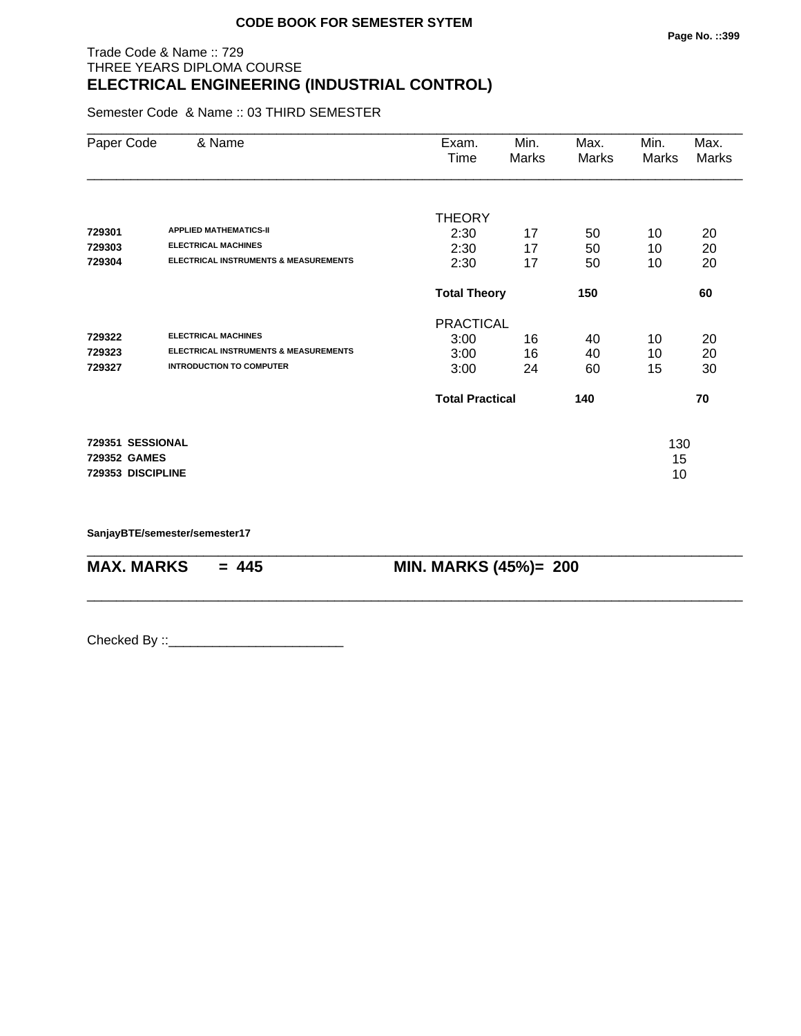## Trade Code & Name :: 729 THREE YEARS DIPLOMA COURSE **ELECTRICAL ENGINEERING (INDUSTRIAL CONTROL)**

Semester Code & Name :: 03 THIRD SEMESTER

| Paper Code        | & Name                                           | Exam.<br>Time          | Min.<br>Marks | Max.<br>Marks | Min.<br>Marks | Max.<br>Marks |
|-------------------|--------------------------------------------------|------------------------|---------------|---------------|---------------|---------------|
|                   |                                                  |                        |               |               |               |               |
| 729301            | <b>APPLIED MATHEMATICS-II</b>                    | <b>THEORY</b><br>2:30  | 17            | 50            | 10            | 20            |
| 729303            | <b>ELECTRICAL MACHINES</b>                       | 2:30                   | 17            | 50            | 10            | 20            |
| 729304            | <b>ELECTRICAL INSTRUMENTS &amp; MEASUREMENTS</b> | 2:30                   | 17            | 50            | 10            | 20            |
|                   |                                                  | <b>Total Theory</b>    |               | 150           |               | 60            |
|                   |                                                  | <b>PRACTICAL</b>       |               |               |               |               |
| 729322            | <b>ELECTRICAL MACHINES</b>                       | 3:00                   | 16            | 40            | 10            | 20            |
| 729323            | <b>ELECTRICAL INSTRUMENTS &amp; MEASUREMENTS</b> | 3:00                   | 16            | 40            | 10            | 20            |
| 729327            | <b>INTRODUCTION TO COMPUTER</b>                  | 3:00                   | 24            | 60            | 15            | 30            |
|                   |                                                  | <b>Total Practical</b> |               | 140           |               | 70            |
| 729351 SESSIONAL  |                                                  |                        |               |               | 130           |               |
| 729352 GAMES      |                                                  |                        |               |               | 15            |               |
| 729353 DISCIPLINE |                                                  |                        |               |               | 10            |               |

\_\_\_\_\_\_\_\_\_\_\_\_\_\_\_\_\_\_\_\_\_\_\_\_\_\_\_\_\_\_\_\_\_\_\_\_\_\_\_\_\_\_\_\_\_\_\_\_\_\_\_\_\_\_\_\_\_\_\_\_\_\_\_\_\_\_\_\_\_\_\_\_\_\_\_\_\_\_\_\_\_\_\_\_\_\_\_\_\_\_

\_\_\_\_\_\_\_\_\_\_\_\_\_\_\_\_\_\_\_\_\_\_\_\_\_\_\_\_\_\_\_\_\_\_\_\_\_\_\_\_\_\_\_\_\_\_\_\_\_\_\_\_\_\_\_\_\_\_\_\_\_\_\_\_\_\_\_\_\_\_\_\_\_\_\_\_\_\_\_\_\_\_\_\_\_\_\_\_\_\_

**SanjayBTE/semester/semester17**

**MAX. MARKS = 445 MIN. MARKS (45%)= 200**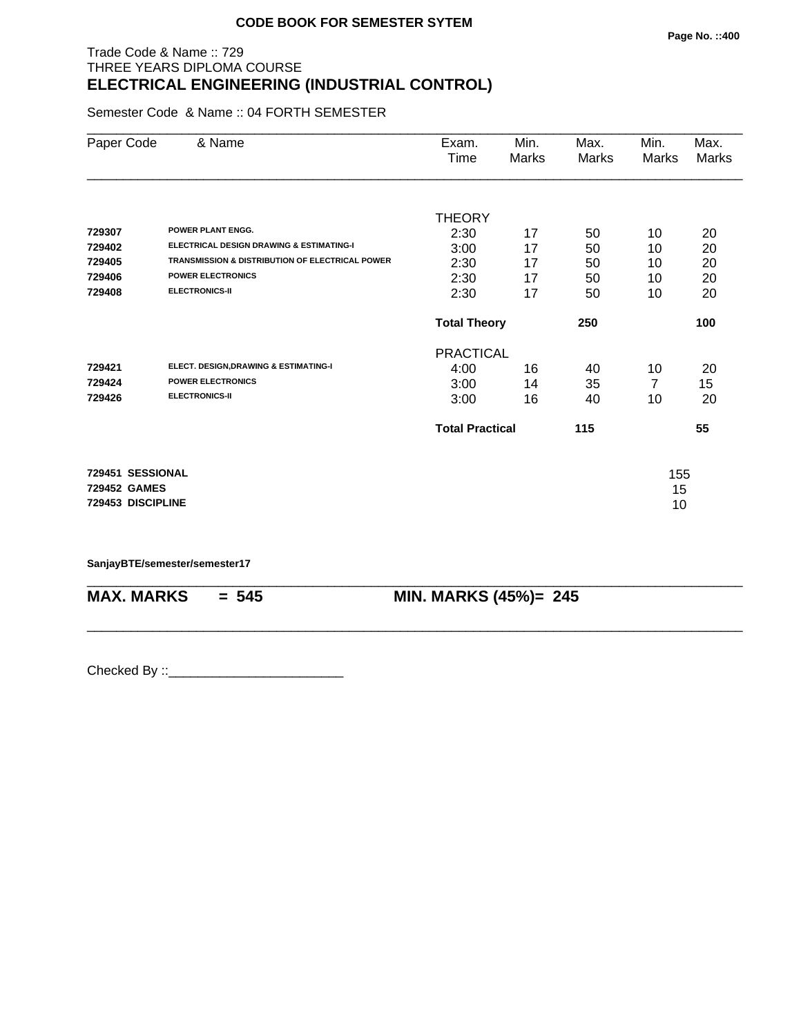## Trade Code & Name :: 729 THREE YEARS DIPLOMA COURSE **ELECTRICAL ENGINEERING (INDUSTRIAL CONTROL)**

Semester Code & Name :: 04 FORTH SEMESTER

| Paper Code        | & Name                                                     | Exam.                  | Min.  | Max.  | Min.  | Max.  |
|-------------------|------------------------------------------------------------|------------------------|-------|-------|-------|-------|
|                   |                                                            | Time                   | Marks | Marks | Marks | Marks |
|                   |                                                            |                        |       |       |       |       |
|                   |                                                            | <b>THEORY</b>          |       |       |       |       |
| 729307            | <b>POWER PLANT ENGG.</b>                                   | 2:30                   | 17    | 50    | 10    | 20    |
| 729402            | <b>ELECTRICAL DESIGN DRAWING &amp; ESTIMATING-I</b>        | 3:00                   | 17    | 50    | 10    | 20    |
| 729405            | <b>TRANSMISSION &amp; DISTRIBUTION OF ELECTRICAL POWER</b> | 2:30                   | 17    | 50    | 10    | 20    |
| 729406            | <b>POWER ELECTRONICS</b>                                   | 2:30                   | 17    | 50    | 10    | 20    |
| 729408            | <b>ELECTRONICS-II</b>                                      | 2:30                   | 17    | 50    | 10    | 20    |
|                   |                                                            | <b>Total Theory</b>    |       | 250   |       | 100   |
|                   |                                                            | <b>PRACTICAL</b>       |       |       |       |       |
| 729421            | ELECT. DESIGN, DRAWING & ESTIMATING-I                      | 4:00                   | 16    | 40    | 10    | 20    |
| 729424            | <b>POWER ELECTRONICS</b>                                   | 3:00                   | 14    | 35    | 7     | 15    |
| 729426            | <b>ELECTRONICS-II</b>                                      | 3:00                   | 16    | 40    | 10    | 20    |
|                   |                                                            | <b>Total Practical</b> |       | 115   |       | 55    |
| 729451 SESSIONAL  |                                                            |                        |       |       | 155   |       |
| 729452 GAMES      |                                                            |                        |       |       | 15    |       |
| 729453 DISCIPLINE |                                                            |                        |       |       | 10    |       |
|                   |                                                            |                        |       |       |       |       |

\_\_\_\_\_\_\_\_\_\_\_\_\_\_\_\_\_\_\_\_\_\_\_\_\_\_\_\_\_\_\_\_\_\_\_\_\_\_\_\_\_\_\_\_\_\_\_\_\_\_\_\_\_\_\_\_\_\_\_\_\_\_\_\_\_\_\_\_\_\_\_\_\_\_\_\_\_\_\_\_\_\_\_\_\_\_\_\_\_\_

\_\_\_\_\_\_\_\_\_\_\_\_\_\_\_\_\_\_\_\_\_\_\_\_\_\_\_\_\_\_\_\_\_\_\_\_\_\_\_\_\_\_\_\_\_\_\_\_\_\_\_\_\_\_\_\_\_\_\_\_\_\_\_\_\_\_\_\_\_\_\_\_\_\_\_\_\_\_\_\_\_\_\_\_\_\_\_\_\_\_

**SanjayBTE/semester/semester17**

**MAX. MARKS = 545 MIN. MARKS (45%)= 245**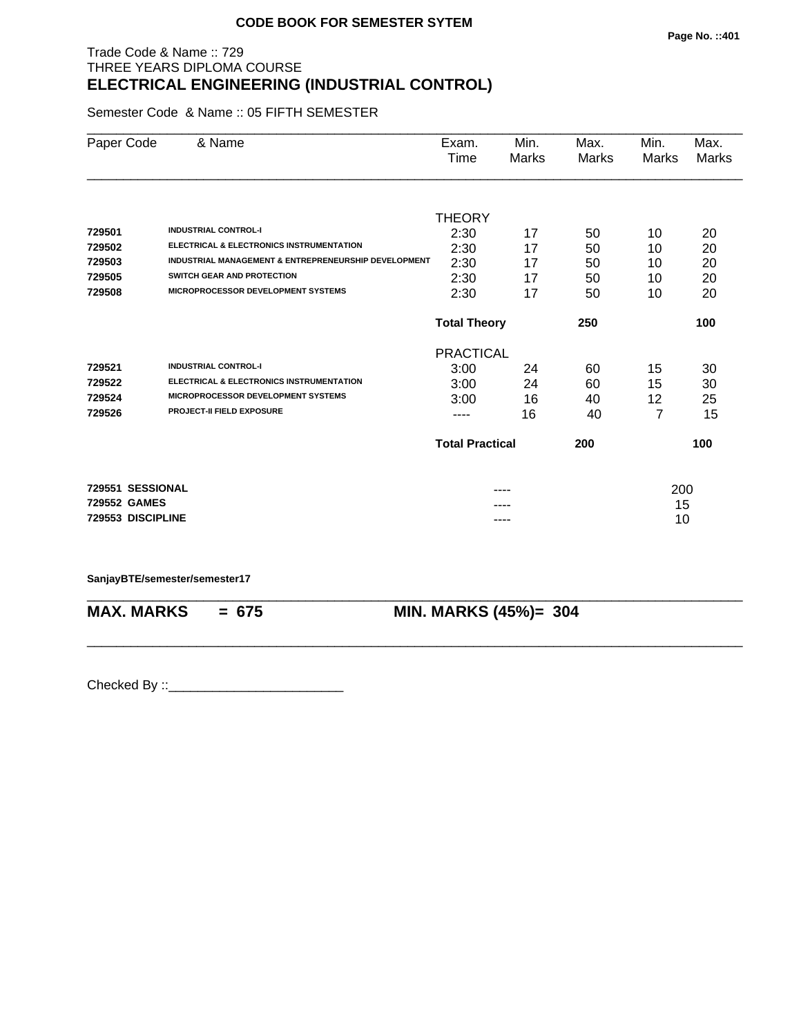## Trade Code & Name :: 729 THREE YEARS DIPLOMA COURSE **ELECTRICAL ENGINEERING (INDUSTRIAL CONTROL)**

Semester Code & Name :: 05 FIFTH SEMESTER

| Paper Code                                            | & Name                                                                                                                                                              | Exam.<br>Time                                    | Min.<br>Marks        | Max.<br>Marks        | Min.<br>Marks       | Max.<br>Marks        |
|-------------------------------------------------------|---------------------------------------------------------------------------------------------------------------------------------------------------------------------|--------------------------------------------------|----------------------|----------------------|---------------------|----------------------|
| 729501<br>729502<br>729503                            | <b>INDUSTRIAL CONTROL-I</b><br><b>ELECTRICAL &amp; ELECTRONICS INSTRUMENTATION</b><br><b>INDUSTRIAL MANAGEMENT &amp; ENTREPRENEURSHIP DEVELOPMENT</b>               | <b>THEORY</b><br>2:30<br>2:30<br>2:30            | 17<br>17<br>17       | 50<br>50<br>50       | 10<br>10<br>10      | 20<br>20<br>20       |
| 729505<br>729508                                      | SWITCH GEAR AND PROTECTION<br><b>MICROPROCESSOR DEVELOPMENT SYSTEMS</b>                                                                                             | 2:30<br>2:30                                     | 17<br>17             | 50<br>50             | 10<br>10            | 20<br>20             |
|                                                       |                                                                                                                                                                     | <b>Total Theory</b>                              |                      | 250                  |                     | 100                  |
| 729521<br>729522<br>729524<br>729526                  | <b>INDUSTRIAL CONTROL-I</b><br><b>ELECTRICAL &amp; ELECTRONICS INSTRUMENTATION</b><br><b>MICROPROCESSOR DEVELOPMENT SYSTEMS</b><br><b>PROJECT-II FIELD EXPOSURE</b> | <b>PRACTICAL</b><br>3:00<br>3:00<br>3:00<br>---- | 24<br>24<br>16<br>16 | 60<br>60<br>40<br>40 | 15<br>15<br>12<br>7 | 30<br>30<br>25<br>15 |
|                                                       |                                                                                                                                                                     | <b>Total Practical</b>                           |                      | 200                  |                     | 100                  |
| 729551 SESSIONAL<br>729552 GAMES<br>729553 DISCIPLINE |                                                                                                                                                                     |                                                  | ----                 |                      | 200<br>15<br>10     |                      |

\_\_\_\_\_\_\_\_\_\_\_\_\_\_\_\_\_\_\_\_\_\_\_\_\_\_\_\_\_\_\_\_\_\_\_\_\_\_\_\_\_\_\_\_\_\_\_\_\_\_\_\_\_\_\_\_\_\_\_\_\_\_\_\_\_\_\_\_\_\_\_\_\_\_\_\_\_\_\_\_\_\_\_\_\_\_\_\_\_\_

\_\_\_\_\_\_\_\_\_\_\_\_\_\_\_\_\_\_\_\_\_\_\_\_\_\_\_\_\_\_\_\_\_\_\_\_\_\_\_\_\_\_\_\_\_\_\_\_\_\_\_\_\_\_\_\_\_\_\_\_\_\_\_\_\_\_\_\_\_\_\_\_\_\_\_\_\_\_\_\_\_\_\_\_\_\_\_\_\_\_

**SanjayBTE/semester/semester17**

**MAX. MARKS = 675 MIN. MARKS (45%)= 304**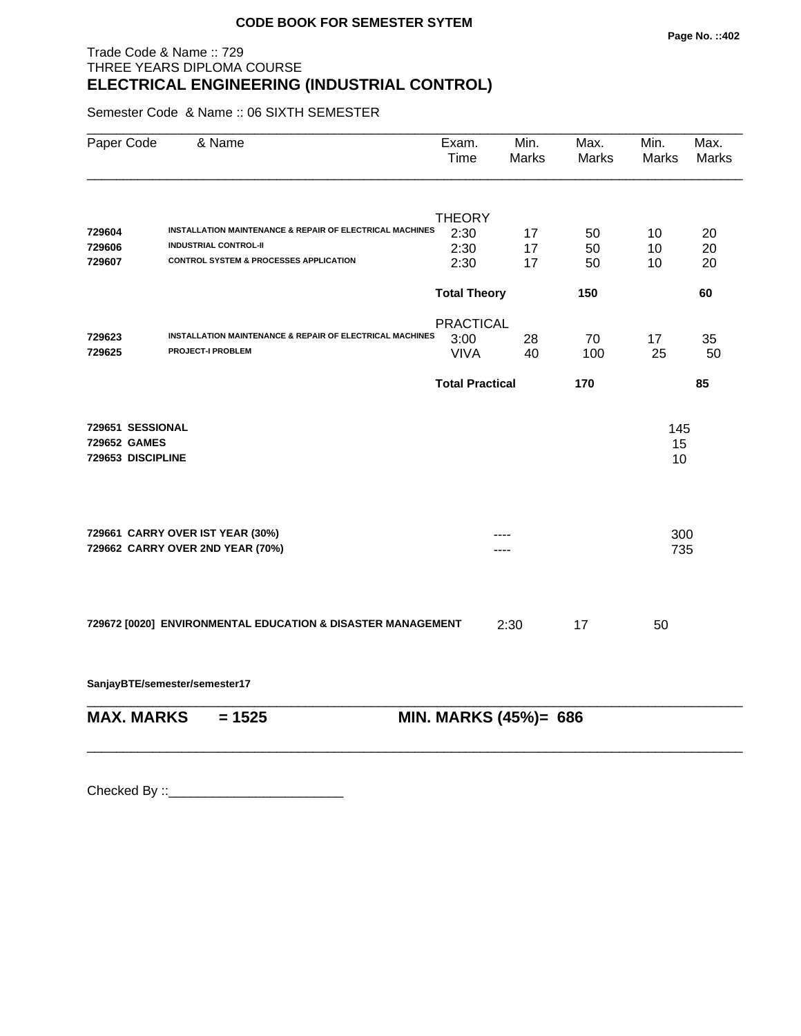## Trade Code & Name :: 729 THREE YEARS DIPLOMA COURSE **ELECTRICAL ENGINEERING (INDUSTRIAL CONTROL)**

Semester Code & Name :: 06 SIXTH SEMESTER

| Paper Code                                            | & Name                                                              | Exam.<br>Time          | Min.<br><b>Marks</b>  | Max.<br>Marks | Min.<br><b>Marks</b> | Max.<br><b>Marks</b> |
|-------------------------------------------------------|---------------------------------------------------------------------|------------------------|-----------------------|---------------|----------------------|----------------------|
|                                                       |                                                                     | <b>THEORY</b>          |                       |               |                      |                      |
| 729604                                                | INSTALLATION MAINTENANCE & REPAIR OF ELECTRICAL MACHINES            | 2:30                   | 17                    | 50            | 10                   | 20                   |
| 729606                                                | <b>INDUSTRIAL CONTROL-II</b>                                        | 2:30                   | 17                    | 50            | 10                   | 20                   |
| 729607                                                | <b>CONTROL SYSTEM &amp; PROCESSES APPLICATION</b>                   | 2:30                   | 17                    | 50            | 10                   | 20                   |
|                                                       |                                                                     | <b>Total Theory</b>    |                       | 150           |                      | 60                   |
|                                                       |                                                                     | <b>PRACTICAL</b>       |                       |               |                      |                      |
| 729623                                                | <b>INSTALLATION MAINTENANCE &amp; REPAIR OF ELECTRICAL MACHINES</b> | 3:00                   | 28                    | 70            | 17                   | 35                   |
| 729625                                                | <b>PROJECT-I PROBLEM</b>                                            | <b>VIVA</b>            | 40                    | 100           | 25                   | 50                   |
|                                                       |                                                                     | <b>Total Practical</b> |                       | 170           |                      | 85                   |
| 729651 SESSIONAL<br>729652 GAMES<br>729653 DISCIPLINE |                                                                     |                        |                       |               | 145<br>15<br>10      |                      |
|                                                       | 729661 CARRY OVER IST YEAR (30%)                                    |                        |                       |               | 300                  |                      |
|                                                       | 729662 CARRY OVER 2ND YEAR (70%)                                    |                        |                       |               | 735                  |                      |
|                                                       | 729672 [0020] ENVIRONMENTAL EDUCATION & DISASTER MANAGEMENT         |                        | 2:30                  | 17            | 50                   |                      |
|                                                       | SanjayBTE/semester/semester17                                       |                        |                       |               |                      |                      |
| <b>MAX. MARKS</b>                                     | $= 1525$                                                            |                        | MIN. MARKS (45%)= 686 |               |                      |                      |

\_\_\_\_\_\_\_\_\_\_\_\_\_\_\_\_\_\_\_\_\_\_\_\_\_\_\_\_\_\_\_\_\_\_\_\_\_\_\_\_\_\_\_\_\_\_\_\_\_\_\_\_\_\_\_\_\_\_\_\_\_\_\_\_\_\_\_\_\_\_\_\_\_\_\_\_\_\_\_\_\_\_\_\_\_\_\_\_\_\_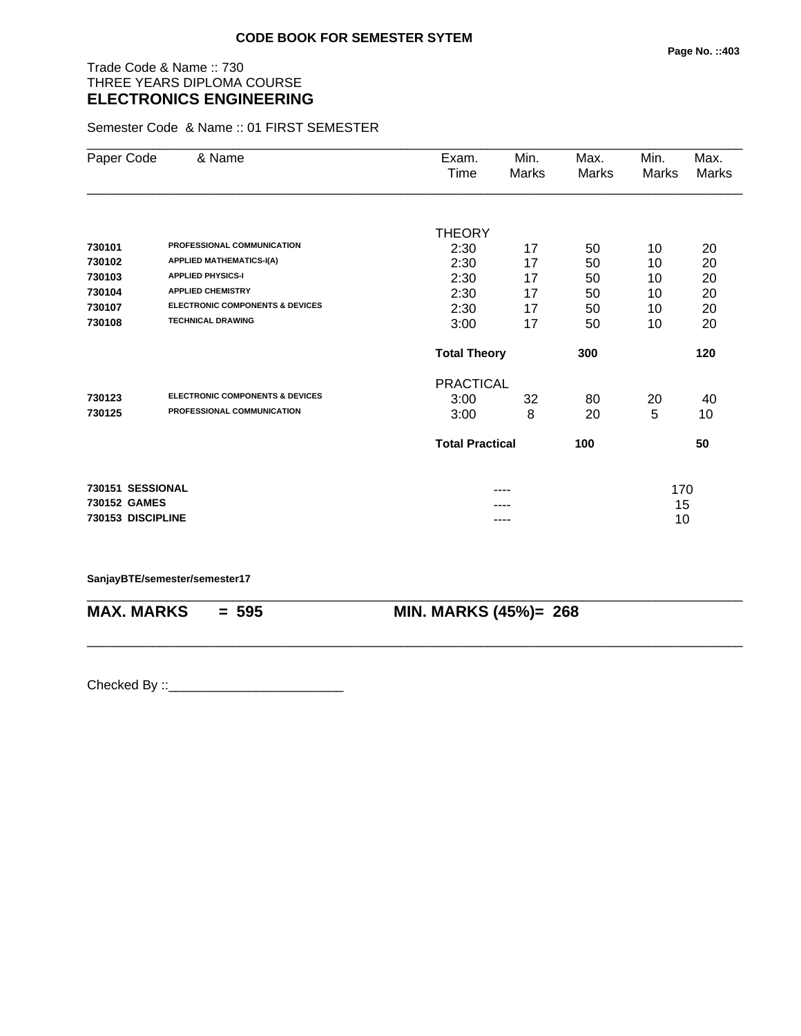## Trade Code & Name :: 730 THREE YEARS DIPLOMA COURSE **ELECTRONICS ENGINEERING**

Semester Code & Name :: 01 FIRST SEMESTER

| Paper Code        | & Name                                     | Exam.<br>Time          | Min.<br>Marks | Max.<br>Marks | Min.<br>Marks | Max.<br>Marks |
|-------------------|--------------------------------------------|------------------------|---------------|---------------|---------------|---------------|
|                   |                                            |                        |               |               |               |               |
|                   |                                            | <b>THEORY</b>          |               |               |               |               |
| 730101            | PROFESSIONAL COMMUNICATION                 | 2:30                   | 17            | 50            | 10            | 20            |
| 730102            | <b>APPLIED MATHEMATICS-I(A)</b>            | 2:30                   | 17            | 50            | 10            | 20            |
| 730103            | <b>APPLIED PHYSICS-I</b>                   | 2:30                   | 17            | 50            | 10            | 20            |
| 730104            | <b>APPLIED CHEMISTRY</b>                   | 2:30                   | 17            | 50            | 10            | 20            |
| 730107            | <b>ELECTRONIC COMPONENTS &amp; DEVICES</b> | 2:30                   | 17            | 50            | 10            | 20            |
| 730108            | <b>TECHNICAL DRAWING</b>                   | 3:00                   | 17            | 50            | 10            | 20            |
|                   |                                            | <b>Total Theory</b>    |               | 300           |               | 120           |
|                   |                                            | <b>PRACTICAL</b>       |               |               |               |               |
| 730123            | <b>ELECTRONIC COMPONENTS &amp; DEVICES</b> | 3:00                   | 32            | 80            | 20            | 40            |
| 730125            | PROFESSIONAL COMMUNICATION                 | 3:00                   | 8             | 20            | 5             | 10            |
|                   |                                            | <b>Total Practical</b> |               | 100           |               | 50            |
| 730151 SESSIONAL  |                                            |                        |               |               | 170           |               |
| 730152 GAMES      |                                            |                        |               |               | 15            |               |
| 730153 DISCIPLINE |                                            |                        | ----          |               | 10            |               |

\_\_\_\_\_\_\_\_\_\_\_\_\_\_\_\_\_\_\_\_\_\_\_\_\_\_\_\_\_\_\_\_\_\_\_\_\_\_\_\_\_\_\_\_\_\_\_\_\_\_\_\_\_\_\_\_\_\_\_\_\_\_\_\_\_\_\_\_\_\_\_\_\_\_\_\_\_\_\_\_\_\_\_\_\_\_\_\_\_\_

\_\_\_\_\_\_\_\_\_\_\_\_\_\_\_\_\_\_\_\_\_\_\_\_\_\_\_\_\_\_\_\_\_\_\_\_\_\_\_\_\_\_\_\_\_\_\_\_\_\_\_\_\_\_\_\_\_\_\_\_\_\_\_\_\_\_\_\_\_\_\_\_\_\_\_\_\_\_\_\_\_\_\_\_\_\_\_\_\_\_

#### **SanjayBTE/semester/semester17**

**MAX. MARKS = 595 MIN. MARKS (45%)= 268**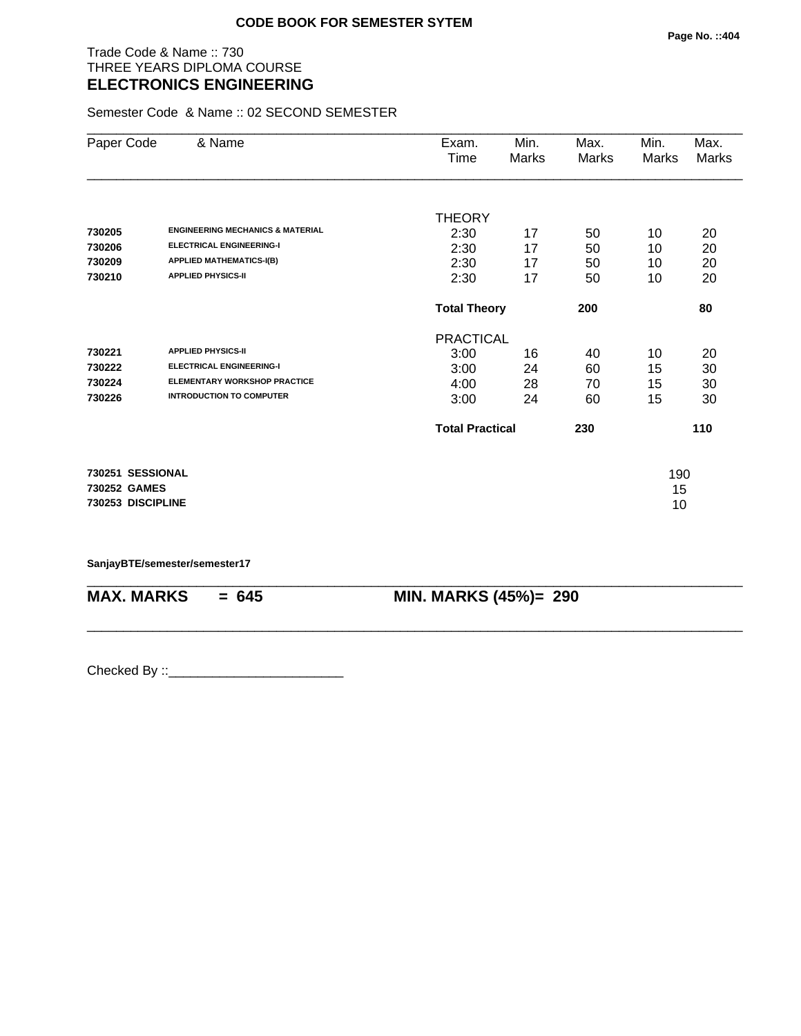## Trade Code & Name :: 730 THREE YEARS DIPLOMA COURSE **ELECTRONICS ENGINEERING**

Semester Code & Name :: 02 SECOND SEMESTER

| Paper Code        | & Name                                      | Exam.                  | Min.  | Max.  | Min.  | Max.  |
|-------------------|---------------------------------------------|------------------------|-------|-------|-------|-------|
|                   |                                             | Time                   | Marks | Marks | Marks | Marks |
|                   |                                             |                        |       |       |       |       |
|                   |                                             | <b>THEORY</b>          |       |       |       |       |
| 730205            | <b>ENGINEERING MECHANICS &amp; MATERIAL</b> | 2:30                   | 17    | 50    | 10    | 20    |
| 730206            | <b>ELECTRICAL ENGINEERING-I</b>             | 2:30                   | 17    | 50    | 10    | 20    |
| 730209            | <b>APPLIED MATHEMATICS-I(B)</b>             | 2:30                   | 17    | 50    | 10    | 20    |
| 730210            | <b>APPLIED PHYSICS-II</b>                   | 2:30                   | 17    | 50    | 10    | 20    |
|                   |                                             | <b>Total Theory</b>    |       | 200   |       | 80    |
|                   |                                             | <b>PRACTICAL</b>       |       |       |       |       |
| 730221            | <b>APPLIED PHYSICS-II</b>                   | 3:00                   | 16    | 40    | 10    | 20    |
| 730222            | <b>ELECTRICAL ENGINEERING-I</b>             | 3:00                   | 24    | 60    | 15    | 30    |
| 730224            | <b>ELEMENTARY WORKSHOP PRACTICE</b>         | 4:00                   | 28    | 70    | 15    | 30    |
| 730226            | <b>INTRODUCTION TO COMPUTER</b>             | 3:00                   | 24    | 60    | 15    | 30    |
|                   |                                             | <b>Total Practical</b> |       | 230   |       | 110   |
| 730251 SESSIONAL  |                                             |                        |       |       | 190   |       |
| 730252 GAMES      |                                             |                        |       |       | 15    |       |
| 730253 DISCIPLINE |                                             |                        |       |       | 10    |       |

\_\_\_\_\_\_\_\_\_\_\_\_\_\_\_\_\_\_\_\_\_\_\_\_\_\_\_\_\_\_\_\_\_\_\_\_\_\_\_\_\_\_\_\_\_\_\_\_\_\_\_\_\_\_\_\_\_\_\_\_\_\_\_\_\_\_\_\_\_\_\_\_\_\_\_\_\_\_\_\_\_\_\_\_\_\_\_\_\_\_

\_\_\_\_\_\_\_\_\_\_\_\_\_\_\_\_\_\_\_\_\_\_\_\_\_\_\_\_\_\_\_\_\_\_\_\_\_\_\_\_\_\_\_\_\_\_\_\_\_\_\_\_\_\_\_\_\_\_\_\_\_\_\_\_\_\_\_\_\_\_\_\_\_\_\_\_\_\_\_\_\_\_\_\_\_\_\_\_\_\_

**SanjayBTE/semester/semester17**

**MAX. MARKS = 645 MIN. MARKS (45%)= 290**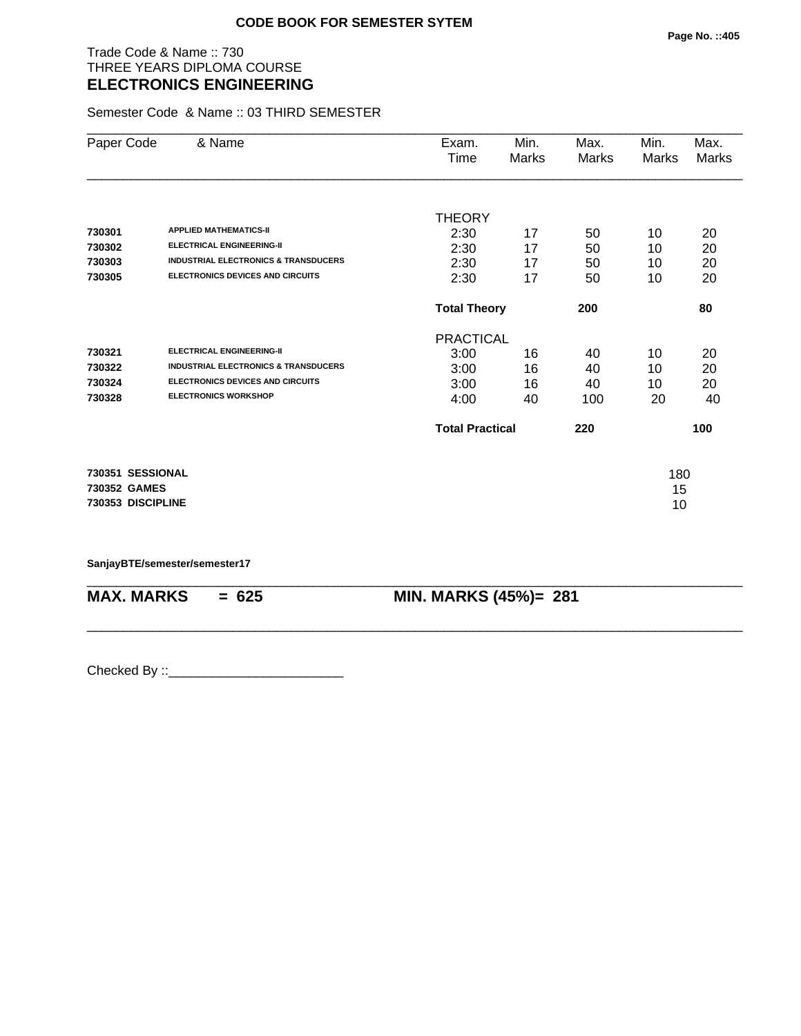## Trade Code & Name :: 730 THREE YEARS DIPLOMA COURSE **ELECTRONICS ENGINEERING**

Semester Code & Name :: 03 THIRD SEMESTER

| Paper Code        | & Name                                          | Exam.                  | Min.  | Max.  | Min.  | Max.  |
|-------------------|-------------------------------------------------|------------------------|-------|-------|-------|-------|
|                   |                                                 | Time                   | Marks | Marks | Marks | Marks |
|                   |                                                 |                        |       |       |       |       |
|                   |                                                 | <b>THEORY</b>          |       |       |       |       |
| 730301            | <b>APPLIED MATHEMATICS-II</b>                   | 2:30                   | 17    | 50    | 10    | 20    |
| 730302            | <b>ELECTRICAL ENGINEERING-II</b>                | 2:30                   | 17    | 50    | 10    | 20    |
| 730303            | <b>INDUSTRIAL ELECTRONICS &amp; TRANSDUCERS</b> | 2:30                   | 17    | 50    | 10    | 20    |
| 730305            | <b>ELECTRONICS DEVICES AND CIRCUITS</b>         | 2:30                   | 17    | 50    | 10    | 20    |
|                   |                                                 | <b>Total Theory</b>    |       | 200   |       | 80    |
|                   |                                                 | <b>PRACTICAL</b>       |       |       |       |       |
| 730321            | <b>ELECTRICAL ENGINEERING-II</b>                | 3:00                   | 16    | 40    | 10    | 20    |
| 730322            | <b>INDUSTRIAL ELECTRONICS &amp; TRANSDUCERS</b> | 3:00                   | 16    | 40    | 10    | 20    |
| 730324            | <b>ELECTRONICS DEVICES AND CIRCUITS</b>         | 3:00                   | 16    | 40    | 10    | 20    |
| 730328            | <b>ELECTRONICS WORKSHOP</b>                     | 4:00                   | 40    | 100   | 20    | 40    |
|                   |                                                 | <b>Total Practical</b> |       | 220   |       | 100   |
| 730351 SESSIONAL  |                                                 |                        |       |       | 180   |       |
| 730352 GAMES      |                                                 |                        |       |       | 15    |       |
| 730353 DISCIPLINE |                                                 |                        |       |       | 10    |       |

\_\_\_\_\_\_\_\_\_\_\_\_\_\_\_\_\_\_\_\_\_\_\_\_\_\_\_\_\_\_\_\_\_\_\_\_\_\_\_\_\_\_\_\_\_\_\_\_\_\_\_\_\_\_\_\_\_\_\_\_\_\_\_\_\_\_\_\_\_\_\_\_\_\_\_\_\_\_\_\_\_\_\_\_\_\_\_\_\_\_

\_\_\_\_\_\_\_\_\_\_\_\_\_\_\_\_\_\_\_\_\_\_\_\_\_\_\_\_\_\_\_\_\_\_\_\_\_\_\_\_\_\_\_\_\_\_\_\_\_\_\_\_\_\_\_\_\_\_\_\_\_\_\_\_\_\_\_\_\_\_\_\_\_\_\_\_\_\_\_\_\_\_\_\_\_\_\_\_\_\_

**SanjayBTE/semester/semester17**

**MAX. MARKS = 625 MIN. MARKS (45%)= 281**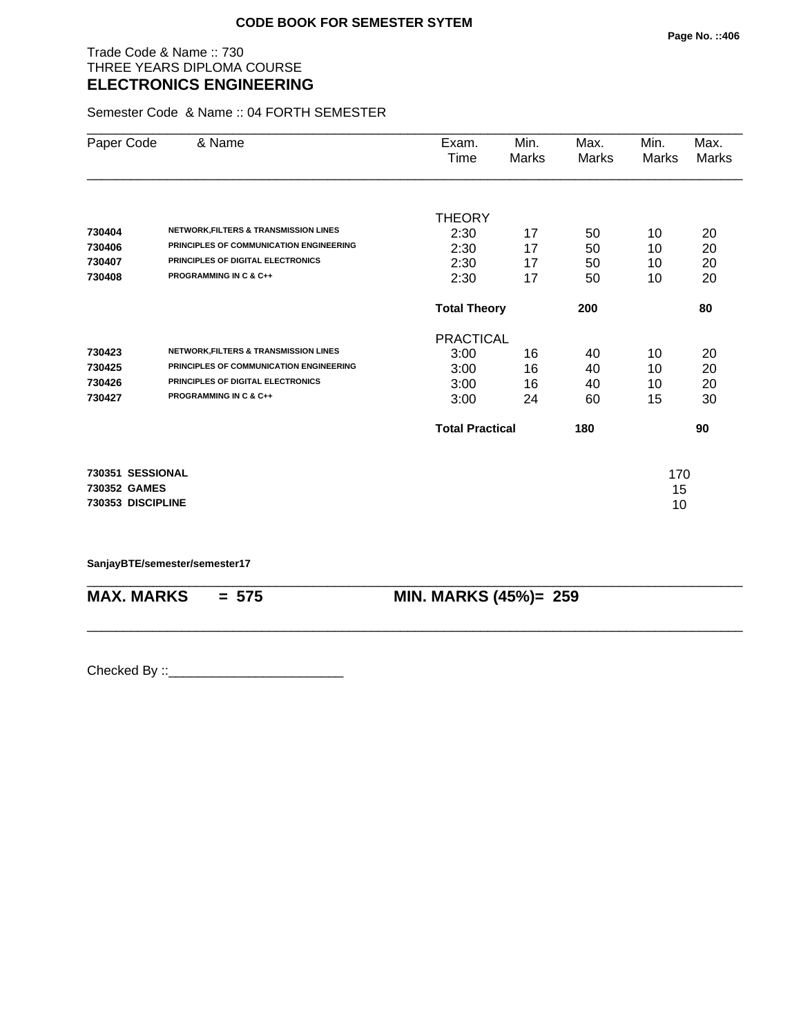## Trade Code & Name :: 730 THREE YEARS DIPLOMA COURSE **ELECTRONICS ENGINEERING**

Semester Code & Name :: 04 FORTH SEMESTER

| Paper Code        | & Name                                           | Exam.                  | Min.  | Max.  | Min.  | Max.  |
|-------------------|--------------------------------------------------|------------------------|-------|-------|-------|-------|
|                   |                                                  | Time                   | Marks | Marks | Marks | Marks |
|                   |                                                  |                        |       |       |       |       |
|                   |                                                  | <b>THEORY</b>          |       |       |       |       |
| 730404            | <b>NETWORK, FILTERS &amp; TRANSMISSION LINES</b> | 2:30                   | 17    | 50    | 10    | 20    |
| 730406            | PRINCIPLES OF COMMUNICATION ENGINEERING          | 2:30                   | 17    | 50    | 10    | 20    |
| 730407            | PRINCIPLES OF DIGITAL ELECTRONICS                | 2:30                   | 17    | 50    | 10    | 20    |
| 730408            | <b>PROGRAMMING IN C &amp; C++</b>                | 2:30                   | 17    | 50    | 10    | 20    |
|                   |                                                  | <b>Total Theory</b>    |       | 200   |       | 80    |
|                   |                                                  | <b>PRACTICAL</b>       |       |       |       |       |
| 730423            | NETWORK, FILTERS & TRANSMISSION LINES            | 3:00                   | 16    | 40    | 10    | 20    |
| 730425            | PRINCIPLES OF COMMUNICATION ENGINEERING          | 3:00                   | 16    | 40    | 10    | 20    |
| 730426            | PRINCIPLES OF DIGITAL ELECTRONICS                | 3:00                   | 16    | 40    | 10    | 20    |
| 730427            | <b>PROGRAMMING IN C &amp; C++</b>                | 3:00                   | 24    | 60    | 15    | 30    |
|                   |                                                  | <b>Total Practical</b> |       | 180   |       | 90    |
| 730351 SESSIONAL  |                                                  |                        |       |       | 170   |       |
| 730352 GAMES      |                                                  |                        |       |       | 15    |       |
| 730353 DISCIPLINE |                                                  |                        |       |       | 10    |       |
|                   |                                                  |                        |       |       |       |       |

\_\_\_\_\_\_\_\_\_\_\_\_\_\_\_\_\_\_\_\_\_\_\_\_\_\_\_\_\_\_\_\_\_\_\_\_\_\_\_\_\_\_\_\_\_\_\_\_\_\_\_\_\_\_\_\_\_\_\_\_\_\_\_\_\_\_\_\_\_\_\_\_\_\_\_\_\_\_\_\_\_\_\_\_\_\_\_\_\_\_

\_\_\_\_\_\_\_\_\_\_\_\_\_\_\_\_\_\_\_\_\_\_\_\_\_\_\_\_\_\_\_\_\_\_\_\_\_\_\_\_\_\_\_\_\_\_\_\_\_\_\_\_\_\_\_\_\_\_\_\_\_\_\_\_\_\_\_\_\_\_\_\_\_\_\_\_\_\_\_\_\_\_\_\_\_\_\_\_\_\_

**SanjayBTE/semester/semester17**

**MAX. MARKS = 575 MIN. MARKS (45%)= 259**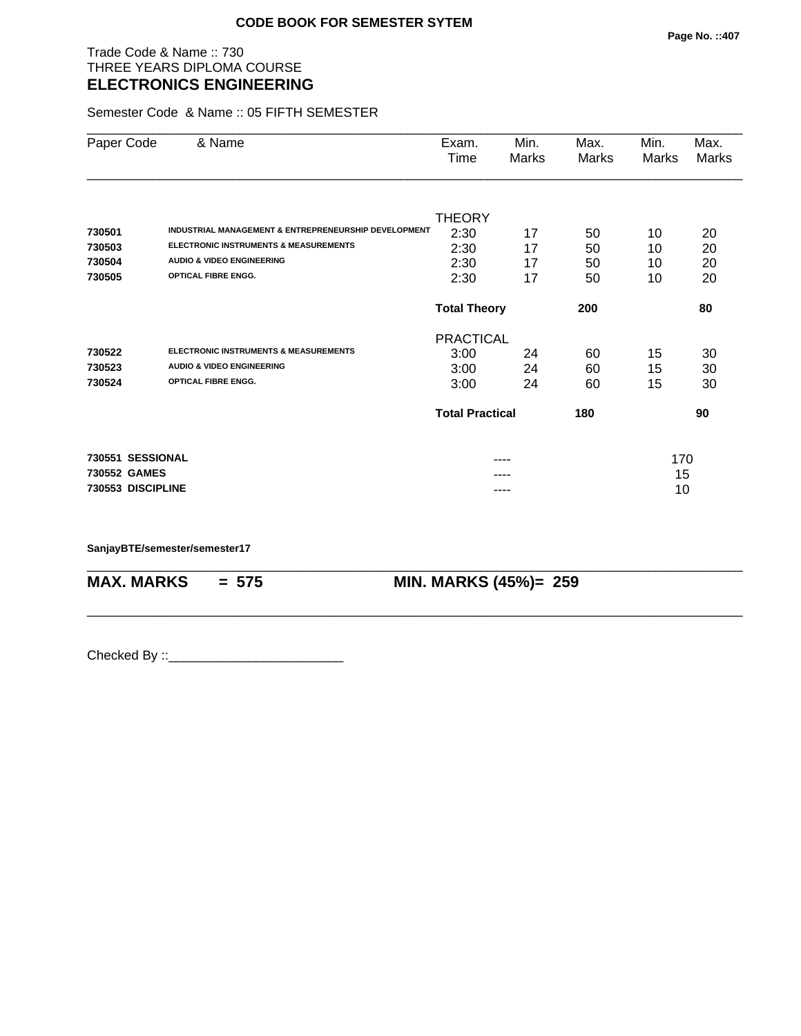## Trade Code & Name :: 730 THREE YEARS DIPLOMA COURSE **ELECTRONICS ENGINEERING**

Semester Code & Name :: 05 FIFTH SEMESTER

| Paper Code        | & Name                                               | Exam.                  | Min.  | Max.  | Min.  | Max.  |
|-------------------|------------------------------------------------------|------------------------|-------|-------|-------|-------|
|                   |                                                      | Time                   | Marks | Marks | Marks | Marks |
|                   |                                                      | <b>THEORY</b>          |       |       |       |       |
| 730501            | INDUSTRIAL MANAGEMENT & ENTREPRENEURSHIP DEVELOPMENT | 2:30                   | 17    | 50    | 10    | 20    |
| 730503            | <b>ELECTRONIC INSTRUMENTS &amp; MEASUREMENTS</b>     | 2:30                   | 17    | 50    | 10    | 20    |
| 730504            | <b>AUDIO &amp; VIDEO ENGINEERING</b>                 | 2:30                   | 17    | 50    | 10    | 20    |
| 730505            | <b>OPTICAL FIBRE ENGG.</b>                           | 2:30                   | 17    | 50    | 10    | 20    |
|                   |                                                      | <b>Total Theory</b>    |       | 200   |       | 80    |
|                   |                                                      | <b>PRACTICAL</b>       |       |       |       |       |
| 730522            | <b>ELECTRONIC INSTRUMENTS &amp; MEASUREMENTS</b>     | 3:00                   | 24    | 60    | 15    | 30    |
| 730523            | <b>AUDIO &amp; VIDEO ENGINEERING</b>                 | 3:00                   | 24    | 60    | 15    | 30    |
| 730524            | <b>OPTICAL FIBRE ENGG.</b>                           | 3:00                   | 24    | 60    | 15    | 30    |
|                   |                                                      | <b>Total Practical</b> |       | 180   |       | 90    |
| 730551 SESSIONAL  |                                                      |                        | ----  |       | 170   |       |
| 730552 GAMES      |                                                      |                        |       |       | 15    |       |
| 730553 DISCIPLINE |                                                      |                        | ----  |       | 10    |       |

\_\_\_\_\_\_\_\_\_\_\_\_\_\_\_\_\_\_\_\_\_\_\_\_\_\_\_\_\_\_\_\_\_\_\_\_\_\_\_\_\_\_\_\_\_\_\_\_\_\_\_\_\_\_\_\_\_\_\_\_\_\_\_\_\_\_\_\_\_\_\_\_\_\_\_\_\_\_\_\_\_\_\_\_\_\_\_\_\_\_

\_\_\_\_\_\_\_\_\_\_\_\_\_\_\_\_\_\_\_\_\_\_\_\_\_\_\_\_\_\_\_\_\_\_\_\_\_\_\_\_\_\_\_\_\_\_\_\_\_\_\_\_\_\_\_\_\_\_\_\_\_\_\_\_\_\_\_\_\_\_\_\_\_\_\_\_\_\_\_\_\_\_\_\_\_\_\_\_\_\_

**SanjayBTE/semester/semester17**

**MAX. MARKS = 575 MIN. MARKS (45%)= 259**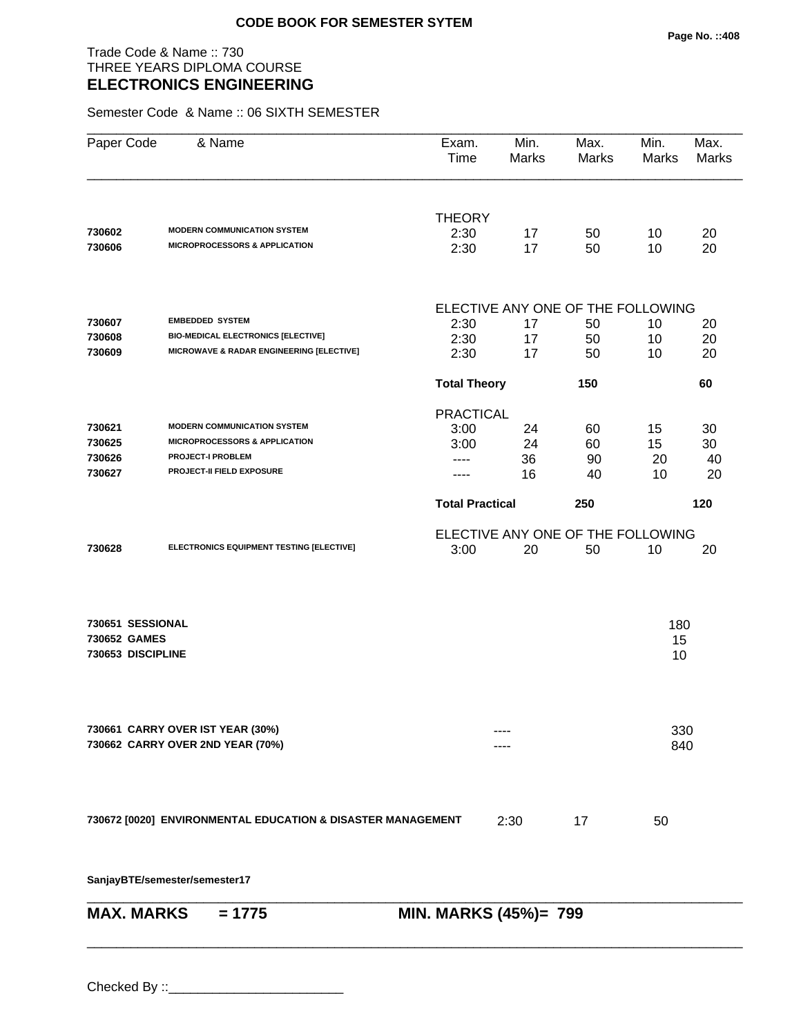## Trade Code & Name :: 730 THREE YEARS DIPLOMA COURSE **ELECTRONICS ENGINEERING**

Semester Code & Name :: 06 SIXTH SEMESTER

| <b>THEORY</b><br><b>MODERN COMMUNICATION SYSTEM</b><br>730602<br>2:30<br>50<br>17<br><b>MICROPROCESSORS &amp; APPLICATION</b><br>730606<br>2:30<br>17<br>50<br>ELECTIVE ANY ONE OF THE FOLLOWING<br><b>EMBEDDED SYSTEM</b><br>730607<br>2:30<br>17<br>50<br><b>BIO-MEDICAL ELECTRONICS [ELECTIVE]</b><br>730608<br>2:30<br>17<br>50<br>MICROWAVE & RADAR ENGINEERING [ELECTIVE]<br>730609<br>2:30<br>17<br>50<br><b>Total Theory</b><br>150<br><b>PRACTICAL</b><br><b>MODERN COMMUNICATION SYSTEM</b><br>730621<br>3:00<br>24<br>60<br><b>MICROPROCESSORS &amp; APPLICATION</b><br>730625<br>3:00<br>24<br>60<br><b>PROJECT-I PROBLEM</b><br>730626<br>36<br>90<br>$- - - -$<br>PROJECT-II FIELD EXPOSURE<br>730627<br>16<br>40<br><b>Total Practical</b><br>250<br>ELECTIVE ANY ONE OF THE FOLLOWING |                 |          |
|-------------------------------------------------------------------------------------------------------------------------------------------------------------------------------------------------------------------------------------------------------------------------------------------------------------------------------------------------------------------------------------------------------------------------------------------------------------------------------------------------------------------------------------------------------------------------------------------------------------------------------------------------------------------------------------------------------------------------------------------------------------------------------------------------------|-----------------|----------|
|                                                                                                                                                                                                                                                                                                                                                                                                                                                                                                                                                                                                                                                                                                                                                                                                       |                 |          |
|                                                                                                                                                                                                                                                                                                                                                                                                                                                                                                                                                                                                                                                                                                                                                                                                       | 10<br>10        | 20<br>20 |
|                                                                                                                                                                                                                                                                                                                                                                                                                                                                                                                                                                                                                                                                                                                                                                                                       |                 |          |
|                                                                                                                                                                                                                                                                                                                                                                                                                                                                                                                                                                                                                                                                                                                                                                                                       | 10              | 20       |
|                                                                                                                                                                                                                                                                                                                                                                                                                                                                                                                                                                                                                                                                                                                                                                                                       | 10              | 20       |
|                                                                                                                                                                                                                                                                                                                                                                                                                                                                                                                                                                                                                                                                                                                                                                                                       | 10              | 20       |
|                                                                                                                                                                                                                                                                                                                                                                                                                                                                                                                                                                                                                                                                                                                                                                                                       |                 | 60       |
|                                                                                                                                                                                                                                                                                                                                                                                                                                                                                                                                                                                                                                                                                                                                                                                                       |                 |          |
|                                                                                                                                                                                                                                                                                                                                                                                                                                                                                                                                                                                                                                                                                                                                                                                                       | 15              | 30       |
|                                                                                                                                                                                                                                                                                                                                                                                                                                                                                                                                                                                                                                                                                                                                                                                                       | 15              | 30       |
|                                                                                                                                                                                                                                                                                                                                                                                                                                                                                                                                                                                                                                                                                                                                                                                                       | 20<br>10        | 40<br>20 |
|                                                                                                                                                                                                                                                                                                                                                                                                                                                                                                                                                                                                                                                                                                                                                                                                       |                 |          |
|                                                                                                                                                                                                                                                                                                                                                                                                                                                                                                                                                                                                                                                                                                                                                                                                       |                 | 120      |
|                                                                                                                                                                                                                                                                                                                                                                                                                                                                                                                                                                                                                                                                                                                                                                                                       |                 |          |
| ELECTRONICS EQUIPMENT TESTING [ELECTIVE]<br>730628<br>3:00<br>20<br>50                                                                                                                                                                                                                                                                                                                                                                                                                                                                                                                                                                                                                                                                                                                                | 10              | 20       |
| 730651 SESSIONAL<br>730652 GAMES<br>730653 DISCIPLINE                                                                                                                                                                                                                                                                                                                                                                                                                                                                                                                                                                                                                                                                                                                                                 | 180<br>15<br>10 |          |
| 730661 CARRY OVER IST YEAR (30%)<br>730662 CARRY OVER 2ND YEAR (70%)                                                                                                                                                                                                                                                                                                                                                                                                                                                                                                                                                                                                                                                                                                                                  | 330<br>840      |          |
| 730672 [0020] ENVIRONMENTAL EDUCATION & DISASTER MANAGEMENT<br>2:30<br>17                                                                                                                                                                                                                                                                                                                                                                                                                                                                                                                                                                                                                                                                                                                             | 50              |          |
| SanjayBTE/semester/semester17                                                                                                                                                                                                                                                                                                                                                                                                                                                                                                                                                                                                                                                                                                                                                                         |                 |          |
| <b>MAX. MARKS</b><br>MIN. MARKS (45%)= 799<br>$= 1775$                                                                                                                                                                                                                                                                                                                                                                                                                                                                                                                                                                                                                                                                                                                                                |                 |          |

\_\_\_\_\_\_\_\_\_\_\_\_\_\_\_\_\_\_\_\_\_\_\_\_\_\_\_\_\_\_\_\_\_\_\_\_\_\_\_\_\_\_\_\_\_\_\_\_\_\_\_\_\_\_\_\_\_\_\_\_\_\_\_\_\_\_\_\_\_\_\_\_\_\_\_\_\_\_\_\_\_\_\_\_\_\_\_\_\_\_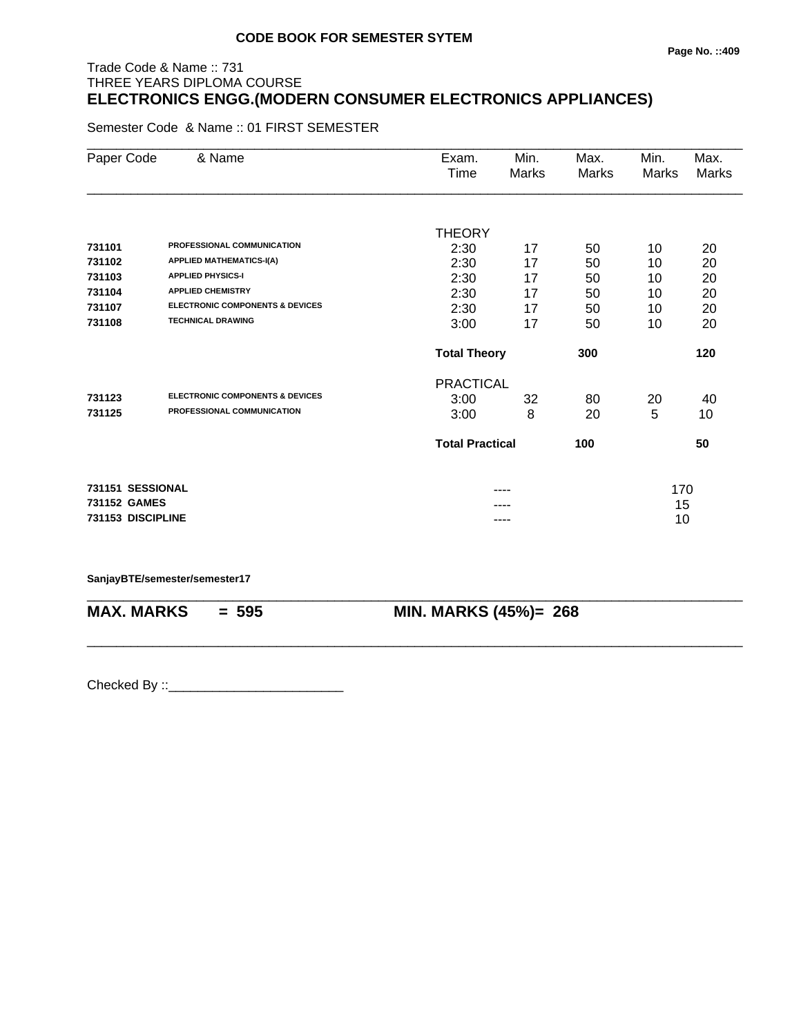## Trade Code & Name :: 731 THREE YEARS DIPLOMA COURSE **ELECTRONICS ENGG.(MODERN CONSUMER ELECTRONICS APPLIANCES)**

Semester Code & Name :: 01 FIRST SEMESTER

| Paper Code        | & Name                                     | Exam.<br>Time          | Min.<br>Marks | Max.<br>Marks | Min.<br>Marks | Max.<br>Marks |
|-------------------|--------------------------------------------|------------------------|---------------|---------------|---------------|---------------|
|                   |                                            |                        |               |               |               |               |
|                   |                                            | <b>THEORY</b>          |               |               |               |               |
| 731101            | PROFESSIONAL COMMUNICATION                 | 2:30                   | 17            | 50            | 10            | 20            |
| 731102            | <b>APPLIED MATHEMATICS-I(A)</b>            | 2:30                   | 17            | 50            | 10            | 20            |
| 731103            | <b>APPLIED PHYSICS-I</b>                   | 2:30                   | 17            | 50            | 10            | 20            |
| 731104            | <b>APPLIED CHEMISTRY</b>                   | 2:30                   | 17            | 50            | 10            | 20            |
| 731107            | <b>ELECTRONIC COMPONENTS &amp; DEVICES</b> | 2:30                   | 17            | 50            | 10            | 20            |
| 731108            | <b>TECHNICAL DRAWING</b>                   | 3:00                   | 17            | 50            | 10            | 20            |
|                   |                                            | <b>Total Theory</b>    |               | 300           |               | 120           |
|                   |                                            | <b>PRACTICAL</b>       |               |               |               |               |
| 731123            | <b>ELECTRONIC COMPONENTS &amp; DEVICES</b> | 3:00                   | 32            | 80            | 20            | 40            |
| 731125            | PROFESSIONAL COMMUNICATION                 | 3:00                   | 8             | 20            | 5             | 10            |
|                   |                                            | <b>Total Practical</b> |               | 100           |               | 50            |
| 731151 SESSIONAL  |                                            |                        |               |               | 170           |               |
| 731152 GAMES      |                                            |                        |               |               | 15            |               |
| 731153 DISCIPLINE |                                            |                        | ----          |               | 10            |               |

\_\_\_\_\_\_\_\_\_\_\_\_\_\_\_\_\_\_\_\_\_\_\_\_\_\_\_\_\_\_\_\_\_\_\_\_\_\_\_\_\_\_\_\_\_\_\_\_\_\_\_\_\_\_\_\_\_\_\_\_\_\_\_\_\_\_\_\_\_\_\_\_\_\_\_\_\_\_\_\_\_\_\_\_\_\_\_\_\_\_

\_\_\_\_\_\_\_\_\_\_\_\_\_\_\_\_\_\_\_\_\_\_\_\_\_\_\_\_\_\_\_\_\_\_\_\_\_\_\_\_\_\_\_\_\_\_\_\_\_\_\_\_\_\_\_\_\_\_\_\_\_\_\_\_\_\_\_\_\_\_\_\_\_\_\_\_\_\_\_\_\_\_\_\_\_\_\_\_\_\_

#### **SanjayBTE/semester/semester17**

**MAX. MARKS = 595 MIN. MARKS (45%)= 268**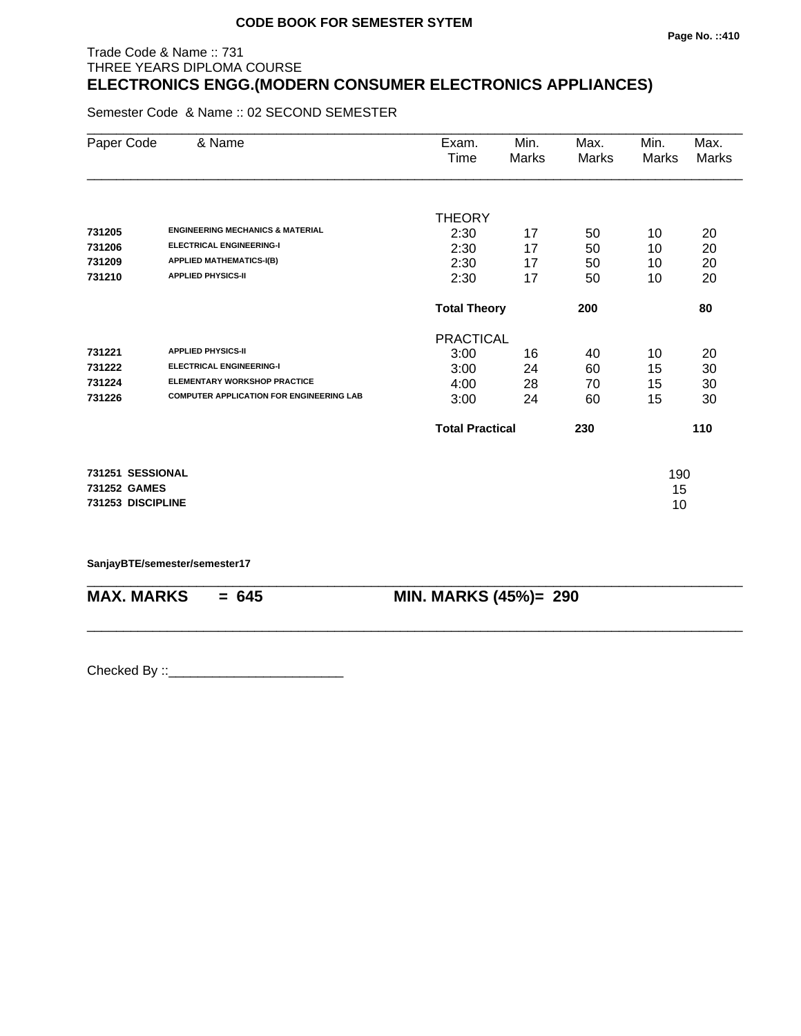#### **Page No. ::410**

## Trade Code & Name :: 731 THREE YEARS DIPLOMA COURSE **ELECTRONICS ENGG.(MODERN CONSUMER ELECTRONICS APPLIANCES)**

Semester Code & Name :: 02 SECOND SEMESTER

| Paper Code        | & Name                                          | Exam.                  | Min.                       | Max.  | Min.  | Max.  |
|-------------------|-------------------------------------------------|------------------------|----------------------------|-------|-------|-------|
|                   |                                                 | Time                   | Marks                      | Marks | Marks | Marks |
|                   |                                                 |                        |                            |       |       |       |
|                   |                                                 | <b>THEORY</b>          |                            |       |       |       |
| 731205            | <b>ENGINEERING MECHANICS &amp; MATERIAL</b>     | 2:30                   | 17                         | 50    | 10    | 20    |
| 731206            | <b>ELECTRICAL ENGINEERING-I</b>                 | 2:30                   | 17                         | 50    | 10    | 20    |
| 731209            | <b>APPLIED MATHEMATICS-I(B)</b>                 | 2:30                   | 17                         | 50    | 10    | 20    |
| 731210            | <b>APPLIED PHYSICS-II</b>                       | 2:30                   | 17                         | 50    | 10    | 20    |
|                   |                                                 |                        | 200<br><b>Total Theory</b> |       |       | 80    |
|                   |                                                 | <b>PRACTICAL</b>       |                            |       |       |       |
| 731221            | <b>APPLIED PHYSICS-II</b>                       | 3:00                   | 16                         | 40    | 10    | 20    |
| 731222            | <b>ELECTRICAL ENGINEERING-I</b>                 | 3:00                   | 24                         | 60    | 15    | 30    |
| 731224            | <b>ELEMENTARY WORKSHOP PRACTICE</b>             | 4:00                   | 28                         | 70    | 15    | 30    |
| 731226            | <b>COMPUTER APPLICATION FOR ENGINEERING LAB</b> | 3:00                   | 24                         | 60    | 15    | 30    |
|                   |                                                 | <b>Total Practical</b> |                            | 230   |       | 110   |
| 731251 SESSIONAL  |                                                 |                        |                            |       | 190   |       |
| 731252 GAMES      |                                                 |                        |                            |       | 15    |       |
| 731253 DISCIPLINE |                                                 |                        |                            |       | 10    |       |
|                   |                                                 |                        |                            |       |       |       |

\_\_\_\_\_\_\_\_\_\_\_\_\_\_\_\_\_\_\_\_\_\_\_\_\_\_\_\_\_\_\_\_\_\_\_\_\_\_\_\_\_\_\_\_\_\_\_\_\_\_\_\_\_\_\_\_\_\_\_\_\_\_\_\_\_\_\_\_\_\_\_\_\_\_\_\_\_\_\_\_\_\_\_\_\_\_\_\_\_\_

\_\_\_\_\_\_\_\_\_\_\_\_\_\_\_\_\_\_\_\_\_\_\_\_\_\_\_\_\_\_\_\_\_\_\_\_\_\_\_\_\_\_\_\_\_\_\_\_\_\_\_\_\_\_\_\_\_\_\_\_\_\_\_\_\_\_\_\_\_\_\_\_\_\_\_\_\_\_\_\_\_\_\_\_\_\_\_\_\_\_

**SanjayBTE/semester/semester17**

**MAX. MARKS = 645 MIN. MARKS (45%)= 290**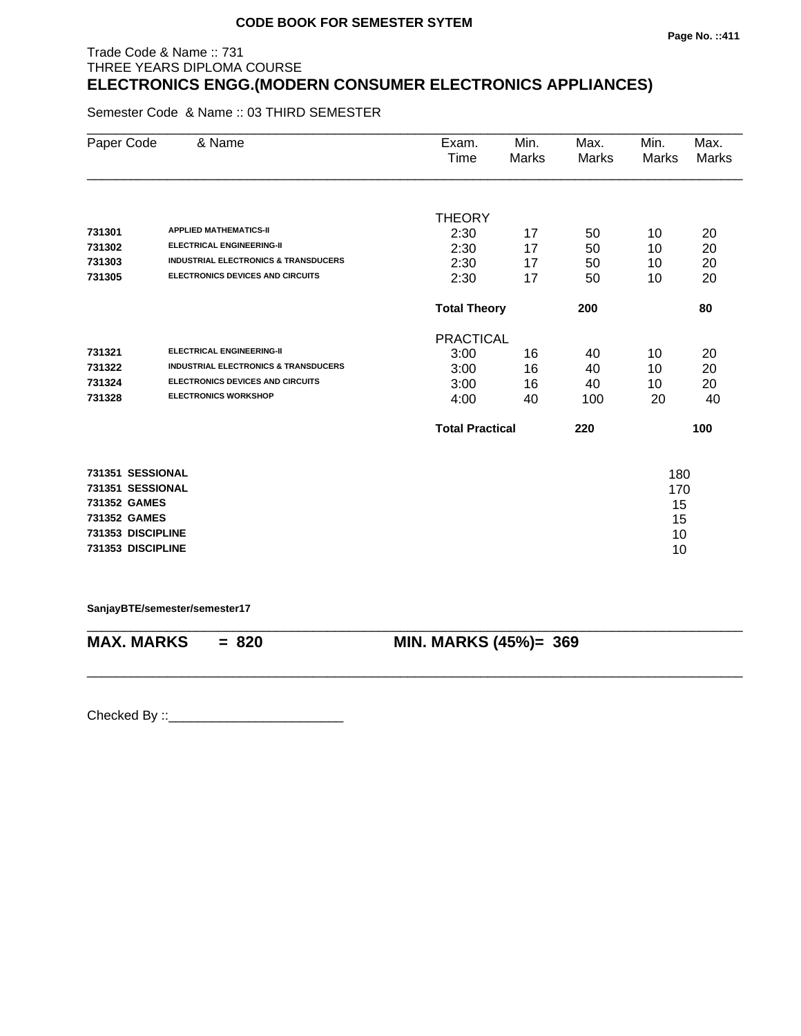## Trade Code & Name :: 731 THREE YEARS DIPLOMA COURSE **ELECTRONICS ENGG.(MODERN CONSUMER ELECTRONICS APPLIANCES)**

Semester Code & Name :: 03 THIRD SEMESTER

| Paper Code        | & Name                                          | Exam.<br>Time          | Min.<br><b>Marks</b> | Max.<br><b>Marks</b> | Min.<br><b>Marks</b> | Max.<br><b>Marks</b> |
|-------------------|-------------------------------------------------|------------------------|----------------------|----------------------|----------------------|----------------------|
|                   |                                                 |                        |                      |                      |                      |                      |
|                   |                                                 | <b>THEORY</b>          |                      |                      |                      |                      |
| 731301            | <b>APPLIED MATHEMATICS-II</b>                   | 2:30                   | 17                   | 50                   | 10                   | 20                   |
| 731302            | <b>ELECTRICAL ENGINEERING-II</b>                | 2:30                   | 17                   | 50                   | 10                   | 20                   |
| 731303            | <b>INDUSTRIAL ELECTRONICS &amp; TRANSDUCERS</b> | 2:30                   | 17                   | 50                   | 10                   | 20                   |
| 731305            | ELECTRONICS DEVICES AND CIRCUITS                | 2:30                   | 17                   | 50                   | 10                   | 20                   |
|                   |                                                 | <b>Total Theory</b>    |                      | 200                  |                      | 80                   |
|                   |                                                 | <b>PRACTICAL</b>       |                      |                      |                      |                      |
| 731321            | <b>ELECTRICAL ENGINEERING-II</b>                | 3:00                   | 16                   | 40                   | 10                   | 20                   |
| 731322            | <b>INDUSTRIAL ELECTRONICS &amp; TRANSDUCERS</b> | 3:00                   | 16                   | 40                   | 10                   | 20                   |
| 731324            | <b>ELECTRONICS DEVICES AND CIRCUITS</b>         | 3:00                   | 16                   | 40                   | 10                   | 20                   |
| 731328            | <b>ELECTRONICS WORKSHOP</b>                     | 4:00                   | 40                   | 100                  | 20                   | 40                   |
|                   |                                                 | <b>Total Practical</b> |                      | 220                  |                      | 100                  |
| 731351 SESSIONAL  |                                                 |                        |                      |                      | 180                  |                      |
| 731351 SESSIONAL  |                                                 |                        |                      |                      | 170                  |                      |
| 731352 GAMES      |                                                 |                        |                      |                      | 15                   |                      |
| 731352 GAMES      |                                                 |                        |                      |                      | 15                   |                      |
| 731353 DISCIPLINE |                                                 |                        |                      |                      | 10                   |                      |
| 731353 DISCIPLINE |                                                 |                        |                      |                      | 10                   |                      |
|                   |                                                 |                        |                      |                      |                      |                      |

**SanjayBTE/semester/semester17**

\_\_\_\_\_\_\_\_\_\_\_\_\_\_\_\_\_\_\_\_\_\_\_\_\_\_\_\_\_\_\_\_\_\_\_\_\_\_\_\_\_\_\_\_\_\_\_\_\_\_\_\_\_\_\_\_\_\_\_\_\_\_\_\_\_\_\_\_\_\_\_\_\_\_\_\_\_\_\_\_\_\_\_\_\_\_\_\_\_\_ **MAX. MARKS = 820 MIN. MARKS (45%)= 369**

\_\_\_\_\_\_\_\_\_\_\_\_\_\_\_\_\_\_\_\_\_\_\_\_\_\_\_\_\_\_\_\_\_\_\_\_\_\_\_\_\_\_\_\_\_\_\_\_\_\_\_\_\_\_\_\_\_\_\_\_\_\_\_\_\_\_\_\_\_\_\_\_\_\_\_\_\_\_\_\_\_\_\_\_\_\_\_\_\_\_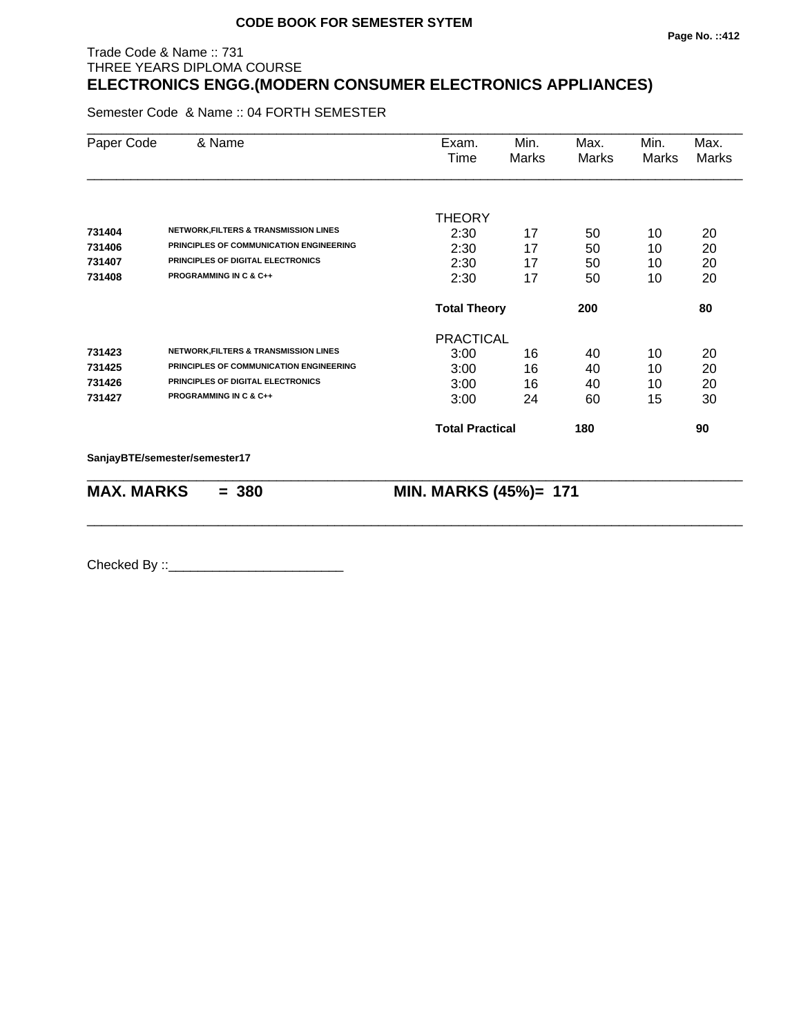#### **Page No. ::412**

## Trade Code & Name :: 731 THREE YEARS DIPLOMA COURSE **ELECTRONICS ENGG.(MODERN CONSUMER ELECTRONICS APPLIANCES)**

Semester Code & Name :: 04 FORTH SEMESTER

| Paper Code        | & Name                                           | Exam.<br>Time          | Min.<br><b>Marks</b> | Max.<br>Marks | Min.<br>Marks | Max.<br>Marks |
|-------------------|--------------------------------------------------|------------------------|----------------------|---------------|---------------|---------------|
|                   |                                                  | <b>THEORY</b>          |                      |               |               |               |
| 731404            | <b>NETWORK, FILTERS &amp; TRANSMISSION LINES</b> | 2:30                   | 17                   | 50            | 10            | 20            |
| 731406            | PRINCIPLES OF COMMUNICATION ENGINEERING          | 2:30                   | 17                   | 50            | 10            | 20            |
| 731407            | PRINCIPLES OF DIGITAL ELECTRONICS                | 2:30                   | 17                   | 50            | 10            | 20            |
| 731408            | <b>PROGRAMMING IN C &amp; C++</b>                | 2:30                   | 17                   | 50            | 10            | 20            |
|                   |                                                  | <b>Total Theory</b>    |                      | 200           |               | 80            |
|                   |                                                  | <b>PRACTICAL</b>       |                      |               |               |               |
| 731423            | <b>NETWORK, FILTERS &amp; TRANSMISSION LINES</b> | 3:00                   | 16                   | 40            | 10            | 20            |
| 731425            | PRINCIPLES OF COMMUNICATION ENGINEERING          | 3:00                   | 16                   | 40            | 10            | 20            |
| 731426            | PRINCIPLES OF DIGITAL ELECTRONICS                | 3:00                   | 16                   | 40            | 10            | 20            |
| 731427            | <b>PROGRAMMING IN C &amp; C++</b>                | 3:00                   | 24                   | 60            | 15            | 30            |
|                   |                                                  | <b>Total Practical</b> |                      | 180           |               | 90            |
|                   | SanjayBTE/semester/semester17                    |                        |                      |               |               |               |
| <b>MAX. MARKS</b> | $= 380$                                          | MIN. MARKS (45%)= 171  |                      |               |               |               |

\_\_\_\_\_\_\_\_\_\_\_\_\_\_\_\_\_\_\_\_\_\_\_\_\_\_\_\_\_\_\_\_\_\_\_\_\_\_\_\_\_\_\_\_\_\_\_\_\_\_\_\_\_\_\_\_\_\_\_\_\_\_\_\_\_\_\_\_\_\_\_\_\_\_\_\_\_\_\_\_\_\_\_\_\_\_\_\_\_\_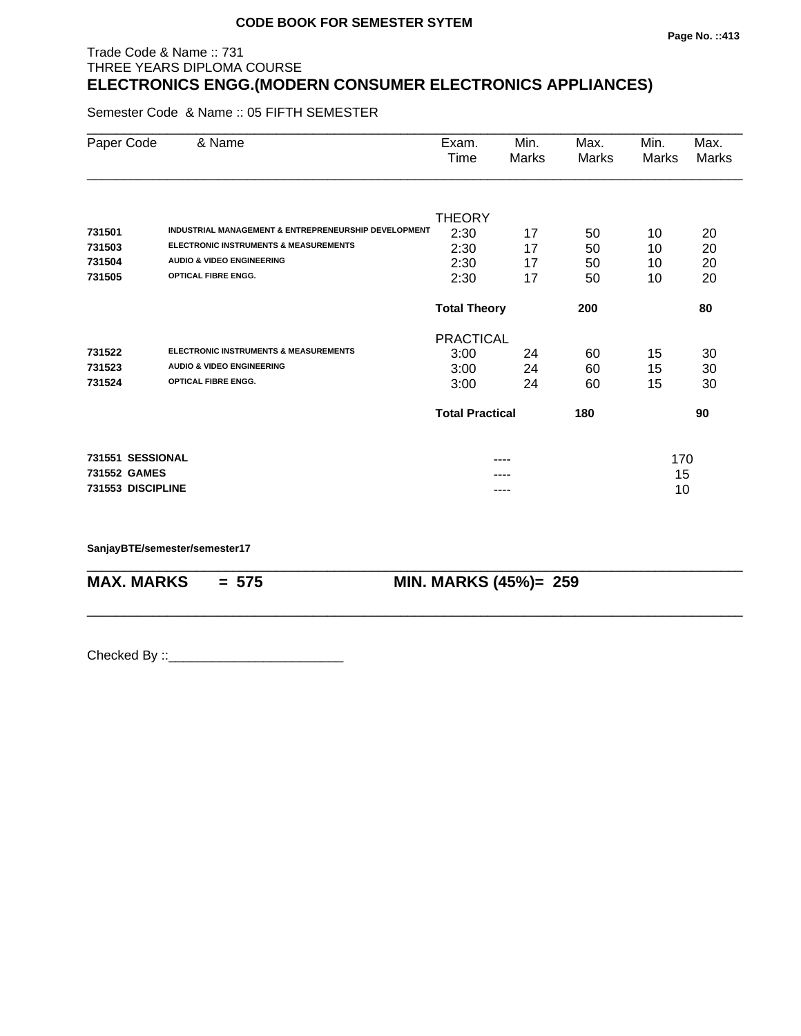## Trade Code & Name :: 731 THREE YEARS DIPLOMA COURSE **ELECTRONICS ENGG.(MODERN CONSUMER ELECTRONICS APPLIANCES)**

Semester Code & Name :: 05 FIFTH SEMESTER

| Paper Code        | & Name                                                          | Exam.                      | Min.  | Max.  | Min.  | Max.  |
|-------------------|-----------------------------------------------------------------|----------------------------|-------|-------|-------|-------|
|                   |                                                                 | Time                       | Marks | Marks | Marks | Marks |
|                   |                                                                 |                            |       |       |       |       |
|                   |                                                                 | <b>THEORY</b>              |       |       |       |       |
| 731501            | <b>INDUSTRIAL MANAGEMENT &amp; ENTREPRENEURSHIP DEVELOPMENT</b> | 2:30                       | 17    | 50    | 10    | 20    |
| 731503            | <b>ELECTRONIC INSTRUMENTS &amp; MEASUREMENTS</b>                | 2:30                       | 17    | 50    | 10    | 20    |
| 731504            | <b>AUDIO &amp; VIDEO ENGINEERING</b>                            | 2:30                       | 17    | 50    | 10    | 20    |
| 731505            | <b>OPTICAL FIBRE ENGG.</b>                                      | 2:30                       | 17    | 50    | 10    | 20    |
|                   |                                                                 | 200<br><b>Total Theory</b> |       |       |       | 80    |
|                   |                                                                 | <b>PRACTICAL</b>           |       |       |       |       |
| 731522            | <b>ELECTRONIC INSTRUMENTS &amp; MEASUREMENTS</b>                | 3:00                       | 24    | 60    | 15    | 30    |
| 731523            | <b>AUDIO &amp; VIDEO ENGINEERING</b>                            | 3:00                       | 24    | 60    | 15    | 30    |
| 731524            | <b>OPTICAL FIBRE ENGG.</b>                                      | 3:00                       | 24    | 60    | 15    | 30    |
|                   |                                                                 | <b>Total Practical</b>     |       | 180   |       | 90    |
| 731551 SESSIONAL  |                                                                 |                            |       |       | 170   |       |
| 731552 GAMES      |                                                                 |                            |       |       | 15    |       |
| 731553 DISCIPLINE |                                                                 |                            |       |       | 10    |       |

\_\_\_\_\_\_\_\_\_\_\_\_\_\_\_\_\_\_\_\_\_\_\_\_\_\_\_\_\_\_\_\_\_\_\_\_\_\_\_\_\_\_\_\_\_\_\_\_\_\_\_\_\_\_\_\_\_\_\_\_\_\_\_\_\_\_\_\_\_\_\_\_\_\_\_\_\_\_\_\_\_\_\_\_\_\_\_\_\_\_

\_\_\_\_\_\_\_\_\_\_\_\_\_\_\_\_\_\_\_\_\_\_\_\_\_\_\_\_\_\_\_\_\_\_\_\_\_\_\_\_\_\_\_\_\_\_\_\_\_\_\_\_\_\_\_\_\_\_\_\_\_\_\_\_\_\_\_\_\_\_\_\_\_\_\_\_\_\_\_\_\_\_\_\_\_\_\_\_\_\_

**SanjayBTE/semester/semester17**

**MAX. MARKS = 575 MIN. MARKS (45%)= 259**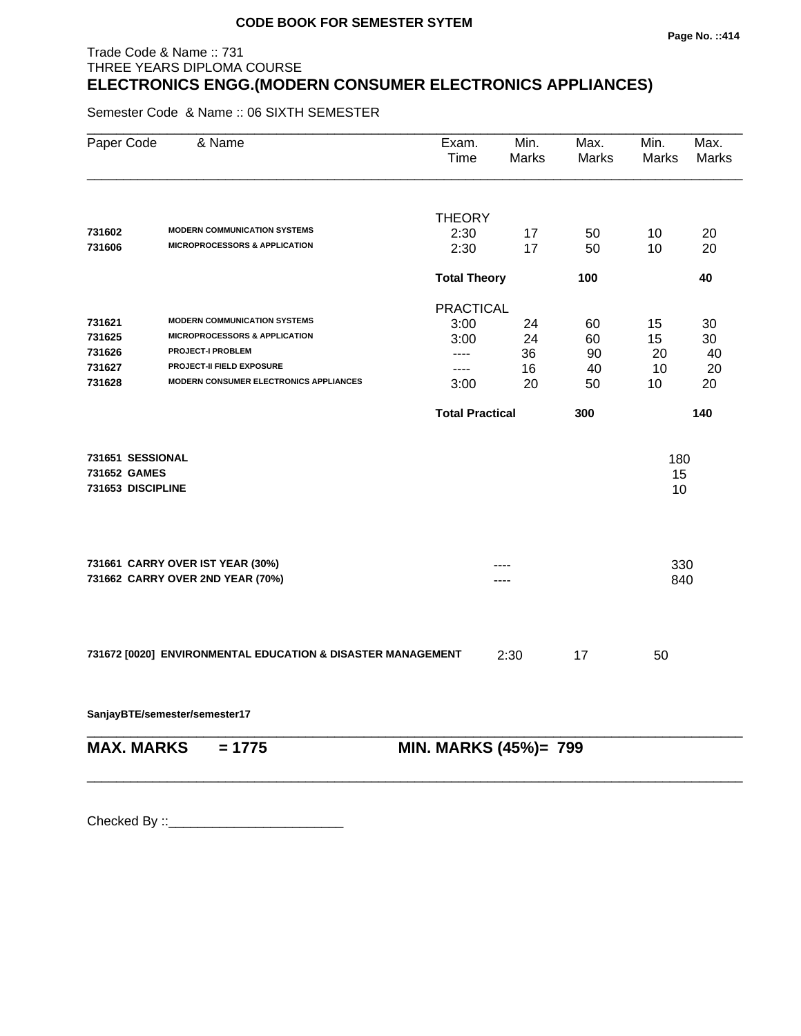## Trade Code & Name :: 731 THREE YEARS DIPLOMA COURSE **ELECTRONICS ENGG.(MODERN CONSUMER ELECTRONICS APPLIANCES)**

Semester Code & Name :: 06 SIXTH SEMESTER

| Paper Code        | & Name                                                      | Exam.<br>Time          | Min.<br><b>Marks</b> | Max.<br>Marks | Min.<br>Marks | Max.<br><b>Marks</b> |
|-------------------|-------------------------------------------------------------|------------------------|----------------------|---------------|---------------|----------------------|
|                   |                                                             |                        |                      |               |               |                      |
|                   | <b>MODERN COMMUNICATION SYSTEMS</b>                         | <b>THEORY</b>          |                      |               |               |                      |
| 731602<br>731606  | <b>MICROPROCESSORS &amp; APPLICATION</b>                    | 2:30                   | 17                   | 50            | 10            | 20                   |
|                   |                                                             | 2:30                   | 17                   | 50            | 10            | 20                   |
|                   |                                                             | <b>Total Theory</b>    |                      | 100           |               | 40                   |
|                   |                                                             | <b>PRACTICAL</b>       |                      |               |               |                      |
| 731621            | <b>MODERN COMMUNICATION SYSTEMS</b>                         | 3:00                   | 24                   | 60            | 15            | 30                   |
| 731625            | <b>MICROPROCESSORS &amp; APPLICATION</b>                    | 3:00                   | 24                   | 60            | 15            | 30                   |
| 731626            | <b>PROJECT-I PROBLEM</b>                                    | $---$                  | 36                   | 90            | 20            | 40                   |
| 731627            | <b>PROJECT-II FIELD EXPOSURE</b>                            | $---$                  | 16                   | 40            | 10            | 20                   |
| 731628            | <b>MODERN CONSUMER ELECTRONICS APPLIANCES</b>               | 3:00                   | 20                   | 50            | 10            | 20                   |
|                   |                                                             | <b>Total Practical</b> |                      | 300           |               | 140                  |
| 731651 SESSIONAL  |                                                             |                        |                      |               | 180           |                      |
| 731652 GAMES      |                                                             |                        |                      |               | 15            |                      |
| 731653 DISCIPLINE |                                                             |                        |                      |               | 10            |                      |
|                   | 731661 CARRY OVER IST YEAR (30%)                            |                        |                      |               | 330           |                      |
|                   | 731662 CARRY OVER 2ND YEAR (70%)                            |                        |                      |               | 840           |                      |
|                   |                                                             |                        |                      |               |               |                      |
|                   | 731672 [0020] ENVIRONMENTAL EDUCATION & DISASTER MANAGEMENT |                        | 2:30                 | 17            | 50            |                      |
|                   | SanjayBTE/semester/semester17                               |                        |                      |               |               |                      |
| <b>MAX. MARKS</b> | $= 1775$                                                    | MIN. MARKS (45%)= 799  |                      |               |               |                      |
|                   |                                                             |                        |                      |               |               |                      |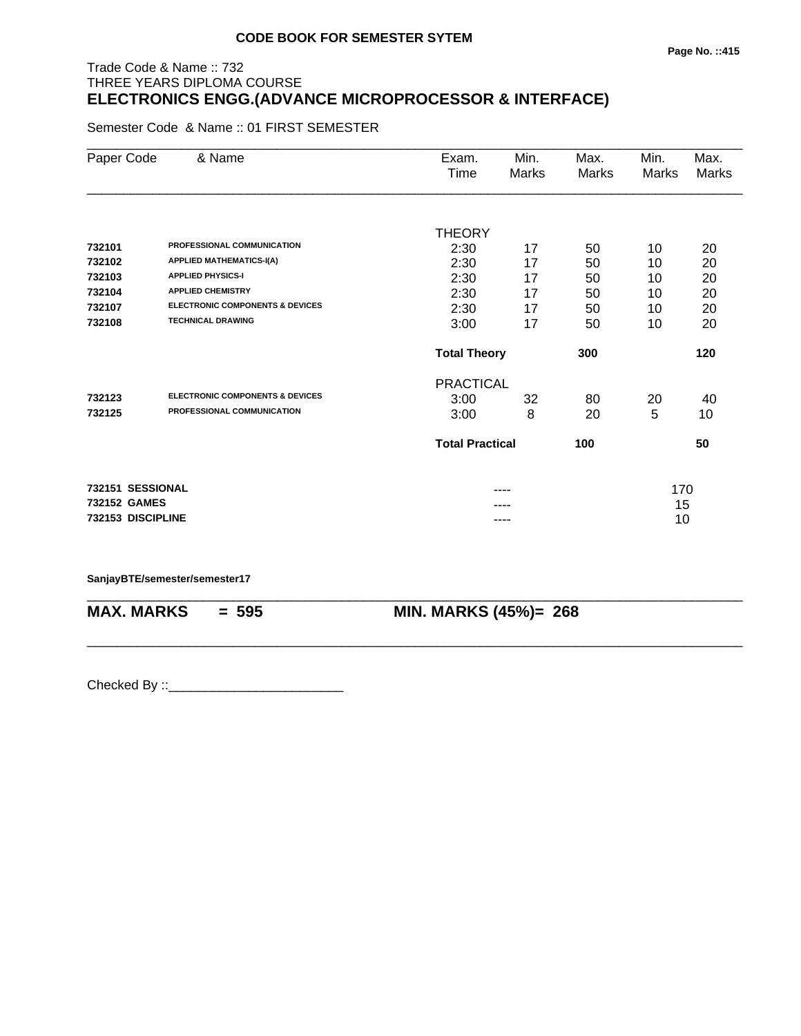## Trade Code & Name :: 732 THREE YEARS DIPLOMA COURSE **ELECTRONICS ENGG.(ADVANCE MICROPROCESSOR & INTERFACE)**

Semester Code & Name :: 01 FIRST SEMESTER

| Paper Code        | & Name                                     | Exam.<br>Time          | Min.<br>Marks | Max.<br>Marks | Min.<br>Marks | Max.<br>Marks |
|-------------------|--------------------------------------------|------------------------|---------------|---------------|---------------|---------------|
|                   |                                            |                        |               |               |               |               |
|                   |                                            | <b>THEORY</b>          |               |               |               |               |
| 732101            | PROFESSIONAL COMMUNICATION                 | 2:30                   | 17            | 50            | 10            | 20            |
| 732102            | <b>APPLIED MATHEMATICS-I(A)</b>            | 2:30                   | 17            | 50            | 10            | 20            |
| 732103            | <b>APPLIED PHYSICS-I</b>                   | 2:30                   | 17            | 50            | 10            | 20            |
| 732104            | <b>APPLIED CHEMISTRY</b>                   | 2:30                   | 17            | 50            | 10            | 20            |
| 732107            | <b>ELECTRONIC COMPONENTS &amp; DEVICES</b> | 2:30                   | 17            | 50            | 10            | 20            |
| 732108            | <b>TECHNICAL DRAWING</b>                   | 3:00                   | 17            | 50            | 10            | 20            |
|                   |                                            | <b>Total Theory</b>    |               | 300           |               | 120           |
|                   |                                            | <b>PRACTICAL</b>       |               |               |               |               |
| 732123            | <b>ELECTRONIC COMPONENTS &amp; DEVICES</b> | 3:00                   | 32            | 80            | 20            | 40            |
| 732125            | PROFESSIONAL COMMUNICATION                 | 3:00                   | 8             | 20            | 5             | 10            |
|                   |                                            | <b>Total Practical</b> |               | 100           |               | 50            |
| 732151 SESSIONAL  |                                            |                        |               |               | 170           |               |
| 732152 GAMES      |                                            |                        |               |               | 15            |               |
| 732153 DISCIPLINE |                                            |                        | ----          |               | 10            |               |

\_\_\_\_\_\_\_\_\_\_\_\_\_\_\_\_\_\_\_\_\_\_\_\_\_\_\_\_\_\_\_\_\_\_\_\_\_\_\_\_\_\_\_\_\_\_\_\_\_\_\_\_\_\_\_\_\_\_\_\_\_\_\_\_\_\_\_\_\_\_\_\_\_\_\_\_\_\_\_\_\_\_\_\_\_\_\_\_\_\_

\_\_\_\_\_\_\_\_\_\_\_\_\_\_\_\_\_\_\_\_\_\_\_\_\_\_\_\_\_\_\_\_\_\_\_\_\_\_\_\_\_\_\_\_\_\_\_\_\_\_\_\_\_\_\_\_\_\_\_\_\_\_\_\_\_\_\_\_\_\_\_\_\_\_\_\_\_\_\_\_\_\_\_\_\_\_\_\_\_\_

#### **SanjayBTE/semester/semester17**

**MAX. MARKS = 595 MIN. MARKS (45%)= 268**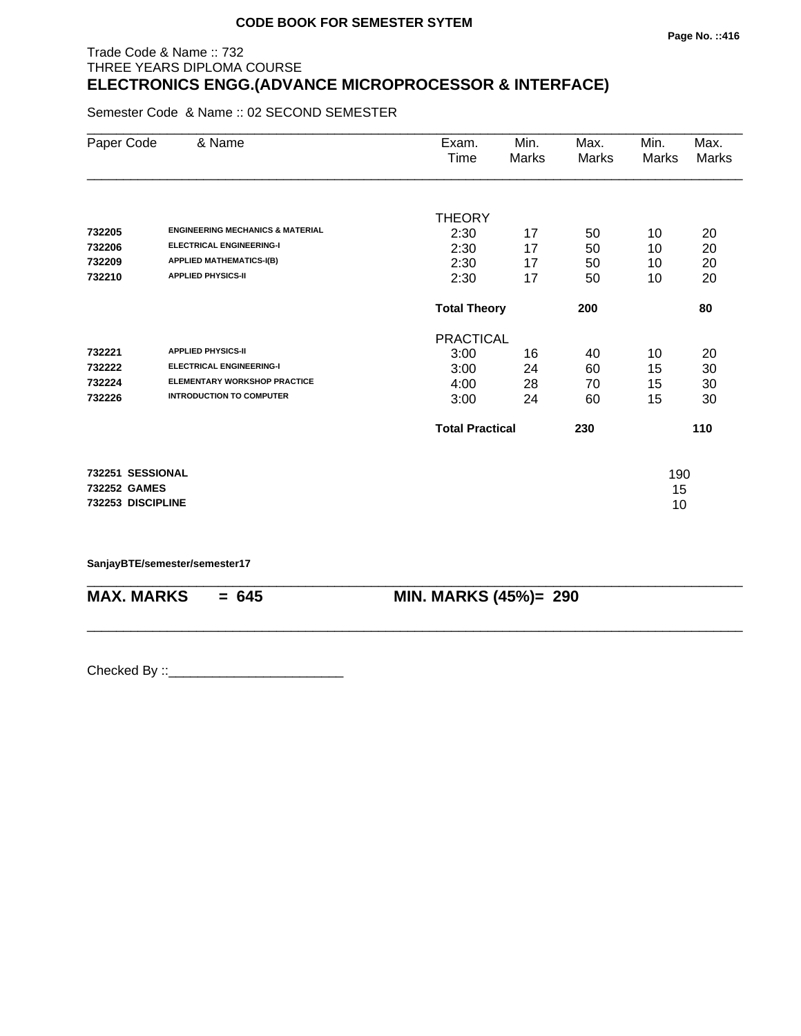## Trade Code & Name :: 732 THREE YEARS DIPLOMA COURSE **ELECTRONICS ENGG.(ADVANCE MICROPROCESSOR & INTERFACE)**

Semester Code & Name :: 02 SECOND SEMESTER

| Paper Code        | & Name                                      | Exam.                  | Min.                       | Max.  | Min.  | Max.  |
|-------------------|---------------------------------------------|------------------------|----------------------------|-------|-------|-------|
|                   |                                             | Time                   | Marks                      | Marks | Marks | Marks |
|                   |                                             |                        |                            |       |       |       |
|                   |                                             | <b>THEORY</b>          |                            |       |       |       |
| 732205            | <b>ENGINEERING MECHANICS &amp; MATERIAL</b> | 2:30                   | 17                         | 50    | 10    | 20    |
| 732206            | <b>ELECTRICAL ENGINEERING-I</b>             | 2:30                   | 17                         | 50    | 10    | 20    |
| 732209            | <b>APPLIED MATHEMATICS-I(B)</b>             | 2:30                   | 17                         | 50    | 10    | 20    |
| 732210            | <b>APPLIED PHYSICS-II</b>                   | 2:30                   | 17                         | 50    | 10    | 20    |
|                   |                                             |                        | <b>Total Theory</b><br>200 |       |       |       |
|                   |                                             | <b>PRACTICAL</b>       |                            |       |       |       |
| 732221            | <b>APPLIED PHYSICS-II</b>                   | 3:00                   | 16                         | 40    | 10    | 20    |
| 732222            | <b>ELECTRICAL ENGINEERING-I</b>             | 3:00                   | 24                         | 60    | 15    | 30    |
| 732224            | <b>ELEMENTARY WORKSHOP PRACTICE</b>         | 4:00                   | 28                         | 70    | 15    | 30    |
| 732226            | <b>INTRODUCTION TO COMPUTER</b>             | 3:00                   | 24                         | 60    | 15    | 30    |
|                   |                                             | <b>Total Practical</b> |                            | 230   |       | 110   |
| 732251 SESSIONAL  |                                             |                        |                            |       | 190   |       |
| 732252 GAMES      |                                             |                        |                            |       | 15    |       |
| 732253 DISCIPLINE |                                             |                        |                            |       | 10    |       |

\_\_\_\_\_\_\_\_\_\_\_\_\_\_\_\_\_\_\_\_\_\_\_\_\_\_\_\_\_\_\_\_\_\_\_\_\_\_\_\_\_\_\_\_\_\_\_\_\_\_\_\_\_\_\_\_\_\_\_\_\_\_\_\_\_\_\_\_\_\_\_\_\_\_\_\_\_\_\_\_\_\_\_\_\_\_\_\_\_\_

\_\_\_\_\_\_\_\_\_\_\_\_\_\_\_\_\_\_\_\_\_\_\_\_\_\_\_\_\_\_\_\_\_\_\_\_\_\_\_\_\_\_\_\_\_\_\_\_\_\_\_\_\_\_\_\_\_\_\_\_\_\_\_\_\_\_\_\_\_\_\_\_\_\_\_\_\_\_\_\_\_\_\_\_\_\_\_\_\_\_

**SanjayBTE/semester/semester17**

**MAX. MARKS = 645 MIN. MARKS (45%)= 290**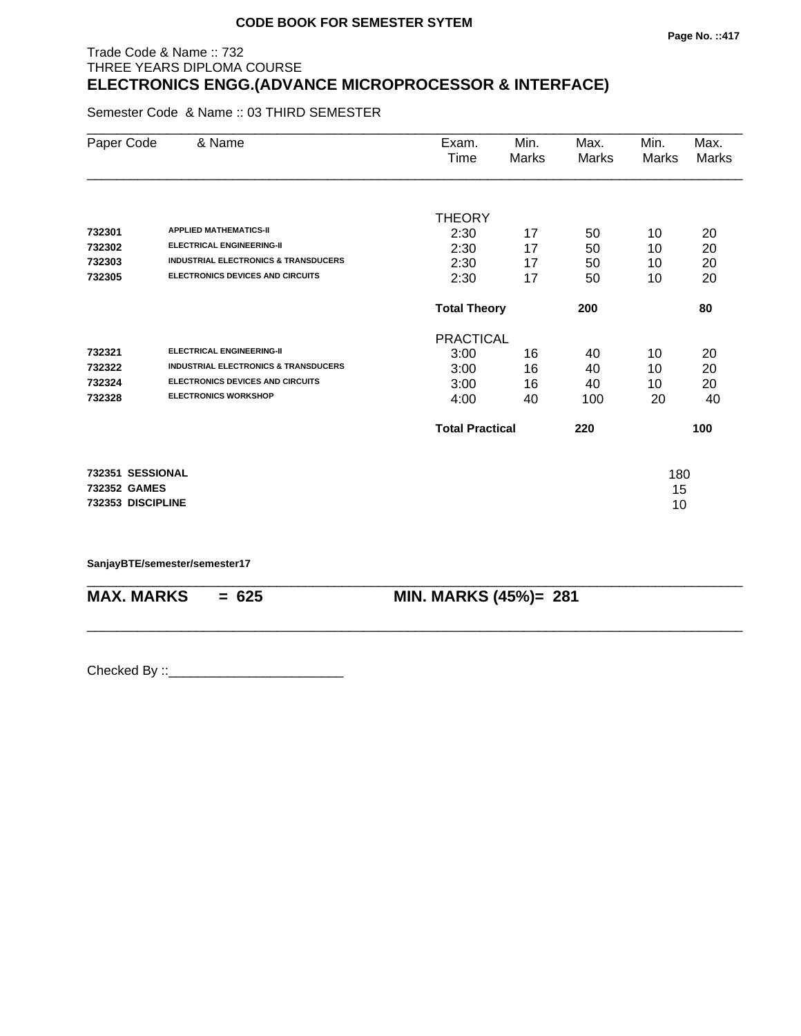## **Page No. ::417**

## Trade Code & Name :: 732 THREE YEARS DIPLOMA COURSE **ELECTRONICS ENGG.(ADVANCE MICROPROCESSOR & INTERFACE)**

Semester Code & Name :: 03 THIRD SEMESTER

| Paper Code        | & Name                                          | Exam.                  | Min.  | Max.  | Min.  | Max.  |
|-------------------|-------------------------------------------------|------------------------|-------|-------|-------|-------|
|                   |                                                 | Time                   | Marks | Marks | Marks | Marks |
|                   |                                                 |                        |       |       |       |       |
|                   |                                                 | <b>THEORY</b>          |       |       |       |       |
| 732301            | <b>APPLIED MATHEMATICS-II</b>                   | 2:30                   | 17    | 50    | 10    | 20    |
| 732302            | <b>ELECTRICAL ENGINEERING-II</b>                | 2:30                   | 17    | 50    | 10    | 20    |
| 732303            | <b>INDUSTRIAL ELECTRONICS &amp; TRANSDUCERS</b> | 2:30                   | 17    | 50    | 10    | 20    |
| 732305            | <b>ELECTRONICS DEVICES AND CIRCUITS</b>         | 2:30                   | 17    | 50    | 10    | 20    |
|                   |                                                 | <b>Total Theory</b>    |       | 200   |       | 80    |
|                   |                                                 | <b>PRACTICAL</b>       |       |       |       |       |
| 732321            | <b>ELECTRICAL ENGINEERING-II</b>                | 3:00                   | 16    | 40    | 10    | 20    |
| 732322            | <b>INDUSTRIAL ELECTRONICS &amp; TRANSDUCERS</b> | 3:00                   | 16    | 40    | 10    | 20    |
| 732324            | <b>ELECTRONICS DEVICES AND CIRCUITS</b>         | 3:00                   | 16    | 40    | 10    | 20    |
| 732328            | <b>ELECTRONICS WORKSHOP</b>                     | 4:00                   | 40    | 100   | 20    | 40    |
|                   |                                                 | <b>Total Practical</b> |       | 220   |       | 100   |
| 732351 SESSIONAL  |                                                 |                        |       |       | 180   |       |
| 732352 GAMES      |                                                 |                        |       |       | 15    |       |
| 732353 DISCIPLINE |                                                 |                        |       |       | 10    |       |
|                   |                                                 |                        |       |       |       |       |

\_\_\_\_\_\_\_\_\_\_\_\_\_\_\_\_\_\_\_\_\_\_\_\_\_\_\_\_\_\_\_\_\_\_\_\_\_\_\_\_\_\_\_\_\_\_\_\_\_\_\_\_\_\_\_\_\_\_\_\_\_\_\_\_\_\_\_\_\_\_\_\_\_\_\_\_\_\_\_\_\_\_\_\_\_\_\_\_\_\_

\_\_\_\_\_\_\_\_\_\_\_\_\_\_\_\_\_\_\_\_\_\_\_\_\_\_\_\_\_\_\_\_\_\_\_\_\_\_\_\_\_\_\_\_\_\_\_\_\_\_\_\_\_\_\_\_\_\_\_\_\_\_\_\_\_\_\_\_\_\_\_\_\_\_\_\_\_\_\_\_\_\_\_\_\_\_\_\_\_\_

**SanjayBTE/semester/semester17**

**MAX. MARKS = 625 MIN. MARKS (45%)= 281**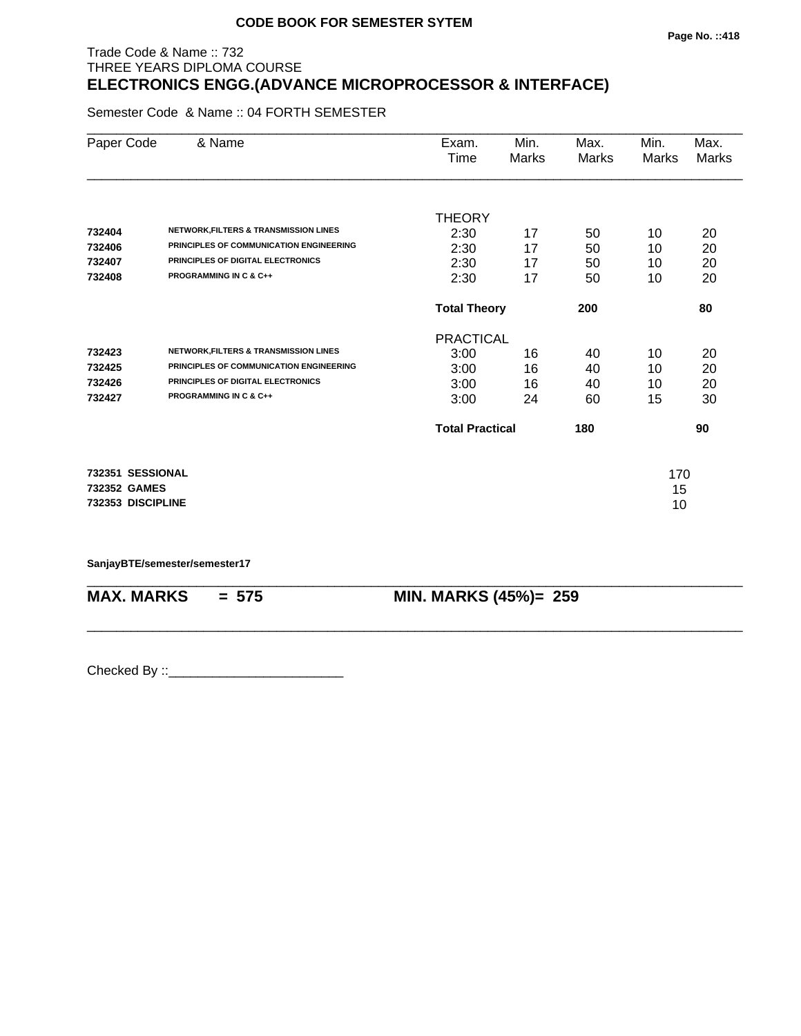## Trade Code & Name :: 732 THREE YEARS DIPLOMA COURSE **ELECTRONICS ENGG.(ADVANCE MICROPROCESSOR & INTERFACE)**

Semester Code & Name :: 04 FORTH SEMESTER

| Paper Code        | & Name                                           | Exam.                  | Min.  | Max.  | Min.  | Max.  |
|-------------------|--------------------------------------------------|------------------------|-------|-------|-------|-------|
|                   |                                                  | Time                   | Marks | Marks | Marks | Marks |
|                   |                                                  |                        |       |       |       |       |
|                   |                                                  | <b>THEORY</b>          |       |       |       |       |
| 732404            | <b>NETWORK, FILTERS &amp; TRANSMISSION LINES</b> | 2:30                   | 17    | 50    | 10    | 20    |
| 732406            | PRINCIPLES OF COMMUNICATION ENGINEERING          | 2:30                   | 17    | 50    | 10    | 20    |
| 732407            | PRINCIPLES OF DIGITAL ELECTRONICS                | 2:30                   | 17    | 50    | 10    | 20    |
| 732408            | <b>PROGRAMMING IN C &amp; C++</b>                | 2:30                   | 17    | 50    | 10    | 20    |
|                   |                                                  | <b>Total Theory</b>    |       | 200   |       | 80    |
|                   |                                                  | <b>PRACTICAL</b>       |       |       |       |       |
| 732423            | <b>NETWORK, FILTERS &amp; TRANSMISSION LINES</b> | 3:00                   | 16    | 40    | 10    | 20    |
| 732425            | PRINCIPLES OF COMMUNICATION ENGINEERING          | 3:00                   | 16    | 40    | 10    | 20    |
| 732426            | PRINCIPLES OF DIGITAL ELECTRONICS                | 3:00                   | 16    | 40    | 10    | 20    |
| 732427            | <b>PROGRAMMING IN C &amp; C++</b>                | 3:00                   | 24    | 60    | 15    | 30    |
|                   |                                                  | <b>Total Practical</b> |       | 180   |       | 90    |
| 732351 SESSIONAL  |                                                  |                        |       |       | 170   |       |
| 732352 GAMES      |                                                  |                        |       |       | 15    |       |
| 732353 DISCIPLINE |                                                  |                        |       |       | 10    |       |
|                   |                                                  |                        |       |       |       |       |

\_\_\_\_\_\_\_\_\_\_\_\_\_\_\_\_\_\_\_\_\_\_\_\_\_\_\_\_\_\_\_\_\_\_\_\_\_\_\_\_\_\_\_\_\_\_\_\_\_\_\_\_\_\_\_\_\_\_\_\_\_\_\_\_\_\_\_\_\_\_\_\_\_\_\_\_\_\_\_\_\_\_\_\_\_\_\_\_\_\_

\_\_\_\_\_\_\_\_\_\_\_\_\_\_\_\_\_\_\_\_\_\_\_\_\_\_\_\_\_\_\_\_\_\_\_\_\_\_\_\_\_\_\_\_\_\_\_\_\_\_\_\_\_\_\_\_\_\_\_\_\_\_\_\_\_\_\_\_\_\_\_\_\_\_\_\_\_\_\_\_\_\_\_\_\_\_\_\_\_\_

**SanjayBTE/semester/semester17**

**MAX. MARKS = 575 MIN. MARKS (45%)= 259**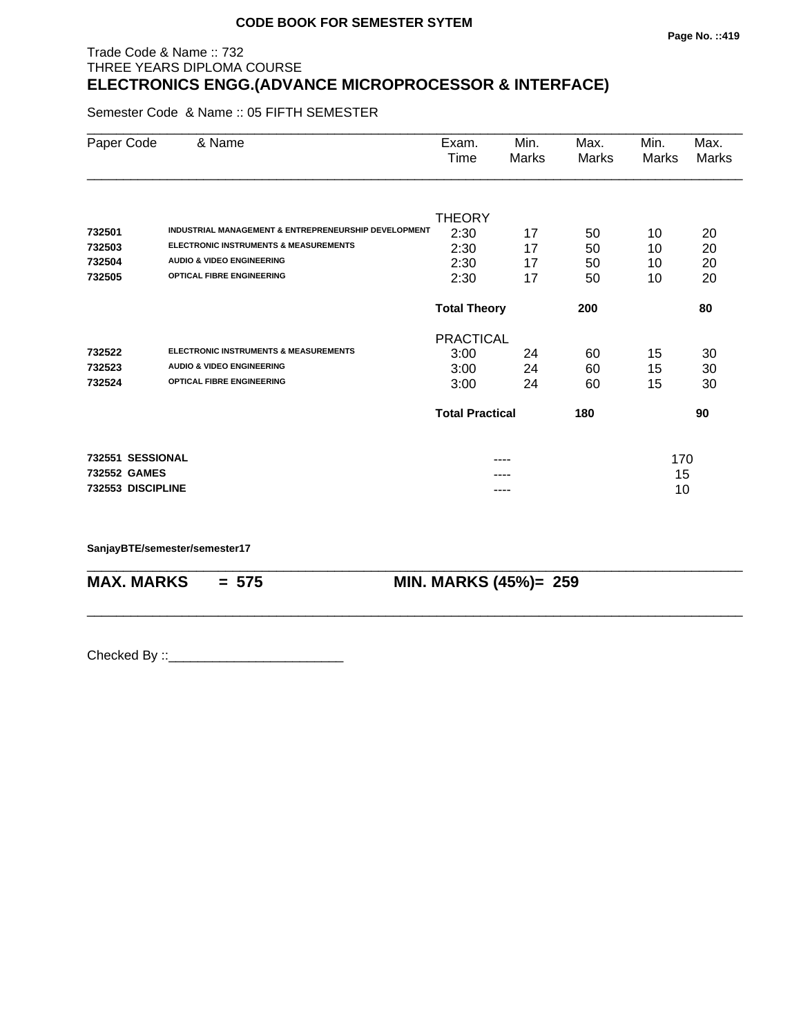## Trade Code & Name :: 732 THREE YEARS DIPLOMA COURSE **ELECTRONICS ENGG.(ADVANCE MICROPROCESSOR & INTERFACE)**

Semester Code & Name :: 05 FIFTH SEMESTER

| Paper Code        | & Name                                               | Exam.<br>Time              | Min.<br>Marks | Max.<br>Marks | Min.<br>Marks | Max.<br>Marks |
|-------------------|------------------------------------------------------|----------------------------|---------------|---------------|---------------|---------------|
|                   |                                                      |                            |               |               |               |               |
|                   |                                                      | <b>THEORY</b>              |               |               |               |               |
| 732501            | INDUSTRIAL MANAGEMENT & ENTREPRENEURSHIP DEVELOPMENT | 2:30                       | 17            | 50            | 10            | 20            |
| 732503            | <b>ELECTRONIC INSTRUMENTS &amp; MEASUREMENTS</b>     | 2:30                       | 17            | 50            | 10            | 20            |
| 732504            | <b>AUDIO &amp; VIDEO ENGINEERING</b>                 | 2:30                       | 17            | 50            | 10            | 20            |
| 732505            | <b>OPTICAL FIBRE ENGINEERING</b>                     | 2:30                       | 17            | 50            | 10            | 20            |
|                   |                                                      | <b>Total Theory</b><br>200 |               |               |               | 80            |
|                   |                                                      | <b>PRACTICAL</b>           |               |               |               |               |
| 732522            | <b>ELECTRONIC INSTRUMENTS &amp; MEASUREMENTS</b>     | 3:00                       | 24            | 60            | 15            | 30            |
| 732523            | <b>AUDIO &amp; VIDEO ENGINEERING</b>                 | 3:00                       | 24            | 60            | 15            | 30            |
| 732524            | <b>OPTICAL FIBRE ENGINEERING</b>                     | 3:00                       | 24            | 60            | 15            | 30            |
|                   |                                                      | <b>Total Practical</b>     |               | 180           |               | 90            |
| 732551 SESSIONAL  |                                                      |                            | ----          |               | 170           |               |
| 732552 GAMES      |                                                      |                            |               |               | 15            |               |
| 732553 DISCIPLINE |                                                      |                            | ----          |               | 10            |               |

\_\_\_\_\_\_\_\_\_\_\_\_\_\_\_\_\_\_\_\_\_\_\_\_\_\_\_\_\_\_\_\_\_\_\_\_\_\_\_\_\_\_\_\_\_\_\_\_\_\_\_\_\_\_\_\_\_\_\_\_\_\_\_\_\_\_\_\_\_\_\_\_\_\_\_\_\_\_\_\_\_\_\_\_\_\_\_\_\_\_

\_\_\_\_\_\_\_\_\_\_\_\_\_\_\_\_\_\_\_\_\_\_\_\_\_\_\_\_\_\_\_\_\_\_\_\_\_\_\_\_\_\_\_\_\_\_\_\_\_\_\_\_\_\_\_\_\_\_\_\_\_\_\_\_\_\_\_\_\_\_\_\_\_\_\_\_\_\_\_\_\_\_\_\_\_\_\_\_\_\_

**SanjayBTE/semester/semester17**

**MAX. MARKS = 575 MIN. MARKS (45%)= 259**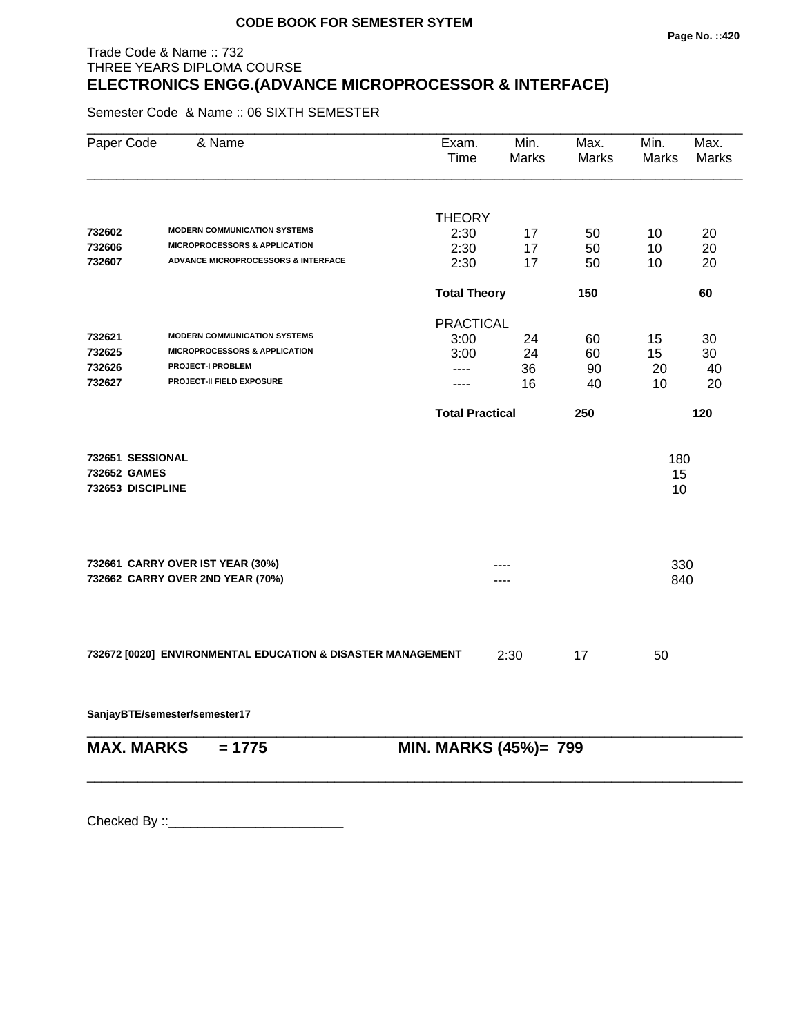#### **Page No. ::420**

## Trade Code & Name :: 732 THREE YEARS DIPLOMA COURSE **ELECTRONICS ENGG.(ADVANCE MICROPROCESSOR & INTERFACE)**

Semester Code & Name :: 06 SIXTH SEMESTER

| Paper Code        | & Name                                                                          | Exam.<br>Time          | Min.<br><b>Marks</b> | Max.<br><b>Marks</b> | Min.<br><b>Marks</b> | Max.<br><b>Marks</b> |
|-------------------|---------------------------------------------------------------------------------|------------------------|----------------------|----------------------|----------------------|----------------------|
|                   |                                                                                 |                        |                      |                      |                      |                      |
|                   |                                                                                 | <b>THEORY</b>          |                      |                      |                      |                      |
| 732602            | <b>MODERN COMMUNICATION SYSTEMS</b><br><b>MICROPROCESSORS &amp; APPLICATION</b> | 2:30                   | 17                   | 50                   | 10                   | 20                   |
| 732606            | <b>ADVANCE MICROPROCESSORS &amp; INTERFACE</b>                                  | 2:30                   | 17                   | 50                   | 10                   | 20                   |
| 732607            |                                                                                 | 2:30                   | 17                   | 50                   | 10                   | 20                   |
|                   |                                                                                 | <b>Total Theory</b>    |                      | 150                  |                      | 60                   |
|                   |                                                                                 | <b>PRACTICAL</b>       |                      |                      |                      |                      |
| 732621            | <b>MODERN COMMUNICATION SYSTEMS</b>                                             | 3:00                   | 24                   | 60                   | 15                   | 30                   |
| 732625            | <b>MICROPROCESSORS &amp; APPLICATION</b>                                        | 3:00                   | 24                   | 60                   | 15                   | 30                   |
| 732626            | <b>PROJECT-I PROBLEM</b>                                                        | ----                   | 36                   | 90                   | 20                   | 40                   |
| 732627            | PROJECT-II FIELD EXPOSURE                                                       | ----                   | 16                   | 40                   | 10                   | 20                   |
|                   |                                                                                 | <b>Total Practical</b> |                      | 250                  |                      | 120                  |
| 732651 SESSIONAL  |                                                                                 |                        |                      |                      | 180                  |                      |
| 732652 GAMES      |                                                                                 |                        |                      |                      | 15                   |                      |
| 732653 DISCIPLINE |                                                                                 |                        |                      |                      | 10                   |                      |
|                   |                                                                                 |                        |                      |                      |                      |                      |
|                   | 732661 CARRY OVER IST YEAR (30%)                                                |                        |                      |                      | 330                  |                      |
|                   | 732662 CARRY OVER 2ND YEAR (70%)                                                |                        |                      |                      | 840                  |                      |
|                   | 732672 [0020] ENVIRONMENTAL EDUCATION & DISASTER MANAGEMENT                     |                        | 2:30                 | 17                   | 50                   |                      |
|                   | SanjayBTE/semester/semester17                                                   |                        |                      |                      |                      |                      |
| <b>MAX. MARKS</b> | $= 1775$                                                                        | MIN. MARKS (45%)= 799  |                      |                      |                      |                      |

\_\_\_\_\_\_\_\_\_\_\_\_\_\_\_\_\_\_\_\_\_\_\_\_\_\_\_\_\_\_\_\_\_\_\_\_\_\_\_\_\_\_\_\_\_\_\_\_\_\_\_\_\_\_\_\_\_\_\_\_\_\_\_\_\_\_\_\_\_\_\_\_\_\_\_\_\_\_\_\_\_\_\_\_\_\_\_\_\_\_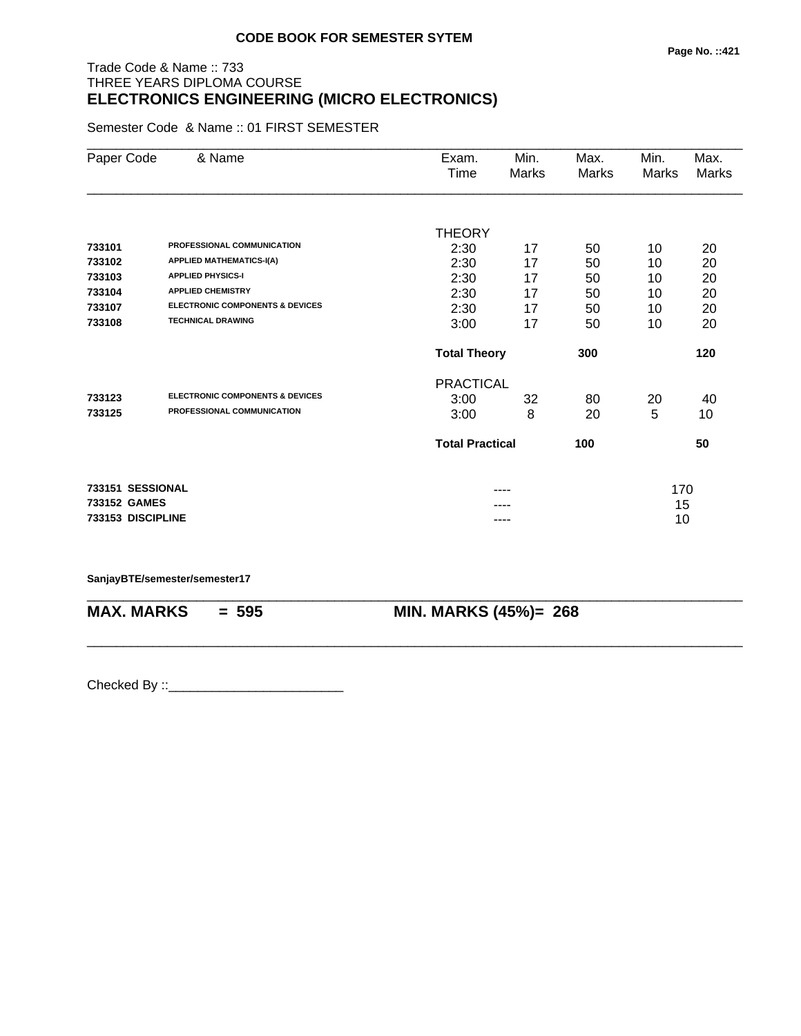# Trade Code & Name :: 733 THREE YEARS DIPLOMA COURSE **ELECTRONICS ENGINEERING (MICRO ELECTRONICS)**

Semester Code & Name :: 01 FIRST SEMESTER

| Paper Code        | & Name                                     | Exam.<br>Time          | Min.<br>Marks | Max.<br>Marks | Min.<br>Marks | Max.<br>Marks |
|-------------------|--------------------------------------------|------------------------|---------------|---------------|---------------|---------------|
|                   |                                            |                        |               |               |               |               |
|                   |                                            | <b>THEORY</b>          |               |               |               |               |
| 733101            | PROFESSIONAL COMMUNICATION                 | 2:30                   | 17            | 50            | 10            | 20            |
| 733102            | <b>APPLIED MATHEMATICS-I(A)</b>            | 2:30                   | 17            | 50            | 10            | 20            |
| 733103            | <b>APPLIED PHYSICS-I</b>                   | 2:30                   | 17            | 50            | 10            | 20            |
| 733104            | <b>APPLIED CHEMISTRY</b>                   | 2:30                   | 17            | 50            | 10            | 20            |
| 733107            | <b>ELECTRONIC COMPONENTS &amp; DEVICES</b> | 2:30                   | 17            | 50            | 10            | 20            |
| 733108            | <b>TECHNICAL DRAWING</b>                   | 3:00                   | 17            | 50            | 10            | 20            |
|                   |                                            | <b>Total Theory</b>    |               | 300           |               | 120           |
|                   |                                            | <b>PRACTICAL</b>       |               |               |               |               |
| 733123            | <b>ELECTRONIC COMPONENTS &amp; DEVICES</b> | 3:00                   | 32            | 80            | 20            | 40            |
| 733125            | PROFESSIONAL COMMUNICATION                 | 3:00                   | 8             | 20            | 5             | 10            |
|                   |                                            | <b>Total Practical</b> |               | 100           |               | 50            |
| 733151 SESSIONAL  |                                            |                        |               |               | 170           |               |
| 733152 GAMES      |                                            |                        |               |               | 15            |               |
| 733153 DISCIPLINE |                                            |                        | ----          |               | 10            |               |

\_\_\_\_\_\_\_\_\_\_\_\_\_\_\_\_\_\_\_\_\_\_\_\_\_\_\_\_\_\_\_\_\_\_\_\_\_\_\_\_\_\_\_\_\_\_\_\_\_\_\_\_\_\_\_\_\_\_\_\_\_\_\_\_\_\_\_\_\_\_\_\_\_\_\_\_\_\_\_\_\_\_\_\_\_\_\_\_\_\_

\_\_\_\_\_\_\_\_\_\_\_\_\_\_\_\_\_\_\_\_\_\_\_\_\_\_\_\_\_\_\_\_\_\_\_\_\_\_\_\_\_\_\_\_\_\_\_\_\_\_\_\_\_\_\_\_\_\_\_\_\_\_\_\_\_\_\_\_\_\_\_\_\_\_\_\_\_\_\_\_\_\_\_\_\_\_\_\_\_\_

#### **SanjayBTE/semester/semester17**

**MAX. MARKS = 595 MIN. MARKS (45%)= 268**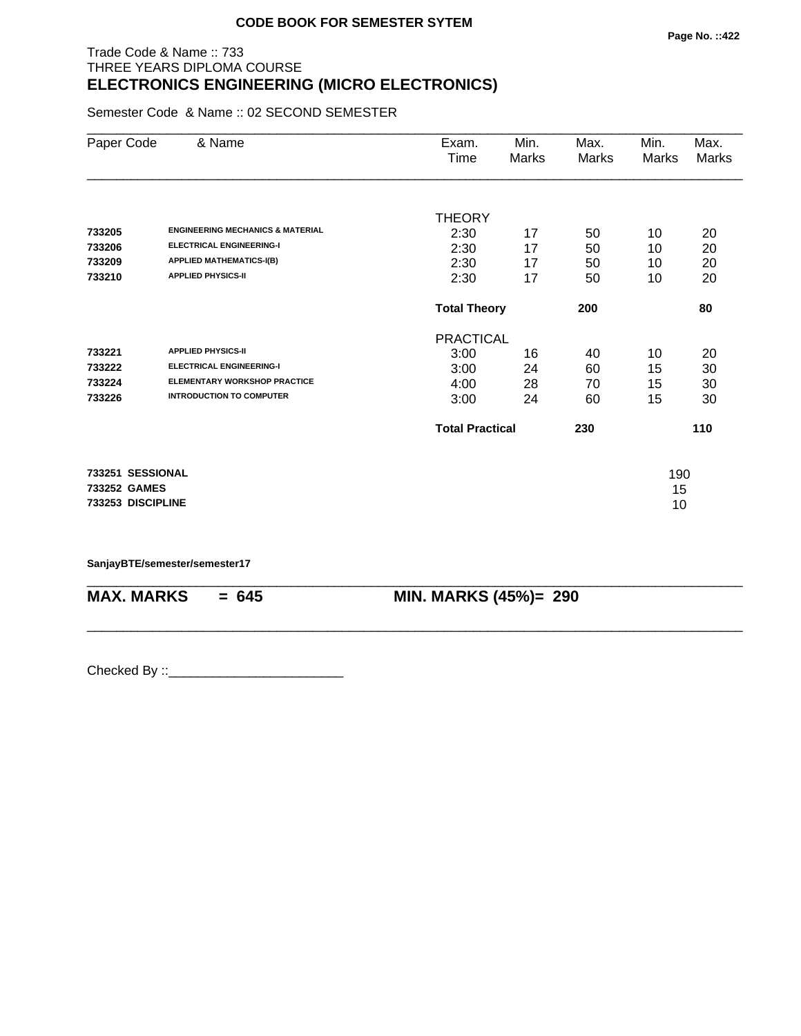## Trade Code & Name :: 733 THREE YEARS DIPLOMA COURSE **ELECTRONICS ENGINEERING (MICRO ELECTRONICS)**

Semester Code & Name :: 02 SECOND SEMESTER

| Paper Code        | & Name                                      | Exam.                  | Min.                | Max.  | Min.  | Max.  |
|-------------------|---------------------------------------------|------------------------|---------------------|-------|-------|-------|
|                   |                                             | Time                   | Marks               | Marks | Marks | Marks |
|                   |                                             |                        |                     |       |       |       |
|                   |                                             | <b>THEORY</b>          |                     |       |       |       |
| 733205            | <b>ENGINEERING MECHANICS &amp; MATERIAL</b> | 2:30                   | 17                  | 50    | 10    | 20    |
| 733206            | <b>ELECTRICAL ENGINEERING-I</b>             | 2:30                   | 17                  | 50    | 10    | 20    |
| 733209            | <b>APPLIED MATHEMATICS-I(B)</b>             | 2:30                   | 17                  | 50    | 10    | 20    |
| 733210            | <b>APPLIED PHYSICS-II</b>                   | 2:30                   | 17                  | 50    | 10    | 20    |
|                   |                                             |                        | <b>Total Theory</b> |       |       | 80    |
|                   |                                             | <b>PRACTICAL</b>       |                     |       |       |       |
| 733221            | <b>APPLIED PHYSICS-II</b>                   | 3:00                   | 16                  | 40    | 10    | 20    |
| 733222            | <b>ELECTRICAL ENGINEERING-I</b>             | 3:00                   | 24                  | 60    | 15    | 30    |
| 733224            | <b>ELEMENTARY WORKSHOP PRACTICE</b>         | 4:00                   | 28                  | 70    | 15    | 30    |
| 733226            | <b>INTRODUCTION TO COMPUTER</b>             | 3:00                   | 24                  | 60    | 15    | 30    |
|                   |                                             | <b>Total Practical</b> |                     | 230   |       | 110   |
| 733251 SESSIONAL  |                                             |                        |                     |       | 190   |       |
| 733252 GAMES      |                                             |                        |                     |       | 15    |       |
| 733253 DISCIPLINE |                                             |                        |                     |       | 10    |       |
|                   |                                             |                        |                     |       |       |       |

\_\_\_\_\_\_\_\_\_\_\_\_\_\_\_\_\_\_\_\_\_\_\_\_\_\_\_\_\_\_\_\_\_\_\_\_\_\_\_\_\_\_\_\_\_\_\_\_\_\_\_\_\_\_\_\_\_\_\_\_\_\_\_\_\_\_\_\_\_\_\_\_\_\_\_\_\_\_\_\_\_\_\_\_\_\_\_\_\_\_

\_\_\_\_\_\_\_\_\_\_\_\_\_\_\_\_\_\_\_\_\_\_\_\_\_\_\_\_\_\_\_\_\_\_\_\_\_\_\_\_\_\_\_\_\_\_\_\_\_\_\_\_\_\_\_\_\_\_\_\_\_\_\_\_\_\_\_\_\_\_\_\_\_\_\_\_\_\_\_\_\_\_\_\_\_\_\_\_\_\_

**SanjayBTE/semester/semester17**

**MAX. MARKS = 645 MIN. MARKS (45%)= 290**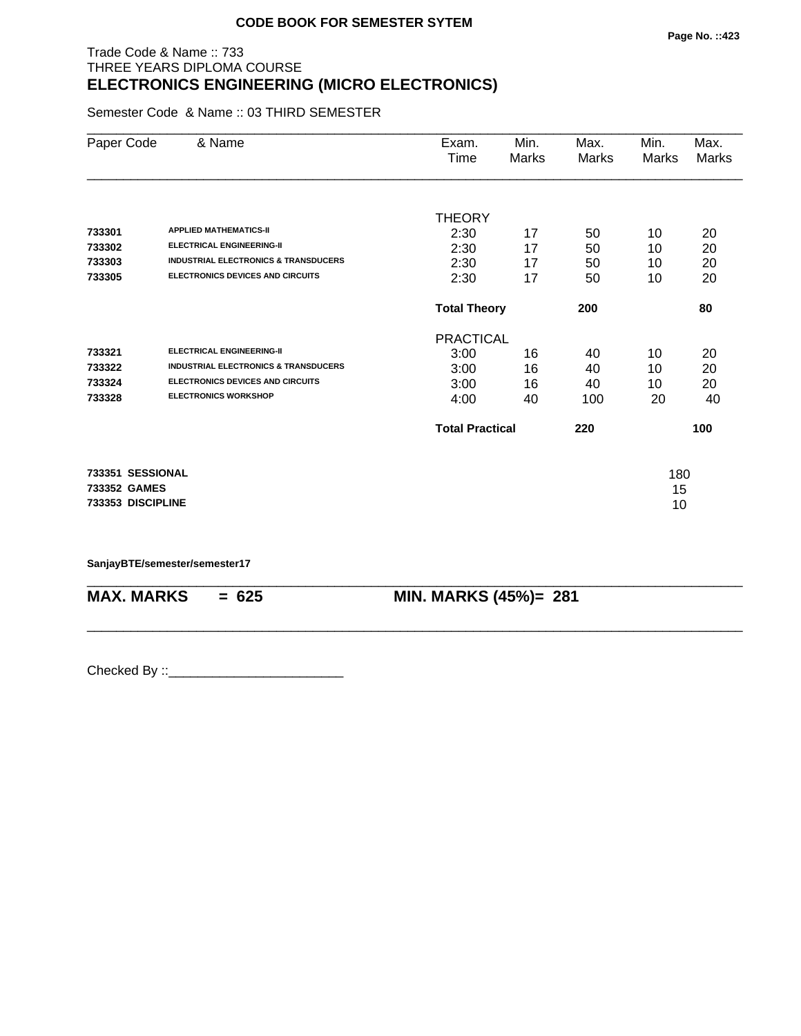## Trade Code & Name :: 733 THREE YEARS DIPLOMA COURSE **ELECTRONICS ENGINEERING (MICRO ELECTRONICS)**

Semester Code & Name :: 03 THIRD SEMESTER

| Paper Code        | & Name                                          | Exam.                  | Min.                | Max.  | Min.  | Max.  |
|-------------------|-------------------------------------------------|------------------------|---------------------|-------|-------|-------|
|                   |                                                 | Time                   | Marks               | Marks | Marks | Marks |
|                   |                                                 |                        |                     |       |       |       |
|                   |                                                 | <b>THEORY</b>          |                     |       |       |       |
| 733301            | <b>APPLIED MATHEMATICS-II</b>                   | 2:30                   | 17                  | 50    | 10    | 20    |
| 733302            | <b>ELECTRICAL ENGINEERING-II</b>                | 2:30                   | 17                  | 50    | 10    | 20    |
| 733303            | <b>INDUSTRIAL ELECTRONICS &amp; TRANSDUCERS</b> | 2:30                   | 17                  | 50    | 10    | 20    |
| 733305            | <b>ELECTRONICS DEVICES AND CIRCUITS</b>         | 2:30                   | 17                  | 50    | 10    | 20    |
|                   |                                                 |                        | <b>Total Theory</b> |       |       | 80    |
|                   |                                                 | <b>PRACTICAL</b>       |                     |       |       |       |
| 733321            | <b>ELECTRICAL ENGINEERING-II</b>                | 3:00                   | 16                  | 40    | 10    | 20    |
| 733322            | <b>INDUSTRIAL ELECTRONICS &amp; TRANSDUCERS</b> | 3:00                   | 16                  | 40    | 10    | 20    |
| 733324            | <b>ELECTRONICS DEVICES AND CIRCUITS</b>         | 3:00                   | 16                  | 40    | 10    | 20    |
| 733328            | <b>ELECTRONICS WORKSHOP</b>                     | 4:00                   | 40                  | 100   | 20    | 40    |
|                   |                                                 | <b>Total Practical</b> |                     | 220   |       | 100   |
| 733351 SESSIONAL  |                                                 |                        |                     |       | 180   |       |
| 733352 GAMES      |                                                 |                        |                     |       | 15    |       |
| 733353 DISCIPLINE |                                                 |                        |                     |       | 10    |       |
|                   |                                                 |                        |                     |       |       |       |

\_\_\_\_\_\_\_\_\_\_\_\_\_\_\_\_\_\_\_\_\_\_\_\_\_\_\_\_\_\_\_\_\_\_\_\_\_\_\_\_\_\_\_\_\_\_\_\_\_\_\_\_\_\_\_\_\_\_\_\_\_\_\_\_\_\_\_\_\_\_\_\_\_\_\_\_\_\_\_\_\_\_\_\_\_\_\_\_\_\_

\_\_\_\_\_\_\_\_\_\_\_\_\_\_\_\_\_\_\_\_\_\_\_\_\_\_\_\_\_\_\_\_\_\_\_\_\_\_\_\_\_\_\_\_\_\_\_\_\_\_\_\_\_\_\_\_\_\_\_\_\_\_\_\_\_\_\_\_\_\_\_\_\_\_\_\_\_\_\_\_\_\_\_\_\_\_\_\_\_\_

**SanjayBTE/semester/semester17**

**MAX. MARKS = 625 MIN. MARKS (45%)= 281**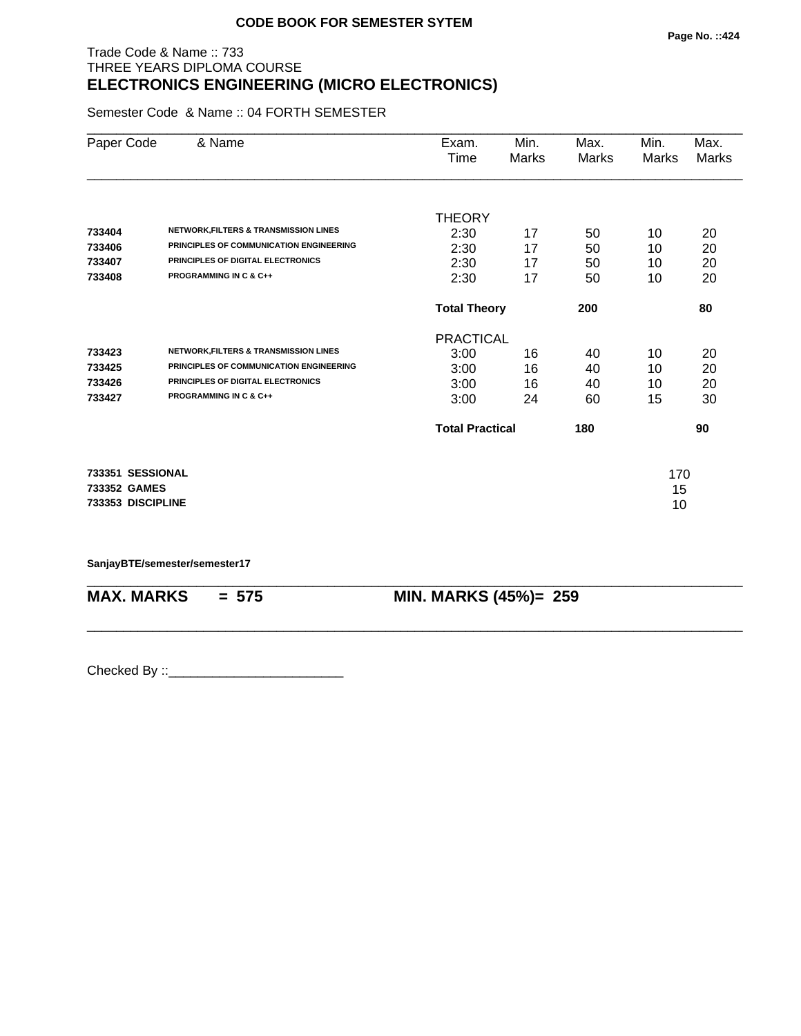## Trade Code & Name :: 733 THREE YEARS DIPLOMA COURSE **ELECTRONICS ENGINEERING (MICRO ELECTRONICS)**

Semester Code & Name :: 04 FORTH SEMESTER

| Paper Code        | & Name                                           | Exam.                  | Min.  | Max.  | Min.  | Max.  |
|-------------------|--------------------------------------------------|------------------------|-------|-------|-------|-------|
|                   |                                                  | Time                   | Marks | Marks | Marks | Marks |
|                   |                                                  |                        |       |       |       |       |
|                   |                                                  | <b>THEORY</b>          |       |       |       |       |
| 733404            | <b>NETWORK, FILTERS &amp; TRANSMISSION LINES</b> | 2:30                   | 17    | 50    | 10    | 20    |
| 733406            | PRINCIPLES OF COMMUNICATION ENGINEERING          | 2:30                   | 17    | 50    | 10    | 20    |
| 733407            | PRINCIPLES OF DIGITAL ELECTRONICS                | 2:30                   | 17    | 50    | 10    | 20    |
| 733408            | <b>PROGRAMMING IN C &amp; C++</b>                | 2:30                   | 17    | 50    | 10    | 20    |
|                   |                                                  | <b>Total Theory</b>    |       | 200   |       | 80    |
|                   |                                                  | <b>PRACTICAL</b>       |       |       |       |       |
| 733423            | NETWORK, FILTERS & TRANSMISSION LINES            | 3:00                   | 16    | 40    | 10    | 20    |
| 733425            | PRINCIPLES OF COMMUNICATION ENGINEERING          | 3:00                   | 16    | 40    | 10    | 20    |
| 733426            | PRINCIPLES OF DIGITAL ELECTRONICS                | 3:00                   | 16    | 40    | 10    | 20    |
| 733427            | <b>PROGRAMMING IN C &amp; C++</b>                | 3:00                   | 24    | 60    | 15    | 30    |
|                   |                                                  | <b>Total Practical</b> |       | 180   |       | 90    |
| 733351 SESSIONAL  |                                                  |                        |       |       | 170   |       |
| 733352 GAMES      |                                                  |                        |       |       | 15    |       |
| 733353 DISCIPLINE |                                                  |                        |       |       | 10    |       |
|                   |                                                  |                        |       |       |       |       |

\_\_\_\_\_\_\_\_\_\_\_\_\_\_\_\_\_\_\_\_\_\_\_\_\_\_\_\_\_\_\_\_\_\_\_\_\_\_\_\_\_\_\_\_\_\_\_\_\_\_\_\_\_\_\_\_\_\_\_\_\_\_\_\_\_\_\_\_\_\_\_\_\_\_\_\_\_\_\_\_\_\_\_\_\_\_\_\_\_\_

\_\_\_\_\_\_\_\_\_\_\_\_\_\_\_\_\_\_\_\_\_\_\_\_\_\_\_\_\_\_\_\_\_\_\_\_\_\_\_\_\_\_\_\_\_\_\_\_\_\_\_\_\_\_\_\_\_\_\_\_\_\_\_\_\_\_\_\_\_\_\_\_\_\_\_\_\_\_\_\_\_\_\_\_\_\_\_\_\_\_

**SanjayBTE/semester/semester17**

**MAX. MARKS = 575 MIN. MARKS (45%)= 259**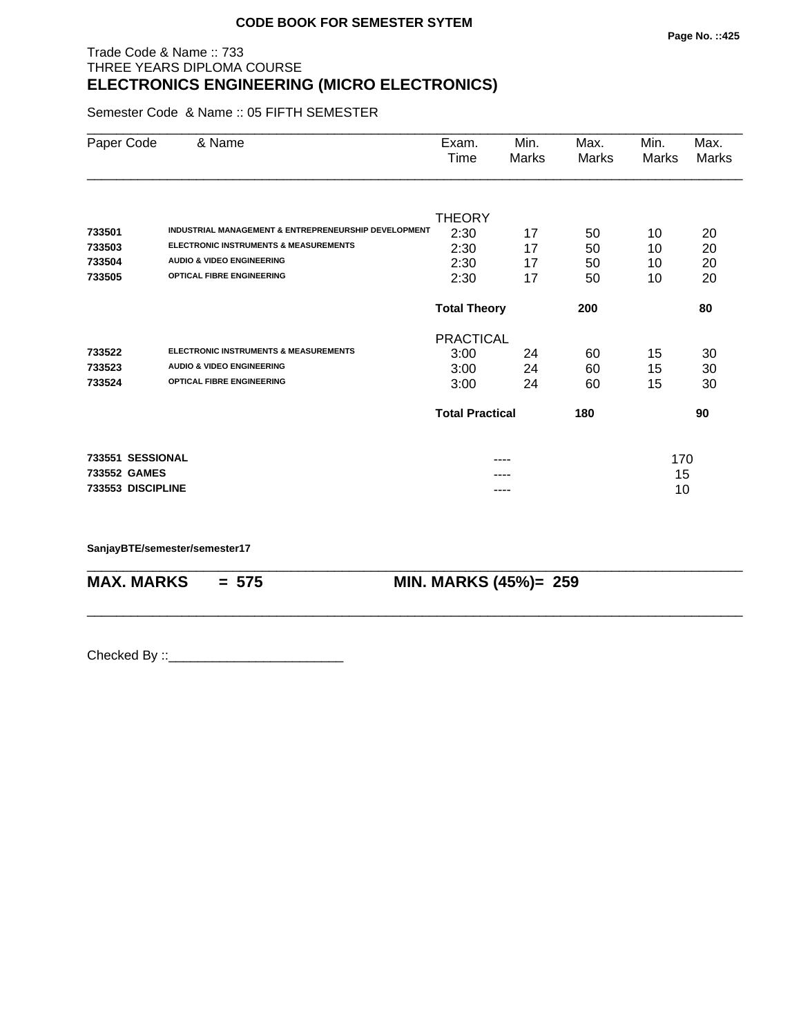## Trade Code & Name :: 733 THREE YEARS DIPLOMA COURSE **ELECTRONICS ENGINEERING (MICRO ELECTRONICS)**

Semester Code & Name :: 05 FIFTH SEMESTER

| Paper Code        | & Name                                               | Exam.                  | Min.  | Max.  | Min.  | Max.  |
|-------------------|------------------------------------------------------|------------------------|-------|-------|-------|-------|
|                   |                                                      | Time                   | Marks | Marks | Marks | Marks |
|                   |                                                      |                        |       |       |       |       |
|                   |                                                      | <b>THEORY</b>          |       |       |       |       |
| 733501            | INDUSTRIAL MANAGEMENT & ENTREPRENEURSHIP DEVELOPMENT | 2:30                   | 17    | 50    | 10    | 20    |
| 733503            | <b>ELECTRONIC INSTRUMENTS &amp; MEASUREMENTS</b>     | 2:30                   | 17    | 50    | 10    | 20    |
| 733504            | <b>AUDIO &amp; VIDEO ENGINEERING</b>                 | 2:30                   | 17    | 50    | 10    | 20    |
| 733505            | <b>OPTICAL FIBRE ENGINEERING</b>                     | 2:30                   | 17    | 50    | 10    | 20    |
|                   |                                                      | <b>Total Theory</b>    |       | 200   |       | 80    |
|                   |                                                      | <b>PRACTICAL</b>       |       |       |       |       |
| 733522            | <b>ELECTRONIC INSTRUMENTS &amp; MEASUREMENTS</b>     | 3:00                   | 24    | 60    | 15    | 30    |
| 733523            | <b>AUDIO &amp; VIDEO ENGINEERING</b>                 | 3:00                   | 24    | 60    | 15    | 30    |
| 733524            | <b>OPTICAL FIBRE ENGINEERING</b>                     | 3:00                   | 24    | 60    | 15    | 30    |
|                   |                                                      | <b>Total Practical</b> |       | 180   |       | 90    |
| 733551 SESSIONAL  |                                                      |                        |       |       | 170   |       |
| 733552 GAMES      |                                                      |                        |       |       | 15    |       |
| 733553 DISCIPLINE |                                                      |                        | ----  |       | 10    |       |

\_\_\_\_\_\_\_\_\_\_\_\_\_\_\_\_\_\_\_\_\_\_\_\_\_\_\_\_\_\_\_\_\_\_\_\_\_\_\_\_\_\_\_\_\_\_\_\_\_\_\_\_\_\_\_\_\_\_\_\_\_\_\_\_\_\_\_\_\_\_\_\_\_\_\_\_\_\_\_\_\_\_\_\_\_\_\_\_\_\_

\_\_\_\_\_\_\_\_\_\_\_\_\_\_\_\_\_\_\_\_\_\_\_\_\_\_\_\_\_\_\_\_\_\_\_\_\_\_\_\_\_\_\_\_\_\_\_\_\_\_\_\_\_\_\_\_\_\_\_\_\_\_\_\_\_\_\_\_\_\_\_\_\_\_\_\_\_\_\_\_\_\_\_\_\_\_\_\_\_\_

**SanjayBTE/semester/semester17**

**MAX. MARKS = 575 MIN. MARKS (45%)= 259**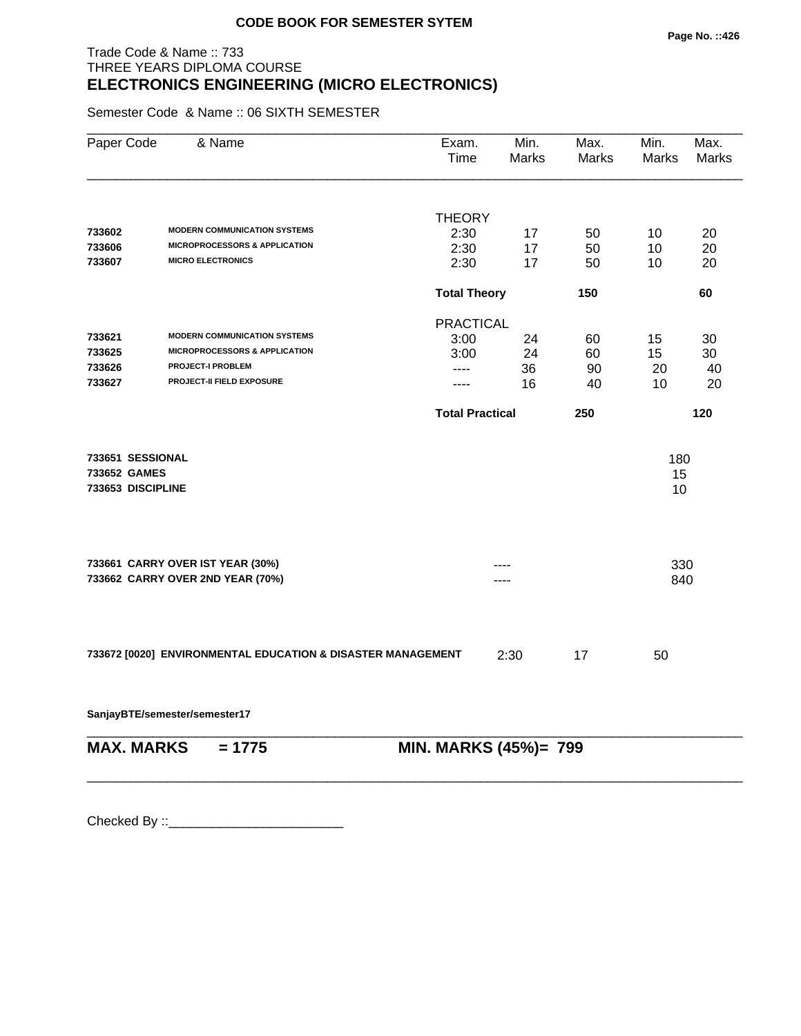## Trade Code & Name :: 733 THREE YEARS DIPLOMA COURSE **ELECTRONICS ENGINEERING (MICRO ELECTRONICS)**

Semester Code & Name :: 06 SIXTH SEMESTER

| Paper Code        | & Name                                                      | Exam.<br><b>Time</b>   | Min.<br><b>Marks</b> | Max.<br>Marks | Min.<br>Marks | Max.<br>Marks |
|-------------------|-------------------------------------------------------------|------------------------|----------------------|---------------|---------------|---------------|
|                   |                                                             |                        |                      |               |               |               |
|                   |                                                             | <b>THEORY</b>          |                      |               |               |               |
| 733602            | <b>MODERN COMMUNICATION SYSTEMS</b>                         | 2:30                   | 17                   | 50            | 10            | 20            |
| 733606            | <b>MICROPROCESSORS &amp; APPLICATION</b>                    | 2:30                   | 17                   | 50            | 10            | 20            |
| 733607            | <b>MICRO ELECTRONICS</b>                                    | 2:30                   | 17                   | 50            | 10            | 20            |
|                   |                                                             | <b>Total Theory</b>    |                      | 150           |               | 60            |
|                   |                                                             | <b>PRACTICAL</b>       |                      |               |               |               |
| 733621            | <b>MODERN COMMUNICATION SYSTEMS</b>                         | 3:00                   | 24                   | 60            | 15            | 30            |
| 733625            | <b>MICROPROCESSORS &amp; APPLICATION</b>                    | 3:00                   | 24                   | 60            | 15            | 30            |
| 733626            | <b>PROJECT-I PROBLEM</b>                                    | ----                   | 36                   | 90            | 20            | 40            |
| 733627            | PROJECT-II FIELD EXPOSURE                                   | $---$                  | 16                   | 40            | 10            | 20            |
|                   |                                                             | <b>Total Practical</b> |                      | 250           |               | 120           |
| 733651 SESSIONAL  |                                                             |                        |                      |               | 180           |               |
| 733652 GAMES      |                                                             |                        |                      |               | 15            |               |
| 733653 DISCIPLINE |                                                             |                        |                      |               | 10            |               |
|                   |                                                             |                        |                      |               |               |               |
|                   | 733661 CARRY OVER IST YEAR (30%)                            |                        |                      |               | 330           |               |
|                   | 733662 CARRY OVER 2ND YEAR (70%)                            |                        |                      |               | 840           |               |
|                   |                                                             |                        |                      |               |               |               |
|                   | 733672 [0020] ENVIRONMENTAL EDUCATION & DISASTER MANAGEMENT |                        | 2:30                 | 17            | 50            |               |
|                   | SanjayBTE/semester/semester17                               |                        |                      |               |               |               |
| <b>MAX. MARKS</b> | $= 1775$                                                    | MIN. MARKS (45%)= 799  |                      |               |               |               |

\_\_\_\_\_\_\_\_\_\_\_\_\_\_\_\_\_\_\_\_\_\_\_\_\_\_\_\_\_\_\_\_\_\_\_\_\_\_\_\_\_\_\_\_\_\_\_\_\_\_\_\_\_\_\_\_\_\_\_\_\_\_\_\_\_\_\_\_\_\_\_\_\_\_\_\_\_\_\_\_\_\_\_\_\_\_\_\_\_\_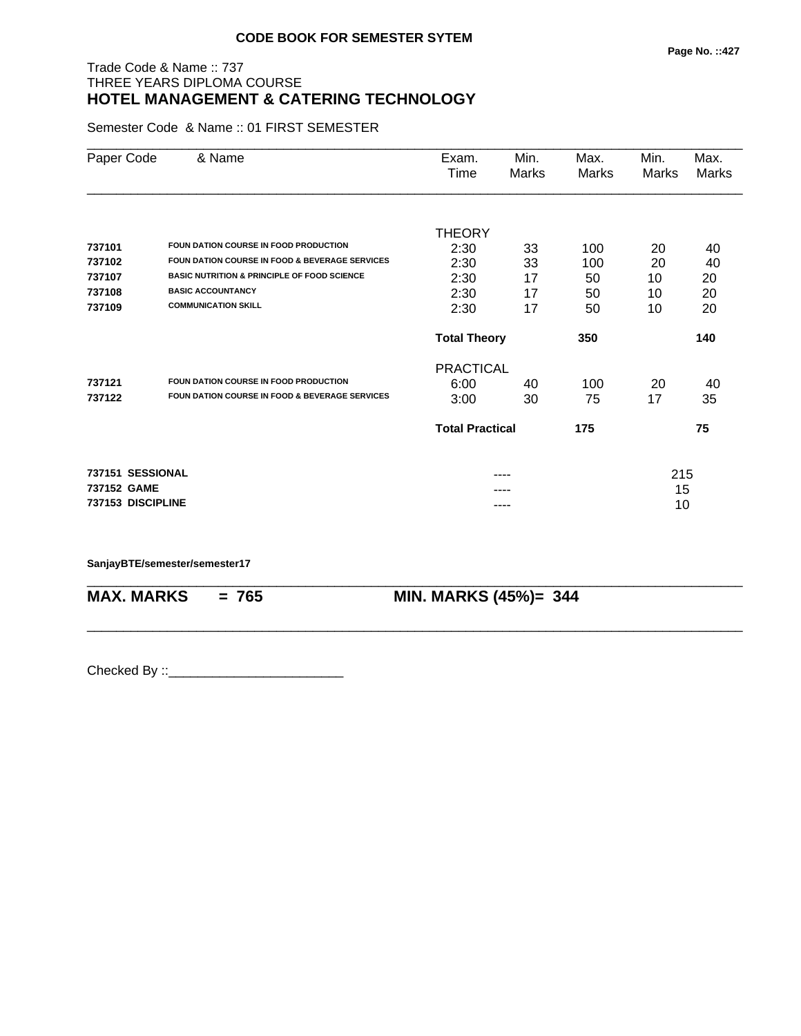## Trade Code & Name :: 737 THREE YEARS DIPLOMA COURSE

# **HOTEL MANAGEMENT & CATERING TECHNOLOGY**

Semester Code & Name :: 01 FIRST SEMESTER

| Paper Code        | & Name                                                    | Exam.                  | Min.  | Max.  | Min.  | Max.  |
|-------------------|-----------------------------------------------------------|------------------------|-------|-------|-------|-------|
|                   |                                                           | Time                   | Marks | Marks | Marks | Marks |
|                   |                                                           |                        |       |       |       |       |
|                   |                                                           | <b>THEORY</b>          |       |       |       |       |
| 737101            | FOUN DATION COURSE IN FOOD PRODUCTION                     | 2:30                   | 33    | 100   | 20    | 40    |
| 737102            | <b>FOUN DATION COURSE IN FOOD &amp; BEVERAGE SERVICES</b> | 2:30                   | 33    | 100   | 20    | 40    |
| 737107            | <b>BASIC NUTRITION &amp; PRINCIPLE OF FOOD SCIENCE</b>    | 2:30                   | 17    | 50    | 10    | 20    |
| 737108            | <b>BASIC ACCOUNTANCY</b>                                  | 2:30                   | 17    | 50    | 10    | 20    |
| 737109            | <b>COMMUNICATION SKILL</b>                                | 2:30                   | 17    | 50    | 10    | 20    |
|                   |                                                           | <b>Total Theory</b>    |       | 350   |       | 140   |
|                   |                                                           | <b>PRACTICAL</b>       |       |       |       |       |
| 737121            | FOUN DATION COURSE IN FOOD PRODUCTION                     | 6:00                   | 40    | 100   | 20    | 40    |
| 737122            | <b>FOUN DATION COURSE IN FOOD &amp; BEVERAGE SERVICES</b> | 3:00                   | 30    | 75    | 17    | 35    |
|                   |                                                           | <b>Total Practical</b> |       | 175   |       | 75    |
| 737151 SESSIONAL  |                                                           |                        |       |       | 215   |       |
| 737152 GAME       |                                                           |                        |       |       | 15    |       |
| 737153 DISCIPLINE |                                                           |                        | ----  |       | 10    |       |

\_\_\_\_\_\_\_\_\_\_\_\_\_\_\_\_\_\_\_\_\_\_\_\_\_\_\_\_\_\_\_\_\_\_\_\_\_\_\_\_\_\_\_\_\_\_\_\_\_\_\_\_\_\_\_\_\_\_\_\_\_\_\_\_\_\_\_\_\_\_\_\_\_\_\_\_\_\_\_\_\_\_\_\_\_\_\_\_\_\_

#### **SanjayBTE/semester/semester17**

\_\_\_\_\_\_\_\_\_\_\_\_\_\_\_\_\_\_\_\_\_\_\_\_\_\_\_\_\_\_\_\_\_\_\_\_\_\_\_\_\_\_\_\_\_\_\_\_\_\_\_\_\_\_\_\_\_\_\_\_\_\_\_\_\_\_\_\_\_\_\_\_\_\_\_\_\_\_\_\_\_\_\_\_\_\_\_\_\_\_

**MAX. MARKS = 765 MIN. MARKS (45%)= 344**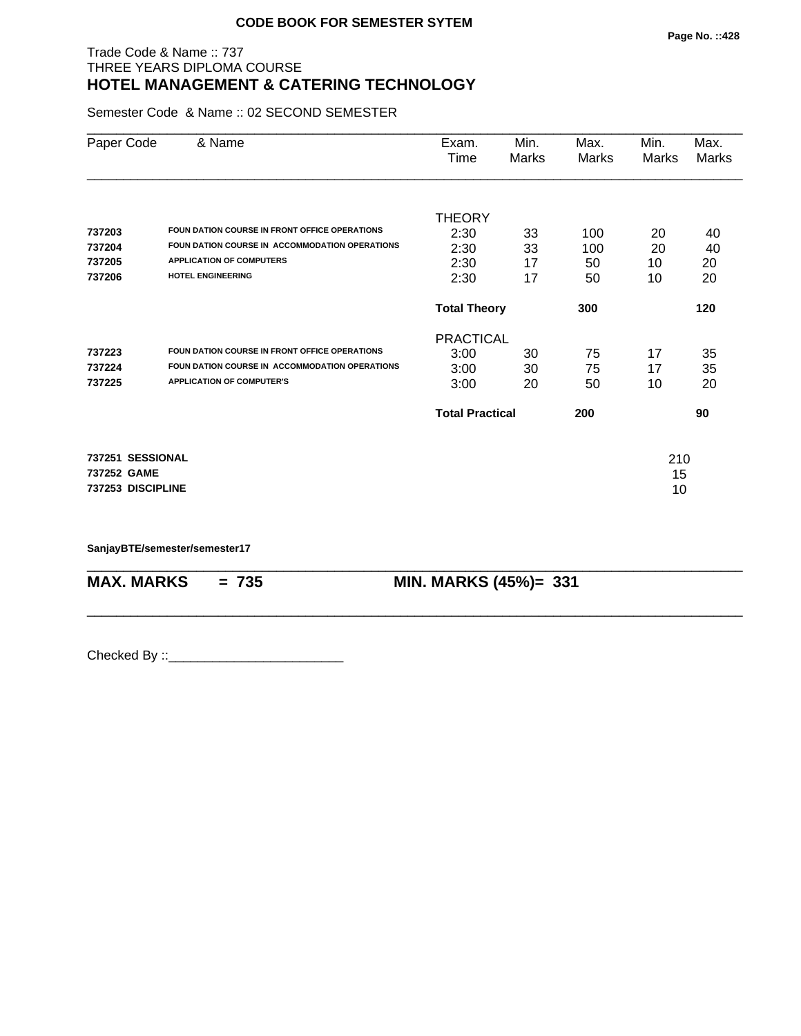## Trade Code & Name :: 737 THREE YEARS DIPLOMA COURSE **HOTEL MANAGEMENT & CATERING TECHNOLOGY**

Semester Code & Name :: 02 SECOND SEMESTER

|                   |                                                | Time                   | Marks | Marks | Marks | Marks |
|-------------------|------------------------------------------------|------------------------|-------|-------|-------|-------|
|                   |                                                |                        |       |       |       |       |
|                   |                                                | <b>THEORY</b>          |       |       |       |       |
| 737203            | FOUN DATION COURSE IN FRONT OFFICE OPERATIONS  | 2:30                   | 33    | 100   | 20    | 40    |
| 737204            | FOUN DATION COURSE IN ACCOMMODATION OPERATIONS | 2:30                   | 33    | 100   | 20    | 40    |
| 737205            | <b>APPLICATION OF COMPUTERS</b>                | 2:30                   | 17    | 50    | 10    | 20    |
| 737206            | HOTEL ENGINEERING                              | 2:30                   | 17    | 50    | 10    | 20    |
|                   |                                                | <b>Total Theory</b>    |       | 300   |       | 120   |
|                   |                                                | <b>PRACTICAL</b>       |       |       |       |       |
| 737223            | FOUN DATION COURSE IN FRONT OFFICE OPERATIONS  | 3:00                   | 30    | 75    | 17    | 35    |
| 737224            | FOUN DATION COURSE IN ACCOMMODATION OPERATIONS | 3:00                   | 30    | 75    | 17    | 35    |
| 737225            | <b>APPLICATION OF COMPUTER'S</b>               | 3:00                   | 20    | 50    | 10    | 20    |
|                   |                                                | <b>Total Practical</b> |       | 200   |       | 90    |
| 737251 SESSIONAL  |                                                |                        |       |       | 210   |       |
| 737252 GAME       |                                                |                        |       |       | 15    |       |
| 737253 DISCIPLINE |                                                |                        |       |       | 10    |       |

\_\_\_\_\_\_\_\_\_\_\_\_\_\_\_\_\_\_\_\_\_\_\_\_\_\_\_\_\_\_\_\_\_\_\_\_\_\_\_\_\_\_\_\_\_\_\_\_\_\_\_\_\_\_\_\_\_\_\_\_\_\_\_\_\_\_\_\_\_\_\_\_\_\_\_\_\_\_\_\_\_\_\_\_\_\_\_\_\_\_

\_\_\_\_\_\_\_\_\_\_\_\_\_\_\_\_\_\_\_\_\_\_\_\_\_\_\_\_\_\_\_\_\_\_\_\_\_\_\_\_\_\_\_\_\_\_\_\_\_\_\_\_\_\_\_\_\_\_\_\_\_\_\_\_\_\_\_\_\_\_\_\_\_\_\_\_\_\_\_\_\_\_\_\_\_\_\_\_\_\_

**SanjayBTE/semester/semester17**

**MAX. MARKS = 735 MIN. MARKS (45%)= 331**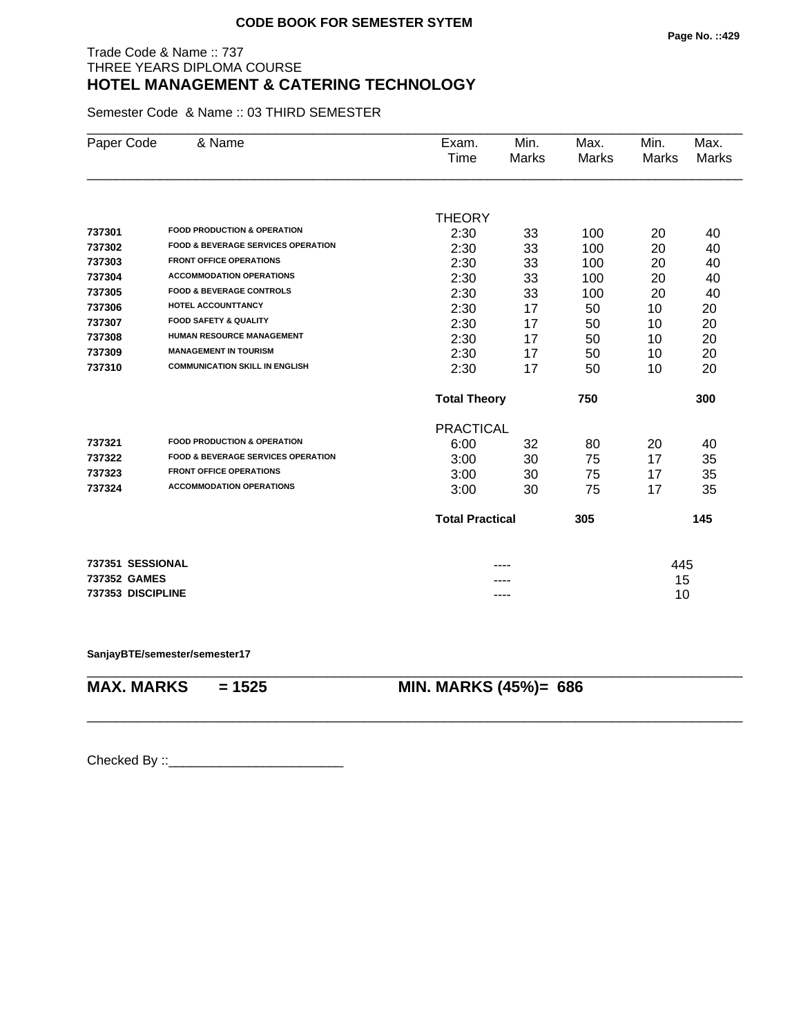## Trade Code & Name :: 737 THREE YEARS DIPLOMA COURSE **HOTEL MANAGEMENT & CATERING TECHNOLOGY**

Semester Code & Name :: 03 THIRD SEMESTER

| Paper Code        | & Name                                        | Exam.<br>Time          | Min.<br><b>Marks</b> | Max.<br><b>Marks</b> | Min.<br><b>Marks</b> | Max.<br><b>Marks</b> |
|-------------------|-----------------------------------------------|------------------------|----------------------|----------------------|----------------------|----------------------|
|                   |                                               |                        |                      |                      |                      |                      |
|                   | <b>FOOD PRODUCTION &amp; OPERATION</b>        | <b>THEORY</b>          |                      |                      |                      |                      |
| 737301<br>737302  | <b>FOOD &amp; BEVERAGE SERVICES OPERATION</b> | 2:30                   | 33                   | 100                  | 20                   | 40                   |
|                   | <b>FRONT OFFICE OPERATIONS</b>                | 2:30                   | 33                   | 100                  | 20                   | 40                   |
| 737303            | <b>ACCOMMODATION OPERATIONS</b>               | 2:30                   | 33                   | 100                  | 20                   | 40                   |
| 737304            |                                               | 2:30                   | 33                   | 100                  | 20                   | 40                   |
| 737305            | <b>FOOD &amp; BEVERAGE CONTROLS</b>           | 2:30                   | 33                   | 100                  | 20                   | 40                   |
| 737306            | <b>HOTEL ACCOUNTTANCY</b>                     | 2:30                   | 17                   | 50                   | 10                   | 20                   |
| 737307            | <b>FOOD SAFETY &amp; QUALITY</b>              | 2:30                   | 17                   | 50                   | 10                   | 20                   |
| 737308            | <b>HUMAN RESOURCE MANAGEMENT</b>              | 2:30                   | 17                   | 50                   | 10                   | 20                   |
| 737309            | <b>MANAGEMENT IN TOURISM</b>                  | 2:30                   | 17                   | 50                   | 10                   | 20                   |
| 737310            | <b>COMMUNICATION SKILL IN ENGLISH</b>         | 2:30                   | 17                   | 50                   | 10                   | 20                   |
|                   |                                               | <b>Total Theory</b>    |                      | 750                  |                      | 300                  |
|                   |                                               | <b>PRACTICAL</b>       |                      |                      |                      |                      |
| 737321            | <b>FOOD PRODUCTION &amp; OPERATION</b>        | 6:00                   | 32                   | 80                   | 20                   | 40                   |
| 737322            | <b>FOOD &amp; BEVERAGE SERVICES OPERATION</b> | 3:00                   | 30                   | 75                   | 17                   | 35                   |
| 737323            | <b>FRONT OFFICE OPERATIONS</b>                | 3:00                   | 30                   | 75                   | 17                   | 35                   |
| 737324            | <b>ACCOMMODATION OPERATIONS</b>               | 3:00                   | 30                   | 75                   | 17                   | 35                   |
|                   |                                               | <b>Total Practical</b> |                      | 305                  |                      | 145                  |
| 737351 SESSIONAL  |                                               |                        |                      |                      | 445                  |                      |
| 737352 GAMES      |                                               |                        |                      |                      | 15                   |                      |
| 737353 DISCIPLINE |                                               |                        | ----                 |                      | 10                   |                      |

\_\_\_\_\_\_\_\_\_\_\_\_\_\_\_\_\_\_\_\_\_\_\_\_\_\_\_\_\_\_\_\_\_\_\_\_\_\_\_\_\_\_\_\_\_\_\_\_\_\_\_\_\_\_\_\_\_\_\_\_\_\_\_\_\_\_\_\_\_\_\_\_\_\_\_\_\_\_\_\_\_\_\_\_\_\_\_\_\_\_

\_\_\_\_\_\_\_\_\_\_\_\_\_\_\_\_\_\_\_\_\_\_\_\_\_\_\_\_\_\_\_\_\_\_\_\_\_\_\_\_\_\_\_\_\_\_\_\_\_\_\_\_\_\_\_\_\_\_\_\_\_\_\_\_\_\_\_\_\_\_\_\_\_\_\_\_\_\_\_\_\_\_\_\_\_\_\_\_\_\_

**SanjayBTE/semester/semester17**

**MAX. MARKS = 1525 MIN. MARKS (45%)= 686**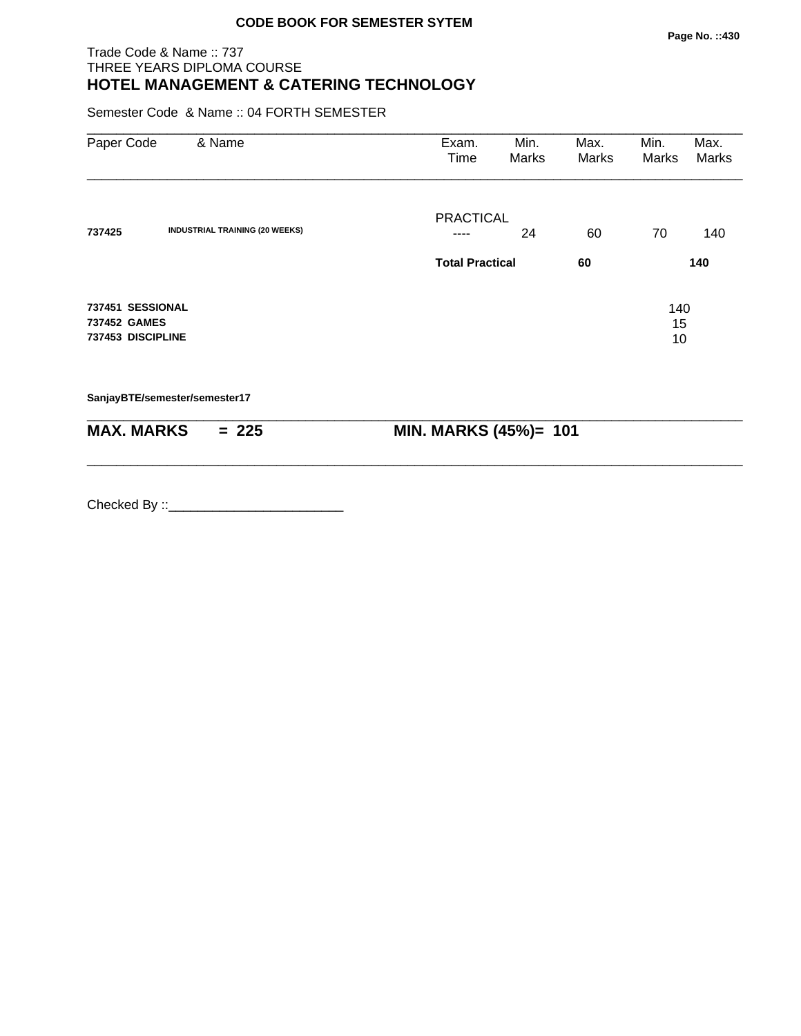## Trade Code & Name :: 737 THREE YEARS DIPLOMA COURSE **HOTEL MANAGEMENT & CATERING TECHNOLOGY**

Semester Code & Name :: 04 FORTH SEMESTER

| Paper Code                                            | & Name                                | Exam.<br>Time          | Min.<br>Marks | Max.<br>Marks | Min.<br>Marks   | Max.<br>Marks |
|-------------------------------------------------------|---------------------------------------|------------------------|---------------|---------------|-----------------|---------------|
| 737425                                                | <b>INDUSTRIAL TRAINING (20 WEEKS)</b> | <b>PRACTICAL</b>       | 24            | 60            | 70              | 140           |
|                                                       |                                       | <b>Total Practical</b> |               | 60            |                 | 140           |
| 737451 SESSIONAL<br>737452 GAMES<br>737453 DISCIPLINE |                                       |                        |               |               | 140<br>15<br>10 |               |
|                                                       | SanjayBTE/semester/semester17         |                        |               |               |                 |               |

| <b>MAX. MARKS</b> | $= 225$ | <b>MIN. MARKS (45%)= 101</b> |
|-------------------|---------|------------------------------|

\_\_\_\_\_\_\_\_\_\_\_\_\_\_\_\_\_\_\_\_\_\_\_\_\_\_\_\_\_\_\_\_\_\_\_\_\_\_\_\_\_\_\_\_\_\_\_\_\_\_\_\_\_\_\_\_\_\_\_\_\_\_\_\_\_\_\_\_\_\_\_\_\_\_\_\_\_\_\_\_\_\_\_\_\_\_\_\_\_\_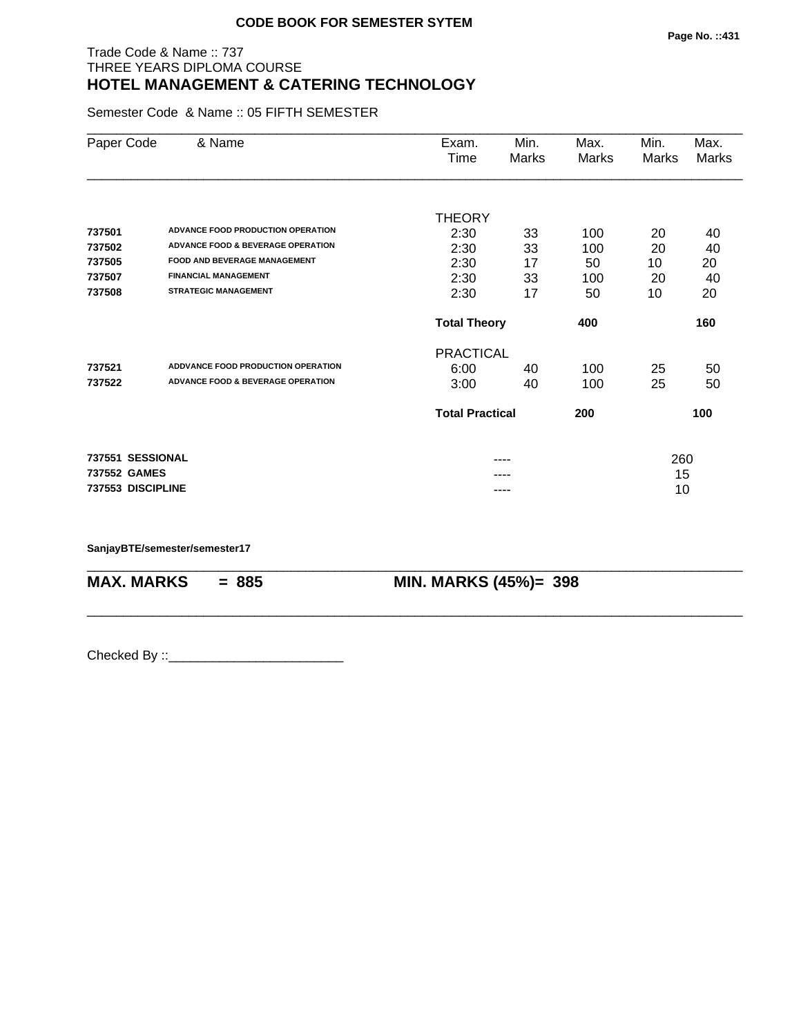## Trade Code & Name :: 737 THREE YEARS DIPLOMA COURSE **HOTEL MANAGEMENT & CATERING TECHNOLOGY**

Semester Code & Name :: 05 FIFTH SEMESTER

| Paper Code        | & Name                                       | Exam.                  | Min.  | Max.  | Min.  | Max.  |
|-------------------|----------------------------------------------|------------------------|-------|-------|-------|-------|
|                   |                                              | Time                   | Marks | Marks | Marks | Marks |
|                   |                                              |                        |       |       |       |       |
|                   |                                              | <b>THEORY</b>          |       |       |       |       |
| 737501            | ADVANCE FOOD PRODUCTION OPERATION            | 2:30                   | 33    | 100   | 20    | 40    |
| 737502            | <b>ADVANCE FOOD &amp; BEVERAGE OPERATION</b> | 2:30                   | 33    | 100   | 20    | 40    |
| 737505            | <b>FOOD AND BEVERAGE MANAGEMENT</b>          | 2:30                   | 17    | 50    | 10    | 20    |
| 737507            | <b>FINANCIAL MANAGEMENT</b>                  | 2:30                   | 33    | 100   | 20    | 40    |
| 737508            | <b>STRATEGIC MANAGEMENT</b>                  | 2:30                   | 17    | 50    | 10    | 20    |
|                   |                                              | <b>Total Theory</b>    |       | 400   |       | 160   |
|                   |                                              | <b>PRACTICAL</b>       |       |       |       |       |
| 737521            | <b>ADDVANCE FOOD PRODUCTION OPERATION</b>    | 6:00                   | 40    | 100   | 25    | 50    |
| 737522            | <b>ADVANCE FOOD &amp; BEVERAGE OPERATION</b> | 3:00                   | 40    | 100   | 25    | 50    |
|                   |                                              | <b>Total Practical</b> |       | 200   |       | 100   |
| 737551 SESSIONAL  |                                              |                        |       |       | 260   |       |
| 737552 GAMES      |                                              |                        |       |       | 15    |       |
| 737553 DISCIPLINE |                                              |                        | ----  |       | 10    |       |

\_\_\_\_\_\_\_\_\_\_\_\_\_\_\_\_\_\_\_\_\_\_\_\_\_\_\_\_\_\_\_\_\_\_\_\_\_\_\_\_\_\_\_\_\_\_\_\_\_\_\_\_\_\_\_\_\_\_\_\_\_\_\_\_\_\_\_\_\_\_\_\_\_\_\_\_\_\_\_\_\_\_\_\_\_\_\_\_\_\_

\_\_\_\_\_\_\_\_\_\_\_\_\_\_\_\_\_\_\_\_\_\_\_\_\_\_\_\_\_\_\_\_\_\_\_\_\_\_\_\_\_\_\_\_\_\_\_\_\_\_\_\_\_\_\_\_\_\_\_\_\_\_\_\_\_\_\_\_\_\_\_\_\_\_\_\_\_\_\_\_\_\_\_\_\_\_\_\_\_\_

**SanjayBTE/semester/semester17**

**MAX. MARKS = 885 MIN. MARKS (45%)= 398**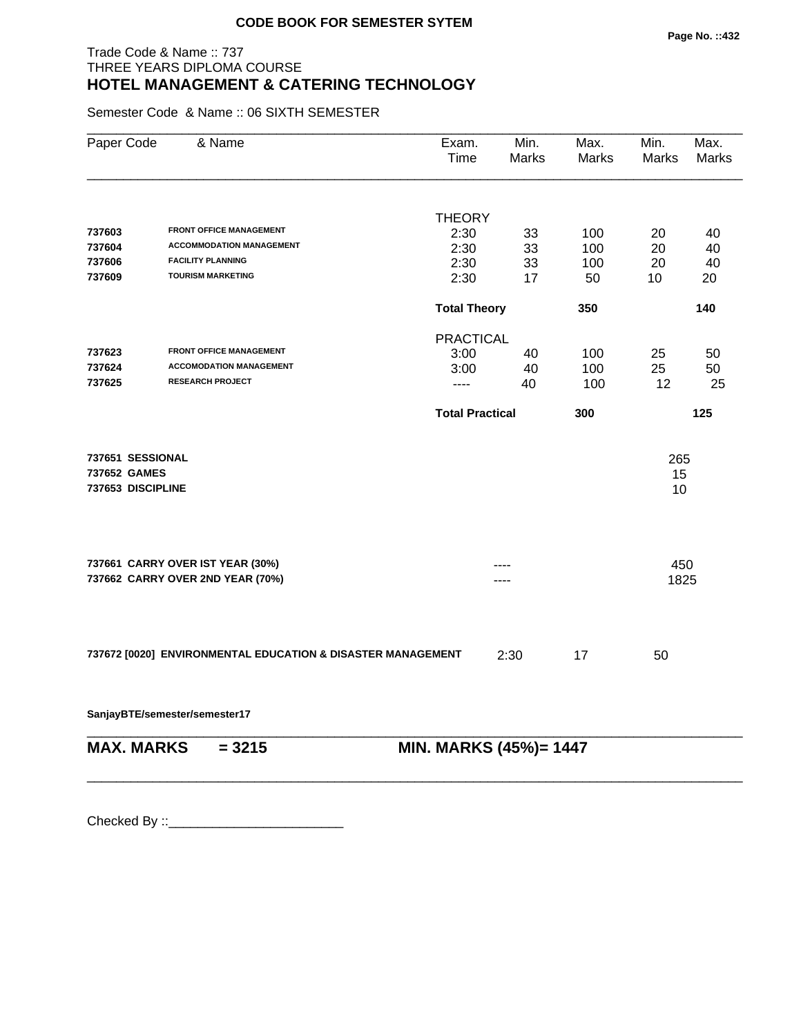## Trade Code & Name :: 737 THREE YEARS DIPLOMA COURSE **HOTEL MANAGEMENT & CATERING TECHNOLOGY**

Semester Code & Name :: 06 SIXTH SEMESTER

| Paper Code                                                           | & Name                                                         | Exam.<br>Time         | Min.<br>Marks                 | Max.<br>Marks | Min.<br><b>Marks</b> | Max.<br><b>Marks</b> |  |
|----------------------------------------------------------------------|----------------------------------------------------------------|-----------------------|-------------------------------|---------------|----------------------|----------------------|--|
|                                                                      |                                                                |                       |                               |               |                      |                      |  |
| 737603                                                               | <b>FRONT OFFICE MANAGEMENT</b>                                 | <b>THEORY</b><br>2:30 |                               |               |                      | 40                   |  |
| 737604                                                               | <b>ACCOMMODATION MANAGEMENT</b>                                | 2:30                  | 33<br>33                      | 100<br>100    | 20<br>20             | 40                   |  |
| 737606                                                               | <b>FACILITY PLANNING</b>                                       | 2:30                  | 33                            | 100           | 20                   | 40                   |  |
| 737609                                                               | <b>TOURISM MARKETING</b>                                       | 2:30                  | 17                            | 50            | 10                   | 20                   |  |
|                                                                      |                                                                |                       | <b>Total Theory</b><br>350    |               |                      | 140                  |  |
|                                                                      |                                                                |                       | <b>PRACTICAL</b>              |               |                      |                      |  |
| 737623                                                               | <b>FRONT OFFICE MANAGEMENT</b>                                 | 3:00                  | 40                            | 100           | 25                   | 50                   |  |
| 737624                                                               | <b>ACCOMODATION MANAGEMENT</b>                                 | 3:00                  | 40                            | 100           | 25                   | 50                   |  |
| 737625                                                               | <b>RESEARCH PROJECT</b>                                        | ----                  | 40                            | 100           | 12                   | 25                   |  |
|                                                                      |                                                                |                       | <b>Total Practical</b><br>300 |               |                      | 125                  |  |
| 737651 SESSIONAL<br>737652 GAMES                                     |                                                                |                       |                               |               | 265<br>15            |                      |  |
| 737653 DISCIPLINE                                                    |                                                                |                       |                               |               | 10                   |                      |  |
|                                                                      |                                                                |                       |                               |               |                      |                      |  |
| 737661 CARRY OVER IST YEAR (30%)<br>737662 CARRY OVER 2ND YEAR (70%) |                                                                |                       |                               |               | 450<br>1825          |                      |  |
|                                                                      |                                                                |                       |                               |               |                      |                      |  |
| 737672 [0020] ENVIRONMENTAL EDUCATION & DISASTER MANAGEMENT          |                                                                |                       | 2:30                          | 17            | 50                   |                      |  |
|                                                                      | SanjayBTE/semester/semester17                                  |                       |                               |               |                      |                      |  |
|                                                                      | <b>MAX. MARKS</b><br><b>MIN. MARKS (45%)= 1447</b><br>$= 3215$ |                       |                               |               |                      |                      |  |

\_\_\_\_\_\_\_\_\_\_\_\_\_\_\_\_\_\_\_\_\_\_\_\_\_\_\_\_\_\_\_\_\_\_\_\_\_\_\_\_\_\_\_\_\_\_\_\_\_\_\_\_\_\_\_\_\_\_\_\_\_\_\_\_\_\_\_\_\_\_\_\_\_\_\_\_\_\_\_\_\_\_\_\_\_\_\_\_\_\_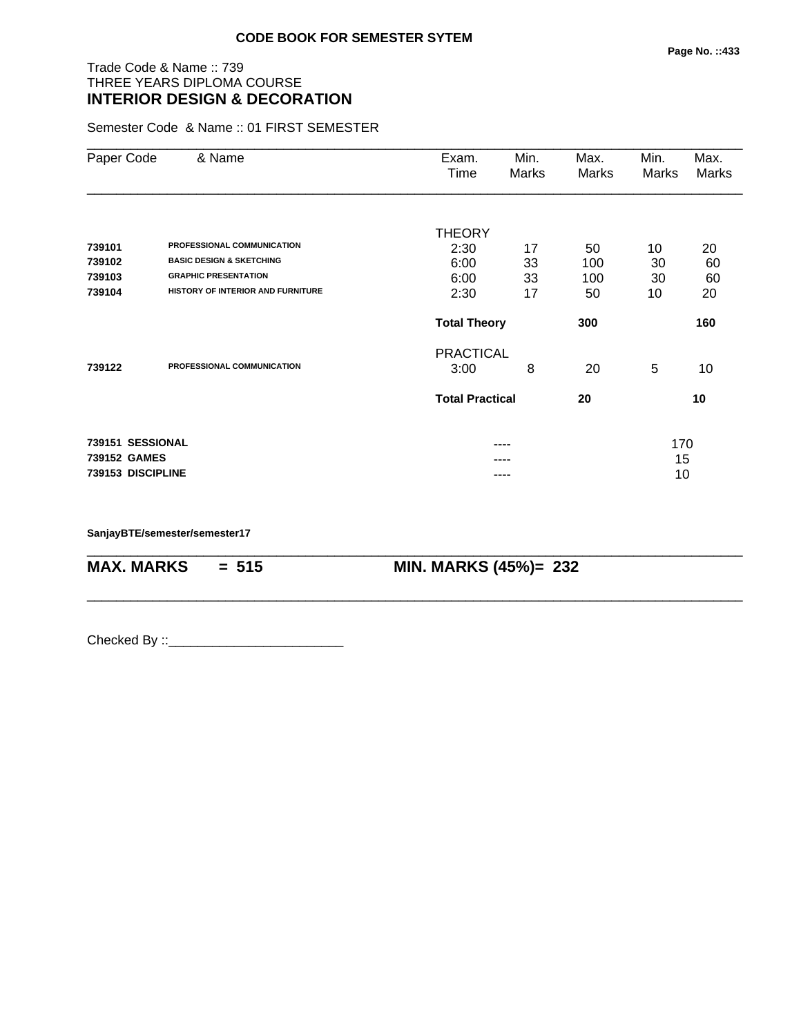## Trade Code & Name :: 739 THREE YEARS DIPLOMA COURSE **INTERIOR DESIGN & DECORATION**

Semester Code & Name :: 01 FIRST SEMESTER

| Paper Code        | & Name                              | Min.<br>Exam.          |       | Max.  | Min.  | Max.         |
|-------------------|-------------------------------------|------------------------|-------|-------|-------|--------------|
|                   |                                     | Time                   | Marks | Marks | Marks | <b>Marks</b> |
|                   |                                     |                        |       |       |       |              |
|                   |                                     | <b>THEORY</b>          |       |       |       |              |
| 739101            | PROFESSIONAL COMMUNICATION          | 2:30                   | 17    | 50    | 10    | 20           |
| 739102            | <b>BASIC DESIGN &amp; SKETCHING</b> | 6:00                   | 33    | 100   | 30    | 60           |
| 739103            | <b>GRAPHIC PRESENTATION</b>         | 6:00                   | 33    | 100   | 30    | 60           |
| 739104            | HISTORY OF INTERIOR AND FURNITURE   | 2:30                   | 17    | 50    | 10    | 20           |
|                   |                                     | <b>Total Theory</b>    |       | 300   |       | 160          |
|                   |                                     | <b>PRACTICAL</b>       |       |       |       |              |
| 739122            | PROFESSIONAL COMMUNICATION          | 3:00                   | 8     | 20    | 5     | 10           |
|                   |                                     | <b>Total Practical</b> |       | 20    |       | 10           |
| 739151 SESSIONAL  |                                     |                        | ----  |       | 170   |              |
| 739152 GAMES      |                                     |                        |       |       | 15    |              |
| 739153 DISCIPLINE |                                     |                        | ----  |       | 10    |              |

\_\_\_\_\_\_\_\_\_\_\_\_\_\_\_\_\_\_\_\_\_\_\_\_\_\_\_\_\_\_\_\_\_\_\_\_\_\_\_\_\_\_\_\_\_\_\_\_\_\_\_\_\_\_\_\_\_\_\_\_\_\_\_\_\_\_\_\_\_\_\_\_\_\_\_\_\_\_\_\_\_\_\_\_\_\_\_\_\_\_

\_\_\_\_\_\_\_\_\_\_\_\_\_\_\_\_\_\_\_\_\_\_\_\_\_\_\_\_\_\_\_\_\_\_\_\_\_\_\_\_\_\_\_\_\_\_\_\_\_\_\_\_\_\_\_\_\_\_\_\_\_\_\_\_\_\_\_\_\_\_\_\_\_\_\_\_\_\_\_\_\_\_\_\_\_\_\_\_\_\_

**SanjayBTE/semester/semester17**

**MAX. MARKS = 515 MIN. MARKS (45%)= 232**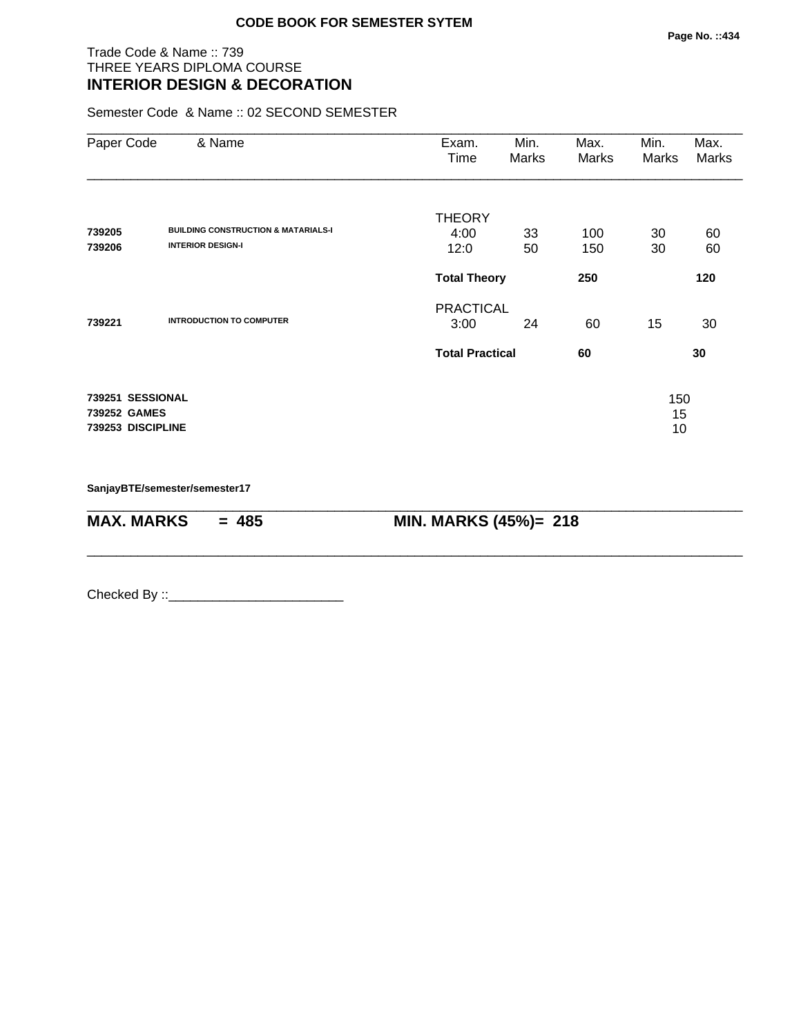### Trade Code & Name :: 739 THREE YEARS DIPLOMA COURSE **INTERIOR DESIGN & DECORATION**

Semester Code & Name :: 02 SECOND SEMESTER

| Paper Code                                            | & Name                                         | Exam.                  | Min.  | Max.  | Min.            | Max.  |
|-------------------------------------------------------|------------------------------------------------|------------------------|-------|-------|-----------------|-------|
|                                                       |                                                | Time                   | Marks | Marks | Marks           | Marks |
|                                                       |                                                |                        |       |       |                 |       |
|                                                       |                                                | <b>THEORY</b>          |       |       |                 |       |
| 739205                                                | <b>BUILDING CONSTRUCTION &amp; MATARIALS-I</b> | 4:00                   | 33    | 100   | 30              | 60    |
| 739206                                                | <b>INTERIOR DESIGN-I</b>                       | 12:0                   | 50    | 150   | 30              | 60    |
|                                                       |                                                | <b>Total Theory</b>    |       | 250   |                 | 120   |
|                                                       |                                                | <b>PRACTICAL</b>       |       |       |                 |       |
| 739221                                                | <b>INTRODUCTION TO COMPUTER</b>                | 3:00                   | 24    | 60    | 15              | 30    |
|                                                       |                                                | <b>Total Practical</b> |       | 60    |                 | 30    |
| 739251 SESSIONAL<br>739252 GAMES<br>739253 DISCIPLINE |                                                |                        |       |       | 150<br>15<br>10 |       |

\_\_\_\_\_\_\_\_\_\_\_\_\_\_\_\_\_\_\_\_\_\_\_\_\_\_\_\_\_\_\_\_\_\_\_\_\_\_\_\_\_\_\_\_\_\_\_\_\_\_\_\_\_\_\_\_\_\_\_\_\_\_\_\_\_\_\_\_\_\_\_\_\_\_\_\_\_\_\_\_\_\_\_\_\_\_\_\_\_\_

\_\_\_\_\_\_\_\_\_\_\_\_\_\_\_\_\_\_\_\_\_\_\_\_\_\_\_\_\_\_\_\_\_\_\_\_\_\_\_\_\_\_\_\_\_\_\_\_\_\_\_\_\_\_\_\_\_\_\_\_\_\_\_\_\_\_\_\_\_\_\_\_\_\_\_\_\_\_\_\_\_\_\_\_\_\_\_\_\_\_

**SanjayBTE/semester/semester17**

**MAX. MARKS = 485 MIN. MARKS (45%)= 218**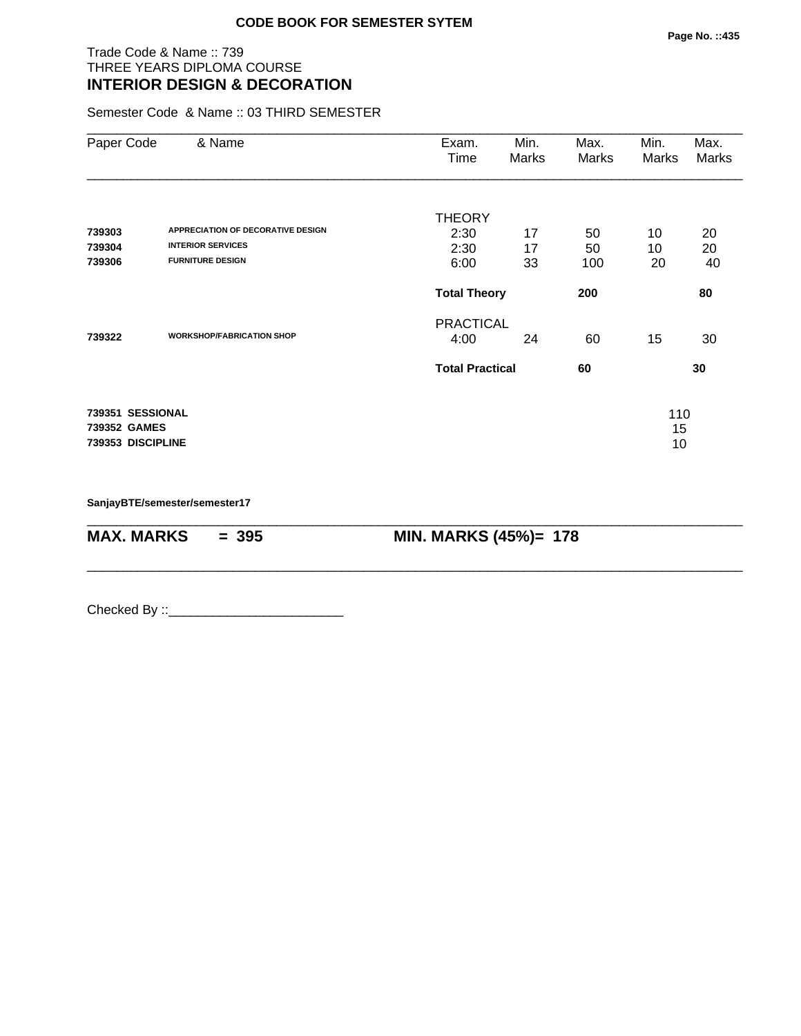### Trade Code & Name :: 739 THREE YEARS DIPLOMA COURSE **INTERIOR DESIGN & DECORATION**

Semester Code & Name :: 03 THIRD SEMESTER

| Paper Code                                            | & Name                                              | Exam.<br>Time            | Min.<br>Marks | Max.<br>Marks | Min.<br>Marks   | Max.<br>Marks |
|-------------------------------------------------------|-----------------------------------------------------|--------------------------|---------------|---------------|-----------------|---------------|
| 739303                                                | <b>APPRECIATION OF DECORATIVE DESIGN</b>            | <b>THEORY</b><br>2:30    | 17            | 50            | 10              | 20            |
| 739304<br>739306                                      | <b>INTERIOR SERVICES</b><br><b>FURNITURE DESIGN</b> | 2:30<br>6:00             | 17<br>33      | 50<br>100     | 10<br>20        | 20<br>40      |
|                                                       |                                                     | <b>Total Theory</b>      |               | 200           |                 | 80            |
| 739322                                                | <b>WORKSHOP/FABRICATION SHOP</b>                    | <b>PRACTICAL</b><br>4:00 | 24            | 60            | 15              | 30            |
|                                                       |                                                     | <b>Total Practical</b>   |               | 60            |                 | 30            |
| 739351 SESSIONAL<br>739352 GAMES<br>739353 DISCIPLINE |                                                     |                          |               |               | 110<br>15<br>10 |               |

\_\_\_\_\_\_\_\_\_\_\_\_\_\_\_\_\_\_\_\_\_\_\_\_\_\_\_\_\_\_\_\_\_\_\_\_\_\_\_\_\_\_\_\_\_\_\_\_\_\_\_\_\_\_\_\_\_\_\_\_\_\_\_\_\_\_\_\_\_\_\_\_\_\_\_\_\_\_\_\_\_\_\_\_\_\_\_\_\_\_

\_\_\_\_\_\_\_\_\_\_\_\_\_\_\_\_\_\_\_\_\_\_\_\_\_\_\_\_\_\_\_\_\_\_\_\_\_\_\_\_\_\_\_\_\_\_\_\_\_\_\_\_\_\_\_\_\_\_\_\_\_\_\_\_\_\_\_\_\_\_\_\_\_\_\_\_\_\_\_\_\_\_\_\_\_\_\_\_\_\_

**SanjayBTE/semester/semester17**

**MAX. MARKS** = 395 **MIN. MARKS (45%)= 178**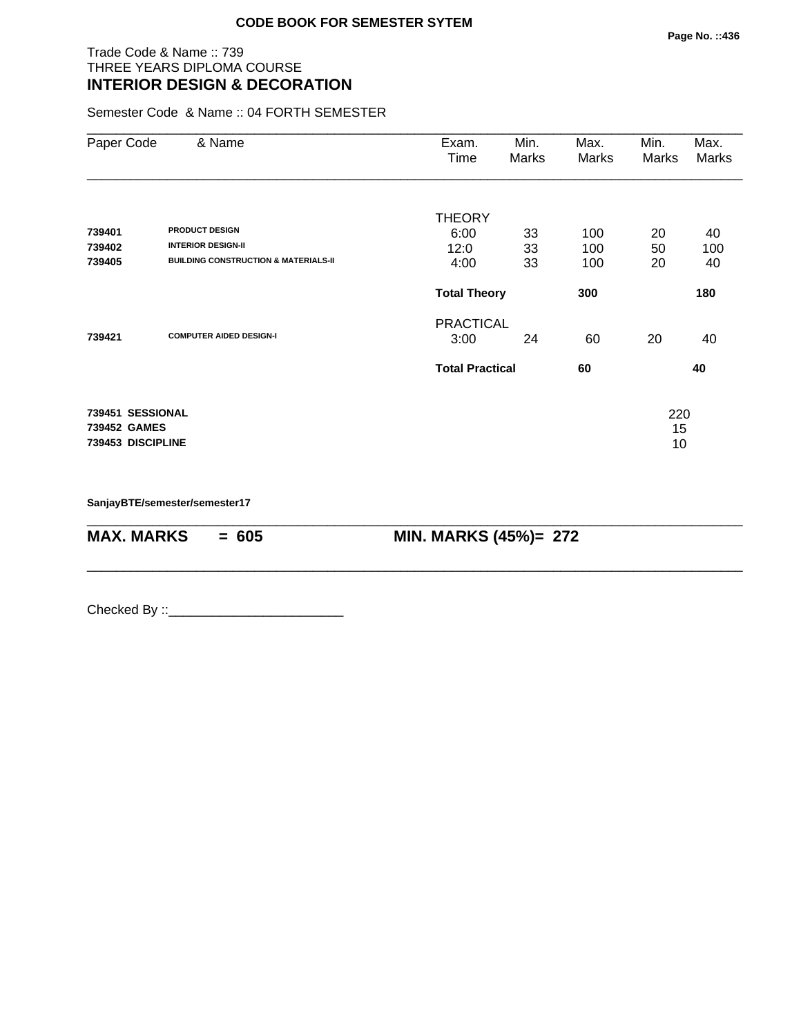## Trade Code & Name :: 739 THREE YEARS DIPLOMA COURSE **INTERIOR DESIGN & DECORATION**

Semester Code & Name :: 04 FORTH SEMESTER

| Paper Code                                            | & Name                                                                                                | Exam.<br>Time                                      | Min.<br>Marks  | Max.<br>Marks     | Min.<br>Marks   | Max.<br>Marks   |
|-------------------------------------------------------|-------------------------------------------------------------------------------------------------------|----------------------------------------------------|----------------|-------------------|-----------------|-----------------|
| 739401<br>739402<br>739405                            | <b>PRODUCT DESIGN</b><br><b>INTERIOR DESIGN-II</b><br><b>BUILDING CONSTRUCTION &amp; MATERIALS-II</b> | <b>THEORY</b><br>6:00<br>12:0<br>4:00              | 33<br>33<br>33 | 100<br>100<br>100 | 20<br>50<br>20  | 40<br>100<br>40 |
|                                                       |                                                                                                       | <b>Total Theory</b>                                |                | 300               |                 | 180             |
| 739421                                                | <b>COMPUTER AIDED DESIGN-I</b>                                                                        | <b>PRACTICAL</b><br>3:00<br><b>Total Practical</b> | 24             | 60<br>60          | 20              | 40<br>40        |
| 739451 SESSIONAL<br>739452 GAMES<br>739453 DISCIPLINE |                                                                                                       |                                                    |                |                   | 220<br>15<br>10 |                 |

\_\_\_\_\_\_\_\_\_\_\_\_\_\_\_\_\_\_\_\_\_\_\_\_\_\_\_\_\_\_\_\_\_\_\_\_\_\_\_\_\_\_\_\_\_\_\_\_\_\_\_\_\_\_\_\_\_\_\_\_\_\_\_\_\_\_\_\_\_\_\_\_\_\_\_\_\_\_\_\_\_\_\_\_\_\_\_\_\_\_

\_\_\_\_\_\_\_\_\_\_\_\_\_\_\_\_\_\_\_\_\_\_\_\_\_\_\_\_\_\_\_\_\_\_\_\_\_\_\_\_\_\_\_\_\_\_\_\_\_\_\_\_\_\_\_\_\_\_\_\_\_\_\_\_\_\_\_\_\_\_\_\_\_\_\_\_\_\_\_\_\_\_\_\_\_\_\_\_\_\_

**SanjayBTE/semester/semester17**

**MAX. MARKS** = 605 **MIN. MARKS (45%)= 272**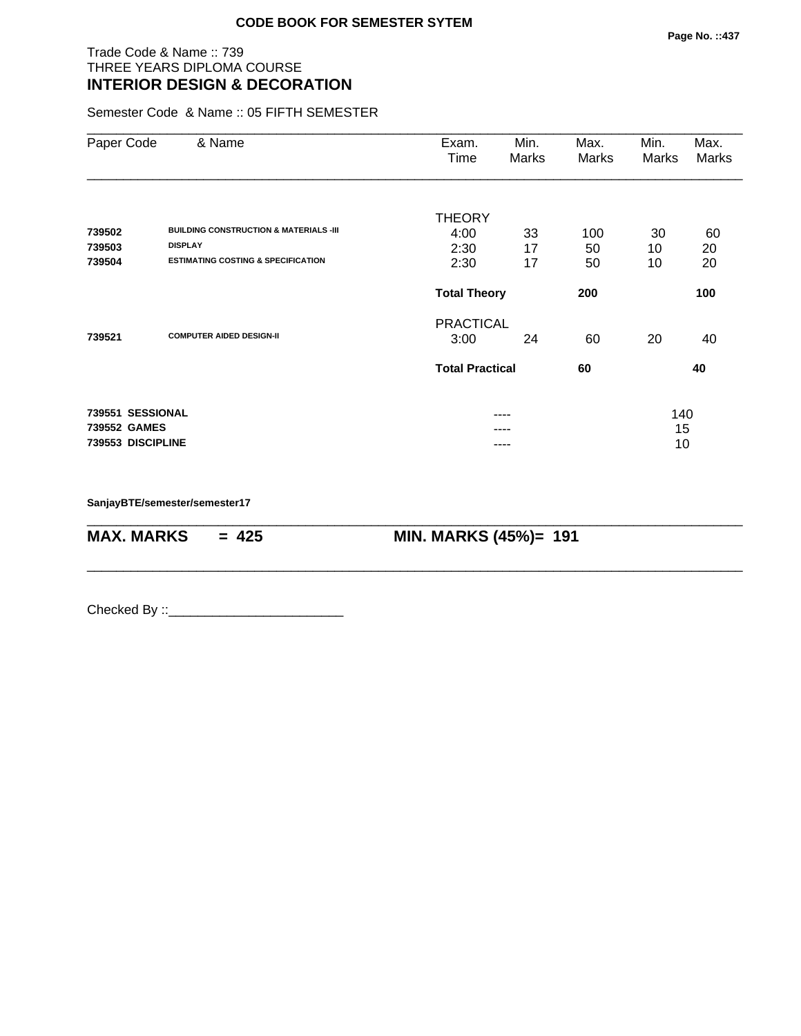## Trade Code & Name :: 739 THREE YEARS DIPLOMA COURSE **INTERIOR DESIGN & DECORATION**

Semester Code & Name :: 05 FIFTH SEMESTER

| Paper Code        | & Name                                            | Exam.<br>Time          | Min.<br>Marks | Max.<br>Marks | Min.<br>Marks | Max.<br>Marks |
|-------------------|---------------------------------------------------|------------------------|---------------|---------------|---------------|---------------|
|                   |                                                   |                        |               |               |               |               |
|                   |                                                   | <b>THEORY</b>          |               |               |               |               |
| 739502            | <b>BUILDING CONSTRUCTION &amp; MATERIALS -III</b> | 4:00                   | 33            | 100           | 30            | 60            |
| 739503            | <b>DISPLAY</b>                                    | 2:30                   | 17            | 50            | 10            | 20            |
| 739504            | <b>ESTIMATING COSTING &amp; SPECIFICATION</b>     | 2:30                   | 17            | 50            | 10            | 20            |
|                   |                                                   | <b>Total Theory</b>    |               | 200           |               | 100           |
|                   |                                                   | <b>PRACTICAL</b>       |               |               |               |               |
| 739521            | <b>COMPUTER AIDED DESIGN-II</b>                   | 3:00                   | 24            | 60            | 20            | 40            |
|                   |                                                   | <b>Total Practical</b> |               | 60            |               | 40            |
| 739551 SESSIONAL  |                                                   |                        | ----          |               | 140           |               |
| 739552 GAMES      |                                                   |                        |               |               | 15            |               |
| 739553 DISCIPLINE |                                                   |                        |               |               | 10            |               |

\_\_\_\_\_\_\_\_\_\_\_\_\_\_\_\_\_\_\_\_\_\_\_\_\_\_\_\_\_\_\_\_\_\_\_\_\_\_\_\_\_\_\_\_\_\_\_\_\_\_\_\_\_\_\_\_\_\_\_\_\_\_\_\_\_\_\_\_\_\_\_\_\_\_\_\_\_\_\_\_\_\_\_\_\_\_\_\_\_\_

\_\_\_\_\_\_\_\_\_\_\_\_\_\_\_\_\_\_\_\_\_\_\_\_\_\_\_\_\_\_\_\_\_\_\_\_\_\_\_\_\_\_\_\_\_\_\_\_\_\_\_\_\_\_\_\_\_\_\_\_\_\_\_\_\_\_\_\_\_\_\_\_\_\_\_\_\_\_\_\_\_\_\_\_\_\_\_\_\_\_

**SanjayBTE/semester/semester17**

**MAX. MARKS = 425 MIN. MARKS (45%)= 191**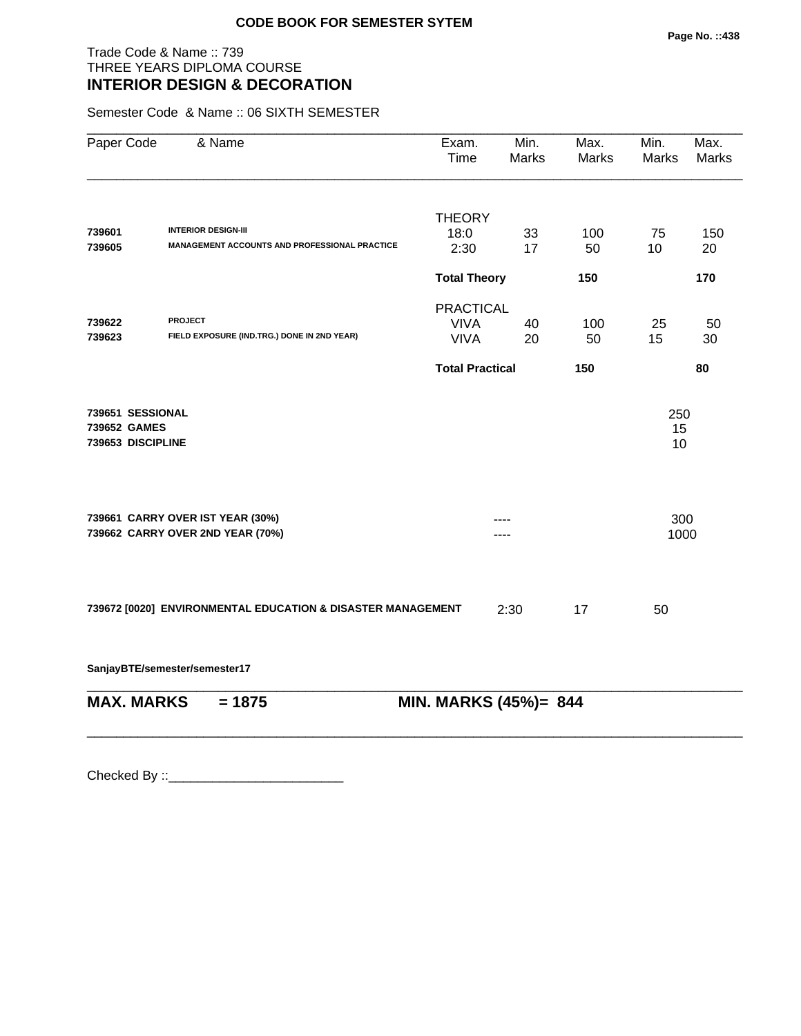### Trade Code & Name :: 739 THREE YEARS DIPLOMA COURSE **INTERIOR DESIGN & DECORATION**

Semester Code & Name :: 06 SIXTH SEMESTER

| Paper Code                       | & Name                                                               | Exam.<br>Time          | Min.<br><b>Marks</b> | Max.<br>Marks | Min.<br><b>Marks</b> | Max.<br><b>Marks</b> |  |
|----------------------------------|----------------------------------------------------------------------|------------------------|----------------------|---------------|----------------------|----------------------|--|
|                                  |                                                                      | <b>THEORY</b>          |                      |               |                      |                      |  |
| 739601                           | <b>INTERIOR DESIGN-III</b>                                           | 18:0                   | 33                   | 100           | 75                   | 150                  |  |
| 739605                           | MANAGEMENT ACCOUNTS AND PROFESSIONAL PRACTICE                        | 2:30                   | 17                   | 50            | 10                   | 20                   |  |
|                                  |                                                                      | <b>Total Theory</b>    |                      | 150           |                      | 170                  |  |
|                                  |                                                                      | <b>PRACTICAL</b>       |                      |               |                      |                      |  |
| 739622                           | <b>PROJECT</b>                                                       | <b>VIVA</b>            | 40                   | 100           | 25                   | 50                   |  |
| 739623                           | FIELD EXPOSURE (IND.TRG.) DONE IN 2ND YEAR)                          | <b>VIVA</b>            | 20                   | 50            | 15                   | 30                   |  |
|                                  |                                                                      | <b>Total Practical</b> |                      | 150           |                      | 80                   |  |
| 739651 SESSIONAL<br>739652 GAMES |                                                                      |                        |                      |               | 250<br>15            |                      |  |
| 739653 DISCIPLINE                |                                                                      |                        |                      |               | 10                   |                      |  |
|                                  |                                                                      |                        |                      |               |                      |                      |  |
|                                  | 739661 CARRY OVER IST YEAR (30%)<br>739662 CARRY OVER 2ND YEAR (70%) |                        |                      |               | 300<br>1000          |                      |  |
|                                  |                                                                      |                        |                      |               |                      |                      |  |
|                                  | 739672 [0020] ENVIRONMENTAL EDUCATION & DISASTER MANAGEMENT          |                        | 2:30                 | 17            | 50                   |                      |  |
|                                  | SanjayBTE/semester/semester17                                        |                        |                      |               |                      |                      |  |
| <b>MAX. MARKS</b>                | $= 1875$                                                             | MIN. MARKS (45%)= 844  |                      |               |                      |                      |  |
|                                  |                                                                      |                        |                      |               |                      |                      |  |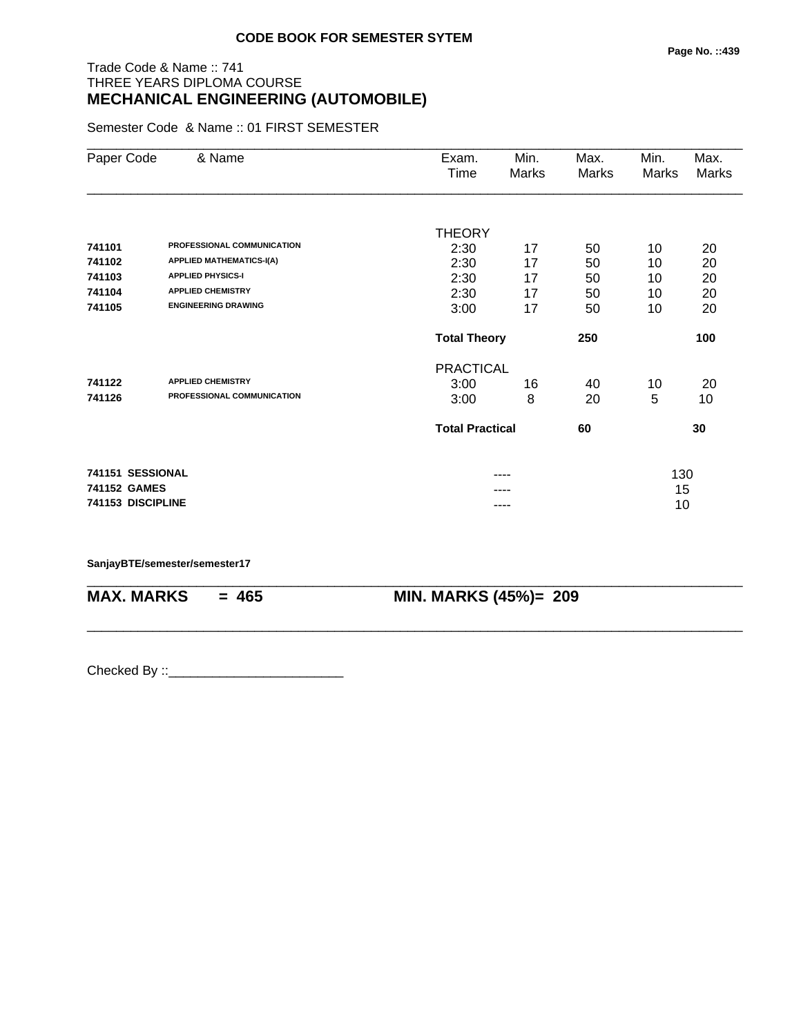## Trade Code & Name :: 741 THREE YEARS DIPLOMA COURSE **MECHANICAL ENGINEERING (AUTOMOBILE)**

Semester Code & Name :: 01 FIRST SEMESTER

| Paper Code        | & Name                          | Exam.                  | Min.  | Max.  | Min.  | Max.         |
|-------------------|---------------------------------|------------------------|-------|-------|-------|--------------|
|                   |                                 | Time                   | Marks | Marks | Marks | <b>Marks</b> |
|                   |                                 |                        |       |       |       |              |
|                   |                                 | <b>THEORY</b>          |       |       |       |              |
| 741101            | PROFESSIONAL COMMUNICATION      | 2:30                   | 17    | 50    | 10    | 20           |
| 741102            | <b>APPLIED MATHEMATICS-I(A)</b> | 2:30                   | 17    | 50    | 10    | 20           |
| 741103            | <b>APPLIED PHYSICS-I</b>        | 2:30                   | 17    | 50    | 10    | 20           |
| 741104            | <b>APPLIED CHEMISTRY</b>        | 2:30                   | 17    | 50    | 10    | 20           |
| 741105            | <b>ENGINEERING DRAWING</b>      | 3:00                   | 17    | 50    | 10    | 20           |
|                   |                                 | <b>Total Theory</b>    |       | 250   |       | 100          |
|                   |                                 | <b>PRACTICAL</b>       |       |       |       |              |
| 741122            | <b>APPLIED CHEMISTRY</b>        | 3:00                   | 16    | 40    | 10    | 20           |
| 741126            | PROFESSIONAL COMMUNICATION      | 3:00                   | 8     | 20    | 5     | 10           |
|                   |                                 | <b>Total Practical</b> |       | 60    |       | 30           |
| 741151 SESSIONAL  |                                 |                        | ----  |       | 130   |              |
| 741152 GAMES      |                                 |                        |       |       | 15    |              |
| 741153 DISCIPLINE |                                 |                        | ----  |       | 10    |              |

\_\_\_\_\_\_\_\_\_\_\_\_\_\_\_\_\_\_\_\_\_\_\_\_\_\_\_\_\_\_\_\_\_\_\_\_\_\_\_\_\_\_\_\_\_\_\_\_\_\_\_\_\_\_\_\_\_\_\_\_\_\_\_\_\_\_\_\_\_\_\_\_\_\_\_\_\_\_\_\_\_\_\_\_\_\_\_\_\_\_

\_\_\_\_\_\_\_\_\_\_\_\_\_\_\_\_\_\_\_\_\_\_\_\_\_\_\_\_\_\_\_\_\_\_\_\_\_\_\_\_\_\_\_\_\_\_\_\_\_\_\_\_\_\_\_\_\_\_\_\_\_\_\_\_\_\_\_\_\_\_\_\_\_\_\_\_\_\_\_\_\_\_\_\_\_\_\_\_\_\_

**SanjayBTE/semester/semester17**

**MAX. MARKS = 465 MIN. MARKS (45%)= 209**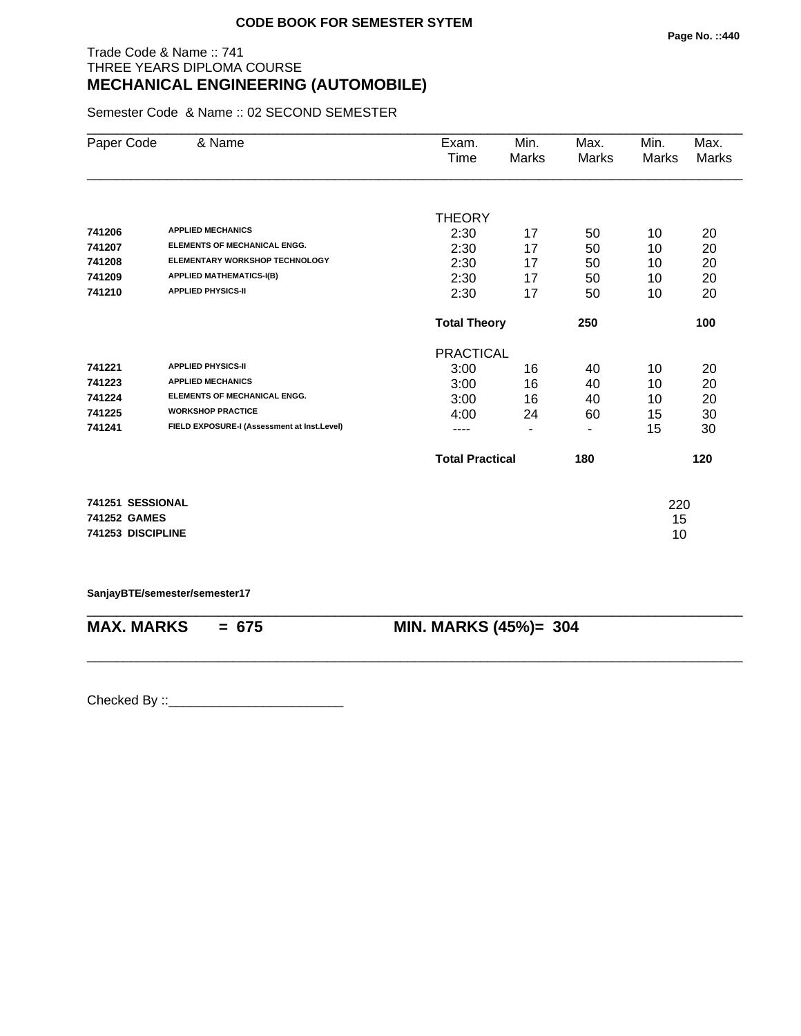## Trade Code & Name :: 741 THREE YEARS DIPLOMA COURSE **MECHANICAL ENGINEERING (AUTOMOBILE)**

Semester Code & Name :: 02 SECOND SEMESTER

| Paper Code        | & Name                                      | Exam.                  | Min.           | Max.  | Min.  | Max.         |
|-------------------|---------------------------------------------|------------------------|----------------|-------|-------|--------------|
|                   |                                             | Time                   | <b>Marks</b>   | Marks | Marks | <b>Marks</b> |
|                   |                                             |                        |                |       |       |              |
|                   |                                             | <b>THEORY</b>          |                |       |       |              |
| 741206            | <b>APPLIED MECHANICS</b>                    | 2:30                   | 17             | 50    | 10    | 20           |
| 741207            | <b>ELEMENTS OF MECHANICAL ENGG.</b>         | 2:30                   | 17             | 50    | 10    | 20           |
| 741208            | <b>ELEMENTARY WORKSHOP TECHNOLOGY</b>       | 2:30                   | 17             | 50    | 10    | 20           |
| 741209            | <b>APPLIED MATHEMATICS-I(B)</b>             | 2:30                   | 17             | 50    | 10    | 20           |
| 741210            | <b>APPLIED PHYSICS-II</b>                   | 2:30                   | 17             | 50    | 10    | 20           |
|                   |                                             | <b>Total Theory</b>    |                | 250   |       | 100          |
|                   |                                             | <b>PRACTICAL</b>       |                |       |       |              |
| 741221            | <b>APPLIED PHYSICS-II</b>                   | 3:00                   | 16             | 40    | 10    | 20           |
| 741223            | <b>APPLIED MECHANICS</b>                    | 3:00                   | 16             | 40    | 10    | 20           |
| 741224            | <b>ELEMENTS OF MECHANICAL ENGG.</b>         | 3:00                   | 16             | 40    | 10    | 20           |
| 741225            | <b>WORKSHOP PRACTICE</b>                    | 4:00                   | 24             | 60    | 15    | 30           |
| 741241            | FIELD EXPOSURE-I (Assessment at Inst.Level) |                        | $\blacksquare$ | ۰     | 15    | 30           |
|                   |                                             | <b>Total Practical</b> |                | 180   |       | 120          |
|                   |                                             |                        |                |       |       |              |
| 741251 SESSIONAL  |                                             |                        |                |       | 220   |              |
| 741252 GAMES      |                                             |                        |                |       | 15    |              |
| 741253 DISCIPLINE |                                             |                        |                |       | 10    |              |

**SanjayBTE/semester/semester17**

\_\_\_\_\_\_\_\_\_\_\_\_\_\_\_\_\_\_\_\_\_\_\_\_\_\_\_\_\_\_\_\_\_\_\_\_\_\_\_\_\_\_\_\_\_\_\_\_\_\_\_\_\_\_\_\_\_\_\_\_\_\_\_\_\_\_\_\_\_\_\_\_\_\_\_\_\_\_\_\_\_\_\_\_\_\_\_\_\_\_ **MAX. MARKS = 675 MIN. MARKS (45%)= 304**

\_\_\_\_\_\_\_\_\_\_\_\_\_\_\_\_\_\_\_\_\_\_\_\_\_\_\_\_\_\_\_\_\_\_\_\_\_\_\_\_\_\_\_\_\_\_\_\_\_\_\_\_\_\_\_\_\_\_\_\_\_\_\_\_\_\_\_\_\_\_\_\_\_\_\_\_\_\_\_\_\_\_\_\_\_\_\_\_\_\_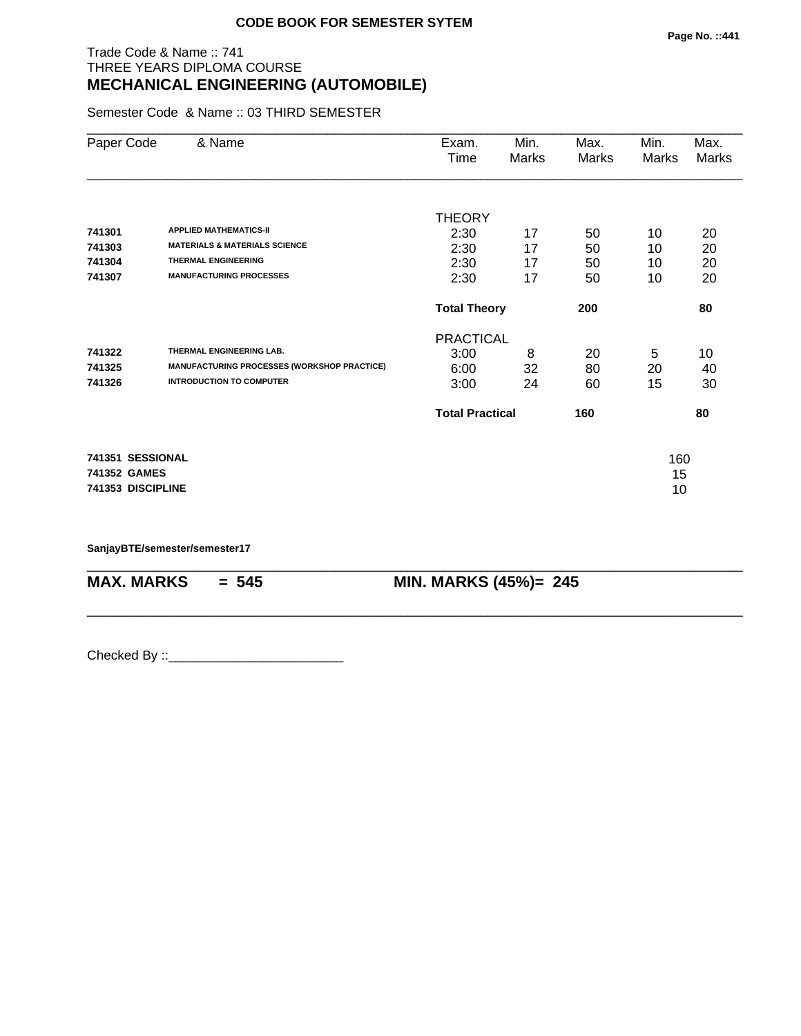## Trade Code & Name :: 741 THREE YEARS DIPLOMA COURSE **MECHANICAL ENGINEERING (AUTOMOBILE)**

Semester Code & Name :: 03 THIRD SEMESTER

| Paper Code        | & Name                                             | Exam.<br>Time          | Min.<br>Marks | Max.<br>Marks | Min.<br>Marks | Max.<br>Marks |
|-------------------|----------------------------------------------------|------------------------|---------------|---------------|---------------|---------------|
|                   |                                                    | <b>THEORY</b>          |               |               |               |               |
| 741301            | <b>APPLIED MATHEMATICS-II</b>                      | 2:30                   | 17            | 50            | 10            | 20            |
| 741303            | <b>MATERIALS &amp; MATERIALS SCIENCE</b>           | 2:30                   | 17            | 50            | 10            | 20            |
| 741304            | <b>THERMAL ENGINEERING</b>                         | 2:30                   | 17            | 50            | 10            | 20            |
| 741307            | <b>MANUFACTURING PROCESSES</b>                     | 2:30                   | 17            | 50            | 10            | 20            |
|                   |                                                    | <b>Total Theory</b>    |               | 200           |               | 80            |
|                   |                                                    | <b>PRACTICAL</b>       |               |               |               |               |
| 741322            | THERMAL ENGINEERING LAB.                           | 3:00                   | 8             | 20            | 5             | 10            |
| 741325            | <b>MANUFACTURING PROCESSES (WORKSHOP PRACTICE)</b> | 6:00                   | 32            | 80            | 20            | 40            |
| 741326            | <b>INTRODUCTION TO COMPUTER</b>                    | 3:00                   | 24            | 60            | 15            | 30            |
|                   |                                                    | <b>Total Practical</b> |               | 160           |               | 80            |
| 741351 SESSIONAL  |                                                    |                        |               |               | 160           |               |
| 741352 GAMES      |                                                    |                        |               |               | 15            |               |
| 741353 DISCIPLINE |                                                    |                        |               |               | 10            |               |
|                   |                                                    |                        |               |               |               |               |

\_\_\_\_\_\_\_\_\_\_\_\_\_\_\_\_\_\_\_\_\_\_\_\_\_\_\_\_\_\_\_\_\_\_\_\_\_\_\_\_\_\_\_\_\_\_\_\_\_\_\_\_\_\_\_\_\_\_\_\_\_\_\_\_\_\_\_\_\_\_\_\_\_\_\_\_\_\_\_\_\_\_\_\_\_\_\_\_\_\_

\_\_\_\_\_\_\_\_\_\_\_\_\_\_\_\_\_\_\_\_\_\_\_\_\_\_\_\_\_\_\_\_\_\_\_\_\_\_\_\_\_\_\_\_\_\_\_\_\_\_\_\_\_\_\_\_\_\_\_\_\_\_\_\_\_\_\_\_\_\_\_\_\_\_\_\_\_\_\_\_\_\_\_\_\_\_\_\_\_\_

**SanjayBTE/semester/semester17**

**MAX. MARKS = 545 MIN. MARKS (45%)= 245**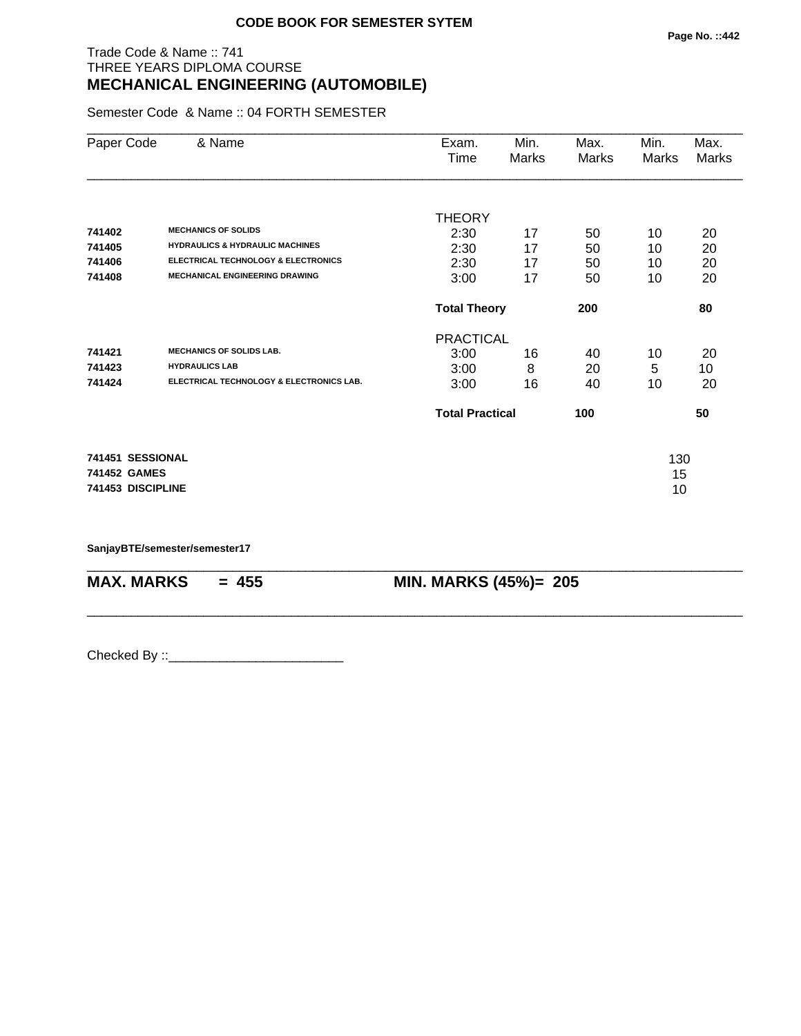## Trade Code & Name :: 741 THREE YEARS DIPLOMA COURSE **MECHANICAL ENGINEERING (AUTOMOBILE)**

Semester Code & Name :: 04 FORTH SEMESTER

| Paper Code        | & Name                                         | Exam.<br>Time          | Min.<br>Marks | Max.<br>Marks | Min.<br><b>Marks</b> | Max.<br>Marks |
|-------------------|------------------------------------------------|------------------------|---------------|---------------|----------------------|---------------|
| 741402            | <b>MECHANICS OF SOLIDS</b>                     | <b>THEORY</b>          |               |               |                      |               |
| 741405            | <b>HYDRAULICS &amp; HYDRAULIC MACHINES</b>     | 2:30                   | 17            | 50            | 10                   | 20            |
| 741406            | <b>ELECTRICAL TECHNOLOGY &amp; ELECTRONICS</b> | 2:30                   | 17<br>17      | 50            | 10                   | 20            |
| 741408            | <b>MECHANICAL ENGINEERING DRAWING</b>          | 2:30<br>3:00           | 17            | 50<br>50      | 10<br>10             | 20<br>20      |
|                   |                                                | <b>Total Theory</b>    |               | 200           |                      | 80            |
|                   |                                                | <b>PRACTICAL</b>       |               |               |                      |               |
| 741421            | <b>MECHANICS OF SOLIDS LAB.</b>                | 3:00                   | 16            | 40            | 10                   | 20            |
| 741423            | <b>HYDRAULICS LAB</b>                          | 3:00                   | 8             | 20            | 5                    | 10            |
| 741424            | ELECTRICAL TECHNOLOGY & ELECTRONICS LAB.       | 3:00                   | 16            | 40            | 10                   | 20            |
|                   |                                                | <b>Total Practical</b> |               | 100           |                      | 50            |
| 741451 SESSIONAL  |                                                |                        |               |               | 130                  |               |
| 741452 GAMES      |                                                |                        |               |               | 15                   |               |
| 741453 DISCIPLINE |                                                |                        |               |               | 10                   |               |

\_\_\_\_\_\_\_\_\_\_\_\_\_\_\_\_\_\_\_\_\_\_\_\_\_\_\_\_\_\_\_\_\_\_\_\_\_\_\_\_\_\_\_\_\_\_\_\_\_\_\_\_\_\_\_\_\_\_\_\_\_\_\_\_\_\_\_\_\_\_\_\_\_\_\_\_\_\_\_\_\_\_\_\_\_\_\_\_\_\_

\_\_\_\_\_\_\_\_\_\_\_\_\_\_\_\_\_\_\_\_\_\_\_\_\_\_\_\_\_\_\_\_\_\_\_\_\_\_\_\_\_\_\_\_\_\_\_\_\_\_\_\_\_\_\_\_\_\_\_\_\_\_\_\_\_\_\_\_\_\_\_\_\_\_\_\_\_\_\_\_\_\_\_\_\_\_\_\_\_\_

**SanjayBTE/semester/semester17**

**MAX. MARKS** = 455 **MIN. MARKS (45%)**= 205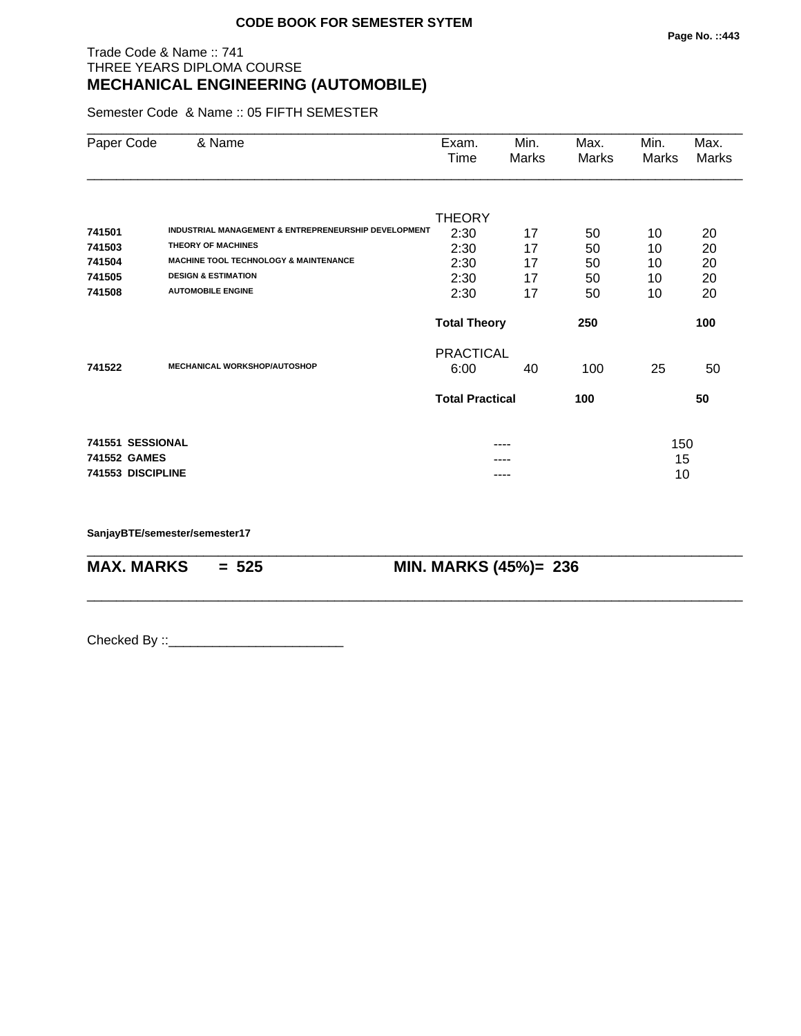## Trade Code & Name :: 741 THREE YEARS DIPLOMA COURSE **MECHANICAL ENGINEERING (AUTOMOBILE)**

Semester Code & Name :: 05 FIFTH SEMESTER

| Paper Code        | & Name                                               | Exam.<br>Time              | Min.<br>Marks | Max.<br>Marks | Min.<br>Marks | Max.<br>Marks |
|-------------------|------------------------------------------------------|----------------------------|---------------|---------------|---------------|---------------|
|                   |                                                      | <b>THEORY</b>              |               |               |               |               |
| 741501            | INDUSTRIAL MANAGEMENT & ENTREPRENEURSHIP DEVELOPMENT | 2:30                       | 17            | 50            | 10            | 20            |
| 741503            | <b>THEORY OF MACHINES</b>                            | 2:30                       | 17            | 50            | 10            | 20            |
| 741504            | <b>MACHINE TOOL TECHNOLOGY &amp; MAINTENANCE</b>     | 2:30                       | 17            | 50            | 10            | 20            |
| 741505            | <b>DESIGN &amp; ESTIMATION</b>                       | 2:30                       | 17            | 50            | 10            | 20            |
| 741508            | <b>AUTOMOBILE ENGINE</b>                             | 2:30                       | 17            | 50            | 10            | 20            |
|                   |                                                      | <b>Total Theory</b><br>250 |               |               |               | 100           |
|                   |                                                      | <b>PRACTICAL</b>           |               |               |               |               |
| 741522            | <b>MECHANICAL WORKSHOP/AUTOSHOP</b>                  | 6:00                       | 40            | 100           | 25            | 50            |
|                   |                                                      | <b>Total Practical</b>     |               | 100           |               | 50            |
| 741551 SESSIONAL  |                                                      |                            |               |               | 150           |               |
| 741552 GAMES      |                                                      |                            |               |               | 15            |               |
| 741553 DISCIPLINE |                                                      |                            | ----          |               | 10            |               |

\_\_\_\_\_\_\_\_\_\_\_\_\_\_\_\_\_\_\_\_\_\_\_\_\_\_\_\_\_\_\_\_\_\_\_\_\_\_\_\_\_\_\_\_\_\_\_\_\_\_\_\_\_\_\_\_\_\_\_\_\_\_\_\_\_\_\_\_\_\_\_\_\_\_\_\_\_\_\_\_\_\_\_\_\_\_\_\_\_\_

\_\_\_\_\_\_\_\_\_\_\_\_\_\_\_\_\_\_\_\_\_\_\_\_\_\_\_\_\_\_\_\_\_\_\_\_\_\_\_\_\_\_\_\_\_\_\_\_\_\_\_\_\_\_\_\_\_\_\_\_\_\_\_\_\_\_\_\_\_\_\_\_\_\_\_\_\_\_\_\_\_\_\_\_\_\_\_\_\_\_

**SanjayBTE/semester/semester17**

**MAX. MARKS = 525 MIN. MARKS (45%)= 236**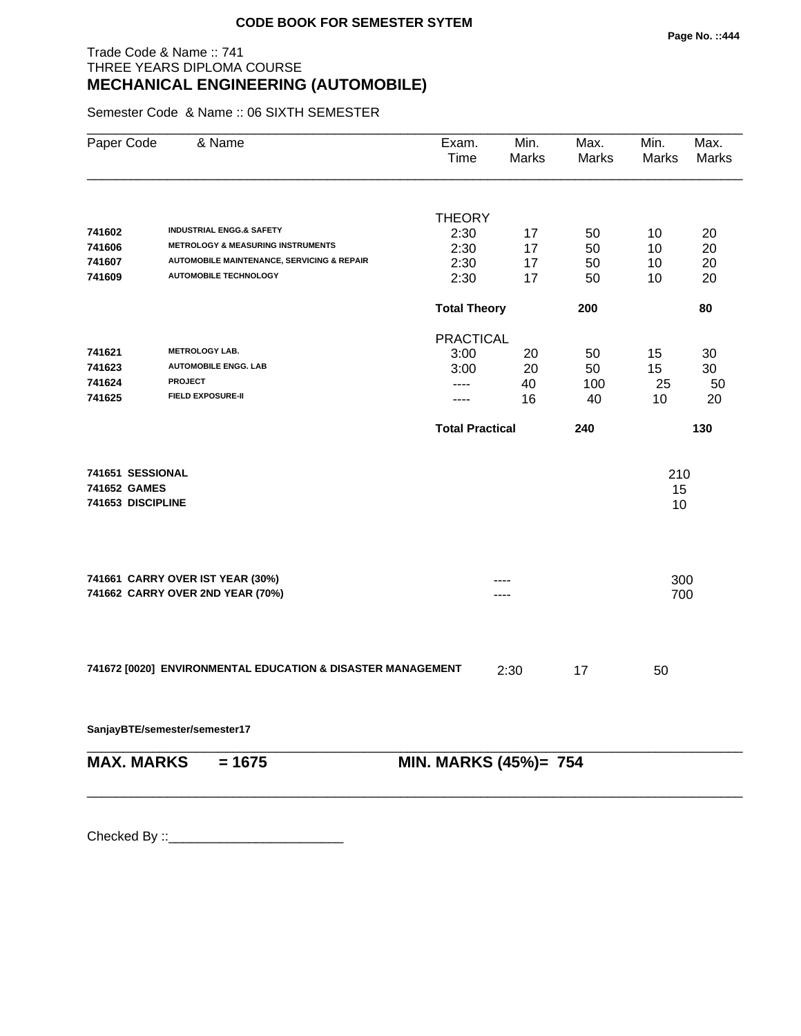## Trade Code & Name :: 741 THREE YEARS DIPLOMA COURSE **MECHANICAL ENGINEERING (AUTOMOBILE)**

Semester Code & Name :: 06 SIXTH SEMESTER

| Paper Code        | & Name                                                      | Exam.<br><b>Time</b>   | Min.<br>Marks | Max.<br><b>Marks</b> | Min.<br>Marks | Max.<br>Marks |
|-------------------|-------------------------------------------------------------|------------------------|---------------|----------------------|---------------|---------------|
|                   |                                                             | <b>THEORY</b>          |               |                      |               |               |
| 741602            | <b>INDUSTRIAL ENGG.&amp; SAFETY</b>                         | 2:30                   | 17            | 50                   | 10            | 20            |
| 741606            | <b>METROLOGY &amp; MEASURING INSTRUMENTS</b>                | 2:30                   | 17            | 50                   | 10            | 20            |
| 741607            | <b>AUTOMOBILE MAINTENANCE, SERVICING &amp; REPAIR</b>       | 2:30                   | 17            | 50                   | 10            | 20            |
| 741609            | <b>AUTOMOBILE TECHNOLOGY</b>                                | 2:30                   | 17            | 50                   | 10            | 20            |
|                   |                                                             | <b>Total Theory</b>    |               | 200                  |               | 80            |
|                   |                                                             | <b>PRACTICAL</b>       |               |                      |               |               |
| 741621            | <b>METROLOGY LAB.</b>                                       | 3:00                   | 20            | 50                   | 15            | 30            |
| 741623            | <b>AUTOMOBILE ENGG. LAB</b>                                 | 3:00                   | 20            | 50                   | 15            | 30            |
| 741624            | <b>PROJECT</b>                                              | ----                   | 40            | 100                  | 25            | 50            |
| 741625            | <b>FIELD EXPOSURE-II</b>                                    | ----                   | 16            | 40                   | 10            | 20            |
|                   |                                                             | <b>Total Practical</b> |               | 240                  |               | 130           |
| 741651 SESSIONAL  |                                                             |                        |               |                      | 210           |               |
| 741652 GAMES      |                                                             |                        |               |                      | 15            |               |
| 741653 DISCIPLINE |                                                             |                        |               |                      | 10            |               |
|                   | 741661 CARRY OVER IST YEAR (30%)                            |                        |               |                      | 300           |               |
|                   | 741662 CARRY OVER 2ND YEAR (70%)                            |                        |               |                      | 700           |               |
|                   | 741672 [0020] ENVIRONMENTAL EDUCATION & DISASTER MANAGEMENT |                        | 2:30          | 17                   | 50            |               |
|                   |                                                             |                        |               |                      |               |               |
|                   | SanjayBTE/semester/semester17                               |                        |               |                      |               |               |
| <b>MAX. MARKS</b> | $= 1675$                                                    | MIN. MARKS (45%)= 754  |               |                      |               |               |
|                   |                                                             |                        |               |                      |               |               |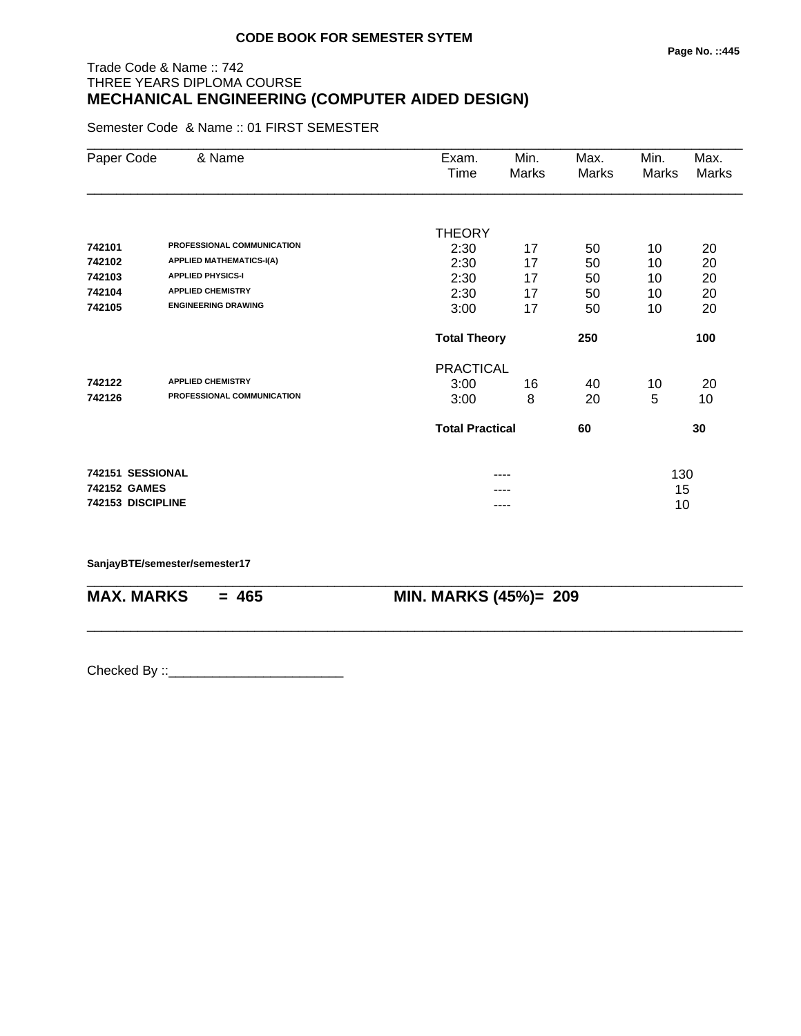## Trade Code & Name :: 742 THREE YEARS DIPLOMA COURSE **MECHANICAL ENGINEERING (COMPUTER AIDED DESIGN)**

Semester Code & Name :: 01 FIRST SEMESTER

| Paper Code        | & Name                          | Exam.                  | Min.  | Max.  | Min.         | Max.         |
|-------------------|---------------------------------|------------------------|-------|-------|--------------|--------------|
|                   |                                 | Time                   | Marks | Marks | <b>Marks</b> | <b>Marks</b> |
|                   |                                 |                        |       |       |              |              |
|                   |                                 | <b>THEORY</b>          |       |       |              |              |
| 742101            | PROFESSIONAL COMMUNICATION      | 2:30                   | 17    | 50    | 10           | 20           |
| 742102            | <b>APPLIED MATHEMATICS-I(A)</b> | 2:30                   | 17    | 50    | 10           | 20           |
| 742103            | <b>APPLIED PHYSICS-I</b>        | 2:30                   | 17    | 50    | 10           | 20           |
| 742104            | <b>APPLIED CHEMISTRY</b>        | 2:30                   | 17    | 50    | 10           | 20           |
| 742105            | <b>ENGINEERING DRAWING</b>      | 3:00                   | 17    | 50    | 10           | 20           |
|                   |                                 | <b>Total Theory</b>    |       | 250   |              | 100          |
|                   |                                 | <b>PRACTICAL</b>       |       |       |              |              |
| 742122            | <b>APPLIED CHEMISTRY</b>        | 3:00                   | 16    | 40    | 10           | 20           |
| 742126            | PROFESSIONAL COMMUNICATION      | 3:00                   | 8     | 20    | 5            | 10           |
|                   |                                 | <b>Total Practical</b> |       | 60    |              | 30           |
|                   | 742151 SESSIONAL                |                        | ----  |       | 130          |              |
| 742152 GAMES      |                                 |                        |       |       | 15           |              |
| 742153 DISCIPLINE |                                 |                        | ----  |       | 10           |              |

\_\_\_\_\_\_\_\_\_\_\_\_\_\_\_\_\_\_\_\_\_\_\_\_\_\_\_\_\_\_\_\_\_\_\_\_\_\_\_\_\_\_\_\_\_\_\_\_\_\_\_\_\_\_\_\_\_\_\_\_\_\_\_\_\_\_\_\_\_\_\_\_\_\_\_\_\_\_\_\_\_\_\_\_\_\_\_\_\_\_

\_\_\_\_\_\_\_\_\_\_\_\_\_\_\_\_\_\_\_\_\_\_\_\_\_\_\_\_\_\_\_\_\_\_\_\_\_\_\_\_\_\_\_\_\_\_\_\_\_\_\_\_\_\_\_\_\_\_\_\_\_\_\_\_\_\_\_\_\_\_\_\_\_\_\_\_\_\_\_\_\_\_\_\_\_\_\_\_\_\_

**SanjayBTE/semester/semester17**

**MAX. MARKS = 465 MIN. MARKS (45%)= 209**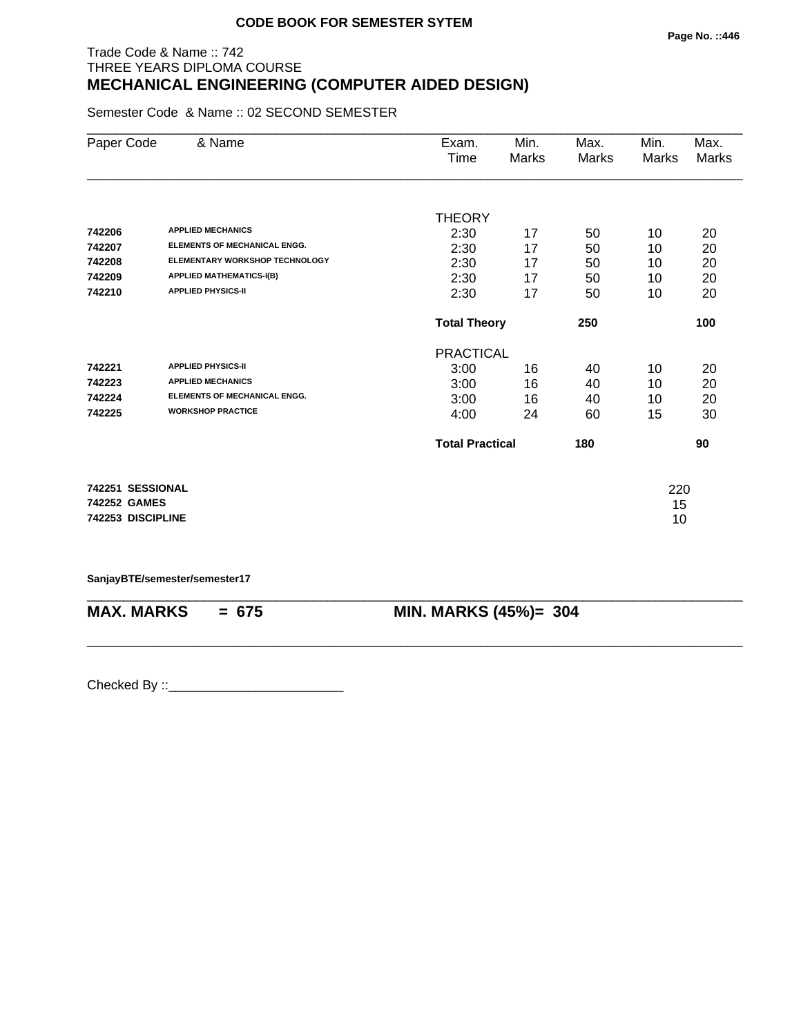# Trade Code & Name :: 742 THREE YEARS DIPLOMA COURSE **MECHANICAL ENGINEERING (COMPUTER AIDED DESIGN)**

Semester Code & Name :: 02 SECOND SEMESTER

| Paper Code        | & Name                                | Exam.                  | Min.  | Max.  | Min.  | Max.  |
|-------------------|---------------------------------------|------------------------|-------|-------|-------|-------|
|                   |                                       | Time                   | Marks | Marks | Marks | Marks |
|                   |                                       |                        |       |       |       |       |
|                   |                                       | <b>THEORY</b>          |       |       |       |       |
| 742206            | <b>APPLIED MECHANICS</b>              | 2:30                   | 17    | 50    | 10    | 20    |
| 742207            | <b>ELEMENTS OF MECHANICAL ENGG.</b>   | 2:30                   | 17    | 50    | 10    | 20    |
| 742208            | <b>ELEMENTARY WORKSHOP TECHNOLOGY</b> | 2:30                   | 17    | 50    | 10    | 20    |
| 742209            | <b>APPLIED MATHEMATICS-I(B)</b>       | 2:30                   | 17    | 50    | 10    | 20    |
| 742210            | <b>APPLIED PHYSICS-II</b>             | 2:30                   | 17    | 50    | 10    | 20    |
|                   |                                       | <b>Total Theory</b>    |       | 250   |       | 100   |
|                   |                                       | <b>PRACTICAL</b>       |       |       |       |       |
| 742221            | <b>APPLIED PHYSICS-II</b>             | 3:00                   | 16    | 40    | 10    | 20    |
| 742223            | <b>APPLIED MECHANICS</b>              | 3:00                   | 16    | 40    | 10    | 20    |
| 742224            | <b>ELEMENTS OF MECHANICAL ENGG.</b>   | 3:00                   | 16    | 40    | 10    | 20    |
| 742225            | <b>WORKSHOP PRACTICE</b>              | 4:00                   | 24    | 60    | 15    | 30    |
|                   |                                       | <b>Total Practical</b> |       | 180   |       | 90    |
| 742251 SESSIONAL  |                                       |                        |       |       | 220   |       |
| 742252 GAMES      |                                       |                        |       |       | 15    |       |
| 742253 DISCIPLINE |                                       |                        |       |       | 10    |       |
|                   |                                       |                        |       |       |       |       |

**SanjayBTE/semester/semester17**

| $MAX. \, MARKS = 675$ | <b>MIN. MARKS (45%)= 304</b> |
|-----------------------|------------------------------|

\_\_\_\_\_\_\_\_\_\_\_\_\_\_\_\_\_\_\_\_\_\_\_\_\_\_\_\_\_\_\_\_\_\_\_\_\_\_\_\_\_\_\_\_\_\_\_\_\_\_\_\_\_\_\_\_\_\_\_\_\_\_\_\_\_\_\_\_\_\_\_\_\_\_\_\_\_\_\_\_\_\_\_\_\_\_\_\_\_\_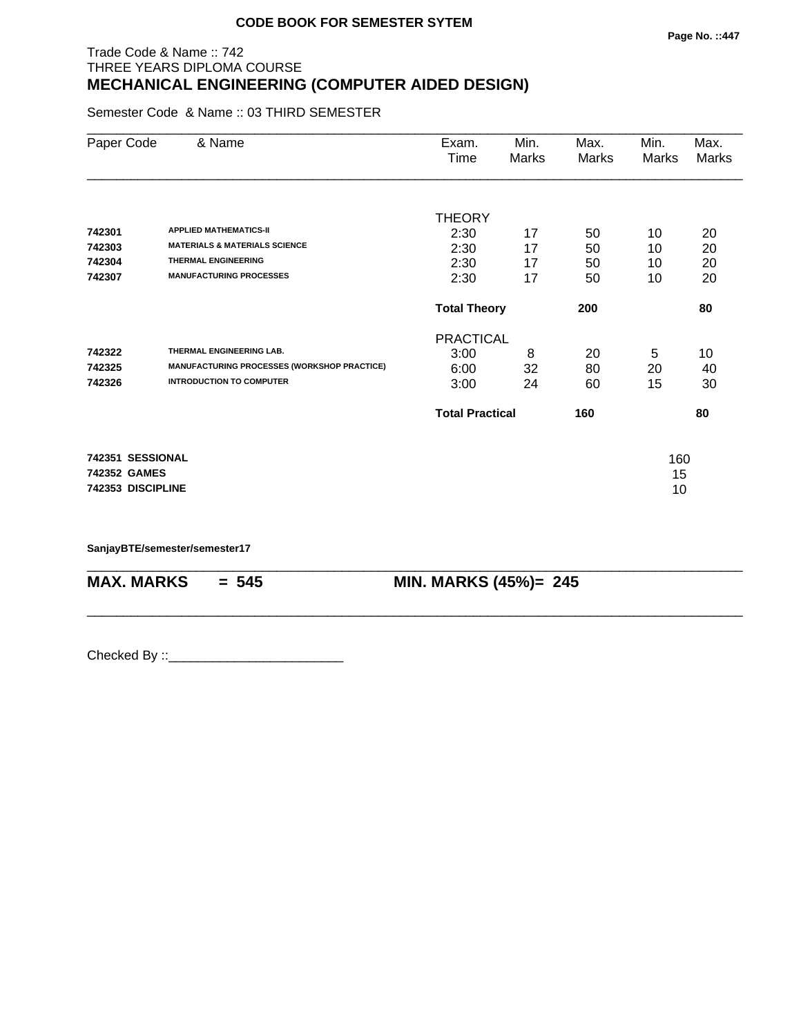## Trade Code & Name :: 742 THREE YEARS DIPLOMA COURSE **MECHANICAL ENGINEERING (COMPUTER AIDED DESIGN)**

Semester Code & Name :: 03 THIRD SEMESTER

| Paper Code        | & Name                                             | Exam.<br>Time          | Min.<br>Marks | Max.<br><b>Marks</b> | Min.<br>Marks | Max.<br>Marks |
|-------------------|----------------------------------------------------|------------------------|---------------|----------------------|---------------|---------------|
|                   |                                                    | <b>THEORY</b>          |               |                      |               |               |
| 742301            | <b>APPLIED MATHEMATICS-II</b>                      | 2:30                   | 17            | 50                   | 10            | 20            |
| 742303            | <b>MATERIALS &amp; MATERIALS SCIENCE</b>           | 2:30                   | 17            | 50                   | 10            | 20            |
| 742304            | <b>THERMAL ENGINEERING</b>                         | 2:30                   | 17            | 50                   | 10            | 20            |
| 742307            | <b>MANUFACTURING PROCESSES</b>                     | 2:30                   | 17            | 50                   | 10            | 20            |
|                   |                                                    | <b>Total Theory</b>    |               | 200                  |               | 80            |
|                   |                                                    | <b>PRACTICAL</b>       |               |                      |               |               |
| 742322            | THERMAL ENGINEERING LAB.                           | 3:00                   | 8             | 20                   | 5             | 10            |
| 742325            | <b>MANUFACTURING PROCESSES (WORKSHOP PRACTICE)</b> | 6:00                   | 32            | 80                   | 20            | 40            |
| 742326            | <b>INTRODUCTION TO COMPUTER</b>                    | 3:00                   | 24            | 60                   | 15            | 30            |
|                   |                                                    | <b>Total Practical</b> |               | 160                  |               | 80            |
| 742351 SESSIONAL  |                                                    |                        |               |                      | 160           |               |
| 742352 GAMES      |                                                    |                        |               |                      | 15            |               |
| 742353 DISCIPLINE |                                                    |                        |               |                      | 10            |               |
|                   |                                                    |                        |               |                      |               |               |

\_\_\_\_\_\_\_\_\_\_\_\_\_\_\_\_\_\_\_\_\_\_\_\_\_\_\_\_\_\_\_\_\_\_\_\_\_\_\_\_\_\_\_\_\_\_\_\_\_\_\_\_\_\_\_\_\_\_\_\_\_\_\_\_\_\_\_\_\_\_\_\_\_\_\_\_\_\_\_\_\_\_\_\_\_\_\_\_\_\_

\_\_\_\_\_\_\_\_\_\_\_\_\_\_\_\_\_\_\_\_\_\_\_\_\_\_\_\_\_\_\_\_\_\_\_\_\_\_\_\_\_\_\_\_\_\_\_\_\_\_\_\_\_\_\_\_\_\_\_\_\_\_\_\_\_\_\_\_\_\_\_\_\_\_\_\_\_\_\_\_\_\_\_\_\_\_\_\_\_\_

**SanjayBTE/semester/semester17**

**MAX. MARKS = 545 MIN. MARKS (45%)= 245**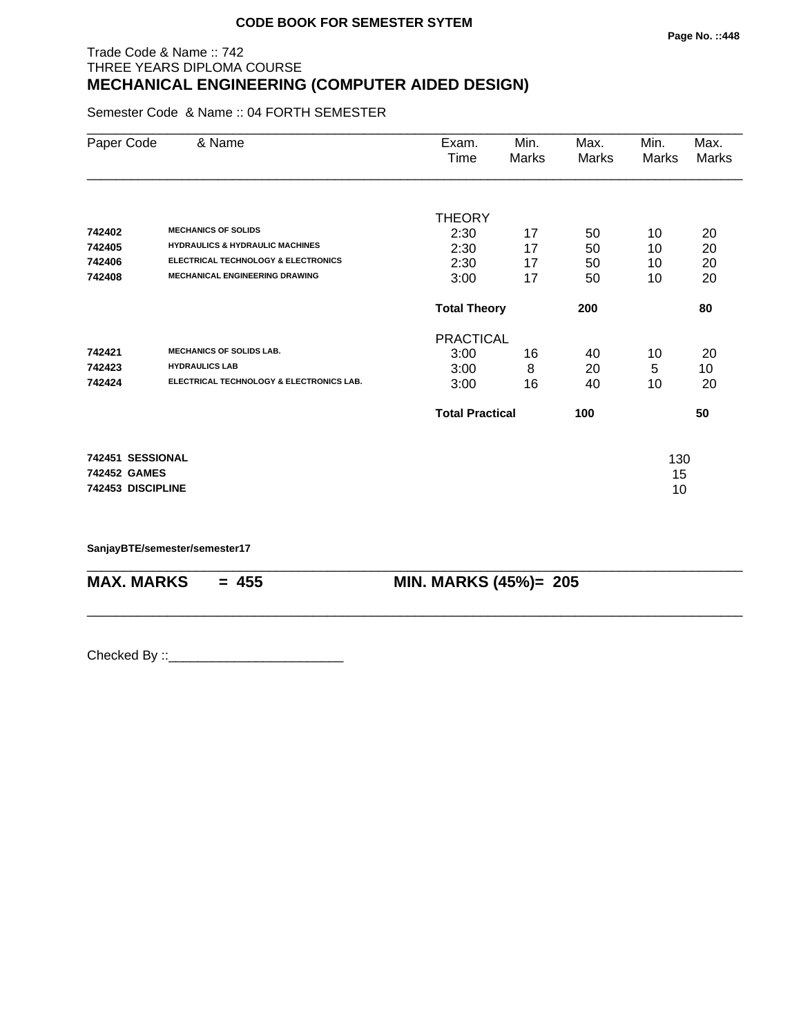## Trade Code & Name :: 742 THREE YEARS DIPLOMA COURSE **MECHANICAL ENGINEERING (COMPUTER AIDED DESIGN)**

Semester Code & Name :: 04 FORTH SEMESTER

| Paper Code        | & Name                                         | Exam.<br>Time          | Min.<br>Marks | Max.<br>Marks | Min.<br>Marks | Max.<br>Marks |
|-------------------|------------------------------------------------|------------------------|---------------|---------------|---------------|---------------|
| 742402            | <b>MECHANICS OF SOLIDS</b>                     | <b>THEORY</b><br>2:30  | 17            | 50            | 10            | 20            |
| 742405            | <b>HYDRAULICS &amp; HYDRAULIC MACHINES</b>     | 2:30                   | 17            | 50            | 10            | 20            |
| 742406            | <b>ELECTRICAL TECHNOLOGY &amp; ELECTRONICS</b> | 2:30                   | 17            | 50            | 10            | 20            |
| 742408            | <b>MECHANICAL ENGINEERING DRAWING</b>          | 3:00                   | 17            | 50            | 10            | 20            |
|                   |                                                | <b>Total Theory</b>    |               | 200           |               | 80            |
|                   |                                                | <b>PRACTICAL</b>       |               |               |               |               |
| 742421            | <b>MECHANICS OF SOLIDS LAB.</b>                | 3:00                   | 16            | 40            | 10            | 20            |
| 742423            | <b>HYDRAULICS LAB</b>                          | 3:00                   | 8             | 20            | 5             | 10            |
| 742424            | ELECTRICAL TECHNOLOGY & ELECTRONICS LAB.       | 3:00                   | 16            | 40            | 10            | 20            |
|                   |                                                | <b>Total Practical</b> |               | 100           |               | 50            |
| 742451 SESSIONAL  |                                                |                        |               |               | 130           |               |
| 742452 GAMES      |                                                |                        |               |               | 15            |               |
| 742453 DISCIPLINE |                                                |                        |               |               | 10            |               |

\_\_\_\_\_\_\_\_\_\_\_\_\_\_\_\_\_\_\_\_\_\_\_\_\_\_\_\_\_\_\_\_\_\_\_\_\_\_\_\_\_\_\_\_\_\_\_\_\_\_\_\_\_\_\_\_\_\_\_\_\_\_\_\_\_\_\_\_\_\_\_\_\_\_\_\_\_\_\_\_\_\_\_\_\_\_\_\_\_\_

\_\_\_\_\_\_\_\_\_\_\_\_\_\_\_\_\_\_\_\_\_\_\_\_\_\_\_\_\_\_\_\_\_\_\_\_\_\_\_\_\_\_\_\_\_\_\_\_\_\_\_\_\_\_\_\_\_\_\_\_\_\_\_\_\_\_\_\_\_\_\_\_\_\_\_\_\_\_\_\_\_\_\_\_\_\_\_\_\_\_

**SanjayBTE/semester/semester17**

**MAX. MARKS = 455 MIN. MARKS (45%)= 205**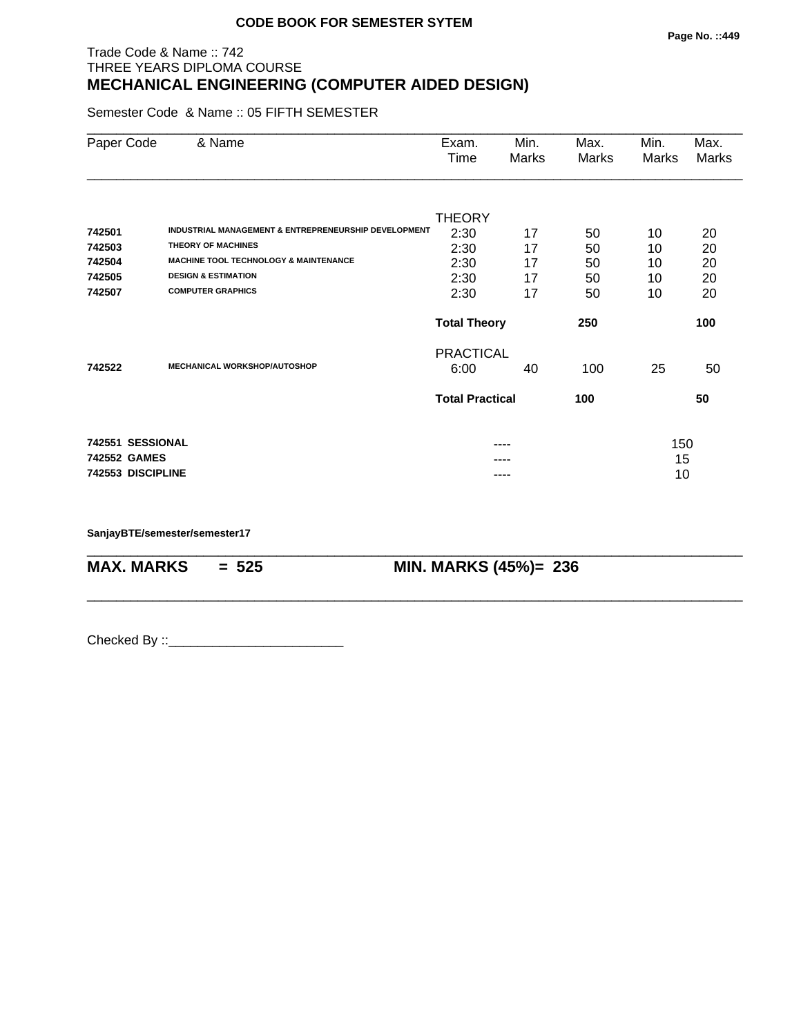## Trade Code & Name :: 742 THREE YEARS DIPLOMA COURSE **MECHANICAL ENGINEERING (COMPUTER AIDED DESIGN)**

Semester Code & Name :: 05 FIFTH SEMESTER

| Paper Code        | & Name                                               | Exam.<br>Time          | Min.<br>Marks | Max.<br>Marks | Min.<br>Marks | Max.<br>Marks |
|-------------------|------------------------------------------------------|------------------------|---------------|---------------|---------------|---------------|
|                   |                                                      |                        |               |               |               |               |
| 742501            | INDUSTRIAL MANAGEMENT & ENTREPRENEURSHIP DEVELOPMENT | <b>THEORY</b><br>2:30  | 17            | 50            | 10            | 20            |
| 742503            | <b>THEORY OF MACHINES</b>                            | 2:30                   | 17            | 50            | 10            | 20            |
| 742504            | <b>MACHINE TOOL TECHNOLOGY &amp; MAINTENANCE</b>     | 2:30                   | 17            | 50            | 10            | 20            |
| 742505            | <b>DESIGN &amp; ESTIMATION</b>                       | 2:30                   | 17            | 50            | 10            | 20            |
| 742507            | <b>COMPUTER GRAPHICS</b>                             | 2:30                   | 17            | 50            | 10            | 20            |
|                   |                                                      | <b>Total Theory</b>    |               | 250           |               | 100           |
|                   |                                                      | <b>PRACTICAL</b>       |               |               |               |               |
| 742522            | <b>MECHANICAL WORKSHOP/AUTOSHOP</b>                  | 6:00                   | 40            | 100           | 25            | 50            |
|                   |                                                      | <b>Total Practical</b> |               | 100           |               | 50            |
| 742551 SESSIONAL  |                                                      |                        |               |               |               |               |
| 742552 GAMES      |                                                      |                        |               |               | 150<br>15     |               |
| 742553 DISCIPLINE |                                                      |                        | ----          |               | 10            |               |

\_\_\_\_\_\_\_\_\_\_\_\_\_\_\_\_\_\_\_\_\_\_\_\_\_\_\_\_\_\_\_\_\_\_\_\_\_\_\_\_\_\_\_\_\_\_\_\_\_\_\_\_\_\_\_\_\_\_\_\_\_\_\_\_\_\_\_\_\_\_\_\_\_\_\_\_\_\_\_\_\_\_\_\_\_\_\_\_\_\_

\_\_\_\_\_\_\_\_\_\_\_\_\_\_\_\_\_\_\_\_\_\_\_\_\_\_\_\_\_\_\_\_\_\_\_\_\_\_\_\_\_\_\_\_\_\_\_\_\_\_\_\_\_\_\_\_\_\_\_\_\_\_\_\_\_\_\_\_\_\_\_\_\_\_\_\_\_\_\_\_\_\_\_\_\_\_\_\_\_\_

**SanjayBTE/semester/semester17**

**MAX. MARKS = 525 MIN. MARKS (45%)= 236**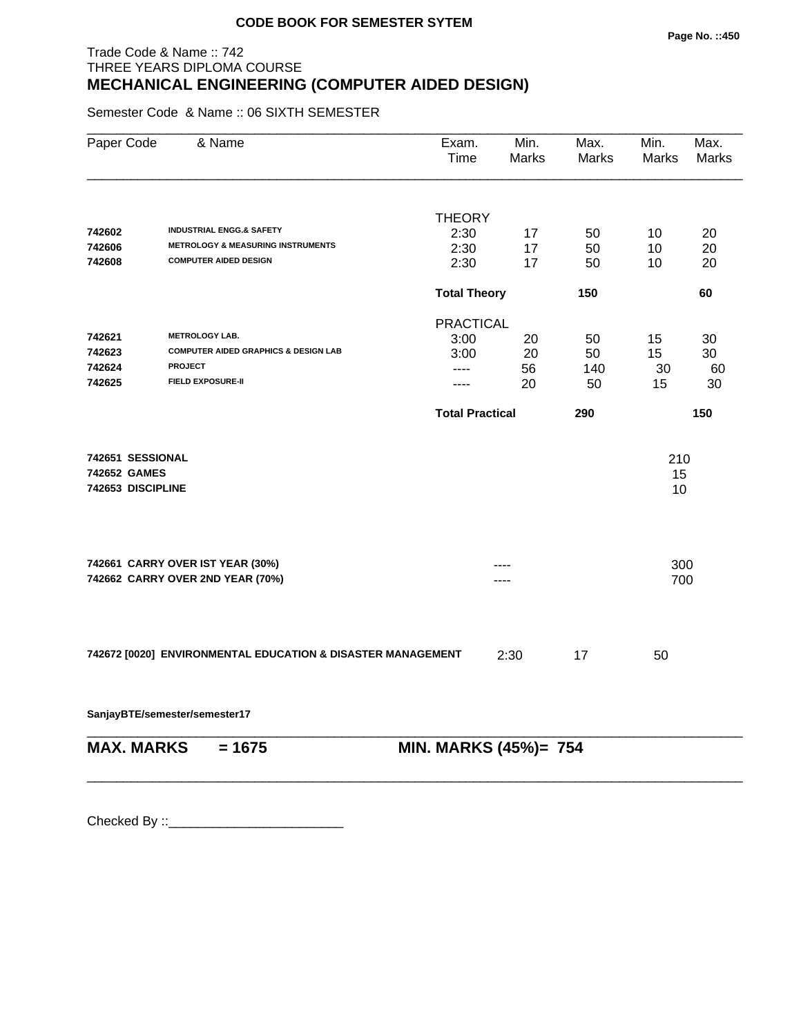## Trade Code & Name :: 742 THREE YEARS DIPLOMA COURSE **MECHANICAL ENGINEERING (COMPUTER AIDED DESIGN)**

Semester Code & Name :: 06 SIXTH SEMESTER

| Paper Code        | & Name                                                      | Exam.<br>Time          | Min.<br>Marks | Max.<br>Marks | Min.<br>Marks | Max.<br>Marks |
|-------------------|-------------------------------------------------------------|------------------------|---------------|---------------|---------------|---------------|
|                   |                                                             |                        |               |               |               |               |
|                   | <b>INDUSTRIAL ENGG.&amp; SAFETY</b>                         | <b>THEORY</b>          |               |               |               |               |
| 742602            | <b>METROLOGY &amp; MEASURING INSTRUMENTS</b>                | 2:30                   | 17            | 50            | 10            | 20            |
| 742606<br>742608  | <b>COMPUTER AIDED DESIGN</b>                                | 2:30                   | 17            | 50            | 10            | 20            |
|                   |                                                             | 2:30                   | 17            | 50            | 10            | 20            |
|                   |                                                             | <b>Total Theory</b>    |               | 150           |               | 60            |
|                   |                                                             | <b>PRACTICAL</b>       |               |               |               |               |
| 742621            | <b>METROLOGY LAB.</b>                                       | 3:00                   | 20            | 50            | 15            | 30            |
| 742623            | <b>COMPUTER AIDED GRAPHICS &amp; DESIGN LAB</b>             | 3:00                   | 20            | 50            | 15            | 30            |
| 742624            | <b>PROJECT</b>                                              | ----                   | 56            | 140           | 30            | 60            |
| 742625            | <b>FIELD EXPOSURE-II</b>                                    | ----                   | 20            | 50            | 15            | 30            |
|                   |                                                             | <b>Total Practical</b> |               | 290           |               | 150           |
| 742651 SESSIONAL  |                                                             |                        |               |               | 210           |               |
| 742652 GAMES      |                                                             |                        |               |               | 15            |               |
| 742653 DISCIPLINE |                                                             |                        |               |               | 10            |               |
|                   |                                                             |                        |               |               |               |               |
|                   | 742661 CARRY OVER IST YEAR (30%)                            |                        |               |               | 300           |               |
|                   | 742662 CARRY OVER 2ND YEAR (70%)                            |                        |               |               | 700           |               |
|                   |                                                             |                        |               |               |               |               |
|                   | 742672 [0020] ENVIRONMENTAL EDUCATION & DISASTER MANAGEMENT |                        | 2:30          | 17            | 50            |               |
|                   | SanjayBTE/semester/semester17                               |                        |               |               |               |               |
| <b>MAX. MARKS</b> | $= 1675$                                                    | MIN. MARKS (45%)= 754  |               |               |               |               |

\_\_\_\_\_\_\_\_\_\_\_\_\_\_\_\_\_\_\_\_\_\_\_\_\_\_\_\_\_\_\_\_\_\_\_\_\_\_\_\_\_\_\_\_\_\_\_\_\_\_\_\_\_\_\_\_\_\_\_\_\_\_\_\_\_\_\_\_\_\_\_\_\_\_\_\_\_\_\_\_\_\_\_\_\_\_\_\_\_\_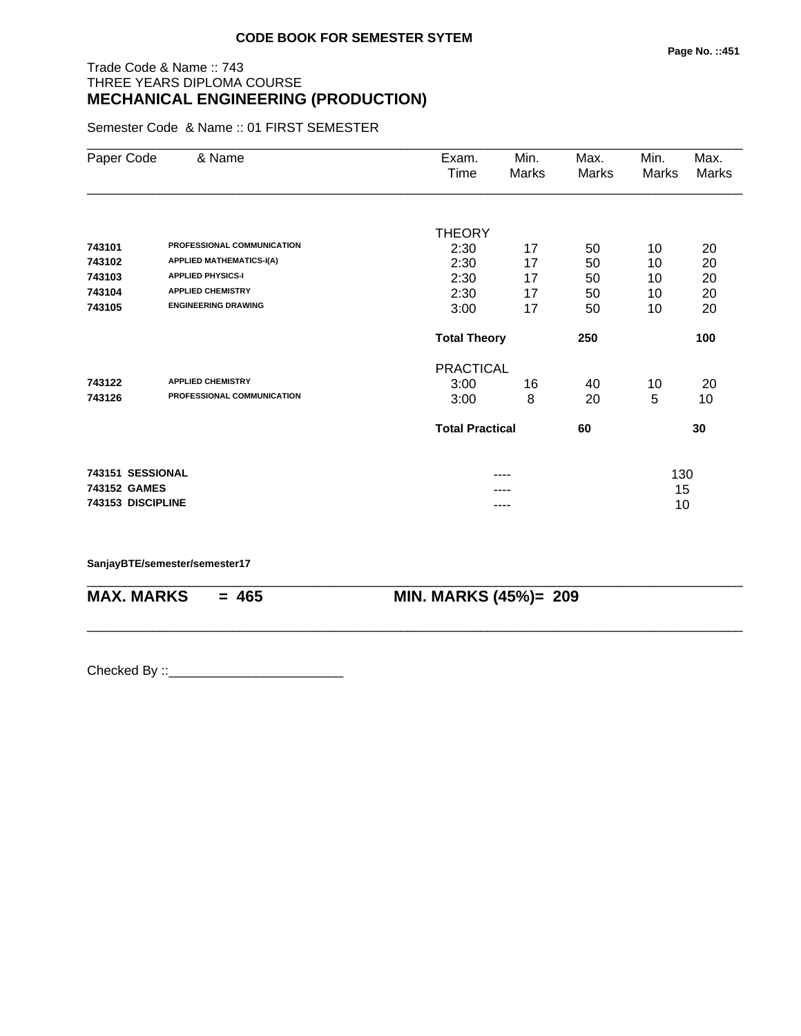## Trade Code & Name :: 743 THREE YEARS DIPLOMA COURSE **MECHANICAL ENGINEERING (PRODUCTION)**

Semester Code & Name :: 01 FIRST SEMESTER

| Paper Code        | & Name                          | Exam.                  | Min.  | Max.  | Min.  | Max.         |
|-------------------|---------------------------------|------------------------|-------|-------|-------|--------------|
|                   |                                 | Time                   | Marks | Marks | Marks | <b>Marks</b> |
|                   |                                 |                        |       |       |       |              |
|                   |                                 | <b>THEORY</b>          |       |       |       |              |
| 743101            | PROFESSIONAL COMMUNICATION      | 2:30                   | 17    | 50    | 10    | 20           |
| 743102            | <b>APPLIED MATHEMATICS-I(A)</b> | 2:30                   | 17    | 50    | 10    | 20           |
| 743103            | <b>APPLIED PHYSICS-I</b>        | 2:30                   | 17    | 50    | 10    | 20           |
| 743104            | <b>APPLIED CHEMISTRY</b>        | 2:30                   | 17    | 50    | 10    | 20           |
| 743105            | <b>ENGINEERING DRAWING</b>      | 3:00                   | 17    | 50    | 10    | 20           |
|                   |                                 | <b>Total Theory</b>    |       | 250   |       | 100          |
|                   |                                 | <b>PRACTICAL</b>       |       |       |       |              |
| 743122            | <b>APPLIED CHEMISTRY</b>        | 3:00                   | 16    | 40    | 10    | 20           |
| 743126            | PROFESSIONAL COMMUNICATION      | 3:00                   | 8     | 20    | 5     | 10           |
|                   |                                 | <b>Total Practical</b> |       | 60    |       | 30           |
| 743151 SESSIONAL  |                                 |                        | ----  |       | 130   |              |
| 743152 GAMES      |                                 |                        |       |       | 15    |              |
| 743153 DISCIPLINE |                                 |                        | ----  |       | 10    |              |

\_\_\_\_\_\_\_\_\_\_\_\_\_\_\_\_\_\_\_\_\_\_\_\_\_\_\_\_\_\_\_\_\_\_\_\_\_\_\_\_\_\_\_\_\_\_\_\_\_\_\_\_\_\_\_\_\_\_\_\_\_\_\_\_\_\_\_\_\_\_\_\_\_\_\_\_\_\_\_\_\_\_\_\_\_\_\_\_\_\_

\_\_\_\_\_\_\_\_\_\_\_\_\_\_\_\_\_\_\_\_\_\_\_\_\_\_\_\_\_\_\_\_\_\_\_\_\_\_\_\_\_\_\_\_\_\_\_\_\_\_\_\_\_\_\_\_\_\_\_\_\_\_\_\_\_\_\_\_\_\_\_\_\_\_\_\_\_\_\_\_\_\_\_\_\_\_\_\_\_\_

**SanjayBTE/semester/semester17**

**MAX. MARKS = 465 MIN. MARKS (45%)= 209**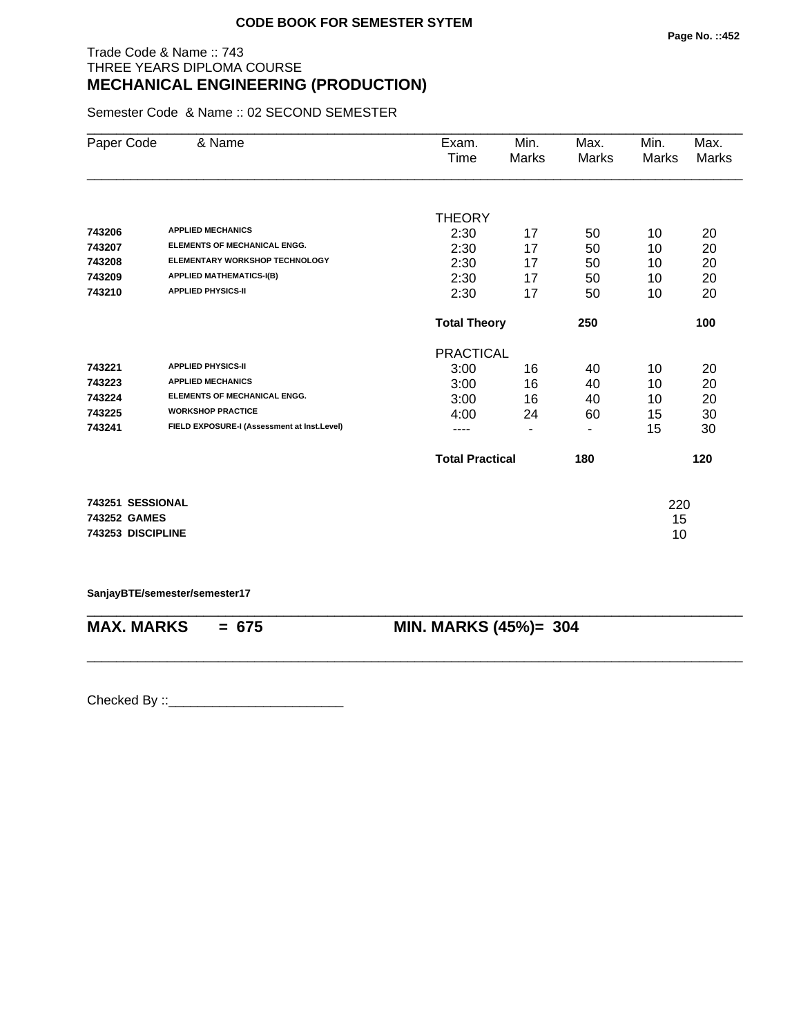## Trade Code & Name :: 743 THREE YEARS DIPLOMA COURSE **MECHANICAL ENGINEERING (PRODUCTION)**

Semester Code & Name :: 02 SECOND SEMESTER

| Paper Code        | & Name                                      | Exam.                  | Min.           | Max.  | Min.  | Max.  |
|-------------------|---------------------------------------------|------------------------|----------------|-------|-------|-------|
|                   |                                             | Time                   | Marks          | Marks | Marks | Marks |
|                   |                                             |                        |                |       |       |       |
|                   |                                             | <b>THEORY</b>          |                |       |       |       |
| 743206            | <b>APPLIED MECHANICS</b>                    | 2:30                   | 17             | 50    | 10    | 20    |
| 743207            | <b>ELEMENTS OF MECHANICAL ENGG.</b>         | 2:30                   | 17             | 50    | 10    | 20    |
| 743208            | ELEMENTARY WORKSHOP TECHNOLOGY              | 2:30                   | 17             | 50    | 10    | 20    |
| 743209            | <b>APPLIED MATHEMATICS-I(B)</b>             | 2:30                   | 17             | 50    | 10    | 20    |
| 743210            | <b>APPLIED PHYSICS-II</b>                   | 2:30                   | 17             | 50    | 10    | 20    |
|                   |                                             | <b>Total Theory</b>    |                | 250   |       | 100   |
|                   |                                             | <b>PRACTICAL</b>       |                |       |       |       |
| 743221            | <b>APPLIED PHYSICS-II</b>                   | 3:00                   | 16             | 40    | 10    | 20    |
| 743223            | <b>APPLIED MECHANICS</b>                    | 3:00                   | 16             | 40    | 10    | 20    |
| 743224            | <b>ELEMENTS OF MECHANICAL ENGG.</b>         | 3:00                   | 16             | 40    | 10    | 20    |
| 743225            | <b>WORKSHOP PRACTICE</b>                    | 4:00                   | 24             | 60    | 15    | 30    |
| 743241            | FIELD EXPOSURE-I (Assessment at Inst.Level) | ----                   | $\blacksquare$ | ٠     | 15    | 30    |
|                   |                                             | <b>Total Practical</b> |                | 180   |       | 120   |
|                   |                                             |                        |                |       |       |       |
| 743251 SESSIONAL  |                                             |                        |                |       | 220   |       |
| 743252 GAMES      |                                             |                        |                |       | 15    |       |
| 743253 DISCIPLINE |                                             |                        |                |       | 10    |       |

**SanjayBTE/semester/semester17**

\_\_\_\_\_\_\_\_\_\_\_\_\_\_\_\_\_\_\_\_\_\_\_\_\_\_\_\_\_\_\_\_\_\_\_\_\_\_\_\_\_\_\_\_\_\_\_\_\_\_\_\_\_\_\_\_\_\_\_\_\_\_\_\_\_\_\_\_\_\_\_\_\_\_\_\_\_\_\_\_\_\_\_\_\_\_\_\_\_\_ **MAX. MARKS = 675 MIN. MARKS (45%)= 304**

\_\_\_\_\_\_\_\_\_\_\_\_\_\_\_\_\_\_\_\_\_\_\_\_\_\_\_\_\_\_\_\_\_\_\_\_\_\_\_\_\_\_\_\_\_\_\_\_\_\_\_\_\_\_\_\_\_\_\_\_\_\_\_\_\_\_\_\_\_\_\_\_\_\_\_\_\_\_\_\_\_\_\_\_\_\_\_\_\_\_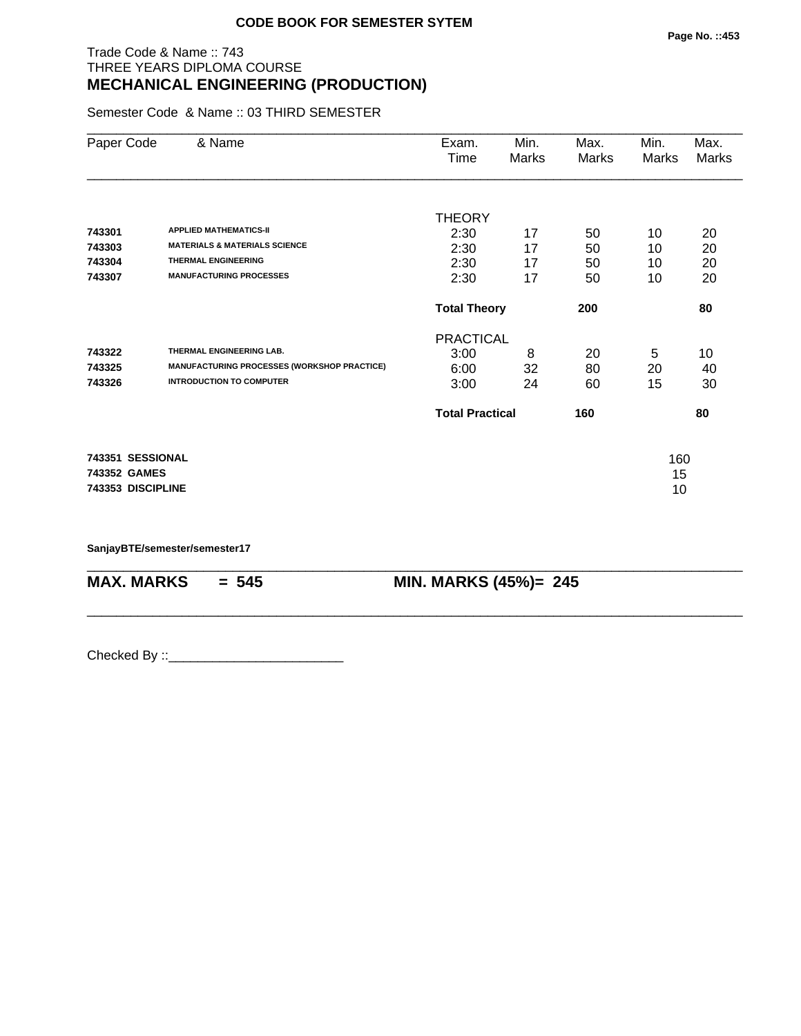## Trade Code & Name :: 743 THREE YEARS DIPLOMA COURSE **MECHANICAL ENGINEERING (PRODUCTION)**

Semester Code & Name :: 03 THIRD SEMESTER

| Paper Code        | & Name                                             | Exam.<br>Time                              | Min.<br>Marks | Max.<br>Marks | Min.<br>Marks | Max.<br>Marks |
|-------------------|----------------------------------------------------|--------------------------------------------|---------------|---------------|---------------|---------------|
| 743301            | <b>APPLIED MATHEMATICS-II</b>                      | <b>THEORY</b>                              |               |               |               |               |
| 743303            | <b>MATERIALS &amp; MATERIALS SCIENCE</b>           | 2:30                                       | 17            | 50            | 10            | 20            |
| 743304            | <b>THERMAL ENGINEERING</b>                         | 2:30                                       | 17            | 50            | 10<br>10      | 20            |
| 743307            | <b>MANUFACTURING PROCESSES</b>                     | 2:30<br>17<br>50<br>17<br>2:30<br>50<br>10 |               |               |               | 20<br>20      |
|                   |                                                    | <b>Total Theory</b>                        |               | 200           |               | 80            |
|                   |                                                    | <b>PRACTICAL</b>                           |               |               |               |               |
| 743322            | THERMAL ENGINEERING LAB.                           | 3:00                                       | 8             | 20            | 5             | 10            |
| 743325            | <b>MANUFACTURING PROCESSES (WORKSHOP PRACTICE)</b> | 6:00                                       | 32            | 80            | 20            | 40            |
| 743326            | <b>INTRODUCTION TO COMPUTER</b>                    | 3:00                                       | 24            | 60            | 15            | 30            |
|                   |                                                    | <b>Total Practical</b>                     |               | 160           |               | 80            |
| 743351 SESSIONAL  |                                                    |                                            |               |               | 160           |               |
| 743352 GAMES      |                                                    |                                            |               |               | 15            |               |
| 743353 DISCIPLINE |                                                    |                                            |               |               | 10            |               |

\_\_\_\_\_\_\_\_\_\_\_\_\_\_\_\_\_\_\_\_\_\_\_\_\_\_\_\_\_\_\_\_\_\_\_\_\_\_\_\_\_\_\_\_\_\_\_\_\_\_\_\_\_\_\_\_\_\_\_\_\_\_\_\_\_\_\_\_\_\_\_\_\_\_\_\_\_\_\_\_\_\_\_\_\_\_\_\_\_\_

\_\_\_\_\_\_\_\_\_\_\_\_\_\_\_\_\_\_\_\_\_\_\_\_\_\_\_\_\_\_\_\_\_\_\_\_\_\_\_\_\_\_\_\_\_\_\_\_\_\_\_\_\_\_\_\_\_\_\_\_\_\_\_\_\_\_\_\_\_\_\_\_\_\_\_\_\_\_\_\_\_\_\_\_\_\_\_\_\_\_

**SanjayBTE/semester/semester17**

**MAX. MARKS = 545 MIN. MARKS (45%)= 245**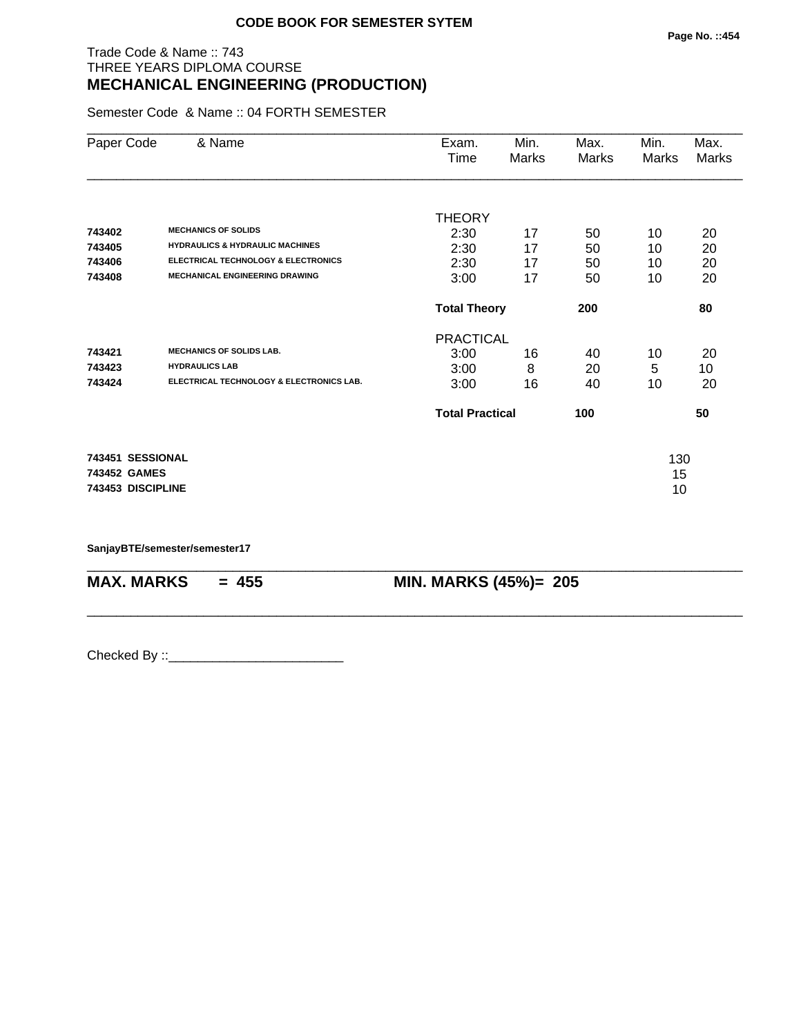## Trade Code & Name :: 743 THREE YEARS DIPLOMA COURSE **MECHANICAL ENGINEERING (PRODUCTION)**

Semester Code & Name :: 04 FORTH SEMESTER

| Paper Code                       | & Name                                                                                  | Exam.<br>Time            | Min.<br>Marks | Max.<br>Marks | Min.<br>Marks | Max.<br>Marks |
|----------------------------------|-----------------------------------------------------------------------------------------|--------------------------|---------------|---------------|---------------|---------------|
| 743402                           | <b>MECHANICS OF SOLIDS</b>                                                              | <b>THEORY</b><br>2:30    | 17            | 50            | 10            | 20            |
| 743405                           | <b>HYDRAULICS &amp; HYDRAULIC MACHINES</b>                                              | 2:30                     | 17            | 50            | 10            | 20            |
| 743406<br>743408                 | <b>ELECTRICAL TECHNOLOGY &amp; ELECTRONICS</b><br><b>MECHANICAL ENGINEERING DRAWING</b> | 2:30<br>3:00             | 17<br>17      | 50<br>50      | 10<br>10      | 20<br>20      |
|                                  |                                                                                         | <b>Total Theory</b>      |               | 200           |               | 80            |
| 743421                           | <b>MECHANICS OF SOLIDS LAB.</b>                                                         | <b>PRACTICAL</b><br>3:00 | 16            |               |               | 20            |
| 743423                           | <b>HYDRAULICS LAB</b>                                                                   | 3:00                     | 8             | 40<br>20      | 10<br>5       | 10            |
| 743424                           | ELECTRICAL TECHNOLOGY & ELECTRONICS LAB.                                                | 3:00                     | 16            | 40            | 10            | 20            |
|                                  |                                                                                         | <b>Total Practical</b>   |               | 100           |               | 50            |
| 743451 SESSIONAL<br>743452 GAMES |                                                                                         |                          |               |               | 130<br>15     |               |
| 743453 DISCIPLINE                |                                                                                         |                          |               |               | 10            |               |

\_\_\_\_\_\_\_\_\_\_\_\_\_\_\_\_\_\_\_\_\_\_\_\_\_\_\_\_\_\_\_\_\_\_\_\_\_\_\_\_\_\_\_\_\_\_\_\_\_\_\_\_\_\_\_\_\_\_\_\_\_\_\_\_\_\_\_\_\_\_\_\_\_\_\_\_\_\_\_\_\_\_\_\_\_\_\_\_\_\_

\_\_\_\_\_\_\_\_\_\_\_\_\_\_\_\_\_\_\_\_\_\_\_\_\_\_\_\_\_\_\_\_\_\_\_\_\_\_\_\_\_\_\_\_\_\_\_\_\_\_\_\_\_\_\_\_\_\_\_\_\_\_\_\_\_\_\_\_\_\_\_\_\_\_\_\_\_\_\_\_\_\_\_\_\_\_\_\_\_\_

**SanjayBTE/semester/semester17**

**MAX. MARKS** = 455 **MIN. MARKS (45%)**= 205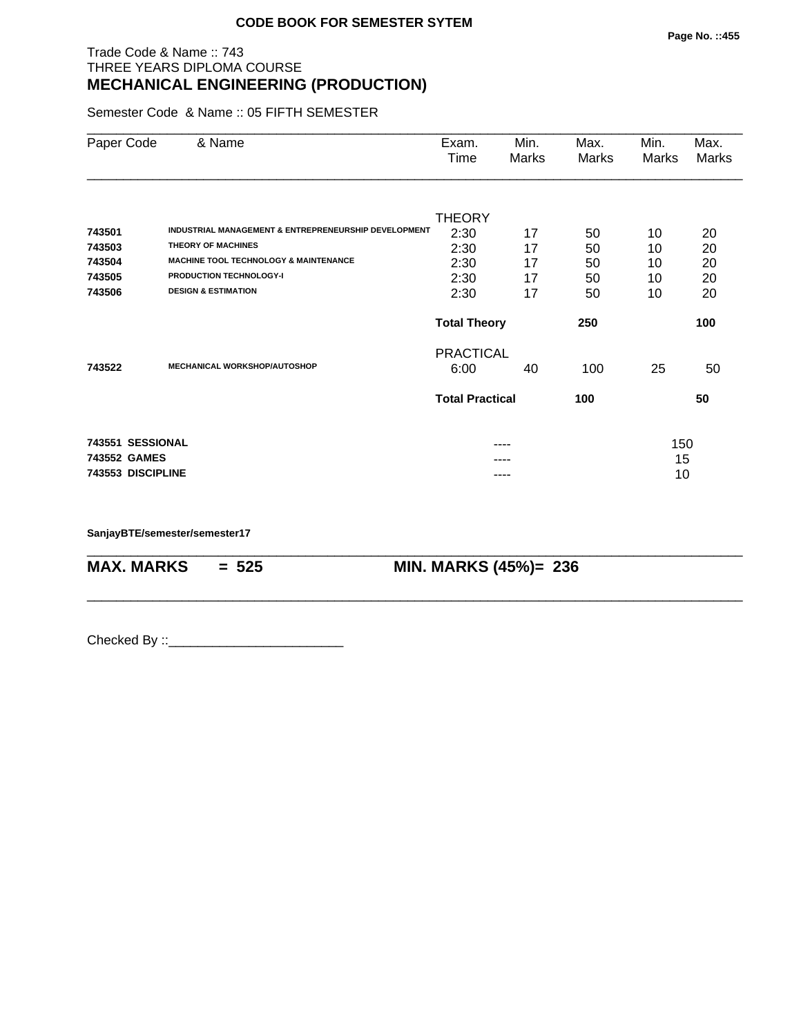## Trade Code & Name :: 743 THREE YEARS DIPLOMA COURSE **MECHANICAL ENGINEERING (PRODUCTION)**

Semester Code & Name :: 05 FIFTH SEMESTER

| Paper Code        | & Name                                               | Exam.<br>Time          | Min.<br>Marks | Max.<br>Marks | Min.<br>Marks | Max.<br>Marks |  |
|-------------------|------------------------------------------------------|------------------------|---------------|---------------|---------------|---------------|--|
|                   |                                                      |                        |               |               |               |               |  |
| 743501            | INDUSTRIAL MANAGEMENT & ENTREPRENEURSHIP DEVELOPMENT | <b>THEORY</b><br>2:30  | 17            | 50            | 10            | 20            |  |
| 743503            | <b>THEORY OF MACHINES</b>                            | 2:30                   | 17            | 50            | 10            | 20            |  |
| 743504            | <b>MACHINE TOOL TECHNOLOGY &amp; MAINTENANCE</b>     | 2:30                   | 17            | 50            | 10            | 20            |  |
| 743505            | <b>PRODUCTION TECHNOLOGY-I</b>                       | 2:30                   | 17            | 50            | 10            | 20            |  |
| 743506            | <b>DESIGN &amp; ESTIMATION</b>                       | 2:30                   | 17            | 50            | 10            | 20            |  |
|                   |                                                      | <b>Total Theory</b>    |               | 250           | 100           |               |  |
|                   |                                                      | <b>PRACTICAL</b>       |               |               |               |               |  |
| 743522            | <b>MECHANICAL WORKSHOP/AUTOSHOP</b>                  | 6:00                   | 40            | 100           | 25            | 50            |  |
|                   |                                                      | <b>Total Practical</b> |               | 100           |               | 50            |  |
| 743551 SESSIONAL  |                                                      |                        |               |               |               |               |  |
| 743552 GAMES      |                                                      |                        |               |               | 150<br>15     |               |  |
| 743553 DISCIPLINE |                                                      |                        | ----          |               | 10            |               |  |

\_\_\_\_\_\_\_\_\_\_\_\_\_\_\_\_\_\_\_\_\_\_\_\_\_\_\_\_\_\_\_\_\_\_\_\_\_\_\_\_\_\_\_\_\_\_\_\_\_\_\_\_\_\_\_\_\_\_\_\_\_\_\_\_\_\_\_\_\_\_\_\_\_\_\_\_\_\_\_\_\_\_\_\_\_\_\_\_\_\_

\_\_\_\_\_\_\_\_\_\_\_\_\_\_\_\_\_\_\_\_\_\_\_\_\_\_\_\_\_\_\_\_\_\_\_\_\_\_\_\_\_\_\_\_\_\_\_\_\_\_\_\_\_\_\_\_\_\_\_\_\_\_\_\_\_\_\_\_\_\_\_\_\_\_\_\_\_\_\_\_\_\_\_\_\_\_\_\_\_\_

**SanjayBTE/semester/semester17**

**MAX. MARKS = 525 MIN. MARKS (45%)= 236**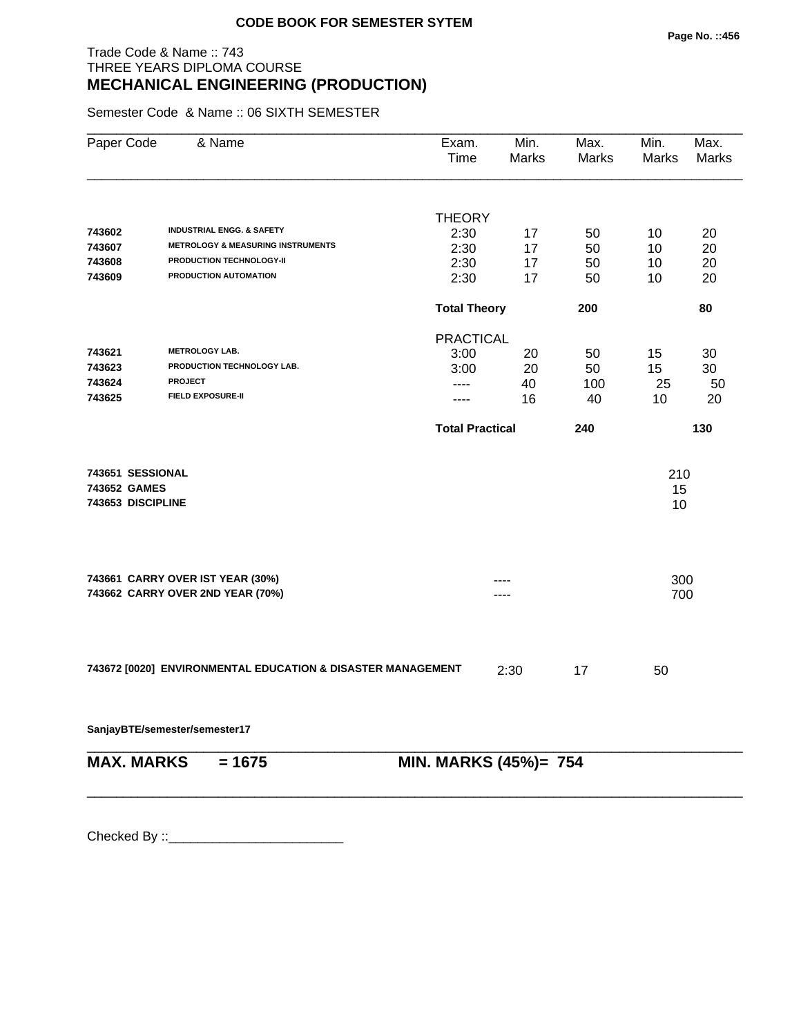## Trade Code & Name :: 743 THREE YEARS DIPLOMA COURSE **MECHANICAL ENGINEERING (PRODUCTION)**

Semester Code & Name :: 06 SIXTH SEMESTER

| Paper Code                                            | & Name                                                      | Exam.<br>Time          | Min.<br>Marks | Max.<br>Marks | Min.<br><b>Marks</b> | Max.<br>Marks |
|-------------------------------------------------------|-------------------------------------------------------------|------------------------|---------------|---------------|----------------------|---------------|
|                                                       |                                                             |                        |               |               |                      |               |
| 743602                                                | <b>INDUSTRIAL ENGG. &amp; SAFETY</b>                        | <b>THEORY</b>          |               |               |                      |               |
| 743607                                                | <b>METROLOGY &amp; MEASURING INSTRUMENTS</b>                | 2:30                   | 17            | 50            | 10                   | 20            |
| 743608                                                | PRODUCTION TECHNOLOGY-II                                    | 2:30<br>2:30           | 17<br>17      | 50<br>50      | 10<br>10             | 20<br>20      |
| 743609                                                | PRODUCTION AUTOMATION                                       | 2:30                   | 17            | 50            | 10                   | 20            |
|                                                       |                                                             | <b>Total Theory</b>    |               | 200           |                      | 80            |
|                                                       |                                                             | <b>PRACTICAL</b>       |               |               |                      |               |
| 743621                                                | <b>METROLOGY LAB.</b>                                       | 3:00                   | 20            | 50            | 15                   | 30            |
| 743623                                                | PRODUCTION TECHNOLOGY LAB.                                  | 3:00                   | 20            | 50            | 15                   | 30            |
| 743624                                                | <b>PROJECT</b>                                              | ----                   | 40            | 100           | 25                   | 50            |
| 743625                                                | <b>FIELD EXPOSURE-II</b>                                    | ----                   | 16            | 40            | 10                   | 20            |
|                                                       |                                                             | <b>Total Practical</b> |               | 240           |                      | 130           |
| 743651 SESSIONAL<br>743652 GAMES<br>743653 DISCIPLINE |                                                             |                        |               |               | 210<br>15<br>10      |               |
|                                                       | 743661 CARRY OVER IST YEAR (30%)                            |                        |               |               | 300                  |               |
|                                                       | 743662 CARRY OVER 2ND YEAR (70%)                            |                        | ----          |               | 700                  |               |
|                                                       | 743672 [0020] ENVIRONMENTAL EDUCATION & DISASTER MANAGEMENT |                        | 2:30          | 17            | 50                   |               |
|                                                       | SanjayBTE/semester/semester17                               |                        |               |               |                      |               |
| <b>MAX. MARKS</b>                                     | $= 1675$                                                    | MIN. MARKS (45%)= 754  |               |               |                      |               |
|                                                       |                                                             |                        |               |               |                      |               |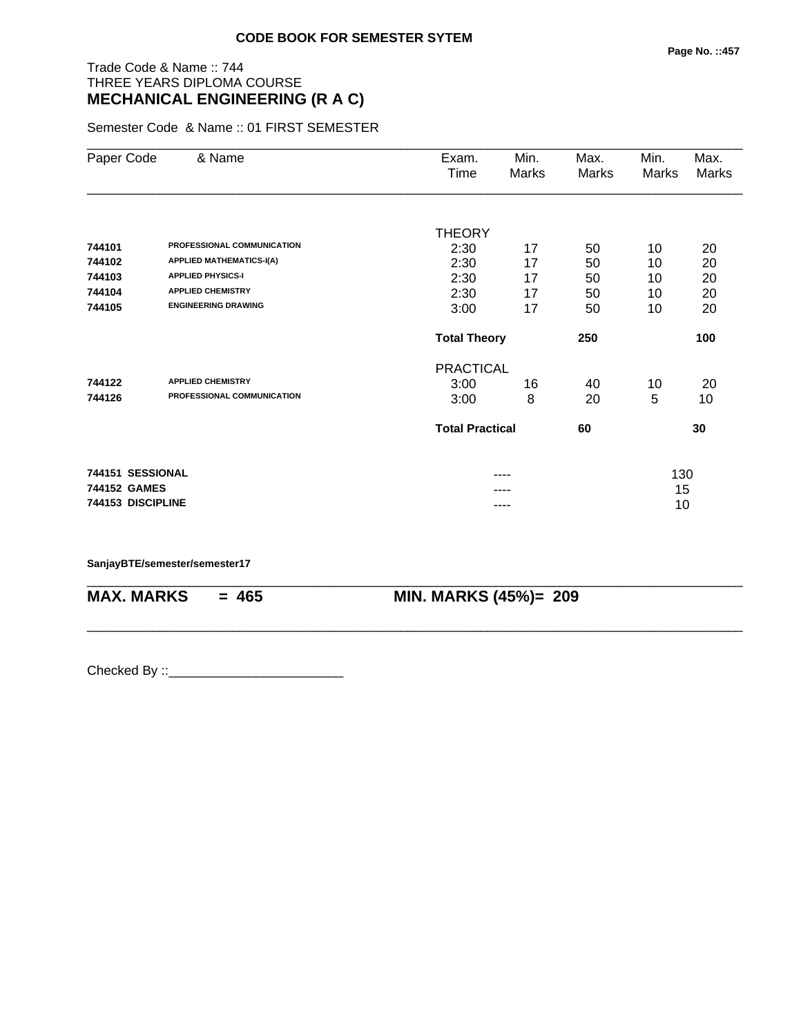# Trade Code & Name :: 744 THREE YEARS DIPLOMA COURSE **MECHANICAL ENGINEERING (R A C)**

Semester Code & Name :: 01 FIRST SEMESTER

| Paper Code        | & Name                          | Exam.                  | Min.  | Max.  | Min.  | Max.         |
|-------------------|---------------------------------|------------------------|-------|-------|-------|--------------|
|                   |                                 | Time                   | Marks | Marks | Marks | <b>Marks</b> |
|                   |                                 |                        |       |       |       |              |
|                   |                                 | <b>THEORY</b>          |       |       |       |              |
| 744101            | PROFESSIONAL COMMUNICATION      | 2:30                   | 17    | 50    | 10    | 20           |
| 744102            | <b>APPLIED MATHEMATICS-I(A)</b> | 2:30                   | 17    | 50    | 10    | 20           |
| 744103            | <b>APPLIED PHYSICS-I</b>        | 2:30                   | 17    | 50    | 10    | 20           |
| 744104            | <b>APPLIED CHEMISTRY</b>        | 2:30                   | 17    | 50    | 10    | 20           |
| 744105            | <b>ENGINEERING DRAWING</b>      | 3:00                   | 17    | 50    | 10    | 20           |
|                   |                                 | <b>Total Theory</b>    |       | 250   |       | 100          |
|                   |                                 | <b>PRACTICAL</b>       |       |       |       |              |
| 744122            | <b>APPLIED CHEMISTRY</b>        | 3:00                   | 16    | 40    | 10    | 20           |
| 744126            | PROFESSIONAL COMMUNICATION      | 3:00                   | 8     | 20    | 5     | 10           |
|                   |                                 | <b>Total Practical</b> |       | 60    |       | 30           |
| 744151 SESSIONAL  |                                 |                        | ----  |       | 130   |              |
| 744152 GAMES      |                                 |                        |       |       | 15    |              |
| 744153 DISCIPLINE |                                 |                        | ----  |       | 10    |              |

\_\_\_\_\_\_\_\_\_\_\_\_\_\_\_\_\_\_\_\_\_\_\_\_\_\_\_\_\_\_\_\_\_\_\_\_\_\_\_\_\_\_\_\_\_\_\_\_\_\_\_\_\_\_\_\_\_\_\_\_\_\_\_\_\_\_\_\_\_\_\_\_\_\_\_\_\_\_\_\_\_\_\_\_\_\_\_\_\_\_

\_\_\_\_\_\_\_\_\_\_\_\_\_\_\_\_\_\_\_\_\_\_\_\_\_\_\_\_\_\_\_\_\_\_\_\_\_\_\_\_\_\_\_\_\_\_\_\_\_\_\_\_\_\_\_\_\_\_\_\_\_\_\_\_\_\_\_\_\_\_\_\_\_\_\_\_\_\_\_\_\_\_\_\_\_\_\_\_\_\_

#### **SanjayBTE/semester/semester17**

**MAX. MARKS = 465 MIN. MARKS (45%)= 209**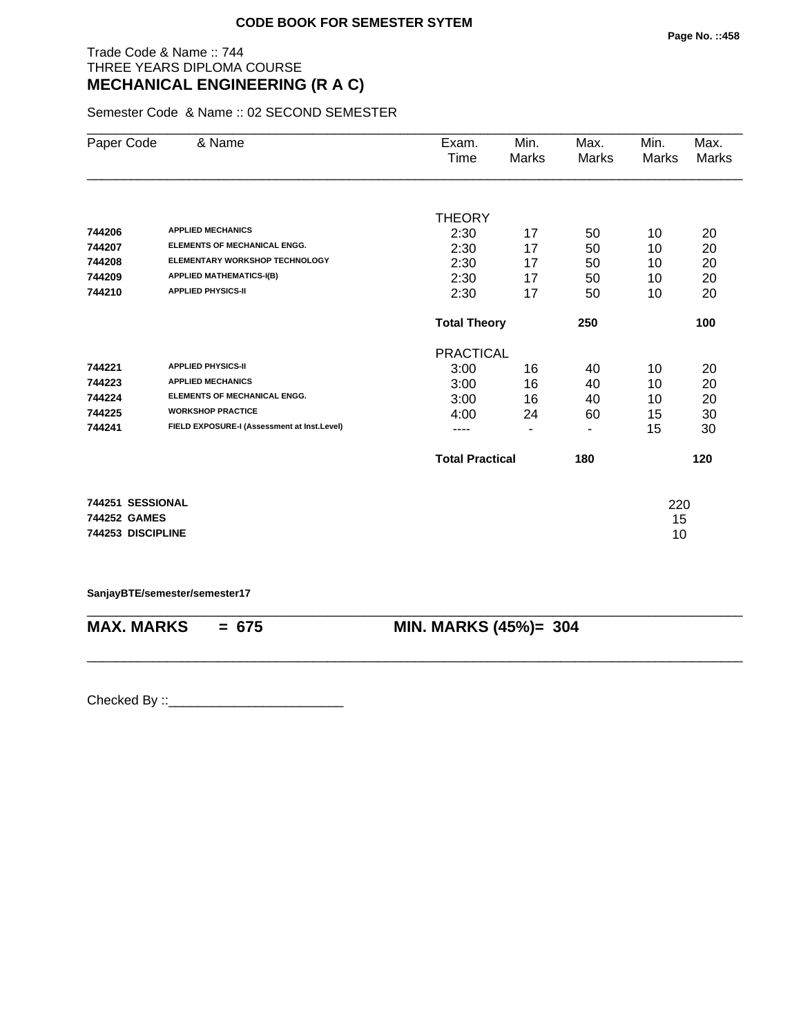## Trade Code & Name :: 744 THREE YEARS DIPLOMA COURSE **MECHANICAL ENGINEERING (R A C)**

Semester Code & Name :: 02 SECOND SEMESTER

| Paper Code        | & Name                                      | Exam.                  | Min.                     | Max.  | Min.  | Max.  |
|-------------------|---------------------------------------------|------------------------|--------------------------|-------|-------|-------|
|                   |                                             | Time                   | Marks                    | Marks | Marks | Marks |
|                   |                                             |                        |                          |       |       |       |
|                   |                                             | <b>THEORY</b>          |                          |       |       |       |
| 744206            | <b>APPLIED MECHANICS</b>                    | 2:30                   | 17                       | 50    | 10    | 20    |
| 744207            | <b>ELEMENTS OF MECHANICAL ENGG.</b>         | 2:30                   | 17                       | 50    | 10    | 20    |
| 744208            | <b>ELEMENTARY WORKSHOP TECHNOLOGY</b>       | 2:30                   | 17                       | 50    | 10    | 20    |
| 744209            | <b>APPLIED MATHEMATICS-I(B)</b>             | 2:30                   | 17                       | 50    | 10    | 20    |
| 744210            | <b>APPLIED PHYSICS-II</b>                   | 2:30                   | 17                       | 50    | 10    | 20    |
|                   |                                             | <b>Total Theory</b>    |                          | 250   |       | 100   |
|                   |                                             | <b>PRACTICAL</b>       |                          |       |       |       |
| 744221            | <b>APPLIED PHYSICS-II</b>                   | 3:00                   | 16                       | 40    | 10    | 20    |
| 744223            | <b>APPLIED MECHANICS</b>                    | 3:00                   | 16                       | 40    | 10    | 20    |
| 744224            | <b>ELEMENTS OF MECHANICAL ENGG.</b>         | 3:00                   | 16                       | 40    | 10    | 20    |
| 744225            | <b>WORKSHOP PRACTICE</b>                    | 4:00                   | 24                       | 60    | 15    | 30    |
| 744241            | FIELD EXPOSURE-I (Assessment at Inst.Level) | ----                   | $\overline{\phantom{a}}$ | ٠     | 15    | 30    |
|                   |                                             | <b>Total Practical</b> |                          | 180   |       | 120   |
|                   |                                             |                        |                          |       |       |       |
| 744251 SESSIONAL  |                                             |                        |                          |       | 220   |       |
| 744252 GAMES      |                                             |                        |                          |       | 15    |       |
| 744253 DISCIPLINE |                                             |                        |                          |       | 10    |       |
|                   |                                             |                        |                          |       |       |       |

**SanjayBTE/semester/semester17**

\_\_\_\_\_\_\_\_\_\_\_\_\_\_\_\_\_\_\_\_\_\_\_\_\_\_\_\_\_\_\_\_\_\_\_\_\_\_\_\_\_\_\_\_\_\_\_\_\_\_\_\_\_\_\_\_\_\_\_\_\_\_\_\_\_\_\_\_\_\_\_\_\_\_\_\_\_\_\_\_\_\_\_\_\_\_\_\_\_\_ **MAX. MARKS = 675 MIN. MARKS (45%)= 304**

\_\_\_\_\_\_\_\_\_\_\_\_\_\_\_\_\_\_\_\_\_\_\_\_\_\_\_\_\_\_\_\_\_\_\_\_\_\_\_\_\_\_\_\_\_\_\_\_\_\_\_\_\_\_\_\_\_\_\_\_\_\_\_\_\_\_\_\_\_\_\_\_\_\_\_\_\_\_\_\_\_\_\_\_\_\_\_\_\_\_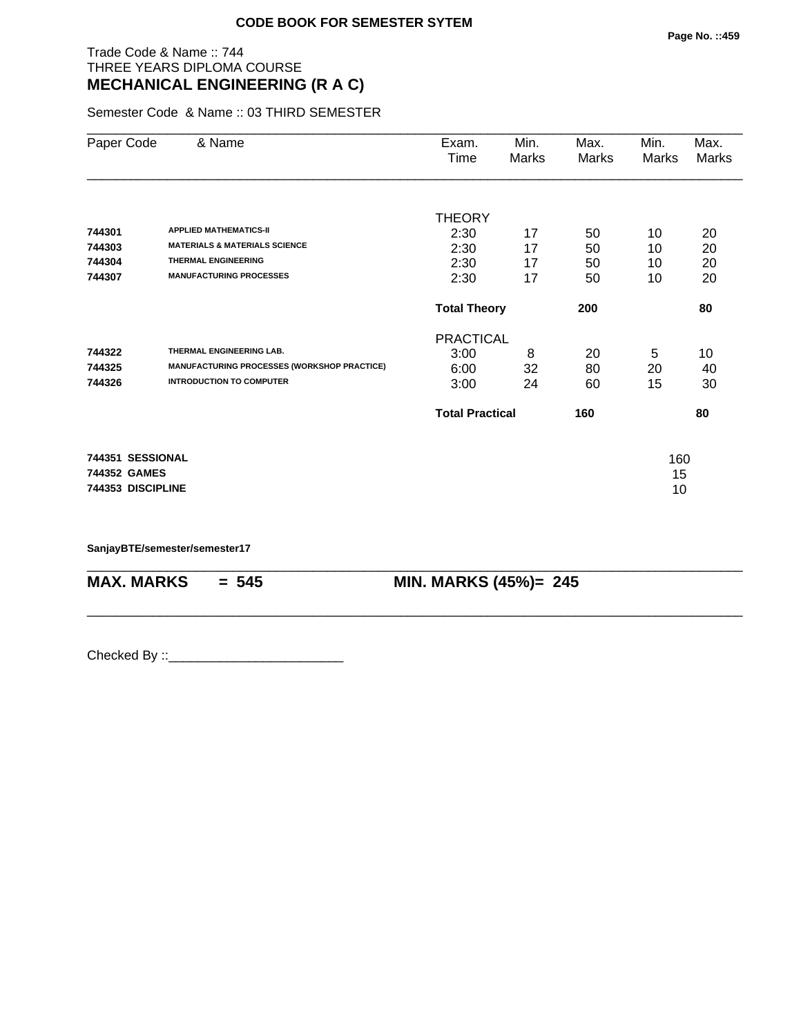## Trade Code & Name :: 744 THREE YEARS DIPLOMA COURSE **MECHANICAL ENGINEERING (R A C)**

Semester Code & Name :: 03 THIRD SEMESTER

| Paper Code                                            | & Name                                                                                                                                    | Exam.<br>Time                                 | Min.<br>Marks        | Max.<br>Marks        | Min.<br>Marks        | Max.<br>Marks        |
|-------------------------------------------------------|-------------------------------------------------------------------------------------------------------------------------------------------|-----------------------------------------------|----------------------|----------------------|----------------------|----------------------|
| 744301<br>744303<br>744304<br>744307                  | <b>APPLIED MATHEMATICS-II</b><br><b>MATERIALS &amp; MATERIALS SCIENCE</b><br><b>THERMAL ENGINEERING</b><br><b>MANUFACTURING PROCESSES</b> | <b>THEORY</b><br>2:30<br>2:30<br>2:30<br>2:30 | 17<br>17<br>17<br>17 | 50<br>50<br>50<br>50 | 10<br>10<br>10<br>10 | 20<br>20<br>20<br>20 |
|                                                       |                                                                                                                                           | <b>Total Theory</b>                           |                      | 200                  |                      | 80                   |
| 744322<br>744325<br>744326                            | THERMAL ENGINEERING LAB.<br><b>MANUFACTURING PROCESSES (WORKSHOP PRACTICE)</b><br><b>INTRODUCTION TO COMPUTER</b>                         | <b>PRACTICAL</b><br>3:00<br>6:00<br>3:00      | 8<br>32<br>24        | 20<br>80<br>60       | 5<br>20<br>15        | 10<br>40<br>30       |
|                                                       |                                                                                                                                           | <b>Total Practical</b>                        |                      | 160                  |                      | 80                   |
| 744351 SESSIONAL<br>744352 GAMES<br>744353 DISCIPLINE |                                                                                                                                           |                                               |                      |                      | 160<br>15<br>10      |                      |

\_\_\_\_\_\_\_\_\_\_\_\_\_\_\_\_\_\_\_\_\_\_\_\_\_\_\_\_\_\_\_\_\_\_\_\_\_\_\_\_\_\_\_\_\_\_\_\_\_\_\_\_\_\_\_\_\_\_\_\_\_\_\_\_\_\_\_\_\_\_\_\_\_\_\_\_\_\_\_\_\_\_\_\_\_\_\_\_\_\_

\_\_\_\_\_\_\_\_\_\_\_\_\_\_\_\_\_\_\_\_\_\_\_\_\_\_\_\_\_\_\_\_\_\_\_\_\_\_\_\_\_\_\_\_\_\_\_\_\_\_\_\_\_\_\_\_\_\_\_\_\_\_\_\_\_\_\_\_\_\_\_\_\_\_\_\_\_\_\_\_\_\_\_\_\_\_\_\_\_\_

**SanjayBTE/semester/semester17**

**MAX. MARKS = 545 MIN. MARKS (45%)= 245**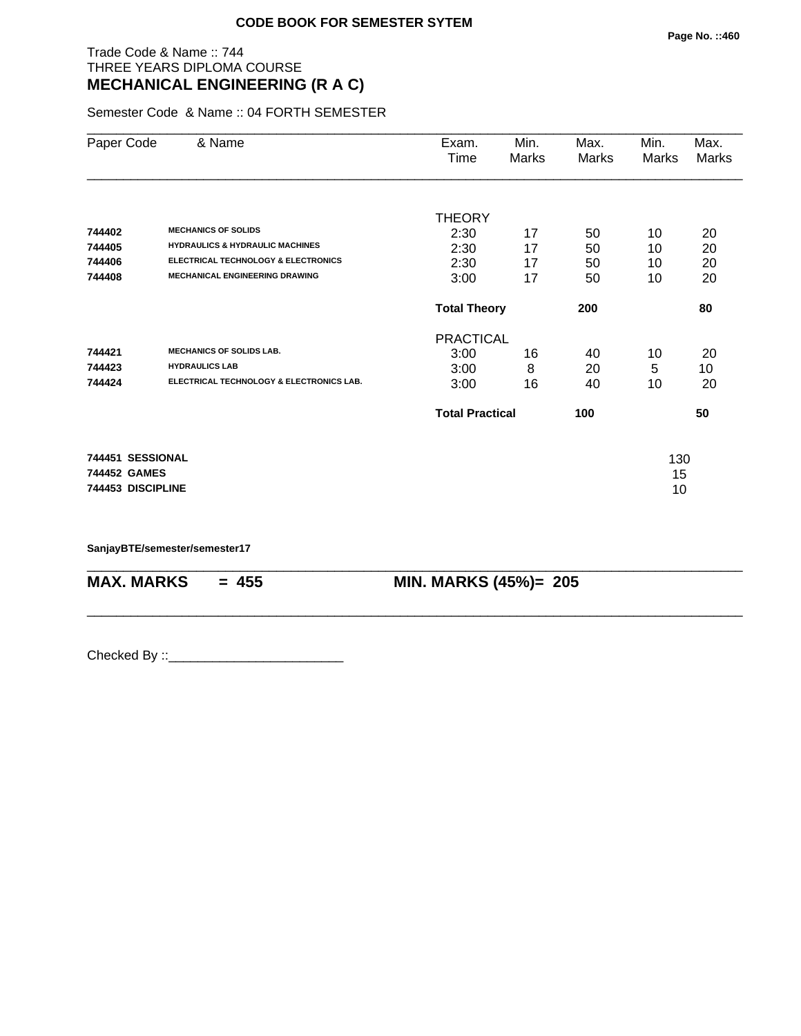## Trade Code & Name :: 744 THREE YEARS DIPLOMA COURSE **MECHANICAL ENGINEERING (R A C)**

Semester Code & Name :: 04 FORTH SEMESTER

| Paper Code        | & Name                                         | Exam.<br>Time          | Min.<br>Marks | Max.<br>Marks | Min.<br>Marks | Max.<br><b>Marks</b> |
|-------------------|------------------------------------------------|------------------------|---------------|---------------|---------------|----------------------|
|                   |                                                | <b>THEORY</b>          |               |               |               |                      |
| 744402            | <b>MECHANICS OF SOLIDS</b>                     | 2:30                   | 17            | 50            | 10            | 20                   |
| 744405            | <b>HYDRAULICS &amp; HYDRAULIC MACHINES</b>     | 2:30                   | 17            | 50            | 10            | 20                   |
| 744406            | <b>ELECTRICAL TECHNOLOGY &amp; ELECTRONICS</b> | 2:30                   | 17            | 50            | 10            | 20                   |
| 744408            | <b>MECHANICAL ENGINEERING DRAWING</b>          | 3:00                   | 17            | 50            | 10            | 20                   |
|                   |                                                | <b>Total Theory</b>    |               | 200           |               | 80                   |
|                   |                                                | <b>PRACTICAL</b>       |               |               |               |                      |
| 744421            | <b>MECHANICS OF SOLIDS LAB.</b>                | 3:00                   | 16            | 40            | 10            | 20                   |
| 744423            | <b>HYDRAULICS LAB</b>                          | 3:00                   | 8             | 20            | 5             | 10                   |
| 744424            | ELECTRICAL TECHNOLOGY & ELECTRONICS LAB.       | 3:00                   | 16            | 40            | 10            | 20                   |
|                   |                                                | <b>Total Practical</b> |               | 100           |               | 50                   |
| 744451 SESSIONAL  |                                                |                        |               |               | 130           |                      |
| 744452 GAMES      |                                                |                        |               |               | 15            |                      |
| 744453 DISCIPLINE |                                                |                        |               |               | 10            |                      |

\_\_\_\_\_\_\_\_\_\_\_\_\_\_\_\_\_\_\_\_\_\_\_\_\_\_\_\_\_\_\_\_\_\_\_\_\_\_\_\_\_\_\_\_\_\_\_\_\_\_\_\_\_\_\_\_\_\_\_\_\_\_\_\_\_\_\_\_\_\_\_\_\_\_\_\_\_\_\_\_\_\_\_\_\_\_\_\_\_\_

\_\_\_\_\_\_\_\_\_\_\_\_\_\_\_\_\_\_\_\_\_\_\_\_\_\_\_\_\_\_\_\_\_\_\_\_\_\_\_\_\_\_\_\_\_\_\_\_\_\_\_\_\_\_\_\_\_\_\_\_\_\_\_\_\_\_\_\_\_\_\_\_\_\_\_\_\_\_\_\_\_\_\_\_\_\_\_\_\_\_

**SanjayBTE/semester/semester17**

**MAX. MARKS** = 455 **MIN. MARKS (45%)**= 205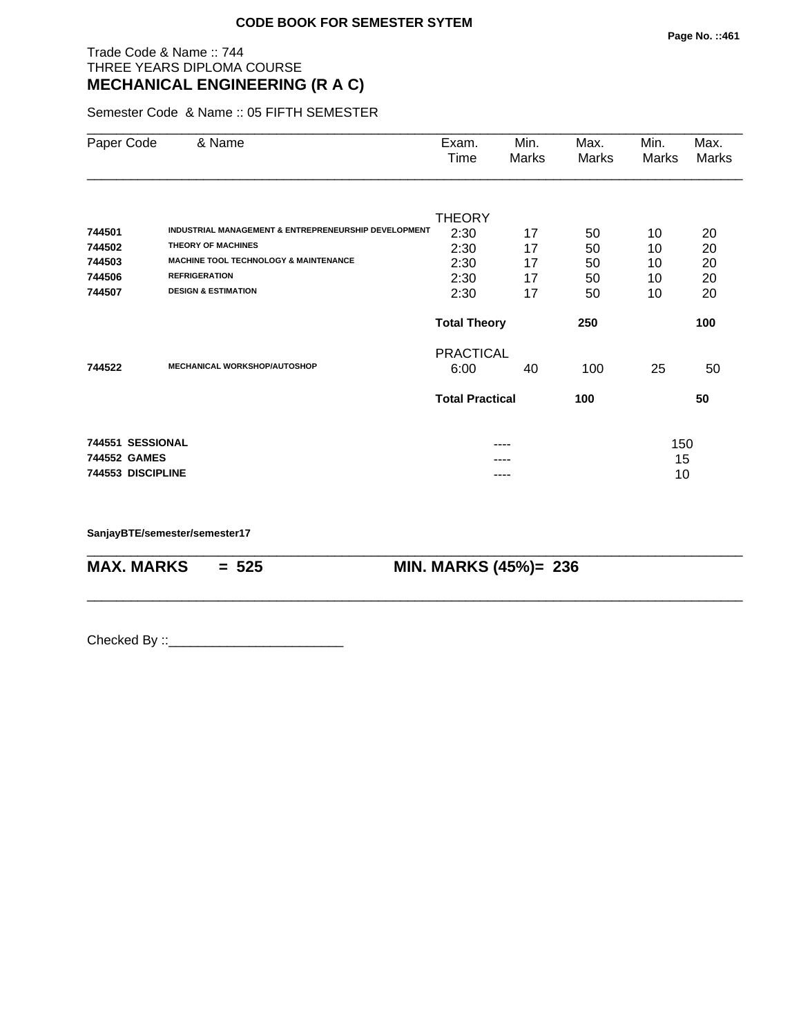## Trade Code & Name :: 744 THREE YEARS DIPLOMA COURSE **MECHANICAL ENGINEERING (R A C)**

Semester Code & Name :: 05 FIFTH SEMESTER

| Paper Code        | & Name                                               | Exam.<br>Time          | Min.<br>Marks | Max.<br>Marks | Min.<br>Marks | Max.<br>Marks |
|-------------------|------------------------------------------------------|------------------------|---------------|---------------|---------------|---------------|
|                   |                                                      | <b>THEORY</b>          |               |               |               |               |
| 744501            | INDUSTRIAL MANAGEMENT & ENTREPRENEURSHIP DEVELOPMENT | 2:30                   | 17            | 50            | 10            | 20            |
| 744502            | <b>THEORY OF MACHINES</b>                            | 2:30                   | 17            | 50            | 10            | 20            |
| 744503            | <b>MACHINE TOOL TECHNOLOGY &amp; MAINTENANCE</b>     | 2:30                   | 17            | 50            | 10            | 20            |
| 744506            | <b>REFRIGERATION</b>                                 | 2:30                   | 17            | 50            | 10            | 20            |
| 744507            | <b>DESIGN &amp; ESTIMATION</b>                       | 2:30                   | 17            | 50            | 10            | 20            |
|                   |                                                      | <b>Total Theory</b>    |               | 250           |               | 100           |
|                   |                                                      | <b>PRACTICAL</b>       |               |               |               |               |
| 744522            | <b>MECHANICAL WORKSHOP/AUTOSHOP</b>                  | 6:00                   | 40            | 100           | 25            | 50            |
|                   |                                                      | <b>Total Practical</b> |               | 100           |               | 50            |
|                   | 744551 SESSIONAL                                     |                        |               |               | 150           |               |
| 744552 GAMES      |                                                      |                        |               |               | 15            |               |
| 744553 DISCIPLINE |                                                      |                        | ----          |               | 10            |               |

\_\_\_\_\_\_\_\_\_\_\_\_\_\_\_\_\_\_\_\_\_\_\_\_\_\_\_\_\_\_\_\_\_\_\_\_\_\_\_\_\_\_\_\_\_\_\_\_\_\_\_\_\_\_\_\_\_\_\_\_\_\_\_\_\_\_\_\_\_\_\_\_\_\_\_\_\_\_\_\_\_\_\_\_\_\_\_\_\_\_

\_\_\_\_\_\_\_\_\_\_\_\_\_\_\_\_\_\_\_\_\_\_\_\_\_\_\_\_\_\_\_\_\_\_\_\_\_\_\_\_\_\_\_\_\_\_\_\_\_\_\_\_\_\_\_\_\_\_\_\_\_\_\_\_\_\_\_\_\_\_\_\_\_\_\_\_\_\_\_\_\_\_\_\_\_\_\_\_\_\_

**SanjayBTE/semester/semester17**

**MAX. MARKS = 525 MIN. MARKS (45%)= 236**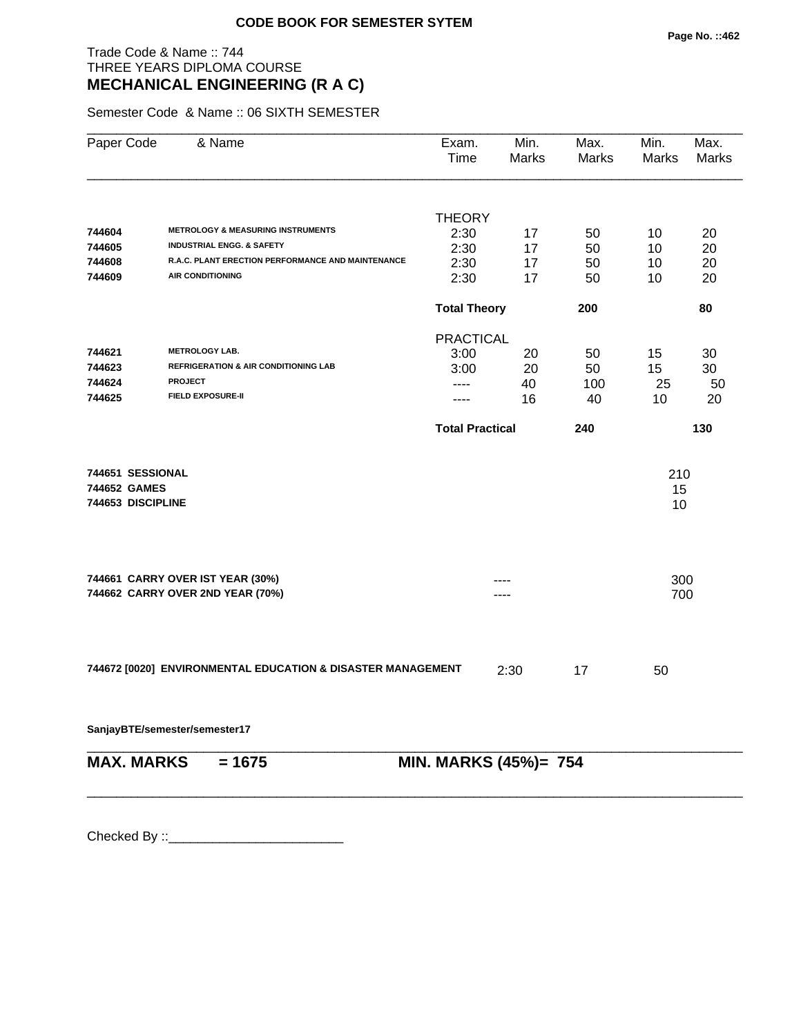## Trade Code & Name :: 744 THREE YEARS DIPLOMA COURSE **MECHANICAL ENGINEERING (R A C)**

Semester Code & Name :: 06 SIXTH SEMESTER

| Paper Code                                            | & Name                                                      | Exam.<br>Time          | Min.<br>Marks | Max.<br>Marks | Min.<br>Marks   | Max.<br>Marks |
|-------------------------------------------------------|-------------------------------------------------------------|------------------------|---------------|---------------|-----------------|---------------|
|                                                       |                                                             |                        |               |               |                 |               |
|                                                       |                                                             | <b>THEORY</b>          |               |               |                 |               |
| 744604                                                | <b>METROLOGY &amp; MEASURING INSTRUMENTS</b>                | 2:30                   | 17            | 50            | 10              | 20            |
| 744605                                                | <b>INDUSTRIAL ENGG. &amp; SAFETY</b>                        | 2:30                   | 17            | 50            | 10              | 20            |
| 744608                                                | R.A.C. PLANT ERECTION PERFORMANCE AND MAINTENANCE           | 2:30                   | 17            | 50            | 10              | 20            |
| 744609                                                | <b>AIR CONDITIONING</b>                                     | 2:30                   | 17            | 50            | 10              | 20            |
|                                                       |                                                             | <b>Total Theory</b>    |               | 200           |                 | 80            |
|                                                       |                                                             | <b>PRACTICAL</b>       |               |               |                 |               |
| 744621                                                | <b>METROLOGY LAB.</b>                                       | 3:00                   | 20            | 50            | 15              | 30            |
| 744623                                                | <b>REFRIGERATION &amp; AIR CONDITIONING LAB</b>             | 3:00                   | 20            | 50            | 15              | 30            |
| 744624                                                | <b>PROJECT</b>                                              | $---$                  | 40            | 100           | 25              | 50            |
| 744625                                                | <b>FIELD EXPOSURE-II</b>                                    | ----                   | 16            | 40            | 10              | 20            |
|                                                       |                                                             | <b>Total Practical</b> |               | 240           |                 | 130           |
| 744651 SESSIONAL<br>744652 GAMES<br>744653 DISCIPLINE |                                                             |                        |               |               | 210<br>15<br>10 |               |
|                                                       | 744661 CARRY OVER IST YEAR (30%)                            |                        |               |               | 300             |               |
|                                                       | 744662 CARRY OVER 2ND YEAR (70%)                            |                        | ----          |               | 700             |               |
|                                                       | 744672 [0020] ENVIRONMENTAL EDUCATION & DISASTER MANAGEMENT |                        | 2:30          | 17            | 50              |               |
|                                                       | SanjayBTE/semester/semester17                               |                        |               |               |                 |               |
| <b>MAX. MARKS</b>                                     | $= 1675$                                                    | MIN. MARKS (45%)= 754  |               |               |                 |               |
|                                                       |                                                             |                        |               |               |                 |               |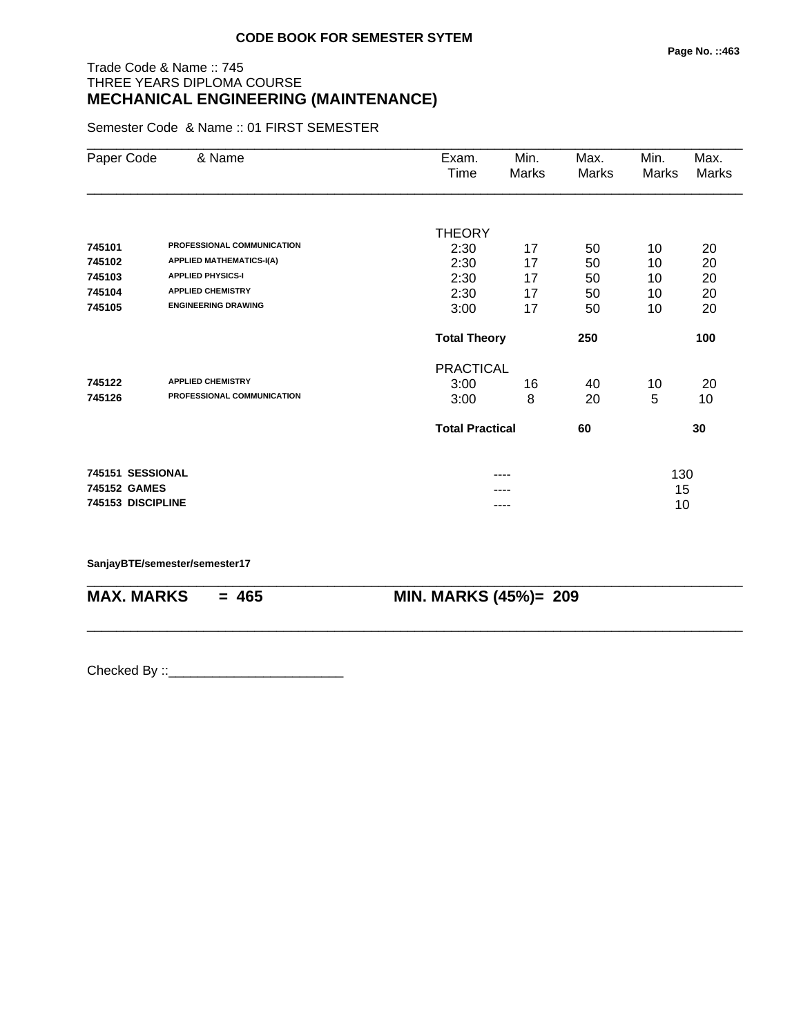## Trade Code & Name :: 745 THREE YEARS DIPLOMA COURSE **MECHANICAL ENGINEERING (MAINTENANCE)**

Semester Code & Name :: 01 FIRST SEMESTER

| Paper Code        | & Name                          | Exam.                  | Min.  | Max.  | Min.  | Max.         |
|-------------------|---------------------------------|------------------------|-------|-------|-------|--------------|
|                   |                                 | Time                   | Marks | Marks | Marks | <b>Marks</b> |
|                   |                                 |                        |       |       |       |              |
|                   |                                 | <b>THEORY</b>          |       |       |       |              |
| 745101            | PROFESSIONAL COMMUNICATION      | 2:30                   | 17    | 50    | 10    | 20           |
| 745102            | <b>APPLIED MATHEMATICS-I(A)</b> | 2:30                   | 17    | 50    | 10    | 20           |
| 745103            | <b>APPLIED PHYSICS-I</b>        | 2:30                   | 17    | 50    | 10    | 20           |
| 745104            | <b>APPLIED CHEMISTRY</b>        | 2:30                   | 17    | 50    | 10    | 20           |
| 745105            | <b>ENGINEERING DRAWING</b>      | 3:00                   | 17    | 50    | 10    | 20           |
|                   |                                 | <b>Total Theory</b>    |       | 250   |       | 100          |
|                   |                                 | <b>PRACTICAL</b>       |       |       |       |              |
| 745122            | <b>APPLIED CHEMISTRY</b>        | 3:00                   | 16    | 40    | 10    | 20           |
| 745126            | PROFESSIONAL COMMUNICATION      | 3:00                   | 8     | 20    | 5     | 10           |
|                   |                                 | <b>Total Practical</b> |       | 60    |       | 30           |
| 745151 SESSIONAL  |                                 |                        | ----  |       | 130   |              |
| 745152 GAMES      |                                 |                        |       |       | 15    |              |
| 745153 DISCIPLINE |                                 |                        | ----  |       | 10    |              |

\_\_\_\_\_\_\_\_\_\_\_\_\_\_\_\_\_\_\_\_\_\_\_\_\_\_\_\_\_\_\_\_\_\_\_\_\_\_\_\_\_\_\_\_\_\_\_\_\_\_\_\_\_\_\_\_\_\_\_\_\_\_\_\_\_\_\_\_\_\_\_\_\_\_\_\_\_\_\_\_\_\_\_\_\_\_\_\_\_\_

\_\_\_\_\_\_\_\_\_\_\_\_\_\_\_\_\_\_\_\_\_\_\_\_\_\_\_\_\_\_\_\_\_\_\_\_\_\_\_\_\_\_\_\_\_\_\_\_\_\_\_\_\_\_\_\_\_\_\_\_\_\_\_\_\_\_\_\_\_\_\_\_\_\_\_\_\_\_\_\_\_\_\_\_\_\_\_\_\_\_

#### **SanjayBTE/semester/semester17**

**MAX. MARKS = 465 MIN. MARKS (45%)= 209**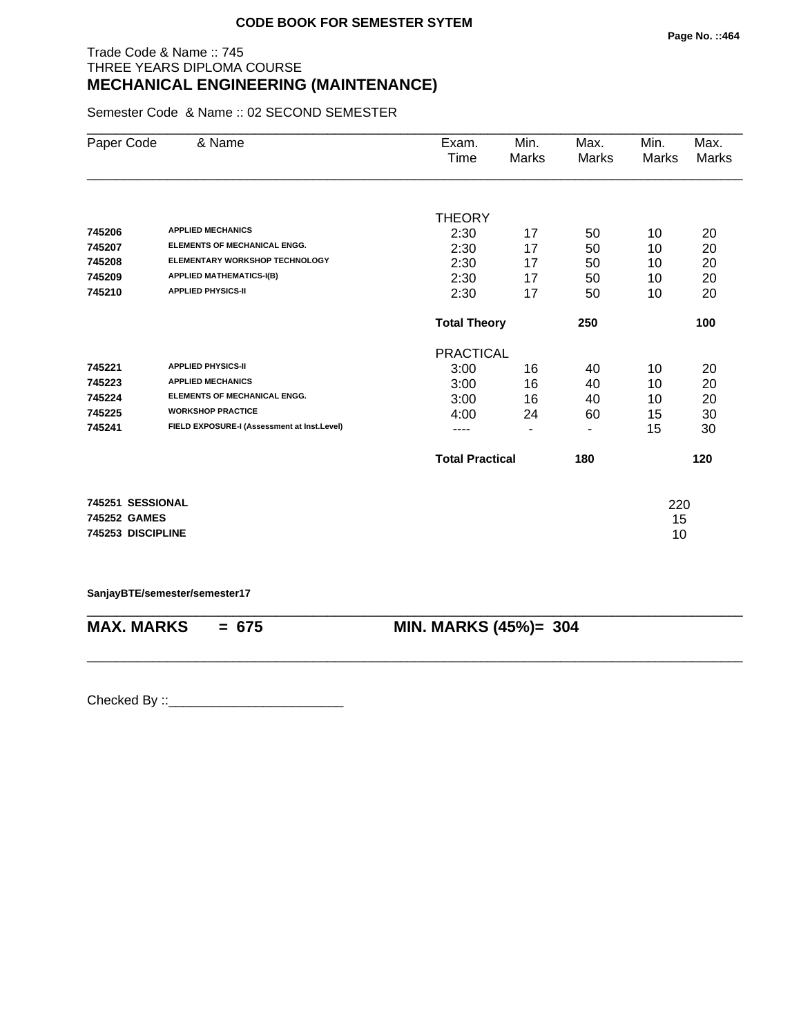## Trade Code & Name :: 745 THREE YEARS DIPLOMA COURSE **MECHANICAL ENGINEERING (MAINTENANCE)**

Semester Code & Name :: 02 SECOND SEMESTER

| Paper Code        | & Name                                      | Exam.                  | Min.                     | Max.  | Min.     | Max.  |
|-------------------|---------------------------------------------|------------------------|--------------------------|-------|----------|-------|
|                   |                                             | Time                   | <b>Marks</b>             | Marks | Marks    | Marks |
|                   |                                             |                        |                          |       |          |       |
|                   |                                             | <b>THEORY</b>          |                          |       |          |       |
| 745206            | <b>APPLIED MECHANICS</b>                    | 2:30                   | 17                       | 50    | 10       | 20    |
| 745207            | <b>ELEMENTS OF MECHANICAL ENGG.</b>         | 2:30                   | 17                       | 50    | 10       | 20    |
| 745208            | ELEMENTARY WORKSHOP TECHNOLOGY              | 2:30                   | 17                       | 50    | 10       | 20    |
| 745209            | <b>APPLIED MATHEMATICS-I(B)</b>             | 2:30                   | 17                       | 50    | 10       | 20    |
| 745210            | <b>APPLIED PHYSICS-II</b>                   | 2:30                   | 17                       | 50    | 10       | 20    |
|                   |                                             | <b>Total Theory</b>    |                          | 250   |          | 100   |
|                   |                                             | <b>PRACTICAL</b>       |                          |       |          |       |
| 745221            | <b>APPLIED PHYSICS-II</b>                   | 3:00                   | 16                       | 40    | 10       | 20    |
| 745223            | <b>APPLIED MECHANICS</b>                    | 3:00                   | 16                       | 40    | 10       | 20    |
| 745224            | <b>ELEMENTS OF MECHANICAL ENGG.</b>         | 3:00                   | 16                       | 40    | 10       | 20    |
| 745225            | <b>WORKSHOP PRACTICE</b>                    | 4:00                   | 24                       | 60    | 15       | 30    |
| 745241            | FIELD EXPOSURE-I (Assessment at Inst.Level) | ----                   | $\overline{\phantom{0}}$ | ۰     | 15       | 30    |
|                   |                                             | <b>Total Practical</b> |                          | 180   |          | 120   |
| 745251 SESSIONAL  |                                             |                        |                          |       |          |       |
| 745252 GAMES      |                                             |                        |                          |       | 220      |       |
| 745253 DISCIPLINE |                                             |                        |                          |       | 15<br>10 |       |
|                   |                                             |                        |                          |       |          |       |

**SanjayBTE/semester/semester17**

\_\_\_\_\_\_\_\_\_\_\_\_\_\_\_\_\_\_\_\_\_\_\_\_\_\_\_\_\_\_\_\_\_\_\_\_\_\_\_\_\_\_\_\_\_\_\_\_\_\_\_\_\_\_\_\_\_\_\_\_\_\_\_\_\_\_\_\_\_\_\_\_\_\_\_\_\_\_\_\_\_\_\_\_\_\_\_\_\_\_ **MAX. MARKS = 675 MIN. MARKS (45%)= 304**

\_\_\_\_\_\_\_\_\_\_\_\_\_\_\_\_\_\_\_\_\_\_\_\_\_\_\_\_\_\_\_\_\_\_\_\_\_\_\_\_\_\_\_\_\_\_\_\_\_\_\_\_\_\_\_\_\_\_\_\_\_\_\_\_\_\_\_\_\_\_\_\_\_\_\_\_\_\_\_\_\_\_\_\_\_\_\_\_\_\_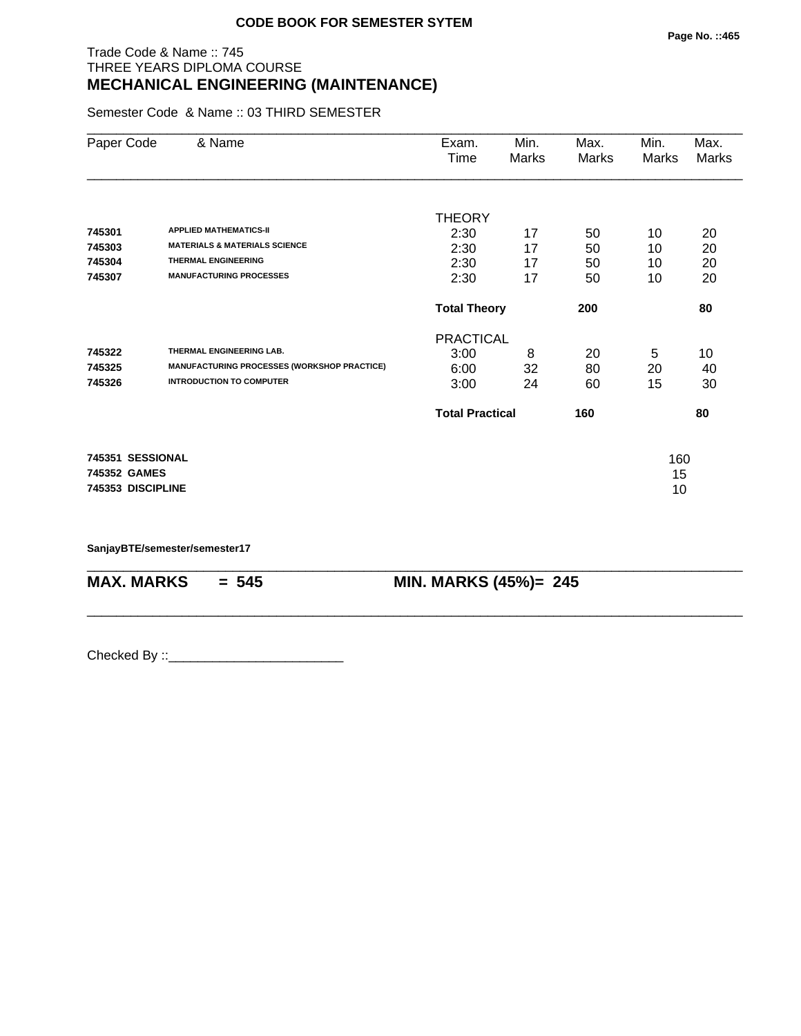## Trade Code & Name :: 745 THREE YEARS DIPLOMA COURSE **MECHANICAL ENGINEERING (MAINTENANCE)**

Semester Code & Name :: 03 THIRD SEMESTER

| Paper Code                                            | & Name                                                                                                            | Exam.<br>Time                            | Min.<br>Marks  | Max.<br>Marks  | Min.<br>Marks   | Max.<br>Marks  |
|-------------------------------------------------------|-------------------------------------------------------------------------------------------------------------------|------------------------------------------|----------------|----------------|-----------------|----------------|
| 745301<br>745303<br>745304                            | <b>APPLIED MATHEMATICS-II</b><br><b>MATERIALS &amp; MATERIALS SCIENCE</b><br><b>THERMAL ENGINEERING</b>           | <b>THEORY</b><br>2:30<br>2:30<br>2:30    | 17<br>17<br>17 | 50<br>50<br>50 | 10<br>10<br>10  | 20<br>20<br>20 |
| 745307                                                | <b>MANUFACTURING PROCESSES</b>                                                                                    | 2:30                                     | 17             | 50             | 10              | 20             |
|                                                       |                                                                                                                   | <b>Total Theory</b>                      |                | 200            |                 | 80             |
| 745322<br>745325<br>745326                            | THERMAL ENGINEERING LAB.<br><b>MANUFACTURING PROCESSES (WORKSHOP PRACTICE)</b><br><b>INTRODUCTION TO COMPUTER</b> | <b>PRACTICAL</b><br>3:00<br>6:00<br>3:00 | 8<br>32<br>24  | 20<br>80<br>60 | 5<br>20<br>15   | 10<br>40<br>30 |
|                                                       |                                                                                                                   | <b>Total Practical</b>                   |                | 160            |                 | 80             |
| 745351 SESSIONAL<br>745352 GAMES<br>745353 DISCIPLINE |                                                                                                                   |                                          |                |                | 160<br>15<br>10 |                |

\_\_\_\_\_\_\_\_\_\_\_\_\_\_\_\_\_\_\_\_\_\_\_\_\_\_\_\_\_\_\_\_\_\_\_\_\_\_\_\_\_\_\_\_\_\_\_\_\_\_\_\_\_\_\_\_\_\_\_\_\_\_\_\_\_\_\_\_\_\_\_\_\_\_\_\_\_\_\_\_\_\_\_\_\_\_\_\_\_\_

\_\_\_\_\_\_\_\_\_\_\_\_\_\_\_\_\_\_\_\_\_\_\_\_\_\_\_\_\_\_\_\_\_\_\_\_\_\_\_\_\_\_\_\_\_\_\_\_\_\_\_\_\_\_\_\_\_\_\_\_\_\_\_\_\_\_\_\_\_\_\_\_\_\_\_\_\_\_\_\_\_\_\_\_\_\_\_\_\_\_

**SanjayBTE/semester/semester17**

**MAX. MARKS = 545 MIN. MARKS (45%)= 245**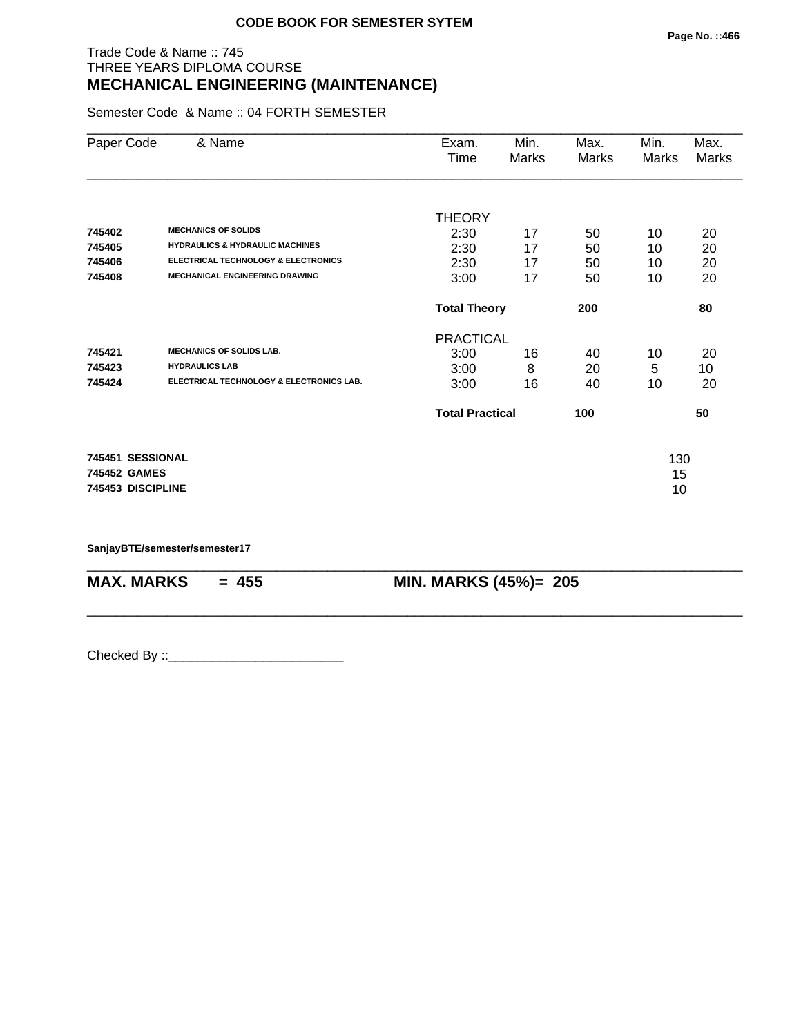## Trade Code & Name :: 745 THREE YEARS DIPLOMA COURSE **MECHANICAL ENGINEERING (MAINTENANCE)**

Semester Code & Name :: 04 FORTH SEMESTER

| Paper Code                                            | & Name                                                                                                                                                              | Exam.<br>Time                            | Min.<br>Marks  | Max.<br>Marks  | Min.<br>Marks   | Max.<br>Marks  |
|-------------------------------------------------------|---------------------------------------------------------------------------------------------------------------------------------------------------------------------|------------------------------------------|----------------|----------------|-----------------|----------------|
| 745402<br>745405<br>745406                            | <b>MECHANICS OF SOLIDS</b><br><b>HYDRAULICS &amp; HYDRAULIC MACHINES</b><br><b>ELECTRICAL TECHNOLOGY &amp; ELECTRONICS</b><br><b>MECHANICAL ENGINEERING DRAWING</b> | <b>THEORY</b><br>2:30<br>2:30<br>2:30    | 17<br>17<br>17 | 50<br>50<br>50 | 10<br>10<br>10  | 20<br>20<br>20 |
| 745408                                                |                                                                                                                                                                     | 3:00<br><b>Total Theory</b>              | 17             | 50<br>200      | 10              | 20<br>80       |
| 745421<br>745423<br>745424                            | <b>MECHANICS OF SOLIDS LAB.</b><br><b>HYDRAULICS LAB</b><br>ELECTRICAL TECHNOLOGY & ELECTRONICS LAB.                                                                | <b>PRACTICAL</b><br>3:00<br>3:00<br>3:00 | 16<br>8<br>16  | 40<br>20<br>40 | 10<br>5<br>10   | 20<br>10<br>20 |
|                                                       |                                                                                                                                                                     | <b>Total Practical</b>                   |                | 100            |                 | 50             |
| 745451 SESSIONAL<br>745452 GAMES<br>745453 DISCIPLINE |                                                                                                                                                                     |                                          |                |                | 130<br>15<br>10 |                |

\_\_\_\_\_\_\_\_\_\_\_\_\_\_\_\_\_\_\_\_\_\_\_\_\_\_\_\_\_\_\_\_\_\_\_\_\_\_\_\_\_\_\_\_\_\_\_\_\_\_\_\_\_\_\_\_\_\_\_\_\_\_\_\_\_\_\_\_\_\_\_\_\_\_\_\_\_\_\_\_\_\_\_\_\_\_\_\_\_\_

\_\_\_\_\_\_\_\_\_\_\_\_\_\_\_\_\_\_\_\_\_\_\_\_\_\_\_\_\_\_\_\_\_\_\_\_\_\_\_\_\_\_\_\_\_\_\_\_\_\_\_\_\_\_\_\_\_\_\_\_\_\_\_\_\_\_\_\_\_\_\_\_\_\_\_\_\_\_\_\_\_\_\_\_\_\_\_\_\_\_

**SanjayBTE/semester/semester17**

**MAX. MARKS** = 455 **MIN. MARKS (45%)**= 205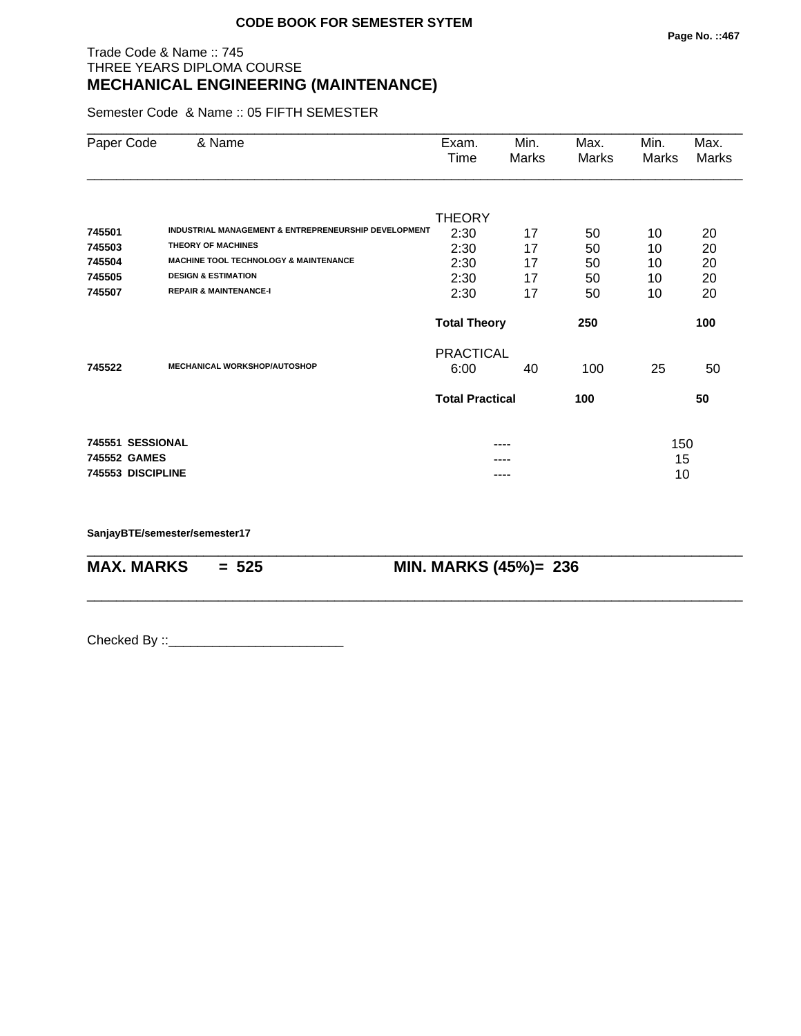## Trade Code & Name :: 745 THREE YEARS DIPLOMA COURSE **MECHANICAL ENGINEERING (MAINTENANCE)**

Semester Code & Name :: 05 FIFTH SEMESTER

| Paper Code        | & Name                                               | Exam.<br>Time          | Min.<br>Marks | Max.<br>Marks | Min.<br>Marks | Max.<br>Marks |
|-------------------|------------------------------------------------------|------------------------|---------------|---------------|---------------|---------------|
|                   |                                                      | <b>THEORY</b>          |               |               |               |               |
| 745501            | INDUSTRIAL MANAGEMENT & ENTREPRENEURSHIP DEVELOPMENT | 2:30                   | 17            | 50            | 10            | 20            |
| 745503            | <b>THEORY OF MACHINES</b>                            | 2:30                   | 17            | 50            | 10            | 20            |
| 745504            | <b>MACHINE TOOL TECHNOLOGY &amp; MAINTENANCE</b>     | 2:30                   | 17            | 50            | 10            | 20            |
| 745505            | <b>DESIGN &amp; ESTIMATION</b>                       | 2:30                   | 17            | 50            | 10            | 20            |
| 745507            | <b>REPAIR &amp; MAINTENANCE-I</b>                    | 2:30                   | 17            | 50            | 10            | 20            |
|                   |                                                      | <b>Total Theory</b>    |               | 250           |               | 100           |
|                   |                                                      | <b>PRACTICAL</b>       |               |               |               |               |
| 745522            | <b>MECHANICAL WORKSHOP/AUTOSHOP</b>                  | 6:00                   | 40            | 100           | 25            | 50            |
|                   |                                                      | <b>Total Practical</b> |               | 100           |               | 50            |
| 745551 SESSIONAL  |                                                      |                        | ----          |               | 150           |               |
| 745552 GAMES      |                                                      |                        |               |               | 15            |               |
| 745553 DISCIPLINE |                                                      |                        | ----          |               | 10            |               |

\_\_\_\_\_\_\_\_\_\_\_\_\_\_\_\_\_\_\_\_\_\_\_\_\_\_\_\_\_\_\_\_\_\_\_\_\_\_\_\_\_\_\_\_\_\_\_\_\_\_\_\_\_\_\_\_\_\_\_\_\_\_\_\_\_\_\_\_\_\_\_\_\_\_\_\_\_\_\_\_\_\_\_\_\_\_\_\_\_\_

\_\_\_\_\_\_\_\_\_\_\_\_\_\_\_\_\_\_\_\_\_\_\_\_\_\_\_\_\_\_\_\_\_\_\_\_\_\_\_\_\_\_\_\_\_\_\_\_\_\_\_\_\_\_\_\_\_\_\_\_\_\_\_\_\_\_\_\_\_\_\_\_\_\_\_\_\_\_\_\_\_\_\_\_\_\_\_\_\_\_

**SanjayBTE/semester/semester17**

**MAX. MARKS = 525 MIN. MARKS (45%)= 236**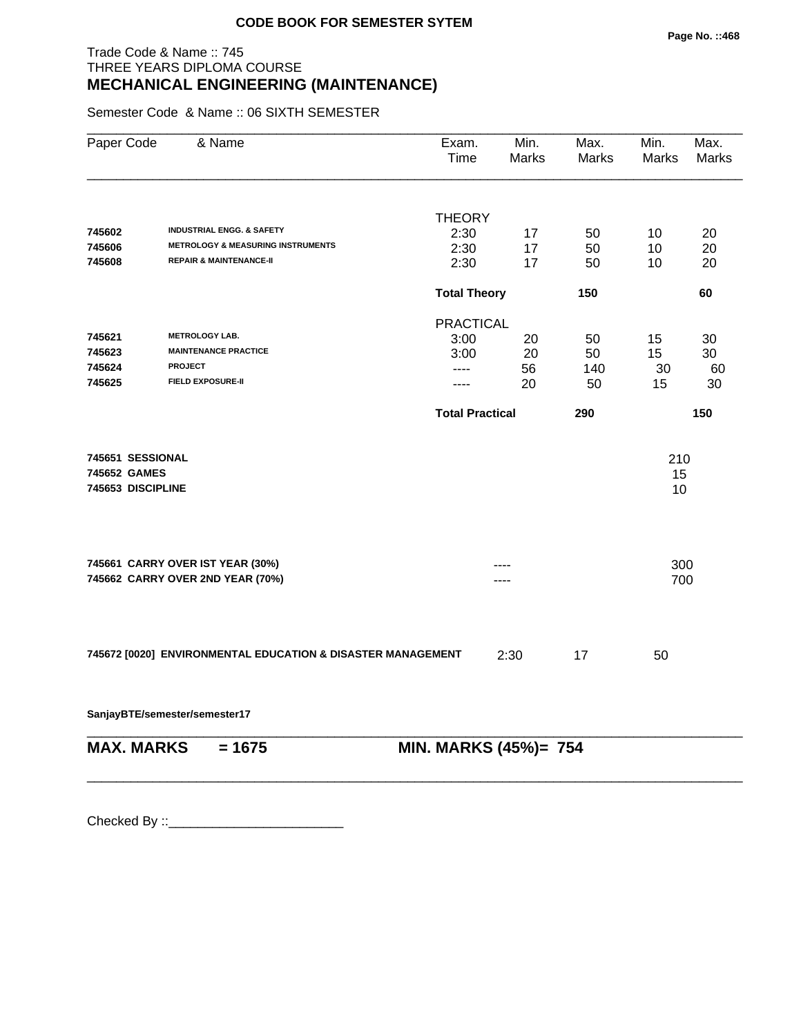## Trade Code & Name :: 745 THREE YEARS DIPLOMA COURSE **MECHANICAL ENGINEERING (MAINTENANCE)**

Semester Code & Name :: 06 SIXTH SEMESTER

| Paper Code                                            | & Name                                                               | Exam.<br>Time          | Min.<br>Marks | Max.<br>Marks | Min.<br><b>Marks</b> | Max.<br><b>Marks</b> |
|-------------------------------------------------------|----------------------------------------------------------------------|------------------------|---------------|---------------|----------------------|----------------------|
|                                                       |                                                                      |                        |               |               |                      |                      |
| 745602                                                | <b>INDUSTRIAL ENGG. &amp; SAFETY</b>                                 | <b>THEORY</b>          |               |               |                      |                      |
| 745606                                                | <b>METROLOGY &amp; MEASURING INSTRUMENTS</b>                         | 2:30<br>2:30           | 17<br>17      | 50<br>50      | 10<br>10             | 20<br>20             |
| 745608                                                | <b>REPAIR &amp; MAINTENANCE-II</b>                                   | 2:30                   | 17            | 50            | 10                   | 20                   |
|                                                       |                                                                      | <b>Total Theory</b>    |               | 150           |                      | 60                   |
|                                                       |                                                                      | <b>PRACTICAL</b>       |               |               |                      |                      |
| 745621                                                | <b>METROLOGY LAB.</b>                                                | 3:00                   | 20            | 50            | 15                   | 30                   |
| 745623                                                | <b>MAINTENANCE PRACTICE</b>                                          | 3:00                   | 20            | 50            | 15                   | 30                   |
| 745624                                                | <b>PROJECT</b>                                                       | ----                   | 56            | 140           | 30                   | 60                   |
| 745625                                                | <b>FIELD EXPOSURE-II</b>                                             | ----                   | 20            | 50            | 15                   | 30                   |
|                                                       |                                                                      | <b>Total Practical</b> |               | 290           |                      | 150                  |
| 745651 SESSIONAL<br>745652 GAMES<br>745653 DISCIPLINE |                                                                      |                        |               |               | 210<br>15<br>10      |                      |
|                                                       | 745661 CARRY OVER IST YEAR (30%)<br>745662 CARRY OVER 2ND YEAR (70%) |                        |               |               | 300<br>700           |                      |
|                                                       | 745672 [0020] ENVIRONMENTAL EDUCATION & DISASTER MANAGEMENT          |                        | 2:30          | 17            | 50                   |                      |
|                                                       | SanjayBTE/semester/semester17                                        |                        |               |               |                      |                      |
| <b>MAX. MARKS</b>                                     | $= 1675$<br>MIN. MARKS (45%)= 754                                    |                        |               |               |                      |                      |

\_\_\_\_\_\_\_\_\_\_\_\_\_\_\_\_\_\_\_\_\_\_\_\_\_\_\_\_\_\_\_\_\_\_\_\_\_\_\_\_\_\_\_\_\_\_\_\_\_\_\_\_\_\_\_\_\_\_\_\_\_\_\_\_\_\_\_\_\_\_\_\_\_\_\_\_\_\_\_\_\_\_\_\_\_\_\_\_\_\_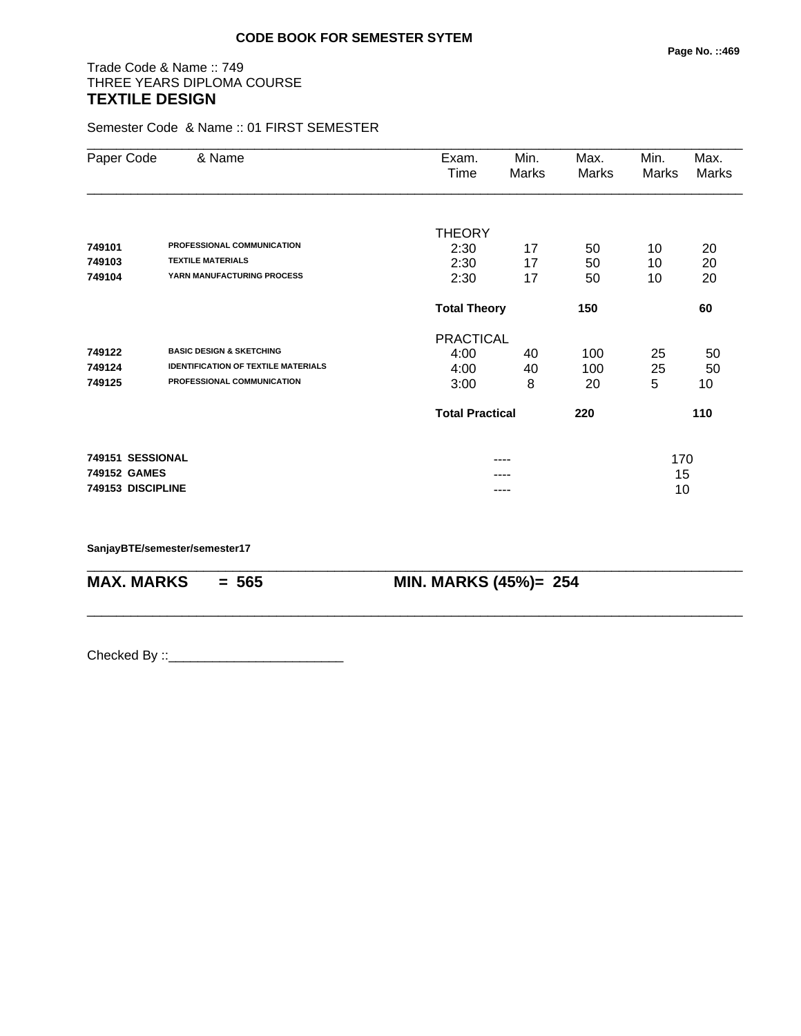# Trade Code & Name :: 749 THREE YEARS DIPLOMA COURSE **TEXTILE DESIGN**

Semester Code & Name :: 01 FIRST SEMESTER

| Paper Code        | & Name                                     | Exam.                      | Min.                   | Max.  | Min.  | Max.  |
|-------------------|--------------------------------------------|----------------------------|------------------------|-------|-------|-------|
|                   |                                            | Time                       | Marks                  | Marks | Marks | Marks |
|                   |                                            |                            |                        |       |       |       |
|                   |                                            | <b>THEORY</b>              |                        |       |       |       |
| 749101            | PROFESSIONAL COMMUNICATION                 | 2:30                       | 17                     | 50    | 10    | 20    |
| 749103            | <b>TEXTILE MATERIALS</b>                   | 2:30                       | 17                     | 50    | 10    | 20    |
| 749104            | YARN MANUFACTURING PROCESS                 | 2:30                       | 17                     | 50    | 10    | 20    |
|                   |                                            | 150<br><b>Total Theory</b> |                        |       |       | 60    |
|                   |                                            | <b>PRACTICAL</b>           |                        |       |       |       |
| 749122            | <b>BASIC DESIGN &amp; SKETCHING</b>        | 4:00                       | 40                     | 100   | 25    | 50    |
| 749124            | <b>IDENTIFICATION OF TEXTILE MATERIALS</b> | 4:00                       | 40                     | 100   | 25    | 50    |
| 749125            | PROFESSIONAL COMMUNICATION                 | 3:00                       | 8                      | 20    | 5     | 10    |
|                   |                                            |                            | <b>Total Practical</b> |       |       | 110   |
| 749151 SESSIONAL  |                                            |                            | ----                   |       | 170   |       |
| 749152 GAMES      |                                            |                            |                        |       | 15    |       |
| 749153 DISCIPLINE |                                            |                            |                        |       | 10    |       |
|                   |                                            |                            |                        |       |       |       |

\_\_\_\_\_\_\_\_\_\_\_\_\_\_\_\_\_\_\_\_\_\_\_\_\_\_\_\_\_\_\_\_\_\_\_\_\_\_\_\_\_\_\_\_\_\_\_\_\_\_\_\_\_\_\_\_\_\_\_\_\_\_\_\_\_\_\_\_\_\_\_\_\_\_\_\_\_\_\_\_\_\_\_\_\_\_\_\_\_\_

\_\_\_\_\_\_\_\_\_\_\_\_\_\_\_\_\_\_\_\_\_\_\_\_\_\_\_\_\_\_\_\_\_\_\_\_\_\_\_\_\_\_\_\_\_\_\_\_\_\_\_\_\_\_\_\_\_\_\_\_\_\_\_\_\_\_\_\_\_\_\_\_\_\_\_\_\_\_\_\_\_\_\_\_\_\_\_\_\_\_

**SanjayBTE/semester/semester17**

**MAX. MARKS = 565 MIN. MARKS (45%)= 254**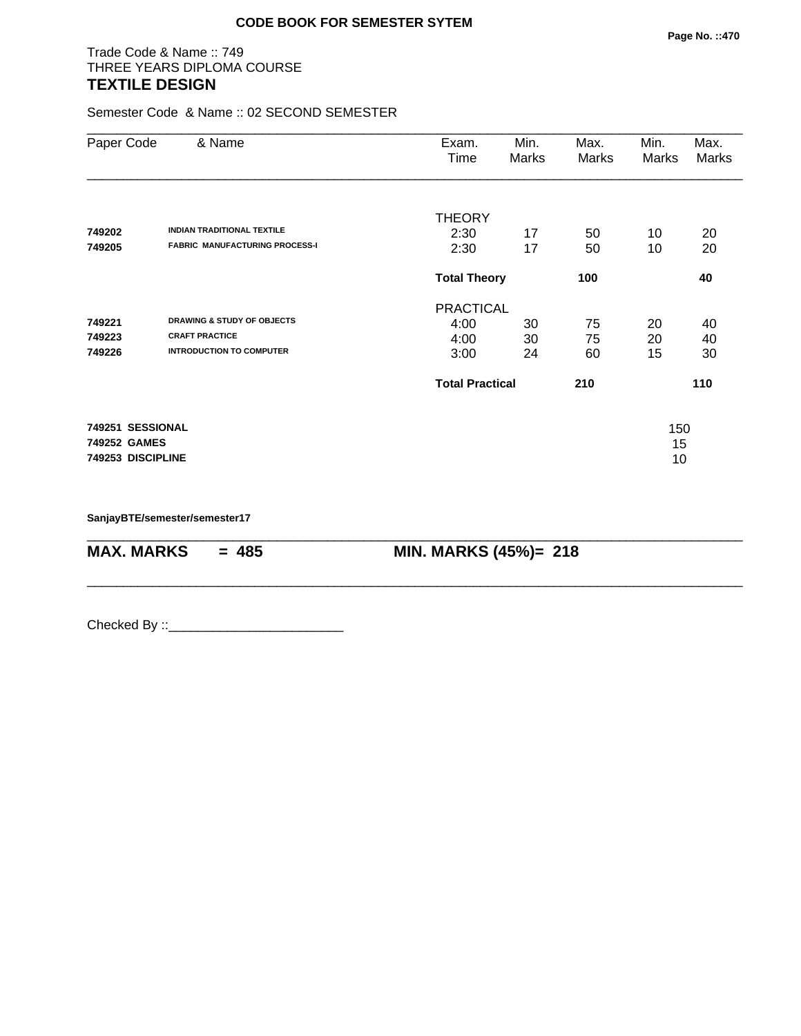# Trade Code & Name :: 749 THREE YEARS DIPLOMA COURSE **TEXTILE DESIGN**

Semester Code & Name :: 02 SECOND SEMESTER

| Paper Code        | & Name                                | Exam.<br>Time          | Min.<br>Marks              | Max.<br><b>Marks</b> | Min.<br>Marks | Max.<br>Marks |
|-------------------|---------------------------------------|------------------------|----------------------------|----------------------|---------------|---------------|
|                   |                                       | <b>THEORY</b>          |                            |                      |               |               |
| 749202            | <b>INDIAN TRADITIONAL TEXTILE</b>     | 2:30                   | 17                         | 50                   | 10            | 20            |
| 749205            | <b>FABRIC MANUFACTURING PROCESS-I</b> | 2:30                   | 17                         | 50                   | 10            | 20            |
|                   |                                       |                        | <b>Total Theory</b><br>100 |                      |               | 40            |
|                   |                                       | <b>PRACTICAL</b>       |                            |                      |               |               |
| 749221            | <b>DRAWING &amp; STUDY OF OBJECTS</b> | 4:00                   | 30                         | 75                   | 20            | 40            |
| 749223            | <b>CRAFT PRACTICE</b>                 | 4:00                   | 30                         | 75                   | 20            | 40            |
| 749226            | <b>INTRODUCTION TO COMPUTER</b>       | 3:00                   | 24                         | 60                   | 15            | 30            |
|                   |                                       | <b>Total Practical</b> |                            | 210                  |               | 110           |
| 749251 SESSIONAL  |                                       |                        |                            |                      | 150           |               |
| 749252 GAMES      |                                       |                        |                            |                      | 15            |               |
| 749253 DISCIPLINE |                                       |                        |                            |                      | 10            |               |
|                   |                                       |                        |                            |                      |               |               |

\_\_\_\_\_\_\_\_\_\_\_\_\_\_\_\_\_\_\_\_\_\_\_\_\_\_\_\_\_\_\_\_\_\_\_\_\_\_\_\_\_\_\_\_\_\_\_\_\_\_\_\_\_\_\_\_\_\_\_\_\_\_\_\_\_\_\_\_\_\_\_\_\_\_\_\_\_\_\_\_\_\_\_\_\_\_\_\_\_\_

\_\_\_\_\_\_\_\_\_\_\_\_\_\_\_\_\_\_\_\_\_\_\_\_\_\_\_\_\_\_\_\_\_\_\_\_\_\_\_\_\_\_\_\_\_\_\_\_\_\_\_\_\_\_\_\_\_\_\_\_\_\_\_\_\_\_\_\_\_\_\_\_\_\_\_\_\_\_\_\_\_\_\_\_\_\_\_\_\_\_

**SanjayBTE/semester/semester17**

**MAX. MARKS = 485 MIN. MARKS (45%)= 218**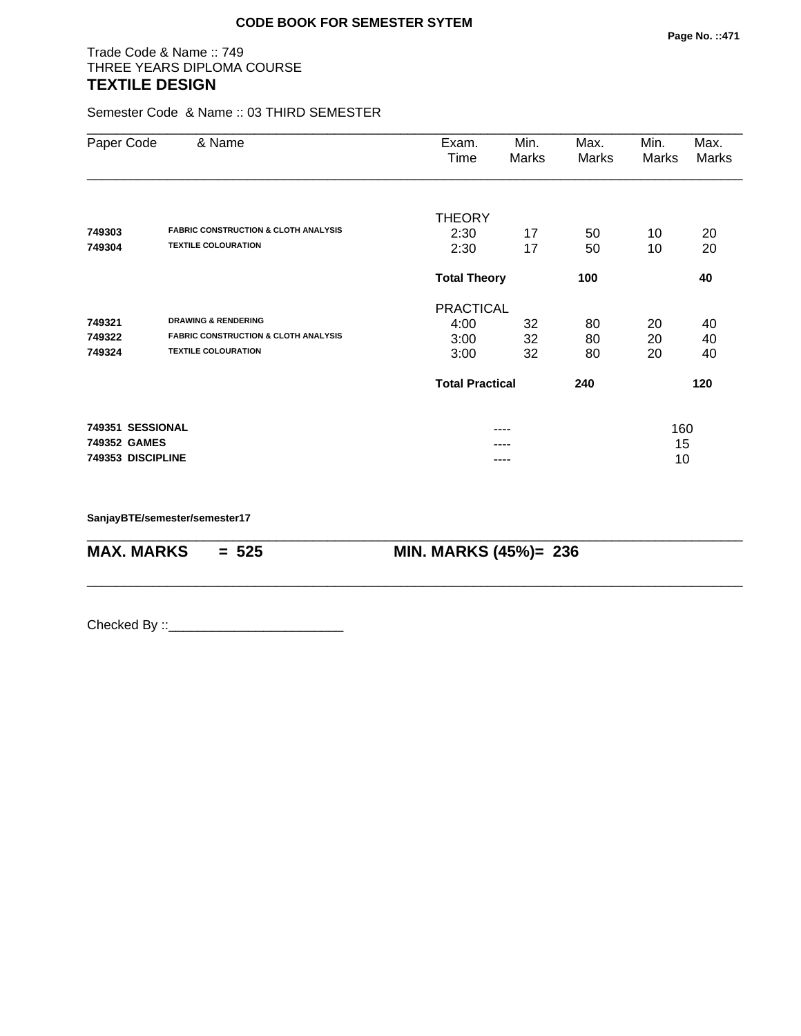# Trade Code & Name :: 749 THREE YEARS DIPLOMA COURSE **TEXTILE DESIGN**

Semester Code & Name :: 03 THIRD SEMESTER

| Paper Code        | & Name                                          | Exam.<br>Time          | Min.<br>Marks | Max.<br><b>Marks</b> | Min.<br>Marks | Max.<br>Marks |  |
|-------------------|-------------------------------------------------|------------------------|---------------|----------------------|---------------|---------------|--|
|                   | <b>FABRIC CONSTRUCTION &amp; CLOTH ANALYSIS</b> | <b>THEORY</b>          |               |                      |               |               |  |
| 749303<br>749304  | <b>TEXTILE COLOURATION</b>                      | 2:30<br>2:30           | 17<br>17      | 50<br>50             | 10<br>10      | 20<br>20      |  |
|                   |                                                 | <b>Total Theory</b>    |               | 100                  |               | 40            |  |
|                   |                                                 | <b>PRACTICAL</b>       |               |                      |               |               |  |
| 749321            | <b>DRAWING &amp; RENDERING</b>                  | 4:00                   | 32            | 80                   | 20            | 40            |  |
| 749322            | <b>FABRIC CONSTRUCTION &amp; CLOTH ANALYSIS</b> | 3:00                   | 32            | 80                   | 20            | 40            |  |
| 749324            | <b>TEXTILE COLOURATION</b>                      | 3:00                   | 32            | 80                   | 20            | 40            |  |
|                   |                                                 | <b>Total Practical</b> |               | 240                  |               | 120           |  |
| 749351 SESSIONAL  |                                                 |                        |               |                      | 160           |               |  |
| 749352 GAMES      |                                                 | ----                   |               |                      | 15            |               |  |
| 749353 DISCIPLINE |                                                 |                        |               |                      | 10            |               |  |

\_\_\_\_\_\_\_\_\_\_\_\_\_\_\_\_\_\_\_\_\_\_\_\_\_\_\_\_\_\_\_\_\_\_\_\_\_\_\_\_\_\_\_\_\_\_\_\_\_\_\_\_\_\_\_\_\_\_\_\_\_\_\_\_\_\_\_\_\_\_\_\_\_\_\_\_\_\_\_\_\_\_\_\_\_\_\_\_\_\_

\_\_\_\_\_\_\_\_\_\_\_\_\_\_\_\_\_\_\_\_\_\_\_\_\_\_\_\_\_\_\_\_\_\_\_\_\_\_\_\_\_\_\_\_\_\_\_\_\_\_\_\_\_\_\_\_\_\_\_\_\_\_\_\_\_\_\_\_\_\_\_\_\_\_\_\_\_\_\_\_\_\_\_\_\_\_\_\_\_\_

**SanjayBTE/semester/semester17**

**MAX. MARKS = 525 MIN. MARKS (45%)= 236**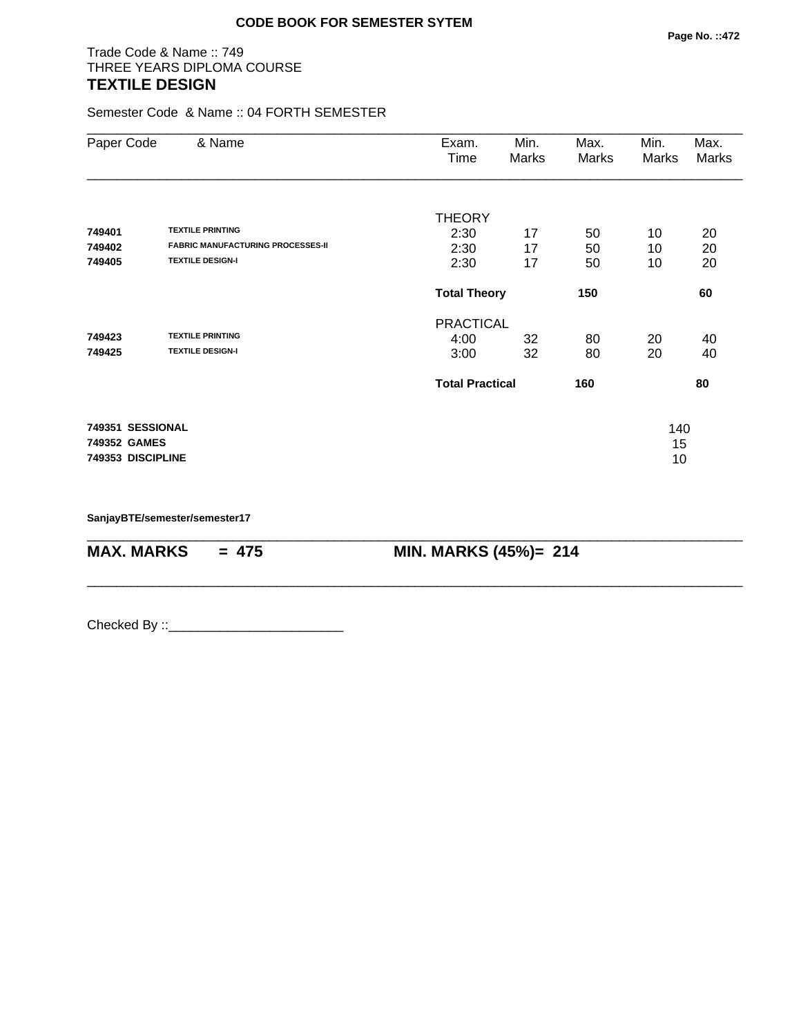# Trade Code & Name :: 749 THREE YEARS DIPLOMA COURSE **TEXTILE DESIGN**

Semester Code & Name :: 04 FORTH SEMESTER

| Paper Code                       | & Name                                   | Exam.<br>Time          | Min.<br>Marks | Max.<br>Marks | Min.<br>Marks | Max.<br>Marks |
|----------------------------------|------------------------------------------|------------------------|---------------|---------------|---------------|---------------|
|                                  |                                          | <b>THEORY</b>          |               |               |               |               |
| 749401                           | <b>TEXTILE PRINTING</b>                  | 2:30                   | 17            | 50            | 10            | 20            |
| 749402                           | <b>FABRIC MANUFACTURING PROCESSES-II</b> | 2:30                   | 17            | 50            | 10            | 20            |
| 749405                           | <b>TEXTILE DESIGN-I</b>                  | 2:30                   | 17            | 50            | 10            | 20            |
|                                  |                                          | <b>Total Theory</b>    |               | 150           |               | 60            |
|                                  |                                          | <b>PRACTICAL</b>       |               |               |               |               |
| 749423                           | <b>TEXTILE PRINTING</b>                  | 4:00                   | 32            | 80            | 20            | 40            |
| 749425                           | <b>TEXTILE DESIGN-I</b>                  | 3:00                   | 32            | 80            | 20            | 40            |
|                                  |                                          | <b>Total Practical</b> |               | 160           |               | 80            |
| 749351 SESSIONAL<br>749352 GAMES |                                          |                        |               |               | 140<br>15     |               |
| 749353 DISCIPLINE                |                                          |                        |               |               | 10            |               |

\_\_\_\_\_\_\_\_\_\_\_\_\_\_\_\_\_\_\_\_\_\_\_\_\_\_\_\_\_\_\_\_\_\_\_\_\_\_\_\_\_\_\_\_\_\_\_\_\_\_\_\_\_\_\_\_\_\_\_\_\_\_\_\_\_\_\_\_\_\_\_\_\_\_\_\_\_\_\_\_\_\_\_\_\_\_\_\_\_\_

\_\_\_\_\_\_\_\_\_\_\_\_\_\_\_\_\_\_\_\_\_\_\_\_\_\_\_\_\_\_\_\_\_\_\_\_\_\_\_\_\_\_\_\_\_\_\_\_\_\_\_\_\_\_\_\_\_\_\_\_\_\_\_\_\_\_\_\_\_\_\_\_\_\_\_\_\_\_\_\_\_\_\_\_\_\_\_\_\_\_

**SanjayBTE/semester/semester17**

**MAX. MARKS = 475 MIN. MARKS (45%)= 214**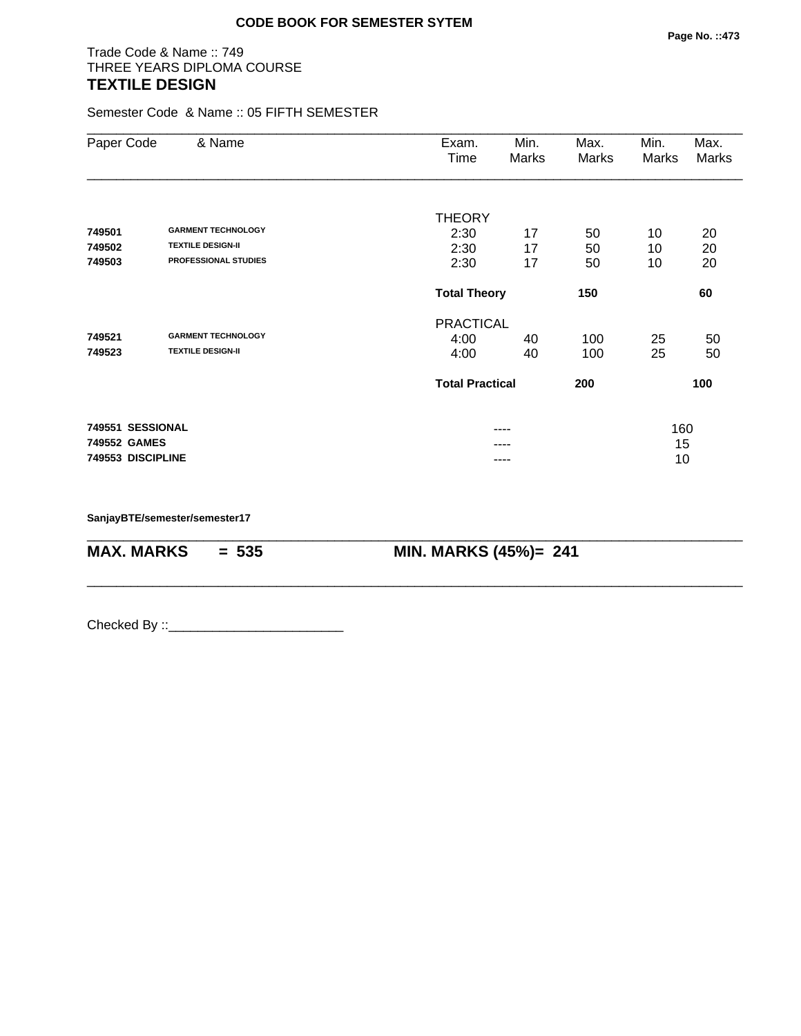# Trade Code & Name :: 749 THREE YEARS DIPLOMA COURSE **TEXTILE DESIGN**

Semester Code & Name :: 05 FIFTH SEMESTER

| Paper Code        | & Name                      | Exam.<br>Time          | Min.<br>Marks | Max.<br>Marks | Min.<br>Marks | Max.<br>Marks |
|-------------------|-----------------------------|------------------------|---------------|---------------|---------------|---------------|
|                   |                             | <b>THEORY</b>          |               |               |               |               |
| 749501            | <b>GARMENT TECHNOLOGY</b>   | 2:30                   | 17            | 50            | 10            | 20            |
| 749502            | <b>TEXTILE DESIGN-II</b>    | 2:30                   | 17            | 50            | 10            | 20            |
| 749503            | <b>PROFESSIONAL STUDIES</b> | 2:30                   | 17            | 50            | 10            | 20            |
|                   |                             | <b>Total Theory</b>    |               | 150           |               | 60            |
|                   |                             | <b>PRACTICAL</b>       |               |               |               |               |
| 749521            | <b>GARMENT TECHNOLOGY</b>   | 4:00                   | 40            | 100           | 25            | 50            |
| 749523            | <b>TEXTILE DESIGN-II</b>    | 4:00                   | 40            | 100           | 25            | 50            |
|                   |                             | <b>Total Practical</b> |               | 200           |               | 100           |
| 749551 SESSIONAL  |                             |                        | ----          |               | 160           |               |
| 749552 GAMES      |                             |                        | ----          |               | 15            |               |
| 749553 DISCIPLINE |                             |                        | ----          |               | 10            |               |

\_\_\_\_\_\_\_\_\_\_\_\_\_\_\_\_\_\_\_\_\_\_\_\_\_\_\_\_\_\_\_\_\_\_\_\_\_\_\_\_\_\_\_\_\_\_\_\_\_\_\_\_\_\_\_\_\_\_\_\_\_\_\_\_\_\_\_\_\_\_\_\_\_\_\_\_\_\_\_\_\_\_\_\_\_\_\_\_\_\_

\_\_\_\_\_\_\_\_\_\_\_\_\_\_\_\_\_\_\_\_\_\_\_\_\_\_\_\_\_\_\_\_\_\_\_\_\_\_\_\_\_\_\_\_\_\_\_\_\_\_\_\_\_\_\_\_\_\_\_\_\_\_\_\_\_\_\_\_\_\_\_\_\_\_\_\_\_\_\_\_\_\_\_\_\_\_\_\_\_\_

**SanjayBTE/semester/semester17**

**MAX. MARKS = 535 MIN. MARKS (45%)= 241**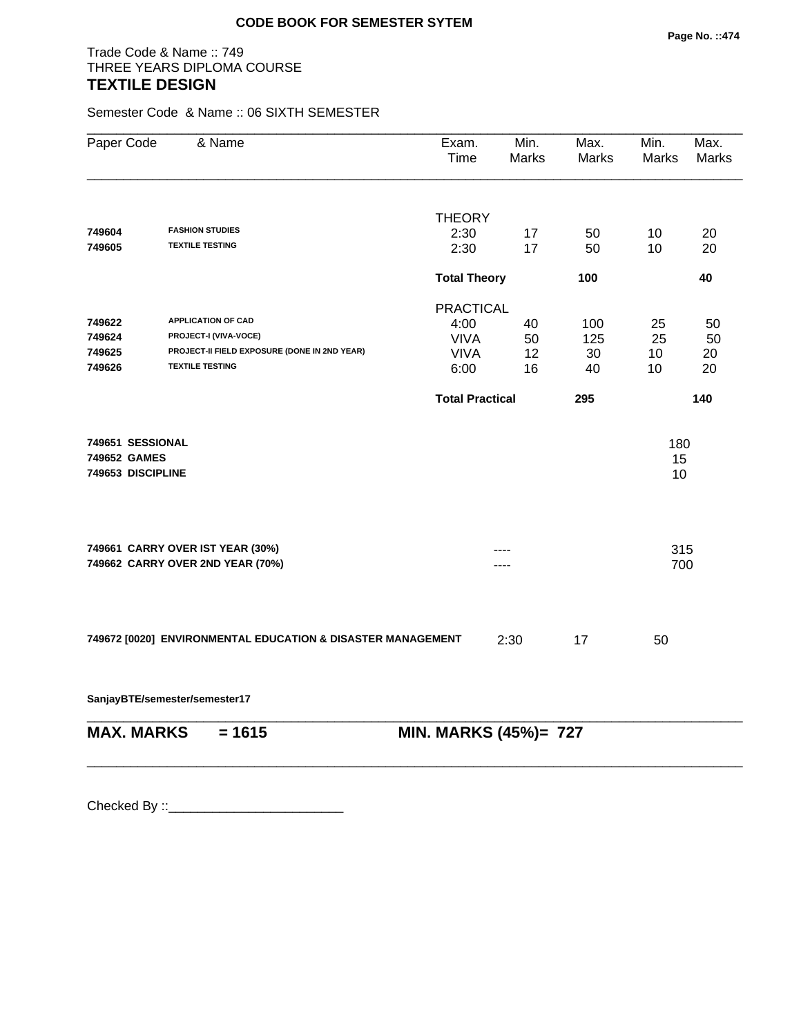# Trade Code & Name :: 749 THREE YEARS DIPLOMA COURSE **TEXTILE DESIGN**

Semester Code & Name :: 06 SIXTH SEMESTER

| Paper Code                                            | & Name                                                               | Exam.<br>Time          | Min.<br><b>Marks</b> | Max.<br><b>Marks</b> | Min.<br>Marks   | Max.<br>Marks |
|-------------------------------------------------------|----------------------------------------------------------------------|------------------------|----------------------|----------------------|-----------------|---------------|
|                                                       |                                                                      | <b>THEORY</b>          |                      |                      |                 |               |
| 749604                                                | <b>FASHION STUDIES</b>                                               | 2:30                   | 17                   | 50                   | 10              | 20            |
| 749605                                                | <b>TEXTILE TESTING</b>                                               | 2:30                   | 17                   | 50                   | 10              | 20            |
|                                                       |                                                                      | <b>Total Theory</b>    |                      | 100                  |                 | 40            |
|                                                       |                                                                      | <b>PRACTICAL</b>       |                      |                      |                 |               |
| 749622                                                | <b>APPLICATION OF CAD</b>                                            | 4:00                   | 40                   | 100                  | 25              | 50            |
| 749624                                                | PROJECT-I (VIVA-VOCE)                                                | <b>VIVA</b>            | 50                   | 125                  | 25              | 50            |
| 749625                                                | PROJECT-II FIELD EXPOSURE (DONE IN 2ND YEAR)                         | <b>VIVA</b>            | 12                   | 30                   | 10              | 20            |
| 749626                                                | <b>TEXTILE TESTING</b>                                               | 6:00                   | 16                   | 40                   | 10              | 20            |
|                                                       |                                                                      | <b>Total Practical</b> |                      | 295                  |                 | 140           |
| 749651 SESSIONAL<br>749652 GAMES<br>749653 DISCIPLINE |                                                                      |                        |                      |                      | 180<br>15<br>10 |               |
|                                                       | 749661 CARRY OVER IST YEAR (30%)<br>749662 CARRY OVER 2ND YEAR (70%) |                        |                      |                      | 315<br>700      |               |
|                                                       | 749672 [0020] ENVIRONMENTAL EDUCATION & DISASTER MANAGEMENT          |                        | 2:30                 | 17                   | 50              |               |

\_\_\_\_\_\_\_\_\_\_\_\_\_\_\_\_\_\_\_\_\_\_\_\_\_\_\_\_\_\_\_\_\_\_\_\_\_\_\_\_\_\_\_\_\_\_\_\_\_\_\_\_\_\_\_\_\_\_\_\_\_\_\_\_\_\_\_\_\_\_\_\_\_\_\_\_\_\_\_\_\_\_\_\_\_\_\_\_\_\_

\_\_\_\_\_\_\_\_\_\_\_\_\_\_\_\_\_\_\_\_\_\_\_\_\_\_\_\_\_\_\_\_\_\_\_\_\_\_\_\_\_\_\_\_\_\_\_\_\_\_\_\_\_\_\_\_\_\_\_\_\_\_\_\_\_\_\_\_\_\_\_\_\_\_\_\_\_\_\_\_\_\_\_\_\_\_\_\_\_\_

**SanjayBTE/semester/semester17**

**MAX. MARKS** = 1615 **MIN. MARKS (45%)**= 727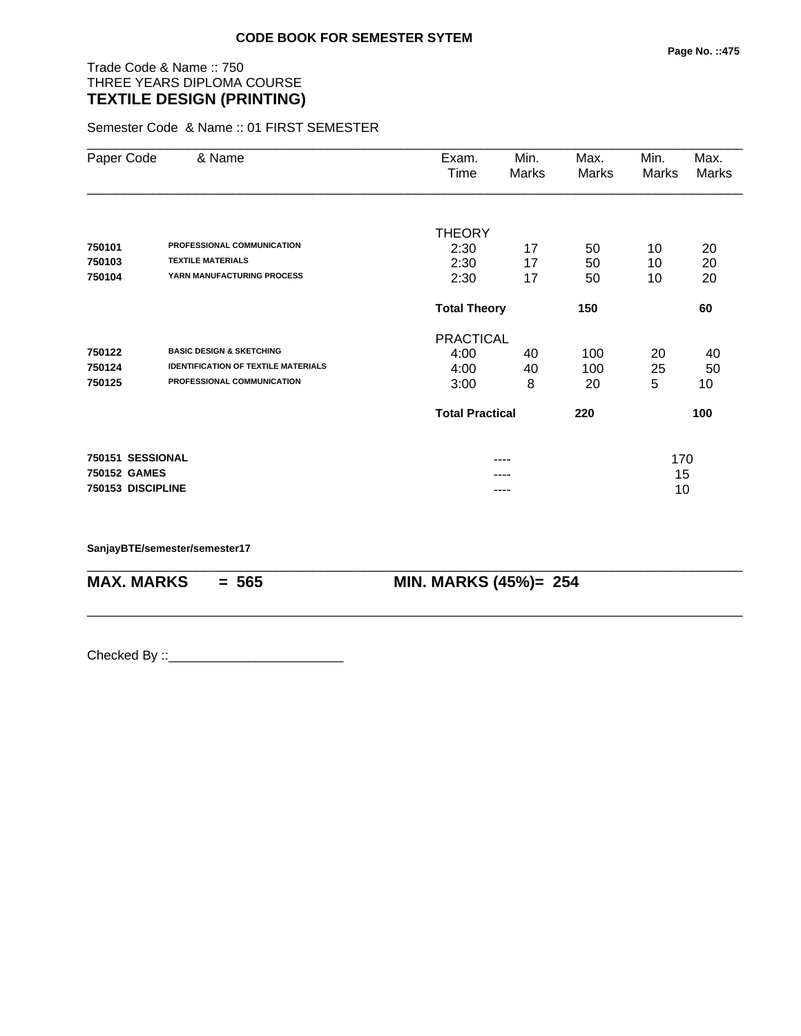# Trade Code & Name :: 750 THREE YEARS DIPLOMA COURSE **TEXTILE DESIGN (PRINTING)**

Semester Code & Name :: 01 FIRST SEMESTER

| Paper Code        | & Name                                     | Exam.                      | Min.  | Max.  | Min.  | Max.  |
|-------------------|--------------------------------------------|----------------------------|-------|-------|-------|-------|
|                   |                                            | Time                       | Marks | Marks | Marks | Marks |
|                   |                                            | <b>THEORY</b>              |       |       |       |       |
| 750101            | PROFESSIONAL COMMUNICATION                 | 2:30                       | 17    | 50    | 10    | 20    |
| 750103            | <b>TEXTILE MATERIALS</b>                   | 2:30                       | 17    | 50    | 10    | 20    |
| 750104            | YARN MANUFACTURING PROCESS                 | 2:30                       | 17    | 50    | 10    | 20    |
|                   |                                            | <b>Total Theory</b><br>150 |       |       |       | 60    |
|                   |                                            | <b>PRACTICAL</b>           |       |       |       |       |
| 750122            | <b>BASIC DESIGN &amp; SKETCHING</b>        | 4:00                       | 40    | 100   | 20    | 40    |
| 750124            | <b>IDENTIFICATION OF TEXTILE MATERIALS</b> | 4:00                       | 40    | 100   | 25    | 50    |
| 750125            | PROFESSIONAL COMMUNICATION                 | 3:00                       | 8     | 20    | 5     | 10    |
|                   |                                            | <b>Total Practical</b>     |       | 220   |       | 100   |
| 750151 SESSIONAL  |                                            |                            | ----  |       | 170   |       |
| 750152 GAMES      |                                            |                            |       |       | 15    |       |
| 750153 DISCIPLINE |                                            |                            | ----  |       | 10    |       |

\_\_\_\_\_\_\_\_\_\_\_\_\_\_\_\_\_\_\_\_\_\_\_\_\_\_\_\_\_\_\_\_\_\_\_\_\_\_\_\_\_\_\_\_\_\_\_\_\_\_\_\_\_\_\_\_\_\_\_\_\_\_\_\_\_\_\_\_\_\_\_\_\_\_\_\_\_\_\_\_\_\_\_\_\_\_\_\_\_\_

\_\_\_\_\_\_\_\_\_\_\_\_\_\_\_\_\_\_\_\_\_\_\_\_\_\_\_\_\_\_\_\_\_\_\_\_\_\_\_\_\_\_\_\_\_\_\_\_\_\_\_\_\_\_\_\_\_\_\_\_\_\_\_\_\_\_\_\_\_\_\_\_\_\_\_\_\_\_\_\_\_\_\_\_\_\_\_\_\_\_

**SanjayBTE/semester/semester17**

**MAX. MARKS = 565 MIN. MARKS (45%)= 254**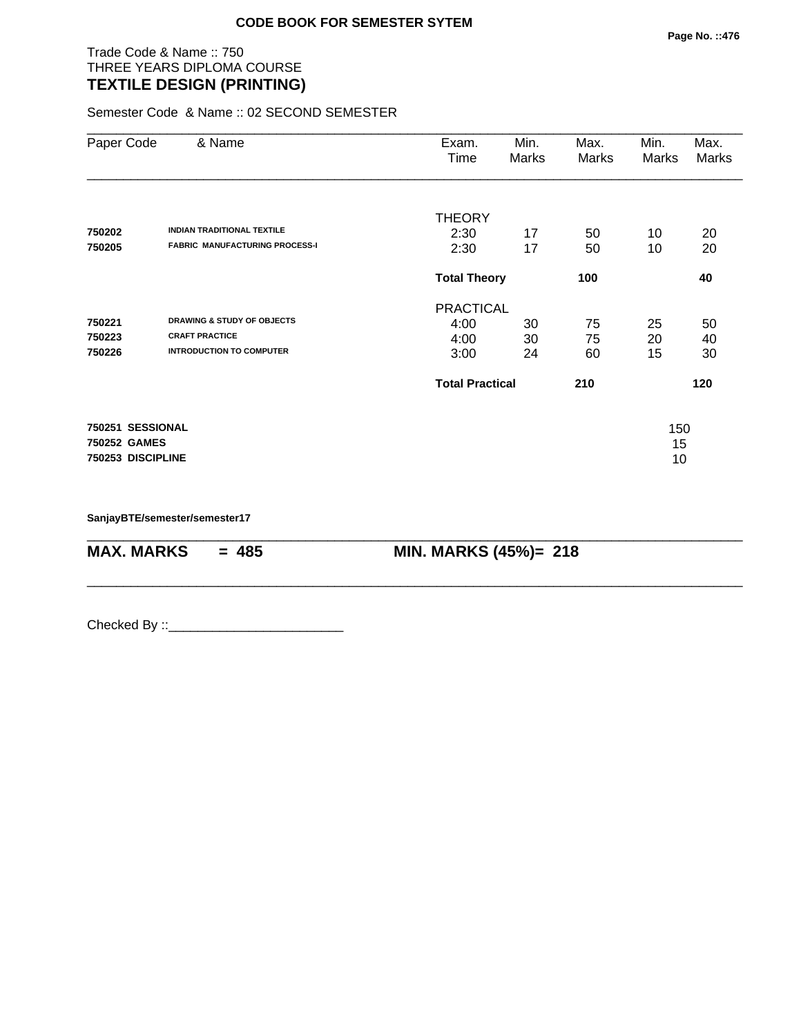Trade Code & Name :: 750 THREE YEARS DIPLOMA COURSE **TEXTILE DESIGN (PRINTING)** 

Semester Code & Name :: 02 SECOND SEMESTER

| Paper Code        | & Name                                | Exam.<br>Time          | Min.<br>Marks | Max.<br>Marks | Min.<br>Marks | Max.<br>Marks |
|-------------------|---------------------------------------|------------------------|---------------|---------------|---------------|---------------|
|                   |                                       | <b>THEORY</b>          |               |               |               |               |
| 750202            | <b>INDIAN TRADITIONAL TEXTILE</b>     | 2:30                   | 17            | 50            | 10            | 20            |
| 750205            | <b>FABRIC MANUFACTURING PROCESS-I</b> | 2:30                   | 17            | 50            | 10            | 20            |
|                   |                                       | <b>Total Theory</b>    | 100           |               | 40            |               |
|                   |                                       | <b>PRACTICAL</b>       |               |               |               |               |
| 750221            | <b>DRAWING &amp; STUDY OF OBJECTS</b> | 4:00                   | 30            | 75            | 25            | 50            |
| 750223            | <b>CRAFT PRACTICE</b>                 | 4:00                   | 30            | 75            | 20            | 40            |
| 750226            | <b>INTRODUCTION TO COMPUTER</b>       | 3:00                   | 24            | 60            | 15            | 30            |
|                   |                                       | <b>Total Practical</b> |               | 210           |               | 120           |
| 750251 SESSIONAL  |                                       |                        |               |               | 150           |               |
| 750252 GAMES      |                                       |                        |               |               | 15            |               |
| 750253 DISCIPLINE |                                       |                        |               |               | 10            |               |
|                   |                                       |                        |               |               |               |               |

\_\_\_\_\_\_\_\_\_\_\_\_\_\_\_\_\_\_\_\_\_\_\_\_\_\_\_\_\_\_\_\_\_\_\_\_\_\_\_\_\_\_\_\_\_\_\_\_\_\_\_\_\_\_\_\_\_\_\_\_\_\_\_\_\_\_\_\_\_\_\_\_\_\_\_\_\_\_\_\_\_\_\_\_\_\_\_\_\_\_

\_\_\_\_\_\_\_\_\_\_\_\_\_\_\_\_\_\_\_\_\_\_\_\_\_\_\_\_\_\_\_\_\_\_\_\_\_\_\_\_\_\_\_\_\_\_\_\_\_\_\_\_\_\_\_\_\_\_\_\_\_\_\_\_\_\_\_\_\_\_\_\_\_\_\_\_\_\_\_\_\_\_\_\_\_\_\_\_\_\_

**SanjayBTE/semester/semester17**

**MAX. MARKS = 485 MIN. MARKS (45%)= 218**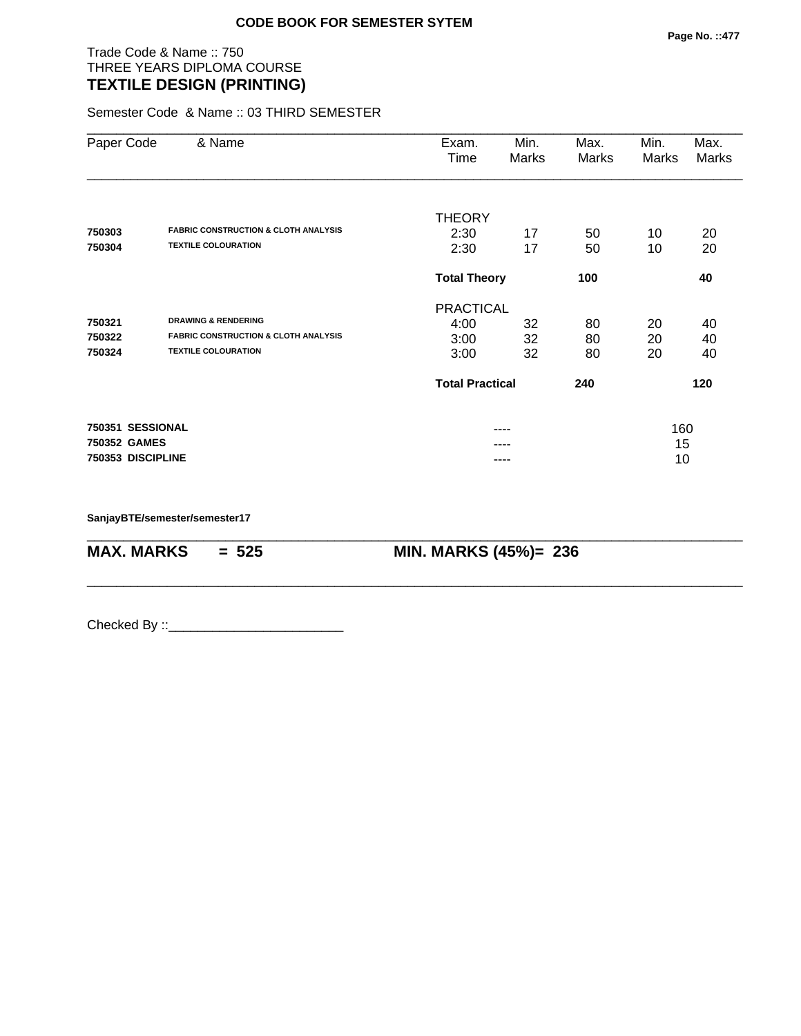# Trade Code & Name :: 750 THREE YEARS DIPLOMA COURSE **TEXTILE DESIGN (PRINTING)**

Semester Code & Name :: 03 THIRD SEMESTER

| Paper Code        | & Name                                          | Exam.<br>Time          | Min.<br>Marks | Max.<br>Marks | Min.<br>Marks | Max.<br>Marks |  |
|-------------------|-------------------------------------------------|------------------------|---------------|---------------|---------------|---------------|--|
|                   |                                                 | <b>THEORY</b>          |               |               |               |               |  |
| 750303            | <b>FABRIC CONSTRUCTION &amp; CLOTH ANALYSIS</b> | 2:30                   | 17            | 50            | 10            | 20            |  |
| 750304            | <b>TEXTILE COLOURATION</b>                      | 2:30                   | 17            | 50            | 10            | 20            |  |
|                   |                                                 | <b>Total Theory</b>    |               | 100           |               | 40            |  |
|                   |                                                 | <b>PRACTICAL</b>       |               |               |               |               |  |
| 750321            | <b>DRAWING &amp; RENDERING</b>                  | 4:00                   | 32            | 80            | 20            | 40            |  |
| 750322            | <b>FABRIC CONSTRUCTION &amp; CLOTH ANALYSIS</b> | 3:00                   | 32            | 80            | 20            | 40            |  |
| 750324            | <b>TEXTILE COLOURATION</b>                      | 3:00                   | 32            | 80            | 20            | 40            |  |
|                   |                                                 | <b>Total Practical</b> |               | 240           |               | 120           |  |
| 750351 SESSIONAL  |                                                 |                        |               |               | 160           |               |  |
| 750352 GAMES      |                                                 |                        |               |               | 15            |               |  |
| 750353 DISCIPLINE |                                                 |                        |               |               | 10            |               |  |

\_\_\_\_\_\_\_\_\_\_\_\_\_\_\_\_\_\_\_\_\_\_\_\_\_\_\_\_\_\_\_\_\_\_\_\_\_\_\_\_\_\_\_\_\_\_\_\_\_\_\_\_\_\_\_\_\_\_\_\_\_\_\_\_\_\_\_\_\_\_\_\_\_\_\_\_\_\_\_\_\_\_\_\_\_\_\_\_\_\_

\_\_\_\_\_\_\_\_\_\_\_\_\_\_\_\_\_\_\_\_\_\_\_\_\_\_\_\_\_\_\_\_\_\_\_\_\_\_\_\_\_\_\_\_\_\_\_\_\_\_\_\_\_\_\_\_\_\_\_\_\_\_\_\_\_\_\_\_\_\_\_\_\_\_\_\_\_\_\_\_\_\_\_\_\_\_\_\_\_\_

**SanjayBTE/semester/semester17**

**MAX. MARKS = 525 MIN. MARKS (45%)= 236**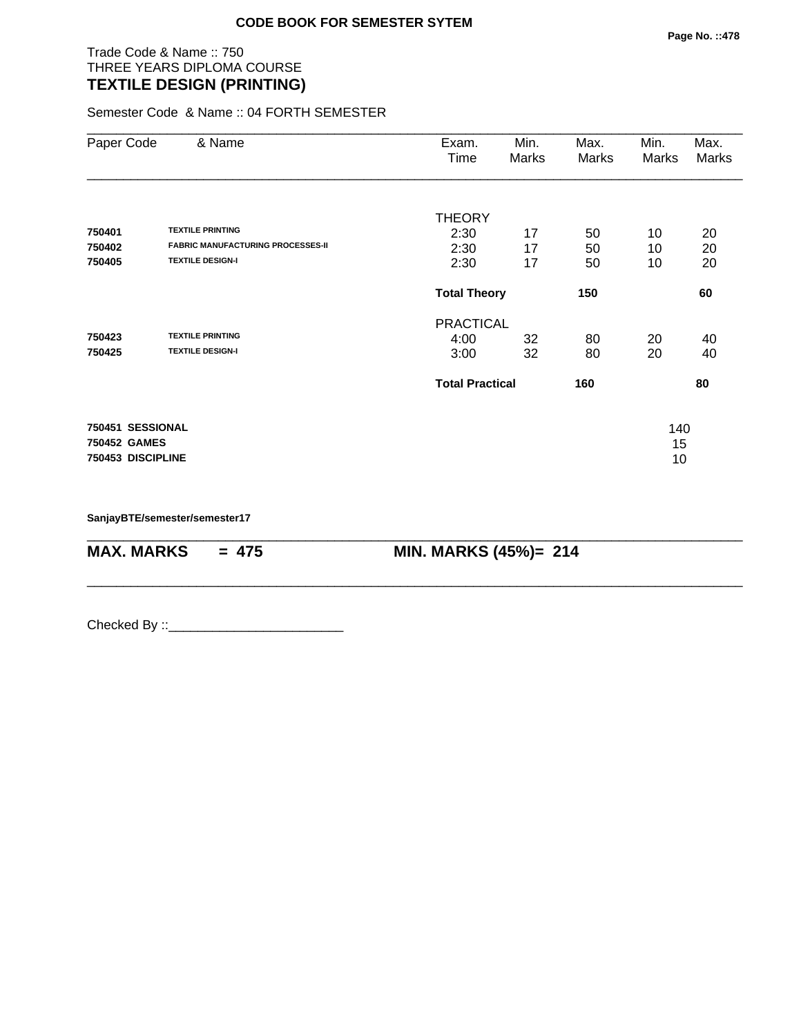# Trade Code & Name :: 750 THREE YEARS DIPLOMA COURSE **TEXTILE DESIGN (PRINTING)**

Semester Code & Name :: 04 FORTH SEMESTER

| Paper Code        | & Name                                   | Exam.<br>Time          | Min.<br>Marks | Max.<br>Marks | Min.<br>Marks | Max.<br>Marks |
|-------------------|------------------------------------------|------------------------|---------------|---------------|---------------|---------------|
|                   |                                          | <b>THEORY</b>          |               |               |               |               |
| 750401            | <b>TEXTILE PRINTING</b>                  | 2:30                   | 17            | 50            | 10            | 20            |
| 750402            | <b>FABRIC MANUFACTURING PROCESSES-II</b> | 2:30                   | 17            | 50            | 10            | 20            |
| 750405            | <b>TEXTILE DESIGN-I</b>                  | 2:30                   | 17            | 50            | 10            | 20            |
|                   |                                          | <b>Total Theory</b>    |               | 150           |               | 60            |
|                   |                                          | <b>PRACTICAL</b>       |               |               |               |               |
| 750423            | <b>TEXTILE PRINTING</b>                  | 4:00                   | 32            | 80            | 20            | 40            |
| 750425            | <b>TEXTILE DESIGN-I</b>                  | 3:00                   | 32            | 80            | 20            | 40            |
|                   |                                          | <b>Total Practical</b> |               | 160           |               | 80            |
| 750451 SESSIONAL  |                                          |                        |               |               | 140           |               |
| 750452 GAMES      |                                          |                        |               |               | 15            |               |
| 750453 DISCIPLINE |                                          |                        |               |               | 10            |               |

\_\_\_\_\_\_\_\_\_\_\_\_\_\_\_\_\_\_\_\_\_\_\_\_\_\_\_\_\_\_\_\_\_\_\_\_\_\_\_\_\_\_\_\_\_\_\_\_\_\_\_\_\_\_\_\_\_\_\_\_\_\_\_\_\_\_\_\_\_\_\_\_\_\_\_\_\_\_\_\_\_\_\_\_\_\_\_\_\_\_

\_\_\_\_\_\_\_\_\_\_\_\_\_\_\_\_\_\_\_\_\_\_\_\_\_\_\_\_\_\_\_\_\_\_\_\_\_\_\_\_\_\_\_\_\_\_\_\_\_\_\_\_\_\_\_\_\_\_\_\_\_\_\_\_\_\_\_\_\_\_\_\_\_\_\_\_\_\_\_\_\_\_\_\_\_\_\_\_\_\_

**SanjayBTE/semester/semester17**

**MAX. MARKS = 475 MIN. MARKS (45%)= 214**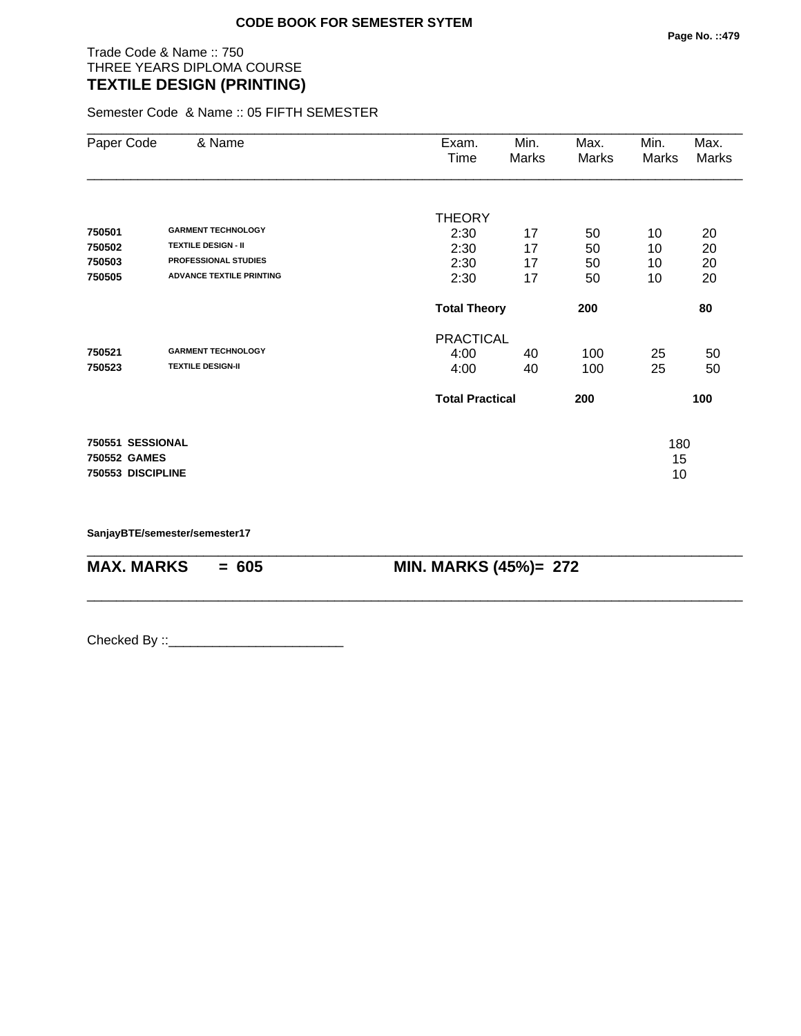# Trade Code & Name :: 750 THREE YEARS DIPLOMA COURSE **TEXTILE DESIGN (PRINTING)**

Semester Code & Name :: 05 FIFTH SEMESTER

| Paper Code        | & Name                          | Exam.<br>Time          | Min.<br>Marks | Max.<br>Marks | Min.<br>Marks | Max.<br>Marks |
|-------------------|---------------------------------|------------------------|---------------|---------------|---------------|---------------|
|                   |                                 | <b>THEORY</b>          |               |               |               |               |
| 750501            | <b>GARMENT TECHNOLOGY</b>       | 2:30                   | 17            | 50            | 10            | 20            |
| 750502            | <b>TEXTILE DESIGN - II</b>      | 2:30                   | 17            | 50            | 10            | 20            |
| 750503            | <b>PROFESSIONAL STUDIES</b>     | 2:30                   | 17            | 50            | 10            | 20            |
| 750505            | <b>ADVANCE TEXTILE PRINTING</b> | 2:30                   | 17            | 50            | 10            | 20            |
|                   |                                 | <b>Total Theory</b>    |               | 200           |               | 80            |
|                   |                                 | <b>PRACTICAL</b>       |               |               |               |               |
| 750521            | <b>GARMENT TECHNOLOGY</b>       | 4:00                   | 40            | 100           | 25            | 50            |
| 750523            | <b>TEXTILE DESIGN-II</b>        | 4:00                   | 40            | 100           | 25            | 50            |
|                   |                                 | <b>Total Practical</b> |               | 200           |               | 100           |
| 750551 SESSIONAL  |                                 |                        |               |               | 180           |               |
| 750552 GAMES      |                                 |                        |               |               | 15            |               |
| 750553 DISCIPLINE |                                 |                        |               |               | 10            |               |

\_\_\_\_\_\_\_\_\_\_\_\_\_\_\_\_\_\_\_\_\_\_\_\_\_\_\_\_\_\_\_\_\_\_\_\_\_\_\_\_\_\_\_\_\_\_\_\_\_\_\_\_\_\_\_\_\_\_\_\_\_\_\_\_\_\_\_\_\_\_\_\_\_\_\_\_\_\_\_\_\_\_\_\_\_\_\_\_\_\_

\_\_\_\_\_\_\_\_\_\_\_\_\_\_\_\_\_\_\_\_\_\_\_\_\_\_\_\_\_\_\_\_\_\_\_\_\_\_\_\_\_\_\_\_\_\_\_\_\_\_\_\_\_\_\_\_\_\_\_\_\_\_\_\_\_\_\_\_\_\_\_\_\_\_\_\_\_\_\_\_\_\_\_\_\_\_\_\_\_\_

**SanjayBTE/semester/semester17**

**MAX. MARKS = 605 MIN. MARKS (45%)= 272**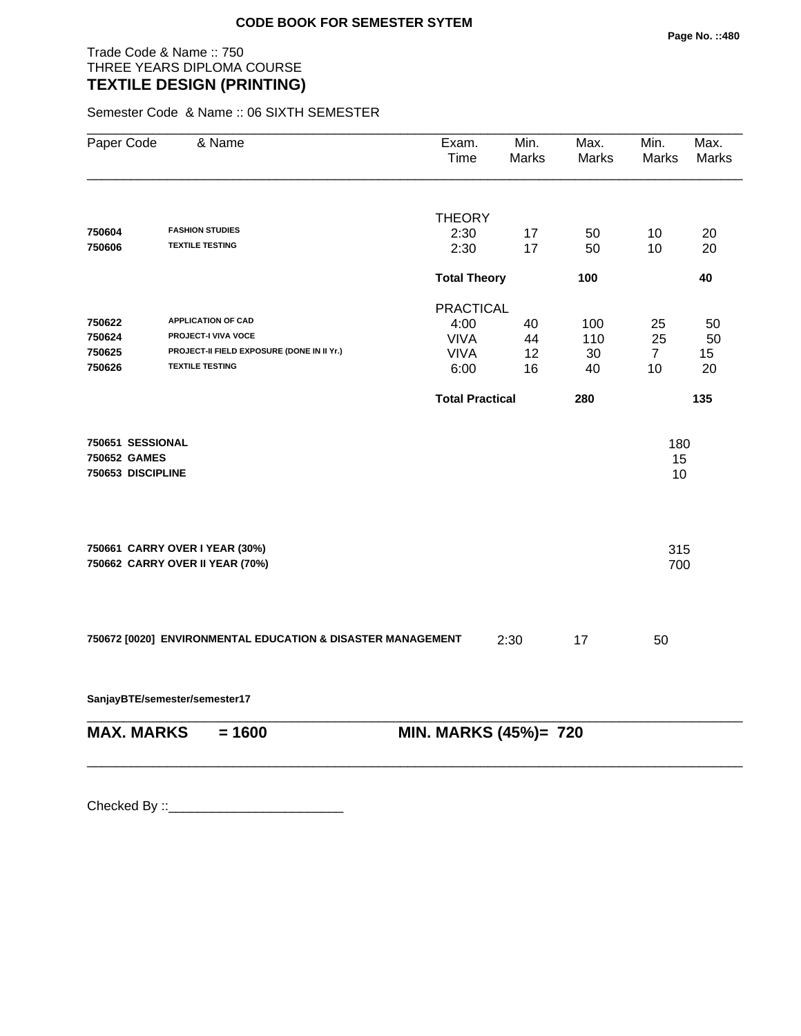# Trade Code & Name :: 750 THREE YEARS DIPLOMA COURSE **TEXTILE DESIGN (PRINTING)**

Semester Code & Name :: 06 SIXTH SEMESTER

| Paper Code                                            | & Name                                                            | Exam.<br>Time              | Min.<br><b>Marks</b> | Max.<br><b>Marks</b> | Min.<br>Marks   | Max.<br>Marks |
|-------------------------------------------------------|-------------------------------------------------------------------|----------------------------|----------------------|----------------------|-----------------|---------------|
|                                                       |                                                                   |                            |                      |                      |                 |               |
| 750604                                                | <b>FASHION STUDIES</b>                                            | <b>THEORY</b><br>2:30      | 17                   | 50                   | 10              | 20            |
| 750606                                                | <b>TEXTILE TESTING</b>                                            | 2:30                       | 17                   | 50                   | 10              | 20            |
|                                                       |                                                                   | <b>Total Theory</b><br>100 |                      |                      |                 | 40            |
|                                                       |                                                                   | <b>PRACTICAL</b>           |                      |                      |                 |               |
| 750622                                                | <b>APPLICATION OF CAD</b>                                         | 4:00                       | 40                   | 100                  | 25              | 50            |
| 750624                                                | PROJECT-I VIVA VOCE                                               | <b>VIVA</b>                | 44                   | 110                  | 25              | 50            |
| 750625                                                | PROJECT-II FIELD EXPOSURE (DONE IN II Yr.)                        | <b>VIVA</b>                | 12                   | 30                   | $\overline{7}$  | 15            |
| 750626                                                | <b>TEXTILE TESTING</b>                                            | 6:00                       | 16                   | 40                   | 10              | 20            |
|                                                       |                                                                   | <b>Total Practical</b>     |                      | 280                  |                 | 135           |
| 750651 SESSIONAL<br>750652 GAMES<br>750653 DISCIPLINE |                                                                   |                            |                      |                      | 180<br>15<br>10 |               |
|                                                       | 750661 CARRY OVER I YEAR (30%)<br>750662 CARRY OVER II YEAR (70%) |                            |                      |                      | 315<br>700      |               |
|                                                       | 750672 [0020] ENVIRONMENTAL EDUCATION & DISASTER MANAGEMENT       |                            | 2:30                 | 17                   | 50              |               |

**SanjayBTE/semester/semester17**

| MAX. MARKS | $= 1600$ | <b>MIN. MARKS (45%)= 720</b> |
|------------|----------|------------------------------|

\_\_\_\_\_\_\_\_\_\_\_\_\_\_\_\_\_\_\_\_\_\_\_\_\_\_\_\_\_\_\_\_\_\_\_\_\_\_\_\_\_\_\_\_\_\_\_\_\_\_\_\_\_\_\_\_\_\_\_\_\_\_\_\_\_\_\_\_\_\_\_\_\_\_\_\_\_\_\_\_\_\_\_\_\_\_\_\_\_\_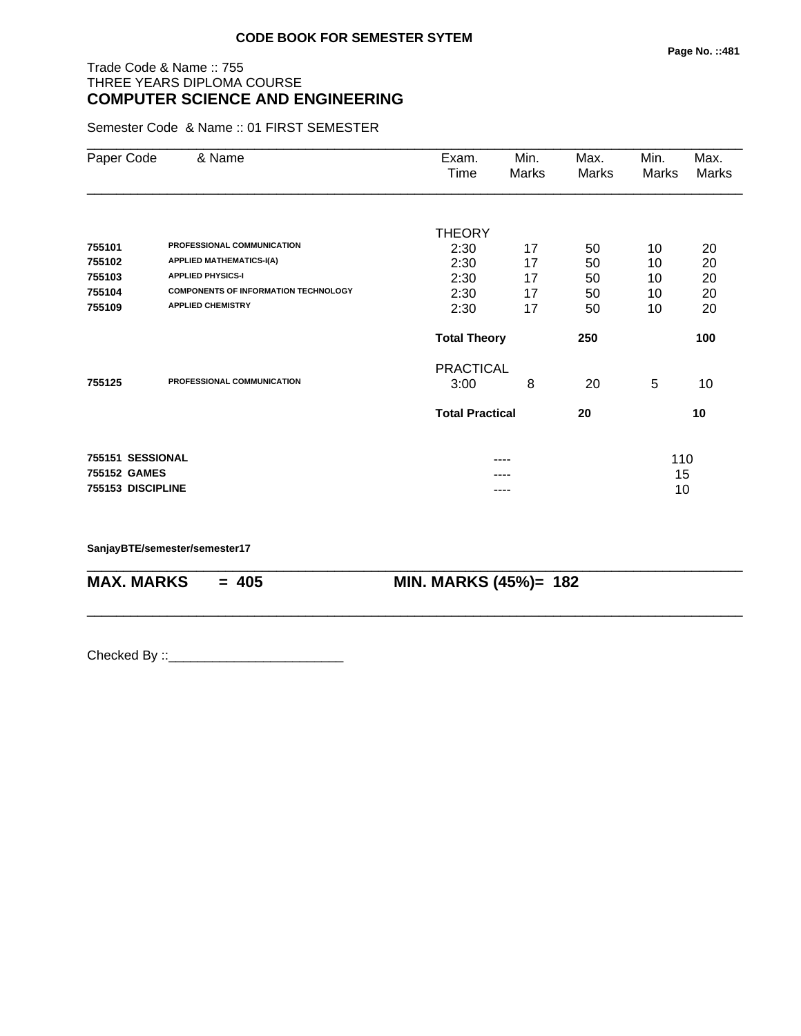# Trade Code & Name :: 755 THREE YEARS DIPLOMA COURSE **COMPUTER SCIENCE AND ENGINEERING**

Semester Code & Name :: 01 FIRST SEMESTER

| Paper Code        | & Name                                      | Exam.                  | Min.  | Max.  | Min.  | Max.  |
|-------------------|---------------------------------------------|------------------------|-------|-------|-------|-------|
|                   |                                             | Time                   | Marks | Marks | Marks | Marks |
|                   |                                             |                        |       |       |       |       |
|                   |                                             | <b>THEORY</b>          |       |       |       |       |
| 755101            | PROFESSIONAL COMMUNICATION                  | 2:30                   | 17    | 50    | 10    | 20    |
| 755102            | <b>APPLIED MATHEMATICS-I(A)</b>             | 2:30                   | 17    | 50    | 10    | 20    |
| 755103            | <b>APPLIED PHYSICS-I</b>                    | 2:30                   | 17    | 50    | 10    | 20    |
| 755104            | <b>COMPONENTS OF INFORMATION TECHNOLOGY</b> | 2:30                   | 17    | 50    | 10    | 20    |
| 755109            | <b>APPLIED CHEMISTRY</b>                    | 2:30                   | 17    | 50    | 10    | 20    |
|                   |                                             | <b>Total Theory</b>    |       | 250   |       | 100   |
|                   |                                             | <b>PRACTICAL</b>       |       |       |       |       |
| 755125            | PROFESSIONAL COMMUNICATION                  | 3:00                   | 8     | 20    | 5     | 10    |
|                   |                                             | <b>Total Practical</b> |       | 20    |       | 10    |
|                   |                                             |                        |       |       |       |       |
| 755151 SESSIONAL  |                                             |                        |       |       | 110   |       |
| 755152 GAMES      |                                             |                        |       |       | 15    |       |
| 755153 DISCIPLINE |                                             |                        | ----  |       | 10    |       |

\_\_\_\_\_\_\_\_\_\_\_\_\_\_\_\_\_\_\_\_\_\_\_\_\_\_\_\_\_\_\_\_\_\_\_\_\_\_\_\_\_\_\_\_\_\_\_\_\_\_\_\_\_\_\_\_\_\_\_\_\_\_\_\_\_\_\_\_\_\_\_\_\_\_\_\_\_\_\_\_\_\_\_\_\_\_\_\_\_\_

\_\_\_\_\_\_\_\_\_\_\_\_\_\_\_\_\_\_\_\_\_\_\_\_\_\_\_\_\_\_\_\_\_\_\_\_\_\_\_\_\_\_\_\_\_\_\_\_\_\_\_\_\_\_\_\_\_\_\_\_\_\_\_\_\_\_\_\_\_\_\_\_\_\_\_\_\_\_\_\_\_\_\_\_\_\_\_\_\_\_

**SanjayBTE/semester/semester17**

**MAX. MARKS = 405 MIN. MARKS (45%)= 182**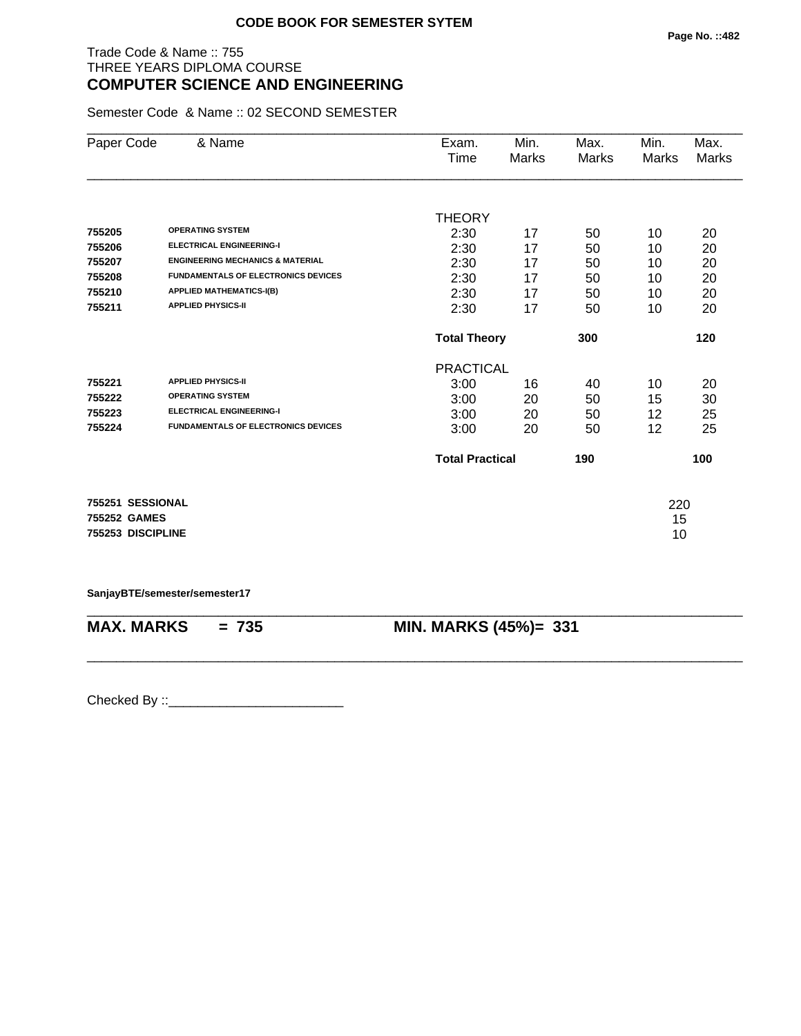# Trade Code & Name :: 755 THREE YEARS DIPLOMA COURSE **COMPUTER SCIENCE AND ENGINEERING**

Semester Code & Name :: 02 SECOND SEMESTER

| Paper Code        | & Name                                      | Exam.                  | Min.  | Max.         | Min.         | Max.         |
|-------------------|---------------------------------------------|------------------------|-------|--------------|--------------|--------------|
|                   |                                             | Time                   | Marks | <b>Marks</b> | <b>Marks</b> | <b>Marks</b> |
|                   |                                             |                        |       |              |              |              |
|                   |                                             | <b>THEORY</b>          |       |              |              |              |
| 755205            | <b>OPERATING SYSTEM</b>                     | 2:30                   | 17    | 50           | 10           | 20           |
| 755206            | <b>ELECTRICAL ENGINEERING-I</b>             | 2:30                   | 17    | 50           | 10           | 20           |
| 755207            | <b>ENGINEERING MECHANICS &amp; MATERIAL</b> | 2:30                   | 17    | 50           | 10           | 20           |
| 755208            | <b>FUNDAMENTALS OF ELECTRONICS DEVICES</b>  | 2:30                   | 17    | 50           | 10           | 20           |
| 755210            | <b>APPLIED MATHEMATICS-I(B)</b>             | 2:30                   | 17    | 50           | 10           | 20           |
| 755211            | <b>APPLIED PHYSICS-II</b>                   | 2:30                   | 17    | 50           | 10           | 20           |
|                   |                                             | <b>Total Theory</b>    |       | 300          |              | 120          |
|                   |                                             | <b>PRACTICAL</b>       |       |              |              |              |
| 755221            | <b>APPLIED PHYSICS-II</b>                   | 3:00                   | 16    | 40           | 10           | 20           |
| 755222            | <b>OPERATING SYSTEM</b>                     | 3:00                   | 20    | 50           | 15           | 30           |
| 755223            | <b>ELECTRICAL ENGINEERING-I</b>             | 3:00                   | 20    | 50           | 12           | 25           |
| 755224            | <b>FUNDAMENTALS OF ELECTRONICS DEVICES</b>  | 3:00                   | 20    | 50           | 12           | 25           |
|                   |                                             | <b>Total Practical</b> |       | 190          |              | 100          |
| 755251 SESSIONAL  |                                             |                        |       |              | 220          |              |
| 755252 GAMES      |                                             |                        |       |              | 15           |              |
| 755253 DISCIPLINE |                                             |                        |       |              | 10           |              |

**SanjayBTE/semester/semester17**

\_\_\_\_\_\_\_\_\_\_\_\_\_\_\_\_\_\_\_\_\_\_\_\_\_\_\_\_\_\_\_\_\_\_\_\_\_\_\_\_\_\_\_\_\_\_\_\_\_\_\_\_\_\_\_\_\_\_\_\_\_\_\_\_\_\_\_\_\_\_\_\_\_\_\_\_\_\_\_\_\_\_\_\_\_\_\_\_\_\_ **MAX. MARKS = 735 MIN. MARKS (45%)= 331**

\_\_\_\_\_\_\_\_\_\_\_\_\_\_\_\_\_\_\_\_\_\_\_\_\_\_\_\_\_\_\_\_\_\_\_\_\_\_\_\_\_\_\_\_\_\_\_\_\_\_\_\_\_\_\_\_\_\_\_\_\_\_\_\_\_\_\_\_\_\_\_\_\_\_\_\_\_\_\_\_\_\_\_\_\_\_\_\_\_\_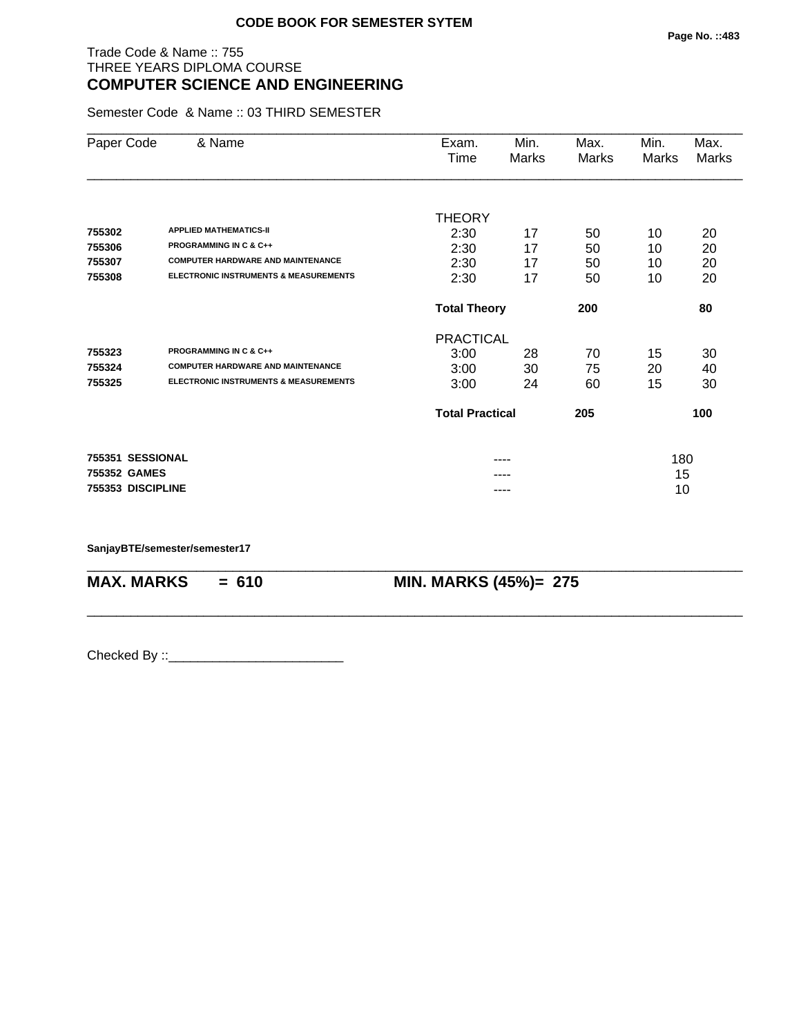# Trade Code & Name :: 755 THREE YEARS DIPLOMA COURSE **COMPUTER SCIENCE AND ENGINEERING**

Semester Code & Name :: 03 THIRD SEMESTER

| Paper Code        | & Name                                           | Exam.                  | Min.  | Max.  | Min.  | Max.  |
|-------------------|--------------------------------------------------|------------------------|-------|-------|-------|-------|
|                   |                                                  | Time                   | Marks | Marks | Marks | Marks |
|                   |                                                  |                        |       |       |       |       |
|                   |                                                  | <b>THEORY</b>          |       |       |       |       |
| 755302            | <b>APPLIED MATHEMATICS-II</b>                    | 2:30                   | 17    | 50    | 10    | 20    |
| 755306            | <b>PROGRAMMING IN C &amp; C++</b>                | 2:30                   | 17    | 50    | 10    | 20    |
| 755307            | <b>COMPUTER HARDWARE AND MAINTENANCE</b>         | 2:30                   | 17    | 50    | 10    | 20    |
| 755308            | <b>ELECTRONIC INSTRUMENTS &amp; MEASUREMENTS</b> | 2:30                   | 17    | 50    | 10    | 20    |
|                   |                                                  | <b>Total Theory</b>    |       | 200   |       | 80    |
|                   |                                                  | <b>PRACTICAL</b>       |       |       |       |       |
| 755323            | <b>PROGRAMMING IN C &amp; C++</b>                | 3:00                   | 28    | 70    | 15    | 30    |
| 755324            | <b>COMPUTER HARDWARE AND MAINTENANCE</b>         | 3:00                   | 30    | 75    | 20    | 40    |
| 755325            | <b>ELECTRONIC INSTRUMENTS &amp; MEASUREMENTS</b> | 3:00                   | 24    | 60    | 15    | 30    |
|                   |                                                  | <b>Total Practical</b> |       | 205   |       | 100   |
| 755351 SESSIONAL  |                                                  |                        |       |       | 180   |       |
| 755352 GAMES      |                                                  |                        |       |       | 15    |       |
| 755353 DISCIPLINE |                                                  |                        | ----  |       | 10    |       |

\_\_\_\_\_\_\_\_\_\_\_\_\_\_\_\_\_\_\_\_\_\_\_\_\_\_\_\_\_\_\_\_\_\_\_\_\_\_\_\_\_\_\_\_\_\_\_\_\_\_\_\_\_\_\_\_\_\_\_\_\_\_\_\_\_\_\_\_\_\_\_\_\_\_\_\_\_\_\_\_\_\_\_\_\_\_\_\_\_\_

\_\_\_\_\_\_\_\_\_\_\_\_\_\_\_\_\_\_\_\_\_\_\_\_\_\_\_\_\_\_\_\_\_\_\_\_\_\_\_\_\_\_\_\_\_\_\_\_\_\_\_\_\_\_\_\_\_\_\_\_\_\_\_\_\_\_\_\_\_\_\_\_\_\_\_\_\_\_\_\_\_\_\_\_\_\_\_\_\_\_

**SanjayBTE/semester/semester17**

**MAX. MARKS = 610 MIN. MARKS (45%)= 275**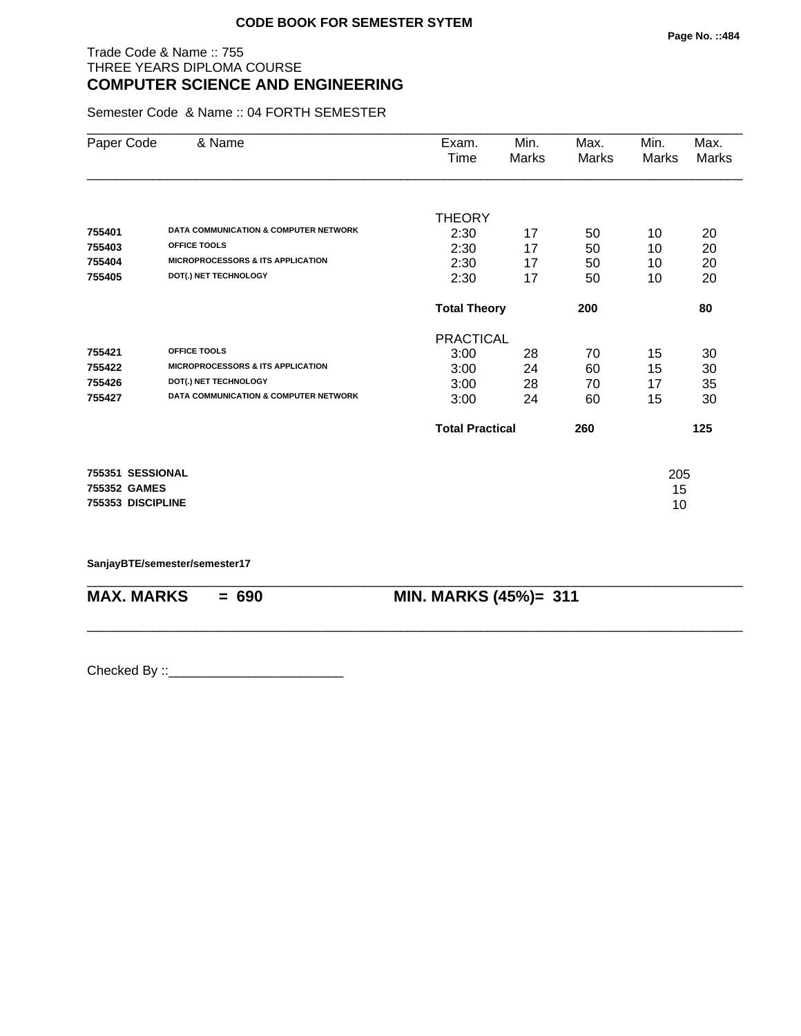# Trade Code & Name :: 755 THREE YEARS DIPLOMA COURSE **COMPUTER SCIENCE AND ENGINEERING**

Semester Code & Name :: 04 FORTH SEMESTER

| Paper Code        | & Name                                           | Exam.                  | Min.  | Max.         | Min.  | Max.  |
|-------------------|--------------------------------------------------|------------------------|-------|--------------|-------|-------|
|                   |                                                  | Time                   | Marks | <b>Marks</b> | Marks | Marks |
|                   |                                                  |                        |       |              |       |       |
|                   |                                                  | <b>THEORY</b>          |       |              |       |       |
| 755401            | DATA COMMUNICATION & COMPUTER NETWORK            | 2:30                   | 17    | 50           | 10    | 20    |
| 755403            | <b>OFFICE TOOLS</b>                              | 2:30                   | 17    | 50           | 10    | 20    |
| 755404            | <b>MICROPROCESSORS &amp; ITS APPLICATION</b>     | 2:30                   | 17    | 50           | 10    | 20    |
| 755405            | DOT(.) NET TECHNOLOGY                            | 2:30                   | 17    | 50           | 10    | 20    |
|                   |                                                  | <b>Total Theory</b>    |       | 200          |       | 80    |
|                   |                                                  | <b>PRACTICAL</b>       |       |              |       |       |
| 755421            | OFFICE TOOLS                                     | 3:00                   | 28    | 70           | 15    | 30    |
| 755422            | <b>MICROPROCESSORS &amp; ITS APPLICATION</b>     | 3:00                   | 24    | 60           | 15    | 30    |
| 755426            | DOT(.) NET TECHNOLOGY                            | 3:00                   | 28    | 70           | 17    | 35    |
| 755427            | <b>DATA COMMUNICATION &amp; COMPUTER NETWORK</b> | 3:00                   | 24    | 60           | 15    | 30    |
|                   |                                                  | <b>Total Practical</b> |       | 260          |       | 125   |
| 755351 SESSIONAL  |                                                  |                        |       |              | 205   |       |
| 755352 GAMES      |                                                  |                        |       |              | 15    |       |
| 755353 DISCIPLINE |                                                  |                        |       |              | 10    |       |
|                   |                                                  |                        |       |              |       |       |

\_\_\_\_\_\_\_\_\_\_\_\_\_\_\_\_\_\_\_\_\_\_\_\_\_\_\_\_\_\_\_\_\_\_\_\_\_\_\_\_\_\_\_\_\_\_\_\_\_\_\_\_\_\_\_\_\_\_\_\_\_\_\_\_\_\_\_\_\_\_\_\_\_\_\_\_\_\_\_\_\_\_\_\_\_\_\_\_\_\_

\_\_\_\_\_\_\_\_\_\_\_\_\_\_\_\_\_\_\_\_\_\_\_\_\_\_\_\_\_\_\_\_\_\_\_\_\_\_\_\_\_\_\_\_\_\_\_\_\_\_\_\_\_\_\_\_\_\_\_\_\_\_\_\_\_\_\_\_\_\_\_\_\_\_\_\_\_\_\_\_\_\_\_\_\_\_\_\_\_\_

**SanjayBTE/semester/semester17**

**MAX. MARKS = 690 MIN. MARKS (45%)= 311**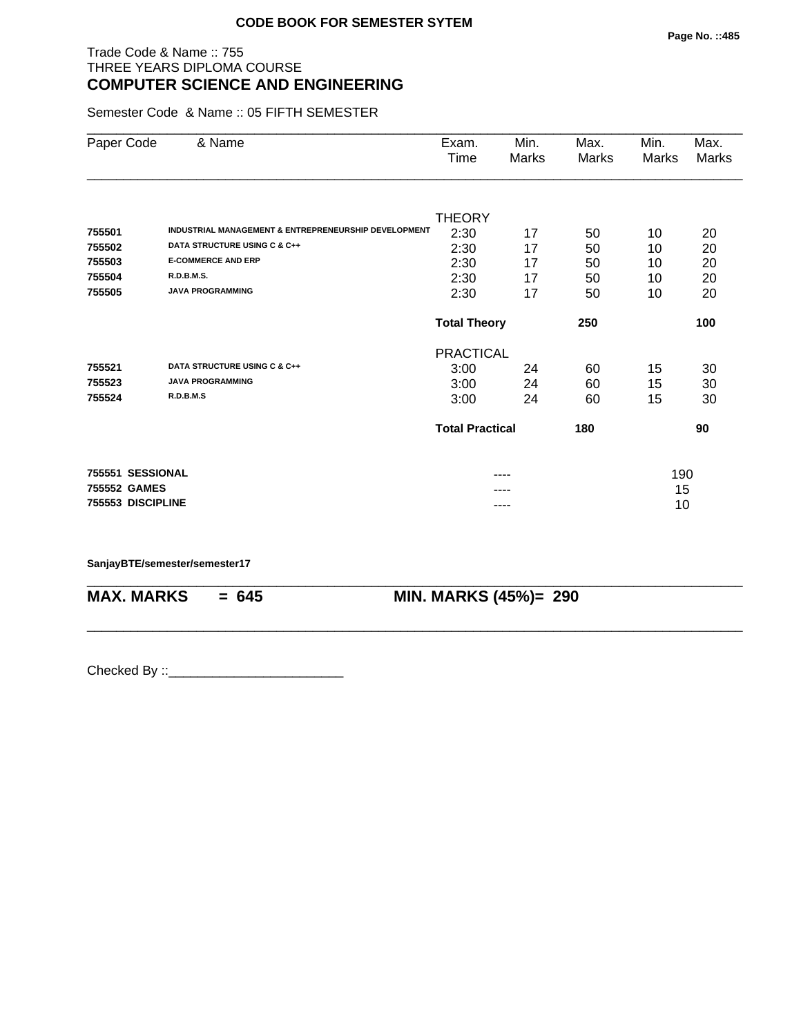# Trade Code & Name :: 755 THREE YEARS DIPLOMA COURSE **COMPUTER SCIENCE AND ENGINEERING**

Semester Code & Name :: 05 FIFTH SEMESTER

| Paper Code        | & Name                                                          | Exam.<br>Time          | Min.<br>Marks | Max.<br>Marks | Min.<br>Marks | Max.<br>Marks |
|-------------------|-----------------------------------------------------------------|------------------------|---------------|---------------|---------------|---------------|
|                   |                                                                 |                        |               |               |               |               |
|                   |                                                                 | <b>THEORY</b>          |               |               |               |               |
| 755501            | <b>INDUSTRIAL MANAGEMENT &amp; ENTREPRENEURSHIP DEVELOPMENT</b> | 2:30                   | 17            | 50            | 10            | 20            |
| 755502            | DATA STRUCTURE USING C & C++                                    | 2:30                   | 17            | 50            | 10            | 20            |
| 755503            | <b>E-COMMERCE AND ERP</b>                                       | 2:30                   | 17            | 50            | 10            | 20            |
| 755504            | R.D.B.M.S.                                                      | 2:30                   | 17            | 50            | 10            | 20            |
| 755505            | <b>JAVA PROGRAMMING</b>                                         | 2:30                   | 17            | 50            | 10            | 20            |
|                   |                                                                 | <b>Total Theory</b>    |               | 250           |               | 100           |
|                   |                                                                 | <b>PRACTICAL</b>       |               |               |               |               |
| 755521            | DATA STRUCTURE USING C & C++                                    | 3:00                   | 24            | 60            | 15            | 30            |
| 755523            | <b>JAVA PROGRAMMING</b>                                         | 3:00                   | 24            | 60            | 15            | 30            |
| 755524            | R.D.B.M.S                                                       | 3:00                   | 24            | 60            | 15            | 30            |
|                   |                                                                 | <b>Total Practical</b> |               | 180           |               | 90            |
| 755551 SESSIONAL  |                                                                 |                        |               |               | 190           |               |
| 755552 GAMES      |                                                                 |                        |               |               | 15            |               |
| 755553 DISCIPLINE |                                                                 |                        | ----          |               | 10            |               |

\_\_\_\_\_\_\_\_\_\_\_\_\_\_\_\_\_\_\_\_\_\_\_\_\_\_\_\_\_\_\_\_\_\_\_\_\_\_\_\_\_\_\_\_\_\_\_\_\_\_\_\_\_\_\_\_\_\_\_\_\_\_\_\_\_\_\_\_\_\_\_\_\_\_\_\_\_\_\_\_\_\_\_\_\_\_\_\_\_\_

\_\_\_\_\_\_\_\_\_\_\_\_\_\_\_\_\_\_\_\_\_\_\_\_\_\_\_\_\_\_\_\_\_\_\_\_\_\_\_\_\_\_\_\_\_\_\_\_\_\_\_\_\_\_\_\_\_\_\_\_\_\_\_\_\_\_\_\_\_\_\_\_\_\_\_\_\_\_\_\_\_\_\_\_\_\_\_\_\_\_

#### **SanjayBTE/semester/semester17**

**MAX. MARKS = 645 MIN. MARKS (45%)= 290**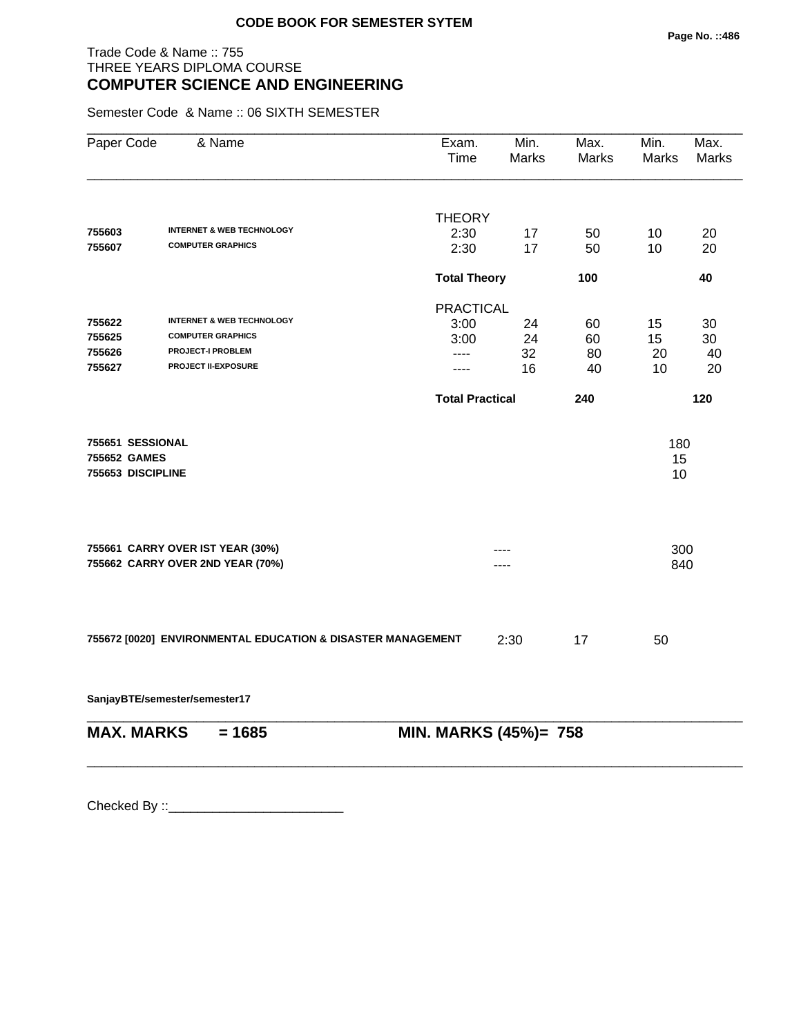# Trade Code & Name :: 755 THREE YEARS DIPLOMA COURSE **COMPUTER SCIENCE AND ENGINEERING**

Semester Code & Name :: 06 SIXTH SEMESTER

| Paper Code        | & Name                                                      | Exam.<br>Time          | Min.<br><b>Marks</b> | Max.<br>Marks | Min.<br>Marks | Max.<br><b>Marks</b> |
|-------------------|-------------------------------------------------------------|------------------------|----------------------|---------------|---------------|----------------------|
|                   |                                                             | <b>THEORY</b>          |                      |               |               |                      |
| 755603            | <b>INTERNET &amp; WEB TECHNOLOGY</b>                        | 2:30                   | 17                   | 50            | 10            | 20                   |
| 755607            | <b>COMPUTER GRAPHICS</b>                                    | 2:30                   | 17                   | 50            | 10            | 20                   |
|                   |                                                             | <b>Total Theory</b>    |                      | 100           |               | 40                   |
|                   |                                                             | <b>PRACTICAL</b>       |                      |               |               |                      |
| 755622            | <b>INTERNET &amp; WEB TECHNOLOGY</b>                        | 3:00                   | 24                   | 60            | 15            | 30                   |
| 755625            | <b>COMPUTER GRAPHICS</b>                                    | 3:00                   | 24                   | 60            | 15            | 30                   |
| 755626            | <b>PROJECT-I PROBLEM</b>                                    | ----                   | 32                   | 80            | 20            | 40                   |
| 755627            | PROJECT II-EXPOSURE                                         | ----                   | 16                   | 40            | 10            | 20                   |
|                   |                                                             | <b>Total Practical</b> |                      | 240           |               | 120                  |
| 755651 SESSIONAL  |                                                             |                        |                      |               | 180           |                      |
| 755652 GAMES      |                                                             |                        |                      |               | 15            |                      |
| 755653 DISCIPLINE |                                                             |                        |                      |               | 10            |                      |
|                   | 755661 CARRY OVER IST YEAR (30%)                            |                        |                      |               | 300           |                      |
|                   | 755662 CARRY OVER 2ND YEAR (70%)                            |                        |                      |               | 840           |                      |
|                   | 755672 [0020] ENVIRONMENTAL EDUCATION & DISASTER MANAGEMENT |                        | 2:30                 | 17            | 50            |                      |

**SanjayBTE/semester/semester17**

| <b>MAX. MARKS</b> | $= 1685$ | <b>MIN. MARKS (45%)= 758</b> |
|-------------------|----------|------------------------------|

\_\_\_\_\_\_\_\_\_\_\_\_\_\_\_\_\_\_\_\_\_\_\_\_\_\_\_\_\_\_\_\_\_\_\_\_\_\_\_\_\_\_\_\_\_\_\_\_\_\_\_\_\_\_\_\_\_\_\_\_\_\_\_\_\_\_\_\_\_\_\_\_\_\_\_\_\_\_\_\_\_\_\_\_\_\_\_\_\_\_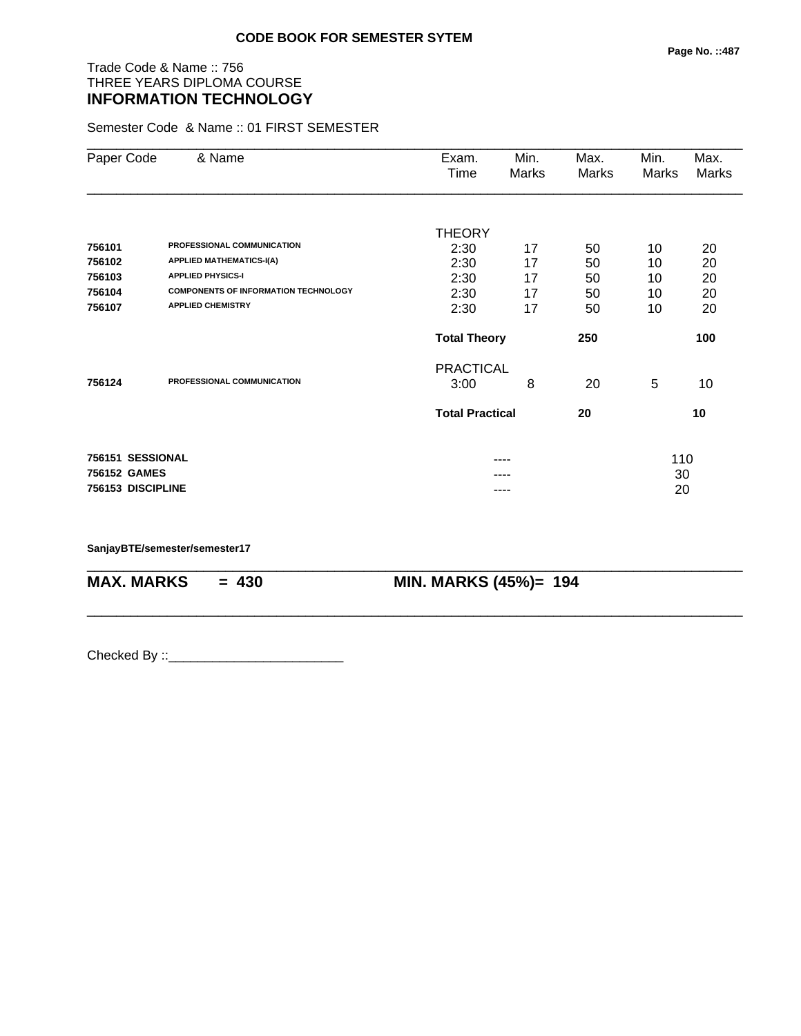# Trade Code & Name :: 756 THREE YEARS DIPLOMA COURSE **INFORMATION TECHNOLOGY**

Semester Code & Name :: 01 FIRST SEMESTER

| Paper Code        | & Name                                      | Exam.                  | Min.  | Max.  | Min.  | Max.  |
|-------------------|---------------------------------------------|------------------------|-------|-------|-------|-------|
|                   |                                             | Time                   | Marks | Marks | Marks | Marks |
|                   |                                             |                        |       |       |       |       |
|                   |                                             | <b>THEORY</b>          |       |       |       |       |
| 756101            | PROFESSIONAL COMMUNICATION                  | 2:30                   | 17    | 50    | 10    | 20    |
| 756102            | <b>APPLIED MATHEMATICS-I(A)</b>             | 2:30                   | 17    | 50    | 10    | 20    |
| 756103            | <b>APPLIED PHYSICS-I</b>                    | 2:30                   | 17    | 50    | 10    | 20    |
| 756104            | <b>COMPONENTS OF INFORMATION TECHNOLOGY</b> | 2:30                   | 17    | 50    | 10    | 20    |
| 756107            | <b>APPLIED CHEMISTRY</b>                    | 2:30                   | 17    | 50    | 10    | 20    |
|                   |                                             | <b>Total Theory</b>    |       | 250   |       | 100   |
|                   |                                             | <b>PRACTICAL</b>       |       |       |       |       |
| 756124            | PROFESSIONAL COMMUNICATION                  | 3:00                   | 8     | 20    | 5     | 10    |
|                   |                                             | <b>Total Practical</b> |       | 20    |       | 10    |
|                   |                                             |                        |       |       |       |       |
| 756151 SESSIONAL  |                                             |                        |       |       | 110   |       |
| 756152 GAMES      |                                             |                        |       |       | 30    |       |
| 756153 DISCIPLINE |                                             |                        | ----  |       | 20    |       |

\_\_\_\_\_\_\_\_\_\_\_\_\_\_\_\_\_\_\_\_\_\_\_\_\_\_\_\_\_\_\_\_\_\_\_\_\_\_\_\_\_\_\_\_\_\_\_\_\_\_\_\_\_\_\_\_\_\_\_\_\_\_\_\_\_\_\_\_\_\_\_\_\_\_\_\_\_\_\_\_\_\_\_\_\_\_\_\_\_\_

\_\_\_\_\_\_\_\_\_\_\_\_\_\_\_\_\_\_\_\_\_\_\_\_\_\_\_\_\_\_\_\_\_\_\_\_\_\_\_\_\_\_\_\_\_\_\_\_\_\_\_\_\_\_\_\_\_\_\_\_\_\_\_\_\_\_\_\_\_\_\_\_\_\_\_\_\_\_\_\_\_\_\_\_\_\_\_\_\_\_

**SanjayBTE/semester/semester17**

**MAX. MARKS = 430 MIN. MARKS (45%)= 194**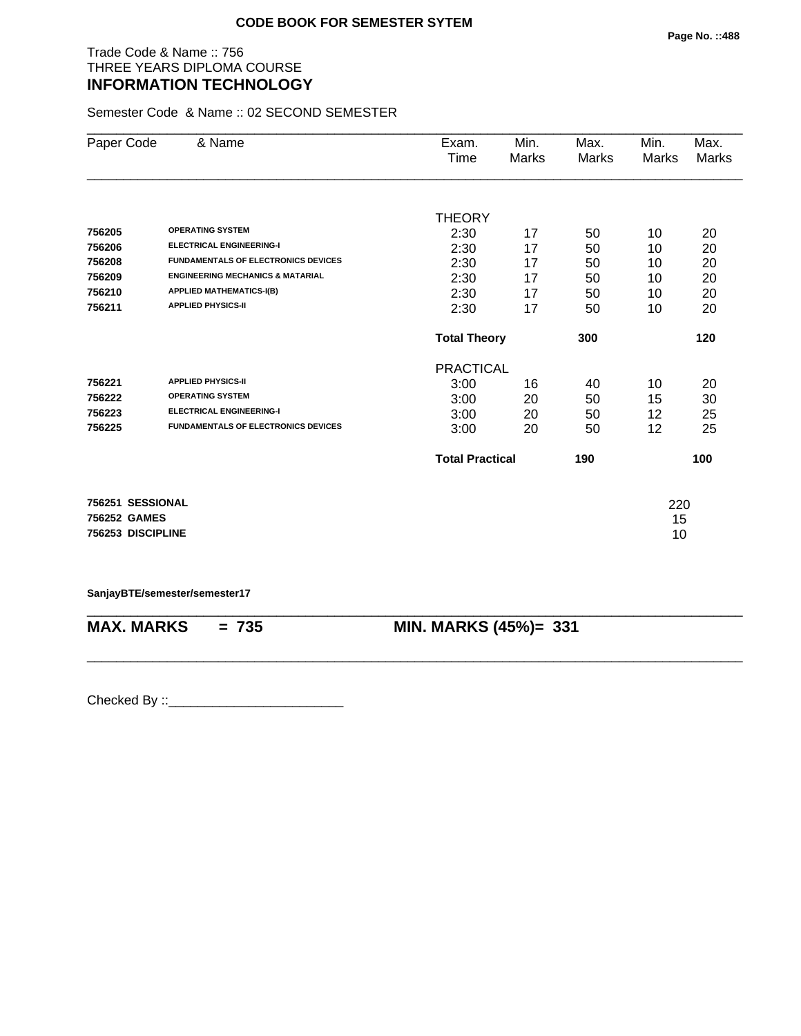# Trade Code & Name :: 756 THREE YEARS DIPLOMA COURSE **INFORMATION TECHNOLOGY**

Semester Code & Name :: 02 SECOND SEMESTER

| Paper Code        | & Name                                      | Exam.<br>Time          | Min.<br>Marks | Max.<br><b>Marks</b> | Min.<br><b>Marks</b> | Max.<br>Marks |
|-------------------|---------------------------------------------|------------------------|---------------|----------------------|----------------------|---------------|
|                   |                                             |                        |               |                      |                      |               |
|                   |                                             | <b>THEORY</b>          |               |                      |                      |               |
| 756205            | <b>OPERATING SYSTEM</b>                     | 2:30                   | 17            | 50                   | 10                   | 20            |
| 756206            | <b>ELECTRICAL ENGINEERING-I</b>             | 2:30                   | 17            | 50                   | 10                   | 20            |
| 756208            | <b>FUNDAMENTALS OF ELECTRONICS DEVICES</b>  | 2:30                   | 17            | 50                   | 10                   | 20            |
| 756209            | <b>ENGINEERING MECHANICS &amp; MATARIAL</b> | 2:30                   | 17            | 50                   | 10                   | 20            |
| 756210            | <b>APPLIED MATHEMATICS-I(B)</b>             | 2:30                   | 17            | 50                   | 10                   | 20            |
| 756211            | <b>APPLIED PHYSICS-II</b>                   | 2:30                   | 17            | 50                   | 10                   | 20            |
|                   |                                             | <b>Total Theory</b>    |               | 300                  |                      | 120           |
|                   |                                             | <b>PRACTICAL</b>       |               |                      |                      |               |
| 756221            | <b>APPLIED PHYSICS-II</b>                   | 3:00                   | 16            | 40                   | 10                   | 20            |
| 756222            | <b>OPERATING SYSTEM</b>                     | 3:00                   | 20            | 50                   | 15                   | 30            |
| 756223            | <b>ELECTRICAL ENGINEERING-I</b>             | 3:00                   | 20            | 50                   | 12                   | 25            |
| 756225            | <b>FUNDAMENTALS OF ELECTRONICS DEVICES</b>  | 3:00                   | 20            | 50                   | 12                   | 25            |
|                   |                                             | <b>Total Practical</b> |               | 190                  |                      | 100           |
| 756251 SESSIONAL  |                                             |                        |               |                      | 220                  |               |
| 756252 GAMES      |                                             |                        |               |                      | 15                   |               |
| 756253 DISCIPLINE |                                             |                        |               |                      | 10                   |               |

**SanjayBTE/semester/semester17**

\_\_\_\_\_\_\_\_\_\_\_\_\_\_\_\_\_\_\_\_\_\_\_\_\_\_\_\_\_\_\_\_\_\_\_\_\_\_\_\_\_\_\_\_\_\_\_\_\_\_\_\_\_\_\_\_\_\_\_\_\_\_\_\_\_\_\_\_\_\_\_\_\_\_\_\_\_\_\_\_\_\_\_\_\_\_\_\_\_\_ **MAX. MARKS = 735 MIN. MARKS (45%)= 331**

\_\_\_\_\_\_\_\_\_\_\_\_\_\_\_\_\_\_\_\_\_\_\_\_\_\_\_\_\_\_\_\_\_\_\_\_\_\_\_\_\_\_\_\_\_\_\_\_\_\_\_\_\_\_\_\_\_\_\_\_\_\_\_\_\_\_\_\_\_\_\_\_\_\_\_\_\_\_\_\_\_\_\_\_\_\_\_\_\_\_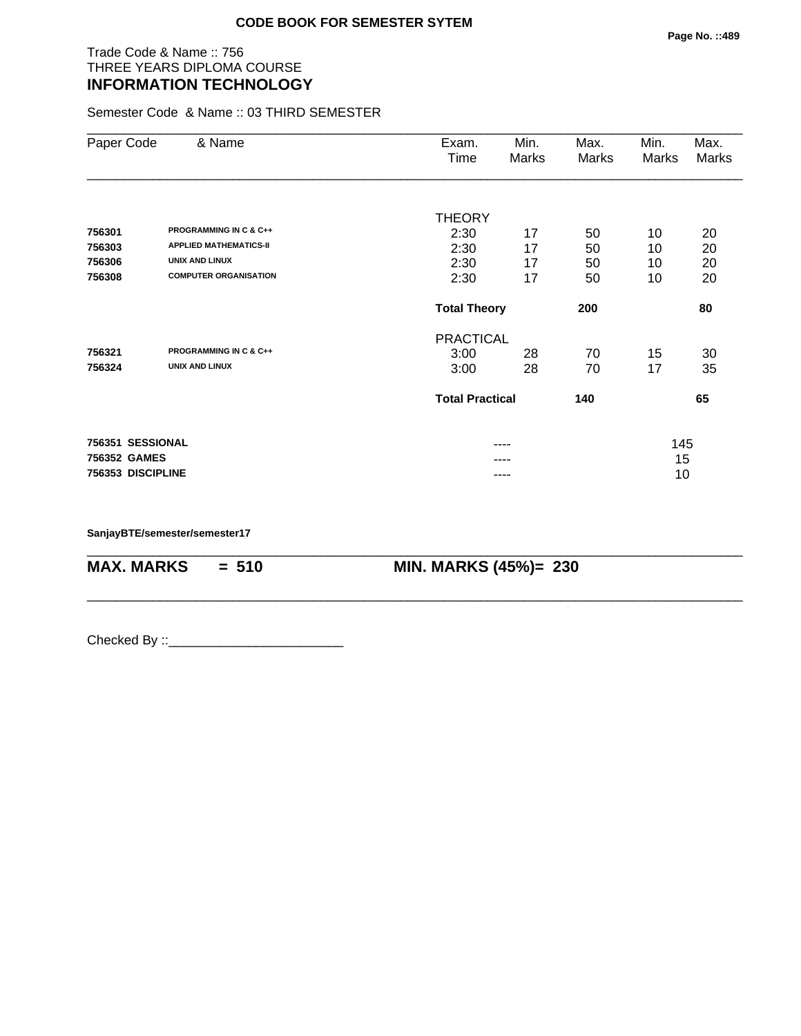# Trade Code & Name :: 756 THREE YEARS DIPLOMA COURSE **INFORMATION TECHNOLOGY**

Semester Code & Name :: 03 THIRD SEMESTER

| Paper Code        | & Name                            | Exam.<br>Time          | Min.<br>Marks | Max.<br>Marks | Min.<br>Marks | Max.<br>Marks |
|-------------------|-----------------------------------|------------------------|---------------|---------------|---------------|---------------|
|                   |                                   |                        |               |               |               |               |
| 756301            | <b>PROGRAMMING IN C &amp; C++</b> | <b>THEORY</b><br>2:30  | 17            |               |               | 20            |
| 756303            | <b>APPLIED MATHEMATICS-II</b>     | 2:30                   | 17            | 50<br>50      | 10<br>10      | 20            |
| 756306            | <b>UNIX AND LINUX</b>             | 2:30                   | 17            | 50            | 10            | 20            |
| 756308            | <b>COMPUTER ORGANISATION</b>      | 2:30                   | 17            | 50            | 10            | 20            |
|                   |                                   | <b>Total Theory</b>    |               | 200           |               | 80            |
|                   |                                   | <b>PRACTICAL</b>       |               |               |               |               |
| 756321            | <b>PROGRAMMING IN C &amp; C++</b> | 3:00                   | 28            | 70            | 15            | 30            |
| 756324            | <b>UNIX AND LINUX</b>             | 3:00                   | 28            | 70            | 17            | 35            |
|                   |                                   | <b>Total Practical</b> |               | 140           |               | 65            |
| 756351 SESSIONAL  |                                   |                        | ----          |               | 145           |               |
| 756352 GAMES      |                                   |                        |               |               | 15            |               |
| 756353 DISCIPLINE |                                   |                        | ----          |               | 10            |               |

\_\_\_\_\_\_\_\_\_\_\_\_\_\_\_\_\_\_\_\_\_\_\_\_\_\_\_\_\_\_\_\_\_\_\_\_\_\_\_\_\_\_\_\_\_\_\_\_\_\_\_\_\_\_\_\_\_\_\_\_\_\_\_\_\_\_\_\_\_\_\_\_\_\_\_\_\_\_\_\_\_\_\_\_\_\_\_\_\_\_

\_\_\_\_\_\_\_\_\_\_\_\_\_\_\_\_\_\_\_\_\_\_\_\_\_\_\_\_\_\_\_\_\_\_\_\_\_\_\_\_\_\_\_\_\_\_\_\_\_\_\_\_\_\_\_\_\_\_\_\_\_\_\_\_\_\_\_\_\_\_\_\_\_\_\_\_\_\_\_\_\_\_\_\_\_\_\_\_\_\_

**SanjayBTE/semester/semester17**

**MAX. MARKS = 510 MIN. MARKS (45%)= 230**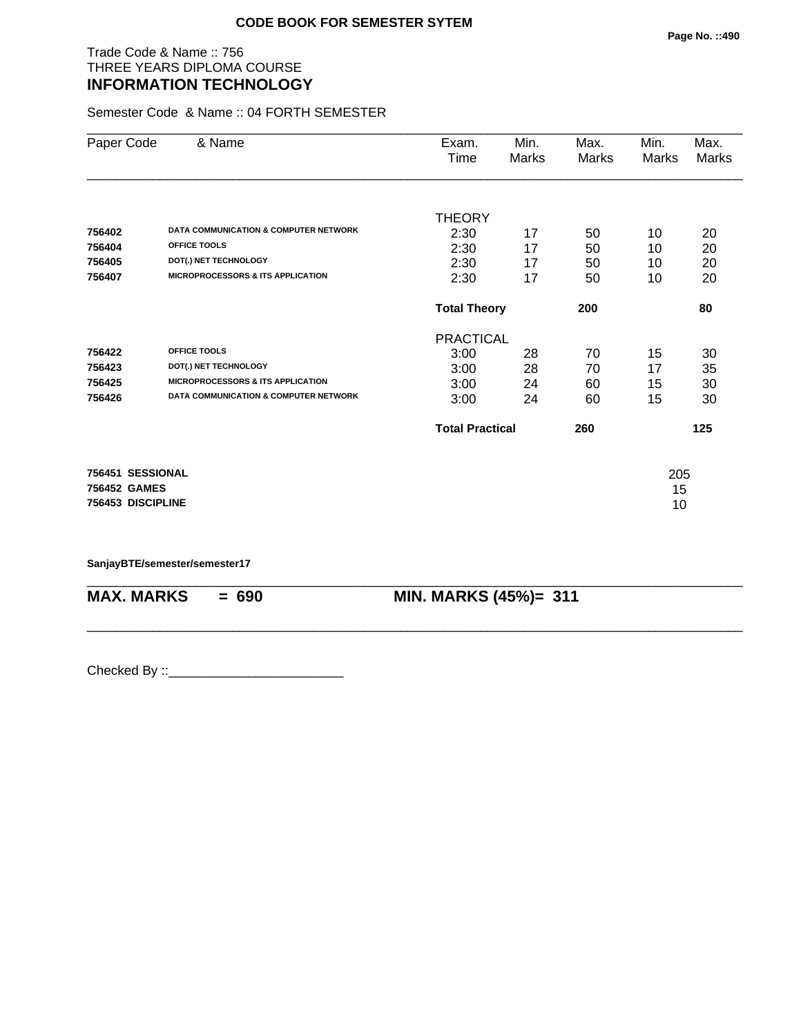# Trade Code & Name :: 756 THREE YEARS DIPLOMA COURSE **INFORMATION TECHNOLOGY**

Semester Code & Name :: 04 FORTH SEMESTER

| Paper Code        | & Name                                           | Exam.                  | Min.  | Max.         | Min.  | Max.  |
|-------------------|--------------------------------------------------|------------------------|-------|--------------|-------|-------|
|                   |                                                  | Time                   | Marks | <b>Marks</b> | Marks | Marks |
|                   |                                                  |                        |       |              |       |       |
|                   |                                                  | <b>THEORY</b>          |       |              |       |       |
| 756402            | <b>DATA COMMUNICATION &amp; COMPUTER NETWORK</b> | 2:30                   | 17    | 50           | 10    | 20    |
| 756404            | <b>OFFICE TOOLS</b>                              | 2:30                   | 17    | 50           | 10    | 20    |
| 756405            | DOT(.) NET TECHNOLOGY                            | 2:30                   | 17    | 50           | 10    | 20    |
| 756407            | <b>MICROPROCESSORS &amp; ITS APPLICATION</b>     | 2:30                   | 17    | 50           | 10    | 20    |
|                   |                                                  | <b>Total Theory</b>    |       | 200          |       | 80    |
|                   |                                                  | <b>PRACTICAL</b>       |       |              |       |       |
| 756422            | OFFICE TOOLS                                     | 3:00                   | 28    | 70           | 15    | 30    |
| 756423            | DOT(.) NET TECHNOLOGY                            | 3:00                   | 28    | 70           | 17    | 35    |
| 756425            | <b>MICROPROCESSORS &amp; ITS APPLICATION</b>     | 3:00                   | 24    | 60           | 15    | 30    |
| 756426            | <b>DATA COMMUNICATION &amp; COMPUTER NETWORK</b> | 3:00                   | 24    | 60           | 15    | 30    |
|                   |                                                  | <b>Total Practical</b> |       | 260          |       | 125   |
| 756451 SESSIONAL  |                                                  |                        |       |              | 205   |       |
| 756452 GAMES      |                                                  |                        |       |              | 15    |       |
| 756453 DISCIPLINE |                                                  |                        |       |              | 10    |       |

\_\_\_\_\_\_\_\_\_\_\_\_\_\_\_\_\_\_\_\_\_\_\_\_\_\_\_\_\_\_\_\_\_\_\_\_\_\_\_\_\_\_\_\_\_\_\_\_\_\_\_\_\_\_\_\_\_\_\_\_\_\_\_\_\_\_\_\_\_\_\_\_\_\_\_\_\_\_\_\_\_\_\_\_\_\_\_\_\_\_

\_\_\_\_\_\_\_\_\_\_\_\_\_\_\_\_\_\_\_\_\_\_\_\_\_\_\_\_\_\_\_\_\_\_\_\_\_\_\_\_\_\_\_\_\_\_\_\_\_\_\_\_\_\_\_\_\_\_\_\_\_\_\_\_\_\_\_\_\_\_\_\_\_\_\_\_\_\_\_\_\_\_\_\_\_\_\_\_\_\_

#### **SanjayBTE/semester/semester17**

**MAX. MARKS = 690 MIN. MARKS (45%)= 311**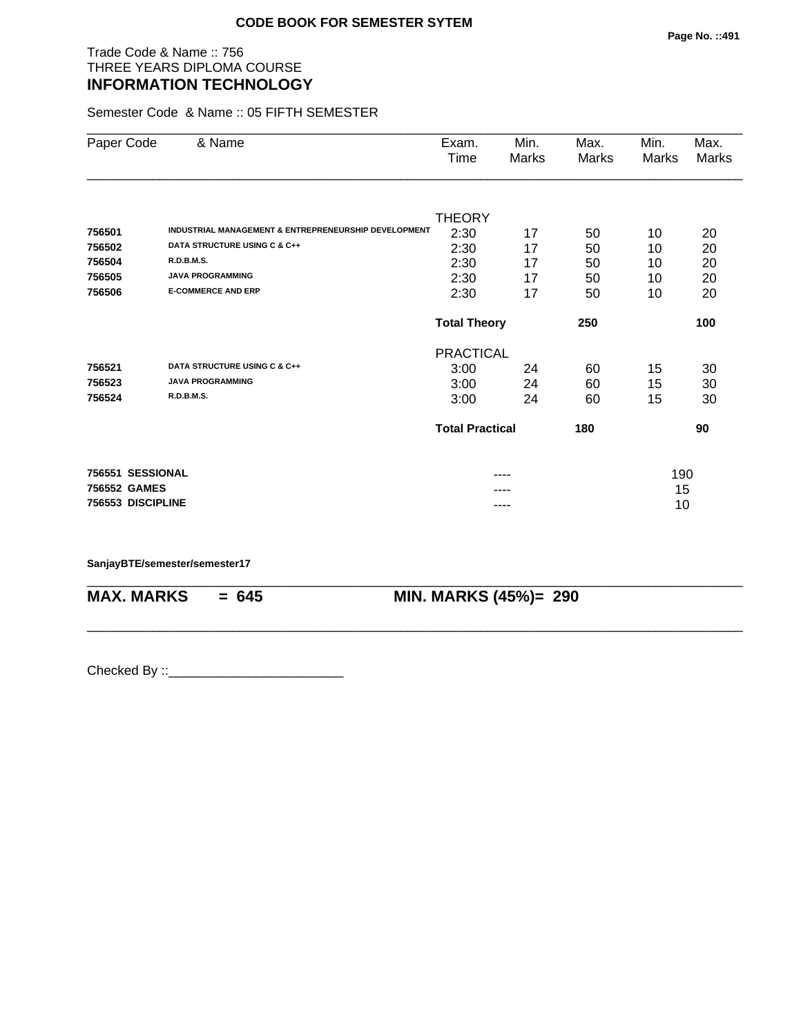# Trade Code & Name :: 756 THREE YEARS DIPLOMA COURSE **INFORMATION TECHNOLOGY**

Semester Code & Name :: 05 FIFTH SEMESTER

| Paper Code        | & Name                                                          | Exam.<br>Time                 | Min.<br>Marks | Max.<br>Marks | Min.<br>Marks | Max.<br>Marks |  |
|-------------------|-----------------------------------------------------------------|-------------------------------|---------------|---------------|---------------|---------------|--|
|                   |                                                                 |                               |               |               |               |               |  |
|                   |                                                                 | <b>THEORY</b>                 |               |               |               |               |  |
| 756501            | <b>INDUSTRIAL MANAGEMENT &amp; ENTREPRENEURSHIP DEVELOPMENT</b> | 2:30                          | 17            | 50            | 10            | 20            |  |
| 756502            | DATA STRUCTURE USING C & C++                                    | 2:30                          | 17            | 50            | 10            | 20            |  |
| 756504            | <b>R.D.B.M.S.</b>                                               | 2:30                          | 17            | 50            | 10            | 20            |  |
| 756505            | <b>JAVA PROGRAMMING</b>                                         | 2:30                          | 17            | 50            | 10            | 20            |  |
| 756506            | <b>E-COMMERCE AND ERP</b>                                       | 2:30                          | 17            | 50            | 10            | 20            |  |
|                   |                                                                 | <b>Total Theory</b><br>250    |               |               |               | 100           |  |
|                   |                                                                 | <b>PRACTICAL</b>              |               |               |               |               |  |
| 756521            | DATA STRUCTURE USING C & C++                                    | 3:00                          | 24            | 60            | 15            | 30            |  |
| 756523            | <b>JAVA PROGRAMMING</b>                                         | 3:00                          | 24            | 60            | 15            | 30            |  |
| 756524            | <b>R.D.B.M.S.</b>                                               | 3:00                          | 24            | 60            | 15            | 30            |  |
|                   |                                                                 | <b>Total Practical</b><br>180 |               |               |               | 90            |  |
| 756551 SESSIONAL  |                                                                 |                               |               |               | 190           |               |  |
| 756552 GAMES      |                                                                 |                               |               |               | 15            |               |  |
| 756553 DISCIPLINE |                                                                 | ----                          |               |               | 10            |               |  |

\_\_\_\_\_\_\_\_\_\_\_\_\_\_\_\_\_\_\_\_\_\_\_\_\_\_\_\_\_\_\_\_\_\_\_\_\_\_\_\_\_\_\_\_\_\_\_\_\_\_\_\_\_\_\_\_\_\_\_\_\_\_\_\_\_\_\_\_\_\_\_\_\_\_\_\_\_\_\_\_\_\_\_\_\_\_\_\_\_\_

\_\_\_\_\_\_\_\_\_\_\_\_\_\_\_\_\_\_\_\_\_\_\_\_\_\_\_\_\_\_\_\_\_\_\_\_\_\_\_\_\_\_\_\_\_\_\_\_\_\_\_\_\_\_\_\_\_\_\_\_\_\_\_\_\_\_\_\_\_\_\_\_\_\_\_\_\_\_\_\_\_\_\_\_\_\_\_\_\_\_

#### **SanjayBTE/semester/semester17**

**MAX. MARKS = 645 MIN. MARKS (45%)= 290**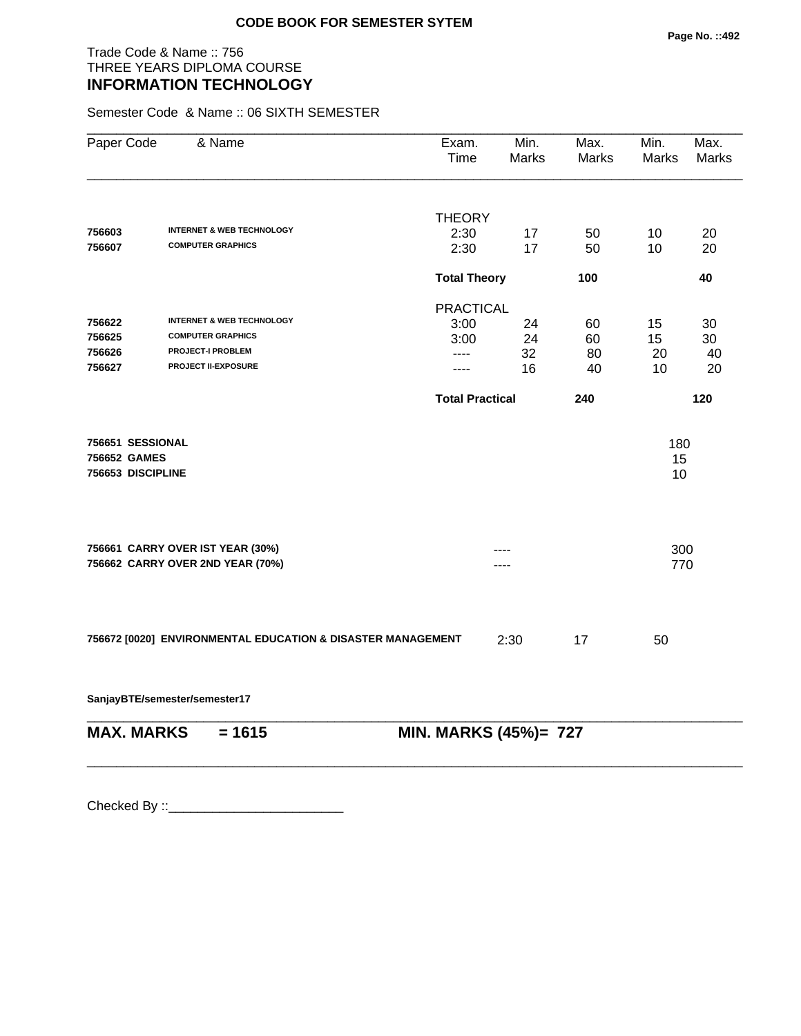# Trade Code & Name :: 756 THREE YEARS DIPLOMA COURSE **INFORMATION TECHNOLOGY**

Semester Code & Name :: 06 SIXTH SEMESTER

| Paper Code        | & Name                                                               | Exam.<br>Time          | Min.<br><b>Marks</b> | Max.<br>Marks | Min.<br>Marks | Max.<br><b>Marks</b> |
|-------------------|----------------------------------------------------------------------|------------------------|----------------------|---------------|---------------|----------------------|
|                   |                                                                      | <b>THEORY</b>          |                      |               |               |                      |
| 756603            | <b>INTERNET &amp; WEB TECHNOLOGY</b>                                 | 2:30                   | 17                   | 50            | 10            | 20                   |
| 756607            | <b>COMPUTER GRAPHICS</b>                                             | 2:30                   | 17                   | 50            | 10            | 20                   |
|                   |                                                                      | <b>Total Theory</b>    |                      | 100           |               | 40                   |
|                   |                                                                      | <b>PRACTICAL</b>       |                      |               |               |                      |
| 756622            | <b>INTERNET &amp; WEB TECHNOLOGY</b>                                 | 3:00                   | 24                   | 60            | 15            | 30                   |
| 756625            | <b>COMPUTER GRAPHICS</b>                                             | 3:00                   | 24                   | 60            | 15            | 30                   |
| 756626            | <b>PROJECT-I PROBLEM</b>                                             | ----                   | 32                   | 80            | 20            | 40                   |
| 756627            | <b>PROJECT II-EXPOSURE</b>                                           | ----                   | 16                   | 40            | 10            | 20                   |
|                   |                                                                      | <b>Total Practical</b> |                      | 240           |               | 120                  |
| 756651 SESSIONAL  |                                                                      |                        |                      |               | 180           |                      |
| 756652 GAMES      |                                                                      |                        |                      |               | 15            |                      |
| 756653 DISCIPLINE |                                                                      |                        |                      |               | 10            |                      |
|                   |                                                                      |                        |                      |               |               |                      |
|                   | 756661 CARRY OVER IST YEAR (30%)<br>756662 CARRY OVER 2ND YEAR (70%) |                        |                      |               | 300           |                      |
|                   |                                                                      |                        |                      |               | 770           |                      |
|                   |                                                                      |                        |                      |               |               |                      |
|                   | 756672 [0020] ENVIRONMENTAL EDUCATION & DISASTER MANAGEMENT          |                        | 2:30                 | 17            | 50            |                      |
|                   |                                                                      |                        |                      |               |               |                      |

**SanjayBTE/semester/semester17**

\_\_\_\_\_\_\_\_\_\_\_\_\_\_\_\_\_\_\_\_\_\_\_\_\_\_\_\_\_\_\_\_\_\_\_\_\_\_\_\_\_\_\_\_\_\_\_\_\_\_\_\_\_\_\_\_\_\_\_\_\_\_\_\_\_\_\_\_\_\_\_\_\_\_\_\_\_\_\_\_\_\_\_\_\_\_\_\_\_\_ **MAX. MARKS** = 1615 **MIN. MARKS (45%)**= 727

\_\_\_\_\_\_\_\_\_\_\_\_\_\_\_\_\_\_\_\_\_\_\_\_\_\_\_\_\_\_\_\_\_\_\_\_\_\_\_\_\_\_\_\_\_\_\_\_\_\_\_\_\_\_\_\_\_\_\_\_\_\_\_\_\_\_\_\_\_\_\_\_\_\_\_\_\_\_\_\_\_\_\_\_\_\_\_\_\_\_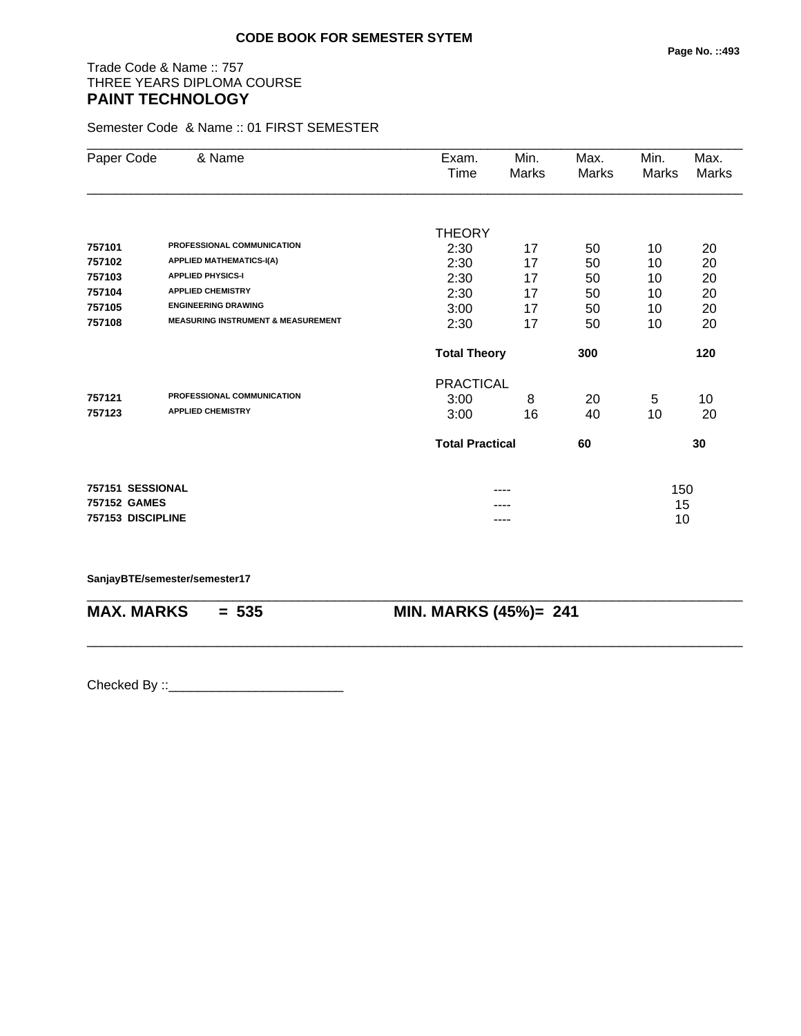# Trade Code & Name :: 757 THREE YEARS DIPLOMA COURSE **PAINT TECHNOLOGY**

Semester Code & Name :: 01 FIRST SEMESTER

| Paper Code        | & Name                                        | Exam.                  | Min.         | Max.  | Min.  | Max.  |
|-------------------|-----------------------------------------------|------------------------|--------------|-------|-------|-------|
|                   |                                               | Time                   | <b>Marks</b> | Marks | Marks | Marks |
|                   |                                               |                        |              |       |       |       |
|                   |                                               | <b>THEORY</b>          |              |       |       |       |
| 757101            | PROFESSIONAL COMMUNICATION                    | 2:30                   | 17           | 50    | 10    | 20    |
| 757102            | <b>APPLIED MATHEMATICS-I(A)</b>               | 2:30                   | 17           | 50    | 10    | 20    |
| 757103            | <b>APPLIED PHYSICS-I</b>                      | 2:30                   | 17           | 50    | 10    | 20    |
| 757104            | <b>APPLIED CHEMISTRY</b>                      | 2:30                   | 17           | 50    | 10    | 20    |
| 757105            | <b>ENGINEERING DRAWING</b>                    | 3:00                   | 17           | 50    | 10    | 20    |
| 757108            | <b>MEASURING INSTRUMENT &amp; MEASUREMENT</b> | 2:30                   | 17           | 50    | 10    | 20    |
|                   |                                               | <b>Total Theory</b>    |              | 300   |       | 120   |
|                   |                                               | <b>PRACTICAL</b>       |              |       |       |       |
| 757121            | PROFESSIONAL COMMUNICATION                    | 3:00                   | 8            | 20    | 5     | 10    |
| 757123            | <b>APPLIED CHEMISTRY</b>                      | 3:00                   | 16           | 40    | 10    | 20    |
|                   |                                               | <b>Total Practical</b> |              | 60    |       | 30    |
| 757151 SESSIONAL  |                                               |                        |              |       | 150   |       |
| 757152 GAMES      |                                               |                        |              |       | 15    |       |
| 757153 DISCIPLINE |                                               |                        | ----         |       | 10    |       |
|                   |                                               |                        |              |       |       |       |

\_\_\_\_\_\_\_\_\_\_\_\_\_\_\_\_\_\_\_\_\_\_\_\_\_\_\_\_\_\_\_\_\_\_\_\_\_\_\_\_\_\_\_\_\_\_\_\_\_\_\_\_\_\_\_\_\_\_\_\_\_\_\_\_\_\_\_\_\_\_\_\_\_\_\_\_\_\_\_\_\_\_\_\_\_\_\_\_\_\_

\_\_\_\_\_\_\_\_\_\_\_\_\_\_\_\_\_\_\_\_\_\_\_\_\_\_\_\_\_\_\_\_\_\_\_\_\_\_\_\_\_\_\_\_\_\_\_\_\_\_\_\_\_\_\_\_\_\_\_\_\_\_\_\_\_\_\_\_\_\_\_\_\_\_\_\_\_\_\_\_\_\_\_\_\_\_\_\_\_\_

#### **SanjayBTE/semester/semester17**

**MAX. MARKS = 535 MIN. MARKS (45%)= 241**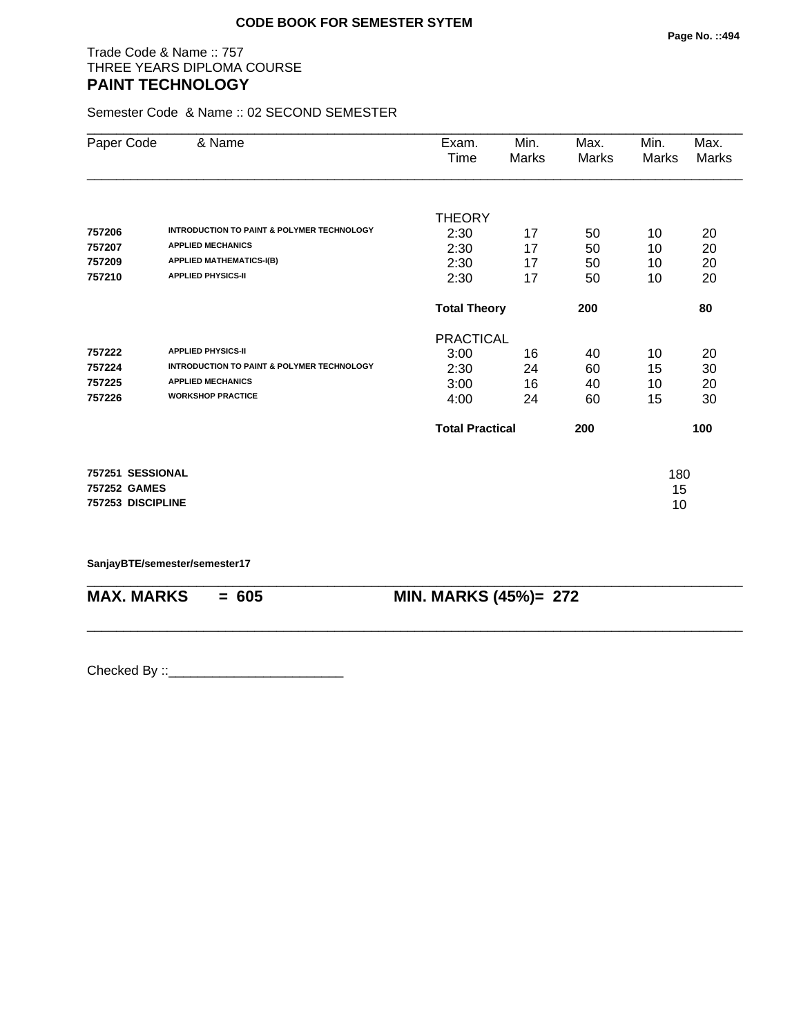# Trade Code & Name :: 757 THREE YEARS DIPLOMA COURSE **PAINT TECHNOLOGY**

Semester Code & Name :: 02 SECOND SEMESTER

| Paper Code        | & Name                                                | Exam.                      | Min.  | Max.  | Min.  | Max.         |
|-------------------|-------------------------------------------------------|----------------------------|-------|-------|-------|--------------|
|                   |                                                       | Time                       | Marks | Marks | Marks | <b>Marks</b> |
|                   |                                                       |                            |       |       |       |              |
|                   |                                                       | <b>THEORY</b>              |       |       |       |              |
| 757206            | <b>INTRODUCTION TO PAINT &amp; POLYMER TECHNOLOGY</b> | 2:30                       | 17    | 50    | 10    | 20           |
| 757207            | <b>APPLIED MECHANICS</b>                              | 2:30                       | 17    | 50    | 10    | 20           |
| 757209            | <b>APPLIED MATHEMATICS-I(B)</b>                       | 2:30                       | 17    | 50    | 10    | 20           |
| 757210            | <b>APPLIED PHYSICS-II</b>                             | 2:30                       | 17    | 50    | 10    | 20           |
|                   |                                                       | <b>Total Theory</b><br>200 |       |       |       | 80           |
|                   |                                                       | <b>PRACTICAL</b>           |       |       |       |              |
| 757222            | <b>APPLIED PHYSICS-II</b>                             | 3:00                       | 16    | 40    | 10    | 20           |
| 757224            | <b>INTRODUCTION TO PAINT &amp; POLYMER TECHNOLOGY</b> | 2:30                       | 24    | 60    | 15    | 30           |
| 757225            | <b>APPLIED MECHANICS</b>                              | 3:00                       | 16    | 40    | 10    | 20           |
| 757226            | <b>WORKSHOP PRACTICE</b>                              | 4:00                       | 24    | 60    | 15    | 30           |
|                   |                                                       | <b>Total Practical</b>     |       | 200   |       | 100          |
| 757251 SESSIONAL  |                                                       |                            |       |       | 180   |              |
| 757252 GAMES      |                                                       |                            |       |       | 15    |              |
| 757253 DISCIPLINE |                                                       |                            |       |       | 10    |              |
|                   |                                                       |                            |       |       |       |              |

\_\_\_\_\_\_\_\_\_\_\_\_\_\_\_\_\_\_\_\_\_\_\_\_\_\_\_\_\_\_\_\_\_\_\_\_\_\_\_\_\_\_\_\_\_\_\_\_\_\_\_\_\_\_\_\_\_\_\_\_\_\_\_\_\_\_\_\_\_\_\_\_\_\_\_\_\_\_\_\_\_\_\_\_\_\_\_\_\_\_

\_\_\_\_\_\_\_\_\_\_\_\_\_\_\_\_\_\_\_\_\_\_\_\_\_\_\_\_\_\_\_\_\_\_\_\_\_\_\_\_\_\_\_\_\_\_\_\_\_\_\_\_\_\_\_\_\_\_\_\_\_\_\_\_\_\_\_\_\_\_\_\_\_\_\_\_\_\_\_\_\_\_\_\_\_\_\_\_\_\_

**SanjayBTE/semester/semester17**

**MAX. MARKS = 605 MIN. MARKS (45%)= 272**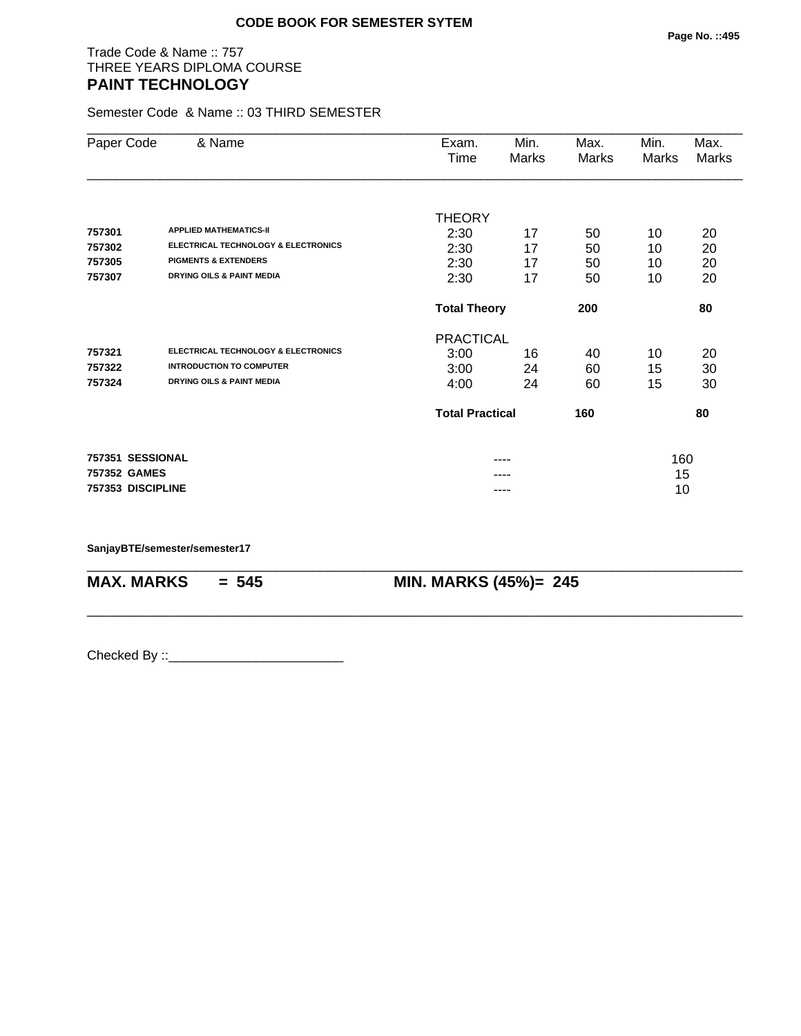# Trade Code & Name :: 757 THREE YEARS DIPLOMA COURSE **PAINT TECHNOLOGY**

Semester Code & Name :: 03 THIRD SEMESTER

| Paper Code        | & Name                                         | Exam.                  | Min.                       | Max.  | Min.  | Max.         |
|-------------------|------------------------------------------------|------------------------|----------------------------|-------|-------|--------------|
|                   |                                                | Time                   | Marks                      | Marks | Marks | <b>Marks</b> |
|                   |                                                |                        |                            |       |       |              |
|                   |                                                | <b>THEORY</b>          |                            |       |       |              |
| 757301            | <b>APPLIED MATHEMATICS-II</b>                  | 2:30                   | 17                         | 50    | 10    | 20           |
| 757302            | <b>ELECTRICAL TECHNOLOGY &amp; ELECTRONICS</b> | 2:30                   | 17                         | 50    | 10    | 20           |
| 757305            | <b>PIGMENTS &amp; EXTENDERS</b>                | 2:30                   | 17                         | 50    | 10    | 20           |
| 757307            | <b>DRYING OILS &amp; PAINT MEDIA</b>           | 2:30                   | 17                         | 50    | 10    | 20           |
|                   |                                                |                        | 200<br><b>Total Theory</b> |       |       | 80           |
|                   |                                                | <b>PRACTICAL</b>       |                            |       |       |              |
| 757321            | ELECTRICAL TECHNOLOGY & ELECTRONICS            | 3:00                   | 16                         | 40    | 10    | 20           |
| 757322            | <b>INTRODUCTION TO COMPUTER</b>                | 3:00                   | 24                         | 60    | 15    | 30           |
| 757324            | <b>DRYING OILS &amp; PAINT MEDIA</b>           | 4:00                   | 24                         | 60    | 15    | 30           |
|                   |                                                | <b>Total Practical</b> |                            | 160   |       | 80           |
| 757351 SESSIONAL  |                                                |                        | ----                       |       | 160   |              |
| 757352 GAMES      |                                                |                        |                            |       | 15    |              |
| 757353 DISCIPLINE |                                                |                        | ----                       |       | 10    |              |

\_\_\_\_\_\_\_\_\_\_\_\_\_\_\_\_\_\_\_\_\_\_\_\_\_\_\_\_\_\_\_\_\_\_\_\_\_\_\_\_\_\_\_\_\_\_\_\_\_\_\_\_\_\_\_\_\_\_\_\_\_\_\_\_\_\_\_\_\_\_\_\_\_\_\_\_\_\_\_\_\_\_\_\_\_\_\_\_\_\_

\_\_\_\_\_\_\_\_\_\_\_\_\_\_\_\_\_\_\_\_\_\_\_\_\_\_\_\_\_\_\_\_\_\_\_\_\_\_\_\_\_\_\_\_\_\_\_\_\_\_\_\_\_\_\_\_\_\_\_\_\_\_\_\_\_\_\_\_\_\_\_\_\_\_\_\_\_\_\_\_\_\_\_\_\_\_\_\_\_\_

**SanjayBTE/semester/semester17**

**MAX. MARKS = 545 MIN. MARKS (45%)= 245**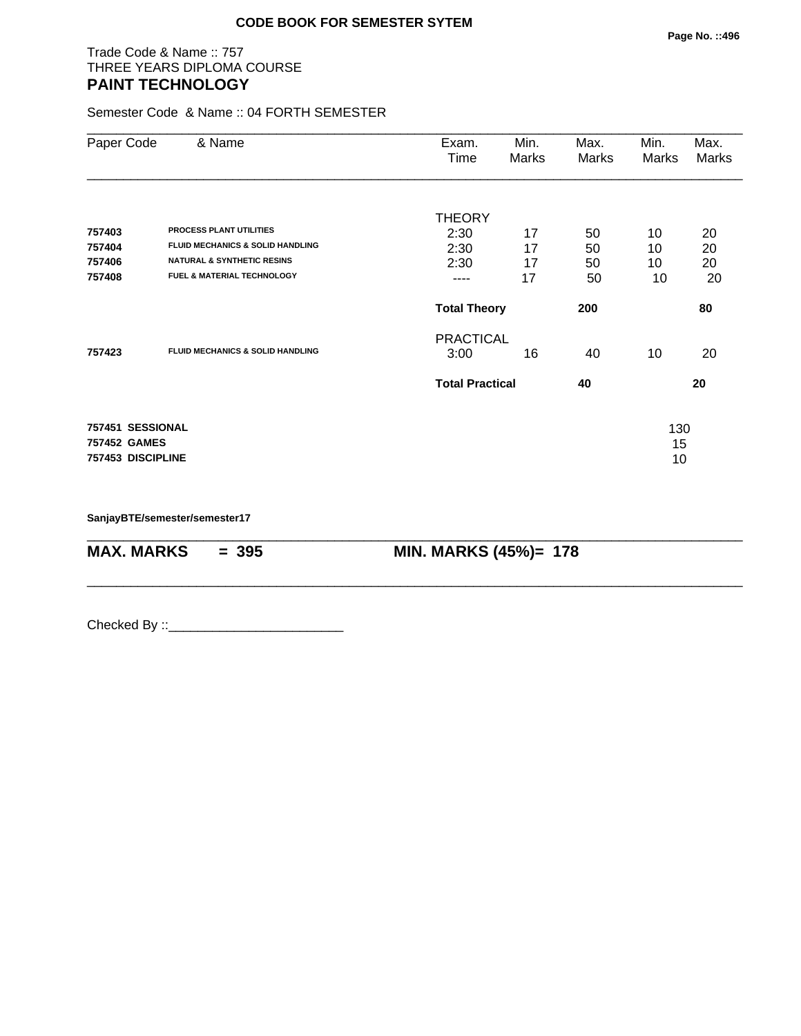# Trade Code & Name :: 757 THREE YEARS DIPLOMA COURSE **PAINT TECHNOLOGY**

Semester Code & Name :: 04 FORTH SEMESTER

| & Name                           | Exam.<br>Time                                                                                                                                                                          | Min.<br>Marks | Max.<br>Marks                                                     | Min.<br>Marks | Max.<br>Marks |
|----------------------------------|----------------------------------------------------------------------------------------------------------------------------------------------------------------------------------------|---------------|-------------------------------------------------------------------|---------------|---------------|
|                                  | <b>THEORY</b>                                                                                                                                                                          |               |                                                                   |               |               |
| <b>PROCESS PLANT UTILITIES</b>   | 2:30                                                                                                                                                                                   | 17            | 50                                                                | 10            | 20            |
|                                  | 2:30                                                                                                                                                                                   | 17            | 50                                                                |               | 20            |
|                                  | 2:30                                                                                                                                                                                   | 17            | 50                                                                | 10            | 20            |
|                                  | ----                                                                                                                                                                                   | 17            | 50                                                                | 10            | 20            |
|                                  |                                                                                                                                                                                        |               | 200                                                               |               | 80            |
|                                  |                                                                                                                                                                                        |               |                                                                   |               |               |
|                                  | 3:00                                                                                                                                                                                   | 16            | 40                                                                | 10            | 20            |
|                                  |                                                                                                                                                                                        |               | 40                                                                |               | 20            |
| 757451 SESSIONAL<br>757452 GAMES |                                                                                                                                                                                        |               |                                                                   | 130<br>15     |               |
|                                  | <b>FLUID MECHANICS &amp; SOLID HANDLING</b><br><b>NATURAL &amp; SYNTHETIC RESINS</b><br>FUEL & MATERIAL TECHNOLOGY<br><b>FLUID MECHANICS &amp; SOLID HANDLING</b><br>757453 DISCIPLINE |               | <b>Total Theory</b><br><b>PRACTICAL</b><br><b>Total Practical</b> |               | 10<br>10      |

\_\_\_\_\_\_\_\_\_\_\_\_\_\_\_\_\_\_\_\_\_\_\_\_\_\_\_\_\_\_\_\_\_\_\_\_\_\_\_\_\_\_\_\_\_\_\_\_\_\_\_\_\_\_\_\_\_\_\_\_\_\_\_\_\_\_\_\_\_\_\_\_\_\_\_\_\_\_\_\_\_\_\_\_\_\_\_\_\_\_

\_\_\_\_\_\_\_\_\_\_\_\_\_\_\_\_\_\_\_\_\_\_\_\_\_\_\_\_\_\_\_\_\_\_\_\_\_\_\_\_\_\_\_\_\_\_\_\_\_\_\_\_\_\_\_\_\_\_\_\_\_\_\_\_\_\_\_\_\_\_\_\_\_\_\_\_\_\_\_\_\_\_\_\_\_\_\_\_\_\_

**SanjayBTE/semester/semester17**

**MAX. MARKS = 395 MIN. MARKS (45%)= 178**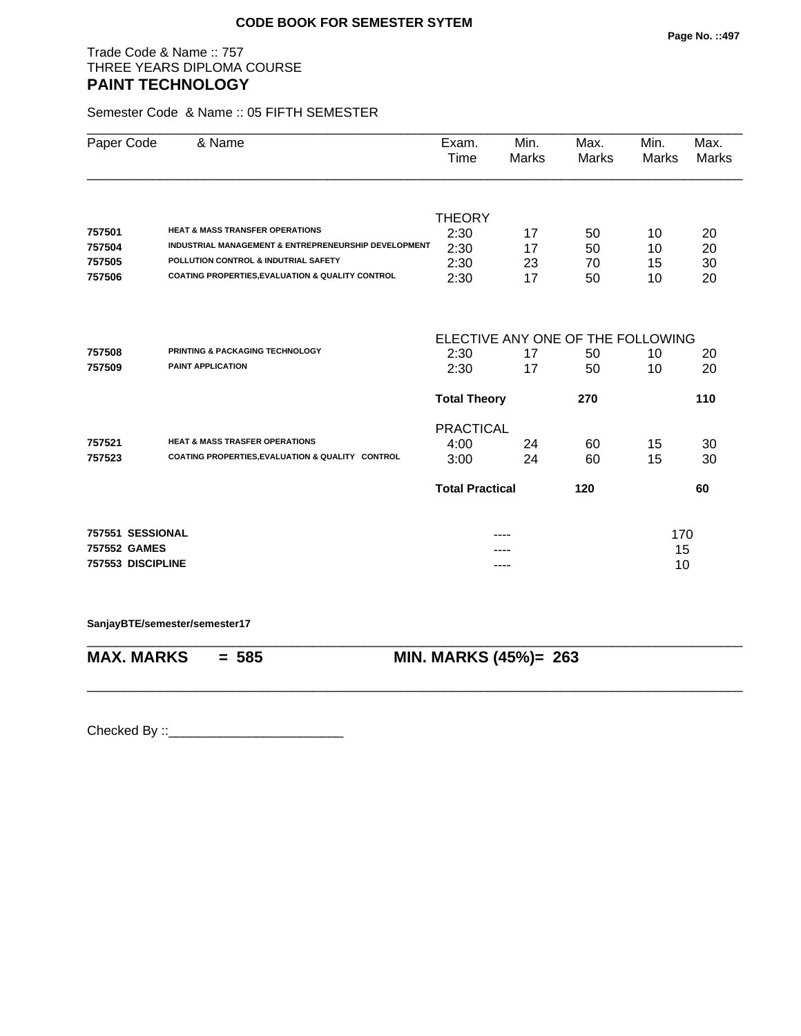# Trade Code & Name :: 757 THREE YEARS DIPLOMA COURSE **PAINT TECHNOLOGY**

Semester Code & Name :: 05 FIFTH SEMESTER

| Paper Code        | & Name                                               | Exam.<br>Time                     | Min.<br>Marks | Max.<br>Marks | Min.<br><b>Marks</b> | Max.<br><b>Marks</b> |
|-------------------|------------------------------------------------------|-----------------------------------|---------------|---------------|----------------------|----------------------|
|                   |                                                      |                                   |               |               |                      |                      |
|                   |                                                      | <b>THEORY</b>                     |               |               |                      |                      |
| 757501            | <b>HEAT &amp; MASS TRANSFER OPERATIONS</b>           | 2:30                              | 17            | 50            | 10                   | 20                   |
| 757504            | INDUSTRIAL MANAGEMENT & ENTREPRENEURSHIP DEVELOPMENT | 2:30                              | 17            | 50            | 10                   | 20                   |
| 757505            | <b>POLLUTION CONTROL &amp; INDUTRIAL SAFETY</b>      | 2:30                              | 23            | 70            | 15                   | 30                   |
| 757506            | COATING PROPERTIES, EVALUATION & QUALITY CONTROL     | 2:30                              | 17            | 50            | 10                   | 20                   |
|                   |                                                      | ELECTIVE ANY ONE OF THE FOLLOWING |               |               |                      |                      |
| 757508            | PRINTING & PACKAGING TECHNOLOGY                      | 2:30                              | 17            | 50            | 10                   | 20                   |
| 757509            | PAINT APPLICATION                                    | 2:30                              | 17            | 50            | 10                   | 20                   |
|                   |                                                      |                                   |               |               |                      |                      |
|                   |                                                      | <b>Total Theory</b>               |               | 270           |                      | 110                  |
|                   |                                                      | <b>PRACTICAL</b>                  |               |               |                      |                      |
| 757521            | <b>HEAT &amp; MASS TRASFER OPERATIONS</b>            | 4:00                              | 24            | 60            | 15                   | 30                   |
| 757523            | COATING PROPERTIES, EVALUATION & QUALITY CONTROL     | 3:00                              | 24            | 60            | 15                   | 30                   |
|                   |                                                      | <b>Total Practical</b>            |               | 120           |                      | 60                   |
| 757551 SESSIONAL  |                                                      |                                   | ----          |               | 170                  |                      |
| 757552 GAMES      |                                                      |                                   |               |               | 15                   |                      |
| 757553 DISCIPLINE |                                                      |                                   |               |               | 10                   |                      |
|                   |                                                      |                                   |               |               |                      |                      |

\_\_\_\_\_\_\_\_\_\_\_\_\_\_\_\_\_\_\_\_\_\_\_\_\_\_\_\_\_\_\_\_\_\_\_\_\_\_\_\_\_\_\_\_\_\_\_\_\_\_\_\_\_\_\_\_\_\_\_\_\_\_\_\_\_\_\_\_\_\_\_\_\_\_\_\_\_\_\_\_\_\_\_\_\_\_\_\_\_\_

\_\_\_\_\_\_\_\_\_\_\_\_\_\_\_\_\_\_\_\_\_\_\_\_\_\_\_\_\_\_\_\_\_\_\_\_\_\_\_\_\_\_\_\_\_\_\_\_\_\_\_\_\_\_\_\_\_\_\_\_\_\_\_\_\_\_\_\_\_\_\_\_\_\_\_\_\_\_\_\_\_\_\_\_\_\_\_\_\_\_

**SanjayBTE/semester/semester17**

**MAX. MARKS = 585 MIN. MARKS (45%)= 263**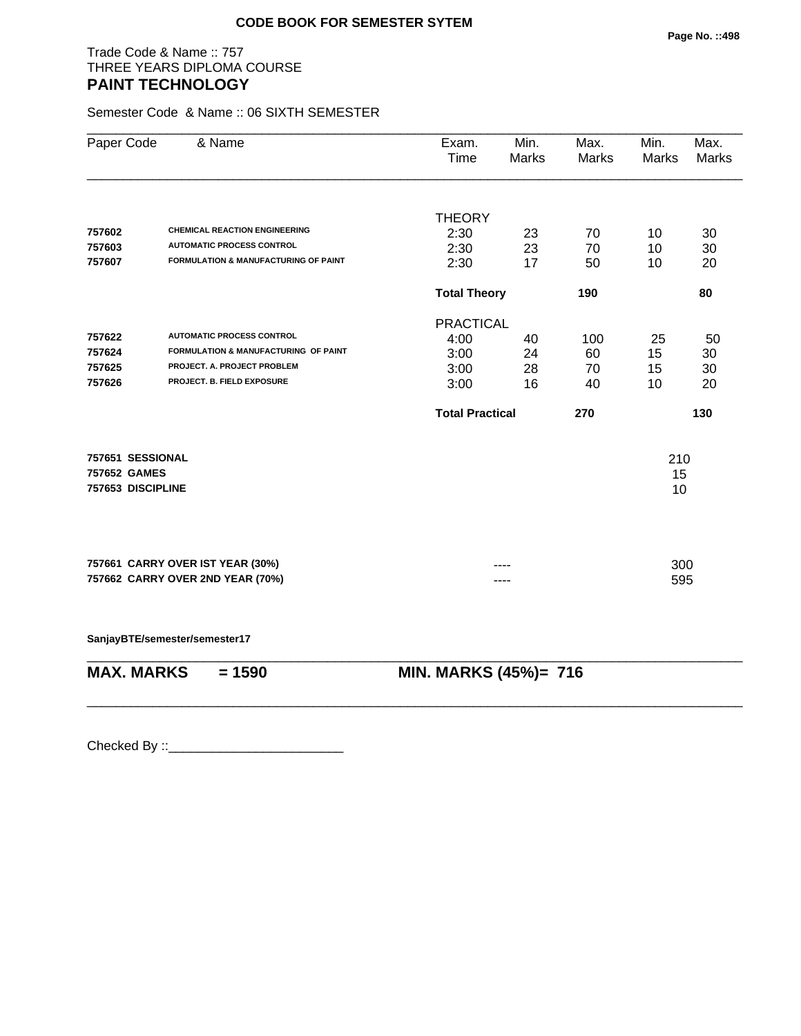# Trade Code & Name :: 757 THREE YEARS DIPLOMA COURSE **PAINT TECHNOLOGY**

Semester Code & Name :: 06 SIXTH SEMESTER

| Paper Code        | & Name                                                               | Exam.<br>Time          | Min.<br><b>Marks</b> | Max.<br>Marks | Min.<br>Marks | Max.<br><b>Marks</b> |  |
|-------------------|----------------------------------------------------------------------|------------------------|----------------------|---------------|---------------|----------------------|--|
|                   |                                                                      | <b>THEORY</b>          |                      |               |               |                      |  |
| 757602            | <b>CHEMICAL REACTION ENGINEERING</b>                                 | 2:30                   | 23                   | 70            | 10            | 30                   |  |
| 757603            | <b>AUTOMATIC PROCESS CONTROL</b>                                     | 2:30                   | 23                   | 70            | 10            | 30                   |  |
| 757607            | FORMULATION & MANUFACTURING OF PAINT                                 | 2:30                   | 17                   | 50            | 10            | 20                   |  |
|                   |                                                                      | <b>Total Theory</b>    |                      | 190           |               | 80                   |  |
|                   |                                                                      | <b>PRACTICAL</b>       |                      |               |               |                      |  |
| 757622            | <b>AUTOMATIC PROCESS CONTROL</b>                                     | 4:00                   | 40                   | 100           | 25            | 50                   |  |
| 757624            | FORMULATION & MANUFACTURING OF PAINT                                 | 3:00                   | 24                   | 60            | 15            | 30                   |  |
| 757625            | PROJECT. A. PROJECT PROBLEM                                          | 3:00                   | 28                   | 70            | 15            | 30                   |  |
| 757626            | PROJECT. B. FIELD EXPOSURE                                           | 3:00                   | 16                   | 40            | 10            | 20                   |  |
|                   |                                                                      | <b>Total Practical</b> |                      | 270           |               | 130                  |  |
| 757651 SESSIONAL  |                                                                      |                        |                      |               | 210           |                      |  |
| 757652 GAMES      |                                                                      |                        |                      |               | 15            |                      |  |
| 757653 DISCIPLINE |                                                                      |                        |                      |               | 10            |                      |  |
|                   |                                                                      |                        |                      |               |               |                      |  |
|                   |                                                                      |                        |                      |               |               |                      |  |
|                   | 757661 CARRY OVER IST YEAR (30%)<br>757662 CARRY OVER 2ND YEAR (70%) |                        |                      |               | 300<br>595    |                      |  |
|                   |                                                                      |                        |                      |               |               |                      |  |
|                   | SanjayBTE/semester/semester17                                        |                        |                      |               |               |                      |  |
| <b>MAX. MARKS</b> | $= 1590$                                                             | MIN. MARKS (45%)= 716  |                      |               |               |                      |  |
|                   |                                                                      |                        |                      |               |               |                      |  |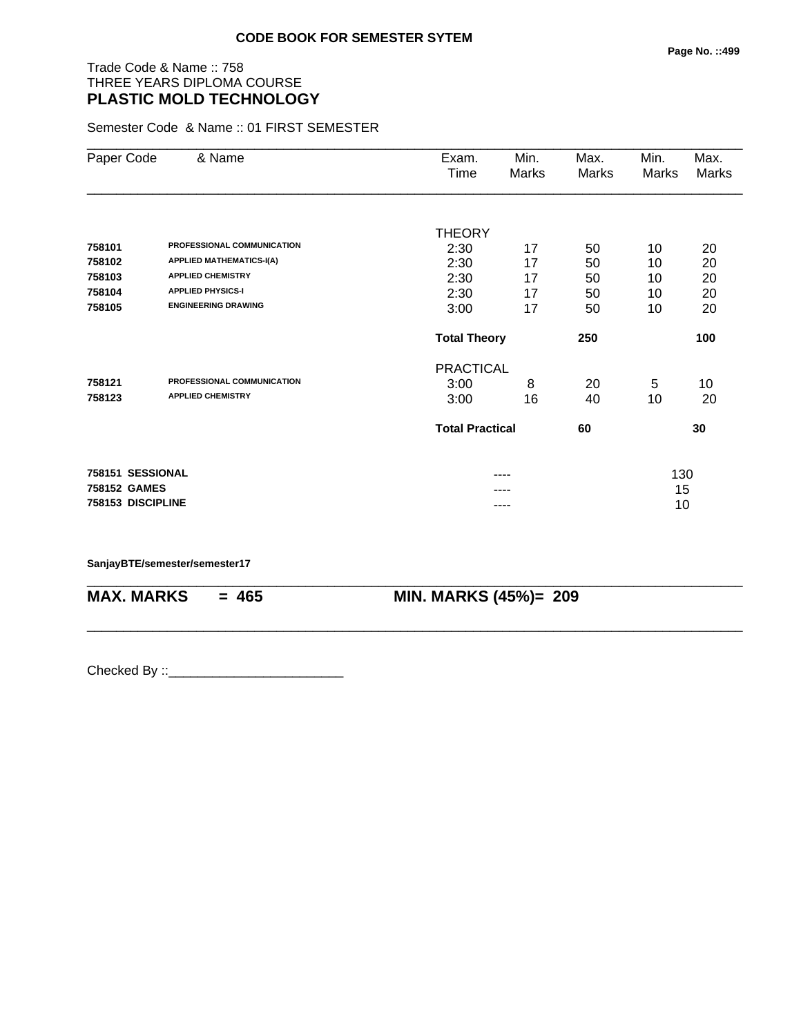# Trade Code & Name :: 758 THREE YEARS DIPLOMA COURSE **PLASTIC MOLD TECHNOLOGY**

Semester Code & Name :: 01 FIRST SEMESTER

| Paper Code        | & Name                          | Exam.<br>Time       | Min.<br>Marks                | Max.<br>Marks | Min.<br>Marks | Max.<br>Marks |
|-------------------|---------------------------------|---------------------|------------------------------|---------------|---------------|---------------|
|                   |                                 |                     |                              |               |               |               |
|                   |                                 | <b>THEORY</b>       |                              |               |               |               |
| 758101            | PROFESSIONAL COMMUNICATION      | 2:30                | 17                           | 50            | 10            | 20            |
| 758102            | <b>APPLIED MATHEMATICS-I(A)</b> | 2:30                | 17                           | 50            | 10            | 20            |
| 758103            | <b>APPLIED CHEMISTRY</b>        | 2:30                | 17                           | 50            | 10            | 20            |
| 758104            | <b>APPLIED PHYSICS-I</b>        | 2:30                | 17                           | 50            | 10            | 20            |
| 758105            | <b>ENGINEERING DRAWING</b>      | 3:00                | 17                           | 50            | 10            | 20            |
|                   |                                 | <b>Total Theory</b> |                              | 250           |               | 100           |
|                   |                                 | <b>PRACTICAL</b>    |                              |               |               |               |
| 758121            | PROFESSIONAL COMMUNICATION      | 3:00                | 8                            | 20            | 5             | 10            |
| 758123            | <b>APPLIED CHEMISTRY</b>        | 3:00                | 16                           | 40            | 10            | 20            |
|                   |                                 |                     | <b>Total Practical</b><br>60 |               | 30            |               |
| 758151 SESSIONAL  |                                 |                     | ----                         |               | 130           |               |
| 758152 GAMES      |                                 |                     |                              |               | 15            |               |
| 758153 DISCIPLINE |                                 |                     | ----                         |               | 10            |               |

\_\_\_\_\_\_\_\_\_\_\_\_\_\_\_\_\_\_\_\_\_\_\_\_\_\_\_\_\_\_\_\_\_\_\_\_\_\_\_\_\_\_\_\_\_\_\_\_\_\_\_\_\_\_\_\_\_\_\_\_\_\_\_\_\_\_\_\_\_\_\_\_\_\_\_\_\_\_\_\_\_\_\_\_\_\_\_\_\_\_

\_\_\_\_\_\_\_\_\_\_\_\_\_\_\_\_\_\_\_\_\_\_\_\_\_\_\_\_\_\_\_\_\_\_\_\_\_\_\_\_\_\_\_\_\_\_\_\_\_\_\_\_\_\_\_\_\_\_\_\_\_\_\_\_\_\_\_\_\_\_\_\_\_\_\_\_\_\_\_\_\_\_\_\_\_\_\_\_\_\_

**SanjayBTE/semester/semester17**

**MAX. MARKS = 465 MIN. MARKS (45%)= 209**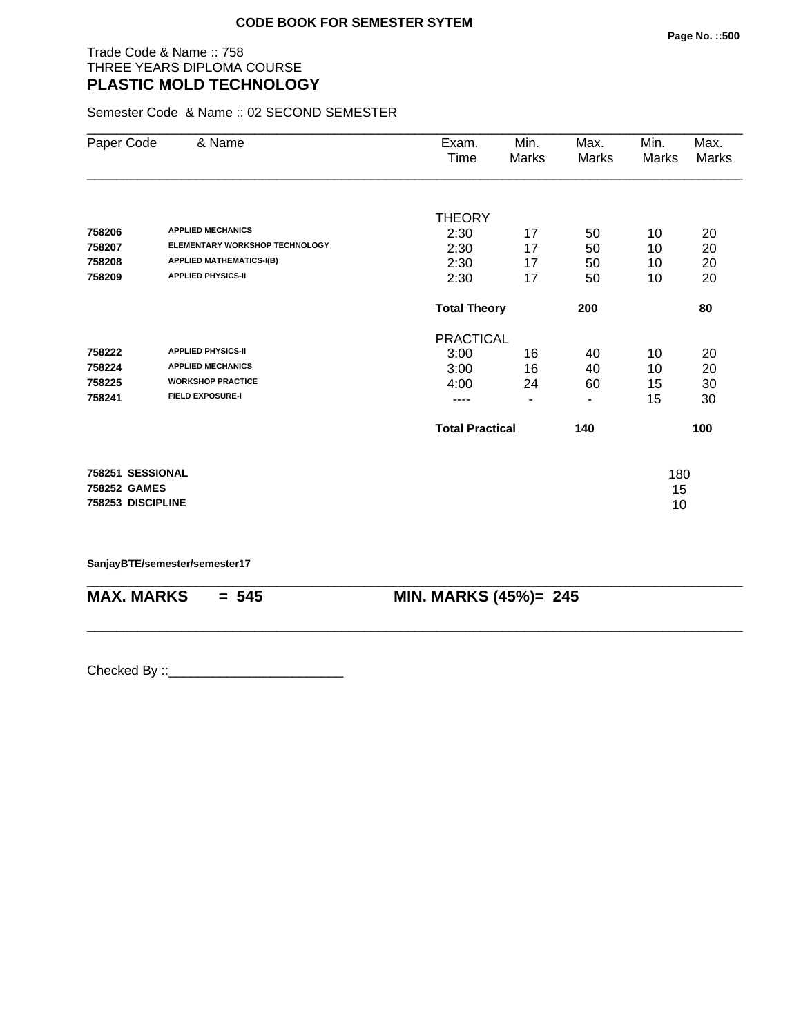# Trade Code & Name :: 758 THREE YEARS DIPLOMA COURSE **PLASTIC MOLD TECHNOLOGY**

Semester Code & Name :: 02 SECOND SEMESTER

| Paper Code        | & Name                          | Exam.                  | Min.  | Max.  | Min.  | Max.  |
|-------------------|---------------------------------|------------------------|-------|-------|-------|-------|
|                   |                                 | Time                   | Marks | Marks | Marks | Marks |
|                   |                                 |                        |       |       |       |       |
|                   |                                 | <b>THEORY</b>          |       |       |       |       |
| 758206            | <b>APPLIED MECHANICS</b>        | 2:30                   | 17    | 50    | 10    | 20    |
| 758207            | ELEMENTARY WORKSHOP TECHNOLOGY  | 2:30                   | 17    | 50    | 10    | 20    |
| 758208            | <b>APPLIED MATHEMATICS-I(B)</b> | 2:30                   | 17    | 50    | 10    | 20    |
| 758209            | <b>APPLIED PHYSICS-II</b>       | 2:30                   | 17    | 50    | 10    | 20    |
|                   |                                 | <b>Total Theory</b>    | 200   |       | 80    |       |
|                   |                                 | <b>PRACTICAL</b>       |       |       |       |       |
| 758222            | <b>APPLIED PHYSICS-II</b>       | 3:00                   | 16    | 40    | 10    | 20    |
| 758224            | <b>APPLIED MECHANICS</b>        | 3:00                   | 16    | 40    | 10    | 20    |
| 758225            | <b>WORKSHOP PRACTICE</b>        | 4:00                   | 24    | 60    | 15    | 30    |
| 758241            | <b>FIELD EXPOSURE-I</b>         | ----                   | ٠     | ٠     | 15    | 30    |
|                   |                                 | <b>Total Practical</b> |       | 140   |       | 100   |
| 758251 SESSIONAL  |                                 |                        |       |       | 180   |       |
| 758252 GAMES      |                                 |                        |       |       | 15    |       |
| 758253 DISCIPLINE |                                 |                        |       |       | 10    |       |
|                   |                                 |                        |       |       |       |       |

\_\_\_\_\_\_\_\_\_\_\_\_\_\_\_\_\_\_\_\_\_\_\_\_\_\_\_\_\_\_\_\_\_\_\_\_\_\_\_\_\_\_\_\_\_\_\_\_\_\_\_\_\_\_\_\_\_\_\_\_\_\_\_\_\_\_\_\_\_\_\_\_\_\_\_\_\_\_\_\_\_\_\_\_\_\_\_\_\_\_

\_\_\_\_\_\_\_\_\_\_\_\_\_\_\_\_\_\_\_\_\_\_\_\_\_\_\_\_\_\_\_\_\_\_\_\_\_\_\_\_\_\_\_\_\_\_\_\_\_\_\_\_\_\_\_\_\_\_\_\_\_\_\_\_\_\_\_\_\_\_\_\_\_\_\_\_\_\_\_\_\_\_\_\_\_\_\_\_\_\_

**SanjayBTE/semester/semester17**

**MAX. MARKS = 545 MIN. MARKS (45%)= 245**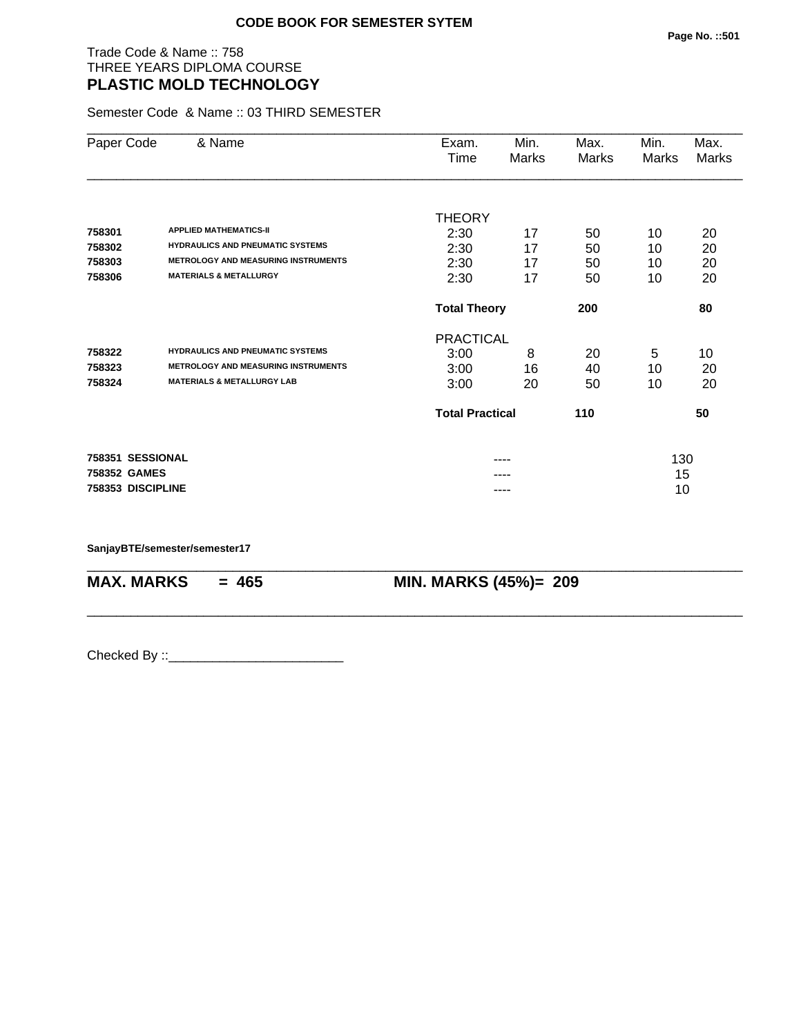# Trade Code & Name :: 758 THREE YEARS DIPLOMA COURSE **PLASTIC MOLD TECHNOLOGY**

Semester Code & Name :: 03 THIRD SEMESTER

| Paper Code   | & Name                                     | Exam.                  | Min.                       | Max.  | Min.  | Max.  |
|--------------|--------------------------------------------|------------------------|----------------------------|-------|-------|-------|
|              |                                            | Time                   | Marks                      | Marks | Marks | Marks |
|              |                                            |                        |                            |       |       |       |
|              |                                            | <b>THEORY</b>          |                            |       |       |       |
| 758301       | <b>APPLIED MATHEMATICS-II</b>              | 2:30                   | 17                         | 50    | 10    | 20    |
| 758302       | <b>HYDRAULICS AND PNEUMATIC SYSTEMS</b>    | 2:30                   | 17                         | 50    | 10    | 20    |
| 758303       | <b>METROLOGY AND MEASURING INSTRUMENTS</b> | 2:30                   | 17                         | 50    | 10    | 20    |
| 758306       | <b>MATERIALS &amp; METALLURGY</b>          | 2:30                   | 17                         | 50    | 10    | 20    |
|              |                                            |                        | 200<br><b>Total Theory</b> |       |       | 80    |
|              |                                            | <b>PRACTICAL</b>       |                            |       |       |       |
| 758322       | <b>HYDRAULICS AND PNEUMATIC SYSTEMS</b>    | 3:00                   | 8                          | 20    | 5     | 10    |
| 758323       | <b>METROLOGY AND MEASURING INSTRUMENTS</b> | 3:00                   | 16                         | 40    | 10    | 20    |
| 758324       | <b>MATERIALS &amp; METALLURGY LAB</b>      | 3:00                   | 20                         | 50    | 10    | 20    |
|              |                                            | <b>Total Practical</b> |                            | 110   |       | 50    |
|              | 758351 SESSIONAL                           |                        |                            |       | 130   |       |
| 758352 GAMES |                                            |                        |                            |       | 15    |       |
|              | 758353 DISCIPLINE                          |                        | ----                       |       | 10    |       |

\_\_\_\_\_\_\_\_\_\_\_\_\_\_\_\_\_\_\_\_\_\_\_\_\_\_\_\_\_\_\_\_\_\_\_\_\_\_\_\_\_\_\_\_\_\_\_\_\_\_\_\_\_\_\_\_\_\_\_\_\_\_\_\_\_\_\_\_\_\_\_\_\_\_\_\_\_\_\_\_\_\_\_\_\_\_\_\_\_\_

\_\_\_\_\_\_\_\_\_\_\_\_\_\_\_\_\_\_\_\_\_\_\_\_\_\_\_\_\_\_\_\_\_\_\_\_\_\_\_\_\_\_\_\_\_\_\_\_\_\_\_\_\_\_\_\_\_\_\_\_\_\_\_\_\_\_\_\_\_\_\_\_\_\_\_\_\_\_\_\_\_\_\_\_\_\_\_\_\_\_

**SanjayBTE/semester/semester17**

**MAX. MARKS = 465 MIN. MARKS (45%)= 209**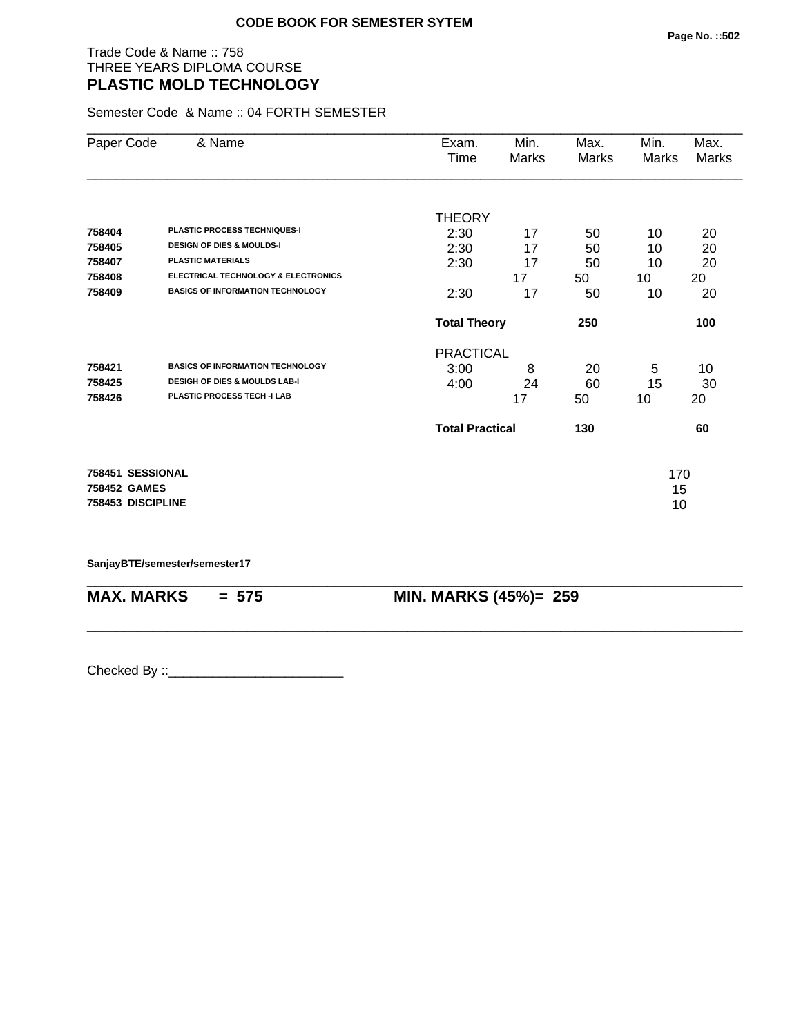# Trade Code & Name :: 758 THREE YEARS DIPLOMA COURSE **PLASTIC MOLD TECHNOLOGY**

Semester Code & Name :: 04 FORTH SEMESTER

| Paper Code        | & Name                                         | Exam.<br>Time          | Min.<br>Marks | Max.<br>Marks | Min.<br>Marks | Max.<br>Marks |
|-------------------|------------------------------------------------|------------------------|---------------|---------------|---------------|---------------|
|                   |                                                |                        |               |               |               |               |
|                   |                                                | <b>THEORY</b>          |               |               |               |               |
| 758404            | <b>PLASTIC PROCESS TECHNIQUES-I</b>            | 2:30                   | 17            | 50            | 10            | 20            |
| 758405            | <b>DESIGN OF DIES &amp; MOULDS-I</b>           | 2:30                   | 17            | 50            | 10            | 20            |
| 758407            | <b>PLASTIC MATERIALS</b>                       | 2:30                   | 17            | 50            | 10            | 20            |
| 758408            | <b>ELECTRICAL TECHNOLOGY &amp; ELECTRONICS</b> |                        | 17            | 50            | 10            | 20            |
| 758409            | <b>BASICS OF INFORMATION TECHNOLOGY</b>        | 2:30                   | 17            | 50            | 10            | 20            |
|                   |                                                | <b>Total Theory</b>    |               | 250           |               | 100           |
|                   |                                                | <b>PRACTICAL</b>       |               |               |               |               |
| 758421            | <b>BASICS OF INFORMATION TECHNOLOGY</b>        | 3:00                   | 8             | 20            | 5             | 10            |
| 758425            | <b>DESIGH OF DIES &amp; MOULDS LAB-I</b>       | 4:00                   | 24            | 60            | 15            | 30            |
| 758426            | PLASTIC PROCESS TECH -I LAB                    |                        | 17            | 50            | 10            | 20            |
|                   |                                                | <b>Total Practical</b> |               | 130           |               | 60            |
| 758451 SESSIONAL  |                                                |                        |               |               | 170           |               |
| 758452 GAMES      |                                                |                        |               |               | 15            |               |
| 758453 DISCIPLINE |                                                |                        |               |               | 10            |               |
|                   |                                                |                        |               |               |               |               |

\_\_\_\_\_\_\_\_\_\_\_\_\_\_\_\_\_\_\_\_\_\_\_\_\_\_\_\_\_\_\_\_\_\_\_\_\_\_\_\_\_\_\_\_\_\_\_\_\_\_\_\_\_\_\_\_\_\_\_\_\_\_\_\_\_\_\_\_\_\_\_\_\_\_\_\_\_\_\_\_\_\_\_\_\_\_\_\_\_\_

\_\_\_\_\_\_\_\_\_\_\_\_\_\_\_\_\_\_\_\_\_\_\_\_\_\_\_\_\_\_\_\_\_\_\_\_\_\_\_\_\_\_\_\_\_\_\_\_\_\_\_\_\_\_\_\_\_\_\_\_\_\_\_\_\_\_\_\_\_\_\_\_\_\_\_\_\_\_\_\_\_\_\_\_\_\_\_\_\_\_

#### **SanjayBTE/semester/semester17**

**MAX. MARKS = 575 MIN. MARKS (45%)= 259**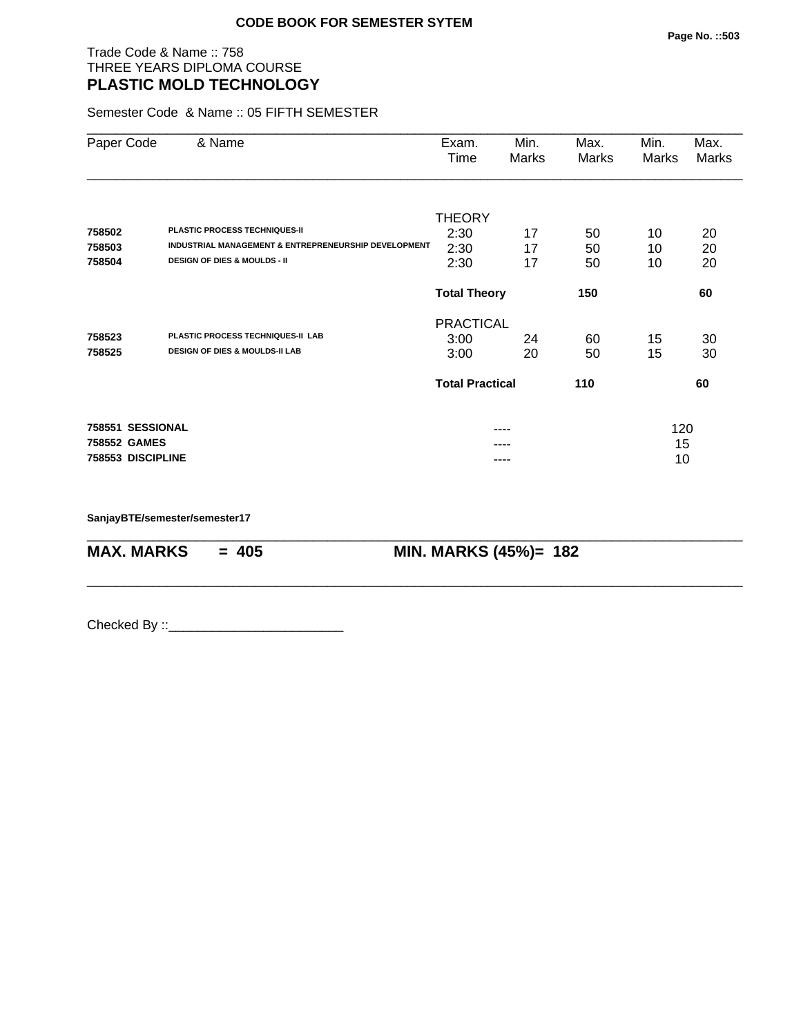# Trade Code & Name :: 758 THREE YEARS DIPLOMA COURSE **PLASTIC MOLD TECHNOLOGY**

Semester Code & Name :: 05 FIFTH SEMESTER

| Paper Code        | & Name                                               | Exam.<br>Min.          |       | Max.  | Min.  | Max.  |  |
|-------------------|------------------------------------------------------|------------------------|-------|-------|-------|-------|--|
|                   |                                                      | Time                   | Marks | Marks | Marks | Marks |  |
|                   |                                                      |                        |       |       |       |       |  |
|                   |                                                      | <b>THEORY</b>          |       |       |       |       |  |
| 758502            | <b>PLASTIC PROCESS TECHNIQUES-II</b>                 | 2:30                   | 17    | 50    | 10    | 20    |  |
| 758503            | INDUSTRIAL MANAGEMENT & ENTREPRENEURSHIP DEVELOPMENT | 2:30                   | 17    | 50    | 10    | 20    |  |
| 758504            | <b>DESIGN OF DIES &amp; MOULDS - II</b>              | 2:30                   | 17    | 50    | 10    | 20    |  |
|                   |                                                      | <b>Total Theory</b>    |       | 150   | 60    |       |  |
|                   |                                                      | <b>PRACTICAL</b>       |       |       |       |       |  |
| 758523            | PLASTIC PROCESS TECHNIQUES-II LAB                    | 3:00                   | 24    | 60    | 15    | 30    |  |
| 758525            | <b>DESIGN OF DIES &amp; MOULDS-II LAB</b>            | 3:00                   | 20    | 50    | 15    | 30    |  |
|                   |                                                      | <b>Total Practical</b> |       | 110   |       | 60    |  |
| 758551 SESSIONAL  |                                                      | ----                   |       |       | 120   |       |  |
| 758552 GAMES      |                                                      |                        |       |       | 15    |       |  |
| 758553 DISCIPLINE |                                                      |                        |       |       | 10    |       |  |

\_\_\_\_\_\_\_\_\_\_\_\_\_\_\_\_\_\_\_\_\_\_\_\_\_\_\_\_\_\_\_\_\_\_\_\_\_\_\_\_\_\_\_\_\_\_\_\_\_\_\_\_\_\_\_\_\_\_\_\_\_\_\_\_\_\_\_\_\_\_\_\_\_\_\_\_\_\_\_\_\_\_\_\_\_\_\_\_\_\_

\_\_\_\_\_\_\_\_\_\_\_\_\_\_\_\_\_\_\_\_\_\_\_\_\_\_\_\_\_\_\_\_\_\_\_\_\_\_\_\_\_\_\_\_\_\_\_\_\_\_\_\_\_\_\_\_\_\_\_\_\_\_\_\_\_\_\_\_\_\_\_\_\_\_\_\_\_\_\_\_\_\_\_\_\_\_\_\_\_\_

**SanjayBTE/semester/semester17**

**MAX. MARKS = 405 MIN. MARKS (45%)= 182**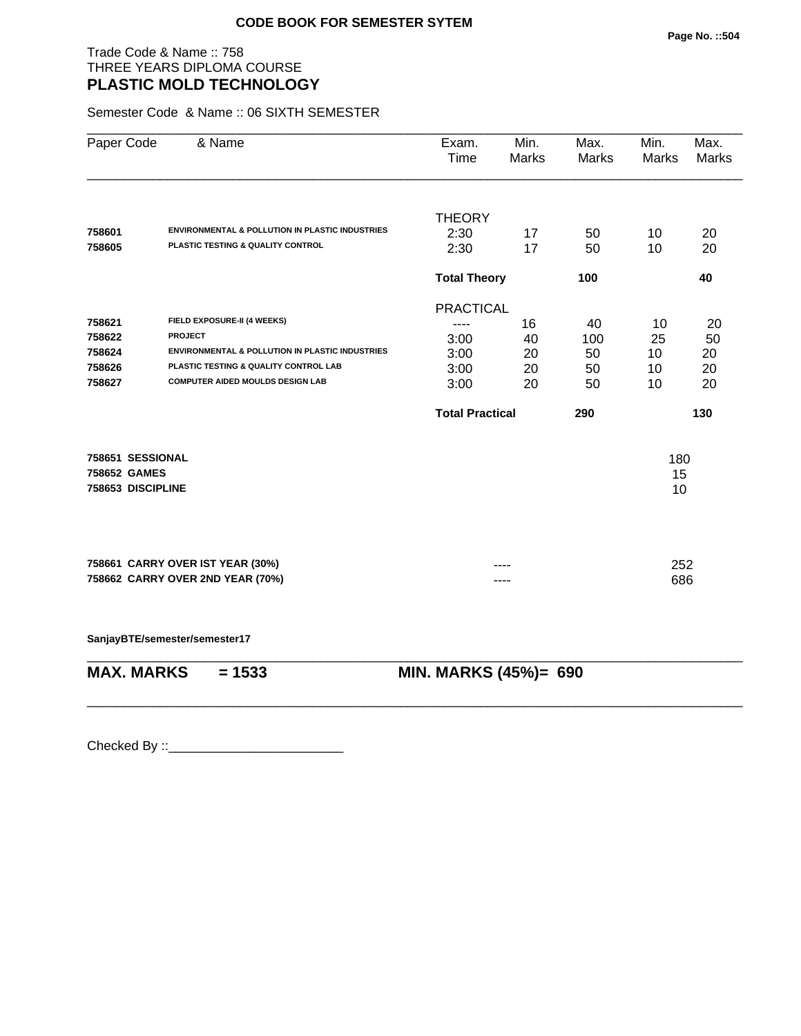# Trade Code & Name :: 758 THREE YEARS DIPLOMA COURSE **PLASTIC MOLD TECHNOLOGY**

Semester Code & Name :: 06 SIXTH SEMESTER

| Paper Code                        | & Name                                                     | Exam.<br>Time          | Min.<br><b>Marks</b> | Max.<br>Marks | Min.<br>Marks | Max.<br><b>Marks</b> |  |
|-----------------------------------|------------------------------------------------------------|------------------------|----------------------|---------------|---------------|----------------------|--|
|                                   |                                                            | <b>THEORY</b>          |                      |               |               |                      |  |
| 758601                            | <b>ENVIRONMENTAL &amp; POLLUTION IN PLASTIC INDUSTRIES</b> | 2:30                   | 17                   | 50            | 10            | 20                   |  |
| 758605                            | PLASTIC TESTING & QUALITY CONTROL                          | 2:30                   | 17                   | 50            | 10            | 20                   |  |
|                                   |                                                            |                        | <b>Total Theory</b>  |               |               | 40                   |  |
|                                   |                                                            | <b>PRACTICAL</b>       |                      |               |               |                      |  |
| 758621                            | FIELD EXPOSURE-II (4 WEEKS)                                |                        | 16                   | 40            | 10            | 20                   |  |
| 758622                            | <b>PROJECT</b>                                             | 3:00                   | 40                   | 100           | 25            | 50                   |  |
| 758624                            | ENVIRONMENTAL & POLLUTION IN PLASTIC INDUSTRIES            | 3:00                   | 20                   | 50            | 10            | 20                   |  |
| 758626                            | PLASTIC TESTING & QUALITY CONTROL LAB                      | 3:00                   | 20                   | 50            | 10            | 20                   |  |
| 758627                            | <b>COMPUTER AIDED MOULDS DESIGN LAB</b>                    | 3:00                   | 20                   | 50            | 10            | 20                   |  |
|                                   |                                                            | <b>Total Practical</b> |                      | 290           |               | 130                  |  |
| 758651 SESSIONAL                  |                                                            |                        |                      |               | 180           |                      |  |
| 758652 GAMES<br>758653 DISCIPLINE |                                                            |                        |                      |               |               | 15<br>10             |  |
|                                   |                                                            |                        |                      |               |               |                      |  |
|                                   | 758661 CARRY OVER IST YEAR (30%)                           |                        |                      |               | 252           |                      |  |
|                                   | 758662 CARRY OVER 2ND YEAR (70%)                           |                        |                      |               | 686           |                      |  |
|                                   | SanjayBTE/semester/semester17                              |                        |                      |               |               |                      |  |
| <b>MAX. MARKS</b>                 | $= 1533$                                                   | MIN. MARKS (45%)= 690  |                      |               |               |                      |  |

\_\_\_\_\_\_\_\_\_\_\_\_\_\_\_\_\_\_\_\_\_\_\_\_\_\_\_\_\_\_\_\_\_\_\_\_\_\_\_\_\_\_\_\_\_\_\_\_\_\_\_\_\_\_\_\_\_\_\_\_\_\_\_\_\_\_\_\_\_\_\_\_\_\_\_\_\_\_\_\_\_\_\_\_\_\_\_\_\_\_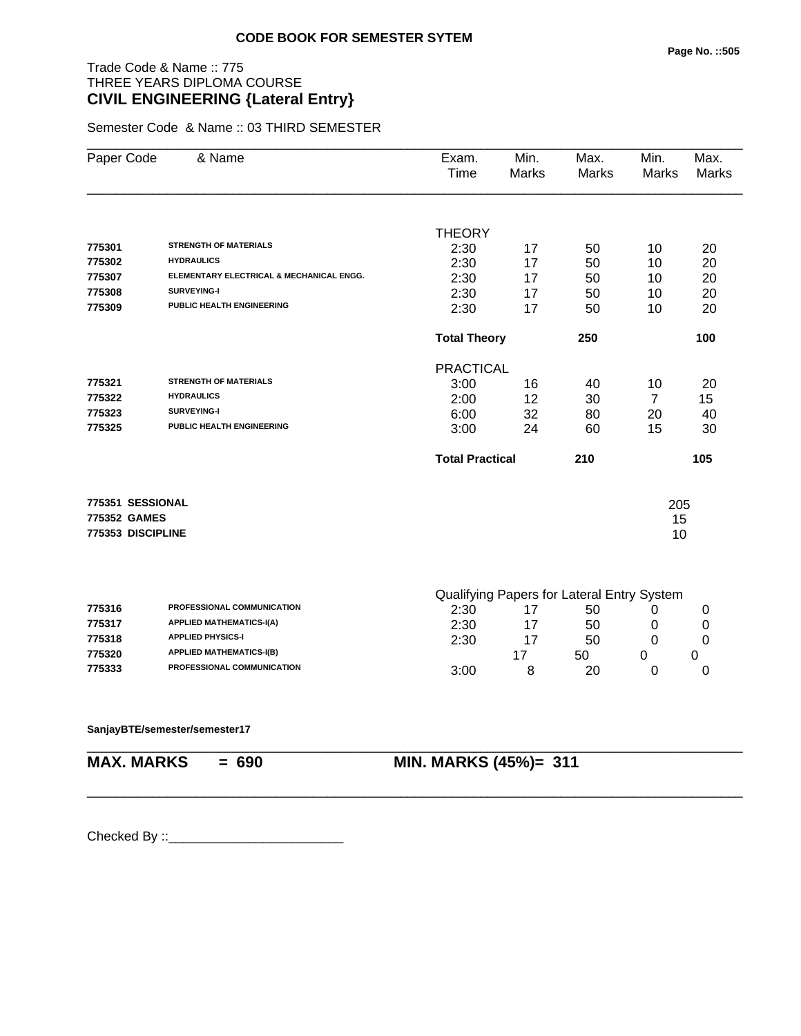# Trade Code & Name :: 775 THREE YEARS DIPLOMA COURSE **CIVIL ENGINEERING {Lateral Entry}**

Semester Code & Name :: 03 THIRD SEMESTER

| Paper Code        | & Name                                   | Exam.<br>Time          | Min.<br>Marks | Max.<br>Marks                              | Min.<br>Marks  | Max.<br>Marks |
|-------------------|------------------------------------------|------------------------|---------------|--------------------------------------------|----------------|---------------|
|                   |                                          |                        |               |                                            |                |               |
|                   |                                          | <b>THEORY</b>          |               |                                            |                |               |
| 775301            | <b>STRENGTH OF MATERIALS</b>             | 2:30                   | 17            | 50                                         | 10             | 20            |
| 775302            | <b>HYDRAULICS</b>                        | 2:30                   | 17            | 50                                         | 10             | 20            |
| 775307            | ELEMENTARY ELECTRICAL & MECHANICAL ENGG. | 2:30                   | 17            | 50                                         | 10             | 20            |
| 775308            | <b>SURVEYING-I</b>                       | 2:30                   | 17            | 50                                         | 10             | 20            |
| 775309            | PUBLIC HEALTH ENGINEERING                | 2:30                   | 17            | 50                                         | 10             | 20            |
|                   |                                          | <b>Total Theory</b>    |               | 250                                        |                | 100           |
|                   |                                          | <b>PRACTICAL</b>       |               |                                            |                |               |
| 775321            | <b>STRENGTH OF MATERIALS</b>             | 3:00                   | 16            | 40                                         | 10             | 20            |
| 775322            | <b>HYDRAULICS</b>                        | 2:00                   | 12            | 30                                         | $\overline{7}$ | 15            |
| 775323            | SURVEYING-I                              | 6:00                   | 32            | 80                                         | 20             | 40            |
| 775325            | PUBLIC HEALTH ENGINEERING                | 3:00                   | 24            | 60                                         | 15             | 30            |
|                   |                                          | <b>Total Practical</b> |               | 210                                        |                | 105           |
| 775351 SESSIONAL  |                                          |                        |               |                                            | 205            |               |
| 775352 GAMES      |                                          |                        |               |                                            | 15             |               |
| 775353 DISCIPLINE |                                          |                        |               |                                            | 10             |               |
|                   |                                          |                        |               |                                            |                |               |
|                   |                                          |                        |               | Qualifying Paners for Lateral Entry System |                |               |

|        |                                   | Qualifying Fapels for Lateral Linity Oystem |    |    |  |  |
|--------|-----------------------------------|---------------------------------------------|----|----|--|--|
| 775316 | <b>PROFESSIONAL COMMUNICATION</b> | 2:30                                        |    | 50 |  |  |
| 775317 | <b>APPLIED MATHEMATICS-I(A)</b>   | 2:30                                        | 17 | 50 |  |  |
| 775318 | <b>APPLIED PHYSICS-I</b>          | 2:30                                        |    | 50 |  |  |
| 775320 | <b>APPLIED MATHEMATICS-I(B)</b>   |                                             |    | 50 |  |  |
| 775333 | PROFESSIONAL COMMUNICATION        | 3:00                                        |    | 20 |  |  |

\_\_\_\_\_\_\_\_\_\_\_\_\_\_\_\_\_\_\_\_\_\_\_\_\_\_\_\_\_\_\_\_\_\_\_\_\_\_\_\_\_\_\_\_\_\_\_\_\_\_\_\_\_\_\_\_\_\_\_\_\_\_\_\_\_\_\_\_\_\_\_\_\_\_\_\_\_\_\_\_\_\_\_\_\_\_\_\_\_\_

\_\_\_\_\_\_\_\_\_\_\_\_\_\_\_\_\_\_\_\_\_\_\_\_\_\_\_\_\_\_\_\_\_\_\_\_\_\_\_\_\_\_\_\_\_\_\_\_\_\_\_\_\_\_\_\_\_\_\_\_\_\_\_\_\_\_\_\_\_\_\_\_\_\_\_\_\_\_\_\_\_\_\_\_\_\_\_\_\_\_

#### **SanjayBTE/semester/semester17**

**MAX. MARKS = 690 MIN. MARKS (45%)= 311**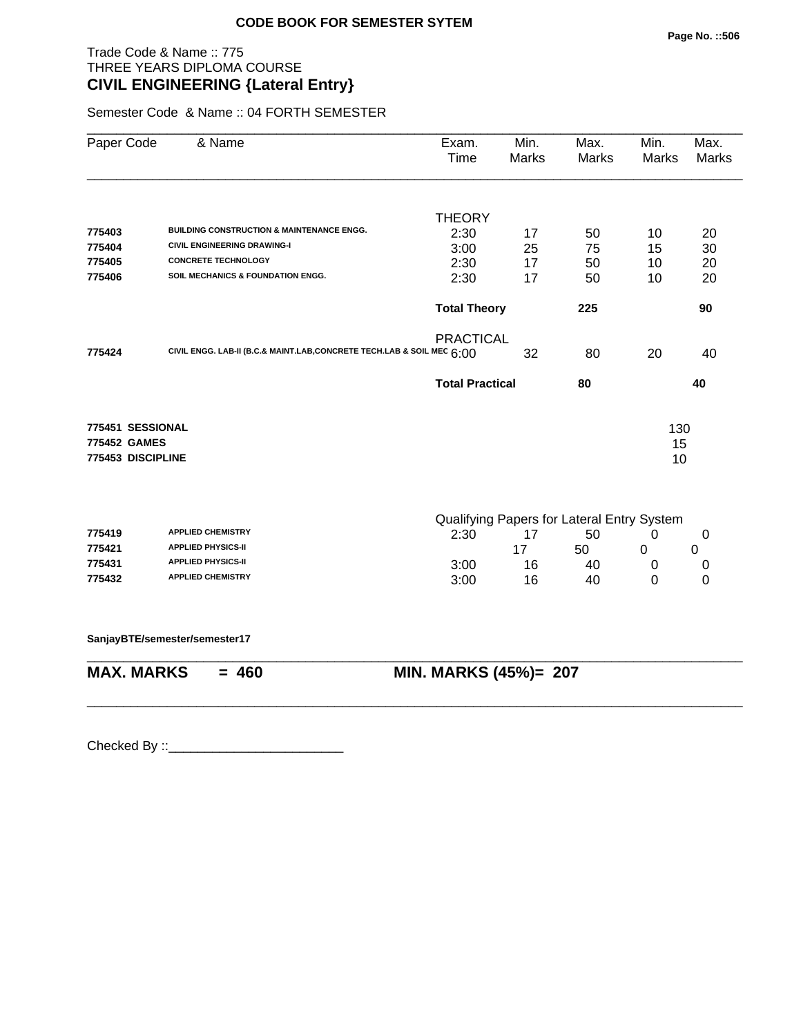# Trade Code & Name :: 775 THREE YEARS DIPLOMA COURSE **CIVIL ENGINEERING {Lateral Entry}**

Semester Code & Name :: 04 FORTH SEMESTER

| Paper Code        | & Name                                                                 | Exam.<br>Time          | Min.<br><b>Marks</b>  | Max.<br>Marks                              | Min.<br><b>Marks</b> | Max.<br>Marks |
|-------------------|------------------------------------------------------------------------|------------------------|-----------------------|--------------------------------------------|----------------------|---------------|
|                   |                                                                        | <b>THEORY</b>          |                       |                                            |                      |               |
| 775403            | <b>BUILDING CONSTRUCTION &amp; MAINTENANCE ENGG.</b>                   | 2:30                   | 17                    | 50                                         | 10                   | 20            |
| 775404            | <b>CIVIL ENGINEERING DRAWING-I</b>                                     | 3:00                   | 25                    | 75                                         | 15                   | 30            |
| 775405            | <b>CONCRETE TECHNOLOGY</b>                                             | 2:30                   | 17                    | 50                                         | 10                   | 20            |
| 775406            | SOIL MECHANICS & FOUNDATION ENGG.                                      | 2:30                   | 17                    | 50                                         | 10                   | 20            |
|                   |                                                                        | <b>Total Theory</b>    |                       | 225                                        |                      | 90            |
|                   |                                                                        | <b>PRACTICAL</b>       |                       |                                            |                      |               |
| 775424            | CIVIL ENGG. LAB-II (B.C.& MAINT.LAB, CONCRETE TECH.LAB & SOIL MEC 6:00 |                        | 32                    | 80                                         | 20                   | 40            |
|                   |                                                                        | <b>Total Practical</b> |                       | 80                                         |                      | 40            |
| 775451 SESSIONAL  |                                                                        |                        |                       |                                            | 130                  |               |
| 775452 GAMES      |                                                                        |                        |                       |                                            | 15                   |               |
| 775453 DISCIPLINE |                                                                        |                        |                       |                                            | 10                   |               |
|                   |                                                                        |                        |                       | Qualifying Papers for Lateral Entry System |                      |               |
| 775419            | <b>APPLIED CHEMISTRY</b>                                               | 2:30                   | 17                    | 50                                         | 0                    | 0             |
| 775421            | <b>APPLIED PHYSICS-II</b>                                              |                        | 17                    | 50                                         | 0                    | 0             |
| 775431            | <b>APPLIED PHYSICS-II</b>                                              | 3:00                   | 16                    | 40                                         | 0                    | 0             |
| 775432            | <b>APPLIED CHEMISTRY</b>                                               | 3:00                   | 16                    | 40                                         | $\Omega$             | $\mathbf 0$   |
|                   | SanjayBTE/semester/semester17                                          |                        |                       |                                            |                      |               |
| <b>MAX. MARKS</b> | $= 460$                                                                |                        | MIN. MARKS (45%)= 207 |                                            |                      |               |

\_\_\_\_\_\_\_\_\_\_\_\_\_\_\_\_\_\_\_\_\_\_\_\_\_\_\_\_\_\_\_\_\_\_\_\_\_\_\_\_\_\_\_\_\_\_\_\_\_\_\_\_\_\_\_\_\_\_\_\_\_\_\_\_\_\_\_\_\_\_\_\_\_\_\_\_\_\_\_\_\_\_\_\_\_\_\_\_\_\_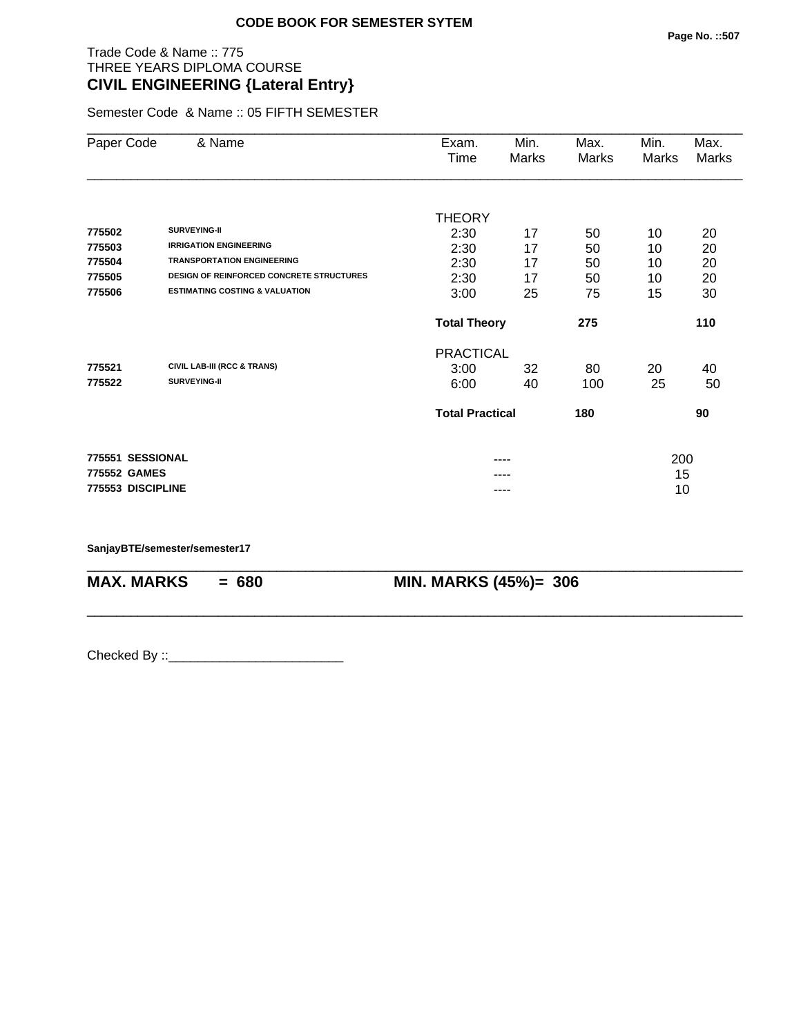# Trade Code & Name :: 775 THREE YEARS DIPLOMA COURSE **CIVIL ENGINEERING {Lateral Entry}**

Semester Code & Name :: 05 FIFTH SEMESTER

| Paper Code        | & Name                                          | Exam.                  | Min.  | Max.  | Min.  | Max.  |
|-------------------|-------------------------------------------------|------------------------|-------|-------|-------|-------|
|                   |                                                 | Time                   | Marks | Marks | Marks | Marks |
|                   |                                                 |                        |       |       |       |       |
|                   |                                                 | <b>THEORY</b>          |       |       |       |       |
| 775502            | SURVEYING-II                                    | 2:30                   | 17    | 50    | 10    | 20    |
| 775503            | <b>IRRIGATION ENGINEERING</b>                   | 2:30                   | 17    | 50    | 10    | 20    |
| 775504            | <b>TRANSPORTATION ENGINEERING</b>               | 2:30                   | 17    | 50    | 10    | 20    |
| 775505            | <b>DESIGN OF REINFORCED CONCRETE STRUCTURES</b> | 2:30                   | 17    | 50    | 10    | 20    |
| 775506            | <b>ESTIMATING COSTING &amp; VALUATION</b>       | 3:00                   | 25    | 75    | 15    | 30    |
|                   |                                                 | <b>Total Theory</b>    |       | 275   |       | 110   |
|                   |                                                 | <b>PRACTICAL</b>       |       |       |       |       |
| 775521            | <b>CIVIL LAB-III (RCC &amp; TRANS)</b>          | 3:00                   | 32    | 80    | 20    | 40    |
| 775522            | SURVEYING-II                                    | 6:00                   | 40    | 100   | 25    | 50    |
|                   |                                                 | <b>Total Practical</b> |       | 180   |       | 90    |
| 775551 SESSIONAL  |                                                 |                        | ----  |       | 200   |       |
| 775552 GAMES      |                                                 |                        | ----  |       | 15    |       |
| 775553 DISCIPLINE |                                                 |                        | ----  |       | 10    |       |
|                   |                                                 |                        |       |       |       |       |

\_\_\_\_\_\_\_\_\_\_\_\_\_\_\_\_\_\_\_\_\_\_\_\_\_\_\_\_\_\_\_\_\_\_\_\_\_\_\_\_\_\_\_\_\_\_\_\_\_\_\_\_\_\_\_\_\_\_\_\_\_\_\_\_\_\_\_\_\_\_\_\_\_\_\_\_\_\_\_\_\_\_\_\_\_\_\_\_\_\_

\_\_\_\_\_\_\_\_\_\_\_\_\_\_\_\_\_\_\_\_\_\_\_\_\_\_\_\_\_\_\_\_\_\_\_\_\_\_\_\_\_\_\_\_\_\_\_\_\_\_\_\_\_\_\_\_\_\_\_\_\_\_\_\_\_\_\_\_\_\_\_\_\_\_\_\_\_\_\_\_\_\_\_\_\_\_\_\_\_\_

**SanjayBTE/semester/semester17**

**MAX. MARKS = 680 MIN. MARKS (45%)= 306**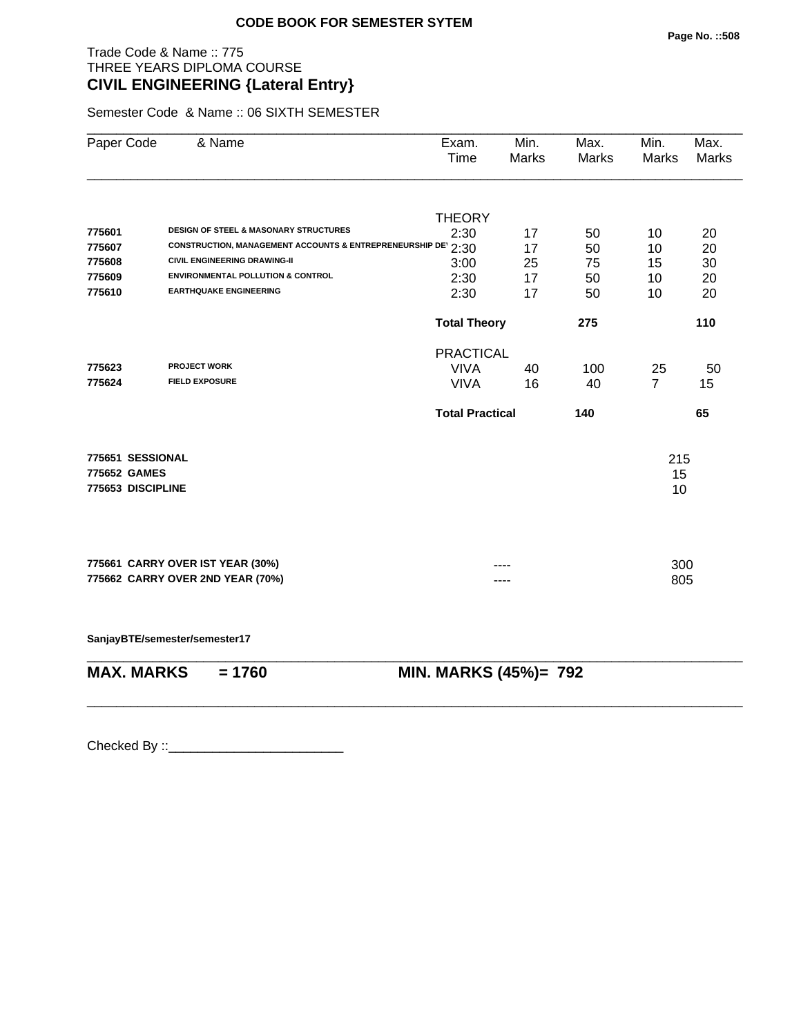# Trade Code & Name :: 775 THREE YEARS DIPLOMA COURSE **CIVIL ENGINEERING {Lateral Entry}**

Semester Code & Name :: 06 SIXTH SEMESTER

| <b>DESIGN OF STEEL &amp; MASONARY STRUCTURES</b><br>CONSTRUCTION, MANAGEMENT ACCOUNTS & ENTREPRENEURSHIP DE 2:30<br><b>CIVIL ENGINEERING DRAWING-II</b><br><b>ENVIRONMENTAL POLLUTION &amp; CONTROL</b><br><b>EARTHQUAKE ENGINEERING</b> | <b>THEORY</b><br>2:30<br>3:00<br>2:30<br>2:30<br><b>Total Theory</b> | 17<br>17<br>25<br>17<br>17 | 50<br>50<br>75<br>50<br>50 | 10<br>10<br>15<br>10<br>10 | 20<br>20<br>30<br>20          |
|------------------------------------------------------------------------------------------------------------------------------------------------------------------------------------------------------------------------------------------|----------------------------------------------------------------------|----------------------------|----------------------------|----------------------------|-------------------------------|
|                                                                                                                                                                                                                                          |                                                                      |                            |                            |                            |                               |
|                                                                                                                                                                                                                                          |                                                                      |                            |                            |                            |                               |
|                                                                                                                                                                                                                                          |                                                                      |                            |                            |                            |                               |
|                                                                                                                                                                                                                                          |                                                                      |                            |                            |                            |                               |
|                                                                                                                                                                                                                                          |                                                                      |                            |                            |                            |                               |
|                                                                                                                                                                                                                                          |                                                                      |                            |                            |                            | 20                            |
|                                                                                                                                                                                                                                          |                                                                      |                            | 275                        |                            | 110                           |
|                                                                                                                                                                                                                                          | <b>PRACTICAL</b>                                                     |                            |                            |                            |                               |
| <b>PROJECT WORK</b>                                                                                                                                                                                                                      | <b>VIVA</b>                                                          | 40                         | 100                        | 25                         | 50                            |
| <b>FIELD EXPOSURE</b>                                                                                                                                                                                                                    | <b>VIVA</b>                                                          | 16                         | 40                         | $\overline{7}$             | 15                            |
|                                                                                                                                                                                                                                          | <b>Total Practical</b>                                               |                            | 140                        |                            | 65                            |
| 775651 SESSIONAL                                                                                                                                                                                                                         |                                                                      |                            |                            |                            |                               |
|                                                                                                                                                                                                                                          |                                                                      |                            |                            |                            |                               |
| 775653 DISCIPLINE                                                                                                                                                                                                                        |                                                                      |                            |                            |                            |                               |
|                                                                                                                                                                                                                                          |                                                                      |                            |                            |                            |                               |
|                                                                                                                                                                                                                                          |                                                                      |                            |                            |                            |                               |
| 775662 CARRY OVER 2ND YEAR (70%)                                                                                                                                                                                                         |                                                                      |                            |                            |                            |                               |
| SanjayBTE/semester/semester17                                                                                                                                                                                                            |                                                                      |                            |                            |                            |                               |
| <b>MAX. MARKS</b><br>$= 1760$                                                                                                                                                                                                            |                                                                      |                            |                            |                            |                               |
|                                                                                                                                                                                                                                          | 775661 CARRY OVER IST YEAR (30%)                                     |                            |                            | MIN. MARKS (45%)= 792      | 215<br>15<br>10<br>300<br>805 |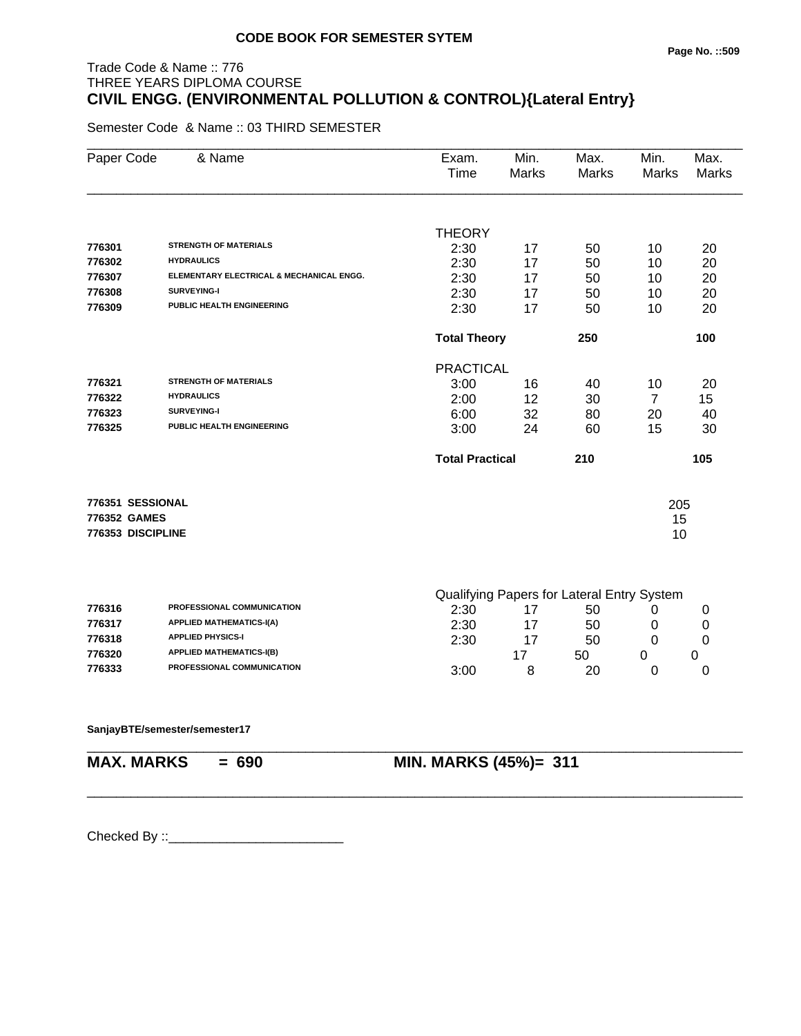# Trade Code & Name :: 776 THREE YEARS DIPLOMA COURSE **CIVIL ENGG. (ENVIRONMENTAL POLLUTION & CONTROL){Lateral Entry}**

Semester Code & Name :: 03 THIRD SEMESTER

| Paper Code        | & Name                                   | Exam.<br>Time          | Min.<br><b>Marks</b> | Max.<br><b>Marks</b>                       | Min.<br>Marks  | Max.<br><b>Marks</b> |
|-------------------|------------------------------------------|------------------------|----------------------|--------------------------------------------|----------------|----------------------|
|                   |                                          | <b>THEORY</b>          |                      |                                            |                |                      |
| 776301            | <b>STRENGTH OF MATERIALS</b>             | 2:30                   | 17                   | 50                                         | 10             | 20                   |
| 776302            | <b>HYDRAULICS</b>                        | 2:30                   | 17                   | 50                                         | 10             | 20                   |
| 776307            | ELEMENTARY ELECTRICAL & MECHANICAL ENGG. | 2:30                   | 17                   | 50                                         | 10             | 20                   |
| 776308            | SURVEYING-I                              | 2:30                   | 17                   | 50                                         | 10             | 20                   |
| 776309            | PUBLIC HEALTH ENGINEERING                | 2:30                   | 17                   | 50                                         | 10             | 20                   |
|                   |                                          | <b>Total Theory</b>    |                      | 250                                        |                | 100                  |
|                   |                                          | <b>PRACTICAL</b>       |                      |                                            |                |                      |
| 776321            | <b>STRENGTH OF MATERIALS</b>             | 3:00                   | 16                   | 40                                         | 10             | 20                   |
| 776322            | <b>HYDRAULICS</b>                        | 2:00                   | 12                   | 30                                         | $\overline{7}$ | 15 <sub>1</sub>      |
| 776323            | SURVEYING-I                              | 6:00                   | 32                   | 80                                         | 20             | 40                   |
| 776325            | PUBLIC HEALTH ENGINEERING                | 3:00                   | 24                   | 60                                         | 15             | 30                   |
|                   |                                          | <b>Total Practical</b> |                      | 210                                        |                | 105                  |
| 776351 SESSIONAL  |                                          |                        |                      |                                            | 205            |                      |
| 776352 GAMES      |                                          |                        |                      |                                            | 15             |                      |
| 776353 DISCIPLINE |                                          |                        |                      |                                            | 10             |                      |
|                   |                                          |                        |                      |                                            |                |                      |
| 770010            | <b>DRAFFCCIONAL COMMUNICATION</b>        |                        |                      | Qualifying Papers for Lateral Entry System |                |                      |

\_\_\_\_\_\_\_\_\_\_\_\_\_\_\_\_\_\_\_\_\_\_\_\_\_\_\_\_\_\_\_\_\_\_\_\_\_\_\_\_\_\_\_\_\_\_\_\_\_\_\_\_\_\_\_\_\_\_\_\_\_\_\_\_\_\_\_\_\_\_\_\_\_\_\_\_\_\_\_\_\_\_\_\_\_\_\_\_\_\_

| 776316 | <b>PROFESSIONAL COMMUNICATION</b> | 2:30 | 50 |  |
|--------|-----------------------------------|------|----|--|
| 776317 | <b>APPLIED MATHEMATICS-I(A)</b>   | 2:30 | 50 |  |
| 776318 | <b>APPLIED PHYSICS-I</b>          | 2:30 | 50 |  |
| 776320 | <b>APPLIED MATHEMATICS-I(B)</b>   |      | 50 |  |
| 776333 | <b>PROFESSIONAL COMMUNICATION</b> | 3:00 | 20 |  |

\_\_\_\_\_\_\_\_\_\_\_\_\_\_\_\_\_\_\_\_\_\_\_\_\_\_\_\_\_\_\_\_\_\_\_\_\_\_\_\_\_\_\_\_\_\_\_\_\_\_\_\_\_\_\_\_\_\_\_\_\_\_\_\_\_\_\_\_\_\_\_\_\_\_\_\_\_\_\_\_\_\_\_\_\_\_\_\_\_\_

\_\_\_\_\_\_\_\_\_\_\_\_\_\_\_\_\_\_\_\_\_\_\_\_\_\_\_\_\_\_\_\_\_\_\_\_\_\_\_\_\_\_\_\_\_\_\_\_\_\_\_\_\_\_\_\_\_\_\_\_\_\_\_\_\_\_\_\_\_\_\_\_\_\_\_\_\_\_\_\_\_\_\_\_\_\_\_\_\_\_

#### **SanjayBTE/semester/semester17**

# **MAX. MARKS = 690 MIN. MARKS (45%)= 311**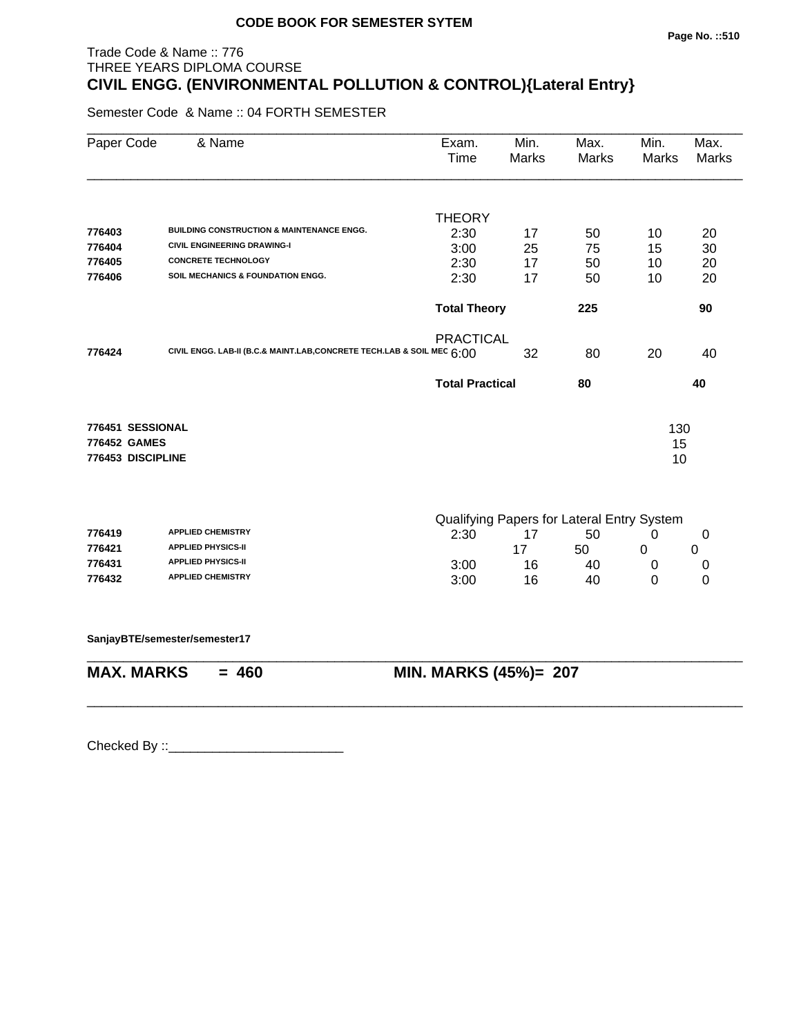# Trade Code & Name :: 776 THREE YEARS DIPLOMA COURSE **CIVIL ENGG. (ENVIRONMENTAL POLLUTION & CONTROL){Lateral Entry}**

Semester Code & Name :: 04 FORTH SEMESTER

| Paper Code        | & Name                                                                 | Exam.<br>Time          | Min.<br><b>Marks</b> | Max.<br>Marks                              | Min.<br><b>Marks</b> | Max.<br><b>Marks</b> |
|-------------------|------------------------------------------------------------------------|------------------------|----------------------|--------------------------------------------|----------------------|----------------------|
|                   |                                                                        | <b>THEORY</b>          |                      |                                            |                      |                      |
| 776403            | <b>BUILDING CONSTRUCTION &amp; MAINTENANCE ENGG.</b>                   | 2:30                   | 17                   | 50                                         | 10                   | 20                   |
| 776404            | <b>CIVIL ENGINEERING DRAWING-I</b>                                     | 3:00                   | 25                   | 75                                         | 15                   | 30                   |
| 776405            | <b>CONCRETE TECHNOLOGY</b>                                             | 2:30                   | 17                   | 50                                         | 10                   | 20                   |
| 776406            | SOIL MECHANICS & FOUNDATION ENGG.                                      | 2:30                   | 17                   | 50                                         | 10                   | 20                   |
|                   |                                                                        | <b>Total Theory</b>    |                      | 225                                        |                      | 90                   |
|                   |                                                                        | <b>PRACTICAL</b>       |                      |                                            |                      |                      |
| 776424            | CIVIL ENGG. LAB-II (B.C.& MAINT.LAB, CONCRETE TECH.LAB & SOIL MEC 6:00 |                        | 32                   | 80                                         | 20                   | 40                   |
|                   |                                                                        | <b>Total Practical</b> |                      | 80                                         |                      | 40                   |
| 776451 SESSIONAL  |                                                                        |                        |                      |                                            | 130                  |                      |
| 776452 GAMES      |                                                                        |                        |                      |                                            | 15                   |                      |
| 776453 DISCIPLINE |                                                                        |                        |                      |                                            | 10                   |                      |
|                   |                                                                        |                        |                      | Qualifying Papers for Lateral Entry System |                      |                      |
| 776419            | <b>APPLIED CHEMISTRY</b>                                               | 2:30                   | 17                   | 50                                         | 0                    | 0                    |
| 776421            | <b>APPLIED PHYSICS-II</b>                                              |                        | 17                   | 50                                         | 0                    | 0                    |
| 776431            | <b>APPLIED PHYSICS-II</b>                                              | 3:00                   | 16                   | 40                                         | 0                    | 0                    |
| 776432            | <b>APPLIED CHEMISTRY</b>                                               | 3:00                   | 16                   | 40                                         | 0                    | 0                    |
|                   | SanjayBTE/semester/semester17                                          |                        |                      |                                            |                      |                      |
| <b>MAX. MARKS</b> | $= 460$                                                                | MIN. MARKS (45%)= 207  |                      |                                            |                      |                      |

\_\_\_\_\_\_\_\_\_\_\_\_\_\_\_\_\_\_\_\_\_\_\_\_\_\_\_\_\_\_\_\_\_\_\_\_\_\_\_\_\_\_\_\_\_\_\_\_\_\_\_\_\_\_\_\_\_\_\_\_\_\_\_\_\_\_\_\_\_\_\_\_\_\_\_\_\_\_\_\_\_\_\_\_\_\_\_\_\_\_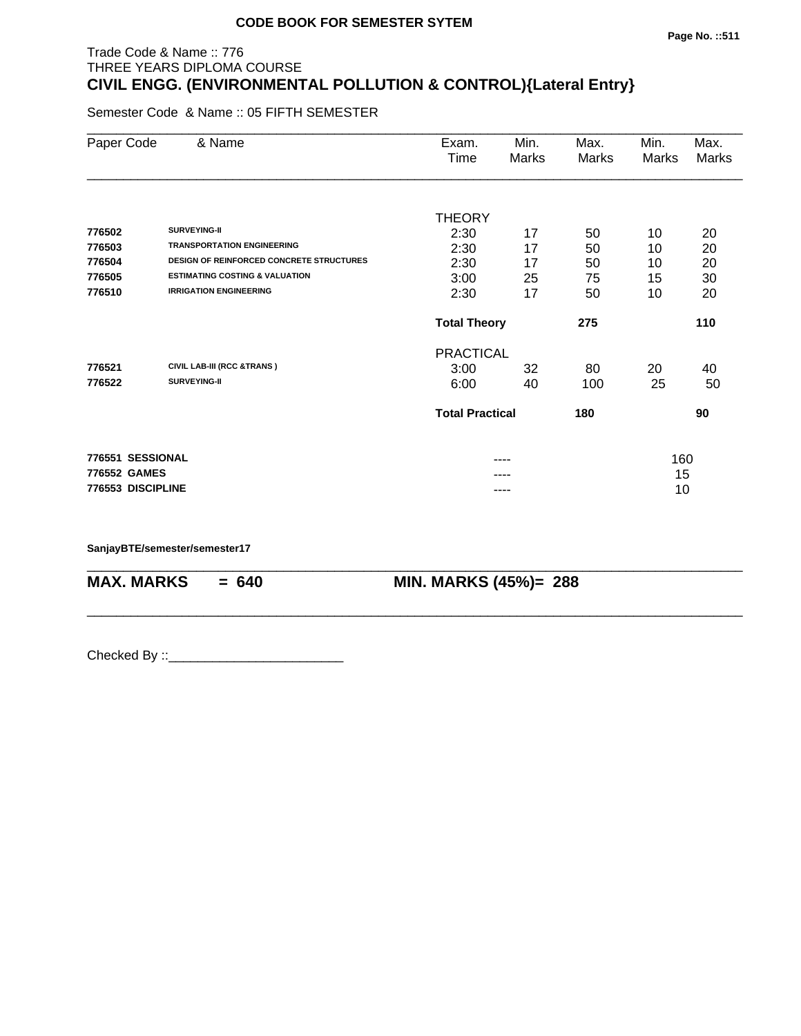# Trade Code & Name :: 776 THREE YEARS DIPLOMA COURSE **CIVIL ENGG. (ENVIRONMENTAL POLLUTION & CONTROL){Lateral Entry}**

Semester Code & Name :: 05 FIFTH SEMESTER

| Paper Code        | & Name                                          | Exam.                  | Min.  | Max.  | Min.  | Max.  |
|-------------------|-------------------------------------------------|------------------------|-------|-------|-------|-------|
|                   |                                                 | Time                   | Marks | Marks | Marks | Marks |
|                   |                                                 |                        |       |       |       |       |
|                   |                                                 | <b>THEORY</b>          |       |       |       |       |
| 776502            | SURVEYING-II                                    | 2:30                   | 17    | 50    | 10    | 20    |
| 776503            | <b>TRANSPORTATION ENGINEERING</b>               | 2:30                   | 17    | 50    | 10    | 20    |
| 776504            | <b>DESIGN OF REINFORCED CONCRETE STRUCTURES</b> | 2:30                   | 17    | 50    | 10    | 20    |
| 776505            | <b>ESTIMATING COSTING &amp; VALUATION</b>       | 3:00                   | 25    | 75    | 15    | 30    |
| 776510            | <b>IRRIGATION ENGINEERING</b>                   | 2:30                   | 17    | 50    | 10    | 20    |
|                   |                                                 | <b>Total Theory</b>    |       | 275   |       | 110   |
|                   |                                                 | <b>PRACTICAL</b>       |       |       |       |       |
| 776521            | CIVIL LAB-III (RCC &TRANS)                      | 3:00                   | 32    | 80    | 20    | 40    |
| 776522            | SURVEYING-II                                    | 6:00                   | 40    | 100   | 25    | 50    |
|                   |                                                 | <b>Total Practical</b> |       | 180   |       | 90    |
| 776551 SESSIONAL  |                                                 |                        | ----  |       | 160   |       |
| 776552 GAMES      |                                                 |                        |       |       | 15    |       |
| 776553 DISCIPLINE |                                                 |                        | ----  |       | 10    |       |
|                   |                                                 |                        |       |       |       |       |

\_\_\_\_\_\_\_\_\_\_\_\_\_\_\_\_\_\_\_\_\_\_\_\_\_\_\_\_\_\_\_\_\_\_\_\_\_\_\_\_\_\_\_\_\_\_\_\_\_\_\_\_\_\_\_\_\_\_\_\_\_\_\_\_\_\_\_\_\_\_\_\_\_\_\_\_\_\_\_\_\_\_\_\_\_\_\_\_\_\_

\_\_\_\_\_\_\_\_\_\_\_\_\_\_\_\_\_\_\_\_\_\_\_\_\_\_\_\_\_\_\_\_\_\_\_\_\_\_\_\_\_\_\_\_\_\_\_\_\_\_\_\_\_\_\_\_\_\_\_\_\_\_\_\_\_\_\_\_\_\_\_\_\_\_\_\_\_\_\_\_\_\_\_\_\_\_\_\_\_\_

**SanjayBTE/semester/semester17**

**MAX. MARKS = 640 MIN. MARKS (45%)= 288**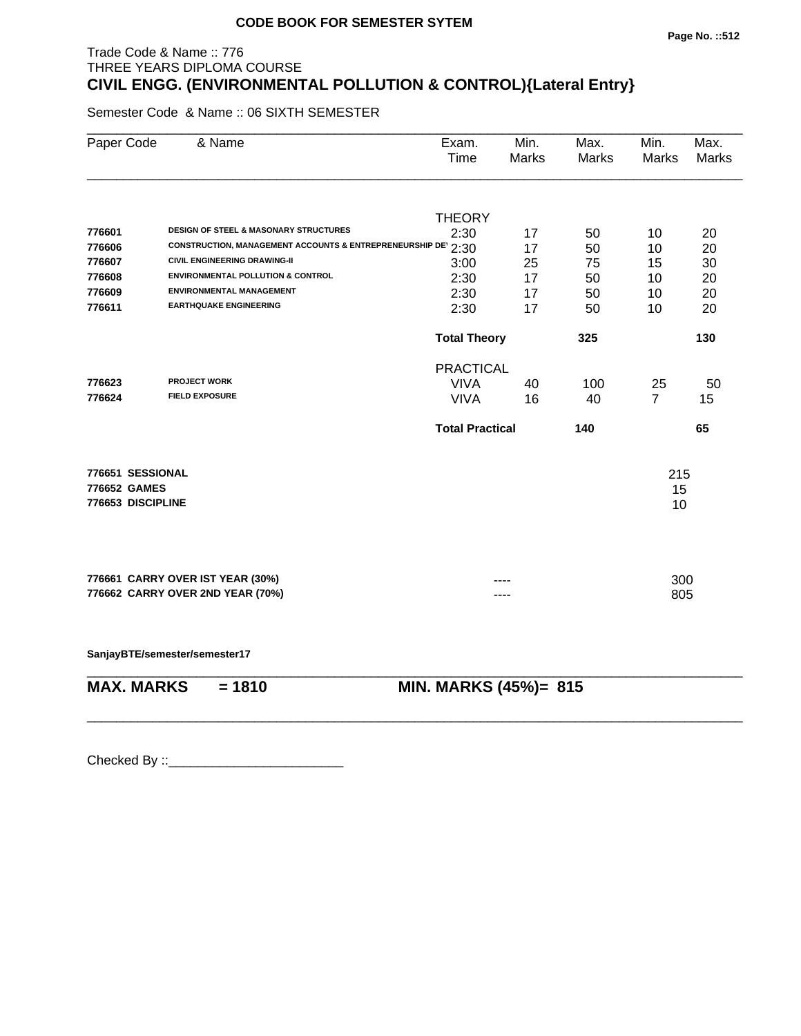# Trade Code & Name :: 776 THREE YEARS DIPLOMA COURSE **CIVIL ENGG. (ENVIRONMENTAL POLLUTION & CONTROL){Lateral Entry}**

Semester Code & Name :: 06 SIXTH SEMESTER

| Paper Code        | & Name                                                       | Exam.<br>Time          | Min.<br><b>Marks</b> | Max.<br><b>Marks</b> | Min.<br>Marks  | Max.<br><b>Marks</b> |
|-------------------|--------------------------------------------------------------|------------------------|----------------------|----------------------|----------------|----------------------|
|                   |                                                              | <b>THEORY</b>          |                      |                      |                |                      |
| 776601            | <b>DESIGN OF STEEL &amp; MASONARY STRUCTURES</b>             | 2:30                   | 17                   | 50                   | 10             | 20                   |
| 776606            | CONSTRUCTION, MANAGEMENT ACCOUNTS & ENTREPRENEURSHIP DE 2:30 |                        | 17                   | 50                   | 10             | 20                   |
| 776607            | <b>CIVIL ENGINEERING DRAWING-II</b>                          | 3:00                   | 25                   | 75                   | 15             | 30                   |
| 776608            | <b>ENVIRONMENTAL POLLUTION &amp; CONTROL</b>                 | 2:30                   | 17                   | 50                   | 10             | 20                   |
| 776609            | <b>ENVIRONMENTAL MANAGEMENT</b>                              | 2:30                   | 17                   | 50                   | 10             | 20                   |
| 776611            | <b>EARTHQUAKE ENGINEERING</b>                                | 2:30                   | 17                   | 50                   | 10             | 20                   |
|                   |                                                              | <b>Total Theory</b>    |                      | 325                  |                | 130                  |
|                   |                                                              | <b>PRACTICAL</b>       |                      |                      |                |                      |
| 776623            | <b>PROJECT WORK</b>                                          | <b>VIVA</b>            | 40                   | 100                  | 25             | 50                   |
| 776624            | <b>FIELD EXPOSURE</b>                                        | <b>VIVA</b>            | 16                   | 40                   | $\overline{7}$ | 15                   |
|                   |                                                              | <b>Total Practical</b> |                      | 140                  |                | 65                   |
| 776651 SESSIONAL  |                                                              |                        |                      |                      | 215            |                      |
| 776652 GAMES      |                                                              |                        |                      |                      | 15             |                      |
| 776653 DISCIPLINE |                                                              |                        |                      |                      | 10             |                      |
|                   | 776661 CARRY OVER IST YEAR (30%)                             |                        |                      |                      | 300            |                      |
|                   | 776662 CARRY OVER 2ND YEAR (70%)                             |                        |                      |                      | 805            |                      |

\_\_\_\_\_\_\_\_\_\_\_\_\_\_\_\_\_\_\_\_\_\_\_\_\_\_\_\_\_\_\_\_\_\_\_\_\_\_\_\_\_\_\_\_\_\_\_\_\_\_\_\_\_\_\_\_\_\_\_\_\_\_\_\_\_\_\_\_\_\_\_\_\_\_\_\_\_\_\_\_\_\_\_\_\_\_\_\_\_\_

\_\_\_\_\_\_\_\_\_\_\_\_\_\_\_\_\_\_\_\_\_\_\_\_\_\_\_\_\_\_\_\_\_\_\_\_\_\_\_\_\_\_\_\_\_\_\_\_\_\_\_\_\_\_\_\_\_\_\_\_\_\_\_\_\_\_\_\_\_\_\_\_\_\_\_\_\_\_\_\_\_\_\_\_\_\_\_\_\_\_

**SanjayBTE/semester/semester17**

| <b>MAX. MARKS</b> | $= 1810$ | MII |
|-------------------|----------|-----|
|                   |          |     |

**M. MARKS (45%)= 815**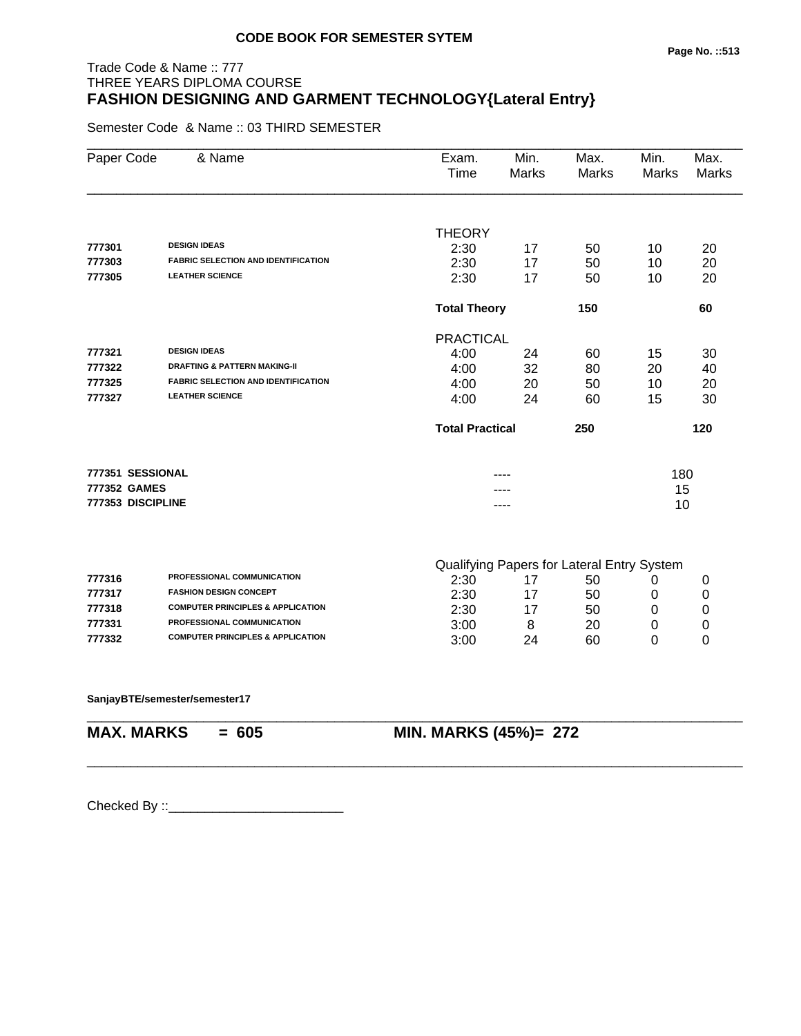# Trade Code & Name :: 777 THREE YEARS DIPLOMA COURSE **FASHION DESIGNING AND GARMENT TECHNOLOGY{Lateral Entry}**

Semester Code & Name :: 03 THIRD SEMESTER

| Paper Code        | & Name                                       | Exam.<br>Time          | Min.<br><b>Marks</b> | Max.<br><b>Marks</b>                       | Min.<br>Marks | Max.<br><b>Marks</b> |
|-------------------|----------------------------------------------|------------------------|----------------------|--------------------------------------------|---------------|----------------------|
|                   |                                              | <b>THEORY</b>          |                      |                                            |               |                      |
| 777301            | <b>DESIGN IDEAS</b>                          | 2:30                   | 17                   | 50                                         | 10            | 20                   |
| 777303            | <b>FABRIC SELECTION AND IDENTIFICATION</b>   | 2:30                   | 17                   | 50                                         | 10            | 20                   |
| 777305            | <b>LEATHER SCIENCE</b>                       | 2:30                   | 17                   | 50                                         | 10            | 20                   |
|                   |                                              | <b>Total Theory</b>    |                      | 150                                        |               | 60                   |
|                   |                                              | <b>PRACTICAL</b>       |                      |                                            |               |                      |
| 777321            | <b>DESIGN IDEAS</b>                          | 4:00                   | 24                   | 60                                         | 15            | 30                   |
| 777322            | <b>DRAFTING &amp; PATTERN MAKING-II</b>      | 4:00                   | 32                   | 80                                         | 20            | 40                   |
| 777325            | <b>FABRIC SELECTION AND IDENTIFICATION</b>   | 4:00                   | 20                   | 50                                         | 10            | 20                   |
| 777327            | <b>LEATHER SCIENCE</b>                       | 4:00                   | 24                   | 60                                         | 15            | 30                   |
|                   |                                              | <b>Total Practical</b> |                      | 250                                        |               | 120                  |
| 777351 SESSIONAL  |                                              |                        |                      |                                            | 180           |                      |
| 777352 GAMES      |                                              |                        |                      |                                            | 15            |                      |
| 777353 DISCIPLINE |                                              |                        | ----                 |                                            | 10            |                      |
|                   |                                              |                        |                      | Qualifying Papers for Lateral Entry System |               |                      |
| 777316            | PROFESSIONAL COMMUNICATION                   | 2:30                   | 17                   | 50                                         | 0             | 0                    |
| 777317            | <b>FASHION DESIGN CONCEPT</b>                | 2:30                   | 17                   | 50                                         | 0             | 0                    |
| 777318            | <b>COMPUTER PRINCIPLES &amp; APPLICATION</b> | 2:30                   | 17                   | 50                                         | 0             | 0                    |
| 777331            | PROFESSIONAL COMMUNICATION                   | 3:00                   | 8                    | 20                                         | 0             | 0                    |
| 777332            | <b>COMPUTER PRINCIPLES &amp; APPLICATION</b> | 3:00                   | 24                   | 60                                         | 0             | 0                    |
|                   |                                              |                        |                      |                                            |               |                      |

\_\_\_\_\_\_\_\_\_\_\_\_\_\_\_\_\_\_\_\_\_\_\_\_\_\_\_\_\_\_\_\_\_\_\_\_\_\_\_\_\_\_\_\_\_\_\_\_\_\_\_\_\_\_\_\_\_\_\_\_\_\_\_\_\_\_\_\_\_\_\_\_\_\_\_\_\_\_\_\_\_\_\_\_\_\_\_\_\_\_

\_\_\_\_\_\_\_\_\_\_\_\_\_\_\_\_\_\_\_\_\_\_\_\_\_\_\_\_\_\_\_\_\_\_\_\_\_\_\_\_\_\_\_\_\_\_\_\_\_\_\_\_\_\_\_\_\_\_\_\_\_\_\_\_\_\_\_\_\_\_\_\_\_\_\_\_\_\_\_\_\_\_\_\_\_\_\_\_\_\_

**SanjayBTE/semester/semester17**

**MAX. MARKS = 605 MIN. MARKS (45%)= 272**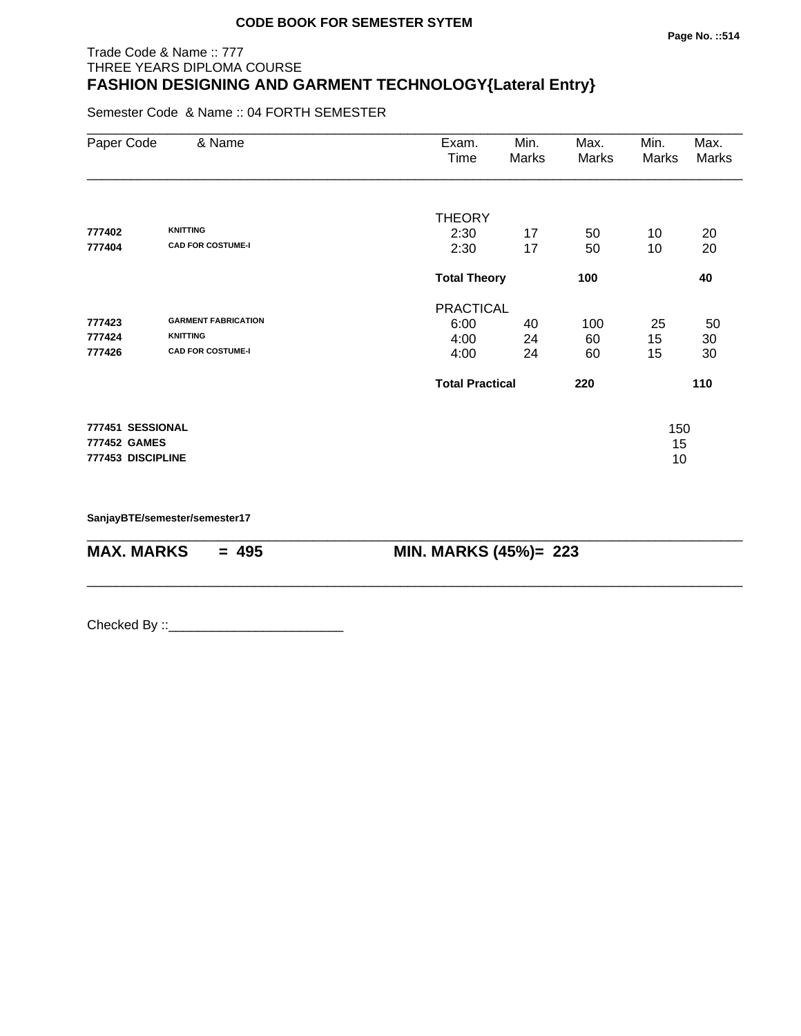# Trade Code & Name :: 777 THREE YEARS DIPLOMA COURSE **FASHION DESIGNING AND GARMENT TECHNOLOGY{Lateral Entry}**

Semester Code & Name :: 04 FORTH SEMESTER

| Paper Code                        | & Name                     | Exam.<br>Time          | Min.<br>Marks              | Max.<br>Marks | Min.<br>Marks | Max.<br><b>Marks</b> |
|-----------------------------------|----------------------------|------------------------|----------------------------|---------------|---------------|----------------------|
|                                   |                            | <b>THEORY</b>          |                            |               |               |                      |
| 777402                            | <b>KNITTING</b>            | 2:30                   | 17                         | 50            | 10            | 20                   |
| 777404                            | <b>CAD FOR COSTUME-I</b>   | 2:30                   | 17                         | 50            | 10            | 20                   |
|                                   |                            |                        | <b>Total Theory</b><br>100 |               |               | 40                   |
|                                   |                            | <b>PRACTICAL</b>       |                            |               |               |                      |
| 777423                            | <b>GARMENT FABRICATION</b> | 6:00                   | 40                         | 100           | 25            | 50                   |
| 777424                            | <b>KNITTING</b>            | 4:00                   | 24                         | 60            | 15            | 30                   |
| 777426                            | <b>CAD FOR COSTUME-I</b>   | 4:00                   | 24                         | 60            | 15            | 30                   |
|                                   |                            | <b>Total Practical</b> |                            | 220           |               | 110                  |
| 777451 SESSIONAL                  |                            |                        |                            |               | 150           |                      |
| 777452 GAMES<br>777453 DISCIPLINE |                            |                        |                            |               | 15            |                      |
|                                   |                            |                        |                            |               | 10            |                      |

\_\_\_\_\_\_\_\_\_\_\_\_\_\_\_\_\_\_\_\_\_\_\_\_\_\_\_\_\_\_\_\_\_\_\_\_\_\_\_\_\_\_\_\_\_\_\_\_\_\_\_\_\_\_\_\_\_\_\_\_\_\_\_\_\_\_\_\_\_\_\_\_\_\_\_\_\_\_\_\_\_\_\_\_\_\_\_\_\_\_

\_\_\_\_\_\_\_\_\_\_\_\_\_\_\_\_\_\_\_\_\_\_\_\_\_\_\_\_\_\_\_\_\_\_\_\_\_\_\_\_\_\_\_\_\_\_\_\_\_\_\_\_\_\_\_\_\_\_\_\_\_\_\_\_\_\_\_\_\_\_\_\_\_\_\_\_\_\_\_\_\_\_\_\_\_\_\_\_\_\_

**SanjayBTE/semester/semester17**

**MAX. MARKS = 495 MIN. MARKS (45%)= 223**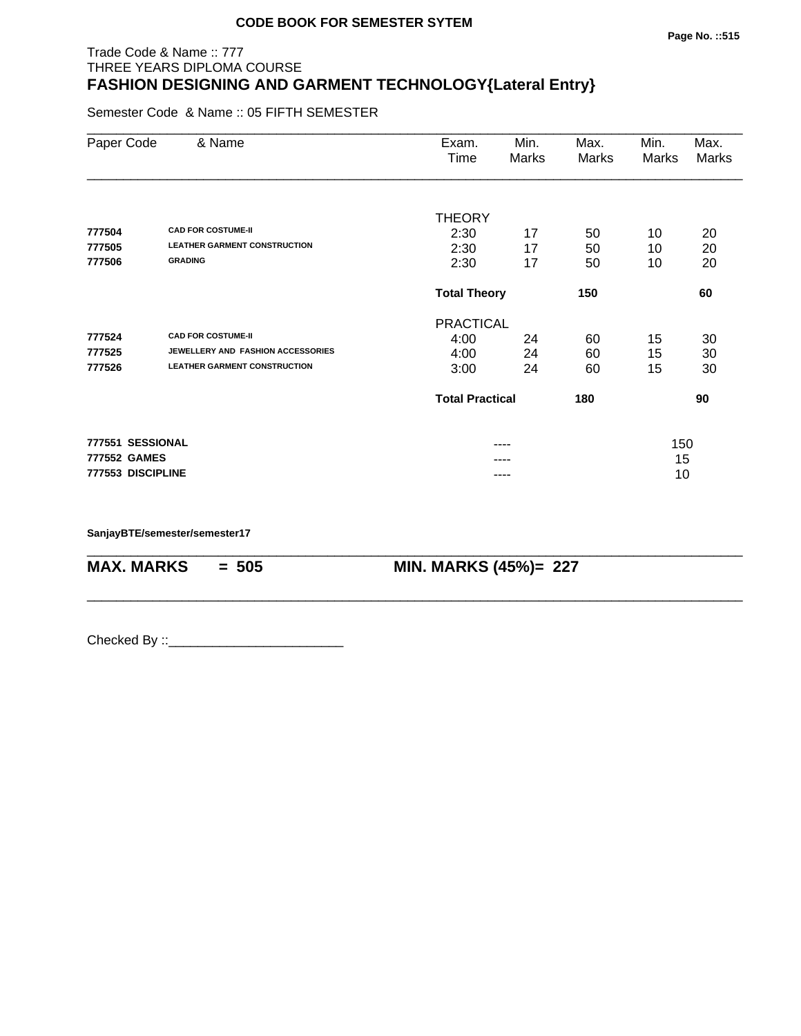#### **Page No. ::515**

# Trade Code & Name :: 777 THREE YEARS DIPLOMA COURSE **FASHION DESIGNING AND GARMENT TECHNOLOGY{Lateral Entry}**

Semester Code & Name :: 05 FIFTH SEMESTER

| Paper Code        | & Name                              | Exam.<br>Time              | Min.<br>Marks | Max.<br>Marks | Min.<br>Marks | Max.<br>Marks |
|-------------------|-------------------------------------|----------------------------|---------------|---------------|---------------|---------------|
|                   |                                     | <b>THEORY</b>              |               |               |               |               |
| 777504            | <b>CAD FOR COSTUME-II</b>           | 2:30                       | 17            | 50            | 10            | 20            |
| 777505            | <b>LEATHER GARMENT CONSTRUCTION</b> | 2:30                       | 17            | 50            | 10            | 20            |
| 777506            | <b>GRADING</b>                      | 2:30                       | 17            | 50            | 10            | 20            |
|                   |                                     | <b>Total Theory</b><br>150 |               |               |               | 60            |
|                   |                                     | <b>PRACTICAL</b>           |               |               |               |               |
| 777524            | <b>CAD FOR COSTUME-II</b>           | 4:00                       | 24            | 60            | 15            | 30            |
| 777525            | JEWELLERY AND FASHION ACCESSORIES   | 4:00                       | 24            | 60            | 15            | 30            |
| 777526            | <b>LEATHER GARMENT CONSTRUCTION</b> | 3:00                       | 24            | 60            | 15            | 30            |
|                   |                                     | <b>Total Practical</b>     |               | 180           |               | 90            |
| 777551 SESSIONAL  |                                     |                            |               |               | 150           |               |
| 777552 GAMES      |                                     |                            |               |               | 15            |               |
| 777553 DISCIPLINE |                                     |                            | ----          |               | 10            |               |

\_\_\_\_\_\_\_\_\_\_\_\_\_\_\_\_\_\_\_\_\_\_\_\_\_\_\_\_\_\_\_\_\_\_\_\_\_\_\_\_\_\_\_\_\_\_\_\_\_\_\_\_\_\_\_\_\_\_\_\_\_\_\_\_\_\_\_\_\_\_\_\_\_\_\_\_\_\_\_\_\_\_\_\_\_\_\_\_\_\_

\_\_\_\_\_\_\_\_\_\_\_\_\_\_\_\_\_\_\_\_\_\_\_\_\_\_\_\_\_\_\_\_\_\_\_\_\_\_\_\_\_\_\_\_\_\_\_\_\_\_\_\_\_\_\_\_\_\_\_\_\_\_\_\_\_\_\_\_\_\_\_\_\_\_\_\_\_\_\_\_\_\_\_\_\_\_\_\_\_\_

**SanjayBTE/semester/semester17**

**MAX. MARKS = 505 MIN. MARKS (45%)= 227**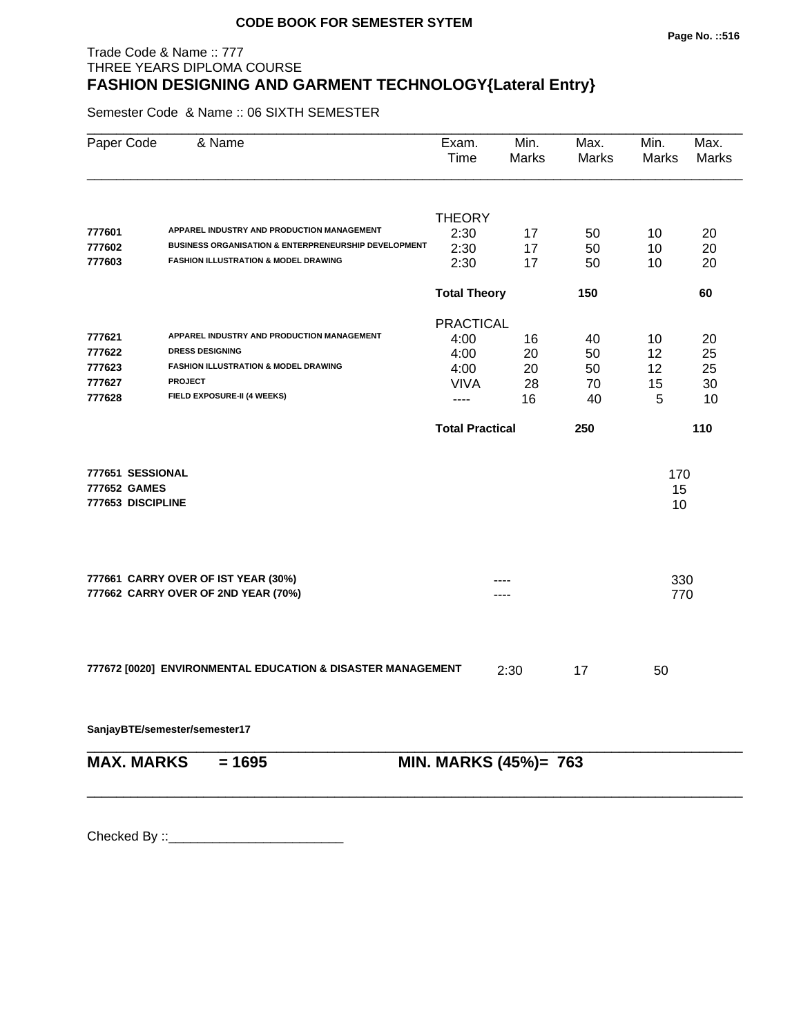# Trade Code & Name :: 777 THREE YEARS DIPLOMA COURSE **FASHION DESIGNING AND GARMENT TECHNOLOGY{Lateral Entry}**

Semester Code & Name :: 06 SIXTH SEMESTER

| Paper Code                                            | & Name                                                                     | Exam.<br>Time          | Min.<br>Marks         | Max.<br>Marks | Min.<br>Marks   | Max.<br>Marks |
|-------------------------------------------------------|----------------------------------------------------------------------------|------------------------|-----------------------|---------------|-----------------|---------------|
|                                                       |                                                                            | <b>THEORY</b>          |                       |               |                 |               |
| 777601                                                | APPAREL INDUSTRY AND PRODUCTION MANAGEMENT                                 | 2:30                   | 17                    | 50            | 10              | 20            |
| 777602                                                | <b>BUSINESS ORGANISATION &amp; ENTERPRENEURSHIP DEVELOPMENT</b>            | 2:30                   | 17                    | 50            | 10              | 20            |
| 777603                                                | <b>FASHION ILLUSTRATION &amp; MODEL DRAWING</b>                            | 2:30                   | 17                    | 50            | 10              | 20            |
|                                                       |                                                                            | <b>Total Theory</b>    |                       | 150           |                 | 60            |
|                                                       |                                                                            | <b>PRACTICAL</b>       |                       |               |                 |               |
| 777621                                                | APPAREL INDUSTRY AND PRODUCTION MANAGEMENT                                 | 4:00                   | 16                    | 40            | 10              | 20            |
| 777622                                                | <b>DRESS DESIGNING</b>                                                     | 4:00                   | 20                    | 50            | 12              | 25            |
| 777623                                                | <b>FASHION ILLUSTRATION &amp; MODEL DRAWING</b>                            | 4:00                   | 20                    | 50            | 12              | 25            |
| 777627                                                | <b>PROJECT</b>                                                             | <b>VIVA</b>            | 28                    | 70            | 15              | 30            |
| 777628                                                | FIELD EXPOSURE-II (4 WEEKS)                                                | ----                   | 16                    | 40            | 5               | 10            |
|                                                       |                                                                            | <b>Total Practical</b> |                       | 250           |                 | 110           |
| 777651 SESSIONAL<br>777652 GAMES<br>777653 DISCIPLINE |                                                                            |                        |                       |               | 170<br>15<br>10 |               |
|                                                       | 777661 CARRY OVER OF IST YEAR (30%)<br>777662 CARRY OVER OF 2ND YEAR (70%) |                        |                       |               | 330<br>770      |               |
|                                                       | 777672 [0020] ENVIRONMENTAL EDUCATION & DISASTER MANAGEMENT                |                        | 2:30                  | 17            | 50              |               |
|                                                       | SanjayBTE/semester/semester17                                              |                        |                       |               |                 |               |
| <b>MAX. MARKS</b>                                     | $= 1695$                                                                   |                        | MIN. MARKS (45%)= 763 |               |                 |               |
|                                                       |                                                                            |                        |                       |               |                 |               |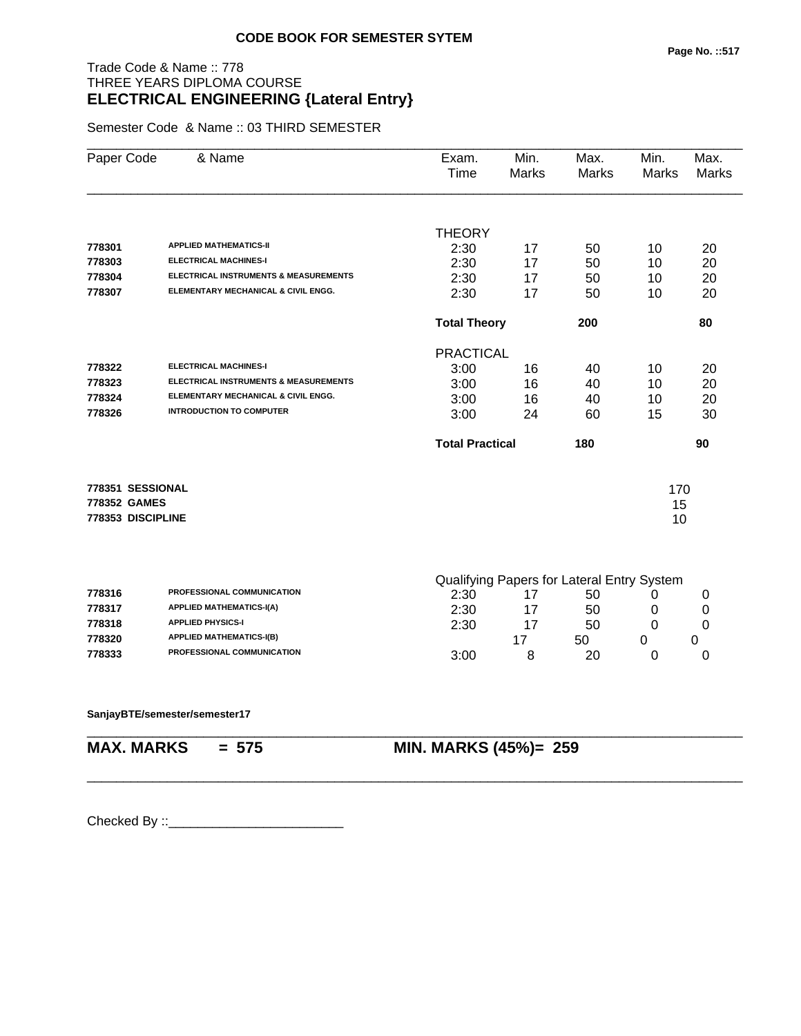# Trade Code & Name :: 778 THREE YEARS DIPLOMA COURSE **ELECTRICAL ENGINEERING {Lateral Entry}**

Semester Code & Name :: 03 THIRD SEMESTER

| Paper Code        | & Name                                           | Exam.<br>Time                              | Min.<br><b>Marks</b> | Max.<br><b>Marks</b> | Min.<br>Marks | Max.<br>Marks |
|-------------------|--------------------------------------------------|--------------------------------------------|----------------------|----------------------|---------------|---------------|
|                   |                                                  |                                            |                      |                      |               |               |
|                   |                                                  | <b>THEORY</b>                              |                      |                      |               |               |
| 778301            | <b>APPLIED MATHEMATICS-II</b>                    | 2:30                                       | 17                   | 50                   | 10            | 20            |
| 778303            | <b>ELECTRICAL MACHINES-I</b>                     | 2:30                                       | 17                   | 50                   | 10            | 20            |
| 778304            | <b>ELECTRICAL INSTRUMENTS &amp; MEASUREMENTS</b> | 2:30                                       | 17                   | 50                   | 10            | 20            |
| 778307            | ELEMENTARY MECHANICAL & CIVIL ENGG.              | 2:30                                       | 17                   | 50                   | 10            | 20            |
|                   |                                                  | <b>Total Theory</b>                        |                      | 200                  |               | 80            |
|                   |                                                  | <b>PRACTICAL</b>                           |                      |                      |               |               |
| 778322            | <b>ELECTRICAL MACHINES-I</b>                     | 3:00                                       | 16                   | 40                   | 10            | 20            |
| 778323            | ELECTRICAL INSTRUMENTS & MEASUREMENTS            | 3:00                                       | 16                   | 40                   | 10            | 20            |
| 778324            | ELEMENTARY MECHANICAL & CIVIL ENGG.              | 3:00                                       | 16                   | 40                   | 10            | 20            |
| 778326            | <b>INTRODUCTION TO COMPUTER</b>                  | 3:00                                       | 24                   | 60                   | 15            | 30            |
|                   |                                                  | <b>Total Practical</b>                     |                      | 180                  |               | 90            |
| 778351 SESSIONAL  |                                                  |                                            |                      |                      | 170           |               |
| 778352 GAMES      |                                                  |                                            |                      |                      | 15            |               |
| 778353 DISCIPLINE |                                                  |                                            |                      |                      | 10            |               |
|                   |                                                  | Qualifying Paners for Lateral Entry System |                      |                      |               |               |

|        |                                   |      |    | Qualifying Papers for Lateral Entry System |  |
|--------|-----------------------------------|------|----|--------------------------------------------|--|
| 778316 | <b>PROFESSIONAL COMMUNICATION</b> | 2:30 |    | 50                                         |  |
| 778317 | <b>APPLIED MATHEMATICS-I(A)</b>   | 2:30 | 17 | 50                                         |  |
| 778318 | <b>APPLIED PHYSICS-I</b>          | 2:30 |    | 50                                         |  |
| 778320 | <b>APPLIED MATHEMATICS-I(B)</b>   |      |    | 50                                         |  |
| 778333 | <b>PROFESSIONAL COMMUNICATION</b> | 3:00 |    | 20                                         |  |

\_\_\_\_\_\_\_\_\_\_\_\_\_\_\_\_\_\_\_\_\_\_\_\_\_\_\_\_\_\_\_\_\_\_\_\_\_\_\_\_\_\_\_\_\_\_\_\_\_\_\_\_\_\_\_\_\_\_\_\_\_\_\_\_\_\_\_\_\_\_\_\_\_\_\_\_\_\_\_\_\_\_\_\_\_\_\_\_\_\_

#### **SanjayBTE/semester/semester17**

\_\_\_\_\_\_\_\_\_\_\_\_\_\_\_\_\_\_\_\_\_\_\_\_\_\_\_\_\_\_\_\_\_\_\_\_\_\_\_\_\_\_\_\_\_\_\_\_\_\_\_\_\_\_\_\_\_\_\_\_\_\_\_\_\_\_\_\_\_\_\_\_\_\_\_\_\_\_\_\_\_\_\_\_\_\_\_\_\_\_

**MAX. MARKS = 575 MIN. MARKS (45%)= 259**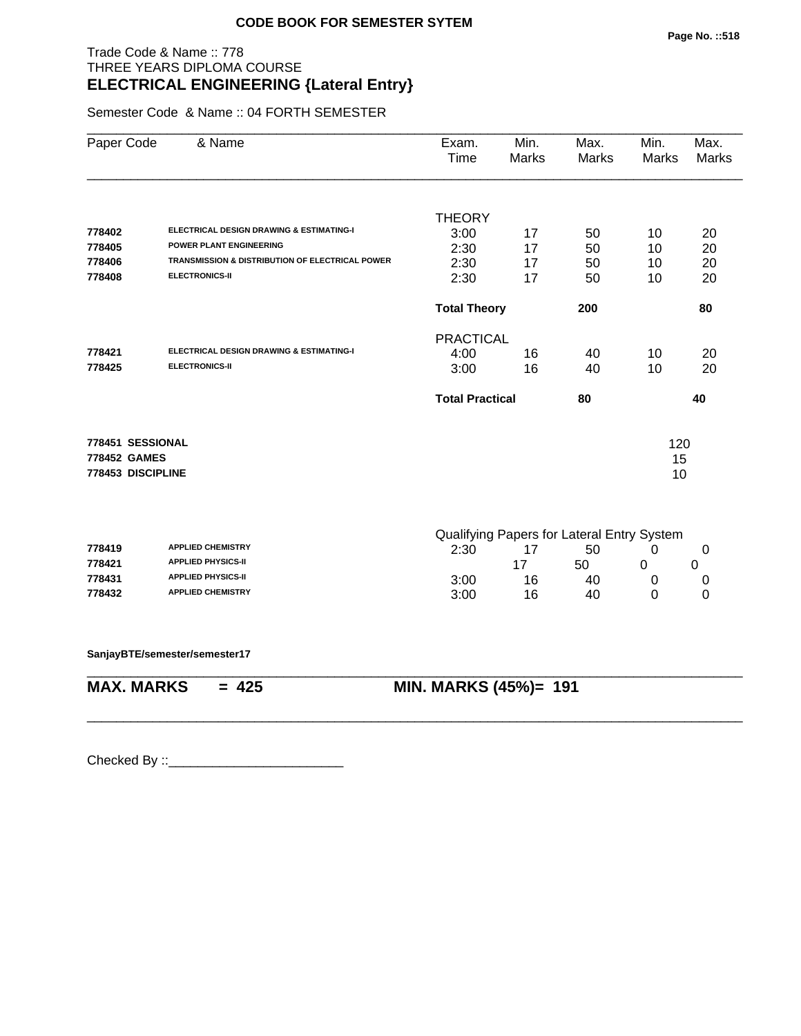# Trade Code & Name :: 778 THREE YEARS DIPLOMA COURSE **ELECTRICAL ENGINEERING {Lateral Entry}**

Semester Code & Name :: 04 FORTH SEMESTER

| Paper Code        | & Name                                                     | Exam.<br>Time          | Min.<br>Marks                                                                                                       | Max.<br>Marks | Min.<br>Marks | Max.<br>Marks |
|-------------------|------------------------------------------------------------|------------------------|---------------------------------------------------------------------------------------------------------------------|---------------|---------------|---------------|
|                   |                                                            | <b>THEORY</b>          |                                                                                                                     |               |               |               |
| 778402            | ELECTRICAL DESIGN DRAWING & ESTIMATING-I                   | 3:00                   | 17                                                                                                                  | 50            | 10            | 20            |
| 778405            | <b>POWER PLANT ENGINEERING</b>                             | 2:30                   | 17                                                                                                                  | 50            | 10            | 20            |
| 778406            | <b>TRANSMISSION &amp; DISTRIBUTION OF ELECTRICAL POWER</b> | 2:30                   | 17                                                                                                                  | 50            | 10            | 20            |
| 778408            | <b>ELECTRONICS-II</b>                                      | 2:30                   | 17                                                                                                                  | 50            | 10            | 20            |
|                   |                                                            | <b>Total Theory</b>    |                                                                                                                     | 200           |               | 80            |
|                   |                                                            | <b>PRACTICAL</b>       |                                                                                                                     |               |               |               |
| 778421            | <b>ELECTRICAL DESIGN DRAWING &amp; ESTIMATING-I</b>        | 4:00                   | 16                                                                                                                  | 40            | 10            | 20            |
| 778425            | <b>ELECTRONICS-II</b>                                      | 3:00                   | 16                                                                                                                  | 40            | 10            | 20            |
|                   |                                                            | <b>Total Practical</b> |                                                                                                                     | 80            |               | 40            |
| 778451 SESSIONAL  |                                                            |                        |                                                                                                                     |               | 120           |               |
| 778452 GAMES      |                                                            |                        |                                                                                                                     |               | 15            |               |
| 778453 DISCIPLINE |                                                            |                        |                                                                                                                     |               | 10            |               |
|                   |                                                            |                        |                                                                                                                     |               |               |               |
|                   |                                                            |                        | $\bigcap$ in the $\bigcap$ is $\bigcap$ in the set of $\bigcap$ in $\bigcap$ is $\bigcap$ in $\bigcap$ in $\bigcap$ |               |               |               |

|        |                           | Qualitying Papers for Lateral Entry System |    |    |  |  |
|--------|---------------------------|--------------------------------------------|----|----|--|--|
| 778419 | <b>APPLIED CHEMISTRY</b>  | 2:30                                       |    | 50 |  |  |
| 778421 | <b>APPLIED PHYSICS-II</b> |                                            |    | 50 |  |  |
| 778431 | <b>APPLIED PHYSICS-II</b> | 3:00                                       | 16 | 40 |  |  |
| 778432 | <b>APPLIED CHEMISTRY</b>  | 3:00                                       | 16 | 40 |  |  |

\_\_\_\_\_\_\_\_\_\_\_\_\_\_\_\_\_\_\_\_\_\_\_\_\_\_\_\_\_\_\_\_\_\_\_\_\_\_\_\_\_\_\_\_\_\_\_\_\_\_\_\_\_\_\_\_\_\_\_\_\_\_\_\_\_\_\_\_\_\_\_\_\_\_\_\_\_\_\_\_\_\_\_\_\_\_\_\_\_\_

\_\_\_\_\_\_\_\_\_\_\_\_\_\_\_\_\_\_\_\_\_\_\_\_\_\_\_\_\_\_\_\_\_\_\_\_\_\_\_\_\_\_\_\_\_\_\_\_\_\_\_\_\_\_\_\_\_\_\_\_\_\_\_\_\_\_\_\_\_\_\_\_\_\_\_\_\_\_\_\_\_\_\_\_\_\_\_\_\_\_

**SanjayBTE/semester/semester17**

**MAX. MARKS = 425 MIN. MARKS (45%)= 191**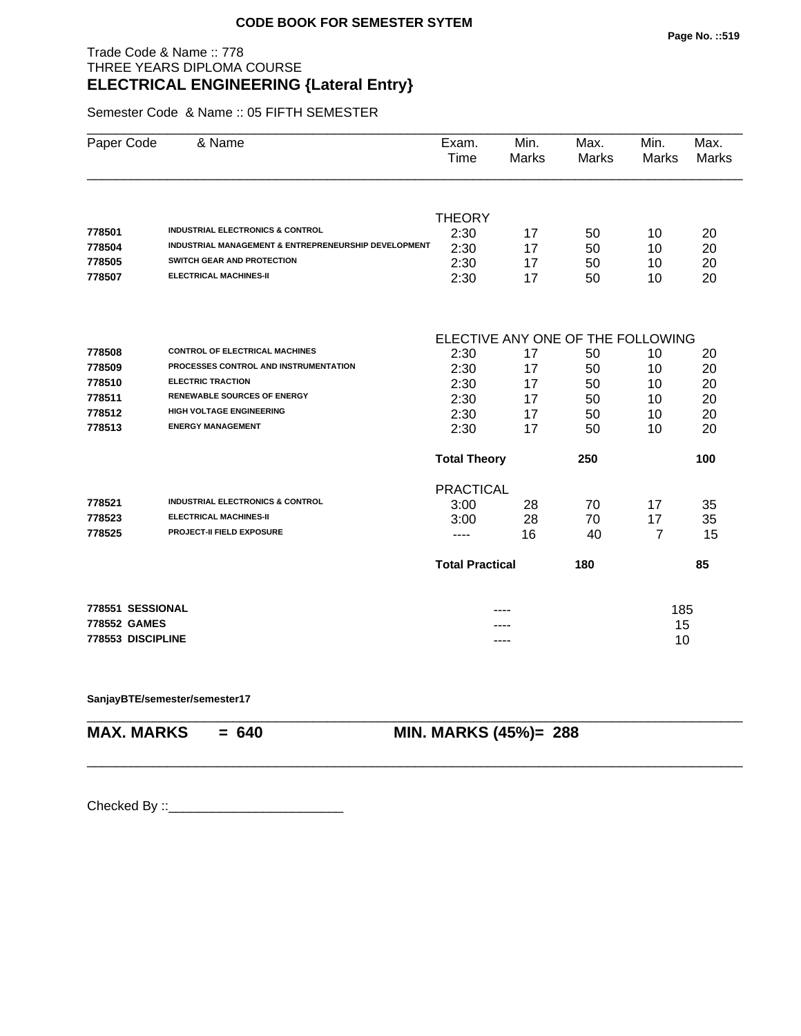# Trade Code & Name :: 778 THREE YEARS DIPLOMA COURSE **ELECTRICAL ENGINEERING {Lateral Entry}**

Semester Code & Name :: 05 FIFTH SEMESTER

| Paper Code        | & Name                                                          | Exam.<br>Time                     | Min.<br><b>Marks</b> | Max.<br><b>Marks</b> | Min.<br>Marks | Max.<br><b>Marks</b> |  |  |
|-------------------|-----------------------------------------------------------------|-----------------------------------|----------------------|----------------------|---------------|----------------------|--|--|
|                   |                                                                 |                                   |                      |                      |               |                      |  |  |
|                   |                                                                 | <b>THEORY</b>                     |                      |                      |               |                      |  |  |
| 778501            | <b>INDUSTRIAL ELECTRONICS &amp; CONTROL</b>                     | 2:30                              | 17                   | 50                   | 10            | 20                   |  |  |
| 778504            | <b>INDUSTRIAL MANAGEMENT &amp; ENTREPRENEURSHIP DEVELOPMENT</b> | 2:30                              | 17                   | 50                   | 10            | 20                   |  |  |
| 778505            | SWITCH GEAR AND PROTECTION                                      | 2:30                              | 17                   | 50                   | 10            | 20                   |  |  |
| 778507            | <b>ELECTRICAL MACHINES-II</b>                                   | 2:30                              | 17                   | 50                   | 10            | 20                   |  |  |
|                   |                                                                 | ELECTIVE ANY ONE OF THE FOLLOWING |                      |                      |               |                      |  |  |
| 778508            | <b>CONTROL OF ELECTRICAL MACHINES</b>                           | 2:30                              | 17                   | 50                   | 10            | 20                   |  |  |
| 778509            | PROCESSES CONTROL AND INSTRUMENTATION                           | 2:30                              | 17                   | 50                   | 10            | 20                   |  |  |
| 778510            | <b>ELECTRIC TRACTION</b>                                        | 2:30                              | 17                   | 50                   | 10            | 20                   |  |  |
| 778511            | <b>RENEWABLE SOURCES OF ENERGY</b>                              | 2:30                              | 17                   | 50                   | 10            | 20                   |  |  |
| 778512            | <b>HIGH VOLTAGE ENGINEERING</b>                                 | 2:30                              | 17                   | 50                   | 10            | 20                   |  |  |
| 778513            | <b>ENERGY MANAGEMENT</b>                                        | 2:30                              | 17                   | 50                   | 10            | 20                   |  |  |
|                   |                                                                 | <b>Total Theory</b>               |                      | 250                  |               | 100                  |  |  |
|                   |                                                                 | <b>PRACTICAL</b>                  |                      |                      |               |                      |  |  |
| 778521            | <b>INDUSTRIAL ELECTRONICS &amp; CONTROL</b>                     | 3:00                              | 28                   | 70                   | 17            | 35                   |  |  |
| 778523            | <b>ELECTRICAL MACHINES-II</b>                                   | 3:00                              | 28                   | 70                   | 17            | 35                   |  |  |
| 778525            | PROJECT-II FIELD EXPOSURE                                       | ----                              | 16                   | 40                   | 7             | 15                   |  |  |
|                   |                                                                 | <b>Total Practical</b>            |                      | 180                  |               | 85                   |  |  |
| 778551 SESSIONAL  |                                                                 |                                   |                      |                      | 185           |                      |  |  |
| 778552 GAMES      |                                                                 |                                   |                      |                      | 15            |                      |  |  |
| 778553 DISCIPLINE |                                                                 | ----                              |                      |                      | 10            |                      |  |  |

\_\_\_\_\_\_\_\_\_\_\_\_\_\_\_\_\_\_\_\_\_\_\_\_\_\_\_\_\_\_\_\_\_\_\_\_\_\_\_\_\_\_\_\_\_\_\_\_\_\_\_\_\_\_\_\_\_\_\_\_\_\_\_\_\_\_\_\_\_\_\_\_\_\_\_\_\_\_\_\_\_\_\_\_\_\_\_\_\_\_

\_\_\_\_\_\_\_\_\_\_\_\_\_\_\_\_\_\_\_\_\_\_\_\_\_\_\_\_\_\_\_\_\_\_\_\_\_\_\_\_\_\_\_\_\_\_\_\_\_\_\_\_\_\_\_\_\_\_\_\_\_\_\_\_\_\_\_\_\_\_\_\_\_\_\_\_\_\_\_\_\_\_\_\_\_\_\_\_\_\_

**SanjayBTE/semester/semester17**

**MAX. MARKS = 640 MIN. MARKS (45%)= 288**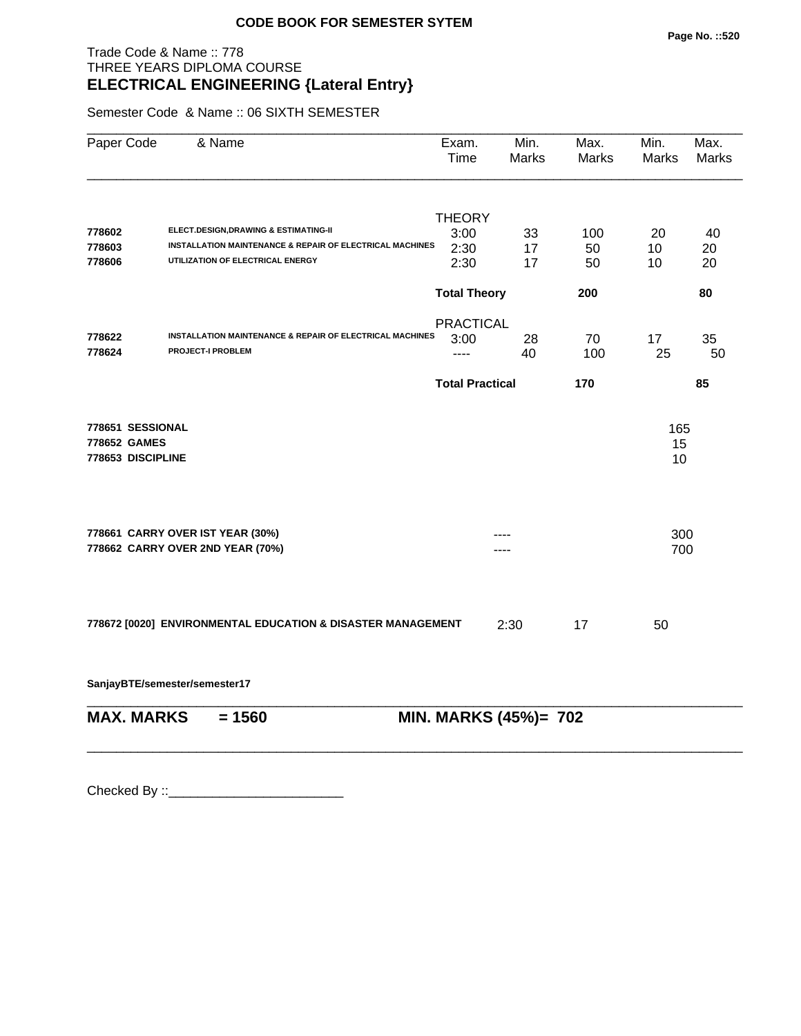# Trade Code & Name :: 778 THREE YEARS DIPLOMA COURSE **ELECTRICAL ENGINEERING {Lateral Entry}**

Semester Code & Name :: 06 SIXTH SEMESTER

| <b>THEORY</b><br>ELECT.DESIGN, DRAWING & ESTIMATING-II<br>778602<br>3:00<br>20<br>100<br>33<br>INSTALLATION MAINTENANCE & REPAIR OF ELECTRICAL MACHINES<br>778603<br>2:30<br>17<br>50<br>10<br>UTILIZATION OF ELECTRICAL ENERGY<br>778606<br>2:30<br>17<br>10<br>50<br><b>Total Theory</b><br>200<br><b>PRACTICAL</b><br>INSTALLATION MAINTENANCE & REPAIR OF ELECTRICAL MACHINES<br>778622<br>3:00<br>28<br>70<br>17<br>778624<br><b>PROJECT-I PROBLEM</b><br>25<br>40<br>100<br>----<br><b>Total Practical</b><br>170<br>778651 SESSIONAL<br>165<br>778652 GAMES<br>15<br>778653 DISCIPLINE<br>10<br>778661 CARRY OVER IST YEAR (30%)<br>300<br>778662 CARRY OVER 2ND YEAR (70%)<br>700<br>778672 [0020] ENVIRONMENTAL EDUCATION & DISASTER MANAGEMENT<br>2:30<br>17<br>50 | Paper Code | & Name | Exam.<br>Time | Min.<br><b>Marks</b> | Max.<br>Marks | Min.<br><b>Marks</b> | Max.<br><b>Marks</b> |
|------------------------------------------------------------------------------------------------------------------------------------------------------------------------------------------------------------------------------------------------------------------------------------------------------------------------------------------------------------------------------------------------------------------------------------------------------------------------------------------------------------------------------------------------------------------------------------------------------------------------------------------------------------------------------------------------------------------------------------------------------------------------------|------------|--------|---------------|----------------------|---------------|----------------------|----------------------|
|                                                                                                                                                                                                                                                                                                                                                                                                                                                                                                                                                                                                                                                                                                                                                                              |            |        |               |                      |               |                      | 40                   |
|                                                                                                                                                                                                                                                                                                                                                                                                                                                                                                                                                                                                                                                                                                                                                                              |            |        |               |                      |               |                      | 20                   |
|                                                                                                                                                                                                                                                                                                                                                                                                                                                                                                                                                                                                                                                                                                                                                                              |            |        |               |                      |               |                      | 20                   |
|                                                                                                                                                                                                                                                                                                                                                                                                                                                                                                                                                                                                                                                                                                                                                                              |            |        |               |                      |               |                      | 80                   |
|                                                                                                                                                                                                                                                                                                                                                                                                                                                                                                                                                                                                                                                                                                                                                                              |            |        |               |                      |               |                      | 35<br>50             |
|                                                                                                                                                                                                                                                                                                                                                                                                                                                                                                                                                                                                                                                                                                                                                                              |            |        |               |                      |               |                      | 85                   |
|                                                                                                                                                                                                                                                                                                                                                                                                                                                                                                                                                                                                                                                                                                                                                                              |            |        |               |                      |               |                      |                      |
|                                                                                                                                                                                                                                                                                                                                                                                                                                                                                                                                                                                                                                                                                                                                                                              |            |        |               |                      |               |                      |                      |
|                                                                                                                                                                                                                                                                                                                                                                                                                                                                                                                                                                                                                                                                                                                                                                              |            |        |               |                      |               |                      |                      |
| SanjayBTE/semester/semester17                                                                                                                                                                                                                                                                                                                                                                                                                                                                                                                                                                                                                                                                                                                                                |            |        |               |                      |               |                      |                      |
| <b>MAX. MARKS</b><br>MIN. MARKS (45%)= 702<br>$= 1560$                                                                                                                                                                                                                                                                                                                                                                                                                                                                                                                                                                                                                                                                                                                       |            |        |               |                      |               |                      |                      |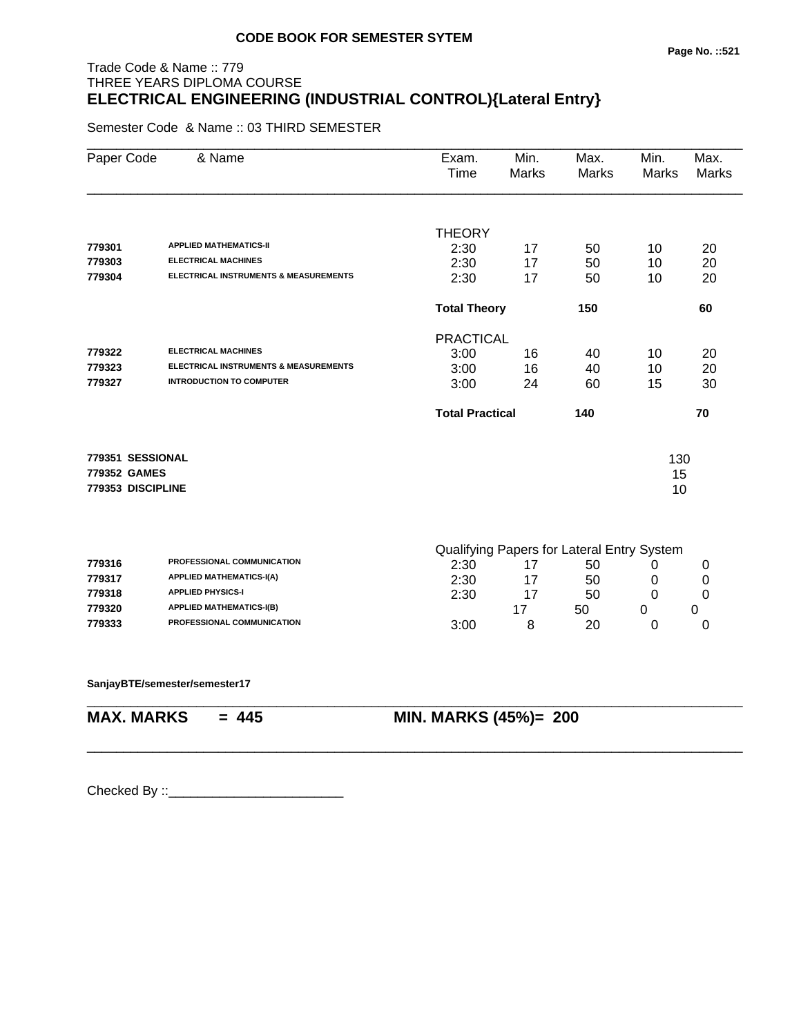# Trade Code & Name :: 779 THREE YEARS DIPLOMA COURSE **ELECTRICAL ENGINEERING (INDUSTRIAL CONTROL){Lateral Entry}**

Semester Code & Name :: 03 THIRD SEMESTER

| Paper Code        | & Name                                           | Exam.<br>Time          | Min.<br><b>Marks</b> | Max.<br><b>Marks</b>                       | Min.<br>Marks | Max.<br><b>Marks</b> |
|-------------------|--------------------------------------------------|------------------------|----------------------|--------------------------------------------|---------------|----------------------|
|                   |                                                  |                        |                      |                                            |               |                      |
|                   | <b>APPLIED MATHEMATICS-II</b>                    | <b>THEORY</b>          |                      |                                            |               |                      |
| 779301            | <b>ELECTRICAL MACHINES</b>                       | 2:30                   | 17                   | 50                                         | 10            | 20                   |
| 779303            | <b>ELECTRICAL INSTRUMENTS &amp; MEASUREMENTS</b> | 2:30                   | 17                   | 50                                         | 10            | 20                   |
| 779304            |                                                  | 2:30                   | 17                   | 50                                         | 10            | 20                   |
|                   |                                                  | <b>Total Theory</b>    |                      | 150                                        |               | 60                   |
|                   |                                                  | <b>PRACTICAL</b>       |                      |                                            |               |                      |
| 779322            | <b>ELECTRICAL MACHINES</b>                       | 3:00                   | 16                   | 40                                         | 10            | 20                   |
| 779323            | ELECTRICAL INSTRUMENTS & MEASUREMENTS            | 3:00                   | 16                   | 40                                         | 10            | 20                   |
| 779327            | <b>INTRODUCTION TO COMPUTER</b>                  | 3:00                   | 24                   | 60                                         | 15            | 30                   |
|                   |                                                  | <b>Total Practical</b> |                      | 140                                        |               | 70                   |
| 779351 SESSIONAL  |                                                  |                        |                      |                                            | 130           |                      |
| 779352 GAMES      |                                                  |                        |                      |                                            | 15            |                      |
| 779353 DISCIPLINE |                                                  |                        |                      |                                            | 10            |                      |
|                   |                                                  |                        |                      |                                            |               |                      |
|                   |                                                  |                        |                      | Qualifying Papers for Lateral Entry System |               |                      |
| 779316            | PROFESSIONAL COMMUNICATION                       | 2:30                   | 17                   | 50                                         | 0             | 0                    |
| 779317            | <b>APPLIED MATHEMATICS-I(A)</b>                  | 2:30                   | 17                   | 50                                         | 0             | 0                    |
| 779318            | <b>APPLIED PHYSICS-I</b>                         | 2:30                   | 17                   | 50                                         | 0             | 0                    |
| 779320            | <b>APPLIED MATHEMATICS-I(B)</b>                  |                        | 17                   | 50                                         | 0             | 0                    |
| 779333            | PROFESSIONAL COMMUNICATION                       | 3:00                   | 8                    | 20                                         | 0             | 0                    |
|                   |                                                  |                        |                      |                                            |               |                      |

\_\_\_\_\_\_\_\_\_\_\_\_\_\_\_\_\_\_\_\_\_\_\_\_\_\_\_\_\_\_\_\_\_\_\_\_\_\_\_\_\_\_\_\_\_\_\_\_\_\_\_\_\_\_\_\_\_\_\_\_\_\_\_\_\_\_\_\_\_\_\_\_\_\_\_\_\_\_\_\_\_\_\_\_\_\_\_\_\_\_

\_\_\_\_\_\_\_\_\_\_\_\_\_\_\_\_\_\_\_\_\_\_\_\_\_\_\_\_\_\_\_\_\_\_\_\_\_\_\_\_\_\_\_\_\_\_\_\_\_\_\_\_\_\_\_\_\_\_\_\_\_\_\_\_\_\_\_\_\_\_\_\_\_\_\_\_\_\_\_\_\_\_\_\_\_\_\_\_\_\_

**SanjayBTE/semester/semester17**

**MAX. MARKS = 445 MIN. MARKS (45%)= 200**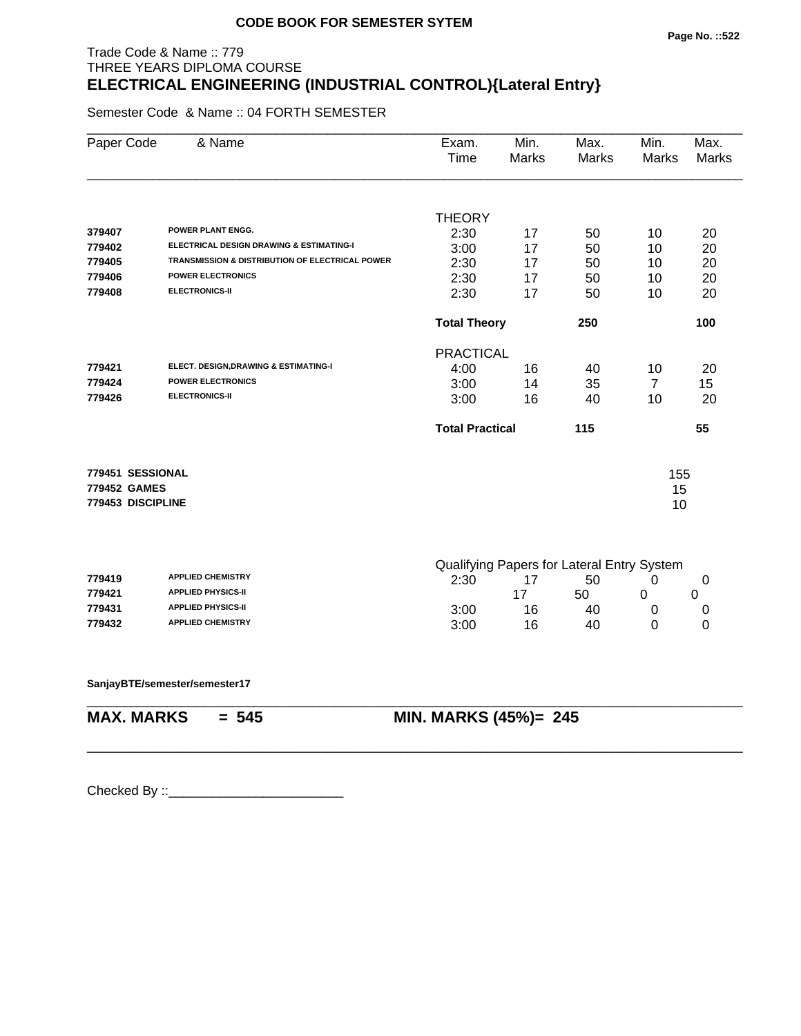# Trade Code & Name :: 779 THREE YEARS DIPLOMA COURSE **ELECTRICAL ENGINEERING (INDUSTRIAL CONTROL){Lateral Entry}**

Semester Code & Name :: 04 FORTH SEMESTER

| Paper Code        | & Name                                          | Exam.<br>Time          | Min.<br><b>Marks</b> | Max.<br>Marks                              | Min.<br>Marks  | Max.<br><b>Marks</b> |
|-------------------|-------------------------------------------------|------------------------|----------------------|--------------------------------------------|----------------|----------------------|
|                   |                                                 | <b>THEORY</b>          |                      |                                            |                |                      |
| 379407            | POWER PLANT ENGG.                               | 2:30                   | 17                   | 50                                         | 10             | 20                   |
| 779402            | ELECTRICAL DESIGN DRAWING & ESTIMATING-I        | 3:00                   | 17                   | 50                                         | 10             | 20                   |
| 779405            | TRANSMISSION & DISTRIBUTION OF ELECTRICAL POWER | 2:30                   | 17                   | 50                                         | 10             | 20                   |
| 779406            | <b>POWER ELECTRONICS</b>                        | 2:30                   | 17                   | 50                                         | 10             | 20                   |
| 779408            | <b>ELECTRONICS-II</b>                           | 2:30                   | 17                   | 50                                         | 10             | 20                   |
|                   |                                                 | <b>Total Theory</b>    |                      | 250                                        |                | 100                  |
|                   |                                                 | <b>PRACTICAL</b>       |                      |                                            |                |                      |
| 779421            | ELECT. DESIGN, DRAWING & ESTIMATING-I           | 4:00                   | 16                   | 40                                         | 10             | 20                   |
| 779424            | <b>POWER ELECTRONICS</b>                        | 3:00                   | 14                   | 35                                         | $\overline{7}$ | 15                   |
| 779426            | <b>ELECTRONICS-II</b>                           | 3:00                   | 16                   | 40                                         | 10             | 20                   |
|                   |                                                 | <b>Total Practical</b> |                      | 115                                        |                | 55                   |
| 779451 SESSIONAL  |                                                 |                        |                      |                                            | 155            |                      |
| 779452 GAMES      |                                                 |                        |                      |                                            | 15             |                      |
| 779453 DISCIPLINE |                                                 |                        |                      |                                            | 10             |                      |
|                   |                                                 |                        |                      |                                            |                |                      |
|                   |                                                 |                        |                      | Qualifying Papers for Lateral Entry System |                |                      |
| 779419            | <b>APPLIED CHEMISTRY</b>                        | 2:30                   | 17                   | 50                                         | 0              | 0                    |
| 779421            | <b>APPLIED PHYSICS-II</b>                       |                        | 17                   | 50                                         | 0              | 0                    |
| 779431            | <b>APPLIED PHYSICS-II</b>                       | 3:00                   | 16                   | 40                                         | 0              | 0                    |
| 779432            | <b>APPLIED CHEMISTRY</b>                        | 3:00                   | 16                   | 40                                         | 0              | 0                    |
|                   |                                                 |                        |                      |                                            |                |                      |
|                   | SanjayBTE/semester/semester17                   |                        |                      |                                            |                |                      |

\_\_\_\_\_\_\_\_\_\_\_\_\_\_\_\_\_\_\_\_\_\_\_\_\_\_\_\_\_\_\_\_\_\_\_\_\_\_\_\_\_\_\_\_\_\_\_\_\_\_\_\_\_\_\_\_\_\_\_\_\_\_\_\_\_\_\_\_\_\_\_\_\_\_\_\_\_\_\_\_\_\_\_\_\_\_\_\_\_\_

\_\_\_\_\_\_\_\_\_\_\_\_\_\_\_\_\_\_\_\_\_\_\_\_\_\_\_\_\_\_\_\_\_\_\_\_\_\_\_\_\_\_\_\_\_\_\_\_\_\_\_\_\_\_\_\_\_\_\_\_\_\_\_\_\_\_\_\_\_\_\_\_\_\_\_\_\_\_\_\_\_\_\_\_\_\_\_\_\_\_

**MAX. MARKS = 545 MIN. MARKS (45%)= 245**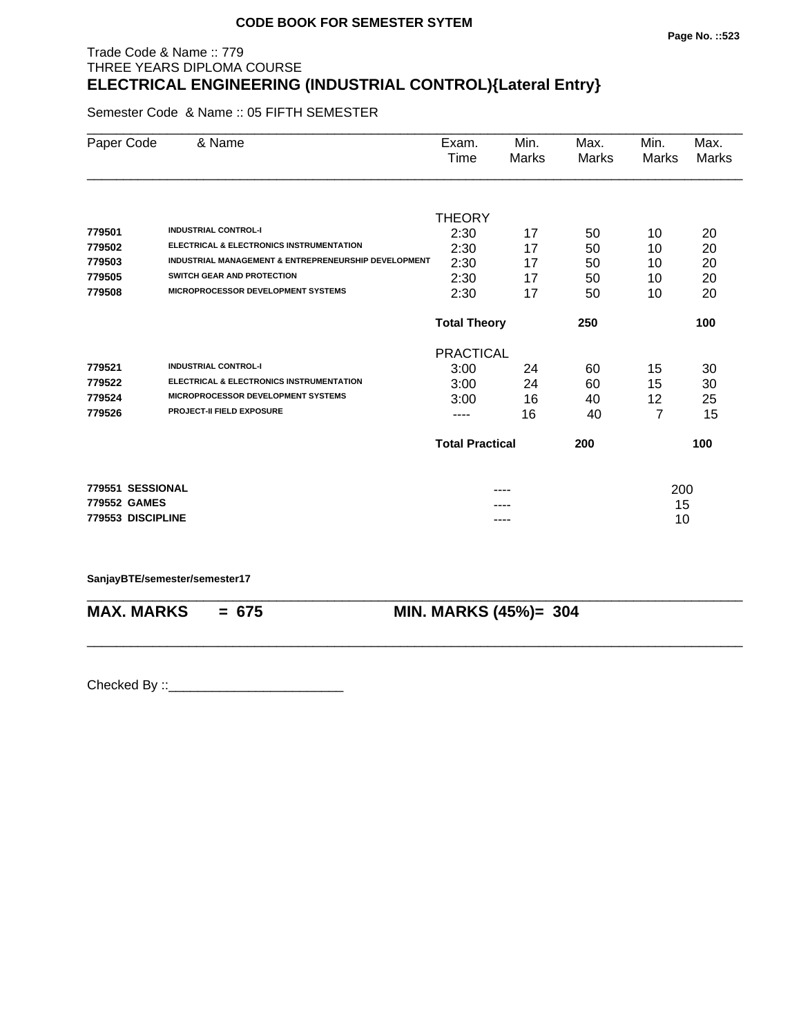#### **Page No. ::523**

# Trade Code & Name :: 779 THREE YEARS DIPLOMA COURSE **ELECTRICAL ENGINEERING (INDUSTRIAL CONTROL){Lateral Entry}**

Semester Code & Name :: 05 FIFTH SEMESTER

| Paper Code        | & Name                                               | Exam.                         | Min.  | Max.  | Min.  | Max.  |
|-------------------|------------------------------------------------------|-------------------------------|-------|-------|-------|-------|
|                   |                                                      | Time                          | Marks | Marks | Marks | Marks |
|                   |                                                      |                               |       |       |       |       |
|                   |                                                      | <b>THEORY</b>                 |       |       |       |       |
| 779501            | <b>INDUSTRIAL CONTROL-I</b>                          | 2:30                          | 17    | 50    | 10    | 20    |
| 779502            | ELECTRICAL & ELECTRONICS INSTRUMENTATION             | 2:30                          | 17    | 50    | 10    | 20    |
| 779503            | INDUSTRIAL MANAGEMENT & ENTREPRENEURSHIP DEVELOPMENT | 2:30                          | 17    | 50    | 10    | 20    |
| 779505            | SWITCH GEAR AND PROTECTION                           | 2:30                          | 17    | 50    | 10    | 20    |
| 779508            | <b>MICROPROCESSOR DEVELOPMENT SYSTEMS</b>            | 2:30                          | 17    | 50    | 10    | 20    |
|                   |                                                      | <b>Total Theory</b><br>250    |       |       |       | 100   |
|                   |                                                      | <b>PRACTICAL</b>              |       |       |       |       |
| 779521            | <b>INDUSTRIAL CONTROL-I</b>                          | 3:00                          | 24    | 60    | 15    | 30    |
| 779522            | <b>ELECTRICAL &amp; ELECTRONICS INSTRUMENTATION</b>  | 3:00                          | 24    | 60    | 15    | 30    |
| 779524            | <b>MICROPROCESSOR DEVELOPMENT SYSTEMS</b>            | 3:00                          | 16    | 40    | 12    | 25    |
| 779526            | <b>PROJECT-II FIELD EXPOSURE</b>                     | ----                          | 16    | 40    | 7     | 15    |
|                   |                                                      | <b>Total Practical</b><br>200 |       |       |       | 100   |
| 779551 SESSIONAL  |                                                      |                               |       |       | 200   |       |
| 779552 GAMES      |                                                      |                               |       |       | 15    |       |
| 779553 DISCIPLINE |                                                      |                               | ----  |       | 10    |       |

\_\_\_\_\_\_\_\_\_\_\_\_\_\_\_\_\_\_\_\_\_\_\_\_\_\_\_\_\_\_\_\_\_\_\_\_\_\_\_\_\_\_\_\_\_\_\_\_\_\_\_\_\_\_\_\_\_\_\_\_\_\_\_\_\_\_\_\_\_\_\_\_\_\_\_\_\_\_\_\_\_\_\_\_\_\_\_\_\_\_

**SanjayBTE/semester/semester17**

**MAX. MARKS = 675 MIN. MARKS (45%)= 304**

\_\_\_\_\_\_\_\_\_\_\_\_\_\_\_\_\_\_\_\_\_\_\_\_\_\_\_\_\_\_\_\_\_\_\_\_\_\_\_\_\_\_\_\_\_\_\_\_\_\_\_\_\_\_\_\_\_\_\_\_\_\_\_\_\_\_\_\_\_\_\_\_\_\_\_\_\_\_\_\_\_\_\_\_\_\_\_\_\_\_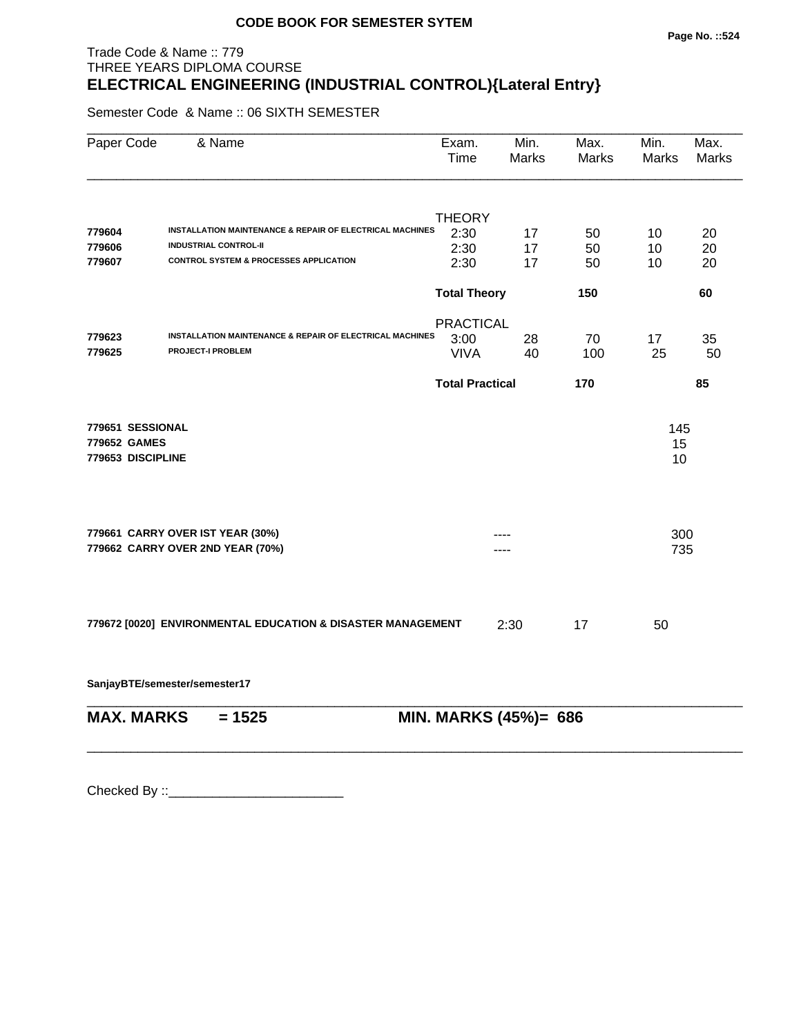#### **Page No. ::524**

# Trade Code & Name :: 779 THREE YEARS DIPLOMA COURSE **ELECTRICAL ENGINEERING (INDUSTRIAL CONTROL){Lateral Entry}**

Semester Code & Name :: 06 SIXTH SEMESTER

| Paper Code        | & Name                                                              | Exam.<br>Time          | Min.<br>Marks         | Max.<br>Marks | Min.<br>Marks | Max.<br>Marks |
|-------------------|---------------------------------------------------------------------|------------------------|-----------------------|---------------|---------------|---------------|
|                   |                                                                     | <b>THEORY</b>          |                       |               |               |               |
| 779604            | INSTALLATION MAINTENANCE & REPAIR OF ELECTRICAL MACHINES            | 2:30                   | 17                    | 50            | 10            | 20            |
| 779606            | <b>INDUSTRIAL CONTROL-II</b>                                        | 2:30                   | 17                    | 50            | 10            | 20            |
| 779607            | <b>CONTROL SYSTEM &amp; PROCESSES APPLICATION</b>                   | 2:30                   | 17                    | 50            | 10            | 20            |
|                   |                                                                     | <b>Total Theory</b>    |                       | 150           |               | 60            |
|                   |                                                                     | <b>PRACTICAL</b>       |                       |               |               |               |
| 779623            | <b>INSTALLATION MAINTENANCE &amp; REPAIR OF ELECTRICAL MACHINES</b> | 3:00                   | 28                    | 70            | 17            | 35            |
| 779625            | <b>PROJECT-I PROBLEM</b>                                            | <b>VIVA</b>            | 40                    | 100           | 25            | 50            |
|                   |                                                                     | <b>Total Practical</b> |                       | 170           |               | 85            |
| 779651 SESSIONAL  |                                                                     |                        |                       |               | 145           |               |
| 779652 GAMES      |                                                                     |                        |                       |               | 15            |               |
| 779653 DISCIPLINE |                                                                     |                        |                       |               | 10            |               |
|                   |                                                                     |                        |                       |               |               |               |
|                   | 779661 CARRY OVER IST YEAR (30%)                                    |                        |                       |               | 300           |               |
|                   | 779662 CARRY OVER 2ND YEAR (70%)                                    |                        |                       |               | 735           |               |
|                   |                                                                     |                        |                       |               |               |               |
|                   | 779672 [0020] ENVIRONMENTAL EDUCATION & DISASTER MANAGEMENT         |                        | 2:30                  | 17            | 50            |               |
|                   | SanjayBTE/semester/semester17                                       |                        |                       |               |               |               |
| <b>MAX. MARKS</b> | $= 1525$                                                            |                        | MIN. MARKS (45%)= 686 |               |               |               |

\_\_\_\_\_\_\_\_\_\_\_\_\_\_\_\_\_\_\_\_\_\_\_\_\_\_\_\_\_\_\_\_\_\_\_\_\_\_\_\_\_\_\_\_\_\_\_\_\_\_\_\_\_\_\_\_\_\_\_\_\_\_\_\_\_\_\_\_\_\_\_\_\_\_\_\_\_\_\_\_\_\_\_\_\_\_\_\_\_\_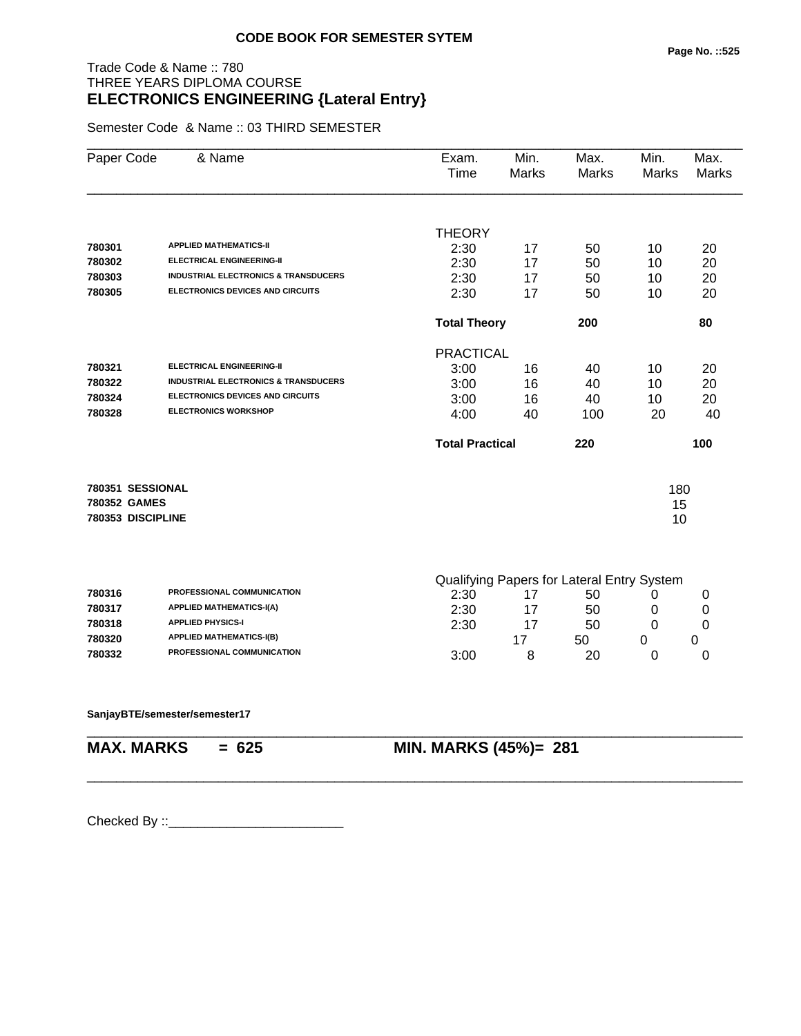# Trade Code & Name :: 780 THREE YEARS DIPLOMA COURSE **ELECTRONICS ENGINEERING {Lateral Entry}**

Semester Code & Name :: 03 THIRD SEMESTER

| Paper Code        | & Name                                          | Exam.<br>Time          | Min.<br>Marks | Max.<br><b>Marks</b>                       | Min.<br>Marks | Max.<br>Marks |
|-------------------|-------------------------------------------------|------------------------|---------------|--------------------------------------------|---------------|---------------|
|                   |                                                 |                        |               |                                            |               |               |
|                   |                                                 | <b>THEORY</b>          |               |                                            |               |               |
| 780301            | <b>APPLIED MATHEMATICS-II</b>                   | 2:30                   | 17            | 50                                         | 10            | 20            |
| 780302            | <b>ELECTRICAL ENGINEERING-II</b>                | 2:30                   | 17            | 50                                         | 10            | 20            |
| 780303            | <b>INDUSTRIAL ELECTRONICS &amp; TRANSDUCERS</b> | 2:30                   | 17            | 50                                         | 10            | 20            |
| 780305            | ELECTRONICS DEVICES AND CIRCUITS                | 2:30                   | 17            | 50                                         | 10            | 20            |
|                   |                                                 | <b>Total Theory</b>    |               | 200                                        |               | 80            |
|                   |                                                 | <b>PRACTICAL</b>       |               |                                            |               |               |
| 780321            | <b>ELECTRICAL ENGINEERING-II</b>                | 3:00                   | 16            | 40                                         | 10            | 20            |
| 780322            | <b>INDUSTRIAL ELECTRONICS &amp; TRANSDUCERS</b> | 3:00                   | 16            | 40                                         | 10            | 20            |
| 780324            | <b>ELECTRONICS DEVICES AND CIRCUITS</b>         | 3:00                   | 16            | 40                                         | 10            | 20            |
| 780328            | <b>ELECTRONICS WORKSHOP</b>                     | 4:00                   | 40            | 100                                        | 20            | 40            |
|                   |                                                 | <b>Total Practical</b> |               | 220                                        |               | 100           |
| 780351 SESSIONAL  |                                                 |                        |               |                                            | 180           |               |
| 780352 GAMES      |                                                 |                        |               |                                            | 15            |               |
| 780353 DISCIPLINE |                                                 |                        |               |                                            | 10            |               |
|                   |                                                 |                        |               |                                            |               |               |
|                   |                                                 |                        |               | Qualifying Paners for Lateral Entry System |               |               |

|        |                                   | Gadinying r apois for Eatoral Entry Oystoni |  |    |  |  |
|--------|-----------------------------------|---------------------------------------------|--|----|--|--|
| 780316 | <b>PROFESSIONAL COMMUNICATION</b> | 2:30                                        |  | 50 |  |  |
| 780317 | <b>APPLIED MATHEMATICS-I(A)</b>   | 2:30                                        |  | 50 |  |  |
| 780318 | <b>APPLIED PHYSICS-I</b>          | 2:30                                        |  | 50 |  |  |
| 780320 | <b>APPLIED MATHEMATICS-I(B)</b>   |                                             |  | 50 |  |  |
| 780332 | <b>PROFESSIONAL COMMUNICATION</b> | 3:00                                        |  | 20 |  |  |

\_\_\_\_\_\_\_\_\_\_\_\_\_\_\_\_\_\_\_\_\_\_\_\_\_\_\_\_\_\_\_\_\_\_\_\_\_\_\_\_\_\_\_\_\_\_\_\_\_\_\_\_\_\_\_\_\_\_\_\_\_\_\_\_\_\_\_\_\_\_\_\_\_\_\_\_\_\_\_\_\_\_\_\_\_\_\_\_\_\_

#### **SanjayBTE/semester/semester17**

\_\_\_\_\_\_\_\_\_\_\_\_\_\_\_\_\_\_\_\_\_\_\_\_\_\_\_\_\_\_\_\_\_\_\_\_\_\_\_\_\_\_\_\_\_\_\_\_\_\_\_\_\_\_\_\_\_\_\_\_\_\_\_\_\_\_\_\_\_\_\_\_\_\_\_\_\_\_\_\_\_\_\_\_\_\_\_\_\_\_

# **MAX. MARKS = 625 MIN. MARKS (45%)= 281**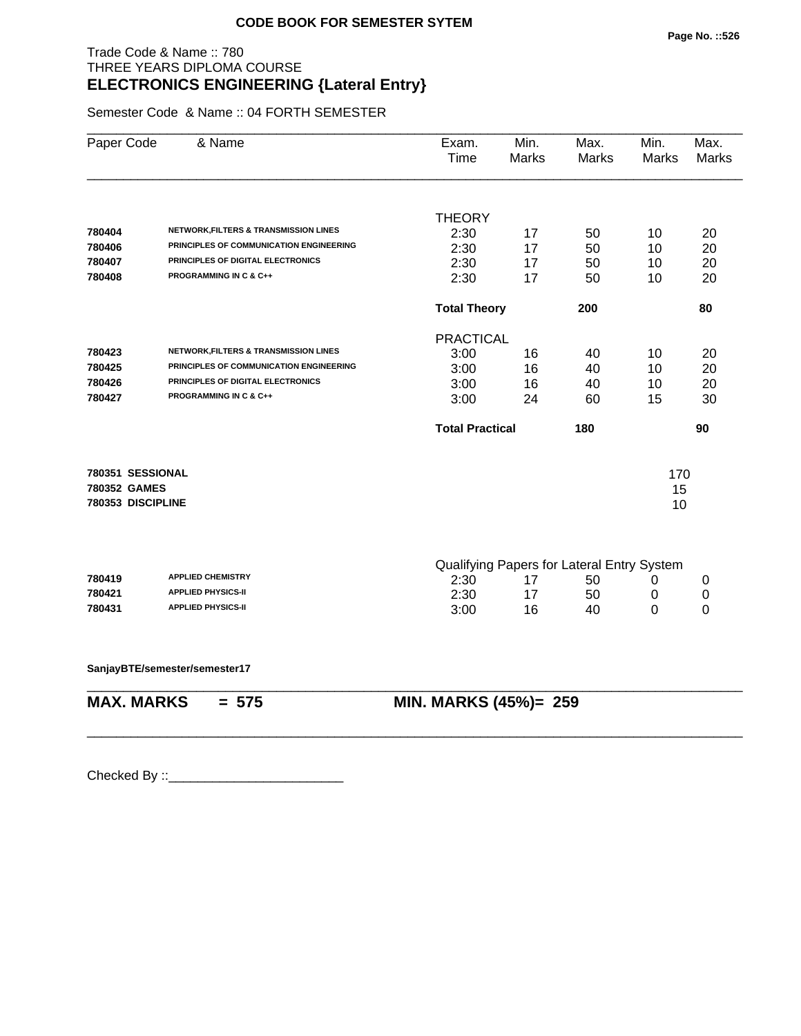# Trade Code & Name :: 780 THREE YEARS DIPLOMA COURSE **ELECTRONICS ENGINEERING {Lateral Entry}**

Semester Code & Name :: 04 FORTH SEMESTER

| Paper Code        | & Name                                           | Exam.<br>Time          | Min.<br>Marks | Max.<br><b>Marks</b>                       | Min.<br><b>Marks</b> | Max.<br><b>Marks</b> |
|-------------------|--------------------------------------------------|------------------------|---------------|--------------------------------------------|----------------------|----------------------|
|                   |                                                  | <b>THEORY</b>          |               |                                            |                      |                      |
| 780404            | <b>NETWORK, FILTERS &amp; TRANSMISSION LINES</b> | 2:30                   | 17            | 50                                         | 10                   | 20                   |
| 780406            | PRINCIPLES OF COMMUNICATION ENGINEERING          | 2:30                   | 17            | 50                                         | 10                   | 20                   |
| 780407            | PRINCIPLES OF DIGITAL ELECTRONICS                | 2:30                   | 17            | 50                                         | 10                   | 20                   |
| 780408            | <b>PROGRAMMING IN C &amp; C++</b>                | 2:30                   | 17            | 50                                         | 10                   | 20                   |
|                   |                                                  | <b>Total Theory</b>    |               | 200                                        |                      | 80                   |
|                   |                                                  | <b>PRACTICAL</b>       |               |                                            |                      |                      |
| 780423            | <b>NETWORK, FILTERS &amp; TRANSMISSION LINES</b> | 3:00                   | 16            | 40                                         | 10                   | 20                   |
| 780425            | PRINCIPLES OF COMMUNICATION ENGINEERING          | 3:00                   | 16            | 40                                         | 10                   | 20                   |
| 780426            | PRINCIPLES OF DIGITAL ELECTRONICS                | 3:00                   | 16            | 40                                         | 10                   | 20                   |
| 780427            | PROGRAMMING IN C & C++                           | 3:00                   | 24            | 60                                         | 15                   | 30                   |
|                   |                                                  | <b>Total Practical</b> |               | 180                                        |                      | 90                   |
| 780351 SESSIONAL  |                                                  |                        |               |                                            | 170                  |                      |
| 780352 GAMES      |                                                  |                        |               |                                            | 15                   |                      |
| 780353 DISCIPLINE |                                                  |                        |               |                                            | 10                   |                      |
|                   |                                                  |                        |               | Qualifying Papers for Lateral Entry System |                      |                      |
| 780419            | <b>APPLIED CHEMISTRY</b>                         | 2:30                   | 17            | 50                                         | 0                    | 0                    |
| 780421            | <b>APPLIED PHYSICS-II</b>                        | 2:30                   | 17            | 50                                         | 0                    | $\pmb{0}$            |
| 780431            | <b>APPLIED PHYSICS-II</b>                        | 3:00                   | 16            | 40                                         | 0                    | 0                    |
|                   | SanjayBTE/semester/semester17                    |                        |               |                                            |                      |                      |
| <b>MAX. MARKS</b> | $= 575$                                          | MIN. MARKS (45%)= 259  |               |                                            |                      |                      |
|                   |                                                  |                        |               |                                            |                      |                      |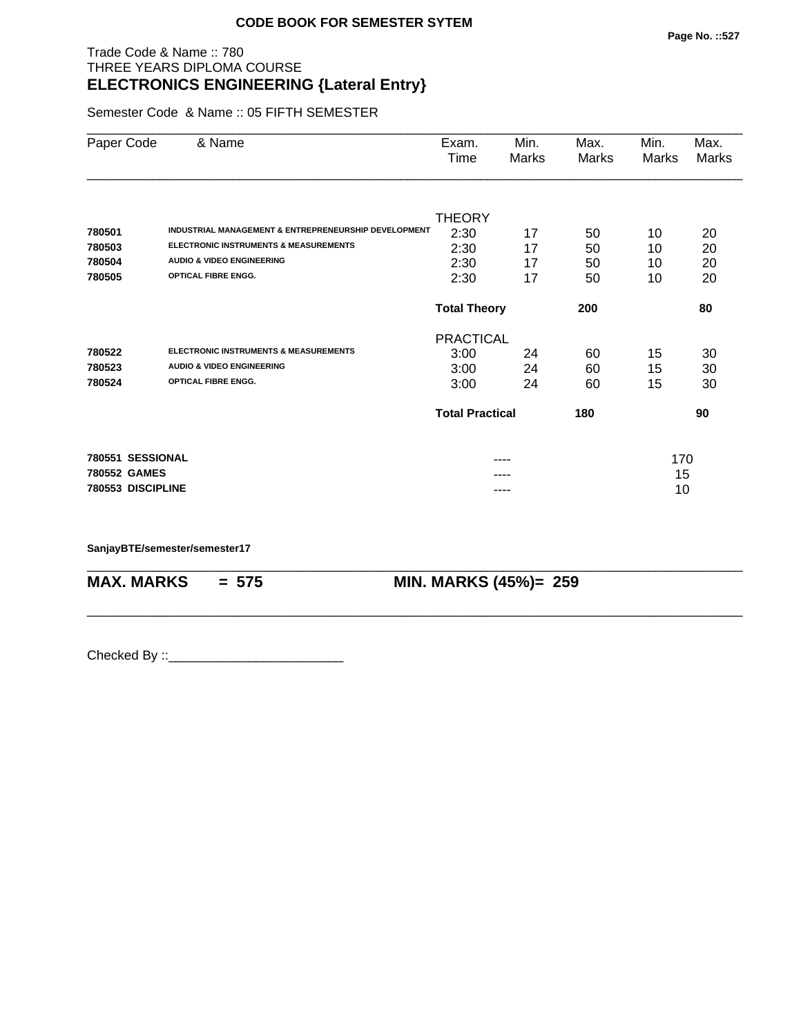# Trade Code & Name :: 780 THREE YEARS DIPLOMA COURSE **ELECTRONICS ENGINEERING {Lateral Entry}**

Semester Code & Name :: 05 FIFTH SEMESTER

| & Name                                               | Exam.                      | Min.         | Max.                      | Min.        | Max.               |
|------------------------------------------------------|----------------------------|--------------|---------------------------|-------------|--------------------|
|                                                      |                            |              |                           |             | Marks              |
|                                                      |                            |              |                           |             |                    |
|                                                      | <b>THEORY</b>              |              |                           |             |                    |
| INDUSTRIAL MANAGEMENT & ENTREPRENEURSHIP DEVELOPMENT |                            | 17           |                           | 10          | 20                 |
| <b>ELECTRONIC INSTRUMENTS &amp; MEASUREMENTS</b>     | 2:30                       | 17           | 50                        | 10          | 20                 |
| <b>AUDIO &amp; VIDEO ENGINEERING</b>                 | 2:30                       | 17           | 50                        | 10          | 20                 |
| <b>OPTICAL FIBRE ENGG.</b>                           | 2:30                       | 17           | 50                        | 10          | 20                 |
|                                                      | 200<br><b>Total Theory</b> |              |                           |             | 80                 |
|                                                      |                            |              |                           |             |                    |
| <b>ELECTRONIC INSTRUMENTS &amp; MEASUREMENTS</b>     | 3:00                       | 24           | 60                        | 15          | 30                 |
| <b>AUDIO &amp; VIDEO ENGINEERING</b>                 | 3:00                       | 24           | 60                        | 15          | 30                 |
| <b>OPTICAL FIBRE ENGG.</b>                           | 3:00                       | 24           | 60                        | 15          | 30                 |
|                                                      | <b>Total Practical</b>     |              | 180                       |             | 90                 |
| 780551 SESSIONAL                                     |                            |              |                           |             |                    |
| 780552 GAMES                                         |                            |              |                           |             |                    |
| 780553 DISCIPLINE                                    |                            | ----         |                           | 10          |                    |
|                                                      |                            | Time<br>2:30 | Marks<br><b>PRACTICAL</b> | Marks<br>50 | Marks<br>170<br>15 |

\_\_\_\_\_\_\_\_\_\_\_\_\_\_\_\_\_\_\_\_\_\_\_\_\_\_\_\_\_\_\_\_\_\_\_\_\_\_\_\_\_\_\_\_\_\_\_\_\_\_\_\_\_\_\_\_\_\_\_\_\_\_\_\_\_\_\_\_\_\_\_\_\_\_\_\_\_\_\_\_\_\_\_\_\_\_\_\_\_\_

\_\_\_\_\_\_\_\_\_\_\_\_\_\_\_\_\_\_\_\_\_\_\_\_\_\_\_\_\_\_\_\_\_\_\_\_\_\_\_\_\_\_\_\_\_\_\_\_\_\_\_\_\_\_\_\_\_\_\_\_\_\_\_\_\_\_\_\_\_\_\_\_\_\_\_\_\_\_\_\_\_\_\_\_\_\_\_\_\_\_

**SanjayBTE/semester/semester17**

**MAX. MARKS = 575 MIN. MARKS (45%)= 259**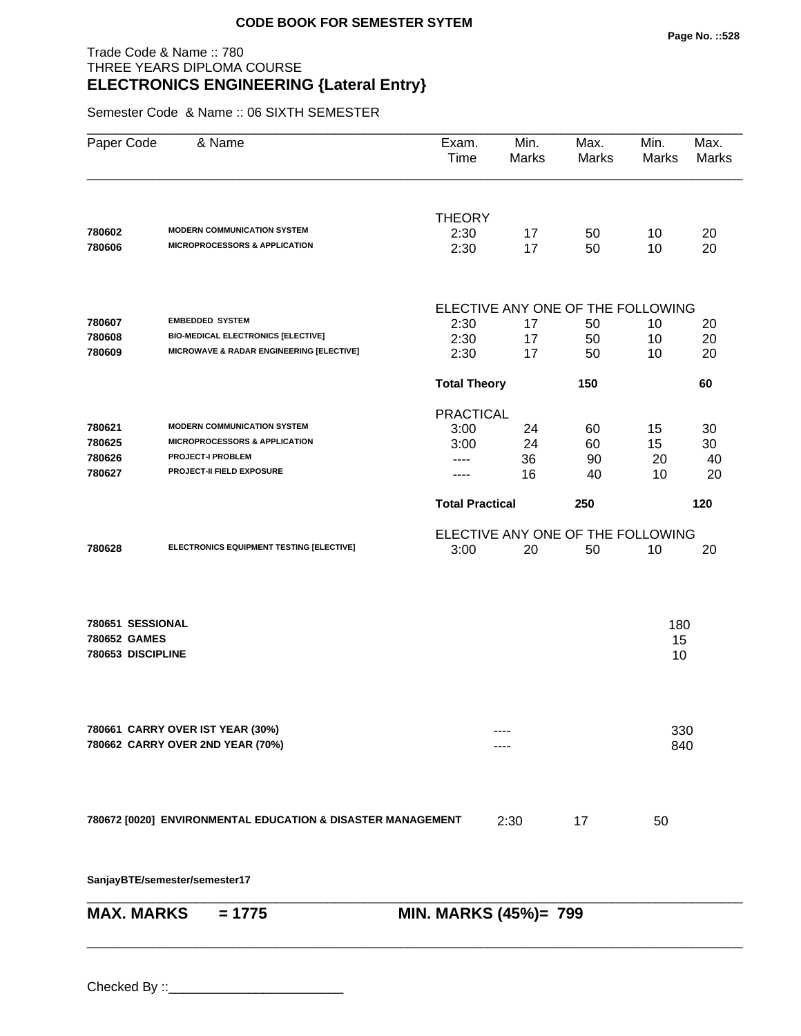# Trade Code & Name :: 780 THREE YEARS DIPLOMA COURSE **ELECTRONICS ENGINEERING {Lateral Entry}**

Semester Code & Name :: 06 SIXTH SEMESTER

| Paper Code                                            | & Name                                                                         | Exam.<br>Time          | Min.<br>Marks | Max.<br><b>Marks</b>              | Min.<br><b>Marks</b> | Max.<br><b>Marks</b> |
|-------------------------------------------------------|--------------------------------------------------------------------------------|------------------------|---------------|-----------------------------------|----------------------|----------------------|
|                                                       |                                                                                | <b>THEORY</b>          |               |                                   |                      |                      |
| 780602<br>780606                                      | <b>MODERN COMMUNICATION SYSTEM</b><br><b>MICROPROCESSORS &amp; APPLICATION</b> | 2:30<br>2:30           | 17<br>17      | 50<br>50                          | 10<br>10             | 20<br>20             |
|                                                       |                                                                                |                        |               | ELECTIVE ANY ONE OF THE FOLLOWING |                      |                      |
| 780607                                                | <b>EMBEDDED SYSTEM</b>                                                         | 2:30                   | 17            | 50                                | 10                   | 20                   |
| 780608                                                | <b>BIO-MEDICAL ELECTRONICS [ELECTIVE]</b>                                      | 2:30                   | 17            | 50                                | 10                   | 20                   |
| 780609                                                | MICROWAVE & RADAR ENGINEERING [ELECTIVE]                                       | 2:30                   | 17            | 50                                | 10                   | 20                   |
|                                                       |                                                                                | <b>Total Theory</b>    |               | 150                               |                      | 60                   |
|                                                       |                                                                                | <b>PRACTICAL</b>       |               |                                   |                      |                      |
| 780621                                                | <b>MODERN COMMUNICATION SYSTEM</b>                                             | 3:00                   | 24            | 60                                | 15                   | 30                   |
| 780625                                                | <b>MICROPROCESSORS &amp; APPLICATION</b>                                       | 3:00                   | 24            | 60                                | 15                   | 30                   |
| 780626                                                | <b>PROJECT-I PROBLEM</b>                                                       | ----                   | 36            | 90                                | 20                   | 40                   |
| 780627                                                | PROJECT-II FIELD EXPOSURE                                                      |                        | 16            | 40                                | 10                   | 20                   |
|                                                       |                                                                                | <b>Total Practical</b> |               | 250                               |                      | 120                  |
|                                                       |                                                                                |                        |               | ELECTIVE ANY ONE OF THE FOLLOWING |                      |                      |
| 780628                                                | ELECTRONICS EQUIPMENT TESTING [ELECTIVE]                                       | 3:00                   | 20            | 50                                | 10                   | 20                   |
| 780651 SESSIONAL<br>780652 GAMES<br>780653 DISCIPLINE |                                                                                |                        |               |                                   | 180<br>15<br>10      |                      |
|                                                       | 780661 CARRY OVER IST YEAR (30%)<br>780662 CARRY OVER 2ND YEAR (70%)           |                        |               |                                   | 330<br>840           |                      |
|                                                       | 780672 [0020] ENVIRONMENTAL EDUCATION & DISASTER MANAGEMENT                    |                        | 2:30          | 17                                | 50                   |                      |
|                                                       | SanjayBTE/semester/semester17                                                  |                        |               |                                   |                      |                      |
| <b>MAX. MARKS</b>                                     | $= 1775$                                                                       | MIN. MARKS (45%)= 799  |               |                                   |                      |                      |

\_\_\_\_\_\_\_\_\_\_\_\_\_\_\_\_\_\_\_\_\_\_\_\_\_\_\_\_\_\_\_\_\_\_\_\_\_\_\_\_\_\_\_\_\_\_\_\_\_\_\_\_\_\_\_\_\_\_\_\_\_\_\_\_\_\_\_\_\_\_\_\_\_\_\_\_\_\_\_\_\_\_\_\_\_\_\_\_\_\_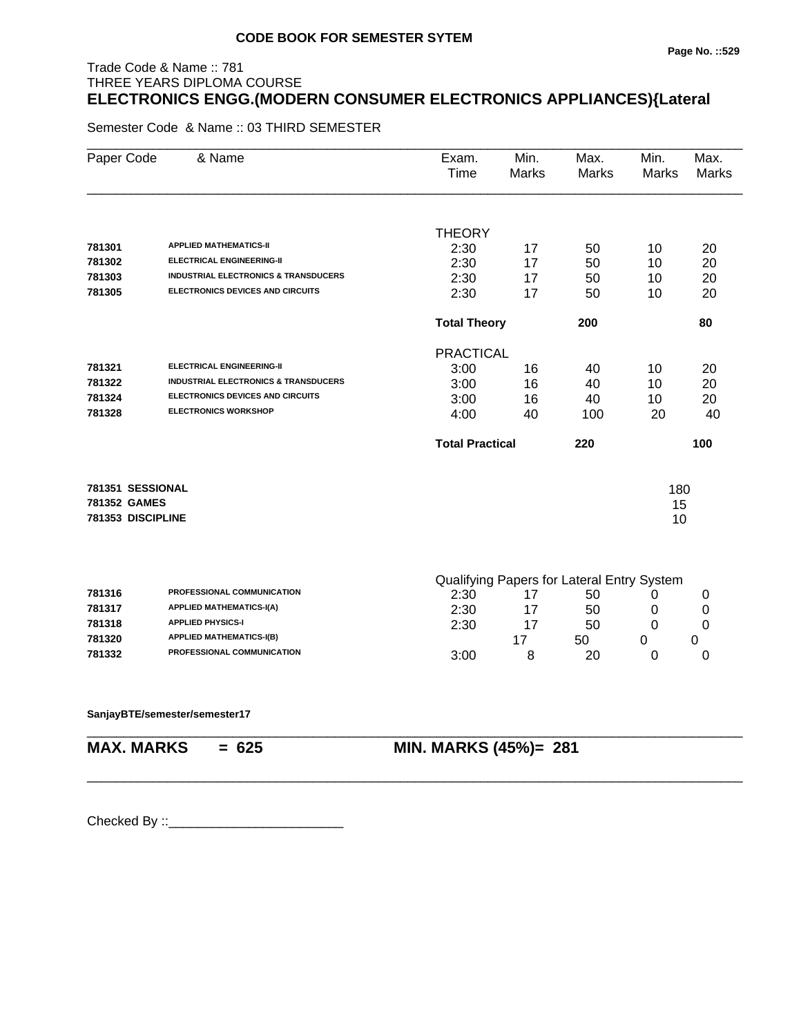# Trade Code & Name :: 781 THREE YEARS DIPLOMA COURSE **ELECTRONICS ENGG.(MODERN CONSUMER ELECTRONICS APPLIANCES){Lateral**

Semester Code & Name :: 03 THIRD SEMESTER

| Paper Code        | & Name                                          | Exam.<br>Time          | Min.<br>Marks | Max.<br>Marks                              | Min.<br>Marks | Max.<br><b>Marks</b> |
|-------------------|-------------------------------------------------|------------------------|---------------|--------------------------------------------|---------------|----------------------|
|                   |                                                 |                        |               |                                            |               |                      |
|                   |                                                 | <b>THEORY</b>          |               |                                            |               |                      |
| 781301            | <b>APPLIED MATHEMATICS-II</b>                   | 2:30                   | 17            | 50                                         | 10            | 20                   |
| 781302            | <b>ELECTRICAL ENGINEERING-II</b>                | 2:30                   | 17            | 50                                         | 10            | 20                   |
| 781303            | <b>INDUSTRIAL ELECTRONICS &amp; TRANSDUCERS</b> | 2:30                   | 17            | 50                                         | 10            | 20                   |
| 781305            | ELECTRONICS DEVICES AND CIRCUITS                | 2:30                   | 17            | 50                                         | 10            | 20                   |
|                   |                                                 | <b>Total Theory</b>    |               | 200                                        |               | 80                   |
|                   |                                                 | <b>PRACTICAL</b>       |               |                                            |               |                      |
| 781321            | <b>ELECTRICAL ENGINEERING-II</b>                | 3:00                   | 16            | 40                                         | 10            | 20                   |
| 781322            | <b>INDUSTRIAL ELECTRONICS &amp; TRANSDUCERS</b> | 3:00                   | 16            | 40                                         | 10            | 20                   |
| 781324            | <b>ELECTRONICS DEVICES AND CIRCUITS</b>         | 3:00                   | 16            | 40                                         | 10            | 20                   |
| 781328            | <b>ELECTRONICS WORKSHOP</b>                     | 4:00                   | 40            | 100                                        | 20            | 40                   |
|                   |                                                 | <b>Total Practical</b> |               | 220                                        |               | 100                  |
| 781351 SESSIONAL  |                                                 |                        |               |                                            | 180           |                      |
| 781352 GAMES      |                                                 |                        |               |                                            | 15            |                      |
| 781353 DISCIPLINE |                                                 |                        |               |                                            | 10            |                      |
|                   |                                                 |                        |               | Qualifying Papers for Lateral Entry System |               |                      |
| 781316            | PROFESSIONAL COMMUNICATION                      | 2:30                   | 17            | 50                                         | 0             | 0                    |
| 781317            | <b>APPLIED MATHEMATICS-I(A)</b>                 | חמית                   | 47            | $E^{\wedge}$                               | $\cap$        | <sup>n</sup>         |

| 781316 | <b>FRUFESSIONAL COMMUNICATION</b> | 2.30 | ხს |  |
|--------|-----------------------------------|------|----|--|
| 781317 | <b>APPLIED MATHEMATICS-I(A)</b>   | 2:30 | 50 |  |
| 781318 | <b>APPLIED PHYSICS-I</b>          | 2:30 | 50 |  |
| 781320 | <b>APPLIED MATHEMATICS-I(B)</b>   |      | 50 |  |
| 781332 | <b>PROFESSIONAL COMMUNICATION</b> | 3:00 | 20 |  |

\_\_\_\_\_\_\_\_\_\_\_\_\_\_\_\_\_\_\_\_\_\_\_\_\_\_\_\_\_\_\_\_\_\_\_\_\_\_\_\_\_\_\_\_\_\_\_\_\_\_\_\_\_\_\_\_\_\_\_\_\_\_\_\_\_\_\_\_\_\_\_\_\_\_\_\_\_\_\_\_\_\_\_\_\_\_\_\_\_\_

#### **SanjayBTE/semester/semester17**

\_\_\_\_\_\_\_\_\_\_\_\_\_\_\_\_\_\_\_\_\_\_\_\_\_\_\_\_\_\_\_\_\_\_\_\_\_\_\_\_\_\_\_\_\_\_\_\_\_\_\_\_\_\_\_\_\_\_\_\_\_\_\_\_\_\_\_\_\_\_\_\_\_\_\_\_\_\_\_\_\_\_\_\_\_\_\_\_\_\_

# **MAX. MARKS = 625 MIN. MARKS (45%)= 281**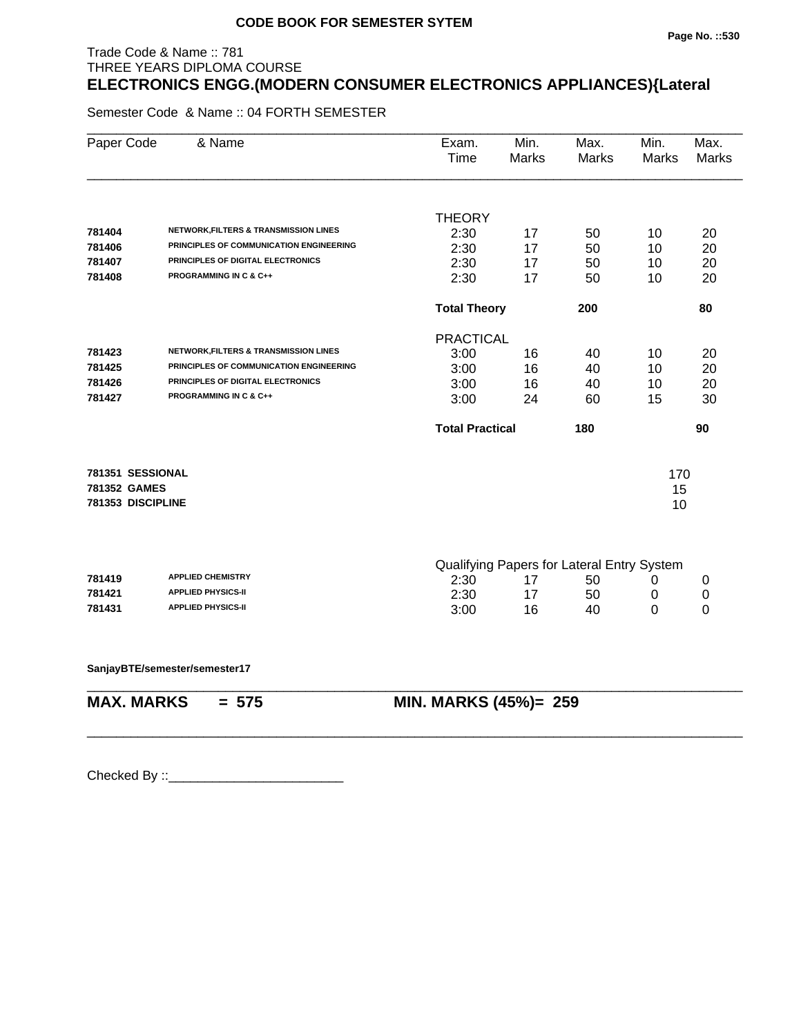#### **Page No. ::530**

# THREE YEARS DIPLOMA COURSE **ELECTRONICS ENGG.(MODERN CONSUMER ELECTRONICS APPLIANCES){Lateral**

Semester Code & Name :: 04 FORTH SEMESTER

Trade Code & Name :: 781

| Paper Code        | & Name                                           | Exam.<br>Time          | Min.<br>Marks | Max.<br>Marks                              | Min.<br><b>Marks</b> | Max.<br><b>Marks</b> |
|-------------------|--------------------------------------------------|------------------------|---------------|--------------------------------------------|----------------------|----------------------|
|                   |                                                  | <b>THEORY</b>          |               |                                            |                      |                      |
| 781404            | <b>NETWORK, FILTERS &amp; TRANSMISSION LINES</b> | 2:30                   | 17            | 50                                         | 10                   | 20                   |
| 781406            | PRINCIPLES OF COMMUNICATION ENGINEERING          | 2:30                   | 17            | 50                                         | 10                   | 20                   |
| 781407            | PRINCIPLES OF DIGITAL ELECTRONICS                | 2:30                   | 17            | 50                                         | 10                   | 20                   |
| 781408            | <b>PROGRAMMING IN C &amp; C++</b>                | 2:30                   | 17            | 50                                         | 10                   | 20                   |
|                   |                                                  | <b>Total Theory</b>    |               | 200                                        |                      | 80                   |
|                   |                                                  | <b>PRACTICAL</b>       |               |                                            |                      |                      |
| 781423            | <b>NETWORK, FILTERS &amp; TRANSMISSION LINES</b> | 3:00                   | 16            | 40                                         | 10                   | 20                   |
| 781425            | PRINCIPLES OF COMMUNICATION ENGINEERING          | 3:00                   | 16            | 40                                         | 10                   | 20                   |
| 781426            | PRINCIPLES OF DIGITAL ELECTRONICS                | 3:00                   | 16            | 40                                         | 10                   | 20                   |
| 781427            | <b>PROGRAMMING IN C &amp; C++</b>                | 3:00                   | 24            | 60                                         | 15                   | 30                   |
|                   |                                                  | <b>Total Practical</b> |               | 180                                        |                      | 90                   |
| 781351 SESSIONAL  |                                                  |                        |               |                                            | 170                  |                      |
| 781352 GAMES      |                                                  |                        |               |                                            | 15                   |                      |
| 781353 DISCIPLINE |                                                  |                        |               |                                            | 10                   |                      |
|                   |                                                  |                        |               |                                            |                      |                      |
| 781419            | <b>APPLIED CHEMISTRY</b>                         | 2:30                   | 17            | Qualifying Papers for Lateral Entry System |                      |                      |
| 781421            | <b>APPLIED PHYSICS-II</b>                        | 2:30                   | 17            | 50<br>50                                   | 0<br>0               | 0<br>0               |
| 781431            | <b>APPLIED PHYSICS-II</b>                        | 3:00                   | 16            | 40                                         | 0                    | 0                    |
|                   |                                                  |                        |               |                                            |                      |                      |
|                   | SanjayBTE/semester/semester17                    |                        |               |                                            |                      |                      |
| <b>MAX. MARKS</b> | $= 575$                                          | MIN. MARKS (45%)= 259  |               |                                            |                      |                      |
|                   |                                                  |                        |               |                                            |                      |                      |
|                   |                                                  |                        |               |                                            |                      |                      |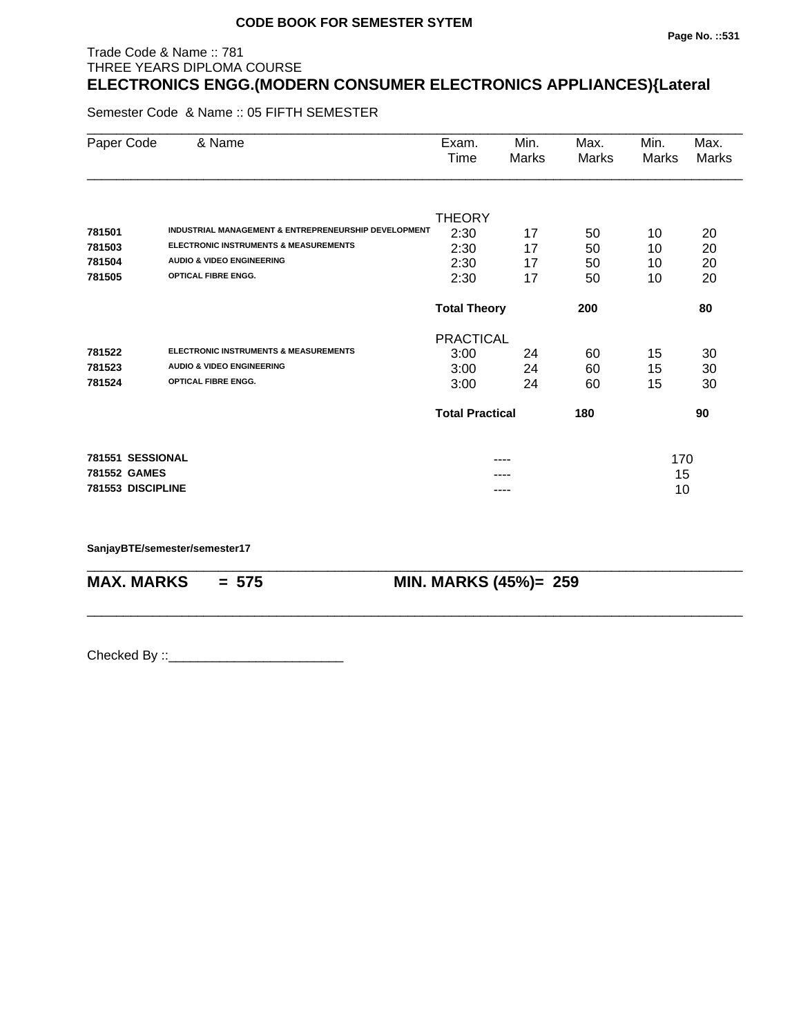# Trade Code & Name :: 781 THREE YEARS DIPLOMA COURSE **ELECTRONICS ENGG.(MODERN CONSUMER ELECTRONICS APPLIANCES){Lateral**

Semester Code & Name :: 05 FIFTH SEMESTER

| Paper Code        | & Name                                               | Exam.                  | Min.  | Max.  | Min.  | Max.  |
|-------------------|------------------------------------------------------|------------------------|-------|-------|-------|-------|
|                   |                                                      | Time                   | Marks | Marks | Marks | Marks |
|                   |                                                      |                        |       |       |       |       |
|                   |                                                      | <b>THEORY</b>          |       |       |       |       |
| 781501            | INDUSTRIAL MANAGEMENT & ENTREPRENEURSHIP DEVELOPMENT | 2:30                   | 17    | 50    | 10    | 20    |
| 781503            | <b>ELECTRONIC INSTRUMENTS &amp; MEASUREMENTS</b>     | 2:30                   | 17    | 50    | 10    | 20    |
| 781504            | <b>AUDIO &amp; VIDEO ENGINEERING</b>                 | 2:30                   | 17    | 50    | 10    | 20    |
| 781505            | <b>OPTICAL FIBRE ENGG.</b>                           | 2:30                   | 17    | 50    | 10    | 20    |
|                   |                                                      | <b>Total Theory</b>    |       | 200   |       | 80    |
|                   |                                                      | <b>PRACTICAL</b>       |       |       |       |       |
| 781522            | <b>ELECTRONIC INSTRUMENTS &amp; MEASUREMENTS</b>     | 3:00                   | 24    | 60    | 15    | 30    |
| 781523            | <b>AUDIO &amp; VIDEO ENGINEERING</b>                 | 3:00                   | 24    | 60    | 15    | 30    |
| 781524            | <b>OPTICAL FIBRE ENGG.</b>                           | 3:00                   | 24    | 60    | 15    | 30    |
|                   |                                                      | <b>Total Practical</b> |       | 180   |       | 90    |
| 781551 SESSIONAL  |                                                      |                        | ----  |       | 170   |       |
| 781552 GAMES      |                                                      |                        |       |       | 15    |       |
| 781553 DISCIPLINE |                                                      |                        |       |       | 10    |       |

\_\_\_\_\_\_\_\_\_\_\_\_\_\_\_\_\_\_\_\_\_\_\_\_\_\_\_\_\_\_\_\_\_\_\_\_\_\_\_\_\_\_\_\_\_\_\_\_\_\_\_\_\_\_\_\_\_\_\_\_\_\_\_\_\_\_\_\_\_\_\_\_\_\_\_\_\_\_\_\_\_\_\_\_\_\_\_\_\_\_

\_\_\_\_\_\_\_\_\_\_\_\_\_\_\_\_\_\_\_\_\_\_\_\_\_\_\_\_\_\_\_\_\_\_\_\_\_\_\_\_\_\_\_\_\_\_\_\_\_\_\_\_\_\_\_\_\_\_\_\_\_\_\_\_\_\_\_\_\_\_\_\_\_\_\_\_\_\_\_\_\_\_\_\_\_\_\_\_\_\_

**SanjayBTE/semester/semester17**

**MAX. MARKS = 575 MIN. MARKS (45%)= 259**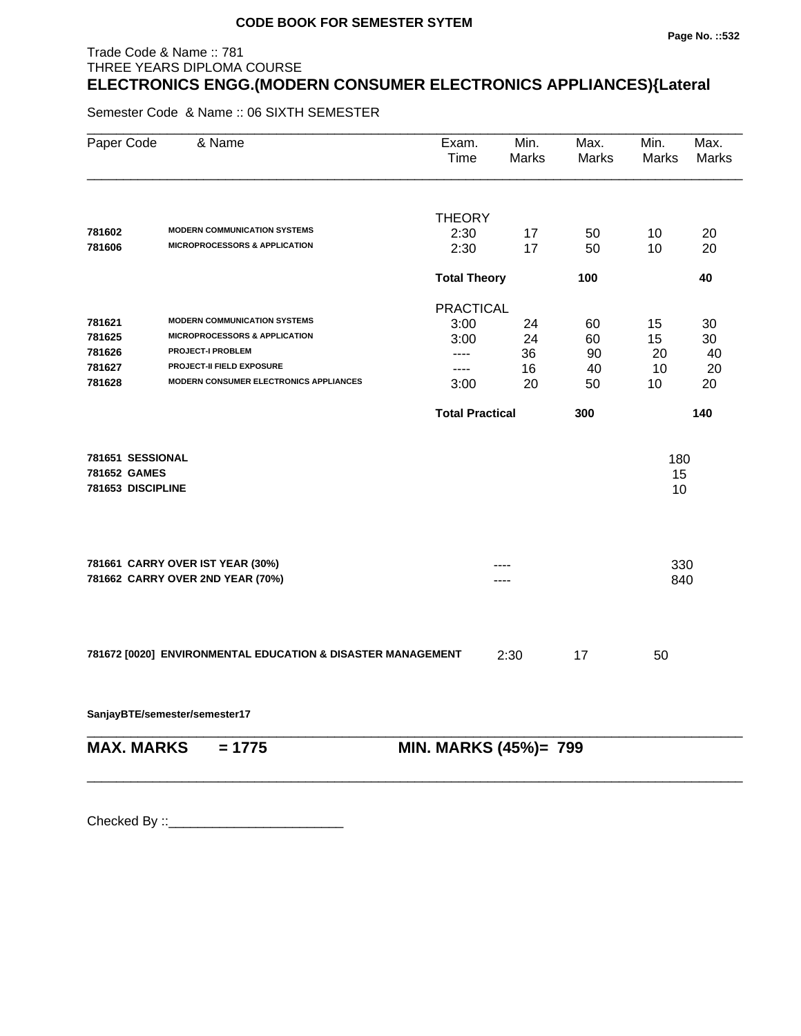#### **Page No. ::532**

# THREE YEARS DIPLOMA COURSE **ELECTRONICS ENGG.(MODERN CONSUMER ELECTRONICS APPLIANCES){Lateral**

Semester Code & Name :: 06 SIXTH SEMESTER

Trade Code & Name :: 781

| Paper Code        | & Name                                                      | Exam.<br>Time          | Min.<br><b>Marks</b> | Max.<br>Marks | Min.<br>Marks | Max.<br><b>Marks</b> |
|-------------------|-------------------------------------------------------------|------------------------|----------------------|---------------|---------------|----------------------|
|                   |                                                             |                        |                      |               |               |                      |
| 781602            | <b>MODERN COMMUNICATION SYSTEMS</b>                         | <b>THEORY</b>          |                      |               |               |                      |
| 781606            | <b>MICROPROCESSORS &amp; APPLICATION</b>                    | 2:30<br>2:30           | 17<br>17             | 50<br>50      | 10<br>10      | 20<br>20             |
|                   |                                                             |                        |                      |               |               |                      |
|                   |                                                             | <b>Total Theory</b>    |                      | 100           |               | 40                   |
|                   |                                                             | <b>PRACTICAL</b>       |                      |               |               |                      |
| 781621            | <b>MODERN COMMUNICATION SYSTEMS</b>                         | 3:00                   | 24                   | 60            | 15            | 30                   |
| 781625            | <b>MICROPROCESSORS &amp; APPLICATION</b>                    | 3:00                   | 24                   | 60            | 15            | 30                   |
| 781626            | <b>PROJECT-I PROBLEM</b>                                    | $---$                  | 36                   | 90            | 20            | 40                   |
| 781627            | <b>PROJECT-II FIELD EXPOSURE</b>                            | $---$                  | 16                   | 40            | 10            | 20                   |
| 781628            | <b>MODERN CONSUMER ELECTRONICS APPLIANCES</b>               | 3:00                   | 20                   | 50            | 10            | 20                   |
|                   |                                                             | <b>Total Practical</b> |                      | 300           |               | 140                  |
| 781651 SESSIONAL  |                                                             |                        |                      |               | 180           |                      |
| 781652 GAMES      |                                                             |                        |                      |               | 15            |                      |
| 781653 DISCIPLINE |                                                             |                        |                      |               | 10            |                      |
|                   |                                                             |                        |                      |               |               |                      |
|                   | 781661 CARRY OVER IST YEAR (30%)                            |                        |                      |               | 330           |                      |
|                   | 781662 CARRY OVER 2ND YEAR (70%)                            |                        |                      |               | 840           |                      |
|                   |                                                             |                        |                      |               |               |                      |
|                   | 781672 [0020] ENVIRONMENTAL EDUCATION & DISASTER MANAGEMENT |                        | 2:30                 | 17            | 50            |                      |
|                   | SanjayBTE/semester/semester17                               |                        |                      |               |               |                      |
| <b>MAX. MARKS</b> | $= 1775$                                                    | MIN. MARKS (45%)= 799  |                      |               |               |                      |
|                   |                                                             |                        |                      |               |               |                      |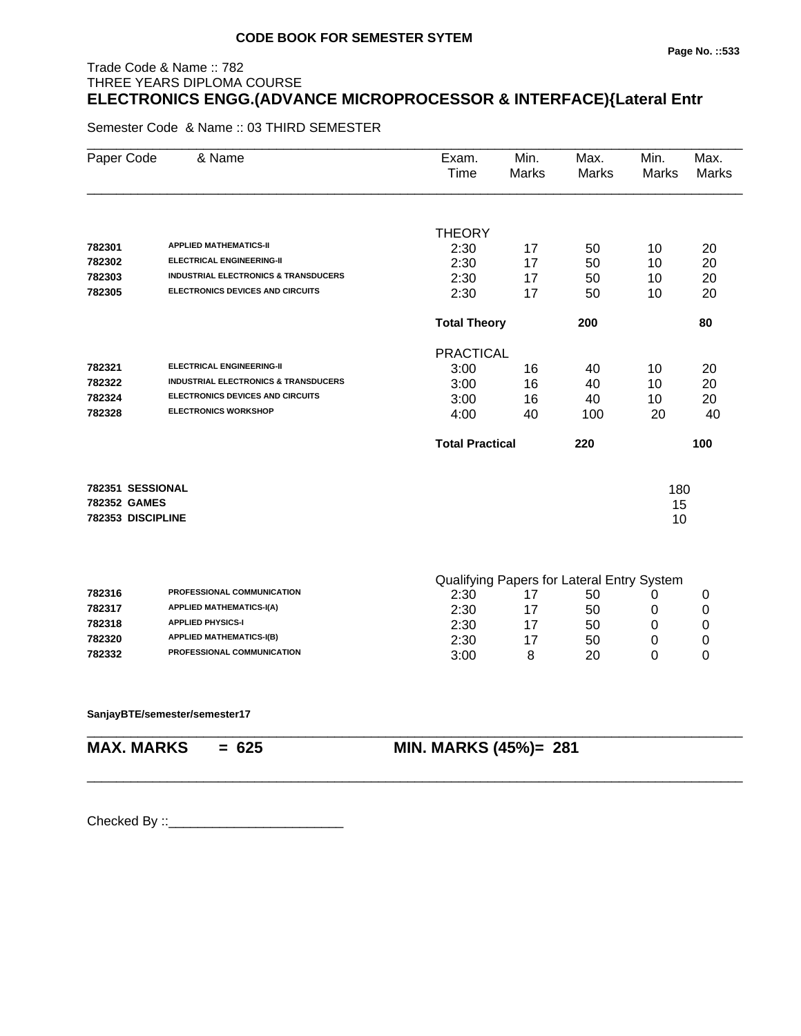# Trade Code & Name :: 782 THREE YEARS DIPLOMA COURSE **ELECTRONICS ENGG.(ADVANCE MICROPROCESSOR & INTERFACE){Lateral Entr**

Semester Code & Name :: 03 THIRD SEMESTER

| Paper Code          | & Name                                          | Exam.<br>Time          | Min.<br><b>Marks</b> | Max.<br><b>Marks</b>                             | Min.<br>Marks | Max.<br><b>Marks</b> |
|---------------------|-------------------------------------------------|------------------------|----------------------|--------------------------------------------------|---------------|----------------------|
|                     |                                                 | <b>THEORY</b>          |                      |                                                  |               |                      |
| 782301              | <b>APPLIED MATHEMATICS-II</b>                   | 2:30                   | 17                   | 50                                               | 10            | 20                   |
| 782302              | <b>ELECTRICAL ENGINEERING-II</b>                | 2:30                   | 17                   | 50                                               | 10            | 20                   |
| 782303              | <b>INDUSTRIAL ELECTRONICS &amp; TRANSDUCERS</b> | 2:30                   | 17                   | 50                                               | 10            | 20                   |
| 782305              | <b>ELECTRONICS DEVICES AND CIRCUITS</b>         | 2:30                   | 17                   | 50                                               | 10            | 20                   |
|                     |                                                 | <b>Total Theory</b>    |                      | 200                                              |               | 80                   |
|                     |                                                 | <b>PRACTICAL</b>       |                      |                                                  |               |                      |
| 782321              | <b>ELECTRICAL ENGINEERING-II</b>                | 3:00                   | 16                   | 40                                               | 10            | 20                   |
| 782322              | <b>INDUSTRIAL ELECTRONICS &amp; TRANSDUCERS</b> | 3:00                   | 16                   | 40                                               | 10            | 20                   |
| 782324              | <b>ELECTRONICS DEVICES AND CIRCUITS</b>         | 3:00                   | 16                   | 40                                               | 10            | 20                   |
| 782328              | <b>ELECTRONICS WORKSHOP</b>                     | 4:00                   | 40                   | 100                                              | 20            | 40                   |
|                     |                                                 | <b>Total Practical</b> |                      | 220                                              |               | 100                  |
|                     | 782351 SESSIONAL                                |                        |                      |                                                  | 180           |                      |
| <b>782352 GAMES</b> |                                                 |                        |                      |                                                  | 15            |                      |
|                     | 782353 DISCIPLINE                               |                        |                      |                                                  | 10            |                      |
|                     |                                                 |                        |                      |                                                  |               |                      |
| 782316              | PROFESSIONAL COMMUNICATION                      | 2:30                   | 17                   | Qualifying Papers for Lateral Entry System<br>50 | 0             | 0                    |
| 782317              | <b>APPLIED MATHEMATICS-I(A)</b>                 | 2:30                   | 17                   | 50                                               | 0             | $\mathbf 0$          |
| 782318              | <b>APPLIED PHYSICS-I</b>                        | 2:30                   | 17                   | 50                                               | 0             | $\mathbf 0$          |
| 782320              | <b>APPLIED MATHEMATICS-I(B)</b>                 | 2:30                   | 17                   | 50                                               | 0             | 0                    |
| 782332              | PROFESSIONAL COMMUNICATION                      | 3:00                   | 8                    | 20                                               | 0             | 0                    |
|                     |                                                 |                        |                      |                                                  |               |                      |

\_\_\_\_\_\_\_\_\_\_\_\_\_\_\_\_\_\_\_\_\_\_\_\_\_\_\_\_\_\_\_\_\_\_\_\_\_\_\_\_\_\_\_\_\_\_\_\_\_\_\_\_\_\_\_\_\_\_\_\_\_\_\_\_\_\_\_\_\_\_\_\_\_\_\_\_\_\_\_\_\_\_\_\_\_\_\_\_\_\_

#### **SanjayBTE/semester/semester17**

\_\_\_\_\_\_\_\_\_\_\_\_\_\_\_\_\_\_\_\_\_\_\_\_\_\_\_\_\_\_\_\_\_\_\_\_\_\_\_\_\_\_\_\_\_\_\_\_\_\_\_\_\_\_\_\_\_\_\_\_\_\_\_\_\_\_\_\_\_\_\_\_\_\_\_\_\_\_\_\_\_\_\_\_\_\_\_\_\_\_

**MAX. MARKS = 625 MIN. MARKS (45%)= 281**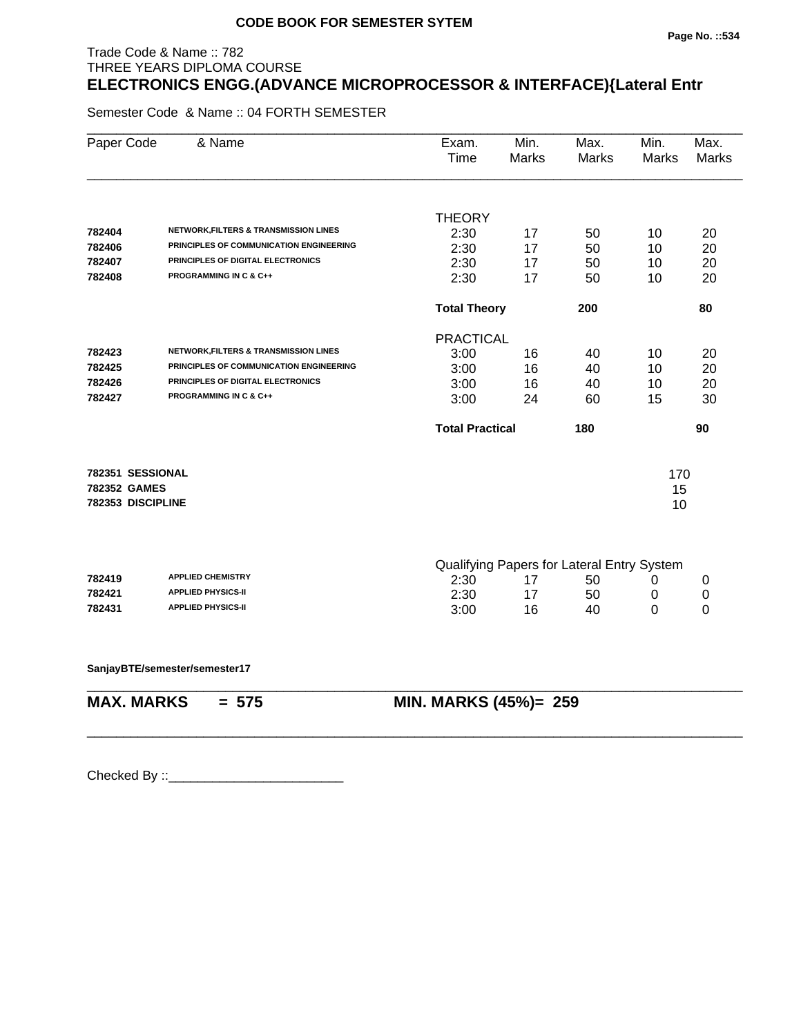# Trade Code & Name :: 782 THREE YEARS DIPLOMA COURSE **ELECTRONICS ENGG.(ADVANCE MICROPROCESSOR & INTERFACE){Lateral Entr**

Semester Code & Name :: 04 FORTH SEMESTER

| Paper Code        | & Name                                           | Exam.<br>Time                              | Min.<br>Marks | Max.<br>Marks | Min.<br><b>Marks</b> | Max.<br><b>Marks</b> |
|-------------------|--------------------------------------------------|--------------------------------------------|---------------|---------------|----------------------|----------------------|
|                   |                                                  |                                            |               |               |                      |                      |
|                   |                                                  | <b>THEORY</b>                              |               |               |                      |                      |
| 782404            | <b>NETWORK, FILTERS &amp; TRANSMISSION LINES</b> | 2:30                                       | 17            | 50            | 10                   | 20                   |
| 782406            | PRINCIPLES OF COMMUNICATION ENGINEERING          | 2:30                                       | 17            | 50            | 10                   | 20                   |
| 782407            | PRINCIPLES OF DIGITAL ELECTRONICS                | 2:30                                       | 17            | 50            | 10                   | 20                   |
| 782408            | <b>PROGRAMMING IN C &amp; C++</b>                | 2:30                                       | 17            | 50            | 10                   | 20                   |
|                   |                                                  | <b>Total Theory</b>                        |               | 200           |                      | 80                   |
|                   |                                                  | <b>PRACTICAL</b>                           |               |               |                      |                      |
| 782423            | <b>NETWORK, FILTERS &amp; TRANSMISSION LINES</b> | 3:00                                       | 16            | 40            | 10                   | 20                   |
| 782425            | PRINCIPLES OF COMMUNICATION ENGINEERING          | 3:00                                       | 16            | 40            | 10                   | 20                   |
| 782426            | PRINCIPLES OF DIGITAL ELECTRONICS                | 3:00                                       | 16            | 40            | 10                   | 20                   |
| 782427            | <b>PROGRAMMING IN C &amp; C++</b>                | 3:00                                       | 24            | 60            | 15                   | 30                   |
|                   |                                                  | <b>Total Practical</b>                     |               | 180           |                      | 90                   |
| 782351 SESSIONAL  |                                                  |                                            |               |               | 170                  |                      |
| 782352 GAMES      |                                                  |                                            |               |               | 15                   |                      |
| 782353 DISCIPLINE |                                                  |                                            |               |               | 10                   |                      |
|                   |                                                  |                                            |               |               |                      |                      |
|                   |                                                  | Qualifying Papers for Lateral Entry System |               |               |                      |                      |
| 782419            | <b>APPLIED CHEMISTRY</b>                         | 2:30                                       | 17            | 50            | 0                    | 0                    |
| 782421            | <b>APPLIED PHYSICS-II</b>                        | 2:30                                       | 17            | 50            | 0                    | 0                    |
| 782431            | <b>APPLIED PHYSICS-II</b>                        | 3:00                                       | 16            | 40            | 0                    | 0                    |
|                   | SanjayBTE/semester/semester17                    |                                            |               |               |                      |                      |
| <b>MAX. MARKS</b> | $= 575$                                          | MIN. MARKS (45%)= 259                      |               |               |                      |                      |
|                   |                                                  |                                            |               |               |                      |                      |
|                   |                                                  |                                            |               |               |                      |                      |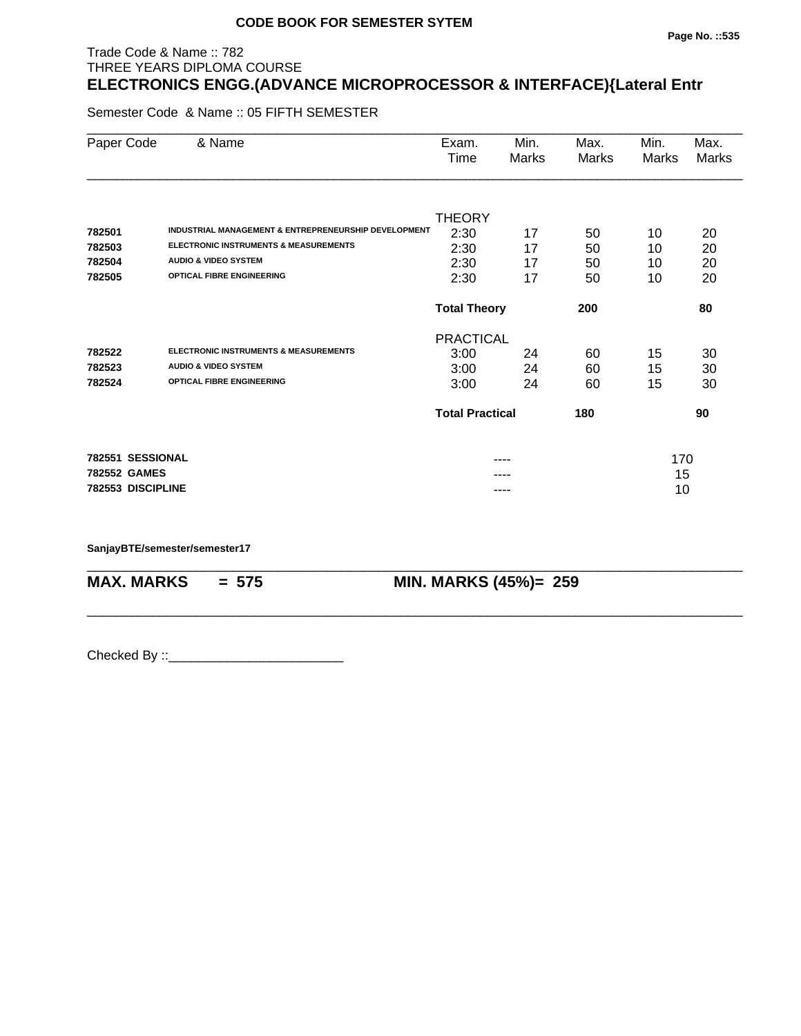# Trade Code & Name :: 782 THREE YEARS DIPLOMA COURSE **ELECTRONICS ENGG.(ADVANCE MICROPROCESSOR & INTERFACE){Lateral Entr**

Semester Code & Name :: 05 FIFTH SEMESTER

| Paper Code        | & Name                                               | Exam.<br>Time          | Min.<br>Marks | Max.<br>Marks | Min.<br>Marks | Max.<br>Marks |
|-------------------|------------------------------------------------------|------------------------|---------------|---------------|---------------|---------------|
|                   |                                                      |                        |               |               |               |               |
|                   |                                                      | <b>THEORY</b>          |               |               |               |               |
| 782501            | INDUSTRIAL MANAGEMENT & ENTREPRENEURSHIP DEVELOPMENT | 2:30                   | 17            | 50            | 10            | 20            |
| 782503            | <b>ELECTRONIC INSTRUMENTS &amp; MEASUREMENTS</b>     | 2:30                   | 17            | 50            | 10            | 20            |
| 782504            | <b>AUDIO &amp; VIDEO SYSTEM</b>                      | 2:30                   | 17            | 50            | 10            | 20            |
| 782505            | <b>OPTICAL FIBRE ENGINEERING</b>                     | 2:30                   | 17            | 50            | 10            | 20            |
|                   |                                                      | <b>Total Theory</b>    |               | 200           |               | 80            |
|                   |                                                      | <b>PRACTICAL</b>       |               |               |               |               |
| 782522            | <b>ELECTRONIC INSTRUMENTS &amp; MEASUREMENTS</b>     | 3:00                   | 24            | 60            | 15            | 30            |
| 782523            | <b>AUDIO &amp; VIDEO SYSTEM</b>                      | 3:00                   | 24            | 60            | 15            | 30            |
| 782524            | <b>OPTICAL FIBRE ENGINEERING</b>                     | 3:00                   | 24            | 60            | 15            | 30            |
|                   |                                                      | <b>Total Practical</b> |               | 180           |               | 90            |
| 782551 SESSIONAL  |                                                      |                        | ----          |               | 170           |               |
| 782552 GAMES      |                                                      |                        |               |               | 15            |               |
| 782553 DISCIPLINE |                                                      |                        | ----          |               | 10            |               |

\_\_\_\_\_\_\_\_\_\_\_\_\_\_\_\_\_\_\_\_\_\_\_\_\_\_\_\_\_\_\_\_\_\_\_\_\_\_\_\_\_\_\_\_\_\_\_\_\_\_\_\_\_\_\_\_\_\_\_\_\_\_\_\_\_\_\_\_\_\_\_\_\_\_\_\_\_\_\_\_\_\_\_\_\_\_\_\_\_\_

\_\_\_\_\_\_\_\_\_\_\_\_\_\_\_\_\_\_\_\_\_\_\_\_\_\_\_\_\_\_\_\_\_\_\_\_\_\_\_\_\_\_\_\_\_\_\_\_\_\_\_\_\_\_\_\_\_\_\_\_\_\_\_\_\_\_\_\_\_\_\_\_\_\_\_\_\_\_\_\_\_\_\_\_\_\_\_\_\_\_

**SanjayBTE/semester/semester17**

**MAX. MARKS = 575 MIN. MARKS (45%)= 259**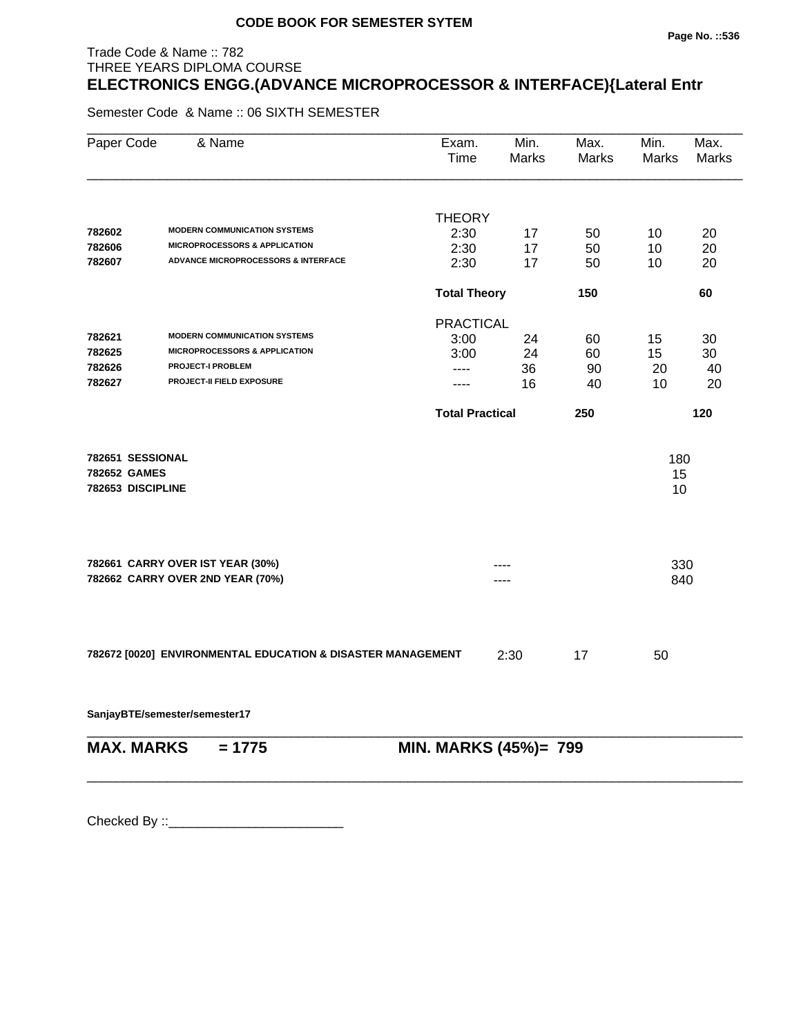# **Page No. ::536**

# THREE YEARS DIPLOMA COURSE **ELECTRONICS ENGG.(ADVANCE MICROPROCESSOR & INTERFACE){Lateral Entr**

Semester Code & Name :: 06 SIXTH SEMESTER

Trade Code & Name :: 782

| Paper Code                                            | & Name                                                      | Exam.<br>Time          | Min.<br>Marks         | Max.<br>Marks | Min.<br><b>Marks</b> | Max.<br><b>Marks</b> |
|-------------------------------------------------------|-------------------------------------------------------------|------------------------|-----------------------|---------------|----------------------|----------------------|
|                                                       |                                                             |                        |                       |               |                      |                      |
| 782602                                                | <b>MODERN COMMUNICATION SYSTEMS</b>                         | <b>THEORY</b>          |                       |               |                      |                      |
| 782606                                                | <b>MICROPROCESSORS &amp; APPLICATION</b>                    | 2:30                   | 17                    | 50            | 10                   | 20                   |
| 782607                                                | <b>ADVANCE MICROPROCESSORS &amp; INTERFACE</b>              | 2:30<br>2:30           | 17<br>17              | 50<br>50      | 10<br>10             | 20<br>20             |
|                                                       |                                                             |                        |                       |               |                      |                      |
|                                                       |                                                             | <b>Total Theory</b>    |                       | 150           |                      | 60                   |
|                                                       |                                                             | <b>PRACTICAL</b>       |                       |               |                      |                      |
| 782621                                                | <b>MODERN COMMUNICATION SYSTEMS</b>                         | 3:00                   | 24                    | 60            | 15                   | 30                   |
| 782625                                                | <b>MICROPROCESSORS &amp; APPLICATION</b>                    | 3:00                   | 24                    | 60            | 15                   | 30                   |
| 782626                                                | <b>PROJECT-I PROBLEM</b>                                    | ----                   | 36                    | 90            | 20                   | 40                   |
| 782627                                                | PROJECT-II FIELD EXPOSURE                                   | ----                   | 16                    | 40            | 10                   | 20                   |
|                                                       |                                                             | <b>Total Practical</b> |                       | 250           |                      | 120                  |
| 782651 SESSIONAL<br>782652 GAMES<br>782653 DISCIPLINE |                                                             |                        |                       |               | 180<br>15<br>10      |                      |
|                                                       |                                                             |                        |                       |               |                      |                      |
|                                                       | 782661 CARRY OVER IST YEAR (30%)                            |                        |                       |               | 330                  |                      |
|                                                       | 782662 CARRY OVER 2ND YEAR (70%)                            |                        |                       |               | 840                  |                      |
|                                                       | 782672 [0020] ENVIRONMENTAL EDUCATION & DISASTER MANAGEMENT |                        | 2:30                  | 17            | 50                   |                      |
|                                                       | SanjayBTE/semester/semester17                               |                        |                       |               |                      |                      |
| <b>MAX. MARKS</b>                                     | $= 1775$                                                    |                        | MIN. MARKS (45%)= 799 |               |                      |                      |

\_\_\_\_\_\_\_\_\_\_\_\_\_\_\_\_\_\_\_\_\_\_\_\_\_\_\_\_\_\_\_\_\_\_\_\_\_\_\_\_\_\_\_\_\_\_\_\_\_\_\_\_\_\_\_\_\_\_\_\_\_\_\_\_\_\_\_\_\_\_\_\_\_\_\_\_\_\_\_\_\_\_\_\_\_\_\_\_\_\_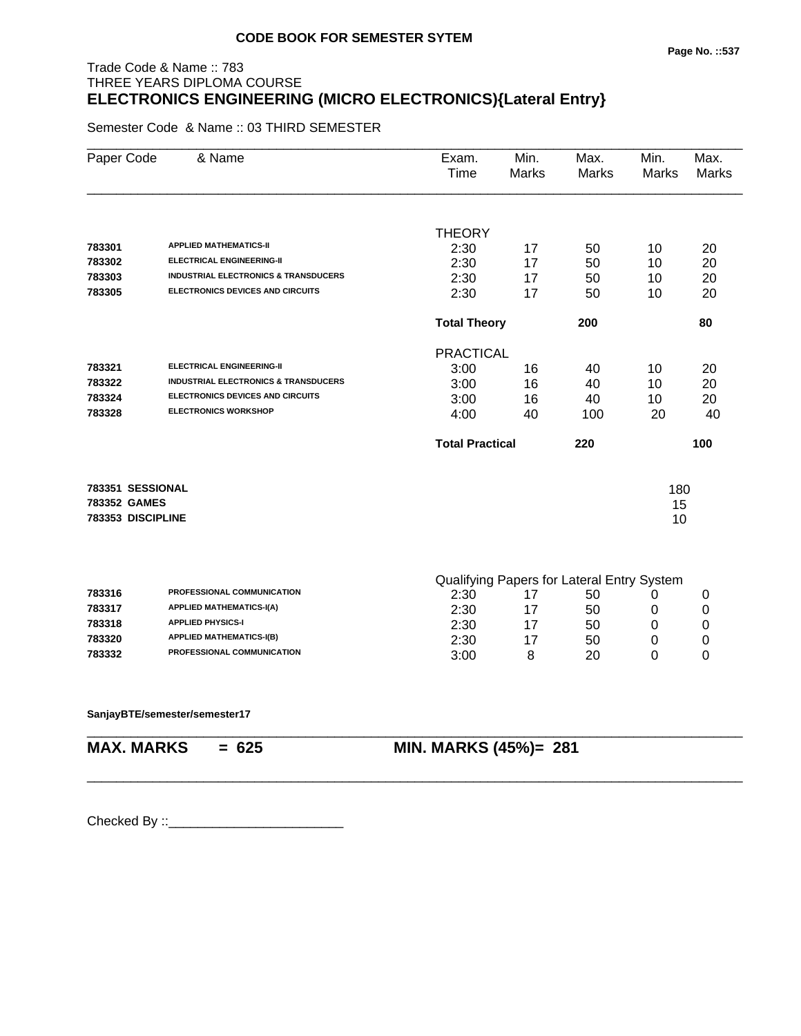# Trade Code & Name :: 783 THREE YEARS DIPLOMA COURSE **ELECTRONICS ENGINEERING (MICRO ELECTRONICS){Lateral Entry}**

Semester Code & Name :: 03 THIRD SEMESTER

| Paper Code        | & Name                                          | Exam.<br>Time          | Min.<br><b>Marks</b> | Max.<br><b>Marks</b>                       | Min.<br>Marks | Max.<br>Marks    |
|-------------------|-------------------------------------------------|------------------------|----------------------|--------------------------------------------|---------------|------------------|
|                   |                                                 | <b>THEORY</b>          |                      |                                            |               |                  |
| 783301            | <b>APPLIED MATHEMATICS-II</b>                   | 2:30                   | 17                   | 50                                         | 10            | 20               |
| 783302            | <b>ELECTRICAL ENGINEERING-II</b>                | 2:30                   | 17                   | 50                                         | 10            | 20               |
| 783303            | <b>INDUSTRIAL ELECTRONICS &amp; TRANSDUCERS</b> | 2:30                   | 17                   | 50                                         | 10            | 20               |
| 783305            | <b>ELECTRONICS DEVICES AND CIRCUITS</b>         | 2:30                   | 17                   | 50                                         | 10            | 20               |
|                   |                                                 | <b>Total Theory</b>    |                      | 200                                        |               | 80               |
|                   |                                                 | <b>PRACTICAL</b>       |                      |                                            |               |                  |
| 783321            | <b>ELECTRICAL ENGINEERING-II</b>                | 3:00                   | 16                   | 40                                         | 10            | 20               |
| 783322            | <b>INDUSTRIAL ELECTRONICS &amp; TRANSDUCERS</b> | 3:00                   | 16                   | 40                                         | 10            | 20               |
| 783324            | ELECTRONICS DEVICES AND CIRCUITS                | 3:00                   | 16                   | 40                                         | 10            | 20               |
| 783328            | <b>ELECTRONICS WORKSHOP</b>                     | 4:00                   | 40                   | 100                                        | 20            | 40               |
|                   |                                                 | <b>Total Practical</b> |                      | 220                                        |               | 100              |
| 783351 SESSIONAL  |                                                 |                        |                      |                                            | 180           |                  |
| 783352 GAMES      |                                                 |                        |                      |                                            | 15            |                  |
| 783353 DISCIPLINE |                                                 |                        |                      |                                            | 10            |                  |
|                   |                                                 |                        |                      |                                            |               |                  |
|                   |                                                 |                        |                      | Qualifying Papers for Lateral Entry System |               |                  |
| 783316            | PROFESSIONAL COMMUNICATION                      | 2:30                   | 17                   | 50                                         | 0             | 0                |
| 783317            | <b>APPLIED MATHEMATICS-I(A)</b>                 | 2:30                   | 17                   | 50                                         | 0             | $\boldsymbol{0}$ |
| 783318            | <b>APPLIED PHYSICS-I</b>                        | 2:30                   | 17                   | 50                                         | 0             | $\mathbf 0$      |
| 783320            | <b>APPLIED MATHEMATICS-I(B)</b>                 | 2:30                   | 17                   | 50                                         | 0             | $\boldsymbol{0}$ |
| 783332            | PROFESSIONAL COMMUNICATION                      | 3:00                   | 8                    | 20                                         | 0             | 0                |
|                   |                                                 |                        |                      |                                            |               |                  |
|                   |                                                 |                        |                      |                                            |               |                  |

\_\_\_\_\_\_\_\_\_\_\_\_\_\_\_\_\_\_\_\_\_\_\_\_\_\_\_\_\_\_\_\_\_\_\_\_\_\_\_\_\_\_\_\_\_\_\_\_\_\_\_\_\_\_\_\_\_\_\_\_\_\_\_\_\_\_\_\_\_\_\_\_\_\_\_\_\_\_\_\_\_\_\_\_\_\_\_\_\_\_

#### **SanjayBTE/semester/semester17**

\_\_\_\_\_\_\_\_\_\_\_\_\_\_\_\_\_\_\_\_\_\_\_\_\_\_\_\_\_\_\_\_\_\_\_\_\_\_\_\_\_\_\_\_\_\_\_\_\_\_\_\_\_\_\_\_\_\_\_\_\_\_\_\_\_\_\_\_\_\_\_\_\_\_\_\_\_\_\_\_\_\_\_\_\_\_\_\_\_\_

**MAX. MARKS = 625 MIN. MARKS (45%)= 281**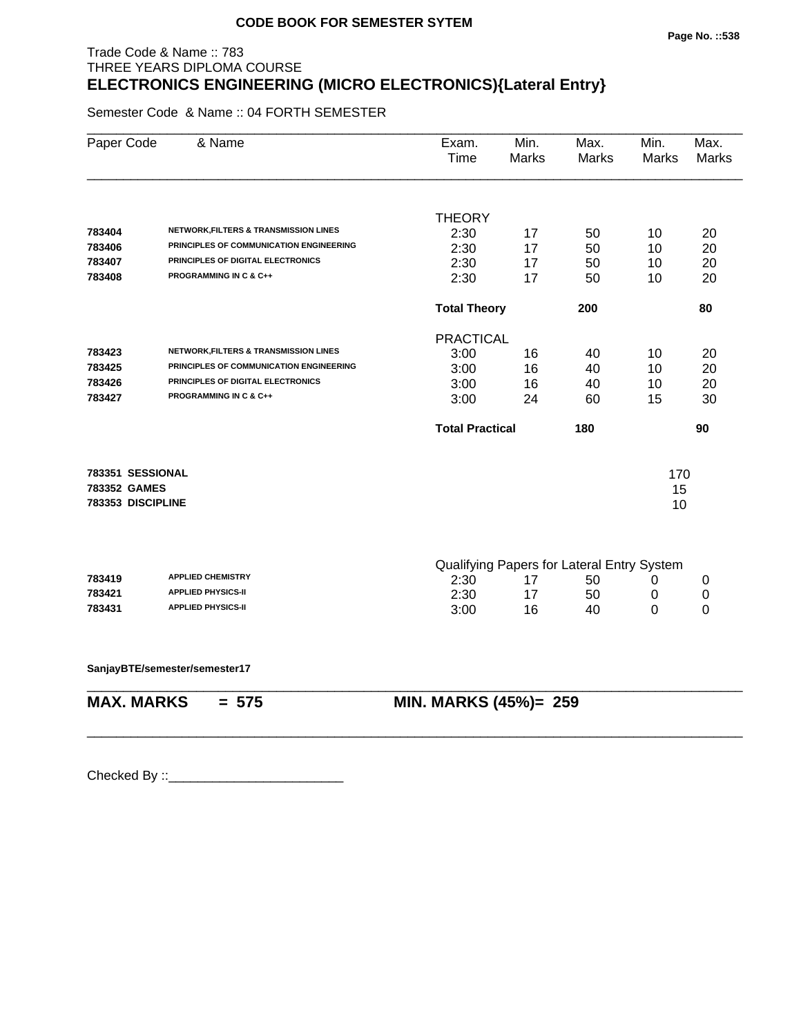# Trade Code & Name :: 783 THREE YEARS DIPLOMA COURSE **ELECTRONICS ENGINEERING (MICRO ELECTRONICS){Lateral Entry}**

Semester Code & Name :: 04 FORTH SEMESTER

| Paper Code        | & Name                                           | Exam.<br>Time                              | Min.<br><b>Marks</b> | Max.<br>Marks | Min.<br><b>Marks</b> | Max.<br><b>Marks</b> |
|-------------------|--------------------------------------------------|--------------------------------------------|----------------------|---------------|----------------------|----------------------|
|                   |                                                  |                                            |                      |               |                      |                      |
|                   |                                                  | <b>THEORY</b>                              |                      |               |                      |                      |
| 783404            | <b>NETWORK, FILTERS &amp; TRANSMISSION LINES</b> | 2:30                                       | 17                   | 50            | 10                   | 20                   |
| 783406            | PRINCIPLES OF COMMUNICATION ENGINEERING          | 2:30                                       | 17                   | 50            | 10                   | 20                   |
| 783407            | PRINCIPLES OF DIGITAL ELECTRONICS                | 2:30                                       | 17                   | 50            | 10                   | 20                   |
| 783408            | <b>PROGRAMMING IN C &amp; C++</b>                | 2:30                                       | 17                   | 50            | 10                   | 20                   |
|                   |                                                  | <b>Total Theory</b>                        |                      | 200           |                      | 80                   |
|                   |                                                  | <b>PRACTICAL</b>                           |                      |               |                      |                      |
| 783423            | <b>NETWORK, FILTERS &amp; TRANSMISSION LINES</b> | 3:00                                       | 16                   | 40            | 10                   | 20                   |
| 783425            | PRINCIPLES OF COMMUNICATION ENGINEERING          | 3:00                                       | 16                   | 40            | 10                   | 20                   |
| 783426            | PRINCIPLES OF DIGITAL ELECTRONICS                | 3:00                                       | 16                   | 40            | 10                   | 20                   |
| 783427            | <b>PROGRAMMING IN C &amp; C++</b>                | 3:00                                       | 24                   | 60            | 15                   | 30                   |
|                   |                                                  | <b>Total Practical</b>                     |                      | 180           |                      | 90                   |
| 783351 SESSIONAL  |                                                  |                                            |                      |               | 170                  |                      |
| 783352 GAMES      |                                                  |                                            |                      |               | 15                   |                      |
| 783353 DISCIPLINE |                                                  |                                            |                      |               | 10                   |                      |
|                   |                                                  |                                            |                      |               |                      |                      |
|                   |                                                  | Qualifying Papers for Lateral Entry System |                      |               |                      |                      |
| 783419            | <b>APPLIED CHEMISTRY</b>                         | 2:30                                       | 17                   | 50            | 0                    | 0                    |
| 783421            | <b>APPLIED PHYSICS-II</b>                        | 2:30                                       | 17                   | 50            | 0                    | 0                    |
| 783431            | <b>APPLIED PHYSICS-II</b>                        | 3:00                                       | 16                   | 40            | 0                    | 0                    |
|                   | SanjayBTE/semester/semester17                    |                                            |                      |               |                      |                      |
| <b>MAX. MARKS</b> | $= 575$                                          | MIN. MARKS (45%)= 259                      |                      |               |                      |                      |
|                   |                                                  |                                            |                      |               |                      |                      |
|                   |                                                  |                                            |                      |               |                      |                      |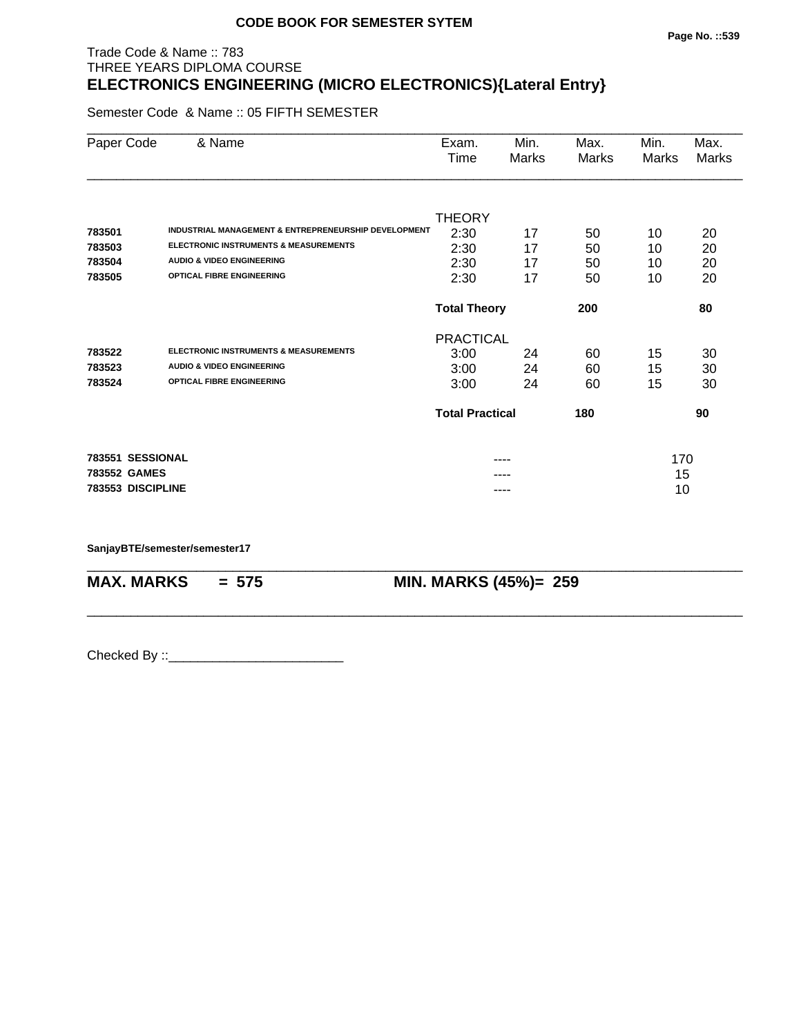# Trade Code & Name :: 783 THREE YEARS DIPLOMA COURSE **ELECTRONICS ENGINEERING (MICRO ELECTRONICS){Lateral Entry}**

Semester Code & Name :: 05 FIFTH SEMESTER

| Paper Code        | & Name                                               | Exam.                  | Min.  | Max.  | Min.  | Max.  |
|-------------------|------------------------------------------------------|------------------------|-------|-------|-------|-------|
|                   |                                                      | Time                   | Marks | Marks | Marks | Marks |
|                   |                                                      |                        |       |       |       |       |
|                   |                                                      | <b>THEORY</b>          |       |       |       |       |
| 783501            | INDUSTRIAL MANAGEMENT & ENTREPRENEURSHIP DEVELOPMENT | 2:30                   | 17    | 50    | 10    | 20    |
| 783503            | <b>ELECTRONIC INSTRUMENTS &amp; MEASUREMENTS</b>     | 2:30                   | 17    | 50    | 10    | 20    |
| 783504            | <b>AUDIO &amp; VIDEO ENGINEERING</b>                 | 2:30                   | 17    | 50    | 10    | 20    |
| 783505            | <b>OPTICAL FIBRE ENGINEERING</b>                     | 2:30                   | 17    | 50    | 10    | 20    |
|                   |                                                      | <b>Total Theory</b>    |       | 200   |       | 80    |
|                   |                                                      | <b>PRACTICAL</b>       |       |       |       |       |
| 783522            | <b>ELECTRONIC INSTRUMENTS &amp; MEASUREMENTS</b>     | 3:00                   | 24    | 60    | 15    | 30    |
| 783523            | <b>AUDIO &amp; VIDEO ENGINEERING</b>                 | 3:00                   | 24    | 60    | 15    | 30    |
| 783524            | <b>OPTICAL FIBRE ENGINEERING</b>                     | 3:00                   | 24    | 60    | 15    | 30    |
|                   |                                                      | <b>Total Practical</b> |       | 180   |       | 90    |
| 783551 SESSIONAL  |                                                      |                        |       |       | 170   |       |
| 783552 GAMES      |                                                      |                        |       |       | 15    |       |
| 783553 DISCIPLINE |                                                      |                        | ----  |       | 10    |       |
|                   |                                                      |                        |       |       |       |       |

\_\_\_\_\_\_\_\_\_\_\_\_\_\_\_\_\_\_\_\_\_\_\_\_\_\_\_\_\_\_\_\_\_\_\_\_\_\_\_\_\_\_\_\_\_\_\_\_\_\_\_\_\_\_\_\_\_\_\_\_\_\_\_\_\_\_\_\_\_\_\_\_\_\_\_\_\_\_\_\_\_\_\_\_\_\_\_\_\_\_

\_\_\_\_\_\_\_\_\_\_\_\_\_\_\_\_\_\_\_\_\_\_\_\_\_\_\_\_\_\_\_\_\_\_\_\_\_\_\_\_\_\_\_\_\_\_\_\_\_\_\_\_\_\_\_\_\_\_\_\_\_\_\_\_\_\_\_\_\_\_\_\_\_\_\_\_\_\_\_\_\_\_\_\_\_\_\_\_\_\_

**SanjayBTE/semester/semester17**

**MAX. MARKS = 575 MIN. MARKS (45%)= 259**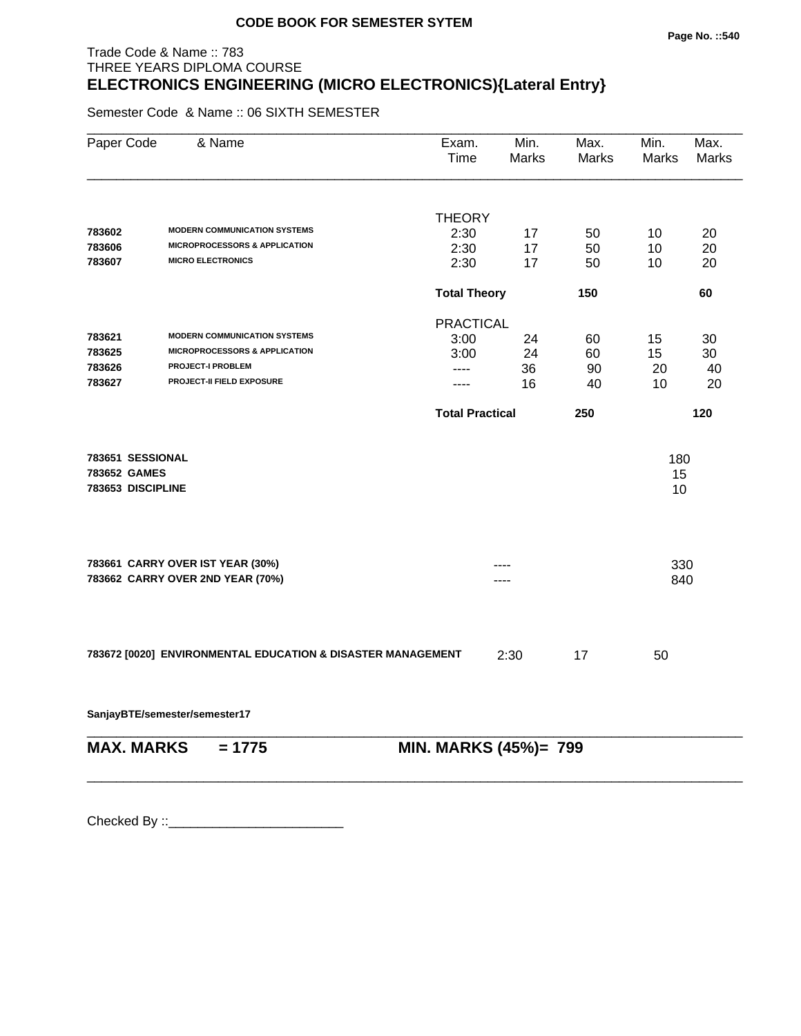#### **Page No. ::540**

# Trade Code & Name :: 783 THREE YEARS DIPLOMA COURSE **ELECTRONICS ENGINEERING (MICRO ELECTRONICS){Lateral Entry}**

Semester Code & Name :: 06 SIXTH SEMESTER

| Paper Code        | & Name                                                      | Exam.<br>Time          | Min.<br>Marks         | Max.<br><b>Marks</b> | Min.<br><b>Marks</b> | Max.<br><b>Marks</b> |
|-------------------|-------------------------------------------------------------|------------------------|-----------------------|----------------------|----------------------|----------------------|
|                   |                                                             |                        |                       |                      |                      |                      |
|                   |                                                             | <b>THEORY</b>          |                       |                      |                      |                      |
| 783602            | <b>MODERN COMMUNICATION SYSTEMS</b>                         | 2:30                   | 17                    | 50                   | 10                   | 20                   |
| 783606            | <b>MICROPROCESSORS &amp; APPLICATION</b>                    | 2:30                   | 17                    | 50                   | 10                   | 20                   |
| 783607            | <b>MICRO ELECTRONICS</b>                                    | 2:30                   | 17                    | 50                   | 10                   | 20                   |
|                   |                                                             | <b>Total Theory</b>    |                       | 150                  |                      | 60                   |
|                   |                                                             | <b>PRACTICAL</b>       |                       |                      |                      |                      |
| 783621            | <b>MODERN COMMUNICATION SYSTEMS</b>                         | 3:00                   | 24                    | 60                   | 15                   | 30                   |
| 783625            | <b>MICROPROCESSORS &amp; APPLICATION</b>                    | 3:00                   | 24                    | 60                   | 15                   | 30                   |
| 783626            | <b>PROJECT-I PROBLEM</b>                                    | ----                   | 36                    | 90                   | 20                   | 40                   |
| 783627            | PROJECT-II FIELD EXPOSURE                                   | ----                   | 16                    | 40                   | 10                   | 20                   |
|                   |                                                             | <b>Total Practical</b> |                       | 250                  |                      | 120                  |
| 783651 SESSIONAL  |                                                             |                        |                       |                      | 180                  |                      |
| 783652 GAMES      |                                                             |                        |                       |                      | 15                   |                      |
| 783653 DISCIPLINE |                                                             |                        |                       |                      | 10                   |                      |
|                   |                                                             |                        |                       |                      |                      |                      |
|                   | 783661 CARRY OVER IST YEAR (30%)                            |                        |                       |                      | 330                  |                      |
|                   | 783662 CARRY OVER 2ND YEAR (70%)                            |                        |                       |                      | 840                  |                      |
|                   | 783672 [0020] ENVIRONMENTAL EDUCATION & DISASTER MANAGEMENT |                        | 2:30                  | 17                   | 50                   |                      |
|                   | SanjayBTE/semester/semester17                               |                        |                       |                      |                      |                      |
| <b>MAX. MARKS</b> | $= 1775$                                                    |                        | MIN. MARKS (45%)= 799 |                      |                      |                      |

\_\_\_\_\_\_\_\_\_\_\_\_\_\_\_\_\_\_\_\_\_\_\_\_\_\_\_\_\_\_\_\_\_\_\_\_\_\_\_\_\_\_\_\_\_\_\_\_\_\_\_\_\_\_\_\_\_\_\_\_\_\_\_\_\_\_\_\_\_\_\_\_\_\_\_\_\_\_\_\_\_\_\_\_\_\_\_\_\_\_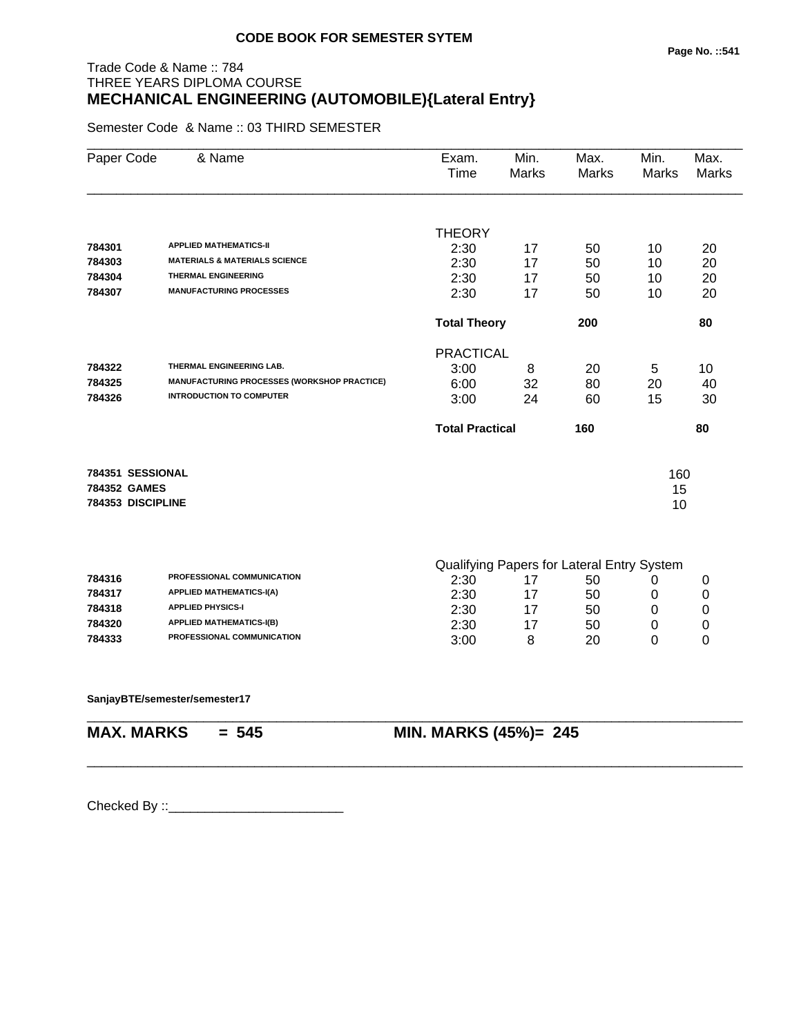# Trade Code & Name :: 784 THREE YEARS DIPLOMA COURSE **MECHANICAL ENGINEERING (AUTOMOBILE){Lateral Entry}**

Semester Code & Name :: 03 THIRD SEMESTER

| Paper Code   | & Name                                             | Exam.<br>Time          | Min.<br><b>Marks</b> | Max.<br><b>Marks</b>                       | Min.<br>Marks | Max.<br><b>Marks</b> |
|--------------|----------------------------------------------------|------------------------|----------------------|--------------------------------------------|---------------|----------------------|
|              |                                                    |                        |                      |                                            |               |                      |
| 784301       | <b>APPLIED MATHEMATICS-II</b>                      | <b>THEORY</b>          |                      |                                            |               |                      |
| 784303       | <b>MATERIALS &amp; MATERIALS SCIENCE</b>           | 2:30<br>2:30           | 17<br>17             | 50<br>50                                   | 10<br>10      | 20<br>20             |
| 784304       | <b>THERMAL ENGINEERING</b>                         | 2:30                   | 17                   | 50                                         | 10            | 20                   |
| 784307       | <b>MANUFACTURING PROCESSES</b>                     | 2:30                   | 17                   | 50                                         | 10            | 20                   |
|              |                                                    | <b>Total Theory</b>    |                      | 200                                        |               | 80                   |
|              |                                                    | <b>PRACTICAL</b>       |                      |                                            |               |                      |
| 784322       | THERMAL ENGINEERING LAB.                           | 3:00                   | 8                    | 20                                         | 5             | 10                   |
| 784325       | <b>MANUFACTURING PROCESSES (WORKSHOP PRACTICE)</b> | 6:00                   | 32                   | 80                                         | 20            | 40                   |
| 784326       | <b>INTRODUCTION TO COMPUTER</b>                    | 3:00                   | 24                   | 60                                         | 15            | 30                   |
|              |                                                    | <b>Total Practical</b> |                      | 160                                        |               | 80                   |
|              | 784351 SESSIONAL                                   |                        |                      |                                            | 160           |                      |
| 784352 GAMES | 784353 DISCIPLINE                                  |                        |                      |                                            | 15            |                      |
|              |                                                    |                        |                      |                                            | 10            |                      |
|              |                                                    |                        |                      | Qualifying Papers for Lateral Entry System |               |                      |
| 784316       | PROFESSIONAL COMMUNICATION                         | 2:30                   | 17                   | 50                                         | 0             | 0                    |
| 784317       | <b>APPLIED MATHEMATICS-I(A)</b>                    | 2:30                   | 17                   | 50                                         | 0             | 0                    |
| 784318       | <b>APPLIED PHYSICS-I</b>                           | 2:30                   | 17                   | 50                                         | 0             | $\mathbf 0$          |
| 784320       | <b>APPLIED MATHEMATICS-I(B)</b>                    | 2:30                   | 17                   | 50                                         | 0             | 0                    |
| 784333       | PROFESSIONAL COMMUNICATION                         | 3:00                   | 8                    | 20                                         | 0             | 0                    |

\_\_\_\_\_\_\_\_\_\_\_\_\_\_\_\_\_\_\_\_\_\_\_\_\_\_\_\_\_\_\_\_\_\_\_\_\_\_\_\_\_\_\_\_\_\_\_\_\_\_\_\_\_\_\_\_\_\_\_\_\_\_\_\_\_\_\_\_\_\_\_\_\_\_\_\_\_\_\_\_\_\_\_\_\_\_\_\_\_\_

\_\_\_\_\_\_\_\_\_\_\_\_\_\_\_\_\_\_\_\_\_\_\_\_\_\_\_\_\_\_\_\_\_\_\_\_\_\_\_\_\_\_\_\_\_\_\_\_\_\_\_\_\_\_\_\_\_\_\_\_\_\_\_\_\_\_\_\_\_\_\_\_\_\_\_\_\_\_\_\_\_\_\_\_\_\_\_\_\_\_

**SanjayBTE/semester/semester17**

**MAX. MARKS = 545 MIN. MARKS (45%)= 245**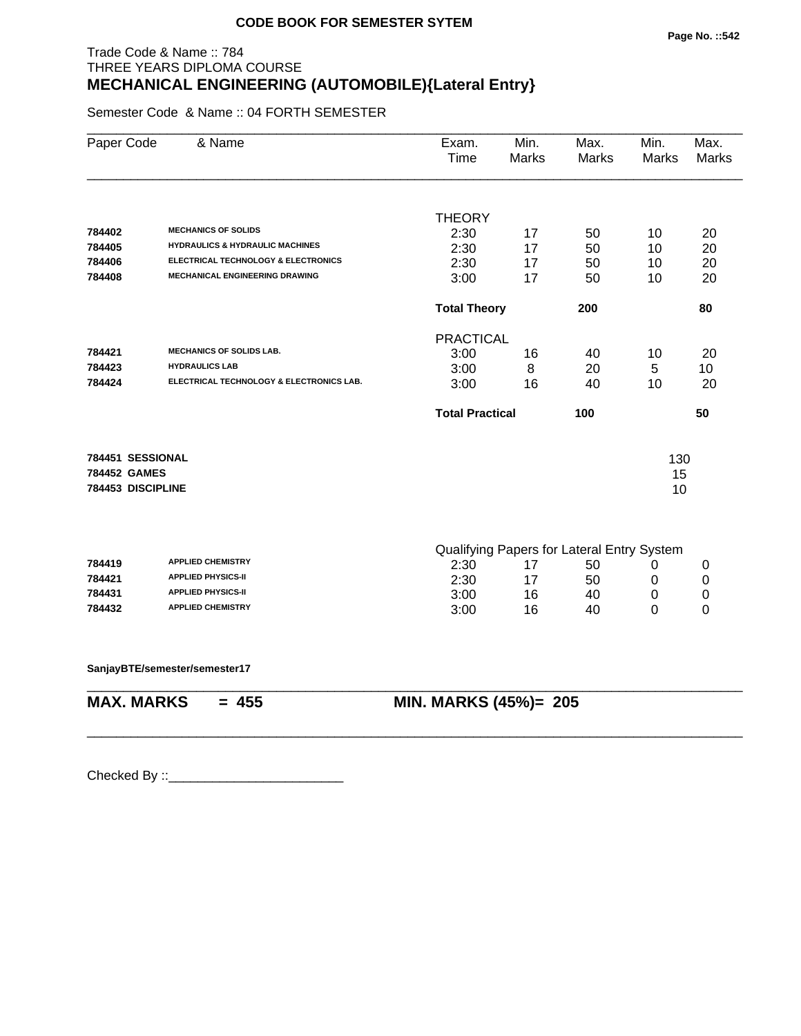# Trade Code & Name :: 784 THREE YEARS DIPLOMA COURSE **MECHANICAL ENGINEERING (AUTOMOBILE){Lateral Entry}**

Semester Code & Name :: 04 FORTH SEMESTER

| Paper Code        | & Name                                     | Exam.<br>Time          | Min.<br><b>Marks</b> | Max.<br><b>Marks</b>                       | Min.<br>Marks | Max.<br><b>Marks</b> |
|-------------------|--------------------------------------------|------------------------|----------------------|--------------------------------------------|---------------|----------------------|
|                   |                                            |                        |                      |                                            |               |                      |
|                   |                                            | <b>THEORY</b>          |                      |                                            |               |                      |
| 784402            | <b>MECHANICS OF SOLIDS</b>                 | 2:30                   | 17                   | 50                                         | 10            | 20                   |
| 784405            | <b>HYDRAULICS &amp; HYDRAULIC MACHINES</b> | 2:30                   | 17                   | 50                                         | 10            | 20                   |
| 784406            | ELECTRICAL TECHNOLOGY & ELECTRONICS        | 2:30                   | 17                   | 50                                         | 10            | 20                   |
| 784408            | MECHANICAL ENGINEERING DRAWING             | 3:00                   | 17                   | 50                                         | 10            | 20                   |
|                   |                                            | <b>Total Theory</b>    |                      | 200                                        |               | 80                   |
|                   |                                            | <b>PRACTICAL</b>       |                      |                                            |               |                      |
| 784421            | <b>MECHANICS OF SOLIDS LAB.</b>            | 3:00                   | 16                   | 40                                         | 10            | 20                   |
| 784423            | <b>HYDRAULICS LAB</b>                      | 3:00                   | 8                    | 20                                         | 5             | 10                   |
| 784424            | ELECTRICAL TECHNOLOGY & ELECTRONICS LAB.   | 3:00                   | 16                   | 40                                         | 10            | 20                   |
|                   |                                            | <b>Total Practical</b> |                      | 100                                        |               | 50                   |
| 784451 SESSIONAL  |                                            |                        |                      |                                            |               |                      |
| 784452 GAMES      |                                            |                        |                      |                                            | 130           |                      |
| 784453 DISCIPLINE |                                            |                        |                      |                                            | 15<br>10      |                      |
|                   |                                            |                        |                      |                                            |               |                      |
|                   |                                            |                        |                      | Qualifying Papers for Lateral Entry System |               |                      |
| 784419            | <b>APPLIED CHEMISTRY</b>                   | 2:30                   | 17                   | 50                                         | 0             | 0                    |
| 784421            | <b>APPLIED PHYSICS-II</b>                  | 2:30                   | 17                   | 50                                         | $\mathbf 0$   | 0                    |
| 784431            | <b>APPLIED PHYSICS-II</b>                  | 3:00                   | 16                   | 40                                         | 0             | 0                    |
| 784432            | <b>APPLIED CHEMISTRY</b>                   | 3:00                   | 16                   | 40                                         | 0             | 0                    |
|                   | SanjayBTE/semester/semester17              |                        |                      |                                            |               |                      |
| <b>MAX. MARKS</b> | $= 455$                                    | MIN. MARKS (45%)= 205  |                      |                                            |               |                      |
|                   |                                            |                        |                      |                                            |               |                      |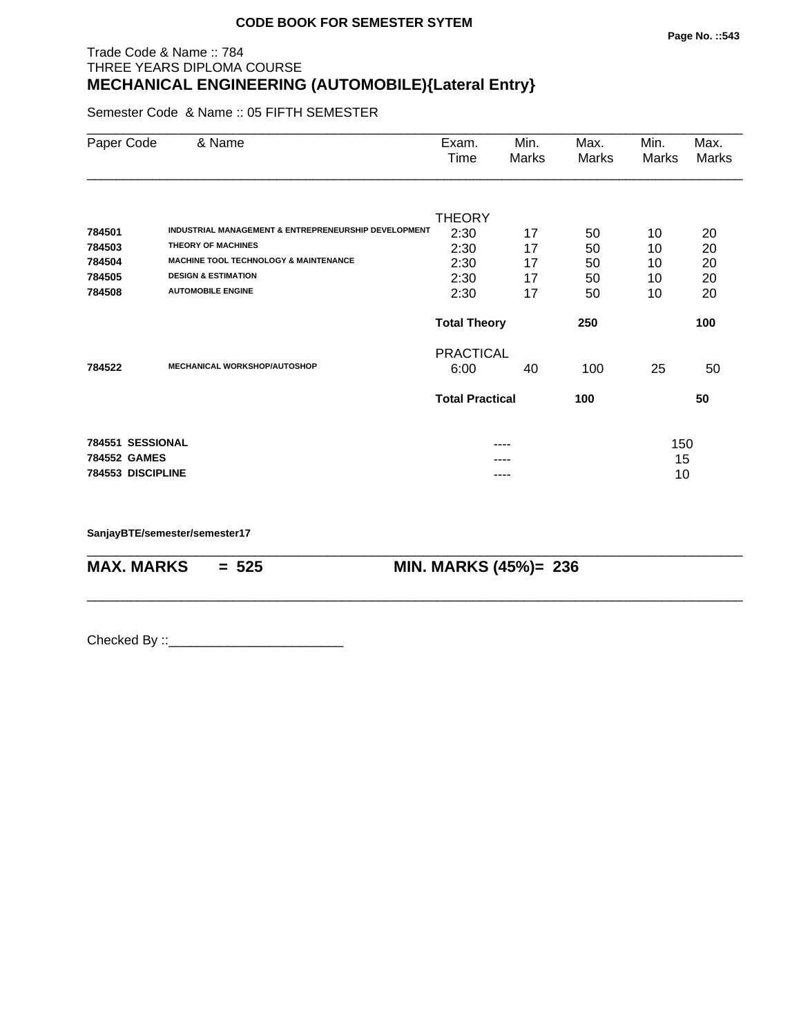#### Trade Code & Name :: 784 THREE YEARS DIPLOMA COURSE **MECHANICAL ENGINEERING (AUTOMOBILE){Lateral Entry}**

Semester Code & Name :: 05 FIFTH SEMESTER

| Paper Code        | & Name                                               | Exam.<br>Time          | Min.<br>Marks | Max.<br>Marks | Min.<br>Marks | Max.<br>Marks |
|-------------------|------------------------------------------------------|------------------------|---------------|---------------|---------------|---------------|
|                   |                                                      | <b>THEORY</b>          |               |               |               |               |
| 784501            | INDUSTRIAL MANAGEMENT & ENTREPRENEURSHIP DEVELOPMENT | 2:30                   | 17            | 50            | 10            | 20            |
| 784503            | <b>THEORY OF MACHINES</b>                            | 2:30                   | 17            | 50            | 10            | 20            |
| 784504            | <b>MACHINE TOOL TECHNOLOGY &amp; MAINTENANCE</b>     | 2:30                   | 17            | 50            | 10            | 20            |
| 784505            | <b>DESIGN &amp; ESTIMATION</b>                       | 2:30                   | 17            | 50            | 10            | 20            |
| 784508            | <b>AUTOMOBILE ENGINE</b>                             | 2:30                   | 17            | 50            | 10            | 20            |
|                   |                                                      | <b>Total Theory</b>    |               | 250           |               | 100           |
|                   |                                                      | <b>PRACTICAL</b>       |               |               |               |               |
| 784522            | <b>MECHANICAL WORKSHOP/AUTOSHOP</b>                  | 6:00                   | 40            | 100           | 25            | 50            |
|                   |                                                      | <b>Total Practical</b> |               | 100           |               | 50            |
| 784551 SESSIONAL  |                                                      |                        |               |               | 150           |               |
| 784552 GAMES      |                                                      |                        |               |               | 15            |               |
| 784553 DISCIPLINE |                                                      |                        | ----          |               | 10            |               |

\_\_\_\_\_\_\_\_\_\_\_\_\_\_\_\_\_\_\_\_\_\_\_\_\_\_\_\_\_\_\_\_\_\_\_\_\_\_\_\_\_\_\_\_\_\_\_\_\_\_\_\_\_\_\_\_\_\_\_\_\_\_\_\_\_\_\_\_\_\_\_\_\_\_\_\_\_\_\_\_\_\_\_\_\_\_\_\_\_\_

\_\_\_\_\_\_\_\_\_\_\_\_\_\_\_\_\_\_\_\_\_\_\_\_\_\_\_\_\_\_\_\_\_\_\_\_\_\_\_\_\_\_\_\_\_\_\_\_\_\_\_\_\_\_\_\_\_\_\_\_\_\_\_\_\_\_\_\_\_\_\_\_\_\_\_\_\_\_\_\_\_\_\_\_\_\_\_\_\_\_

**SanjayBTE/semester/semester17**

**MAX. MARKS = 525 MIN. MARKS (45%)= 236**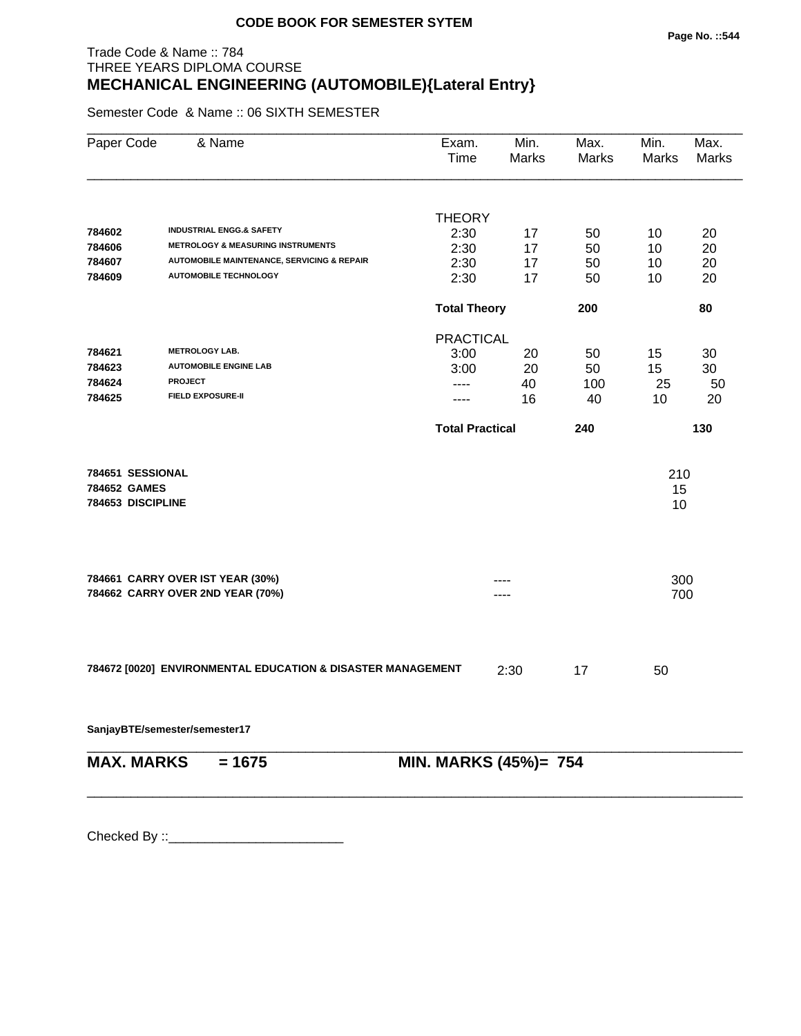# Trade Code & Name :: 784 THREE YEARS DIPLOMA COURSE **MECHANICAL ENGINEERING (AUTOMOBILE){Lateral Entry}**

Semester Code & Name :: 06 SIXTH SEMESTER

| Paper Code        | & Name                                                      | Exam.<br>Time          | Min.<br>Marks    | Max.<br>Marks | Min.<br><b>Marks</b> | Max.<br><b>Marks</b> |
|-------------------|-------------------------------------------------------------|------------------------|------------------|---------------|----------------------|----------------------|
|                   |                                                             |                        |                  |               |                      |                      |
| 784602            | <b>INDUSTRIAL ENGG.&amp; SAFETY</b>                         | <b>THEORY</b>          |                  |               |                      |                      |
| 784606            | <b>METROLOGY &amp; MEASURING INSTRUMENTS</b>                | 2:30<br>2:30           | 17               | 50            | 10                   | 20                   |
| 784607            | <b>AUTOMOBILE MAINTENANCE, SERVICING &amp; REPAIR</b>       | 2:30                   | 17<br>17         | 50<br>50      | 10<br>10             | 20<br>20             |
| 784609            | <b>AUTOMOBILE TECHNOLOGY</b>                                | 2:30                   | 17               | 50            | 10                   | 20                   |
|                   |                                                             | <b>Total Theory</b>    |                  | 200           |                      | 80                   |
|                   |                                                             |                        | <b>PRACTICAL</b> |               |                      |                      |
| 784621            | <b>METROLOGY LAB.</b>                                       | 3:00                   | 20               | 50            | 15                   | 30                   |
| 784623            | <b>AUTOMOBILE ENGINE LAB</b>                                | 3:00                   | 20               | 50            | 15                   | 30                   |
| 784624            | <b>PROJECT</b>                                              | ----                   | 40               | 100           | 25                   | 50                   |
| 784625            | <b>FIELD EXPOSURE-II</b>                                    | ----                   | 16               | 40            | 10                   | 20                   |
|                   |                                                             | <b>Total Practical</b> |                  | 240           |                      | 130                  |
| 784651 SESSIONAL  |                                                             |                        |                  |               | 210                  |                      |
| 784652 GAMES      |                                                             |                        |                  |               | 15                   |                      |
| 784653 DISCIPLINE |                                                             |                        |                  |               | 10                   |                      |
|                   | 784661 CARRY OVER IST YEAR (30%)                            |                        |                  |               | 300                  |                      |
|                   | 784662 CARRY OVER 2ND YEAR (70%)                            |                        |                  |               | 700                  |                      |
|                   | 784672 [0020] ENVIRONMENTAL EDUCATION & DISASTER MANAGEMENT |                        | 2:30             | 17            | 50                   |                      |
|                   | SanjayBTE/semester/semester17                               |                        |                  |               |                      |                      |
|                   |                                                             |                        |                  |               |                      |                      |
| <b>MAX. MARKS</b> | $= 1675$                                                    | MIN. MARKS (45%)= 754  |                  |               |                      |                      |
|                   |                                                             |                        |                  |               |                      |                      |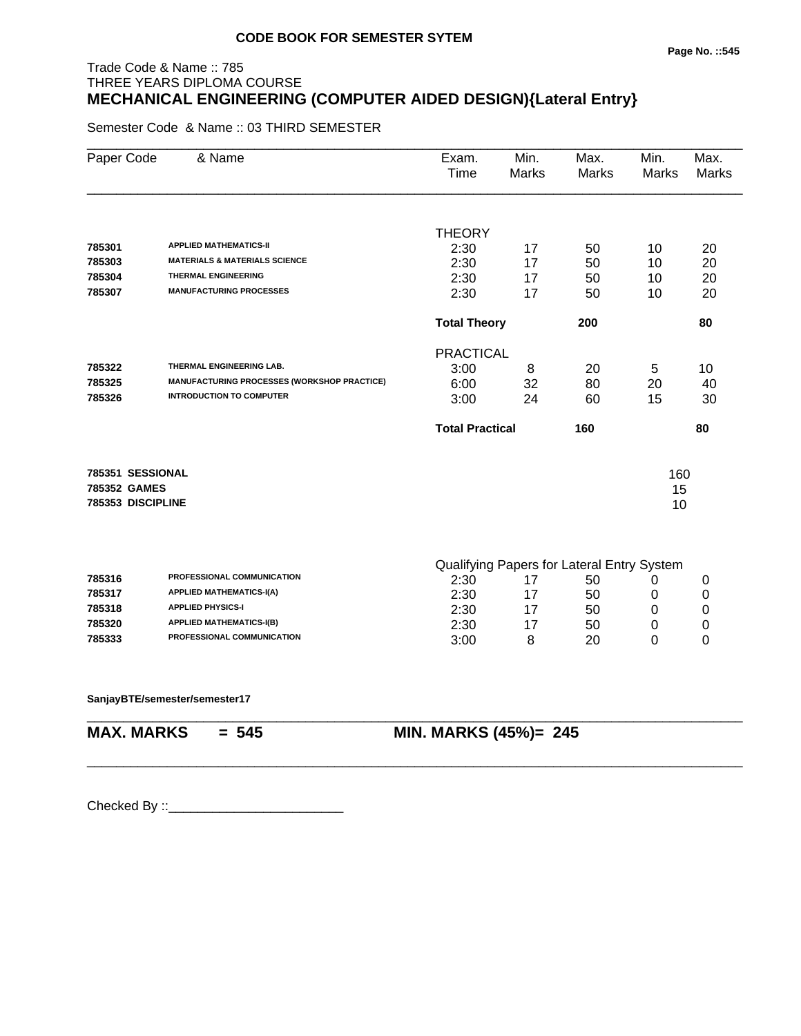# Trade Code & Name :: 785 THREE YEARS DIPLOMA COURSE **MECHANICAL ENGINEERING (COMPUTER AIDED DESIGN){Lateral Entry}**

Semester Code & Name :: 03 THIRD SEMESTER

| Paper Code        | & Name                                      | Exam.<br>Time          | Min.<br><b>Marks</b> | Max.<br><b>Marks</b>                       | Min.<br>Marks | Max.<br>Marks |
|-------------------|---------------------------------------------|------------------------|----------------------|--------------------------------------------|---------------|---------------|
|                   |                                             |                        |                      |                                            |               |               |
| 785301            | <b>APPLIED MATHEMATICS-II</b>               | <b>THEORY</b>          |                      |                                            |               |               |
| 785303            | <b>MATERIALS &amp; MATERIALS SCIENCE</b>    | 2:30<br>2:30           | 17<br>17             | 50<br>50                                   | 10<br>10      | 20<br>20      |
| 785304            | <b>THERMAL ENGINEERING</b>                  | 2:30                   | 17                   | 50                                         | 10            | 20            |
| 785307            | <b>MANUFACTURING PROCESSES</b>              | 2:30                   | 17                   | 50                                         | 10            | 20            |
|                   |                                             | <b>Total Theory</b>    |                      | 200                                        |               | 80            |
|                   |                                             | <b>PRACTICAL</b>       |                      |                                            |               |               |
| 785322            | THERMAL ENGINEERING LAB.                    | 3:00                   | 8                    | 20                                         | 5             | 10            |
| 785325            | MANUFACTURING PROCESSES (WORKSHOP PRACTICE) | 6:00                   | 32                   | 80                                         | 20            | 40            |
| 785326            | <b>INTRODUCTION TO COMPUTER</b>             | 3:00                   | 24                   | 60                                         | 15            | 30            |
|                   |                                             | <b>Total Practical</b> |                      | 160                                        |               | 80            |
| 785351 SESSIONAL  |                                             |                        |                      |                                            | 160           |               |
| 785352 GAMES      |                                             |                        |                      |                                            | 15            |               |
| 785353 DISCIPLINE |                                             |                        |                      |                                            | 10            |               |
|                   |                                             |                        |                      |                                            |               |               |
|                   | PROFESSIONAL COMMUNICATION                  |                        |                      | Qualifying Papers for Lateral Entry System |               |               |
| 785316<br>785317  | <b>APPLIED MATHEMATICS-I(A)</b>             | 2:30                   | 17                   | 50                                         | 0             | 0             |
| 785318            | <b>APPLIED PHYSICS-I</b>                    | 2:30                   | 17                   | 50                                         | 0             | 0             |
| 785320            | <b>APPLIED MATHEMATICS-I(B)</b>             | 2:30                   | 17                   | 50                                         | 0             | 0             |
| 785333            | PROFESSIONAL COMMUNICATION                  | 2:30                   | 17                   | 50                                         | 0             | 0             |
|                   |                                             | 3:00                   | 8                    | 20                                         | 0             | $\Omega$      |

\_\_\_\_\_\_\_\_\_\_\_\_\_\_\_\_\_\_\_\_\_\_\_\_\_\_\_\_\_\_\_\_\_\_\_\_\_\_\_\_\_\_\_\_\_\_\_\_\_\_\_\_\_\_\_\_\_\_\_\_\_\_\_\_\_\_\_\_\_\_\_\_\_\_\_\_\_\_\_\_\_\_\_\_\_\_\_\_\_\_

\_\_\_\_\_\_\_\_\_\_\_\_\_\_\_\_\_\_\_\_\_\_\_\_\_\_\_\_\_\_\_\_\_\_\_\_\_\_\_\_\_\_\_\_\_\_\_\_\_\_\_\_\_\_\_\_\_\_\_\_\_\_\_\_\_\_\_\_\_\_\_\_\_\_\_\_\_\_\_\_\_\_\_\_\_\_\_\_\_\_

**SanjayBTE/semester/semester17**

**MAX. MARKS = 545 MIN. MARKS (45%)= 245**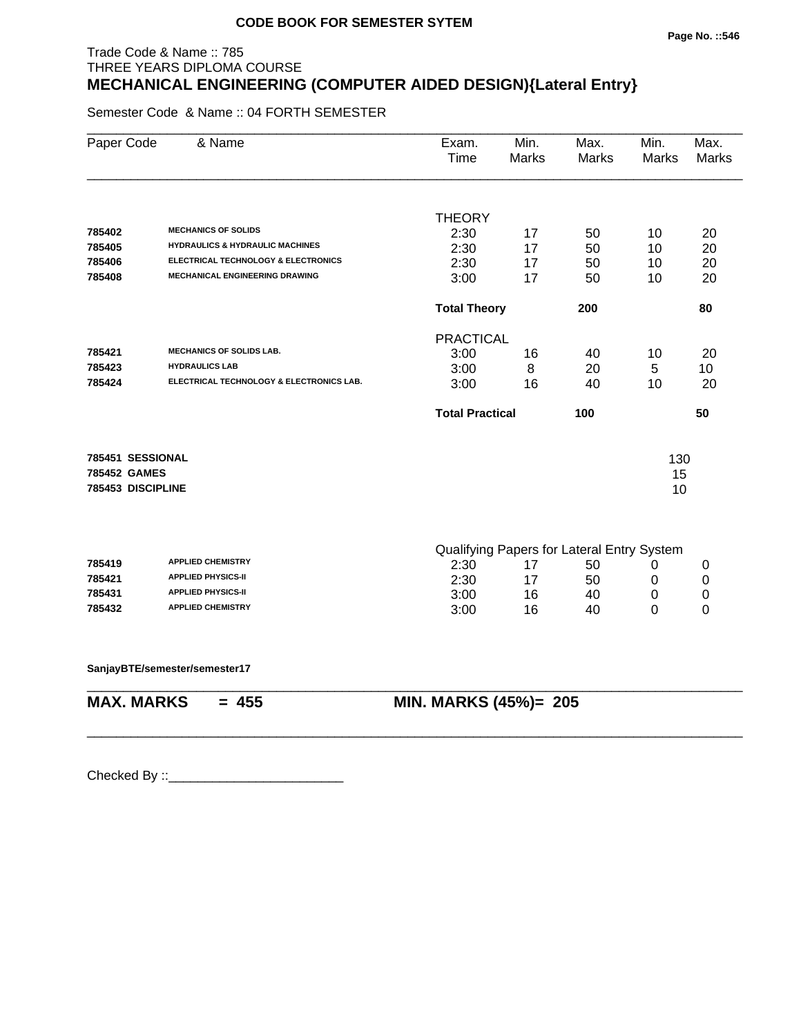# Trade Code & Name :: 785 THREE YEARS DIPLOMA COURSE **MECHANICAL ENGINEERING (COMPUTER AIDED DESIGN){Lateral Entry}**

Semester Code & Name :: 04 FORTH SEMESTER

| Paper Code        | & Name                                                | Exam.<br>Time          | Min.<br>Marks | Max.<br><b>Marks</b>                       | Min.<br><b>Marks</b> | Max.<br><b>Marks</b> |
|-------------------|-------------------------------------------------------|------------------------|---------------|--------------------------------------------|----------------------|----------------------|
|                   |                                                       | <b>THEORY</b>          |               |                                            |                      |                      |
| 785402            | <b>MECHANICS OF SOLIDS</b>                            | 2:30                   | 17            | 50                                         | 10                   | 20                   |
| 785405            | <b>HYDRAULICS &amp; HYDRAULIC MACHINES</b>            | 2:30                   | 17            | 50                                         | 10                   | 20                   |
| 785406            | ELECTRICAL TECHNOLOGY & ELECTRONICS                   | 2:30                   | 17            | 50                                         | 10                   | 20                   |
| 785408            | MECHANICAL ENGINEERING DRAWING                        | 3:00                   | 17            | 50                                         | 10                   | 20                   |
|                   |                                                       | <b>Total Theory</b>    |               | 200                                        |                      | 80                   |
|                   |                                                       | <b>PRACTICAL</b>       |               |                                            |                      |                      |
| 785421            | <b>MECHANICS OF SOLIDS LAB.</b>                       | 3:00                   | 16            | 40                                         | 10                   | 20                   |
| 785423            | <b>HYDRAULICS LAB</b>                                 | 3:00                   | 8             | 20                                         | 5                    | 10                   |
| 785424            | ELECTRICAL TECHNOLOGY & ELECTRONICS LAB.              | 3:00                   | 16            | 40                                         | 10                   | 20                   |
|                   |                                                       | <b>Total Practical</b> |               | 100                                        |                      | 50                   |
| 785451 SESSIONAL  |                                                       |                        |               |                                            | 130                  |                      |
| 785452 GAMES      |                                                       |                        |               |                                            | 15                   |                      |
| 785453 DISCIPLINE |                                                       |                        |               |                                            | 10                   |                      |
|                   |                                                       |                        |               |                                            |                      |                      |
|                   |                                                       |                        |               | Qualifying Papers for Lateral Entry System |                      |                      |
| 785419            | <b>APPLIED CHEMISTRY</b>                              | 2:30                   | 17            | 50                                         | 0                    | 0                    |
| 785421            | <b>APPLIED PHYSICS-II</b>                             | 2:30                   | 17            | 50                                         | 0                    | 0                    |
| 785431            | <b>APPLIED PHYSICS-II</b><br><b>APPLIED CHEMISTRY</b> | 3:00                   | 16            | 40                                         | 0                    | 0                    |
| 785432            |                                                       | 3:00                   | 16            | 40                                         | 0                    | 0                    |
|                   | SanjayBTE/semester/semester17                         |                        |               |                                            |                      |                      |
| <b>MAX. MARKS</b> | $= 455$                                               | MIN. MARKS (45%)= 205  |               |                                            |                      |                      |
|                   |                                                       |                        |               |                                            |                      |                      |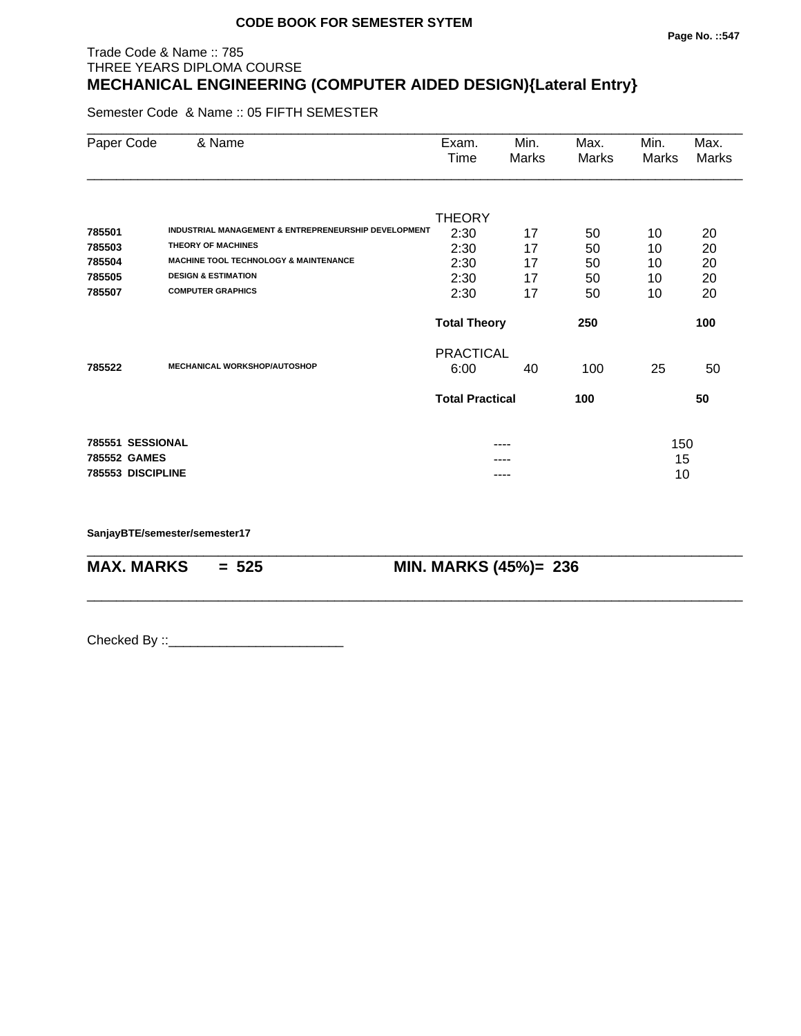#### **Page No. ::547**

#### Trade Code & Name :: 785 THREE YEARS DIPLOMA COURSE **MECHANICAL ENGINEERING (COMPUTER AIDED DESIGN){Lateral Entry}**

Semester Code & Name :: 05 FIFTH SEMESTER

| Paper Code        | & Name                                                          | Exam.<br>Time          | Min.<br>Marks | Max.<br>Marks | Min.<br>Marks | Max.<br>Marks |
|-------------------|-----------------------------------------------------------------|------------------------|---------------|---------------|---------------|---------------|
|                   |                                                                 | <b>THEORY</b>          |               |               |               |               |
| 785501            | <b>INDUSTRIAL MANAGEMENT &amp; ENTREPRENEURSHIP DEVELOPMENT</b> | 2:30                   | 17            | 50            | 10            | 20            |
| 785503            | <b>THEORY OF MACHINES</b>                                       | 2:30                   | 17            | 50            | 10            | 20            |
| 785504            | <b>MACHINE TOOL TECHNOLOGY &amp; MAINTENANCE</b>                | 2:30                   | 17            | 50            | 10            | 20            |
| 785505            | <b>DESIGN &amp; ESTIMATION</b>                                  | 2:30                   | 17            | 50            | 10            | 20            |
| 785507            | <b>COMPUTER GRAPHICS</b>                                        | 2:30                   | 17            | 50            | 10            | 20            |
|                   |                                                                 | <b>Total Theory</b>    |               | 250           | 100           |               |
|                   |                                                                 | <b>PRACTICAL</b>       |               |               |               |               |
| 785522            | <b>MECHANICAL WORKSHOP/AUTOSHOP</b>                             | 6:00                   | 40            | 100           | 25            | 50            |
|                   |                                                                 | <b>Total Practical</b> |               | 100           |               | 50            |
| 785551 SESSIONAL  |                                                                 |                        |               |               | 150           |               |
| 785552 GAMES      |                                                                 |                        |               |               | 15            |               |
| 785553 DISCIPLINE |                                                                 |                        |               |               | 10            |               |

\_\_\_\_\_\_\_\_\_\_\_\_\_\_\_\_\_\_\_\_\_\_\_\_\_\_\_\_\_\_\_\_\_\_\_\_\_\_\_\_\_\_\_\_\_\_\_\_\_\_\_\_\_\_\_\_\_\_\_\_\_\_\_\_\_\_\_\_\_\_\_\_\_\_\_\_\_\_\_\_\_\_\_\_\_\_\_\_\_\_

\_\_\_\_\_\_\_\_\_\_\_\_\_\_\_\_\_\_\_\_\_\_\_\_\_\_\_\_\_\_\_\_\_\_\_\_\_\_\_\_\_\_\_\_\_\_\_\_\_\_\_\_\_\_\_\_\_\_\_\_\_\_\_\_\_\_\_\_\_\_\_\_\_\_\_\_\_\_\_\_\_\_\_\_\_\_\_\_\_\_

**SanjayBTE/semester/semester17**

**MAX. MARKS = 525 MIN. MARKS (45%)= 236**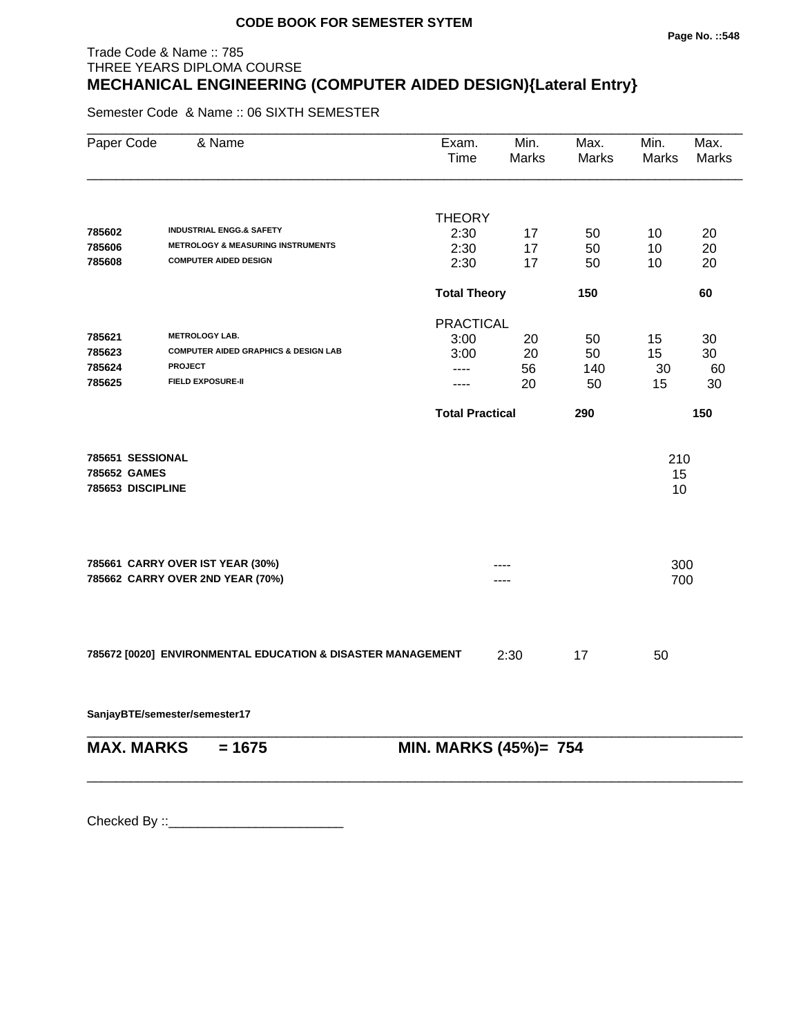#### **Page No. ::548**

# Trade Code & Name :: 785 THREE YEARS DIPLOMA COURSE **MECHANICAL ENGINEERING (COMPUTER AIDED DESIGN){Lateral Entry}**

Semester Code & Name :: 06 SIXTH SEMESTER

| Paper Code        | & Name                                                               | Exam.<br><b>Time</b>   | Min.<br>Marks | Max.<br>Marks | Min.<br>Marks | Max.<br>Marks |
|-------------------|----------------------------------------------------------------------|------------------------|---------------|---------------|---------------|---------------|
|                   |                                                                      | <b>THEORY</b>          |               |               |               |               |
| 785602            | <b>INDUSTRIAL ENGG.&amp; SAFETY</b>                                  | 2:30                   | 17            | 50            | 10            | 20            |
| 785606            | <b>METROLOGY &amp; MEASURING INSTRUMENTS</b>                         | 2:30                   | 17            | 50            | 10            | 20            |
| 785608            | <b>COMPUTER AIDED DESIGN</b>                                         | 2:30                   | 17            | 50            | 10            | 20            |
|                   |                                                                      | <b>Total Theory</b>    |               | 150           |               | 60            |
|                   |                                                                      | <b>PRACTICAL</b>       |               |               |               |               |
| 785621            | <b>METROLOGY LAB.</b>                                                | 3:00                   | 20            | 50            | 15            | 30            |
| 785623            | <b>COMPUTER AIDED GRAPHICS &amp; DESIGN LAB</b>                      | 3:00                   | 20            | 50            | 15            | 30            |
| 785624            | <b>PROJECT</b>                                                       | ----                   | 56            | 140           | 30            | 60            |
| 785625            | <b>FIELD EXPOSURE-II</b>                                             | .                      | 20            | 50            | 15            | 30            |
|                   |                                                                      | <b>Total Practical</b> |               | 290           |               | 150           |
| 785651 SESSIONAL  |                                                                      |                        |               |               | 210           |               |
| 785652 GAMES      |                                                                      |                        |               |               | 15            |               |
| 785653 DISCIPLINE |                                                                      |                        |               |               | 10            |               |
|                   |                                                                      |                        |               |               |               |               |
|                   | 785661 CARRY OVER IST YEAR (30%)<br>785662 CARRY OVER 2ND YEAR (70%) |                        |               |               | 300<br>700    |               |
|                   |                                                                      |                        |               |               |               |               |
|                   | 785672 [0020] ENVIRONMENTAL EDUCATION & DISASTER MANAGEMENT          |                        | 2:30          | 17            | 50            |               |
|                   | SanjayBTE/semester/semester17                                        |                        |               |               |               |               |
| <b>MAX. MARKS</b> | $= 1675$                                                             | MIN. MARKS (45%)= 754  |               |               |               |               |

\_\_\_\_\_\_\_\_\_\_\_\_\_\_\_\_\_\_\_\_\_\_\_\_\_\_\_\_\_\_\_\_\_\_\_\_\_\_\_\_\_\_\_\_\_\_\_\_\_\_\_\_\_\_\_\_\_\_\_\_\_\_\_\_\_\_\_\_\_\_\_\_\_\_\_\_\_\_\_\_\_\_\_\_\_\_\_\_\_\_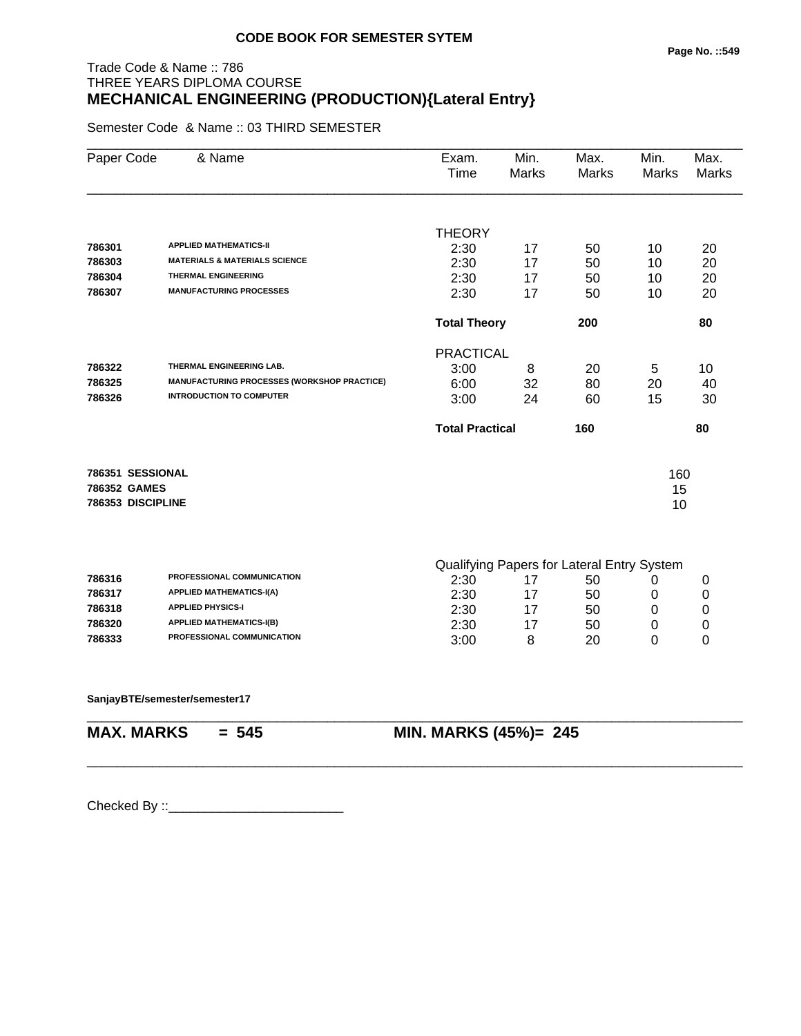# Trade Code & Name :: 786 THREE YEARS DIPLOMA COURSE **MECHANICAL ENGINEERING (PRODUCTION){Lateral Entry}**

Semester Code & Name :: 03 THIRD SEMESTER

| Paper Code        | & Name                                      | Exam.<br>Time          | Min.<br><b>Marks</b> | Max.<br><b>Marks</b>                       | Min.<br>Marks | Max.<br>Marks |
|-------------------|---------------------------------------------|------------------------|----------------------|--------------------------------------------|---------------|---------------|
|                   |                                             |                        |                      |                                            |               |               |
| 786301            | <b>APPLIED MATHEMATICS-II</b>               | <b>THEORY</b>          |                      |                                            |               |               |
| 786303            | <b>MATERIALS &amp; MATERIALS SCIENCE</b>    | 2:30<br>2:30           | 17<br>17             | 50<br>50                                   | 10<br>10      | 20<br>20      |
| 786304            | <b>THERMAL ENGINEERING</b>                  | 2:30                   | 17                   | 50                                         | 10            | 20            |
| 786307            | <b>MANUFACTURING PROCESSES</b>              | 2:30                   | 17                   | 50                                         | 10            | 20            |
|                   |                                             | <b>Total Theory</b>    |                      | 200                                        |               | 80            |
|                   |                                             | <b>PRACTICAL</b>       |                      |                                            |               |               |
| 786322            | THERMAL ENGINEERING LAB.                    | 3:00                   | 8                    | 20                                         | 5             | 10            |
| 786325            | MANUFACTURING PROCESSES (WORKSHOP PRACTICE) | 6:00                   | 32                   | 80                                         | 20            | 40            |
| 786326            | <b>INTRODUCTION TO COMPUTER</b>             | 3:00                   | 24                   | 60                                         | 15            | 30            |
|                   |                                             | <b>Total Practical</b> |                      | 160                                        |               | 80            |
| 786351 SESSIONAL  |                                             |                        |                      |                                            | 160           |               |
| 786352 GAMES      |                                             |                        |                      |                                            | 15            |               |
| 786353 DISCIPLINE |                                             |                        |                      |                                            | 10            |               |
|                   |                                             |                        |                      | Qualifying Papers for Lateral Entry System |               |               |
| 786316            | PROFESSIONAL COMMUNICATION                  | 2:30                   | 17                   | 50                                         | 0             | 0             |
| 786317            | <b>APPLIED MATHEMATICS-I(A)</b>             | 2:30                   | 17                   | 50                                         | 0             | 0             |
| 786318            | <b>APPLIED PHYSICS-I</b>                    | 2:30                   | 17                   | 50                                         | 0             | 0             |
| 786320            | <b>APPLIED MATHEMATICS-I(B)</b>             | 2:30                   | 17                   | 50                                         | 0             | 0             |
| 786333            | PROFESSIONAL COMMUNICATION                  | 3:00                   | 8                    | 20                                         | 0             | $\Omega$      |
|                   |                                             |                        |                      |                                            |               |               |

\_\_\_\_\_\_\_\_\_\_\_\_\_\_\_\_\_\_\_\_\_\_\_\_\_\_\_\_\_\_\_\_\_\_\_\_\_\_\_\_\_\_\_\_\_\_\_\_\_\_\_\_\_\_\_\_\_\_\_\_\_\_\_\_\_\_\_\_\_\_\_\_\_\_\_\_\_\_\_\_\_\_\_\_\_\_\_\_\_\_

\_\_\_\_\_\_\_\_\_\_\_\_\_\_\_\_\_\_\_\_\_\_\_\_\_\_\_\_\_\_\_\_\_\_\_\_\_\_\_\_\_\_\_\_\_\_\_\_\_\_\_\_\_\_\_\_\_\_\_\_\_\_\_\_\_\_\_\_\_\_\_\_\_\_\_\_\_\_\_\_\_\_\_\_\_\_\_\_\_\_

**SanjayBTE/semester/semester17**

**MAX. MARKS = 545 MIN. MARKS (45%)= 245**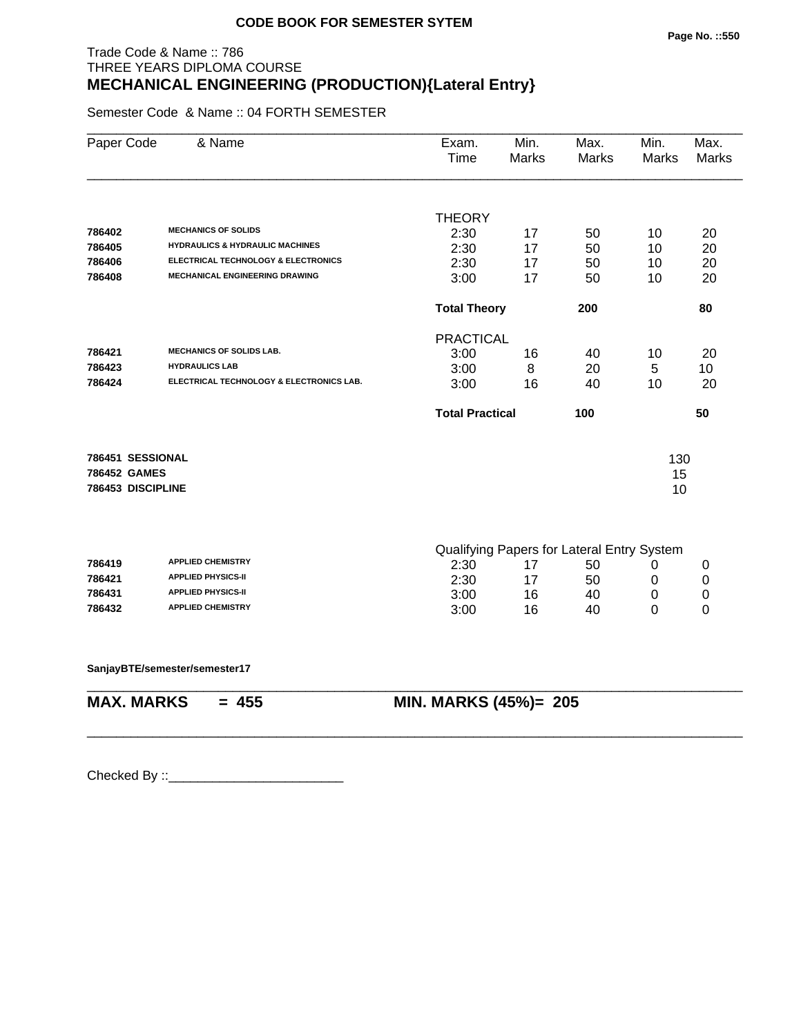# Trade Code & Name :: 786 THREE YEARS DIPLOMA COURSE **MECHANICAL ENGINEERING (PRODUCTION){Lateral Entry}**

Semester Code & Name :: 04 FORTH SEMESTER

| Paper Code                       | & Name                                     | Exam.<br>Time          | Min.<br><b>Marks</b> | Max.<br><b>Marks</b>                       | Min.<br><b>Marks</b> | Max.<br><b>Marks</b> |
|----------------------------------|--------------------------------------------|------------------------|----------------------|--------------------------------------------|----------------------|----------------------|
|                                  |                                            |                        |                      |                                            |                      |                      |
|                                  | <b>MECHANICS OF SOLIDS</b>                 | <b>THEORY</b>          |                      |                                            |                      |                      |
| 786402                           | <b>HYDRAULICS &amp; HYDRAULIC MACHINES</b> | 2:30                   | 17                   | 50                                         | 10                   | 20                   |
| 786405<br>786406                 | ELECTRICAL TECHNOLOGY & ELECTRONICS        | 2:30                   | 17                   | 50                                         | 10                   | 20                   |
|                                  | <b>MECHANICAL ENGINEERING DRAWING</b>      | 2:30                   | 17                   | 50                                         | 10                   | 20                   |
| 786408                           |                                            | 3:00                   | 17                   | 50                                         | 10                   | 20                   |
|                                  |                                            | <b>Total Theory</b>    |                      | 200                                        |                      | 80                   |
|                                  |                                            | <b>PRACTICAL</b>       |                      |                                            |                      |                      |
| 786421                           | <b>MECHANICS OF SOLIDS LAB.</b>            | 3:00                   | 16                   | 40                                         | 10                   | 20                   |
| 786423                           | <b>HYDRAULICS LAB</b>                      | 3:00                   | 8                    | 20                                         | 5                    | 10                   |
| 786424                           | ELECTRICAL TECHNOLOGY & ELECTRONICS LAB.   | 3:00                   | 16                   | 40                                         | 10                   | 20                   |
|                                  |                                            | <b>Total Practical</b> |                      | 100                                        |                      | 50                   |
|                                  |                                            |                        |                      |                                            |                      |                      |
| 786451 SESSIONAL<br>786452 GAMES |                                            |                        |                      |                                            | 130                  |                      |
| 786453 DISCIPLINE                |                                            |                        |                      |                                            | 15<br>10             |                      |
|                                  |                                            |                        |                      |                                            |                      |                      |
|                                  |                                            |                        |                      | Qualifying Papers for Lateral Entry System |                      |                      |
| 786419                           | <b>APPLIED CHEMISTRY</b>                   | 2:30                   | 17                   | 50                                         | 0                    | $\mathbf 0$          |
| 786421                           | <b>APPLIED PHYSICS-II</b>                  | 2:30                   | 17                   | 50                                         | $\mathbf 0$          | 0                    |
| 786431                           | <b>APPLIED PHYSICS-II</b>                  | 3:00                   | 16                   | 40                                         | 0                    | 0                    |
| 786432                           | <b>APPLIED CHEMISTRY</b>                   | 3:00                   | 16                   | 40                                         | 0                    | 0                    |
|                                  | SanjayBTE/semester/semester17              |                        |                      |                                            |                      |                      |
| <b>MAX. MARKS</b>                | $= 455$                                    | MIN. MARKS (45%)= 205  |                      |                                            |                      |                      |
|                                  |                                            |                        |                      |                                            |                      |                      |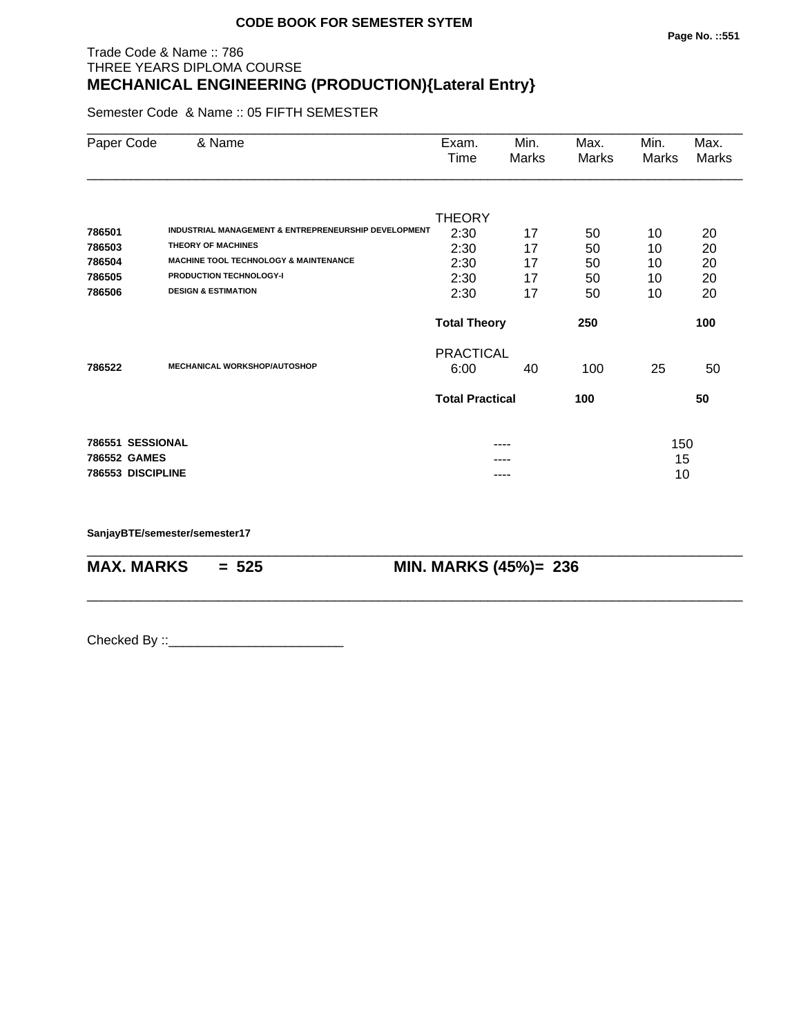#### Trade Code & Name :: 786 THREE YEARS DIPLOMA COURSE **MECHANICAL ENGINEERING (PRODUCTION){Lateral Entry}**

Semester Code & Name :: 05 FIFTH SEMESTER

| Paper Code        | & Name                                               | Exam.<br>Time          | Min.<br>Marks | Max.<br>Marks | Min.<br>Marks | Max.<br>Marks |
|-------------------|------------------------------------------------------|------------------------|---------------|---------------|---------------|---------------|
|                   |                                                      |                        |               |               |               |               |
| 786501            | INDUSTRIAL MANAGEMENT & ENTREPRENEURSHIP DEVELOPMENT | <b>THEORY</b><br>2:30  | 17            | 50            | 10            | 20            |
| 786503            | <b>THEORY OF MACHINES</b>                            | 2:30                   | 17            | 50            | 10            | 20            |
| 786504            | <b>MACHINE TOOL TECHNOLOGY &amp; MAINTENANCE</b>     | 2:30                   | 17            | 50            | 10            | 20            |
| 786505            | <b>PRODUCTION TECHNOLOGY-I</b>                       | 2:30                   | 17            | 50            | 10            | 20            |
| 786506            | <b>DESIGN &amp; ESTIMATION</b>                       | 2:30                   | 17            | 50            | 10            | 20            |
|                   |                                                      | <b>Total Theory</b>    |               | 250           |               | 100           |
|                   |                                                      | <b>PRACTICAL</b>       |               |               |               |               |
| 786522            | <b>MECHANICAL WORKSHOP/AUTOSHOP</b>                  | 6:00                   | 40            | 100           | 25            | 50            |
|                   |                                                      | <b>Total Practical</b> |               | 100           |               | 50            |
| 786551 SESSIONAL  |                                                      |                        |               |               |               |               |
| 786552 GAMES      |                                                      |                        |               |               | 150<br>15     |               |
| 786553 DISCIPLINE |                                                      |                        | ----          |               | 10            |               |

\_\_\_\_\_\_\_\_\_\_\_\_\_\_\_\_\_\_\_\_\_\_\_\_\_\_\_\_\_\_\_\_\_\_\_\_\_\_\_\_\_\_\_\_\_\_\_\_\_\_\_\_\_\_\_\_\_\_\_\_\_\_\_\_\_\_\_\_\_\_\_\_\_\_\_\_\_\_\_\_\_\_\_\_\_\_\_\_\_\_

\_\_\_\_\_\_\_\_\_\_\_\_\_\_\_\_\_\_\_\_\_\_\_\_\_\_\_\_\_\_\_\_\_\_\_\_\_\_\_\_\_\_\_\_\_\_\_\_\_\_\_\_\_\_\_\_\_\_\_\_\_\_\_\_\_\_\_\_\_\_\_\_\_\_\_\_\_\_\_\_\_\_\_\_\_\_\_\_\_\_

**SanjayBTE/semester/semester17**

**MAX. MARKS = 525 MIN. MARKS (45%)= 236**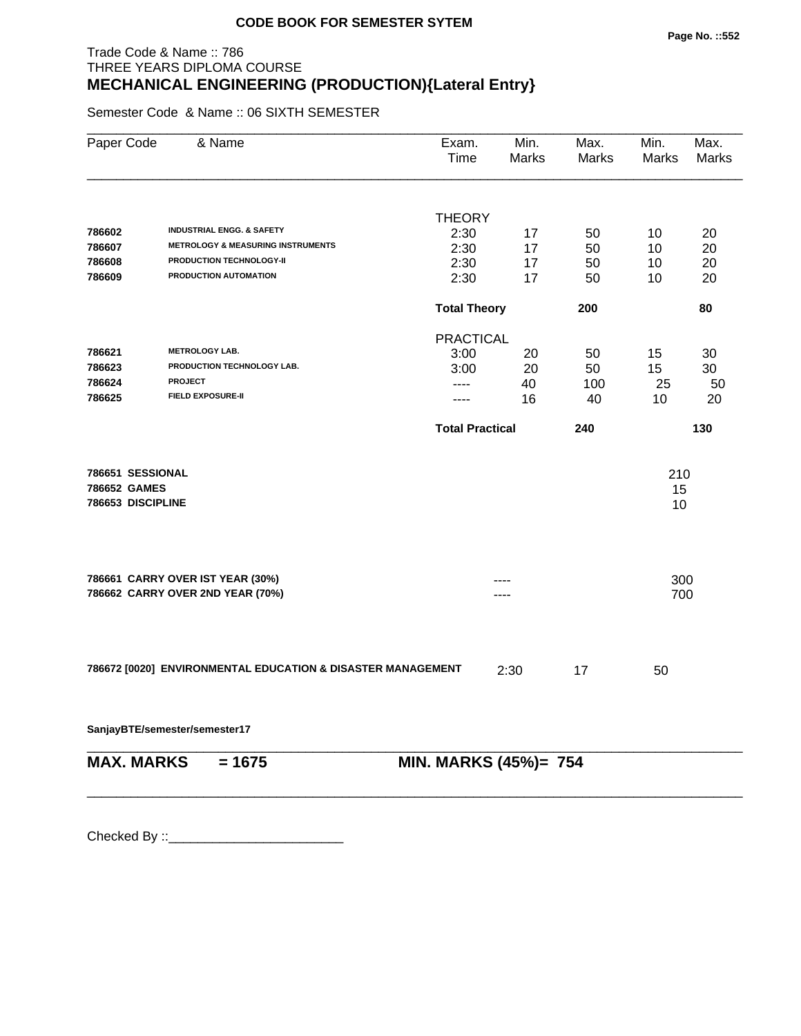# Trade Code & Name :: 786 THREE YEARS DIPLOMA COURSE **MECHANICAL ENGINEERING (PRODUCTION){Lateral Entry}**

Semester Code & Name :: 06 SIXTH SEMESTER

| Paper Code        | & Name                                                      | Exam.<br>Time          | Min.<br>Marks | Max.<br>Marks | Min.<br>Marks | Max.<br>Marks |
|-------------------|-------------------------------------------------------------|------------------------|---------------|---------------|---------------|---------------|
|                   |                                                             |                        |               |               |               |               |
|                   |                                                             | <b>THEORY</b>          |               |               |               |               |
| 786602            | <b>INDUSTRIAL ENGG. &amp; SAFETY</b>                        | 2:30                   | 17            | 50            | 10            | 20            |
| 786607            | <b>METROLOGY &amp; MEASURING INSTRUMENTS</b>                | 2:30                   | 17            | 50            | 10            | 20            |
| 786608            | PRODUCTION TECHNOLOGY-II                                    | 2:30                   | 17            | 50            | 10            | 20            |
| 786609            | PRODUCTION AUTOMATION                                       | 2:30                   | 17            | 50            | 10            | 20            |
|                   |                                                             | <b>Total Theory</b>    |               | 200           |               | 80            |
|                   |                                                             | <b>PRACTICAL</b>       |               |               |               |               |
| 786621            | <b>METROLOGY LAB.</b>                                       | 3:00                   | 20            | 50            | 15            | 30            |
| 786623            | PRODUCTION TECHNOLOGY LAB.                                  | 3:00                   | 20            | 50            | 15            | 30            |
| 786624            | <b>PROJECT</b>                                              | $---$                  | 40            | 100           | 25            | 50            |
| 786625            | <b>FIELD EXPOSURE-II</b>                                    | ----                   | 16            | 40            | 10            | 20            |
|                   |                                                             | <b>Total Practical</b> |               | 240           |               | 130           |
| 786651 SESSIONAL  |                                                             |                        |               |               | 210           |               |
| 786652 GAMES      |                                                             |                        |               |               | 15            |               |
| 786653 DISCIPLINE |                                                             |                        |               |               | 10            |               |
|                   | 786661 CARRY OVER IST YEAR (30%)                            |                        |               |               | 300           |               |
|                   | 786662 CARRY OVER 2ND YEAR (70%)                            |                        |               |               | 700           |               |
|                   |                                                             |                        |               |               |               |               |
|                   | 786672 [0020] ENVIRONMENTAL EDUCATION & DISASTER MANAGEMENT |                        | 2:30          | 17            | 50            |               |
|                   | SanjayBTE/semester/semester17                               |                        |               |               |               |               |
| <b>MAX. MARKS</b> | $= 1675$                                                    | MIN. MARKS (45%)= 754  |               |               |               |               |
|                   |                                                             |                        |               |               |               |               |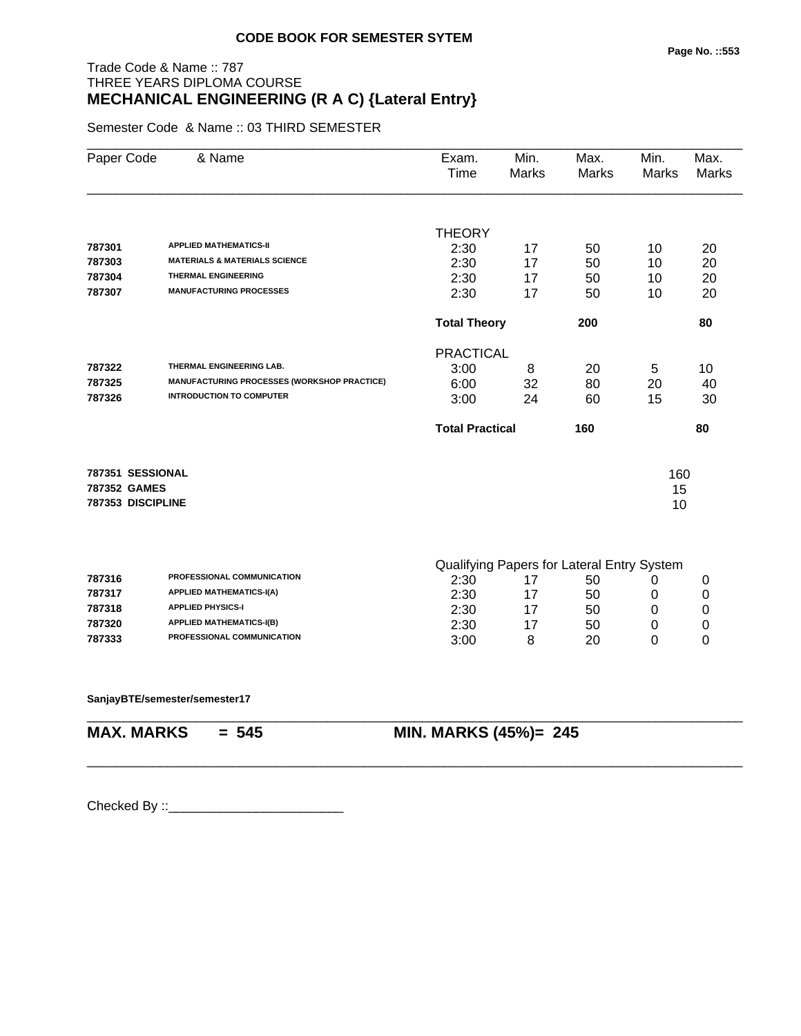# Trade Code & Name :: 787 THREE YEARS DIPLOMA COURSE **MECHANICAL ENGINEERING (R A C) {Lateral Entry}**

Semester Code & Name :: 03 THIRD SEMESTER

| Paper Code        | & Name                                      | Exam.<br>Time          | Min.<br><b>Marks</b> | Max.<br><b>Marks</b>                             | Min.<br>Marks | Max.<br><b>Marks</b> |
|-------------------|---------------------------------------------|------------------------|----------------------|--------------------------------------------------|---------------|----------------------|
|                   |                                             |                        |                      |                                                  |               |                      |
|                   | <b>APPLIED MATHEMATICS-II</b>               | <b>THEORY</b>          |                      |                                                  |               |                      |
| 787301            | <b>MATERIALS &amp; MATERIALS SCIENCE</b>    | 2:30                   | 17                   | 50                                               | 10            | 20                   |
| 787303            | <b>THERMAL ENGINEERING</b>                  | 2:30                   | 17                   | 50                                               | 10            | 20                   |
| 787304            | <b>MANUFACTURING PROCESSES</b>              | 2:30                   | 17                   | 50                                               | 10            | 20                   |
| 787307            |                                             | 2:30                   | 17                   | 50                                               | 10            | 20                   |
|                   |                                             | <b>Total Theory</b>    |                      | 200                                              |               | 80                   |
|                   |                                             | <b>PRACTICAL</b>       |                      |                                                  |               |                      |
| 787322            | THERMAL ENGINEERING LAB.                    | 3:00                   | 8                    | 20                                               | 5             | 10                   |
| 787325            | MANUFACTURING PROCESSES (WORKSHOP PRACTICE) | 6:00                   | 32                   | 80                                               | 20            | 40                   |
| 787326            | <b>INTRODUCTION TO COMPUTER</b>             | 3:00                   | 24                   | 60                                               | 15            | 30                   |
|                   |                                             | <b>Total Practical</b> |                      | 160                                              |               | 80                   |
| 787351 SESSIONAL  |                                             |                        |                      |                                                  | 160           |                      |
| 787352 GAMES      |                                             |                        |                      |                                                  | 15            |                      |
| 787353 DISCIPLINE |                                             |                        |                      |                                                  | 10            |                      |
|                   |                                             |                        |                      |                                                  |               |                      |
| 787316            | PROFESSIONAL COMMUNICATION                  | 2:30                   | 17                   | Qualifying Papers for Lateral Entry System<br>50 | 0             | 0                    |
| 787317            | <b>APPLIED MATHEMATICS-I(A)</b>             | 2:30                   | 17                   | 50                                               | 0             | 0                    |
| 787318            | <b>APPLIED PHYSICS-I</b>                    | 2:30                   | 17                   | 50                                               | 0             | $\mathbf 0$          |
| 787320            | <b>APPLIED MATHEMATICS-I(B)</b>             |                        |                      |                                                  |               |                      |
| 787333            | PROFESSIONAL COMMUNICATION                  | 2:30                   | 17                   | 50                                               | 0             | 0<br>0               |
|                   |                                             | 3:00                   | 8                    | 20                                               | 0             |                      |

\_\_\_\_\_\_\_\_\_\_\_\_\_\_\_\_\_\_\_\_\_\_\_\_\_\_\_\_\_\_\_\_\_\_\_\_\_\_\_\_\_\_\_\_\_\_\_\_\_\_\_\_\_\_\_\_\_\_\_\_\_\_\_\_\_\_\_\_\_\_\_\_\_\_\_\_\_\_\_\_\_\_\_\_\_\_\_\_\_\_

\_\_\_\_\_\_\_\_\_\_\_\_\_\_\_\_\_\_\_\_\_\_\_\_\_\_\_\_\_\_\_\_\_\_\_\_\_\_\_\_\_\_\_\_\_\_\_\_\_\_\_\_\_\_\_\_\_\_\_\_\_\_\_\_\_\_\_\_\_\_\_\_\_\_\_\_\_\_\_\_\_\_\_\_\_\_\_\_\_\_

**SanjayBTE/semester/semester17**

**MAX. MARKS = 545 MIN. MARKS (45%)= 245**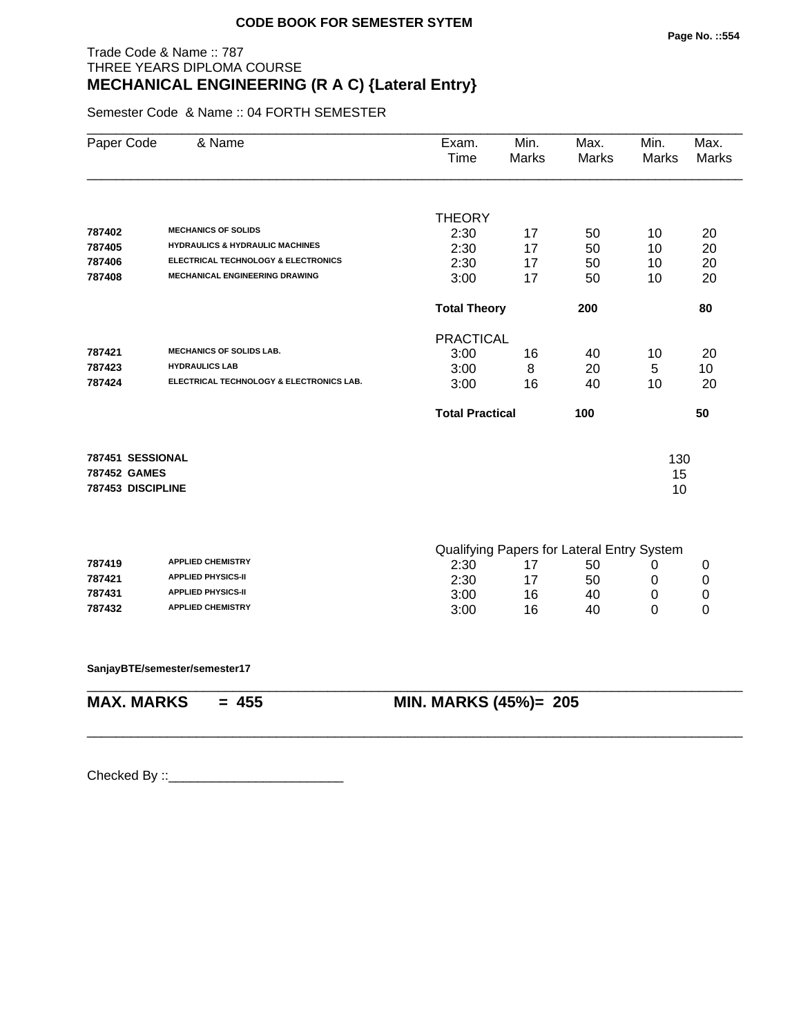# Trade Code & Name :: 787 THREE YEARS DIPLOMA COURSE **MECHANICAL ENGINEERING (R A C) {Lateral Entry}**

Semester Code & Name :: 04 FORTH SEMESTER

|                                            | Exam.<br><b>Time</b>       | Min.<br><b>Marks</b>         | Max.<br><b>Marks</b> | Min.<br>Marks                                  | Max.<br><b>Marks</b>                                 |
|--------------------------------------------|----------------------------|------------------------------|----------------------|------------------------------------------------|------------------------------------------------------|
|                                            |                            |                              |                      |                                                |                                                      |
|                                            | <b>THEORY</b>              |                              |                      |                                                |                                                      |
| <b>HYDRAULICS &amp; HYDRAULIC MACHINES</b> | 2:30                       | 17                           | 50                   | 10                                             | 20                                                   |
| ELECTRICAL TECHNOLOGY & ELECTRONICS        | 2:30<br>2:30               | 17                           | 50                   | 10                                             | 20<br>20                                             |
|                                            | 3:00                       | 17<br>17                     | 50<br>50             | 10<br>10                                       | 20                                                   |
|                                            |                            |                              |                      |                                                |                                                      |
|                                            | <b>Total Theory</b><br>200 |                              |                      |                                                | 80                                                   |
|                                            | <b>PRACTICAL</b>           |                              |                      |                                                |                                                      |
|                                            | 3:00                       | 16                           | 40                   | 10                                             | 20                                                   |
|                                            | 3:00                       | 8                            | 20                   | 5                                              | 10                                                   |
| ELECTRICAL TECHNOLOGY & ELECTRONICS LAB.   | 3:00                       | 16                           | 40                   | 10                                             | 20                                                   |
|                                            | <b>Total Practical</b>     |                              | 100                  |                                                | 50                                                   |
|                                            |                            |                              |                      |                                                |                                                      |
|                                            |                            |                              |                      | 130                                            |                                                      |
|                                            |                            |                              |                      | 15<br>10                                       |                                                      |
|                                            |                            |                              |                      |                                                |                                                      |
|                                            |                            |                              |                      |                                                |                                                      |
|                                            |                            | 17                           | 50                   | 0                                              | 0                                                    |
|                                            |                            |                              |                      |                                                | 0                                                    |
|                                            |                            |                              |                      | 0                                              | 0                                                    |
|                                            |                            |                              |                      |                                                | 0                                                    |
|                                            |                            |                              |                      |                                                |                                                      |
|                                            |                            |                              |                      |                                                |                                                      |
|                                            |                            | 2:30<br>2:30<br>3:00<br>3:00 | 17<br>16<br>16       | 50<br>40<br>40<br><b>MIN. MARKS (45%)= 205</b> | Qualifying Papers for Lateral Entry System<br>0<br>0 |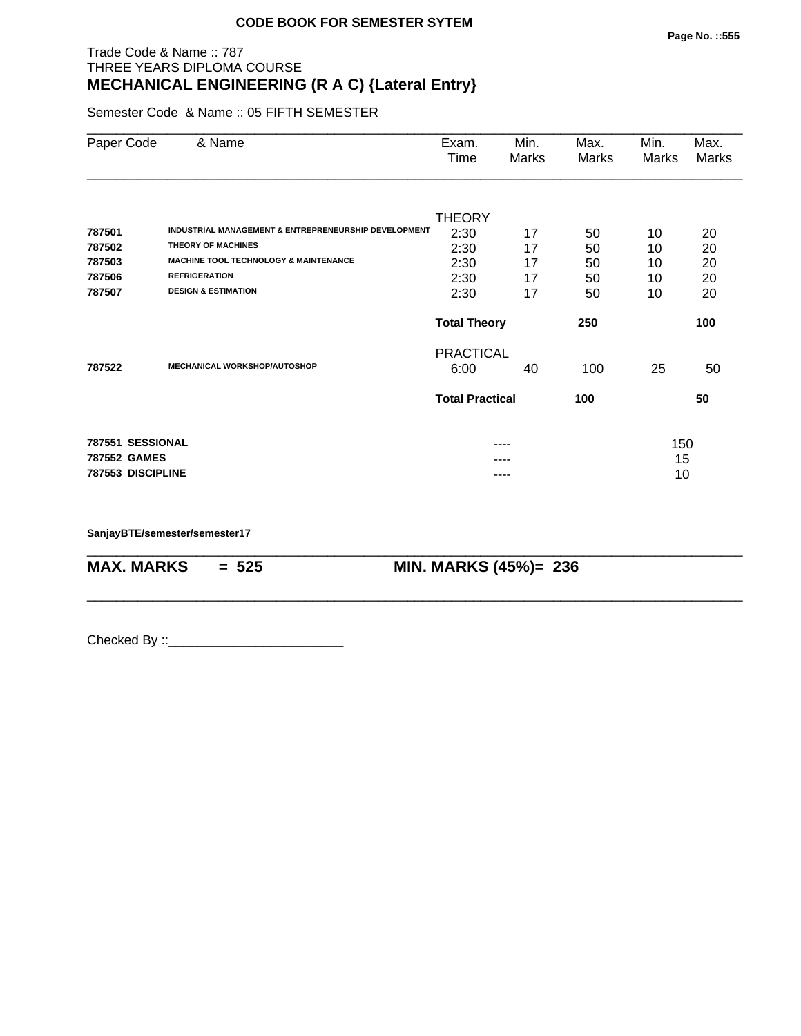# Trade Code & Name :: 787 THREE YEARS DIPLOMA COURSE **MECHANICAL ENGINEERING (R A C) {Lateral Entry}**

Semester Code & Name :: 05 FIFTH SEMESTER

| Paper Code        | & Name                                               | Exam.<br>Time              | Min.<br>Marks | Max.<br>Marks | Min.<br>Marks | Max.<br>Marks |
|-------------------|------------------------------------------------------|----------------------------|---------------|---------------|---------------|---------------|
|                   |                                                      | <b>THEORY</b>              |               |               |               |               |
| 787501            | INDUSTRIAL MANAGEMENT & ENTREPRENEURSHIP DEVELOPMENT | 2:30                       | 17            | 50            | 10            | 20            |
| 787502            | <b>THEORY OF MACHINES</b>                            | 2:30                       | 17            | 50            | 10            | 20            |
| 787503            | <b>MACHINE TOOL TECHNOLOGY &amp; MAINTENANCE</b>     | 2:30                       | 17            | 50            | 10            | 20            |
| 787506            | <b>REFRIGERATION</b>                                 | 2:30                       | 17            | 50            | 10            | 20            |
| 787507            | <b>DESIGN &amp; ESTIMATION</b>                       | 2:30                       | 17            | 50            | 10            | 20            |
|                   |                                                      | <b>Total Theory</b><br>250 |               |               |               | 100           |
|                   |                                                      | <b>PRACTICAL</b>           |               |               |               |               |
| 787522            | <b>MECHANICAL WORKSHOP/AUTOSHOP</b>                  | 6:00                       | 40            | 100           | 25            | 50            |
|                   |                                                      | <b>Total Practical</b>     |               | 100           |               | 50            |
| 787551 SESSIONAL  |                                                      |                            |               |               | 150           |               |
| 787552 GAMES      |                                                      |                            |               |               | 15            |               |
| 787553 DISCIPLINE |                                                      |                            | ----          |               | 10            |               |

\_\_\_\_\_\_\_\_\_\_\_\_\_\_\_\_\_\_\_\_\_\_\_\_\_\_\_\_\_\_\_\_\_\_\_\_\_\_\_\_\_\_\_\_\_\_\_\_\_\_\_\_\_\_\_\_\_\_\_\_\_\_\_\_\_\_\_\_\_\_\_\_\_\_\_\_\_\_\_\_\_\_\_\_\_\_\_\_\_\_

\_\_\_\_\_\_\_\_\_\_\_\_\_\_\_\_\_\_\_\_\_\_\_\_\_\_\_\_\_\_\_\_\_\_\_\_\_\_\_\_\_\_\_\_\_\_\_\_\_\_\_\_\_\_\_\_\_\_\_\_\_\_\_\_\_\_\_\_\_\_\_\_\_\_\_\_\_\_\_\_\_\_\_\_\_\_\_\_\_\_

**SanjayBTE/semester/semester17**

**MAX. MARKS = 525 MIN. MARKS (45%)= 236**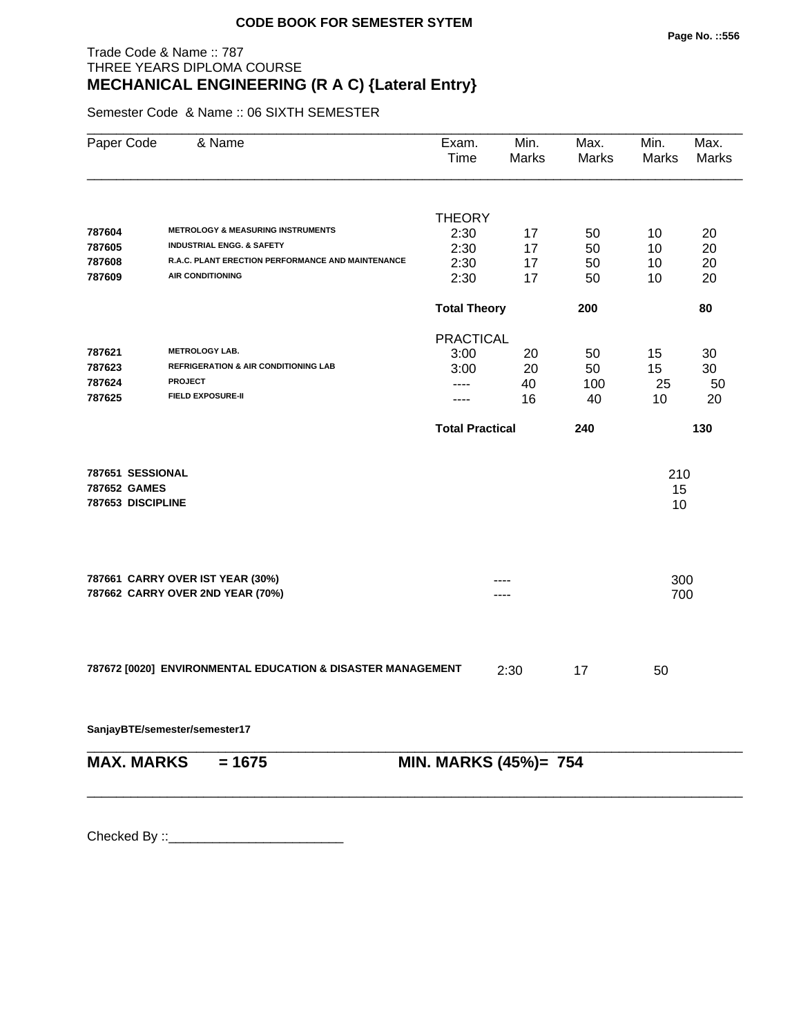# Trade Code & Name :: 787 THREE YEARS DIPLOMA COURSE **MECHANICAL ENGINEERING (R A C) {Lateral Entry}**

Semester Code & Name :: 06 SIXTH SEMESTER

| Paper Code                                            | & Name                                                                               | Exam.<br>Time          | Min.<br>Marks         | Max.<br>Marks | Min.<br><b>Marks</b> | Max.<br>Marks |
|-------------------------------------------------------|--------------------------------------------------------------------------------------|------------------------|-----------------------|---------------|----------------------|---------------|
|                                                       |                                                                                      |                        |                       |               |                      |               |
|                                                       |                                                                                      | <b>THEORY</b>          |                       |               |                      |               |
| 787604                                                | <b>METROLOGY &amp; MEASURING INSTRUMENTS</b><br><b>INDUSTRIAL ENGG. &amp; SAFETY</b> | 2:30                   | 17                    | 50            | 10                   | 20            |
| 787605                                                | R.A.C. PLANT ERECTION PERFORMANCE AND MAINTENANCE                                    | 2:30                   | 17                    | 50            | 10                   | 20            |
| 787608<br>787609                                      | <b>AIR CONDITIONING</b>                                                              | 2:30                   | 17                    | 50            | 10                   | 20            |
|                                                       |                                                                                      | 2:30                   | 17                    | 50            | 10                   | 20            |
|                                                       |                                                                                      | <b>Total Theory</b>    |                       | 200           |                      | 80            |
|                                                       |                                                                                      | <b>PRACTICAL</b>       |                       |               |                      |               |
| 787621                                                | <b>METROLOGY LAB.</b>                                                                | 3:00                   | 20                    | 50            | 15                   | 30            |
| 787623                                                | <b>REFRIGERATION &amp; AIR CONDITIONING LAB</b>                                      | 3:00                   | 20                    | 50            | 15                   | 30            |
| 787624                                                | <b>PROJECT</b>                                                                       | ----                   | 40                    | 100           | 25                   | 50            |
| 787625                                                | <b>FIELD EXPOSURE-II</b>                                                             | ----                   | 16                    | 40            | 10                   | 20            |
|                                                       |                                                                                      | <b>Total Practical</b> |                       | 240           |                      | 130           |
| 787651 SESSIONAL<br>787652 GAMES<br>787653 DISCIPLINE |                                                                                      |                        |                       |               | 210<br>15<br>10      |               |
|                                                       | 787661 CARRY OVER IST YEAR (30%)                                                     |                        |                       |               | 300                  |               |
|                                                       | 787662 CARRY OVER 2ND YEAR (70%)                                                     |                        |                       |               | 700                  |               |
|                                                       | 787672 [0020] ENVIRONMENTAL EDUCATION & DISASTER MANAGEMENT                          |                        | 2:30                  | 17            | 50                   |               |
|                                                       | SanjayBTE/semester/semester17                                                        |                        |                       |               |                      |               |
| <b>MAX. MARKS</b>                                     | $= 1675$                                                                             |                        | MIN. MARKS (45%)= 754 |               |                      |               |
|                                                       |                                                                                      |                        |                       |               |                      |               |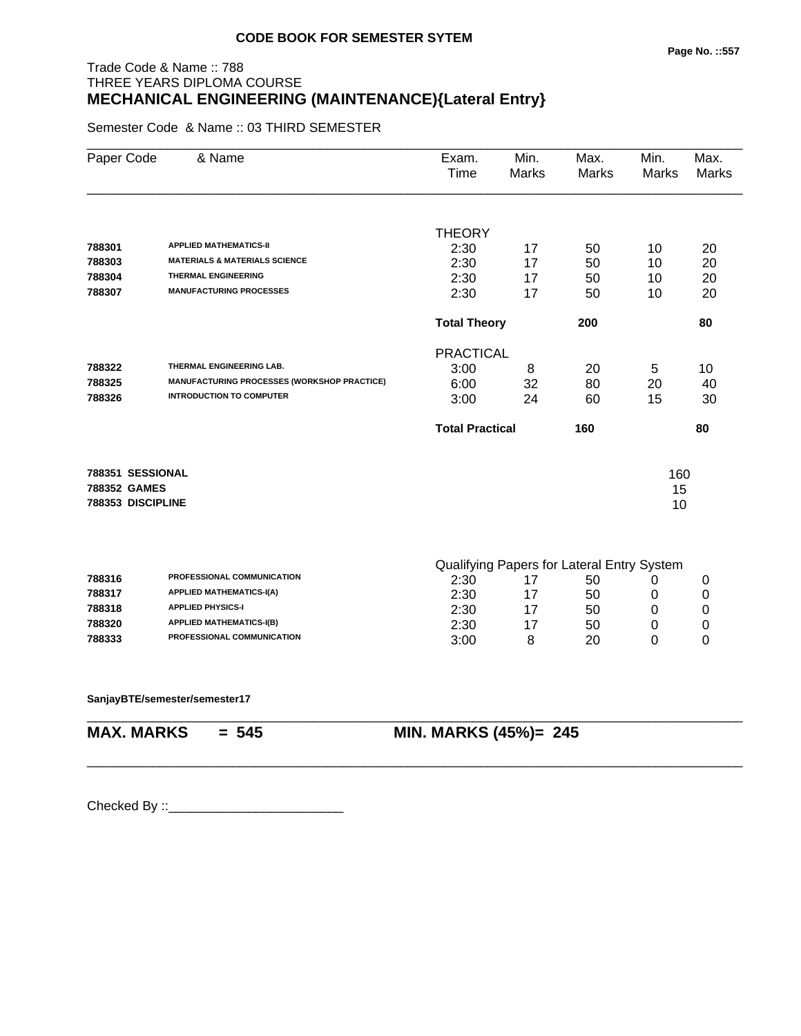# Trade Code & Name :: 788 THREE YEARS DIPLOMA COURSE **MECHANICAL ENGINEERING (MAINTENANCE){Lateral Entry}**

Semester Code & Name :: 03 THIRD SEMESTER

| Paper Code   | & Name                                      | Exam.<br>Time          | Min.<br><b>Marks</b> | Max.<br><b>Marks</b>                       | Min.<br>Marks | Max.<br><b>Marks</b> |
|--------------|---------------------------------------------|------------------------|----------------------|--------------------------------------------|---------------|----------------------|
|              |                                             | <b>THEORY</b>          |                      |                                            |               |                      |
| 788301       | <b>APPLIED MATHEMATICS-II</b>               | 2:30                   | 17                   | 50                                         | 10            | 20                   |
| 788303       | <b>MATERIALS &amp; MATERIALS SCIENCE</b>    | 2:30                   | 17                   | 50                                         | 10            | 20                   |
| 788304       | <b>THERMAL ENGINEERING</b>                  | 2:30                   | 17                   | 50                                         | 10            | 20                   |
| 788307       | <b>MANUFACTURING PROCESSES</b>              | 2:30                   | 17                   | 50                                         | 10            | 20                   |
|              |                                             | <b>Total Theory</b>    |                      | 200                                        |               | 80                   |
|              |                                             | <b>PRACTICAL</b>       |                      |                                            |               |                      |
| 788322       | THERMAL ENGINEERING LAB.                    | 3:00                   | 8                    | 20                                         | 5             | 10                   |
| 788325       | MANUFACTURING PROCESSES (WORKSHOP PRACTICE) | 6:00                   | 32                   | 80                                         | 20            | 40                   |
| 788326       | <b>INTRODUCTION TO COMPUTER</b>             | 3:00                   | 24                   | 60                                         | 15            | 30                   |
|              |                                             | <b>Total Practical</b> |                      | 160                                        |               | 80                   |
|              | 788351 SESSIONAL                            |                        |                      |                                            | 160           |                      |
| 788352 GAMES | 788353 DISCIPLINE                           |                        |                      |                                            | 15<br>10      |                      |
|              |                                             |                        |                      |                                            |               |                      |
|              |                                             |                        |                      | Qualifying Papers for Lateral Entry System |               |                      |
| 788316       | PROFESSIONAL COMMUNICATION                  | 2:30                   | 17                   | 50                                         | 0             | 0                    |
| 788317       | <b>APPLIED MATHEMATICS-I(A)</b>             | 2:30                   | 17                   | 50                                         | 0             | 0                    |
| 788318       | <b>APPLIED PHYSICS-I</b>                    | 2:30                   | 17                   | 50                                         | 0             | $\mathbf 0$          |
| 788320       | <b>APPLIED MATHEMATICS-I(B)</b>             | 2:30                   | 17                   | 50                                         | $\mathbf 0$   | 0                    |
| 788333       | PROFESSIONAL COMMUNICATION                  | 3:00                   | 8                    | 20                                         | 0             | 0                    |

\_\_\_\_\_\_\_\_\_\_\_\_\_\_\_\_\_\_\_\_\_\_\_\_\_\_\_\_\_\_\_\_\_\_\_\_\_\_\_\_\_\_\_\_\_\_\_\_\_\_\_\_\_\_\_\_\_\_\_\_\_\_\_\_\_\_\_\_\_\_\_\_\_\_\_\_\_\_\_\_\_\_\_\_\_\_\_\_\_\_

\_\_\_\_\_\_\_\_\_\_\_\_\_\_\_\_\_\_\_\_\_\_\_\_\_\_\_\_\_\_\_\_\_\_\_\_\_\_\_\_\_\_\_\_\_\_\_\_\_\_\_\_\_\_\_\_\_\_\_\_\_\_\_\_\_\_\_\_\_\_\_\_\_\_\_\_\_\_\_\_\_\_\_\_\_\_\_\_\_\_

**SanjayBTE/semester/semester17**

**MAX. MARKS = 545 MIN. MARKS (45%)= 245**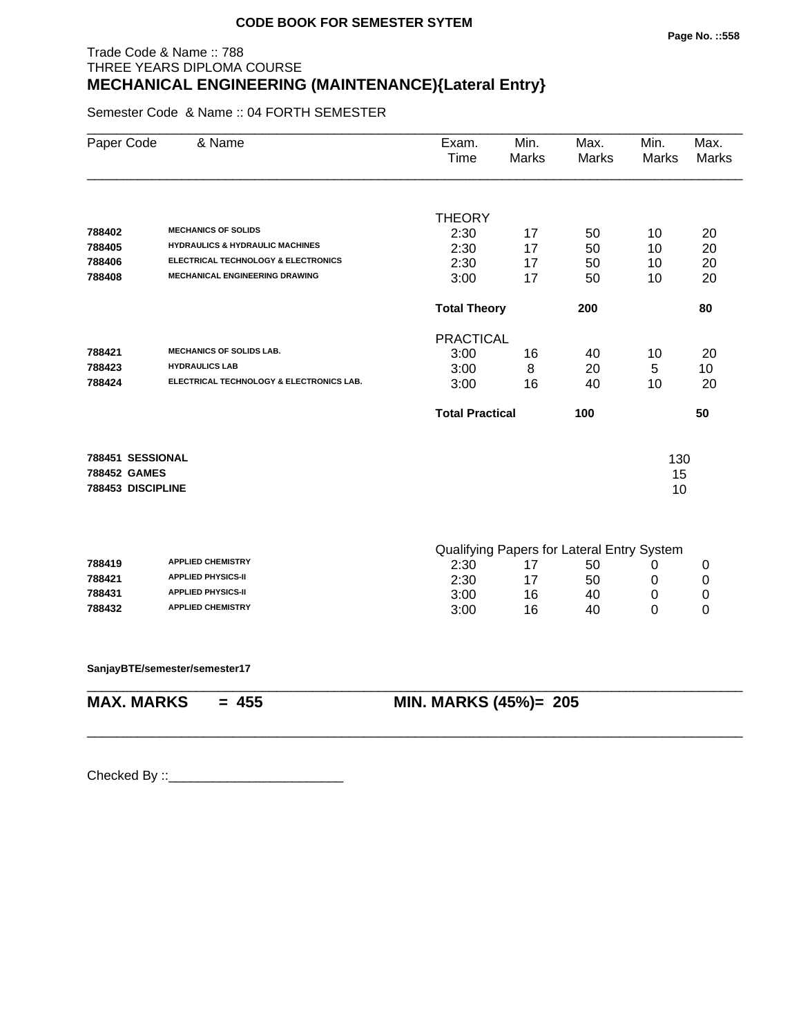# Trade Code & Name :: 788 THREE YEARS DIPLOMA COURSE **MECHANICAL ENGINEERING (MAINTENANCE){Lateral Entry}**

Semester Code & Name :: 04 FORTH SEMESTER

| Paper Code        | & Name                                         | Exam.<br>Time          | Min.<br>Marks | Max.<br>Marks                              | Min.<br><b>Marks</b> | Max.<br><b>Marks</b> |
|-------------------|------------------------------------------------|------------------------|---------------|--------------------------------------------|----------------------|----------------------|
|                   |                                                |                        |               |                                            |                      |                      |
|                   |                                                | <b>THEORY</b>          |               |                                            |                      |                      |
| 788402            | <b>MECHANICS OF SOLIDS</b>                     | 2:30                   | 17            | 50                                         | 10                   | 20                   |
| 788405            | <b>HYDRAULICS &amp; HYDRAULIC MACHINES</b>     | 2:30                   | 17            | 50                                         | 10                   | 20                   |
| 788406            | <b>ELECTRICAL TECHNOLOGY &amp; ELECTRONICS</b> | 2:30                   | 17            | 50                                         | 10                   | 20                   |
| 788408            | <b>MECHANICAL ENGINEERING DRAWING</b>          | 3:00                   | 17            | 50                                         | 10                   | 20                   |
|                   |                                                | <b>Total Theory</b>    |               | 200                                        |                      | 80                   |
|                   |                                                | <b>PRACTICAL</b>       |               |                                            |                      |                      |
| 788421            | <b>MECHANICS OF SOLIDS LAB.</b>                | 3:00                   | 16            | 40                                         | 10                   | 20                   |
| 788423            | <b>HYDRAULICS LAB</b>                          | 3:00                   | 8             | 20                                         | 5                    | 10                   |
| 788424            | ELECTRICAL TECHNOLOGY & ELECTRONICS LAB.       | 3:00                   | 16            | 40                                         | 10                   | 20                   |
|                   |                                                | <b>Total Practical</b> |               | 100                                        |                      | 50                   |
| 788451 SESSIONAL  |                                                |                        |               |                                            |                      |                      |
| 788452 GAMES      |                                                |                        |               |                                            | 130                  |                      |
| 788453 DISCIPLINE |                                                |                        |               |                                            | 15<br>10             |                      |
|                   |                                                |                        |               |                                            |                      |                      |
|                   |                                                |                        |               | Qualifying Papers for Lateral Entry System |                      |                      |
| 788419            | <b>APPLIED CHEMISTRY</b>                       | 2:30                   | 17            | 50                                         | 0                    | 0                    |
| 788421            | <b>APPLIED PHYSICS-II</b>                      | 2:30                   | 17            | 50                                         | 0                    | 0                    |
| 788431            | <b>APPLIED PHYSICS-II</b>                      | 3:00                   | 16            | 40                                         | 0                    | 0                    |
| 788432            | <b>APPLIED CHEMISTRY</b>                       | 3:00                   | 16            | 40                                         | 0                    | 0                    |
|                   | SanjayBTE/semester/semester17                  |                        |               |                                            |                      |                      |
| <b>MAX. MARKS</b> | $= 455$                                        | MIN. MARKS (45%)= 205  |               |                                            |                      |                      |
|                   |                                                |                        |               |                                            |                      |                      |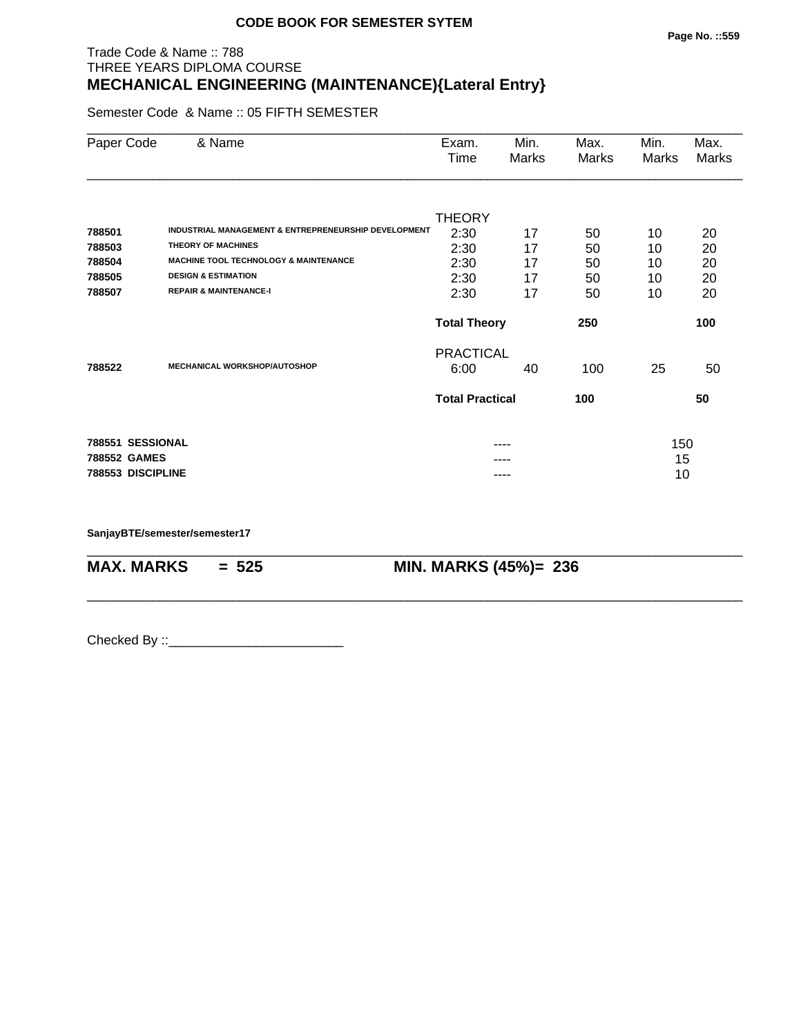#### Trade Code & Name :: 788 THREE YEARS DIPLOMA COURSE **MECHANICAL ENGINEERING (MAINTENANCE){Lateral Entry}**

Semester Code & Name :: 05 FIFTH SEMESTER

| Paper Code        | & Name                                               | Exam.<br>Time              | Min.<br>Marks | Max.<br>Marks | Min.<br>Marks | Max.<br>Marks |
|-------------------|------------------------------------------------------|----------------------------|---------------|---------------|---------------|---------------|
|                   |                                                      |                            |               |               |               |               |
| 788501            | INDUSTRIAL MANAGEMENT & ENTREPRENEURSHIP DEVELOPMENT | <b>THEORY</b><br>2:30      | 17            | 50            | 10            | 20            |
| 788503            | <b>THEORY OF MACHINES</b>                            | 2:30                       | 17            | 50            | 10            | 20            |
| 788504            | <b>MACHINE TOOL TECHNOLOGY &amp; MAINTENANCE</b>     | 2:30                       | 17            | 50            | 10            | 20            |
| 788505            | <b>DESIGN &amp; ESTIMATION</b>                       | 2:30                       | 17            | 50            | 10            | 20            |
| 788507            | <b>REPAIR &amp; MAINTENANCE-I</b>                    | 2:30                       | 17            | 50            | 10            | 20            |
|                   |                                                      | <b>Total Theory</b><br>250 |               |               |               | 100           |
|                   |                                                      | <b>PRACTICAL</b>           |               |               |               |               |
| 788522            | <b>MECHANICAL WORKSHOP/AUTOSHOP</b>                  | 6:00                       | 40            | 100           | 25            | 50            |
|                   |                                                      | <b>Total Practical</b>     |               | 100           |               | 50            |
| 788551 SESSIONAL  |                                                      |                            |               |               | 150           |               |
| 788552 GAMES      |                                                      |                            |               |               | 15            |               |
| 788553 DISCIPLINE |                                                      |                            | ----          |               | 10            |               |

\_\_\_\_\_\_\_\_\_\_\_\_\_\_\_\_\_\_\_\_\_\_\_\_\_\_\_\_\_\_\_\_\_\_\_\_\_\_\_\_\_\_\_\_\_\_\_\_\_\_\_\_\_\_\_\_\_\_\_\_\_\_\_\_\_\_\_\_\_\_\_\_\_\_\_\_\_\_\_\_\_\_\_\_\_\_\_\_\_\_

\_\_\_\_\_\_\_\_\_\_\_\_\_\_\_\_\_\_\_\_\_\_\_\_\_\_\_\_\_\_\_\_\_\_\_\_\_\_\_\_\_\_\_\_\_\_\_\_\_\_\_\_\_\_\_\_\_\_\_\_\_\_\_\_\_\_\_\_\_\_\_\_\_\_\_\_\_\_\_\_\_\_\_\_\_\_\_\_\_\_

**SanjayBTE/semester/semester17**

**MAX. MARKS = 525 MIN. MARKS (45%)= 236**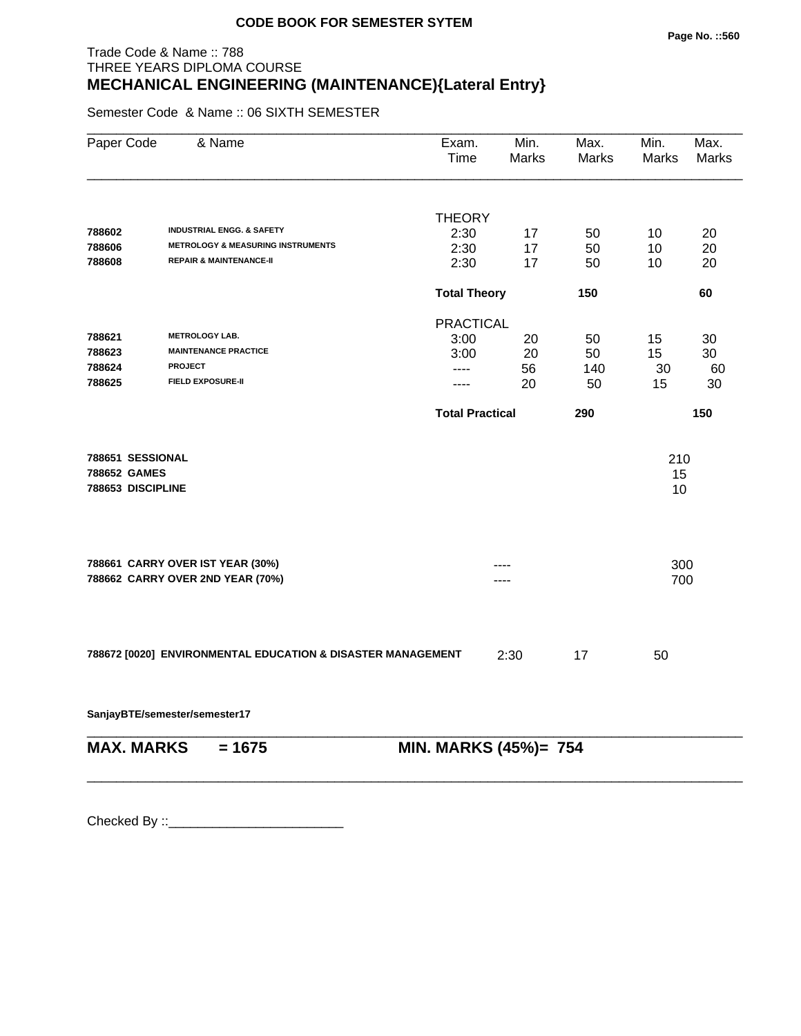# Trade Code & Name :: 788 THREE YEARS DIPLOMA COURSE **MECHANICAL ENGINEERING (MAINTENANCE){Lateral Entry}**

Semester Code & Name :: 06 SIXTH SEMESTER

| Paper Code                                            | & Name                                                               | Exam.<br>Time          | Min.<br>Marks | Max.<br>Marks | Min.<br><b>Marks</b> | Max.<br>Marks |
|-------------------------------------------------------|----------------------------------------------------------------------|------------------------|---------------|---------------|----------------------|---------------|
|                                                       |                                                                      |                        |               |               |                      |               |
| 788602                                                | <b>INDUSTRIAL ENGG. &amp; SAFETY</b>                                 | <b>THEORY</b><br>2:30  | 17            | 50            | 10                   | 20            |
| 788606                                                | <b>METROLOGY &amp; MEASURING INSTRUMENTS</b>                         | 2:30                   | 17            | 50            | 10                   | 20            |
| 788608                                                | <b>REPAIR &amp; MAINTENANCE-II</b>                                   | 2:30                   | 17            | 50            | 10                   | 20            |
|                                                       |                                                                      | <b>Total Theory</b>    |               | 150           |                      | 60            |
|                                                       |                                                                      | <b>PRACTICAL</b>       |               |               |                      |               |
| 788621                                                | <b>METROLOGY LAB.</b>                                                | 3:00                   | 20            | 50            | 15                   | 30            |
| 788623                                                | <b>MAINTENANCE PRACTICE</b>                                          | 3:00                   | 20            | 50            | 15                   | 30            |
| 788624                                                | <b>PROJECT</b>                                                       | ----                   | 56            | 140           | 30                   | 60            |
| 788625                                                | <b>FIELD EXPOSURE-II</b>                                             | ----                   | 20            | 50            | 15                   | 30            |
|                                                       |                                                                      | <b>Total Practical</b> |               | 290           |                      | 150           |
| 788651 SESSIONAL<br>788652 GAMES<br>788653 DISCIPLINE |                                                                      |                        |               |               | 210<br>15<br>10      |               |
|                                                       | 788661 CARRY OVER IST YEAR (30%)<br>788662 CARRY OVER 2ND YEAR (70%) |                        |               |               | 300<br>700           |               |
|                                                       |                                                                      |                        |               |               |                      |               |
|                                                       | 788672 [0020] ENVIRONMENTAL EDUCATION & DISASTER MANAGEMENT          |                        | 2:30          | 17            | 50                   |               |
|                                                       | SanjayBTE/semester/semester17                                        |                        |               |               |                      |               |
| <b>MAX. MARKS</b>                                     | $= 1675$                                                             | MIN. MARKS (45%)= 754  |               |               |                      |               |

\_\_\_\_\_\_\_\_\_\_\_\_\_\_\_\_\_\_\_\_\_\_\_\_\_\_\_\_\_\_\_\_\_\_\_\_\_\_\_\_\_\_\_\_\_\_\_\_\_\_\_\_\_\_\_\_\_\_\_\_\_\_\_\_\_\_\_\_\_\_\_\_\_\_\_\_\_\_\_\_\_\_\_\_\_\_\_\_\_\_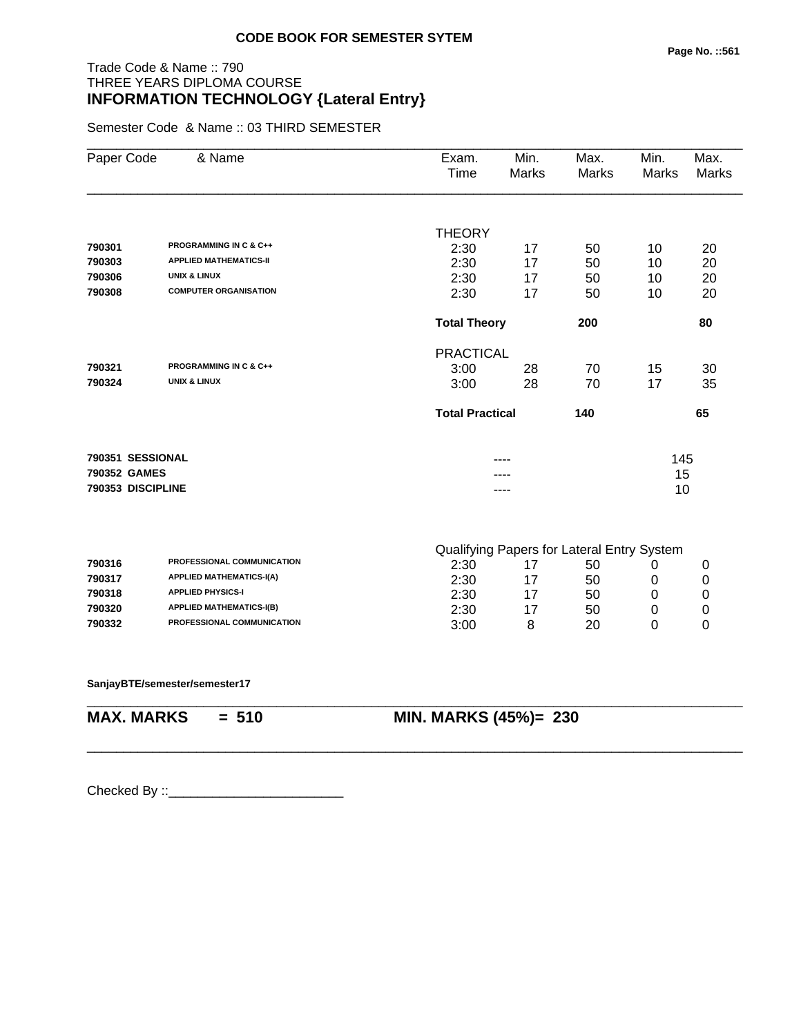#### Trade Code & Name :: 790 THREE YEARS DIPLOMA COURSE **INFORMATION TECHNOLOGY {Lateral Entry}**

Semester Code & Name :: 03 THIRD SEMESTER

|                   | & Name                            | Exam.         | Min.                          | Max.                                       | Min.  | Max.         |
|-------------------|-----------------------------------|---------------|-------------------------------|--------------------------------------------|-------|--------------|
| Paper Code        |                                   | Time          | <b>Marks</b>                  | <b>Marks</b>                               | Marks | <b>Marks</b> |
|                   |                                   |               |                               |                                            |       |              |
|                   |                                   | <b>THEORY</b> |                               |                                            |       |              |
| 790301            | <b>PROGRAMMING IN C &amp; C++</b> | 2:30          | 17                            | 50                                         | 10    | 20           |
| 790303            | <b>APPLIED MATHEMATICS-II</b>     | 2:30          | 17                            | 50                                         | 10    | 20           |
| 790306            | <b>UNIX &amp; LINUX</b>           | 2:30          | 17                            | 50                                         | 10    | 20           |
| 790308            | <b>COMPUTER ORGANISATION</b>      | 2:30          | 17                            | 50                                         | 10    | 20           |
|                   |                                   |               | <b>Total Theory</b><br>200    |                                            |       |              |
|                   |                                   |               | <b>PRACTICAL</b>              |                                            |       |              |
| 790321            | <b>PROGRAMMING IN C &amp; C++</b> | 3:00          | 28                            | 70                                         | 15    | 30           |
| 790324            | <b>UNIX &amp; LINUX</b>           | 3:00          | 28                            | 70                                         | 17    | 35           |
|                   |                                   |               | <b>Total Practical</b><br>140 |                                            | 65    |              |
| 790351 SESSIONAL  |                                   |               |                               |                                            | 145   |              |
| 790352 GAMES      |                                   |               |                               |                                            | 15    |              |
| 790353 DISCIPLINE |                                   |               |                               |                                            | 10    |              |
|                   |                                   |               |                               | Qualifying Papers for Lateral Entry System |       |              |
| 790316            | PROFESSIONAL COMMUNICATION        | 2:30          | 17                            | 50                                         | 0     | 0            |
| 790317            | <b>APPLIED MATHEMATICS-I(A)</b>   | 2:30          | 17                            | 50                                         | 0     | 0            |
| 790318            | <b>APPLIED PHYSICS-I</b>          | 2:30          | 17                            | 50                                         | 0     | 0            |
| 790320            | <b>APPLIED MATHEMATICS-I(B)</b>   | 2:30          | 17                            | 50                                         | 0     | 0            |
| 790332            | PROFESSIONAL COMMUNICATION        | 3:00          | 8                             | 20                                         | 0     | $\mathbf 0$  |

\_\_\_\_\_\_\_\_\_\_\_\_\_\_\_\_\_\_\_\_\_\_\_\_\_\_\_\_\_\_\_\_\_\_\_\_\_\_\_\_\_\_\_\_\_\_\_\_\_\_\_\_\_\_\_\_\_\_\_\_\_\_\_\_\_\_\_\_\_\_\_\_\_\_\_\_\_\_\_\_\_\_\_\_\_\_\_\_\_\_

\_\_\_\_\_\_\_\_\_\_\_\_\_\_\_\_\_\_\_\_\_\_\_\_\_\_\_\_\_\_\_\_\_\_\_\_\_\_\_\_\_\_\_\_\_\_\_\_\_\_\_\_\_\_\_\_\_\_\_\_\_\_\_\_\_\_\_\_\_\_\_\_\_\_\_\_\_\_\_\_\_\_\_\_\_\_\_\_\_\_

**SanjayBTE/semester/semester17**

**MAX. MARKS = 510 MIN. MARKS (45%)= 230**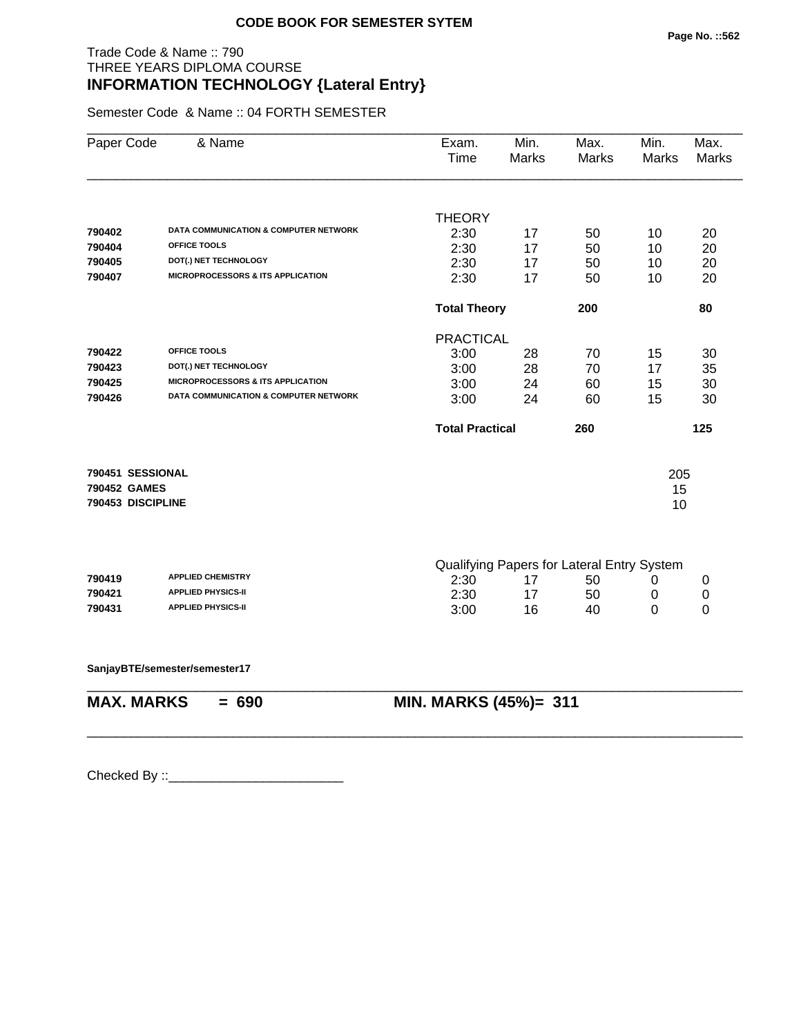#### Trade Code & Name :: 790 THREE YEARS DIPLOMA COURSE **INFORMATION TECHNOLOGY {Lateral Entry}**

Semester Code & Name :: 04 FORTH SEMESTER

| Paper Code        | & Name                                       | Exam.<br>Time          | Min.<br><b>Marks</b> | Max.<br>Marks                              | Min.<br><b>Marks</b> | Max.<br><b>Marks</b> |
|-------------------|----------------------------------------------|------------------------|----------------------|--------------------------------------------|----------------------|----------------------|
|                   |                                              |                        |                      |                                            |                      |                      |
| 790402            | DATA COMMUNICATION & COMPUTER NETWORK        | <b>THEORY</b>          |                      |                                            |                      |                      |
| 790404            | OFFICE TOOLS                                 | 2:30                   | 17                   | 50                                         | 10                   | 20                   |
| 790405            | DOT(.) NET TECHNOLOGY                        | 2:30<br>2:30           | 17                   | 50                                         | 10                   | 20                   |
| 790407            | <b>MICROPROCESSORS &amp; ITS APPLICATION</b> | 2:30                   | 17<br>17             | 50<br>50                                   | 10<br>10             | 20<br>20             |
|                   |                                              |                        |                      |                                            |                      |                      |
|                   |                                              | <b>Total Theory</b>    |                      | 200                                        |                      | 80                   |
|                   |                                              | <b>PRACTICAL</b>       |                      |                                            |                      |                      |
| 790422            | OFFICE TOOLS                                 | 3:00                   | 28                   | 70                                         | 15                   | 30                   |
| 790423            | DOT(.) NET TECHNOLOGY                        | 3:00                   | 28                   | 70                                         | 17                   | 35                   |
| 790425            | <b>MICROPROCESSORS &amp; ITS APPLICATION</b> | 3:00                   | 24                   | 60                                         | 15                   | 30                   |
| 790426            | DATA COMMUNICATION & COMPUTER NETWORK        | 3:00                   | 24                   | 60                                         | 15                   | 30                   |
|                   |                                              | <b>Total Practical</b> |                      | 260                                        |                      | 125                  |
| 790451 SESSIONAL  |                                              |                        |                      |                                            | 205                  |                      |
| 790452 GAMES      |                                              |                        |                      |                                            | 15                   |                      |
| 790453 DISCIPLINE |                                              |                        |                      |                                            | 10                   |                      |
|                   |                                              |                        |                      |                                            |                      |                      |
|                   |                                              |                        |                      | Qualifying Papers for Lateral Entry System |                      |                      |
| 790419            | <b>APPLIED CHEMISTRY</b>                     | 2:30                   | 17                   | 50                                         | 0                    | 0                    |
| 790421            | <b>APPLIED PHYSICS-II</b>                    | 2:30                   | 17                   | 50                                         | 0                    | 0                    |
| 790431            | <b>APPLIED PHYSICS-II</b>                    | 3:00                   | 16                   | 40                                         | 0                    | 0                    |
|                   | SanjayBTE/semester/semester17                |                        |                      |                                            |                      |                      |
|                   | <b>MAX. MARKS</b><br>$= 690$                 | MIN. MARKS (45%)= 311  |                      |                                            |                      |                      |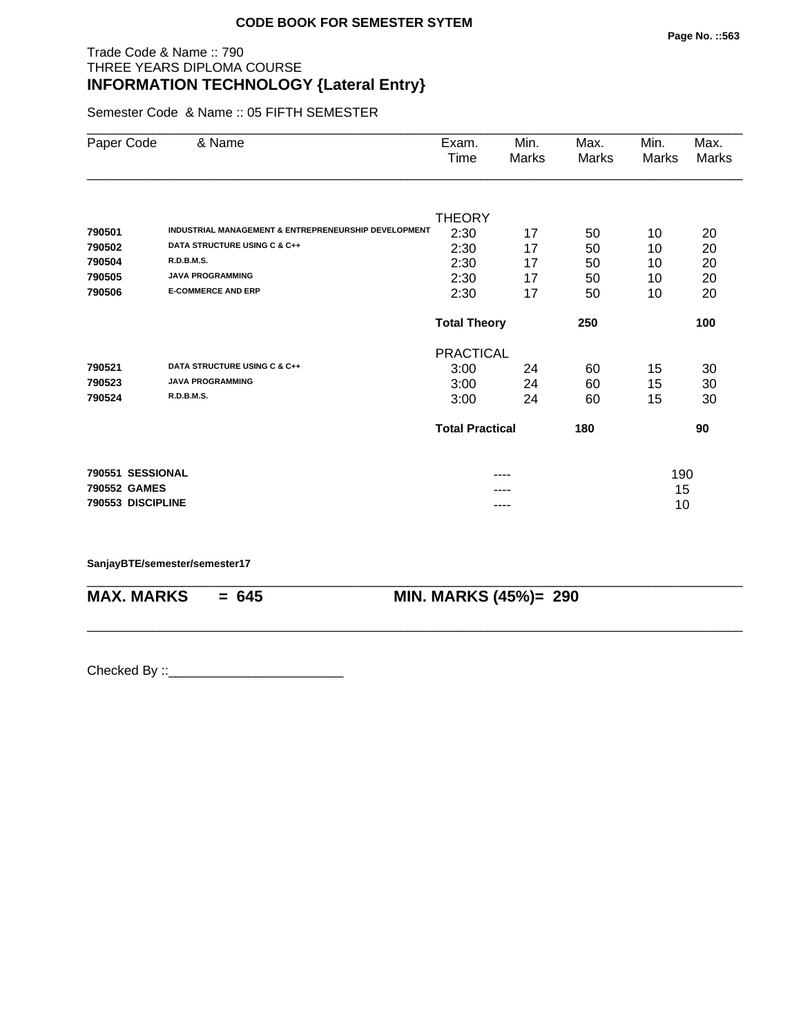#### Trade Code & Name :: 790 THREE YEARS DIPLOMA COURSE **INFORMATION TECHNOLOGY {Lateral Entry}**

Semester Code & Name :: 05 FIFTH SEMESTER

| Paper Code        | & Name                                               | Exam.<br>Time              | Min.<br>Marks | Max.<br>Marks | Min.<br>Marks | Max.<br><b>Marks</b> |
|-------------------|------------------------------------------------------|----------------------------|---------------|---------------|---------------|----------------------|
|                   |                                                      |                            |               |               |               |                      |
|                   |                                                      | <b>THEORY</b>              |               |               |               |                      |
| 790501            | INDUSTRIAL MANAGEMENT & ENTREPRENEURSHIP DEVELOPMENT | 2:30                       | 17            | 50            | 10            | 20                   |
| 790502            | DATA STRUCTURE USING C & C++                         | 2:30                       | 17            | 50            | 10            | 20                   |
| 790504            | <b>R.D.B.M.S.</b>                                    | 2:30                       | 17            | 50            | 10            | 20                   |
| 790505            | <b>JAVA PROGRAMMING</b>                              | 2:30                       | 17            | 50            | 10            | 20                   |
| 790506            | <b>E-COMMERCE AND ERP</b>                            | 2:30                       | 17            | 50            | 10            | 20                   |
|                   |                                                      | <b>Total Theory</b><br>250 |               |               |               | 100                  |
|                   |                                                      | <b>PRACTICAL</b>           |               |               |               |                      |
| 790521            | DATA STRUCTURE USING C & C++                         | 3:00                       | 24            | 60            | 15            | 30                   |
| 790523            | <b>JAVA PROGRAMMING</b>                              | 3:00                       | 24            | 60            | 15            | 30                   |
| 790524            | <b>R.D.B.M.S.</b>                                    | 3:00                       | 24            | 60            | 15            | 30                   |
|                   |                                                      | <b>Total Practical</b>     |               | 180           |               | 90                   |
| 790551 SESSIONAL  |                                                      |                            |               |               | 190           |                      |
| 790552 GAMES      |                                                      |                            | ----          |               | 15            |                      |
| 790553 DISCIPLINE |                                                      |                            | ----          |               | 10            |                      |

\_\_\_\_\_\_\_\_\_\_\_\_\_\_\_\_\_\_\_\_\_\_\_\_\_\_\_\_\_\_\_\_\_\_\_\_\_\_\_\_\_\_\_\_\_\_\_\_\_\_\_\_\_\_\_\_\_\_\_\_\_\_\_\_\_\_\_\_\_\_\_\_\_\_\_\_\_\_\_\_\_\_\_\_\_\_\_\_\_\_

\_\_\_\_\_\_\_\_\_\_\_\_\_\_\_\_\_\_\_\_\_\_\_\_\_\_\_\_\_\_\_\_\_\_\_\_\_\_\_\_\_\_\_\_\_\_\_\_\_\_\_\_\_\_\_\_\_\_\_\_\_\_\_\_\_\_\_\_\_\_\_\_\_\_\_\_\_\_\_\_\_\_\_\_\_\_\_\_\_\_

#### **SanjayBTE/semester/semester17**

**MAX. MARKS = 645 MIN. MARKS (45%)= 290**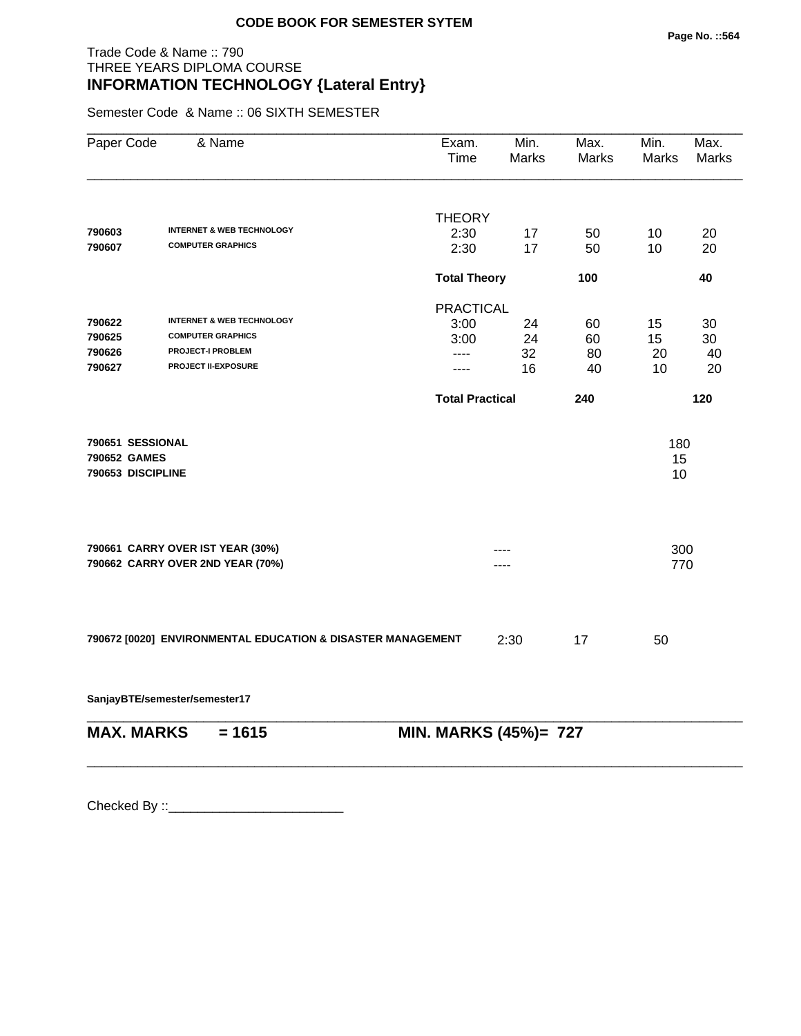#### Trade Code & Name :: 790 THREE YEARS DIPLOMA COURSE **INFORMATION TECHNOLOGY {Lateral Entry}**

Semester Code & Name :: 06 SIXTH SEMESTER

| Paper Code                                            | & Name                                                               | Exam.<br>Time          | Min.<br><b>Marks</b> | Max.<br>Marks | Min.<br>Marks   | Max.<br>Marks |
|-------------------------------------------------------|----------------------------------------------------------------------|------------------------|----------------------|---------------|-----------------|---------------|
|                                                       |                                                                      | <b>THEORY</b>          |                      |               |                 |               |
| 790603                                                | <b>INTERNET &amp; WEB TECHNOLOGY</b>                                 | 2:30                   | 17                   | 50            | 10              | 20            |
| 790607                                                | <b>COMPUTER GRAPHICS</b>                                             | 2:30                   | 17                   | 50            | 10              | 20            |
|                                                       |                                                                      | <b>Total Theory</b>    |                      | 100           |                 | 40            |
|                                                       |                                                                      | <b>PRACTICAL</b>       |                      |               |                 |               |
| 790622                                                | <b>INTERNET &amp; WEB TECHNOLOGY</b>                                 | 3:00                   | 24                   | 60            | 15              | 30            |
| 790625                                                | <b>COMPUTER GRAPHICS</b>                                             | 3:00                   | 24                   | 60            | 15              | 30            |
| 790626                                                | <b>PROJECT-I PROBLEM</b>                                             | ----                   | 32                   | 80            | 20              | 40            |
| 790627                                                | PROJECT II-EXPOSURE                                                  | ----                   | 16                   | 40            | 10              | 20            |
|                                                       |                                                                      | <b>Total Practical</b> |                      | 240           |                 | 120           |
| 790651 SESSIONAL<br>790652 GAMES<br>790653 DISCIPLINE |                                                                      |                        |                      |               | 180<br>15<br>10 |               |
|                                                       | 790661 CARRY OVER IST YEAR (30%)<br>790662 CARRY OVER 2ND YEAR (70%) |                        |                      |               | 300<br>770      |               |
|                                                       | 790672 [0020] ENVIRONMENTAL EDUCATION & DISASTER MANAGEMENT          |                        | 2:30                 | 17            | 50              |               |

**SanjayBTE/semester/semester17**

\_\_\_\_\_\_\_\_\_\_\_\_\_\_\_\_\_\_\_\_\_\_\_\_\_\_\_\_\_\_\_\_\_\_\_\_\_\_\_\_\_\_\_\_\_\_\_\_\_\_\_\_\_\_\_\_\_\_\_\_\_\_\_\_\_\_\_\_\_\_\_\_\_\_\_\_\_\_\_\_\_\_\_\_\_\_\_\_\_\_ **MAX. MARKS = 1615 MIN. MARKS (45%)= 727**

\_\_\_\_\_\_\_\_\_\_\_\_\_\_\_\_\_\_\_\_\_\_\_\_\_\_\_\_\_\_\_\_\_\_\_\_\_\_\_\_\_\_\_\_\_\_\_\_\_\_\_\_\_\_\_\_\_\_\_\_\_\_\_\_\_\_\_\_\_\_\_\_\_\_\_\_\_\_\_\_\_\_\_\_\_\_\_\_\_\_